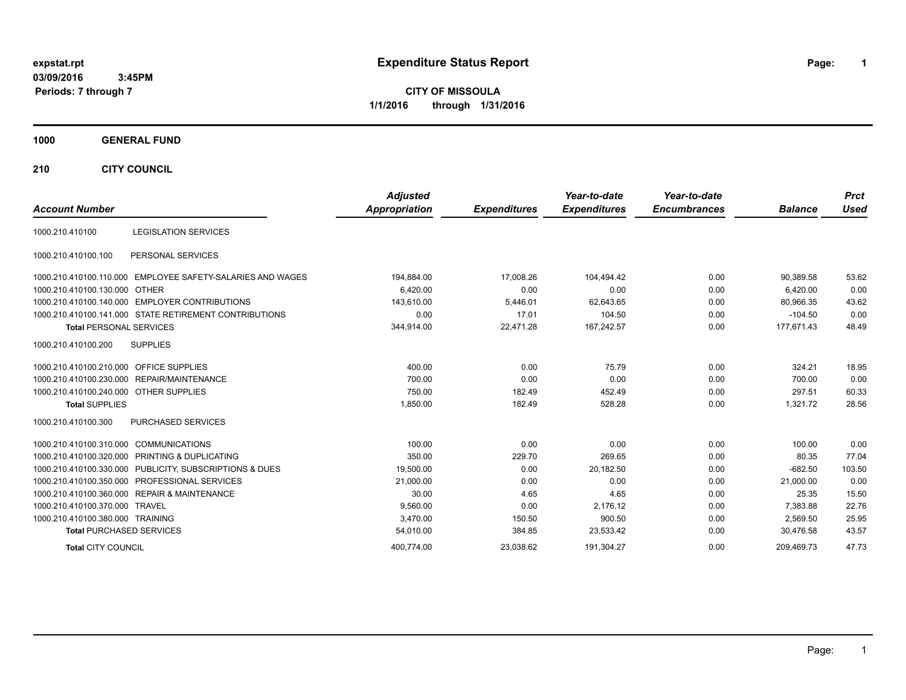# **expstat.rpt Expenditure Status Report Page:**

**1**

**CITY OF MISSOULA 1/1/2016 through 1/31/2016**

### **1000 GENERAL FUND**

**210 CITY COUNCIL**

| <b>Account Number</b>                                      | <b>Adjusted</b><br>Appropriation | <b>Expenditures</b> | Year-to-date<br><b>Expenditures</b> | Year-to-date<br><b>Encumbrances</b> | <b>Balance</b> | <b>Prct</b><br><b>Used</b> |
|------------------------------------------------------------|----------------------------------|---------------------|-------------------------------------|-------------------------------------|----------------|----------------------------|
| <b>LEGISLATION SERVICES</b><br>1000.210.410100             |                                  |                     |                                     |                                     |                |                            |
|                                                            |                                  |                     |                                     |                                     |                |                            |
| PERSONAL SERVICES<br>1000.210.410100.100                   |                                  |                     |                                     |                                     |                |                            |
| 1000.210.410100.110.000 EMPLOYEE SAFETY-SALARIES AND WAGES | 194,884.00                       | 17.008.26           | 104.494.42                          | 0.00                                | 90,389.58      | 53.62                      |
| 1000.210.410100.130.000 OTHER                              | 6,420.00                         | 0.00                | 0.00                                | 0.00                                | 6,420.00       | 0.00                       |
| 1000.210.410100.140.000 EMPLOYER CONTRIBUTIONS             | 143,610.00                       | 5,446.01            | 62,643.65                           | 0.00                                | 80,966.35      | 43.62                      |
| 1000.210.410100.141.000 STATE RETIREMENT CONTRIBUTIONS     | 0.00                             | 17.01               | 104.50                              | 0.00                                | $-104.50$      | 0.00                       |
| <b>Total PERSONAL SERVICES</b>                             | 344,914.00                       | 22,471.28           | 167,242.57                          | 0.00                                | 177,671.43     | 48.49                      |
| 1000.210.410100.200<br><b>SUPPLIES</b>                     |                                  |                     |                                     |                                     |                |                            |
| 1000.210.410100.210.000 OFFICE SUPPLIES                    | 400.00                           | 0.00                | 75.79                               | 0.00                                | 324.21         | 18.95                      |
| 1000.210.410100.230.000 REPAIR/MAINTENANCE                 | 700.00                           | 0.00                | 0.00                                | 0.00                                | 700.00         | 0.00                       |
| 1000.210.410100.240.000 OTHER SUPPLIES                     | 750.00                           | 182.49              | 452.49                              | 0.00                                | 297.51         | 60.33                      |
| <b>Total SUPPLIES</b>                                      | 1,850.00                         | 182.49              | 528.28                              | 0.00                                | 1,321.72       | 28.56                      |
| PURCHASED SERVICES<br>1000.210.410100.300                  |                                  |                     |                                     |                                     |                |                            |
| 1000.210.410100.310.000 COMMUNICATIONS                     | 100.00                           | 0.00                | 0.00                                | 0.00                                | 100.00         | 0.00                       |
| 1000.210.410100.320.000 PRINTING & DUPLICATING             | 350.00                           | 229.70              | 269.65                              | 0.00                                | 80.35          | 77.04                      |
| 1000.210.410100.330.000 PUBLICITY, SUBSCRIPTIONS & DUES    | 19,500.00                        | 0.00                | 20,182.50                           | 0.00                                | $-682.50$      | 103.50                     |
| 1000.210.410100.350.000 PROFESSIONAL SERVICES              | 21,000.00                        | 0.00                | 0.00                                | 0.00                                | 21,000.00      | 0.00                       |
| 1000.210.410100.360.000 REPAIR & MAINTENANCE               | 30.00                            | 4.65                | 4.65                                | 0.00                                | 25.35          | 15.50                      |
| 1000.210.410100.370.000 TRAVEL                             | 9,560.00                         | 0.00                | 2.176.12                            | 0.00                                | 7.383.88       | 22.76                      |
| 1000.210.410100.380.000 TRAINING                           | 3,470.00                         | 150.50              | 900.50                              | 0.00                                | 2.569.50       | 25.95                      |
| <b>Total PURCHASED SERVICES</b>                            | 54,010.00                        | 384.85              | 23,533.42                           | 0.00                                | 30.476.58      | 43.57                      |
| <b>Total CITY COUNCIL</b>                                  | 400.774.00                       | 23.038.62           | 191.304.27                          | 0.00                                | 209.469.73     | 47.73                      |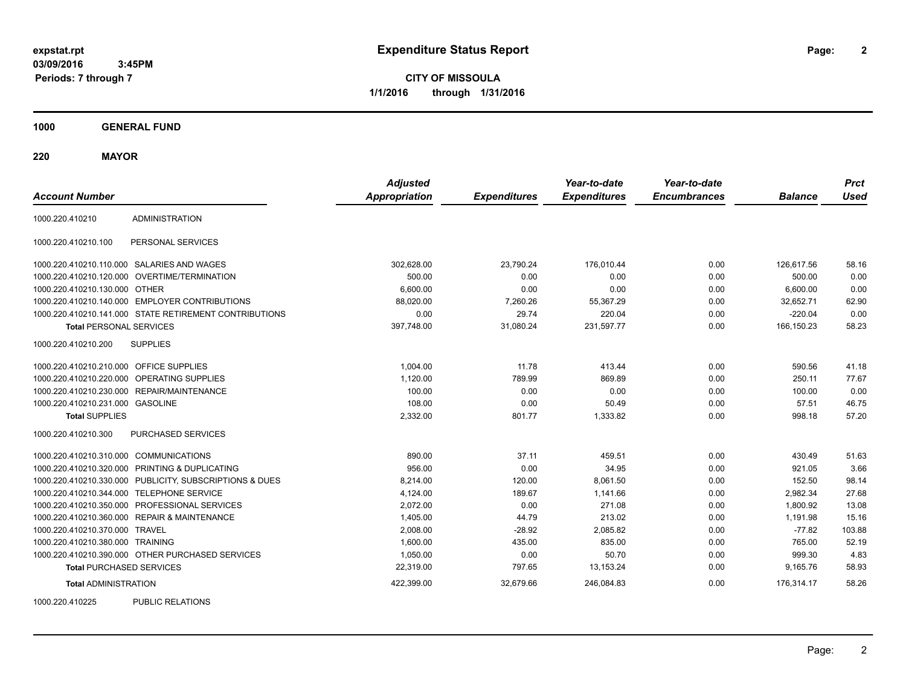**CITY OF MISSOULA 1/1/2016 through 1/31/2016**

**1000 GENERAL FUND**

**220 MAYOR**

| <b>Account Number</b>                   |                                                         | <b>Adjusted</b><br><b>Appropriation</b> | <b>Expenditures</b> | Year-to-date<br><b>Expenditures</b> | Year-to-date<br><b>Encumbrances</b> | <b>Balance</b> | <b>Prct</b><br><b>Used</b> |
|-----------------------------------------|---------------------------------------------------------|-----------------------------------------|---------------------|-------------------------------------|-------------------------------------|----------------|----------------------------|
| 1000.220.410210                         | <b>ADMINISTRATION</b>                                   |                                         |                     |                                     |                                     |                |                            |
| 1000.220.410210.100                     | PERSONAL SERVICES                                       |                                         |                     |                                     |                                     |                |                            |
|                                         | 1000.220.410210.110.000 SALARIES AND WAGES              | 302,628.00                              | 23,790.24           | 176,010.44                          | 0.00                                | 126,617.56     | 58.16                      |
|                                         | 1000.220.410210.120.000 OVERTIME/TERMINATION            | 500.00                                  | 0.00                | 0.00                                | 0.00                                | 500.00         | 0.00                       |
| 1000.220.410210.130.000 OTHER           |                                                         | 6,600.00                                | 0.00                | 0.00                                | 0.00                                | 6,600.00       | 0.00                       |
|                                         | 1000.220.410210.140.000 EMPLOYER CONTRIBUTIONS          | 88,020.00                               | 7,260.26            | 55,367.29                           | 0.00                                | 32,652.71      | 62.90                      |
|                                         | 1000.220.410210.141.000 STATE RETIREMENT CONTRIBUTIONS  | 0.00                                    | 29.74               | 220.04                              | 0.00                                | $-220.04$      | 0.00                       |
| <b>Total PERSONAL SERVICES</b>          |                                                         | 397,748.00                              | 31,080.24           | 231,597.77                          | 0.00                                | 166,150.23     | 58.23                      |
| 1000.220.410210.200                     | <b>SUPPLIES</b>                                         |                                         |                     |                                     |                                     |                |                            |
| 1000.220.410210.210.000 OFFICE SUPPLIES |                                                         | 1,004.00                                | 11.78               | 413.44                              | 0.00                                | 590.56         | 41.18                      |
|                                         | 1000.220.410210.220.000 OPERATING SUPPLIES              | 1,120.00                                | 789.99              | 869.89                              | 0.00                                | 250.11         | 77.67                      |
|                                         | 1000.220.410210.230.000 REPAIR/MAINTENANCE              | 100.00                                  | 0.00                | 0.00                                | 0.00                                | 100.00         | 0.00                       |
| 1000.220.410210.231.000 GASOLINE        |                                                         | 108.00                                  | 0.00                | 50.49                               | 0.00                                | 57.51          | 46.75                      |
| <b>Total SUPPLIES</b>                   |                                                         | 2,332.00                                | 801.77              | 1,333.82                            | 0.00                                | 998.18         | 57.20                      |
| 1000.220.410210.300                     | PURCHASED SERVICES                                      |                                         |                     |                                     |                                     |                |                            |
| 1000.220.410210.310.000 COMMUNICATIONS  |                                                         | 890.00                                  | 37.11               | 459.51                              | 0.00                                | 430.49         | 51.63                      |
|                                         | 1000.220.410210.320.000 PRINTING & DUPLICATING          | 956.00                                  | 0.00                | 34.95                               | 0.00                                | 921.05         | 3.66                       |
|                                         | 1000.220.410210.330.000 PUBLICITY, SUBSCRIPTIONS & DUES | 8,214.00                                | 120.00              | 8,061.50                            | 0.00                                | 152.50         | 98.14                      |
|                                         | 1000.220.410210.344.000 TELEPHONE SERVICE               | 4,124.00                                | 189.67              | 1,141.66                            | 0.00                                | 2,982.34       | 27.68                      |
|                                         | 1000.220.410210.350.000 PROFESSIONAL SERVICES           | 2,072.00                                | 0.00                | 271.08                              | 0.00                                | 1,800.92       | 13.08                      |
|                                         | 1000.220.410210.360.000 REPAIR & MAINTENANCE            | 1,405.00                                | 44.79               | 213.02                              | 0.00                                | 1,191.98       | 15.16                      |
| 1000.220.410210.370.000 TRAVEL          |                                                         | 2,008.00                                | $-28.92$            | 2,085.82                            | 0.00                                | $-77.82$       | 103.88                     |
| 1000.220.410210.380.000 TRAINING        |                                                         | 1,600.00                                | 435.00              | 835.00                              | 0.00                                | 765.00         | 52.19                      |
|                                         | 1000.220.410210.390.000 OTHER PURCHASED SERVICES        | 1,050.00                                | 0.00                | 50.70                               | 0.00                                | 999.30         | 4.83                       |
| <b>Total PURCHASED SERVICES</b>         |                                                         | 22,319.00                               | 797.65              | 13,153.24                           | 0.00                                | 9,165.76       | 58.93                      |
| <b>Total ADMINISTRATION</b>             |                                                         | 422,399.00                              | 32,679.66           | 246,084.83                          | 0.00                                | 176,314.17     | 58.26                      |
| 1000000110005                           | <b>DUDLIO DEL ATIONO</b>                                |                                         |                     |                                     |                                     |                |                            |

1000.220.410225 PUBLIC RELATIONS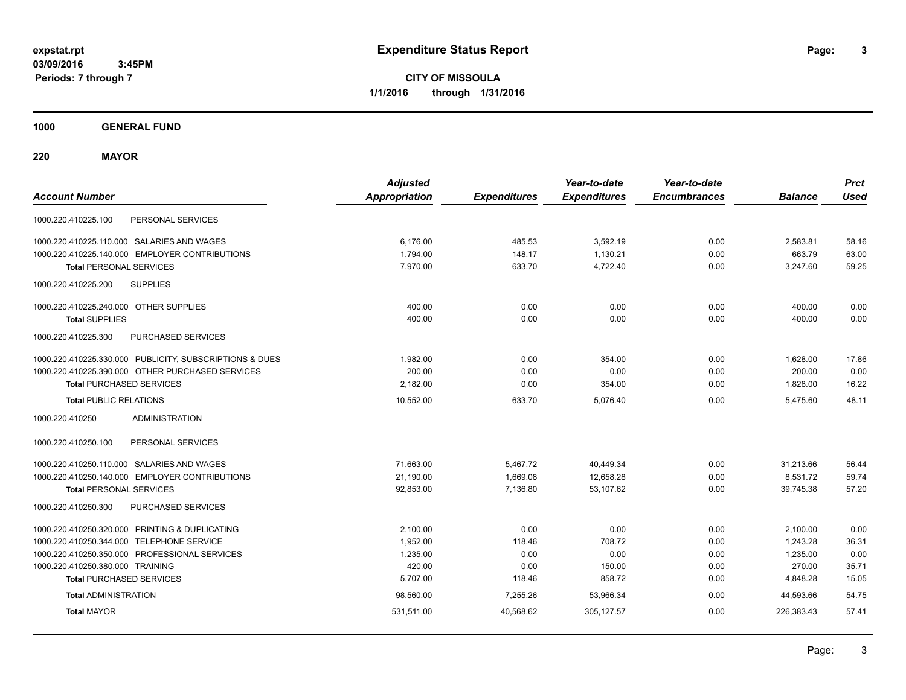**3**

**CITY OF MISSOULA 1/1/2016 through 1/31/2016**

**1000 GENERAL FUND**

**220 MAYOR**

| <b>Account Number</b>                                   | <b>Adjusted</b><br><b>Appropriation</b> | <b>Expenditures</b> | Year-to-date<br><b>Expenditures</b> | Year-to-date<br><b>Encumbrances</b> | <b>Balance</b> | <b>Prct</b><br><b>Used</b> |
|---------------------------------------------------------|-----------------------------------------|---------------------|-------------------------------------|-------------------------------------|----------------|----------------------------|
| PERSONAL SERVICES<br>1000.220.410225.100                |                                         |                     |                                     |                                     |                |                            |
| 1000.220.410225.110.000 SALARIES AND WAGES              | 6.176.00                                | 485.53              | 3,592.19                            | 0.00                                | 2,583.81       | 58.16                      |
| 1000.220.410225.140.000 EMPLOYER CONTRIBUTIONS          | 1,794.00                                | 148.17              | 1,130.21                            | 0.00                                | 663.79         | 63.00                      |
| <b>Total PERSONAL SERVICES</b>                          | 7,970.00                                | 633.70              | 4,722.40                            | 0.00                                | 3,247.60       | 59.25                      |
| 1000.220.410225.200<br><b>SUPPLIES</b>                  |                                         |                     |                                     |                                     |                |                            |
| 1000.220.410225.240.000 OTHER SUPPLIES                  | 400.00                                  | 0.00                | 0.00                                | 0.00                                | 400.00         | 0.00                       |
| <b>Total SUPPLIES</b>                                   | 400.00                                  | 0.00                | 0.00                                | 0.00                                | 400.00         | 0.00                       |
| PURCHASED SERVICES<br>1000.220.410225.300               |                                         |                     |                                     |                                     |                |                            |
| 1000.220.410225.330.000 PUBLICITY, SUBSCRIPTIONS & DUES | 1.982.00                                | 0.00                | 354.00                              | 0.00                                | 1,628.00       | 17.86                      |
| 1000.220.410225.390.000 OTHER PURCHASED SERVICES        | 200.00                                  | 0.00                | 0.00                                | 0.00                                | 200.00         | 0.00                       |
| <b>Total PURCHASED SERVICES</b>                         | 2,182.00                                | 0.00                | 354.00                              | 0.00                                | 1,828.00       | 16.22                      |
| <b>Total PUBLIC RELATIONS</b>                           | 10,552.00                               | 633.70              | 5,076.40                            | 0.00                                | 5,475.60       | 48.11                      |
| 1000.220.410250<br><b>ADMINISTRATION</b>                |                                         |                     |                                     |                                     |                |                            |
| 1000.220.410250.100<br>PERSONAL SERVICES                |                                         |                     |                                     |                                     |                |                            |
| 1000.220.410250.110.000 SALARIES AND WAGES              | 71,663.00                               | 5,467.72            | 40,449.34                           | 0.00                                | 31,213.66      | 56.44                      |
| 1000.220.410250.140.000 EMPLOYER CONTRIBUTIONS          | 21,190.00                               | 1,669.08            | 12,658.28                           | 0.00                                | 8,531.72       | 59.74                      |
| <b>Total PERSONAL SERVICES</b>                          | 92,853.00                               | 7,136.80            | 53,107.62                           | 0.00                                | 39,745.38      | 57.20                      |
| PURCHASED SERVICES<br>1000.220.410250.300               |                                         |                     |                                     |                                     |                |                            |
| 1000.220.410250.320.000 PRINTING & DUPLICATING          | 2,100.00                                | 0.00                | 0.00                                | 0.00                                | 2,100.00       | 0.00                       |
| 1000.220.410250.344.000 TELEPHONE SERVICE               | 1,952.00                                | 118.46              | 708.72                              | 0.00                                | 1,243.28       | 36.31                      |
| 1000.220.410250.350.000 PROFESSIONAL SERVICES           | 1,235.00                                | 0.00                | 0.00                                | 0.00                                | 1,235.00       | 0.00                       |
| 1000.220.410250.380.000 TRAINING                        | 420.00                                  | 0.00                | 150.00                              | 0.00                                | 270.00         | 35.71                      |
| <b>Total PURCHASED SERVICES</b>                         | 5,707.00                                | 118.46              | 858.72                              | 0.00                                | 4,848.28       | 15.05                      |
| <b>Total ADMINISTRATION</b>                             | 98,560.00                               | 7,255.26            | 53,966.34                           | 0.00                                | 44,593.66      | 54.75                      |
| <b>Total MAYOR</b>                                      | 531,511.00                              | 40.568.62           | 305, 127.57                         | 0.00                                | 226,383.43     | 57.41                      |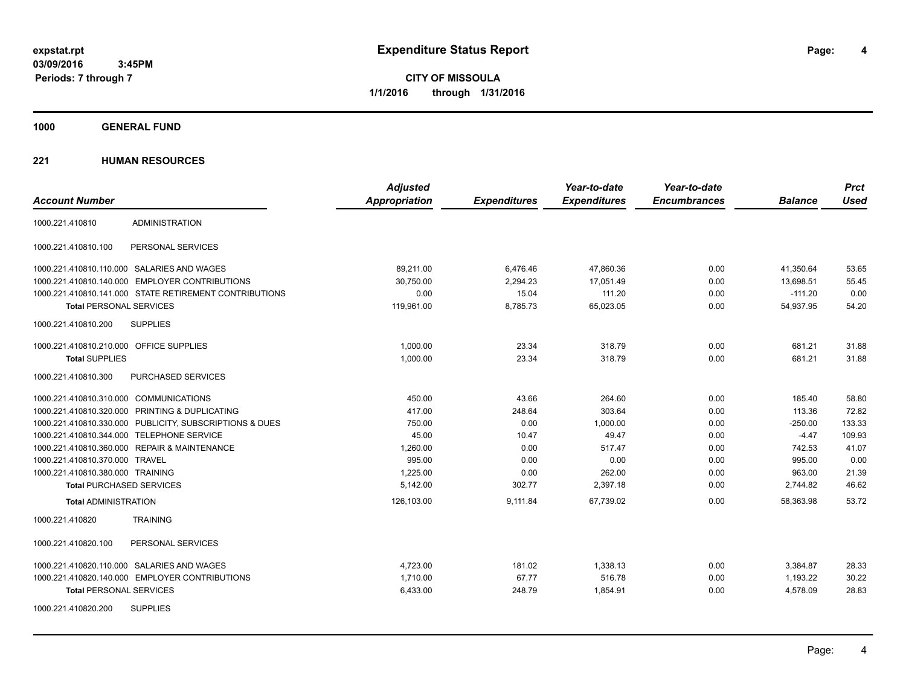**CITY OF MISSOULA 1/1/2016 through 1/31/2016**

**1000 GENERAL FUND**

|                                                         | <b>Adjusted</b>      |                     | Year-to-date        | Year-to-date        |                | <b>Prct</b> |
|---------------------------------------------------------|----------------------|---------------------|---------------------|---------------------|----------------|-------------|
| <b>Account Number</b>                                   | <b>Appropriation</b> | <b>Expenditures</b> | <b>Expenditures</b> | <b>Encumbrances</b> | <b>Balance</b> | <b>Used</b> |
| <b>ADMINISTRATION</b><br>1000.221.410810                |                      |                     |                     |                     |                |             |
| PERSONAL SERVICES<br>1000.221.410810.100                |                      |                     |                     |                     |                |             |
| 1000.221.410810.110.000 SALARIES AND WAGES              | 89,211.00            | 6,476.46            | 47,860.36           | 0.00                | 41,350.64      | 53.65       |
| 1000.221.410810.140.000 EMPLOYER CONTRIBUTIONS          | 30,750.00            | 2,294.23            | 17,051.49           | 0.00                | 13,698.51      | 55.45       |
| 1000.221.410810.141.000 STATE RETIREMENT CONTRIBUTIONS  | 0.00                 | 15.04               | 111.20              | 0.00                | $-111.20$      | 0.00        |
| <b>Total PERSONAL SERVICES</b>                          | 119,961.00           | 8,785.73            | 65,023.05           | 0.00                | 54,937.95      | 54.20       |
| 1000.221.410810.200<br><b>SUPPLIES</b>                  |                      |                     |                     |                     |                |             |
| 1000.221.410810.210.000 OFFICE SUPPLIES                 | 1,000.00             | 23.34               | 318.79              | 0.00                | 681.21         | 31.88       |
| <b>Total SUPPLIES</b>                                   | 1,000.00             | 23.34               | 318.79              | 0.00                | 681.21         | 31.88       |
| 1000.221.410810.300<br><b>PURCHASED SERVICES</b>        |                      |                     |                     |                     |                |             |
| 1000.221.410810.310.000 COMMUNICATIONS                  | 450.00               | 43.66               | 264.60              | 0.00                | 185.40         | 58.80       |
| 1000.221.410810.320.000 PRINTING & DUPLICATING          | 417.00               | 248.64              | 303.64              | 0.00                | 113.36         | 72.82       |
| 1000.221.410810.330.000 PUBLICITY, SUBSCRIPTIONS & DUES | 750.00               | 0.00                | 1,000.00            | 0.00                | $-250.00$      | 133.33      |
| 1000.221.410810.344.000 TELEPHONE SERVICE               | 45.00                | 10.47               | 49.47               | 0.00                | $-4.47$        | 109.93      |
| 1000.221.410810.360.000 REPAIR & MAINTENANCE            | 1,260.00             | 0.00                | 517.47              | 0.00                | 742.53         | 41.07       |
| 1000.221.410810.370.000 TRAVEL                          | 995.00               | 0.00                | 0.00                | 0.00                | 995.00         | 0.00        |
| 1000.221.410810.380.000 TRAINING                        | 1,225.00             | 0.00                | 262.00              | 0.00                | 963.00         | 21.39       |
| <b>Total PURCHASED SERVICES</b>                         | 5,142.00             | 302.77              | 2,397.18            | 0.00                | 2,744.82       | 46.62       |
| <b>Total ADMINISTRATION</b>                             | 126,103.00           | 9,111.84            | 67,739.02           | 0.00                | 58.363.98      | 53.72       |
| 1000.221.410820<br><b>TRAINING</b>                      |                      |                     |                     |                     |                |             |
| 1000.221.410820.100<br>PERSONAL SERVICES                |                      |                     |                     |                     |                |             |
| 1000.221.410820.110.000 SALARIES AND WAGES              | 4,723.00             | 181.02              | 1,338.13            | 0.00                | 3,384.87       | 28.33       |
| 1000.221.410820.140.000 EMPLOYER CONTRIBUTIONS          | 1,710.00             | 67.77               | 516.78              | 0.00                | 1,193.22       | 30.22       |
| <b>Total PERSONAL SERVICES</b>                          | 6,433.00             | 248.79              | 1,854.91            | 0.00                | 4,578.09       | 28.83       |
| <b>SUPPLIES</b><br>1000.221.410820.200                  |                      |                     |                     |                     |                |             |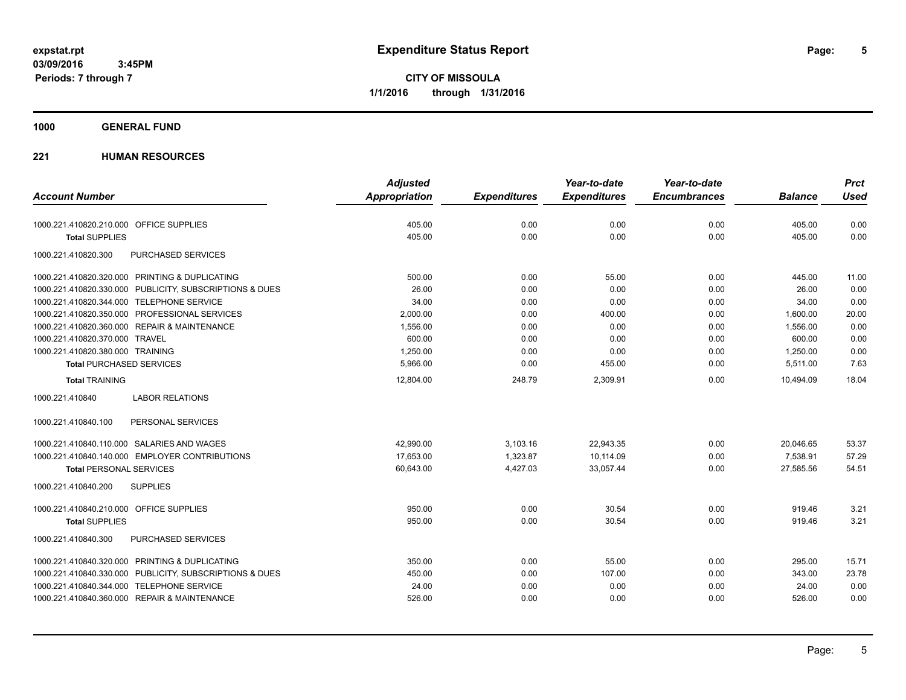**CITY OF MISSOULA 1/1/2016 through 1/31/2016**

### **1000 GENERAL FUND**

|                                                         | <b>Adjusted</b> |                     | Year-to-date        | Year-to-date        |                | <b>Prct</b> |
|---------------------------------------------------------|-----------------|---------------------|---------------------|---------------------|----------------|-------------|
| <b>Account Number</b>                                   | Appropriation   | <b>Expenditures</b> | <b>Expenditures</b> | <b>Encumbrances</b> | <b>Balance</b> | <b>Used</b> |
| 1000.221.410820.210.000 OFFICE SUPPLIES                 | 405.00          | 0.00                | 0.00                | 0.00                | 405.00         | 0.00        |
| <b>Total SUPPLIES</b>                                   | 405.00          | 0.00                | 0.00                | 0.00                | 405.00         | 0.00        |
| 1000.221.410820.300<br>PURCHASED SERVICES               |                 |                     |                     |                     |                |             |
| 1000.221.410820.320.000 PRINTING & DUPLICATING          | 500.00          | 0.00                | 55.00               | 0.00                | 445.00         | 11.00       |
| 1000.221.410820.330.000 PUBLICITY, SUBSCRIPTIONS & DUES | 26.00           | 0.00                | 0.00                | 0.00                | 26.00          | 0.00        |
| 1000.221.410820.344.000 TELEPHONE SERVICE               | 34.00           | 0.00                | 0.00                | 0.00                | 34.00          | 0.00        |
| 1000.221.410820.350.000 PROFESSIONAL SERVICES           | 2,000.00        | 0.00                | 400.00              | 0.00                | 1,600.00       | 20.00       |
| 1000.221.410820.360.000 REPAIR & MAINTENANCE            | 1,556.00        | 0.00                | 0.00                | 0.00                | 1,556.00       | 0.00        |
| 1000.221.410820.370.000 TRAVEL                          | 600.00          | 0.00                | 0.00                | 0.00                | 600.00         | 0.00        |
| 1000.221.410820.380.000 TRAINING                        | 1,250.00        | 0.00                | 0.00                | 0.00                | 1,250.00       | 0.00        |
| <b>Total PURCHASED SERVICES</b>                         | 5,966.00        | 0.00                | 455.00              | 0.00                | 5,511.00       | 7.63        |
| <b>Total TRAINING</b>                                   | 12,804.00       | 248.79              | 2,309.91            | 0.00                | 10,494.09      | 18.04       |
| <b>LABOR RELATIONS</b><br>1000.221.410840               |                 |                     |                     |                     |                |             |
| 1000.221.410840.100<br>PERSONAL SERVICES                |                 |                     |                     |                     |                |             |
| 1000.221.410840.110.000 SALARIES AND WAGES              | 42,990.00       | 3,103.16            | 22,943.35           | 0.00                | 20,046.65      | 53.37       |
| 1000.221.410840.140.000 EMPLOYER CONTRIBUTIONS          | 17,653.00       | 1,323.87            | 10,114.09           | 0.00                | 7,538.91       | 57.29       |
| <b>Total PERSONAL SERVICES</b>                          | 60,643.00       | 4,427.03            | 33,057.44           | 0.00                | 27,585.56      | 54.51       |
| 1000.221.410840.200<br><b>SUPPLIES</b>                  |                 |                     |                     |                     |                |             |
| 1000.221.410840.210.000 OFFICE SUPPLIES                 | 950.00          | 0.00                | 30.54               | 0.00                | 919.46         | 3.21        |
| <b>Total SUPPLIES</b>                                   | 950.00          | 0.00                | 30.54               | 0.00                | 919.46         | 3.21        |
| 1000.221.410840.300<br>PURCHASED SERVICES               |                 |                     |                     |                     |                |             |
| 1000.221.410840.320.000 PRINTING & DUPLICATING          | 350.00          | 0.00                | 55.00               | 0.00                | 295.00         | 15.71       |
| 1000.221.410840.330.000 PUBLICITY, SUBSCRIPTIONS & DUES | 450.00          | 0.00                | 107.00              | 0.00                | 343.00         | 23.78       |
| 1000.221.410840.344.000 TELEPHONE SERVICE               | 24.00           | 0.00                | 0.00                | 0.00                | 24.00          | 0.00        |
| 1000.221.410840.360.000 REPAIR & MAINTENANCE            | 526.00          | 0.00                | 0.00                | 0.00                | 526.00         | 0.00        |
|                                                         |                 |                     |                     |                     |                |             |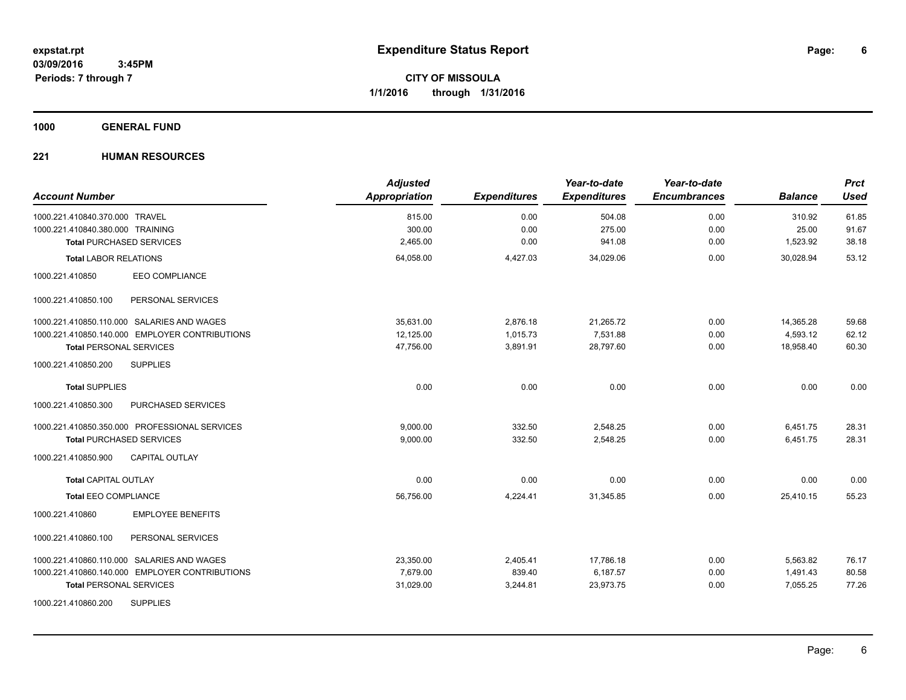### **1000 GENERAL FUND**

| <b>Account Number</b>                          | <b>Adjusted</b><br>Appropriation | <b>Expenditures</b> | Year-to-date<br><b>Expenditures</b> | Year-to-date<br><b>Encumbrances</b> | <b>Balance</b> | <b>Prct</b><br><b>Used</b> |
|------------------------------------------------|----------------------------------|---------------------|-------------------------------------|-------------------------------------|----------------|----------------------------|
| 1000.221.410840.370.000 TRAVEL                 | 815.00                           | 0.00                | 504.08                              | 0.00                                | 310.92         | 61.85                      |
| 1000.221.410840.380.000 TRAINING               | 300.00                           | 0.00                | 275.00                              | 0.00                                | 25.00          | 91.67                      |
| <b>Total PURCHASED SERVICES</b>                | 2,465.00                         | 0.00                | 941.08                              | 0.00                                | 1,523.92       | 38.18                      |
| <b>Total LABOR RELATIONS</b>                   | 64,058.00                        | 4,427.03            | 34,029.06                           | 0.00                                | 30.028.94      | 53.12                      |
| EEO COMPLIANCE<br>1000.221.410850              |                                  |                     |                                     |                                     |                |                            |
| PERSONAL SERVICES<br>1000.221.410850.100       |                                  |                     |                                     |                                     |                |                            |
| 1000.221.410850.110.000 SALARIES AND WAGES     | 35,631.00                        | 2,876.18            | 21,265.72                           | 0.00                                | 14,365.28      | 59.68                      |
| 1000.221.410850.140.000 EMPLOYER CONTRIBUTIONS | 12,125.00                        | 1,015.73            | 7,531.88                            | 0.00                                | 4,593.12       | 62.12                      |
| <b>Total PERSONAL SERVICES</b>                 | 47,756.00                        | 3,891.91            | 28,797.60                           | 0.00                                | 18,958.40      | 60.30                      |
| <b>SUPPLIES</b><br>1000.221.410850.200         |                                  |                     |                                     |                                     |                |                            |
| <b>Total SUPPLIES</b>                          | 0.00                             | 0.00                | 0.00                                | 0.00                                | 0.00           | 0.00                       |
| 1000.221.410850.300<br>PURCHASED SERVICES      |                                  |                     |                                     |                                     |                |                            |
| 1000.221.410850.350.000 PROFESSIONAL SERVICES  | 9,000.00                         | 332.50              | 2,548.25                            | 0.00                                | 6,451.75       | 28.31                      |
| <b>Total PURCHASED SERVICES</b>                | 9,000.00                         | 332.50              | 2,548.25                            | 0.00                                | 6,451.75       | 28.31                      |
| <b>CAPITAL OUTLAY</b><br>1000.221.410850.900   |                                  |                     |                                     |                                     |                |                            |
| <b>Total CAPITAL OUTLAY</b>                    | 0.00                             | 0.00                | 0.00                                | 0.00                                | 0.00           | 0.00                       |
| <b>Total EEO COMPLIANCE</b>                    | 56,756.00                        | 4,224.41            | 31,345.85                           | 0.00                                | 25.410.15      | 55.23                      |
| <b>EMPLOYEE BENEFITS</b><br>1000.221.410860    |                                  |                     |                                     |                                     |                |                            |
| 1000.221.410860.100<br>PERSONAL SERVICES       |                                  |                     |                                     |                                     |                |                            |
| 1000.221.410860.110.000 SALARIES AND WAGES     | 23,350.00                        | 2,405.41            | 17,786.18                           | 0.00                                | 5,563.82       | 76.17                      |
| 1000.221.410860.140.000 EMPLOYER CONTRIBUTIONS | 7,679.00                         | 839.40              | 6,187.57                            | 0.00                                | 1,491.43       | 80.58                      |
| <b>Total PERSONAL SERVICES</b>                 | 31,029.00                        | 3,244.81            | 23,973.75                           | 0.00                                | 7,055.25       | 77.26                      |
| <b>SUPPLIES</b><br>1000.221.410860.200         |                                  |                     |                                     |                                     |                |                            |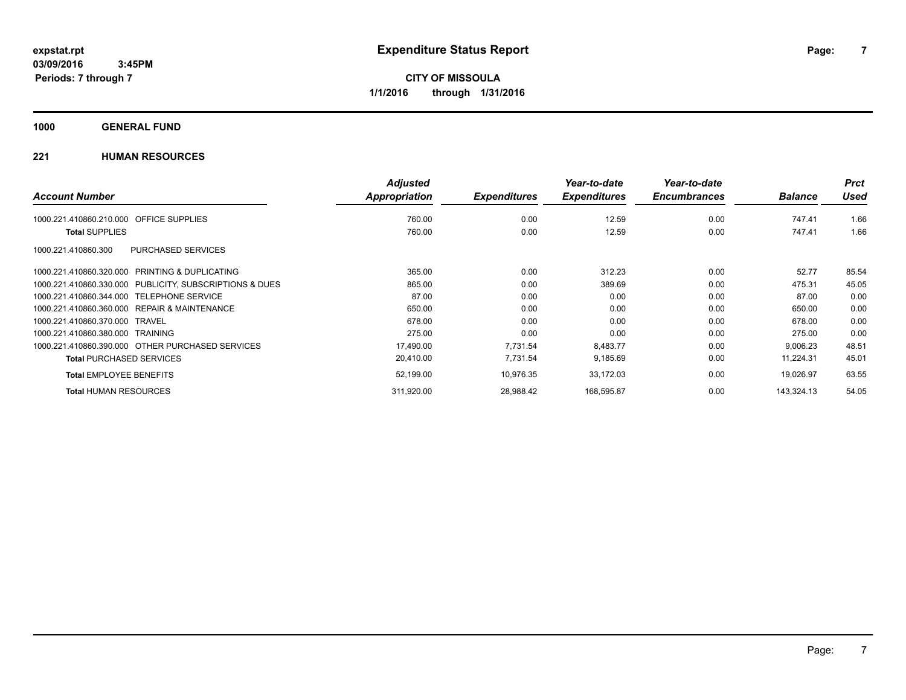**Periods: 7 through 7**

**7**

**CITY OF MISSOULA 1/1/2016 through 1/31/2016**

**1000 GENERAL FUND**

|                                                         | <b>Adjusted</b> |                     | Year-to-date        | Year-to-date        |                | <b>Prct</b> |
|---------------------------------------------------------|-----------------|---------------------|---------------------|---------------------|----------------|-------------|
| <b>Account Number</b>                                   | Appropriation   | <b>Expenditures</b> | <b>Expenditures</b> | <b>Encumbrances</b> | <b>Balance</b> | Used        |
| 1000.221.410860.210.000 OFFICE SUPPLIES                 | 760.00          | 0.00                | 12.59               | 0.00                | 747.41         | 1.66        |
| <b>Total SUPPLIES</b>                                   | 760.00          | 0.00                | 12.59               | 0.00                | 747.41         | 1.66        |
| PURCHASED SERVICES<br>1000.221.410860.300               |                 |                     |                     |                     |                |             |
| 1000.221.410860.320.000 PRINTING & DUPLICATING          | 365.00          | 0.00                | 312.23              | 0.00                | 52.77          | 85.54       |
| 1000.221.410860.330.000 PUBLICITY, SUBSCRIPTIONS & DUES | 865.00          | 0.00                | 389.69              | 0.00                | 475.31         | 45.05       |
| 1000.221.410860.344.000 TELEPHONE SERVICE               | 87.00           | 0.00                | 0.00                | 0.00                | 87.00          | 0.00        |
| 1000.221.410860.360.000 REPAIR & MAINTENANCE            | 650.00          | 0.00                | 0.00                | 0.00                | 650.00         | 0.00        |
| 1000.221.410860.370.000 TRAVEL                          | 678.00          | 0.00                | 0.00                | 0.00                | 678.00         | 0.00        |
| 1000.221.410860.380.000 TRAINING                        | 275.00          | 0.00                | 0.00                | 0.00                | 275.00         | 0.00        |
| 1000.221.410860.390.000 OTHER PURCHASED SERVICES        | 17,490.00       | 7,731.54            | 8,483.77            | 0.00                | 9,006.23       | 48.51       |
| <b>Total PURCHASED SERVICES</b>                         | 20,410.00       | 7,731.54            | 9,185.69            | 0.00                | 11,224.31      | 45.01       |
| <b>Total EMPLOYEE BENEFITS</b>                          | 52,199.00       | 10.976.35           | 33,172.03           | 0.00                | 19.026.97      | 63.55       |
| <b>Total HUMAN RESOURCES</b>                            | 311,920.00      | 28,988.42           | 168,595.87          | 0.00                | 143,324.13     | 54.05       |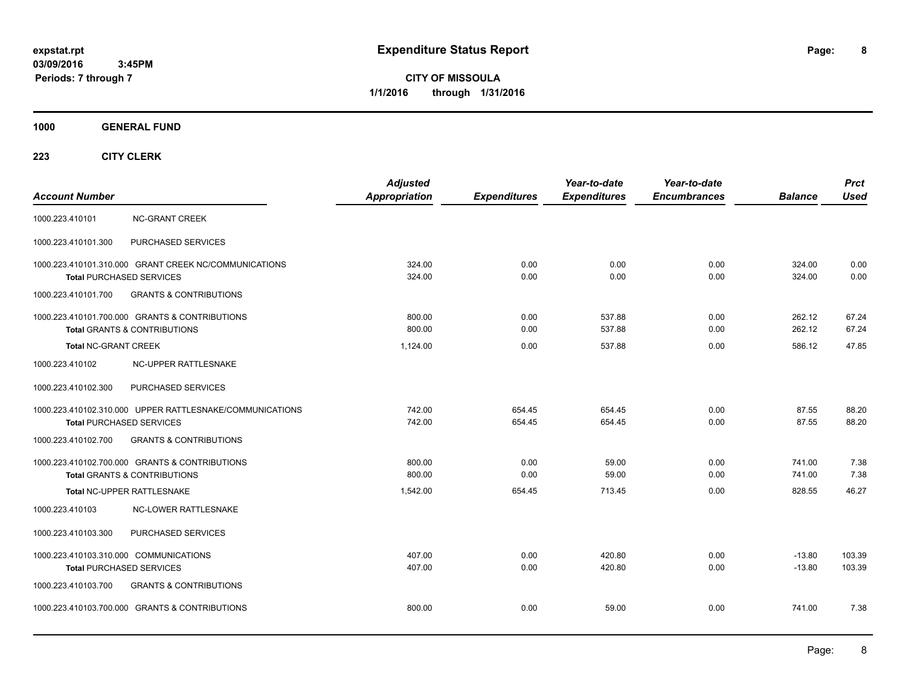**CITY OF MISSOULA 1/1/2016 through 1/31/2016**

**1000 GENERAL FUND**

| <b>Account Number</b>                  |                                                                                             | <b>Adjusted</b><br>Appropriation | <b>Expenditures</b> | Year-to-date<br><b>Expenditures</b> | Year-to-date<br><b>Encumbrances</b> | <b>Balance</b>       | <b>Prct</b><br><b>Used</b> |
|----------------------------------------|---------------------------------------------------------------------------------------------|----------------------------------|---------------------|-------------------------------------|-------------------------------------|----------------------|----------------------------|
| 1000.223.410101                        | <b>NC-GRANT CREEK</b>                                                                       |                                  |                     |                                     |                                     |                      |                            |
| 1000.223.410101.300                    | PURCHASED SERVICES                                                                          |                                  |                     |                                     |                                     |                      |                            |
|                                        | 1000.223.410101.310.000 GRANT CREEK NC/COMMUNICATIONS<br>Total PURCHASED SERVICES           | 324.00<br>324.00                 | 0.00<br>0.00        | 0.00<br>0.00                        | 0.00<br>0.00                        | 324.00<br>324.00     | 0.00<br>0.00               |
| 1000.223.410101.700                    | <b>GRANTS &amp; CONTRIBUTIONS</b>                                                           |                                  |                     |                                     |                                     |                      |                            |
|                                        | 1000.223.410101.700.000 GRANTS & CONTRIBUTIONS<br><b>Total GRANTS &amp; CONTRIBUTIONS</b>   | 800.00<br>800.00                 | 0.00<br>0.00        | 537.88<br>537.88                    | 0.00<br>0.00                        | 262.12<br>262.12     | 67.24<br>67.24             |
| <b>Total NC-GRANT CREEK</b>            |                                                                                             | 1.124.00                         | 0.00                | 537.88                              | 0.00                                | 586.12               | 47.85                      |
| 1000.223.410102                        | NC-UPPER RATTLESNAKE                                                                        |                                  |                     |                                     |                                     |                      |                            |
| 1000.223.410102.300                    | PURCHASED SERVICES                                                                          |                                  |                     |                                     |                                     |                      |                            |
|                                        | 1000.223.410102.310.000 UPPER RATTLESNAKE/COMMUNICATIONS<br><b>Total PURCHASED SERVICES</b> | 742.00<br>742.00                 | 654.45<br>654.45    | 654.45<br>654.45                    | 0.00<br>0.00                        | 87.55<br>87.55       | 88.20<br>88.20             |
| 1000.223.410102.700                    | <b>GRANTS &amp; CONTRIBUTIONS</b>                                                           |                                  |                     |                                     |                                     |                      |                            |
|                                        | 1000.223.410102.700.000 GRANTS & CONTRIBUTIONS<br><b>Total GRANTS &amp; CONTRIBUTIONS</b>   | 800.00<br>800.00                 | 0.00<br>0.00        | 59.00<br>59.00                      | 0.00<br>0.00                        | 741.00<br>741.00     | 7.38<br>7.38               |
|                                        | Total NC-UPPER RATTLESNAKE                                                                  | 1,542.00                         | 654.45              | 713.45                              | 0.00                                | 828.55               | 46.27                      |
| 1000.223.410103                        | <b>NC-LOWER RATTLESNAKE</b>                                                                 |                                  |                     |                                     |                                     |                      |                            |
| 1000.223.410103.300                    | PURCHASED SERVICES                                                                          |                                  |                     |                                     |                                     |                      |                            |
| 1000.223.410103.310.000 COMMUNICATIONS | Total PURCHASED SERVICES                                                                    | 407.00<br>407.00                 | 0.00<br>0.00        | 420.80<br>420.80                    | 0.00<br>0.00                        | $-13.80$<br>$-13.80$ | 103.39<br>103.39           |
| 1000.223.410103.700                    | <b>GRANTS &amp; CONTRIBUTIONS</b>                                                           |                                  |                     |                                     |                                     |                      |                            |
|                                        | 1000.223.410103.700.000 GRANTS & CONTRIBUTIONS                                              | 800.00                           | 0.00                | 59.00                               | 0.00                                | 741.00               | 7.38                       |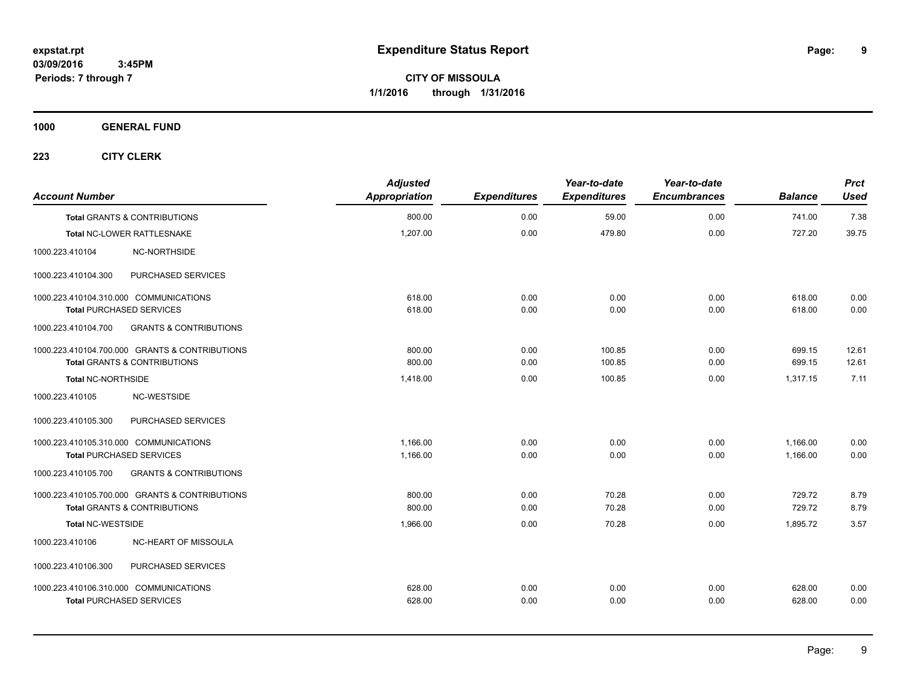**CITY OF MISSOULA 1/1/2016 through 1/31/2016**

**1000 GENERAL FUND**

| <b>Account Number</b>                  |                                                | <b>Adjusted</b><br>Appropriation | <b>Expenditures</b> | Year-to-date<br><b>Expenditures</b> | Year-to-date<br><b>Encumbrances</b> | <b>Balance</b> | <b>Prct</b><br><b>Used</b> |
|----------------------------------------|------------------------------------------------|----------------------------------|---------------------|-------------------------------------|-------------------------------------|----------------|----------------------------|
|                                        | <b>Total GRANTS &amp; CONTRIBUTIONS</b>        | 800.00                           | 0.00                | 59.00                               | 0.00                                | 741.00         | 7.38                       |
|                                        | Total NC-LOWER RATTLESNAKE                     | 1,207.00                         | 0.00                | 479.80                              | 0.00                                | 727.20         | 39.75                      |
| 1000.223.410104                        | <b>NC-NORTHSIDE</b>                            |                                  |                     |                                     |                                     |                |                            |
| 1000.223.410104.300                    | PURCHASED SERVICES                             |                                  |                     |                                     |                                     |                |                            |
| 1000.223.410104.310.000 COMMUNICATIONS |                                                | 618.00                           | 0.00                | 0.00                                | 0.00                                | 618.00         | 0.00                       |
| <b>Total PURCHASED SERVICES</b>        |                                                | 618.00                           | 0.00                | 0.00                                | 0.00                                | 618.00         | 0.00                       |
| 1000.223.410104.700                    | <b>GRANTS &amp; CONTRIBUTIONS</b>              |                                  |                     |                                     |                                     |                |                            |
|                                        | 1000.223.410104.700.000 GRANTS & CONTRIBUTIONS | 800.00                           | 0.00                | 100.85                              | 0.00                                | 699.15         | 12.61                      |
|                                        | <b>Total GRANTS &amp; CONTRIBUTIONS</b>        | 800.00                           | 0.00                | 100.85                              | 0.00                                | 699.15         | 12.61                      |
| Total NC-NORTHSIDE                     |                                                | 1,418.00                         | 0.00                | 100.85                              | 0.00                                | 1.317.15       | 7.11                       |
| 1000.223.410105                        | NC-WESTSIDE                                    |                                  |                     |                                     |                                     |                |                            |
| 1000.223.410105.300                    | PURCHASED SERVICES                             |                                  |                     |                                     |                                     |                |                            |
| 1000.223.410105.310.000 COMMUNICATIONS |                                                | 1,166.00                         | 0.00                | 0.00                                | 0.00                                | 1,166.00       | 0.00                       |
| <b>Total PURCHASED SERVICES</b>        |                                                | 1,166.00                         | 0.00                | 0.00                                | 0.00                                | 1,166.00       | 0.00                       |
| 1000.223.410105.700                    | <b>GRANTS &amp; CONTRIBUTIONS</b>              |                                  |                     |                                     |                                     |                |                            |
|                                        | 1000.223.410105.700.000 GRANTS & CONTRIBUTIONS | 800.00                           | 0.00                | 70.28                               | 0.00                                | 729.72         | 8.79                       |
|                                        | Total GRANTS & CONTRIBUTIONS                   | 800.00                           | 0.00                | 70.28                               | 0.00                                | 729.72         | 8.79                       |
| <b>Total NC-WESTSIDE</b>               |                                                | 1,966.00                         | 0.00                | 70.28                               | 0.00                                | 1,895.72       | 3.57                       |
| 1000.223.410106                        | NC-HEART OF MISSOULA                           |                                  |                     |                                     |                                     |                |                            |
| 1000.223.410106.300                    | PURCHASED SERVICES                             |                                  |                     |                                     |                                     |                |                            |
| 1000.223.410106.310.000 COMMUNICATIONS |                                                | 628.00                           | 0.00                | 0.00                                | 0.00                                | 628.00         | 0.00                       |
| <b>Total PURCHASED SERVICES</b>        |                                                | 628.00                           | 0.00                | 0.00                                | 0.00                                | 628.00         | 0.00                       |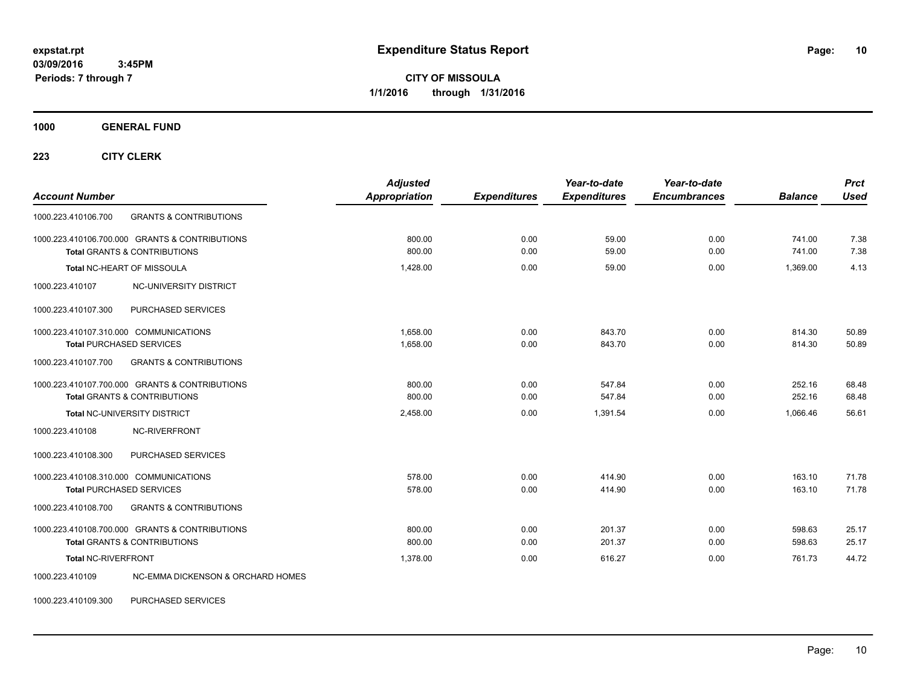**CITY OF MISSOULA 1/1/2016 through 1/31/2016**

**1000 GENERAL FUND**

**223 CITY CLERK**

| <b>Account Number</b>                                                                                                                 | <b>Adjusted</b><br>Appropriation | <b>Expenditures</b> | Year-to-date<br><b>Expenditures</b> | Year-to-date<br><b>Encumbrances</b> | <b>Balance</b>   | <b>Prct</b><br><b>Used</b> |
|---------------------------------------------------------------------------------------------------------------------------------------|----------------------------------|---------------------|-------------------------------------|-------------------------------------|------------------|----------------------------|
| 1000.223.410106.700<br><b>GRANTS &amp; CONTRIBUTIONS</b>                                                                              |                                  |                     |                                     |                                     |                  |                            |
| 1000.223.410106.700.000 GRANTS & CONTRIBUTIONS<br><b>Total GRANTS &amp; CONTRIBUTIONS</b>                                             | 800.00<br>800.00                 | 0.00<br>0.00        | 59.00<br>59.00                      | 0.00<br>0.00                        | 741.00<br>741.00 | 7.38<br>7.38               |
| Total NC-HEART OF MISSOULA                                                                                                            | 1,428.00                         | 0.00                | 59.00                               | 0.00                                | 1,369.00         | 4.13                       |
| NC-UNIVERSITY DISTRICT<br>1000.223.410107                                                                                             |                                  |                     |                                     |                                     |                  |                            |
| PURCHASED SERVICES<br>1000.223.410107.300                                                                                             |                                  |                     |                                     |                                     |                  |                            |
| 1000.223.410107.310.000 COMMUNICATIONS<br><b>Total PURCHASED SERVICES</b><br><b>GRANTS &amp; CONTRIBUTIONS</b><br>1000.223.410107.700 | 1.658.00<br>1,658.00             | 0.00<br>0.00        | 843.70<br>843.70                    | 0.00<br>0.00                        | 814.30<br>814.30 | 50.89<br>50.89             |
| 1000.223.410107.700.000 GRANTS & CONTRIBUTIONS<br><b>Total GRANTS &amp; CONTRIBUTIONS</b>                                             | 800.00<br>800.00                 | 0.00<br>0.00        | 547.84<br>547.84                    | 0.00<br>0.00                        | 252.16<br>252.16 | 68.48<br>68.48             |
| <b>Total NC-UNIVERSITY DISTRICT</b>                                                                                                   | 2,458.00                         | 0.00                | 1,391.54                            | 0.00                                | 1,066.46         | 56.61                      |
| NC-RIVERFRONT<br>1000.223.410108                                                                                                      |                                  |                     |                                     |                                     |                  |                            |
| 1000.223.410108.300<br>PURCHASED SERVICES                                                                                             |                                  |                     |                                     |                                     |                  |                            |
| 1000.223.410108.310.000 COMMUNICATIONS<br><b>Total PURCHASED SERVICES</b>                                                             | 578.00<br>578.00                 | 0.00<br>0.00        | 414.90<br>414.90                    | 0.00<br>0.00                        | 163.10<br>163.10 | 71.78<br>71.78             |
| <b>GRANTS &amp; CONTRIBUTIONS</b><br>1000.223.410108.700                                                                              |                                  |                     |                                     |                                     |                  |                            |
| 1000.223.410108.700.000 GRANTS & CONTRIBUTIONS<br><b>Total GRANTS &amp; CONTRIBUTIONS</b>                                             | 800.00<br>800.00                 | 0.00<br>0.00        | 201.37<br>201.37                    | 0.00<br>0.00                        | 598.63<br>598.63 | 25.17<br>25.17             |
| Total NC-RIVERFRONT                                                                                                                   | 1.378.00                         | 0.00                | 616.27                              | 0.00                                | 761.73           | 44.72                      |
| <b>NC-EMMA DICKENSON &amp; ORCHARD HOMES</b><br>1000.223.410109                                                                       |                                  |                     |                                     |                                     |                  |                            |

1000.223.410109.300 PURCHASED SERVICES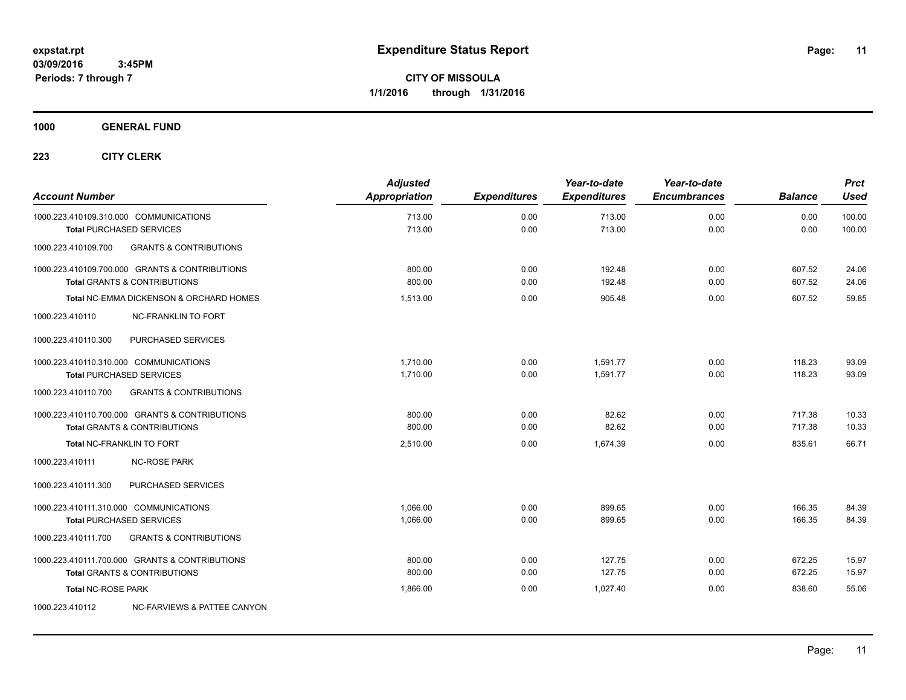### **1000 GENERAL FUND**

| <b>Account Number</b>                  |                                                                                           | <b>Adjusted</b><br><b>Appropriation</b> | <b>Expenditures</b> | Year-to-date<br><b>Expenditures</b> | Year-to-date<br><b>Encumbrances</b> | <b>Balance</b>   | <b>Prct</b><br><b>Used</b> |
|----------------------------------------|-------------------------------------------------------------------------------------------|-----------------------------------------|---------------------|-------------------------------------|-------------------------------------|------------------|----------------------------|
|                                        | 1000.223.410109.310.000 COMMUNICATIONS<br><b>Total PURCHASED SERVICES</b>                 | 713.00<br>713.00                        | 0.00<br>0.00        | 713.00<br>713.00                    | 0.00<br>0.00                        | 0.00<br>0.00     | 100.00<br>100.00           |
| 1000.223.410109.700                    | <b>GRANTS &amp; CONTRIBUTIONS</b>                                                         |                                         |                     |                                     |                                     |                  |                            |
|                                        | 1000.223.410109.700.000 GRANTS & CONTRIBUTIONS<br><b>Total GRANTS &amp; CONTRIBUTIONS</b> | 800.00<br>800.00                        | 0.00<br>0.00        | 192.48<br>192.48                    | 0.00<br>0.00                        | 607.52<br>607.52 | 24.06<br>24.06             |
|                                        | Total NC-EMMA DICKENSON & ORCHARD HOMES                                                   | 1,513.00                                | 0.00                | 905.48                              | 0.00                                | 607.52           | 59.85                      |
| 1000.223.410110                        | <b>NC-FRANKLIN TO FORT</b>                                                                |                                         |                     |                                     |                                     |                  |                            |
| 1000.223.410110.300                    | PURCHASED SERVICES                                                                        |                                         |                     |                                     |                                     |                  |                            |
| 1000.223.410110.310.000 COMMUNICATIONS | <b>Total PURCHASED SERVICES</b>                                                           | 1,710.00<br>1,710.00                    | 0.00<br>0.00        | 1,591.77<br>1.591.77                | 0.00<br>0.00                        | 118.23<br>118.23 | 93.09<br>93.09             |
| 1000.223.410110.700                    | <b>GRANTS &amp; CONTRIBUTIONS</b>                                                         |                                         |                     |                                     |                                     |                  |                            |
|                                        | 1000.223.410110.700.000 GRANTS & CONTRIBUTIONS<br><b>Total GRANTS &amp; CONTRIBUTIONS</b> | 800.00<br>800.00                        | 0.00<br>0.00        | 82.62<br>82.62                      | 0.00<br>0.00                        | 717.38<br>717.38 | 10.33<br>10.33             |
|                                        | Total NC-FRANKLIN TO FORT                                                                 | 2,510.00                                | 0.00                | 1,674.39                            | 0.00                                | 835.61           | 66.71                      |
| 1000.223.410111                        | <b>NC-ROSE PARK</b>                                                                       |                                         |                     |                                     |                                     |                  |                            |
| 1000.223.410111.300                    | PURCHASED SERVICES                                                                        |                                         |                     |                                     |                                     |                  |                            |
| 1000.223.410111.310.000 COMMUNICATIONS | <b>Total PURCHASED SERVICES</b>                                                           | 1,066.00<br>1,066.00                    | 0.00<br>0.00        | 899.65<br>899.65                    | 0.00<br>0.00                        | 166.35<br>166.35 | 84.39<br>84.39             |
| 1000.223.410111.700                    | <b>GRANTS &amp; CONTRIBUTIONS</b>                                                         |                                         |                     |                                     |                                     |                  |                            |
|                                        | 1000.223.410111.700.000 GRANTS & CONTRIBUTIONS<br><b>Total GRANTS &amp; CONTRIBUTIONS</b> | 800.00<br>800.00                        | 0.00<br>0.00        | 127.75<br>127.75                    | 0.00<br>0.00                        | 672.25<br>672.25 | 15.97<br>15.97             |
| <b>Total NC-ROSE PARK</b>              |                                                                                           | 1,866.00                                | 0.00                | 1,027.40                            | 0.00                                | 838.60           | 55.06                      |
| 1000.223.410112                        | NC-FARVIEWS & PATTEE CANYON                                                               |                                         |                     |                                     |                                     |                  |                            |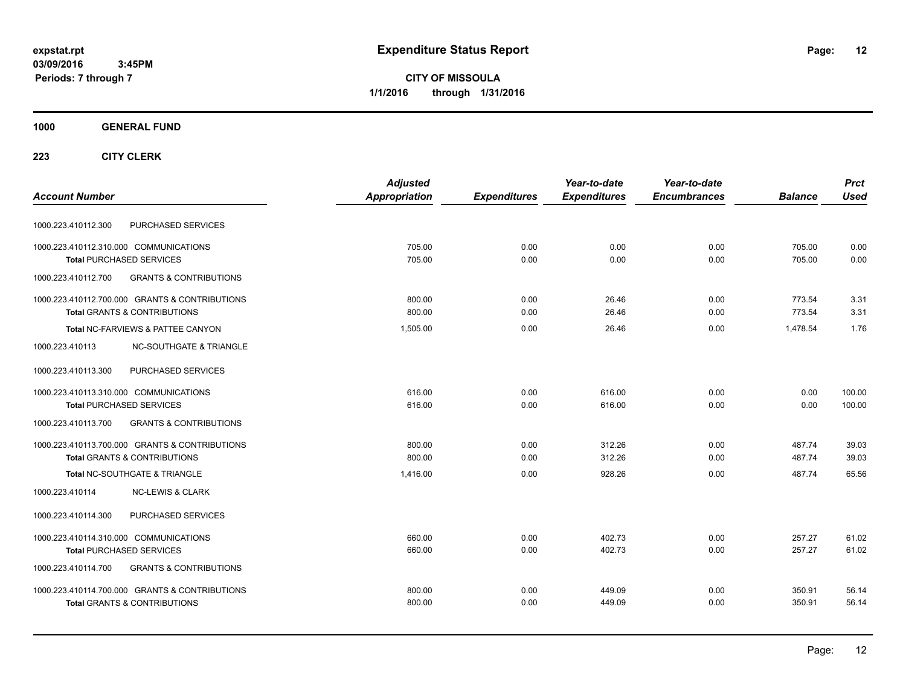**CITY OF MISSOULA 1/1/2016 through 1/31/2016**

### **1000 GENERAL FUND**

|                                                          | <b>Adjusted</b> |                     | Year-to-date        | Year-to-date        |                | <b>Prct</b> |
|----------------------------------------------------------|-----------------|---------------------|---------------------|---------------------|----------------|-------------|
| <b>Account Number</b>                                    | Appropriation   | <b>Expenditures</b> | <b>Expenditures</b> | <b>Encumbrances</b> | <b>Balance</b> | <b>Used</b> |
| PURCHASED SERVICES<br>1000.223.410112.300                |                 |                     |                     |                     |                |             |
| 1000.223.410112.310.000 COMMUNICATIONS                   | 705.00          | 0.00                | 0.00                | 0.00                | 705.00         | 0.00        |
| <b>Total PURCHASED SERVICES</b>                          | 705.00          | 0.00                | 0.00                | 0.00                | 705.00         | 0.00        |
| <b>GRANTS &amp; CONTRIBUTIONS</b><br>1000.223.410112.700 |                 |                     |                     |                     |                |             |
| 1000.223.410112.700.000 GRANTS & CONTRIBUTIONS           | 800.00          | 0.00                | 26.46               | 0.00                | 773.54         | 3.31        |
| <b>Total GRANTS &amp; CONTRIBUTIONS</b>                  | 800.00          | 0.00                | 26.46               | 0.00                | 773.54         | 3.31        |
| Total NC-FARVIEWS & PATTEE CANYON                        | 1,505.00        | 0.00                | 26.46               | 0.00                | 1,478.54       | 1.76        |
| 1000.223.410113<br><b>NC-SOUTHGATE &amp; TRIANGLE</b>    |                 |                     |                     |                     |                |             |
| 1000.223.410113.300<br>PURCHASED SERVICES                |                 |                     |                     |                     |                |             |
| 1000.223.410113.310.000 COMMUNICATIONS                   | 616.00          | 0.00                | 616.00              | 0.00                | 0.00           | 100.00      |
| <b>Total PURCHASED SERVICES</b>                          | 616.00          | 0.00                | 616.00              | 0.00                | 0.00           | 100.00      |
| <b>GRANTS &amp; CONTRIBUTIONS</b><br>1000.223.410113.700 |                 |                     |                     |                     |                |             |
| 1000.223.410113.700.000 GRANTS & CONTRIBUTIONS           | 800.00          | 0.00                | 312.26              | 0.00                | 487.74         | 39.03       |
| <b>Total GRANTS &amp; CONTRIBUTIONS</b>                  | 800.00          | 0.00                | 312.26              | 0.00                | 487.74         | 39.03       |
| Total NC-SOUTHGATE & TRIANGLE                            | 1,416.00        | 0.00                | 928.26              | 0.00                | 487.74         | 65.56       |
| <b>NC-LEWIS &amp; CLARK</b><br>1000.223.410114           |                 |                     |                     |                     |                |             |
| PURCHASED SERVICES<br>1000.223.410114.300                |                 |                     |                     |                     |                |             |
| 1000.223.410114.310.000 COMMUNICATIONS                   | 660.00          | 0.00                | 402.73              | 0.00                | 257.27         | 61.02       |
| <b>Total PURCHASED SERVICES</b>                          | 660.00          | 0.00                | 402.73              | 0.00                | 257.27         | 61.02       |
| 1000.223.410114.700<br><b>GRANTS &amp; CONTRIBUTIONS</b> |                 |                     |                     |                     |                |             |
| 1000.223.410114.700.000 GRANTS & CONTRIBUTIONS           | 800.00          | 0.00                | 449.09              | 0.00                | 350.91         | 56.14       |
| <b>Total GRANTS &amp; CONTRIBUTIONS</b>                  | 800.00          | 0.00                | 449.09              | 0.00                | 350.91         | 56.14       |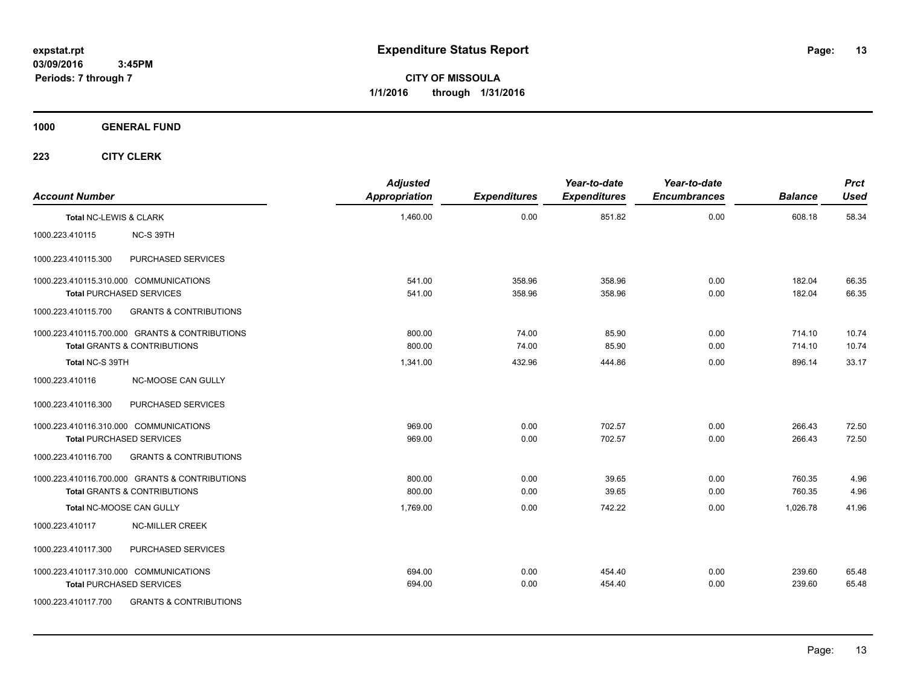**CITY OF MISSOULA 1/1/2016 through 1/31/2016**

**1000 GENERAL FUND**

| <b>Account Number</b>  |                                                                                           | <b>Adjusted</b><br><b>Appropriation</b> | <b>Expenditures</b> | Year-to-date<br><b>Expenditures</b> | Year-to-date<br><b>Encumbrances</b> | <b>Balance</b>   | <b>Prct</b><br><b>Used</b> |
|------------------------|-------------------------------------------------------------------------------------------|-----------------------------------------|---------------------|-------------------------------------|-------------------------------------|------------------|----------------------------|
| Total NC-LEWIS & CLARK |                                                                                           | 1,460.00                                | 0.00                | 851.82                              | 0.00                                | 608.18           | 58.34                      |
| 1000.223.410115        | NC-S 39TH                                                                                 |                                         |                     |                                     |                                     |                  |                            |
| 1000.223.410115.300    | PURCHASED SERVICES                                                                        |                                         |                     |                                     |                                     |                  |                            |
|                        | 1000.223.410115.310.000 COMMUNICATIONS<br><b>Total PURCHASED SERVICES</b>                 | 541.00<br>541.00                        | 358.96<br>358.96    | 358.96<br>358.96                    | 0.00<br>0.00                        | 182.04<br>182.04 | 66.35<br>66.35             |
| 1000.223.410115.700    | <b>GRANTS &amp; CONTRIBUTIONS</b>                                                         |                                         |                     |                                     |                                     |                  |                            |
|                        | 1000.223.410115.700.000 GRANTS & CONTRIBUTIONS<br><b>Total GRANTS &amp; CONTRIBUTIONS</b> | 800.00<br>800.00                        | 74.00<br>74.00      | 85.90<br>85.90                      | 0.00<br>0.00                        | 714.10<br>714.10 | 10.74<br>10.74             |
| Total NC-S 39TH        |                                                                                           | 1,341.00                                | 432.96              | 444.86                              | 0.00                                | 896.14           | 33.17                      |
| 1000.223.410116        | NC-MOOSE CAN GULLY                                                                        |                                         |                     |                                     |                                     |                  |                            |
| 1000.223.410116.300    | PURCHASED SERVICES                                                                        |                                         |                     |                                     |                                     |                  |                            |
|                        | 1000.223.410116.310.000 COMMUNICATIONS<br><b>Total PURCHASED SERVICES</b>                 | 969.00<br>969.00                        | 0.00<br>0.00        | 702.57<br>702.57                    | 0.00<br>0.00                        | 266.43<br>266.43 | 72.50<br>72.50             |
| 1000.223.410116.700    | <b>GRANTS &amp; CONTRIBUTIONS</b>                                                         |                                         |                     |                                     |                                     |                  |                            |
|                        | 1000.223.410116.700.000 GRANTS & CONTRIBUTIONS<br><b>Total GRANTS &amp; CONTRIBUTIONS</b> | 800.00<br>800.00                        | 0.00<br>0.00        | 39.65<br>39.65                      | 0.00<br>0.00                        | 760.35<br>760.35 | 4.96<br>4.96               |
|                        | Total NC-MOOSE CAN GULLY                                                                  | 1,769.00                                | 0.00                | 742.22                              | 0.00                                | 1,026.78         | 41.96                      |
| 1000.223.410117        | <b>NC-MILLER CREEK</b>                                                                    |                                         |                     |                                     |                                     |                  |                            |
| 1000.223.410117.300    | PURCHASED SERVICES                                                                        |                                         |                     |                                     |                                     |                  |                            |
|                        | 1000.223.410117.310.000 COMMUNICATIONS<br><b>Total PURCHASED SERVICES</b>                 | 694.00<br>694.00                        | 0.00<br>0.00        | 454.40<br>454.40                    | 0.00<br>0.00                        | 239.60<br>239.60 | 65.48<br>65.48             |
| 1000.223.410117.700    | <b>GRANTS &amp; CONTRIBUTIONS</b>                                                         |                                         |                     |                                     |                                     |                  |                            |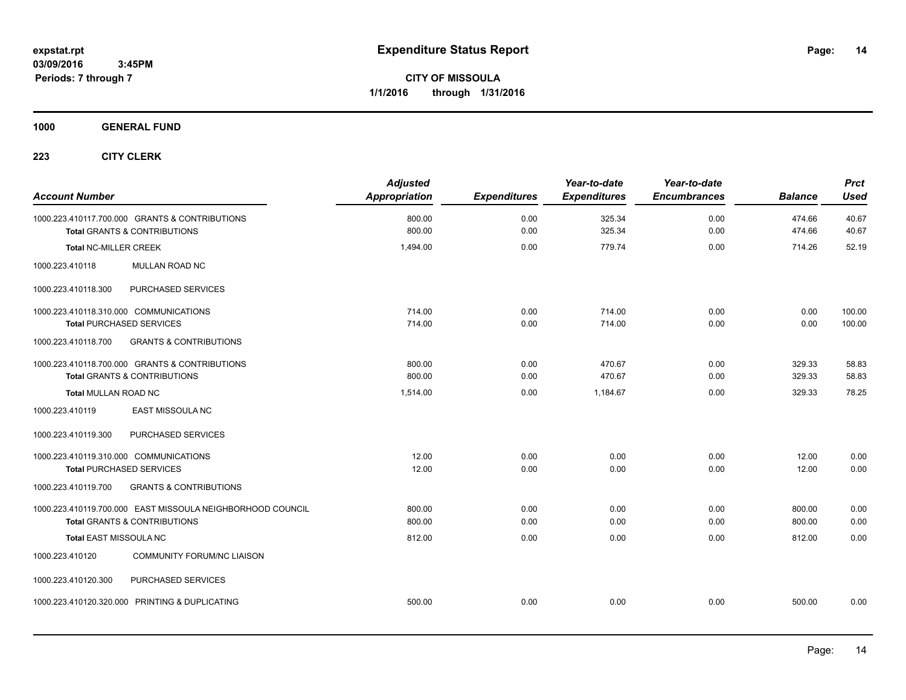**CITY OF MISSOULA 1/1/2016 through 1/31/2016**

### **1000 GENERAL FUND**

| <b>Account Number</b>                                                                                 | <b>Adjusted</b><br><b>Appropriation</b> | <b>Expenditures</b> | Year-to-date<br><b>Expenditures</b> | Year-to-date<br><b>Encumbrances</b> | <b>Balance</b>   | <b>Prct</b><br><b>Used</b> |
|-------------------------------------------------------------------------------------------------------|-----------------------------------------|---------------------|-------------------------------------|-------------------------------------|------------------|----------------------------|
| 1000.223.410117.700.000 GRANTS & CONTRIBUTIONS<br><b>Total GRANTS &amp; CONTRIBUTIONS</b>             | 800.00<br>800.00                        | 0.00<br>0.00        | 325.34<br>325.34                    | 0.00<br>0.00                        | 474.66<br>474.66 | 40.67<br>40.67             |
| <b>Total NC-MILLER CREEK</b>                                                                          | 1,494.00                                | 0.00                | 779.74                              | 0.00                                | 714.26           | 52.19                      |
| MULLAN ROAD NC<br>1000.223.410118                                                                     |                                         |                     |                                     |                                     |                  |                            |
| PURCHASED SERVICES<br>1000.223.410118.300                                                             |                                         |                     |                                     |                                     |                  |                            |
| 1000.223.410118.310.000 COMMUNICATIONS<br><b>Total PURCHASED SERVICES</b>                             | 714.00<br>714.00                        | 0.00<br>0.00        | 714.00<br>714.00                    | 0.00<br>0.00                        | 0.00<br>0.00     | 100.00<br>100.00           |
| <b>GRANTS &amp; CONTRIBUTIONS</b><br>1000.223.410118.700                                              |                                         |                     |                                     |                                     |                  |                            |
| 1000.223.410118.700.000 GRANTS & CONTRIBUTIONS<br><b>Total GRANTS &amp; CONTRIBUTIONS</b>             | 800.00<br>800.00                        | 0.00<br>0.00        | 470.67<br>470.67                    | 0.00<br>0.00                        | 329.33<br>329.33 | 58.83<br>58.83             |
| <b>Total MULLAN ROAD NC</b>                                                                           | 1,514.00                                | 0.00                | 1,184.67                            | 0.00                                | 329.33           | 78.25                      |
| <b>EAST MISSOULA NC</b><br>1000.223.410119                                                            |                                         |                     |                                     |                                     |                  |                            |
| PURCHASED SERVICES<br>1000.223.410119.300                                                             |                                         |                     |                                     |                                     |                  |                            |
| 1000.223.410119.310.000 COMMUNICATIONS<br><b>Total PURCHASED SERVICES</b>                             | 12.00<br>12.00                          | 0.00<br>0.00        | 0.00<br>0.00                        | 0.00<br>0.00                        | 12.00<br>12.00   | 0.00<br>0.00               |
| 1000.223.410119.700<br><b>GRANTS &amp; CONTRIBUTIONS</b>                                              |                                         |                     |                                     |                                     |                  |                            |
| 1000.223.410119.700.000 EAST MISSOULA NEIGHBORHOOD COUNCIL<br><b>Total GRANTS &amp; CONTRIBUTIONS</b> | 800.00<br>800.00                        | 0.00<br>0.00        | 0.00<br>0.00                        | 0.00<br>0.00                        | 800.00<br>800.00 | 0.00<br>0.00               |
| <b>Total EAST MISSOULA NC</b>                                                                         | 812.00                                  | 0.00                | 0.00                                | 0.00                                | 812.00           | 0.00                       |
| <b>COMMUNITY FORUM/NC LIAISON</b><br>1000.223.410120                                                  |                                         |                     |                                     |                                     |                  |                            |
| PURCHASED SERVICES<br>1000.223.410120.300                                                             |                                         |                     |                                     |                                     |                  |                            |
| 1000.223.410120.320.000 PRINTING & DUPLICATING                                                        | 500.00                                  | 0.00                | 0.00                                | 0.00                                | 500.00           | 0.00                       |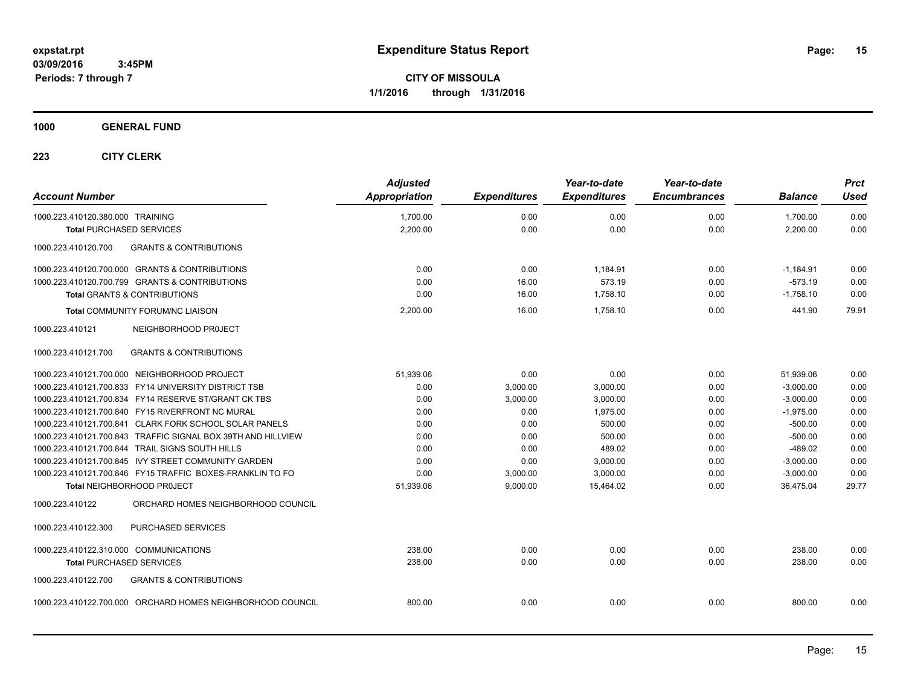**CITY OF MISSOULA 1/1/2016 through 1/31/2016**

### **1000 GENERAL FUND**

| <b>Account Number</b>                                        | <b>Adjusted</b><br><b>Appropriation</b> | <b>Expenditures</b> | Year-to-date<br><b>Expenditures</b> | Year-to-date<br><b>Encumbrances</b> | <b>Balance</b> | <b>Prct</b><br><b>Used</b> |
|--------------------------------------------------------------|-----------------------------------------|---------------------|-------------------------------------|-------------------------------------|----------------|----------------------------|
| 1000.223.410120.380.000 TRAINING                             | 1,700.00                                | 0.00                | 0.00                                | 0.00                                | 1,700.00       | 0.00                       |
| <b>Total PURCHASED SERVICES</b>                              | 2,200.00                                | 0.00                | 0.00                                | 0.00                                | 2,200.00       | 0.00                       |
| <b>GRANTS &amp; CONTRIBUTIONS</b><br>1000.223.410120.700     |                                         |                     |                                     |                                     |                |                            |
| 1000.223.410120.700.000 GRANTS & CONTRIBUTIONS               | 0.00                                    | 0.00                | 1,184.91                            | 0.00                                | $-1,184.91$    | 0.00                       |
| 1000.223.410120.700.799 GRANTS & CONTRIBUTIONS               | 0.00                                    | 16.00               | 573.19                              | 0.00                                | $-573.19$      | 0.00                       |
| <b>Total GRANTS &amp; CONTRIBUTIONS</b>                      | 0.00                                    | 16.00               | 1,758.10                            | 0.00                                | $-1,758.10$    | 0.00                       |
| <b>Total COMMUNITY FORUM/NC LIAISON</b>                      | 2,200.00                                | 16.00               | 1,758.10                            | 0.00                                | 441.90         | 79.91                      |
| NEIGHBORHOOD PROJECT<br>1000.223.410121                      |                                         |                     |                                     |                                     |                |                            |
| <b>GRANTS &amp; CONTRIBUTIONS</b><br>1000.223.410121.700     |                                         |                     |                                     |                                     |                |                            |
| 1000.223.410121.700.000 NEIGHBORHOOD PROJECT                 | 51,939.06                               | 0.00                | 0.00                                | 0.00                                | 51,939.06      | 0.00                       |
| 1000.223.410121.700.833 FY14 UNIVERSITY DISTRICT TSB         | 0.00                                    | 3,000.00            | 3,000.00                            | 0.00                                | $-3,000.00$    | 0.00                       |
| 1000.223.410121.700.834 FY14 RESERVE ST/GRANT CK TBS         | 0.00                                    | 3,000.00            | 3,000.00                            | 0.00                                | $-3,000.00$    | 0.00                       |
| 1000.223.410121.700.840 FY15 RIVERFRONT NC MURAL             | 0.00                                    | 0.00                | 1,975.00                            | 0.00                                | $-1,975.00$    | 0.00                       |
| 1000.223.410121.700.841 CLARK FORK SCHOOL SOLAR PANELS       | 0.00                                    | 0.00                | 500.00                              | 0.00                                | $-500.00$      | 0.00                       |
| 1000.223.410121.700.843 TRAFFIC SIGNAL BOX 39TH AND HILLVIEW | 0.00                                    | 0.00                | 500.00                              | 0.00                                | $-500.00$      | 0.00                       |
| 1000.223.410121.700.844 TRAIL SIGNS SOUTH HILLS              | 0.00                                    | 0.00                | 489.02                              | 0.00                                | $-489.02$      | 0.00                       |
| 1000.223.410121.700.845 IVY STREET COMMUNITY GARDEN          | 0.00                                    | 0.00                | 3,000.00                            | 0.00                                | $-3,000.00$    | 0.00                       |
| 1000.223.410121.700.846 FY15 TRAFFIC BOXES-FRANKLIN TO FO    | 0.00                                    | 3,000.00            | 3,000.00                            | 0.00                                | $-3,000.00$    | 0.00                       |
| Total NEIGHBORHOOD PROJECT                                   | 51,939.06                               | 9,000.00            | 15,464.02                           | 0.00                                | 36,475.04      | 29.77                      |
| ORCHARD HOMES NEIGHBORHOOD COUNCIL<br>1000.223.410122        |                                         |                     |                                     |                                     |                |                            |
| PURCHASED SERVICES<br>1000.223.410122.300                    |                                         |                     |                                     |                                     |                |                            |
| 1000.223.410122.310.000 COMMUNICATIONS                       | 238.00                                  | 0.00                | 0.00                                | 0.00                                | 238.00         | 0.00                       |
| <b>Total PURCHASED SERVICES</b>                              | 238.00                                  | 0.00                | 0.00                                | 0.00                                | 238.00         | 0.00                       |
| 1000.223.410122.700<br><b>GRANTS &amp; CONTRIBUTIONS</b>     |                                         |                     |                                     |                                     |                |                            |
| 1000.223.410122.700.000 ORCHARD HOMES NEIGHBORHOOD COUNCIL   | 800.00                                  | 0.00                | 0.00                                | 0.00                                | 800.00         | 0.00                       |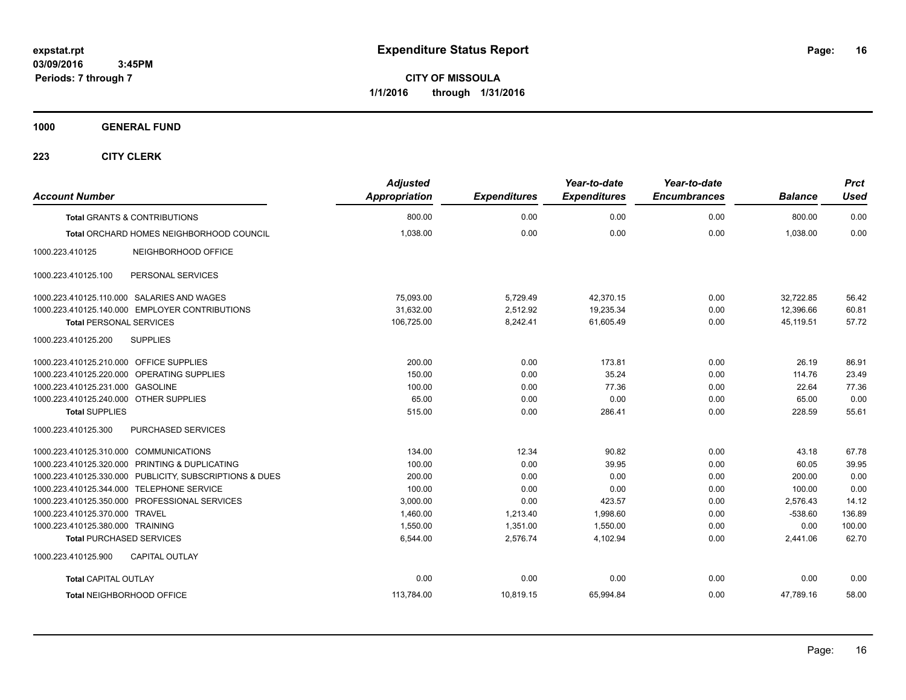**CITY OF MISSOULA 1/1/2016 through 1/31/2016**

**1000 GENERAL FUND**

| <b>Account Number</b>                                   | <b>Adjusted</b><br><b>Appropriation</b> | <b>Expenditures</b> | Year-to-date<br><b>Expenditures</b> | Year-to-date<br><b>Encumbrances</b> | <b>Balance</b> | <b>Prct</b><br><b>Used</b> |
|---------------------------------------------------------|-----------------------------------------|---------------------|-------------------------------------|-------------------------------------|----------------|----------------------------|
| <b>Total GRANTS &amp; CONTRIBUTIONS</b>                 | 800.00                                  | 0.00                | 0.00                                | 0.00                                | 800.00         | 0.00                       |
| Total ORCHARD HOMES NEIGHBORHOOD COUNCIL                | 1,038.00                                | 0.00                | 0.00                                | 0.00                                | 1,038.00       | 0.00                       |
| 1000.223.410125<br>NEIGHBORHOOD OFFICE                  |                                         |                     |                                     |                                     |                |                            |
| 1000.223.410125.100<br>PERSONAL SERVICES                |                                         |                     |                                     |                                     |                |                            |
| 1000.223.410125.110.000 SALARIES AND WAGES              | 75,093.00                               | 5,729.49            | 42,370.15                           | 0.00                                | 32,722.85      | 56.42                      |
| 1000.223.410125.140.000 EMPLOYER CONTRIBUTIONS          | 31,632.00                               | 2,512.92            | 19,235.34                           | 0.00                                | 12,396.66      | 60.81                      |
| <b>Total PERSONAL SERVICES</b>                          | 106,725.00                              | 8,242.41            | 61,605.49                           | 0.00                                | 45,119.51      | 57.72                      |
| 1000.223.410125.200<br><b>SUPPLIES</b>                  |                                         |                     |                                     |                                     |                |                            |
| 1000.223.410125.210.000 OFFICE SUPPLIES                 | 200.00                                  | 0.00                | 173.81                              | 0.00                                | 26.19          | 86.91                      |
| 1000.223.410125.220.000 OPERATING SUPPLIES              | 150.00                                  | 0.00                | 35.24                               | 0.00                                | 114.76         | 23.49                      |
| 1000.223.410125.231.000 GASOLINE                        | 100.00                                  | 0.00                | 77.36                               | 0.00                                | 22.64          | 77.36                      |
| 1000.223.410125.240.000 OTHER SUPPLIES                  | 65.00                                   | 0.00                | 0.00                                | 0.00                                | 65.00          | 0.00                       |
| <b>Total SUPPLIES</b>                                   | 515.00                                  | 0.00                | 286.41                              | 0.00                                | 228.59         | 55.61                      |
| 1000.223.410125.300<br><b>PURCHASED SERVICES</b>        |                                         |                     |                                     |                                     |                |                            |
| 1000.223.410125.310.000 COMMUNICATIONS                  | 134.00                                  | 12.34               | 90.82                               | 0.00                                | 43.18          | 67.78                      |
| 1000.223.410125.320.000 PRINTING & DUPLICATING          | 100.00                                  | 0.00                | 39.95                               | 0.00                                | 60.05          | 39.95                      |
| 1000.223.410125.330.000 PUBLICITY, SUBSCRIPTIONS & DUES | 200.00                                  | 0.00                | 0.00                                | 0.00                                | 200.00         | 0.00                       |
| 1000.223.410125.344.000 TELEPHONE SERVICE               | 100.00                                  | 0.00                | 0.00                                | 0.00                                | 100.00         | 0.00                       |
| 1000.223.410125.350.000 PROFESSIONAL SERVICES           | 3,000.00                                | 0.00                | 423.57                              | 0.00                                | 2,576.43       | 14.12                      |
| 1000.223.410125.370.000 TRAVEL                          | 1,460.00                                | 1,213.40            | 1,998.60                            | 0.00                                | $-538.60$      | 136.89                     |
| 1000.223.410125.380.000 TRAINING                        | 1,550.00                                | 1,351.00            | 1,550.00                            | 0.00                                | 0.00           | 100.00                     |
| <b>Total PURCHASED SERVICES</b>                         | 6,544.00                                | 2,576.74            | 4,102.94                            | 0.00                                | 2,441.06       | 62.70                      |
| <b>CAPITAL OUTLAY</b><br>1000.223.410125.900            |                                         |                     |                                     |                                     |                |                            |
| <b>Total CAPITAL OUTLAY</b>                             | 0.00                                    | 0.00                | 0.00                                | 0.00                                | 0.00           | 0.00                       |
| Total NEIGHBORHOOD OFFICE                               | 113,784.00                              | 10,819.15           | 65,994.84                           | 0.00                                | 47,789.16      | 58.00                      |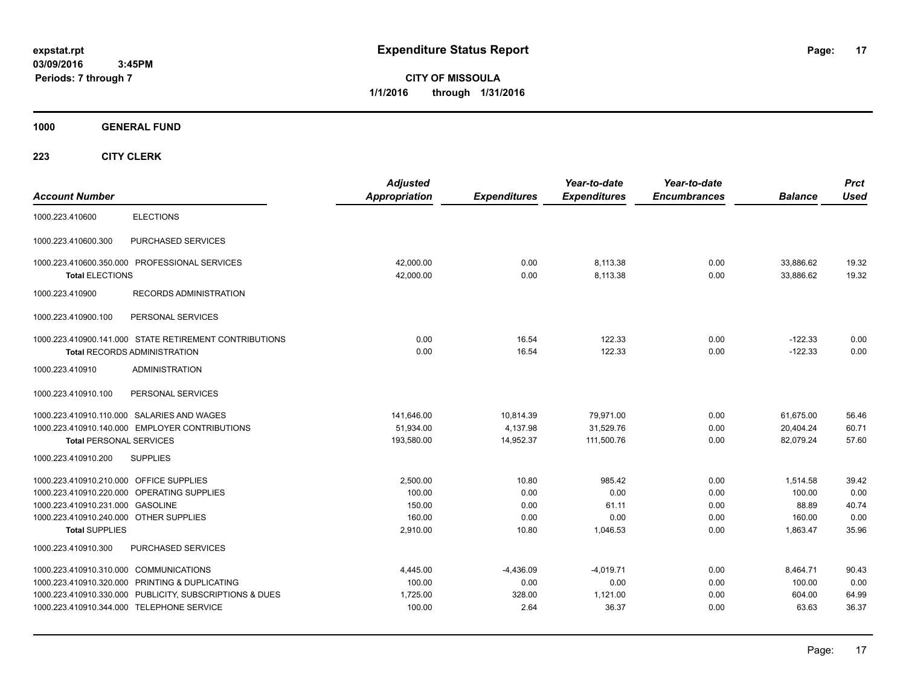**CITY OF MISSOULA 1/1/2016 through 1/31/2016**

**1000 GENERAL FUND**

| <b>Account Number</b>                                                                                                                                                                        |                                                                                                           | <b>Adjusted</b><br><b>Appropriation</b>            | <b>Expenditures</b>                    | Year-to-date<br><b>Expenditures</b>         | Year-to-date<br><b>Encumbrances</b>  | <b>Balance</b>                                    | <b>Prct</b><br><b>Used</b>              |
|----------------------------------------------------------------------------------------------------------------------------------------------------------------------------------------------|-----------------------------------------------------------------------------------------------------------|----------------------------------------------------|----------------------------------------|---------------------------------------------|--------------------------------------|---------------------------------------------------|-----------------------------------------|
| 1000.223.410600                                                                                                                                                                              | <b>ELECTIONS</b>                                                                                          |                                                    |                                        |                                             |                                      |                                                   |                                         |
| 1000.223.410600.300                                                                                                                                                                          | PURCHASED SERVICES                                                                                        |                                                    |                                        |                                             |                                      |                                                   |                                         |
| <b>Total ELECTIONS</b>                                                                                                                                                                       | 1000.223.410600.350.000 PROFESSIONAL SERVICES                                                             | 42,000.00<br>42,000.00                             | 0.00<br>0.00                           | 8,113.38<br>8,113.38                        | 0.00<br>0.00                         | 33,886.62<br>33,886.62                            | 19.32<br>19.32                          |
| 1000.223.410900                                                                                                                                                                              | <b>RECORDS ADMINISTRATION</b>                                                                             |                                                    |                                        |                                             |                                      |                                                   |                                         |
| 1000.223.410900.100                                                                                                                                                                          | PERSONAL SERVICES                                                                                         |                                                    |                                        |                                             |                                      |                                                   |                                         |
|                                                                                                                                                                                              | 1000.223.410900.141.000 STATE RETIREMENT CONTRIBUTIONS<br><b>Total RECORDS ADMINISTRATION</b>             | 0.00<br>0.00                                       | 16.54<br>16.54                         | 122.33<br>122.33                            | 0.00<br>0.00                         | $-122.33$<br>$-122.33$                            | 0.00<br>0.00                            |
| 1000.223.410910                                                                                                                                                                              | <b>ADMINISTRATION</b>                                                                                     |                                                    |                                        |                                             |                                      |                                                   |                                         |
| 1000.223.410910.100                                                                                                                                                                          | PERSONAL SERVICES                                                                                         |                                                    |                                        |                                             |                                      |                                                   |                                         |
| 1000.223.410910.110.000 SALARIES AND WAGES<br><b>Total PERSONAL SERVICES</b><br>1000.223.410910.200                                                                                          | 1000.223.410910.140.000 EMPLOYER CONTRIBUTIONS<br><b>SUPPLIES</b>                                         | 141,646.00<br>51,934.00<br>193,580.00              | 10.814.39<br>4,137.98<br>14,952.37     | 79,971.00<br>31,529.76<br>111,500.76        | 0.00<br>0.00<br>0.00                 | 61,675.00<br>20,404.24<br>82,079.24               | 56.46<br>60.71<br>57.60                 |
|                                                                                                                                                                                              |                                                                                                           |                                                    |                                        |                                             |                                      |                                                   |                                         |
| 1000.223.410910.210.000 OFFICE SUPPLIES<br>1000.223.410910.220.000 OPERATING SUPPLIES<br>1000.223.410910.231.000 GASOLINE<br>1000.223.410910.240.000 OTHER SUPPLIES<br><b>Total SUPPLIES</b> |                                                                                                           | 2.500.00<br>100.00<br>150.00<br>160.00<br>2,910.00 | 10.80<br>0.00<br>0.00<br>0.00<br>10.80 | 985.42<br>0.00<br>61.11<br>0.00<br>1,046.53 | 0.00<br>0.00<br>0.00<br>0.00<br>0.00 | 1.514.58<br>100.00<br>88.89<br>160.00<br>1,863.47 | 39.42<br>0.00<br>40.74<br>0.00<br>35.96 |
| 1000.223.410910.300                                                                                                                                                                          | <b>PURCHASED SERVICES</b>                                                                                 |                                                    |                                        |                                             |                                      |                                                   |                                         |
| 1000.223.410910.310.000 COMMUNICATIONS<br>1000.223.410910.344.000 TELEPHONE SERVICE                                                                                                          | 1000.223.410910.320.000 PRINTING & DUPLICATING<br>1000.223.410910.330.000 PUBLICITY, SUBSCRIPTIONS & DUES | 4,445.00<br>100.00<br>1,725.00<br>100.00           | $-4,436.09$<br>0.00<br>328.00<br>2.64  | $-4,019.71$<br>0.00<br>1,121.00<br>36.37    | 0.00<br>0.00<br>0.00<br>0.00         | 8,464.71<br>100.00<br>604.00<br>63.63             | 90.43<br>0.00<br>64.99<br>36.37         |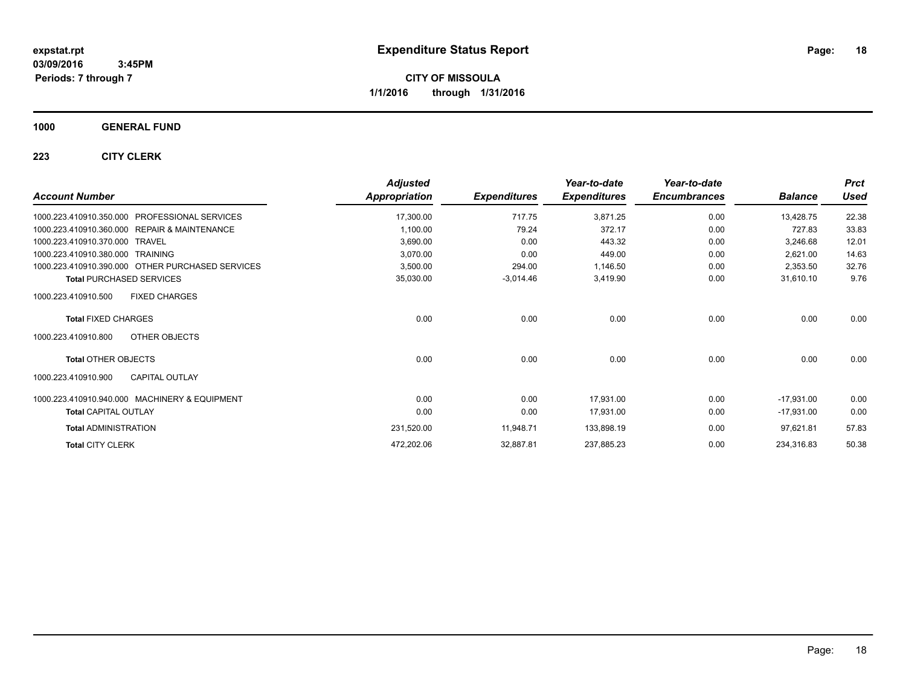**CITY OF MISSOULA 1/1/2016 through 1/31/2016**

### **1000 GENERAL FUND**

| <b>Account Number</b>                                   | <b>Adjusted</b><br><b>Appropriation</b> | <b>Expenditures</b> | Year-to-date<br><b>Expenditures</b> | Year-to-date<br><b>Encumbrances</b> | <b>Balance</b> | <b>Prct</b><br><b>Used</b> |
|---------------------------------------------------------|-----------------------------------------|---------------------|-------------------------------------|-------------------------------------|----------------|----------------------------|
| <b>PROFESSIONAL SERVICES</b><br>1000.223.410910.350.000 | 17,300.00                               | 717.75              | 3,871.25                            | 0.00                                | 13,428.75      | 22.38                      |
| 1000.223.410910.360.000 REPAIR & MAINTENANCE            | 1,100.00                                | 79.24               | 372.17                              | 0.00                                | 727.83         | 33.83                      |
| 1000.223.410910.370.000 TRAVEL                          | 3,690.00                                | 0.00                | 443.32                              | 0.00                                | 3,246.68       | 12.01                      |
| 1000.223.410910.380.000 TRAINING                        | 3,070.00                                | 0.00                | 449.00                              | 0.00                                | 2,621.00       | 14.63                      |
| 1000.223.410910.390.000 OTHER PURCHASED SERVICES        | 3,500.00                                | 294.00              | 1,146.50                            | 0.00                                | 2,353.50       | 32.76                      |
| <b>Total PURCHASED SERVICES</b>                         | 35,030.00                               | $-3,014.46$         | 3,419.90                            | 0.00                                | 31,610.10      | 9.76                       |
| <b>FIXED CHARGES</b><br>1000.223.410910.500             |                                         |                     |                                     |                                     |                |                            |
| <b>Total FIXED CHARGES</b>                              | 0.00                                    | 0.00                | 0.00                                | 0.00                                | 0.00           | 0.00                       |
| OTHER OBJECTS<br>1000.223.410910.800                    |                                         |                     |                                     |                                     |                |                            |
| Total OTHER OBJECTS                                     | 0.00                                    | 0.00                | 0.00                                | 0.00                                | 0.00           | 0.00                       |
| <b>CAPITAL OUTLAY</b><br>1000.223.410910.900            |                                         |                     |                                     |                                     |                |                            |
| 1000.223.410910.940.000 MACHINERY & EQUIPMENT           | 0.00                                    | 0.00                | 17,931.00                           | 0.00                                | $-17,931.00$   | 0.00                       |
| <b>Total CAPITAL OUTLAY</b>                             | 0.00                                    | 0.00                | 17,931.00                           | 0.00                                | $-17,931.00$   | 0.00                       |
| <b>Total ADMINISTRATION</b>                             | 231,520.00                              | 11,948.71           | 133,898.19                          | 0.00                                | 97,621.81      | 57.83                      |
| <b>Total CITY CLERK</b>                                 | 472,202.06                              | 32,887.81           | 237,885.23                          | 0.00                                | 234,316.83     | 50.38                      |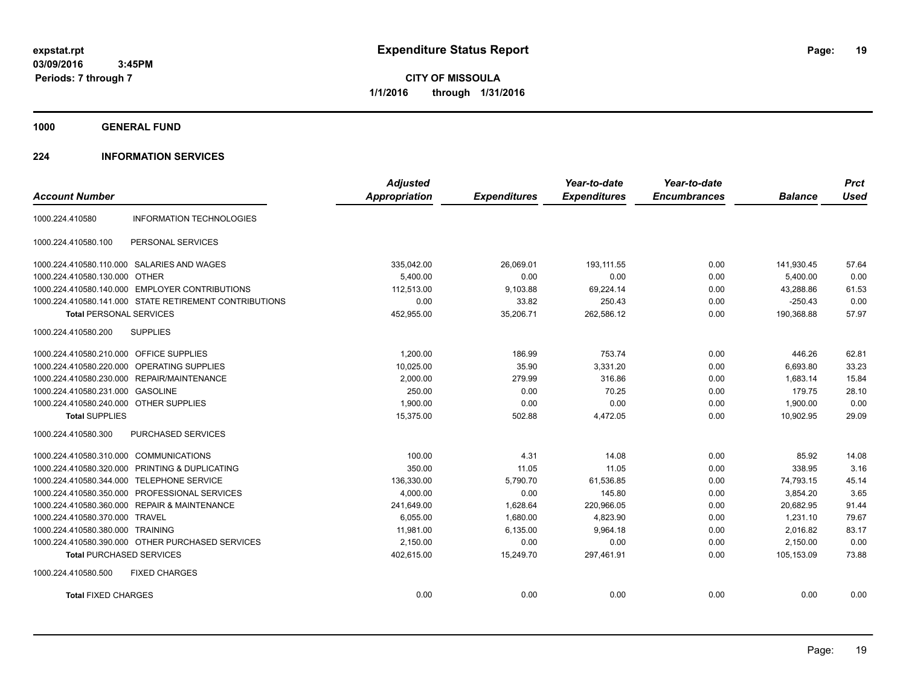**CITY OF MISSOULA 1/1/2016 through 1/31/2016**

**1000 GENERAL FUND**

### **224 INFORMATION SERVICES**

| <b>Account Number</b>                   |                                                        | <b>Adjusted</b><br>Appropriation | <b>Expenditures</b> | Year-to-date<br><b>Expenditures</b> | Year-to-date<br><b>Encumbrances</b> | <b>Balance</b> | <b>Prct</b><br><b>Used</b> |
|-----------------------------------------|--------------------------------------------------------|----------------------------------|---------------------|-------------------------------------|-------------------------------------|----------------|----------------------------|
| 1000.224.410580                         | <b>INFORMATION TECHNOLOGIES</b>                        |                                  |                     |                                     |                                     |                |                            |
| 1000.224.410580.100                     | PERSONAL SERVICES                                      |                                  |                     |                                     |                                     |                |                            |
|                                         | 1000.224.410580.110.000 SALARIES AND WAGES             | 335,042.00                       | 26,069.01           | 193,111.55                          | 0.00                                | 141,930.45     | 57.64                      |
| 1000.224.410580.130.000 OTHER           |                                                        | 5.400.00                         | 0.00                | 0.00                                | 0.00                                | 5,400.00       | 0.00                       |
|                                         | 1000.224.410580.140.000 EMPLOYER CONTRIBUTIONS         | 112,513.00                       | 9,103.88            | 69,224.14                           | 0.00                                | 43,288.86      | 61.53                      |
|                                         | 1000.224.410580.141.000 STATE RETIREMENT CONTRIBUTIONS | 0.00                             | 33.82               | 250.43                              | 0.00                                | $-250.43$      | 0.00                       |
| Total PERSONAL SERVICES                 |                                                        | 452,955.00                       | 35,206.71           | 262,586.12                          | 0.00                                | 190,368.88     | 57.97                      |
| 1000.224.410580.200                     | <b>SUPPLIES</b>                                        |                                  |                     |                                     |                                     |                |                            |
| 1000.224.410580.210.000 OFFICE SUPPLIES |                                                        | 1,200.00                         | 186.99              | 753.74                              | 0.00                                | 446.26         | 62.81                      |
| 1000.224.410580.220.000                 | OPERATING SUPPLIES                                     | 10,025.00                        | 35.90               | 3,331.20                            | 0.00                                | 6,693.80       | 33.23                      |
|                                         | 1000.224.410580.230.000 REPAIR/MAINTENANCE             | 2,000.00                         | 279.99              | 316.86                              | 0.00                                | 1,683.14       | 15.84                      |
| 1000.224.410580.231.000 GASOLINE        |                                                        | 250.00                           | 0.00                | 70.25                               | 0.00                                | 179.75         | 28.10                      |
| 1000.224.410580.240.000 OTHER SUPPLIES  |                                                        | 1,900.00                         | 0.00                | 0.00                                | 0.00                                | 1,900.00       | 0.00                       |
| <b>Total SUPPLIES</b>                   |                                                        | 15,375.00                        | 502.88              | 4,472.05                            | 0.00                                | 10,902.95      | 29.09                      |
| 1000.224.410580.300                     | PURCHASED SERVICES                                     |                                  |                     |                                     |                                     |                |                            |
| 1000.224.410580.310.000 COMMUNICATIONS  |                                                        | 100.00                           | 4.31                | 14.08                               | 0.00                                | 85.92          | 14.08                      |
| 1000.224.410580.320.000                 | PRINTING & DUPLICATING                                 | 350.00                           | 11.05               | 11.05                               | 0.00                                | 338.95         | 3.16                       |
| 1000.224.410580.344.000                 | <b>TELEPHONE SERVICE</b>                               | 136,330.00                       | 5,790.70            | 61,536.85                           | 0.00                                | 74,793.15      | 45.14                      |
| 1000.224.410580.350.000                 | PROFESSIONAL SERVICES                                  | 4,000.00                         | 0.00                | 145.80                              | 0.00                                | 3,854.20       | 3.65                       |
|                                         | 1000.224.410580.360.000 REPAIR & MAINTENANCE           | 241,649.00                       | 1,628.64            | 220,966.05                          | 0.00                                | 20,682.95      | 91.44                      |
| 1000.224.410580.370.000 TRAVEL          |                                                        | 6,055.00                         | 1,680.00            | 4,823.90                            | 0.00                                | 1,231.10       | 79.67                      |
| 1000.224.410580.380.000 TRAINING        |                                                        | 11.981.00                        | 6,135.00            | 9.964.18                            | 0.00                                | 2.016.82       | 83.17                      |
|                                         | 1000.224.410580.390.000 OTHER PURCHASED SERVICES       | 2,150.00                         | 0.00                | 0.00                                | 0.00                                | 2,150.00       | 0.00                       |
| <b>Total PURCHASED SERVICES</b>         |                                                        | 402,615.00                       | 15,249.70           | 297,461.91                          | 0.00                                | 105.153.09     | 73.88                      |
| 1000.224.410580.500                     | <b>FIXED CHARGES</b>                                   |                                  |                     |                                     |                                     |                |                            |
| <b>Total FIXED CHARGES</b>              |                                                        | 0.00                             | 0.00                | 0.00                                | 0.00                                | 0.00           | 0.00                       |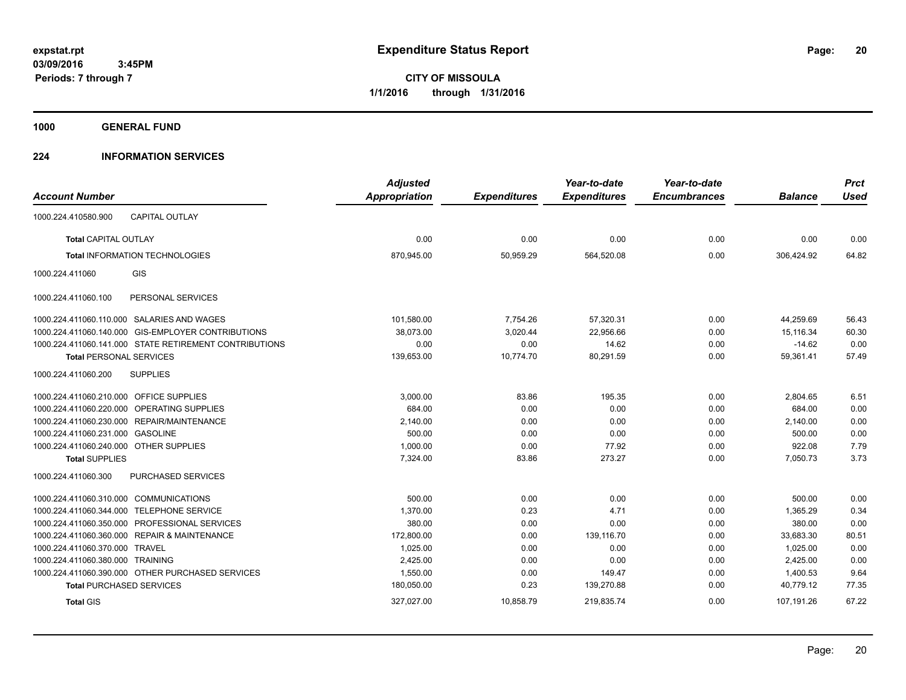**CITY OF MISSOULA 1/1/2016 through 1/31/2016**

**1000 GENERAL FUND**

### **224 INFORMATION SERVICES**

| <b>Account Number</b>                                  | <b>Adjusted</b><br><b>Appropriation</b> | <b>Expenditures</b> | Year-to-date<br><b>Expenditures</b> | Year-to-date<br><b>Encumbrances</b> | <b>Balance</b> | <b>Prct</b><br><b>Used</b> |
|--------------------------------------------------------|-----------------------------------------|---------------------|-------------------------------------|-------------------------------------|----------------|----------------------------|
| <b>CAPITAL OUTLAY</b><br>1000.224.410580.900           |                                         |                     |                                     |                                     |                |                            |
| <b>Total CAPITAL OUTLAY</b>                            | 0.00                                    | 0.00                | 0.00                                | 0.00                                | 0.00           | 0.00                       |
| <b>Total INFORMATION TECHNOLOGIES</b>                  | 870,945.00                              | 50,959.29           | 564,520.08                          | 0.00                                | 306,424.92     | 64.82                      |
| <b>GIS</b><br>1000.224.411060                          |                                         |                     |                                     |                                     |                |                            |
| 1000.224.411060.100<br>PERSONAL SERVICES               |                                         |                     |                                     |                                     |                |                            |
| 1000.224.411060.110.000 SALARIES AND WAGES             | 101,580.00                              | 7,754.26            | 57,320.31                           | 0.00                                | 44,259.69      | 56.43                      |
| 1000.224.411060.140.000 GIS-EMPLOYER CONTRIBUTIONS     | 38,073.00                               | 3,020.44            | 22,956.66                           | 0.00                                | 15,116.34      | 60.30                      |
| 1000.224.411060.141.000 STATE RETIREMENT CONTRIBUTIONS | 0.00                                    | 0.00                | 14.62                               | 0.00                                | $-14.62$       | 0.00                       |
| <b>Total PERSONAL SERVICES</b>                         | 139,653.00                              | 10,774.70           | 80,291.59                           | 0.00                                | 59,361.41      | 57.49                      |
| <b>SUPPLIES</b><br>1000.224.411060.200                 |                                         |                     |                                     |                                     |                |                            |
| 1000.224.411060.210.000 OFFICE SUPPLIES                | 3,000.00                                | 83.86               | 195.35                              | 0.00                                | 2,804.65       | 6.51                       |
| 1000.224.411060.220.000 OPERATING SUPPLIES             | 684.00                                  | 0.00                | 0.00                                | 0.00                                | 684.00         | 0.00                       |
| 1000.224.411060.230.000 REPAIR/MAINTENANCE             | 2,140.00                                | 0.00                | 0.00                                | 0.00                                | 2,140.00       | 0.00                       |
| 1000.224.411060.231.000 GASOLINE                       | 500.00                                  | 0.00                | 0.00                                | 0.00                                | 500.00         | 0.00                       |
| 1000.224.411060.240.000 OTHER SUPPLIES                 | 1,000.00                                | 0.00                | 77.92                               | 0.00                                | 922.08         | 7.79                       |
| <b>Total SUPPLIES</b>                                  | 7,324.00                                | 83.86               | 273.27                              | 0.00                                | 7,050.73       | 3.73                       |
| 1000.224.411060.300<br><b>PURCHASED SERVICES</b>       |                                         |                     |                                     |                                     |                |                            |
| <b>COMMUNICATIONS</b><br>1000.224.411060.310.000       | 500.00                                  | 0.00                | 0.00                                | 0.00                                | 500.00         | 0.00                       |
| <b>TELEPHONE SERVICE</b><br>1000.224.411060.344.000    | 1,370.00                                | 0.23                | 4.71                                | 0.00                                | 1,365.29       | 0.34                       |
| PROFESSIONAL SERVICES<br>1000.224.411060.350.000       | 380.00                                  | 0.00                | 0.00                                | 0.00                                | 380.00         | 0.00                       |
| 1000.224.411060.360.000 REPAIR & MAINTENANCE           | 172,800.00                              | 0.00                | 139,116.70                          | 0.00                                | 33,683.30      | 80.51                      |
| 1000.224.411060.370.000<br><b>TRAVEL</b>               | 1,025.00                                | 0.00                | 0.00                                | 0.00                                | 1,025.00       | 0.00                       |
| 1000.224.411060.380.000 TRAINING                       | 2,425.00                                | 0.00                | 0.00                                | 0.00                                | 2,425.00       | 0.00                       |
| 1000.224.411060.390.000 OTHER PURCHASED SERVICES       | 1,550.00                                | 0.00                | 149.47                              | 0.00                                | 1,400.53       | 9.64                       |
| <b>Total PURCHASED SERVICES</b>                        | 180,050.00                              | 0.23                | 139,270.88                          | 0.00                                | 40,779.12      | 77.35                      |
| <b>Total GIS</b>                                       | 327,027.00                              | 10,858.79           | 219,835.74                          | 0.00                                | 107,191.26     | 67.22                      |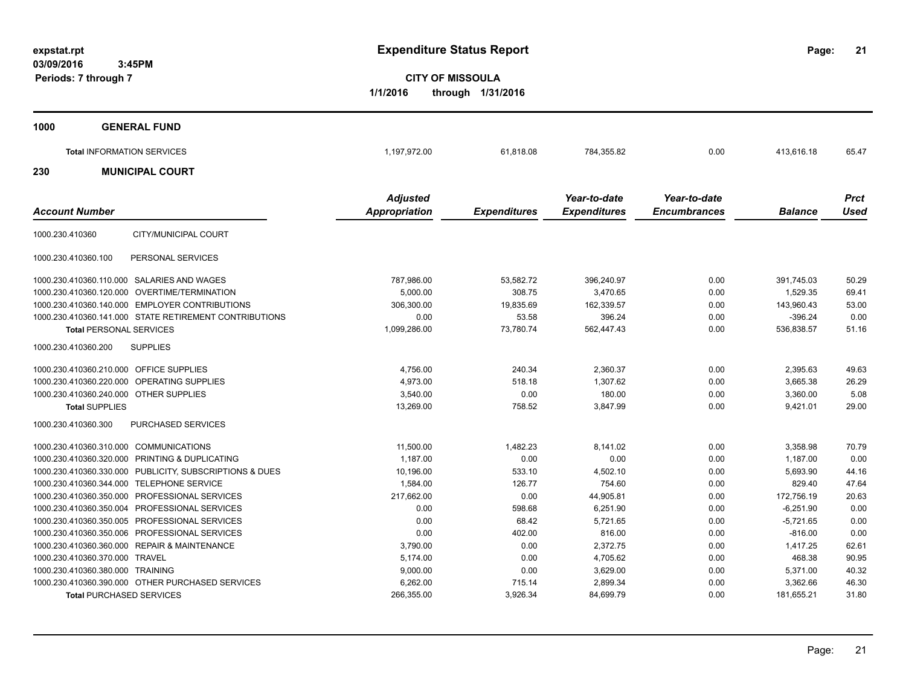**21**

**CITY OF MISSOULA 1/1/2016 through 1/31/2016**

| 1000 | <b>GENERAL FUND</b>               |                 |           |              |              |            |             |
|------|-----------------------------------|-----------------|-----------|--------------|--------------|------------|-------------|
|      | <b>Total INFORMATION SERVICES</b> | 1,197,972.00    | 61,818.08 | 784,355.82   | 0.00         | 413,616.18 | 65.47       |
| 230  | <b>MUNICIPAL COURT</b>            |                 |           |              |              |            |             |
|      |                                   | <b>Adjusted</b> |           | Year-to-date | Year-to-date |            | <b>Prct</b> |

| <b>Account Number</b>                                   | <b>Appropriation</b> | <b>Expenditures</b> | <b>Expenditures</b> | <b>Encumbrances</b> | <b>Balance</b> | <b>Used</b> |
|---------------------------------------------------------|----------------------|---------------------|---------------------|---------------------|----------------|-------------|
| CITY/MUNICIPAL COURT<br>1000.230.410360                 |                      |                     |                     |                     |                |             |
| 1000.230.410360.100<br>PERSONAL SERVICES                |                      |                     |                     |                     |                |             |
| 1000.230.410360.110.000<br>SALARIES AND WAGES           | 787,986.00           | 53,582.72           | 396,240.97          | 0.00                | 391,745.03     | 50.29       |
| OVERTIME/TERMINATION<br>1000.230.410360.120.000         | 5,000.00             | 308.75              | 3,470.65            | 0.00                | 1,529.35       | 69.41       |
| 1000.230.410360.140.000 EMPLOYER CONTRIBUTIONS          | 306,300.00           | 19,835.69           | 162,339.57          | 0.00                | 143,960.43     | 53.00       |
| 1000.230.410360.141.000 STATE RETIREMENT CONTRIBUTIONS  | 0.00                 | 53.58               | 396.24              | 0.00                | $-396.24$      | 0.00        |
| <b>Total PERSONAL SERVICES</b>                          | 1,099,286.00         | 73,780.74           | 562,447.43          | 0.00                | 536,838.57     | 51.16       |
| <b>SUPPLIES</b><br>1000.230.410360.200                  |                      |                     |                     |                     |                |             |
| 1000.230.410360.210.000 OFFICE SUPPLIES                 | 4,756.00             | 240.34              | 2,360.37            | 0.00                | 2,395.63       | 49.63       |
| 1000.230.410360.220.000 OPERATING SUPPLIES              | 4,973.00             | 518.18              | 1,307.62            | 0.00                | 3,665.38       | 26.29       |
| 1000.230.410360.240.000 OTHER SUPPLIES                  | 3.540.00             | 0.00                | 180.00              | 0.00                | 3.360.00       | 5.08        |
| <b>Total SUPPLIES</b>                                   | 13,269.00            | 758.52              | 3,847.99            | 0.00                | 9,421.01       | 29.00       |
| <b>PURCHASED SERVICES</b><br>1000.230.410360.300        |                      |                     |                     |                     |                |             |
| 1000.230.410360.310.000 COMMUNICATIONS                  | 11,500.00            | 1,482.23            | 8,141.02            | 0.00                | 3.358.98       | 70.79       |
| 1000.230.410360.320.000 PRINTING & DUPLICATING          | 1,187.00             | 0.00                | 0.00                | 0.00                | 1,187.00       | 0.00        |
| 1000.230.410360.330.000 PUBLICITY, SUBSCRIPTIONS & DUES | 10,196.00            | 533.10              | 4,502.10            | 0.00                | 5,693.90       | 44.16       |
| 1000.230.410360.344.000<br><b>TELEPHONE SERVICE</b>     | 1,584.00             | 126.77              | 754.60              | 0.00                | 829.40         | 47.64       |
| 1000.230.410360.350.000 PROFESSIONAL SERVICES           | 217,662.00           | 0.00                | 44,905.81           | 0.00                | 172,756.19     | 20.63       |
| PROFESSIONAL SERVICES<br>1000.230.410360.350.004        | 0.00                 | 598.68              | 6,251.90            | 0.00                | $-6,251.90$    | 0.00        |
| PROFESSIONAL SERVICES<br>1000.230.410360.350.005        | 0.00                 | 68.42               | 5,721.65            | 0.00                | $-5,721.65$    | 0.00        |
| 1000.230.410360.350.006 PROFESSIONAL SERVICES           | 0.00                 | 402.00              | 816.00              | 0.00                | $-816.00$      | 0.00        |
| 1000.230.410360.360.000 REPAIR & MAINTENANCE            | 3,790.00             | 0.00                | 2,372.75            | 0.00                | 1.417.25       | 62.61       |
| 1000.230.410360.370.000 TRAVEL                          | 5,174.00             | 0.00                | 4,705.62            | 0.00                | 468.38         | 90.95       |
| 1000.230.410360.380.000 TRAINING                        | 9,000.00             | 0.00                | 3,629.00            | 0.00                | 5,371.00       | 40.32       |
| 1000.230.410360.390.000 OTHER PURCHASED SERVICES        | 6,262.00             | 715.14              | 2,899.34            | 0.00                | 3,362.66       | 46.30       |
| <b>Total PURCHASED SERVICES</b>                         | 266,355.00           | 3,926.34            | 84,699.79           | 0.00                | 181,655.21     | 31.80       |
|                                                         |                      |                     |                     |                     |                |             |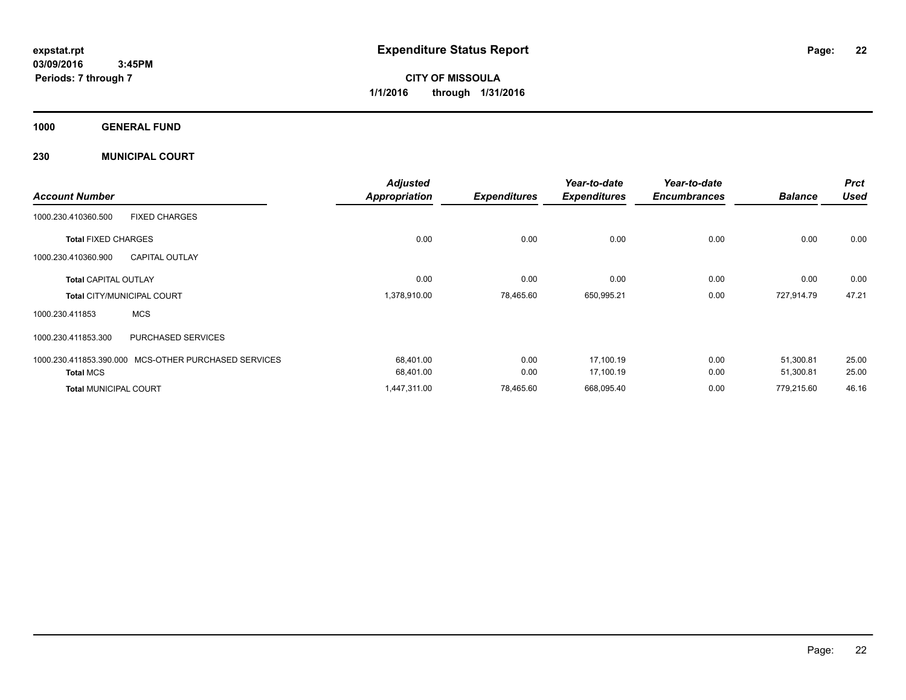**CITY OF MISSOULA 1/1/2016 through 1/31/2016**

**1000 GENERAL FUND**

**230 MUNICIPAL COURT**

| <b>Account Number</b>             |                                                      | <b>Adjusted</b><br><b>Appropriation</b> | <b>Expenditures</b> | Year-to-date<br><b>Expenditures</b> | Year-to-date<br><b>Encumbrances</b> | <b>Balance</b> | <b>Prct</b><br><b>Used</b> |
|-----------------------------------|------------------------------------------------------|-----------------------------------------|---------------------|-------------------------------------|-------------------------------------|----------------|----------------------------|
| 1000.230.410360.500               | <b>FIXED CHARGES</b>                                 |                                         |                     |                                     |                                     |                |                            |
| <b>Total FIXED CHARGES</b>        |                                                      | 0.00                                    | 0.00                | 0.00                                | 0.00                                | 0.00           | 0.00                       |
| 1000.230.410360.900               | <b>CAPITAL OUTLAY</b>                                |                                         |                     |                                     |                                     |                |                            |
| <b>Total CAPITAL OUTLAY</b>       |                                                      | 0.00                                    | 0.00                | 0.00                                | 0.00                                | 0.00           | 0.00                       |
| <b>Total CITY/MUNICIPAL COURT</b> |                                                      | 1,378,910.00                            | 78,465.60           | 650,995.21                          | 0.00                                | 727,914.79     | 47.21                      |
| 1000.230.411853                   | <b>MCS</b>                                           |                                         |                     |                                     |                                     |                |                            |
| 1000.230.411853.300               | PURCHASED SERVICES                                   |                                         |                     |                                     |                                     |                |                            |
|                                   | 1000.230.411853.390.000 MCS-OTHER PURCHASED SERVICES | 68,401.00                               | 0.00                | 17,100.19                           | 0.00                                | 51,300.81      | 25.00                      |
| <b>Total MCS</b>                  |                                                      | 68,401.00                               | 0.00                | 17,100.19                           | 0.00                                | 51,300.81      | 25.00                      |
| <b>Total MUNICIPAL COURT</b>      |                                                      | 1,447,311.00                            | 78,465.60           | 668,095.40                          | 0.00                                | 779,215.60     | 46.16                      |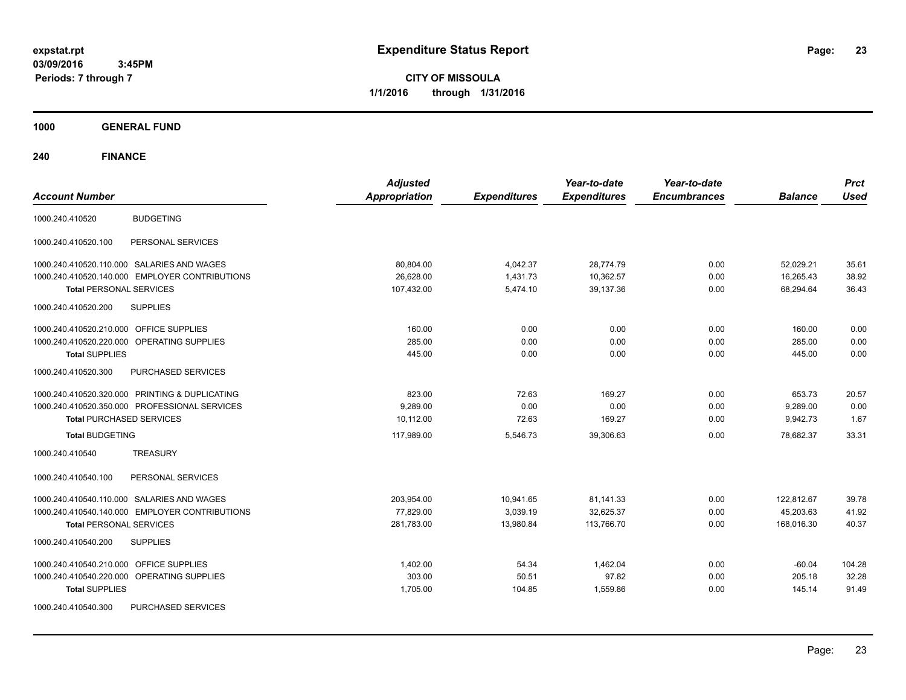**CITY OF MISSOULA 1/1/2016 through 1/31/2016**

**1000 GENERAL FUND**

| <b>Account Number</b>                                | <b>Adjusted</b><br><b>Appropriation</b> | <b>Expenditures</b> | Year-to-date<br><b>Expenditures</b> | Year-to-date<br><b>Encumbrances</b> | <b>Balance</b> | <b>Prct</b><br><b>Used</b> |
|------------------------------------------------------|-----------------------------------------|---------------------|-------------------------------------|-------------------------------------|----------------|----------------------------|
| <b>BUDGETING</b><br>1000.240.410520                  |                                         |                     |                                     |                                     |                |                            |
| 1000.240.410520.100<br>PERSONAL SERVICES             |                                         |                     |                                     |                                     |                |                            |
| 1000.240.410520.110.000 SALARIES AND WAGES           | 80,804.00                               | 4,042.37            | 28,774.79                           | 0.00                                | 52,029.21      | 35.61                      |
| 1000.240.410520.140.000 EMPLOYER CONTRIBUTIONS       | 26,628.00                               | 1,431.73            | 10,362.57                           | 0.00                                | 16,265.43      | 38.92                      |
| <b>Total PERSONAL SERVICES</b>                       | 107,432.00                              | 5,474.10            | 39,137.36                           | 0.00                                | 68,294.64      | 36.43                      |
| 1000.240.410520.200<br><b>SUPPLIES</b>               |                                         |                     |                                     |                                     |                |                            |
| 1000.240.410520.210.000 OFFICE SUPPLIES              | 160.00                                  | 0.00                | 0.00                                | 0.00                                | 160.00         | 0.00                       |
| 1000.240.410520.220.000<br><b>OPERATING SUPPLIES</b> | 285.00                                  | 0.00                | 0.00                                | 0.00                                | 285.00         | 0.00                       |
| <b>Total SUPPLIES</b>                                | 445.00                                  | 0.00                | 0.00                                | 0.00                                | 445.00         | 0.00                       |
| 1000.240.410520.300<br>PURCHASED SERVICES            |                                         |                     |                                     |                                     |                |                            |
| 1000.240.410520.320.000 PRINTING & DUPLICATING       | 823.00                                  | 72.63               | 169.27                              | 0.00                                | 653.73         | 20.57                      |
| 1000.240.410520.350.000 PROFESSIONAL SERVICES        | 9,289.00                                | 0.00                | 0.00                                | 0.00                                | 9,289.00       | 0.00                       |
| <b>Total PURCHASED SERVICES</b>                      | 10,112.00                               | 72.63               | 169.27                              | 0.00                                | 9,942.73       | 1.67                       |
| <b>Total BUDGETING</b>                               | 117,989.00                              | 5,546.73            | 39,306.63                           | 0.00                                | 78,682.37      | 33.31                      |
| <b>TREASURY</b><br>1000.240.410540                   |                                         |                     |                                     |                                     |                |                            |
| 1000.240.410540.100<br>PERSONAL SERVICES             |                                         |                     |                                     |                                     |                |                            |
| 1000.240.410540.110.000 SALARIES AND WAGES           | 203,954.00                              | 10,941.65           | 81,141.33                           | 0.00                                | 122,812.67     | 39.78                      |
| 1000.240.410540.140.000 EMPLOYER CONTRIBUTIONS       | 77,829.00                               | 3,039.19            | 32,625.37                           | 0.00                                | 45,203.63      | 41.92                      |
| <b>Total PERSONAL SERVICES</b>                       | 281,783.00                              | 13,980.84           | 113,766.70                          | 0.00                                | 168,016.30     | 40.37                      |
| <b>SUPPLIES</b><br>1000.240.410540.200               |                                         |                     |                                     |                                     |                |                            |
| <b>OFFICE SUPPLIES</b><br>1000.240.410540.210.000    | 1,402.00                                | 54.34               | 1,462.04                            | 0.00                                | $-60.04$       | 104.28                     |
| 1000.240.410540.220.000<br>OPERATING SUPPLIES        | 303.00                                  | 50.51               | 97.82                               | 0.00                                | 205.18         | 32.28                      |
| <b>Total SUPPLIES</b>                                | 1,705.00                                | 104.85              | 1,559.86                            | 0.00                                | 145.14         | 91.49                      |
| PURCHASED SERVICES<br>1000.240.410540.300            |                                         |                     |                                     |                                     |                |                            |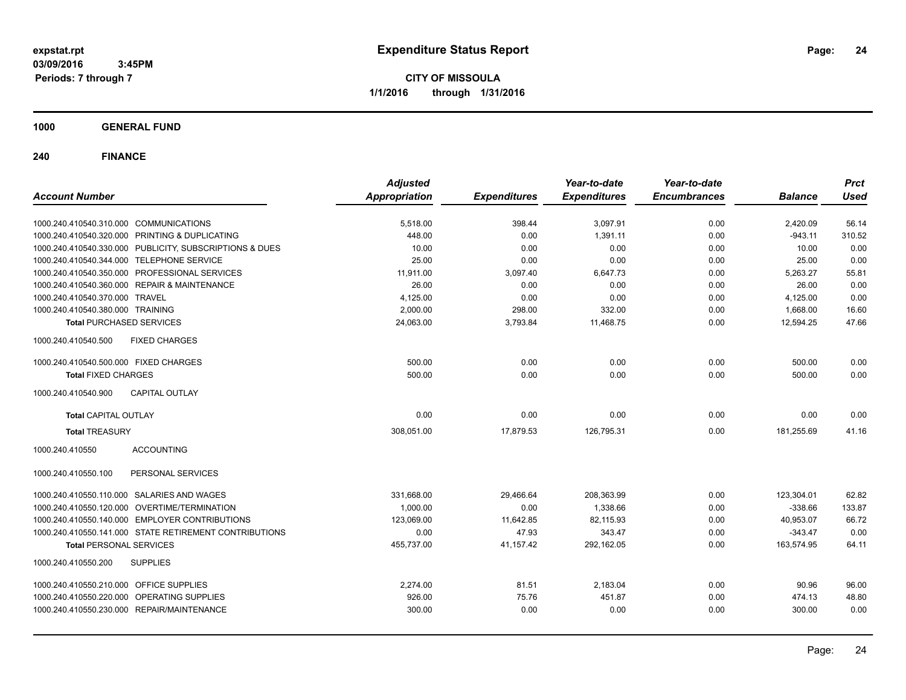**CITY OF MISSOULA 1/1/2016 through 1/31/2016**

**1000 GENERAL FUND**

| <b>Account Number</b>                                   | <b>Adjusted</b><br><b>Appropriation</b> | <b>Expenditures</b> | Year-to-date<br><b>Expenditures</b> | Year-to-date<br><b>Encumbrances</b> | <b>Balance</b> | <b>Prct</b><br><b>Used</b> |
|---------------------------------------------------------|-----------------------------------------|---------------------|-------------------------------------|-------------------------------------|----------------|----------------------------|
|                                                         |                                         |                     |                                     |                                     |                |                            |
| 1000.240.410540.310.000 COMMUNICATIONS                  | 5,518.00                                | 398.44              | 3,097.91                            | 0.00                                | 2,420.09       | 56.14                      |
| 1000.240.410540.320.000 PRINTING & DUPLICATING          | 448.00                                  | 0.00                | 1,391.11                            | 0.00                                | $-943.11$      | 310.52                     |
| 1000.240.410540.330.000 PUBLICITY, SUBSCRIPTIONS & DUES | 10.00                                   | 0.00                | 0.00                                | 0.00                                | 10.00          | 0.00                       |
| 1000.240.410540.344.000 TELEPHONE SERVICE               | 25.00                                   | 0.00                | 0.00                                | 0.00                                | 25.00          | 0.00                       |
| 1000.240.410540.350.000 PROFESSIONAL SERVICES           | 11,911.00                               | 3,097.40            | 6,647.73                            | 0.00                                | 5,263.27       | 55.81                      |
| 1000.240.410540.360.000 REPAIR & MAINTENANCE            | 26.00                                   | 0.00                | 0.00                                | 0.00                                | 26.00          | 0.00                       |
| 1000.240.410540.370.000 TRAVEL                          | 4,125.00                                | 0.00                | 0.00                                | 0.00                                | 4,125.00       | 0.00                       |
| 1000.240.410540.380.000 TRAINING                        | 2,000.00                                | 298.00              | 332.00                              | 0.00                                | 1,668.00       | 16.60                      |
| <b>Total PURCHASED SERVICES</b>                         | 24,063.00                               | 3,793.84            | 11,468.75                           | 0.00                                | 12,594.25      | 47.66                      |
| 1000.240.410540.500<br><b>FIXED CHARGES</b>             |                                         |                     |                                     |                                     |                |                            |
| 1000.240.410540.500.000 FIXED CHARGES                   | 500.00                                  | 0.00                | 0.00                                | 0.00                                | 500.00         | 0.00                       |
| <b>Total FIXED CHARGES</b>                              | 500.00                                  | 0.00                | 0.00                                | 0.00                                | 500.00         | 0.00                       |
| <b>CAPITAL OUTLAY</b><br>1000.240.410540.900            |                                         |                     |                                     |                                     |                |                            |
| <b>Total CAPITAL OUTLAY</b>                             | 0.00                                    | 0.00                | 0.00                                | 0.00                                | 0.00           | 0.00                       |
| <b>Total TREASURY</b>                                   | 308,051.00                              | 17,879.53           | 126,795.31                          | 0.00                                | 181,255.69     | 41.16                      |
| 1000.240.410550<br><b>ACCOUNTING</b>                    |                                         |                     |                                     |                                     |                |                            |
| PERSONAL SERVICES<br>1000.240.410550.100                |                                         |                     |                                     |                                     |                |                            |
| 1000.240.410550.110.000 SALARIES AND WAGES              | 331,668.00                              | 29,466.64           | 208,363.99                          | 0.00                                | 123,304.01     | 62.82                      |
| 1000.240.410550.120.000 OVERTIME/TERMINATION            | 1,000.00                                | 0.00                | 1,338.66                            | 0.00                                | $-338.66$      | 133.87                     |
| 1000.240.410550.140.000 EMPLOYER CONTRIBUTIONS          | 123,069.00                              | 11,642.85           | 82,115.93                           | 0.00                                | 40,953.07      | 66.72                      |
| 1000.240.410550.141.000 STATE RETIREMENT CONTRIBUTIONS  | 0.00                                    | 47.93               | 343.47                              | 0.00                                | $-343.47$      | 0.00                       |
| <b>Total PERSONAL SERVICES</b>                          | 455,737.00                              | 41,157.42           | 292,162.05                          | 0.00                                | 163,574.95     | 64.11                      |
| 1000.240.410550.200<br><b>SUPPLIES</b>                  |                                         |                     |                                     |                                     |                |                            |
| 1000.240.410550.210.000 OFFICE SUPPLIES                 | 2,274.00                                | 81.51               | 2,183.04                            | 0.00                                | 90.96          | 96.00                      |
| 1000.240.410550.220.000 OPERATING SUPPLIES              | 926.00                                  | 75.76               | 451.87                              | 0.00                                | 474.13         | 48.80                      |
| 1000.240.410550.230.000 REPAIR/MAINTENANCE              | 300.00                                  | 0.00                | 0.00                                | 0.00                                | 300.00         | 0.00                       |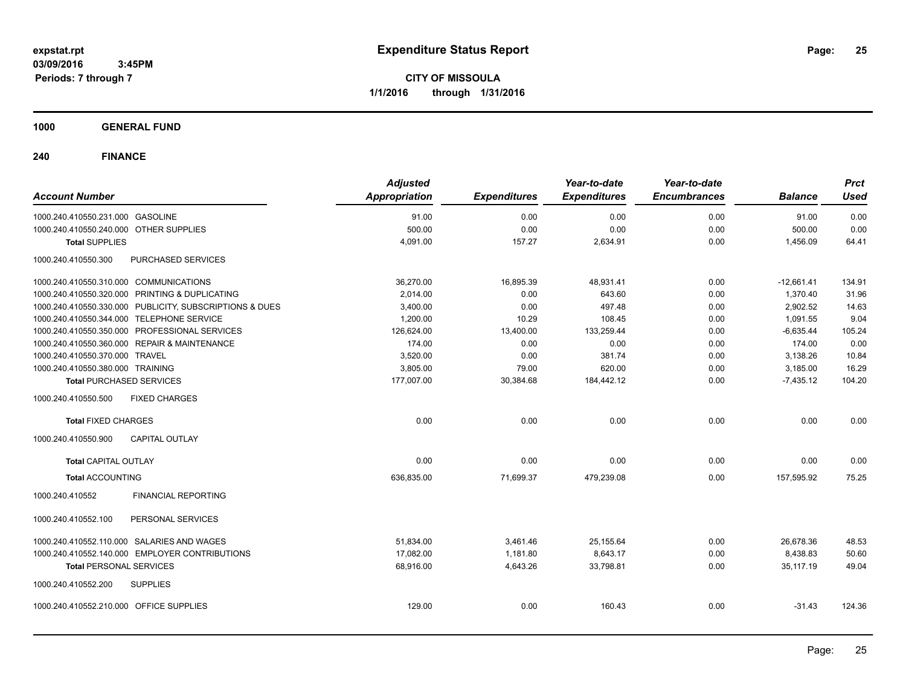**CITY OF MISSOULA 1/1/2016 through 1/31/2016**

**1000 GENERAL FUND**

| <b>Account Number</b>                                   | <b>Adjusted</b><br><b>Appropriation</b> | <b>Expenditures</b> | Year-to-date<br><b>Expenditures</b> | Year-to-date<br><b>Encumbrances</b> | <b>Balance</b> | <b>Prct</b><br><b>Used</b> |
|---------------------------------------------------------|-----------------------------------------|---------------------|-------------------------------------|-------------------------------------|----------------|----------------------------|
| 1000.240.410550.231.000 GASOLINE                        | 91.00                                   | 0.00                | 0.00                                | 0.00                                | 91.00          | 0.00                       |
| 1000.240.410550.240.000 OTHER SUPPLIES                  | 500.00                                  | 0.00                | 0.00                                | 0.00                                | 500.00         | 0.00                       |
| <b>Total SUPPLIES</b>                                   | 4,091.00                                | 157.27              | 2,634.91                            | 0.00                                | 1,456.09       | 64.41                      |
| 1000.240.410550.300<br>PURCHASED SERVICES               |                                         |                     |                                     |                                     |                |                            |
| 1000.240.410550.310.000 COMMUNICATIONS                  | 36,270.00                               | 16,895.39           | 48,931.41                           | 0.00                                | $-12,661.41$   | 134.91                     |
| 1000.240.410550.320.000 PRINTING & DUPLICATING          | 2,014.00                                | 0.00                | 643.60                              | 0.00                                | 1,370.40       | 31.96                      |
| 1000.240.410550.330.000 PUBLICITY, SUBSCRIPTIONS & DUES | 3,400.00                                | 0.00                | 497.48                              | 0.00                                | 2,902.52       | 14.63                      |
| 1000.240.410550.344.000 TELEPHONE SERVICE               | 1,200.00                                | 10.29               | 108.45                              | 0.00                                | 1,091.55       | 9.04                       |
| 1000.240.410550.350.000 PROFESSIONAL SERVICES           | 126,624.00                              | 13,400.00           | 133,259.44                          | 0.00                                | $-6,635.44$    | 105.24                     |
| 1000.240.410550.360.000 REPAIR & MAINTENANCE            | 174.00                                  | 0.00                | 0.00                                | 0.00                                | 174.00         | 0.00                       |
| 1000.240.410550.370.000 TRAVEL                          | 3,520.00                                | 0.00                | 381.74                              | 0.00                                | 3,138.26       | 10.84                      |
| 1000.240.410550.380.000 TRAINING                        | 3,805.00                                | 79.00               | 620.00                              | 0.00                                | 3,185.00       | 16.29                      |
| <b>Total PURCHASED SERVICES</b>                         | 177,007.00                              | 30,384.68           | 184,442.12                          | 0.00                                | $-7,435.12$    | 104.20                     |
| 1000.240.410550.500<br><b>FIXED CHARGES</b>             |                                         |                     |                                     |                                     |                |                            |
| <b>Total FIXED CHARGES</b>                              | 0.00                                    | 0.00                | 0.00                                | 0.00                                | 0.00           | 0.00                       |
| <b>CAPITAL OUTLAY</b><br>1000.240.410550.900            |                                         |                     |                                     |                                     |                |                            |
| <b>Total CAPITAL OUTLAY</b>                             | 0.00                                    | 0.00                | 0.00                                | 0.00                                | 0.00           | 0.00                       |
| <b>Total ACCOUNTING</b>                                 | 636,835.00                              | 71,699.37           | 479,239.08                          | 0.00                                | 157.595.92     | 75.25                      |
| <b>FINANCIAL REPORTING</b><br>1000.240.410552           |                                         |                     |                                     |                                     |                |                            |
| PERSONAL SERVICES<br>1000.240.410552.100                |                                         |                     |                                     |                                     |                |                            |
| 1000.240.410552.110.000 SALARIES AND WAGES              | 51,834.00                               | 3,461.46            | 25,155.64                           | 0.00                                | 26,678.36      | 48.53                      |
| 1000.240.410552.140.000 EMPLOYER CONTRIBUTIONS          | 17,082.00                               | 1,181.80            | 8,643.17                            | 0.00                                | 8,438.83       | 50.60                      |
| <b>Total PERSONAL SERVICES</b>                          | 68,916.00                               | 4,643.26            | 33,798.81                           | 0.00                                | 35,117.19      | 49.04                      |
| 1000.240.410552.200<br><b>SUPPLIES</b>                  |                                         |                     |                                     |                                     |                |                            |
| 1000.240.410552.210.000 OFFICE SUPPLIES                 | 129.00                                  | 0.00                | 160.43                              | 0.00                                | $-31.43$       | 124.36                     |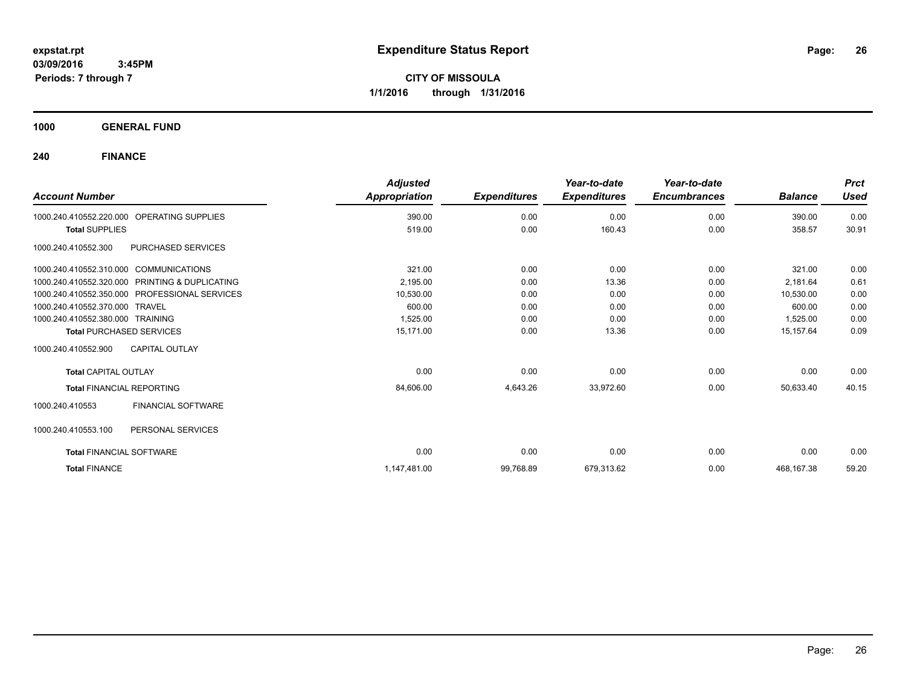**CITY OF MISSOULA 1/1/2016 through 1/31/2016**

**1000 GENERAL FUND**

| <b>Account Number</b>                  |                                               | <b>Adjusted</b><br>Appropriation | <b>Expenditures</b> | Year-to-date<br><b>Expenditures</b> | Year-to-date<br><b>Encumbrances</b> | <b>Balance</b> | <b>Prct</b><br><b>Used</b> |
|----------------------------------------|-----------------------------------------------|----------------------------------|---------------------|-------------------------------------|-------------------------------------|----------------|----------------------------|
| 1000.240.410552.220.000                | <b>OPERATING SUPPLIES</b>                     | 390.00                           | 0.00                | 0.00                                | 0.00                                | 390.00         | 0.00                       |
| <b>Total SUPPLIES</b>                  |                                               | 519.00                           | 0.00                | 160.43                              | 0.00                                | 358.57         | 30.91                      |
| 1000.240.410552.300                    | PURCHASED SERVICES                            |                                  |                     |                                     |                                     |                |                            |
| 1000.240.410552.310.000 COMMUNICATIONS |                                               | 321.00                           | 0.00                | 0.00                                | 0.00                                | 321.00         | 0.00                       |
| 1000.240.410552.320.000                | PRINTING & DUPLICATING                        | 2,195.00                         | 0.00                | 13.36                               | 0.00                                | 2,181.64       | 0.61                       |
|                                        | 1000.240.410552.350.000 PROFESSIONAL SERVICES | 10,530.00                        | 0.00                | 0.00                                | 0.00                                | 10,530.00      | 0.00                       |
| 1000.240.410552.370.000 TRAVEL         |                                               | 600.00                           | 0.00                | 0.00                                | 0.00                                | 600.00         | 0.00                       |
| 1000.240.410552.380.000 TRAINING       |                                               | 1,525.00                         | 0.00                | 0.00                                | 0.00                                | 1,525.00       | 0.00                       |
|                                        | <b>Total PURCHASED SERVICES</b>               | 15.171.00                        | 0.00                | 13.36                               | 0.00                                | 15.157.64      | 0.09                       |
| 1000.240.410552.900                    | <b>CAPITAL OUTLAY</b>                         |                                  |                     |                                     |                                     |                |                            |
| <b>Total CAPITAL OUTLAY</b>            |                                               | 0.00                             | 0.00                | 0.00                                | 0.00                                | 0.00           | 0.00                       |
| <b>Total FINANCIAL REPORTING</b>       |                                               | 84,606.00                        | 4,643.26            | 33,972.60                           | 0.00                                | 50,633.40      | 40.15                      |
| 1000.240.410553                        | FINANCIAL SOFTWARE                            |                                  |                     |                                     |                                     |                |                            |
| 1000.240.410553.100                    | PERSONAL SERVICES                             |                                  |                     |                                     |                                     |                |                            |
| <b>Total FINANCIAL SOFTWARE</b>        |                                               | 0.00                             | 0.00                | 0.00                                | 0.00                                | 0.00           | 0.00                       |
| <b>Total FINANCE</b>                   |                                               | 1,147,481.00                     | 99,768.89           | 679,313.62                          | 0.00                                | 468,167.38     | 59.20                      |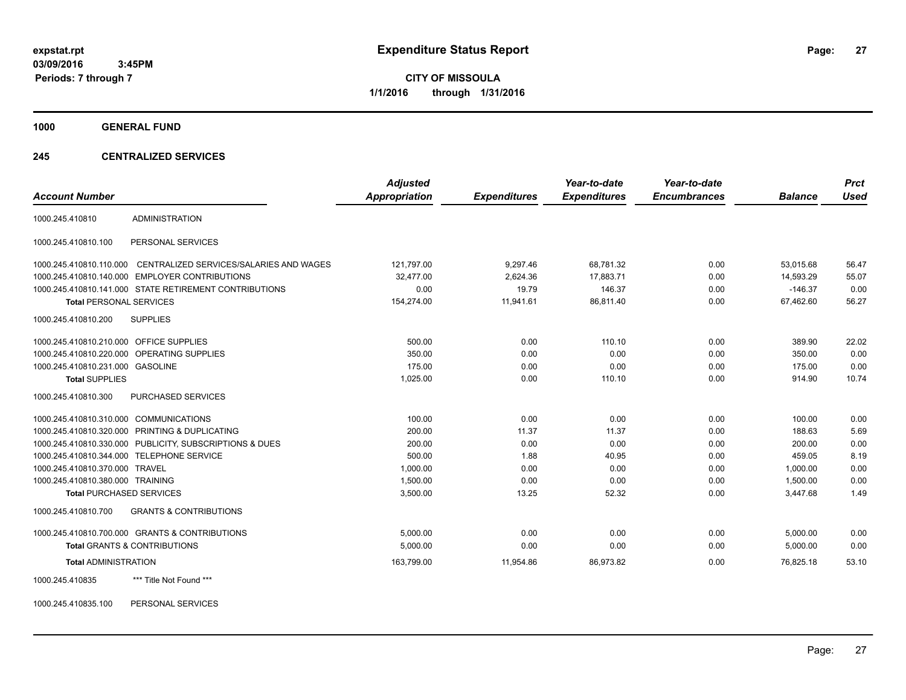**CITY OF MISSOULA 1/1/2016 through 1/31/2016**

**1000 GENERAL FUND**

### **245 CENTRALIZED SERVICES**

| <b>Account Number</b>                   |                                                        | <b>Adjusted</b><br><b>Appropriation</b> | <b>Expenditures</b> | Year-to-date<br><b>Expenditures</b> | Year-to-date<br><b>Encumbrances</b> | <b>Balance</b> | <b>Prct</b><br><b>Used</b> |
|-----------------------------------------|--------------------------------------------------------|-----------------------------------------|---------------------|-------------------------------------|-------------------------------------|----------------|----------------------------|
|                                         |                                                        |                                         |                     |                                     |                                     |                |                            |
| 1000.245.410810                         | <b>ADMINISTRATION</b>                                  |                                         |                     |                                     |                                     |                |                            |
| 1000.245.410810.100                     | PERSONAL SERVICES                                      |                                         |                     |                                     |                                     |                |                            |
| 1000.245.410810.110.000                 | CENTRALIZED SERVICES/SALARIES AND WAGES                | 121,797.00                              | 9,297.46            | 68,781.32                           | 0.00                                | 53,015.68      | 56.47                      |
|                                         | 1000.245.410810.140.000 EMPLOYER CONTRIBUTIONS         | 32,477.00                               | 2,624.36            | 17,883.71                           | 0.00                                | 14,593.29      | 55.07                      |
|                                         | 1000.245.410810.141.000 STATE RETIREMENT CONTRIBUTIONS | 0.00                                    | 19.79               | 146.37                              | 0.00                                | $-146.37$      | 0.00                       |
| <b>Total PERSONAL SERVICES</b>          |                                                        | 154,274.00                              | 11,941.61           | 86,811.40                           | 0.00                                | 67,462.60      | 56.27                      |
| 1000.245.410810.200                     | <b>SUPPLIES</b>                                        |                                         |                     |                                     |                                     |                |                            |
| 1000.245.410810.210.000 OFFICE SUPPLIES |                                                        | 500.00                                  | 0.00                | 110.10                              | 0.00                                | 389.90         | 22.02                      |
| 1000.245.410810.220.000                 | OPERATING SUPPLIES                                     | 350.00                                  | 0.00                | 0.00                                | 0.00                                | 350.00         | 0.00                       |
| 1000.245.410810.231.000 GASOLINE        |                                                        | 175.00                                  | 0.00                | 0.00                                | 0.00                                | 175.00         | 0.00                       |
| <b>Total SUPPLIES</b>                   |                                                        | 1,025.00                                | 0.00                | 110.10                              | 0.00                                | 914.90         | 10.74                      |
| 1000.245.410810.300                     | <b>PURCHASED SERVICES</b>                              |                                         |                     |                                     |                                     |                |                            |
| 1000.245.410810.310.000                 | <b>COMMUNICATIONS</b>                                  | 100.00                                  | 0.00                | 0.00                                | 0.00                                | 100.00         | 0.00                       |
| 1000.245.410810.320.000                 | PRINTING & DUPLICATING                                 | 200.00                                  | 11.37               | 11.37                               | 0.00                                | 188.63         | 5.69                       |
| 1000.245.410810.330.000                 | PUBLICITY, SUBSCRIPTIONS & DUES                        | 200.00                                  | 0.00                | 0.00                                | 0.00                                | 200.00         | 0.00                       |
| 1000.245.410810.344.000                 | <b>TELEPHONE SERVICE</b>                               | 500.00                                  | 1.88                | 40.95                               | 0.00                                | 459.05         | 8.19                       |
| 1000.245.410810.370.000                 | <b>TRAVEL</b>                                          | 1,000.00                                | 0.00                | 0.00                                | 0.00                                | 1.000.00       | 0.00                       |
| 1000.245.410810.380.000 TRAINING        |                                                        | 1,500.00                                | 0.00                | 0.00                                | 0.00                                | 1,500.00       | 0.00                       |
| <b>Total PURCHASED SERVICES</b>         |                                                        | 3,500.00                                | 13.25               | 52.32                               | 0.00                                | 3,447.68       | 1.49                       |
| 1000.245.410810.700                     | <b>GRANTS &amp; CONTRIBUTIONS</b>                      |                                         |                     |                                     |                                     |                |                            |
|                                         | 1000.245.410810.700.000 GRANTS & CONTRIBUTIONS         | 5.000.00                                | 0.00                | 0.00                                | 0.00                                | 5,000.00       | 0.00                       |
|                                         | <b>Total GRANTS &amp; CONTRIBUTIONS</b>                | 5,000.00                                | 0.00                | 0.00                                | 0.00                                | 5,000.00       | 0.00                       |
| <b>Total ADMINISTRATION</b>             |                                                        | 163,799.00                              | 11,954.86           | 86,973.82                           | 0.00                                | 76,825.18      | 53.10                      |
| 1000.245.410835                         | *** Title Not Found ***                                |                                         |                     |                                     |                                     |                |                            |

1000.245.410835.100 PERSONAL SERVICES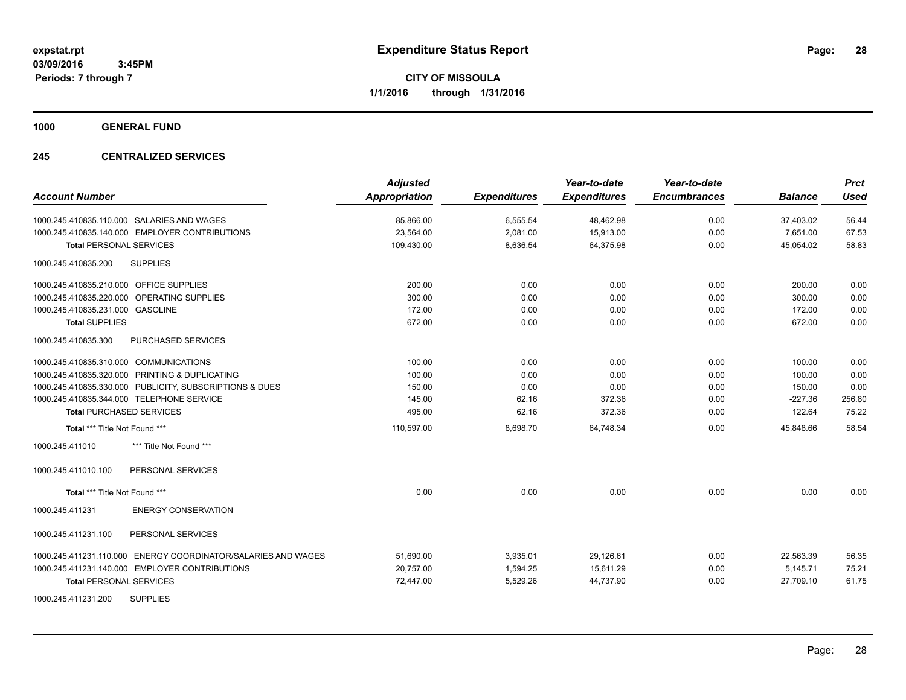**1000 GENERAL FUND**

### **245 CENTRALIZED SERVICES**

| <b>Account Number</b>                                         | <b>Adjusted</b><br><b>Appropriation</b> | <b>Expenditures</b> | Year-to-date<br><b>Expenditures</b> | Year-to-date<br><b>Encumbrances</b> | <b>Balance</b> | <b>Prct</b><br><b>Used</b> |
|---------------------------------------------------------------|-----------------------------------------|---------------------|-------------------------------------|-------------------------------------|----------------|----------------------------|
| 1000.245.410835.110.000 SALARIES AND WAGES                    | 85,866.00                               | 6,555.54            | 48,462.98                           | 0.00                                | 37,403.02      | 56.44                      |
| 1000.245.410835.140.000 EMPLOYER CONTRIBUTIONS                | 23,564.00                               | 2,081.00            | 15,913.00                           | 0.00                                | 7,651.00       | 67.53                      |
| <b>Total PERSONAL SERVICES</b>                                | 109,430.00                              | 8,636.54            | 64,375.98                           | 0.00                                | 45,054.02      | 58.83                      |
| <b>SUPPLIES</b><br>1000.245.410835.200                        |                                         |                     |                                     |                                     |                |                            |
| 1000.245.410835.210.000 OFFICE SUPPLIES                       | 200.00                                  | 0.00                | 0.00                                | 0.00                                | 200.00         | 0.00                       |
| 1000.245.410835.220.000 OPERATING SUPPLIES                    | 300.00                                  | 0.00                | 0.00                                | 0.00                                | 300.00         | 0.00                       |
| 1000.245.410835.231.000 GASOLINE                              | 172.00                                  | 0.00                | 0.00                                | 0.00                                | 172.00         | 0.00                       |
| <b>Total SUPPLIES</b>                                         | 672.00                                  | 0.00                | 0.00                                | 0.00                                | 672.00         | 0.00                       |
| PURCHASED SERVICES<br>1000.245.410835.300                     |                                         |                     |                                     |                                     |                |                            |
| 1000.245.410835.310.000 COMMUNICATIONS                        | 100.00                                  | 0.00                | 0.00                                | 0.00                                | 100.00         | 0.00                       |
| 1000.245.410835.320.000 PRINTING & DUPLICATING                | 100.00                                  | 0.00                | 0.00                                | 0.00                                | 100.00         | 0.00                       |
| 1000.245.410835.330.000 PUBLICITY, SUBSCRIPTIONS & DUES       | 150.00                                  | 0.00                | 0.00                                | 0.00                                | 150.00         | 0.00                       |
| 1000.245.410835.344.000 TELEPHONE SERVICE                     | 145.00                                  | 62.16               | 372.36                              | 0.00                                | $-227.36$      | 256.80                     |
| <b>Total PURCHASED SERVICES</b>                               | 495.00                                  | 62.16               | 372.36                              | 0.00                                | 122.64         | 75.22                      |
| Total *** Title Not Found ***                                 | 110,597.00                              | 8,698.70            | 64,748.34                           | 0.00                                | 45,848.66      | 58.54                      |
| 1000.245.411010<br>*** Title Not Found ***                    |                                         |                     |                                     |                                     |                |                            |
| 1000.245.411010.100<br>PERSONAL SERVICES                      |                                         |                     |                                     |                                     |                |                            |
| Total *** Title Not Found ***                                 | 0.00                                    | 0.00                | 0.00                                | 0.00                                | 0.00           | 0.00                       |
| 1000.245.411231<br><b>ENERGY CONSERVATION</b>                 |                                         |                     |                                     |                                     |                |                            |
| 1000.245.411231.100<br>PERSONAL SERVICES                      |                                         |                     |                                     |                                     |                |                            |
| 1000.245.411231.110.000 ENERGY COORDINATOR/SALARIES AND WAGES | 51,690.00                               | 3,935.01            | 29,126.61                           | 0.00                                | 22,563.39      | 56.35                      |
| 1000.245.411231.140.000 EMPLOYER CONTRIBUTIONS                | 20,757.00                               | 1,594.25            | 15,611.29                           | 0.00                                | 5,145.71       | 75.21                      |
| <b>Total PERSONAL SERVICES</b>                                | 72,447.00                               | 5,529.26            | 44,737.90                           | 0.00                                | 27,709.10      | 61.75                      |
| <b>SUPPLIES</b><br>1000.245.411231.200                        |                                         |                     |                                     |                                     |                |                            |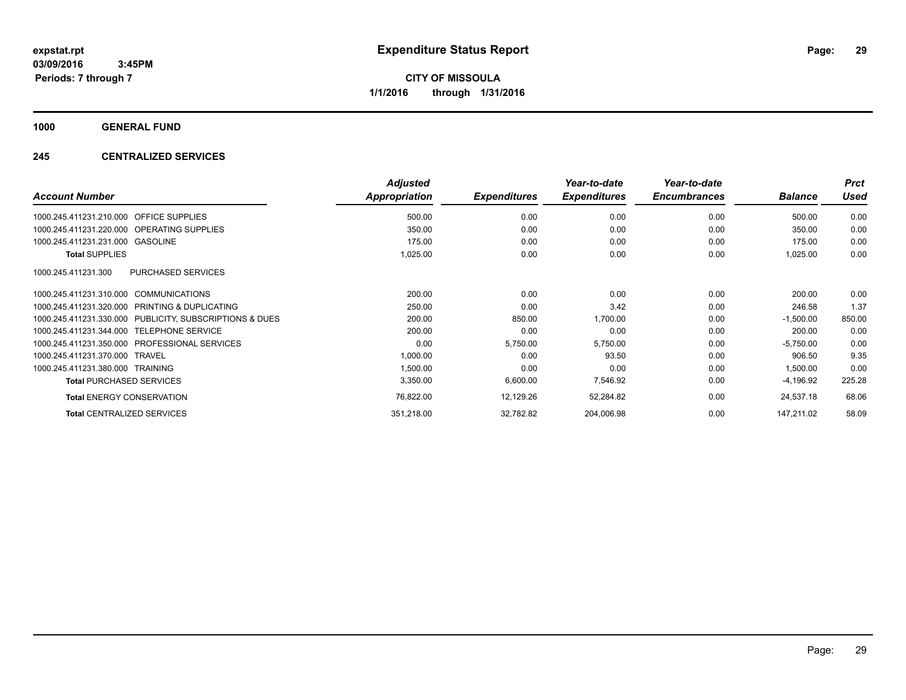**CITY OF MISSOULA 1/1/2016 through 1/31/2016**

**1000 GENERAL FUND**

### **245 CENTRALIZED SERVICES**

| <b>Account Number</b>                                   | <b>Adjusted</b><br>Appropriation | <b>Expenditures</b> | Year-to-date<br><b>Expenditures</b> | Year-to-date<br><b>Encumbrances</b> | <b>Balance</b> | <b>Prct</b><br><b>Used</b> |
|---------------------------------------------------------|----------------------------------|---------------------|-------------------------------------|-------------------------------------|----------------|----------------------------|
| 1000.245.411231.210.000 OFFICE SUPPLIES                 | 500.00                           | 0.00                | 0.00                                | 0.00                                | 500.00         | 0.00                       |
| 1000.245.411231.220.000 OPERATING SUPPLIES              | 350.00                           | 0.00                | 0.00                                | 0.00                                | 350.00         | 0.00                       |
| 1000.245.411231.231.000 GASOLINE                        | 175.00                           | 0.00                | 0.00                                | 0.00                                | 175.00         | 0.00                       |
| <b>Total SUPPLIES</b>                                   | 1,025.00                         | 0.00                | 0.00                                | 0.00                                | 1,025.00       | 0.00                       |
| <b>PURCHASED SERVICES</b><br>1000.245.411231.300        |                                  |                     |                                     |                                     |                |                            |
| 1000.245.411231.310.000 COMMUNICATIONS                  | 200.00                           | 0.00                | 0.00                                | 0.00                                | 200.00         | 0.00                       |
| 1000.245.411231.320.000 PRINTING & DUPLICATING          | 250.00                           | 0.00                | 3.42                                | 0.00                                | 246.58         | 1.37                       |
| 1000.245.411231.330.000 PUBLICITY, SUBSCRIPTIONS & DUES | 200.00                           | 850.00              | 1,700.00                            | 0.00                                | $-1,500.00$    | 850.00                     |
| 1000.245.411231.344.000 TELEPHONE SERVICE               | 200.00                           | 0.00                | 0.00                                | 0.00                                | 200.00         | 0.00                       |
| 1000.245.411231.350.000 PROFESSIONAL SERVICES           | 0.00                             | 5,750.00            | 5,750.00                            | 0.00                                | $-5,750.00$    | 0.00                       |
| 1000.245.411231.370.000 TRAVEL                          | 1,000.00                         | 0.00                | 93.50                               | 0.00                                | 906.50         | 9.35                       |
| 1000.245.411231.380.000 TRAINING                        | 1,500.00                         | 0.00                | 0.00                                | 0.00                                | 1,500.00       | 0.00                       |
| <b>Total PURCHASED SERVICES</b>                         | 3,350.00                         | 6,600.00            | 7,546.92                            | 0.00                                | $-4,196.92$    | 225.28                     |
| <b>Total ENERGY CONSERVATION</b>                        | 76,822.00                        | 12,129.26           | 52,284.82                           | 0.00                                | 24,537.18      | 68.06                      |
| <b>Total CENTRALIZED SERVICES</b>                       | 351,218.00                       | 32,782.82           | 204,006.98                          | 0.00                                | 147,211.02     | 58.09                      |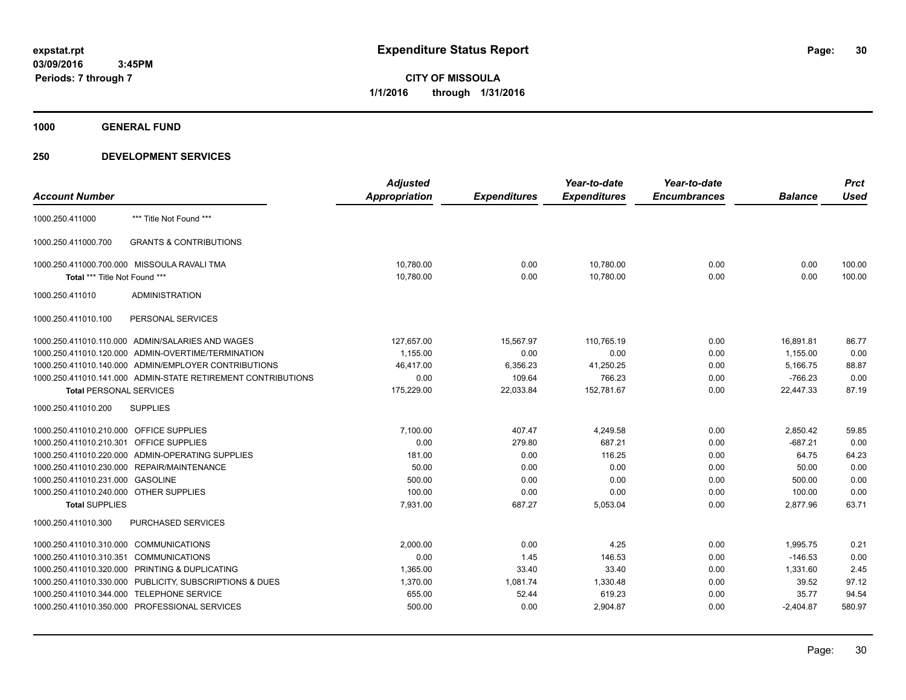**1000 GENERAL FUND**

|                                                              | <b>Adjusted</b>      |                     | Year-to-date        | Year-to-date        |                | <b>Prct</b> |
|--------------------------------------------------------------|----------------------|---------------------|---------------------|---------------------|----------------|-------------|
| <b>Account Number</b>                                        | <b>Appropriation</b> | <b>Expenditures</b> | <b>Expenditures</b> | <b>Encumbrances</b> | <b>Balance</b> | <b>Used</b> |
| *** Title Not Found ***<br>1000.250.411000                   |                      |                     |                     |                     |                |             |
| <b>GRANTS &amp; CONTRIBUTIONS</b><br>1000.250.411000.700     |                      |                     |                     |                     |                |             |
| 1000.250.411000.700.000 MISSOULA RAVALI TMA                  | 10,780.00            | 0.00                | 10,780.00           | 0.00                | 0.00           | 100.00      |
| Total *** Title Not Found ***                                | 10,780.00            | 0.00                | 10,780.00           | 0.00                | 0.00           | 100.00      |
| 1000.250.411010<br><b>ADMINISTRATION</b>                     |                      |                     |                     |                     |                |             |
| PERSONAL SERVICES<br>1000.250.411010.100                     |                      |                     |                     |                     |                |             |
| 1000.250.411010.110.000 ADMIN/SALARIES AND WAGES             | 127,657.00           | 15,567.97           | 110,765.19          | 0.00                | 16,891.81      | 86.77       |
| 1000.250.411010.120.000 ADMIN-OVERTIME/TERMINATION           | 1,155.00             | 0.00                | 0.00                | 0.00                | 1,155.00       | 0.00        |
| 1000.250.411010.140.000 ADMIN/EMPLOYER CONTRIBUTIONS         | 46,417.00            | 6,356.23            | 41,250.25           | 0.00                | 5,166.75       | 88.87       |
| 1000.250.411010.141.000 ADMIN-STATE RETIREMENT CONTRIBUTIONS | 0.00                 | 109.64              | 766.23              | 0.00                | $-766.23$      | 0.00        |
| <b>Total PERSONAL SERVICES</b>                               | 175,229.00           | 22,033.84           | 152,781.67          | 0.00                | 22,447.33      | 87.19       |
| 1000.250.411010.200<br><b>SUPPLIES</b>                       |                      |                     |                     |                     |                |             |
| 1000.250.411010.210.000 OFFICE SUPPLIES                      | 7,100.00             | 407.47              | 4,249.58            | 0.00                | 2,850.42       | 59.85       |
| 1000.250.411010.210.301 OFFICE SUPPLIES                      | 0.00                 | 279.80              | 687.21              | 0.00                | $-687.21$      | 0.00        |
| 1000.250.411010.220.000 ADMIN-OPERATING SUPPLIES             | 181.00               | 0.00                | 116.25              | 0.00                | 64.75          | 64.23       |
| 1000.250.411010.230.000 REPAIR/MAINTENANCE                   | 50.00                | 0.00                | 0.00                | 0.00                | 50.00          | 0.00        |
| 1000.250.411010.231.000 GASOLINE                             | 500.00               | 0.00                | 0.00                | 0.00                | 500.00         | 0.00        |
| 1000.250.411010.240.000 OTHER SUPPLIES                       | 100.00               | 0.00                | 0.00                | 0.00                | 100.00         | 0.00        |
| <b>Total SUPPLIES</b>                                        | 7,931.00             | 687.27              | 5,053.04            | 0.00                | 2,877.96       | 63.71       |
| 1000.250.411010.300<br>PURCHASED SERVICES                    |                      |                     |                     |                     |                |             |
| 1000.250.411010.310.000 COMMUNICATIONS                       | 2,000.00             | 0.00                | 4.25                | 0.00                | 1,995.75       | 0.21        |
| 1000.250.411010.310.351 COMMUNICATIONS                       | 0.00                 | 1.45                | 146.53              | 0.00                | $-146.53$      | 0.00        |
| 1000.250.411010.320.000 PRINTING & DUPLICATING               | 1,365.00             | 33.40               | 33.40               | 0.00                | 1,331.60       | 2.45        |
| 1000.250.411010.330.000 PUBLICITY, SUBSCRIPTIONS & DUES      | 1,370.00             | 1,081.74            | 1,330.48            | 0.00                | 39.52          | 97.12       |
| 1000.250.411010.344.000 TELEPHONE SERVICE                    | 655.00               | 52.44               | 619.23              | 0.00                | 35.77          | 94.54       |
| 1000.250.411010.350.000 PROFESSIONAL SERVICES                | 500.00               | 0.00                | 2,904.87            | 0.00                | $-2,404.87$    | 580.97      |
|                                                              |                      |                     |                     |                     |                |             |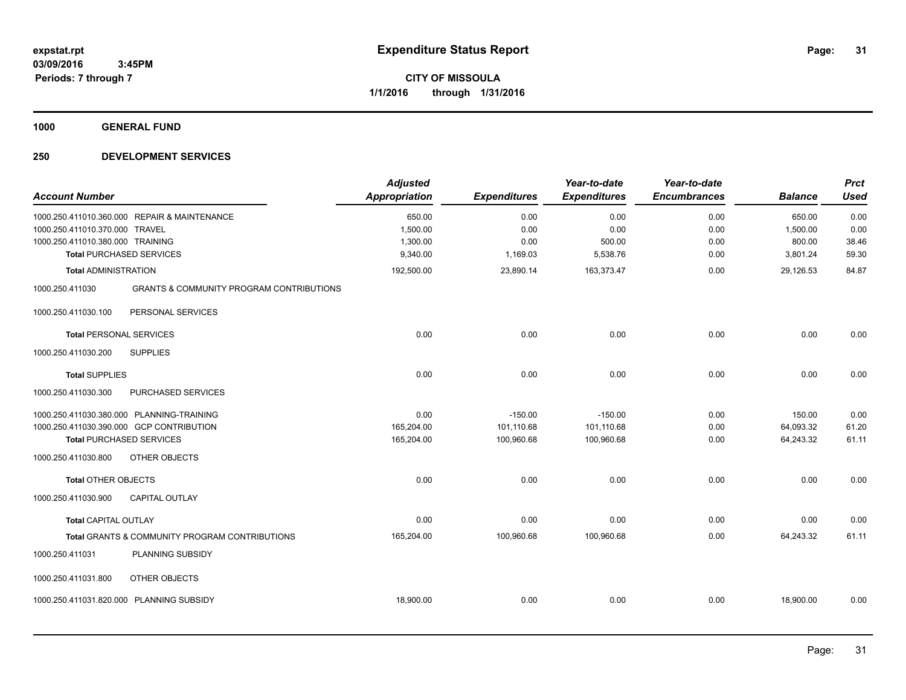**1000 GENERAL FUND**

| <b>Account Number</b>                                              |                                                                                                                          | <b>Adjusted</b><br><b>Appropriation</b> | <b>Expenditures</b>                   | Year-to-date<br><b>Expenditures</b>   | Year-to-date<br><b>Encumbrances</b> | <b>Balance</b>                   | <b>Prct</b><br><b>Used</b> |
|--------------------------------------------------------------------|--------------------------------------------------------------------------------------------------------------------------|-----------------------------------------|---------------------------------------|---------------------------------------|-------------------------------------|----------------------------------|----------------------------|
| 1000.250.411010.370.000 TRAVEL<br>1000.250.411010.380.000 TRAINING | 1000.250.411010.360.000 REPAIR & MAINTENANCE                                                                             | 650.00<br>1,500.00<br>1,300.00          | 0.00<br>0.00<br>0.00                  | 0.00<br>0.00<br>500.00                | 0.00<br>0.00<br>0.00                | 650.00<br>1,500.00<br>800.00     | 0.00<br>0.00<br>38.46      |
|                                                                    | <b>Total PURCHASED SERVICES</b>                                                                                          | 9,340.00                                | 1,169.03                              | 5,538.76                              | 0.00                                | 3,801.24                         | 59.30                      |
| <b>Total ADMINISTRATION</b>                                        |                                                                                                                          | 192,500.00                              | 23,890.14                             | 163,373.47                            | 0.00                                | 29,126.53                        | 84.87                      |
| 1000.250.411030                                                    | <b>GRANTS &amp; COMMUNITY PROGRAM CONTRIBUTIONS</b>                                                                      |                                         |                                       |                                       |                                     |                                  |                            |
| 1000.250.411030.100                                                | PERSONAL SERVICES                                                                                                        |                                         |                                       |                                       |                                     |                                  |                            |
| <b>Total PERSONAL SERVICES</b>                                     |                                                                                                                          | 0.00                                    | 0.00                                  | 0.00                                  | 0.00                                | 0.00                             | 0.00                       |
| 1000.250.411030.200                                                | <b>SUPPLIES</b>                                                                                                          |                                         |                                       |                                       |                                     |                                  |                            |
| <b>Total SUPPLIES</b>                                              |                                                                                                                          | 0.00                                    | 0.00                                  | 0.00                                  | 0.00                                | 0.00                             | 0.00                       |
| 1000.250.411030.300                                                | PURCHASED SERVICES                                                                                                       |                                         |                                       |                                       |                                     |                                  |                            |
|                                                                    | 1000.250.411030.380.000 PLANNING-TRAINING<br>1000.250.411030.390.000 GCP CONTRIBUTION<br><b>Total PURCHASED SERVICES</b> | 0.00<br>165,204.00<br>165,204.00        | $-150.00$<br>101,110.68<br>100,960.68 | $-150.00$<br>101,110.68<br>100,960.68 | 0.00<br>0.00<br>0.00                | 150.00<br>64,093.32<br>64,243.32 | 0.00<br>61.20<br>61.11     |
| 1000.250.411030.800                                                | <b>OTHER OBJECTS</b>                                                                                                     |                                         |                                       |                                       |                                     |                                  |                            |
| <b>Total OTHER OBJECTS</b>                                         |                                                                                                                          | 0.00                                    | 0.00                                  | 0.00                                  | 0.00                                | 0.00                             | 0.00                       |
| 1000.250.411030.900                                                | <b>CAPITAL OUTLAY</b>                                                                                                    |                                         |                                       |                                       |                                     |                                  |                            |
| <b>Total CAPITAL OUTLAY</b>                                        |                                                                                                                          | 0.00                                    | 0.00                                  | 0.00                                  | 0.00                                | 0.00                             | 0.00                       |
|                                                                    | Total GRANTS & COMMUNITY PROGRAM CONTRIBUTIONS                                                                           | 165,204.00                              | 100,960.68                            | 100,960.68                            | 0.00                                | 64,243.32                        | 61.11                      |
| 1000.250.411031                                                    | PLANNING SUBSIDY                                                                                                         |                                         |                                       |                                       |                                     |                                  |                            |
| 1000.250.411031.800                                                | OTHER OBJECTS                                                                                                            |                                         |                                       |                                       |                                     |                                  |                            |
|                                                                    | 1000.250.411031.820.000 PLANNING SUBSIDY                                                                                 | 18,900.00                               | 0.00                                  | 0.00                                  | 0.00                                | 18,900.00                        | 0.00                       |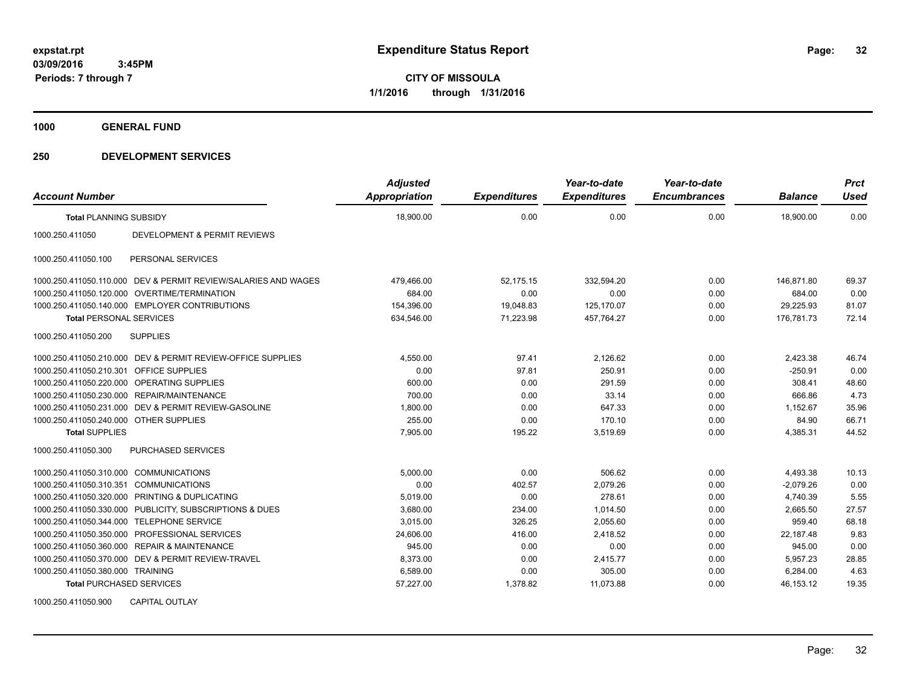**CITY OF MISSOULA 1/1/2016 through 1/31/2016**

**1000 GENERAL FUND**

### **250 DEVELOPMENT SERVICES**

| <b>Account Number</b>                  |                                                                | <b>Adjusted</b><br>Appropriation | <b>Expenditures</b> | Year-to-date<br><b>Expenditures</b> | Year-to-date<br><b>Encumbrances</b> | <b>Balance</b> | <b>Prct</b><br><b>Used</b> |
|----------------------------------------|----------------------------------------------------------------|----------------------------------|---------------------|-------------------------------------|-------------------------------------|----------------|----------------------------|
| <b>Total PLANNING SUBSIDY</b>          |                                                                | 18,900.00                        | 0.00                | 0.00                                | 0.00                                | 18,900.00      | 0.00                       |
| 1000.250.411050                        | <b>DEVELOPMENT &amp; PERMIT REVIEWS</b>                        |                                  |                     |                                     |                                     |                |                            |
| 1000.250.411050.100                    | PERSONAL SERVICES                                              |                                  |                     |                                     |                                     |                |                            |
|                                        | 1000.250.411050.110.000 DEV & PERMIT REVIEW/SALARIES AND WAGES | 479,466.00                       | 52,175.15           | 332,594.20                          | 0.00                                | 146.871.80     | 69.37                      |
|                                        | 1000.250.411050.120.000 OVERTIME/TERMINATION                   | 684.00                           | 0.00                | 0.00                                | 0.00                                | 684.00         | 0.00                       |
|                                        | 1000.250.411050.140.000 EMPLOYER CONTRIBUTIONS                 | 154,396.00                       | 19.048.83           | 125.170.07                          | 0.00                                | 29,225.93      | 81.07                      |
| <b>Total PERSONAL SERVICES</b>         |                                                                | 634,546.00                       | 71,223.98           | 457,764.27                          | 0.00                                | 176,781.73     | 72.14                      |
| 1000.250.411050.200                    | <b>SUPPLIES</b>                                                |                                  |                     |                                     |                                     |                |                            |
|                                        | 1000.250.411050.210.000 DEV & PERMIT REVIEW-OFFICE SUPPLIES    | 4,550.00                         | 97.41               | 2,126.62                            | 0.00                                | 2,423.38       | 46.74                      |
| 1000.250.411050.210.301                | <b>OFFICE SUPPLIES</b>                                         | 0.00                             | 97.81               | 250.91                              | 0.00                                | $-250.91$      | 0.00                       |
|                                        | 1000.250.411050.220.000 OPERATING SUPPLIES                     | 600.00                           | 0.00                | 291.59                              | 0.00                                | 308.41         | 48.60                      |
| 1000.250.411050.230.000                | <b>REPAIR/MAINTENANCE</b>                                      | 700.00                           | 0.00                | 33.14                               | 0.00                                | 666.86         | 4.73                       |
| 1000.250.411050.231.000                | DEV & PERMIT REVIEW-GASOLINE                                   | 1,800.00                         | 0.00                | 647.33                              | 0.00                                | 1,152.67       | 35.96                      |
| 1000.250.411050.240.000 OTHER SUPPLIES |                                                                | 255.00                           | 0.00                | 170.10                              | 0.00                                | 84.90          | 66.71                      |
| <b>Total SUPPLIES</b>                  |                                                                | 7.905.00                         | 195.22              | 3.519.69                            | 0.00                                | 4,385.31       | 44.52                      |
| 1000.250.411050.300                    | <b>PURCHASED SERVICES</b>                                      |                                  |                     |                                     |                                     |                |                            |
| 1000.250.411050.310.000                | <b>COMMUNICATIONS</b>                                          | 5.000.00                         | 0.00                | 506.62                              | 0.00                                | 4,493.38       | 10.13                      |
| 1000.250.411050.310.351                | <b>COMMUNICATIONS</b>                                          | 0.00                             | 402.57              | 2.079.26                            | 0.00                                | $-2.079.26$    | 0.00                       |
| 1000.250.411050.320.000                | <b>PRINTING &amp; DUPLICATING</b>                              | 5,019.00                         | 0.00                | 278.61                              | 0.00                                | 4,740.39       | 5.55                       |
|                                        | 1000.250.411050.330.000 PUBLICITY, SUBSCRIPTIONS & DUES        | 3,680.00                         | 234.00              | 1,014.50                            | 0.00                                | 2,665.50       | 27.57                      |
| 1000.250.411050.344.000                | <b>TELEPHONE SERVICE</b>                                       | 3.015.00                         | 326.25              | 2.055.60                            | 0.00                                | 959.40         | 68.18                      |
| 1000.250.411050.350.000                | PROFESSIONAL SERVICES                                          | 24,606.00                        | 416.00              | 2.418.52                            | 0.00                                | 22,187.48      | 9.83                       |
|                                        | 1000.250.411050.360.000 REPAIR & MAINTENANCE                   | 945.00                           | 0.00                | 0.00                                | 0.00                                | 945.00         | 0.00                       |
|                                        | 1000.250.411050.370.000 DEV & PERMIT REVIEW-TRAVEL             | 8,373.00                         | 0.00                | 2,415.77                            | 0.00                                | 5,957.23       | 28.85                      |
| 1000.250.411050.380.000 TRAINING       |                                                                | 6,589.00                         | 0.00                | 305.00                              | 0.00                                | 6,284.00       | 4.63                       |
| <b>Total PURCHASED SERVICES</b>        |                                                                | 57,227.00                        | 1,378.82            | 11,073.88                           | 0.00                                | 46,153.12      | 19.35                      |

1000.250.411050.900 CAPITAL OUTLAY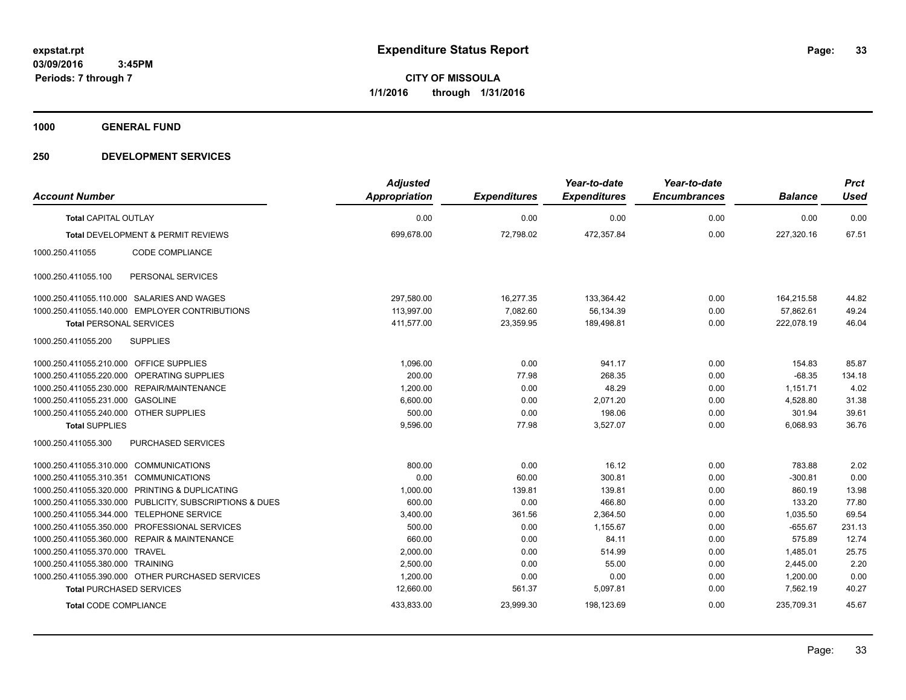**1000 GENERAL FUND**

| <b>Account Number</b>                   |                                                         | <b>Adjusted</b><br><b>Appropriation</b> | <b>Expenditures</b> | Year-to-date<br><b>Expenditures</b> | Year-to-date<br><b>Encumbrances</b> | <b>Balance</b> | <b>Prct</b><br><b>Used</b> |
|-----------------------------------------|---------------------------------------------------------|-----------------------------------------|---------------------|-------------------------------------|-------------------------------------|----------------|----------------------------|
| <b>Total CAPITAL OUTLAY</b>             |                                                         | 0.00                                    | 0.00                | 0.00                                | 0.00                                | 0.00           | 0.00                       |
|                                         |                                                         |                                         |                     |                                     |                                     |                |                            |
|                                         | <b>Total DEVELOPMENT &amp; PERMIT REVIEWS</b>           | 699,678.00                              | 72,798.02           | 472,357.84                          | 0.00                                | 227,320.16     | 67.51                      |
| 1000.250.411055                         | CODE COMPLIANCE                                         |                                         |                     |                                     |                                     |                |                            |
| 1000.250.411055.100                     | PERSONAL SERVICES                                       |                                         |                     |                                     |                                     |                |                            |
|                                         | 1000.250.411055.110.000 SALARIES AND WAGES              | 297,580.00                              | 16,277.35           | 133,364.42                          | 0.00                                | 164,215.58     | 44.82                      |
|                                         | 1000.250.411055.140.000 EMPLOYER CONTRIBUTIONS          | 113,997.00                              | 7,082.60            | 56,134.39                           | 0.00                                | 57,862.61      | 49.24                      |
| <b>Total PERSONAL SERVICES</b>          |                                                         | 411,577.00                              | 23,359.95           | 189,498.81                          | 0.00                                | 222,078.19     | 46.04                      |
| 1000.250.411055.200                     | <b>SUPPLIES</b>                                         |                                         |                     |                                     |                                     |                |                            |
| 1000.250.411055.210.000 OFFICE SUPPLIES |                                                         | 1.096.00                                | 0.00                | 941.17                              | 0.00                                | 154.83         | 85.87                      |
|                                         | 1000.250.411055.220.000 OPERATING SUPPLIES              | 200.00                                  | 77.98               | 268.35                              | 0.00                                | $-68.35$       | 134.18                     |
|                                         | 1000.250.411055.230.000 REPAIR/MAINTENANCE              | 1,200.00                                | 0.00                | 48.29                               | 0.00                                | 1,151.71       | 4.02                       |
| 1000.250.411055.231.000                 | <b>GASOLINE</b>                                         | 6,600.00                                | 0.00                | 2,071.20                            | 0.00                                | 4,528.80       | 31.38                      |
| 1000.250.411055.240.000 OTHER SUPPLIES  |                                                         | 500.00                                  | 0.00                | 198.06                              | 0.00                                | 301.94         | 39.61                      |
| <b>Total SUPPLIES</b>                   |                                                         | 9,596.00                                | 77.98               | 3,527.07                            | 0.00                                | 6,068.93       | 36.76                      |
| 1000.250.411055.300                     | PURCHASED SERVICES                                      |                                         |                     |                                     |                                     |                |                            |
| 1000.250.411055.310.000 COMMUNICATIONS  |                                                         | 800.00                                  | 0.00                | 16.12                               | 0.00                                | 783.88         | 2.02                       |
| 1000.250.411055.310.351 COMMUNICATIONS  |                                                         | 0.00                                    | 60.00               | 300.81                              | 0.00                                | $-300.81$      | 0.00                       |
|                                         | 1000.250.411055.320.000 PRINTING & DUPLICATING          | 1,000.00                                | 139.81              | 139.81                              | 0.00                                | 860.19         | 13.98                      |
|                                         | 1000.250.411055.330.000 PUBLICITY, SUBSCRIPTIONS & DUES | 600.00                                  | 0.00                | 466.80                              | 0.00                                | 133.20         | 77.80                      |
|                                         | 1000.250.411055.344.000 TELEPHONE SERVICE               | 3,400.00                                | 361.56              | 2,364.50                            | 0.00                                | 1,035.50       | 69.54                      |
| 1000.250.411055.350.000                 | PROFESSIONAL SERVICES                                   | 500.00                                  | 0.00                | 1,155.67                            | 0.00                                | $-655.67$      | 231.13                     |
|                                         | 1000.250.411055.360.000 REPAIR & MAINTENANCE            | 660.00                                  | 0.00                | 84.11                               | 0.00                                | 575.89         | 12.74                      |
| 1000.250.411055.370.000                 | <b>TRAVEL</b>                                           | 2,000.00                                | 0.00                | 514.99                              | 0.00                                | 1,485.01       | 25.75                      |
| 1000.250.411055.380.000 TRAINING        |                                                         | 2,500.00                                | 0.00                | 55.00                               | 0.00                                | 2,445.00       | 2.20                       |
|                                         | 1000.250.411055.390.000 OTHER PURCHASED SERVICES        | 1,200.00                                | 0.00                | 0.00                                | 0.00                                | 1,200.00       | 0.00                       |
| <b>Total PURCHASED SERVICES</b>         |                                                         | 12,660.00                               | 561.37              | 5,097.81                            | 0.00                                | 7,562.19       | 40.27                      |
| <b>Total CODE COMPLIANCE</b>            |                                                         | 433,833.00                              | 23,999.30           | 198,123.69                          | 0.00                                | 235,709.31     | 45.67                      |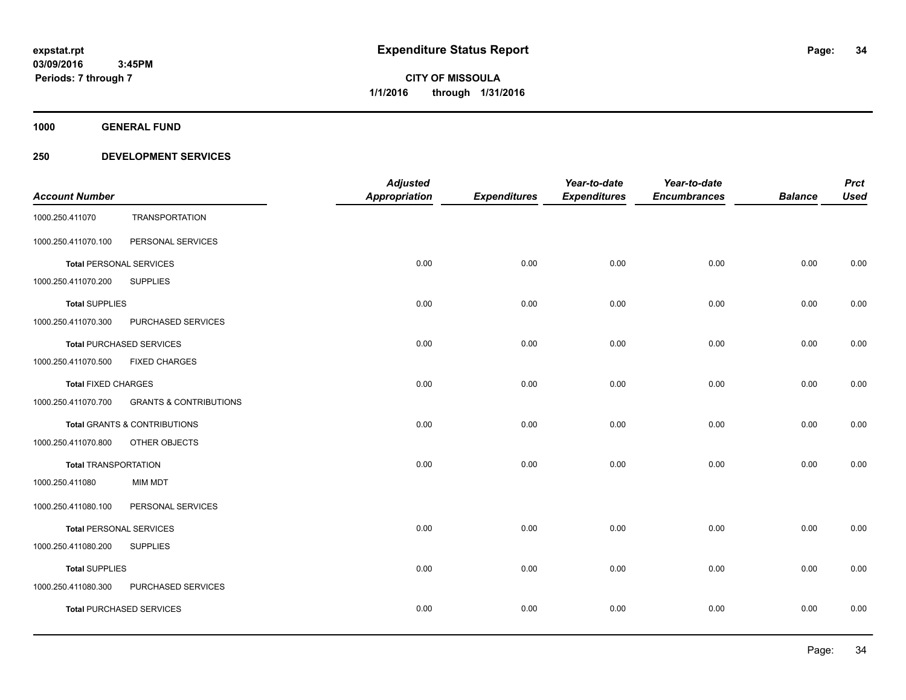**1000 GENERAL FUND**

| <b>Account Number</b>          |                                         | <b>Adjusted</b><br><b>Appropriation</b> | <b>Expenditures</b> | Year-to-date<br><b>Expenditures</b> | Year-to-date<br><b>Encumbrances</b> | <b>Balance</b> | <b>Prct</b><br><b>Used</b> |
|--------------------------------|-----------------------------------------|-----------------------------------------|---------------------|-------------------------------------|-------------------------------------|----------------|----------------------------|
| 1000.250.411070                | <b>TRANSPORTATION</b>                   |                                         |                     |                                     |                                     |                |                            |
| 1000.250.411070.100            | PERSONAL SERVICES                       |                                         |                     |                                     |                                     |                |                            |
| <b>Total PERSONAL SERVICES</b> |                                         | 0.00                                    | 0.00                | 0.00                                | 0.00                                | 0.00           | 0.00                       |
| 1000.250.411070.200            | <b>SUPPLIES</b>                         |                                         |                     |                                     |                                     |                |                            |
| <b>Total SUPPLIES</b>          |                                         | 0.00                                    | 0.00                | 0.00                                | 0.00                                | 0.00           | 0.00                       |
| 1000.250.411070.300            | PURCHASED SERVICES                      |                                         |                     |                                     |                                     |                |                            |
|                                | <b>Total PURCHASED SERVICES</b>         | 0.00                                    | 0.00                | 0.00                                | 0.00                                | 0.00           | 0.00                       |
| 1000.250.411070.500            | <b>FIXED CHARGES</b>                    |                                         |                     |                                     |                                     |                |                            |
| <b>Total FIXED CHARGES</b>     |                                         | 0.00                                    | 0.00                | 0.00                                | 0.00                                | 0.00           | 0.00                       |
| 1000.250.411070.700            | <b>GRANTS &amp; CONTRIBUTIONS</b>       |                                         |                     |                                     |                                     |                |                            |
|                                | <b>Total GRANTS &amp; CONTRIBUTIONS</b> | 0.00                                    | 0.00                | 0.00                                | 0.00                                | 0.00           | 0.00                       |
| 1000.250.411070.800            | OTHER OBJECTS                           |                                         |                     |                                     |                                     |                |                            |
| <b>Total TRANSPORTATION</b>    |                                         | 0.00                                    | 0.00                | 0.00                                | 0.00                                | 0.00           | 0.00                       |
| 1000.250.411080                | <b>MIM MDT</b>                          |                                         |                     |                                     |                                     |                |                            |
| 1000.250.411080.100            | PERSONAL SERVICES                       |                                         |                     |                                     |                                     |                |                            |
| <b>Total PERSONAL SERVICES</b> |                                         | 0.00                                    | 0.00                | 0.00                                | 0.00                                | 0.00           | 0.00                       |
| 1000.250.411080.200            | <b>SUPPLIES</b>                         |                                         |                     |                                     |                                     |                |                            |
| <b>Total SUPPLIES</b>          |                                         | 0.00                                    | 0.00                | 0.00                                | 0.00                                | 0.00           | 0.00                       |
| 1000.250.411080.300            | PURCHASED SERVICES                      |                                         |                     |                                     |                                     |                |                            |
|                                | <b>Total PURCHASED SERVICES</b>         | 0.00                                    | 0.00                | 0.00                                | 0.00                                | 0.00           | 0.00                       |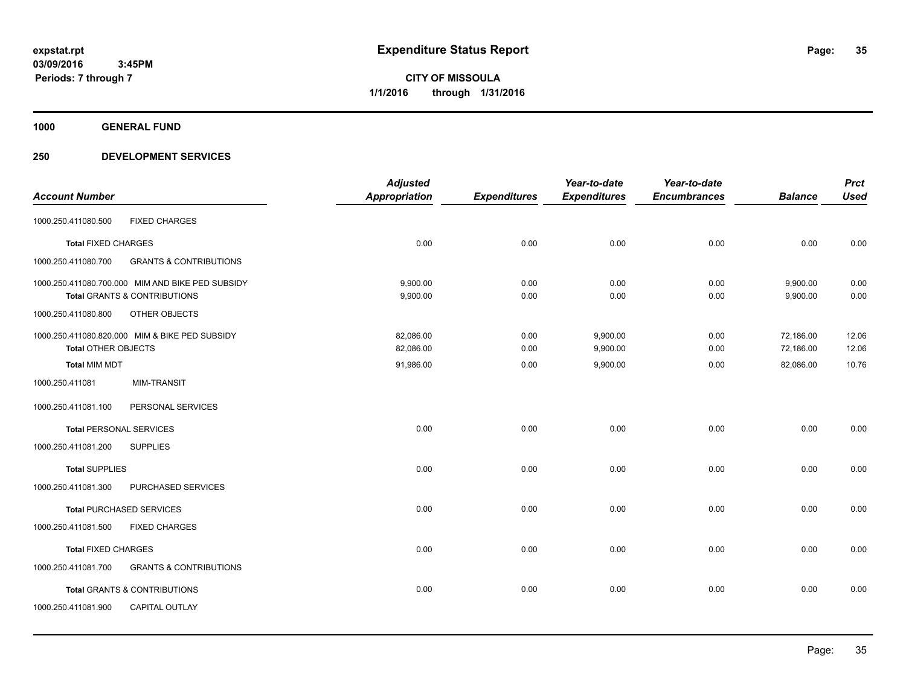**1000 GENERAL FUND**

|                                |                                                  | <b>Adjusted</b> |                     | Year-to-date        | Year-to-date        |                | <b>Prct</b> |
|--------------------------------|--------------------------------------------------|-----------------|---------------------|---------------------|---------------------|----------------|-------------|
| <b>Account Number</b>          |                                                  | Appropriation   | <b>Expenditures</b> | <b>Expenditures</b> | <b>Encumbrances</b> | <b>Balance</b> | <b>Used</b> |
| 1000.250.411080.500            | <b>FIXED CHARGES</b>                             |                 |                     |                     |                     |                |             |
| <b>Total FIXED CHARGES</b>     |                                                  | 0.00            | 0.00                | 0.00                | 0.00                | 0.00           | 0.00        |
| 1000.250.411080.700            | <b>GRANTS &amp; CONTRIBUTIONS</b>                |                 |                     |                     |                     |                |             |
|                                | 1000.250.411080.700.000 MIM AND BIKE PED SUBSIDY | 9,900.00        | 0.00                | 0.00                | 0.00                | 9,900.00       | 0.00        |
|                                | Total GRANTS & CONTRIBUTIONS                     | 9,900.00        | 0.00                | 0.00                | 0.00                | 9,900.00       | 0.00        |
| 1000.250.411080.800            | OTHER OBJECTS                                    |                 |                     |                     |                     |                |             |
|                                | 1000.250.411080.820.000 MIM & BIKE PED SUBSIDY   | 82,086.00       | 0.00                | 9,900.00            | 0.00                | 72,186.00      | 12.06       |
| <b>Total OTHER OBJECTS</b>     |                                                  | 82,086.00       | 0.00                | 9,900.00            | 0.00                | 72,186.00      | 12.06       |
| <b>Total MIM MDT</b>           |                                                  | 91,986.00       | 0.00                | 9,900.00            | 0.00                | 82,086.00      | 10.76       |
| 1000.250.411081                | <b>MIM-TRANSIT</b>                               |                 |                     |                     |                     |                |             |
| 1000.250.411081.100            | PERSONAL SERVICES                                |                 |                     |                     |                     |                |             |
| <b>Total PERSONAL SERVICES</b> |                                                  | 0.00            | 0.00                | 0.00                | 0.00                | 0.00           | 0.00        |
| 1000.250.411081.200            | <b>SUPPLIES</b>                                  |                 |                     |                     |                     |                |             |
| <b>Total SUPPLIES</b>          |                                                  | 0.00            | 0.00                | 0.00                | 0.00                | 0.00           | 0.00        |
| 1000.250.411081.300            | PURCHASED SERVICES                               |                 |                     |                     |                     |                |             |
|                                | <b>Total PURCHASED SERVICES</b>                  | 0.00            | 0.00                | 0.00                | 0.00                | 0.00           | 0.00        |
| 1000.250.411081.500            | <b>FIXED CHARGES</b>                             |                 |                     |                     |                     |                |             |
| <b>Total FIXED CHARGES</b>     |                                                  | 0.00            | 0.00                | 0.00                | 0.00                | 0.00           | 0.00        |
| 1000.250.411081.700            | <b>GRANTS &amp; CONTRIBUTIONS</b>                |                 |                     |                     |                     |                |             |
|                                | Total GRANTS & CONTRIBUTIONS                     | 0.00            | 0.00                | 0.00                | 0.00                | 0.00           | 0.00        |
| 1000.250.411081.900            | CAPITAL OUTLAY                                   |                 |                     |                     |                     |                |             |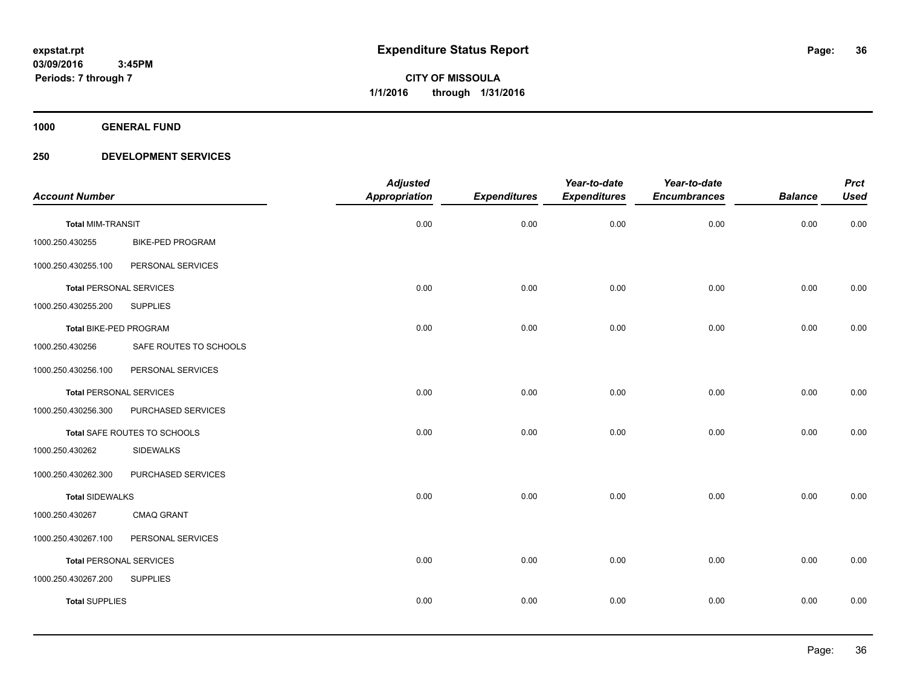**1000 GENERAL FUND**

| <b>Account Number</b>          |                         | <b>Adjusted</b><br>Appropriation | <b>Expenditures</b> | Year-to-date<br><b>Expenditures</b> | Year-to-date<br><b>Encumbrances</b> | <b>Balance</b> | <b>Prct</b><br><b>Used</b> |
|--------------------------------|-------------------------|----------------------------------|---------------------|-------------------------------------|-------------------------------------|----------------|----------------------------|
| <b>Total MIM-TRANSIT</b>       |                         | 0.00                             | 0.00                | 0.00                                | 0.00                                | 0.00           | 0.00                       |
| 1000.250.430255                | <b>BIKE-PED PROGRAM</b> |                                  |                     |                                     |                                     |                |                            |
| 1000.250.430255.100            | PERSONAL SERVICES       |                                  |                     |                                     |                                     |                |                            |
| <b>Total PERSONAL SERVICES</b> |                         | 0.00                             | 0.00                | 0.00                                | 0.00                                | 0.00           | 0.00                       |
| 1000.250.430255.200            | <b>SUPPLIES</b>         |                                  |                     |                                     |                                     |                |                            |
| Total BIKE-PED PROGRAM         |                         | 0.00                             | 0.00                | 0.00                                | 0.00                                | 0.00           | 0.00                       |
| 1000.250.430256                | SAFE ROUTES TO SCHOOLS  |                                  |                     |                                     |                                     |                |                            |
| 1000.250.430256.100            | PERSONAL SERVICES       |                                  |                     |                                     |                                     |                |                            |
| <b>Total PERSONAL SERVICES</b> |                         | 0.00                             | 0.00                | 0.00                                | 0.00                                | 0.00           | 0.00                       |
| 1000.250.430256.300            | PURCHASED SERVICES      |                                  |                     |                                     |                                     |                |                            |
| Total SAFE ROUTES TO SCHOOLS   |                         | 0.00                             | 0.00                | 0.00                                | 0.00                                | 0.00           | 0.00                       |
| 1000.250.430262                | <b>SIDEWALKS</b>        |                                  |                     |                                     |                                     |                |                            |
| 1000.250.430262.300            | PURCHASED SERVICES      |                                  |                     |                                     |                                     |                |                            |
| <b>Total SIDEWALKS</b>         |                         | 0.00                             | 0.00                | 0.00                                | 0.00                                | 0.00           | 0.00                       |
| 1000.250.430267                | CMAQ GRANT              |                                  |                     |                                     |                                     |                |                            |
| 1000.250.430267.100            | PERSONAL SERVICES       |                                  |                     |                                     |                                     |                |                            |
| <b>Total PERSONAL SERVICES</b> |                         | 0.00                             | 0.00                | 0.00                                | 0.00                                | 0.00           | 0.00                       |
| 1000.250.430267.200            | <b>SUPPLIES</b>         |                                  |                     |                                     |                                     |                |                            |
| <b>Total SUPPLIES</b>          |                         | 0.00                             | 0.00                | 0.00                                | 0.00                                | 0.00           | 0.00                       |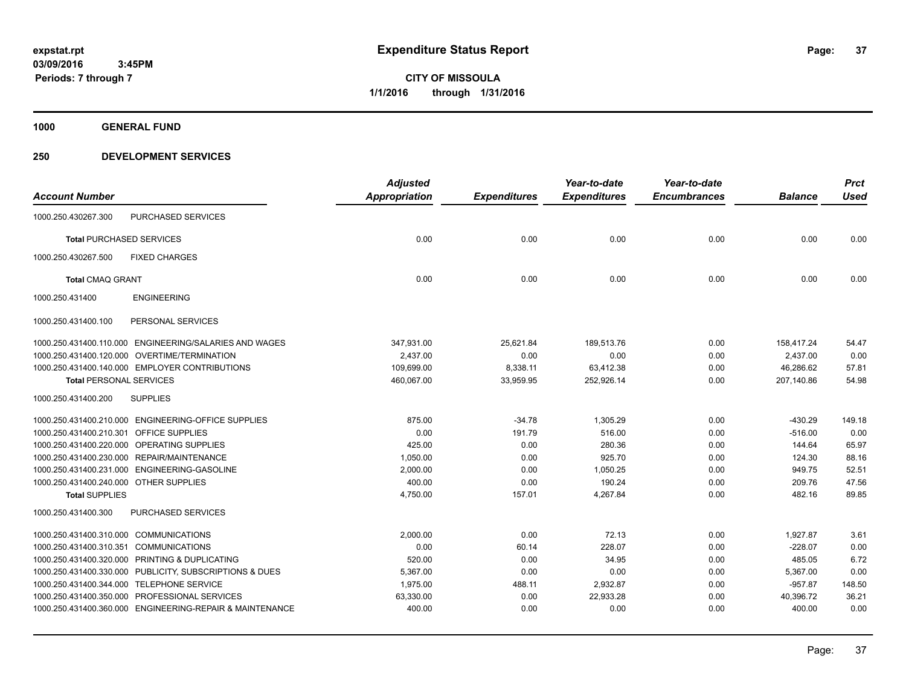**CITY OF MISSOULA 1/1/2016 through 1/31/2016**

**1000 GENERAL FUND**

# **250 DEVELOPMENT SERVICES**

|                                        |                                                          | <b>Adjusted</b>      |                     | Year-to-date        | Year-to-date        |                | <b>Prct</b> |
|----------------------------------------|----------------------------------------------------------|----------------------|---------------------|---------------------|---------------------|----------------|-------------|
| <b>Account Number</b>                  |                                                          | <b>Appropriation</b> | <b>Expenditures</b> | <b>Expenditures</b> | <b>Encumbrances</b> | <b>Balance</b> | <b>Used</b> |
| 1000.250.430267.300                    | PURCHASED SERVICES                                       |                      |                     |                     |                     |                |             |
|                                        | <b>Total PURCHASED SERVICES</b>                          | 0.00                 | 0.00                | 0.00                | 0.00                | 0.00           | 0.00        |
| 1000.250.430267.500                    | <b>FIXED CHARGES</b>                                     |                      |                     |                     |                     |                |             |
| <b>Total CMAQ GRANT</b>                |                                                          | 0.00                 | 0.00                | 0.00                | 0.00                | 0.00           | 0.00        |
| 1000.250.431400                        | <b>ENGINEERING</b>                                       |                      |                     |                     |                     |                |             |
| 1000.250.431400.100                    | PERSONAL SERVICES                                        |                      |                     |                     |                     |                |             |
|                                        | 1000.250.431400.110.000 ENGINEERING/SALARIES AND WAGES   | 347,931.00           | 25,621.84           | 189,513.76          | 0.00                | 158,417.24     | 54.47       |
|                                        | 1000.250.431400.120.000 OVERTIME/TERMINATION             | 2,437.00             | 0.00                | 0.00                | 0.00                | 2,437.00       | 0.00        |
|                                        | 1000.250.431400.140.000 EMPLOYER CONTRIBUTIONS           | 109,699.00           | 8,338.11            | 63,412.38           | 0.00                | 46,286.62      | 57.81       |
| <b>Total PERSONAL SERVICES</b>         |                                                          | 460,067.00           | 33,959.95           | 252,926.14          | 0.00                | 207,140.86     | 54.98       |
| 1000.250.431400.200                    | <b>SUPPLIES</b>                                          |                      |                     |                     |                     |                |             |
|                                        | 1000.250.431400.210.000 ENGINEERING-OFFICE SUPPLIES      | 875.00               | $-34.78$            | 1,305.29            | 0.00                | $-430.29$      | 149.18      |
| 1000.250.431400.210.301                | <b>OFFICE SUPPLIES</b>                                   | 0.00                 | 191.79              | 516.00              | 0.00                | $-516.00$      | 0.00        |
|                                        | 1000.250.431400.220.000 OPERATING SUPPLIES               | 425.00               | 0.00                | 280.36              | 0.00                | 144.64         | 65.97       |
|                                        | 1000.250.431400.230.000 REPAIR/MAINTENANCE               | 1,050.00             | 0.00                | 925.70              | 0.00                | 124.30         | 88.16       |
|                                        | 1000.250.431400.231.000 ENGINEERING-GASOLINE             | 2,000.00             | 0.00                | 1,050.25            | 0.00                | 949.75         | 52.51       |
| 1000.250.431400.240.000 OTHER SUPPLIES |                                                          | 400.00               | 0.00                | 190.24              | 0.00                | 209.76         | 47.56       |
| <b>Total SUPPLIES</b>                  |                                                          | 4,750.00             | 157.01              | 4,267.84            | 0.00                | 482.16         | 89.85       |
| 1000.250.431400.300                    | PURCHASED SERVICES                                       |                      |                     |                     |                     |                |             |
| 1000.250.431400.310.000 COMMUNICATIONS |                                                          | 2,000.00             | 0.00                | 72.13               | 0.00                | 1,927.87       | 3.61        |
| 1000.250.431400.310.351                | <b>COMMUNICATIONS</b>                                    | 0.00                 | 60.14               | 228.07              | 0.00                | $-228.07$      | 0.00        |
|                                        | 1000.250.431400.320.000 PRINTING & DUPLICATING           | 520.00               | 0.00                | 34.95               | 0.00                | 485.05         | 6.72        |
|                                        | 1000.250.431400.330.000 PUBLICITY, SUBSCRIPTIONS & DUES  | 5,367.00             | 0.00                | 0.00                | 0.00                | 5,367.00       | 0.00        |
|                                        | 1000.250.431400.344.000 TELEPHONE SERVICE                | 1,975.00             | 488.11              | 2,932.87            | 0.00                | $-957.87$      | 148.50      |
|                                        | 1000.250.431400.350.000 PROFESSIONAL SERVICES            | 63,330.00            | 0.00                | 22,933.28           | 0.00                | 40,396.72      | 36.21       |
|                                        | 1000.250.431400.360.000 ENGINEERING-REPAIR & MAINTENANCE | 400.00               | 0.00                | 0.00                | 0.00                | 400.00         | 0.00        |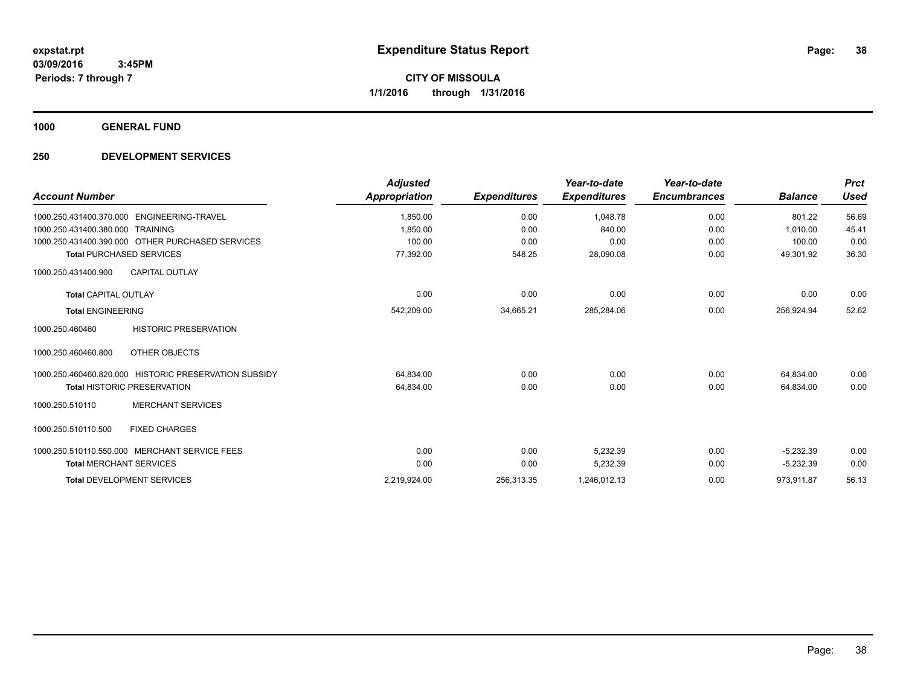**1000 GENERAL FUND**

# **250 DEVELOPMENT SERVICES**

| <b>Account Number</b>                                 | <b>Adjusted</b><br><b>Appropriation</b> | <b>Expenditures</b> | Year-to-date<br><b>Expenditures</b> | Year-to-date<br><b>Encumbrances</b> | <b>Balance</b> | <b>Prct</b><br><b>Used</b> |
|-------------------------------------------------------|-----------------------------------------|---------------------|-------------------------------------|-------------------------------------|----------------|----------------------------|
| 1000.250.431400.370.000    ENGINEERING-TRAVEL         | 1,850.00                                | 0.00                | 1,048.78                            | 0.00                                | 801.22         | 56.69                      |
| 1000.250.431400.380.000 TRAINING                      | 1.850.00                                | 0.00                | 840.00                              | 0.00                                | 1.010.00       | 45.41                      |
| 1000.250.431400.390.000 OTHER PURCHASED SERVICES      | 100.00                                  | 0.00                | 0.00                                | 0.00                                | 100.00         | 0.00                       |
| <b>Total PURCHASED SERVICES</b>                       | 77,392.00                               | 548.25              | 28,090.08                           | 0.00                                | 49,301.92      | 36.30                      |
| <b>CAPITAL OUTLAY</b><br>1000.250.431400.900          |                                         |                     |                                     |                                     |                |                            |
| <b>Total CAPITAL OUTLAY</b>                           | 0.00                                    | 0.00                | 0.00                                | 0.00                                | 0.00           | 0.00                       |
| <b>Total ENGINEERING</b>                              | 542,209.00                              | 34,665.21           | 285,284.06                          | 0.00                                | 256,924.94     | 52.62                      |
| <b>HISTORIC PRESERVATION</b><br>1000.250.460460       |                                         |                     |                                     |                                     |                |                            |
| OTHER OBJECTS<br>1000.250.460460.800                  |                                         |                     |                                     |                                     |                |                            |
| 1000.250.460460.820.000 HISTORIC PRESERVATION SUBSIDY | 64,834.00                               | 0.00                | 0.00                                | 0.00                                | 64,834.00      | 0.00                       |
| <b>Total HISTORIC PRESERVATION</b>                    | 64,834.00                               | 0.00                | 0.00                                | 0.00                                | 64,834.00      | 0.00                       |
| <b>MERCHANT SERVICES</b><br>1000.250.510110           |                                         |                     |                                     |                                     |                |                            |
| 1000.250.510110.500<br><b>FIXED CHARGES</b>           |                                         |                     |                                     |                                     |                |                            |
| 1000.250.510110.550.000 MERCHANT SERVICE FEES         | 0.00                                    | 0.00                | 5,232.39                            | 0.00                                | $-5,232.39$    | 0.00                       |
| <b>Total MERCHANT SERVICES</b>                        | 0.00                                    | 0.00                | 5,232.39                            | 0.00                                | $-5,232.39$    | 0.00                       |
| <b>Total DEVELOPMENT SERVICES</b>                     | 2.219.924.00                            | 256,313.35          | 1,246,012.13                        | 0.00                                | 973.911.87     | 56.13                      |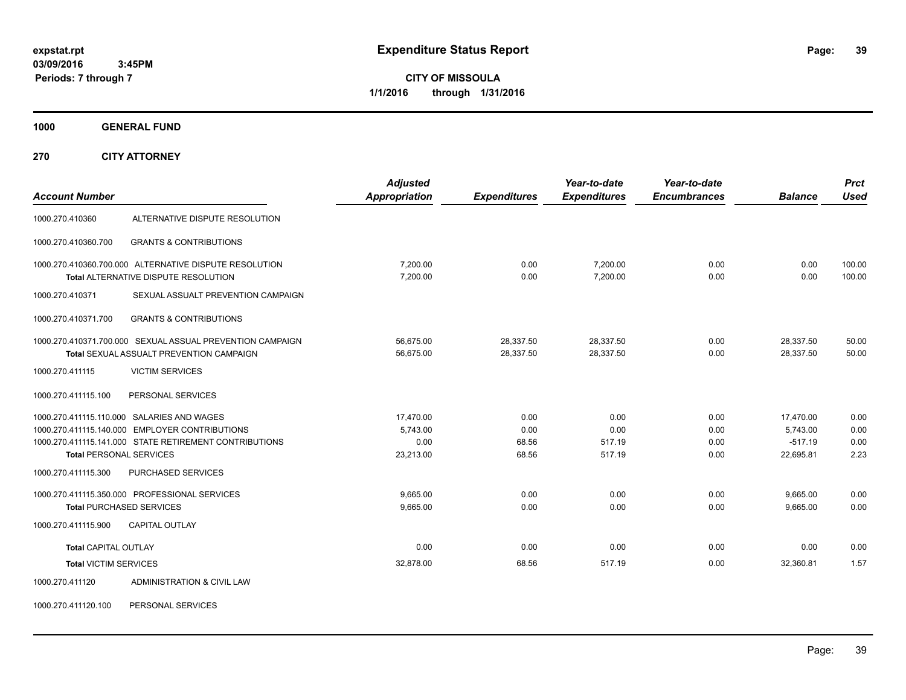**CITY OF MISSOULA 1/1/2016 through 1/31/2016**

**1000 GENERAL FUND**

**270 CITY ATTORNEY**

|                                |                                                           | <b>Adjusted</b>      |                     | Year-to-date        | Year-to-date        |                | <b>Prct</b>      |
|--------------------------------|-----------------------------------------------------------|----------------------|---------------------|---------------------|---------------------|----------------|------------------|
| <b>Account Number</b>          |                                                           | <b>Appropriation</b> | <b>Expenditures</b> | <b>Expenditures</b> | <b>Encumbrances</b> | <b>Balance</b> | Used             |
| 1000.270.410360                | ALTERNATIVE DISPUTE RESOLUTION                            |                      |                     |                     |                     |                |                  |
| 1000.270.410360.700            | <b>GRANTS &amp; CONTRIBUTIONS</b>                         |                      |                     |                     |                     |                |                  |
|                                | 1000.270.410360.700.000 ALTERNATIVE DISPUTE RESOLUTION    | 7.200.00             | 0.00                | 7,200.00            | 0.00                | 0.00<br>0.00   | 100.00<br>100.00 |
|                                | <b>Total ALTERNATIVE DISPUTE RESOLUTION</b>               | 7,200.00             | 0.00                | 7,200.00            | 0.00                |                |                  |
| 1000.270.410371                | SEXUAL ASSUALT PREVENTION CAMPAIGN                        |                      |                     |                     |                     |                |                  |
| 1000.270.410371.700            | <b>GRANTS &amp; CONTRIBUTIONS</b>                         |                      |                     |                     |                     |                |                  |
|                                | 1000.270.410371.700.000 SEXUAL ASSUAL PREVENTION CAMPAIGN | 56,675.00            | 28,337.50           | 28,337.50           | 0.00                | 28,337.50      | 50.00            |
|                                | <b>Total SEXUAL ASSUALT PREVENTION CAMPAIGN</b>           | 56,675.00            | 28,337.50           | 28,337.50           | 0.00                | 28,337.50      | 50.00            |
| 1000.270.411115                | <b>VICTIM SERVICES</b>                                    |                      |                     |                     |                     |                |                  |
| 1000.270.411115.100            | PERSONAL SERVICES                                         |                      |                     |                     |                     |                |                  |
|                                | 1000.270.411115.110.000 SALARIES AND WAGES                | 17.470.00            | 0.00                | 0.00                | 0.00                | 17.470.00      | 0.00             |
|                                | 1000.270.411115.140.000 EMPLOYER CONTRIBUTIONS            | 5,743.00             | 0.00                | 0.00                | 0.00                | 5,743.00       | 0.00             |
|                                | 1000.270.411115.141.000 STATE RETIREMENT CONTRIBUTIONS    | 0.00                 | 68.56               | 517.19              | 0.00                | $-517.19$      | 0.00             |
| <b>Total PERSONAL SERVICES</b> |                                                           | 23,213.00            | 68.56               | 517.19              | 0.00                | 22,695.81      | 2.23             |
| 1000.270.411115.300            | <b>PURCHASED SERVICES</b>                                 |                      |                     |                     |                     |                |                  |
|                                | 1000.270.411115.350.000 PROFESSIONAL SERVICES             | 9,665.00             | 0.00                | 0.00                | 0.00                | 9,665.00       | 0.00             |
|                                | <b>Total PURCHASED SERVICES</b>                           | 9,665.00             | 0.00                | 0.00                | 0.00                | 9,665.00       | 0.00             |
| 1000.270.411115.900            | <b>CAPITAL OUTLAY</b>                                     |                      |                     |                     |                     |                |                  |
| <b>Total CAPITAL OUTLAY</b>    |                                                           | 0.00                 | 0.00                | 0.00                | 0.00                | 0.00           | 0.00             |
| <b>Total VICTIM SERVICES</b>   |                                                           | 32,878.00            | 68.56               | 517.19              | 0.00                | 32,360.81      | 1.57             |
| 1000.270.411120                | ADMINISTRATION & CIVIL LAW                                |                      |                     |                     |                     |                |                  |

1000.270.411120.100 PERSONAL SERVICES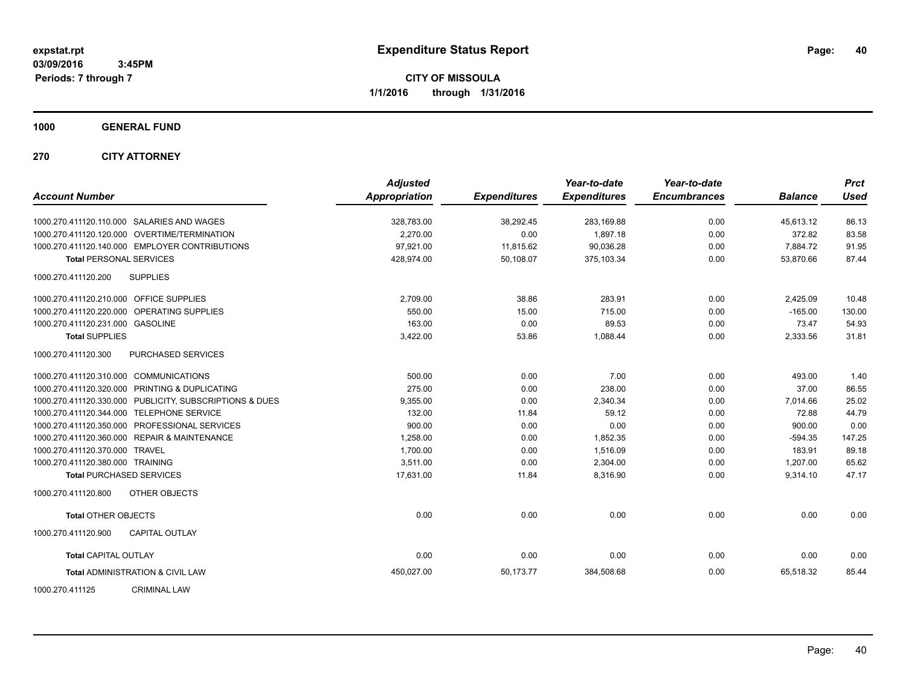**CITY OF MISSOULA 1/1/2016 through 1/31/2016**

**1000 GENERAL FUND**

**270 CITY ATTORNEY**

| <b>Account Number</b>                   |                                                         | <b>Adjusted</b><br><b>Appropriation</b> | <b>Expenditures</b> | Year-to-date<br><b>Expenditures</b> | Year-to-date<br><b>Encumbrances</b> | <b>Balance</b> | <b>Prct</b><br><b>Used</b> |
|-----------------------------------------|---------------------------------------------------------|-----------------------------------------|---------------------|-------------------------------------|-------------------------------------|----------------|----------------------------|
|                                         | 1000.270.411120.110.000 SALARIES AND WAGES              | 328,783.00                              | 38,292.45           | 283,169.88                          | 0.00                                | 45,613.12      | 86.13                      |
|                                         | 1000.270.411120.120.000 OVERTIME/TERMINATION            | 2.270.00                                | 0.00                | 1.897.18                            | 0.00                                | 372.82         | 83.58                      |
|                                         | 1000.270.411120.140.000 EMPLOYER CONTRIBUTIONS          | 97,921.00                               | 11,815.62           | 90,036.28                           | 0.00                                | 7,884.72       | 91.95                      |
| <b>Total PERSONAL SERVICES</b>          |                                                         | 428,974.00                              | 50,108.07           | 375,103.34                          | 0.00                                | 53,870.66      | 87.44                      |
| 1000.270.411120.200                     | <b>SUPPLIES</b>                                         |                                         |                     |                                     |                                     |                |                            |
| 1000.270.411120.210.000 OFFICE SUPPLIES |                                                         | 2,709.00                                | 38.86               | 283.91                              | 0.00                                | 2,425.09       | 10.48                      |
|                                         | 1000.270.411120.220.000 OPERATING SUPPLIES              | 550.00                                  | 15.00               | 715.00                              | 0.00                                | $-165.00$      | 130.00                     |
| 1000.270.411120.231.000 GASOLINE        |                                                         | 163.00                                  | 0.00                | 89.53                               | 0.00                                | 73.47          | 54.93                      |
| <b>Total SUPPLIES</b>                   |                                                         | 3,422.00                                | 53.86               | 1,088.44                            | 0.00                                | 2,333.56       | 31.81                      |
| 1000.270.411120.300                     | PURCHASED SERVICES                                      |                                         |                     |                                     |                                     |                |                            |
| 1000.270.411120.310.000 COMMUNICATIONS  |                                                         | 500.00                                  | 0.00                | 7.00                                | 0.00                                | 493.00         | 1.40                       |
|                                         | 1000.270.411120.320.000 PRINTING & DUPLICATING          | 275.00                                  | 0.00                | 238.00                              | 0.00                                | 37.00          | 86.55                      |
|                                         | 1000.270.411120.330.000 PUBLICITY, SUBSCRIPTIONS & DUES | 9,355.00                                | 0.00                | 2,340.34                            | 0.00                                | 7,014.66       | 25.02                      |
|                                         | 1000.270.411120.344.000 TELEPHONE SERVICE               | 132.00                                  | 11.84               | 59.12                               | 0.00                                | 72.88          | 44.79                      |
|                                         | 1000.270.411120.350.000 PROFESSIONAL SERVICES           | 900.00                                  | 0.00                | 0.00                                | 0.00                                | 900.00         | 0.00                       |
|                                         | 1000.270.411120.360.000 REPAIR & MAINTENANCE            | 1,258.00                                | 0.00                | 1,852.35                            | 0.00                                | $-594.35$      | 147.25                     |
| 1000.270.411120.370.000 TRAVEL          |                                                         | 1,700.00                                | 0.00                | 1,516.09                            | 0.00                                | 183.91         | 89.18                      |
| 1000.270.411120.380.000 TRAINING        |                                                         | 3,511.00                                | 0.00                | 2,304.00                            | 0.00                                | 1,207.00       | 65.62                      |
|                                         | <b>Total PURCHASED SERVICES</b>                         | 17,631.00                               | 11.84               | 8,316.90                            | 0.00                                | 9,314.10       | 47.17                      |
| 1000.270.411120.800                     | <b>OTHER OBJECTS</b>                                    |                                         |                     |                                     |                                     |                |                            |
| <b>Total OTHER OBJECTS</b>              |                                                         | 0.00                                    | 0.00                | 0.00                                | 0.00                                | 0.00           | 0.00                       |
| 1000.270.411120.900                     | <b>CAPITAL OUTLAY</b>                                   |                                         |                     |                                     |                                     |                |                            |
| <b>Total CAPITAL OUTLAY</b>             |                                                         | 0.00                                    | 0.00                | 0.00                                | 0.00                                | 0.00           | 0.00                       |
|                                         | <b>Total ADMINISTRATION &amp; CIVIL LAW</b>             | 450,027.00                              | 50,173.77           | 384,508.68                          | 0.00                                | 65,518.32      | 85.44                      |
| 1000.270.411125                         | <b>CRIMINAL LAW</b>                                     |                                         |                     |                                     |                                     |                |                            |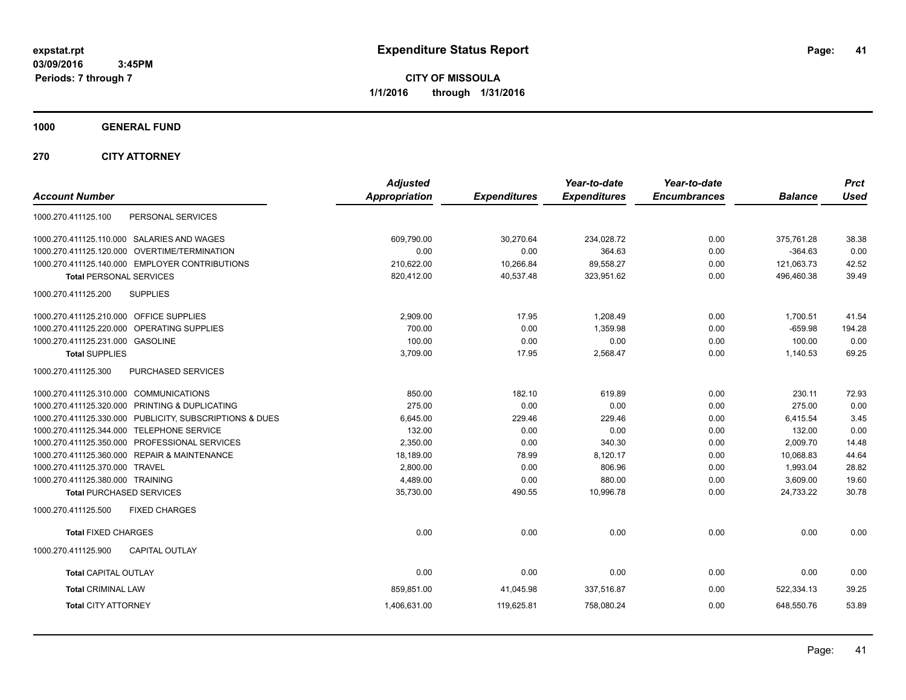**CITY OF MISSOULA 1/1/2016 through 1/31/2016**

**1000 GENERAL FUND**

**270 CITY ATTORNEY**

| <b>Account Number</b>                                   | <b>Adjusted</b><br><b>Appropriation</b> | <b>Expenditures</b> | Year-to-date<br><b>Expenditures</b> | Year-to-date<br><b>Encumbrances</b> | <b>Balance</b> | <b>Prct</b><br><b>Used</b> |
|---------------------------------------------------------|-----------------------------------------|---------------------|-------------------------------------|-------------------------------------|----------------|----------------------------|
| PERSONAL SERVICES<br>1000.270.411125.100                |                                         |                     |                                     |                                     |                |                            |
| 1000.270.411125.110.000 SALARIES AND WAGES              | 609,790.00                              | 30.270.64           | 234,028.72                          | 0.00                                | 375,761.28     | 38.38                      |
| 1000.270.411125.120.000 OVERTIME/TERMINATION            | 0.00                                    | 0.00                | 364.63                              | 0.00                                | $-364.63$      | 0.00                       |
| 1000.270.411125.140.000 EMPLOYER CONTRIBUTIONS          | 210,622.00                              | 10,266.84           | 89,558.27                           | 0.00                                | 121,063.73     | 42.52                      |
| <b>Total PERSONAL SERVICES</b>                          | 820,412.00                              | 40,537.48           | 323,951.62                          | 0.00                                | 496,460.38     | 39.49                      |
| 1000.270.411125.200<br><b>SUPPLIES</b>                  |                                         |                     |                                     |                                     |                |                            |
| 1000.270.411125.210.000 OFFICE SUPPLIES                 | 2,909.00                                | 17.95               | 1.208.49                            | 0.00                                | 1,700.51       | 41.54                      |
| 1000.270.411125.220.000 OPERATING SUPPLIES              | 700.00                                  | 0.00                | 1,359.98                            | 0.00                                | $-659.98$      | 194.28                     |
| 1000.270.411125.231.000 GASOLINE                        | 100.00                                  | 0.00                | 0.00                                | 0.00                                | 100.00         | 0.00                       |
| <b>Total SUPPLIES</b>                                   | 3,709.00                                | 17.95               | 2,568.47                            | 0.00                                | 1,140.53       | 69.25                      |
| 1000.270.411125.300<br>PURCHASED SERVICES               |                                         |                     |                                     |                                     |                |                            |
| 1000.270.411125.310.000 COMMUNICATIONS                  | 850.00                                  | 182.10              | 619.89                              | 0.00                                | 230.11         | 72.93                      |
| 1000.270.411125.320.000 PRINTING & DUPLICATING          | 275.00                                  | 0.00                | 0.00                                | 0.00                                | 275.00         | 0.00                       |
| 1000.270.411125.330.000 PUBLICITY, SUBSCRIPTIONS & DUES | 6,645.00                                | 229.46              | 229.46                              | 0.00                                | 6.415.54       | 3.45                       |
| 1000.270.411125.344.000 TELEPHONE SERVICE               | 132.00                                  | 0.00                | 0.00                                | 0.00                                | 132.00         | 0.00                       |
| 1000.270.411125.350.000 PROFESSIONAL SERVICES           | 2,350.00                                | 0.00                | 340.30                              | 0.00                                | 2,009.70       | 14.48                      |
| 1000.270.411125.360.000 REPAIR & MAINTENANCE            | 18,189.00                               | 78.99               | 8,120.17                            | 0.00                                | 10,068.83      | 44.64                      |
| 1000.270.411125.370.000 TRAVEL                          | 2.800.00                                | 0.00                | 806.96                              | 0.00                                | 1.993.04       | 28.82                      |
| 1000.270.411125.380.000 TRAINING                        | 4,489.00                                | 0.00                | 880.00                              | 0.00                                | 3,609.00       | 19.60                      |
| <b>Total PURCHASED SERVICES</b>                         | 35,730.00                               | 490.55              | 10,996.78                           | 0.00                                | 24,733.22      | 30.78                      |
| 1000.270.411125.500<br><b>FIXED CHARGES</b>             |                                         |                     |                                     |                                     |                |                            |
| <b>Total FIXED CHARGES</b>                              | 0.00                                    | 0.00                | 0.00                                | 0.00                                | 0.00           | 0.00                       |
| 1000.270.411125.900<br><b>CAPITAL OUTLAY</b>            |                                         |                     |                                     |                                     |                |                            |
| <b>Total CAPITAL OUTLAY</b>                             | 0.00                                    | 0.00                | 0.00                                | 0.00                                | 0.00           | 0.00                       |
| <b>Total CRIMINAL LAW</b>                               | 859,851.00                              | 41,045.98           | 337,516.87                          | 0.00                                | 522,334.13     | 39.25                      |
| <b>Total CITY ATTORNEY</b>                              | 1,406,631.00                            | 119,625.81          | 758,080.24                          | 0.00                                | 648,550.76     | 53.89                      |
|                                                         |                                         |                     |                                     |                                     |                |                            |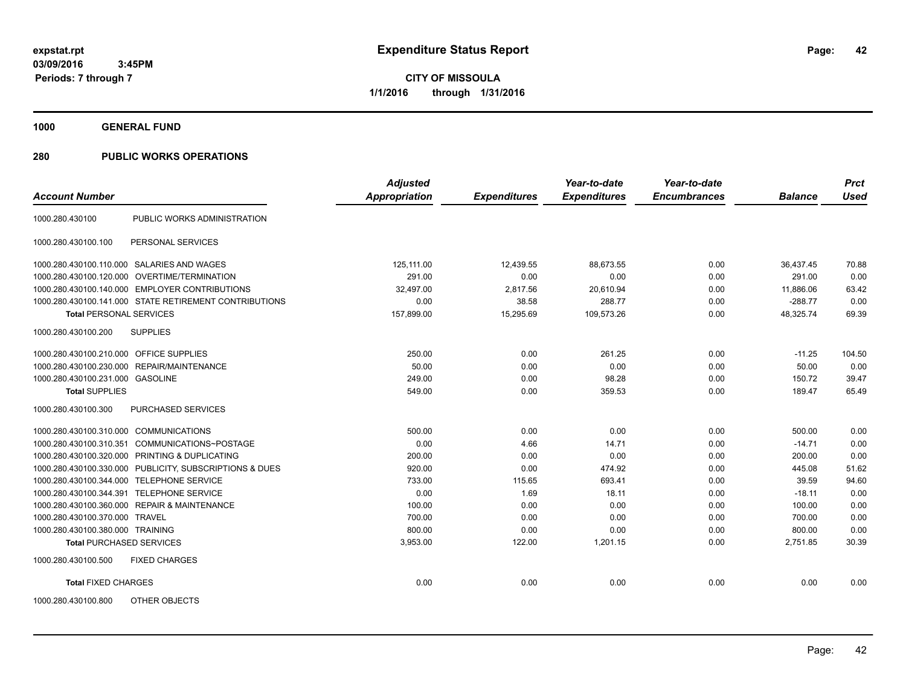**CITY OF MISSOULA 1/1/2016 through 1/31/2016**

**1000 GENERAL FUND**

|                                         |                                                         | <b>Adjusted</b>      |                     | Year-to-date        | Year-to-date        |                | <b>Prct</b> |
|-----------------------------------------|---------------------------------------------------------|----------------------|---------------------|---------------------|---------------------|----------------|-------------|
| <b>Account Number</b>                   |                                                         | <b>Appropriation</b> | <b>Expenditures</b> | <b>Expenditures</b> | <b>Encumbrances</b> | <b>Balance</b> | <b>Used</b> |
| 1000.280.430100                         | PUBLIC WORKS ADMINISTRATION                             |                      |                     |                     |                     |                |             |
| 1000.280.430100.100                     | PERSONAL SERVICES                                       |                      |                     |                     |                     |                |             |
|                                         | 1000.280.430100.110.000 SALARIES AND WAGES              | 125.111.00           | 12.439.55           | 88.673.55           | 0.00                | 36.437.45      | 70.88       |
|                                         | 1000.280.430100.120.000 OVERTIME/TERMINATION            | 291.00               | 0.00                | 0.00                | 0.00                | 291.00         | 0.00        |
|                                         | 1000.280.430100.140.000 EMPLOYER CONTRIBUTIONS          | 32,497.00            | 2,817.56            | 20,610.94           | 0.00                | 11,886.06      | 63.42       |
|                                         | 1000.280.430100.141.000 STATE RETIREMENT CONTRIBUTIONS  | 0.00                 | 38.58               | 288.77              | 0.00                | $-288.77$      | 0.00        |
| <b>Total PERSONAL SERVICES</b>          |                                                         | 157,899.00           | 15,295.69           | 109,573.26          | 0.00                | 48,325.74      | 69.39       |
| 1000.280.430100.200                     | <b>SUPPLIES</b>                                         |                      |                     |                     |                     |                |             |
| 1000.280.430100.210.000 OFFICE SUPPLIES |                                                         | 250.00               | 0.00                | 261.25              | 0.00                | $-11.25$       | 104.50      |
|                                         | 1000.280.430100.230.000 REPAIR/MAINTENANCE              | 50.00                | 0.00                | 0.00                | 0.00                | 50.00          | 0.00        |
| 1000.280.430100.231.000 GASOLINE        |                                                         | 249.00               | 0.00                | 98.28               | 0.00                | 150.72         | 39.47       |
| <b>Total SUPPLIES</b>                   |                                                         | 549.00               | 0.00                | 359.53              | 0.00                | 189.47         | 65.49       |
| 1000.280.430100.300                     | PURCHASED SERVICES                                      |                      |                     |                     |                     |                |             |
| 1000.280.430100.310.000 COMMUNICATIONS  |                                                         | 500.00               | 0.00                | 0.00                | 0.00                | 500.00         | 0.00        |
| 1000.280.430100.310.351                 | COMMUNICATIONS~POSTAGE                                  | 0.00                 | 4.66                | 14.71               | 0.00                | $-14.71$       | 0.00        |
|                                         | 1000.280.430100.320.000 PRINTING & DUPLICATING          | 200.00               | 0.00                | 0.00                | 0.00                | 200.00         | 0.00        |
|                                         | 1000.280.430100.330.000 PUBLICITY, SUBSCRIPTIONS & DUES | 920.00               | 0.00                | 474.92              | 0.00                | 445.08         | 51.62       |
|                                         | 1000.280.430100.344.000 TELEPHONE SERVICE               | 733.00               | 115.65              | 693.41              | 0.00                | 39.59          | 94.60       |
|                                         | 1000.280.430100.344.391 TELEPHONE SERVICE               | 0.00                 | 1.69                | 18.11               | 0.00                | $-18.11$       | 0.00        |
|                                         | 1000.280.430100.360.000 REPAIR & MAINTENANCE            | 100.00               | 0.00                | 0.00                | 0.00                | 100.00         | 0.00        |
| 1000.280.430100.370.000 TRAVEL          |                                                         | 700.00               | 0.00                | 0.00                | 0.00                | 700.00         | 0.00        |
| 1000.280.430100.380.000 TRAINING        |                                                         | 800.00               | 0.00                | 0.00                | 0.00                | 800.00         | 0.00        |
| <b>Total PURCHASED SERVICES</b>         |                                                         | 3,953.00             | 122.00              | 1,201.15            | 0.00                | 2,751.85       | 30.39       |
| 1000.280.430100.500                     | <b>FIXED CHARGES</b>                                    |                      |                     |                     |                     |                |             |
| <b>Total FIXED CHARGES</b>              |                                                         | 0.00                 | 0.00                | 0.00                | 0.00                | 0.00           | 0.00        |
| 1000.280.430100.800                     | <b>OTHER OBJECTS</b>                                    |                      |                     |                     |                     |                |             |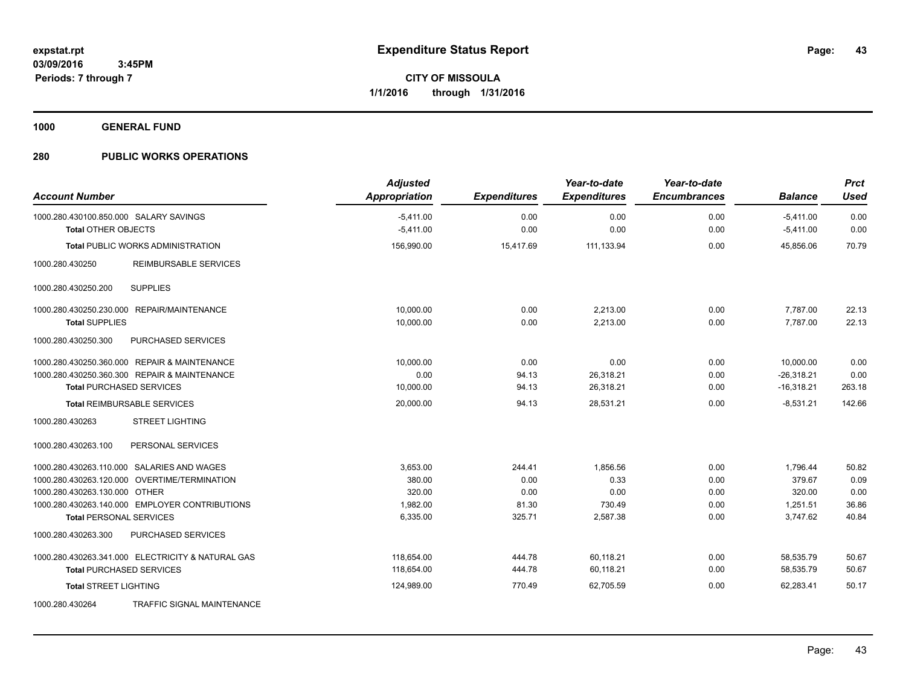**1000 GENERAL FUND**

| <b>Account Number</b>                                                | <b>Adjusted</b><br><b>Appropriation</b> | <b>Expenditures</b> | Year-to-date<br><b>Expenditures</b> | Year-to-date<br><b>Encumbrances</b> | <b>Balance</b>             | <b>Prct</b><br><b>Used</b> |
|----------------------------------------------------------------------|-----------------------------------------|---------------------|-------------------------------------|-------------------------------------|----------------------------|----------------------------|
| 1000.280.430100.850.000 SALARY SAVINGS<br><b>Total OTHER OBJECTS</b> | $-5,411.00$<br>$-5,411.00$              | 0.00<br>0.00        | 0.00<br>0.00                        | 0.00<br>0.00                        | $-5,411.00$<br>$-5,411.00$ | 0.00<br>0.00               |
| <b>Total PUBLIC WORKS ADMINISTRATION</b>                             | 156,990.00                              | 15.417.69           | 111.133.94                          | 0.00                                | 45.856.06                  | 70.79                      |
| <b>REIMBURSABLE SERVICES</b><br>1000.280.430250                      |                                         |                     |                                     |                                     |                            |                            |
| <b>SUPPLIES</b><br>1000.280.430250.200                               |                                         |                     |                                     |                                     |                            |                            |
| 1000.280.430250.230.000 REPAIR/MAINTENANCE                           | 10,000.00                               | 0.00                | 2,213.00                            | 0.00                                | 7,787.00                   | 22.13                      |
| <b>Total SUPPLIES</b>                                                | 10,000.00                               | 0.00                | 2,213.00                            | 0.00                                | 7,787.00                   | 22.13                      |
| 1000.280.430250.300<br>PURCHASED SERVICES                            |                                         |                     |                                     |                                     |                            |                            |
| 1000.280.430250.360.000 REPAIR & MAINTENANCE                         | 10,000.00                               | 0.00                | 0.00                                | 0.00                                | 10,000.00                  | 0.00                       |
| 1000.280.430250.360.300 REPAIR & MAINTENANCE                         | 0.00                                    | 94.13               | 26,318.21                           | 0.00                                | $-26,318.21$               | 0.00                       |
| <b>Total PURCHASED SERVICES</b>                                      | 10,000.00                               | 94.13               | 26,318.21                           | 0.00                                | $-16,318.21$               | 263.18                     |
| <b>Total REIMBURSABLE SERVICES</b>                                   | 20,000.00                               | 94.13               | 28,531.21                           | 0.00                                | $-8.531.21$                | 142.66                     |
| <b>STREET LIGHTING</b><br>1000.280.430263                            |                                         |                     |                                     |                                     |                            |                            |
| PERSONAL SERVICES<br>1000.280.430263.100                             |                                         |                     |                                     |                                     |                            |                            |
| 1000.280.430263.110.000 SALARIES AND WAGES                           | 3,653.00                                | 244.41              | 1,856.56                            | 0.00                                | 1,796.44                   | 50.82                      |
| 1000.280.430263.120.000 OVERTIME/TERMINATION                         | 380.00                                  | 0.00                | 0.33                                | 0.00                                | 379.67                     | 0.09                       |
| 1000.280.430263.130.000 OTHER                                        | 320.00                                  | 0.00                | 0.00                                | 0.00                                | 320.00                     | 0.00                       |
| 1000.280.430263.140.000 EMPLOYER CONTRIBUTIONS                       | 1,982.00                                | 81.30               | 730.49                              | 0.00                                | 1,251.51                   | 36.86                      |
| <b>Total PERSONAL SERVICES</b>                                       | 6,335.00                                | 325.71              | 2,587.38                            | 0.00                                | 3,747.62                   | 40.84                      |
| 1000.280.430263.300<br>PURCHASED SERVICES                            |                                         |                     |                                     |                                     |                            |                            |
| 1000.280.430263.341.000 ELECTRICITY & NATURAL GAS                    | 118.654.00                              | 444.78              | 60,118.21                           | 0.00                                | 58,535.79                  | 50.67                      |
| <b>Total PURCHASED SERVICES</b>                                      | 118,654.00                              | 444.78              | 60,118.21                           | 0.00                                | 58,535.79                  | 50.67                      |
| <b>Total STREET LIGHTING</b>                                         | 124,989.00                              | 770.49              | 62,705.59                           | 0.00                                | 62,283.41                  | 50.17                      |
| 1000.280.430264<br>TRAFFIC SIGNAL MAINTENANCE                        |                                         |                     |                                     |                                     |                            |                            |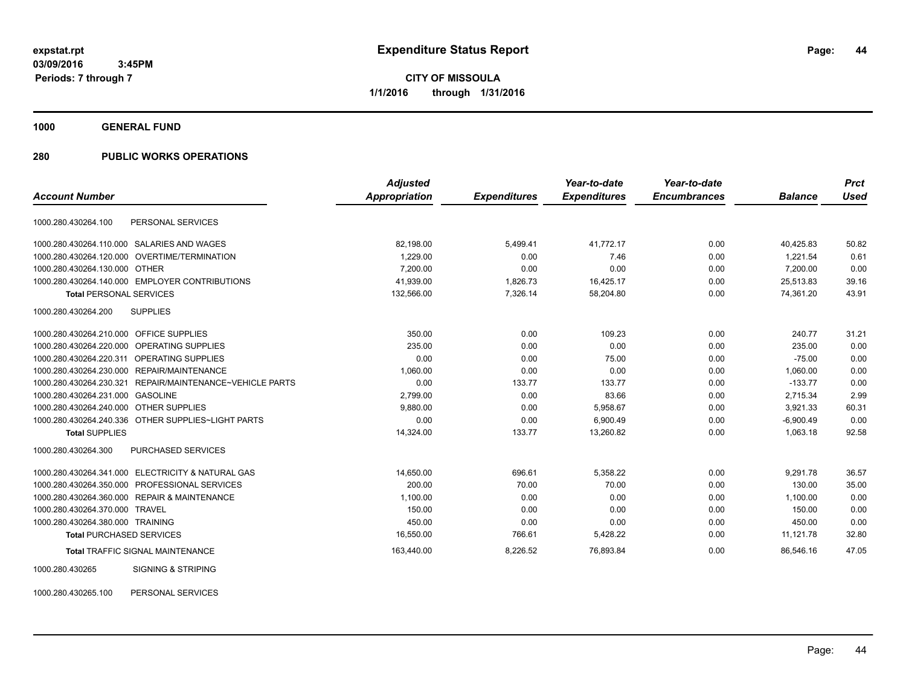**CITY OF MISSOULA 1/1/2016 through 1/31/2016**

**1000 GENERAL FUND**

# **280 PUBLIC WORKS OPERATIONS**

|                                                             | <b>Adjusted</b>      |                     | Year-to-date        | Year-to-date        |                | <b>Prct</b> |
|-------------------------------------------------------------|----------------------|---------------------|---------------------|---------------------|----------------|-------------|
| <b>Account Number</b>                                       | <b>Appropriation</b> | <b>Expenditures</b> | <b>Expenditures</b> | <b>Encumbrances</b> | <b>Balance</b> | <b>Used</b> |
| 1000.280.430264.100<br>PERSONAL SERVICES                    |                      |                     |                     |                     |                |             |
| 1000.280.430264.110.000<br>SALARIES AND WAGES               | 82,198.00            | 5,499.41            | 41,772.17           | 0.00                | 40,425.83      | 50.82       |
| 1000.280.430264.120.000 OVERTIME/TERMINATION                | 1,229.00             | 0.00                | 7.46                | 0.00                | 1.221.54       | 0.61        |
| 1000.280.430264.130.000 OTHER                               | 7,200.00             | 0.00                | 0.00                | 0.00                | 7,200.00       | 0.00        |
| 1000.280.430264.140.000 EMPLOYER CONTRIBUTIONS              | 41,939.00            | 1,826.73            | 16,425.17           | 0.00                | 25,513.83      | 39.16       |
| <b>Total PERSONAL SERVICES</b>                              | 132,566.00           | 7,326.14            | 58,204.80           | 0.00                | 74,361.20      | 43.91       |
| 1000.280.430264.200<br><b>SUPPLIES</b>                      |                      |                     |                     |                     |                |             |
| 1000.280.430264.210.000 OFFICE SUPPLIES                     | 350.00               | 0.00                | 109.23              | 0.00                | 240.77         | 31.21       |
| OPERATING SUPPLIES<br>1000.280.430264.220.000               | 235.00               | 0.00                | 0.00                | 0.00                | 235.00         | 0.00        |
| 1000.280.430264.220.311<br><b>OPERATING SUPPLIES</b>        | 0.00                 | 0.00                | 75.00               | 0.00                | $-75.00$       | 0.00        |
| 1000.280.430264.230.000<br>REPAIR/MAINTENANCE               | 1.060.00             | 0.00                | 0.00                | 0.00                | 1.060.00       | 0.00        |
| 1000.280.430264.230.321<br>REPAIR/MAINTENANCE~VEHICLE PARTS | 0.00                 | 133.77              | 133.77              | 0.00                | $-133.77$      | 0.00        |
| 1000.280.430264.231.000<br><b>GASOLINE</b>                  | 2,799.00             | 0.00                | 83.66               | 0.00                | 2,715.34       | 2.99        |
| 1000.280.430264.240.000<br><b>OTHER SUPPLIES</b>            | 9,880.00             | 0.00                | 5,958.67            | 0.00                | 3,921.33       | 60.31       |
| 1000.280.430264.240.336 OTHER SUPPLIES~LIGHT PARTS          | 0.00                 | 0.00                | 6,900.49            | 0.00                | $-6,900.49$    | 0.00        |
| <b>Total SUPPLIES</b>                                       | 14,324.00            | 133.77              | 13,260.82           | 0.00                | 1,063.18       | 92.58       |
| 1000.280.430264.300<br>PURCHASED SERVICES                   |                      |                     |                     |                     |                |             |
| 1000.280.430264.341.000 ELECTRICITY & NATURAL GAS           | 14,650.00            | 696.61              | 5,358.22            | 0.00                | 9,291.78       | 36.57       |
| 1000.280.430264.350.000 PROFESSIONAL SERVICES               | 200.00               | 70.00               | 70.00               | 0.00                | 130.00         | 35.00       |
| 1000.280.430264.360.000 REPAIR & MAINTENANCE                | 1,100.00             | 0.00                | 0.00                | 0.00                | 1,100.00       | 0.00        |
| 1000.280.430264.370.000<br><b>TRAVEL</b>                    | 150.00               | 0.00                | 0.00                | 0.00                | 150.00         | 0.00        |
| 1000.280.430264.380.000 TRAINING                            | 450.00               | 0.00                | 0.00                | 0.00                | 450.00         | 0.00        |
| <b>Total PURCHASED SERVICES</b>                             | 16,550.00            | 766.61              | 5,428.22            | 0.00                | 11,121.78      | 32.80       |
| <b>Total TRAFFIC SIGNAL MAINTENANCE</b>                     | 163,440.00           | 8,226.52            | 76,893.84           | 0.00                | 86,546.16      | 47.05       |
| 1000.280.430265<br><b>SIGNING &amp; STRIPING</b>            |                      |                     |                     |                     |                |             |

1000.280.430265.100 PERSONAL SERVICES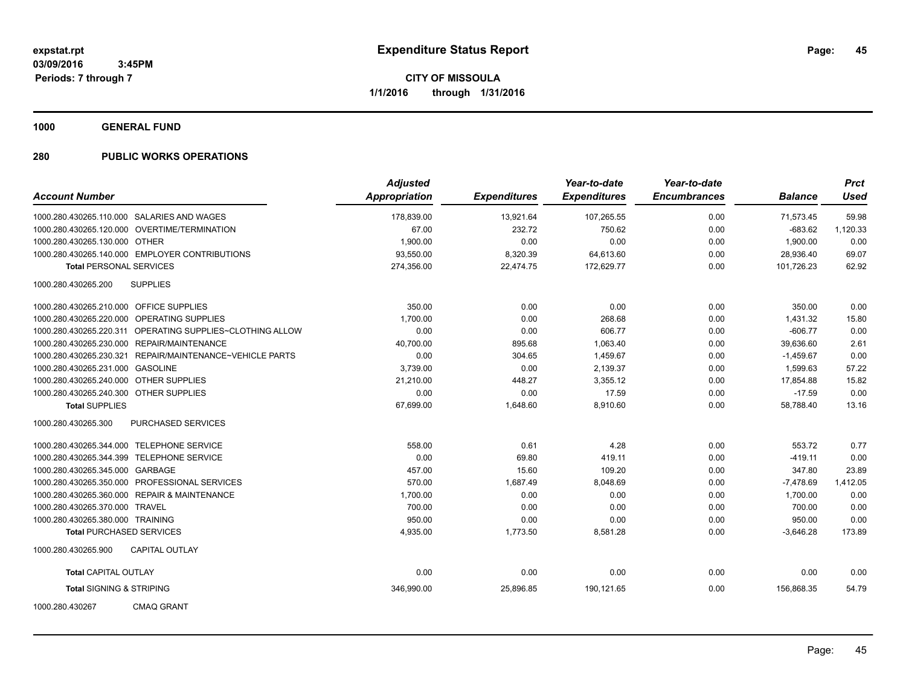**1000 GENERAL FUND**

| <b>Account Number</b>                   |                                                           | <b>Adjusted</b><br><b>Appropriation</b> | <b>Expenditures</b> | Year-to-date<br><b>Expenditures</b> | Year-to-date<br><b>Encumbrances</b> | <b>Balance</b> | <b>Prct</b><br><b>Used</b> |
|-----------------------------------------|-----------------------------------------------------------|-----------------------------------------|---------------------|-------------------------------------|-------------------------------------|----------------|----------------------------|
|                                         |                                                           |                                         |                     |                                     |                                     |                |                            |
|                                         | 1000.280.430265.110.000 SALARIES AND WAGES                | 178,839.00                              | 13,921.64           | 107,265.55                          | 0.00                                | 71,573.45      | 59.98                      |
|                                         | 1000.280.430265.120.000 OVERTIME/TERMINATION              | 67.00                                   | 232.72              | 750.62                              | 0.00                                | $-683.62$      | 1,120.33                   |
| 1000.280.430265.130.000 OTHER           |                                                           | 1,900.00                                | 0.00                | 0.00                                | 0.00                                | 1,900.00       | 0.00                       |
|                                         | 1000.280.430265.140.000 EMPLOYER CONTRIBUTIONS            | 93,550.00                               | 8,320.39            | 64,613.60                           | 0.00                                | 28,936.40      | 69.07                      |
| <b>Total PERSONAL SERVICES</b>          |                                                           | 274,356.00                              | 22,474.75           | 172.629.77                          | 0.00                                | 101.726.23     | 62.92                      |
| 1000.280.430265.200                     | <b>SUPPLIES</b>                                           |                                         |                     |                                     |                                     |                |                            |
| 1000.280.430265.210.000 OFFICE SUPPLIES |                                                           | 350.00                                  | 0.00                | 0.00                                | 0.00                                | 350.00         | 0.00                       |
|                                         | 1000.280.430265.220.000 OPERATING SUPPLIES                | 1,700.00                                | 0.00                | 268.68                              | 0.00                                | 1,431.32       | 15.80                      |
|                                         | 1000.280.430265.220.311 OPERATING SUPPLIES~CLOTHING ALLOW | 0.00                                    | 0.00                | 606.77                              | 0.00                                | $-606.77$      | 0.00                       |
|                                         | 1000.280.430265.230.000 REPAIR/MAINTENANCE                | 40,700.00                               | 895.68              | 1,063.40                            | 0.00                                | 39,636.60      | 2.61                       |
|                                         | 1000.280.430265.230.321 REPAIR/MAINTENANCE~VEHICLE PARTS  | 0.00                                    | 304.65              | 1,459.67                            | 0.00                                | $-1,459.67$    | 0.00                       |
| 1000.280.430265.231.000 GASOLINE        |                                                           | 3,739.00                                | 0.00                | 2,139.37                            | 0.00                                | 1,599.63       | 57.22                      |
| 1000.280.430265.240.000 OTHER SUPPLIES  |                                                           | 21,210.00                               | 448.27              | 3,355.12                            | 0.00                                | 17,854.88      | 15.82                      |
| 1000.280.430265.240.300 OTHER SUPPLIES  |                                                           | 0.00                                    | 0.00                | 17.59                               | 0.00                                | $-17.59$       | 0.00                       |
| <b>Total SUPPLIES</b>                   |                                                           | 67,699.00                               | 1,648.60            | 8,910.60                            | 0.00                                | 58,788.40      | 13.16                      |
| 1000.280.430265.300                     | <b>PURCHASED SERVICES</b>                                 |                                         |                     |                                     |                                     |                |                            |
|                                         | 1000.280.430265.344.000 TELEPHONE SERVICE                 | 558.00                                  | 0.61                | 4.28                                | 0.00                                | 553.72         | 0.77                       |
|                                         | 1000.280.430265.344.399 TELEPHONE SERVICE                 | 0.00                                    | 69.80               | 419.11                              | 0.00                                | $-419.11$      | 0.00                       |
| 1000.280.430265.345.000 GARBAGE         |                                                           | 457.00                                  | 15.60               | 109.20                              | 0.00                                | 347.80         | 23.89                      |
|                                         | 1000.280.430265.350.000 PROFESSIONAL SERVICES             | 570.00                                  | 1.687.49            | 8.048.69                            | 0.00                                | $-7.478.69$    | 1,412.05                   |
|                                         | 1000.280.430265.360.000 REPAIR & MAINTENANCE              | 1,700.00                                | 0.00                | 0.00                                | 0.00                                | 1,700.00       | 0.00                       |
| 1000.280.430265.370.000 TRAVEL          |                                                           | 700.00                                  | 0.00                | 0.00                                | 0.00                                | 700.00         | 0.00                       |
| 1000.280.430265.380.000 TRAINING        |                                                           | 950.00                                  | 0.00                | 0.00                                | 0.00                                | 950.00         | 0.00                       |
| <b>Total PURCHASED SERVICES</b>         |                                                           | 4,935.00                                | 1,773.50            | 8,581.28                            | 0.00                                | $-3,646.28$    | 173.89                     |
| 1000.280.430265.900                     | <b>CAPITAL OUTLAY</b>                                     |                                         |                     |                                     |                                     |                |                            |
| <b>Total CAPITAL OUTLAY</b>             |                                                           | 0.00                                    | 0.00                | 0.00                                | 0.00                                | 0.00           | 0.00                       |
| <b>Total SIGNING &amp; STRIPING</b>     |                                                           | 346,990.00                              | 25,896.85           | 190,121.65                          | 0.00                                | 156,868.35     | 54.79                      |
| 1000.280.430267                         | <b>CMAQ GRANT</b>                                         |                                         |                     |                                     |                                     |                |                            |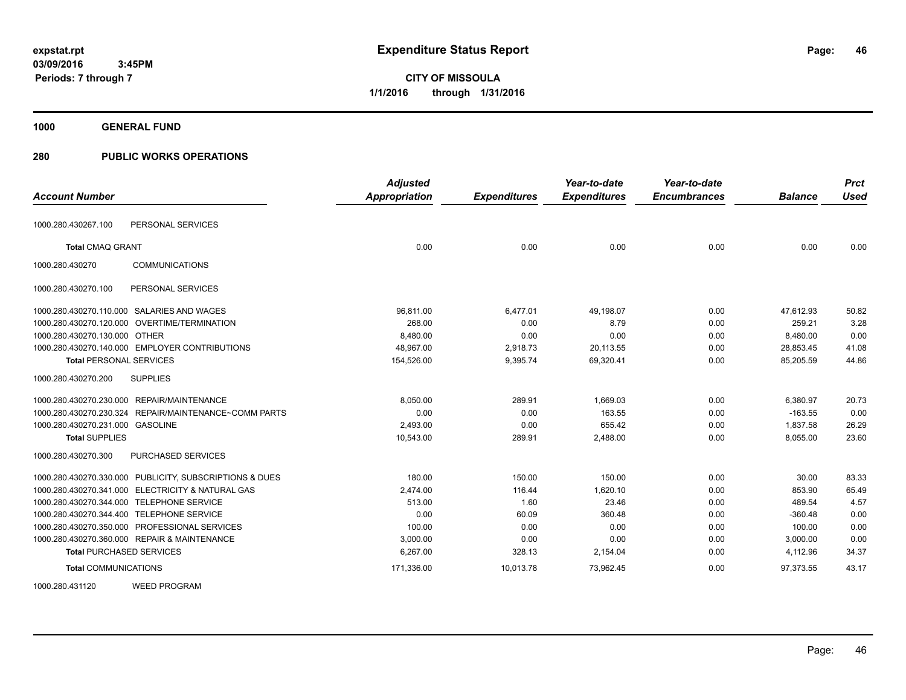**1000 GENERAL FUND**

| <b>Account Number</b>                                   | <b>Adjusted</b><br><b>Appropriation</b> | <b>Expenditures</b> | Year-to-date<br><b>Expenditures</b> | Year-to-date<br><b>Encumbrances</b> | <b>Balance</b> | <b>Prct</b><br><b>Used</b> |
|---------------------------------------------------------|-----------------------------------------|---------------------|-------------------------------------|-------------------------------------|----------------|----------------------------|
|                                                         |                                         |                     |                                     |                                     |                |                            |
| PERSONAL SERVICES<br>1000.280.430267.100                |                                         |                     |                                     |                                     |                |                            |
| <b>Total CMAQ GRANT</b>                                 | 0.00                                    | 0.00                | 0.00                                | 0.00                                | 0.00           | 0.00                       |
| <b>COMMUNICATIONS</b><br>1000.280.430270                |                                         |                     |                                     |                                     |                |                            |
| PERSONAL SERVICES<br>1000.280.430270.100                |                                         |                     |                                     |                                     |                |                            |
| 1000.280.430270.110.000 SALARIES AND WAGES              | 96,811.00                               | 6,477.01            | 49,198.07                           | 0.00                                | 47,612.93      | 50.82                      |
| 1000.280.430270.120.000 OVERTIME/TERMINATION            | 268.00                                  | 0.00                | 8.79                                | 0.00                                | 259.21         | 3.28                       |
| 1000.280.430270.130.000 OTHER                           | 8,480.00                                | 0.00                | 0.00                                | 0.00                                | 8,480.00       | 0.00                       |
| 1000.280.430270.140.000 EMPLOYER CONTRIBUTIONS          | 48,967.00                               | 2,918.73            | 20,113.55                           | 0.00                                | 28,853.45      | 41.08                      |
| <b>Total PERSONAL SERVICES</b>                          | 154,526.00                              | 9,395.74            | 69,320.41                           | 0.00                                | 85,205.59      | 44.86                      |
| 1000.280.430270.200<br><b>SUPPLIES</b>                  |                                         |                     |                                     |                                     |                |                            |
| 1000.280.430270.230.000 REPAIR/MAINTENANCE              | 8,050.00                                | 289.91              | 1.669.03                            | 0.00                                | 6,380.97       | 20.73                      |
| 1000.280.430270.230.324 REPAIR/MAINTENANCE~COMM PARTS   | 0.00                                    | 0.00                | 163.55                              | 0.00                                | $-163.55$      | 0.00                       |
| 1000.280.430270.231.000 GASOLINE                        | 2,493.00                                | 0.00                | 655.42                              | 0.00                                | 1,837.58       | 26.29                      |
| <b>Total SUPPLIES</b>                                   | 10,543.00                               | 289.91              | 2,488.00                            | 0.00                                | 8,055.00       | 23.60                      |
| 1000.280.430270.300<br><b>PURCHASED SERVICES</b>        |                                         |                     |                                     |                                     |                |                            |
| 1000.280.430270.330.000 PUBLICITY, SUBSCRIPTIONS & DUES | 180.00                                  | 150.00              | 150.00                              | 0.00                                | 30.00          | 83.33                      |
| 1000.280.430270.341.000 ELECTRICITY & NATURAL GAS       | 2.474.00                                | 116.44              | 1.620.10                            | 0.00                                | 853.90         | 65.49                      |
| 1000.280.430270.344.000 TELEPHONE SERVICE               | 513.00                                  | 1.60                | 23.46                               | 0.00                                | 489.54         | 4.57                       |
| 1000.280.430270.344.400 TELEPHONE SERVICE               | 0.00                                    | 60.09               | 360.48                              | 0.00                                | $-360.48$      | 0.00                       |
| 1000.280.430270.350.000 PROFESSIONAL SERVICES           | 100.00                                  | 0.00                | 0.00                                | 0.00                                | 100.00         | 0.00                       |
| 1000.280.430270.360.000 REPAIR & MAINTENANCE            | 3.000.00                                | 0.00                | 0.00                                | 0.00                                | 3.000.00       | 0.00                       |
| <b>Total PURCHASED SERVICES</b>                         | 6,267.00                                | 328.13              | 2,154.04                            | 0.00                                | 4,112.96       | 34.37                      |
| <b>Total COMMUNICATIONS</b>                             | 171,336.00                              | 10,013.78           | 73,962.45                           | 0.00                                | 97,373.55      | 43.17                      |
| <b>WEED PROGRAM</b><br>1000.280.431120                  |                                         |                     |                                     |                                     |                |                            |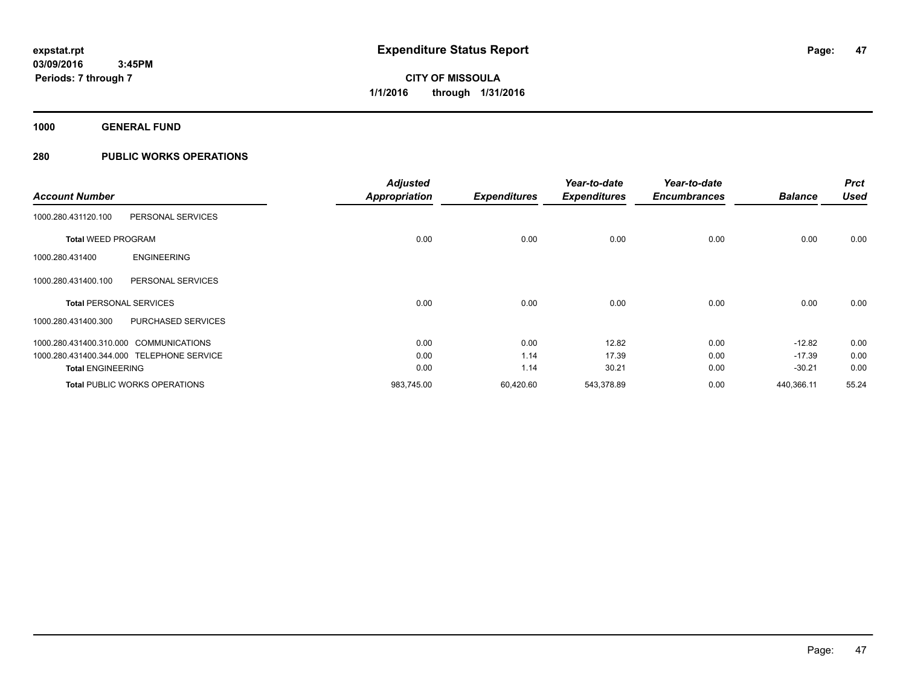**1000 GENERAL FUND**

|                                        |                                           | <b>Adjusted</b>      |                     | Year-to-date        | Year-to-date        |                | <b>Prct</b> |
|----------------------------------------|-------------------------------------------|----------------------|---------------------|---------------------|---------------------|----------------|-------------|
| <b>Account Number</b>                  |                                           | <b>Appropriation</b> | <b>Expenditures</b> | <b>Expenditures</b> | <b>Encumbrances</b> | <b>Balance</b> | <b>Used</b> |
| 1000.280.431120.100                    | PERSONAL SERVICES                         |                      |                     |                     |                     |                |             |
| <b>Total WEED PROGRAM</b>              |                                           | 0.00                 | 0.00                | 0.00                | 0.00                | 0.00           | 0.00        |
| 1000.280.431400                        | <b>ENGINEERING</b>                        |                      |                     |                     |                     |                |             |
| 1000.280.431400.100                    | PERSONAL SERVICES                         |                      |                     |                     |                     |                |             |
| <b>Total PERSONAL SERVICES</b>         |                                           | 0.00                 | 0.00                | 0.00                | 0.00                | 0.00           | 0.00        |
| 1000.280.431400.300                    | <b>PURCHASED SERVICES</b>                 |                      |                     |                     |                     |                |             |
| 1000.280.431400.310.000 COMMUNICATIONS |                                           | 0.00                 | 0.00                | 12.82               | 0.00                | $-12.82$       | 0.00        |
|                                        | 1000.280.431400.344.000 TELEPHONE SERVICE | 0.00                 | 1.14                | 17.39               | 0.00                | $-17.39$       | 0.00        |
| <b>Total ENGINEERING</b>               |                                           | 0.00                 | 1.14                | 30.21               | 0.00                | $-30.21$       | 0.00        |
|                                        | <b>Total PUBLIC WORKS OPERATIONS</b>      | 983,745.00           | 60,420.60           | 543,378.89          | 0.00                | 440,366.11     | 55.24       |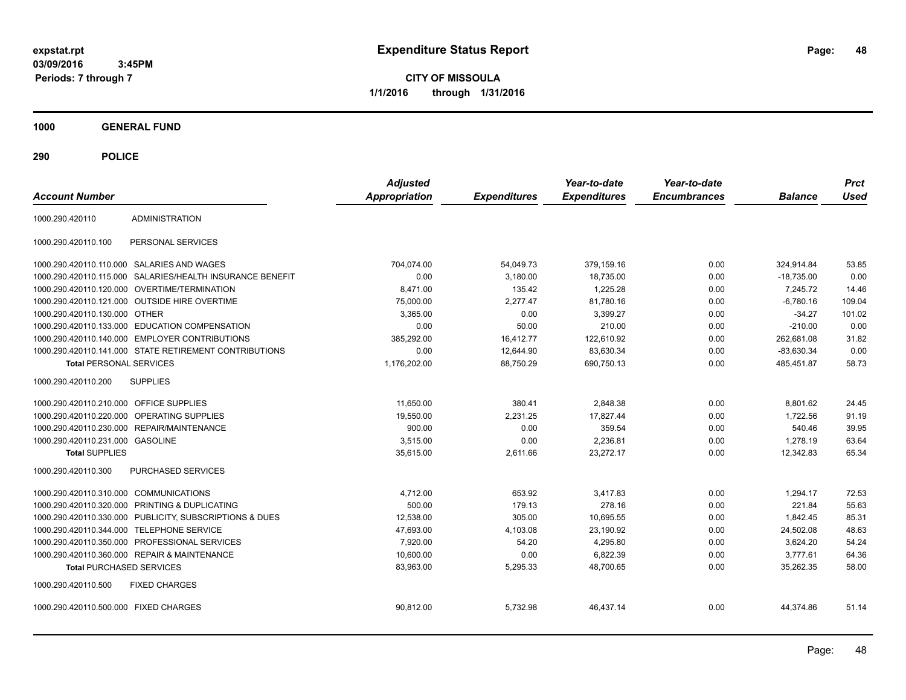**CITY OF MISSOULA 1/1/2016 through 1/31/2016**

**1000 GENERAL FUND**

| <b>Account Number</b>                   |                                                           | <b>Adjusted</b><br><b>Appropriation</b> | <b>Expenditures</b> | Year-to-date<br><b>Expenditures</b> | Year-to-date<br><b>Encumbrances</b> | <b>Balance</b> | <b>Prct</b><br><b>Used</b> |
|-----------------------------------------|-----------------------------------------------------------|-----------------------------------------|---------------------|-------------------------------------|-------------------------------------|----------------|----------------------------|
| 1000.290.420110                         | <b>ADMINISTRATION</b>                                     |                                         |                     |                                     |                                     |                |                            |
| 1000.290.420110.100                     | PERSONAL SERVICES                                         |                                         |                     |                                     |                                     |                |                            |
|                                         | 1000.290.420110.110.000 SALARIES AND WAGES                | 704,074.00                              | 54,049.73           | 379,159.16                          | 0.00                                | 324,914.84     | 53.85                      |
|                                         | 1000.290.420110.115.000 SALARIES/HEALTH INSURANCE BENEFIT | 0.00                                    | 3.180.00            | 18,735.00                           | 0.00                                | $-18.735.00$   | 0.00                       |
|                                         | 1000.290.420110.120.000 OVERTIME/TERMINATION              | 8,471.00                                | 135.42              | 1,225.28                            | 0.00                                | 7,245.72       | 14.46                      |
|                                         | 1000.290.420110.121.000 OUTSIDE HIRE OVERTIME             | 75,000.00                               | 2,277.47            | 81,780.16                           | 0.00                                | $-6,780.16$    | 109.04                     |
| 1000.290.420110.130.000 OTHER           |                                                           | 3.365.00                                | 0.00                | 3.399.27                            | 0.00                                | $-34.27$       | 101.02                     |
| 1000.290.420110.133.000                 | <b>EDUCATION COMPENSATION</b>                             | 0.00                                    | 50.00               | 210.00                              | 0.00                                | $-210.00$      | 0.00                       |
|                                         | 1000.290.420110.140.000 EMPLOYER CONTRIBUTIONS            | 385,292.00                              | 16.412.77           | 122.610.92                          | 0.00                                | 262.681.08     | 31.82                      |
|                                         | 1000.290.420110.141.000 STATE RETIREMENT CONTRIBUTIONS    | 0.00                                    | 12,644.90           | 83,630.34                           | 0.00                                | $-83,630.34$   | 0.00                       |
| <b>Total PERSONAL SERVICES</b>          |                                                           | 1,176,202.00                            | 88,750.29           | 690,750.13                          | 0.00                                | 485,451.87     | 58.73                      |
| 1000.290.420110.200                     | <b>SUPPLIES</b>                                           |                                         |                     |                                     |                                     |                |                            |
| 1000.290.420110.210.000 OFFICE SUPPLIES |                                                           | 11.650.00                               | 380.41              | 2.848.38                            | 0.00                                | 8.801.62       | 24.45                      |
| 1000.290.420110.220.000                 | <b>OPERATING SUPPLIES</b>                                 | 19,550.00                               | 2,231.25            | 17,827.44                           | 0.00                                | 1,722.56       | 91.19                      |
| 1000.290.420110.230.000                 | <b>REPAIR/MAINTENANCE</b>                                 | 900.00                                  | 0.00                | 359.54                              | 0.00                                | 540.46         | 39.95                      |
| 1000.290.420110.231.000 GASOLINE        |                                                           | 3,515.00                                | 0.00                | 2,236.81                            | 0.00                                | 1,278.19       | 63.64                      |
| <b>Total SUPPLIES</b>                   |                                                           | 35,615.00                               | 2,611.66            | 23,272.17                           | 0.00                                | 12,342.83      | 65.34                      |
| 1000.290.420110.300                     | PURCHASED SERVICES                                        |                                         |                     |                                     |                                     |                |                            |
| 1000.290.420110.310.000 COMMUNICATIONS  |                                                           | 4.712.00                                | 653.92              | 3.417.83                            | 0.00                                | 1.294.17       | 72.53                      |
|                                         | 1000.290.420110.320.000 PRINTING & DUPLICATING            | 500.00                                  | 179.13              | 278.16                              | 0.00                                | 221.84         | 55.63                      |
|                                         | 1000.290.420110.330.000 PUBLICITY, SUBSCRIPTIONS & DUES   | 12,538.00                               | 305.00              | 10,695.55                           | 0.00                                | 1.842.45       | 85.31                      |
| 1000.290.420110.344.000                 | <b>TELEPHONE SERVICE</b>                                  | 47,693.00                               | 4,103.08            | 23,190.92                           | 0.00                                | 24,502.08      | 48.63                      |
|                                         | 1000.290.420110.350.000 PROFESSIONAL SERVICES             | 7,920.00                                | 54.20               | 4,295.80                            | 0.00                                | 3,624.20       | 54.24                      |
|                                         | 1000.290.420110.360.000 REPAIR & MAINTENANCE              | 10,600.00                               | 0.00                | 6,822.39                            | 0.00                                | 3,777.61       | 64.36                      |
| <b>Total PURCHASED SERVICES</b>         |                                                           | 83,963.00                               | 5,295.33            | 48,700.65                           | 0.00                                | 35,262.35      | 58.00                      |
| 1000.290.420110.500                     | <b>FIXED CHARGES</b>                                      |                                         |                     |                                     |                                     |                |                            |
| 1000.290.420110.500.000 FIXED CHARGES   |                                                           | 90,812.00                               | 5,732.98            | 46,437.14                           | 0.00                                | 44,374.86      | 51.14                      |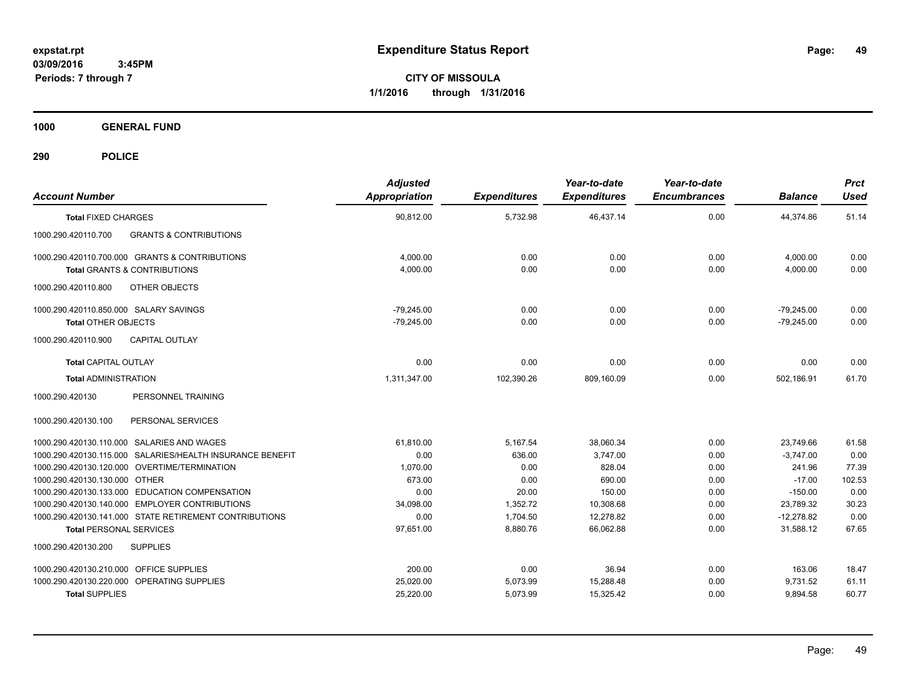**CITY OF MISSOULA 1/1/2016 through 1/31/2016**

**1000 GENERAL FUND**

| <b>Account Number</b>                                                                     | <b>Adjusted</b><br><b>Appropriation</b> | <b>Expenditures</b> | Year-to-date<br><b>Expenditures</b> | Year-to-date<br><b>Encumbrances</b> | <b>Balance</b>               | <b>Prct</b><br><b>Used</b> |
|-------------------------------------------------------------------------------------------|-----------------------------------------|---------------------|-------------------------------------|-------------------------------------|------------------------------|----------------------------|
| <b>Total FIXED CHARGES</b>                                                                | 90,812.00                               | 5,732.98            | 46,437.14                           | 0.00                                | 44,374.86                    | 51.14                      |
| <b>GRANTS &amp; CONTRIBUTIONS</b><br>1000.290.420110.700                                  |                                         |                     |                                     |                                     |                              |                            |
| 1000.290.420110.700.000 GRANTS & CONTRIBUTIONS<br><b>Total GRANTS &amp; CONTRIBUTIONS</b> | 4,000.00<br>4,000.00                    | 0.00<br>0.00        | 0.00<br>0.00                        | 0.00<br>0.00                        | 4,000.00<br>4,000.00         | 0.00<br>0.00               |
| OTHER OBJECTS<br>1000.290.420110.800                                                      |                                         |                     |                                     |                                     |                              |                            |
| 1000.290.420110.850.000 SALARY SAVINGS<br><b>Total OTHER OBJECTS</b>                      | $-79.245.00$<br>$-79,245.00$            | 0.00<br>0.00        | 0.00<br>0.00                        | 0.00<br>0.00                        | $-79.245.00$<br>$-79,245.00$ | 0.00<br>0.00               |
| 1000.290.420110.900<br><b>CAPITAL OUTLAY</b>                                              |                                         |                     |                                     |                                     |                              |                            |
| <b>Total CAPITAL OUTLAY</b>                                                               | 0.00                                    | 0.00                | 0.00                                | 0.00                                | 0.00                         | 0.00                       |
| <b>Total ADMINISTRATION</b>                                                               | 1,311,347.00                            | 102,390.26          | 809,160.09                          | 0.00                                | 502,186.91                   | 61.70                      |
| PERSONNEL TRAINING<br>1000.290.420130                                                     |                                         |                     |                                     |                                     |                              |                            |
| PERSONAL SERVICES<br>1000.290.420130.100                                                  |                                         |                     |                                     |                                     |                              |                            |
| 1000.290.420130.110.000 SALARIES AND WAGES                                                | 61.810.00                               | 5,167.54            | 38.060.34                           | 0.00                                | 23.749.66                    | 61.58                      |
| 1000.290.420130.115.000 SALARIES/HEALTH INSURANCE BENEFIT                                 | 0.00                                    | 636.00              | 3,747.00                            | 0.00                                | $-3,747.00$                  | 0.00                       |
| 1000.290.420130.120.000 OVERTIME/TERMINATION                                              | 1,070.00                                | 0.00                | 828.04                              | 0.00                                | 241.96                       | 77.39                      |
| 1000.290.420130.130.000 OTHER<br>1000.290.420130.133.000 EDUCATION COMPENSATION           | 673.00<br>0.00                          | 0.00                | 690.00<br>150.00                    | 0.00                                | $-17.00$<br>$-150.00$        | 102.53<br>0.00             |
| 1000.290.420130.140.000 EMPLOYER CONTRIBUTIONS                                            | 34,098.00                               | 20.00<br>1,352.72   | 10,308.68                           | 0.00<br>0.00                        | 23.789.32                    | 30.23                      |
| 1000.290.420130.141.000 STATE RETIREMENT CONTRIBUTIONS                                    | 0.00                                    | 1,704.50            | 12.278.82                           | 0.00                                | $-12.278.82$                 | 0.00                       |
| <b>Total PERSONAL SERVICES</b>                                                            | 97,651.00                               | 8,880.76            | 66.062.88                           | 0.00                                | 31,588.12                    | 67.65                      |
| 1000.290.420130.200<br><b>SUPPLIES</b>                                                    |                                         |                     |                                     |                                     |                              |                            |
| 1000.290.420130.210.000 OFFICE SUPPLIES                                                   | 200.00                                  | 0.00                | 36.94                               | 0.00                                | 163.06                       | 18.47                      |
| OPERATING SUPPLIES<br>1000.290.420130.220.000                                             | 25,020.00                               | 5,073.99            | 15,288.48                           | 0.00                                | 9,731.52                     | 61.11                      |
| <b>Total SUPPLIES</b>                                                                     | 25,220.00                               | 5,073.99            | 15,325.42                           | 0.00                                | 9,894.58                     | 60.77                      |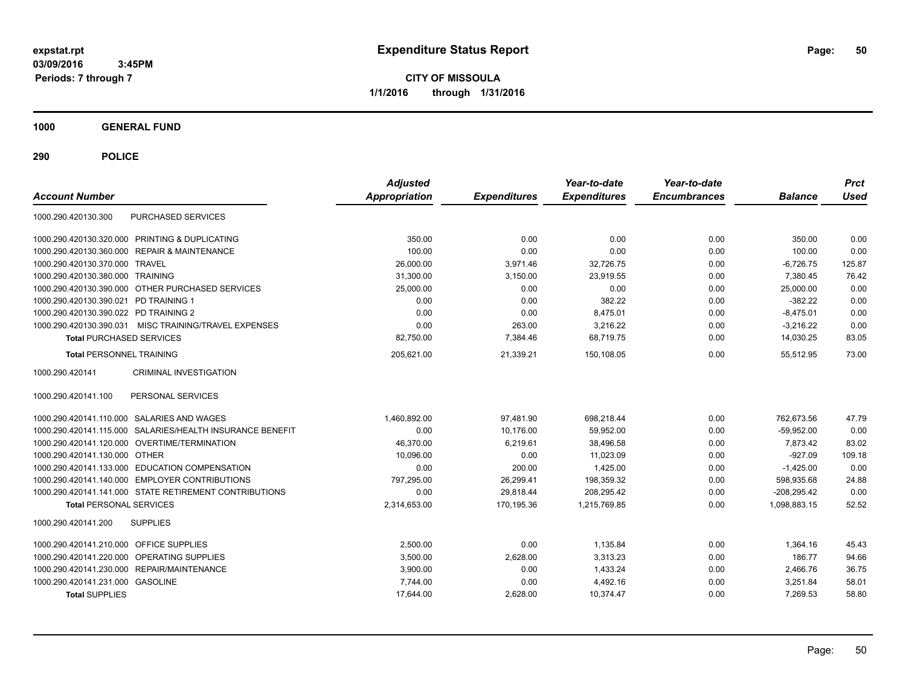**CITY OF MISSOULA 1/1/2016 through 1/31/2016**

**1000 GENERAL FUND**

| <b>Account Number</b>                   |                                                        | <b>Adjusted</b><br>Appropriation | <b>Expenditures</b> | Year-to-date<br><b>Expenditures</b> | Year-to-date<br><b>Encumbrances</b> | <b>Balance</b> | <b>Prct</b><br><b>Used</b> |
|-----------------------------------------|--------------------------------------------------------|----------------------------------|---------------------|-------------------------------------|-------------------------------------|----------------|----------------------------|
| 1000.290.420130.300                     | PURCHASED SERVICES                                     |                                  |                     |                                     |                                     |                |                            |
|                                         | 1000.290.420130.320.000 PRINTING & DUPLICATING         | 350.00                           | 0.00                | 0.00                                | 0.00                                | 350.00         | 0.00                       |
|                                         | 1000.290.420130.360.000 REPAIR & MAINTENANCE           | 100.00                           | 0.00                | 0.00                                | 0.00                                | 100.00         | 0.00                       |
| 1000.290.420130.370.000 TRAVEL          |                                                        | 26,000.00                        | 3,971.46            | 32,726.75                           | 0.00                                | $-6,726.75$    | 125.87                     |
| 1000.290.420130.380.000 TRAINING        |                                                        | 31,300.00                        | 3,150.00            | 23,919.55                           | 0.00                                | 7,380.45       | 76.42                      |
|                                         | 1000.290.420130.390.000 OTHER PURCHASED SERVICES       | 25,000.00                        | 0.00                | 0.00                                | 0.00                                | 25,000.00      | 0.00                       |
| 1000.290.420130.390.021 PD TRAINING 1   |                                                        | 0.00                             | 0.00                | 382.22                              | 0.00                                | $-382.22$      | 0.00                       |
| 1000.290.420130.390.022 PD TRAINING 2   |                                                        | 0.00                             | 0.00                | 8,475.01                            | 0.00                                | $-8,475.01$    | 0.00                       |
| 1000.290.420130.390.031                 | MISC TRAINING/TRAVEL EXPENSES                          | 0.00                             | 263.00              | 3,216.22                            | 0.00                                | $-3,216.22$    | 0.00                       |
| <b>Total PURCHASED SERVICES</b>         |                                                        | 82,750.00                        | 7,384.46            | 68.719.75                           | 0.00                                | 14,030.25      | 83.05                      |
| <b>Total PERSONNEL TRAINING</b>         |                                                        | 205,621.00                       | 21,339.21           | 150.108.05                          | 0.00                                | 55.512.95      | 73.00                      |
| 1000.290.420141                         | <b>CRIMINAL INVESTIGATION</b>                          |                                  |                     |                                     |                                     |                |                            |
| 1000.290.420141.100                     | PERSONAL SERVICES                                      |                                  |                     |                                     |                                     |                |                            |
|                                         | 1000.290.420141.110.000 SALARIES AND WAGES             | 1,460,892.00                     | 97,481.90           | 698,218.44                          | 0.00                                | 762,673.56     | 47.79                      |
| 1000.290.420141.115.000                 | SALARIES/HEALTH INSURANCE BENEFIT                      | 0.00                             | 10,176.00           | 59,952.00                           | 0.00                                | $-59,952.00$   | 0.00                       |
|                                         | 1000.290.420141.120.000 OVERTIME/TERMINATION           | 46,370.00                        | 6,219.61            | 38,496.58                           | 0.00                                | 7,873.42       | 83.02                      |
| 1000.290.420141.130.000 OTHER           |                                                        | 10,096.00                        | 0.00                | 11,023.09                           | 0.00                                | $-927.09$      | 109.18                     |
|                                         | 1000.290.420141.133.000 EDUCATION COMPENSATION         | 0.00                             | 200.00              | 1,425.00                            | 0.00                                | $-1,425.00$    | 0.00                       |
|                                         | 1000.290.420141.140.000 EMPLOYER CONTRIBUTIONS         | 797,295.00                       | 26,299.41           | 198,359.32                          | 0.00                                | 598,935.68     | 24.88                      |
|                                         | 1000.290.420141.141.000 STATE RETIREMENT CONTRIBUTIONS | 0.00                             | 29.818.44           | 208,295.42                          | 0.00                                | $-208,295.42$  | 0.00                       |
| <b>Total PERSONAL SERVICES</b>          |                                                        | 2,314,653.00                     | 170.195.36          | 1.215.769.85                        | 0.00                                | 1.098.883.15   | 52.52                      |
| 1000.290.420141.200                     | <b>SUPPLIES</b>                                        |                                  |                     |                                     |                                     |                |                            |
| 1000.290.420141.210.000 OFFICE SUPPLIES |                                                        | 2,500.00                         | 0.00                | 1,135.84                            | 0.00                                | 1,364.16       | 45.43                      |
|                                         | 1000.290.420141.220.000 OPERATING SUPPLIES             | 3,500.00                         | 2,628.00            | 3,313.23                            | 0.00                                | 186.77         | 94.66                      |
|                                         | 1000.290.420141.230.000 REPAIR/MAINTENANCE             | 3,900.00                         | 0.00                | 1,433.24                            | 0.00                                | 2,466.76       | 36.75                      |
| 1000.290.420141.231.000 GASOLINE        |                                                        | 7,744.00                         | 0.00                | 4,492.16                            | 0.00                                | 3,251.84       | 58.01                      |
| <b>Total SUPPLIES</b>                   |                                                        | 17,644.00                        | 2,628.00            | 10,374.47                           | 0.00                                | 7,269.53       | 58.80                      |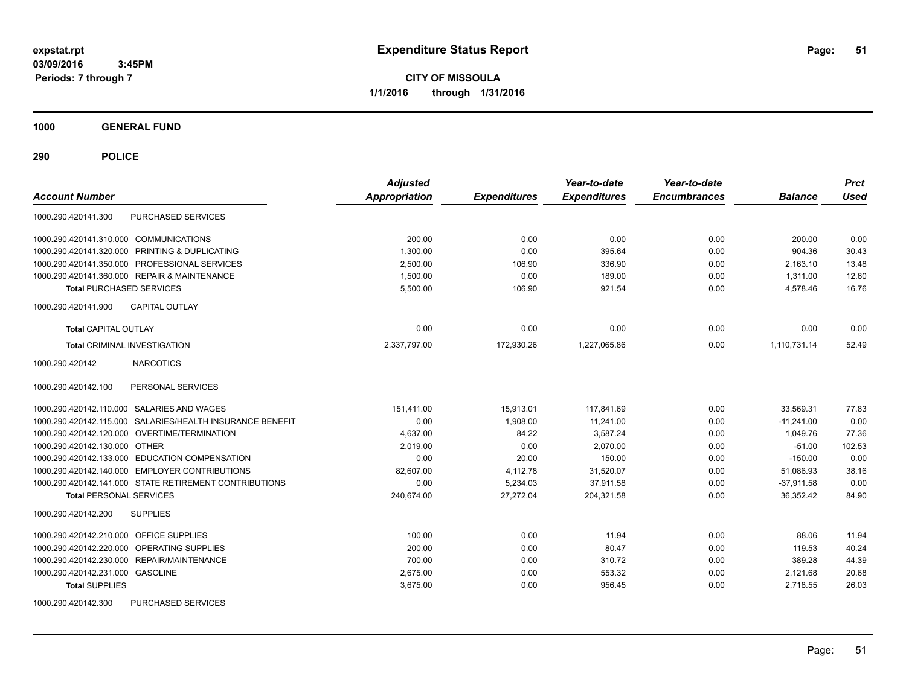**CITY OF MISSOULA 1/1/2016 through 1/31/2016**

**1000 GENERAL FUND**

| <b>Account Number</b>                                     | <b>Adjusted</b><br><b>Appropriation</b> | <b>Expenditures</b> | Year-to-date<br><b>Expenditures</b> | Year-to-date<br><b>Encumbrances</b> | <b>Balance</b> | <b>Prct</b><br><b>Used</b> |
|-----------------------------------------------------------|-----------------------------------------|---------------------|-------------------------------------|-------------------------------------|----------------|----------------------------|
| PURCHASED SERVICES<br>1000.290.420141.300                 |                                         |                     |                                     |                                     |                |                            |
| 1000.290.420141.310.000 COMMUNICATIONS                    | 200.00                                  | 0.00                | 0.00                                | 0.00                                | 200.00         | 0.00                       |
| 1000.290.420141.320.000 PRINTING & DUPLICATING            | 1,300.00                                | 0.00                | 395.64                              | 0.00                                | 904.36         | 30.43                      |
| 1000.290.420141.350.000 PROFESSIONAL SERVICES             | 2.500.00                                | 106.90              | 336.90                              | 0.00                                | 2.163.10       | 13.48                      |
| 1000.290.420141.360.000 REPAIR & MAINTENANCE              | 1.500.00                                | 0.00                | 189.00                              | 0.00                                | 1.311.00       | 12.60                      |
| <b>Total PURCHASED SERVICES</b>                           | 5,500.00                                | 106.90              | 921.54                              | 0.00                                | 4,578.46       | 16.76                      |
| <b>CAPITAL OUTLAY</b><br>1000.290.420141.900              |                                         |                     |                                     |                                     |                |                            |
| <b>Total CAPITAL OUTLAY</b>                               | 0.00                                    | 0.00                | 0.00                                | 0.00                                | 0.00           | 0.00                       |
| <b>Total CRIMINAL INVESTIGATION</b>                       | 2,337,797.00                            | 172,930.26          | 1,227,065.86                        | 0.00                                | 1,110,731.14   | 52.49                      |
| <b>NARCOTICS</b><br>1000.290.420142                       |                                         |                     |                                     |                                     |                |                            |
| 1000.290.420142.100<br>PERSONAL SERVICES                  |                                         |                     |                                     |                                     |                |                            |
| 1000.290.420142.110.000 SALARIES AND WAGES                | 151.411.00                              | 15.913.01           | 117.841.69                          | 0.00                                | 33.569.31      | 77.83                      |
| 1000.290.420142.115.000 SALARIES/HEALTH INSURANCE BENEFIT | 0.00                                    | 1.908.00            | 11.241.00                           | 0.00                                | $-11,241.00$   | 0.00                       |
| 1000.290.420142.120.000 OVERTIME/TERMINATION              | 4.637.00                                | 84.22               | 3.587.24                            | 0.00                                | 1.049.76       | 77.36                      |
| 1000.290.420142.130.000 OTHER                             | 2,019.00                                | 0.00                | 2,070.00                            | 0.00                                | $-51.00$       | 102.53                     |
| 1000.290.420142.133.000 EDUCATION COMPENSATION            | 0.00                                    | 20.00               | 150.00                              | 0.00                                | $-150.00$      | 0.00                       |
| 1000.290.420142.140.000 EMPLOYER CONTRIBUTIONS            | 82,607.00                               | 4,112.78            | 31,520.07                           | 0.00                                | 51,086.93      | 38.16                      |
| 1000.290.420142.141.000 STATE RETIREMENT CONTRIBUTIONS    | 0.00                                    | 5,234.03            | 37,911.58                           | 0.00                                | $-37,911.58$   | 0.00                       |
| <b>Total PERSONAL SERVICES</b>                            | 240,674.00                              | 27,272.04           | 204,321.58                          | 0.00                                | 36.352.42      | 84.90                      |
| <b>SUPPLIES</b><br>1000.290.420142.200                    |                                         |                     |                                     |                                     |                |                            |
| 1000.290.420142.210.000 OFFICE SUPPLIES                   | 100.00                                  | 0.00                | 11.94                               | 0.00                                | 88.06          | 11.94                      |
| OPERATING SUPPLIES<br>1000.290.420142.220.000             | 200.00                                  | 0.00                | 80.47                               | 0.00                                | 119.53         | 40.24                      |
| <b>REPAIR/MAINTENANCE</b><br>1000.290.420142.230.000      | 700.00                                  | 0.00                | 310.72                              | 0.00                                | 389.28         | 44.39                      |
| 1000.290.420142.231.000 GASOLINE                          | 2,675.00                                | 0.00                | 553.32                              | 0.00                                | 2,121.68       | 20.68                      |
| <b>Total SUPPLIES</b>                                     | 3,675.00                                | 0.00                | 956.45                              | 0.00                                | 2,718.55       | 26.03                      |
| 1000.290.420142.300<br>PURCHASED SERVICES                 |                                         |                     |                                     |                                     |                |                            |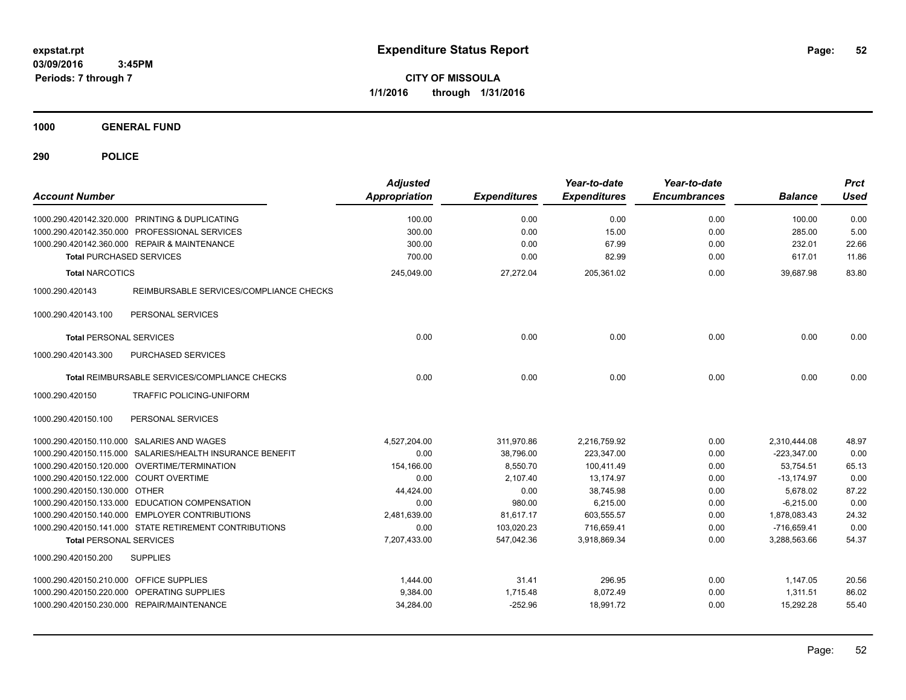**CITY OF MISSOULA 1/1/2016 through 1/31/2016**

**1000 GENERAL FUND**

| <b>Account Number</b>                                      | <b>Adjusted</b><br>Appropriation | <b>Expenditures</b> | Year-to-date<br><b>Expenditures</b> | Year-to-date<br><b>Encumbrances</b> | <b>Balance</b> | <b>Prct</b><br><b>Used</b> |
|------------------------------------------------------------|----------------------------------|---------------------|-------------------------------------|-------------------------------------|----------------|----------------------------|
| 1000.290.420142.320.000 PRINTING & DUPLICATING             | 100.00                           | 0.00                | 0.00                                | 0.00                                | 100.00         | 0.00                       |
| 1000.290.420142.350.000 PROFESSIONAL SERVICES              | 300.00                           | 0.00                | 15.00                               | 0.00                                | 285.00         | 5.00                       |
| 1000.290.420142.360.000 REPAIR & MAINTENANCE               | 300.00                           | 0.00                | 67.99                               | 0.00                                | 232.01         | 22.66                      |
| <b>Total PURCHASED SERVICES</b>                            | 700.00                           | 0.00                | 82.99                               | 0.00                                | 617.01         | 11.86                      |
| <b>Total NARCOTICS</b>                                     | 245,049.00                       | 27,272.04           | 205,361.02                          | 0.00                                | 39,687.98      | 83.80                      |
| 1000.290.420143<br>REIMBURSABLE SERVICES/COMPLIANCE CHECKS |                                  |                     |                                     |                                     |                |                            |
| 1000.290.420143.100<br>PERSONAL SERVICES                   |                                  |                     |                                     |                                     |                |                            |
| <b>Total PERSONAL SERVICES</b>                             | 0.00                             | 0.00                | 0.00                                | 0.00                                | 0.00           | 0.00                       |
| PURCHASED SERVICES<br>1000.290.420143.300                  |                                  |                     |                                     |                                     |                |                            |
| Total REIMBURSABLE SERVICES/COMPLIANCE CHECKS              | 0.00                             | 0.00                | 0.00                                | 0.00                                | 0.00           | 0.00                       |
| 1000.290.420150<br>TRAFFIC POLICING-UNIFORM                |                                  |                     |                                     |                                     |                |                            |
| 1000.290.420150.100<br>PERSONAL SERVICES                   |                                  |                     |                                     |                                     |                |                            |
| 1000.290.420150.110.000 SALARIES AND WAGES                 | 4,527,204.00                     | 311,970.86          | 2,216,759.92                        | 0.00                                | 2,310,444.08   | 48.97                      |
| 1000.290.420150.115.000 SALARIES/HEALTH INSURANCE BENEFIT  | 0.00                             | 38,796.00           | 223,347.00                          | 0.00                                | $-223,347.00$  | 0.00                       |
| 1000.290.420150.120.000 OVERTIME/TERMINATION               | 154,166.00                       | 8,550.70            | 100,411.49                          | 0.00                                | 53,754.51      | 65.13                      |
| 1000.290.420150.122.000 COURT OVERTIME                     | 0.00                             | 2.107.40            | 13.174.97                           | 0.00                                | $-13.174.97$   | 0.00                       |
| 1000.290.420150.130.000 OTHER                              | 44,424.00                        | 0.00                | 38,745.98                           | 0.00                                | 5,678.02       | 87.22                      |
| 1000.290.420150.133.000 EDUCATION COMPENSATION             | 0.00                             | 980.00              | 6,215.00                            | 0.00                                | $-6,215.00$    | 0.00                       |
| 1000.290.420150.140.000 EMPLOYER CONTRIBUTIONS             | 2,481,639.00                     | 81,617.17           | 603,555.57                          | 0.00                                | 1,878,083.43   | 24.32                      |
| 1000.290.420150.141.000 STATE RETIREMENT CONTRIBUTIONS     | 0.00                             | 103,020.23          | 716,659.41                          | 0.00                                | $-716,659.41$  | 0.00                       |
| <b>Total PERSONAL SERVICES</b>                             | 7,207,433.00                     | 547,042.36          | 3,918,869.34                        | 0.00                                | 3,288,563.66   | 54.37                      |
| 1000.290.420150.200<br><b>SUPPLIES</b>                     |                                  |                     |                                     |                                     |                |                            |
| 1000.290.420150.210.000 OFFICE SUPPLIES                    | 1,444.00                         | 31.41               | 296.95                              | 0.00                                | 1,147.05       | 20.56                      |
| 1000.290.420150.220.000 OPERATING SUPPLIES                 | 9,384.00                         | 1,715.48            | 8,072.49                            | 0.00                                | 1,311.51       | 86.02                      |
| 1000.290.420150.230.000 REPAIR/MAINTENANCE                 | 34,284.00                        | $-252.96$           | 18,991.72                           | 0.00                                | 15,292.28      | 55.40                      |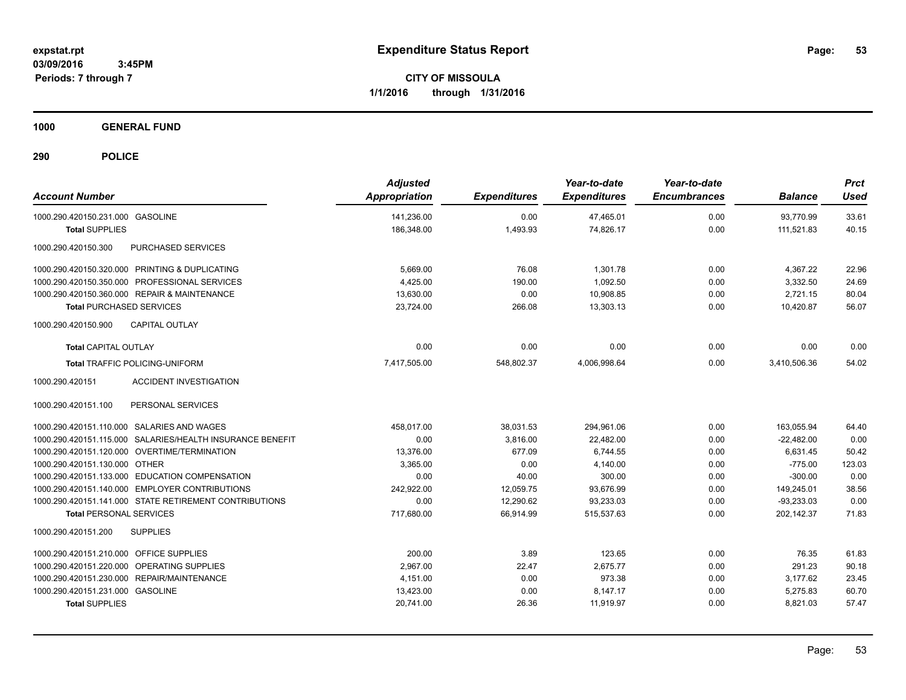**CITY OF MISSOULA 1/1/2016 through 1/31/2016**

**1000 GENERAL FUND**

| <b>Account Number</b>                                     | <b>Adjusted</b><br><b>Appropriation</b> | <b>Expenditures</b> | Year-to-date<br><b>Expenditures</b> | Year-to-date<br><b>Encumbrances</b> | <b>Balance</b> | <b>Prct</b><br><b>Used</b> |
|-----------------------------------------------------------|-----------------------------------------|---------------------|-------------------------------------|-------------------------------------|----------------|----------------------------|
| 1000.290.420150.231.000 GASOLINE                          | 141,236.00                              | 0.00                | 47,465.01                           | 0.00                                | 93.770.99      | 33.61                      |
| <b>Total SUPPLIES</b>                                     | 186.348.00                              | 1,493.93            | 74,826.17                           | 0.00                                | 111,521.83     | 40.15                      |
| 1000.290.420150.300<br>PURCHASED SERVICES                 |                                         |                     |                                     |                                     |                |                            |
| 1000.290.420150.320.000 PRINTING & DUPLICATING            | 5,669.00                                | 76.08               | 1.301.78                            | 0.00                                | 4.367.22       | 22.96                      |
| 1000.290.420150.350.000 PROFESSIONAL SERVICES             | 4,425.00                                | 190.00              | 1.092.50                            | 0.00                                | 3,332.50       | 24.69                      |
| 1000.290.420150.360.000 REPAIR & MAINTENANCE              | 13,630.00                               | 0.00                | 10,908.85                           | 0.00                                | 2,721.15       | 80.04                      |
| <b>Total PURCHASED SERVICES</b>                           | 23,724.00                               | 266.08              | 13,303.13                           | 0.00                                | 10,420.87      | 56.07                      |
| CAPITAL OUTLAY<br>1000.290.420150.900                     |                                         |                     |                                     |                                     |                |                            |
| <b>Total CAPITAL OUTLAY</b>                               | 0.00                                    | 0.00                | 0.00                                | 0.00                                | 0.00           | 0.00                       |
| Total TRAFFIC POLICING-UNIFORM                            | 7,417,505.00                            | 548,802.37          | 4,006,998.64                        | 0.00                                | 3,410,506.36   | 54.02                      |
| <b>ACCIDENT INVESTIGATION</b><br>1000.290.420151          |                                         |                     |                                     |                                     |                |                            |
| PERSONAL SERVICES<br>1000.290.420151.100                  |                                         |                     |                                     |                                     |                |                            |
| 1000.290.420151.110.000 SALARIES AND WAGES                | 458,017.00                              | 38,031.53           | 294,961.06                          | 0.00                                | 163,055.94     | 64.40                      |
| 1000.290.420151.115.000 SALARIES/HEALTH INSURANCE BENEFIT | 0.00                                    | 3,816.00            | 22,482.00                           | 0.00                                | $-22,482.00$   | 0.00                       |
| 1000.290.420151.120.000 OVERTIME/TERMINATION              | 13,376.00                               | 677.09              | 6,744.55                            | 0.00                                | 6,631.45       | 50.42                      |
| 1000.290.420151.130.000 OTHER                             | 3,365.00                                | 0.00                | 4,140.00                            | 0.00                                | $-775.00$      | 123.03                     |
| 1000.290.420151.133.000 EDUCATION COMPENSATION            | 0.00                                    | 40.00               | 300.00                              | 0.00                                | $-300.00$      | 0.00                       |
| 1000.290.420151.140.000 EMPLOYER CONTRIBUTIONS            | 242.922.00                              | 12.059.75           | 93.676.99                           | 0.00                                | 149,245.01     | 38.56                      |
| 1000.290.420151.141.000 STATE RETIREMENT CONTRIBUTIONS    | 0.00                                    | 12,290.62           | 93,233.03                           | 0.00                                | $-93,233.03$   | 0.00                       |
| <b>Total PERSONAL SERVICES</b>                            | 717,680.00                              | 66.914.99           | 515,537.63                          | 0.00                                | 202,142.37     | 71.83                      |
| 1000.290.420151.200<br><b>SUPPLIES</b>                    |                                         |                     |                                     |                                     |                |                            |
| 1000.290.420151.210.000 OFFICE SUPPLIES                   | 200.00                                  | 3.89                | 123.65                              | 0.00                                | 76.35          | 61.83                      |
| 1000.290.420151.220.000 OPERATING SUPPLIES                | 2.967.00                                | 22.47               | 2.675.77                            | 0.00                                | 291.23         | 90.18                      |
| 1000.290.420151.230.000 REPAIR/MAINTENANCE                | 4,151.00                                | 0.00                | 973.38                              | 0.00                                | 3,177.62       | 23.45                      |
| 1000.290.420151.231.000 GASOLINE                          | 13,423.00                               | 0.00                | 8,147.17                            | 0.00                                | 5,275.83       | 60.70                      |
| <b>Total SUPPLIES</b>                                     | 20,741.00                               | 26.36               | 11,919.97                           | 0.00                                | 8,821.03       | 57.47                      |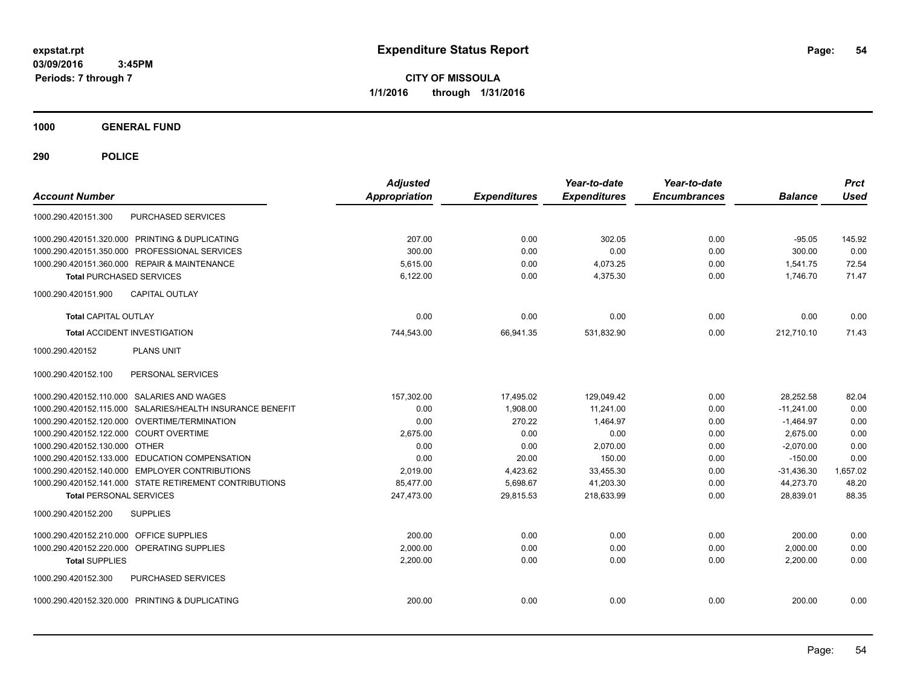**CITY OF MISSOULA 1/1/2016 through 1/31/2016**

**1000 GENERAL FUND**

| <b>Account Number</b>                      |                                                        | <b>Adjusted</b><br>Appropriation | <b>Expenditures</b> | Year-to-date<br><b>Expenditures</b> | Year-to-date<br><b>Encumbrances</b> | <b>Balance</b> | <b>Prct</b><br><b>Used</b> |
|--------------------------------------------|--------------------------------------------------------|----------------------------------|---------------------|-------------------------------------|-------------------------------------|----------------|----------------------------|
| 1000.290.420151.300                        | PURCHASED SERVICES                                     |                                  |                     |                                     |                                     |                |                            |
|                                            | 1000.290.420151.320.000 PRINTING & DUPLICATING         | 207.00                           | 0.00                | 302.05                              | 0.00                                | $-95.05$       | 145.92                     |
|                                            | 1000.290.420151.350.000 PROFESSIONAL SERVICES          | 300.00                           | 0.00                | 0.00                                | 0.00                                | 300.00         | 0.00                       |
|                                            | 1000.290.420151.360.000 REPAIR & MAINTENANCE           | 5.615.00                         | 0.00                | 4,073.25                            | 0.00                                | 1,541.75       | 72.54                      |
| <b>Total PURCHASED SERVICES</b>            |                                                        | 6,122.00                         | 0.00                | 4,375.30                            | 0.00                                | 1.746.70       | 71.47                      |
| 1000.290.420151.900                        | <b>CAPITAL OUTLAY</b>                                  |                                  |                     |                                     |                                     |                |                            |
| Total CAPITAL OUTLAY                       |                                                        | 0.00                             | 0.00                | 0.00                                | 0.00                                | 0.00           | 0.00                       |
| <b>Total ACCIDENT INVESTIGATION</b>        |                                                        | 744,543.00                       | 66,941.35           | 531,832.90                          | 0.00                                | 212,710.10     | 71.43                      |
| 1000.290.420152                            | <b>PLANS UNIT</b>                                      |                                  |                     |                                     |                                     |                |                            |
| 1000.290.420152.100                        | PERSONAL SERVICES                                      |                                  |                     |                                     |                                     |                |                            |
| 1000.290.420152.110.000 SALARIES AND WAGES |                                                        | 157,302.00                       | 17,495.02           | 129,049.42                          | 0.00                                | 28,252.58      | 82.04                      |
| 1000.290.420152.115.000                    | SALARIES/HEALTH INSURANCE BENEFIT                      | 0.00                             | 1,908.00            | 11,241.00                           | 0.00                                | $-11,241.00$   | 0.00                       |
|                                            | 1000.290.420152.120.000 OVERTIME/TERMINATION           | 0.00                             | 270.22              | 1,464.97                            | 0.00                                | $-1,464.97$    | 0.00                       |
| 1000.290.420152.122.000 COURT OVERTIME     |                                                        | 2,675.00                         | 0.00                | 0.00                                | 0.00                                | 2,675.00       | 0.00                       |
| 1000.290.420152.130.000 OTHER              |                                                        | 0.00                             | 0.00                | 2,070.00                            | 0.00                                | $-2,070.00$    | 0.00                       |
|                                            | 1000.290.420152.133.000 EDUCATION COMPENSATION         | 0.00                             | 20.00               | 150.00                              | 0.00                                | $-150.00$      | 0.00                       |
|                                            | 1000.290.420152.140.000 EMPLOYER CONTRIBUTIONS         | 2.019.00                         | 4,423.62            | 33,455.30                           | 0.00                                | $-31,436.30$   | 1,657.02                   |
|                                            | 1000.290.420152.141.000 STATE RETIREMENT CONTRIBUTIONS | 85,477.00                        | 5,698.67            | 41,203.30                           | 0.00                                | 44,273.70      | 48.20                      |
| <b>Total PERSONAL SERVICES</b>             |                                                        | 247.473.00                       | 29.815.53           | 218,633.99                          | 0.00                                | 28.839.01      | 88.35                      |
| 1000.290.420152.200                        | <b>SUPPLIES</b>                                        |                                  |                     |                                     |                                     |                |                            |
| 1000.290.420152.210.000 OFFICE SUPPLIES    |                                                        | 200.00                           | 0.00                | 0.00                                | 0.00                                | 200.00         | 0.00                       |
| 1000.290.420152.220.000 OPERATING SUPPLIES |                                                        | 2.000.00                         | 0.00                | 0.00                                | 0.00                                | 2,000.00       | 0.00                       |
| <b>Total SUPPLIES</b>                      |                                                        | 2,200.00                         | 0.00                | 0.00                                | 0.00                                | 2,200.00       | 0.00                       |
| 1000.290.420152.300                        | PURCHASED SERVICES                                     |                                  |                     |                                     |                                     |                |                            |
|                                            | 1000.290.420152.320.000 PRINTING & DUPLICATING         | 200.00                           | 0.00                | 0.00                                | 0.00                                | 200.00         | 0.00                       |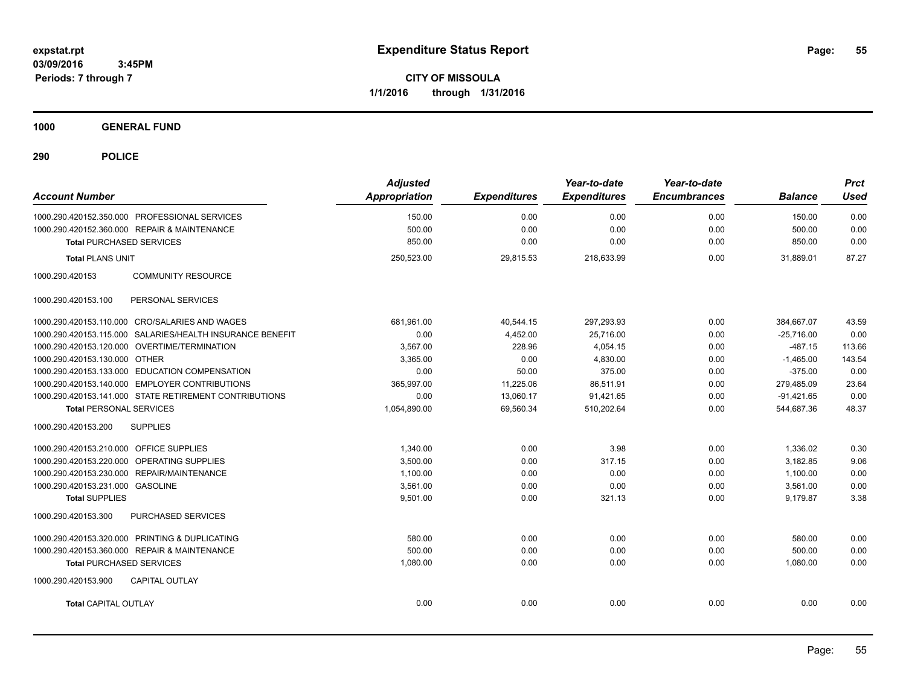**CITY OF MISSOULA 1/1/2016 through 1/31/2016**

**1000 GENERAL FUND**

| <b>Account Number</b>                                     | <b>Adjusted</b><br><b>Appropriation</b> | <b>Expenditures</b> | Year-to-date<br><b>Expenditures</b> | Year-to-date<br><b>Encumbrances</b> | <b>Balance</b> | <b>Prct</b><br><b>Used</b> |
|-----------------------------------------------------------|-----------------------------------------|---------------------|-------------------------------------|-------------------------------------|----------------|----------------------------|
| 1000.290.420152.350.000 PROFESSIONAL SERVICES             | 150.00                                  | 0.00                | 0.00                                | 0.00                                | 150.00         | 0.00                       |
| 1000.290.420152.360.000 REPAIR & MAINTENANCE              | 500.00                                  | 0.00                | 0.00                                | 0.00                                | 500.00         | 0.00                       |
| <b>Total PURCHASED SERVICES</b>                           | 850.00                                  | 0.00                | 0.00                                | 0.00                                | 850.00         | 0.00                       |
| <b>Total PLANS UNIT</b>                                   | 250,523.00                              | 29,815.53           | 218,633.99                          | 0.00                                | 31,889.01      | 87.27                      |
| 1000.290.420153<br><b>COMMUNITY RESOURCE</b>              |                                         |                     |                                     |                                     |                |                            |
| PERSONAL SERVICES<br>1000.290.420153.100                  |                                         |                     |                                     |                                     |                |                            |
| 1000.290.420153.110.000 CRO/SALARIES AND WAGES            | 681,961.00                              | 40,544.15           | 297,293.93                          | 0.00                                | 384,667.07     | 43.59                      |
| 1000.290.420153.115.000 SALARIES/HEALTH INSURANCE BENEFIT | 0.00                                    | 4,452.00            | 25,716.00                           | 0.00                                | $-25,716.00$   | 0.00                       |
| 1000.290.420153.120.000 OVERTIME/TERMINATION              | 3,567.00                                | 228.96              | 4,054.15                            | 0.00                                | $-487.15$      | 113.66                     |
| 1000.290.420153.130.000 OTHER                             | 3,365.00                                | 0.00                | 4,830.00                            | 0.00                                | $-1,465.00$    | 143.54                     |
| 1000.290.420153.133.000 EDUCATION COMPENSATION            | 0.00                                    | 50.00               | 375.00                              | 0.00                                | $-375.00$      | 0.00                       |
| 1000.290.420153.140.000 EMPLOYER CONTRIBUTIONS            | 365,997.00                              | 11,225.06           | 86,511.91                           | 0.00                                | 279,485.09     | 23.64                      |
| 1000.290.420153.141.000 STATE RETIREMENT CONTRIBUTIONS    | 0.00                                    | 13,060.17           | 91,421.65                           | 0.00                                | $-91,421.65$   | 0.00                       |
| <b>Total PERSONAL SERVICES</b>                            | 1,054,890.00                            | 69,560.34           | 510,202.64                          | 0.00                                | 544,687.36     | 48.37                      |
| 1000.290.420153.200<br><b>SUPPLIES</b>                    |                                         |                     |                                     |                                     |                |                            |
| 1000.290.420153.210.000 OFFICE SUPPLIES                   | 1,340.00                                | 0.00                | 3.98                                | 0.00                                | 1,336.02       | 0.30                       |
| 1000.290.420153.220.000 OPERATING SUPPLIES                | 3,500.00                                | 0.00                | 317.15                              | 0.00                                | 3,182.85       | 9.06                       |
| 1000.290.420153.230.000 REPAIR/MAINTENANCE                | 1,100.00                                | 0.00                | 0.00                                | 0.00                                | 1,100.00       | 0.00                       |
| 1000.290.420153.231.000 GASOLINE                          | 3,561.00                                | 0.00                | 0.00                                | 0.00                                | 3,561.00       | 0.00                       |
| <b>Total SUPPLIES</b>                                     | 9,501.00                                | 0.00                | 321.13                              | 0.00                                | 9.179.87       | 3.38                       |
| 1000.290.420153.300<br>PURCHASED SERVICES                 |                                         |                     |                                     |                                     |                |                            |
| 1000.290.420153.320.000 PRINTING & DUPLICATING            | 580.00                                  | 0.00                | 0.00                                | 0.00                                | 580.00         | 0.00                       |
| 1000.290.420153.360.000 REPAIR & MAINTENANCE              | 500.00                                  | 0.00                | 0.00                                | 0.00                                | 500.00         | 0.00                       |
| <b>Total PURCHASED SERVICES</b>                           | 1,080.00                                | 0.00                | 0.00                                | 0.00                                | 1,080.00       | 0.00                       |
| CAPITAL OUTLAY<br>1000.290.420153.900                     |                                         |                     |                                     |                                     |                |                            |
| <b>Total CAPITAL OUTLAY</b>                               | 0.00                                    | 0.00                | 0.00                                | 0.00                                | 0.00           | 0.00                       |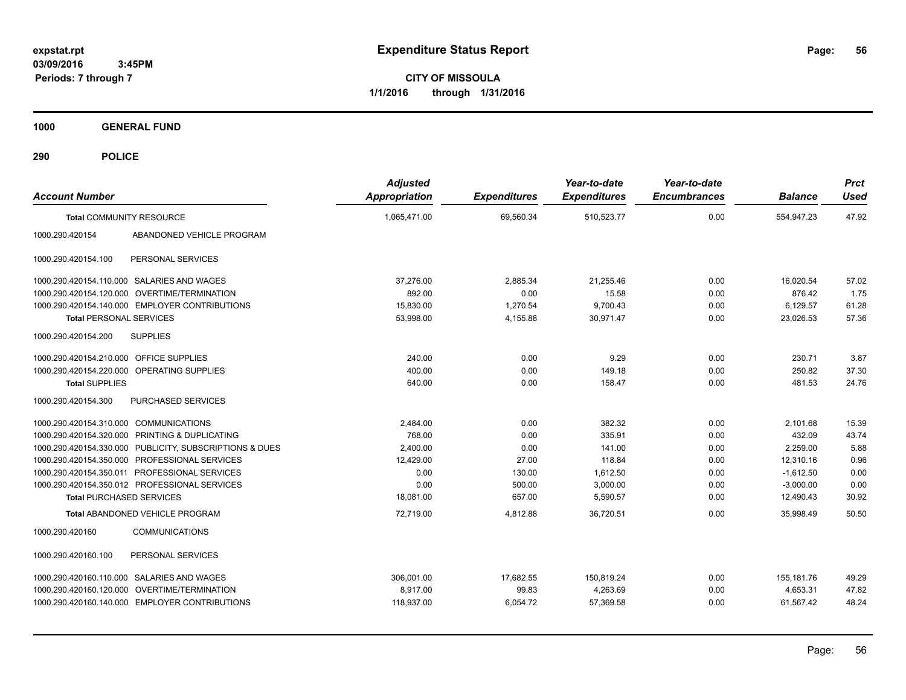**CITY OF MISSOULA 1/1/2016 through 1/31/2016**

**1000 GENERAL FUND**

| <b>Account Number</b>                   |                                                         | <b>Adjusted</b><br><b>Appropriation</b> | <b>Expenditures</b> | Year-to-date<br><b>Expenditures</b> | Year-to-date<br><b>Encumbrances</b> | <b>Balance</b> | <b>Prct</b><br><b>Used</b> |
|-----------------------------------------|---------------------------------------------------------|-----------------------------------------|---------------------|-------------------------------------|-------------------------------------|----------------|----------------------------|
|                                         | <b>Total COMMUNITY RESOURCE</b>                         | 1,065,471.00                            | 69,560.34           | 510,523.77                          | 0.00                                | 554,947.23     | 47.92                      |
| 1000.290.420154                         | ABANDONED VEHICLE PROGRAM                               |                                         |                     |                                     |                                     |                |                            |
| 1000.290.420154.100                     | PERSONAL SERVICES                                       |                                         |                     |                                     |                                     |                |                            |
|                                         | 1000.290.420154.110.000 SALARIES AND WAGES              | 37,276.00                               | 2,885.34            | 21,255.46                           | 0.00                                | 16,020.54      | 57.02                      |
|                                         | 1000.290.420154.120.000 OVERTIME/TERMINATION            | 892.00                                  | 0.00                | 15.58                               | 0.00                                | 876.42         | 1.75                       |
|                                         | 1000.290.420154.140.000 EMPLOYER CONTRIBUTIONS          | 15,830.00                               | 1,270.54            | 9,700.43                            | 0.00                                | 6,129.57       | 61.28                      |
| <b>Total PERSONAL SERVICES</b>          |                                                         | 53,998.00                               | 4,155.88            | 30,971.47                           | 0.00                                | 23,026.53      | 57.36                      |
| 1000.290.420154.200                     | <b>SUPPLIES</b>                                         |                                         |                     |                                     |                                     |                |                            |
| 1000.290.420154.210.000 OFFICE SUPPLIES |                                                         | 240.00                                  | 0.00                | 9.29                                | 0.00                                | 230.71         | 3.87                       |
|                                         | 1000.290.420154.220.000 OPERATING SUPPLIES              | 400.00                                  | 0.00                | 149.18                              | 0.00                                | 250.82         | 37.30                      |
| <b>Total SUPPLIES</b>                   |                                                         | 640.00                                  | 0.00                | 158.47                              | 0.00                                | 481.53         | 24.76                      |
| 1000.290.420154.300                     | <b>PURCHASED SERVICES</b>                               |                                         |                     |                                     |                                     |                |                            |
| 1000.290.420154.310.000 COMMUNICATIONS  |                                                         | 2,484.00                                | 0.00                | 382.32                              | 0.00                                | 2,101.68       | 15.39                      |
|                                         | 1000.290.420154.320.000 PRINTING & DUPLICATING          | 768.00                                  | 0.00                | 335.91                              | 0.00                                | 432.09         | 43.74                      |
|                                         | 1000.290.420154.330.000 PUBLICITY, SUBSCRIPTIONS & DUES | 2,400.00                                | 0.00                | 141.00                              | 0.00                                | 2,259.00       | 5.88                       |
|                                         | 1000.290.420154.350.000 PROFESSIONAL SERVICES           | 12,429.00                               | 27.00               | 118.84                              | 0.00                                | 12,310.16      | 0.96                       |
|                                         | 1000.290.420154.350.011 PROFESSIONAL SERVICES           | 0.00                                    | 130.00              | 1,612.50                            | 0.00                                | $-1,612.50$    | 0.00                       |
|                                         | 1000.290.420154.350.012 PROFESSIONAL SERVICES           | 0.00                                    | 500.00              | 3,000.00                            | 0.00                                | $-3,000.00$    | 0.00                       |
| <b>Total PURCHASED SERVICES</b>         |                                                         | 18,081.00                               | 657.00              | 5,590.57                            | 0.00                                | 12,490.43      | 30.92                      |
|                                         | <b>Total ABANDONED VEHICLE PROGRAM</b>                  | 72,719.00                               | 4,812.88            | 36,720.51                           | 0.00                                | 35,998.49      | 50.50                      |
| 1000.290.420160                         | <b>COMMUNICATIONS</b>                                   |                                         |                     |                                     |                                     |                |                            |
| 1000.290.420160.100                     | PERSONAL SERVICES                                       |                                         |                     |                                     |                                     |                |                            |
|                                         | 1000.290.420160.110.000 SALARIES AND WAGES              | 306.001.00                              | 17,682.55           | 150,819.24                          | 0.00                                | 155, 181. 76   | 49.29                      |
|                                         | 1000.290.420160.120.000 OVERTIME/TERMINATION            | 8.917.00                                | 99.83               | 4,263.69                            | 0.00                                | 4.653.31       | 47.82                      |
|                                         | 1000.290.420160.140.000 EMPLOYER CONTRIBUTIONS          | 118,937.00                              | 6,054.72            | 57,369.58                           | 0.00                                | 61,567.42      | 48.24                      |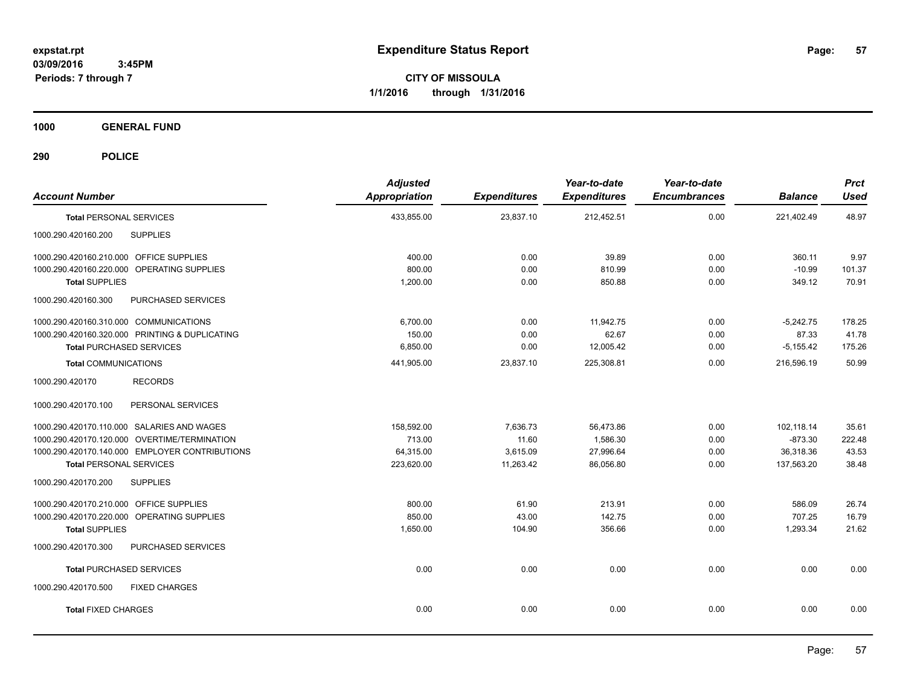**CITY OF MISSOULA 1/1/2016 through 1/31/2016**

**1000 GENERAL FUND**

| <b>Account Number</b>                          |                           | <b>Adjusted</b><br><b>Appropriation</b> | <b>Expenditures</b> | Year-to-date<br><b>Expenditures</b> | Year-to-date<br><b>Encumbrances</b> | <b>Balance</b> | <b>Prct</b><br><b>Used</b> |
|------------------------------------------------|---------------------------|-----------------------------------------|---------------------|-------------------------------------|-------------------------------------|----------------|----------------------------|
| <b>Total PERSONAL SERVICES</b>                 |                           | 433,855.00                              | 23,837.10           | 212,452.51                          | 0.00                                | 221,402.49     | 48.97                      |
| 1000.290.420160.200<br><b>SUPPLIES</b>         |                           |                                         |                     |                                     |                                     |                |                            |
| 1000.290.420160.210.000 OFFICE SUPPLIES        |                           | 400.00                                  | 0.00                | 39.89                               | 0.00                                | 360.11         | 9.97                       |
| 1000.290.420160.220.000 OPERATING SUPPLIES     |                           | 800.00                                  | 0.00                | 810.99                              | 0.00                                | $-10.99$       | 101.37                     |
| <b>Total SUPPLIES</b>                          |                           | 1,200.00                                | 0.00                | 850.88                              | 0.00                                | 349.12         | 70.91                      |
| 1000.290.420160.300                            | <b>PURCHASED SERVICES</b> |                                         |                     |                                     |                                     |                |                            |
| 1000.290.420160.310.000 COMMUNICATIONS         |                           | 6,700.00                                | 0.00                | 11,942.75                           | 0.00                                | $-5,242.75$    | 178.25                     |
| 1000.290.420160.320.000 PRINTING & DUPLICATING |                           | 150.00                                  | 0.00                | 62.67                               | 0.00                                | 87.33          | 41.78                      |
| <b>Total PURCHASED SERVICES</b>                |                           | 6,850.00                                | 0.00                | 12,005.42                           | 0.00                                | $-5,155.42$    | 175.26                     |
| <b>Total COMMUNICATIONS</b>                    |                           | 441,905.00                              | 23,837.10           | 225,308.81                          | 0.00                                | 216,596.19     | 50.99                      |
| 1000.290.420170                                | <b>RECORDS</b>            |                                         |                     |                                     |                                     |                |                            |
| 1000.290.420170.100                            | PERSONAL SERVICES         |                                         |                     |                                     |                                     |                |                            |
| 1000.290.420170.110.000 SALARIES AND WAGES     |                           | 158,592.00                              | 7,636.73            | 56,473.86                           | 0.00                                | 102,118.14     | 35.61                      |
| 1000.290.420170.120.000 OVERTIME/TERMINATION   |                           | 713.00                                  | 11.60               | 1,586.30                            | 0.00                                | $-873.30$      | 222.48                     |
| 1000.290.420170.140.000 EMPLOYER CONTRIBUTIONS |                           | 64,315.00                               | 3,615.09            | 27,996.64                           | 0.00                                | 36,318.36      | 43.53                      |
| <b>Total PERSONAL SERVICES</b>                 |                           | 223,620.00                              | 11,263.42           | 86,056.80                           | 0.00                                | 137,563.20     | 38.48                      |
| 1000.290.420170.200<br><b>SUPPLIES</b>         |                           |                                         |                     |                                     |                                     |                |                            |
| 1000.290.420170.210.000 OFFICE SUPPLIES        |                           | 800.00                                  | 61.90               | 213.91                              | 0.00                                | 586.09         | 26.74                      |
| 1000.290.420170.220.000 OPERATING SUPPLIES     |                           | 850.00                                  | 43.00               | 142.75                              | 0.00                                | 707.25         | 16.79                      |
| <b>Total SUPPLIES</b>                          |                           | 1,650.00                                | 104.90              | 356.66                              | 0.00                                | 1,293.34       | 21.62                      |
| 1000.290.420170.300                            | PURCHASED SERVICES        |                                         |                     |                                     |                                     |                |                            |
| <b>Total PURCHASED SERVICES</b>                |                           | 0.00                                    | 0.00                | 0.00                                | 0.00                                | 0.00           | 0.00                       |
| 1000.290.420170.500                            | <b>FIXED CHARGES</b>      |                                         |                     |                                     |                                     |                |                            |
| <b>Total FIXED CHARGES</b>                     |                           | 0.00                                    | 0.00                | 0.00                                | 0.00                                | 0.00           | 0.00                       |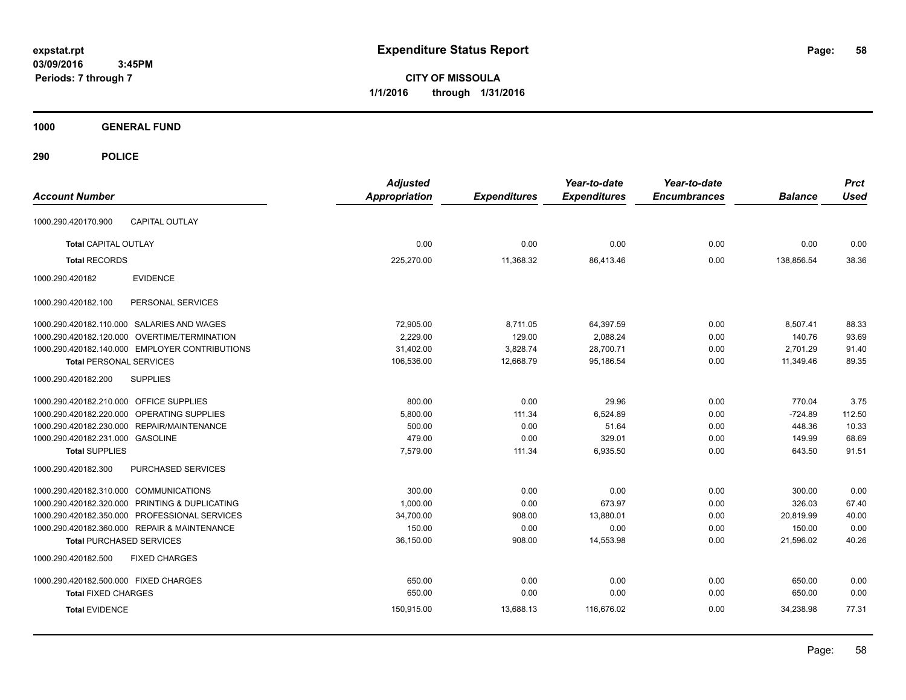**CITY OF MISSOULA 1/1/2016 through 1/31/2016**

**1000 GENERAL FUND**

| <b>Account Number</b>                            | <b>Adjusted</b><br><b>Appropriation</b> | <b>Expenditures</b> | Year-to-date<br><b>Expenditures</b> | Year-to-date<br><b>Encumbrances</b> | <b>Balance</b> | <b>Prct</b><br><b>Used</b> |
|--------------------------------------------------|-----------------------------------------|---------------------|-------------------------------------|-------------------------------------|----------------|----------------------------|
| <b>CAPITAL OUTLAY</b><br>1000.290.420170.900     |                                         |                     |                                     |                                     |                |                            |
| <b>Total CAPITAL OUTLAY</b>                      | 0.00                                    | 0.00                | 0.00                                | 0.00                                | 0.00           | 0.00                       |
| <b>Total RECORDS</b>                             | 225,270.00                              | 11,368.32           | 86,413.46                           | 0.00                                | 138,856.54     | 38.36                      |
| <b>EVIDENCE</b><br>1000.290.420182               |                                         |                     |                                     |                                     |                |                            |
| PERSONAL SERVICES<br>1000.290.420182.100         |                                         |                     |                                     |                                     |                |                            |
| 1000.290.420182.110.000 SALARIES AND WAGES       | 72,905.00                               | 8,711.05            | 64,397.59                           | 0.00                                | 8,507.41       | 88.33                      |
| 1000.290.420182.120.000 OVERTIME/TERMINATION     | 2,229.00                                | 129.00              | 2,088.24                            | 0.00                                | 140.76         | 93.69                      |
| 1000.290.420182.140.000 EMPLOYER CONTRIBUTIONS   | 31,402.00                               | 3,828.74            | 28,700.71                           | 0.00                                | 2,701.29       | 91.40                      |
| <b>Total PERSONAL SERVICES</b>                   | 106,536.00                              | 12,668.79           | 95,186.54                           | 0.00                                | 11,349.46      | 89.35                      |
| <b>SUPPLIES</b><br>1000.290.420182.200           |                                         |                     |                                     |                                     |                |                            |
| 1000.290.420182.210.000 OFFICE SUPPLIES          | 800.00                                  | 0.00                | 29.96                               | 0.00                                | 770.04         | 3.75                       |
| OPERATING SUPPLIES<br>1000.290.420182.220.000    | 5,800.00                                | 111.34              | 6,524.89                            | 0.00                                | $-724.89$      | 112.50                     |
| 1000.290.420182.230.000 REPAIR/MAINTENANCE       | 500.00                                  | 0.00                | 51.64                               | 0.00                                | 448.36         | 10.33                      |
| 1000.290.420182.231.000 GASOLINE                 | 479.00                                  | 0.00                | 329.01                              | 0.00                                | 149.99         | 68.69                      |
| <b>Total SUPPLIES</b>                            | 7,579.00                                | 111.34              | 6,935.50                            | 0.00                                | 643.50         | 91.51                      |
| <b>PURCHASED SERVICES</b><br>1000.290.420182.300 |                                         |                     |                                     |                                     |                |                            |
| 1000.290.420182.310.000 COMMUNICATIONS           | 300.00                                  | 0.00                | 0.00                                | 0.00                                | 300.00         | 0.00                       |
| 1000.290.420182.320.000 PRINTING & DUPLICATING   | 1.000.00                                | 0.00                | 673.97                              | 0.00                                | 326.03         | 67.40                      |
| 1000.290.420182.350.000 PROFESSIONAL SERVICES    | 34,700.00                               | 908.00              | 13,880.01                           | 0.00                                | 20,819.99      | 40.00                      |
| 1000.290.420182.360.000 REPAIR & MAINTENANCE     | 150.00                                  | 0.00                | 0.00                                | 0.00                                | 150.00         | 0.00                       |
| <b>Total PURCHASED SERVICES</b>                  | 36,150.00                               | 908.00              | 14,553.98                           | 0.00                                | 21,596.02      | 40.26                      |
| 1000.290.420182.500<br><b>FIXED CHARGES</b>      |                                         |                     |                                     |                                     |                |                            |
| 1000.290.420182.500.000 FIXED CHARGES            | 650.00                                  | 0.00                | 0.00                                | 0.00                                | 650.00         | 0.00                       |
| <b>Total FIXED CHARGES</b>                       | 650.00                                  | 0.00                | 0.00                                | 0.00                                | 650.00         | 0.00                       |
| <b>Total EVIDENCE</b>                            | 150,915.00                              | 13,688.13           | 116,676.02                          | 0.00                                | 34,238.98      | 77.31                      |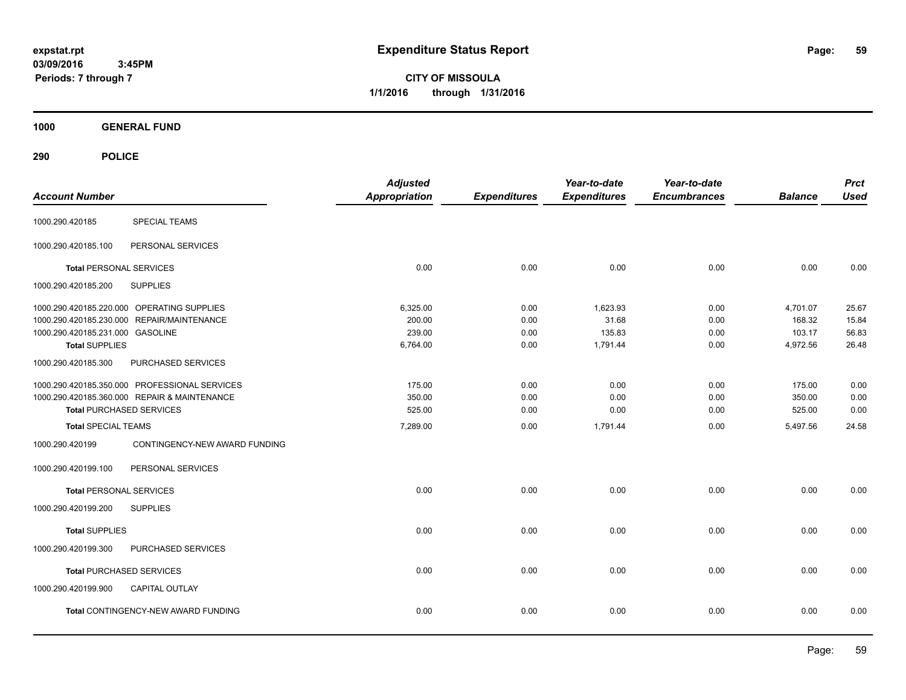**CITY OF MISSOULA 1/1/2016 through 1/31/2016**

**1000 GENERAL FUND**

| <b>Account Number</b>                            | <b>Adjusted</b><br><b>Appropriation</b> | <b>Expenditures</b> | Year-to-date<br><b>Expenditures</b> | Year-to-date<br><b>Encumbrances</b> | <b>Balance</b> | <b>Prct</b><br><b>Used</b> |
|--------------------------------------------------|-----------------------------------------|---------------------|-------------------------------------|-------------------------------------|----------------|----------------------------|
| <b>SPECIAL TEAMS</b><br>1000.290.420185          |                                         |                     |                                     |                                     |                |                            |
| 1000.290.420185.100<br>PERSONAL SERVICES         |                                         |                     |                                     |                                     |                |                            |
| <b>Total PERSONAL SERVICES</b>                   | 0.00                                    | 0.00                | 0.00                                | 0.00                                | 0.00           | 0.00                       |
| 1000.290.420185.200<br><b>SUPPLIES</b>           |                                         |                     |                                     |                                     |                |                            |
| 1000.290.420185.220.000 OPERATING SUPPLIES       | 6,325.00                                | 0.00                | 1,623.93                            | 0.00                                | 4,701.07       | 25.67                      |
| 1000.290.420185.230.000 REPAIR/MAINTENANCE       | 200.00                                  | 0.00                | 31.68                               | 0.00                                | 168.32         | 15.84                      |
| 1000.290.420185.231.000 GASOLINE                 | 239.00                                  | 0.00                | 135.83                              | 0.00                                | 103.17         | 56.83                      |
| <b>Total SUPPLIES</b>                            | 6,764.00                                | 0.00                | 1,791.44                            | 0.00                                | 4,972.56       | 26.48                      |
| PURCHASED SERVICES<br>1000.290.420185.300        |                                         |                     |                                     |                                     |                |                            |
| 1000.290.420185.350.000 PROFESSIONAL SERVICES    | 175.00                                  | 0.00                | 0.00                                | 0.00                                | 175.00         | 0.00                       |
| 1000.290.420185.360.000 REPAIR & MAINTENANCE     | 350.00                                  | 0.00                | 0.00                                | 0.00                                | 350.00         | 0.00                       |
| <b>Total PURCHASED SERVICES</b>                  | 525.00                                  | 0.00                | 0.00                                | 0.00                                | 525.00         | 0.00                       |
| <b>Total SPECIAL TEAMS</b>                       | 7,289.00                                | 0.00                | 1,791.44                            | 0.00                                | 5,497.56       | 24.58                      |
| 1000.290.420199<br>CONTINGENCY-NEW AWARD FUNDING |                                         |                     |                                     |                                     |                |                            |
| PERSONAL SERVICES<br>1000.290.420199.100         |                                         |                     |                                     |                                     |                |                            |
| <b>Total PERSONAL SERVICES</b>                   | 0.00                                    | 0.00                | 0.00                                | 0.00                                | 0.00           | 0.00                       |
| <b>SUPPLIES</b><br>1000.290.420199.200           |                                         |                     |                                     |                                     |                |                            |
| <b>Total SUPPLIES</b>                            | 0.00                                    | 0.00                | 0.00                                | 0.00                                | 0.00           | 0.00                       |
| PURCHASED SERVICES<br>1000.290.420199.300        |                                         |                     |                                     |                                     |                |                            |
| <b>Total PURCHASED SERVICES</b>                  | 0.00                                    | 0.00                | 0.00                                | 0.00                                | 0.00           | 0.00                       |
| 1000.290.420199.900<br><b>CAPITAL OUTLAY</b>     |                                         |                     |                                     |                                     |                |                            |
| Total CONTINGENCY-NEW AWARD FUNDING              | 0.00                                    | 0.00                | 0.00                                | 0.00                                | 0.00           | 0.00                       |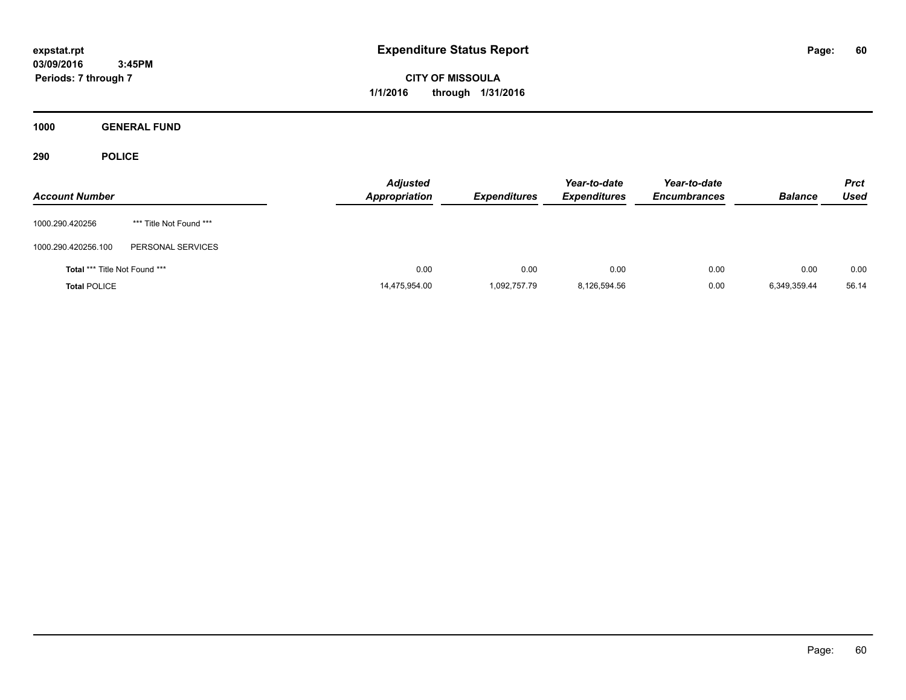**CITY OF MISSOULA 1/1/2016 through 1/31/2016**

**1000 GENERAL FUND**

| <b>Account Number</b>                |                         | <b>Adjusted</b><br><b>Appropriation</b> | <b>Expenditures</b> | Year-to-date<br><b>Expenditures</b> | Year-to-date<br><b>Encumbrances</b> | <b>Balance</b> | <b>Prct</b><br>Used |
|--------------------------------------|-------------------------|-----------------------------------------|---------------------|-------------------------------------|-------------------------------------|----------------|---------------------|
| 1000.290.420256                      | *** Title Not Found *** |                                         |                     |                                     |                                     |                |                     |
| 1000.290.420256.100                  | PERSONAL SERVICES       |                                         |                     |                                     |                                     |                |                     |
| <b>Total *** Title Not Found ***</b> |                         | 0.00                                    | 0.00                | 0.00                                | 0.00                                | 0.00           | 0.00                |
| <b>Total POLICE</b>                  |                         | 14,475,954.00                           | 1.092.757.79        | 8,126,594.56                        | 0.00                                | 6,349,359.44   | 56.14               |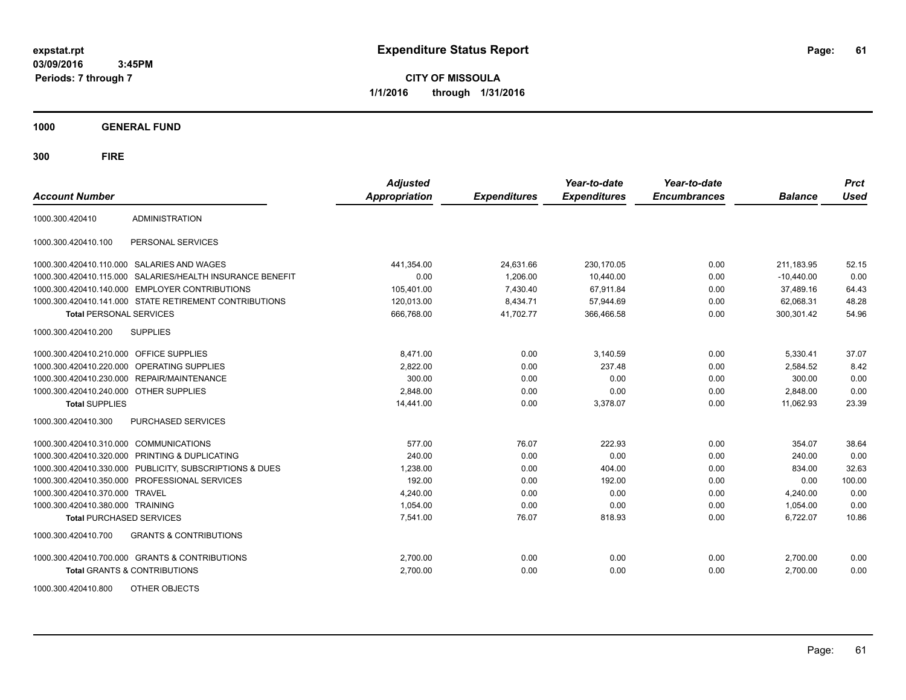**CITY OF MISSOULA 1/1/2016 through 1/31/2016**

**1000 GENERAL FUND**

| <b>Account Number</b>                   |                                                         | <b>Adjusted</b><br><b>Appropriation</b> | <b>Expenditures</b> | Year-to-date<br><b>Expenditures</b> | Year-to-date<br><b>Encumbrances</b> | <b>Balance</b> | <b>Prct</b><br><b>Used</b> |
|-----------------------------------------|---------------------------------------------------------|-----------------------------------------|---------------------|-------------------------------------|-------------------------------------|----------------|----------------------------|
| 1000.300.420410                         | <b>ADMINISTRATION</b>                                   |                                         |                     |                                     |                                     |                |                            |
| 1000.300.420410.100                     | PERSONAL SERVICES                                       |                                         |                     |                                     |                                     |                |                            |
|                                         | 1000.300.420410.110.000 SALARIES AND WAGES              | 441,354.00                              | 24,631.66           | 230,170.05                          | 0.00                                | 211,183.95     | 52.15                      |
| 1000.300.420410.115.000                 | SALARIES/HEALTH INSURANCE BENEFIT                       | 0.00                                    | 1,206.00            | 10,440.00                           | 0.00                                | $-10,440.00$   | 0.00                       |
|                                         | 1000.300.420410.140.000 EMPLOYER CONTRIBUTIONS          | 105,401.00                              | 7,430.40            | 67.911.84                           | 0.00                                | 37,489.16      | 64.43                      |
|                                         | 1000.300.420410.141.000 STATE RETIREMENT CONTRIBUTIONS  | 120,013.00                              | 8,434.71            | 57,944.69                           | 0.00                                | 62,068.31      | 48.28                      |
| <b>Total PERSONAL SERVICES</b>          |                                                         | 666,768.00                              | 41,702.77           | 366,466.58                          | 0.00                                | 300,301.42     | 54.96                      |
| 1000.300.420410.200                     | <b>SUPPLIES</b>                                         |                                         |                     |                                     |                                     |                |                            |
| 1000.300.420410.210.000 OFFICE SUPPLIES |                                                         | 8.471.00                                | 0.00                | 3,140.59                            | 0.00                                | 5.330.41       | 37.07                      |
|                                         | 1000.300.420410.220.000 OPERATING SUPPLIES              | 2,822.00                                | 0.00                | 237.48                              | 0.00                                | 2,584.52       | 8.42                       |
|                                         | 1000.300.420410.230.000 REPAIR/MAINTENANCE              | 300.00                                  | 0.00                | 0.00                                | 0.00                                | 300.00         | 0.00                       |
| 1000.300.420410.240.000 OTHER SUPPLIES  |                                                         | 2.848.00                                | 0.00                | 0.00                                | 0.00                                | 2.848.00       | 0.00                       |
| <b>Total SUPPLIES</b>                   |                                                         | 14,441.00                               | 0.00                | 3,378.07                            | 0.00                                | 11,062.93      | 23.39                      |
| 1000.300.420410.300                     | PURCHASED SERVICES                                      |                                         |                     |                                     |                                     |                |                            |
| 1000.300.420410.310.000                 | <b>COMMUNICATIONS</b>                                   | 577.00                                  | 76.07               | 222.93                              | 0.00                                | 354.07         | 38.64                      |
|                                         | 1000.300.420410.320.000 PRINTING & DUPLICATING          | 240.00                                  | 0.00                | 0.00                                | 0.00                                | 240.00         | 0.00                       |
|                                         | 1000.300.420410.330.000 PUBLICITY, SUBSCRIPTIONS & DUES | 1,238.00                                | 0.00                | 404.00                              | 0.00                                | 834.00         | 32.63                      |
| 1000.300.420410.350.000                 | PROFESSIONAL SERVICES                                   | 192.00                                  | 0.00                | 192.00                              | 0.00                                | 0.00           | 100.00                     |
| 1000.300.420410.370.000                 | <b>TRAVEL</b>                                           | 4,240.00                                | 0.00                | 0.00                                | 0.00                                | 4,240.00       | 0.00                       |
| 1000.300.420410.380.000 TRAINING        |                                                         | 1,054.00                                | 0.00                | 0.00                                | 0.00                                | 1,054.00       | 0.00                       |
| <b>Total PURCHASED SERVICES</b>         |                                                         | 7,541.00                                | 76.07               | 818.93                              | 0.00                                | 6,722.07       | 10.86                      |
| 1000.300.420410.700                     | <b>GRANTS &amp; CONTRIBUTIONS</b>                       |                                         |                     |                                     |                                     |                |                            |
|                                         | 1000.300.420410.700.000 GRANTS & CONTRIBUTIONS          | 2,700.00                                | 0.00                | 0.00                                | 0.00                                | 2,700.00       | 0.00                       |
|                                         | Total GRANTS & CONTRIBUTIONS                            | 2,700.00                                | 0.00                | 0.00                                | 0.00                                | 2,700.00       | 0.00                       |
| 1000.300.420410.800                     | OTHER OBJECTS                                           |                                         |                     |                                     |                                     |                |                            |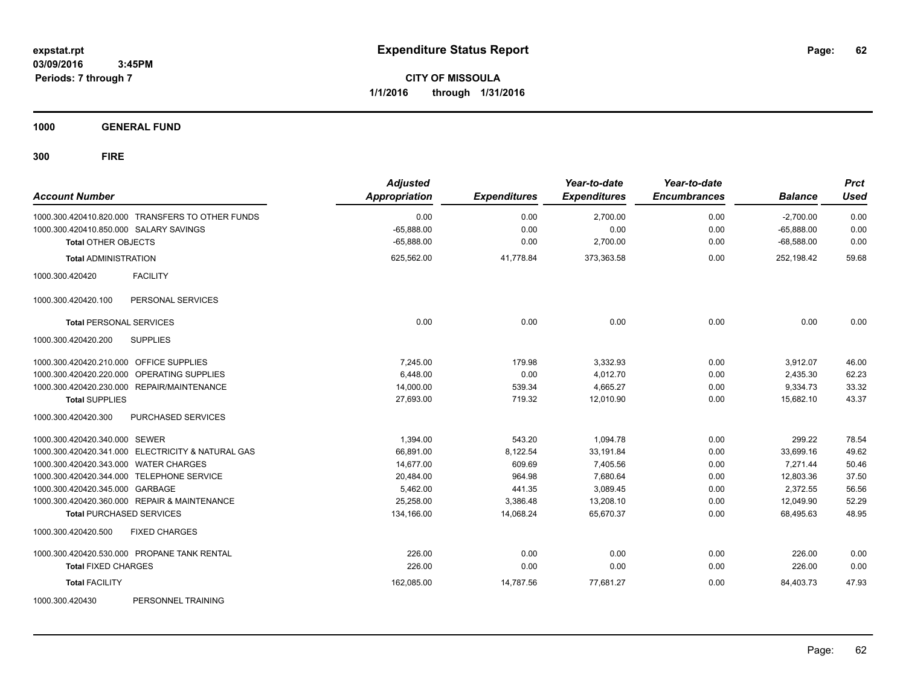**CITY OF MISSOULA 1/1/2016 through 1/31/2016**

**1000 GENERAL FUND**

| <b>Account Number</b>                             | <b>Adjusted</b><br><b>Appropriation</b> | <b>Expenditures</b> | Year-to-date<br><b>Expenditures</b> | Year-to-date<br><b>Encumbrances</b> | <b>Balance</b> | <b>Prct</b><br><b>Used</b> |
|---------------------------------------------------|-----------------------------------------|---------------------|-------------------------------------|-------------------------------------|----------------|----------------------------|
| 1000.300.420410.820.000 TRANSFERS TO OTHER FUNDS  | 0.00                                    | 0.00                | 2,700.00                            | 0.00                                | $-2,700.00$    | 0.00                       |
| 1000.300.420410.850.000 SALARY SAVINGS            | $-65,888.00$                            | 0.00                | 0.00                                | 0.00                                | $-65,888.00$   | 0.00                       |
| <b>Total OTHER OBJECTS</b>                        | $-65,888.00$                            | 0.00                | 2,700.00                            | 0.00                                | $-68,588.00$   | 0.00                       |
| <b>Total ADMINISTRATION</b>                       | 625,562.00                              | 41,778.84           | 373,363.58                          | 0.00                                | 252,198.42     | 59.68                      |
| <b>FACILITY</b><br>1000.300.420420                |                                         |                     |                                     |                                     |                |                            |
| 1000.300.420420.100<br>PERSONAL SERVICES          |                                         |                     |                                     |                                     |                |                            |
| <b>Total PERSONAL SERVICES</b>                    | 0.00                                    | 0.00                | 0.00                                | 0.00                                | 0.00           | 0.00                       |
| 1000.300.420420.200<br><b>SUPPLIES</b>            |                                         |                     |                                     |                                     |                |                            |
| 1000.300.420420.210.000 OFFICE SUPPLIES           | 7.245.00                                | 179.98              | 3,332.93                            | 0.00                                | 3,912.07       | 46.00                      |
| 1000.300.420420.220.000<br>OPERATING SUPPLIES     | 6,448.00                                | 0.00                | 4,012.70                            | 0.00                                | 2,435.30       | 62.23                      |
| 1000.300.420420.230.000 REPAIR/MAINTENANCE        | 14,000.00                               | 539.34              | 4,665.27                            | 0.00                                | 9,334.73       | 33.32                      |
| <b>Total SUPPLIES</b>                             | 27,693.00                               | 719.32              | 12,010.90                           | 0.00                                | 15,682.10      | 43.37                      |
| 1000.300.420420.300<br><b>PURCHASED SERVICES</b>  |                                         |                     |                                     |                                     |                |                            |
| 1000.300.420420.340.000 SEWER                     | 1,394.00                                | 543.20              | 1,094.78                            | 0.00                                | 299.22         | 78.54                      |
| 1000.300.420420.341.000 ELECTRICITY & NATURAL GAS | 66,891.00                               | 8,122.54            | 33,191.84                           | 0.00                                | 33,699.16      | 49.62                      |
| 1000.300.420420.343.000 WATER CHARGES             | 14,677.00                               | 609.69              | 7,405.56                            | 0.00                                | 7.271.44       | 50.46                      |
| 1000.300.420420.344.000 TELEPHONE SERVICE         | 20,484.00                               | 964.98              | 7,680.64                            | 0.00                                | 12,803.36      | 37.50                      |
| 1000.300.420420.345.000 GARBAGE                   | 5,462.00                                | 441.35              | 3,089.45                            | 0.00                                | 2,372.55       | 56.56                      |
| 1000.300.420420.360.000 REPAIR & MAINTENANCE      | 25,258.00                               | 3,386.48            | 13,208.10                           | 0.00                                | 12,049.90      | 52.29                      |
| <b>Total PURCHASED SERVICES</b>                   | 134,166.00                              | 14,068.24           | 65,670.37                           | 0.00                                | 68,495.63      | 48.95                      |
| <b>FIXED CHARGES</b><br>1000.300.420420.500       |                                         |                     |                                     |                                     |                |                            |
| 1000.300.420420.530.000 PROPANE TANK RENTAL       | 226.00                                  | 0.00                | 0.00                                | 0.00                                | 226.00         | 0.00                       |
| <b>Total FIXED CHARGES</b>                        | 226.00                                  | 0.00                | 0.00                                | 0.00                                | 226.00         | 0.00                       |
| <b>Total FACILITY</b>                             | 162,085.00                              | 14,787.56           | 77,681.27                           | 0.00                                | 84.403.73      | 47.93                      |
| 1000.300.420430<br>PERSONNEL TRAINING             |                                         |                     |                                     |                                     |                |                            |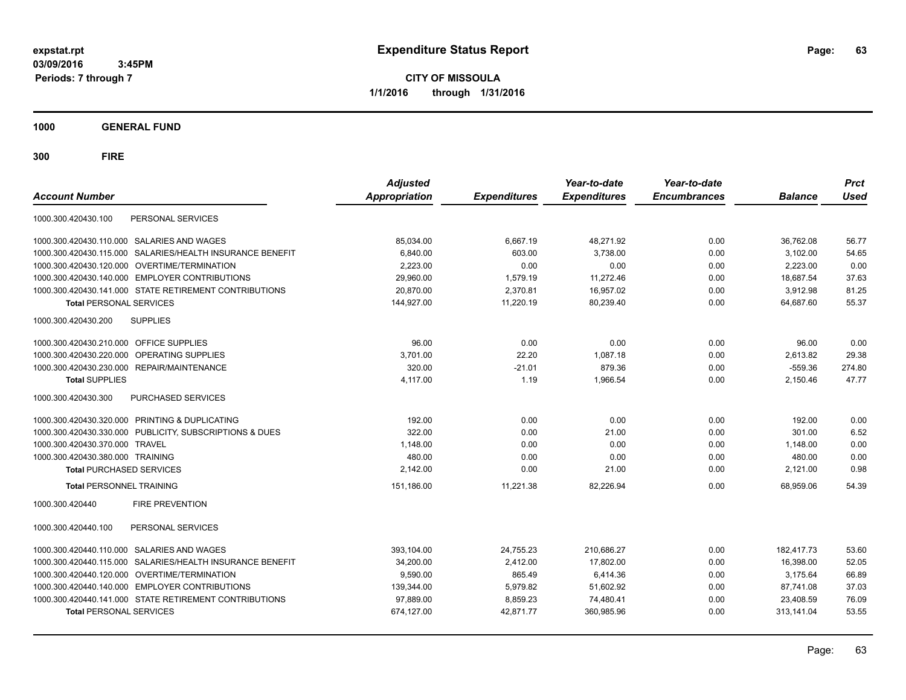**CITY OF MISSOULA 1/1/2016 through 1/31/2016**

**1000 GENERAL FUND**

| <b>Account Number</b>                                     | <b>Adjusted</b><br><b>Appropriation</b> | <b>Expenditures</b> | Year-to-date<br><b>Expenditures</b> | Year-to-date<br><b>Encumbrances</b> | <b>Balance</b> | <b>Prct</b><br><b>Used</b> |
|-----------------------------------------------------------|-----------------------------------------|---------------------|-------------------------------------|-------------------------------------|----------------|----------------------------|
| PERSONAL SERVICES<br>1000.300.420430.100                  |                                         |                     |                                     |                                     |                |                            |
| 1000.300.420430.110.000 SALARIES AND WAGES                | 85,034.00                               | 6.667.19            | 48.271.92                           | 0.00                                | 36.762.08      | 56.77                      |
| 1000.300.420430.115.000 SALARIES/HEALTH INSURANCE BENEFIT | 6.840.00                                | 603.00              | 3.738.00                            | 0.00                                | 3,102.00       | 54.65                      |
| 1000.300.420430.120.000 OVERTIME/TERMINATION              | 2,223.00                                | 0.00                | 0.00                                | 0.00                                | 2,223.00       | 0.00                       |
| 1000.300.420430.140.000 EMPLOYER CONTRIBUTIONS            | 29,960.00                               | 1,579.19            | 11,272.46                           | 0.00                                | 18,687.54      | 37.63                      |
| 1000.300.420430.141.000 STATE RETIREMENT CONTRIBUTIONS    | 20,870.00                               | 2,370.81            | 16,957.02                           | 0.00                                | 3,912.98       | 81.25                      |
| <b>Total PERSONAL SERVICES</b>                            | 144.927.00                              | 11.220.19           | 80.239.40                           | 0.00                                | 64.687.60      | 55.37                      |
| 1000.300.420430.200<br><b>SUPPLIES</b>                    |                                         |                     |                                     |                                     |                |                            |
| 1000.300.420430.210.000 OFFICE SUPPLIES                   | 96.00                                   | 0.00                | 0.00                                | 0.00                                | 96.00          | 0.00                       |
| 1000.300.420430.220.000 OPERATING SUPPLIES                | 3.701.00                                | 22.20               | 1.087.18                            | 0.00                                | 2.613.82       | 29.38                      |
| 1000.300.420430.230.000 REPAIR/MAINTENANCE                | 320.00                                  | $-21.01$            | 879.36                              | 0.00                                | $-559.36$      | 274.80                     |
| <b>Total SUPPLIES</b>                                     | 4,117.00                                | 1.19                | 1,966.54                            | 0.00                                | 2,150.46       | 47.77                      |
| PURCHASED SERVICES<br>1000.300.420430.300                 |                                         |                     |                                     |                                     |                |                            |
| 1000.300.420430.320.000 PRINTING & DUPLICATING            | 192.00                                  | 0.00                | 0.00                                | 0.00                                | 192.00         | 0.00                       |
| 1000.300.420430.330.000 PUBLICITY, SUBSCRIPTIONS & DUES   | 322.00                                  | 0.00                | 21.00                               | 0.00                                | 301.00         | 6.52                       |
| 1000.300.420430.370.000 TRAVEL                            | 1,148.00                                | 0.00                | 0.00                                | 0.00                                | 1,148.00       | 0.00                       |
| 1000.300.420430.380.000 TRAINING                          | 480.00                                  | 0.00                | 0.00                                | 0.00                                | 480.00         | 0.00                       |
| <b>Total PURCHASED SERVICES</b>                           | 2,142.00                                | 0.00                | 21.00                               | 0.00                                | 2,121.00       | 0.98                       |
| <b>Total PERSONNEL TRAINING</b>                           | 151,186.00                              | 11,221.38           | 82,226.94                           | 0.00                                | 68,959.06      | 54.39                      |
| 1000.300.420440<br><b>FIRE PREVENTION</b>                 |                                         |                     |                                     |                                     |                |                            |
| PERSONAL SERVICES<br>1000.300.420440.100                  |                                         |                     |                                     |                                     |                |                            |
| 1000.300.420440.110.000 SALARIES AND WAGES                | 393,104.00                              | 24,755.23           | 210,686.27                          | 0.00                                | 182.417.73     | 53.60                      |
| 1000.300.420440.115.000 SALARIES/HEALTH INSURANCE BENEFIT | 34,200.00                               | 2,412.00            | 17,802.00                           | 0.00                                | 16,398.00      | 52.05                      |
| 1000.300.420440.120.000 OVERTIME/TERMINATION              | 9,590.00                                | 865.49              | 6,414.36                            | 0.00                                | 3,175.64       | 66.89                      |
| 1000.300.420440.140.000 EMPLOYER CONTRIBUTIONS            | 139,344.00                              | 5,979.82            | 51,602.92                           | 0.00                                | 87,741.08      | 37.03                      |
| 1000.300.420440.141.000 STATE RETIREMENT CONTRIBUTIONS    | 97,889.00                               | 8,859.23            | 74,480.41                           | 0.00                                | 23,408.59      | 76.09                      |
| <b>Total PERSONAL SERVICES</b>                            | 674,127.00                              | 42,871.77           | 360,985.96                          | 0.00                                | 313,141.04     | 53.55                      |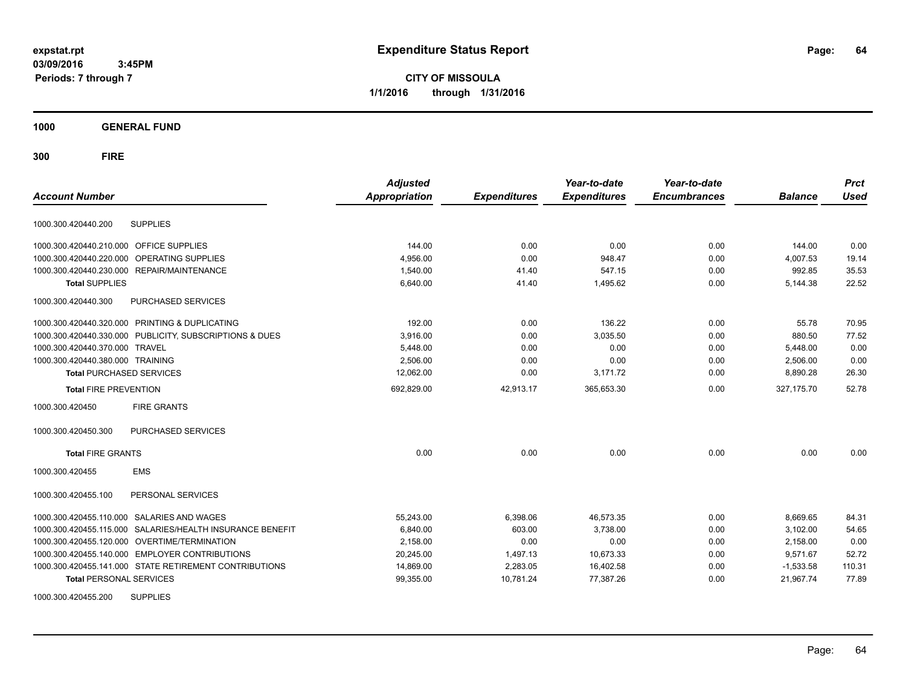**CITY OF MISSOULA 1/1/2016 through 1/31/2016**

**1000 GENERAL FUND**

**300 FIRE**

| <b>Account Number</b>                                        | <b>Adjusted</b><br>Appropriation | <b>Expenditures</b> | Year-to-date<br><b>Expenditures</b> | Year-to-date<br><b>Encumbrances</b> | <b>Balance</b> | <b>Prct</b><br><b>Used</b> |
|--------------------------------------------------------------|----------------------------------|---------------------|-------------------------------------|-------------------------------------|----------------|----------------------------|
|                                                              |                                  |                     |                                     |                                     |                |                            |
| <b>SUPPLIES</b><br>1000.300.420440.200                       |                                  |                     |                                     |                                     |                |                            |
| 1000.300.420440.210.000 OFFICE SUPPLIES                      | 144.00                           | 0.00                | 0.00                                | 0.00                                | 144.00         | 0.00                       |
| OPERATING SUPPLIES<br>1000.300.420440.220.000                | 4,956.00                         | 0.00                | 948.47                              | 0.00                                | 4,007.53       | 19.14                      |
| 1000.300.420440.230.000 REPAIR/MAINTENANCE                   | 1,540.00                         | 41.40               | 547.15                              | 0.00                                | 992.85         | 35.53                      |
| <b>Total SUPPLIES</b>                                        | 6,640.00                         | 41.40               | 1,495.62                            | 0.00                                | 5,144.38       | 22.52                      |
| 1000.300.420440.300<br>PURCHASED SERVICES                    |                                  |                     |                                     |                                     |                |                            |
| 1000.300.420440.320.000 PRINTING & DUPLICATING               | 192.00                           | 0.00                | 136.22                              | 0.00                                | 55.78          | 70.95                      |
| 1000.300.420440.330.000 PUBLICITY, SUBSCRIPTIONS & DUES      | 3.916.00                         | 0.00                | 3.035.50                            | 0.00                                | 880.50         | 77.52                      |
| 1000.300.420440.370.000<br><b>TRAVEL</b>                     | 5,448.00                         | 0.00                | 0.00                                | 0.00                                | 5,448.00       | 0.00                       |
| 1000.300.420440.380.000 TRAINING                             | 2,506.00                         | 0.00                | 0.00                                | 0.00                                | 2,506.00       | 0.00                       |
| <b>Total PURCHASED SERVICES</b>                              | 12,062.00                        | 0.00                | 3,171.72                            | 0.00                                | 8,890.28       | 26.30                      |
| <b>Total FIRE PREVENTION</b>                                 | 692,829.00                       | 42,913.17           | 365,653.30                          | 0.00                                | 327, 175.70    | 52.78                      |
| 1000.300.420450<br><b>FIRE GRANTS</b>                        |                                  |                     |                                     |                                     |                |                            |
| 1000.300.420450.300<br>PURCHASED SERVICES                    |                                  |                     |                                     |                                     |                |                            |
| <b>Total FIRE GRANTS</b>                                     | 0.00                             | 0.00                | 0.00                                | 0.00                                | 0.00           | 0.00                       |
| <b>EMS</b><br>1000.300.420455                                |                                  |                     |                                     |                                     |                |                            |
| PERSONAL SERVICES<br>1000.300.420455.100                     |                                  |                     |                                     |                                     |                |                            |
| 1000.300.420455.110.000 SALARIES AND WAGES                   | 55,243.00                        | 6,398.06            | 46,573.35                           | 0.00                                | 8,669.65       | 84.31                      |
| SALARIES/HEALTH INSURANCE BENEFIT<br>1000.300.420455.115.000 | 6,840.00                         | 603.00              | 3,738.00                            | 0.00                                | 3,102.00       | 54.65                      |
| 1000.300.420455.120.000 OVERTIME/TERMINATION                 | 2,158.00                         | 0.00                | 0.00                                | 0.00                                | 2,158.00       | 0.00                       |
| 1000.300.420455.140.000 EMPLOYER CONTRIBUTIONS               | 20,245.00                        | 1,497.13            | 10,673.33                           | 0.00                                | 9,571.67       | 52.72                      |
| 1000.300.420455.141.000 STATE RETIREMENT CONTRIBUTIONS       | 14,869.00                        | 2,283.05            | 16,402.58                           | 0.00                                | $-1,533.58$    | 110.31                     |
| <b>Total PERSONAL SERVICES</b>                               | 99,355.00                        | 10,781.24           | 77,387.26                           | 0.00                                | 21,967.74      | 77.89                      |
| 4000.300.4904FF.300 CUPBUEC                                  |                                  |                     |                                     |                                     |                |                            |

1000.300.420455.200 SUPPLIES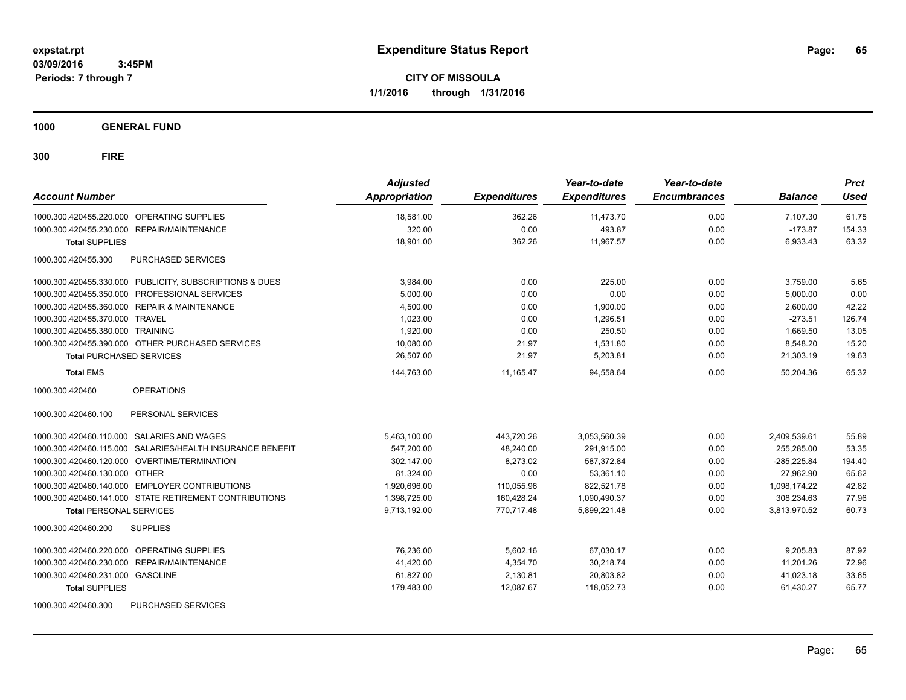**CITY OF MISSOULA 1/1/2016 through 1/31/2016**

**1000 GENERAL FUND**

| <b>Account Number</b>                                     | <b>Adjusted</b><br>Appropriation | <b>Expenditures</b> | Year-to-date<br><b>Expenditures</b> | Year-to-date<br><b>Encumbrances</b> | <b>Balance</b> | <b>Prct</b><br><b>Used</b> |
|-----------------------------------------------------------|----------------------------------|---------------------|-------------------------------------|-------------------------------------|----------------|----------------------------|
| 1000.300.420455.220.000 OPERATING SUPPLIES                | 18.581.00                        | 362.26              | 11.473.70                           | 0.00                                | 7,107.30       | 61.75                      |
| 1000.300.420455.230.000 REPAIR/MAINTENANCE                | 320.00                           | 0.00                | 493.87                              | 0.00                                | $-173.87$      | 154.33                     |
| <b>Total SUPPLIES</b>                                     | 18.901.00                        | 362.26              | 11.967.57                           | 0.00                                | 6,933.43       | 63.32                      |
| PURCHASED SERVICES<br>1000.300.420455.300                 |                                  |                     |                                     |                                     |                |                            |
| 1000.300.420455.330.000 PUBLICITY, SUBSCRIPTIONS & DUES   | 3.984.00                         | 0.00                | 225.00                              | 0.00                                | 3,759.00       | 5.65                       |
| 1000.300.420455.350.000 PROFESSIONAL SERVICES             | 5,000.00                         | 0.00                | 0.00                                | 0.00                                | 5,000.00       | 0.00                       |
| 1000.300.420455.360.000 REPAIR & MAINTENANCE              | 4,500.00                         | 0.00                | 1,900.00                            | 0.00                                | 2,600.00       | 42.22                      |
| 1000.300.420455.370.000 TRAVEL                            | 1,023.00                         | 0.00                | 1.296.51                            | 0.00                                | $-273.51$      | 126.74                     |
| 1000.300.420455.380.000 TRAINING                          | 1,920.00                         | 0.00                | 250.50                              | 0.00                                | 1,669.50       | 13.05                      |
| 1000.300.420455.390.000 OTHER PURCHASED SERVICES          | 10,080.00                        | 21.97               | 1,531.80                            | 0.00                                | 8,548.20       | 15.20                      |
| <b>Total PURCHASED SERVICES</b>                           | 26,507.00                        | 21.97               | 5,203.81                            | 0.00                                | 21,303.19      | 19.63                      |
| <b>Total EMS</b>                                          | 144,763.00                       | 11,165.47           | 94,558.64                           | 0.00                                | 50.204.36      | 65.32                      |
| <b>OPERATIONS</b><br>1000.300.420460                      |                                  |                     |                                     |                                     |                |                            |
| 1000.300.420460.100<br>PERSONAL SERVICES                  |                                  |                     |                                     |                                     |                |                            |
| 1000.300.420460.110.000 SALARIES AND WAGES                | 5,463,100.00                     | 443,720.26          | 3,053,560.39                        | 0.00                                | 2,409,539.61   | 55.89                      |
| 1000.300.420460.115.000 SALARIES/HEALTH INSURANCE BENEFIT | 547,200.00                       | 48,240.00           | 291,915.00                          | 0.00                                | 255.285.00     | 53.35                      |
| 1000.300.420460.120.000 OVERTIME/TERMINATION              | 302,147.00                       | 8,273.02            | 587,372.84                          | 0.00                                | $-285,225.84$  | 194.40                     |
| 1000.300.420460.130.000 OTHER                             | 81,324.00                        | 0.00                | 53,361.10                           | 0.00                                | 27,962.90      | 65.62                      |
| 1000.300.420460.140.000 EMPLOYER CONTRIBUTIONS            | 1,920,696.00                     | 110,055.96          | 822.521.78                          | 0.00                                | 1,098,174.22   | 42.82                      |
| 1000.300.420460.141.000 STATE RETIREMENT CONTRIBUTIONS    | 1,398,725.00                     | 160,428.24          | 1,090,490.37                        | 0.00                                | 308,234.63     | 77.96                      |
| <b>Total PERSONAL SERVICES</b>                            | 9,713,192.00                     | 770,717.48          | 5,899,221.48                        | 0.00                                | 3,813,970.52   | 60.73                      |
| 1000.300.420460.200<br><b>SUPPLIES</b>                    |                                  |                     |                                     |                                     |                |                            |
| 1000.300.420460.220.000 OPERATING SUPPLIES                | 76,236.00                        | 5,602.16            | 67,030.17                           | 0.00                                | 9,205.83       | 87.92                      |
| <b>REPAIR/MAINTENANCE</b><br>1000.300.420460.230.000      | 41,420.00                        | 4,354.70            | 30,218.74                           | 0.00                                | 11,201.26      | 72.96                      |
| 1000.300.420460.231.000 GASOLINE                          | 61,827.00                        | 2,130.81            | 20,803.82                           | 0.00                                | 41,023.18      | 33.65                      |
| <b>Total SUPPLIES</b>                                     | 179,483.00                       | 12,087.67           | 118,052.73                          | 0.00                                | 61,430.27      | 65.77                      |
| 1000.300.420460.300<br>PURCHASED SERVICES                 |                                  |                     |                                     |                                     |                |                            |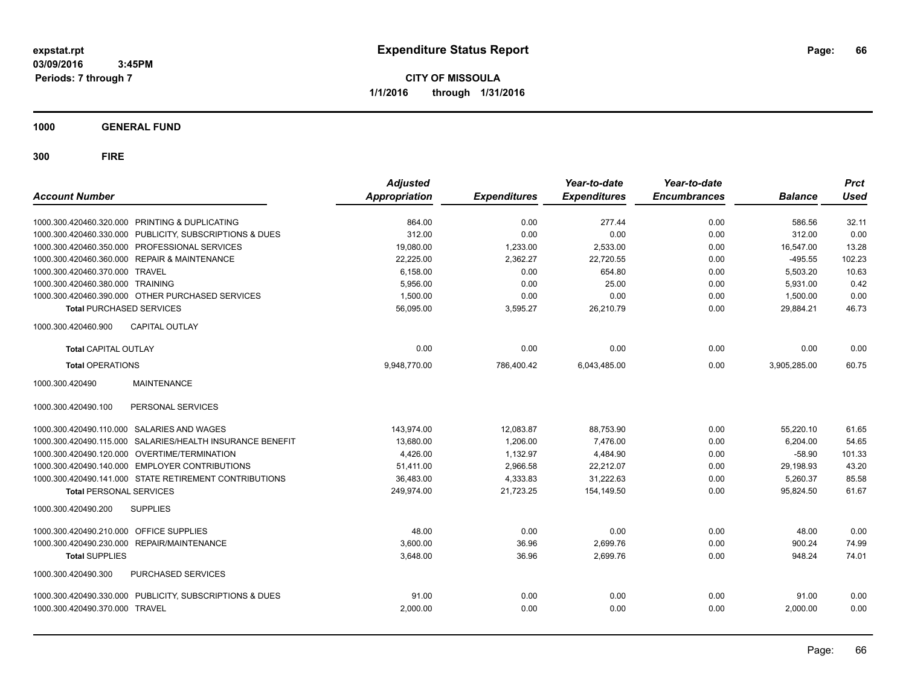**CITY OF MISSOULA 1/1/2016 through 1/31/2016**

**1000 GENERAL FUND**

| <b>Account Number</b>                                        | <b>Adjusted</b><br><b>Appropriation</b> | <b>Expenditures</b> | Year-to-date<br><b>Expenditures</b> | Year-to-date<br><b>Encumbrances</b> | <b>Balance</b> | <b>Prct</b><br><b>Used</b> |
|--------------------------------------------------------------|-----------------------------------------|---------------------|-------------------------------------|-------------------------------------|----------------|----------------------------|
| 1000.300.420460.320.000 PRINTING & DUPLICATING               | 864.00                                  | 0.00                | 277.44                              | 0.00                                | 586.56         | 32.11                      |
| 1000.300.420460.330.000 PUBLICITY, SUBSCRIPTIONS & DUES      | 312.00                                  | 0.00                | 0.00                                | 0.00                                | 312.00         | 0.00                       |
| 1000.300.420460.350.000 PROFESSIONAL SERVICES                | 19,080.00                               | 1,233.00            | 2,533.00                            | 0.00                                | 16,547.00      | 13.28                      |
| 1000.300.420460.360.000 REPAIR & MAINTENANCE                 | 22,225.00                               | 2,362.27            | 22,720.55                           | 0.00                                | $-495.55$      | 102.23                     |
| 1000.300.420460.370.000 TRAVEL                               | 6,158.00                                | 0.00                | 654.80                              | 0.00                                | 5,503.20       | 10.63                      |
| 1000.300.420460.380.000 TRAINING                             | 5,956.00                                | 0.00                | 25.00                               | 0.00                                | 5,931.00       | 0.42                       |
| 1000.300.420460.390.000 OTHER PURCHASED SERVICES             | 1,500.00                                | 0.00                | 0.00                                | 0.00                                | 1,500.00       | 0.00                       |
| <b>Total PURCHASED SERVICES</b>                              | 56,095.00                               | 3,595.27            | 26,210.79                           | 0.00                                | 29,884.21      | 46.73                      |
| <b>CAPITAL OUTLAY</b><br>1000.300.420460.900                 |                                         |                     |                                     |                                     |                |                            |
| <b>Total CAPITAL OUTLAY</b>                                  | 0.00                                    | 0.00                | 0.00                                | 0.00                                | 0.00           | 0.00                       |
| <b>Total OPERATIONS</b>                                      | 9,948,770.00                            | 786,400.42          | 6,043,485.00                        | 0.00                                | 3,905,285.00   | 60.75                      |
| <b>MAINTENANCE</b><br>1000.300.420490                        |                                         |                     |                                     |                                     |                |                            |
| PERSONAL SERVICES<br>1000.300.420490.100                     |                                         |                     |                                     |                                     |                |                            |
| 1000.300.420490.110.000 SALARIES AND WAGES                   | 143,974.00                              | 12,083.87           | 88,753.90                           | 0.00                                | 55,220.10      | 61.65                      |
| SALARIES/HEALTH INSURANCE BENEFIT<br>1000.300.420490.115.000 | 13,680.00                               | 1.206.00            | 7,476.00                            | 0.00                                | 6,204.00       | 54.65                      |
| 1000.300.420490.120.000 OVERTIME/TERMINATION                 | 4,426.00                                | 1,132.97            | 4,484.90                            | 0.00                                | $-58.90$       | 101.33                     |
| 1000.300.420490.140.000 EMPLOYER CONTRIBUTIONS               | 51,411.00                               | 2,966.58            | 22,212.07                           | 0.00                                | 29,198.93      | 43.20                      |
| 1000.300.420490.141.000 STATE RETIREMENT CONTRIBUTIONS       | 36,483.00                               | 4,333.83            | 31,222.63                           | 0.00                                | 5,260.37       | 85.58                      |
| <b>Total PERSONAL SERVICES</b>                               | 249,974.00                              | 21,723.25           | 154,149.50                          | 0.00                                | 95,824.50      | 61.67                      |
| 1000.300.420490.200<br><b>SUPPLIES</b>                       |                                         |                     |                                     |                                     |                |                            |
| OFFICE SUPPLIES<br>1000.300.420490.210.000                   | 48.00                                   | 0.00                | 0.00                                | 0.00                                | 48.00          | 0.00                       |
| 1000.300.420490.230.000<br>REPAIR/MAINTENANCE                | 3,600.00                                | 36.96               | 2,699.76                            | 0.00                                | 900.24         | 74.99                      |
| <b>Total SUPPLIES</b>                                        | 3,648.00                                | 36.96               | 2,699.76                            | 0.00                                | 948.24         | 74.01                      |
| PURCHASED SERVICES<br>1000.300.420490.300                    |                                         |                     |                                     |                                     |                |                            |
| 1000.300.420490.330.000 PUBLICITY, SUBSCRIPTIONS & DUES      | 91.00                                   | 0.00                | 0.00                                | 0.00                                | 91.00          | 0.00                       |
| 1000.300.420490.370.000 TRAVEL                               | 2,000.00                                | 0.00                | 0.00                                | 0.00                                | 2,000.00       | 0.00                       |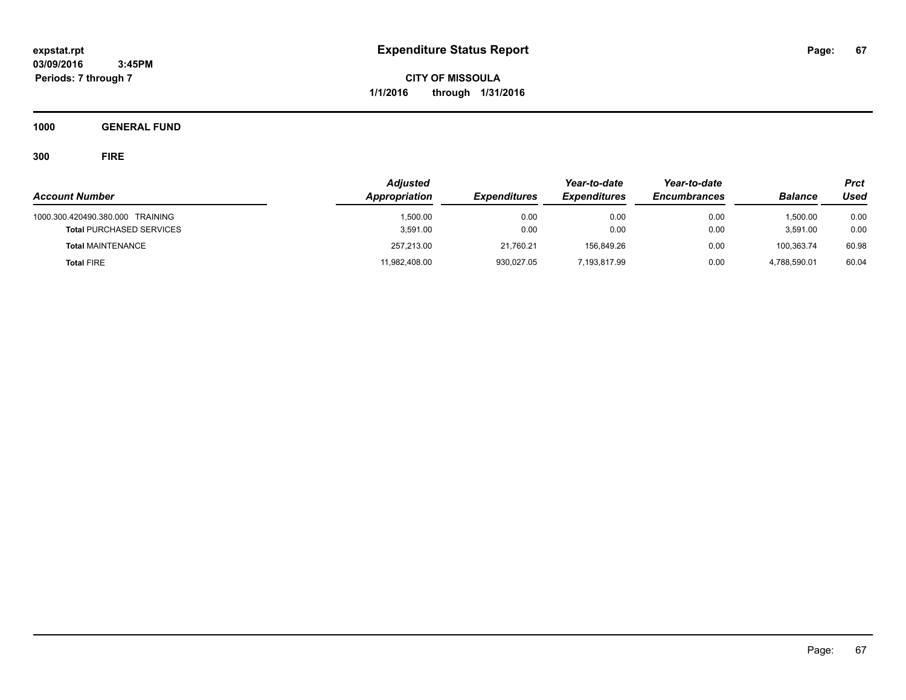**CITY OF MISSOULA 1/1/2016 through 1/31/2016**

**1000 GENERAL FUND**

|                                                                     | <b>Adjusted</b>      |                     | Year-to-date        | Year-to-date        |                      | Prct         |
|---------------------------------------------------------------------|----------------------|---------------------|---------------------|---------------------|----------------------|--------------|
| <b>Account Number</b>                                               | Appropriation        | <b>Expenditures</b> | <b>Expenditures</b> | <b>Encumbrances</b> | <b>Balance</b>       | Used         |
| 1000.300.420490.380.000 TRAINING<br><b>Total PURCHASED SERVICES</b> | 1.500.00<br>3,591.00 | 0.00<br>0.00        | 0.00<br>0.00        | 0.00<br>0.00        | 1,500.00<br>3,591.00 | 0.00<br>0.00 |
| <b>Total MAINTENANCE</b>                                            | 257,213.00           | 21,760.21           | 156.849.26          | 0.00                | 100,363.74           | 60.98        |
| <b>Total FIRE</b>                                                   | 11,982,408.00        | 930,027.05          | 7,193,817.99        | 0.00                | 4,788,590.01         | 60.04        |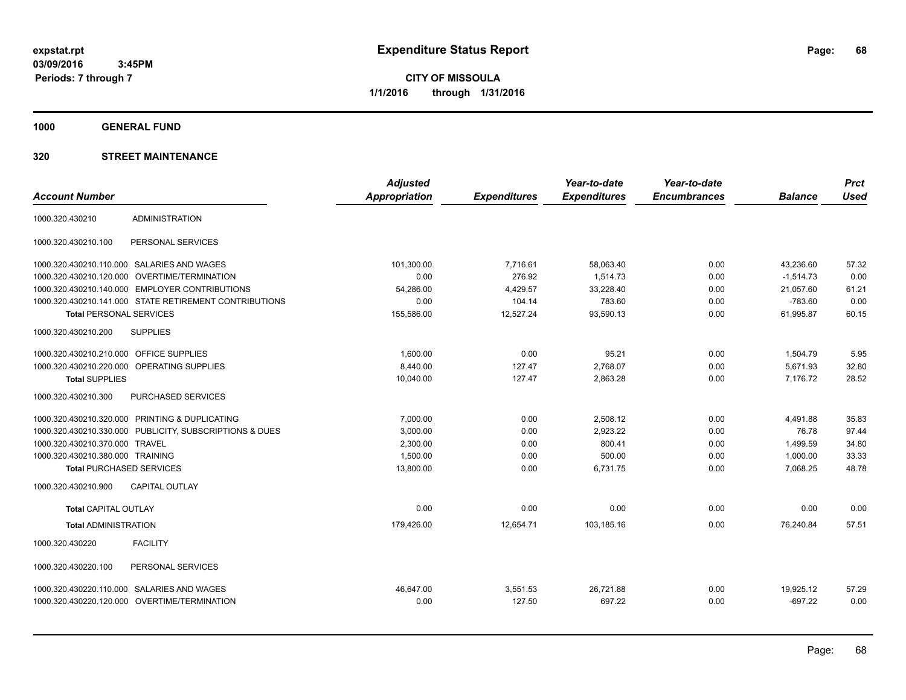**CITY OF MISSOULA 1/1/2016 through 1/31/2016**

**1000 GENERAL FUND**

|                                         |                                                         | <b>Adjusted</b>      |                     | Year-to-date        | Year-to-date        |                | <b>Prct</b> |
|-----------------------------------------|---------------------------------------------------------|----------------------|---------------------|---------------------|---------------------|----------------|-------------|
| <b>Account Number</b>                   |                                                         | <b>Appropriation</b> | <b>Expenditures</b> | <b>Expenditures</b> | <b>Encumbrances</b> | <b>Balance</b> | <b>Used</b> |
| 1000.320.430210                         | <b>ADMINISTRATION</b>                                   |                      |                     |                     |                     |                |             |
| 1000.320.430210.100                     | PERSONAL SERVICES                                       |                      |                     |                     |                     |                |             |
|                                         | 1000.320.430210.110.000 SALARIES AND WAGES              | 101,300.00           | 7,716.61            | 58,063.40           | 0.00                | 43,236.60      | 57.32       |
| 1000.320.430210.120.000                 | OVERTIME/TERMINATION                                    | 0.00                 | 276.92              | 1,514.73            | 0.00                | $-1,514.73$    | 0.00        |
|                                         | 1000.320.430210.140.000 EMPLOYER CONTRIBUTIONS          | 54,286.00            | 4,429.57            | 33,228.40           | 0.00                | 21,057.60      | 61.21       |
|                                         | 1000.320.430210.141.000 STATE RETIREMENT CONTRIBUTIONS  | 0.00                 | 104.14              | 783.60              | 0.00                | $-783.60$      | 0.00        |
| <b>Total PERSONAL SERVICES</b>          |                                                         | 155,586.00           | 12,527.24           | 93,590.13           | 0.00                | 61.995.87      | 60.15       |
| 1000.320.430210.200                     | <b>SUPPLIES</b>                                         |                      |                     |                     |                     |                |             |
| 1000.320.430210.210.000 OFFICE SUPPLIES |                                                         | 1,600.00             | 0.00                | 95.21               | 0.00                | 1,504.79       | 5.95        |
|                                         | 1000.320.430210.220.000 OPERATING SUPPLIES              | 8,440.00             | 127.47              | 2,768.07            | 0.00                | 5,671.93       | 32.80       |
| <b>Total SUPPLIES</b>                   |                                                         | 10,040.00            | 127.47              | 2,863.28            | 0.00                | 7,176.72       | 28.52       |
| 1000.320.430210.300                     | PURCHASED SERVICES                                      |                      |                     |                     |                     |                |             |
|                                         | 1000.320.430210.320.000 PRINTING & DUPLICATING          | 7,000.00             | 0.00                | 2,508.12            | 0.00                | 4,491.88       | 35.83       |
|                                         | 1000.320.430210.330.000 PUBLICITY, SUBSCRIPTIONS & DUES | 3,000.00             | 0.00                | 2,923.22            | 0.00                | 76.78          | 97.44       |
| 1000.320.430210.370.000 TRAVEL          |                                                         | 2,300.00             | 0.00                | 800.41              | 0.00                | 1,499.59       | 34.80       |
| 1000.320.430210.380.000 TRAINING        |                                                         | 1,500.00             | 0.00                | 500.00              | 0.00                | 1,000.00       | 33.33       |
| <b>Total PURCHASED SERVICES</b>         |                                                         | 13,800.00            | 0.00                | 6,731.75            | 0.00                | 7,068.25       | 48.78       |
| 1000.320.430210.900                     | <b>CAPITAL OUTLAY</b>                                   |                      |                     |                     |                     |                |             |
| <b>Total CAPITAL OUTLAY</b>             |                                                         | 0.00                 | 0.00                | 0.00                | 0.00                | 0.00           | 0.00        |
| <b>Total ADMINISTRATION</b>             |                                                         | 179,426.00           | 12,654.71           | 103,185.16          | 0.00                | 76,240.84      | 57.51       |
| 1000.320.430220                         | <b>FACILITY</b>                                         |                      |                     |                     |                     |                |             |
| 1000.320.430220.100                     | PERSONAL SERVICES                                       |                      |                     |                     |                     |                |             |
|                                         | 1000.320.430220.110.000 SALARIES AND WAGES              | 46.647.00            | 3,551.53            | 26,721.88           | 0.00                | 19,925.12      | 57.29       |
|                                         | 1000.320.430220.120.000 OVERTIME/TERMINATION            | 0.00                 | 127.50              | 697.22              | 0.00                | $-697.22$      | 0.00        |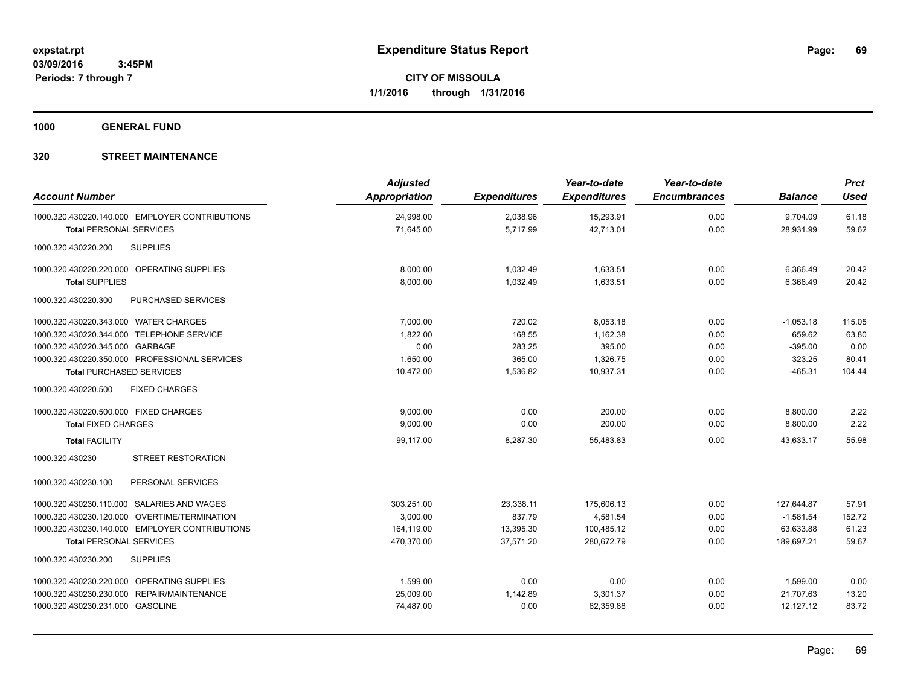**1000 GENERAL FUND**

| <b>Account Number</b>                          | <b>Adjusted</b><br><b>Appropriation</b> | <b>Expenditures</b> | Year-to-date<br><b>Expenditures</b> | Year-to-date<br><b>Encumbrances</b> | <b>Balance</b> | <b>Prct</b><br><b>Used</b> |
|------------------------------------------------|-----------------------------------------|---------------------|-------------------------------------|-------------------------------------|----------------|----------------------------|
| 1000.320.430220.140.000 EMPLOYER CONTRIBUTIONS | 24,998.00                               | 2,038.96            | 15,293.91                           | 0.00                                | 9,704.09       | 61.18                      |
| <b>Total PERSONAL SERVICES</b>                 | 71,645.00                               | 5,717.99            | 42,713.01                           | 0.00                                | 28,931.99      | 59.62                      |
| 1000.320.430220.200<br><b>SUPPLIES</b>         |                                         |                     |                                     |                                     |                |                            |
| 1000.320.430220.220.000 OPERATING SUPPLIES     | 8,000.00                                | 1,032.49            | 1,633.51                            | 0.00                                | 6,366.49       | 20.42                      |
| <b>Total SUPPLIES</b>                          | 8,000.00                                | 1,032.49            | 1,633.51                            | 0.00                                | 6,366.49       | 20.42                      |
| 1000.320.430220.300<br>PURCHASED SERVICES      |                                         |                     |                                     |                                     |                |                            |
| 1000.320.430220.343.000 WATER CHARGES          | 7.000.00                                | 720.02              | 8.053.18                            | 0.00                                | $-1,053.18$    | 115.05                     |
| 1000.320.430220.344.000 TELEPHONE SERVICE      | 1,822.00                                | 168.55              | 1,162.38                            | 0.00                                | 659.62         | 63.80                      |
| 1000.320.430220.345.000 GARBAGE                | 0.00                                    | 283.25              | 395.00                              | 0.00                                | $-395.00$      | 0.00                       |
| 1000.320.430220.350.000 PROFESSIONAL SERVICES  | 1,650.00                                | 365.00              | 1,326.75                            | 0.00                                | 323.25         | 80.41                      |
| <b>Total PURCHASED SERVICES</b>                | 10,472.00                               | 1,536.82            | 10,937.31                           | 0.00                                | $-465.31$      | 104.44                     |
| 1000.320.430220.500<br><b>FIXED CHARGES</b>    |                                         |                     |                                     |                                     |                |                            |
| 1000.320.430220.500.000 FIXED CHARGES          | 9,000.00                                | 0.00                | 200.00                              | 0.00                                | 8,800.00       | 2.22                       |
| <b>Total FIXED CHARGES</b>                     | 9,000.00                                | 0.00                | 200.00                              | 0.00                                | 8,800.00       | 2.22                       |
| <b>Total FACILITY</b>                          | 99,117.00                               | 8,287.30            | 55,483.83                           | 0.00                                | 43,633.17      | 55.98                      |
| <b>STREET RESTORATION</b><br>1000.320.430230   |                                         |                     |                                     |                                     |                |                            |
| PERSONAL SERVICES<br>1000.320.430230.100       |                                         |                     |                                     |                                     |                |                            |
| 1000.320.430230.110.000 SALARIES AND WAGES     | 303,251.00                              | 23,338.11           | 175,606.13                          | 0.00                                | 127,644.87     | 57.91                      |
| 1000.320.430230.120.000 OVERTIME/TERMINATION   | 3.000.00                                | 837.79              | 4,581.54                            | 0.00                                | $-1,581.54$    | 152.72                     |
| 1000.320.430230.140.000 EMPLOYER CONTRIBUTIONS | 164,119.00                              | 13,395.30           | 100,485.12                          | 0.00                                | 63,633.88      | 61.23                      |
| <b>Total PERSONAL SERVICES</b>                 | 470,370.00                              | 37,571.20           | 280,672.79                          | 0.00                                | 189,697.21     | 59.67                      |
| 1000.320.430230.200<br><b>SUPPLIES</b>         |                                         |                     |                                     |                                     |                |                            |
| 1000.320.430230.220.000 OPERATING SUPPLIES     | 1,599.00                                | 0.00                | 0.00                                | 0.00                                | 1,599.00       | 0.00                       |
| 1000.320.430230.230.000 REPAIR/MAINTENANCE     | 25,009.00                               | 1,142.89            | 3,301.37                            | 0.00                                | 21,707.63      | 13.20                      |
| 1000.320.430230.231.000 GASOLINE               | 74,487.00                               | 0.00                | 62,359.88                           | 0.00                                | 12,127.12      | 83.72                      |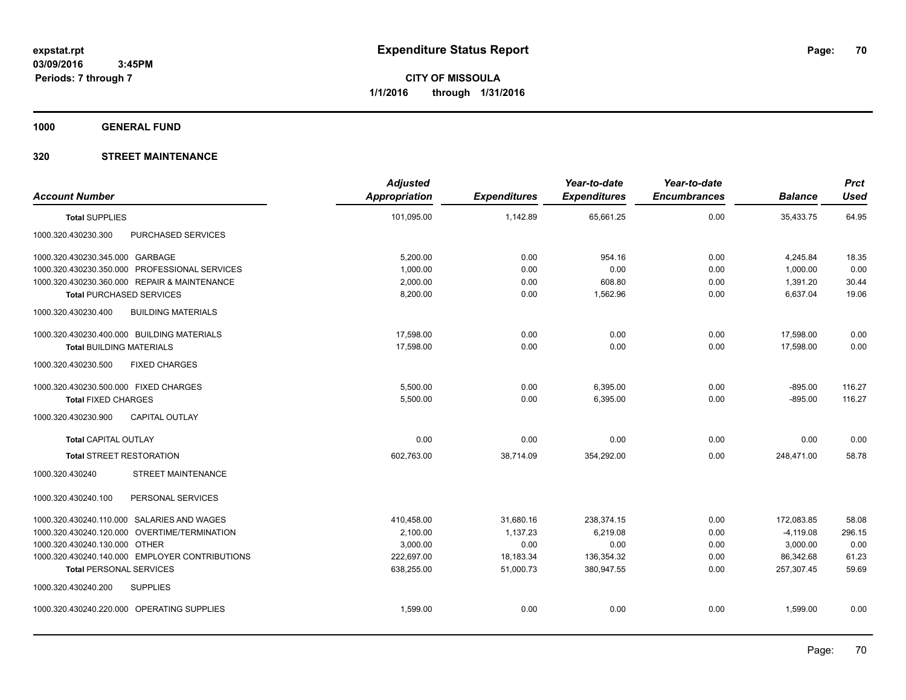**1000 GENERAL FUND**

| <b>Account Number</b>                            | <b>Adjusted</b><br>Appropriation | <b>Expenditures</b> | Year-to-date<br><b>Expenditures</b> | Year-to-date<br><b>Encumbrances</b> | <b>Balance</b> | <b>Prct</b><br><b>Used</b> |
|--------------------------------------------------|----------------------------------|---------------------|-------------------------------------|-------------------------------------|----------------|----------------------------|
| <b>Total SUPPLIES</b>                            | 101,095.00                       | 1,142.89            | 65,661.25                           | 0.00                                | 35,433.75      | 64.95                      |
| PURCHASED SERVICES<br>1000.320.430230.300        |                                  |                     |                                     |                                     |                |                            |
| 1000.320.430230.345.000 GARBAGE                  | 5,200.00                         | 0.00                | 954.16                              | 0.00                                | 4,245.84       | 18.35                      |
| 1000.320.430230.350.000 PROFESSIONAL SERVICES    | 1,000.00                         | 0.00                | 0.00                                | 0.00                                | 1,000.00       | 0.00                       |
| 1000.320.430230.360.000 REPAIR & MAINTENANCE     | 2,000.00                         | 0.00                | 608.80                              | 0.00                                | 1,391.20       | 30.44                      |
| <b>Total PURCHASED SERVICES</b>                  | 8,200.00                         | 0.00                | 1,562.96                            | 0.00                                | 6,637.04       | 19.06                      |
| 1000.320.430230.400<br><b>BUILDING MATERIALS</b> |                                  |                     |                                     |                                     |                |                            |
| 1000.320.430230.400.000 BUILDING MATERIALS       | 17.598.00                        | 0.00                | 0.00                                | 0.00                                | 17,598.00      | 0.00                       |
| <b>Total BUILDING MATERIALS</b>                  | 17,598.00                        | 0.00                | 0.00                                | 0.00                                | 17,598.00      | 0.00                       |
| <b>FIXED CHARGES</b><br>1000.320.430230.500      |                                  |                     |                                     |                                     |                |                            |
| 1000.320.430230.500.000 FIXED CHARGES            | 5,500.00                         | 0.00                | 6,395.00                            | 0.00                                | $-895.00$      | 116.27                     |
| <b>Total FIXED CHARGES</b>                       | 5,500.00                         | 0.00                | 6,395.00                            | 0.00                                | $-895.00$      | 116.27                     |
| 1000.320.430230.900<br><b>CAPITAL OUTLAY</b>     |                                  |                     |                                     |                                     |                |                            |
| <b>Total CAPITAL OUTLAY</b>                      | 0.00                             | 0.00                | 0.00                                | 0.00                                | 0.00           | 0.00                       |
| <b>Total STREET RESTORATION</b>                  | 602.763.00                       | 38.714.09           | 354.292.00                          | 0.00                                | 248.471.00     | 58.78                      |
| 1000.320.430240<br><b>STREET MAINTENANCE</b>     |                                  |                     |                                     |                                     |                |                            |
| PERSONAL SERVICES<br>1000.320.430240.100         |                                  |                     |                                     |                                     |                |                            |
| 1000.320.430240.110.000 SALARIES AND WAGES       | 410,458.00                       | 31,680.16           | 238,374.15                          | 0.00                                | 172,083.85     | 58.08                      |
| 1000.320.430240.120.000 OVERTIME/TERMINATION     | 2,100.00                         | 1,137.23            | 6,219.08                            | 0.00                                | $-4,119.08$    | 296.15                     |
| 1000.320.430240.130.000 OTHER                    | 3,000.00                         | 0.00                | 0.00                                | 0.00                                | 3,000.00       | 0.00                       |
| 1000.320.430240.140.000 EMPLOYER CONTRIBUTIONS   | 222,697.00                       | 18,183.34           | 136,354.32                          | 0.00                                | 86,342.68      | 61.23                      |
| <b>Total PERSONAL SERVICES</b>                   | 638,255.00                       | 51,000.73           | 380,947.55                          | 0.00                                | 257,307.45     | 59.69                      |
| 1000.320.430240.200<br><b>SUPPLIES</b>           |                                  |                     |                                     |                                     |                |                            |
| 1000.320.430240.220.000 OPERATING SUPPLIES       | 1,599.00                         | 0.00                | 0.00                                | 0.00                                | 1,599.00       | 0.00                       |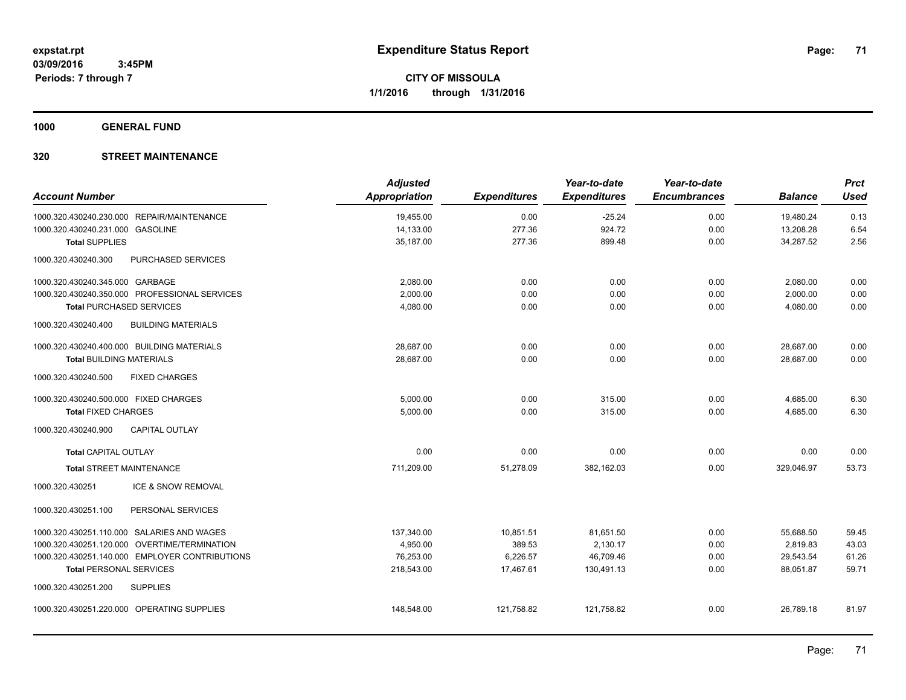**1000 GENERAL FUND**

| <b>Account Number</b>                 |                                                | <b>Adjusted</b><br><b>Appropriation</b> | <b>Expenditures</b> | Year-to-date<br><b>Expenditures</b> | Year-to-date<br><b>Encumbrances</b> | <b>Balance</b> | <b>Prct</b><br><b>Used</b> |
|---------------------------------------|------------------------------------------------|-----------------------------------------|---------------------|-------------------------------------|-------------------------------------|----------------|----------------------------|
|                                       | 1000.320.430240.230.000 REPAIR/MAINTENANCE     | 19,455.00                               | 0.00                | $-25.24$                            | 0.00                                | 19,480.24      | 0.13                       |
| 1000.320.430240.231.000 GASOLINE      |                                                | 14,133.00                               | 277.36              | 924.72                              | 0.00                                | 13,208.28      | 6.54                       |
| <b>Total SUPPLIES</b>                 |                                                | 35,187.00                               | 277.36              | 899.48                              | 0.00                                | 34,287.52      | 2.56                       |
| 1000.320.430240.300                   | <b>PURCHASED SERVICES</b>                      |                                         |                     |                                     |                                     |                |                            |
| 1000.320.430240.345.000 GARBAGE       |                                                | 2,080.00                                | 0.00                | 0.00                                | 0.00                                | 2,080.00       | 0.00                       |
|                                       | 1000.320.430240.350.000 PROFESSIONAL SERVICES  | 2,000.00                                | 0.00                | 0.00                                | 0.00                                | 2,000.00       | 0.00                       |
| <b>Total PURCHASED SERVICES</b>       |                                                | 4,080.00                                | 0.00                | 0.00                                | 0.00                                | 4,080.00       | 0.00                       |
| 1000.320.430240.400                   | <b>BUILDING MATERIALS</b>                      |                                         |                     |                                     |                                     |                |                            |
|                                       | 1000.320.430240.400.000 BUILDING MATERIALS     | 28,687.00                               | 0.00                | 0.00                                | 0.00                                | 28,687.00      | 0.00                       |
| <b>Total BUILDING MATERIALS</b>       |                                                | 28,687.00                               | 0.00                | 0.00                                | 0.00                                | 28,687.00      | 0.00                       |
| 1000.320.430240.500                   | <b>FIXED CHARGES</b>                           |                                         |                     |                                     |                                     |                |                            |
| 1000.320.430240.500.000 FIXED CHARGES |                                                | 5,000.00                                | 0.00                | 315.00                              | 0.00                                | 4,685.00       | 6.30                       |
| <b>Total FIXED CHARGES</b>            |                                                | 5,000.00                                | 0.00                | 315.00                              | 0.00                                | 4,685.00       | 6.30                       |
| 1000.320.430240.900                   | <b>CAPITAL OUTLAY</b>                          |                                         |                     |                                     |                                     |                |                            |
| <b>Total CAPITAL OUTLAY</b>           |                                                | 0.00                                    | 0.00                | 0.00                                | 0.00                                | 0.00           | 0.00                       |
| <b>Total STREET MAINTENANCE</b>       |                                                | 711,209.00                              | 51,278.09           | 382,162.03                          | 0.00                                | 329,046.97     | 53.73                      |
| 1000.320.430251                       | ICE & SNOW REMOVAL                             |                                         |                     |                                     |                                     |                |                            |
| 1000.320.430251.100                   | PERSONAL SERVICES                              |                                         |                     |                                     |                                     |                |                            |
|                                       | 1000.320.430251.110.000 SALARIES AND WAGES     | 137,340.00                              | 10,851.51           | 81,651.50                           | 0.00                                | 55.688.50      | 59.45                      |
|                                       | 1000.320.430251.120.000 OVERTIME/TERMINATION   | 4,950.00                                | 389.53              | 2,130.17                            | 0.00                                | 2,819.83       | 43.03                      |
|                                       | 1000.320.430251.140.000 EMPLOYER CONTRIBUTIONS | 76,253.00                               | 6,226.57            | 46,709.46                           | 0.00                                | 29,543.54      | 61.26                      |
| <b>Total PERSONAL SERVICES</b>        |                                                | 218,543.00                              | 17,467.61           | 130,491.13                          | 0.00                                | 88,051.87      | 59.71                      |
| 1000.320.430251.200                   | <b>SUPPLIES</b>                                |                                         |                     |                                     |                                     |                |                            |
|                                       | 1000.320.430251.220.000 OPERATING SUPPLIES     | 148,548.00                              | 121,758.82          | 121,758.82                          | 0.00                                | 26,789.18      | 81.97                      |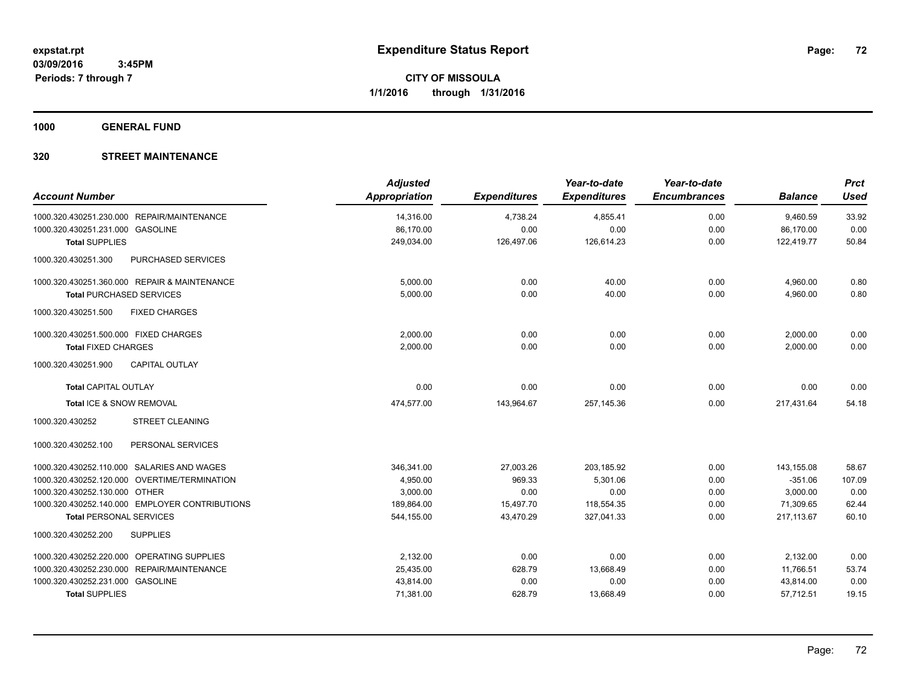**1000 GENERAL FUND**

| <b>Account Number</b>                            | <b>Adjusted</b><br>Appropriation | <b>Expenditures</b> | Year-to-date<br><b>Expenditures</b> | Year-to-date<br><b>Encumbrances</b> | <b>Balance</b> | <b>Prct</b><br><b>Used</b> |
|--------------------------------------------------|----------------------------------|---------------------|-------------------------------------|-------------------------------------|----------------|----------------------------|
| 1000.320.430251.230.000 REPAIR/MAINTENANCE       | 14,316.00                        | 4,738.24            | 4,855.41                            | 0.00                                | 9,460.59       | 33.92                      |
| 1000.320.430251.231.000 GASOLINE                 | 86,170.00                        | 0.00                | 0.00                                | 0.00                                | 86,170.00      | 0.00                       |
| <b>Total SUPPLIES</b>                            | 249,034.00                       | 126,497.06          | 126,614.23                          | 0.00                                | 122,419.77     | 50.84                      |
| 1000.320.430251.300<br><b>PURCHASED SERVICES</b> |                                  |                     |                                     |                                     |                |                            |
| 1000.320.430251.360.000 REPAIR & MAINTENANCE     | 5,000.00                         | 0.00                | 40.00                               | 0.00                                | 4,960.00       | 0.80                       |
| <b>Total PURCHASED SERVICES</b>                  | 5,000.00                         | 0.00                | 40.00                               | 0.00                                | 4,960.00       | 0.80                       |
| <b>FIXED CHARGES</b><br>1000.320.430251.500      |                                  |                     |                                     |                                     |                |                            |
| 1000.320.430251.500.000 FIXED CHARGES            | 2,000.00                         | 0.00                | 0.00                                | 0.00                                | 2,000.00       | 0.00                       |
| <b>Total FIXED CHARGES</b>                       | 2.000.00                         | 0.00                | 0.00                                | 0.00                                | 2,000.00       | 0.00                       |
| 1000.320.430251.900<br><b>CAPITAL OUTLAY</b>     |                                  |                     |                                     |                                     |                |                            |
| <b>Total CAPITAL OUTLAY</b>                      | 0.00                             | 0.00                | 0.00                                | 0.00                                | 0.00           | 0.00                       |
| Total ICE & SNOW REMOVAL                         | 474,577.00                       | 143,964.67          | 257,145.36                          | 0.00                                | 217.431.64     | 54.18                      |
| <b>STREET CLEANING</b><br>1000.320.430252        |                                  |                     |                                     |                                     |                |                            |
| 1000.320.430252.100<br>PERSONAL SERVICES         |                                  |                     |                                     |                                     |                |                            |
| 1000.320.430252.110.000 SALARIES AND WAGES       | 346,341.00                       | 27,003.26           | 203.185.92                          | 0.00                                | 143,155.08     | 58.67                      |
| 1000.320.430252.120.000 OVERTIME/TERMINATION     | 4,950.00                         | 969.33              | 5,301.06                            | 0.00                                | $-351.06$      | 107.09                     |
| 1000.320.430252.130.000 OTHER                    | 3,000.00                         | 0.00                | 0.00                                | 0.00                                | 3,000.00       | 0.00                       |
| 1000.320.430252.140.000 EMPLOYER CONTRIBUTIONS   | 189,864.00                       | 15,497.70           | 118,554.35                          | 0.00                                | 71,309.65      | 62.44                      |
| <b>Total PERSONAL SERVICES</b>                   | 544,155.00                       | 43,470.29           | 327,041.33                          | 0.00                                | 217, 113.67    | 60.10                      |
| 1000.320.430252.200<br><b>SUPPLIES</b>           |                                  |                     |                                     |                                     |                |                            |
| 1000.320.430252.220.000 OPERATING SUPPLIES       | 2,132.00                         | 0.00                | 0.00                                | 0.00                                | 2,132.00       | 0.00                       |
| 1000.320.430252.230.000 REPAIR/MAINTENANCE       | 25,435.00                        | 628.79              | 13,668.49                           | 0.00                                | 11,766.51      | 53.74                      |
| 1000.320.430252.231.000 GASOLINE                 | 43,814.00                        | 0.00                | 0.00                                | 0.00                                | 43,814.00      | 0.00                       |
| <b>Total SUPPLIES</b>                            | 71,381.00                        | 628.79              | 13,668.49                           | 0.00                                | 57,712.51      | 19.15                      |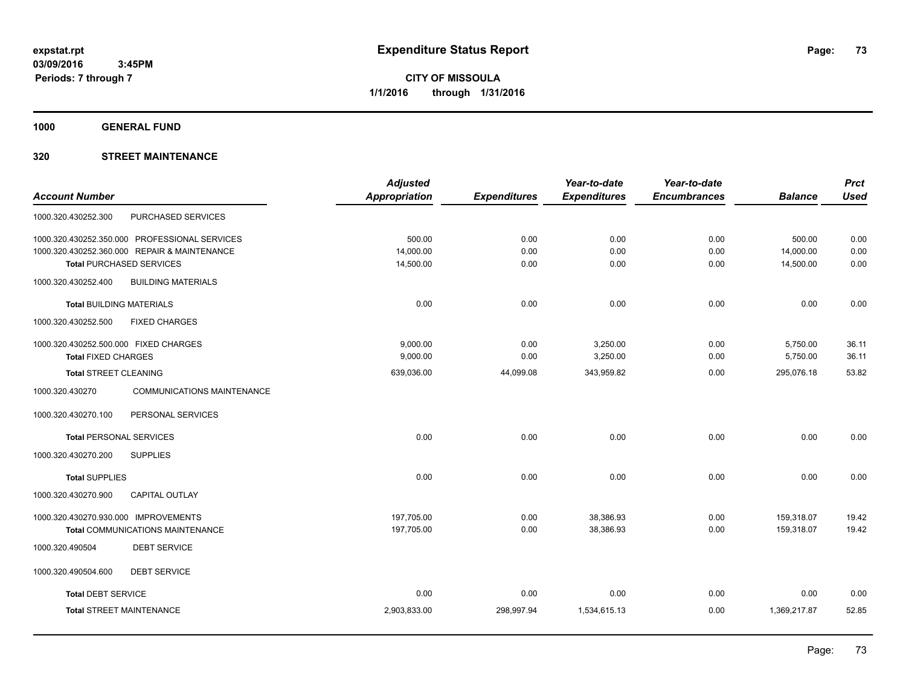**1000 GENERAL FUND**

# **320 STREET MAINTENANCE**

|                                                      | <b>Adjusted</b> |                     | Year-to-date        | Year-to-date        |                | <b>Prct</b> |
|------------------------------------------------------|-----------------|---------------------|---------------------|---------------------|----------------|-------------|
| <b>Account Number</b>                                | Appropriation   | <b>Expenditures</b> | <b>Expenditures</b> | <b>Encumbrances</b> | <b>Balance</b> | <b>Used</b> |
| PURCHASED SERVICES<br>1000.320.430252.300            |                 |                     |                     |                     |                |             |
| 1000.320.430252.350.000 PROFESSIONAL SERVICES        | 500.00          | 0.00                | 0.00                | 0.00                | 500.00         | 0.00        |
| 1000.320.430252.360.000 REPAIR & MAINTENANCE         | 14,000.00       | 0.00                | 0.00                | 0.00                | 14,000.00      | 0.00        |
| <b>Total PURCHASED SERVICES</b>                      | 14,500.00       | 0.00                | 0.00                | 0.00                | 14,500.00      | 0.00        |
| 1000.320.430252.400<br><b>BUILDING MATERIALS</b>     |                 |                     |                     |                     |                |             |
| <b>Total BUILDING MATERIALS</b>                      | 0.00            | 0.00                | 0.00                | 0.00                | 0.00           | 0.00        |
| 1000.320.430252.500<br><b>FIXED CHARGES</b>          |                 |                     |                     |                     |                |             |
| 1000.320.430252.500.000 FIXED CHARGES                | 9,000.00        | 0.00                | 3,250.00            | 0.00                | 5,750.00       | 36.11       |
| <b>Total FIXED CHARGES</b>                           | 9,000.00        | 0.00                | 3,250.00            | 0.00                | 5,750.00       | 36.11       |
| <b>Total STREET CLEANING</b>                         | 639,036.00      | 44,099.08           | 343,959.82          | 0.00                | 295,076.18     | 53.82       |
| 1000.320.430270<br><b>COMMUNICATIONS MAINTENANCE</b> |                 |                     |                     |                     |                |             |
| PERSONAL SERVICES<br>1000.320.430270.100             |                 |                     |                     |                     |                |             |
| <b>Total PERSONAL SERVICES</b>                       | 0.00            | 0.00                | 0.00                | 0.00                | 0.00           | 0.00        |
| 1000.320.430270.200<br><b>SUPPLIES</b>               |                 |                     |                     |                     |                |             |
| <b>Total SUPPLIES</b>                                | 0.00            | 0.00                | 0.00                | 0.00                | 0.00           | 0.00        |
| 1000.320.430270.900<br><b>CAPITAL OUTLAY</b>         |                 |                     |                     |                     |                |             |
| 1000.320.430270.930.000 IMPROVEMENTS                 | 197,705.00      | 0.00                | 38,386.93           | 0.00                | 159,318.07     | 19.42       |
| <b>Total COMMUNICATIONS MAINTENANCE</b>              | 197,705.00      | 0.00                | 38,386.93           | 0.00                | 159,318.07     | 19.42       |
| <b>DEBT SERVICE</b><br>1000.320.490504               |                 |                     |                     |                     |                |             |
| 1000.320.490504.600<br><b>DEBT SERVICE</b>           |                 |                     |                     |                     |                |             |
| <b>Total DEBT SERVICE</b>                            | 0.00            | 0.00                | 0.00                | 0.00                | 0.00           | 0.00        |
| <b>Total STREET MAINTENANCE</b>                      | 2,903,833.00    | 298,997.94          | 1,534,615.13        | 0.00                | 1,369,217.87   | 52.85       |
|                                                      |                 |                     |                     |                     |                |             |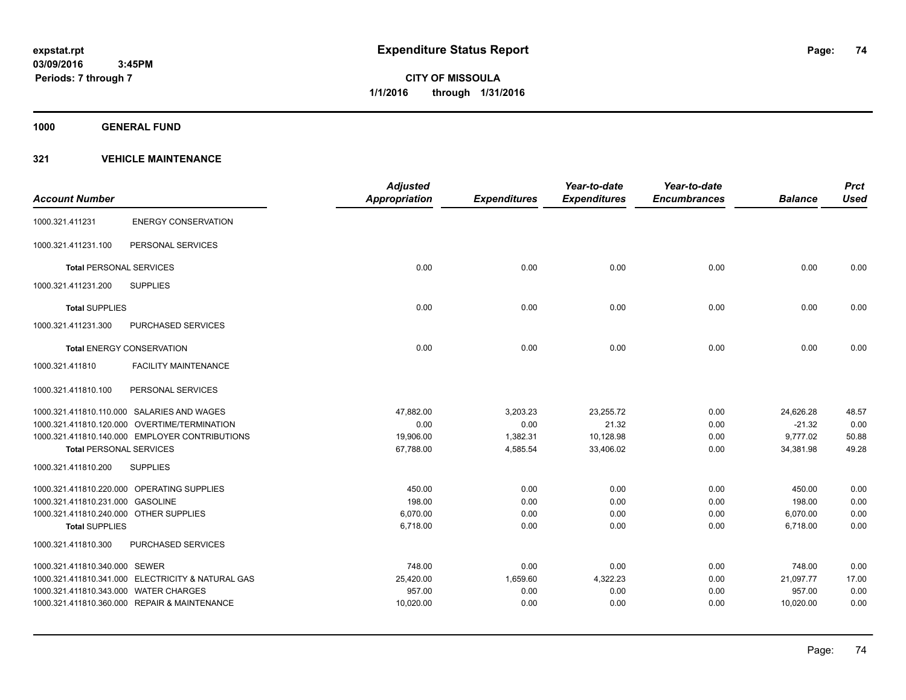**1000 GENERAL FUND**

|                                        |                                                   | <b>Adjusted</b>      |                     | Year-to-date        | Year-to-date        |                | <b>Prct</b> |
|----------------------------------------|---------------------------------------------------|----------------------|---------------------|---------------------|---------------------|----------------|-------------|
| <b>Account Number</b>                  |                                                   | <b>Appropriation</b> | <b>Expenditures</b> | <b>Expenditures</b> | <b>Encumbrances</b> | <b>Balance</b> | <b>Used</b> |
| 1000.321.411231                        | <b>ENERGY CONSERVATION</b>                        |                      |                     |                     |                     |                |             |
| 1000.321.411231.100                    | PERSONAL SERVICES                                 |                      |                     |                     |                     |                |             |
| <b>Total PERSONAL SERVICES</b>         |                                                   | 0.00                 | 0.00                | 0.00                | 0.00                | 0.00           | 0.00        |
| 1000.321.411231.200                    | <b>SUPPLIES</b>                                   |                      |                     |                     |                     |                |             |
| <b>Total SUPPLIES</b>                  |                                                   | 0.00                 | 0.00                | 0.00                | 0.00                | 0.00           | 0.00        |
| 1000.321.411231.300                    | <b>PURCHASED SERVICES</b>                         |                      |                     |                     |                     |                |             |
|                                        | <b>Total ENERGY CONSERVATION</b>                  | 0.00                 | 0.00                | 0.00                | 0.00                | 0.00           | 0.00        |
| 1000.321.411810                        | <b>FACILITY MAINTENANCE</b>                       |                      |                     |                     |                     |                |             |
| 1000.321.411810.100                    | PERSONAL SERVICES                                 |                      |                     |                     |                     |                |             |
|                                        | 1000.321.411810.110.000 SALARIES AND WAGES        | 47,882.00            | 3,203.23            | 23,255.72           | 0.00                | 24,626.28      | 48.57       |
|                                        | 1000.321.411810.120.000 OVERTIME/TERMINATION      | 0.00                 | 0.00                | 21.32               | 0.00                | $-21.32$       | 0.00        |
|                                        | 1000.321.411810.140.000 EMPLOYER CONTRIBUTIONS    | 19,906.00            | 1,382.31            | 10,128.98           | 0.00                | 9,777.02       | 50.88       |
| <b>Total PERSONAL SERVICES</b>         |                                                   | 67,788.00            | 4,585.54            | 33,406.02           | 0.00                | 34,381.98      | 49.28       |
| 1000.321.411810.200                    | <b>SUPPLIES</b>                                   |                      |                     |                     |                     |                |             |
|                                        | 1000.321.411810.220.000 OPERATING SUPPLIES        | 450.00               | 0.00                | 0.00                | 0.00                | 450.00         | 0.00        |
| 1000.321.411810.231.000 GASOLINE       |                                                   | 198.00               | 0.00                | 0.00                | 0.00                | 198.00         | 0.00        |
| 1000.321.411810.240.000 OTHER SUPPLIES |                                                   | 6,070.00             | 0.00                | 0.00                | 0.00                | 6,070.00       | 0.00        |
| <b>Total SUPPLIES</b>                  |                                                   | 6,718.00             | 0.00                | 0.00                | 0.00                | 6,718.00       | 0.00        |
| 1000.321.411810.300                    | PURCHASED SERVICES                                |                      |                     |                     |                     |                |             |
| 1000.321.411810.340.000 SEWER          |                                                   | 748.00               | 0.00                | 0.00                | 0.00                | 748.00         | 0.00        |
|                                        | 1000.321.411810.341.000 ELECTRICITY & NATURAL GAS | 25,420.00            | 1,659.60            | 4,322.23            | 0.00                | 21,097.77      | 17.00       |
| 1000.321.411810.343.000 WATER CHARGES  |                                                   | 957.00               | 0.00                | 0.00                | 0.00                | 957.00         | 0.00        |
|                                        | 1000.321.411810.360.000 REPAIR & MAINTENANCE      | 10,020.00            | 0.00                | 0.00                | 0.00                | 10,020.00      | 0.00        |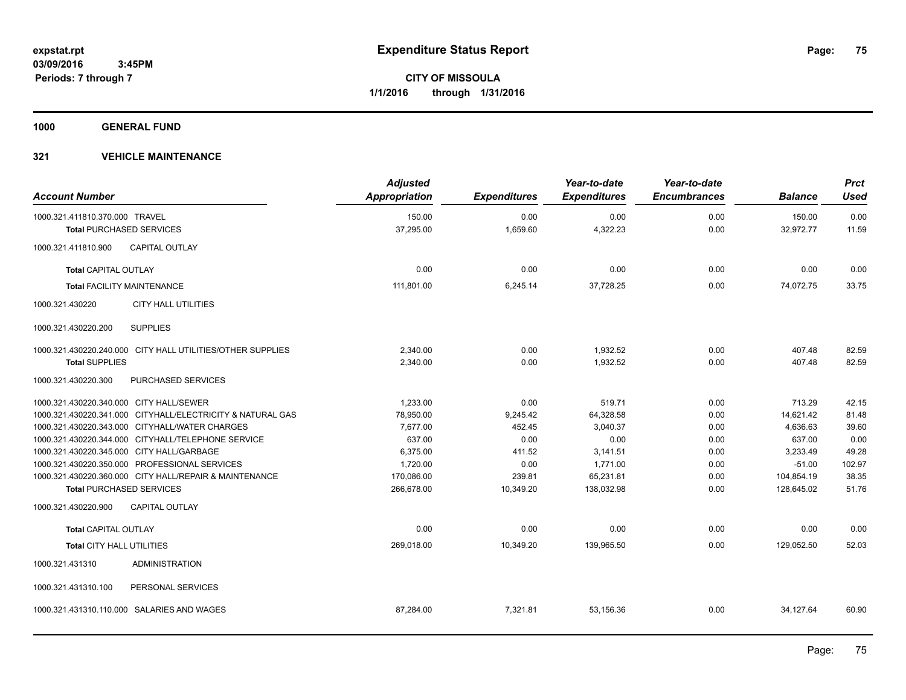**1000 GENERAL FUND**

| <b>Account Number</b>                     |                                                            | <b>Adjusted</b><br>Appropriation | <b>Expenditures</b> | Year-to-date<br><b>Expenditures</b> | Year-to-date<br><b>Encumbrances</b> | <b>Balance</b> | <b>Prct</b><br><b>Used</b> |
|-------------------------------------------|------------------------------------------------------------|----------------------------------|---------------------|-------------------------------------|-------------------------------------|----------------|----------------------------|
| 1000.321.411810.370.000 TRAVEL            |                                                            | 150.00                           | 0.00                | 0.00                                | 0.00                                | 150.00         | 0.00                       |
| <b>Total PURCHASED SERVICES</b>           |                                                            | 37,295.00                        | 1,659.60            | 4,322.23                            | 0.00                                | 32,972.77      | 11.59                      |
| 1000.321.411810.900                       | <b>CAPITAL OUTLAY</b>                                      |                                  |                     |                                     |                                     |                |                            |
| <b>Total CAPITAL OUTLAY</b>               |                                                            | 0.00                             | 0.00                | 0.00                                | 0.00                                | 0.00           | 0.00                       |
| <b>Total FACILITY MAINTENANCE</b>         |                                                            | 111,801.00                       | 6,245.14            | 37,728.25                           | 0.00                                | 74,072.75      | 33.75                      |
| 1000.321.430220                           | <b>CITY HALL UTILITIES</b>                                 |                                  |                     |                                     |                                     |                |                            |
| 1000.321.430220.200                       | <b>SUPPLIES</b>                                            |                                  |                     |                                     |                                     |                |                            |
|                                           | 1000.321.430220.240.000 CITY HALL UTILITIES/OTHER SUPPLIES | 2,340.00                         | 0.00                | 1,932.52                            | 0.00                                | 407.48         | 82.59                      |
| <b>Total SUPPLIES</b>                     |                                                            | 2,340.00                         | 0.00                | 1.932.52                            | 0.00                                | 407.48         | 82.59                      |
| 1000.321.430220.300                       | PURCHASED SERVICES                                         |                                  |                     |                                     |                                     |                |                            |
| 1000.321.430220.340.000 CITY HALL/SEWER   |                                                            | 1,233.00                         | 0.00                | 519.71                              | 0.00                                | 713.29         | 42.15                      |
|                                           | 1000.321.430220.341.000 CITYHALL/ELECTRICITY & NATURAL GAS | 78,950.00                        | 9,245.42            | 64,328.58                           | 0.00                                | 14,621.42      | 81.48                      |
|                                           | 1000.321.430220.343.000 CITYHALL/WATER CHARGES             | 7,677.00                         | 452.45              | 3,040.37                            | 0.00                                | 4,636.63       | 39.60                      |
|                                           | 1000.321.430220.344.000 CITYHALL/TELEPHONE SERVICE         | 637.00                           | 0.00                | 0.00                                | 0.00                                | 637.00         | 0.00                       |
| 1000.321.430220.345.000 CITY HALL/GARBAGE |                                                            | 6,375.00                         | 411.52              | 3,141.51                            | 0.00                                | 3,233.49       | 49.28                      |
|                                           | 1000.321.430220.350.000 PROFESSIONAL SERVICES              | 1,720.00                         | 0.00                | 1,771.00                            | 0.00                                | $-51.00$       | 102.97                     |
|                                           | 1000.321.430220.360.000 CITY HALL/REPAIR & MAINTENANCE     | 170,086.00                       | 239.81              | 65,231.81                           | 0.00                                | 104,854.19     | 38.35                      |
| <b>Total PURCHASED SERVICES</b>           |                                                            | 266,678.00                       | 10,349.20           | 138,032.98                          | 0.00                                | 128,645.02     | 51.76                      |
| 1000.321.430220.900                       | <b>CAPITAL OUTLAY</b>                                      |                                  |                     |                                     |                                     |                |                            |
| <b>Total CAPITAL OUTLAY</b>               |                                                            | 0.00                             | 0.00                | 0.00                                | 0.00                                | 0.00           | 0.00                       |
| <b>Total CITY HALL UTILITIES</b>          |                                                            | 269,018.00                       | 10,349.20           | 139,965.50                          | 0.00                                | 129,052.50     | 52.03                      |
| 1000.321.431310                           | <b>ADMINISTRATION</b>                                      |                                  |                     |                                     |                                     |                |                            |
| 1000.321.431310.100                       | PERSONAL SERVICES                                          |                                  |                     |                                     |                                     |                |                            |
|                                           | 1000.321.431310.110.000 SALARIES AND WAGES                 | 87,284.00                        | 7,321.81            | 53,156.36                           | 0.00                                | 34,127.64      | 60.90                      |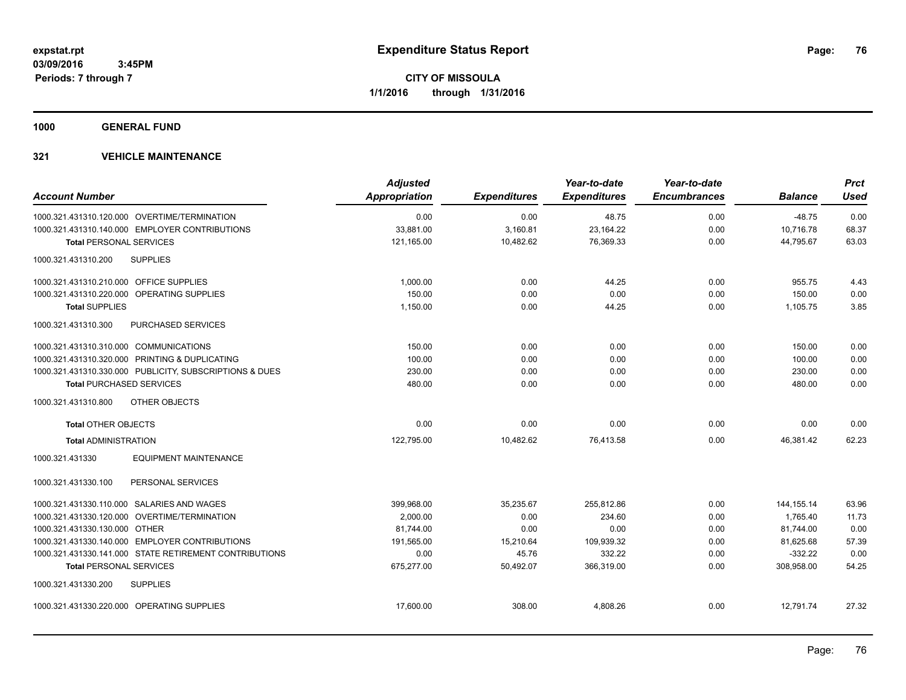**1000 GENERAL FUND**

| <b>Account Number</b>                                   | <b>Adjusted</b><br><b>Appropriation</b> | <b>Expenditures</b> | Year-to-date<br><b>Expenditures</b> | Year-to-date<br><b>Encumbrances</b> | <b>Balance</b> | <b>Prct</b><br><b>Used</b> |
|---------------------------------------------------------|-----------------------------------------|---------------------|-------------------------------------|-------------------------------------|----------------|----------------------------|
| 1000.321.431310.120.000 OVERTIME/TERMINATION            | 0.00                                    | 0.00                | 48.75                               | 0.00                                | $-48.75$       | 0.00                       |
| 1000.321.431310.140.000 EMPLOYER CONTRIBUTIONS          | 33,881.00                               | 3,160.81            | 23, 164. 22                         | 0.00                                | 10,716.78      | 68.37                      |
| <b>Total PERSONAL SERVICES</b>                          | 121,165.00                              | 10,482.62           | 76,369.33                           | 0.00                                | 44,795.67      | 63.03                      |
|                                                         |                                         |                     |                                     |                                     |                |                            |
| <b>SUPPLIES</b><br>1000.321.431310.200                  |                                         |                     |                                     |                                     |                |                            |
| 1000.321.431310.210.000 OFFICE SUPPLIES                 | 1.000.00                                | 0.00                | 44.25                               | 0.00                                | 955.75         | 4.43                       |
| 1000.321.431310.220.000 OPERATING SUPPLIES              | 150.00                                  | 0.00                | 0.00                                | 0.00                                | 150.00         | 0.00                       |
| <b>Total SUPPLIES</b>                                   | 1,150.00                                | 0.00                | 44.25                               | 0.00                                | 1,105.75       | 3.85                       |
| <b>PURCHASED SERVICES</b><br>1000.321.431310.300        |                                         |                     |                                     |                                     |                |                            |
| 1000.321.431310.310.000 COMMUNICATIONS                  | 150.00                                  | 0.00                | 0.00                                | 0.00                                | 150.00         | 0.00                       |
| 1000.321.431310.320.000 PRINTING & DUPLICATING          | 100.00                                  | 0.00                | 0.00                                | 0.00                                | 100.00         | 0.00                       |
| 1000.321.431310.330.000 PUBLICITY, SUBSCRIPTIONS & DUES | 230.00                                  | 0.00                | 0.00                                | 0.00                                | 230.00         | 0.00                       |
| <b>Total PURCHASED SERVICES</b>                         | 480.00                                  | 0.00                | 0.00                                | 0.00                                | 480.00         | 0.00                       |
| OTHER OBJECTS<br>1000.321.431310.800                    |                                         |                     |                                     |                                     |                |                            |
| <b>Total OTHER OBJECTS</b>                              | 0.00                                    | 0.00                | 0.00                                | 0.00                                | 0.00           | 0.00                       |
| <b>Total ADMINISTRATION</b>                             | 122,795.00                              | 10,482.62           | 76,413.58                           | 0.00                                | 46,381.42      | 62.23                      |
| <b>EQUIPMENT MAINTENANCE</b><br>1000.321.431330         |                                         |                     |                                     |                                     |                |                            |
| PERSONAL SERVICES<br>1000.321.431330.100                |                                         |                     |                                     |                                     |                |                            |
| 1000.321.431330.110.000 SALARIES AND WAGES              | 399,968.00                              | 35,235.67           | 255,812.86                          | 0.00                                | 144, 155. 14   | 63.96                      |
| 1000.321.431330.120.000 OVERTIME/TERMINATION            | 2,000.00                                | 0.00                | 234.60                              | 0.00                                | 1,765.40       | 11.73                      |
| 1000.321.431330.130.000 OTHER                           | 81.744.00                               | 0.00                | 0.00                                | 0.00                                | 81,744.00      | 0.00                       |
| 1000.321.431330.140.000 EMPLOYER CONTRIBUTIONS          | 191,565.00                              | 15,210.64           | 109,939.32                          | 0.00                                | 81,625.68      | 57.39                      |
| 1000.321.431330.141.000 STATE RETIREMENT CONTRIBUTIONS  | 0.00                                    | 45.76               | 332.22                              | 0.00                                | $-332.22$      | 0.00                       |
| <b>Total PERSONAL SERVICES</b>                          | 675,277.00                              | 50,492.07           | 366,319.00                          | 0.00                                | 308,958.00     | 54.25                      |
| 1000.321.431330.200<br><b>SUPPLIES</b>                  |                                         |                     |                                     |                                     |                |                            |
| 1000.321.431330.220.000 OPERATING SUPPLIES              | 17.600.00                               | 308.00              | 4.808.26                            | 0.00                                | 12.791.74      | 27.32                      |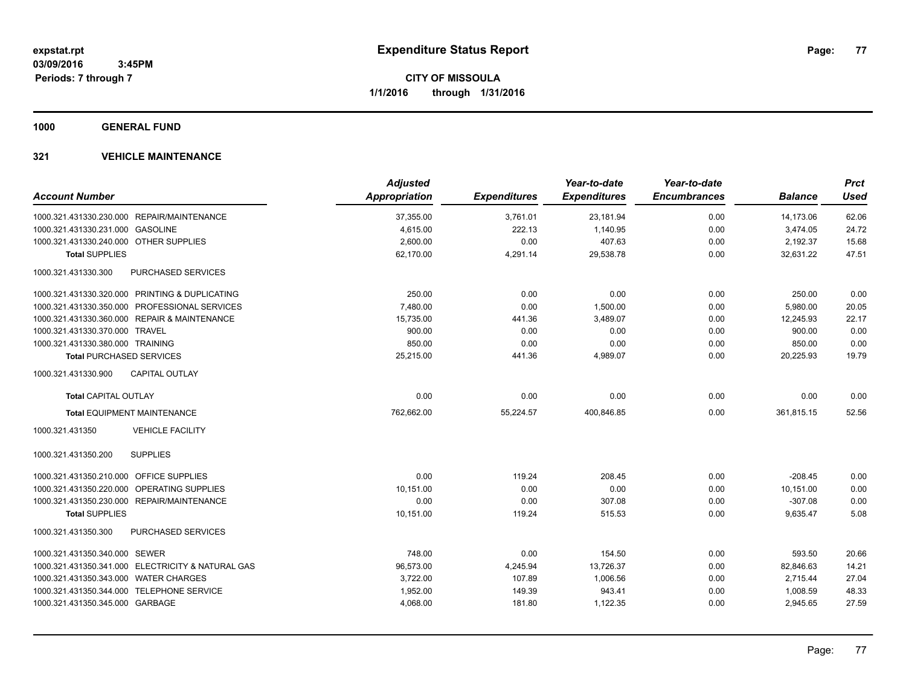**1000 GENERAL FUND**

|                                                   | <b>Adjusted</b>      |                     | Year-to-date        | Year-to-date        |                | <b>Prct</b> |
|---------------------------------------------------|----------------------|---------------------|---------------------|---------------------|----------------|-------------|
| <b>Account Number</b>                             | <b>Appropriation</b> | <b>Expenditures</b> | <b>Expenditures</b> | <b>Encumbrances</b> | <b>Balance</b> | <b>Used</b> |
| 1000.321.431330.230.000 REPAIR/MAINTENANCE        | 37,355.00            | 3,761.01            | 23,181.94           | 0.00                | 14,173.06      | 62.06       |
| 1000.321.431330.231.000 GASOLINE                  | 4,615.00             | 222.13              | 1,140.95            | 0.00                | 3,474.05       | 24.72       |
| 1000.321.431330.240.000 OTHER SUPPLIES            | 2,600.00             | 0.00                | 407.63              | 0.00                | 2,192.37       | 15.68       |
| <b>Total SUPPLIES</b>                             | 62,170.00            | 4,291.14            | 29,538.78           | 0.00                | 32,631.22      | 47.51       |
| 1000.321.431330.300<br>PURCHASED SERVICES         |                      |                     |                     |                     |                |             |
| 1000.321.431330.320.000 PRINTING & DUPLICATING    | 250.00               | 0.00                | 0.00                | 0.00                | 250.00         | 0.00        |
| 1000.321.431330.350.000 PROFESSIONAL SERVICES     | 7,480.00             | 0.00                | 1,500.00            | 0.00                | 5,980.00       | 20.05       |
| 1000.321.431330.360.000 REPAIR & MAINTENANCE      | 15,735.00            | 441.36              | 3,489.07            | 0.00                | 12,245.93      | 22.17       |
| 1000.321.431330.370.000 TRAVEL                    | 900.00               | 0.00                | 0.00                | 0.00                | 900.00         | 0.00        |
| 1000.321.431330.380.000 TRAINING                  | 850.00               | 0.00                | 0.00                | 0.00                | 850.00         | 0.00        |
| <b>Total PURCHASED SERVICES</b>                   | 25,215.00            | 441.36              | 4,989.07            | 0.00                | 20,225.93      | 19.79       |
| <b>CAPITAL OUTLAY</b><br>1000.321.431330.900      |                      |                     |                     |                     |                |             |
| <b>Total CAPITAL OUTLAY</b>                       | 0.00                 | 0.00                | 0.00                | 0.00                | 0.00           | 0.00        |
| <b>Total EQUIPMENT MAINTENANCE</b>                | 762,662.00           | 55,224.57           | 400,846.85          | 0.00                | 361,815.15     | 52.56       |
| <b>VEHICLE FACILITY</b><br>1000.321.431350        |                      |                     |                     |                     |                |             |
| <b>SUPPLIES</b><br>1000.321.431350.200            |                      |                     |                     |                     |                |             |
| 1000.321.431350.210.000 OFFICE SUPPLIES           | 0.00                 | 119.24              | 208.45              | 0.00                | $-208.45$      | 0.00        |
| 1000.321.431350.220.000<br>OPERATING SUPPLIES     | 10,151.00            | 0.00                | 0.00                | 0.00                | 10,151.00      | 0.00        |
| 1000.321.431350.230.000 REPAIR/MAINTENANCE        | 0.00                 | 0.00                | 307.08              | 0.00                | $-307.08$      | 0.00        |
| <b>Total SUPPLIES</b>                             | 10,151.00            | 119.24              | 515.53              | 0.00                | 9,635.47       | 5.08        |
| 1000.321.431350.300<br>PURCHASED SERVICES         |                      |                     |                     |                     |                |             |
| 1000.321.431350.340.000 SEWER                     | 748.00               | 0.00                | 154.50              | 0.00                | 593.50         | 20.66       |
| 1000.321.431350.341.000 ELECTRICITY & NATURAL GAS | 96,573.00            | 4,245.94            | 13,726.37           | 0.00                | 82,846.63      | 14.21       |
| 1000.321.431350.343.000 WATER CHARGES             | 3,722.00             | 107.89              | 1,006.56            | 0.00                | 2,715.44       | 27.04       |
| 1000.321.431350.344.000 TELEPHONE SERVICE         | 1,952.00             | 149.39              | 943.41              | 0.00                | 1,008.59       | 48.33       |
| 1000.321.431350.345.000 GARBAGE                   | 4,068.00             | 181.80              | 1,122.35            | 0.00                | 2,945.65       | 27.59       |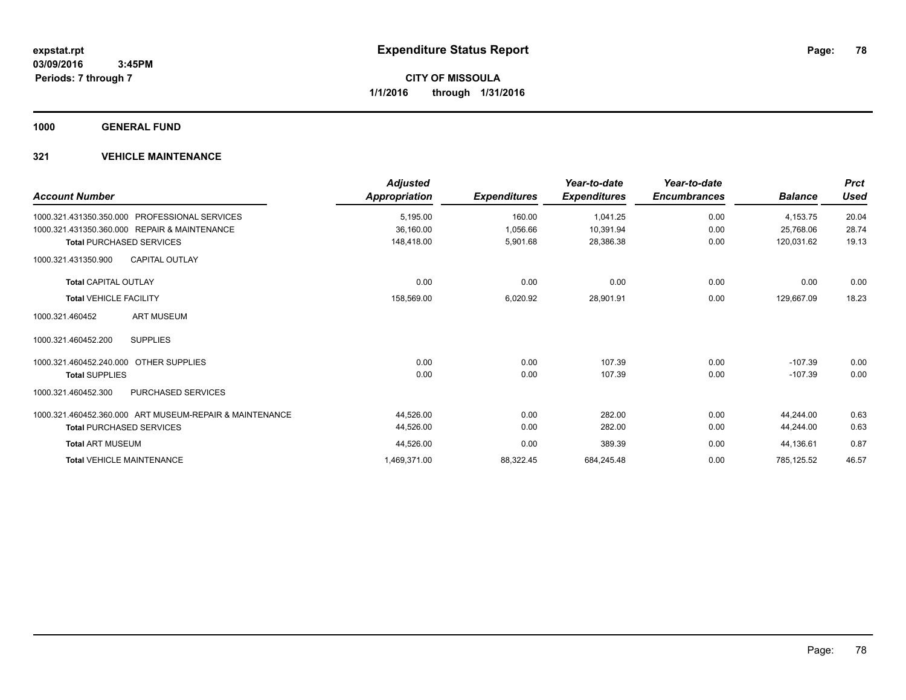**1000 GENERAL FUND**

| <b>Account Number</b>                                   | <b>Adjusted</b><br>Appropriation | <b>Expenditures</b> | Year-to-date<br><b>Expenditures</b> | Year-to-date<br><b>Encumbrances</b> | <b>Balance</b> | <b>Prct</b><br><b>Used</b> |
|---------------------------------------------------------|----------------------------------|---------------------|-------------------------------------|-------------------------------------|----------------|----------------------------|
| PROFESSIONAL SERVICES<br>1000.321.431350.350.000        | 5,195.00                         | 160.00              | 1,041.25                            | 0.00                                | 4,153.75       | 20.04                      |
| 1000.321.431350.360.000 REPAIR & MAINTENANCE            | 36,160.00                        | 1,056.66            | 10,391.94                           | 0.00                                | 25,768.06      | 28.74                      |
| <b>Total PURCHASED SERVICES</b>                         | 148.418.00                       | 5,901.68            | 28,386.38                           | 0.00                                | 120,031.62     | 19.13                      |
| <b>CAPITAL OUTLAY</b><br>1000.321.431350.900            |                                  |                     |                                     |                                     |                |                            |
| <b>Total CAPITAL OUTLAY</b>                             | 0.00                             | 0.00                | 0.00                                | 0.00                                | 0.00           | 0.00                       |
| <b>Total VEHICLE FACILITY</b>                           | 158,569.00                       | 6,020.92            | 28,901.91                           | 0.00                                | 129,667.09     | 18.23                      |
| <b>ART MUSEUM</b><br>1000.321.460452                    |                                  |                     |                                     |                                     |                |                            |
| <b>SUPPLIES</b><br>1000.321.460452.200                  |                                  |                     |                                     |                                     |                |                            |
| 1000.321.460452.240.000<br><b>OTHER SUPPLIES</b>        | 0.00                             | 0.00                | 107.39                              | 0.00                                | $-107.39$      | 0.00                       |
| <b>Total SUPPLIES</b>                                   | 0.00                             | 0.00                | 107.39                              | 0.00                                | $-107.39$      | 0.00                       |
| PURCHASED SERVICES<br>1000.321.460452.300               |                                  |                     |                                     |                                     |                |                            |
| 1000.321.460452.360.000 ART MUSEUM-REPAIR & MAINTENANCE | 44,526.00                        | 0.00                | 282.00                              | 0.00                                | 44.244.00      | 0.63                       |
| <b>Total PURCHASED SERVICES</b>                         | 44,526.00                        | 0.00                | 282.00                              | 0.00                                | 44,244.00      | 0.63                       |
| <b>Total ART MUSEUM</b>                                 | 44,526.00                        | 0.00                | 389.39                              | 0.00                                | 44,136.61      | 0.87                       |
| <b>Total VEHICLE MAINTENANCE</b>                        | 1,469,371.00                     | 88,322.45           | 684,245.48                          | 0.00                                | 785,125.52     | 46.57                      |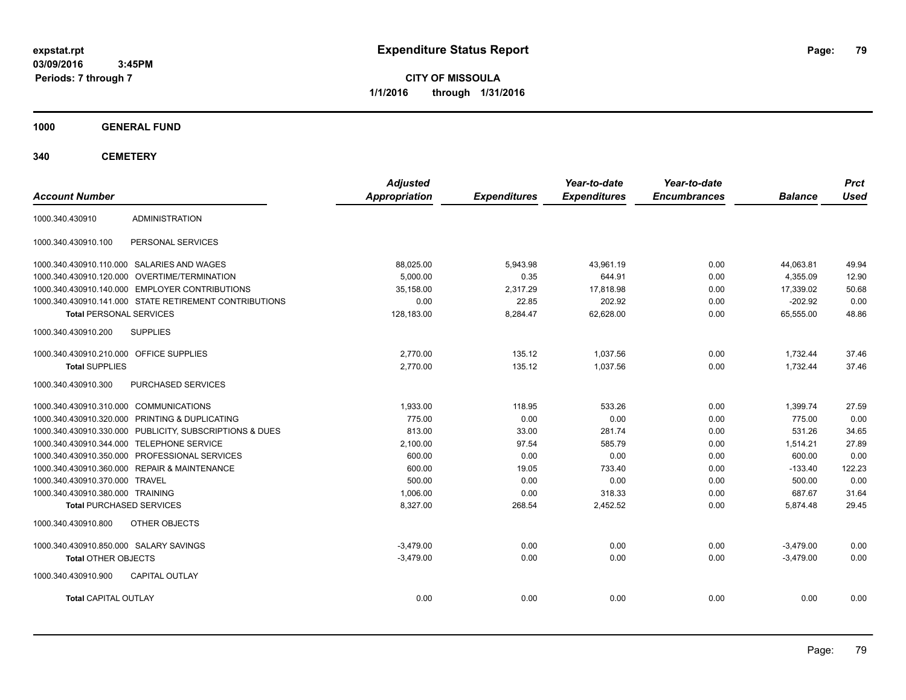**CITY OF MISSOULA 1/1/2016 through 1/31/2016**

**1000 GENERAL FUND**

| <b>Account Number</b>                                   | <b>Adjusted</b><br><b>Appropriation</b> | <b>Expenditures</b> | Year-to-date<br><b>Expenditures</b> | Year-to-date<br><b>Encumbrances</b> | <b>Balance</b> | <b>Prct</b><br><b>Used</b> |
|---------------------------------------------------------|-----------------------------------------|---------------------|-------------------------------------|-------------------------------------|----------------|----------------------------|
|                                                         |                                         |                     |                                     |                                     |                |                            |
| <b>ADMINISTRATION</b><br>1000.340.430910                |                                         |                     |                                     |                                     |                |                            |
| 1000.340.430910.100<br>PERSONAL SERVICES                |                                         |                     |                                     |                                     |                |                            |
| 1000.340.430910.110.000 SALARIES AND WAGES              | 88,025.00                               | 5,943.98            | 43,961.19                           | 0.00                                | 44,063.81      | 49.94                      |
| 1000.340.430910.120.000 OVERTIME/TERMINATION            | 5.000.00                                | 0.35                | 644.91                              | 0.00                                | 4,355.09       | 12.90                      |
| 1000.340.430910.140.000 EMPLOYER CONTRIBUTIONS          | 35.158.00                               | 2,317.29            | 17,818.98                           | 0.00                                | 17.339.02      | 50.68                      |
| 1000.340.430910.141.000 STATE RETIREMENT CONTRIBUTIONS  | 0.00                                    | 22.85               | 202.92                              | 0.00                                | $-202.92$      | 0.00                       |
| <b>Total PERSONAL SERVICES</b>                          | 128,183.00                              | 8,284.47            | 62,628.00                           | 0.00                                | 65,555.00      | 48.86                      |
| <b>SUPPLIES</b><br>1000.340.430910.200                  |                                         |                     |                                     |                                     |                |                            |
| 1000.340.430910.210.000 OFFICE SUPPLIES                 | 2,770.00                                | 135.12              | 1,037.56                            | 0.00                                | 1,732.44       | 37.46                      |
| <b>Total SUPPLIES</b>                                   | 2,770.00                                | 135.12              | 1,037.56                            | 0.00                                | 1,732.44       | 37.46                      |
| 1000.340.430910.300<br>PURCHASED SERVICES               |                                         |                     |                                     |                                     |                |                            |
| 1000.340.430910.310.000 COMMUNICATIONS                  | 1.933.00                                | 118.95              | 533.26                              | 0.00                                | 1.399.74       | 27.59                      |
| 1000.340.430910.320.000 PRINTING & DUPLICATING          | 775.00                                  | 0.00                | 0.00                                | 0.00                                | 775.00         | 0.00                       |
| 1000.340.430910.330.000 PUBLICITY, SUBSCRIPTIONS & DUES | 813.00                                  | 33.00               | 281.74                              | 0.00                                | 531.26         | 34.65                      |
| 1000.340.430910.344.000 TELEPHONE SERVICE               | 2,100.00                                | 97.54               | 585.79                              | 0.00                                | 1,514.21       | 27.89                      |
| 1000.340.430910.350.000 PROFESSIONAL SERVICES           | 600.00                                  | 0.00                | 0.00                                | 0.00                                | 600.00         | 0.00                       |
| 1000.340.430910.360.000 REPAIR & MAINTENANCE            | 600.00                                  | 19.05               | 733.40                              | 0.00                                | $-133.40$      | 122.23                     |
| 1000.340.430910.370.000 TRAVEL                          | 500.00                                  | 0.00                | 0.00                                | 0.00                                | 500.00         | 0.00                       |
| 1000.340.430910.380.000 TRAINING                        | 1,006.00                                | 0.00                | 318.33                              | 0.00                                | 687.67         | 31.64                      |
| <b>Total PURCHASED SERVICES</b>                         | 8,327.00                                | 268.54              | 2,452.52                            | 0.00                                | 5,874.48       | 29.45                      |
| 1000.340.430910.800<br>OTHER OBJECTS                    |                                         |                     |                                     |                                     |                |                            |
| 1000.340.430910.850.000 SALARY SAVINGS                  | $-3.479.00$                             | 0.00                | 0.00                                | 0.00                                | $-3,479.00$    | 0.00                       |
| <b>Total OTHER OBJECTS</b>                              | $-3,479.00$                             | 0.00                | 0.00                                | 0.00                                | $-3,479.00$    | 0.00                       |
| <b>CAPITAL OUTLAY</b><br>1000.340.430910.900            |                                         |                     |                                     |                                     |                |                            |
| <b>Total CAPITAL OUTLAY</b>                             | 0.00                                    | 0.00                | 0.00                                | 0.00                                | 0.00           | 0.00                       |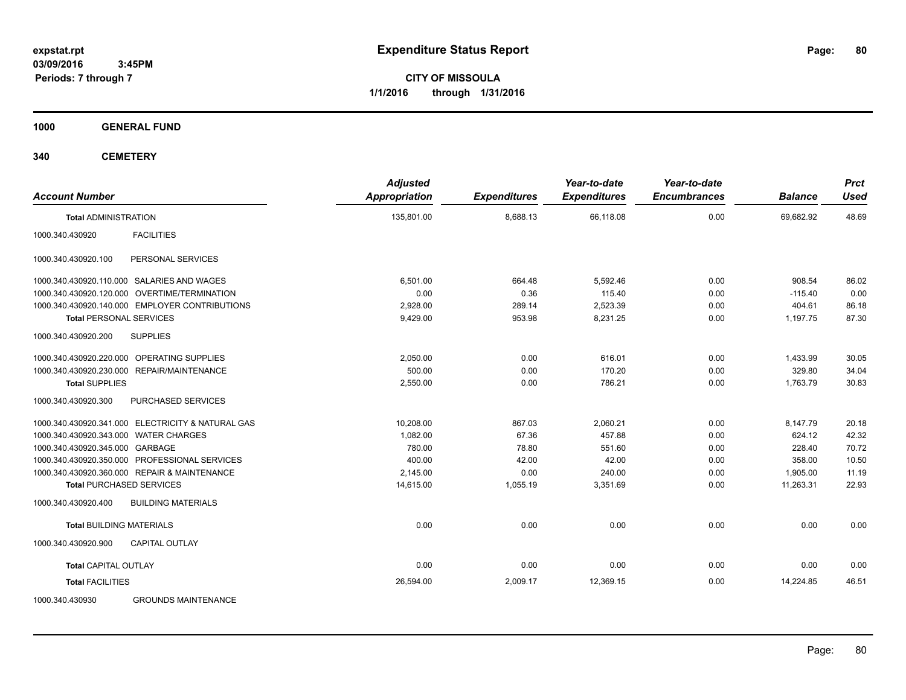**CITY OF MISSOULA 1/1/2016 through 1/31/2016**

**1000 GENERAL FUND**

| <b>Account Number</b>                             | <b>Adjusted</b><br><b>Appropriation</b> | <b>Expenditures</b> | Year-to-date<br><b>Expenditures</b> | Year-to-date<br><b>Encumbrances</b> | <b>Balance</b> | <b>Prct</b><br><b>Used</b> |
|---------------------------------------------------|-----------------------------------------|---------------------|-------------------------------------|-------------------------------------|----------------|----------------------------|
| <b>Total ADMINISTRATION</b>                       | 135,801.00                              | 8,688.13            | 66,118.08                           | 0.00                                | 69,682.92      | 48.69                      |
| 1000.340.430920<br><b>FACILITIES</b>              |                                         |                     |                                     |                                     |                |                            |
| PERSONAL SERVICES<br>1000.340.430920.100          |                                         |                     |                                     |                                     |                |                            |
| 1000.340.430920.110.000 SALARIES AND WAGES        | 6,501.00                                | 664.48              | 5,592.46                            | 0.00                                | 908.54         | 86.02                      |
| 1000.340.430920.120.000 OVERTIME/TERMINATION      | 0.00                                    | 0.36                | 115.40                              | 0.00                                | $-115.40$      | 0.00                       |
| 1000.340.430920.140.000 EMPLOYER CONTRIBUTIONS    | 2,928.00                                | 289.14              | 2,523.39                            | 0.00                                | 404.61         | 86.18                      |
| <b>Total PERSONAL SERVICES</b>                    | 9,429.00                                | 953.98              | 8,231.25                            | 0.00                                | 1,197.75       | 87.30                      |
| <b>SUPPLIES</b><br>1000.340.430920.200            |                                         |                     |                                     |                                     |                |                            |
| 1000.340.430920.220.000 OPERATING SUPPLIES        | 2,050.00                                | 0.00                | 616.01                              | 0.00                                | 1,433.99       | 30.05                      |
| 1000.340.430920.230.000 REPAIR/MAINTENANCE        | 500.00                                  | 0.00                | 170.20                              | 0.00                                | 329.80         | 34.04                      |
| <b>Total SUPPLIES</b>                             | 2,550.00                                | 0.00                | 786.21                              | 0.00                                | 1,763.79       | 30.83                      |
| 1000.340.430920.300<br>PURCHASED SERVICES         |                                         |                     |                                     |                                     |                |                            |
| 1000.340.430920.341.000 ELECTRICITY & NATURAL GAS | 10,208.00                               | 867.03              | 2,060.21                            | 0.00                                | 8,147.79       | 20.18                      |
| 1000.340.430920.343.000 WATER CHARGES             | 1,082.00                                | 67.36               | 457.88                              | 0.00                                | 624.12         | 42.32                      |
| 1000.340.430920.345.000 GARBAGE                   | 780.00                                  | 78.80               | 551.60                              | 0.00                                | 228.40         | 70.72                      |
| 1000.340.430920.350.000 PROFESSIONAL SERVICES     | 400.00                                  | 42.00               | 42.00                               | 0.00                                | 358.00         | 10.50                      |
| 1000.340.430920.360.000 REPAIR & MAINTENANCE      | 2,145.00                                | 0.00                | 240.00                              | 0.00                                | 1,905.00       | 11.19                      |
| <b>Total PURCHASED SERVICES</b>                   | 14,615.00                               | 1,055.19            | 3,351.69                            | 0.00                                | 11,263.31      | 22.93                      |
| <b>BUILDING MATERIALS</b><br>1000.340.430920.400  |                                         |                     |                                     |                                     |                |                            |
| <b>Total BUILDING MATERIALS</b>                   | 0.00                                    | 0.00                | 0.00                                | 0.00                                | 0.00           | 0.00                       |
| 1000.340.430920.900<br>CAPITAL OUTLAY             |                                         |                     |                                     |                                     |                |                            |
| <b>Total CAPITAL OUTLAY</b>                       | 0.00                                    | 0.00                | 0.00                                | 0.00                                | 0.00           | 0.00                       |
| <b>Total FACILITIES</b>                           | 26,594.00                               | 2,009.17            | 12,369.15                           | 0.00                                | 14,224.85      | 46.51                      |
| <b>GROUNDS MAINTENANCE</b><br>1000.340.430930     |                                         |                     |                                     |                                     |                |                            |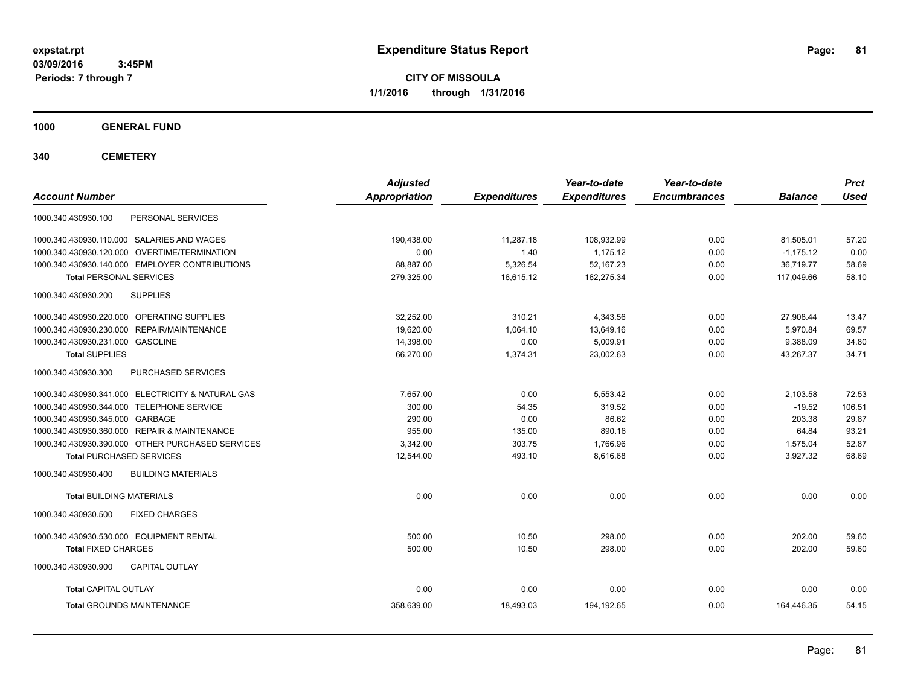**CITY OF MISSOULA 1/1/2016 through 1/31/2016**

**1000 GENERAL FUND**

| <b>Account Number</b>                             | <b>Adjusted</b><br><b>Appropriation</b> | <b>Expenditures</b> | Year-to-date<br><b>Expenditures</b> | Year-to-date<br><b>Encumbrances</b> | <b>Balance</b> | <b>Prct</b><br><b>Used</b> |
|---------------------------------------------------|-----------------------------------------|---------------------|-------------------------------------|-------------------------------------|----------------|----------------------------|
| PERSONAL SERVICES<br>1000.340.430930.100          |                                         |                     |                                     |                                     |                |                            |
| 1000.340.430930.110.000 SALARIES AND WAGES        | 190,438.00                              | 11,287.18           | 108,932.99                          | 0.00                                | 81,505.01      | 57.20                      |
| 1000.340.430930.120.000 OVERTIME/TERMINATION      | 0.00                                    | 1.40                | 1.175.12                            | 0.00                                | $-1,175.12$    | 0.00                       |
| 1000.340.430930.140.000 EMPLOYER CONTRIBUTIONS    | 88,887.00                               | 5,326.54            | 52,167.23                           | 0.00                                | 36,719.77      | 58.69                      |
| <b>Total PERSONAL SERVICES</b>                    | 279.325.00                              | 16.615.12           | 162.275.34                          | 0.00                                | 117.049.66     | 58.10                      |
| 1000.340.430930.200<br><b>SUPPLIES</b>            |                                         |                     |                                     |                                     |                |                            |
| 1000.340.430930.220.000 OPERATING SUPPLIES        | 32,252.00                               | 310.21              | 4,343.56                            | 0.00                                | 27,908.44      | 13.47                      |
| 1000.340.430930.230.000 REPAIR/MAINTENANCE        | 19,620.00                               | 1,064.10            | 13,649.16                           | 0.00                                | 5,970.84       | 69.57                      |
| 1000.340.430930.231.000 GASOLINE                  | 14,398.00                               | 0.00                | 5,009.91                            | 0.00                                | 9,388.09       | 34.80                      |
| <b>Total SUPPLIES</b>                             | 66,270.00                               | 1,374.31            | 23,002.63                           | 0.00                                | 43,267.37      | 34.71                      |
| PURCHASED SERVICES<br>1000.340.430930.300         |                                         |                     |                                     |                                     |                |                            |
| 1000.340.430930.341.000 ELECTRICITY & NATURAL GAS | 7,657.00                                | 0.00                | 5,553.42                            | 0.00                                | 2,103.58       | 72.53                      |
| 1000.340.430930.344.000 TELEPHONE SERVICE         | 300.00                                  | 54.35               | 319.52                              | 0.00                                | $-19.52$       | 106.51                     |
| 1000.340.430930.345.000 GARBAGE                   | 290.00                                  | 0.00                | 86.62                               | 0.00                                | 203.38         | 29.87                      |
| 1000.340.430930.360.000 REPAIR & MAINTENANCE      | 955.00                                  | 135.00              | 890.16                              | 0.00                                | 64.84          | 93.21                      |
| 1000.340.430930.390.000 OTHER PURCHASED SERVICES  | 3,342.00                                | 303.75              | 1,766.96                            | 0.00                                | 1,575.04       | 52.87                      |
| <b>Total PURCHASED SERVICES</b>                   | 12,544.00                               | 493.10              | 8,616.68                            | 0.00                                | 3,927.32       | 68.69                      |
| 1000.340.430930.400<br><b>BUILDING MATERIALS</b>  |                                         |                     |                                     |                                     |                |                            |
| <b>Total BUILDING MATERIALS</b>                   | 0.00                                    | 0.00                | 0.00                                | 0.00                                | 0.00           | 0.00                       |
| 1000.340.430930.500<br><b>FIXED CHARGES</b>       |                                         |                     |                                     |                                     |                |                            |
| 1000.340.430930.530.000 EQUIPMENT RENTAL          | 500.00                                  | 10.50               | 298.00                              | 0.00                                | 202.00         | 59.60                      |
| <b>Total FIXED CHARGES</b>                        | 500.00                                  | 10.50               | 298.00                              | 0.00                                | 202.00         | 59.60                      |
| 1000.340.430930.900<br><b>CAPITAL OUTLAY</b>      |                                         |                     |                                     |                                     |                |                            |
| <b>Total CAPITAL OUTLAY</b>                       | 0.00                                    | 0.00                | 0.00                                | 0.00                                | 0.00           | 0.00                       |
| <b>Total GROUNDS MAINTENANCE</b>                  | 358,639.00                              | 18,493.03           | 194,192.65                          | 0.00                                | 164,446.35     | 54.15                      |
|                                                   |                                         |                     |                                     |                                     |                |                            |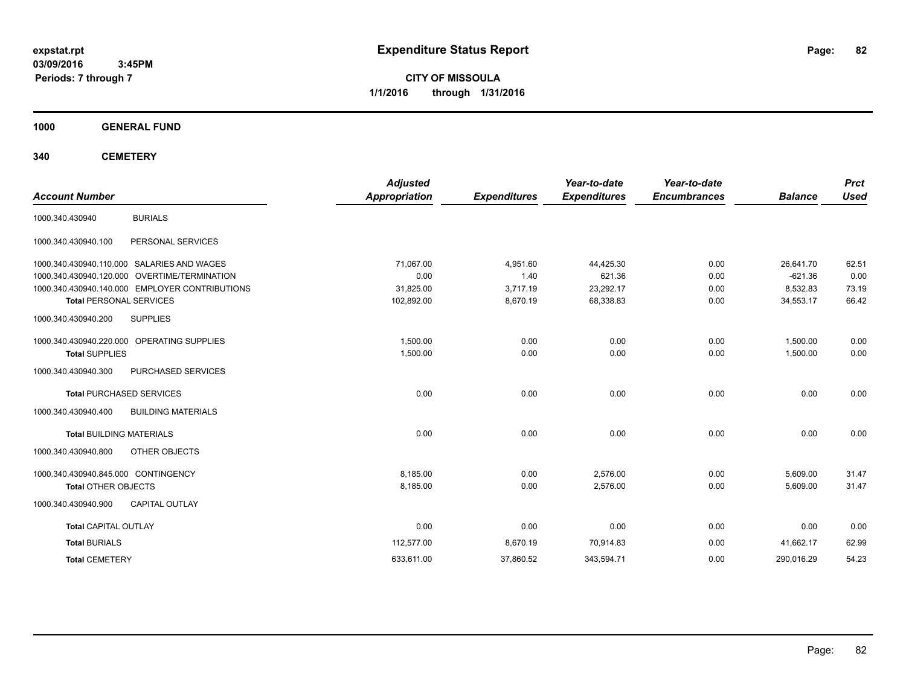**CITY OF MISSOULA 1/1/2016 through 1/31/2016**

**1000 GENERAL FUND**

| <b>Account Number</b>               |                                                | <b>Adjusted</b><br><b>Appropriation</b> | <b>Expenditures</b> | Year-to-date<br><b>Expenditures</b> | Year-to-date<br><b>Encumbrances</b> | <b>Balance</b> | <b>Prct</b><br><b>Used</b> |
|-------------------------------------|------------------------------------------------|-----------------------------------------|---------------------|-------------------------------------|-------------------------------------|----------------|----------------------------|
| 1000.340.430940                     | <b>BURIALS</b>                                 |                                         |                     |                                     |                                     |                |                            |
| 1000.340.430940.100                 | PERSONAL SERVICES                              |                                         |                     |                                     |                                     |                |                            |
|                                     | 1000.340.430940.110.000 SALARIES AND WAGES     | 71,067.00                               | 4,951.60            | 44,425.30                           | 0.00                                | 26,641.70      | 62.51                      |
|                                     | 1000.340.430940.120.000 OVERTIME/TERMINATION   | 0.00                                    | 1.40                | 621.36                              | 0.00                                | $-621.36$      | 0.00                       |
|                                     | 1000.340.430940.140.000 EMPLOYER CONTRIBUTIONS | 31,825.00                               | 3,717.19            | 23,292.17                           | 0.00                                | 8,532.83       | 73.19                      |
| <b>Total PERSONAL SERVICES</b>      |                                                | 102,892.00                              | 8,670.19            | 68,338.83                           | 0.00                                | 34,553.17      | 66.42                      |
| 1000.340.430940.200                 | <b>SUPPLIES</b>                                |                                         |                     |                                     |                                     |                |                            |
|                                     | 1000.340.430940.220.000 OPERATING SUPPLIES     | 1,500.00                                | 0.00                | 0.00                                | 0.00                                | 1,500.00       | 0.00                       |
| <b>Total SUPPLIES</b>               |                                                | 1,500.00                                | 0.00                | 0.00                                | 0.00                                | 1,500.00       | 0.00                       |
| 1000.340.430940.300                 | PURCHASED SERVICES                             |                                         |                     |                                     |                                     |                |                            |
|                                     | <b>Total PURCHASED SERVICES</b>                | 0.00                                    | 0.00                | 0.00                                | 0.00                                | 0.00           | 0.00                       |
| 1000.340.430940.400                 | <b>BUILDING MATERIALS</b>                      |                                         |                     |                                     |                                     |                |                            |
| <b>Total BUILDING MATERIALS</b>     |                                                | 0.00                                    | 0.00                | 0.00                                | 0.00                                | 0.00           | 0.00                       |
| 1000.340.430940.800                 | OTHER OBJECTS                                  |                                         |                     |                                     |                                     |                |                            |
| 1000.340.430940.845.000 CONTINGENCY |                                                | 8,185.00                                | 0.00                | 2,576.00                            | 0.00                                | 5,609.00       | 31.47                      |
| <b>Total OTHER OBJECTS</b>          |                                                | 8,185.00                                | 0.00                | 2,576.00                            | 0.00                                | 5,609.00       | 31.47                      |
| 1000.340.430940.900                 | <b>CAPITAL OUTLAY</b>                          |                                         |                     |                                     |                                     |                |                            |
| <b>Total CAPITAL OUTLAY</b>         |                                                | 0.00                                    | 0.00                | 0.00                                | 0.00                                | 0.00           | 0.00                       |
| <b>Total BURIALS</b>                |                                                | 112,577.00                              | 8,670.19            | 70,914.83                           | 0.00                                | 41,662.17      | 62.99                      |
| <b>Total CEMETERY</b>               |                                                | 633,611.00                              | 37,860.52           | 343,594.71                          | 0.00                                | 290,016.29     | 54.23                      |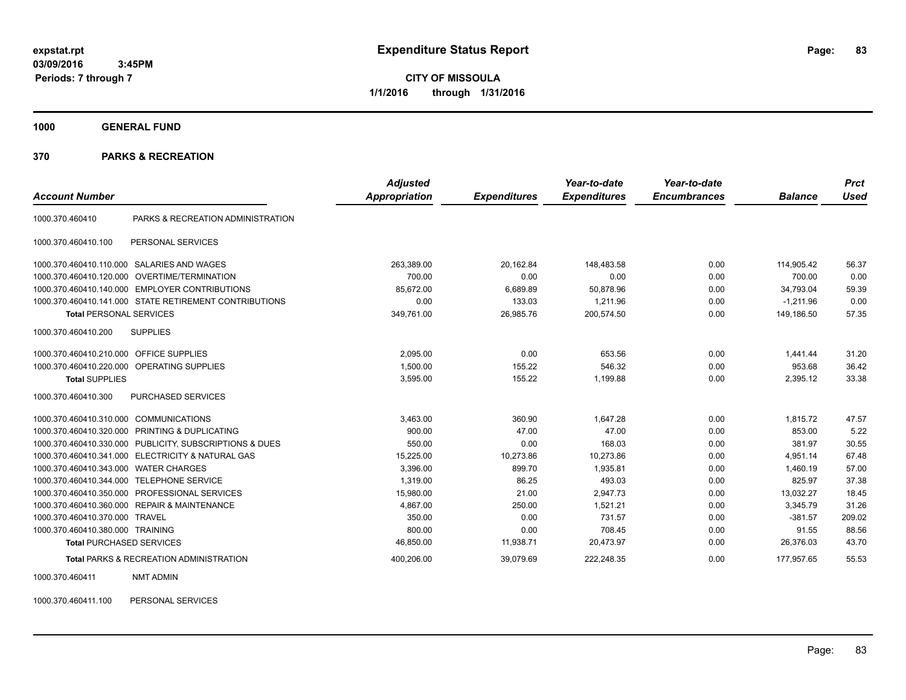**CITY OF MISSOULA 1/1/2016 through 1/31/2016**

**1000 GENERAL FUND**

#### **370 PARKS & RECREATION**

| <b>Account Number</b>            |                                                        | <b>Adjusted</b><br>Appropriation | <b>Expenditures</b> | Year-to-date<br><b>Expenditures</b> | Year-to-date<br><b>Encumbrances</b> | <b>Balance</b> | <b>Prct</b><br><b>Used</b> |
|----------------------------------|--------------------------------------------------------|----------------------------------|---------------------|-------------------------------------|-------------------------------------|----------------|----------------------------|
| 1000.370.460410                  | PARKS & RECREATION ADMINISTRATION                      |                                  |                     |                                     |                                     |                |                            |
| 1000.370.460410.100              | PERSONAL SERVICES                                      |                                  |                     |                                     |                                     |                |                            |
| 1000.370.460410.110.000          | <b>SALARIES AND WAGES</b>                              | 263,389.00                       | 20,162.84           | 148,483.58                          | 0.00                                | 114.905.42     | 56.37                      |
| 1000.370.460410.120.000          | <b>OVERTIME/TERMINATION</b>                            | 700.00                           | 0.00                | 0.00                                | 0.00                                | 700.00         | 0.00                       |
| 1000.370.460410.140.000          | <b>EMPLOYER CONTRIBUTIONS</b>                          | 85,672.00                        | 6,689.89            | 50,878.96                           | 0.00                                | 34,793.04      | 59.39                      |
|                                  | 1000.370.460410.141.000 STATE RETIREMENT CONTRIBUTIONS | 0.00                             | 133.03              | 1,211.96                            | 0.00                                | $-1,211.96$    | 0.00                       |
| <b>Total PERSONAL SERVICES</b>   |                                                        | 349,761.00                       | 26,985.76           | 200,574.50                          | 0.00                                | 149,186.50     | 57.35                      |
| 1000.370.460410.200              | <b>SUPPLIES</b>                                        |                                  |                     |                                     |                                     |                |                            |
| 1000.370.460410.210.000          | <b>OFFICE SUPPLIES</b>                                 | 2,095.00                         | 0.00                | 653.56                              | 0.00                                | 1.441.44       | 31.20                      |
| 1000.370.460410.220.000          | OPERATING SUPPLIES                                     | 1,500.00                         | 155.22              | 546.32                              | 0.00                                | 953.68         | 36.42                      |
| <b>Total SUPPLIES</b>            |                                                        | 3,595.00                         | 155.22              | 1,199.88                            | 0.00                                | 2,395.12       | 33.38                      |
| 1000.370.460410.300              | PURCHASED SERVICES                                     |                                  |                     |                                     |                                     |                |                            |
| 1000.370.460410.310.000          | <b>COMMUNICATIONS</b>                                  | 3,463.00                         | 360.90              | 1,647.28                            | 0.00                                | 1,815.72       | 47.57                      |
|                                  | 1000.370.460410.320.000 PRINTING & DUPLICATING         | 900.00                           | 47.00               | 47.00                               | 0.00                                | 853.00         | 5.22                       |
| 1000.370.460410.330.000          | PUBLICITY, SUBSCRIPTIONS & DUES                        | 550.00                           | 0.00                | 168.03                              | 0.00                                | 381.97         | 30.55                      |
| 1000.370.460410.341.000          | ELECTRICITY & NATURAL GAS                              | 15,225.00                        | 10,273.86           | 10,273.86                           | 0.00                                | 4.951.14       | 67.48                      |
| 1000.370.460410.343.000          | <b>WATER CHARGES</b>                                   | 3,396.00                         | 899.70              | 1,935.81                            | 0.00                                | 1,460.19       | 57.00                      |
| 1000.370.460410.344.000          | <b>TELEPHONE SERVICE</b>                               | 1,319.00                         | 86.25               | 493.03                              | 0.00                                | 825.97         | 37.38                      |
| 1000.370.460410.350.000          | PROFESSIONAL SERVICES                                  | 15,980.00                        | 21.00               | 2,947.73                            | 0.00                                | 13,032.27      | 18.45                      |
| 1000.370.460410.360.000          | <b>REPAIR &amp; MAINTENANCE</b>                        | 4,867.00                         | 250.00              | 1.521.21                            | 0.00                                | 3.345.79       | 31.26                      |
| 1000.370.460410.370.000          | <b>TRAVEL</b>                                          | 350.00                           | 0.00                | 731.57                              | 0.00                                | $-381.57$      | 209.02                     |
| 1000.370.460410.380.000 TRAINING |                                                        | 800.00                           | 0.00                | 708.45                              | 0.00                                | 91.55          | 88.56                      |
| <b>Total PURCHASED SERVICES</b>  |                                                        | 46,850.00                        | 11,938.71           | 20,473.97                           | 0.00                                | 26,376.03      | 43.70                      |
|                                  | <b>Total PARKS &amp; RECREATION ADMINISTRATION</b>     | 400,206.00                       | 39.079.69           | 222,248.35                          | 0.00                                | 177,957.65     | 55.53                      |

1000.370.460411 NMT ADMIN

1000.370.460411.100 PERSONAL SERVICES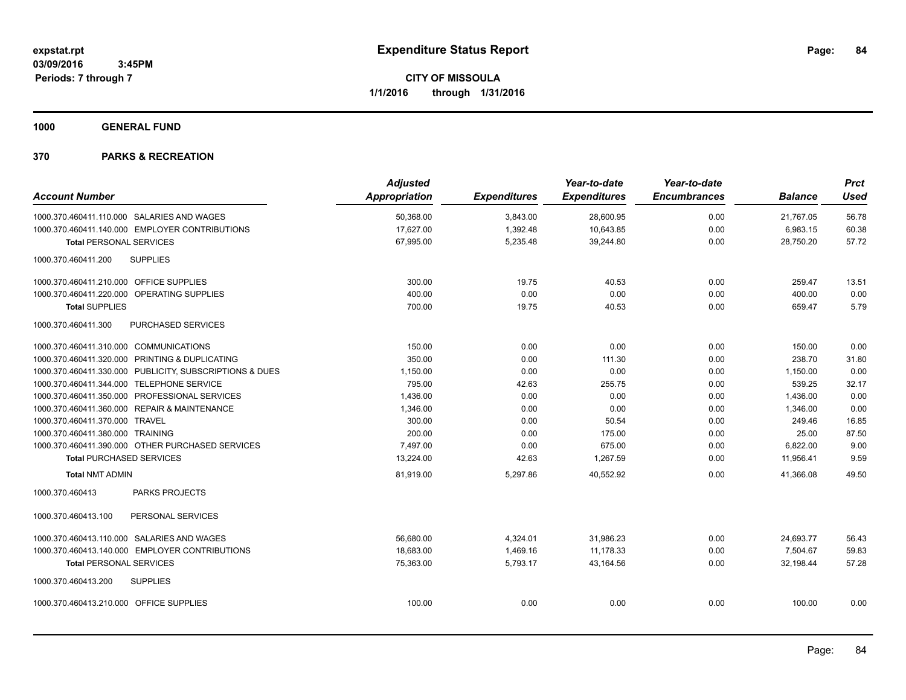**1000 GENERAL FUND**

|                                                         | <b>Adjusted</b> |                     | Year-to-date        | Year-to-date        |                | <b>Prct</b> |
|---------------------------------------------------------|-----------------|---------------------|---------------------|---------------------|----------------|-------------|
| <b>Account Number</b>                                   | Appropriation   | <b>Expenditures</b> | <b>Expenditures</b> | <b>Encumbrances</b> | <b>Balance</b> | <b>Used</b> |
| 1000.370.460411.110.000 SALARIES AND WAGES              | 50,368.00       | 3,843.00            | 28,600.95           | 0.00                | 21,767.05      | 56.78       |
| 1000.370.460411.140.000 EMPLOYER CONTRIBUTIONS          | 17,627.00       | 1,392.48            | 10,643.85           | 0.00                | 6,983.15       | 60.38       |
| <b>Total PERSONAL SERVICES</b>                          | 67,995.00       | 5,235.48            | 39,244.80           | 0.00                | 28,750.20      | 57.72       |
| 1000.370.460411.200<br><b>SUPPLIES</b>                  |                 |                     |                     |                     |                |             |
| 1000.370.460411.210.000 OFFICE SUPPLIES                 | 300.00          | 19.75               | 40.53               | 0.00                | 259.47         | 13.51       |
| 1000.370.460411.220.000 OPERATING SUPPLIES              | 400.00          | 0.00                | 0.00                | 0.00                | 400.00         | 0.00        |
| <b>Total SUPPLIES</b>                                   | 700.00          | 19.75               | 40.53               | 0.00                | 659.47         | 5.79        |
| 1000.370.460411.300<br><b>PURCHASED SERVICES</b>        |                 |                     |                     |                     |                |             |
| 1000.370.460411.310.000 COMMUNICATIONS                  | 150.00          | 0.00                | 0.00                | 0.00                | 150.00         | 0.00        |
| 1000.370.460411.320.000 PRINTING & DUPLICATING          | 350.00          | 0.00                | 111.30              | 0.00                | 238.70         | 31.80       |
| 1000.370.460411.330.000 PUBLICITY, SUBSCRIPTIONS & DUES | 1,150.00        | 0.00                | 0.00                | 0.00                | 1,150.00       | 0.00        |
| 1000.370.460411.344.000 TELEPHONE SERVICE               | 795.00          | 42.63               | 255.75              | 0.00                | 539.25         | 32.17       |
| 1000.370.460411.350.000 PROFESSIONAL SERVICES           | 1,436.00        | 0.00                | 0.00                | 0.00                | 1,436.00       | 0.00        |
| 1000.370.460411.360.000 REPAIR & MAINTENANCE            | 1,346.00        | 0.00                | 0.00                | 0.00                | 1,346.00       | 0.00        |
| 1000.370.460411.370.000 TRAVEL                          | 300.00          | 0.00                | 50.54               | 0.00                | 249.46         | 16.85       |
| 1000.370.460411.380.000 TRAINING                        | 200.00          | 0.00                | 175.00              | 0.00                | 25.00          | 87.50       |
| 1000.370.460411.390.000 OTHER PURCHASED SERVICES        | 7,497.00        | 0.00                | 675.00              | 0.00                | 6,822.00       | 9.00        |
| <b>Total PURCHASED SERVICES</b>                         | 13,224.00       | 42.63               | 1,267.59            | 0.00                | 11,956.41      | 9.59        |
| <b>Total NMT ADMIN</b>                                  | 81,919.00       | 5,297.86            | 40,552.92           | 0.00                | 41.366.08      | 49.50       |
| <b>PARKS PROJECTS</b><br>1000.370.460413                |                 |                     |                     |                     |                |             |
| PERSONAL SERVICES<br>1000.370.460413.100                |                 |                     |                     |                     |                |             |
| 1000.370.460413.110.000 SALARIES AND WAGES              | 56,680.00       | 4,324.01            | 31,986.23           | 0.00                | 24,693.77      | 56.43       |
| 1000.370.460413.140.000 EMPLOYER CONTRIBUTIONS          | 18.683.00       | 1.469.16            | 11.178.33           | 0.00                | 7.504.67       | 59.83       |
| <b>Total PERSONAL SERVICES</b>                          | 75,363.00       | 5,793.17            | 43,164.56           | 0.00                | 32,198.44      | 57.28       |
| 1000.370.460413.200<br><b>SUPPLIES</b>                  |                 |                     |                     |                     |                |             |
| 1000.370.460413.210.000 OFFICE SUPPLIES                 | 100.00          | 0.00                | 0.00                | 0.00                | 100.00         | 0.00        |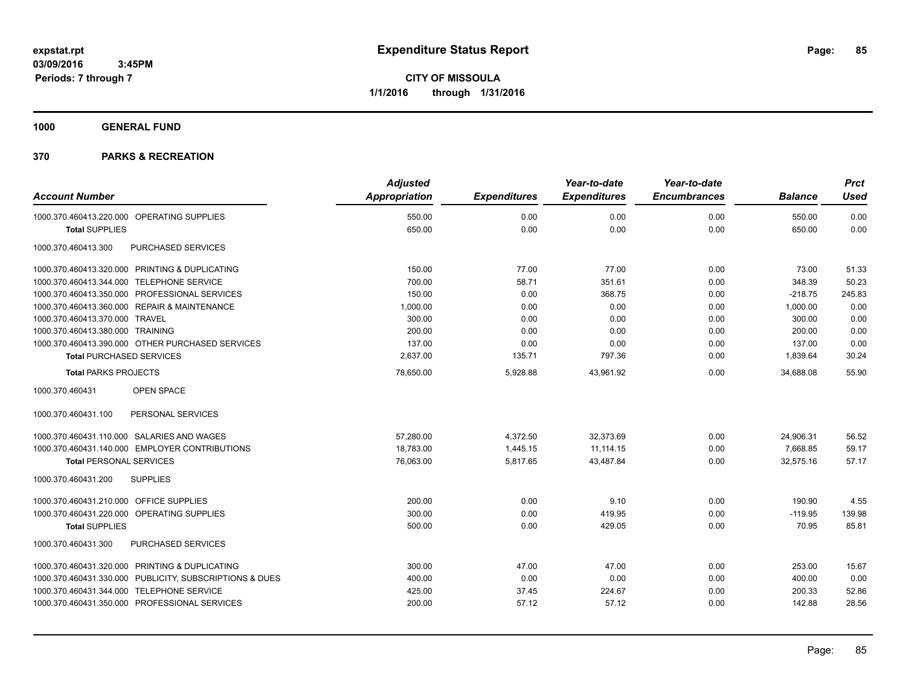**1000 GENERAL FUND**

|                                                         | <b>Adjusted</b>      |                     | Year-to-date        | Year-to-date        |                | <b>Prct</b> |
|---------------------------------------------------------|----------------------|---------------------|---------------------|---------------------|----------------|-------------|
| <b>Account Number</b>                                   | <b>Appropriation</b> | <b>Expenditures</b> | <b>Expenditures</b> | <b>Encumbrances</b> | <b>Balance</b> | <b>Used</b> |
| 1000.370.460413.220.000 OPERATING SUPPLIES              | 550.00               | 0.00                | 0.00                | 0.00                | 550.00         | 0.00        |
| <b>Total SUPPLIES</b>                                   | 650.00               | 0.00                | 0.00                | 0.00                | 650.00         | 0.00        |
| 1000.370.460413.300<br>PURCHASED SERVICES               |                      |                     |                     |                     |                |             |
| 1000.370.460413.320.000 PRINTING & DUPLICATING          | 150.00               | 77.00               | 77.00               | 0.00                | 73.00          | 51.33       |
| 1000.370.460413.344.000 TELEPHONE SERVICE               | 700.00               | 58.71               | 351.61              | 0.00                | 348.39         | 50.23       |
| 1000.370.460413.350.000 PROFESSIONAL SERVICES           | 150.00               | 0.00                | 368.75              | 0.00                | $-218.75$      | 245.83      |
| 1000.370.460413.360.000 REPAIR & MAINTENANCE            | 1,000.00             | 0.00                | 0.00                | 0.00                | 1,000.00       | 0.00        |
| 1000.370.460413.370.000 TRAVEL                          | 300.00               | 0.00                | 0.00                | 0.00                | 300.00         | 0.00        |
| 1000.370.460413.380.000 TRAINING                        | 200.00               | 0.00                | 0.00                | 0.00                | 200.00         | 0.00        |
| 1000.370.460413.390.000 OTHER PURCHASED SERVICES        | 137.00               | 0.00                | 0.00                | 0.00                | 137.00         | 0.00        |
| <b>Total PURCHASED SERVICES</b>                         | 2,637.00             | 135.71              | 797.36              | 0.00                | 1,839.64       | 30.24       |
| <b>Total PARKS PROJECTS</b>                             | 78,650.00            | 5,928.88            | 43,961.92           | 0.00                | 34,688.08      | 55.90       |
| 1000.370.460431<br><b>OPEN SPACE</b>                    |                      |                     |                     |                     |                |             |
| PERSONAL SERVICES<br>1000.370.460431.100                |                      |                     |                     |                     |                |             |
| 1000.370.460431.110.000 SALARIES AND WAGES              | 57,280.00            | 4,372.50            | 32,373.69           | 0.00                | 24,906.31      | 56.52       |
| 1000.370.460431.140.000 EMPLOYER CONTRIBUTIONS          | 18,783.00            | 1,445.15            | 11, 114. 15         | 0.00                | 7,668.85       | 59.17       |
| <b>Total PERSONAL SERVICES</b>                          | 76,063.00            | 5,817.65            | 43,487.84           | 0.00                | 32,575.16      | 57.17       |
| 1000.370.460431.200<br><b>SUPPLIES</b>                  |                      |                     |                     |                     |                |             |
| 1000.370.460431.210.000 OFFICE SUPPLIES                 | 200.00               | 0.00                | 9.10                | 0.00                | 190.90         | 4.55        |
| 1000.370.460431.220.000 OPERATING SUPPLIES              | 300.00               | 0.00                | 419.95              | 0.00                | $-119.95$      | 139.98      |
| <b>Total SUPPLIES</b>                                   | 500.00               | 0.00                | 429.05              | 0.00                | 70.95          | 85.81       |
| PURCHASED SERVICES<br>1000.370.460431.300               |                      |                     |                     |                     |                |             |
| 1000.370.460431.320.000 PRINTING & DUPLICATING          | 300.00               | 47.00               | 47.00               | 0.00                | 253.00         | 15.67       |
| 1000.370.460431.330.000 PUBLICITY, SUBSCRIPTIONS & DUES | 400.00               | 0.00                | 0.00                | 0.00                | 400.00         | 0.00        |
| 1000.370.460431.344.000 TELEPHONE SERVICE               | 425.00               | 37.45               | 224.67              | 0.00                | 200.33         | 52.86       |
| 1000.370.460431.350.000 PROFESSIONAL SERVICES           | 200.00               | 57.12               | 57.12               | 0.00                | 142.88         | 28.56       |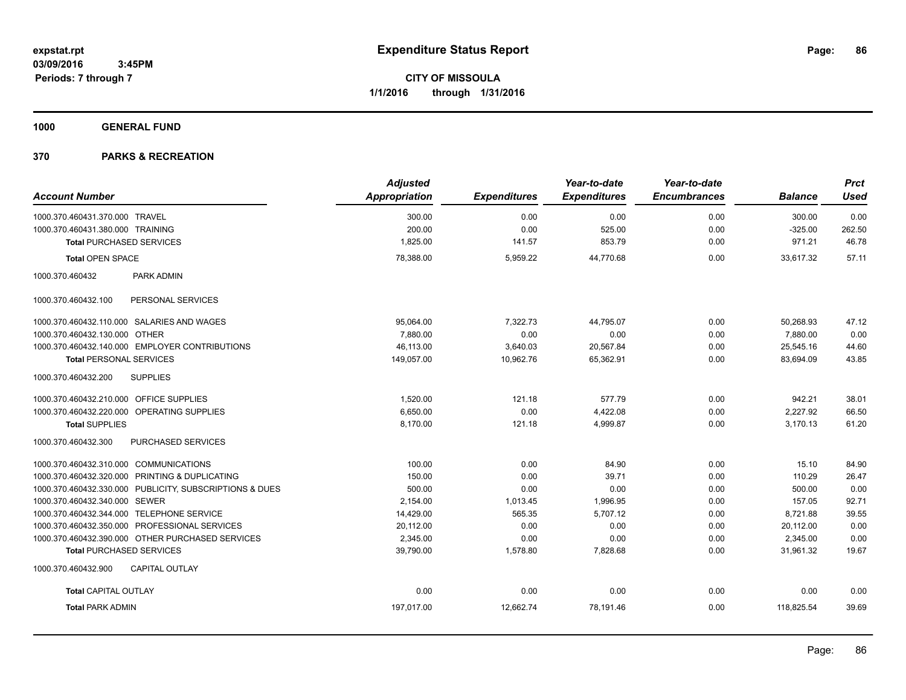**1000 GENERAL FUND**

|                                                         | <b>Adjusted</b> |                     | Year-to-date        | Year-to-date        |                | <b>Prct</b> |
|---------------------------------------------------------|-----------------|---------------------|---------------------|---------------------|----------------|-------------|
| <b>Account Number</b>                                   | Appropriation   | <b>Expenditures</b> | <b>Expenditures</b> | <b>Encumbrances</b> | <b>Balance</b> | <b>Used</b> |
| 1000.370.460431.370.000 TRAVEL                          | 300.00          | 0.00                | 0.00                | 0.00                | 300.00         | 0.00        |
| 1000.370.460431.380.000 TRAINING                        | 200.00          | 0.00                | 525.00              | 0.00                | $-325.00$      | 262.50      |
| <b>Total PURCHASED SERVICES</b>                         | 1,825.00        | 141.57              | 853.79              | 0.00                | 971.21         | 46.78       |
| <b>Total OPEN SPACE</b>                                 | 78,388.00       | 5,959.22            | 44,770.68           | 0.00                | 33,617.32      | 57.11       |
| 1000.370.460432<br>PARK ADMIN                           |                 |                     |                     |                     |                |             |
| 1000.370.460432.100<br>PERSONAL SERVICES                |                 |                     |                     |                     |                |             |
| 1000.370.460432.110.000 SALARIES AND WAGES              | 95,064.00       | 7,322.73            | 44,795.07           | 0.00                | 50,268.93      | 47.12       |
| 1000.370.460432.130.000 OTHER                           | 7.880.00        | 0.00                | 0.00                | 0.00                | 7,880.00       | 0.00        |
| 1000.370.460432.140.000 EMPLOYER CONTRIBUTIONS          | 46,113.00       | 3,640.03            | 20,567.84           | 0.00                | 25,545.16      | 44.60       |
| <b>Total PERSONAL SERVICES</b>                          | 149,057.00      | 10,962.76           | 65,362.91           | 0.00                | 83,694.09      | 43.85       |
| 1000.370.460432.200<br><b>SUPPLIES</b>                  |                 |                     |                     |                     |                |             |
| 1000.370.460432.210.000 OFFICE SUPPLIES                 | 1,520.00        | 121.18              | 577.79              | 0.00                | 942.21         | 38.01       |
| 1000.370.460432.220.000 OPERATING SUPPLIES              | 6,650.00        | 0.00                | 4,422.08            | 0.00                | 2,227.92       | 66.50       |
| <b>Total SUPPLIES</b>                                   | 8,170.00        | 121.18              | 4,999.87            | 0.00                | 3,170.13       | 61.20       |
| 1000.370.460432.300<br>PURCHASED SERVICES               |                 |                     |                     |                     |                |             |
| 1000.370.460432.310.000 COMMUNICATIONS                  | 100.00          | 0.00                | 84.90               | 0.00                | 15.10          | 84.90       |
| 1000.370.460432.320.000 PRINTING & DUPLICATING          | 150.00          | 0.00                | 39.71               | 0.00                | 110.29         | 26.47       |
| 1000.370.460432.330.000 PUBLICITY, SUBSCRIPTIONS & DUES | 500.00          | 0.00                | 0.00                | 0.00                | 500.00         | 0.00        |
| 1000.370.460432.340.000 SEWER                           | 2,154.00        | 1,013.45            | 1,996.95            | 0.00                | 157.05         | 92.71       |
| 1000.370.460432.344.000 TELEPHONE SERVICE               | 14,429.00       | 565.35              | 5,707.12            | 0.00                | 8,721.88       | 39.55       |
| 1000.370.460432.350.000 PROFESSIONAL SERVICES           | 20,112.00       | 0.00                | 0.00                | 0.00                | 20,112.00      | 0.00        |
| 1000.370.460432.390.000 OTHER PURCHASED SERVICES        | 2,345.00        | 0.00                | 0.00                | 0.00                | 2,345.00       | 0.00        |
| <b>Total PURCHASED SERVICES</b>                         | 39,790.00       | 1,578.80            | 7,828.68            | 0.00                | 31,961.32      | 19.67       |
| 1000.370.460432.900<br><b>CAPITAL OUTLAY</b>            |                 |                     |                     |                     |                |             |
| <b>Total CAPITAL OUTLAY</b>                             | 0.00            | 0.00                | 0.00                | 0.00                | 0.00           | 0.00        |
| <b>Total PARK ADMIN</b>                                 | 197,017.00      | 12,662.74           | 78,191.46           | 0.00                | 118,825.54     | 39.69       |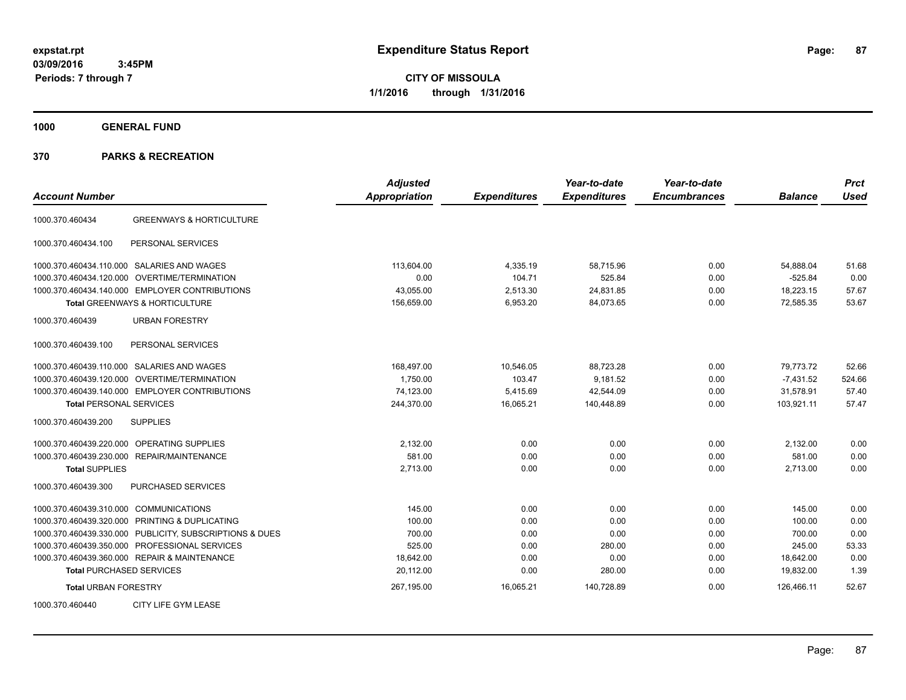**CITY OF MISSOULA 1/1/2016 through 1/31/2016**

**1000 GENERAL FUND**

| <b>Account Number</b>                                   | <b>Adjusted</b><br><b>Appropriation</b> | <b>Expenditures</b> | Year-to-date<br><b>Expenditures</b> | Year-to-date<br><b>Encumbrances</b> | <b>Balance</b> | <b>Prct</b><br><b>Used</b> |
|---------------------------------------------------------|-----------------------------------------|---------------------|-------------------------------------|-------------------------------------|----------------|----------------------------|
| <b>GREENWAYS &amp; HORTICULTURE</b><br>1000.370.460434  |                                         |                     |                                     |                                     |                |                            |
| PERSONAL SERVICES<br>1000.370.460434.100                |                                         |                     |                                     |                                     |                |                            |
| 1000.370.460434.110.000 SALARIES AND WAGES              | 113.604.00                              | 4,335.19            | 58.715.96                           | 0.00                                | 54,888.04      | 51.68                      |
| 1000.370.460434.120.000<br><b>OVERTIME/TERMINATION</b>  | 0.00                                    | 104.71              | 525.84                              | 0.00                                | $-525.84$      | 0.00                       |
| 1000.370.460434.140.000 EMPLOYER CONTRIBUTIONS          | 43,055.00                               | 2,513.30            | 24,831.85                           | 0.00                                | 18,223.15      | 57.67                      |
| <b>Total GREENWAYS &amp; HORTICULTURE</b>               | 156,659.00                              | 6,953.20            | 84,073.65                           | 0.00                                | 72,585.35      | 53.67                      |
| 1000.370.460439<br><b>URBAN FORESTRY</b>                |                                         |                     |                                     |                                     |                |                            |
| PERSONAL SERVICES<br>1000.370.460439.100                |                                         |                     |                                     |                                     |                |                            |
| 1000.370.460439.110.000 SALARIES AND WAGES              | 168,497.00                              | 10,546.05           | 88,723.28                           | 0.00                                | 79,773.72      | 52.66                      |
| 1000.370.460439.120.000 OVERTIME/TERMINATION            | 1,750.00                                | 103.47              | 9,181.52                            | 0.00                                | $-7,431.52$    | 524.66                     |
| 1000.370.460439.140.000 EMPLOYER CONTRIBUTIONS          | 74,123.00                               | 5,415.69            | 42,544.09                           | 0.00                                | 31,578.91      | 57.40                      |
| <b>Total PERSONAL SERVICES</b>                          | 244,370.00                              | 16,065.21           | 140,448.89                          | 0.00                                | 103,921.11     | 57.47                      |
| <b>SUPPLIES</b><br>1000.370.460439.200                  |                                         |                     |                                     |                                     |                |                            |
| <b>OPERATING SUPPLIES</b><br>1000.370.460439.220.000    | 2,132.00                                | 0.00                | 0.00                                | 0.00                                | 2,132.00       | 0.00                       |
| 1000.370.460439.230.000 REPAIR/MAINTENANCE              | 581.00                                  | 0.00                | 0.00                                | 0.00                                | 581.00         | 0.00                       |
| <b>Total SUPPLIES</b>                                   | 2,713.00                                | 0.00                | 0.00                                | 0.00                                | 2,713.00       | 0.00                       |
| PURCHASED SERVICES<br>1000.370.460439.300               |                                         |                     |                                     |                                     |                |                            |
| 1000.370.460439.310.000 COMMUNICATIONS                  | 145.00                                  | 0.00                | 0.00                                | 0.00                                | 145.00         | 0.00                       |
| 1000.370.460439.320.000 PRINTING & DUPLICATING          | 100.00                                  | 0.00                | 0.00                                | 0.00                                | 100.00         | 0.00                       |
| 1000.370.460439.330.000 PUBLICITY, SUBSCRIPTIONS & DUES | 700.00                                  | 0.00                | 0.00                                | 0.00                                | 700.00         | 0.00                       |
| 1000.370.460439.350.000 PROFESSIONAL SERVICES           | 525.00                                  | 0.00                | 280.00                              | 0.00                                | 245.00         | 53.33                      |
| 1000.370.460439.360.000 REPAIR & MAINTENANCE            | 18,642.00                               | 0.00                | 0.00                                | 0.00                                | 18.642.00      | 0.00                       |
| <b>Total PURCHASED SERVICES</b>                         | 20,112.00                               | 0.00                | 280.00                              | 0.00                                | 19,832.00      | 1.39                       |
| <b>Total URBAN FORESTRY</b>                             | 267,195.00                              | 16,065.21           | 140,728.89                          | 0.00                                | 126,466.11     | 52.67                      |
| CITY LIFE GYM LEASE<br>1000.370.460440                  |                                         |                     |                                     |                                     |                |                            |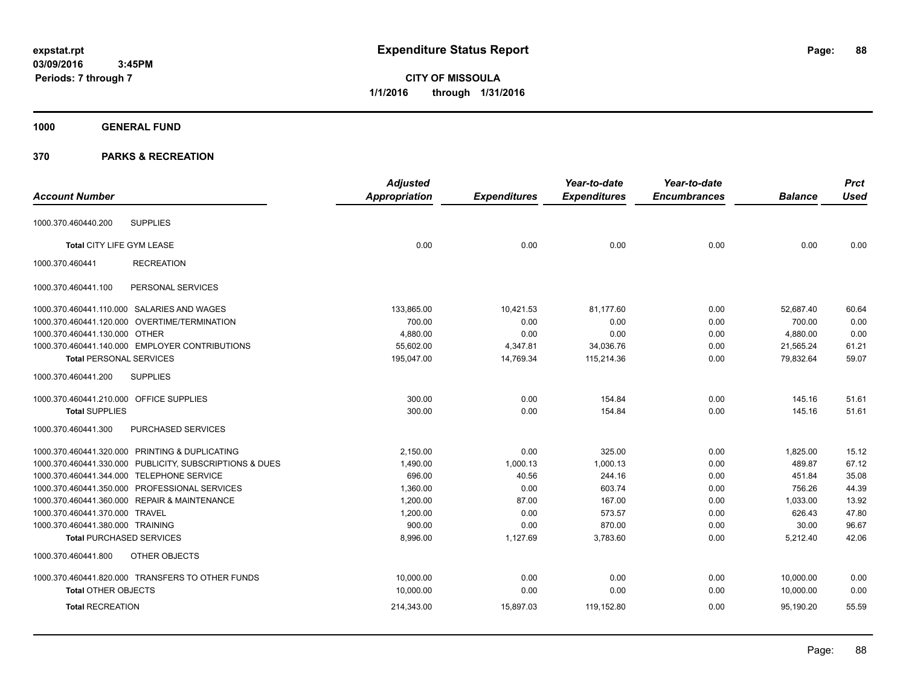**CITY OF MISSOULA 1/1/2016 through 1/31/2016**

# **1000 GENERAL FUND**

|                                         |                                                         | <b>Adjusted</b>      |                     | Year-to-date        | Year-to-date        |                | <b>Prct</b> |
|-----------------------------------------|---------------------------------------------------------|----------------------|---------------------|---------------------|---------------------|----------------|-------------|
| <b>Account Number</b>                   |                                                         | <b>Appropriation</b> | <b>Expenditures</b> | <b>Expenditures</b> | <b>Encumbrances</b> | <b>Balance</b> | <b>Used</b> |
| 1000.370.460440.200                     | <b>SUPPLIES</b>                                         |                      |                     |                     |                     |                |             |
|                                         |                                                         |                      |                     |                     |                     |                |             |
| Total CITY LIFE GYM LEASE               |                                                         | 0.00                 | 0.00                | 0.00                | 0.00                | 0.00           | 0.00        |
| 1000.370.460441                         | <b>RECREATION</b>                                       |                      |                     |                     |                     |                |             |
| 1000.370.460441.100                     | PERSONAL SERVICES                                       |                      |                     |                     |                     |                |             |
|                                         | 1000.370.460441.110.000 SALARIES AND WAGES              | 133,865.00           | 10,421.53           | 81,177.60           | 0.00                | 52,687.40      | 60.64       |
|                                         | 1000.370.460441.120.000 OVERTIME/TERMINATION            | 700.00               | 0.00                | 0.00                | 0.00                | 700.00         | 0.00        |
| 1000.370.460441.130.000 OTHER           |                                                         | 4.880.00             | 0.00                | 0.00                | 0.00                | 4,880.00       | 0.00        |
|                                         | 1000.370.460441.140.000 EMPLOYER CONTRIBUTIONS          | 55,602.00            | 4,347.81            | 34,036.76           | 0.00                | 21,565.24      | 61.21       |
| <b>Total PERSONAL SERVICES</b>          |                                                         | 195,047.00           | 14,769.34           | 115,214.36          | 0.00                | 79,832.64      | 59.07       |
| 1000.370.460441.200                     | <b>SUPPLIES</b>                                         |                      |                     |                     |                     |                |             |
| 1000.370.460441.210.000 OFFICE SUPPLIES |                                                         | 300.00               | 0.00                | 154.84              | 0.00                | 145.16         | 51.61       |
| <b>Total SUPPLIES</b>                   |                                                         | 300.00               | 0.00                | 154.84              | 0.00                | 145.16         | 51.61       |
| 1000.370.460441.300                     | PURCHASED SERVICES                                      |                      |                     |                     |                     |                |             |
|                                         | 1000.370.460441.320.000 PRINTING & DUPLICATING          | 2.150.00             | 0.00                | 325.00              | 0.00                | 1,825.00       | 15.12       |
|                                         | 1000.370.460441.330.000 PUBLICITY, SUBSCRIPTIONS & DUES | 1,490.00             | 1,000.13            | 1,000.13            | 0.00                | 489.87         | 67.12       |
|                                         | 1000.370.460441.344.000 TELEPHONE SERVICE               | 696.00               | 40.56               | 244.16              | 0.00                | 451.84         | 35.08       |
|                                         | 1000.370.460441.350.000 PROFESSIONAL SERVICES           | 1.360.00             | 0.00                | 603.74              | 0.00                | 756.26         | 44.39       |
|                                         | 1000.370.460441.360.000 REPAIR & MAINTENANCE            | 1,200.00             | 87.00               | 167.00              | 0.00                | 1,033.00       | 13.92       |
| 1000.370.460441.370.000 TRAVEL          |                                                         | 1,200.00             | 0.00                | 573.57              | 0.00                | 626.43         | 47.80       |
| 1000.370.460441.380.000 TRAINING        |                                                         | 900.00               | 0.00                | 870.00              | 0.00                | 30.00          | 96.67       |
| <b>Total PURCHASED SERVICES</b>         |                                                         | 8,996.00             | 1,127.69            | 3,783.60            | 0.00                | 5,212.40       | 42.06       |
| 1000.370.460441.800                     | OTHER OBJECTS                                           |                      |                     |                     |                     |                |             |
|                                         | 1000.370.460441.820.000 TRANSFERS TO OTHER FUNDS        | 10,000.00            | 0.00                | 0.00                | 0.00                | 10,000.00      | 0.00        |
| <b>Total OTHER OBJECTS</b>              |                                                         | 10,000.00            | 0.00                | 0.00                | 0.00                | 10,000.00      | 0.00        |
| <b>Total RECREATION</b>                 |                                                         | 214,343.00           | 15,897.03           | 119,152.80          | 0.00                | 95.190.20      | 55.59       |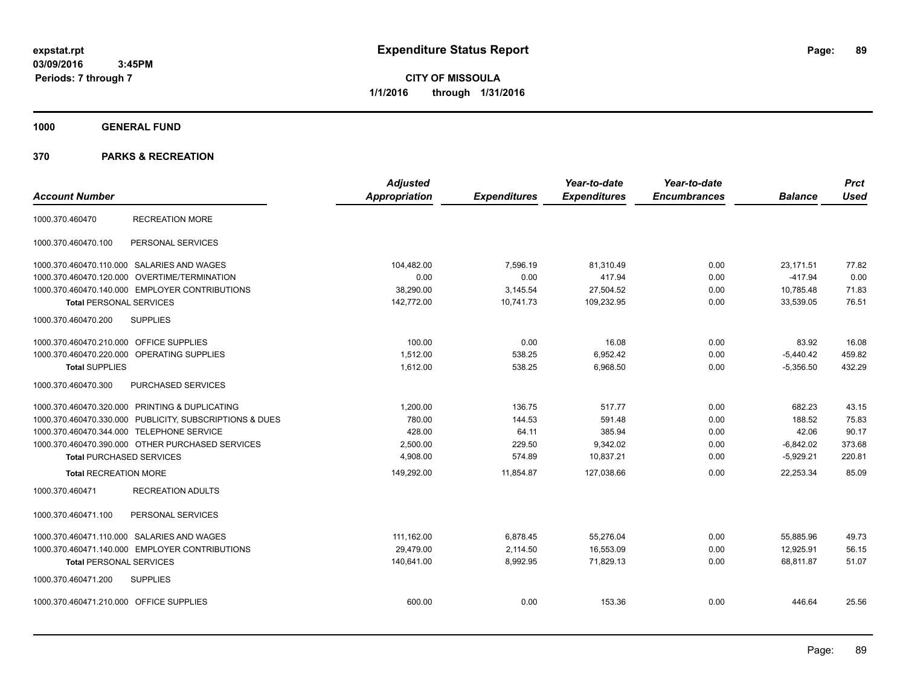**CITY OF MISSOULA 1/1/2016 through 1/31/2016**

**1000 GENERAL FUND**

| <b>Account Number</b>                   |                                                         | <b>Adjusted</b><br>Appropriation | <b>Expenditures</b> | Year-to-date<br><b>Expenditures</b> | Year-to-date<br><b>Encumbrances</b> | <b>Balance</b> | <b>Prct</b><br><b>Used</b> |
|-----------------------------------------|---------------------------------------------------------|----------------------------------|---------------------|-------------------------------------|-------------------------------------|----------------|----------------------------|
| 1000.370.460470                         | <b>RECREATION MORE</b>                                  |                                  |                     |                                     |                                     |                |                            |
| 1000.370.460470.100                     | PERSONAL SERVICES                                       |                                  |                     |                                     |                                     |                |                            |
|                                         | 1000.370.460470.110.000 SALARIES AND WAGES              | 104,482.00                       | 7,596.19            | 81,310.49                           | 0.00                                | 23,171.51      | 77.82                      |
|                                         | 1000.370.460470.120.000 OVERTIME/TERMINATION            | 0.00                             | 0.00                | 417.94                              | 0.00                                | $-417.94$      | 0.00                       |
|                                         | 1000.370.460470.140.000 EMPLOYER CONTRIBUTIONS          | 38,290.00                        | 3,145.54            | 27,504.52                           | 0.00                                | 10,785.48      | 71.83                      |
| <b>Total PERSONAL SERVICES</b>          |                                                         | 142,772.00                       | 10,741.73           | 109,232.95                          | 0.00                                | 33,539.05      | 76.51                      |
| 1000.370.460470.200                     | <b>SUPPLIES</b>                                         |                                  |                     |                                     |                                     |                |                            |
| 1000.370.460470.210.000 OFFICE SUPPLIES |                                                         | 100.00                           | 0.00                | 16.08                               | 0.00                                | 83.92          | 16.08                      |
|                                         | 1000.370.460470.220.000 OPERATING SUPPLIES              | 1,512.00                         | 538.25              | 6,952.42                            | 0.00                                | $-5,440.42$    | 459.82                     |
| <b>Total SUPPLIES</b>                   |                                                         | 1,612.00                         | 538.25              | 6,968.50                            | 0.00                                | $-5,356.50$    | 432.29                     |
| 1000.370.460470.300                     | PURCHASED SERVICES                                      |                                  |                     |                                     |                                     |                |                            |
|                                         | 1000.370.460470.320.000 PRINTING & DUPLICATING          | 1.200.00                         | 136.75              | 517.77                              | 0.00                                | 682.23         | 43.15                      |
|                                         | 1000.370.460470.330.000 PUBLICITY, SUBSCRIPTIONS & DUES | 780.00                           | 144.53              | 591.48                              | 0.00                                | 188.52         | 75.83                      |
|                                         | 1000.370.460470.344.000 TELEPHONE SERVICE               | 428.00                           | 64.11               | 385.94                              | 0.00                                | 42.06          | 90.17                      |
|                                         | 1000.370.460470.390.000 OTHER PURCHASED SERVICES        | 2,500.00                         | 229.50              | 9,342.02                            | 0.00                                | $-6,842.02$    | 373.68                     |
| <b>Total PURCHASED SERVICES</b>         |                                                         | 4,908.00                         | 574.89              | 10,837.21                           | 0.00                                | $-5,929.21$    | 220.81                     |
| <b>Total RECREATION MORE</b>            |                                                         | 149.292.00                       | 11.854.87           | 127.038.66                          | 0.00                                | 22.253.34      | 85.09                      |
| 1000.370.460471                         | <b>RECREATION ADULTS</b>                                |                                  |                     |                                     |                                     |                |                            |
| 1000.370.460471.100                     | PERSONAL SERVICES                                       |                                  |                     |                                     |                                     |                |                            |
|                                         | 1000.370.460471.110.000 SALARIES AND WAGES              | 111,162.00                       | 6,878.45            | 55,276.04                           | 0.00                                | 55.885.96      | 49.73                      |
|                                         | 1000.370.460471.140.000 EMPLOYER CONTRIBUTIONS          | 29.479.00                        | 2,114.50            | 16.553.09                           | 0.00                                | 12.925.91      | 56.15                      |
| <b>Total PERSONAL SERVICES</b>          |                                                         | 140,641.00                       | 8,992.95            | 71,829.13                           | 0.00                                | 68,811.87      | 51.07                      |
| 1000.370.460471.200                     | <b>SUPPLIES</b>                                         |                                  |                     |                                     |                                     |                |                            |
| 1000.370.460471.210.000 OFFICE SUPPLIES |                                                         | 600.00                           | 0.00                | 153.36                              | 0.00                                | 446.64         | 25.56                      |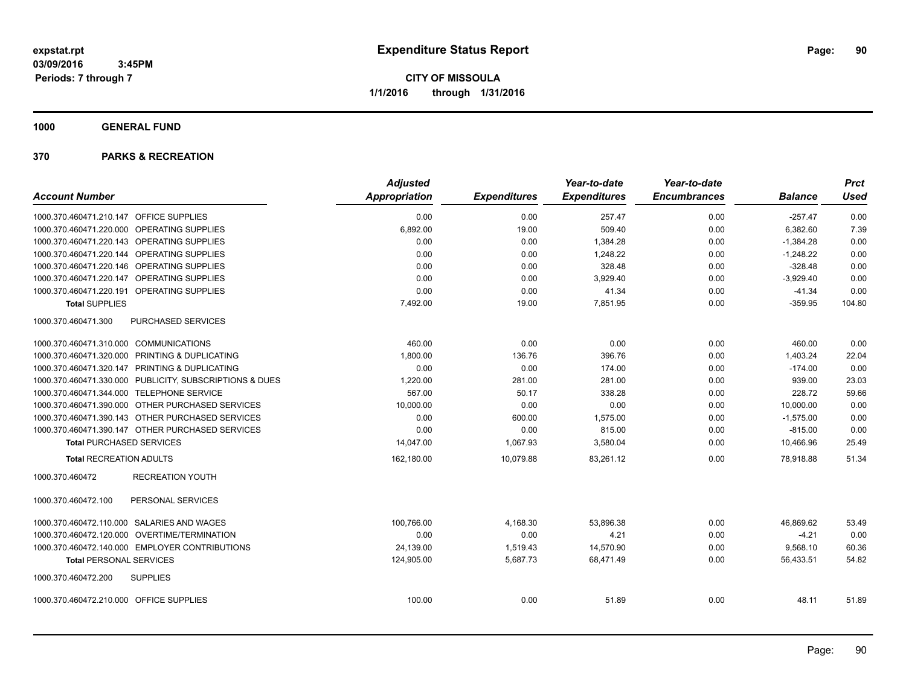**1000 GENERAL FUND**

|                                                         |                         | <b>Adjusted</b>      |                     | Year-to-date        | Year-to-date        |                | <b>Prct</b> |
|---------------------------------------------------------|-------------------------|----------------------|---------------------|---------------------|---------------------|----------------|-------------|
| <b>Account Number</b>                                   |                         | <b>Appropriation</b> | <b>Expenditures</b> | <b>Expenditures</b> | <b>Encumbrances</b> | <b>Balance</b> | <b>Used</b> |
| 1000.370.460471.210.147 OFFICE SUPPLIES                 |                         | 0.00                 | 0.00                | 257.47              | 0.00                | $-257.47$      | 0.00        |
| 1000.370.460471.220.000 OPERATING SUPPLIES              |                         | 6,892.00             | 19.00               | 509.40              | 0.00                | 6,382.60       | 7.39        |
| 1000.370.460471.220.143 OPERATING SUPPLIES              |                         | 0.00                 | 0.00                | 1,384.28            | 0.00                | $-1,384.28$    | 0.00        |
| 1000.370.460471.220.144 OPERATING SUPPLIES              |                         | 0.00                 | 0.00                | 1,248.22            | 0.00                | $-1,248.22$    | 0.00        |
| 1000.370.460471.220.146 OPERATING SUPPLIES              |                         | 0.00                 | 0.00                | 328.48              | 0.00                | $-328.48$      | 0.00        |
| 1000.370.460471.220.147 OPERATING SUPPLIES              |                         | 0.00                 | 0.00                | 3.929.40            | 0.00                | $-3,929.40$    | 0.00        |
| 1000.370.460471.220.191 OPERATING SUPPLIES              |                         | 0.00                 | 0.00                | 41.34               | 0.00                | $-41.34$       | 0.00        |
| <b>Total SUPPLIES</b>                                   |                         | 7,492.00             | 19.00               | 7,851.95            | 0.00                | $-359.95$      | 104.80      |
| 1000.370.460471.300                                     | PURCHASED SERVICES      |                      |                     |                     |                     |                |             |
| 1000.370.460471.310.000 COMMUNICATIONS                  |                         | 460.00               | 0.00                | 0.00                | 0.00                | 460.00         | 0.00        |
| 1000.370.460471.320.000 PRINTING & DUPLICATING          |                         | 1,800.00             | 136.76              | 396.76              | 0.00                | 1,403.24       | 22.04       |
| 1000.370.460471.320.147 PRINTING & DUPLICATING          |                         | 0.00                 | 0.00                | 174.00              | 0.00                | $-174.00$      | 0.00        |
| 1000.370.460471.330.000 PUBLICITY, SUBSCRIPTIONS & DUES |                         | 1,220.00             | 281.00              | 281.00              | 0.00                | 939.00         | 23.03       |
| 1000.370.460471.344.000 TELEPHONE SERVICE               |                         | 567.00               | 50.17               | 338.28              | 0.00                | 228.72         | 59.66       |
| 1000.370.460471.390.000 OTHER PURCHASED SERVICES        |                         | 10,000.00            | 0.00                | 0.00                | 0.00                | 10,000.00      | 0.00        |
| 1000.370.460471.390.143 OTHER PURCHASED SERVICES        |                         | 0.00                 | 600.00              | 1,575.00            | 0.00                | $-1,575.00$    | 0.00        |
| 1000.370.460471.390.147 OTHER PURCHASED SERVICES        |                         | 0.00                 | 0.00                | 815.00              | 0.00                | $-815.00$      | 0.00        |
| <b>Total PURCHASED SERVICES</b>                         |                         | 14,047.00            | 1,067.93            | 3,580.04            | 0.00                | 10.466.96      | 25.49       |
| <b>Total RECREATION ADULTS</b>                          |                         | 162,180.00           | 10,079.88           | 83,261.12           | 0.00                | 78,918.88      | 51.34       |
| 1000.370.460472                                         | <b>RECREATION YOUTH</b> |                      |                     |                     |                     |                |             |
| 1000.370.460472.100                                     | PERSONAL SERVICES       |                      |                     |                     |                     |                |             |
| 1000.370.460472.110.000 SALARIES AND WAGES              |                         | 100.766.00           | 4,168.30            | 53.896.38           | 0.00                | 46.869.62      | 53.49       |
| 1000.370.460472.120.000 OVERTIME/TERMINATION            |                         | 0.00                 | 0.00                | 4.21                | 0.00                | $-4.21$        | 0.00        |
| 1000.370.460472.140.000 EMPLOYER CONTRIBUTIONS          |                         | 24,139.00            | 1,519.43            | 14,570.90           | 0.00                | 9,568.10       | 60.36       |
| <b>Total PERSONAL SERVICES</b>                          |                         | 124,905.00           | 5,687.73            | 68,471.49           | 0.00                | 56,433.51      | 54.82       |
| 1000.370.460472.200<br><b>SUPPLIES</b>                  |                         |                      |                     |                     |                     |                |             |
| 1000.370.460472.210.000 OFFICE SUPPLIES                 |                         | 100.00               | 0.00                | 51.89               | 0.00                | 48.11          | 51.89       |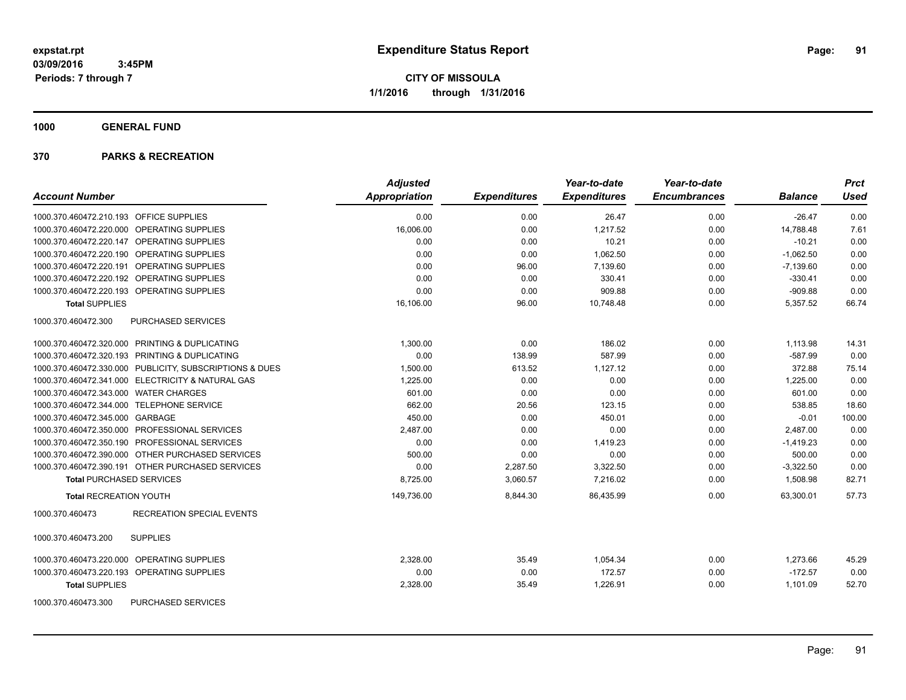**CITY OF MISSOULA 1/1/2016 through 1/31/2016**

**1000 GENERAL FUND**

|                                                         | <b>Adjusted</b>      |                     | Year-to-date        | Year-to-date        |                | <b>Prct</b> |
|---------------------------------------------------------|----------------------|---------------------|---------------------|---------------------|----------------|-------------|
| <b>Account Number</b>                                   | <b>Appropriation</b> | <b>Expenditures</b> | <b>Expenditures</b> | <b>Encumbrances</b> | <b>Balance</b> | <b>Used</b> |
| 1000.370.460472.210.193 OFFICE SUPPLIES                 | 0.00                 | 0.00                | 26.47               | 0.00                | $-26.47$       | 0.00        |
| 1000.370.460472.220.000 OPERATING SUPPLIES              | 16,006.00            | 0.00                | 1,217.52            | 0.00                | 14,788.48      | 7.61        |
| 1000.370.460472.220.147 OPERATING SUPPLIES              | 0.00                 | 0.00                | 10.21               | 0.00                | $-10.21$       | 0.00        |
| 1000.370.460472.220.190 OPERATING SUPPLIES              | 0.00                 | 0.00                | 1,062.50            | 0.00                | $-1,062.50$    | 0.00        |
| 1000.370.460472.220.191 OPERATING SUPPLIES              | 0.00                 | 96.00               | 7,139.60            | 0.00                | $-7,139.60$    | 0.00        |
| 1000.370.460472.220.192 OPERATING SUPPLIES              | 0.00                 | 0.00                | 330.41              | 0.00                | $-330.41$      | 0.00        |
| 1000.370.460472.220.193 OPERATING SUPPLIES              | 0.00                 | 0.00                | 909.88              | 0.00                | $-909.88$      | 0.00        |
| <b>Total SUPPLIES</b>                                   | 16,106.00            | 96.00               | 10,748.48           | 0.00                | 5,357.52       | 66.74       |
| 1000.370.460472.300<br>PURCHASED SERVICES               |                      |                     |                     |                     |                |             |
| 1000.370.460472.320.000 PRINTING & DUPLICATING          | 1,300.00             | 0.00                | 186.02              | 0.00                | 1,113.98       | 14.31       |
| 1000.370.460472.320.193 PRINTING & DUPLICATING          | 0.00                 | 138.99              | 587.99              | 0.00                | $-587.99$      | 0.00        |
| 1000.370.460472.330.000 PUBLICITY, SUBSCRIPTIONS & DUES | 1,500.00             | 613.52              | 1,127.12            | 0.00                | 372.88         | 75.14       |
| 1000.370.460472.341.000 ELECTRICITY & NATURAL GAS       | 1,225.00             | 0.00                | 0.00                | 0.00                | 1,225.00       | 0.00        |
| 1000.370.460472.343.000 WATER CHARGES                   | 601.00               | 0.00                | 0.00                | 0.00                | 601.00         | 0.00        |
| 1000.370.460472.344.000 TELEPHONE SERVICE               | 662.00               | 20.56               | 123.15              | 0.00                | 538.85         | 18.60       |
| 1000.370.460472.345.000 GARBAGE                         | 450.00               | 0.00                | 450.01              | 0.00                | $-0.01$        | 100.00      |
| 1000.370.460472.350.000 PROFESSIONAL SERVICES           | 2,487.00             | 0.00                | 0.00                | 0.00                | 2,487.00       | 0.00        |
| 1000.370.460472.350.190 PROFESSIONAL SERVICES           | 0.00                 | 0.00                | 1,419.23            | 0.00                | $-1,419.23$    | 0.00        |
| 1000.370.460472.390.000 OTHER PURCHASED SERVICES        | 500.00               | 0.00                | 0.00                | 0.00                | 500.00         | 0.00        |
| 1000.370.460472.390.191 OTHER PURCHASED SERVICES        | 0.00                 | 2,287.50            | 3,322.50            | 0.00                | $-3,322.50$    | 0.00        |
| <b>Total PURCHASED SERVICES</b>                         | 8,725.00             | 3,060.57            | 7,216.02            | 0.00                | 1,508.98       | 82.71       |
| <b>Total RECREATION YOUTH</b>                           | 149,736.00           | 8.844.30            | 86.435.99           | 0.00                | 63.300.01      | 57.73       |
| RECREATION SPECIAL EVENTS<br>1000.370.460473            |                      |                     |                     |                     |                |             |
| 1000.370.460473.200<br><b>SUPPLIES</b>                  |                      |                     |                     |                     |                |             |
| 1000.370.460473.220.000<br><b>OPERATING SUPPLIES</b>    | 2,328.00             | 35.49               | 1,054.34            | 0.00                | 1,273.66       | 45.29       |
| 1000.370.460473.220.193 OPERATING SUPPLIES              | 0.00                 | 0.00                | 172.57              | 0.00                | $-172.57$      | 0.00        |
| <b>Total SUPPLIES</b>                                   | 2,328.00             | 35.49               | 1,226.91            | 0.00                | 1,101.09       | 52.70       |
| 1000.370.460473.300<br>PURCHASED SERVICES               |                      |                     |                     |                     |                |             |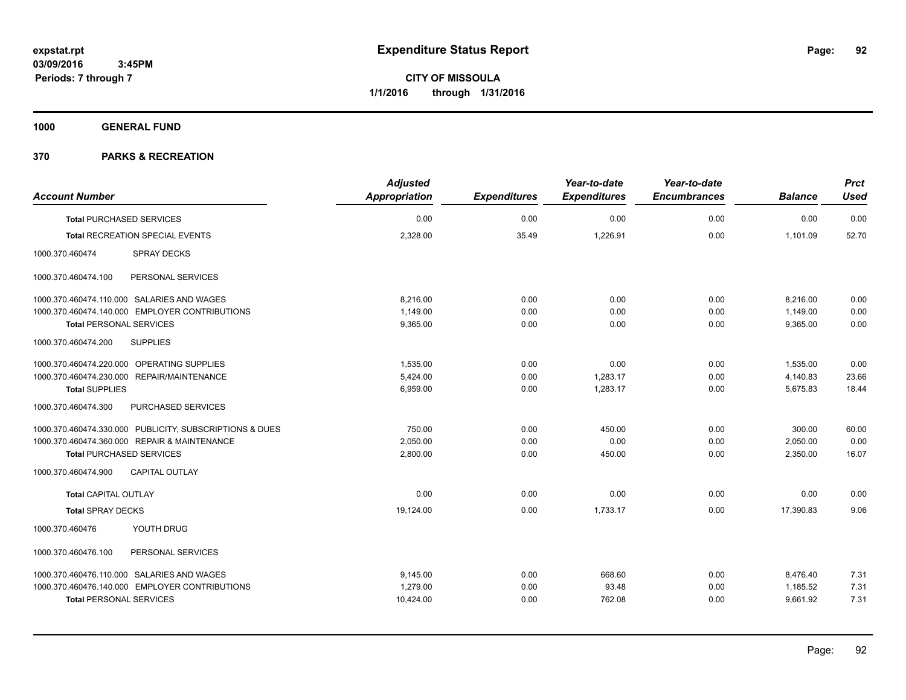**1000 GENERAL FUND**

|                                                         | <b>Adjusted</b>      |                     | Year-to-date        | Year-to-date        |                | <b>Prct</b> |
|---------------------------------------------------------|----------------------|---------------------|---------------------|---------------------|----------------|-------------|
| <b>Account Number</b>                                   | <b>Appropriation</b> | <b>Expenditures</b> | <b>Expenditures</b> | <b>Encumbrances</b> | <b>Balance</b> | <b>Used</b> |
| <b>Total PURCHASED SERVICES</b>                         | 0.00                 | 0.00                | 0.00                | 0.00                | 0.00           | 0.00        |
| Total RECREATION SPECIAL EVENTS                         | 2,328.00             | 35.49               | 1,226.91            | 0.00                | 1,101.09       | 52.70       |
| 1000.370.460474<br><b>SPRAY DECKS</b>                   |                      |                     |                     |                     |                |             |
| 1000.370.460474.100<br>PERSONAL SERVICES                |                      |                     |                     |                     |                |             |
| 1000.370.460474.110.000 SALARIES AND WAGES              | 8,216.00             | 0.00                | 0.00                | 0.00                | 8,216.00       | 0.00        |
| 1000.370.460474.140.000 EMPLOYER CONTRIBUTIONS          | 1,149.00             | 0.00                | 0.00                | 0.00                | 1,149.00       | 0.00        |
| <b>Total PERSONAL SERVICES</b>                          | 9,365.00             | 0.00                | 0.00                | 0.00                | 9,365.00       | 0.00        |
| 1000.370.460474.200<br><b>SUPPLIES</b>                  |                      |                     |                     |                     |                |             |
| 1000.370.460474.220.000 OPERATING SUPPLIES              | 1,535.00             | 0.00                | 0.00                | 0.00                | 1,535.00       | 0.00        |
| 1000.370.460474.230.000 REPAIR/MAINTENANCE              | 5.424.00             | 0.00                | 1,283.17            | 0.00                | 4,140.83       | 23.66       |
| <b>Total SUPPLIES</b>                                   | 6,959.00             | 0.00                | 1,283.17            | 0.00                | 5,675.83       | 18.44       |
| 1000.370.460474.300<br>PURCHASED SERVICES               |                      |                     |                     |                     |                |             |
| 1000.370.460474.330.000 PUBLICITY, SUBSCRIPTIONS & DUES | 750.00               | 0.00                | 450.00              | 0.00                | 300.00         | 60.00       |
| 1000.370.460474.360.000 REPAIR & MAINTENANCE            | 2,050.00             | 0.00                | 0.00                | 0.00                | 2,050.00       | 0.00        |
| <b>Total PURCHASED SERVICES</b>                         | 2,800.00             | 0.00                | 450.00              | 0.00                | 2,350.00       | 16.07       |
| 1000.370.460474.900<br><b>CAPITAL OUTLAY</b>            |                      |                     |                     |                     |                |             |
| Total CAPITAL OUTLAY                                    | 0.00                 | 0.00                | 0.00                | 0.00                | 0.00           | 0.00        |
| <b>Total SPRAY DECKS</b>                                | 19,124.00            | 0.00                | 1,733.17            | 0.00                | 17.390.83      | 9.06        |
| YOUTH DRUG<br>1000.370.460476                           |                      |                     |                     |                     |                |             |
| 1000.370.460476.100<br>PERSONAL SERVICES                |                      |                     |                     |                     |                |             |
| 1000.370.460476.110.000 SALARIES AND WAGES              | 9,145.00             | 0.00                | 668.60              | 0.00                | 8,476.40       | 7.31        |
| 1000.370.460476.140.000 EMPLOYER CONTRIBUTIONS          | 1.279.00             | 0.00                | 93.48               | 0.00                | 1,185.52       | 7.31        |
| <b>Total PERSONAL SERVICES</b>                          | 10,424.00            | 0.00                | 762.08              | 0.00                | 9,661.92       | 7.31        |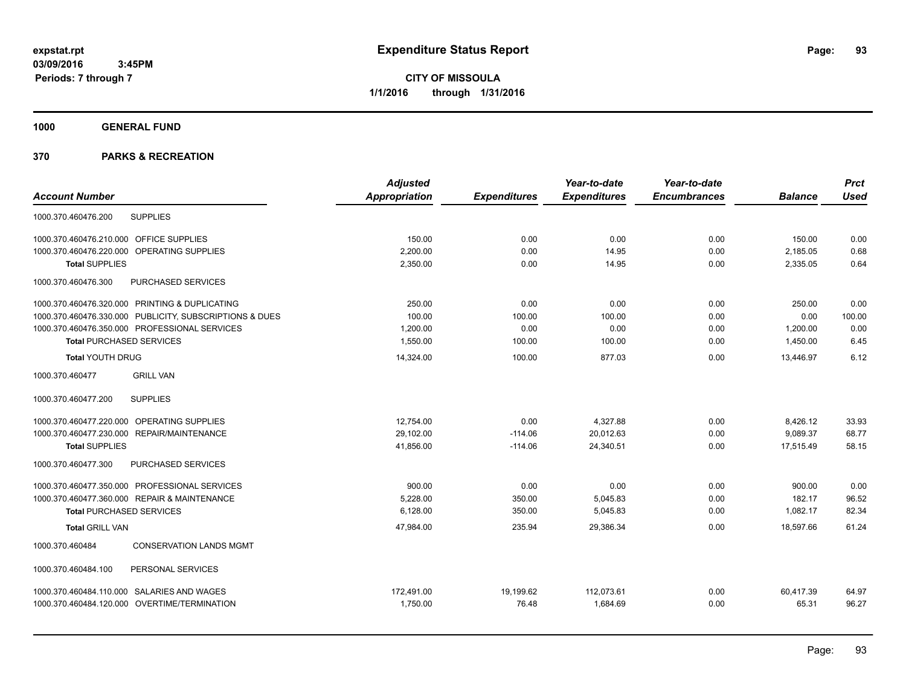**CITY OF MISSOULA 1/1/2016 through 1/31/2016**

**1000 GENERAL FUND**

|                                                         | <b>Adjusted</b>      |                     | Year-to-date        | Year-to-date        |                | <b>Prct</b> |
|---------------------------------------------------------|----------------------|---------------------|---------------------|---------------------|----------------|-------------|
| <b>Account Number</b>                                   | <b>Appropriation</b> | <b>Expenditures</b> | <b>Expenditures</b> | <b>Encumbrances</b> | <b>Balance</b> | <b>Used</b> |
| <b>SUPPLIES</b><br>1000.370.460476.200                  |                      |                     |                     |                     |                |             |
| 1000.370.460476.210.000 OFFICE SUPPLIES                 | 150.00               | 0.00                | 0.00                | 0.00                | 150.00         | 0.00        |
| OPERATING SUPPLIES<br>1000.370.460476.220.000           | 2,200.00             | 0.00                | 14.95               | 0.00                | 2,185.05       | 0.68        |
| <b>Total SUPPLIES</b>                                   | 2,350.00             | 0.00                | 14.95               | 0.00                | 2,335.05       | 0.64        |
| 1000.370.460476.300<br>PURCHASED SERVICES               |                      |                     |                     |                     |                |             |
| 1000.370.460476.320.000 PRINTING & DUPLICATING          | 250.00               | 0.00                | 0.00                | 0.00                | 250.00         | 0.00        |
| 1000.370.460476.330.000 PUBLICITY, SUBSCRIPTIONS & DUES | 100.00               | 100.00              | 100.00              | 0.00                | 0.00           | 100.00      |
| 1000.370.460476.350.000 PROFESSIONAL SERVICES           | 1,200.00             | 0.00                | 0.00                | 0.00                | 1,200.00       | 0.00        |
| <b>Total PURCHASED SERVICES</b>                         | 1,550.00             | 100.00              | 100.00              | 0.00                | 1,450.00       | 6.45        |
| <b>Total YOUTH DRUG</b>                                 | 14,324.00            | 100.00              | 877.03              | 0.00                | 13,446.97      | 6.12        |
| <b>GRILL VAN</b><br>1000.370.460477                     |                      |                     |                     |                     |                |             |
| <b>SUPPLIES</b><br>1000.370.460477.200                  |                      |                     |                     |                     |                |             |
| 1000.370.460477.220.000 OPERATING SUPPLIES              | 12,754.00            | 0.00                | 4,327.88            | 0.00                | 8,426.12       | 33.93       |
| 1000.370.460477.230.000 REPAIR/MAINTENANCE              | 29,102.00            | $-114.06$           | 20,012.63           | 0.00                | 9,089.37       | 68.77       |
| <b>Total SUPPLIES</b>                                   | 41,856.00            | $-114.06$           | 24,340.51           | 0.00                | 17,515.49      | 58.15       |
| PURCHASED SERVICES<br>1000.370.460477.300               |                      |                     |                     |                     |                |             |
| 1000.370.460477.350.000 PROFESSIONAL SERVICES           | 900.00               | 0.00                | 0.00                | 0.00                | 900.00         | 0.00        |
| 1000.370.460477.360.000 REPAIR & MAINTENANCE            | 5,228.00             | 350.00              | 5,045.83            | 0.00                | 182.17         | 96.52       |
| <b>Total PURCHASED SERVICES</b>                         | 6,128.00             | 350.00              | 5,045.83            | 0.00                | 1,082.17       | 82.34       |
| <b>Total GRILL VAN</b>                                  | 47.984.00            | 235.94              | 29.386.34           | 0.00                | 18.597.66      | 61.24       |
| <b>CONSERVATION LANDS MGMT</b><br>1000.370.460484       |                      |                     |                     |                     |                |             |
| 1000.370.460484.100<br>PERSONAL SERVICES                |                      |                     |                     |                     |                |             |
| 1000.370.460484.110.000 SALARIES AND WAGES              | 172,491.00           | 19,199.62           | 112,073.61          | 0.00                | 60,417.39      | 64.97       |
| 1000.370.460484.120.000 OVERTIME/TERMINATION            | 1,750.00             | 76.48               | 1,684.69            | 0.00                | 65.31          | 96.27       |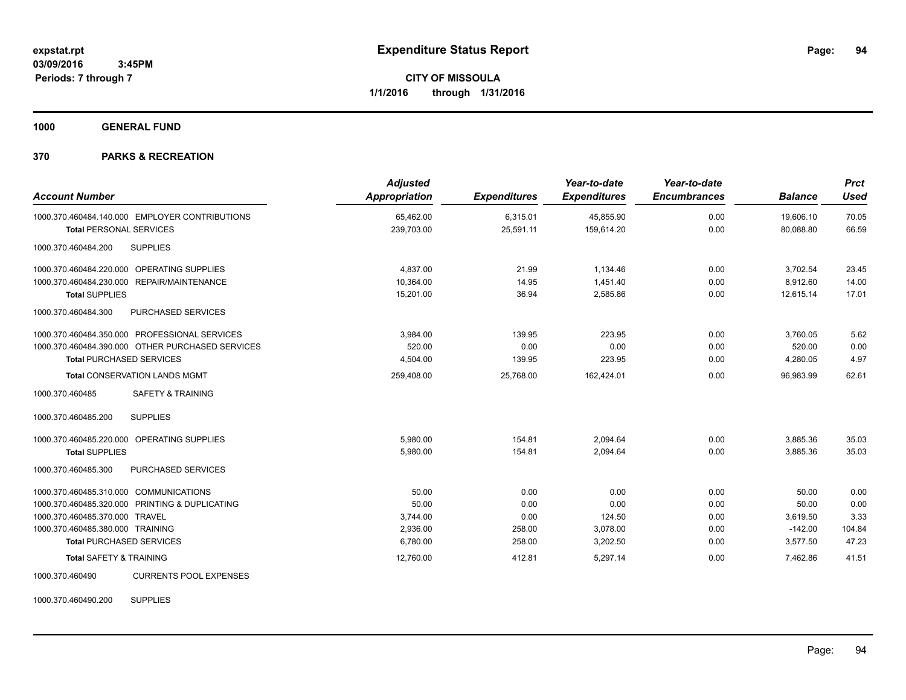**1000 GENERAL FUND**

# **370 PARKS & RECREATION**

| <b>Account Number</b>                            | <b>Adjusted</b><br><b>Appropriation</b> | <b>Expenditures</b> | Year-to-date<br><b>Expenditures</b> | Year-to-date<br><b>Encumbrances</b> | <b>Balance</b> | <b>Prct</b><br><b>Used</b> |
|--------------------------------------------------|-----------------------------------------|---------------------|-------------------------------------|-------------------------------------|----------------|----------------------------|
| 1000.370.460484.140.000 EMPLOYER CONTRIBUTIONS   | 65,462.00                               | 6,315.01            | 45,855.90                           | 0.00                                | 19,606.10      | 70.05                      |
| <b>Total PERSONAL SERVICES</b>                   | 239,703.00                              | 25,591.11           | 159,614.20                          | 0.00                                | 80,088.80      | 66.59                      |
| <b>SUPPLIES</b><br>1000.370.460484.200           |                                         |                     |                                     |                                     |                |                            |
| 1000.370.460484.220.000 OPERATING SUPPLIES       | 4,837.00                                | 21.99               | 1,134.46                            | 0.00                                | 3,702.54       | 23.45                      |
| 1000.370.460484.230.000 REPAIR/MAINTENANCE       | 10,364.00                               | 14.95               | 1,451.40                            | 0.00                                | 8,912.60       | 14.00                      |
| <b>Total SUPPLIES</b>                            | 15,201.00                               | 36.94               | 2,585.86                            | 0.00                                | 12,615.14      | 17.01                      |
| 1000.370.460484.300<br>PURCHASED SERVICES        |                                         |                     |                                     |                                     |                |                            |
| 1000.370.460484.350.000 PROFESSIONAL SERVICES    | 3.984.00                                | 139.95              | 223.95                              | 0.00                                | 3,760.05       | 5.62                       |
| 1000.370.460484.390.000 OTHER PURCHASED SERVICES | 520.00                                  | 0.00                | 0.00                                | 0.00                                | 520.00         | 0.00                       |
| <b>Total PURCHASED SERVICES</b>                  | 4,504.00                                | 139.95              | 223.95                              | 0.00                                | 4,280.05       | 4.97                       |
| <b>Total CONSERVATION LANDS MGMT</b>             | 259,408.00                              | 25,768.00           | 162,424.01                          | 0.00                                | 96.983.99      | 62.61                      |
| SAFETY & TRAINING<br>1000.370.460485             |                                         |                     |                                     |                                     |                |                            |
| <b>SUPPLIES</b><br>1000.370.460485.200           |                                         |                     |                                     |                                     |                |                            |
| 1000.370.460485.220.000 OPERATING SUPPLIES       | 5,980.00                                | 154.81              | 2,094.64                            | 0.00                                | 3,885.36       | 35.03                      |
| <b>Total SUPPLIES</b>                            | 5,980.00                                | 154.81              | 2,094.64                            | 0.00                                | 3,885.36       | 35.03                      |
| 1000.370.460485.300<br>PURCHASED SERVICES        |                                         |                     |                                     |                                     |                |                            |
| 1000.370.460485.310.000 COMMUNICATIONS           | 50.00                                   | 0.00                | 0.00                                | 0.00                                | 50.00          | 0.00                       |
| 1000.370.460485.320.000 PRINTING & DUPLICATING   | 50.00                                   | 0.00                | 0.00                                | 0.00                                | 50.00          | 0.00                       |
| 1000.370.460485.370.000 TRAVEL                   | 3,744.00                                | 0.00                | 124.50                              | 0.00                                | 3,619.50       | 3.33                       |
| 1000.370.460485.380.000 TRAINING                 | 2,936.00                                | 258.00              | 3,078.00                            | 0.00                                | $-142.00$      | 104.84                     |
| <b>Total PURCHASED SERVICES</b>                  | 6,780.00                                | 258.00              | 3,202.50                            | 0.00                                | 3,577.50       | 47.23                      |
| <b>Total SAFETY &amp; TRAINING</b>               | 12,760.00                               | 412.81              | 5,297.14                            | 0.00                                | 7,462.86       | 41.51                      |
| 1000.370.460490<br><b>CURRENTS POOL EXPENSES</b> |                                         |                     |                                     |                                     |                |                            |

1000.370.460490.200 SUPPLIES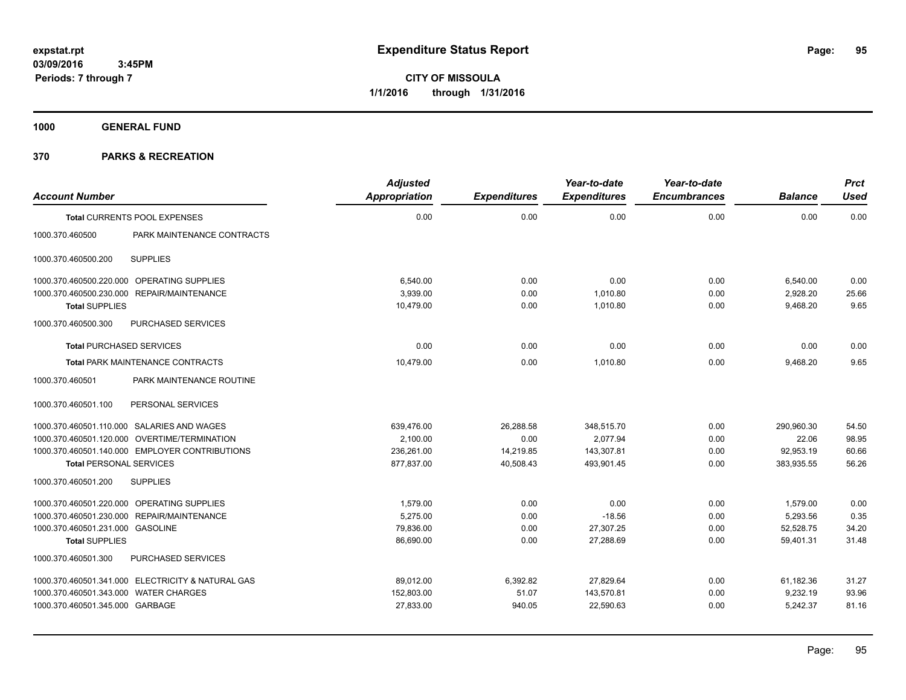**1000 GENERAL FUND**

| <b>Account Number</b>                 |                                                   | <b>Adjusted</b><br>Appropriation | <b>Expenditures</b> | Year-to-date<br><b>Expenditures</b> | Year-to-date<br><b>Encumbrances</b> | <b>Balance</b> | <b>Prct</b><br><b>Used</b> |
|---------------------------------------|---------------------------------------------------|----------------------------------|---------------------|-------------------------------------|-------------------------------------|----------------|----------------------------|
|                                       |                                                   |                                  |                     |                                     |                                     |                |                            |
|                                       | <b>Total CURRENTS POOL EXPENSES</b>               | 0.00                             | 0.00                | 0.00                                | 0.00                                | 0.00           | 0.00                       |
| 1000.370.460500                       | PARK MAINTENANCE CONTRACTS                        |                                  |                     |                                     |                                     |                |                            |
| 1000.370.460500.200                   | <b>SUPPLIES</b>                                   |                                  |                     |                                     |                                     |                |                            |
|                                       | 1000.370.460500.220.000 OPERATING SUPPLIES        | 6,540.00                         | 0.00                | 0.00                                | 0.00                                | 6,540.00       | 0.00                       |
|                                       | 1000.370.460500.230.000 REPAIR/MAINTENANCE        | 3,939.00                         | 0.00                | 1,010.80                            | 0.00                                | 2,928.20       | 25.66                      |
| <b>Total SUPPLIES</b>                 |                                                   | 10,479.00                        | 0.00                | 1,010.80                            | 0.00                                | 9,468.20       | 9.65                       |
| 1000.370.460500.300                   | PURCHASED SERVICES                                |                                  |                     |                                     |                                     |                |                            |
|                                       | <b>Total PURCHASED SERVICES</b>                   | 0.00                             | 0.00                | 0.00                                | 0.00                                | 0.00           | 0.00                       |
|                                       | <b>Total PARK MAINTENANCE CONTRACTS</b>           | 10.479.00                        | 0.00                | 1.010.80                            | 0.00                                | 9,468.20       | 9.65                       |
| 1000.370.460501                       | PARK MAINTENANCE ROUTINE                          |                                  |                     |                                     |                                     |                |                            |
| 1000.370.460501.100                   | PERSONAL SERVICES                                 |                                  |                     |                                     |                                     |                |                            |
|                                       | 1000.370.460501.110.000 SALARIES AND WAGES        | 639,476.00                       | 26,288.58           | 348,515.70                          | 0.00                                | 290,960.30     | 54.50                      |
|                                       | 1000.370.460501.120.000 OVERTIME/TERMINATION      | 2,100.00                         | 0.00                | 2,077.94                            | 0.00                                | 22.06          | 98.95                      |
|                                       | 1000.370.460501.140.000 EMPLOYER CONTRIBUTIONS    | 236,261.00                       | 14,219.85           | 143,307.81                          | 0.00                                | 92,953.19      | 60.66                      |
| <b>Total PERSONAL SERVICES</b>        |                                                   | 877,837.00                       | 40,508.43           | 493,901.45                          | 0.00                                | 383,935.55     | 56.26                      |
| 1000.370.460501.200                   | <b>SUPPLIES</b>                                   |                                  |                     |                                     |                                     |                |                            |
|                                       | 1000.370.460501.220.000 OPERATING SUPPLIES        | 1,579.00                         | 0.00                | 0.00                                | 0.00                                | 1,579.00       | 0.00                       |
|                                       | 1000.370.460501.230.000 REPAIR/MAINTENANCE        | 5,275.00                         | 0.00                | $-18.56$                            | 0.00                                | 5,293.56       | 0.35                       |
| 1000.370.460501.231.000 GASOLINE      |                                                   | 79,836.00                        | 0.00                | 27,307.25                           | 0.00                                | 52,528.75      | 34.20                      |
| <b>Total SUPPLIES</b>                 |                                                   | 86,690.00                        | 0.00                | 27,288.69                           | 0.00                                | 59,401.31      | 31.48                      |
| 1000.370.460501.300                   | PURCHASED SERVICES                                |                                  |                     |                                     |                                     |                |                            |
|                                       | 1000.370.460501.341.000 ELECTRICITY & NATURAL GAS | 89,012.00                        | 6,392.82            | 27,829.64                           | 0.00                                | 61,182.36      | 31.27                      |
| 1000.370.460501.343.000 WATER CHARGES |                                                   | 152,803.00                       | 51.07               | 143,570.81                          | 0.00                                | 9,232.19       | 93.96                      |
| 1000.370.460501.345.000 GARBAGE       |                                                   | 27,833.00                        | 940.05              | 22,590.63                           | 0.00                                | 5,242.37       | 81.16                      |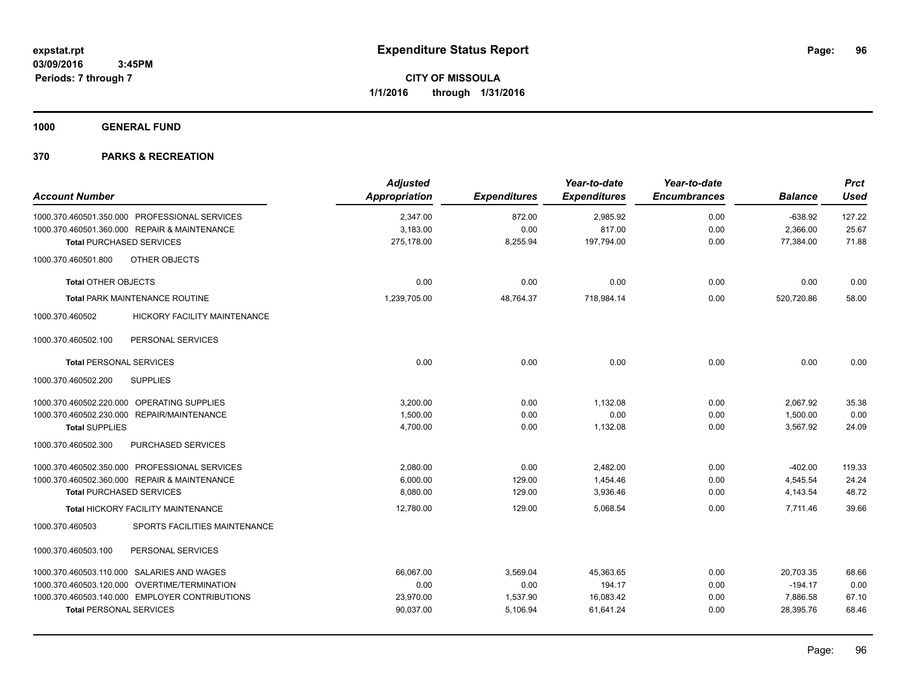**1000 GENERAL FUND**

| <b>Account Number</b>                                                                         | <b>Adjusted</b><br><b>Appropriation</b> | <b>Expenditures</b> | Year-to-date<br><b>Expenditures</b> | Year-to-date<br><b>Encumbrances</b> | <b>Balance</b>        | <b>Prct</b><br><b>Used</b> |
|-----------------------------------------------------------------------------------------------|-----------------------------------------|---------------------|-------------------------------------|-------------------------------------|-----------------------|----------------------------|
|                                                                                               |                                         |                     |                                     |                                     |                       |                            |
| 1000.370.460501.350.000 PROFESSIONAL SERVICES<br>1000.370.460501.360.000 REPAIR & MAINTENANCE | 2,347.00<br>3,183.00                    | 872.00<br>0.00      | 2,985.92<br>817.00                  | 0.00<br>0.00                        | $-638.92$<br>2,366.00 | 127.22<br>25.67            |
| <b>Total PURCHASED SERVICES</b>                                                               | 275,178.00                              | 8,255.94            | 197,794.00                          | 0.00                                | 77,384.00             | 71.88                      |
|                                                                                               |                                         |                     |                                     |                                     |                       |                            |
| OTHER OBJECTS<br>1000.370.460501.800                                                          |                                         |                     |                                     |                                     |                       |                            |
| <b>Total OTHER OBJECTS</b>                                                                    | 0.00                                    | 0.00                | 0.00                                | 0.00                                | 0.00                  | 0.00                       |
| Total PARK MAINTENANCE ROUTINE                                                                | 1,239,705.00                            | 48,764.37           | 718,984.14                          | 0.00                                | 520,720.86            | 58.00                      |
| 1000.370.460502<br><b>HICKORY FACILITY MAINTENANCE</b>                                        |                                         |                     |                                     |                                     |                       |                            |
| 1000.370.460502.100<br>PERSONAL SERVICES                                                      |                                         |                     |                                     |                                     |                       |                            |
| <b>Total PERSONAL SERVICES</b>                                                                | 0.00                                    | 0.00                | 0.00                                | 0.00                                | 0.00                  | 0.00                       |
| <b>SUPPLIES</b><br>1000.370.460502.200                                                        |                                         |                     |                                     |                                     |                       |                            |
| 1000.370.460502.220.000 OPERATING SUPPLIES                                                    | 3,200.00                                | 0.00                | 1,132.08                            | 0.00                                | 2,067.92              | 35.38                      |
| 1000.370.460502.230.000 REPAIR/MAINTENANCE                                                    | 1,500.00                                | 0.00                | 0.00                                | 0.00                                | 1,500.00              | 0.00                       |
| <b>Total SUPPLIES</b>                                                                         | 4,700.00                                | 0.00                | 1,132.08                            | 0.00                                | 3,567.92              | 24.09                      |
| PURCHASED SERVICES<br>1000.370.460502.300                                                     |                                         |                     |                                     |                                     |                       |                            |
| 1000.370.460502.350.000 PROFESSIONAL SERVICES                                                 | 2,080.00                                | 0.00                | 2,482.00                            | 0.00                                | $-402.00$             | 119.33                     |
| 1000.370.460502.360.000 REPAIR & MAINTENANCE                                                  | 6,000.00                                | 129.00              | 1,454.46                            | 0.00                                | 4,545.54              | 24.24                      |
| <b>Total PURCHASED SERVICES</b>                                                               | 8,080.00                                | 129.00              | 3,936.46                            | 0.00                                | 4,143.54              | 48.72                      |
| <b>Total HICKORY FACILITY MAINTENANCE</b>                                                     | 12,780.00                               | 129.00              | 5,068.54                            | 0.00                                | 7,711.46              | 39.66                      |
| SPORTS FACILITIES MAINTENANCE<br>1000.370.460503                                              |                                         |                     |                                     |                                     |                       |                            |
| 1000.370.460503.100<br>PERSONAL SERVICES                                                      |                                         |                     |                                     |                                     |                       |                            |
| 1000.370.460503.110.000 SALARIES AND WAGES                                                    | 66.067.00                               | 3,569.04            | 45,363.65                           | 0.00                                | 20.703.35             | 68.66                      |
| 1000.370.460503.120.000 OVERTIME/TERMINATION                                                  | 0.00                                    | 0.00                | 194.17                              | 0.00                                | $-194.17$             | 0.00                       |
| 1000.370.460503.140.000 EMPLOYER CONTRIBUTIONS                                                | 23,970.00                               | 1,537.90            | 16,083.42                           | 0.00                                | 7,886.58              | 67.10                      |
| <b>Total PERSONAL SERVICES</b>                                                                | 90,037.00                               | 5,106.94            | 61,641.24                           | 0.00                                | 28,395.76             | 68.46                      |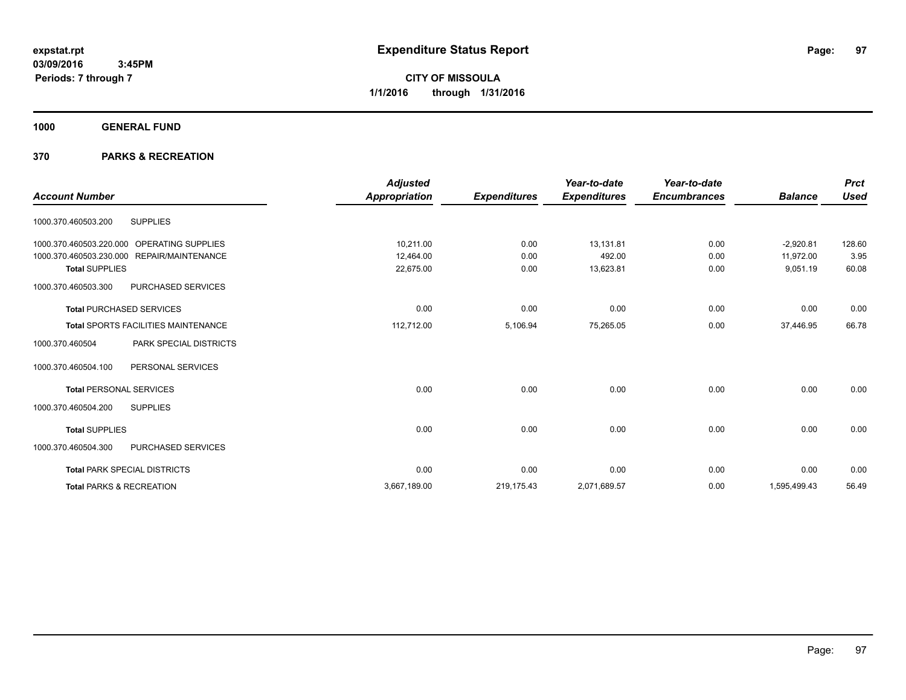**CITY OF MISSOULA 1/1/2016 through 1/31/2016**

**1000 GENERAL FUND**

|                                |                                            | <b>Adjusted</b> |                     | Year-to-date        | Year-to-date        |                | <b>Prct</b> |
|--------------------------------|--------------------------------------------|-----------------|---------------------|---------------------|---------------------|----------------|-------------|
| <b>Account Number</b>          |                                            | Appropriation   | <b>Expenditures</b> | <b>Expenditures</b> | <b>Encumbrances</b> | <b>Balance</b> | <b>Used</b> |
| 1000.370.460503.200            | <b>SUPPLIES</b>                            |                 |                     |                     |                     |                |             |
| 1000.370.460503.220.000        | OPERATING SUPPLIES                         | 10,211.00       | 0.00                | 13,131.81           | 0.00                | $-2,920.81$    | 128.60      |
|                                | 1000.370.460503.230.000 REPAIR/MAINTENANCE | 12,464.00       | 0.00                | 492.00              | 0.00                | 11,972.00      | 3.95        |
| <b>Total SUPPLIES</b>          |                                            | 22,675.00       | 0.00                | 13,623.81           | 0.00                | 9,051.19       | 60.08       |
| 1000.370.460503.300            | PURCHASED SERVICES                         |                 |                     |                     |                     |                |             |
|                                | <b>Total PURCHASED SERVICES</b>            | 0.00            | 0.00                | 0.00                | 0.00                | 0.00           | 0.00        |
|                                | <b>Total SPORTS FACILITIES MAINTENANCE</b> | 112,712.00      | 5,106.94            | 75,265.05           | 0.00                | 37,446.95      | 66.78       |
| 1000.370.460504                | <b>PARK SPECIAL DISTRICTS</b>              |                 |                     |                     |                     |                |             |
| 1000.370.460504.100            | PERSONAL SERVICES                          |                 |                     |                     |                     |                |             |
| <b>Total PERSONAL SERVICES</b> |                                            | 0.00            | 0.00                | 0.00                | 0.00                | 0.00           | 0.00        |
| 1000.370.460504.200            | <b>SUPPLIES</b>                            |                 |                     |                     |                     |                |             |
| <b>Total SUPPLIES</b>          |                                            | 0.00            | 0.00                | 0.00                | 0.00                | 0.00           | 0.00        |
| 1000.370.460504.300            | PURCHASED SERVICES                         |                 |                     |                     |                     |                |             |
|                                | <b>Total PARK SPECIAL DISTRICTS</b>        | 0.00            | 0.00                | 0.00                | 0.00                | 0.00           | 0.00        |
|                                | <b>Total PARKS &amp; RECREATION</b>        | 3,667,189.00    | 219,175.43          | 2,071,689.57        | 0.00                | 1,595,499.43   | 56.49       |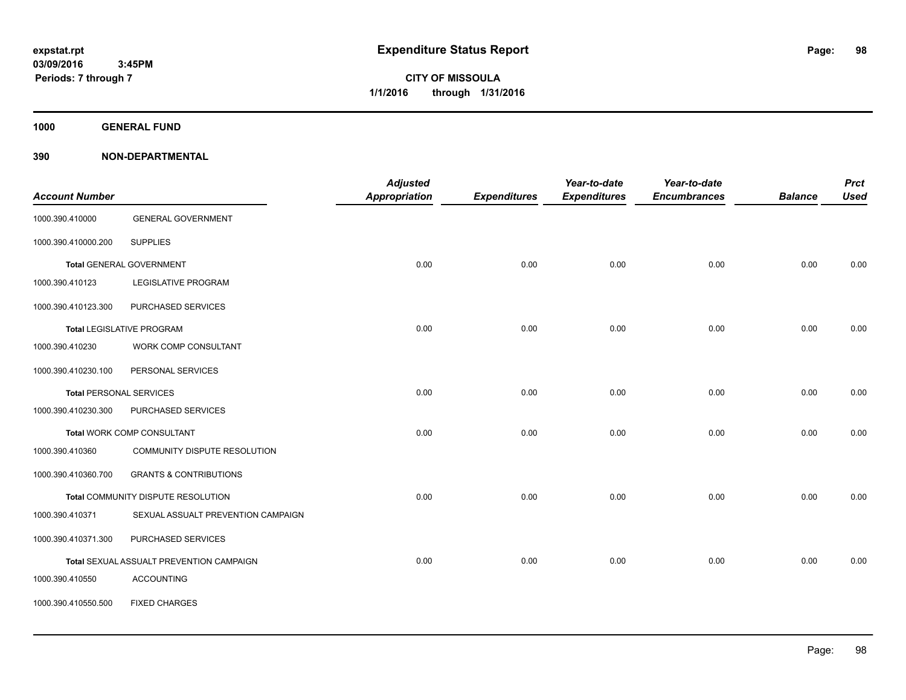**1000 GENERAL FUND**

| <b>Account Number</b>          |                                          | <b>Adjusted</b><br><b>Appropriation</b> | <b>Expenditures</b> | Year-to-date<br><b>Expenditures</b> | Year-to-date<br><b>Encumbrances</b> | <b>Balance</b> | <b>Prct</b><br><b>Used</b> |
|--------------------------------|------------------------------------------|-----------------------------------------|---------------------|-------------------------------------|-------------------------------------|----------------|----------------------------|
| 1000.390.410000                | <b>GENERAL GOVERNMENT</b>                |                                         |                     |                                     |                                     |                |                            |
| 1000.390.410000.200            | <b>SUPPLIES</b>                          |                                         |                     |                                     |                                     |                |                            |
|                                | <b>Total GENERAL GOVERNMENT</b>          | 0.00                                    | 0.00                | 0.00                                | 0.00                                | 0.00           | 0.00                       |
| 1000.390.410123                | <b>LEGISLATIVE PROGRAM</b>               |                                         |                     |                                     |                                     |                |                            |
| 1000.390.410123.300            | PURCHASED SERVICES                       |                                         |                     |                                     |                                     |                |                            |
|                                | <b>Total LEGISLATIVE PROGRAM</b>         | 0.00                                    | 0.00                | 0.00                                | 0.00                                | 0.00           | 0.00                       |
| 1000.390.410230                | WORK COMP CONSULTANT                     |                                         |                     |                                     |                                     |                |                            |
| 1000.390.410230.100            | PERSONAL SERVICES                        |                                         |                     |                                     |                                     |                |                            |
| <b>Total PERSONAL SERVICES</b> |                                          | 0.00                                    | 0.00                | 0.00                                | 0.00                                | 0.00           | 0.00                       |
| 1000.390.410230.300            | PURCHASED SERVICES                       |                                         |                     |                                     |                                     |                |                            |
|                                | <b>Total WORK COMP CONSULTANT</b>        | 0.00                                    | 0.00                | 0.00                                | 0.00                                | 0.00           | 0.00                       |
| 1000.390.410360                | COMMUNITY DISPUTE RESOLUTION             |                                         |                     |                                     |                                     |                |                            |
| 1000.390.410360.700            | <b>GRANTS &amp; CONTRIBUTIONS</b>        |                                         |                     |                                     |                                     |                |                            |
|                                | Total COMMUNITY DISPUTE RESOLUTION       | 0.00                                    | 0.00                | 0.00                                | 0.00                                | 0.00           | 0.00                       |
| 1000.390.410371                | SEXUAL ASSUALT PREVENTION CAMPAIGN       |                                         |                     |                                     |                                     |                |                            |
| 1000.390.410371.300            | PURCHASED SERVICES                       |                                         |                     |                                     |                                     |                |                            |
|                                | Total SEXUAL ASSUALT PREVENTION CAMPAIGN | 0.00                                    | 0.00                | 0.00                                | 0.00                                | 0.00           | 0.00                       |
| 1000.390.410550                | <b>ACCOUNTING</b>                        |                                         |                     |                                     |                                     |                |                            |
| 1000.390.410550.500            | <b>FIXED CHARGES</b>                     |                                         |                     |                                     |                                     |                |                            |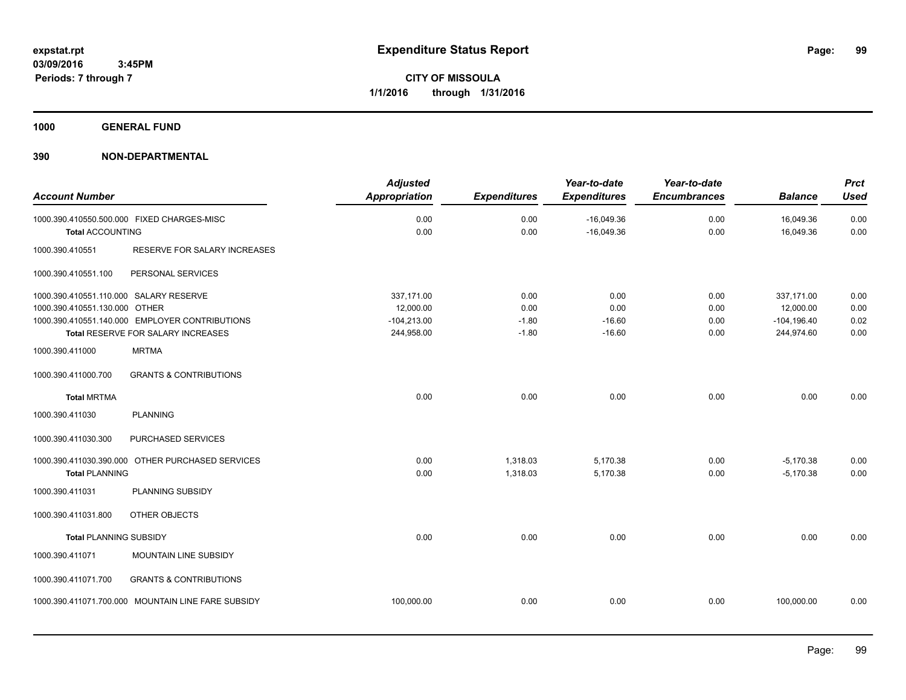**1000 GENERAL FUND**

| <b>Account Number</b>                                                   |                                                                                      | <b>Adjusted</b><br><b>Appropriation</b>                | <b>Expenditures</b>                | Year-to-date<br><b>Expenditures</b>  | Year-to-date<br><b>Encumbrances</b> | <b>Balance</b>                                          | <b>Prct</b><br><b>Used</b>   |
|-------------------------------------------------------------------------|--------------------------------------------------------------------------------------|--------------------------------------------------------|------------------------------------|--------------------------------------|-------------------------------------|---------------------------------------------------------|------------------------------|
| <b>Total ACCOUNTING</b>                                                 | 1000.390.410550.500.000 FIXED CHARGES-MISC                                           | 0.00<br>0.00                                           | 0.00<br>0.00                       | $-16,049.36$<br>$-16,049.36$         | 0.00<br>0.00                        | 16,049.36<br>16,049.36                                  | 0.00<br>0.00                 |
| 1000.390.410551                                                         | RESERVE FOR SALARY INCREASES                                                         |                                                        |                                    |                                      |                                     |                                                         |                              |
| 1000.390.410551.100                                                     | PERSONAL SERVICES                                                                    |                                                        |                                    |                                      |                                     |                                                         |                              |
| 1000.390.410551.110.000 SALARY RESERVE<br>1000.390.410551.130.000 OTHER | 1000.390.410551.140.000 EMPLOYER CONTRIBUTIONS<br>Total RESERVE FOR SALARY INCREASES | 337,171.00<br>12,000.00<br>$-104,213.00$<br>244,958.00 | 0.00<br>0.00<br>$-1.80$<br>$-1.80$ | 0.00<br>0.00<br>$-16.60$<br>$-16.60$ | 0.00<br>0.00<br>0.00<br>0.00        | 337,171.00<br>12,000.00<br>$-104, 196.40$<br>244,974.60 | 0.00<br>0.00<br>0.02<br>0.00 |
| 1000.390.411000                                                         | <b>MRTMA</b>                                                                         |                                                        |                                    |                                      |                                     |                                                         |                              |
| 1000.390.411000.700                                                     | <b>GRANTS &amp; CONTRIBUTIONS</b>                                                    |                                                        |                                    |                                      |                                     |                                                         |                              |
| <b>Total MRTMA</b>                                                      |                                                                                      | 0.00                                                   | 0.00                               | 0.00                                 | 0.00                                | 0.00                                                    | 0.00                         |
| 1000.390.411030                                                         | <b>PLANNING</b>                                                                      |                                                        |                                    |                                      |                                     |                                                         |                              |
| 1000.390.411030.300                                                     | PURCHASED SERVICES                                                                   |                                                        |                                    |                                      |                                     |                                                         |                              |
| <b>Total PLANNING</b>                                                   | 1000.390.411030.390.000 OTHER PURCHASED SERVICES                                     | 0.00<br>0.00                                           | 1,318.03<br>1,318.03               | 5,170.38<br>5,170.38                 | 0.00<br>0.00                        | $-5,170.38$<br>$-5,170.38$                              | 0.00<br>0.00                 |
| 1000.390.411031                                                         | PLANNING SUBSIDY                                                                     |                                                        |                                    |                                      |                                     |                                                         |                              |
| 1000.390.411031.800                                                     | OTHER OBJECTS                                                                        |                                                        |                                    |                                      |                                     |                                                         |                              |
| <b>Total PLANNING SUBSIDY</b>                                           |                                                                                      | 0.00                                                   | 0.00                               | 0.00                                 | 0.00                                | 0.00                                                    | 0.00                         |
| 1000.390.411071                                                         | MOUNTAIN LINE SUBSIDY                                                                |                                                        |                                    |                                      |                                     |                                                         |                              |
| 1000.390.411071.700                                                     | <b>GRANTS &amp; CONTRIBUTIONS</b>                                                    |                                                        |                                    |                                      |                                     |                                                         |                              |
|                                                                         | 1000.390.411071.700.000 MOUNTAIN LINE FARE SUBSIDY                                   | 100,000.00                                             | 0.00                               | 0.00                                 | 0.00                                | 100,000.00                                              | 0.00                         |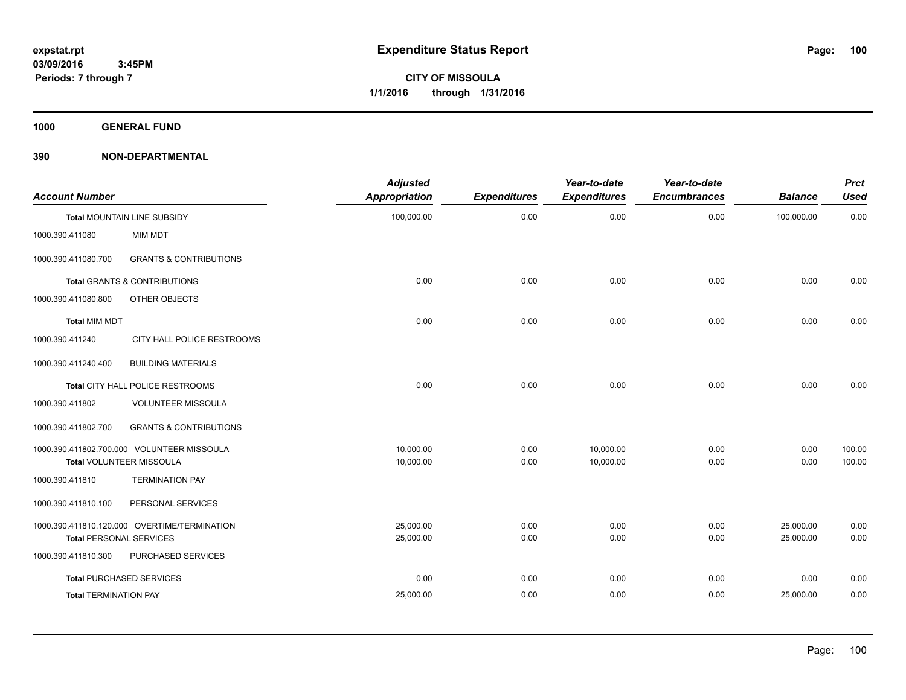**1000 GENERAL FUND**

| <b>Account Number</b>          |                                              | <b>Adjusted</b><br><b>Appropriation</b> | <b>Expenditures</b> | Year-to-date<br><b>Expenditures</b> | Year-to-date<br><b>Encumbrances</b> | <b>Balance</b> | <b>Prct</b><br><b>Used</b> |
|--------------------------------|----------------------------------------------|-----------------------------------------|---------------------|-------------------------------------|-------------------------------------|----------------|----------------------------|
|                                | <b>Total MOUNTAIN LINE SUBSIDY</b>           | 100,000.00                              | 0.00                | 0.00                                | 0.00                                | 100,000.00     | 0.00                       |
| 1000.390.411080                | MIM MDT                                      |                                         |                     |                                     |                                     |                |                            |
| 1000.390.411080.700            | <b>GRANTS &amp; CONTRIBUTIONS</b>            |                                         |                     |                                     |                                     |                |                            |
|                                | <b>Total GRANTS &amp; CONTRIBUTIONS</b>      | 0.00                                    | 0.00                | 0.00                                | 0.00                                | 0.00           | 0.00                       |
| 1000.390.411080.800            | OTHER OBJECTS                                |                                         |                     |                                     |                                     |                |                            |
| <b>Total MIM MDT</b>           |                                              | 0.00                                    | 0.00                | 0.00                                | 0.00                                | 0.00           | 0.00                       |
| 1000.390.411240                | CITY HALL POLICE RESTROOMS                   |                                         |                     |                                     |                                     |                |                            |
| 1000.390.411240.400            | <b>BUILDING MATERIALS</b>                    |                                         |                     |                                     |                                     |                |                            |
|                                | Total CITY HALL POLICE RESTROOMS             | 0.00                                    | 0.00                | 0.00                                | 0.00                                | 0.00           | 0.00                       |
| 1000.390.411802                | VOLUNTEER MISSOULA                           |                                         |                     |                                     |                                     |                |                            |
| 1000.390.411802.700            | <b>GRANTS &amp; CONTRIBUTIONS</b>            |                                         |                     |                                     |                                     |                |                            |
|                                | 1000.390.411802.700.000 VOLUNTEER MISSOULA   | 10,000.00                               | 0.00                | 10,000.00                           | 0.00                                | 0.00           | 100.00                     |
|                                | Total VOLUNTEER MISSOULA                     | 10,000.00                               | 0.00                | 10,000.00                           | 0.00                                | 0.00           | 100.00                     |
| 1000.390.411810                | <b>TERMINATION PAY</b>                       |                                         |                     |                                     |                                     |                |                            |
| 1000.390.411810.100            | PERSONAL SERVICES                            |                                         |                     |                                     |                                     |                |                            |
|                                | 1000.390.411810.120.000 OVERTIME/TERMINATION | 25,000.00                               | 0.00                | 0.00                                | 0.00                                | 25,000.00      | 0.00                       |
| <b>Total PERSONAL SERVICES</b> |                                              | 25,000.00                               | 0.00                | 0.00                                | 0.00                                | 25,000.00      | 0.00                       |
| 1000.390.411810.300            | PURCHASED SERVICES                           |                                         |                     |                                     |                                     |                |                            |
|                                | <b>Total PURCHASED SERVICES</b>              | 0.00                                    | 0.00                | 0.00                                | 0.00                                | 0.00           | 0.00                       |
| <b>Total TERMINATION PAY</b>   |                                              | 25,000.00                               | 0.00                | 0.00                                | 0.00                                | 25,000.00      | 0.00                       |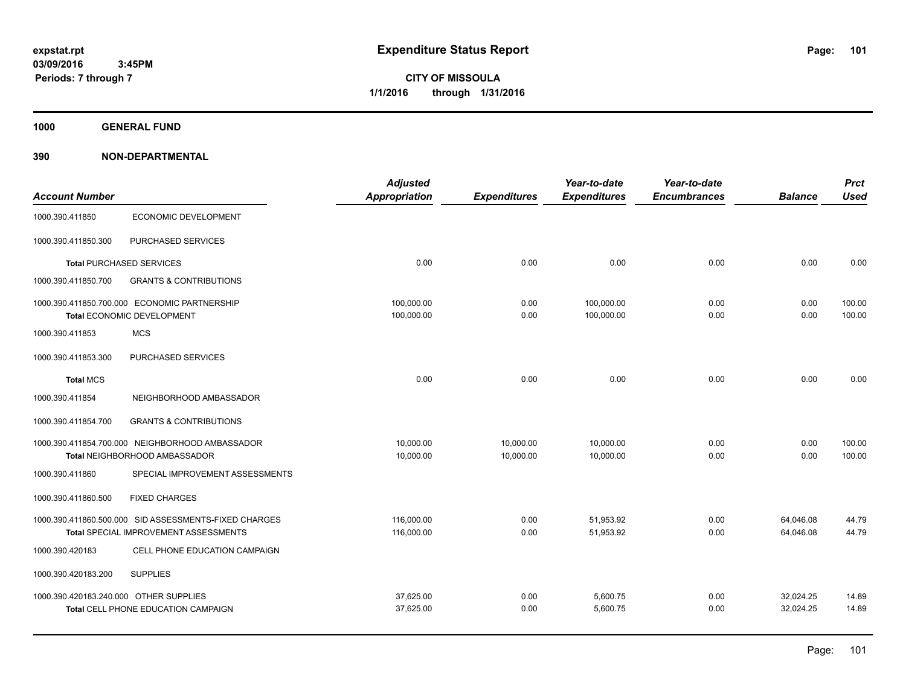**CITY OF MISSOULA 1/1/2016 through 1/31/2016**

**1000 GENERAL FUND**

| <b>Account Number</b>                  |                                                                                                | <b>Adjusted</b><br><b>Appropriation</b> | <b>Expenditures</b>    | Year-to-date<br><b>Expenditures</b> | Year-to-date<br><b>Encumbrances</b> | <b>Balance</b>         | <b>Prct</b><br><b>Used</b> |
|----------------------------------------|------------------------------------------------------------------------------------------------|-----------------------------------------|------------------------|-------------------------------------|-------------------------------------|------------------------|----------------------------|
| 1000.390.411850                        | ECONOMIC DEVELOPMENT                                                                           |                                         |                        |                                     |                                     |                        |                            |
| 1000.390.411850.300                    | PURCHASED SERVICES                                                                             |                                         |                        |                                     |                                     |                        |                            |
|                                        | <b>Total PURCHASED SERVICES</b>                                                                | 0.00                                    | 0.00                   | 0.00                                | 0.00                                | 0.00                   | 0.00                       |
| 1000.390.411850.700                    | <b>GRANTS &amp; CONTRIBUTIONS</b>                                                              |                                         |                        |                                     |                                     |                        |                            |
|                                        | 1000.390.411850.700.000 ECONOMIC PARTNERSHIP<br>Total ECONOMIC DEVELOPMENT                     | 100,000.00<br>100,000.00                | 0.00<br>0.00           | 100,000.00<br>100,000.00            | 0.00<br>0.00                        | 0.00<br>0.00           | 100.00<br>100.00           |
| 1000.390.411853                        | <b>MCS</b>                                                                                     |                                         |                        |                                     |                                     |                        |                            |
| 1000.390.411853.300                    | PURCHASED SERVICES                                                                             |                                         |                        |                                     |                                     |                        |                            |
| <b>Total MCS</b>                       |                                                                                                | 0.00                                    | 0.00                   | 0.00                                | 0.00                                | 0.00                   | 0.00                       |
| 1000.390.411854                        | NEIGHBORHOOD AMBASSADOR                                                                        |                                         |                        |                                     |                                     |                        |                            |
| 1000.390.411854.700                    | <b>GRANTS &amp; CONTRIBUTIONS</b>                                                              |                                         |                        |                                     |                                     |                        |                            |
|                                        | 1000.390.411854.700.000 NEIGHBORHOOD AMBASSADOR<br>Total NEIGHBORHOOD AMBASSADOR               | 10,000.00<br>10,000.00                  | 10,000.00<br>10,000.00 | 10,000.00<br>10,000.00              | 0.00<br>0.00                        | 0.00<br>0.00           | 100.00<br>100.00           |
| 1000.390.411860                        | SPECIAL IMPROVEMENT ASSESSMENTS                                                                |                                         |                        |                                     |                                     |                        |                            |
| 1000.390.411860.500                    | <b>FIXED CHARGES</b>                                                                           |                                         |                        |                                     |                                     |                        |                            |
|                                        | 1000.390.411860.500.000 SID ASSESSMENTS-FIXED CHARGES<br>Total SPECIAL IMPROVEMENT ASSESSMENTS | 116,000.00<br>116,000.00                | 0.00<br>0.00           | 51,953.92<br>51,953.92              | 0.00<br>0.00                        | 64,046.08<br>64,046.08 | 44.79<br>44.79             |
| 1000.390.420183                        | CELL PHONE EDUCATION CAMPAIGN                                                                  |                                         |                        |                                     |                                     |                        |                            |
| 1000.390.420183.200                    | <b>SUPPLIES</b>                                                                                |                                         |                        |                                     |                                     |                        |                            |
| 1000.390.420183.240.000 OTHER SUPPLIES | Total CELL PHONE EDUCATION CAMPAIGN                                                            | 37,625.00<br>37,625.00                  | 0.00<br>0.00           | 5,600.75<br>5,600.75                | 0.00<br>0.00                        | 32,024.25<br>32,024.25 | 14.89<br>14.89             |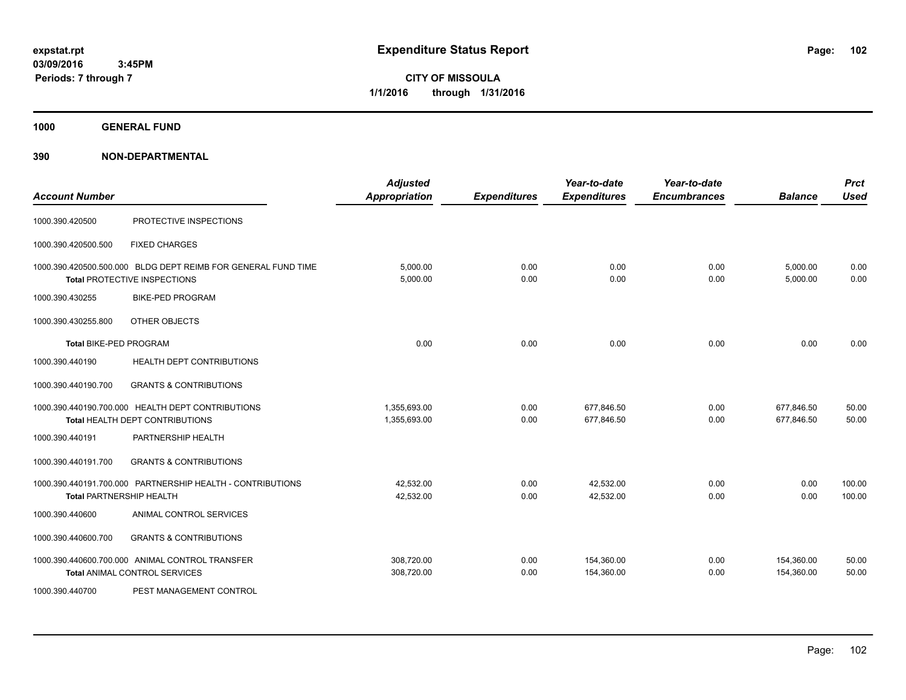**CITY OF MISSOULA 1/1/2016 through 1/31/2016**

**1000 GENERAL FUND**

| <b>Account Number</b>         |                                                                                               | <b>Adjusted</b><br><b>Appropriation</b> | <b>Expenditures</b> | Year-to-date<br><b>Expenditures</b> | Year-to-date<br><b>Encumbrances</b> | <b>Balance</b>           | <b>Prct</b><br><b>Used</b> |
|-------------------------------|-----------------------------------------------------------------------------------------------|-----------------------------------------|---------------------|-------------------------------------|-------------------------------------|--------------------------|----------------------------|
| 1000.390.420500               | PROTECTIVE INSPECTIONS                                                                        |                                         |                     |                                     |                                     |                          |                            |
| 1000.390.420500.500           | <b>FIXED CHARGES</b>                                                                          |                                         |                     |                                     |                                     |                          |                            |
|                               | 1000.390.420500.500.000 BLDG DEPT REIMB FOR GENERAL FUND TIME<br>Total PROTECTIVE INSPECTIONS | 5,000.00<br>5,000.00                    | 0.00<br>0.00        | 0.00<br>0.00                        | 0.00<br>0.00                        | 5,000.00<br>5,000.00     | 0.00<br>0.00               |
| 1000.390.430255               | <b>BIKE-PED PROGRAM</b>                                                                       |                                         |                     |                                     |                                     |                          |                            |
| 1000.390.430255.800           | OTHER OBJECTS                                                                                 |                                         |                     |                                     |                                     |                          |                            |
| <b>Total BIKE-PED PROGRAM</b> |                                                                                               | 0.00                                    | 0.00                | 0.00                                | 0.00                                | 0.00                     | 0.00                       |
| 1000.390.440190               | HEALTH DEPT CONTRIBUTIONS                                                                     |                                         |                     |                                     |                                     |                          |                            |
| 1000.390.440190.700           | <b>GRANTS &amp; CONTRIBUTIONS</b>                                                             |                                         |                     |                                     |                                     |                          |                            |
|                               | 1000.390.440190.700.000 HEALTH DEPT CONTRIBUTIONS<br>Total HEALTH DEPT CONTRIBUTIONS          | 1,355,693.00<br>1,355,693.00            | 0.00<br>0.00        | 677,846.50<br>677,846.50            | 0.00<br>0.00                        | 677,846.50<br>677,846.50 | 50.00<br>50.00             |
| 1000.390.440191               | PARTNERSHIP HEALTH                                                                            |                                         |                     |                                     |                                     |                          |                            |
| 1000.390.440191.700           | <b>GRANTS &amp; CONTRIBUTIONS</b>                                                             |                                         |                     |                                     |                                     |                          |                            |
|                               | 1000.390.440191.700.000 PARTNERSHIP HEALTH - CONTRIBUTIONS<br><b>Total PARTNERSHIP HEALTH</b> | 42,532.00<br>42,532.00                  | 0.00<br>0.00        | 42,532.00<br>42,532.00              | 0.00<br>0.00                        | 0.00<br>0.00             | 100.00<br>100.00           |
| 1000.390.440600               | ANIMAL CONTROL SERVICES                                                                       |                                         |                     |                                     |                                     |                          |                            |
| 1000.390.440600.700           | <b>GRANTS &amp; CONTRIBUTIONS</b>                                                             |                                         |                     |                                     |                                     |                          |                            |
|                               | 1000.390.440600.700.000 ANIMAL CONTROL TRANSFER<br><b>Total ANIMAL CONTROL SERVICES</b>       | 308,720.00<br>308,720.00                | 0.00<br>0.00        | 154,360.00<br>154,360.00            | 0.00<br>0.00                        | 154,360.00<br>154,360.00 | 50.00<br>50.00             |
| 1000.390.440700               | PEST MANAGEMENT CONTROL                                                                       |                                         |                     |                                     |                                     |                          |                            |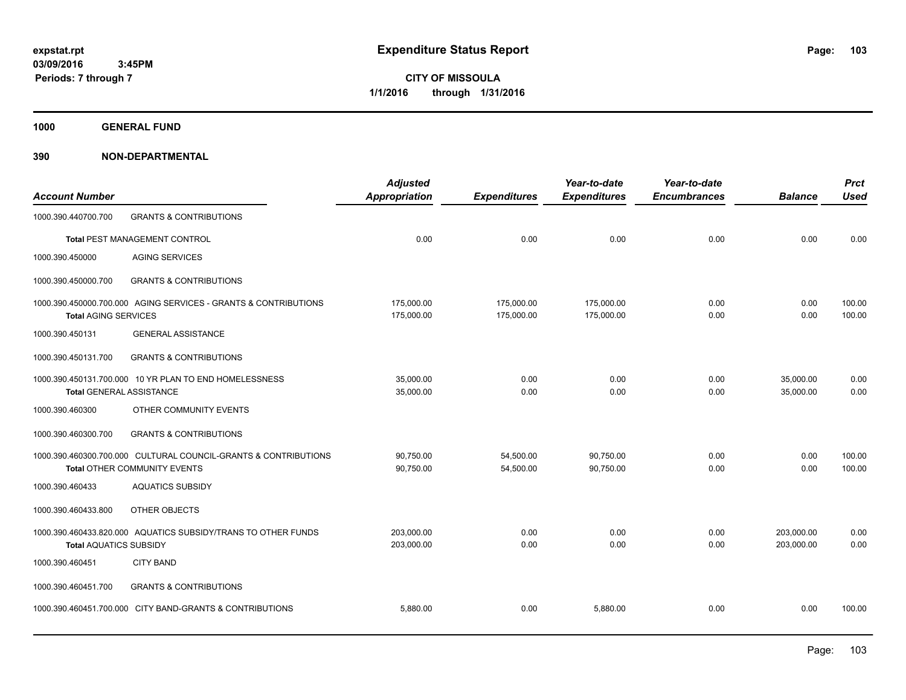**CITY OF MISSOULA 1/1/2016 through 1/31/2016**

**1000 GENERAL FUND**

| <b>Account Number</b>           |                                                                                                 | <b>Adjusted</b><br><b>Appropriation</b> | <b>Expenditures</b>      | Year-to-date<br><b>Expenditures</b> | Year-to-date<br><b>Encumbrances</b> | <b>Balance</b>           | <b>Prct</b><br><b>Used</b> |
|---------------------------------|-------------------------------------------------------------------------------------------------|-----------------------------------------|--------------------------|-------------------------------------|-------------------------------------|--------------------------|----------------------------|
| 1000.390.440700.700             | <b>GRANTS &amp; CONTRIBUTIONS</b>                                                               |                                         |                          |                                     |                                     |                          |                            |
|                                 | Total PEST MANAGEMENT CONTROL                                                                   | 0.00                                    | 0.00                     | 0.00                                | 0.00                                | 0.00                     | 0.00                       |
| 1000.390.450000                 | <b>AGING SERVICES</b>                                                                           |                                         |                          |                                     |                                     |                          |                            |
| 1000.390.450000.700             | <b>GRANTS &amp; CONTRIBUTIONS</b>                                                               |                                         |                          |                                     |                                     |                          |                            |
| <b>Total AGING SERVICES</b>     | 1000.390.450000.700.000 AGING SERVICES - GRANTS & CONTRIBUTIONS                                 | 175,000.00<br>175,000.00                | 175,000.00<br>175,000.00 | 175,000.00<br>175,000.00            | 0.00<br>0.00                        | 0.00<br>0.00             | 100.00<br>100.00           |
| 1000.390.450131                 | <b>GENERAL ASSISTANCE</b>                                                                       |                                         |                          |                                     |                                     |                          |                            |
| 1000.390.450131.700             | <b>GRANTS &amp; CONTRIBUTIONS</b>                                                               |                                         |                          |                                     |                                     |                          |                            |
| <b>Total GENERAL ASSISTANCE</b> | 1000.390.450131.700.000 10 YR PLAN TO END HOMELESSNESS                                          | 35,000.00<br>35,000.00                  | 0.00<br>0.00             | 0.00<br>0.00                        | 0.00<br>0.00                        | 35,000.00<br>35,000.00   | 0.00<br>0.00               |
| 1000.390.460300                 | OTHER COMMUNITY EVENTS                                                                          |                                         |                          |                                     |                                     |                          |                            |
| 1000.390.460300.700             | <b>GRANTS &amp; CONTRIBUTIONS</b>                                                               |                                         |                          |                                     |                                     |                          |                            |
|                                 | 1000.390.460300.700.000 CULTURAL COUNCIL-GRANTS & CONTRIBUTIONS<br>Total OTHER COMMUNITY EVENTS | 90,750.00<br>90,750.00                  | 54,500.00<br>54,500.00   | 90,750.00<br>90,750.00              | 0.00<br>0.00                        | 0.00<br>0.00             | 100.00<br>100.00           |
| 1000.390.460433                 | <b>AQUATICS SUBSIDY</b>                                                                         |                                         |                          |                                     |                                     |                          |                            |
| 1000.390.460433.800             | OTHER OBJECTS                                                                                   |                                         |                          |                                     |                                     |                          |                            |
| <b>Total AQUATICS SUBSIDY</b>   | 1000.390.460433.820.000 AQUATICS SUBSIDY/TRANS TO OTHER FUNDS                                   | 203,000.00<br>203,000.00                | 0.00<br>0.00             | 0.00<br>0.00                        | 0.00<br>0.00                        | 203,000.00<br>203,000.00 | 0.00<br>0.00               |
| 1000.390.460451                 | <b>CITY BAND</b>                                                                                |                                         |                          |                                     |                                     |                          |                            |
| 1000.390.460451.700             | <b>GRANTS &amp; CONTRIBUTIONS</b>                                                               |                                         |                          |                                     |                                     |                          |                            |
|                                 | 1000.390.460451.700.000 CITY BAND-GRANTS & CONTRIBUTIONS                                        | 5.880.00                                | 0.00                     | 5,880.00                            | 0.00                                | 0.00                     | 100.00                     |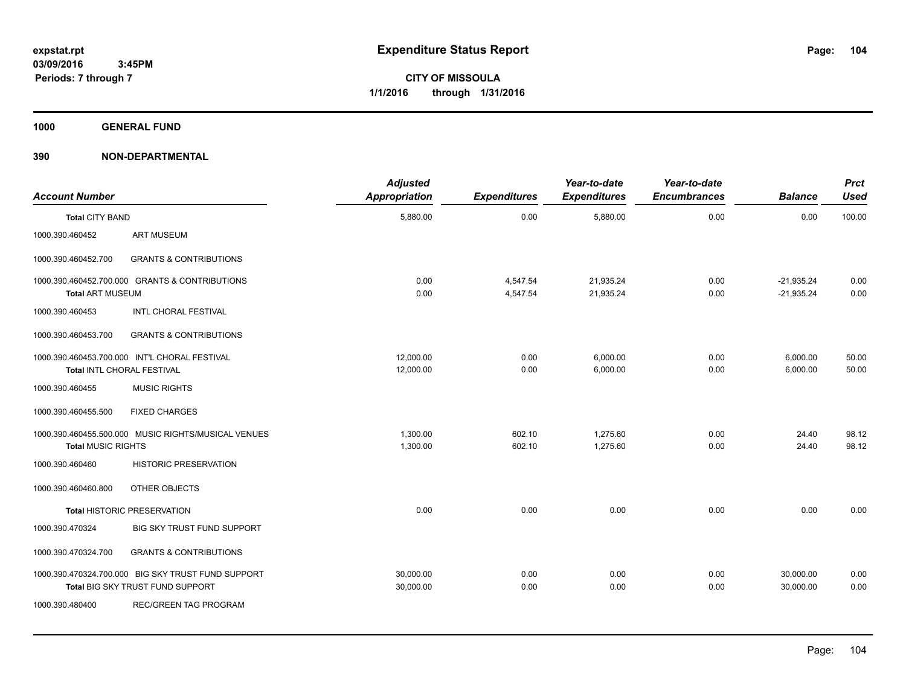**1000 GENERAL FUND**

| <b>Account Number</b>     |                                                                                        | <b>Adjusted</b><br>Appropriation | <b>Expenditures</b>  | Year-to-date<br><b>Expenditures</b> | Year-to-date<br><b>Encumbrances</b> | <b>Balance</b>               | <b>Prct</b><br><b>Used</b> |
|---------------------------|----------------------------------------------------------------------------------------|----------------------------------|----------------------|-------------------------------------|-------------------------------------|------------------------------|----------------------------|
| <b>Total CITY BAND</b>    |                                                                                        | 5,880.00                         | 0.00                 | 5,880.00                            | 0.00                                | 0.00                         | 100.00                     |
| 1000.390.460452           | <b>ART MUSEUM</b>                                                                      |                                  |                      |                                     |                                     |                              |                            |
| 1000.390.460452.700       | <b>GRANTS &amp; CONTRIBUTIONS</b>                                                      |                                  |                      |                                     |                                     |                              |                            |
| <b>Total ART MUSEUM</b>   | 1000.390.460452.700.000 GRANTS & CONTRIBUTIONS                                         | 0.00<br>0.00                     | 4,547.54<br>4,547.54 | 21,935.24<br>21,935.24              | 0.00<br>0.00                        | $-21,935.24$<br>$-21,935.24$ | 0.00<br>0.00               |
| 1000.390.460453           | INTL CHORAL FESTIVAL                                                                   |                                  |                      |                                     |                                     |                              |                            |
| 1000.390.460453.700       | <b>GRANTS &amp; CONTRIBUTIONS</b>                                                      |                                  |                      |                                     |                                     |                              |                            |
|                           | 1000.390.460453.700.000 INT'L CHORAL FESTIVAL<br><b>Total INTL CHORAL FESTIVAL</b>     | 12,000.00<br>12,000.00           | 0.00<br>0.00         | 6,000.00<br>6,000.00                | 0.00<br>0.00                        | 6,000.00<br>6,000.00         | 50.00<br>50.00             |
| 1000.390.460455           | <b>MUSIC RIGHTS</b>                                                                    |                                  |                      |                                     |                                     |                              |                            |
| 1000.390.460455.500       | <b>FIXED CHARGES</b>                                                                   |                                  |                      |                                     |                                     |                              |                            |
| <b>Total MUSIC RIGHTS</b> | 1000.390.460455.500.000 MUSIC RIGHTS/MUSICAL VENUES                                    | 1,300.00<br>1,300.00             | 602.10<br>602.10     | 1,275.60<br>1,275.60                | 0.00<br>0.00                        | 24.40<br>24.40               | 98.12<br>98.12             |
| 1000.390.460460           | <b>HISTORIC PRESERVATION</b>                                                           |                                  |                      |                                     |                                     |                              |                            |
| 1000.390.460460.800       | OTHER OBJECTS                                                                          |                                  |                      |                                     |                                     |                              |                            |
|                           | <b>Total HISTORIC PRESERVATION</b>                                                     | 0.00                             | 0.00                 | 0.00                                | 0.00                                | 0.00                         | 0.00                       |
| 1000.390.470324           | BIG SKY TRUST FUND SUPPORT                                                             |                                  |                      |                                     |                                     |                              |                            |
| 1000.390.470324.700       | <b>GRANTS &amp; CONTRIBUTIONS</b>                                                      |                                  |                      |                                     |                                     |                              |                            |
|                           | 1000.390.470324.700.000 BIG SKY TRUST FUND SUPPORT<br>Total BIG SKY TRUST FUND SUPPORT | 30,000.00<br>30,000.00           | 0.00<br>0.00         | 0.00<br>0.00                        | 0.00<br>0.00                        | 30,000.00<br>30,000.00       | 0.00<br>0.00               |
| 1000.390.480400           | REC/GREEN TAG PROGRAM                                                                  |                                  |                      |                                     |                                     |                              |                            |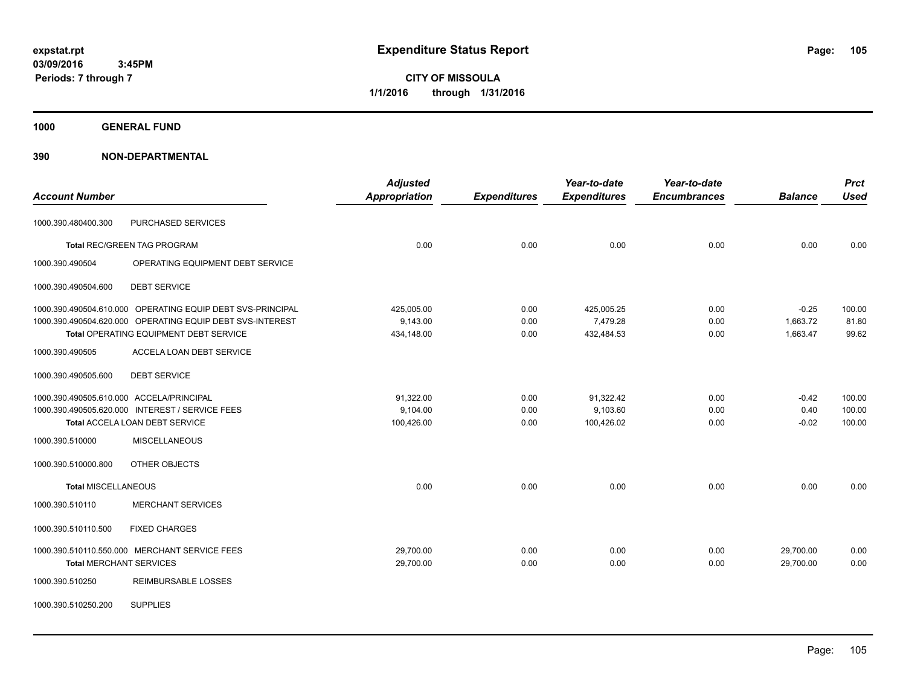**CITY OF MISSOULA 1/1/2016 through 1/31/2016**

**1000 GENERAL FUND**

| <b>Account Number</b>                    |                                                            | <b>Adjusted</b><br><b>Appropriation</b> | <b>Expenditures</b> | Year-to-date<br><b>Expenditures</b> | Year-to-date<br><b>Encumbrances</b> | <b>Balance</b> | <b>Prct</b><br><b>Used</b> |
|------------------------------------------|------------------------------------------------------------|-----------------------------------------|---------------------|-------------------------------------|-------------------------------------|----------------|----------------------------|
| 1000.390.480400.300                      | PURCHASED SERVICES                                         |                                         |                     |                                     |                                     |                |                            |
|                                          | Total REC/GREEN TAG PROGRAM                                | 0.00                                    | 0.00                | 0.00                                | 0.00                                | 0.00           | 0.00                       |
| 1000.390.490504                          | OPERATING EQUIPMENT DEBT SERVICE                           |                                         |                     |                                     |                                     |                |                            |
| 1000.390.490504.600                      | <b>DEBT SERVICE</b>                                        |                                         |                     |                                     |                                     |                |                            |
|                                          | 1000.390.490504.610.000 OPERATING EQUIP DEBT SVS-PRINCIPAL | 425,005.00                              | 0.00                | 425,005.25                          | 0.00                                | $-0.25$        | 100.00                     |
|                                          | 1000.390.490504.620.000 OPERATING EQUIP DEBT SVS-INTEREST  | 9,143.00                                | 0.00                | 7,479.28                            | 0.00                                | 1,663.72       | 81.80                      |
|                                          | Total OPERATING EQUIPMENT DEBT SERVICE                     | 434,148.00                              | 0.00                | 432,484.53                          | 0.00                                | 1,663.47       | 99.62                      |
| 1000.390.490505                          | ACCELA LOAN DEBT SERVICE                                   |                                         |                     |                                     |                                     |                |                            |
| 1000.390.490505.600                      | <b>DEBT SERVICE</b>                                        |                                         |                     |                                     |                                     |                |                            |
| 1000.390.490505.610.000 ACCELA/PRINCIPAL |                                                            | 91,322.00                               | 0.00                | 91,322.42                           | 0.00                                | $-0.42$        | 100.00                     |
|                                          | 1000.390.490505.620.000 INTEREST / SERVICE FEES            | 9,104.00                                | 0.00                | 9,103.60                            | 0.00                                | 0.40           | 100.00                     |
|                                          | Total ACCELA LOAN DEBT SERVICE                             | 100,426.00                              | 0.00                | 100,426.02                          | 0.00                                | $-0.02$        | 100.00                     |
| 1000.390.510000                          | <b>MISCELLANEOUS</b>                                       |                                         |                     |                                     |                                     |                |                            |
| 1000.390.510000.800                      | OTHER OBJECTS                                              |                                         |                     |                                     |                                     |                |                            |
| <b>Total MISCELLANEOUS</b>               |                                                            | 0.00                                    | 0.00                | 0.00                                | 0.00                                | 0.00           | 0.00                       |
| 1000.390.510110                          | <b>MERCHANT SERVICES</b>                                   |                                         |                     |                                     |                                     |                |                            |
| 1000.390.510110.500                      | <b>FIXED CHARGES</b>                                       |                                         |                     |                                     |                                     |                |                            |
|                                          | 1000.390.510110.550.000 MERCHANT SERVICE FEES              | 29,700.00                               | 0.00                | 0.00                                | 0.00                                | 29,700.00      | 0.00                       |
| <b>Total MERCHANT SERVICES</b>           |                                                            | 29,700.00                               | 0.00                | 0.00                                | 0.00                                | 29,700.00      | 0.00                       |
| 1000.390.510250                          | <b>REIMBURSABLE LOSSES</b>                                 |                                         |                     |                                     |                                     |                |                            |
| 1000.390.510250.200                      | <b>SUPPLIES</b>                                            |                                         |                     |                                     |                                     |                |                            |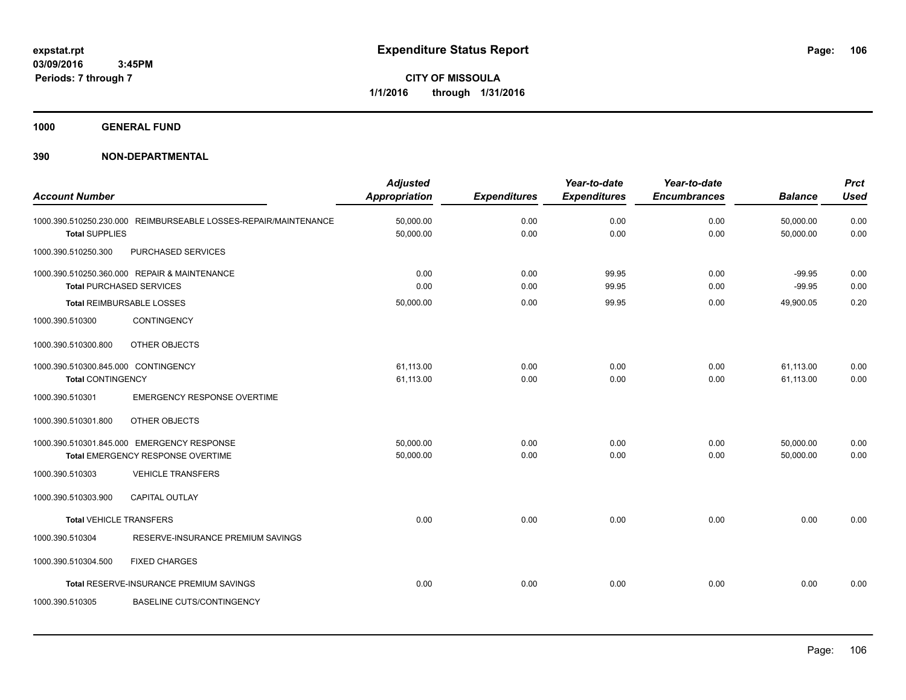**1000 GENERAL FUND**

| <b>Account Number</b>               |                                                                                 | <b>Adjusted</b><br><b>Appropriation</b> | <b>Expenditures</b> | Year-to-date<br><b>Expenditures</b> | Year-to-date<br><b>Encumbrances</b> | <b>Balance</b>         | <b>Prct</b><br><b>Used</b> |
|-------------------------------------|---------------------------------------------------------------------------------|-----------------------------------------|---------------------|-------------------------------------|-------------------------------------|------------------------|----------------------------|
| <b>Total SUPPLIES</b>               | 1000.390.510250.230.000 REIMBURSEABLE LOSSES-REPAIR/MAINTENANCE                 | 50,000.00<br>50,000.00                  | 0.00<br>0.00        | 0.00<br>0.00                        | 0.00<br>0.00                        | 50,000.00<br>50,000.00 | 0.00<br>0.00               |
| 1000.390.510250.300                 | PURCHASED SERVICES                                                              |                                         |                     |                                     |                                     |                        |                            |
|                                     | 1000.390.510250.360.000 REPAIR & MAINTENANCE<br><b>Total PURCHASED SERVICES</b> | 0.00<br>0.00                            | 0.00<br>0.00        | 99.95<br>99.95                      | 0.00<br>0.00                        | $-99.95$<br>$-99.95$   | 0.00<br>0.00               |
|                                     | <b>Total REIMBURSABLE LOSSES</b>                                                | 50,000.00                               | 0.00                | 99.95                               | 0.00                                | 49,900.05              | 0.20                       |
| 1000.390.510300                     | CONTINGENCY                                                                     |                                         |                     |                                     |                                     |                        |                            |
| 1000.390.510300.800                 | OTHER OBJECTS                                                                   |                                         |                     |                                     |                                     |                        |                            |
| 1000.390.510300.845.000 CONTINGENCY |                                                                                 | 61,113.00                               | 0.00                | 0.00                                | 0.00                                | 61,113.00              | 0.00                       |
| <b>Total CONTINGENCY</b>            |                                                                                 | 61,113.00                               | 0.00                | 0.00                                | 0.00                                | 61,113.00              | 0.00                       |
| 1000.390.510301                     | <b>EMERGENCY RESPONSE OVERTIME</b>                                              |                                         |                     |                                     |                                     |                        |                            |
| 1000.390.510301.800                 | OTHER OBJECTS                                                                   |                                         |                     |                                     |                                     |                        |                            |
|                                     | 1000.390.510301.845.000 EMERGENCY RESPONSE                                      | 50,000.00                               | 0.00                | 0.00                                | 0.00                                | 50,000.00              | 0.00                       |
|                                     | Total EMERGENCY RESPONSE OVERTIME                                               | 50,000.00                               | 0.00                | 0.00                                | 0.00                                | 50,000.00              | 0.00                       |
| 1000.390.510303                     | <b>VEHICLE TRANSFERS</b>                                                        |                                         |                     |                                     |                                     |                        |                            |
| 1000.390.510303.900                 | CAPITAL OUTLAY                                                                  |                                         |                     |                                     |                                     |                        |                            |
| <b>Total VEHICLE TRANSFERS</b>      |                                                                                 | 0.00                                    | 0.00                | 0.00                                | 0.00                                | 0.00                   | 0.00                       |
| 1000.390.510304                     | RESERVE-INSURANCE PREMIUM SAVINGS                                               |                                         |                     |                                     |                                     |                        |                            |
| 1000.390.510304.500                 | <b>FIXED CHARGES</b>                                                            |                                         |                     |                                     |                                     |                        |                            |
|                                     | Total RESERVE-INSURANCE PREMIUM SAVINGS                                         | 0.00                                    | 0.00                | 0.00                                | 0.00                                | 0.00                   | 0.00                       |
| 1000.390.510305                     | <b>BASELINE CUTS/CONTINGENCY</b>                                                |                                         |                     |                                     |                                     |                        |                            |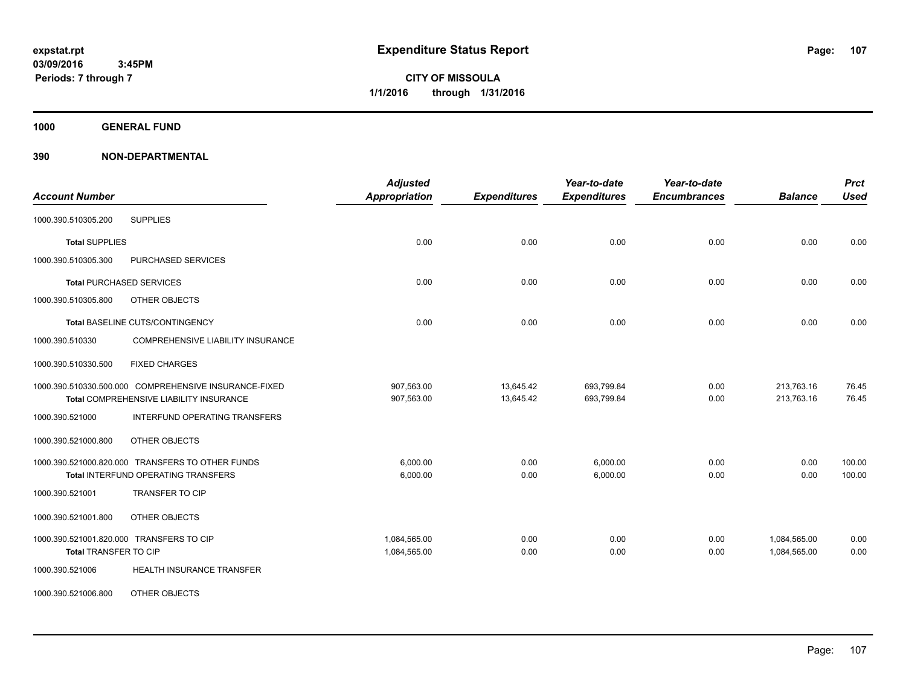**1000 GENERAL FUND**

| <b>Account Number</b>                                                                            | <b>Adjusted</b><br><b>Appropriation</b> | <b>Expenditures</b>    | Year-to-date<br><b>Expenditures</b> | Year-to-date<br><b>Encumbrances</b> | <b>Balance</b>               | <b>Prct</b><br><b>Used</b> |
|--------------------------------------------------------------------------------------------------|-----------------------------------------|------------------------|-------------------------------------|-------------------------------------|------------------------------|----------------------------|
| <b>SUPPLIES</b><br>1000.390.510305.200                                                           |                                         |                        |                                     |                                     |                              |                            |
| <b>Total SUPPLIES</b>                                                                            | 0.00                                    | 0.00                   | 0.00                                | 0.00                                | 0.00                         | 0.00                       |
| 1000.390.510305.300<br>PURCHASED SERVICES                                                        |                                         |                        |                                     |                                     |                              |                            |
| <b>Total PURCHASED SERVICES</b>                                                                  | 0.00                                    | 0.00                   | 0.00                                | 0.00                                | 0.00                         | 0.00                       |
| 1000.390.510305.800<br>OTHER OBJECTS                                                             |                                         |                        |                                     |                                     |                              |                            |
| Total BASELINE CUTS/CONTINGENCY                                                                  | 0.00                                    | 0.00                   | 0.00                                | 0.00                                | 0.00                         | 0.00                       |
| 1000.390.510330<br>COMPREHENSIVE LIABILITY INSURANCE                                             |                                         |                        |                                     |                                     |                              |                            |
| 1000.390.510330.500<br><b>FIXED CHARGES</b>                                                      |                                         |                        |                                     |                                     |                              |                            |
| 1000.390.510330.500.000 COMPREHENSIVE INSURANCE-FIXED<br>Total COMPREHENSIVE LIABILITY INSURANCE | 907,563.00<br>907,563.00                | 13,645.42<br>13,645.42 | 693,799.84<br>693,799.84            | 0.00<br>0.00                        | 213,763.16<br>213,763.16     | 76.45<br>76.45             |
| <b>INTERFUND OPERATING TRANSFERS</b><br>1000.390.521000                                          |                                         |                        |                                     |                                     |                              |                            |
| 1000.390.521000.800<br>OTHER OBJECTS                                                             |                                         |                        |                                     |                                     |                              |                            |
| 1000.390.521000.820.000 TRANSFERS TO OTHER FUNDS<br><b>Total INTERFUND OPERATING TRANSFERS</b>   | 6.000.00<br>6,000.00                    | 0.00<br>0.00           | 6,000.00<br>6,000.00                | 0.00<br>0.00                        | 0.00<br>0.00                 | 100.00<br>100.00           |
| TRANSFER TO CIP<br>1000.390.521001                                                               |                                         |                        |                                     |                                     |                              |                            |
| OTHER OBJECTS<br>1000.390.521001.800                                                             |                                         |                        |                                     |                                     |                              |                            |
| 1000.390.521001.820.000 TRANSFERS TO CIP<br>Total TRANSFER TO CIP                                | 1,084,565.00<br>1,084,565.00            | 0.00<br>0.00           | 0.00<br>0.00                        | 0.00<br>0.00                        | 1,084,565.00<br>1,084,565.00 | 0.00<br>0.00               |
| HEALTH INSURANCE TRANSFER<br>1000.390.521006                                                     |                                         |                        |                                     |                                     |                              |                            |
| <b>OTHER OBJECTS</b><br>1000.390.521006.800                                                      |                                         |                        |                                     |                                     |                              |                            |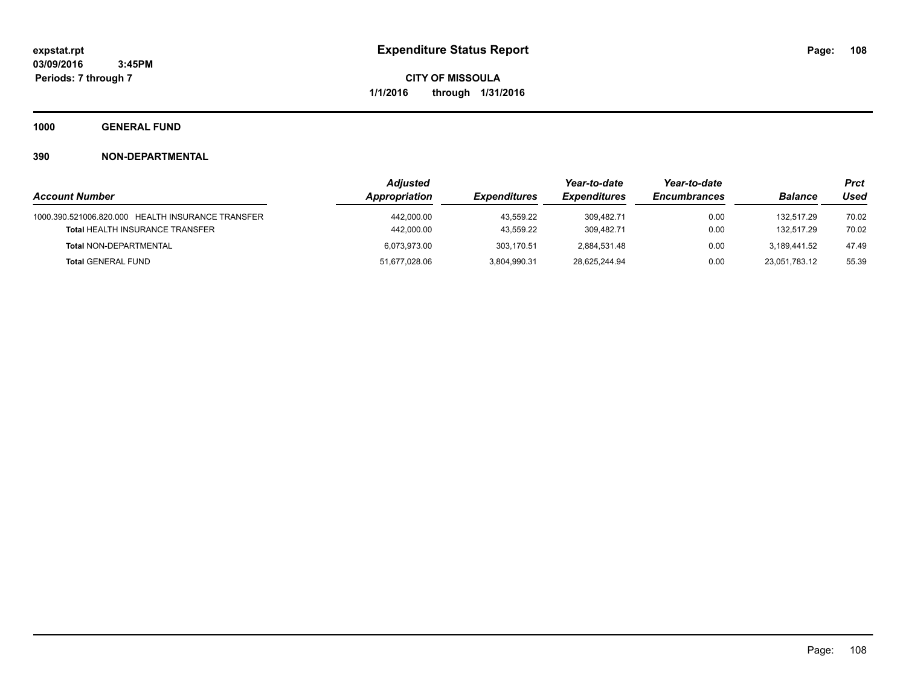**1000 GENERAL FUND**

|                                                   | <b>Adiusted</b> |                        | Year-to-date        | Year-to-date        |                          | Prct  |
|---------------------------------------------------|-----------------|------------------------|---------------------|---------------------|--------------------------|-------|
| <b>Account Number</b>                             | Appropriation   | <b>Expenditures</b>    | <b>Expenditures</b> | <b>Encumbrances</b> | <b>Balance</b>           | Used  |
| 1000.390.521006.820.000 HEALTH INSURANCE TRANSFER | 442,000.00      | 43.559.22<br>43.559.22 | 309.482.71          | 0.00<br>0.00        | 132.517.29<br>132.517.29 | 70.02 |
| <b>Total HEALTH INSURANCE TRANSFER</b>            | 442,000.00      |                        | 309.482.71          |                     |                          | 70.02 |
| <b>Total NON-DEPARTMENTAL</b>                     | 6.073.973.00    | 303.170.51             | 2.884.531.48        | 0.00                | 3.189.441.52             | 47.49 |
| <b>Total GENERAL FUND</b>                         | 51,677,028.06   | 3,804,990.31           | 28,625,244.94       | 0.00                | 23.051.783.12            | 55.39 |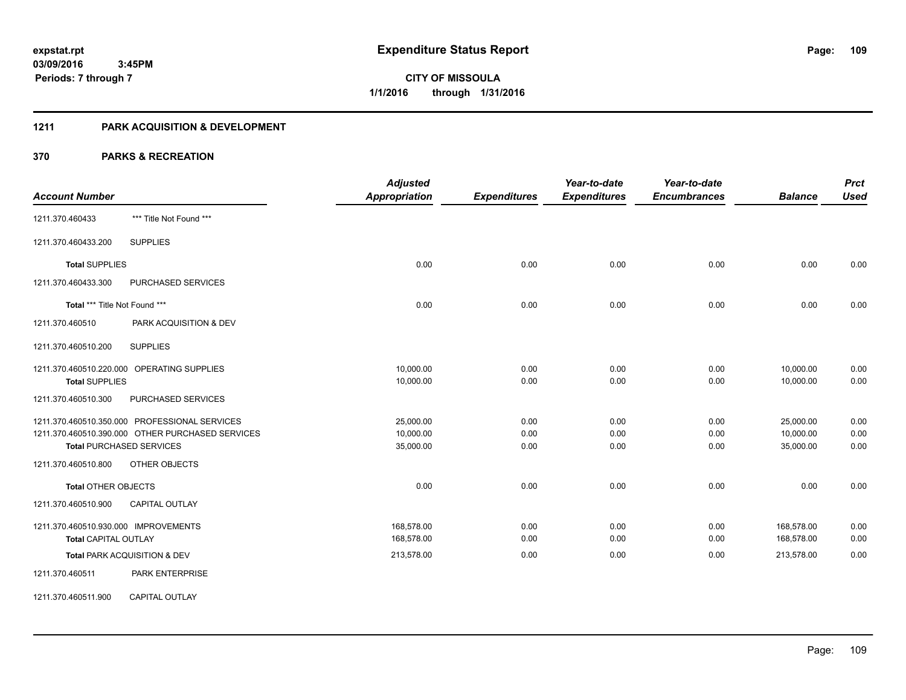#### **1211 PARK ACQUISITION & DEVELOPMENT**

|                                                  | <b>Adjusted</b>      |                     | Year-to-date        | Year-to-date        |                | <b>Prct</b> |
|--------------------------------------------------|----------------------|---------------------|---------------------|---------------------|----------------|-------------|
| <b>Account Number</b>                            | <b>Appropriation</b> | <b>Expenditures</b> | <b>Expenditures</b> | <b>Encumbrances</b> | <b>Balance</b> | <b>Used</b> |
| *** Title Not Found ***<br>1211.370.460433       |                      |                     |                     |                     |                |             |
| <b>SUPPLIES</b><br>1211.370.460433.200           |                      |                     |                     |                     |                |             |
| <b>Total SUPPLIES</b>                            | 0.00                 | 0.00                | 0.00                | 0.00                | 0.00           | 0.00        |
| 1211.370.460433.300<br>PURCHASED SERVICES        |                      |                     |                     |                     |                |             |
| Total *** Title Not Found ***                    | 0.00                 | 0.00                | 0.00                | 0.00                | 0.00           | 0.00        |
| 1211.370.460510<br>PARK ACQUISITION & DEV        |                      |                     |                     |                     |                |             |
| <b>SUPPLIES</b><br>1211.370.460510.200           |                      |                     |                     |                     |                |             |
| 1211.370.460510.220.000 OPERATING SUPPLIES       | 10,000.00            | 0.00                | 0.00                | 0.00                | 10,000.00      | 0.00        |
| <b>Total SUPPLIES</b>                            | 10,000.00            | 0.00                | 0.00                | 0.00                | 10,000.00      | 0.00        |
| PURCHASED SERVICES<br>1211.370.460510.300        |                      |                     |                     |                     |                |             |
| 1211.370.460510.350.000 PROFESSIONAL SERVICES    | 25,000.00            | 0.00                | 0.00                | 0.00                | 25,000.00      | 0.00        |
| 1211.370.460510.390.000 OTHER PURCHASED SERVICES | 10,000.00            | 0.00                | 0.00                | 0.00                | 10,000.00      | 0.00        |
| <b>Total PURCHASED SERVICES</b>                  | 35,000.00            | 0.00                | 0.00                | 0.00                | 35,000.00      | 0.00        |
| OTHER OBJECTS<br>1211.370.460510.800             |                      |                     |                     |                     |                |             |
| <b>Total OTHER OBJECTS</b>                       | 0.00                 | 0.00                | 0.00                | 0.00                | 0.00           | 0.00        |
| 1211.370.460510.900<br><b>CAPITAL OUTLAY</b>     |                      |                     |                     |                     |                |             |
| 1211.370.460510.930.000 IMPROVEMENTS             | 168,578.00           | 0.00                | 0.00                | 0.00                | 168,578.00     | 0.00        |
| <b>Total CAPITAL OUTLAY</b>                      | 168,578.00           | 0.00                | 0.00                | 0.00                | 168,578.00     | 0.00        |
| Total PARK ACQUISITION & DEV                     | 213,578.00           | 0.00                | 0.00                | 0.00                | 213,578.00     | 0.00        |
| PARK ENTERPRISE<br>1211.370.460511               |                      |                     |                     |                     |                |             |
| 1211.370.460511.900<br><b>CAPITAL OUTLAY</b>     |                      |                     |                     |                     |                |             |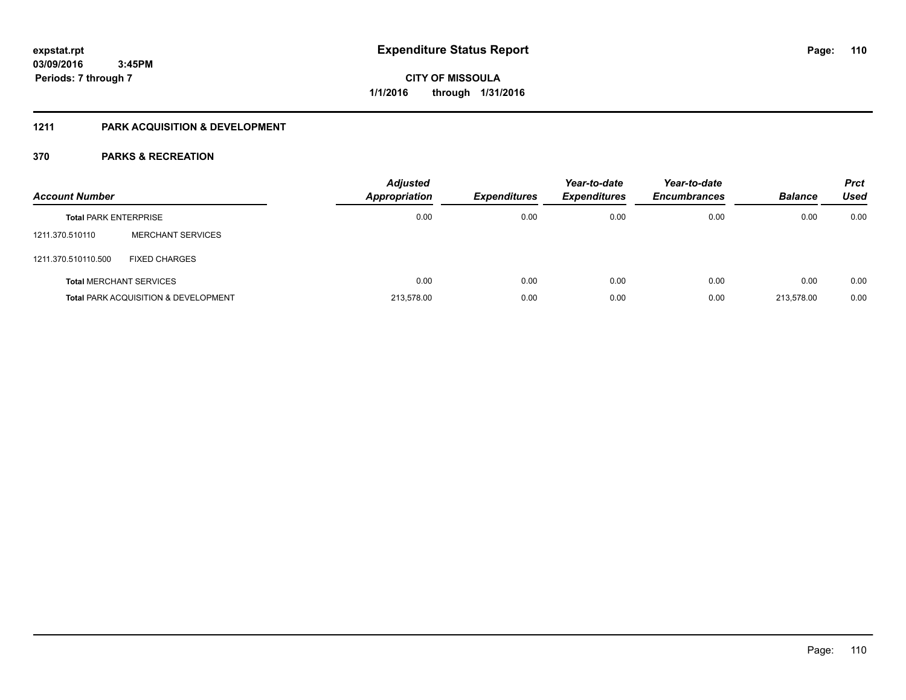#### **1211 PARK ACQUISITION & DEVELOPMENT**

| <b>Account Number</b>        |                                                 | <b>Adjusted</b><br>Appropriation | <b>Expenditures</b> | Year-to-date<br><b>Expenditures</b> | Year-to-date<br><b>Encumbrances</b> | <b>Balance</b> | <b>Prct</b><br>Used |
|------------------------------|-------------------------------------------------|----------------------------------|---------------------|-------------------------------------|-------------------------------------|----------------|---------------------|
| <b>Total PARK ENTERPRISE</b> |                                                 | 0.00                             | 0.00                | 0.00                                | 0.00                                | 0.00           | 0.00                |
| 1211.370.510110              | <b>MERCHANT SERVICES</b>                        |                                  |                     |                                     |                                     |                |                     |
| 1211.370.510110.500          | <b>FIXED CHARGES</b>                            |                                  |                     |                                     |                                     |                |                     |
|                              | <b>Total MERCHANT SERVICES</b>                  | 0.00                             | 0.00                | 0.00                                | 0.00                                | 0.00           | 0.00                |
|                              | <b>Total PARK ACQUISITION &amp; DEVELOPMENT</b> | 213.578.00                       | 0.00                | 0.00                                | 0.00                                | 213.578.00     | 0.00                |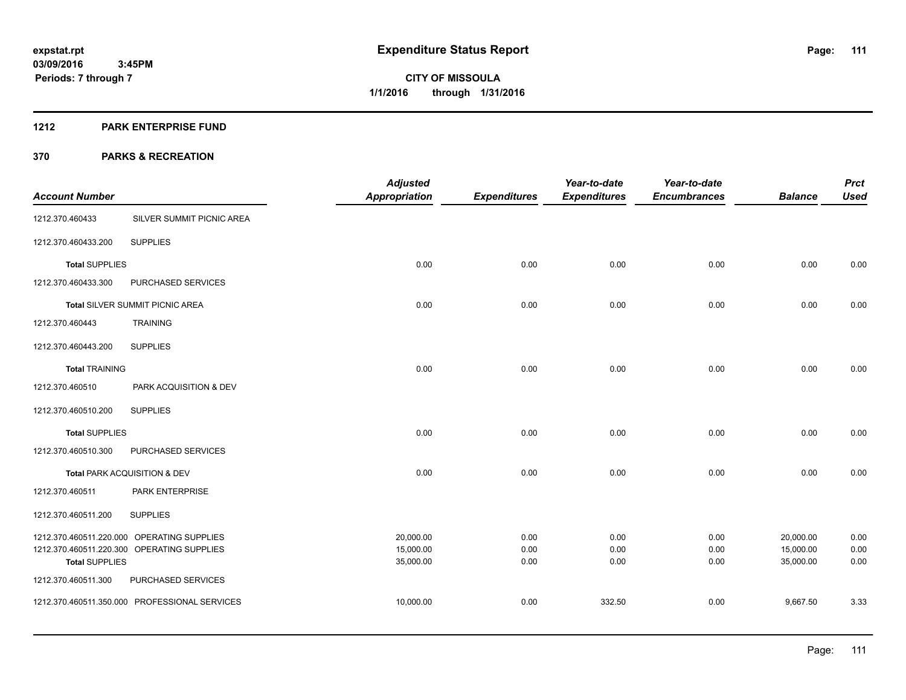#### **1212 PARK ENTERPRISE FUND**

|                         |                                            | <b>Adjusted</b>        |                     | Year-to-date        | Year-to-date        |                        | <b>Prct</b>  |
|-------------------------|--------------------------------------------|------------------------|---------------------|---------------------|---------------------|------------------------|--------------|
| <b>Account Number</b>   |                                            | <b>Appropriation</b>   | <b>Expenditures</b> | <b>Expenditures</b> | <b>Encumbrances</b> | <b>Balance</b>         | <b>Used</b>  |
| 1212.370.460433         | SILVER SUMMIT PICNIC AREA                  |                        |                     |                     |                     |                        |              |
| 1212.370.460433.200     | <b>SUPPLIES</b>                            |                        |                     |                     |                     |                        |              |
| <b>Total SUPPLIES</b>   |                                            | 0.00                   | 0.00                | 0.00                | 0.00                | 0.00                   | 0.00         |
| 1212.370.460433.300     | PURCHASED SERVICES                         |                        |                     |                     |                     |                        |              |
|                         | Total SILVER SUMMIT PICNIC AREA            | 0.00                   | 0.00                | 0.00                | 0.00                | 0.00                   | 0.00         |
| 1212.370.460443         | <b>TRAINING</b>                            |                        |                     |                     |                     |                        |              |
| 1212.370.460443.200     | <b>SUPPLIES</b>                            |                        |                     |                     |                     |                        |              |
| <b>Total TRAINING</b>   |                                            | 0.00                   | 0.00                | 0.00                | 0.00                | 0.00                   | 0.00         |
| 1212.370.460510         | PARK ACQUISITION & DEV                     |                        |                     |                     |                     |                        |              |
| 1212.370.460510.200     | <b>SUPPLIES</b>                            |                        |                     |                     |                     |                        |              |
| <b>Total SUPPLIES</b>   |                                            | 0.00                   | 0.00                | 0.00                | 0.00                | 0.00                   | 0.00         |
| 1212.370.460510.300     | PURCHASED SERVICES                         |                        |                     |                     |                     |                        |              |
|                         | Total PARK ACQUISITION & DEV               | 0.00                   | 0.00                | 0.00                | 0.00                | 0.00                   | 0.00         |
| 1212.370.460511         | PARK ENTERPRISE                            |                        |                     |                     |                     |                        |              |
| 1212.370.460511.200     | <b>SUPPLIES</b>                            |                        |                     |                     |                     |                        |              |
|                         | 1212.370.460511.220.000 OPERATING SUPPLIES | 20,000.00              | 0.00                | 0.00                | 0.00                | 20,000.00              | 0.00         |
| <b>Total SUPPLIES</b>   | 1212.370.460511.220.300 OPERATING SUPPLIES | 15,000.00<br>35,000.00 | 0.00<br>0.00        | 0.00<br>0.00        | 0.00<br>0.00        | 15,000.00<br>35,000.00 | 0.00<br>0.00 |
| 1212.370.460511.300     | PURCHASED SERVICES                         |                        |                     |                     |                     |                        |              |
| 1212.370.460511.350.000 | PROFESSIONAL SERVICES                      | 10,000.00              | 0.00                | 332.50              | 0.00                | 9,667.50               | 3.33         |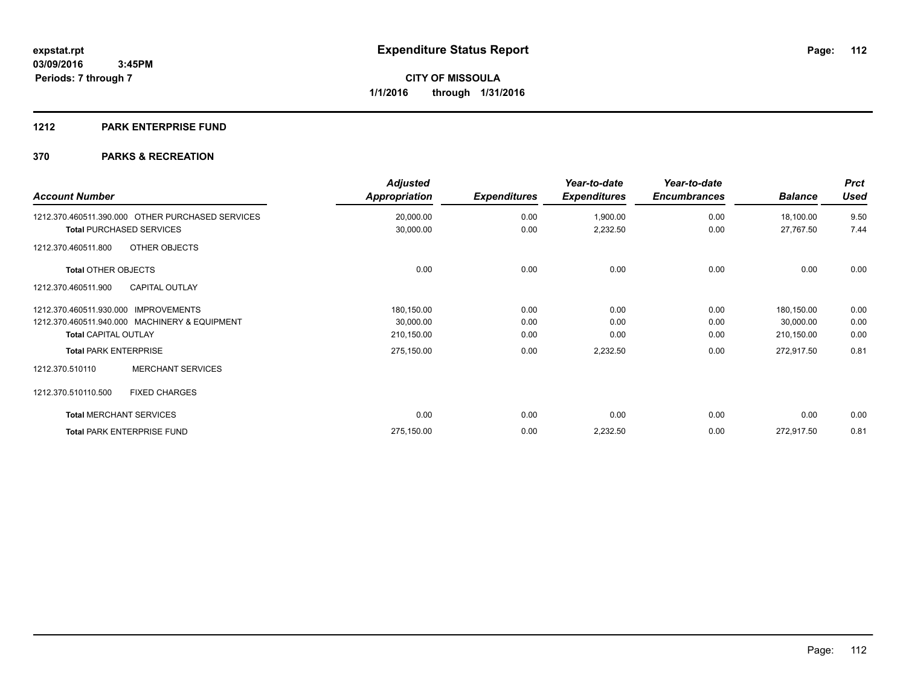#### **1212 PARK ENTERPRISE FUND**

| <b>Account Number</b>                            | <b>Adjusted</b><br>Appropriation | <b>Expenditures</b> | Year-to-date<br><b>Expenditures</b> | Year-to-date<br><b>Encumbrances</b> | <b>Balance</b> | <b>Prct</b><br><b>Used</b> |
|--------------------------------------------------|----------------------------------|---------------------|-------------------------------------|-------------------------------------|----------------|----------------------------|
| 1212.370.460511.390.000 OTHER PURCHASED SERVICES | 20,000.00                        | 0.00                | 1,900.00                            | 0.00                                | 18,100.00      | 9.50                       |
| <b>Total PURCHASED SERVICES</b>                  | 30,000.00                        | 0.00                | 2,232.50                            | 0.00                                | 27,767.50      | 7.44                       |
| OTHER OBJECTS<br>1212.370.460511.800             |                                  |                     |                                     |                                     |                |                            |
| <b>Total OTHER OBJECTS</b>                       | 0.00                             | 0.00                | 0.00                                | 0.00                                | 0.00           | 0.00                       |
| <b>CAPITAL OUTLAY</b><br>1212.370.460511.900     |                                  |                     |                                     |                                     |                |                            |
| 1212.370.460511.930.000 IMPROVEMENTS             | 180,150.00                       | 0.00                | 0.00                                | 0.00                                | 180,150.00     | 0.00                       |
| 1212.370.460511.940.000 MACHINERY & EQUIPMENT    | 30,000.00                        | 0.00                | 0.00                                | 0.00                                | 30,000.00      | 0.00                       |
| <b>Total CAPITAL OUTLAY</b>                      | 210,150.00                       | 0.00                | 0.00                                | 0.00                                | 210,150.00     | 0.00                       |
| <b>Total PARK ENTERPRISE</b>                     | 275,150.00                       | 0.00                | 2,232.50                            | 0.00                                | 272,917.50     | 0.81                       |
| <b>MERCHANT SERVICES</b><br>1212.370.510110      |                                  |                     |                                     |                                     |                |                            |
| 1212.370.510110.500<br><b>FIXED CHARGES</b>      |                                  |                     |                                     |                                     |                |                            |
| <b>Total MERCHANT SERVICES</b>                   | 0.00                             | 0.00                | 0.00                                | 0.00                                | 0.00           | 0.00                       |
| <b>Total PARK ENTERPRISE FUND</b>                | 275,150.00                       | 0.00                | 2,232.50                            | 0.00                                | 272,917.50     | 0.81                       |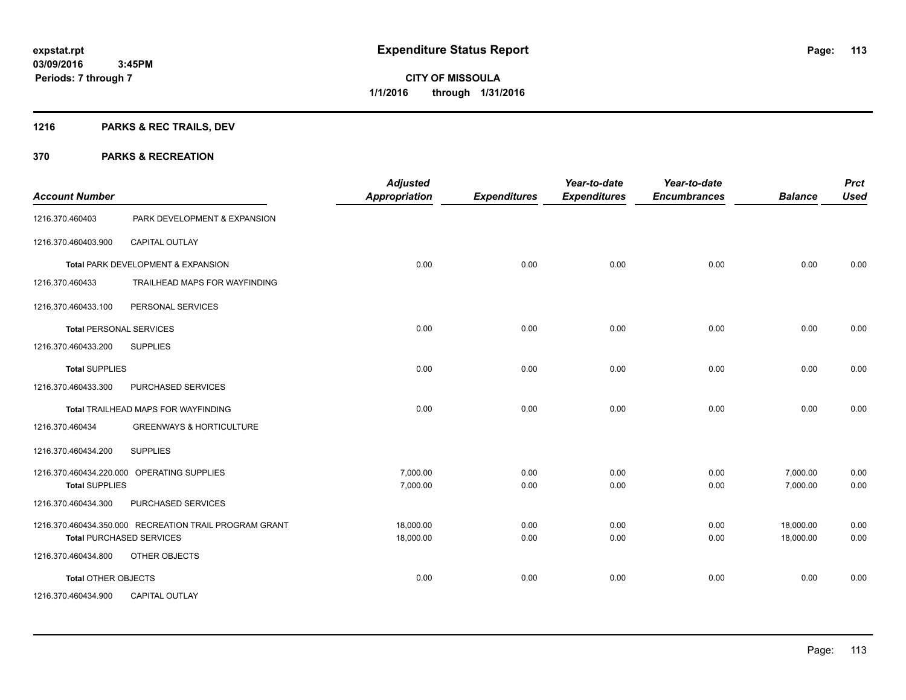## **1216 PARKS & REC TRAILS, DEV**

| <b>Account Number</b>          |                                                        | <b>Adjusted</b><br><b>Appropriation</b> | <b>Expenditures</b> | Year-to-date<br><b>Expenditures</b> | Year-to-date<br><b>Encumbrances</b> | <b>Balance</b> | <b>Prct</b><br><b>Used</b> |
|--------------------------------|--------------------------------------------------------|-----------------------------------------|---------------------|-------------------------------------|-------------------------------------|----------------|----------------------------|
| 1216.370.460403                | PARK DEVELOPMENT & EXPANSION                           |                                         |                     |                                     |                                     |                |                            |
| 1216.370.460403.900            | <b>CAPITAL OUTLAY</b>                                  |                                         |                     |                                     |                                     |                |                            |
|                                | Total PARK DEVELOPMENT & EXPANSION                     | 0.00                                    | 0.00                | 0.00                                | 0.00                                | 0.00           | 0.00                       |
| 1216.370.460433                | TRAILHEAD MAPS FOR WAYFINDING                          |                                         |                     |                                     |                                     |                |                            |
| 1216.370.460433.100            | PERSONAL SERVICES                                      |                                         |                     |                                     |                                     |                |                            |
| <b>Total PERSONAL SERVICES</b> |                                                        | 0.00                                    | 0.00                | 0.00                                | 0.00                                | 0.00           | 0.00                       |
| 1216.370.460433.200            | <b>SUPPLIES</b>                                        |                                         |                     |                                     |                                     |                |                            |
| <b>Total SUPPLIES</b>          |                                                        | 0.00                                    | 0.00                | 0.00                                | 0.00                                | 0.00           | 0.00                       |
| 1216.370.460433.300            | PURCHASED SERVICES                                     |                                         |                     |                                     |                                     |                |                            |
|                                | Total TRAILHEAD MAPS FOR WAYFINDING                    | 0.00                                    | 0.00                | 0.00                                | 0.00                                | 0.00           | 0.00                       |
| 1216.370.460434                | <b>GREENWAYS &amp; HORTICULTURE</b>                    |                                         |                     |                                     |                                     |                |                            |
| 1216.370.460434.200            | <b>SUPPLIES</b>                                        |                                         |                     |                                     |                                     |                |                            |
|                                | 1216.370.460434.220.000 OPERATING SUPPLIES             | 7,000.00                                | 0.00                | 0.00                                | 0.00                                | 7,000.00       | 0.00                       |
| <b>Total SUPPLIES</b>          |                                                        | 7,000.00                                | 0.00                | 0.00                                | 0.00                                | 7,000.00       | 0.00                       |
| 1216.370.460434.300            | PURCHASED SERVICES                                     |                                         |                     |                                     |                                     |                |                            |
|                                | 1216.370.460434.350.000 RECREATION TRAIL PROGRAM GRANT | 18.000.00                               | 0.00                | 0.00                                | 0.00                                | 18,000.00      | 0.00                       |
|                                | <b>Total PURCHASED SERVICES</b>                        | 18,000.00                               | 0.00                | 0.00                                | 0.00                                | 18,000.00      | 0.00                       |
| 1216.370.460434.800            | OTHER OBJECTS                                          |                                         |                     |                                     |                                     |                |                            |
| Total OTHER OBJECTS            |                                                        | 0.00                                    | 0.00                | 0.00                                | 0.00                                | 0.00           | 0.00                       |
| 1216.370.460434.900            | <b>CAPITAL OUTLAY</b>                                  |                                         |                     |                                     |                                     |                |                            |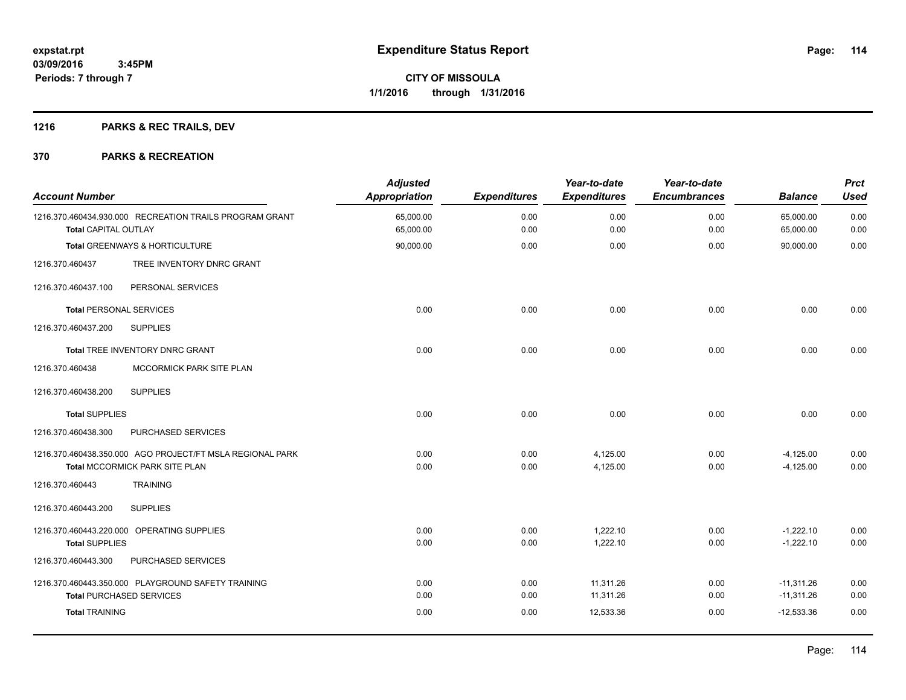## **1216 PARKS & REC TRAILS, DEV**

| <b>Account Number</b>          |                                                           | <b>Adjusted</b><br>Appropriation | <b>Expenditures</b> | Year-to-date<br><b>Expenditures</b> | Year-to-date<br><b>Encumbrances</b> | <b>Balance</b>         | <b>Prct</b><br><b>Used</b> |
|--------------------------------|-----------------------------------------------------------|----------------------------------|---------------------|-------------------------------------|-------------------------------------|------------------------|----------------------------|
| <b>Total CAPITAL OUTLAY</b>    | 1216.370.460434.930.000 RECREATION TRAILS PROGRAM GRANT   | 65,000.00<br>65,000.00           | 0.00<br>0.00        | 0.00<br>0.00                        | 0.00<br>0.00                        | 65,000.00<br>65,000.00 | 0.00<br>0.00               |
|                                | Total GREENWAYS & HORTICULTURE                            | 90,000.00                        | 0.00                | 0.00                                | 0.00                                | 90,000.00              | 0.00                       |
| 1216.370.460437                | TREE INVENTORY DNRC GRANT                                 |                                  |                     |                                     |                                     |                        |                            |
| 1216.370.460437.100            | PERSONAL SERVICES                                         |                                  |                     |                                     |                                     |                        |                            |
| <b>Total PERSONAL SERVICES</b> |                                                           | 0.00                             | 0.00                | 0.00                                | 0.00                                | 0.00                   | 0.00                       |
| 1216.370.460437.200            | <b>SUPPLIES</b>                                           |                                  |                     |                                     |                                     |                        |                            |
|                                | Total TREE INVENTORY DNRC GRANT                           | 0.00                             | 0.00                | 0.00                                | 0.00                                | 0.00                   | 0.00                       |
| 1216.370.460438                | MCCORMICK PARK SITE PLAN                                  |                                  |                     |                                     |                                     |                        |                            |
| 1216.370.460438.200            | <b>SUPPLIES</b>                                           |                                  |                     |                                     |                                     |                        |                            |
| <b>Total SUPPLIES</b>          |                                                           | 0.00                             | 0.00                | 0.00                                | 0.00                                | 0.00                   | 0.00                       |
| 1216.370.460438.300            | PURCHASED SERVICES                                        |                                  |                     |                                     |                                     |                        |                            |
|                                | 1216.370.460438.350.000 AGO PROJECT/FT MSLA REGIONAL PARK | 0.00                             | 0.00                | 4,125.00                            | 0.00                                | $-4,125.00$            | 0.00                       |
|                                | <b>Total MCCORMICK PARK SITE PLAN</b>                     | 0.00                             | 0.00                | 4,125.00                            | 0.00                                | $-4.125.00$            | 0.00                       |
| 1216.370.460443                | <b>TRAINING</b>                                           |                                  |                     |                                     |                                     |                        |                            |
| 1216.370.460443.200            | <b>SUPPLIES</b>                                           |                                  |                     |                                     |                                     |                        |                            |
|                                | 1216.370.460443.220.000 OPERATING SUPPLIES                | 0.00                             | 0.00                | 1,222.10                            | 0.00                                | $-1,222.10$            | 0.00                       |
| <b>Total SUPPLIES</b>          |                                                           | 0.00                             | 0.00                | 1,222.10                            | 0.00                                | $-1,222.10$            | 0.00                       |
| 1216.370.460443.300            | PURCHASED SERVICES                                        |                                  |                     |                                     |                                     |                        |                            |
|                                | 1216.370.460443.350.000 PLAYGROUND SAFETY TRAINING        | 0.00                             | 0.00                | 11,311.26                           | 0.00                                | $-11,311.26$           | 0.00                       |
|                                | <b>Total PURCHASED SERVICES</b>                           | 0.00                             | 0.00                | 11,311.26                           | 0.00                                | $-11,311.26$           | 0.00                       |
| <b>Total TRAINING</b>          |                                                           | 0.00                             | 0.00                | 12,533.36                           | 0.00                                | $-12,533.36$           | 0.00                       |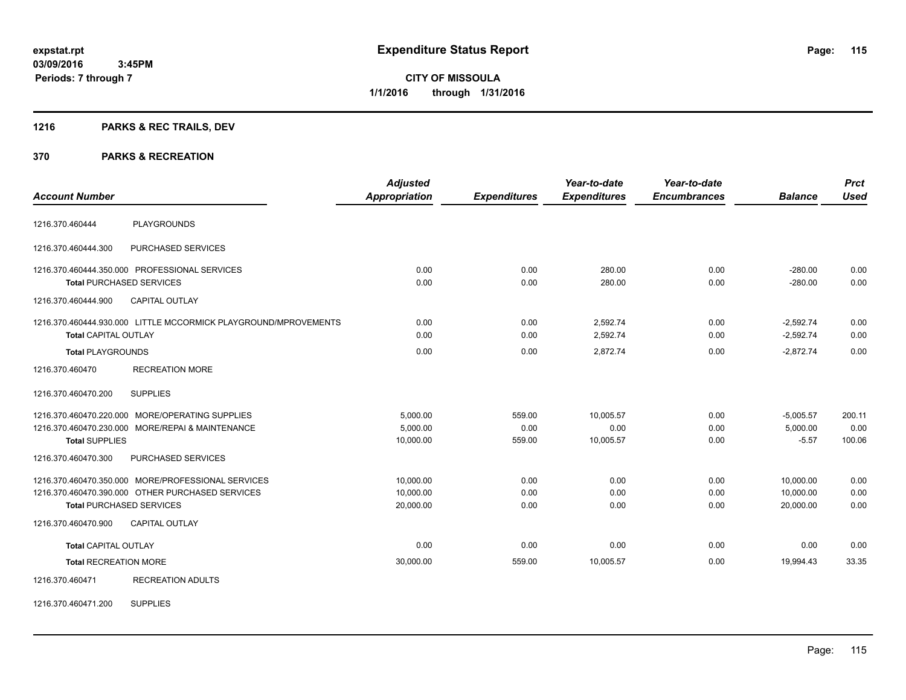**03/09/2016 3:45PM Periods: 7 through 7**

**CITY OF MISSOULA 1/1/2016 through 1/31/2016**

## **1216 PARKS & REC TRAILS, DEV**

#### **370 PARKS & RECREATION**

| <b>Account Number</b>        |                                                                                                                                           | <b>Adjusted</b><br><b>Appropriation</b> | <b>Expenditures</b>      | Year-to-date<br><b>Expenditures</b> | Year-to-date<br><b>Encumbrances</b> | <b>Balance</b>                      | <b>Prct</b><br><b>Used</b> |
|------------------------------|-------------------------------------------------------------------------------------------------------------------------------------------|-----------------------------------------|--------------------------|-------------------------------------|-------------------------------------|-------------------------------------|----------------------------|
| 1216.370.460444              | <b>PLAYGROUNDS</b>                                                                                                                        |                                         |                          |                                     |                                     |                                     |                            |
| 1216.370.460444.300          | PURCHASED SERVICES                                                                                                                        |                                         |                          |                                     |                                     |                                     |                            |
|                              | 1216.370.460444.350.000 PROFESSIONAL SERVICES<br><b>Total PURCHASED SERVICES</b>                                                          | 0.00<br>0.00                            | 0.00<br>0.00             | 280.00<br>280.00                    | 0.00<br>0.00                        | $-280.00$<br>$-280.00$              | 0.00<br>0.00               |
| 1216.370.460444.900          | <b>CAPITAL OUTLAY</b>                                                                                                                     |                                         |                          |                                     |                                     |                                     |                            |
| <b>Total CAPITAL OUTLAY</b>  | 1216.370.460444.930.000 LITTLE MCCORMICK PLAYGROUND/MPROVEMENTS                                                                           | 0.00<br>0.00                            | 0.00<br>0.00             | 2,592.74<br>2,592.74                | 0.00<br>0.00                        | $-2,592.74$<br>$-2,592.74$          | 0.00<br>0.00               |
| <b>Total PLAYGROUNDS</b>     |                                                                                                                                           | 0.00                                    | 0.00                     | 2,872.74                            | 0.00                                | $-2.872.74$                         | 0.00                       |
| 1216.370.460470              | <b>RECREATION MORE</b>                                                                                                                    |                                         |                          |                                     |                                     |                                     |                            |
| 1216.370.460470.200          | <b>SUPPLIES</b>                                                                                                                           |                                         |                          |                                     |                                     |                                     |                            |
| <b>Total SUPPLIES</b>        | 1216.370.460470.220.000 MORE/OPERATING SUPPLIES<br>1216.370.460470.230.000 MORE/REPAI & MAINTENANCE                                       | 5,000.00<br>5,000.00<br>10,000.00       | 559.00<br>0.00<br>559.00 | 10,005.57<br>0.00<br>10,005.57      | 0.00<br>0.00<br>0.00                | $-5,005.57$<br>5,000.00<br>$-5.57$  | 200.11<br>0.00<br>100.06   |
| 1216.370.460470.300          | PURCHASED SERVICES                                                                                                                        |                                         |                          |                                     |                                     |                                     |                            |
|                              | 1216.370.460470.350.000 MORE/PROFESSIONAL SERVICES<br>1216.370.460470.390.000 OTHER PURCHASED SERVICES<br><b>Total PURCHASED SERVICES</b> | 10,000.00<br>10,000.00<br>20,000.00     | 0.00<br>0.00<br>0.00     | 0.00<br>0.00<br>0.00                | 0.00<br>0.00<br>0.00                | 10,000.00<br>10,000.00<br>20,000.00 | 0.00<br>0.00<br>0.00       |
| 1216.370.460470.900          | <b>CAPITAL OUTLAY</b>                                                                                                                     |                                         |                          |                                     |                                     |                                     |                            |
| <b>Total CAPITAL OUTLAY</b>  |                                                                                                                                           | 0.00                                    | 0.00                     | 0.00                                | 0.00                                | 0.00                                | 0.00                       |
| <b>Total RECREATION MORE</b> |                                                                                                                                           | 30,000.00                               | 559.00                   | 10,005.57                           | 0.00                                | 19.994.43                           | 33.35                      |
| 1216.370.460471              | <b>RECREATION ADULTS</b>                                                                                                                  |                                         |                          |                                     |                                     |                                     |                            |

1216.370.460471.200 SUPPLIES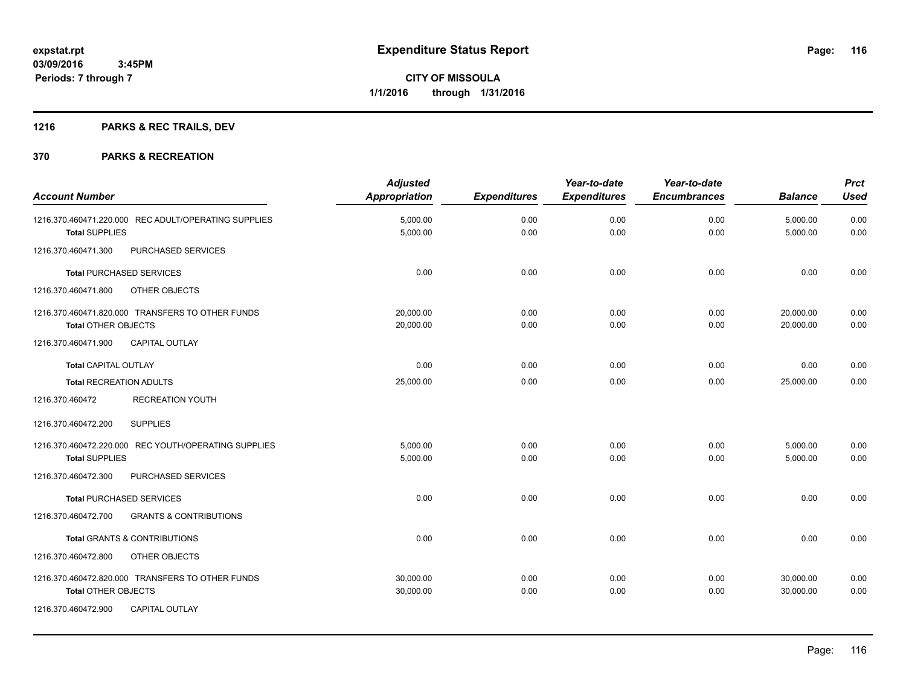## **1216 PARKS & REC TRAILS, DEV**

|                                                          | <b>Adjusted</b>      |                     | Year-to-date        | Year-to-date        |                | <b>Prct</b> |
|----------------------------------------------------------|----------------------|---------------------|---------------------|---------------------|----------------|-------------|
| <b>Account Number</b>                                    | <b>Appropriation</b> | <b>Expenditures</b> | <b>Expenditures</b> | <b>Encumbrances</b> | <b>Balance</b> | <b>Used</b> |
| 1216.370.460471.220.000 REC ADULT/OPERATING SUPPLIES     | 5,000.00             | 0.00                | 0.00                | 0.00                | 5,000.00       | 0.00        |
| <b>Total SUPPLIES</b>                                    | 5,000.00             | 0.00                | 0.00                | 0.00                | 5,000.00       | 0.00        |
| 1216.370.460471.300<br>PURCHASED SERVICES                |                      |                     |                     |                     |                |             |
| <b>Total PURCHASED SERVICES</b>                          | 0.00                 | 0.00                | 0.00                | 0.00                | 0.00           | 0.00        |
| 1216.370.460471.800<br>OTHER OBJECTS                     |                      |                     |                     |                     |                |             |
| 1216.370.460471.820.000 TRANSFERS TO OTHER FUNDS         | 20,000.00            | 0.00                | 0.00                | 0.00                | 20,000.00      | 0.00        |
| <b>Total OTHER OBJECTS</b>                               | 20,000.00            | 0.00                | 0.00                | 0.00                | 20,000.00      | 0.00        |
| 1216.370.460471.900<br>CAPITAL OUTLAY                    |                      |                     |                     |                     |                |             |
| <b>Total CAPITAL OUTLAY</b>                              | 0.00                 | 0.00                | 0.00                | 0.00                | 0.00           | 0.00        |
| <b>Total RECREATION ADULTS</b>                           | 25,000.00            | 0.00                | 0.00                | 0.00                | 25,000.00      | 0.00        |
| <b>RECREATION YOUTH</b><br>1216.370.460472               |                      |                     |                     |                     |                |             |
| 1216.370.460472.200<br><b>SUPPLIES</b>                   |                      |                     |                     |                     |                |             |
| 1216.370.460472.220.000 REC YOUTH/OPERATING SUPPLIES     | 5.000.00             | 0.00                | 0.00                | 0.00                | 5,000.00       | 0.00        |
| <b>Total SUPPLIES</b>                                    | 5,000.00             | 0.00                | 0.00                | 0.00                | 5,000.00       | 0.00        |
| PURCHASED SERVICES<br>1216.370.460472.300                |                      |                     |                     |                     |                |             |
| <b>Total PURCHASED SERVICES</b>                          | 0.00                 | 0.00                | 0.00                | 0.00                | 0.00           | 0.00        |
| 1216.370.460472.700<br><b>GRANTS &amp; CONTRIBUTIONS</b> |                      |                     |                     |                     |                |             |
| <b>Total GRANTS &amp; CONTRIBUTIONS</b>                  | 0.00                 | 0.00                | 0.00                | 0.00                | 0.00           | 0.00        |
| 1216.370.460472.800<br>OTHER OBJECTS                     |                      |                     |                     |                     |                |             |
| 1216.370.460472.820.000 TRANSFERS TO OTHER FUNDS         | 30,000.00            | 0.00                | 0.00                | 0.00                | 30,000.00      | 0.00        |
| <b>Total OTHER OBJECTS</b>                               | 30,000.00            | 0.00                | 0.00                | 0.00                | 30,000.00      | 0.00        |
| 1216.370.460472.900<br><b>CAPITAL OUTLAY</b>             |                      |                     |                     |                     |                |             |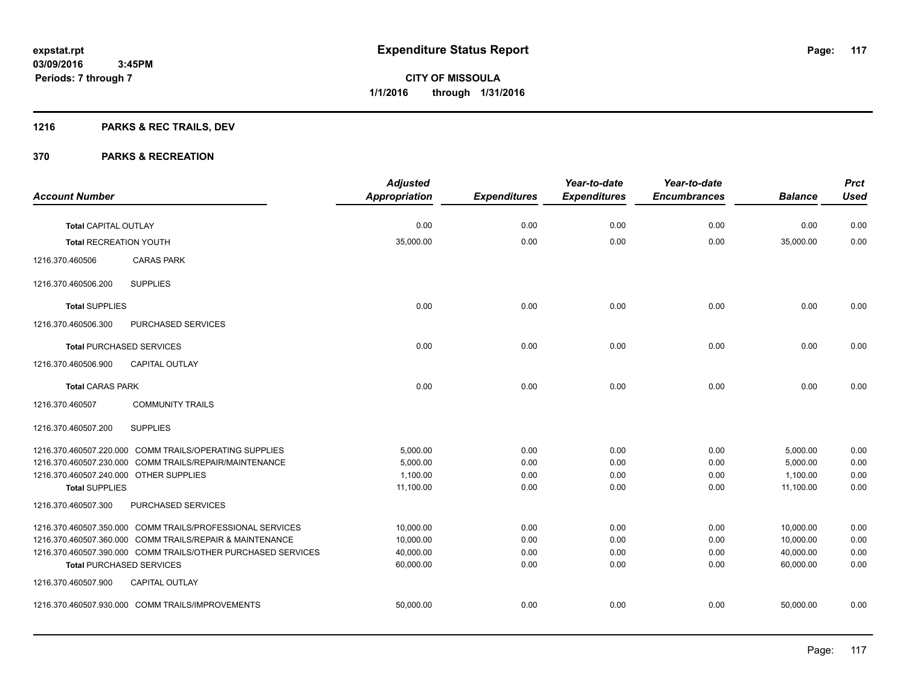## **1216 PARKS & REC TRAILS, DEV**

|                                        |                                                              | <b>Adjusted</b>      |                     | Year-to-date        | Year-to-date        |                | <b>Prct</b> |
|----------------------------------------|--------------------------------------------------------------|----------------------|---------------------|---------------------|---------------------|----------------|-------------|
| <b>Account Number</b>                  |                                                              | <b>Appropriation</b> | <b>Expenditures</b> | <b>Expenditures</b> | <b>Encumbrances</b> | <b>Balance</b> | <b>Used</b> |
| <b>Total CAPITAL OUTLAY</b>            |                                                              | 0.00                 | 0.00                | 0.00                | 0.00                | 0.00           | 0.00        |
| <b>Total RECREATION YOUTH</b>          |                                                              | 35,000.00            | 0.00                | 0.00                | 0.00                | 35,000.00      | 0.00        |
| 1216.370.460506                        | <b>CARAS PARK</b>                                            |                      |                     |                     |                     |                |             |
| 1216.370.460506.200                    | <b>SUPPLIES</b>                                              |                      |                     |                     |                     |                |             |
| <b>Total SUPPLIES</b>                  |                                                              | 0.00                 | 0.00                | 0.00                | 0.00                | 0.00           | 0.00        |
| 1216.370.460506.300                    | PURCHASED SERVICES                                           |                      |                     |                     |                     |                |             |
|                                        | <b>Total PURCHASED SERVICES</b>                              | 0.00                 | 0.00                | 0.00                | 0.00                | 0.00           | 0.00        |
| 1216.370.460506.900                    | <b>CAPITAL OUTLAY</b>                                        |                      |                     |                     |                     |                |             |
| <b>Total CARAS PARK</b>                |                                                              | 0.00                 | 0.00                | 0.00                | 0.00                | 0.00           | 0.00        |
| 1216.370.460507                        | <b>COMMUNITY TRAILS</b>                                      |                      |                     |                     |                     |                |             |
| 1216.370.460507.200                    | <b>SUPPLIES</b>                                              |                      |                     |                     |                     |                |             |
|                                        | 1216.370.460507.220.000 COMM TRAILS/OPERATING SUPPLIES       | 5,000.00             | 0.00                | 0.00                | 0.00                | 5,000.00       | 0.00        |
|                                        | 1216.370.460507.230.000 COMM TRAILS/REPAIR/MAINTENANCE       | 5.000.00             | 0.00                | 0.00                | 0.00                | 5,000.00       | 0.00        |
| 1216.370.460507.240.000 OTHER SUPPLIES |                                                              | 1,100.00             | 0.00                | 0.00                | 0.00                | 1,100.00       | 0.00        |
| <b>Total SUPPLIES</b>                  |                                                              | 11,100.00            | 0.00                | 0.00                | 0.00                | 11,100.00      | 0.00        |
| 1216.370.460507.300                    | PURCHASED SERVICES                                           |                      |                     |                     |                     |                |             |
|                                        | 1216.370.460507.350.000 COMM TRAILS/PROFESSIONAL SERVICES    | 10,000.00            | 0.00                | 0.00                | 0.00                | 10,000.00      | 0.00        |
|                                        | 1216.370.460507.360.000 COMM TRAILS/REPAIR & MAINTENANCE     | 10,000.00            | 0.00                | 0.00                | 0.00                | 10,000.00      | 0.00        |
|                                        | 1216.370.460507.390.000 COMM TRAILS/OTHER PURCHASED SERVICES | 40,000.00            | 0.00                | 0.00                | 0.00                | 40,000.00      | 0.00        |
|                                        | <b>Total PURCHASED SERVICES</b>                              | 60,000.00            | 0.00                | 0.00                | 0.00                | 60,000.00      | 0.00        |
| 1216.370.460507.900                    | <b>CAPITAL OUTLAY</b>                                        |                      |                     |                     |                     |                |             |
|                                        | 1216.370.460507.930.000 COMM TRAILS/IMPROVEMENTS             | 50,000.00            | 0.00                | 0.00                | 0.00                | 50,000.00      | 0.00        |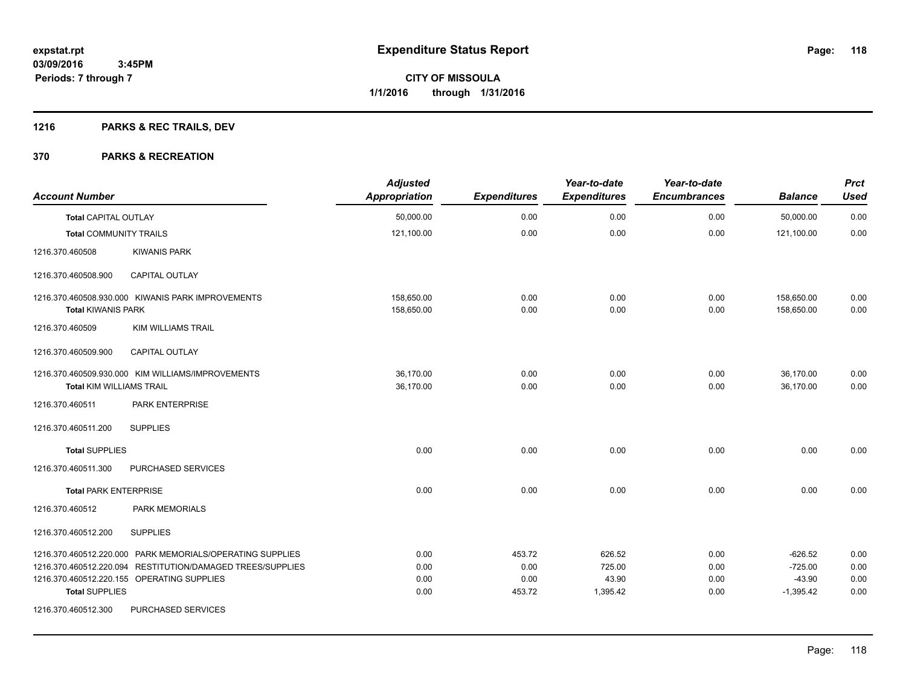## **1216 PARKS & REC TRAILS, DEV**

| <b>Account Number</b>           |                                                                                                                                                                       | <b>Adjusted</b><br><b>Appropriation</b> | <b>Expenditures</b>              | Year-to-date<br><b>Expenditures</b>   | Year-to-date<br><b>Encumbrances</b> | <b>Balance</b>                                    | <b>Prct</b><br><b>Used</b>   |
|---------------------------------|-----------------------------------------------------------------------------------------------------------------------------------------------------------------------|-----------------------------------------|----------------------------------|---------------------------------------|-------------------------------------|---------------------------------------------------|------------------------------|
| <b>Total CAPITAL OUTLAY</b>     |                                                                                                                                                                       | 50,000.00                               | 0.00                             | 0.00                                  | 0.00                                | 50,000.00                                         | 0.00                         |
| <b>Total COMMUNITY TRAILS</b>   |                                                                                                                                                                       | 121,100.00                              | 0.00                             | 0.00                                  | 0.00                                | 121,100.00                                        | 0.00                         |
| 1216.370.460508                 | <b>KIWANIS PARK</b>                                                                                                                                                   |                                         |                                  |                                       |                                     |                                                   |                              |
| 1216.370.460508.900             | <b>CAPITAL OUTLAY</b>                                                                                                                                                 |                                         |                                  |                                       |                                     |                                                   |                              |
| <b>Total KIWANIS PARK</b>       | 1216.370.460508.930.000 KIWANIS PARK IMPROVEMENTS                                                                                                                     | 158,650.00<br>158,650.00                | 0.00<br>0.00                     | 0.00<br>0.00                          | 0.00<br>0.00                        | 158,650.00<br>158,650.00                          | 0.00<br>0.00                 |
| 1216.370.460509                 | <b>KIM WILLIAMS TRAIL</b>                                                                                                                                             |                                         |                                  |                                       |                                     |                                                   |                              |
| 1216.370.460509.900             | <b>CAPITAL OUTLAY</b>                                                                                                                                                 |                                         |                                  |                                       |                                     |                                                   |                              |
| <b>Total KIM WILLIAMS TRAIL</b> | 1216.370.460509.930.000 KIM WILLIAMS/IMPROVEMENTS                                                                                                                     | 36,170.00<br>36,170.00                  | 0.00<br>0.00                     | 0.00<br>0.00                          | 0.00<br>0.00                        | 36,170.00<br>36,170.00                            | 0.00<br>0.00                 |
| 1216.370.460511                 | PARK ENTERPRISE                                                                                                                                                       |                                         |                                  |                                       |                                     |                                                   |                              |
| 1216.370.460511.200             | <b>SUPPLIES</b>                                                                                                                                                       |                                         |                                  |                                       |                                     |                                                   |                              |
| <b>Total SUPPLIES</b>           |                                                                                                                                                                       | 0.00                                    | 0.00                             | 0.00                                  | 0.00                                | 0.00                                              | 0.00                         |
| 1216.370.460511.300             | PURCHASED SERVICES                                                                                                                                                    |                                         |                                  |                                       |                                     |                                                   |                              |
| <b>Total PARK ENTERPRISE</b>    |                                                                                                                                                                       | 0.00                                    | 0.00                             | 0.00                                  | 0.00                                | 0.00                                              | 0.00                         |
| 1216.370.460512                 | PARK MEMORIALS                                                                                                                                                        |                                         |                                  |                                       |                                     |                                                   |                              |
| 1216.370.460512.200             | <b>SUPPLIES</b>                                                                                                                                                       |                                         |                                  |                                       |                                     |                                                   |                              |
| <b>Total SUPPLIES</b>           | 1216.370.460512.220.000 PARK MEMORIALS/OPERATING SUPPLIES<br>1216.370.460512.220.094 RESTITUTION/DAMAGED TREES/SUPPLIES<br>1216.370.460512.220.155 OPERATING SUPPLIES | 0.00<br>0.00<br>0.00<br>0.00            | 453.72<br>0.00<br>0.00<br>453.72 | 626.52<br>725.00<br>43.90<br>1,395.42 | 0.00<br>0.00<br>0.00<br>0.00        | $-626.52$<br>$-725.00$<br>$-43.90$<br>$-1,395.42$ | 0.00<br>0.00<br>0.00<br>0.00 |
| 1216.370.460512.300             | PURCHASED SERVICES                                                                                                                                                    |                                         |                                  |                                       |                                     |                                                   |                              |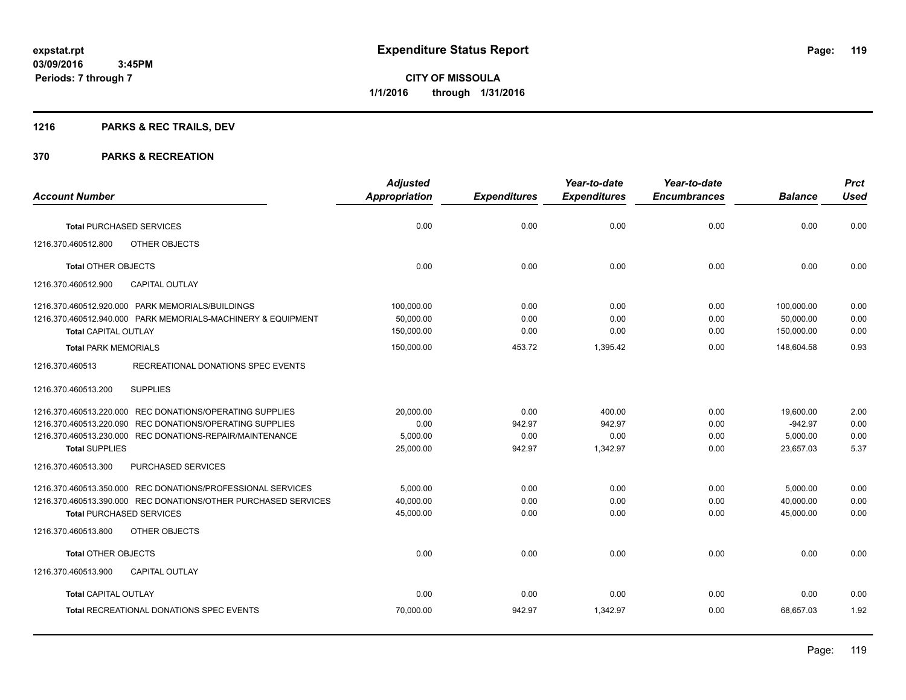**Periods: 7 through 7**

**CITY OF MISSOULA 1/1/2016 through 1/31/2016**

## **1216 PARKS & REC TRAILS, DEV**

|                                                                                             | <b>Adjusted</b>         |                     | Year-to-date        | Year-to-date        |                         | <b>Prct</b>  |
|---------------------------------------------------------------------------------------------|-------------------------|---------------------|---------------------|---------------------|-------------------------|--------------|
| <b>Account Number</b>                                                                       | <b>Appropriation</b>    | <b>Expenditures</b> | <b>Expenditures</b> | <b>Encumbrances</b> | <b>Balance</b>          | <b>Used</b>  |
| <b>Total PURCHASED SERVICES</b>                                                             | 0.00                    | 0.00                | 0.00                | 0.00                | 0.00                    | 0.00         |
| 1216.370.460512.800<br>OTHER OBJECTS                                                        |                         |                     |                     |                     |                         |              |
| <b>Total OTHER OBJECTS</b>                                                                  | 0.00                    | 0.00                | 0.00                | 0.00                | 0.00                    | 0.00         |
| <b>CAPITAL OUTLAY</b><br>1216.370.460512.900                                                |                         |                     |                     |                     |                         |              |
| 1216.370.460512.920.000 PARK MEMORIALS/BUILDINGS                                            | 100,000.00              | 0.00                | 0.00                | 0.00                | 100,000.00              | 0.00         |
| 1216.370.460512.940.000 PARK MEMORIALS-MACHINERY & EQUIPMENT<br><b>Total CAPITAL OUTLAY</b> | 50,000.00<br>150,000.00 | 0.00<br>0.00        | 0.00<br>0.00        | 0.00<br>0.00        | 50,000.00<br>150.000.00 | 0.00<br>0.00 |
| <b>Total PARK MEMORIALS</b>                                                                 | 150,000.00              | 453.72              | 1,395.42            | 0.00                | 148,604.58              | 0.93         |
| 1216.370.460513<br>RECREATIONAL DONATIONS SPEC EVENTS                                       |                         |                     |                     |                     |                         |              |
| <b>SUPPLIES</b><br>1216.370.460513.200                                                      |                         |                     |                     |                     |                         |              |
| 1216.370.460513.220.000 REC DONATIONS/OPERATING SUPPLIES                                    | 20,000.00               | 0.00                | 400.00              | 0.00                | 19,600.00               | 2.00         |
| 1216.370.460513.220.090 REC DONATIONS/OPERATING SUPPLIES                                    | 0.00                    | 942.97              | 942.97              | 0.00                | $-942.97$               | 0.00         |
| 1216.370.460513.230.000 REC DONATIONS-REPAIR/MAINTENANCE                                    | 5,000.00                | 0.00                | 0.00                | 0.00                | 5,000.00                | 0.00         |
| <b>Total SUPPLIES</b>                                                                       | 25,000.00               | 942.97              | 1,342.97            | 0.00                | 23,657.03               | 5.37         |
| 1216.370.460513.300<br><b>PURCHASED SERVICES</b>                                            |                         |                     |                     |                     |                         |              |
| 1216.370.460513.350.000 REC DONATIONS/PROFESSIONAL SERVICES                                 | 5,000.00                | 0.00                | 0.00                | 0.00                | 5,000.00                | 0.00         |
| 1216.370.460513.390.000 REC DONATIONS/OTHER PURCHASED SERVICES                              | 40,000.00               | 0.00                | 0.00                | 0.00                | 40,000.00               | 0.00         |
| <b>Total PURCHASED SERVICES</b>                                                             | 45,000.00               | 0.00                | 0.00                | 0.00                | 45,000.00               | 0.00         |
| 1216.370.460513.800<br>OTHER OBJECTS                                                        |                         |                     |                     |                     |                         |              |
| <b>Total OTHER OBJECTS</b>                                                                  | 0.00                    | 0.00                | 0.00                | 0.00                | 0.00                    | 0.00         |
| <b>CAPITAL OUTLAY</b><br>1216.370.460513.900                                                |                         |                     |                     |                     |                         |              |
| <b>Total CAPITAL OUTLAY</b>                                                                 | 0.00                    | 0.00                | 0.00                | 0.00                | 0.00                    | 0.00         |
| <b>Total RECREATIONAL DONATIONS SPEC EVENTS</b>                                             | 70,000.00               | 942.97              | 1,342.97            | 0.00                | 68,657.03               | 1.92         |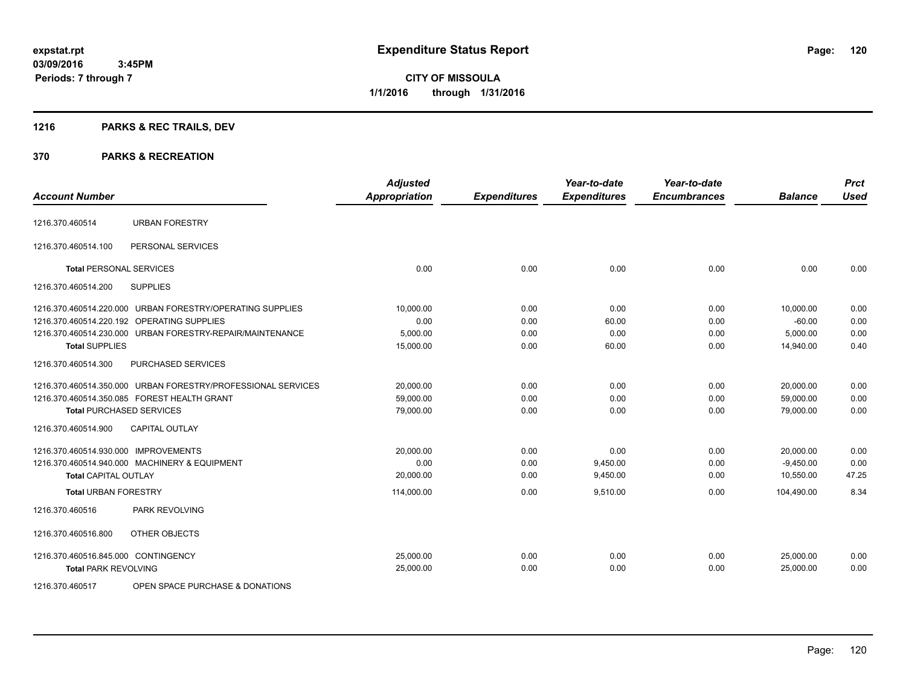## **1216 PARKS & REC TRAILS, DEV**

#### **370 PARKS & RECREATION**

| <b>Account Number</b>                |                                                              | <b>Adjusted</b><br>Appropriation | <b>Expenditures</b> | Year-to-date<br><b>Expenditures</b> | Year-to-date<br><b>Encumbrances</b> | <b>Balance</b> | <b>Prct</b><br><b>Used</b> |
|--------------------------------------|--------------------------------------------------------------|----------------------------------|---------------------|-------------------------------------|-------------------------------------|----------------|----------------------------|
| 1216.370.460514                      | <b>URBAN FORESTRY</b>                                        |                                  |                     |                                     |                                     |                |                            |
|                                      |                                                              |                                  |                     |                                     |                                     |                |                            |
| 1216.370.460514.100                  | PERSONAL SERVICES                                            |                                  |                     |                                     |                                     |                |                            |
| <b>Total PERSONAL SERVICES</b>       |                                                              | 0.00                             | 0.00                | 0.00                                | 0.00                                | 0.00           | 0.00                       |
| 1216.370.460514.200                  | <b>SUPPLIES</b>                                              |                                  |                     |                                     |                                     |                |                            |
|                                      | 1216.370.460514.220.000 URBAN FORESTRY/OPERATING SUPPLIES    | 10,000.00                        | 0.00                | 0.00                                | 0.00                                | 10,000.00      | 0.00                       |
|                                      | 1216.370.460514.220.192 OPERATING SUPPLIES                   | 0.00                             | 0.00                | 60.00                               | 0.00                                | $-60.00$       | 0.00                       |
|                                      | 1216.370.460514.230.000 URBAN FORESTRY-REPAIR/MAINTENANCE    | 5,000.00                         | 0.00                | 0.00                                | 0.00                                | 5,000.00       | 0.00                       |
| <b>Total SUPPLIES</b>                |                                                              | 15,000.00                        | 0.00                | 60.00                               | 0.00                                | 14,940.00      | 0.40                       |
| 1216.370.460514.300                  | PURCHASED SERVICES                                           |                                  |                     |                                     |                                     |                |                            |
|                                      | 1216.370.460514.350.000 URBAN FORESTRY/PROFESSIONAL SERVICES | 20,000.00                        | 0.00                | 0.00                                | 0.00                                | 20,000.00      | 0.00                       |
|                                      | 1216.370.460514.350.085 FOREST HEALTH GRANT                  | 59,000.00                        | 0.00                | 0.00                                | 0.00                                | 59,000.00      | 0.00                       |
| <b>Total PURCHASED SERVICES</b>      |                                                              | 79,000.00                        | 0.00                | 0.00                                | 0.00                                | 79,000.00      | 0.00                       |
| 1216.370.460514.900                  | <b>CAPITAL OUTLAY</b>                                        |                                  |                     |                                     |                                     |                |                            |
| 1216.370.460514.930.000 IMPROVEMENTS |                                                              | 20,000.00                        | 0.00                | 0.00                                | 0.00                                | 20.000.00      | 0.00                       |
|                                      | 1216.370.460514.940.000 MACHINERY & EQUIPMENT                | 0.00                             | 0.00                | 9,450.00                            | 0.00                                | $-9,450.00$    | 0.00                       |
| <b>Total CAPITAL OUTLAY</b>          |                                                              | 20,000.00                        | 0.00                | 9,450.00                            | 0.00                                | 10,550.00      | 47.25                      |
| <b>Total URBAN FORESTRY</b>          |                                                              | 114,000.00                       | 0.00                | 9,510.00                            | 0.00                                | 104,490.00     | 8.34                       |
| 1216.370.460516                      | PARK REVOLVING                                               |                                  |                     |                                     |                                     |                |                            |
| 1216.370.460516.800                  | OTHER OBJECTS                                                |                                  |                     |                                     |                                     |                |                            |
| 1216.370.460516.845.000 CONTINGENCY  |                                                              | 25,000.00                        | 0.00                | 0.00                                | 0.00                                | 25,000.00      | 0.00                       |
| <b>Total PARK REVOLVING</b>          |                                                              | 25,000.00                        | 0.00                | 0.00                                | 0.00                                | 25,000.00      | 0.00                       |
|                                      |                                                              |                                  |                     |                                     |                                     |                |                            |

1216.370.460517 OPEN SPACE PURCHASE & DONATIONS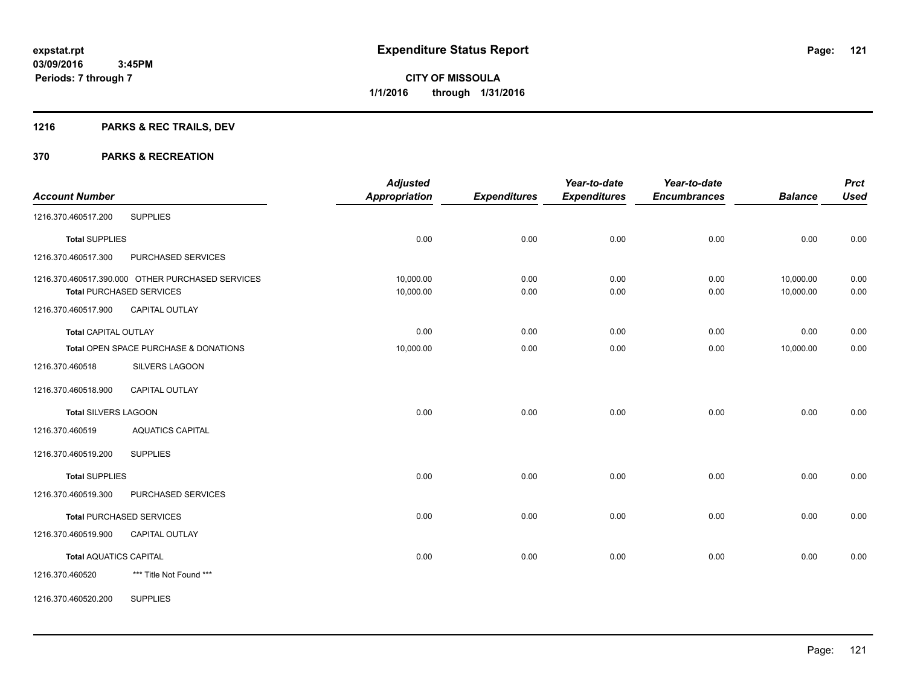## **1216 PARKS & REC TRAILS, DEV**

| <b>Account Number</b>         |                                                  | <b>Adjusted</b><br><b>Appropriation</b> | <b>Expenditures</b> | Year-to-date<br><b>Expenditures</b> | Year-to-date<br><b>Encumbrances</b> | <b>Balance</b> | <b>Prct</b><br><b>Used</b> |
|-------------------------------|--------------------------------------------------|-----------------------------------------|---------------------|-------------------------------------|-------------------------------------|----------------|----------------------------|
| 1216.370.460517.200           | <b>SUPPLIES</b>                                  |                                         |                     |                                     |                                     |                |                            |
|                               |                                                  |                                         |                     |                                     |                                     |                |                            |
| <b>Total SUPPLIES</b>         |                                                  | 0.00                                    | 0.00                | 0.00                                | 0.00                                | 0.00           | 0.00                       |
| 1216.370.460517.300           | PURCHASED SERVICES                               |                                         |                     |                                     |                                     |                |                            |
|                               | 1216.370.460517.390.000 OTHER PURCHASED SERVICES | 10,000.00                               | 0.00                | 0.00                                | 0.00                                | 10,000.00      | 0.00                       |
|                               | <b>Total PURCHASED SERVICES</b>                  | 10,000.00                               | 0.00                | 0.00                                | 0.00                                | 10,000.00      | 0.00                       |
| 1216.370.460517.900           | CAPITAL OUTLAY                                   |                                         |                     |                                     |                                     |                |                            |
| <b>Total CAPITAL OUTLAY</b>   |                                                  | 0.00                                    | 0.00                | 0.00                                | 0.00                                | 0.00           | 0.00                       |
|                               | Total OPEN SPACE PURCHASE & DONATIONS            | 10,000.00                               | 0.00                | 0.00                                | 0.00                                | 10,000.00      | 0.00                       |
| 1216.370.460518               | <b>SILVERS LAGOON</b>                            |                                         |                     |                                     |                                     |                |                            |
| 1216.370.460518.900           | <b>CAPITAL OUTLAY</b>                            |                                         |                     |                                     |                                     |                |                            |
| <b>Total SILVERS LAGOON</b>   |                                                  | 0.00                                    | 0.00                | 0.00                                | 0.00                                | 0.00           | 0.00                       |
| 1216.370.460519               | <b>AQUATICS CAPITAL</b>                          |                                         |                     |                                     |                                     |                |                            |
| 1216.370.460519.200           | <b>SUPPLIES</b>                                  |                                         |                     |                                     |                                     |                |                            |
| <b>Total SUPPLIES</b>         |                                                  | 0.00                                    | 0.00                | 0.00                                | 0.00                                | 0.00           | 0.00                       |
| 1216.370.460519.300           | PURCHASED SERVICES                               |                                         |                     |                                     |                                     |                |                            |
|                               | <b>Total PURCHASED SERVICES</b>                  | 0.00                                    | 0.00                | 0.00                                | 0.00                                | 0.00           | 0.00                       |
| 1216.370.460519.900           | <b>CAPITAL OUTLAY</b>                            |                                         |                     |                                     |                                     |                |                            |
| <b>Total AQUATICS CAPITAL</b> |                                                  | 0.00                                    | 0.00                | 0.00                                | 0.00                                | 0.00           | 0.00                       |
| 1216.370.460520               | *** Title Not Found ***                          |                                         |                     |                                     |                                     |                |                            |
| 1216.370.460520.200           | <b>SUPPLIES</b>                                  |                                         |                     |                                     |                                     |                |                            |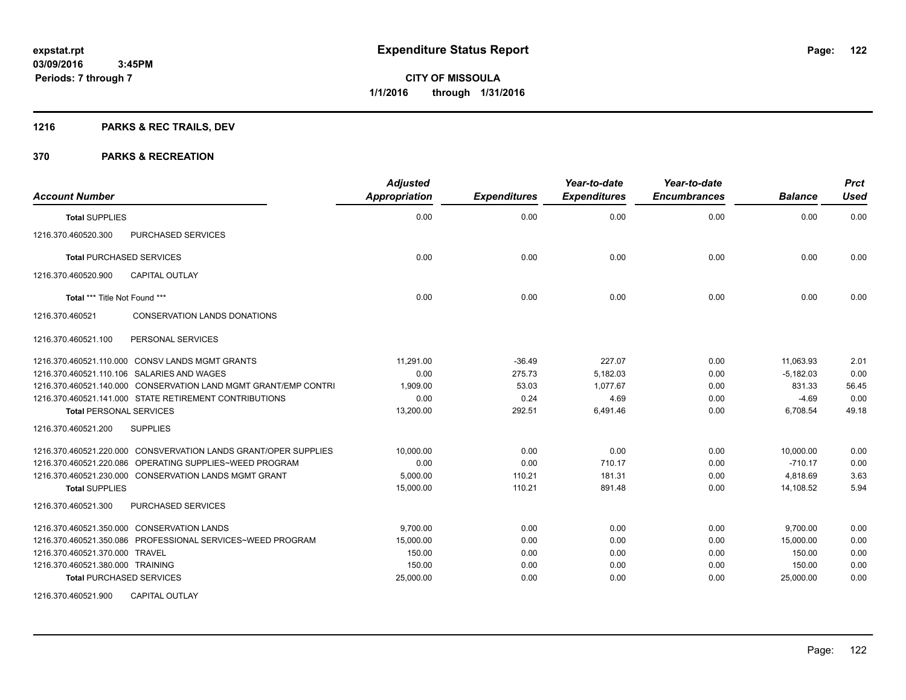## **1216 PARKS & REC TRAILS, DEV**

| <b>Account Number</b>                                           | <b>Adjusted</b><br><b>Appropriation</b> | <b>Expenditures</b> | Year-to-date<br><b>Expenditures</b> | Year-to-date<br><b>Encumbrances</b> | <b>Balance</b> | <b>Prct</b><br><b>Used</b> |
|-----------------------------------------------------------------|-----------------------------------------|---------------------|-------------------------------------|-------------------------------------|----------------|----------------------------|
| <b>Total SUPPLIES</b>                                           | 0.00                                    | 0.00                | 0.00                                | 0.00                                | 0.00           | 0.00                       |
| 1216.370.460520.300<br>PURCHASED SERVICES                       |                                         |                     |                                     |                                     |                |                            |
| <b>Total PURCHASED SERVICES</b>                                 | 0.00                                    | 0.00                | 0.00                                | 0.00                                | 0.00           | 0.00                       |
| <b>CAPITAL OUTLAY</b><br>1216.370.460520.900                    |                                         |                     |                                     |                                     |                |                            |
| Total *** Title Not Found ***                                   | 0.00                                    | 0.00                | 0.00                                | 0.00                                | 0.00           | 0.00                       |
| 1216.370.460521<br><b>CONSERVATION LANDS DONATIONS</b>          |                                         |                     |                                     |                                     |                |                            |
| 1216.370.460521.100<br>PERSONAL SERVICES                        |                                         |                     |                                     |                                     |                |                            |
| 1216.370.460521.110.000 CONSV LANDS MGMT GRANTS                 | 11,291.00                               | $-36.49$            | 227.07                              | 0.00                                | 11,063.93      | 2.01                       |
| 1216.370.460521.110.106 SALARIES AND WAGES                      | 0.00                                    | 275.73              | 5,182.03                            | 0.00                                | $-5,182.03$    | 0.00                       |
| 1216.370.460521.140.000 CONSERVATION LAND MGMT GRANT/EMP CONTRI | 1,909.00                                | 53.03               | 1.077.67                            | 0.00                                | 831.33         | 56.45                      |
| 1216.370.460521.141.000 STATE RETIREMENT CONTRIBUTIONS          | 0.00                                    | 0.24                | 4.69                                | 0.00                                | $-4.69$        | 0.00                       |
| <b>Total PERSONAL SERVICES</b>                                  | 13,200.00                               | 292.51              | 6,491.46                            | 0.00                                | 6.708.54       | 49.18                      |
| <b>SUPPLIES</b><br>1216.370.460521.200                          |                                         |                     |                                     |                                     |                |                            |
| 1216.370.460521.220.000 CONSVERVATION LANDS GRANT/OPER SUPPLIES | 10,000.00                               | 0.00                | 0.00                                | 0.00                                | 10.000.00      | 0.00                       |
| 1216.370.460521.220.086 OPERATING SUPPLIES~WEED PROGRAM         | 0.00                                    | 0.00                | 710.17                              | 0.00                                | $-710.17$      | 0.00                       |
| 1216.370.460521.230.000 CONSERVATION LANDS MGMT GRANT           | 5,000.00                                | 110.21              | 181.31                              | 0.00                                | 4,818.69       | 3.63                       |
| <b>Total SUPPLIES</b>                                           | 15,000.00                               | 110.21              | 891.48                              | 0.00                                | 14.108.52      | 5.94                       |
| 1216.370.460521.300<br>PURCHASED SERVICES                       |                                         |                     |                                     |                                     |                |                            |
| 1216.370.460521.350.000 CONSERVATION LANDS                      | 9,700.00                                | 0.00                | 0.00                                | 0.00                                | 9,700.00       | 0.00                       |
| 1216.370.460521.350.086 PROFESSIONAL SERVICES~WEED PROGRAM      | 15,000.00                               | 0.00                | 0.00                                | 0.00                                | 15,000.00      | 0.00                       |
| 1216.370.460521.370.000 TRAVEL                                  | 150.00                                  | 0.00                | 0.00                                | 0.00                                | 150.00         | 0.00                       |
| 1216.370.460521.380.000 TRAINING                                | 150.00                                  | 0.00                | 0.00                                | 0.00                                | 150.00         | 0.00                       |
| <b>Total PURCHASED SERVICES</b>                                 | 25,000.00                               | 0.00                | 0.00                                | 0.00                                | 25,000.00      | 0.00                       |
| <b>CAPITAL OUTLAY</b><br>1216.370.460521.900                    |                                         |                     |                                     |                                     |                |                            |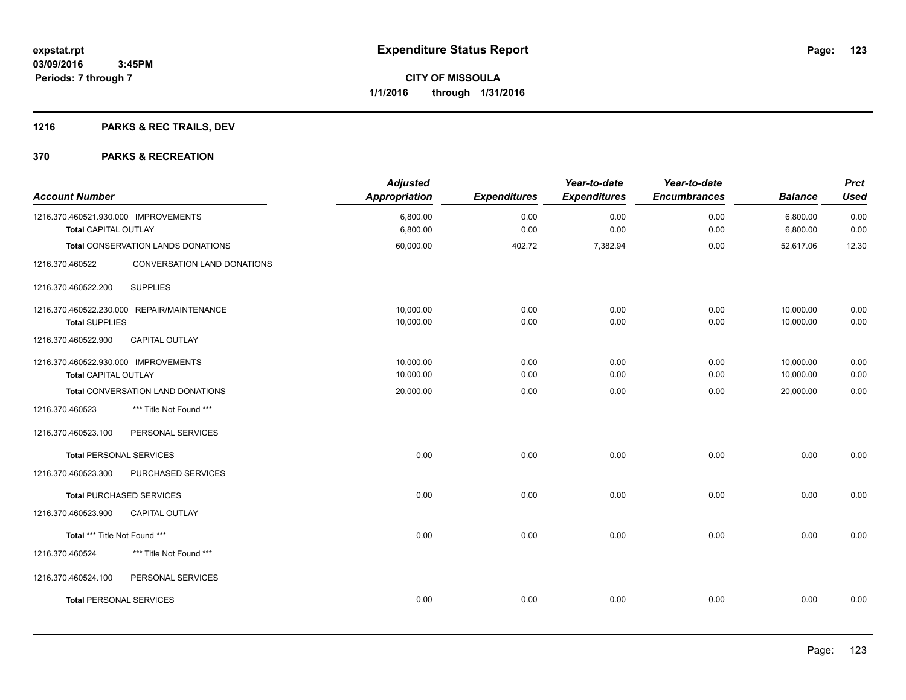## **1216 PARKS & REC TRAILS, DEV**

| <b>Account Number</b>                                        |                                            | <b>Adjusted</b><br><b>Appropriation</b> | <b>Expenditures</b> | Year-to-date<br><b>Expenditures</b> | Year-to-date<br><b>Encumbrances</b> | <b>Balance</b>         | <b>Prct</b><br><b>Used</b> |
|--------------------------------------------------------------|--------------------------------------------|-----------------------------------------|---------------------|-------------------------------------|-------------------------------------|------------------------|----------------------------|
| 1216.370.460521.930.000 IMPROVEMENTS<br>Total CAPITAL OUTLAY |                                            | 6,800.00<br>6,800.00                    | 0.00<br>0.00        | 0.00<br>0.00                        | 0.00<br>0.00                        | 6,800.00<br>6,800.00   | 0.00<br>0.00               |
|                                                              | Total CONSERVATION LANDS DONATIONS         | 60,000.00                               | 402.72              | 7,382.94                            | 0.00                                | 52,617.06              | 12.30                      |
| 1216.370.460522                                              | CONVERSATION LAND DONATIONS                |                                         |                     |                                     |                                     |                        |                            |
| 1216.370.460522.200                                          | <b>SUPPLIES</b>                            |                                         |                     |                                     |                                     |                        |                            |
| <b>Total SUPPLIES</b>                                        | 1216.370.460522.230.000 REPAIR/MAINTENANCE | 10.000.00<br>10,000.00                  | 0.00<br>0.00        | 0.00<br>0.00                        | 0.00<br>0.00                        | 10.000.00<br>10,000.00 | 0.00<br>0.00               |
| 1216.370.460522.900                                          | CAPITAL OUTLAY                             |                                         |                     |                                     |                                     |                        |                            |
| 1216.370.460522.930.000 IMPROVEMENTS<br>Total CAPITAL OUTLAY |                                            | 10,000.00<br>10,000.00                  | 0.00<br>0.00        | 0.00<br>0.00                        | 0.00<br>0.00                        | 10,000.00<br>10,000.00 | 0.00<br>0.00               |
|                                                              | Total CONVERSATION LAND DONATIONS          | 20,000.00                               | 0.00                | 0.00                                | 0.00                                | 20,000.00              | 0.00                       |
| 1216.370.460523                                              | *** Title Not Found ***                    |                                         |                     |                                     |                                     |                        |                            |
| 1216.370.460523.100                                          | PERSONAL SERVICES                          |                                         |                     |                                     |                                     |                        |                            |
| <b>Total PERSONAL SERVICES</b>                               |                                            | 0.00                                    | 0.00                | 0.00                                | 0.00                                | 0.00                   | 0.00                       |
| 1216.370.460523.300                                          | PURCHASED SERVICES                         |                                         |                     |                                     |                                     |                        |                            |
|                                                              | <b>Total PURCHASED SERVICES</b>            | 0.00                                    | 0.00                | 0.00                                | 0.00                                | 0.00                   | 0.00                       |
| 1216.370.460523.900                                          | <b>CAPITAL OUTLAY</b>                      |                                         |                     |                                     |                                     |                        |                            |
| Total *** Title Not Found ***                                |                                            | 0.00                                    | 0.00                | 0.00                                | 0.00                                | 0.00                   | 0.00                       |
| 1216.370.460524                                              | *** Title Not Found ***                    |                                         |                     |                                     |                                     |                        |                            |
| 1216.370.460524.100                                          | PERSONAL SERVICES                          |                                         |                     |                                     |                                     |                        |                            |
| <b>Total PERSONAL SERVICES</b>                               |                                            | 0.00                                    | 0.00                | 0.00                                | 0.00                                | 0.00                   | 0.00                       |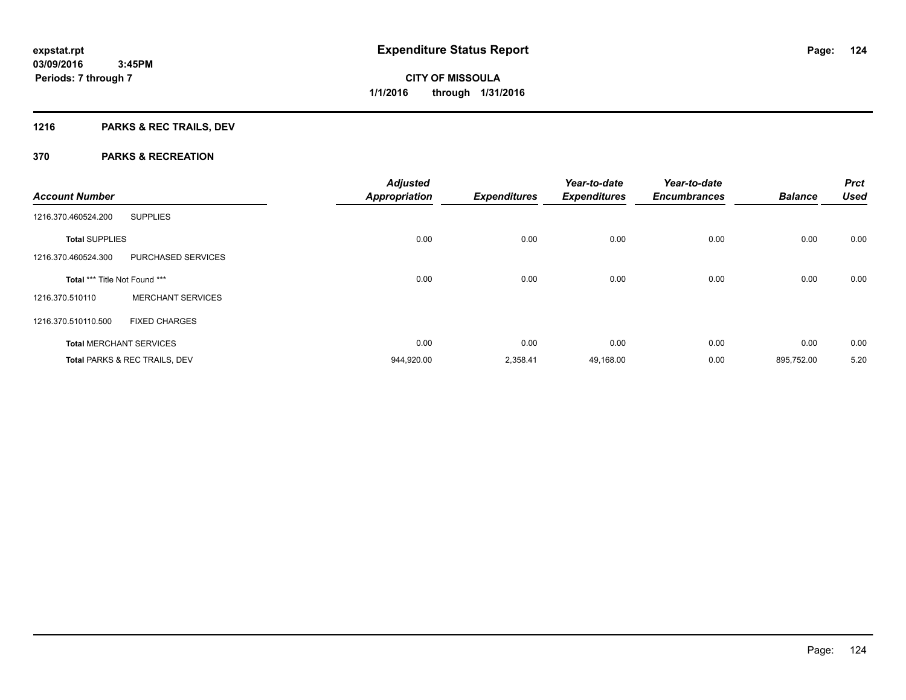## **1216 PARKS & REC TRAILS, DEV**

| <b>Account Number</b>         |                                | <b>Adjusted</b><br><b>Appropriation</b> | <b>Expenditures</b> | Year-to-date<br><b>Expenditures</b> | Year-to-date<br><b>Encumbrances</b> | <b>Balance</b> | <b>Prct</b><br><b>Used</b> |
|-------------------------------|--------------------------------|-----------------------------------------|---------------------|-------------------------------------|-------------------------------------|----------------|----------------------------|
| 1216.370.460524.200           | <b>SUPPLIES</b>                |                                         |                     |                                     |                                     |                |                            |
| <b>Total SUPPLIES</b>         |                                | 0.00                                    | 0.00                | 0.00                                | 0.00                                | 0.00           | 0.00                       |
| 1216.370.460524.300           | PURCHASED SERVICES             |                                         |                     |                                     |                                     |                |                            |
| Total *** Title Not Found *** |                                | 0.00                                    | 0.00                | 0.00                                | 0.00                                | 0.00           | 0.00                       |
| 1216.370.510110               | <b>MERCHANT SERVICES</b>       |                                         |                     |                                     |                                     |                |                            |
| 1216.370.510110.500           | <b>FIXED CHARGES</b>           |                                         |                     |                                     |                                     |                |                            |
|                               | <b>Total MERCHANT SERVICES</b> | 0.00                                    | 0.00                | 0.00                                | 0.00                                | 0.00           | 0.00                       |
|                               | Total PARKS & REC TRAILS, DEV  | 944,920.00                              | 2,358.41            | 49,168.00                           | 0.00                                | 895,752.00     | 5.20                       |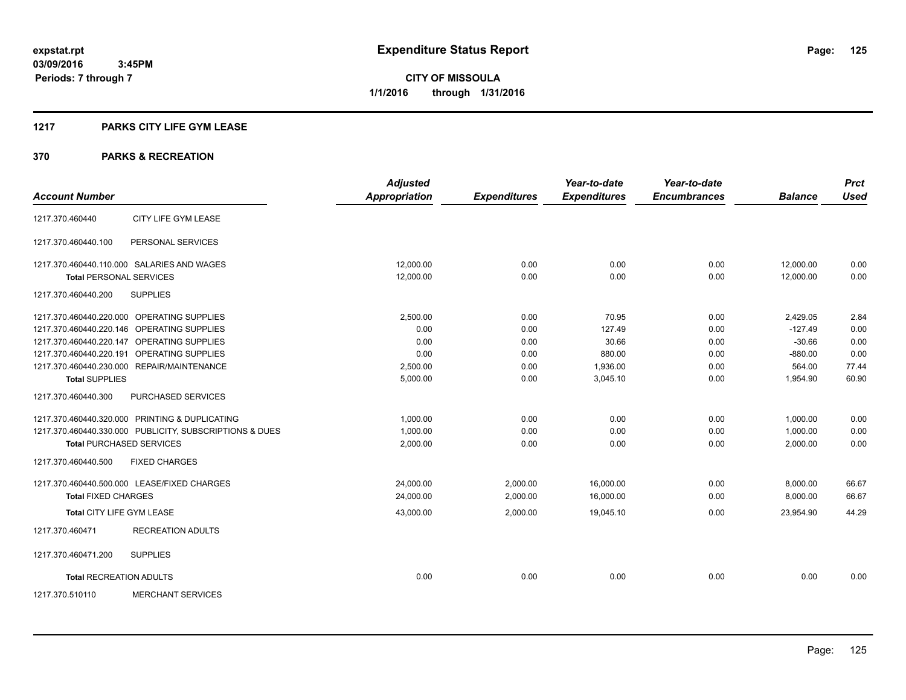#### **1217 PARKS CITY LIFE GYM LEASE**

|                                  |                                                         | <b>Adjusted</b>      |                     | Year-to-date        | Year-to-date        |                | <b>Prct</b> |
|----------------------------------|---------------------------------------------------------|----------------------|---------------------|---------------------|---------------------|----------------|-------------|
| <b>Account Number</b>            |                                                         | <b>Appropriation</b> | <b>Expenditures</b> | <b>Expenditures</b> | <b>Encumbrances</b> | <b>Balance</b> | <b>Used</b> |
| 1217.370.460440                  | CITY LIFE GYM LEASE                                     |                      |                     |                     |                     |                |             |
| 1217.370.460440.100              | PERSONAL SERVICES                                       |                      |                     |                     |                     |                |             |
|                                  | 1217.370.460440.110.000 SALARIES AND WAGES              | 12.000.00            | 0.00                | 0.00                | 0.00                | 12,000.00      | 0.00        |
| <b>Total PERSONAL SERVICES</b>   |                                                         | 12,000.00            | 0.00                | 0.00                | 0.00                | 12.000.00      | 0.00        |
| 1217.370.460440.200              | <b>SUPPLIES</b>                                         |                      |                     |                     |                     |                |             |
|                                  | 1217.370.460440.220.000 OPERATING SUPPLIES              | 2,500.00             | 0.00                | 70.95               | 0.00                | 2,429.05       | 2.84        |
|                                  | 1217.370.460440.220.146 OPERATING SUPPLIES              | 0.00                 | 0.00                | 127.49              | 0.00                | $-127.49$      | 0.00        |
|                                  | 1217.370.460440.220.147 OPERATING SUPPLIES              | 0.00                 | 0.00                | 30.66               | 0.00                | $-30.66$       | 0.00        |
|                                  | 1217.370.460440.220.191 OPERATING SUPPLIES              | 0.00                 | 0.00                | 880.00              | 0.00                | $-880.00$      | 0.00        |
|                                  | 1217.370.460440.230.000 REPAIR/MAINTENANCE              | 2.500.00             | 0.00                | 1.936.00            | 0.00                | 564.00         | 77.44       |
| <b>Total SUPPLIES</b>            |                                                         | 5,000.00             | 0.00                | 3,045.10            | 0.00                | 1,954.90       | 60.90       |
| 1217.370.460440.300              | PURCHASED SERVICES                                      |                      |                     |                     |                     |                |             |
|                                  | 1217.370.460440.320.000 PRINTING & DUPLICATING          | 1,000.00             | 0.00                | 0.00                | 0.00                | 1,000.00       | 0.00        |
|                                  | 1217.370.460440.330.000 PUBLICITY, SUBSCRIPTIONS & DUES | 1,000.00             | 0.00                | 0.00                | 0.00                | 1,000.00       | 0.00        |
|                                  | <b>Total PURCHASED SERVICES</b>                         | 2,000.00             | 0.00                | 0.00                | 0.00                | 2,000.00       | 0.00        |
| 1217.370.460440.500              | <b>FIXED CHARGES</b>                                    |                      |                     |                     |                     |                |             |
|                                  | 1217.370.460440.500.000 LEASE/FIXED CHARGES             | 24,000.00            | 2,000.00            | 16,000.00           | 0.00                | 8,000.00       | 66.67       |
| <b>Total FIXED CHARGES</b>       |                                                         | 24,000.00            | 2,000.00            | 16.000.00           | 0.00                | 8,000.00       | 66.67       |
| <b>Total CITY LIFE GYM LEASE</b> |                                                         | 43,000.00            | 2,000.00            | 19,045.10           | 0.00                | 23,954.90      | 44.29       |
| 1217.370.460471                  | <b>RECREATION ADULTS</b>                                |                      |                     |                     |                     |                |             |
| 1217.370.460471.200              | <b>SUPPLIES</b>                                         |                      |                     |                     |                     |                |             |
| <b>Total RECREATION ADULTS</b>   |                                                         | 0.00                 | 0.00                | 0.00                | 0.00                | 0.00           | 0.00        |
| 1217.370.510110                  | <b>MERCHANT SERVICES</b>                                |                      |                     |                     |                     |                |             |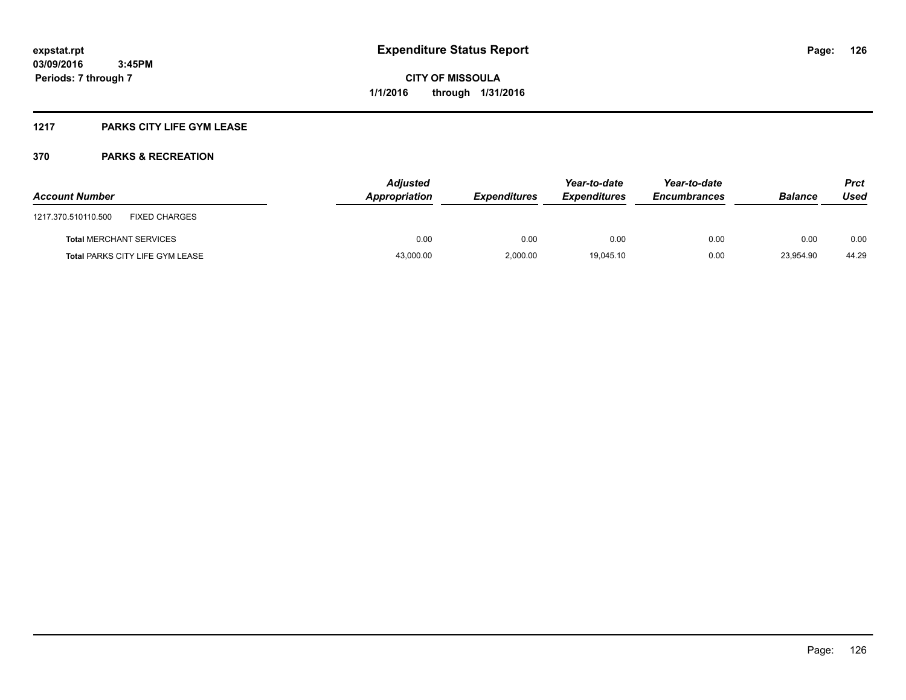### **1217 PARKS CITY LIFE GYM LEASE**

| <b>Account Number</b>                  | <b>Adjusted</b><br>Appropriation | <b>Expenditures</b> | Year-to-date<br><b>Expenditures</b> | Year-to-date<br><b>Encumbrances</b> | <b>Balance</b> | <b>Prct</b><br>Used |
|----------------------------------------|----------------------------------|---------------------|-------------------------------------|-------------------------------------|----------------|---------------------|
| FIXED CHARGES<br>1217.370.510110.500   |                                  |                     |                                     |                                     |                |                     |
| <b>Total MERCHANT SERVICES</b>         | 0.00                             | 0.00                | 0.00                                | 0.00                                | 0.00           | 0.00                |
| <b>Total PARKS CITY LIFE GYM LEASE</b> | 43,000.00                        | 2.000.00            | 19.045.10                           | 0.00                                | 23.954.90      | 44.29               |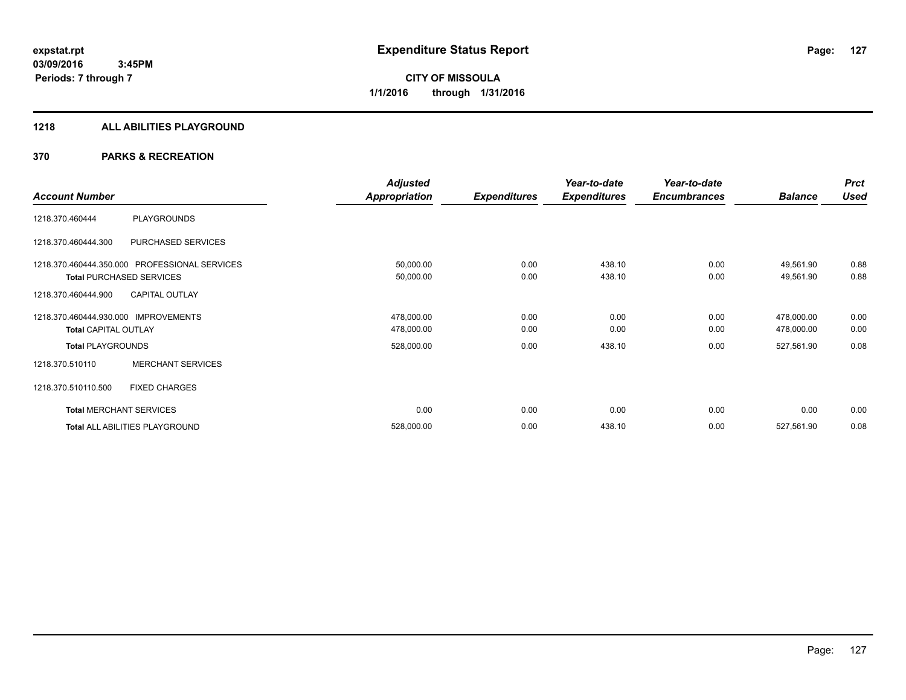#### **1218 ALL ABILITIES PLAYGROUND**

|                                      |                                               | <b>Adjusted</b>      |                     | Year-to-date        | Year-to-date        |                | <b>Prct</b> |
|--------------------------------------|-----------------------------------------------|----------------------|---------------------|---------------------|---------------------|----------------|-------------|
| <b>Account Number</b>                |                                               | <b>Appropriation</b> | <b>Expenditures</b> | <b>Expenditures</b> | <b>Encumbrances</b> | <b>Balance</b> | <b>Used</b> |
| 1218.370.460444                      | PLAYGROUNDS                                   |                      |                     |                     |                     |                |             |
| 1218.370.460444.300                  | PURCHASED SERVICES                            |                      |                     |                     |                     |                |             |
|                                      | 1218.370.460444.350.000 PROFESSIONAL SERVICES | 50,000.00            | 0.00                | 438.10              | 0.00                | 49,561.90      | 0.88        |
|                                      | <b>Total PURCHASED SERVICES</b>               | 50,000.00            | 0.00                | 438.10              | 0.00                | 49,561.90      | 0.88        |
| 1218.370.460444.900                  | <b>CAPITAL OUTLAY</b>                         |                      |                     |                     |                     |                |             |
| 1218.370.460444.930.000 IMPROVEMENTS |                                               | 478,000.00           | 0.00                | 0.00                | 0.00                | 478,000.00     | 0.00        |
| <b>Total CAPITAL OUTLAY</b>          |                                               | 478,000.00           | 0.00                | 0.00                | 0.00                | 478,000.00     | 0.00        |
| <b>Total PLAYGROUNDS</b>             |                                               | 528,000.00           | 0.00                | 438.10              | 0.00                | 527,561.90     | 0.08        |
| 1218.370.510110                      | <b>MERCHANT SERVICES</b>                      |                      |                     |                     |                     |                |             |
| 1218.370.510110.500                  | <b>FIXED CHARGES</b>                          |                      |                     |                     |                     |                |             |
|                                      | <b>Total MERCHANT SERVICES</b>                | 0.00                 | 0.00                | 0.00                | 0.00                | 0.00           | 0.00        |
|                                      | Total ALL ABILITIES PLAYGROUND                | 528,000.00           | 0.00                | 438.10              | 0.00                | 527,561.90     | 0.08        |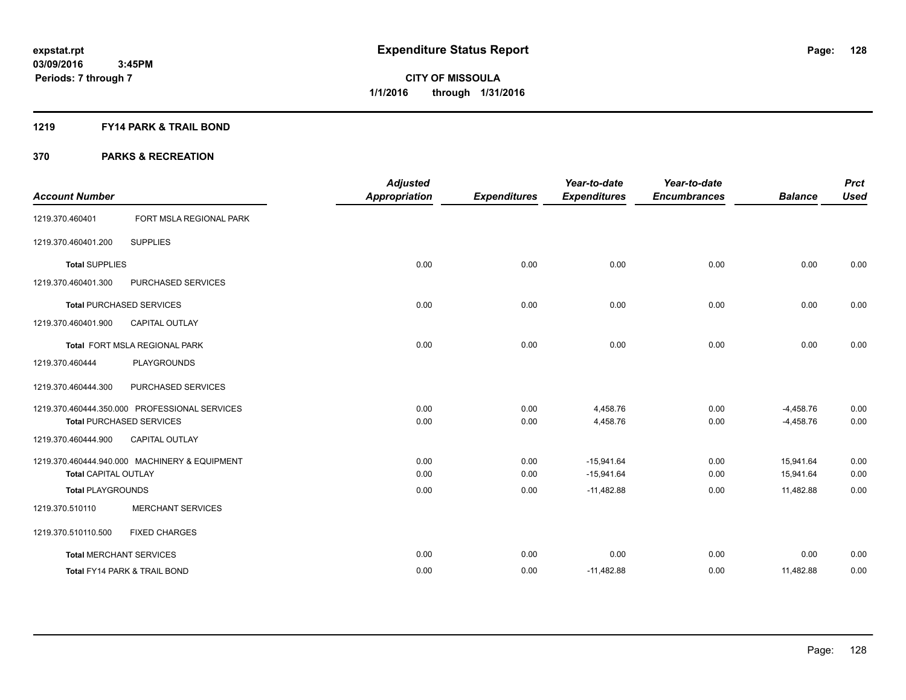#### **1219 FY14 PARK & TRAIL BOND**

|                                |                                               | <b>Adjusted</b>      |                     | Year-to-date        | Year-to-date        |                | <b>Prct</b> |
|--------------------------------|-----------------------------------------------|----------------------|---------------------|---------------------|---------------------|----------------|-------------|
| <b>Account Number</b>          |                                               | <b>Appropriation</b> | <b>Expenditures</b> | <b>Expenditures</b> | <b>Encumbrances</b> | <b>Balance</b> | <b>Used</b> |
| 1219.370.460401                | FORT MSLA REGIONAL PARK                       |                      |                     |                     |                     |                |             |
| 1219.370.460401.200            | <b>SUPPLIES</b>                               |                      |                     |                     |                     |                |             |
| <b>Total SUPPLIES</b>          |                                               | 0.00                 | 0.00                | 0.00                | 0.00                | 0.00           | 0.00        |
| 1219.370.460401.300            | PURCHASED SERVICES                            |                      |                     |                     |                     |                |             |
|                                | <b>Total PURCHASED SERVICES</b>               | 0.00                 | 0.00                | 0.00                | 0.00                | 0.00           | 0.00        |
| 1219.370.460401.900            | <b>CAPITAL OUTLAY</b>                         |                      |                     |                     |                     |                |             |
|                                | Total FORT MSLA REGIONAL PARK                 | 0.00                 | 0.00                | 0.00                | 0.00                | 0.00           | 0.00        |
| 1219.370.460444                | <b>PLAYGROUNDS</b>                            |                      |                     |                     |                     |                |             |
| 1219.370.460444.300            | PURCHASED SERVICES                            |                      |                     |                     |                     |                |             |
|                                | 1219.370.460444.350.000 PROFESSIONAL SERVICES | 0.00                 | 0.00                | 4,458.76            | 0.00                | $-4,458.76$    | 0.00        |
|                                | <b>Total PURCHASED SERVICES</b>               | 0.00                 | 0.00                | 4,458.76            | 0.00                | $-4,458.76$    | 0.00        |
| 1219.370.460444.900            | <b>CAPITAL OUTLAY</b>                         |                      |                     |                     |                     |                |             |
|                                | 1219.370.460444.940.000 MACHINERY & EQUIPMENT | 0.00                 | 0.00                | $-15,941.64$        | 0.00                | 15.941.64      | 0.00        |
| <b>Total CAPITAL OUTLAY</b>    |                                               | 0.00                 | 0.00                | $-15,941.64$        | 0.00                | 15,941.64      | 0.00        |
| <b>Total PLAYGROUNDS</b>       |                                               | 0.00                 | 0.00                | $-11,482.88$        | 0.00                | 11,482.88      | 0.00        |
| 1219.370.510110                | <b>MERCHANT SERVICES</b>                      |                      |                     |                     |                     |                |             |
| 1219.370.510110.500            | <b>FIXED CHARGES</b>                          |                      |                     |                     |                     |                |             |
| <b>Total MERCHANT SERVICES</b> |                                               | 0.00                 | 0.00                | 0.00                | 0.00                | 0.00           | 0.00        |
|                                | <b>Total FY14 PARK &amp; TRAIL BOND</b>       | 0.00                 | 0.00                | $-11,482.88$        | 0.00                | 11,482.88      | 0.00        |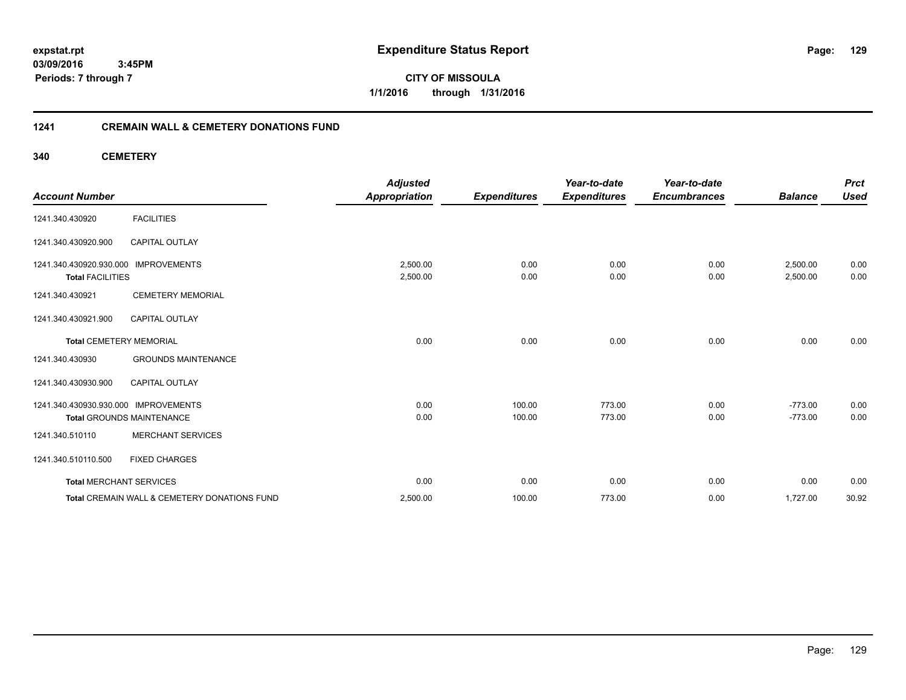**03/09/2016 3:45PM Periods: 7 through 7**

**CITY OF MISSOULA 1/1/2016 through 1/31/2016**

#### **1241 CREMAIN WALL & CEMETERY DONATIONS FUND**

**340 CEMETERY**

| <b>Account Number</b>                              |                                              | <b>Adjusted</b><br><b>Appropriation</b> | <b>Expenditures</b> | Year-to-date<br><b>Expenditures</b> | Year-to-date<br><b>Encumbrances</b> | <b>Balance</b>       | <b>Prct</b><br><b>Used</b> |
|----------------------------------------------------|----------------------------------------------|-----------------------------------------|---------------------|-------------------------------------|-------------------------------------|----------------------|----------------------------|
| 1241.340.430920                                    | <b>FACILITIES</b>                            |                                         |                     |                                     |                                     |                      |                            |
| 1241.340.430920.900                                | CAPITAL OUTLAY                               |                                         |                     |                                     |                                     |                      |                            |
| 1241.340.430920.930.000<br><b>Total FACILITIES</b> | <b>IMPROVEMENTS</b>                          | 2,500.00<br>2,500.00                    | 0.00<br>0.00        | 0.00<br>0.00                        | 0.00<br>0.00                        | 2,500.00<br>2,500.00 | 0.00<br>0.00               |
| 1241.340.430921                                    | <b>CEMETERY MEMORIAL</b>                     |                                         |                     |                                     |                                     |                      |                            |
| 1241.340.430921.900                                | <b>CAPITAL OUTLAY</b>                        |                                         |                     |                                     |                                     |                      |                            |
| <b>Total CEMETERY MEMORIAL</b>                     |                                              | 0.00                                    | 0.00                | 0.00                                | 0.00                                | 0.00                 | 0.00                       |
| 1241.340.430930                                    | <b>GROUNDS MAINTENANCE</b>                   |                                         |                     |                                     |                                     |                      |                            |
| 1241.340.430930.900                                | <b>CAPITAL OUTLAY</b>                        |                                         |                     |                                     |                                     |                      |                            |
| 1241.340.430930.930.000 IMPROVEMENTS               |                                              | 0.00                                    | 100.00              | 773.00                              | 0.00                                | $-773.00$            | 0.00                       |
|                                                    | <b>Total GROUNDS MAINTENANCE</b>             | 0.00                                    | 100.00              | 773.00                              | 0.00                                | $-773.00$            | 0.00                       |
| 1241.340.510110                                    | <b>MERCHANT SERVICES</b>                     |                                         |                     |                                     |                                     |                      |                            |
| 1241.340.510110.500                                | <b>FIXED CHARGES</b>                         |                                         |                     |                                     |                                     |                      |                            |
| <b>Total MERCHANT SERVICES</b>                     |                                              | 0.00                                    | 0.00                | 0.00                                | 0.00                                | 0.00                 | 0.00                       |
|                                                    | Total CREMAIN WALL & CEMETERY DONATIONS FUND | 2,500.00                                | 100.00              | 773.00                              | 0.00                                | 1,727.00             | 30.92                      |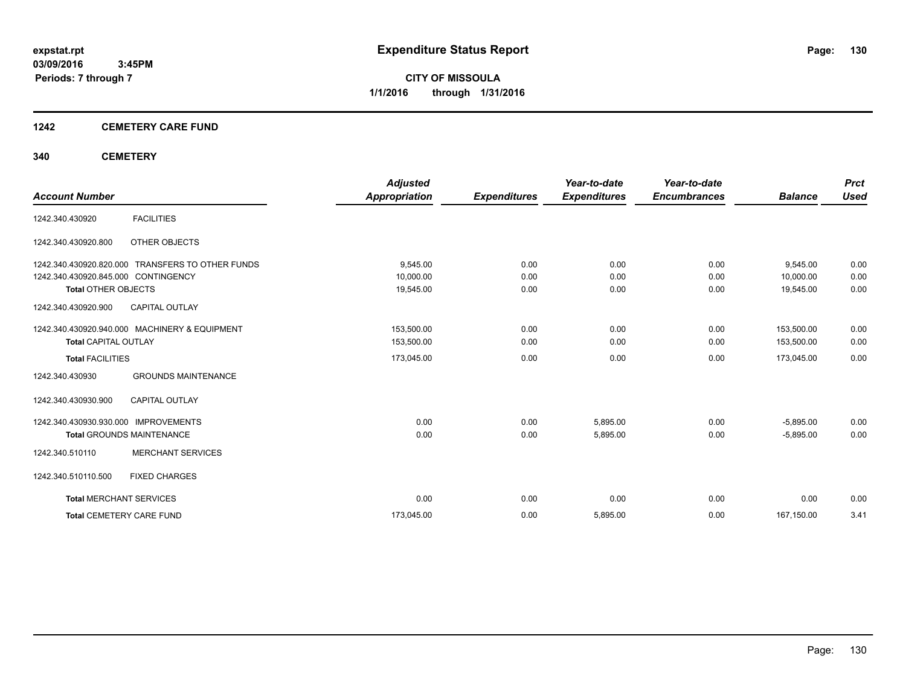#### **1242 CEMETERY CARE FUND**

#### **340 CEMETERY**

|                                      |                                                  | <b>Adjusted</b>      |                     | Year-to-date        | Year-to-date        |                | <b>Prct</b> |
|--------------------------------------|--------------------------------------------------|----------------------|---------------------|---------------------|---------------------|----------------|-------------|
| <b>Account Number</b>                |                                                  | <b>Appropriation</b> | <b>Expenditures</b> | <b>Expenditures</b> | <b>Encumbrances</b> | <b>Balance</b> | <b>Used</b> |
| 1242.340.430920                      | <b>FACILITIES</b>                                |                      |                     |                     |                     |                |             |
| 1242.340.430920.800                  | OTHER OBJECTS                                    |                      |                     |                     |                     |                |             |
|                                      | 1242.340.430920.820.000 TRANSFERS TO OTHER FUNDS | 9,545.00             | 0.00                | 0.00                | 0.00                | 9,545.00       | 0.00        |
| 1242.340.430920.845.000 CONTINGENCY  |                                                  | 10,000.00            | 0.00                | 0.00                | 0.00                | 10,000.00      | 0.00        |
| <b>Total OTHER OBJECTS</b>           |                                                  | 19,545.00            | 0.00                | 0.00                | 0.00                | 19,545.00      | 0.00        |
| 1242.340.430920.900                  | <b>CAPITAL OUTLAY</b>                            |                      |                     |                     |                     |                |             |
|                                      | 1242.340.430920.940.000 MACHINERY & EQUIPMENT    | 153,500.00           | 0.00                | 0.00                | 0.00                | 153,500.00     | 0.00        |
| <b>Total CAPITAL OUTLAY</b>          |                                                  | 153,500.00           | 0.00                | 0.00                | 0.00                | 153,500.00     | 0.00        |
| <b>Total FACILITIES</b>              |                                                  | 173,045.00           | 0.00                | 0.00                | 0.00                | 173,045.00     | 0.00        |
| 1242.340.430930                      | <b>GROUNDS MAINTENANCE</b>                       |                      |                     |                     |                     |                |             |
| 1242.340.430930.900                  | <b>CAPITAL OUTLAY</b>                            |                      |                     |                     |                     |                |             |
| 1242.340.430930.930.000 IMPROVEMENTS |                                                  | 0.00                 | 0.00                | 5,895.00            | 0.00                | $-5,895.00$    | 0.00        |
|                                      | <b>Total GROUNDS MAINTENANCE</b>                 | 0.00                 | 0.00                | 5,895.00            | 0.00                | $-5,895.00$    | 0.00        |
| 1242.340.510110                      | <b>MERCHANT SERVICES</b>                         |                      |                     |                     |                     |                |             |
| 1242.340.510110.500                  | <b>FIXED CHARGES</b>                             |                      |                     |                     |                     |                |             |
| <b>Total MERCHANT SERVICES</b>       |                                                  | 0.00                 | 0.00                | 0.00                | 0.00                | 0.00           | 0.00        |
| <b>Total CEMETERY CARE FUND</b>      |                                                  | 173,045.00           | 0.00                | 5,895.00            | 0.00                | 167,150.00     | 3.41        |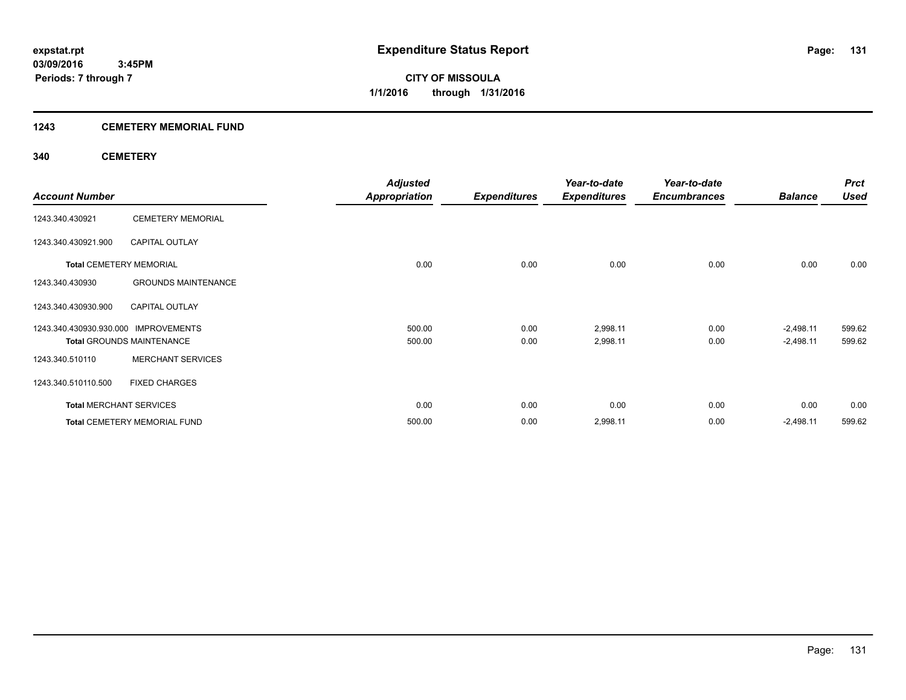#### **1243 CEMETERY MEMORIAL FUND**

#### **340 CEMETERY**

|                                      |                                     | <b>Adjusted</b>      |                     | Year-to-date        | Year-to-date        |                | <b>Prct</b> |
|--------------------------------------|-------------------------------------|----------------------|---------------------|---------------------|---------------------|----------------|-------------|
| <b>Account Number</b>                |                                     | <b>Appropriation</b> | <b>Expenditures</b> | <b>Expenditures</b> | <b>Encumbrances</b> | <b>Balance</b> | <b>Used</b> |
| 1243.340.430921                      | <b>CEMETERY MEMORIAL</b>            |                      |                     |                     |                     |                |             |
| 1243.340.430921.900                  | <b>CAPITAL OUTLAY</b>               |                      |                     |                     |                     |                |             |
|                                      | <b>Total CEMETERY MEMORIAL</b>      | 0.00                 | 0.00                | 0.00                | 0.00                | 0.00           | 0.00        |
| 1243.340.430930                      | <b>GROUNDS MAINTENANCE</b>          |                      |                     |                     |                     |                |             |
| 1243.340.430930.900                  | <b>CAPITAL OUTLAY</b>               |                      |                     |                     |                     |                |             |
| 1243.340.430930.930.000 IMPROVEMENTS |                                     | 500.00               | 0.00                | 2,998.11            | 0.00                | $-2,498.11$    | 599.62      |
|                                      | <b>Total GROUNDS MAINTENANCE</b>    | 500.00               | 0.00                | 2,998.11            | 0.00                | $-2,498.11$    | 599.62      |
| 1243.340.510110                      | <b>MERCHANT SERVICES</b>            |                      |                     |                     |                     |                |             |
| 1243.340.510110.500                  | <b>FIXED CHARGES</b>                |                      |                     |                     |                     |                |             |
|                                      | <b>Total MERCHANT SERVICES</b>      | 0.00                 | 0.00                | 0.00                | 0.00                | 0.00           | 0.00        |
|                                      | <b>Total CEMETERY MEMORIAL FUND</b> | 500.00               | 0.00                | 2,998.11            | 0.00                | $-2,498.11$    | 599.62      |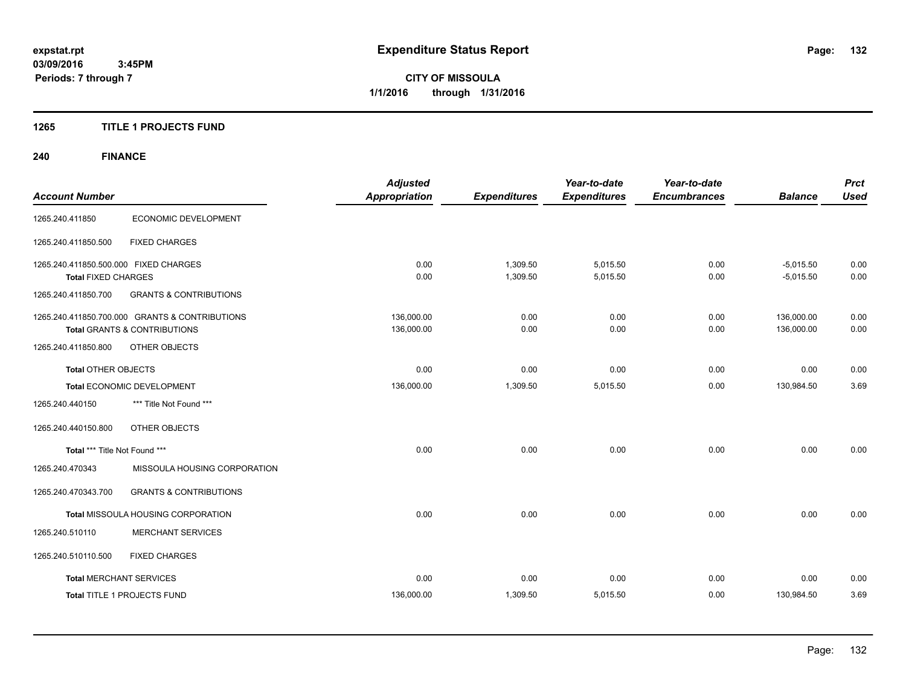#### **1265 TITLE 1 PROJECTS FUND**

## **240 FINANCE**

| <b>Account Number</b>                                               |                                                                                           | <b>Adjusted</b><br><b>Appropriation</b> | <b>Expenditures</b>  | Year-to-date<br><b>Expenditures</b> | Year-to-date<br><b>Encumbrances</b> | <b>Balance</b>             | <b>Prct</b><br><b>Used</b> |
|---------------------------------------------------------------------|-------------------------------------------------------------------------------------------|-----------------------------------------|----------------------|-------------------------------------|-------------------------------------|----------------------------|----------------------------|
| 1265.240.411850                                                     | <b>ECONOMIC DEVELOPMENT</b>                                                               |                                         |                      |                                     |                                     |                            |                            |
| 1265.240.411850.500                                                 | <b>FIXED CHARGES</b>                                                                      |                                         |                      |                                     |                                     |                            |                            |
| 1265.240.411850.500.000 FIXED CHARGES<br><b>Total FIXED CHARGES</b> |                                                                                           | 0.00<br>0.00                            | 1,309.50<br>1,309.50 | 5,015.50<br>5,015.50                | 0.00<br>0.00                        | $-5,015.50$<br>$-5,015.50$ | 0.00<br>0.00               |
| 1265.240.411850.700                                                 | <b>GRANTS &amp; CONTRIBUTIONS</b>                                                         |                                         |                      |                                     |                                     |                            |                            |
|                                                                     | 1265.240.411850.700.000 GRANTS & CONTRIBUTIONS<br><b>Total GRANTS &amp; CONTRIBUTIONS</b> | 136,000.00<br>136,000.00                | 0.00<br>0.00         | 0.00<br>0.00                        | 0.00<br>0.00                        | 136,000.00<br>136,000.00   | 0.00<br>0.00               |
| 1265.240.411850.800                                                 | OTHER OBJECTS                                                                             |                                         |                      |                                     |                                     |                            |                            |
| <b>Total OTHER OBJECTS</b>                                          |                                                                                           | 0.00                                    | 0.00                 | 0.00                                | 0.00                                | 0.00                       | 0.00                       |
|                                                                     | Total ECONOMIC DEVELOPMENT                                                                | 136,000.00                              | 1,309.50             | 5,015.50                            | 0.00                                | 130,984.50                 | 3.69                       |
| 1265.240.440150                                                     | *** Title Not Found ***                                                                   |                                         |                      |                                     |                                     |                            |                            |
| 1265.240.440150.800                                                 | OTHER OBJECTS                                                                             |                                         |                      |                                     |                                     |                            |                            |
| Total *** Title Not Found ***                                       |                                                                                           | 0.00                                    | 0.00                 | 0.00                                | 0.00                                | 0.00                       | 0.00                       |
| 1265.240.470343                                                     | MISSOULA HOUSING CORPORATION                                                              |                                         |                      |                                     |                                     |                            |                            |
| 1265.240.470343.700                                                 | <b>GRANTS &amp; CONTRIBUTIONS</b>                                                         |                                         |                      |                                     |                                     |                            |                            |
|                                                                     | Total MISSOULA HOUSING CORPORATION                                                        | 0.00                                    | 0.00                 | 0.00                                | 0.00                                | 0.00                       | 0.00                       |
| 1265.240.510110                                                     | <b>MERCHANT SERVICES</b>                                                                  |                                         |                      |                                     |                                     |                            |                            |
| 1265.240.510110.500                                                 | <b>FIXED CHARGES</b>                                                                      |                                         |                      |                                     |                                     |                            |                            |
| <b>Total MERCHANT SERVICES</b>                                      |                                                                                           | 0.00                                    | 0.00                 | 0.00                                | 0.00                                | 0.00                       | 0.00                       |
|                                                                     | Total TITLE 1 PROJECTS FUND                                                               | 136,000.00                              | 1,309.50             | 5,015.50                            | 0.00                                | 130,984.50                 | 3.69                       |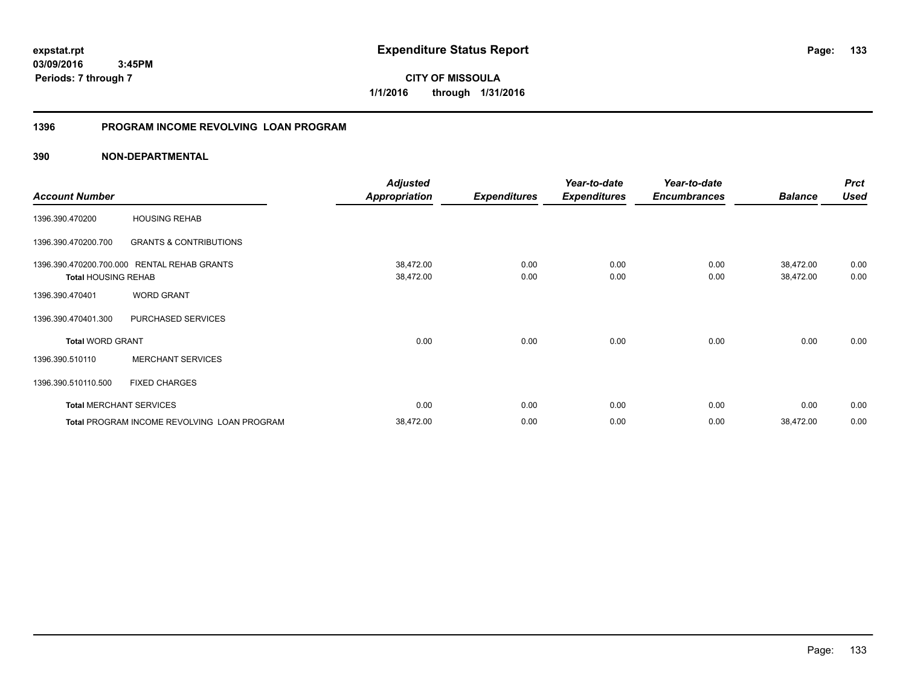**133**

**03/09/2016 3:45PM Periods: 7 through 7**

**CITY OF MISSOULA 1/1/2016 through 1/31/2016**

# **1396 PROGRAM INCOME REVOLVING LOAN PROGRAM**

|                                                                                                                                                                                                           |                                             | <b>Adjusted</b>      |                     | Year-to-date        | Year-to-date        |                | <b>Prct</b> |
|-----------------------------------------------------------------------------------------------------------------------------------------------------------------------------------------------------------|---------------------------------------------|----------------------|---------------------|---------------------|---------------------|----------------|-------------|
| <b>Account Number</b><br><b>HOUSING REHAB</b><br>1396.390.470200<br>1396.390.470200.700<br><b>GRANTS &amp; CONTRIBUTIONS</b><br>1396.390.470200.700.000 RENTAL REHAB GRANTS<br><b>Total HOUSING REHAB</b> |                                             | <b>Appropriation</b> | <b>Expenditures</b> | <b>Expenditures</b> | <b>Encumbrances</b> | <b>Balance</b> | <b>Used</b> |
|                                                                                                                                                                                                           |                                             |                      |                     |                     |                     |                |             |
|                                                                                                                                                                                                           |                                             |                      |                     |                     |                     |                |             |
|                                                                                                                                                                                                           |                                             | 38,472.00            | 0.00                | 0.00                | 0.00                | 38,472.00      | 0.00        |
|                                                                                                                                                                                                           |                                             | 38,472.00            | 0.00                | 0.00                | 0.00                | 38,472.00      | 0.00        |
| 1396.390.470401                                                                                                                                                                                           | <b>WORD GRANT</b>                           |                      |                     |                     |                     |                |             |
| 1396.390.470401.300                                                                                                                                                                                       | PURCHASED SERVICES                          |                      |                     |                     |                     |                |             |
| <b>Total WORD GRANT</b>                                                                                                                                                                                   |                                             | 0.00                 | 0.00                | 0.00                | 0.00                | 0.00           | 0.00        |
| 1396.390.510110                                                                                                                                                                                           | <b>MERCHANT SERVICES</b>                    |                      |                     |                     |                     |                |             |
| 1396.390.510110.500                                                                                                                                                                                       | <b>FIXED CHARGES</b>                        |                      |                     |                     |                     |                |             |
|                                                                                                                                                                                                           | <b>Total MERCHANT SERVICES</b>              | 0.00                 | 0.00                | 0.00                | 0.00                | 0.00           | 0.00        |
|                                                                                                                                                                                                           | Total PROGRAM INCOME REVOLVING LOAN PROGRAM | 38,472.00            | 0.00                | 0.00                | 0.00                | 38,472.00      | 0.00        |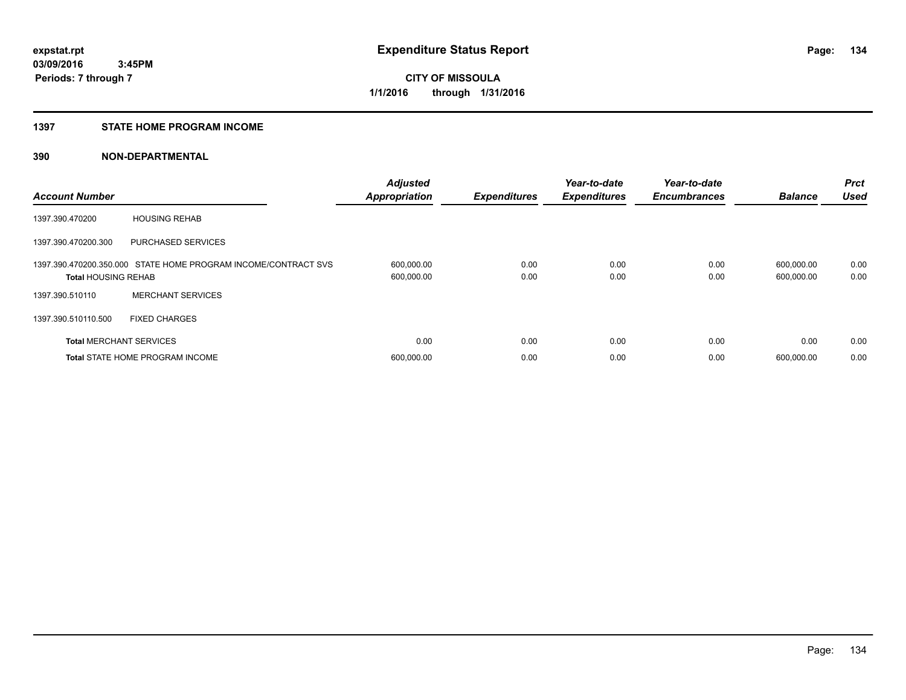#### **1397 STATE HOME PROGRAM INCOME**

| <b>Account Number</b>          |                                                                | <b>Adjusted</b><br><b>Appropriation</b> | <b>Expenditures</b> | Year-to-date<br><b>Expenditures</b> | Year-to-date<br><b>Encumbrances</b> | <b>Balance</b>           | <b>Prct</b><br><b>Used</b> |
|--------------------------------|----------------------------------------------------------------|-----------------------------------------|---------------------|-------------------------------------|-------------------------------------|--------------------------|----------------------------|
| 1397.390.470200                | <b>HOUSING REHAB</b>                                           |                                         |                     |                                     |                                     |                          |                            |
| 1397.390.470200.300            | <b>PURCHASED SERVICES</b>                                      |                                         |                     |                                     |                                     |                          |                            |
| <b>Total HOUSING REHAB</b>     | 1397.390.470200.350.000 STATE HOME PROGRAM INCOME/CONTRACT SVS | 600,000.00<br>600,000.00                | 0.00<br>0.00        | 0.00<br>0.00                        | 0.00<br>0.00                        | 600,000.00<br>600,000.00 | 0.00<br>0.00               |
| 1397.390.510110                | <b>MERCHANT SERVICES</b>                                       |                                         |                     |                                     |                                     |                          |                            |
| 1397.390.510110.500            | <b>FIXED CHARGES</b>                                           |                                         |                     |                                     |                                     |                          |                            |
| <b>Total MERCHANT SERVICES</b> |                                                                | 0.00                                    | 0.00                | 0.00                                | 0.00                                | 0.00                     | 0.00                       |
|                                | <b>Total STATE HOME PROGRAM INCOME</b>                         | 600,000.00                              | 0.00                | 0.00                                | 0.00                                | 600.000.00               | 0.00                       |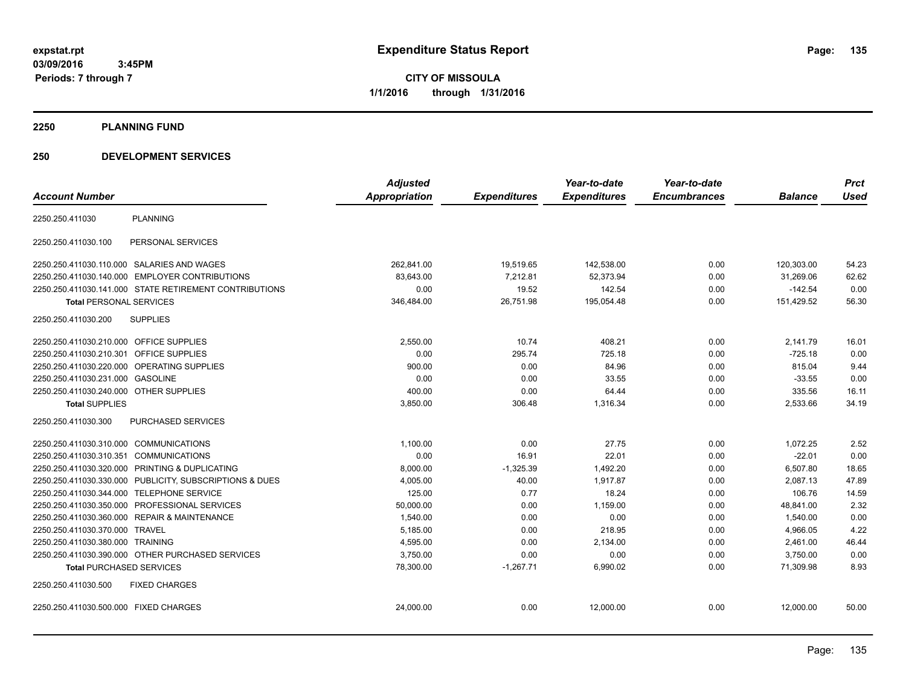**03/09/2016 3:45PM Periods: 7 through 7**

**CITY OF MISSOULA 1/1/2016 through 1/31/2016**

#### **2250 PLANNING FUND**

#### **250 DEVELOPMENT SERVICES**

|                                                            | <b>Adjusted</b> |                     | Year-to-date        | Year-to-date        |                | <b>Prct</b> |
|------------------------------------------------------------|-----------------|---------------------|---------------------|---------------------|----------------|-------------|
| <b>Account Number</b>                                      | Appropriation   | <b>Expenditures</b> | <b>Expenditures</b> | <b>Encumbrances</b> | <b>Balance</b> | <b>Used</b> |
| <b>PLANNING</b><br>2250.250.411030                         |                 |                     |                     |                     |                |             |
| PERSONAL SERVICES<br>2250.250.411030.100                   |                 |                     |                     |                     |                |             |
| 2250.250.411030.110.000 SALARIES AND WAGES                 | 262.841.00      | 19,519.65           | 142,538.00          | 0.00                | 120,303.00     | 54.23       |
| <b>EMPLOYER CONTRIBUTIONS</b><br>2250.250.411030.140.000   | 83,643.00       | 7,212.81            | 52,373.94           | 0.00                | 31,269.06      | 62.62       |
| 2250.250.411030.141.000 STATE RETIREMENT CONTRIBUTIONS     | 0.00            | 19.52               | 142.54              | 0.00                | $-142.54$      | 0.00        |
| <b>Total PERSONAL SERVICES</b>                             | 346,484.00      | 26,751.98           | 195,054.48          | 0.00                | 151,429.52     | 56.30       |
| 2250.250.411030.200<br><b>SUPPLIES</b>                     |                 |                     |                     |                     |                |             |
| 2250.250.411030.210.000 OFFICE SUPPLIES                    | 2,550.00        | 10.74               | 408.21              | 0.00                | 2,141.79       | 16.01       |
| 2250.250.411030.210.301<br><b>OFFICE SUPPLIES</b>          | 0.00            | 295.74              | 725.18              | 0.00                | $-725.18$      | 0.00        |
| OPERATING SUPPLIES<br>2250.250.411030.220.000              | 900.00          | 0.00                | 84.96               | 0.00                | 815.04         | 9.44        |
| 2250.250.411030.231.000<br><b>GASOLINE</b>                 | 0.00            | 0.00                | 33.55               | 0.00                | $-33.55$       | 0.00        |
| 2250.250.411030.240.000 OTHER SUPPLIES                     | 400.00          | 0.00                | 64.44               | 0.00                | 335.56         | 16.11       |
| <b>Total SUPPLIES</b>                                      | 3,850.00        | 306.48              | 1,316.34            | 0.00                | 2,533.66       | 34.19       |
| 2250.250.411030.300<br><b>PURCHASED SERVICES</b>           |                 |                     |                     |                     |                |             |
| 2250.250.411030.310.000 COMMUNICATIONS                     | 1,100.00        | 0.00                | 27.75               | 0.00                | 1,072.25       | 2.52        |
| 2250.250.411030.310.351 COMMUNICATIONS                     | 0.00            | 16.91               | 22.01               | 0.00                | $-22.01$       | 0.00        |
| 2250.250.411030.320.000 PRINTING & DUPLICATING             | 8,000.00        | $-1,325.39$         | 1,492.20            | 0.00                | 6,507.80       | 18.65       |
| 2250.250.411030.330.000 PUBLICITY, SUBSCRIPTIONS & DUES    | 4,005.00        | 40.00               | 1,917.87            | 0.00                | 2,087.13       | 47.89       |
| 2250.250.411030.344.000 TELEPHONE SERVICE                  | 125.00          | 0.77                | 18.24               | 0.00                | 106.76         | 14.59       |
| PROFESSIONAL SERVICES<br>2250.250.411030.350.000           | 50,000.00       | 0.00                | 1,159.00            | 0.00                | 48,841.00      | 2.32        |
| <b>REPAIR &amp; MAINTENANCE</b><br>2250.250.411030.360.000 | 1,540.00        | 0.00                | 0.00                | 0.00                | 1,540.00       | 0.00        |
| 2250.250.411030.370.000 TRAVEL                             | 5,185.00        | 0.00                | 218.95              | 0.00                | 4,966.05       | 4.22        |
| 2250.250.411030.380.000 TRAINING                           | 4,595.00        | 0.00                | 2,134.00            | 0.00                | 2,461.00       | 46.44       |
| 2250.250.411030.390.000 OTHER PURCHASED SERVICES           | 3,750.00        | 0.00                | 0.00                | 0.00                | 3,750.00       | 0.00        |
| <b>Total PURCHASED SERVICES</b>                            | 78,300.00       | $-1,267.71$         | 6,990.02            | 0.00                | 71,309.98      | 8.93        |
| 2250.250.411030.500<br><b>FIXED CHARGES</b>                |                 |                     |                     |                     |                |             |
| 2250.250.411030.500.000 FIXED CHARGES                      | 24,000.00       | 0.00                | 12,000.00           | 0.00                | 12,000.00      | 50.00       |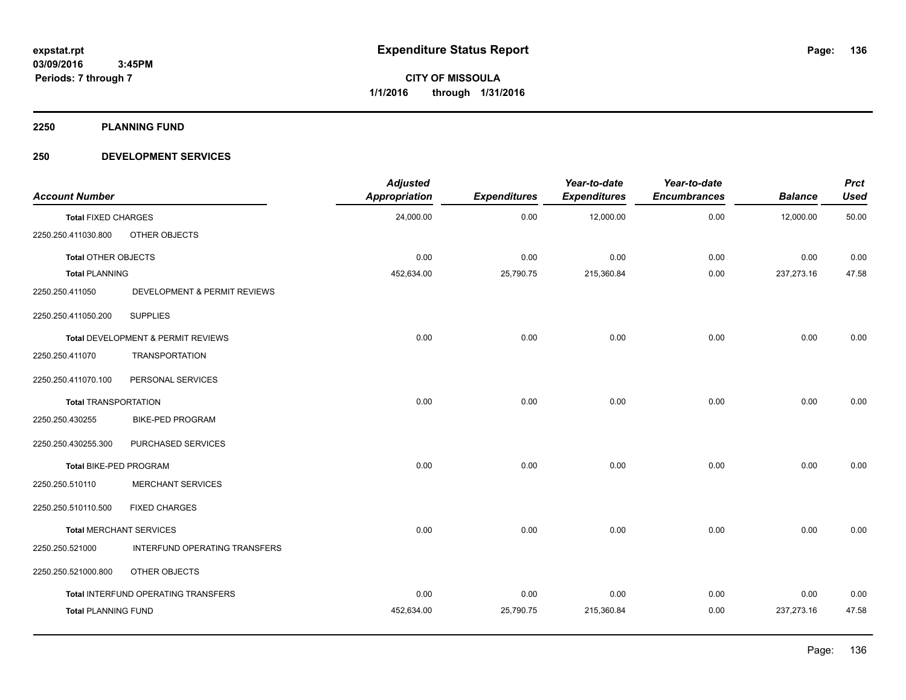**2250 PLANNING FUND**

#### **250 DEVELOPMENT SERVICES**

| <b>Account Number</b>       |                                     | <b>Adjusted</b><br>Appropriation | <b>Expenditures</b> | Year-to-date<br><b>Expenditures</b> | Year-to-date<br><b>Encumbrances</b> | <b>Balance</b> | <b>Prct</b><br><b>Used</b> |
|-----------------------------|-------------------------------------|----------------------------------|---------------------|-------------------------------------|-------------------------------------|----------------|----------------------------|
| <b>Total FIXED CHARGES</b>  |                                     | 24,000.00                        | 0.00                | 12,000.00                           | 0.00                                | 12,000.00      | 50.00                      |
| 2250.250.411030.800         | OTHER OBJECTS                       |                                  |                     |                                     |                                     |                |                            |
| <b>Total OTHER OBJECTS</b>  |                                     | 0.00                             | 0.00                | 0.00                                | 0.00                                | 0.00           | 0.00                       |
| <b>Total PLANNING</b>       |                                     | 452,634.00                       | 25,790.75           | 215,360.84                          | 0.00                                | 237,273.16     | 47.58                      |
| 2250.250.411050             | DEVELOPMENT & PERMIT REVIEWS        |                                  |                     |                                     |                                     |                |                            |
| 2250.250.411050.200         | <b>SUPPLIES</b>                     |                                  |                     |                                     |                                     |                |                            |
|                             | Total DEVELOPMENT & PERMIT REVIEWS  | 0.00                             | 0.00                | 0.00                                | 0.00                                | 0.00           | 0.00                       |
| 2250.250.411070             | <b>TRANSPORTATION</b>               |                                  |                     |                                     |                                     |                |                            |
| 2250.250.411070.100         | PERSONAL SERVICES                   |                                  |                     |                                     |                                     |                |                            |
| <b>Total TRANSPORTATION</b> |                                     | 0.00                             | 0.00                | 0.00                                | 0.00                                | 0.00           | 0.00                       |
| 2250.250.430255             | <b>BIKE-PED PROGRAM</b>             |                                  |                     |                                     |                                     |                |                            |
| 2250.250.430255.300         | PURCHASED SERVICES                  |                                  |                     |                                     |                                     |                |                            |
| Total BIKE-PED PROGRAM      |                                     | 0.00                             | 0.00                | 0.00                                | 0.00                                | 0.00           | 0.00                       |
| 2250.250.510110             | <b>MERCHANT SERVICES</b>            |                                  |                     |                                     |                                     |                |                            |
| 2250.250.510110.500         | <b>FIXED CHARGES</b>                |                                  |                     |                                     |                                     |                |                            |
|                             | <b>Total MERCHANT SERVICES</b>      | 0.00                             | 0.00                | 0.00                                | 0.00                                | 0.00           | 0.00                       |
| 2250.250.521000             | INTERFUND OPERATING TRANSFERS       |                                  |                     |                                     |                                     |                |                            |
| 2250.250.521000.800         | OTHER OBJECTS                       |                                  |                     |                                     |                                     |                |                            |
|                             | Total INTERFUND OPERATING TRANSFERS | 0.00                             | 0.00                | 0.00                                | 0.00                                | 0.00           | 0.00                       |
| <b>Total PLANNING FUND</b>  |                                     | 452,634.00                       | 25,790.75           | 215,360.84                          | 0.00                                | 237,273.16     | 47.58                      |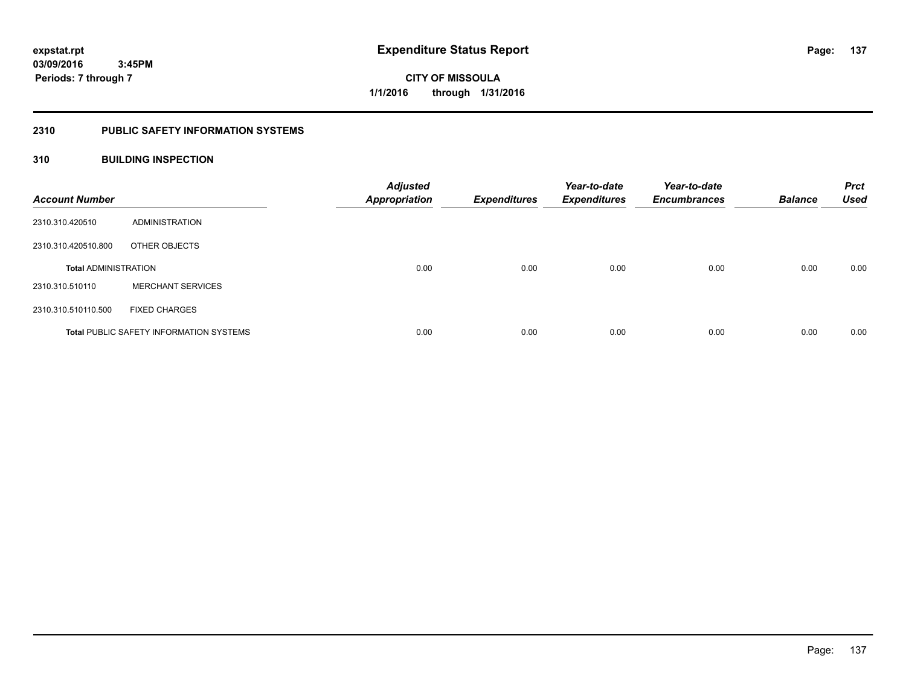## **2310 PUBLIC SAFETY INFORMATION SYSTEMS**

## **310 BUILDING INSPECTION**

| <b>Account Number</b>       |                                                | <b>Adjusted</b><br><b>Appropriation</b> | <b>Expenditures</b> | Year-to-date<br><b>Expenditures</b> | Year-to-date<br><b>Encumbrances</b> | <b>Balance</b> | <b>Prct</b><br><b>Used</b> |
|-----------------------------|------------------------------------------------|-----------------------------------------|---------------------|-------------------------------------|-------------------------------------|----------------|----------------------------|
| 2310.310.420510             | ADMINISTRATION                                 |                                         |                     |                                     |                                     |                |                            |
| 2310.310.420510.800         | OTHER OBJECTS                                  |                                         |                     |                                     |                                     |                |                            |
| <b>Total ADMINISTRATION</b> |                                                | 0.00                                    | 0.00                | 0.00                                | 0.00                                | 0.00           | 0.00                       |
| 2310.310.510110             | <b>MERCHANT SERVICES</b>                       |                                         |                     |                                     |                                     |                |                            |
| 2310.310.510110.500         | <b>FIXED CHARGES</b>                           |                                         |                     |                                     |                                     |                |                            |
|                             | <b>Total PUBLIC SAFETY INFORMATION SYSTEMS</b> | 0.00                                    | 0.00                | 0.00                                | 0.00                                | 0.00           | 0.00                       |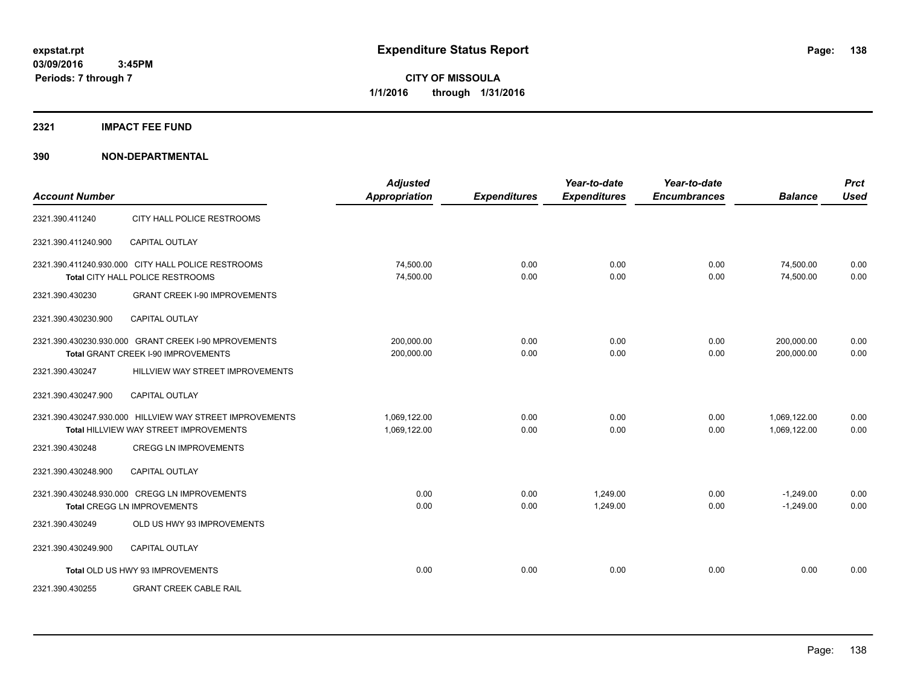#### **2321 IMPACT FEE FUND**

| <b>Account Number</b> |                                                                                                    | <b>Adjusted</b><br><b>Appropriation</b> | <b>Expenditures</b> | Year-to-date<br><b>Expenditures</b> | Year-to-date<br><b>Encumbrances</b> | <b>Balance</b>               | <b>Prct</b><br><b>Used</b> |
|-----------------------|----------------------------------------------------------------------------------------------------|-----------------------------------------|---------------------|-------------------------------------|-------------------------------------|------------------------------|----------------------------|
| 2321.390.411240       | CITY HALL POLICE RESTROOMS                                                                         |                                         |                     |                                     |                                     |                              |                            |
| 2321.390.411240.900   | <b>CAPITAL OUTLAY</b>                                                                              |                                         |                     |                                     |                                     |                              |                            |
|                       | 2321.390.411240.930.000 CITY HALL POLICE RESTROOMS<br>Total CITY HALL POLICE RESTROOMS             | 74,500.00<br>74,500.00                  | 0.00<br>0.00        | 0.00<br>0.00                        | 0.00<br>0.00                        | 74,500.00<br>74,500.00       | 0.00<br>0.00               |
| 2321.390.430230       | <b>GRANT CREEK I-90 IMPROVEMENTS</b>                                                               |                                         |                     |                                     |                                     |                              |                            |
| 2321.390.430230.900   | <b>CAPITAL OUTLAY</b>                                                                              |                                         |                     |                                     |                                     |                              |                            |
|                       | 2321.390.430230.930.000 GRANT CREEK I-90 MPROVEMENTS<br>Total GRANT CREEK I-90 IMPROVEMENTS        | 200,000.00<br>200,000.00                | 0.00<br>0.00        | 0.00<br>0.00                        | 0.00<br>0.00                        | 200,000.00<br>200,000.00     | 0.00<br>0.00               |
| 2321.390.430247       | HILLVIEW WAY STREET IMPROVEMENTS                                                                   |                                         |                     |                                     |                                     |                              |                            |
| 2321.390.430247.900   | <b>CAPITAL OUTLAY</b>                                                                              |                                         |                     |                                     |                                     |                              |                            |
|                       | 2321.390.430247.930.000 HILLVIEW WAY STREET IMPROVEMENTS<br>Total HILLVIEW WAY STREET IMPROVEMENTS | 1,069,122.00<br>1,069,122.00            | 0.00<br>0.00        | 0.00<br>0.00                        | 0.00<br>0.00                        | 1,069,122.00<br>1,069,122.00 | 0.00<br>0.00               |
| 2321.390.430248       | <b>CREGG LN IMPROVEMENTS</b>                                                                       |                                         |                     |                                     |                                     |                              |                            |
| 2321.390.430248.900   | <b>CAPITAL OUTLAY</b>                                                                              |                                         |                     |                                     |                                     |                              |                            |
|                       | 2321.390.430248.930.000 CREGG LN IMPROVEMENTS<br><b>Total CREGG LN IMPROVEMENTS</b>                | 0.00<br>0.00                            | 0.00<br>0.00        | 1,249.00<br>1,249.00                | 0.00<br>0.00                        | $-1,249.00$<br>$-1,249.00$   | 0.00<br>0.00               |
| 2321.390.430249       | OLD US HWY 93 IMPROVEMENTS                                                                         |                                         |                     |                                     |                                     |                              |                            |
| 2321.390.430249.900   | CAPITAL OUTLAY                                                                                     |                                         |                     |                                     |                                     |                              |                            |
|                       | Total OLD US HWY 93 IMPROVEMENTS                                                                   | 0.00                                    | 0.00                | 0.00                                | 0.00                                | 0.00                         | 0.00                       |
| 2321.390.430255       | <b>GRANT CREEK CABLE RAIL</b>                                                                      |                                         |                     |                                     |                                     |                              |                            |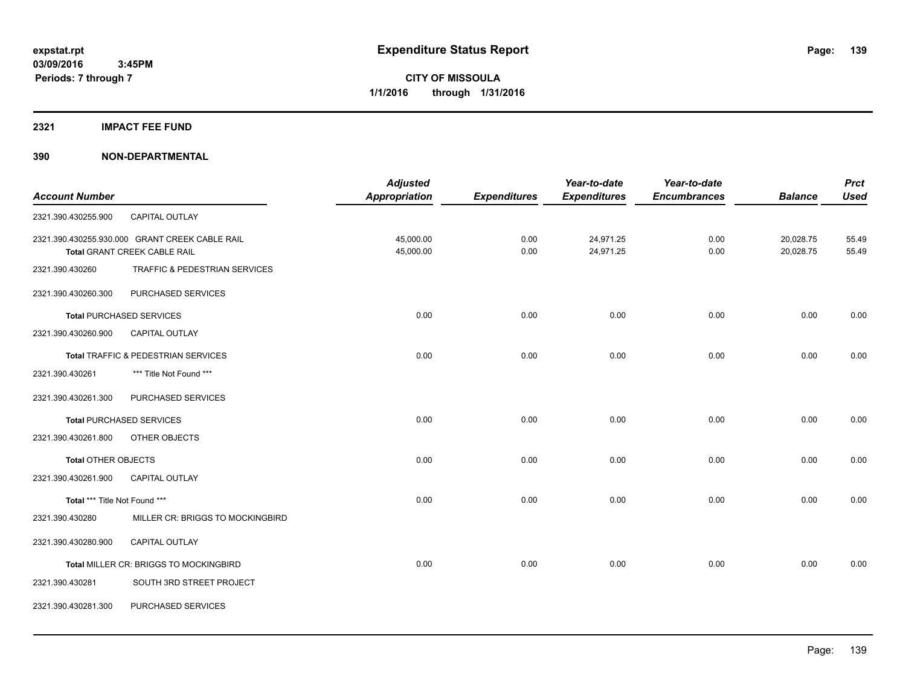#### **2321 IMPACT FEE FUND**

|                               |                                                | <b>Adjusted</b>      |                     | Year-to-date        | Year-to-date        |                | <b>Prct</b> |
|-------------------------------|------------------------------------------------|----------------------|---------------------|---------------------|---------------------|----------------|-------------|
| <b>Account Number</b>         |                                                | <b>Appropriation</b> | <b>Expenditures</b> | <b>Expenditures</b> | <b>Encumbrances</b> | <b>Balance</b> | <b>Used</b> |
| 2321.390.430255.900           | CAPITAL OUTLAY                                 |                      |                     |                     |                     |                |             |
|                               | 2321.390.430255.930.000 GRANT CREEK CABLE RAIL | 45,000.00            | 0.00                | 24,971.25           | 0.00                | 20,028.75      | 55.49       |
|                               | Total GRANT CREEK CABLE RAIL                   | 45,000.00            | 0.00                | 24,971.25           | 0.00                | 20,028.75      | 55.49       |
| 2321.390.430260               | TRAFFIC & PEDESTRIAN SERVICES                  |                      |                     |                     |                     |                |             |
| 2321.390.430260.300           | PURCHASED SERVICES                             |                      |                     |                     |                     |                |             |
|                               | <b>Total PURCHASED SERVICES</b>                | 0.00                 | 0.00                | 0.00                | 0.00                | 0.00           | 0.00        |
| 2321.390.430260.900           | CAPITAL OUTLAY                                 |                      |                     |                     |                     |                |             |
|                               | Total TRAFFIC & PEDESTRIAN SERVICES            | 0.00                 | 0.00                | 0.00                | 0.00                | 0.00           | 0.00        |
| 2321.390.430261               | *** Title Not Found ***                        |                      |                     |                     |                     |                |             |
| 2321.390.430261.300           | PURCHASED SERVICES                             |                      |                     |                     |                     |                |             |
|                               | <b>Total PURCHASED SERVICES</b>                | 0.00                 | 0.00                | 0.00                | 0.00                | 0.00           | 0.00        |
| 2321.390.430261.800           | OTHER OBJECTS                                  |                      |                     |                     |                     |                |             |
| <b>Total OTHER OBJECTS</b>    |                                                | 0.00                 | 0.00                | 0.00                | 0.00                | 0.00           | 0.00        |
| 2321.390.430261.900           | CAPITAL OUTLAY                                 |                      |                     |                     |                     |                |             |
| Total *** Title Not Found *** |                                                | 0.00                 | 0.00                | 0.00                | 0.00                | 0.00           | 0.00        |
| 2321.390.430280               | MILLER CR: BRIGGS TO MOCKINGBIRD               |                      |                     |                     |                     |                |             |
| 2321.390.430280.900           | CAPITAL OUTLAY                                 |                      |                     |                     |                     |                |             |
|                               | Total MILLER CR: BRIGGS TO MOCKINGBIRD         | 0.00                 | 0.00                | 0.00                | 0.00                | 0.00           | 0.00        |
| 2321.390.430281               | SOUTH 3RD STREET PROJECT                       |                      |                     |                     |                     |                |             |
| 2321.390.430281.300           | PURCHASED SERVICES                             |                      |                     |                     |                     |                |             |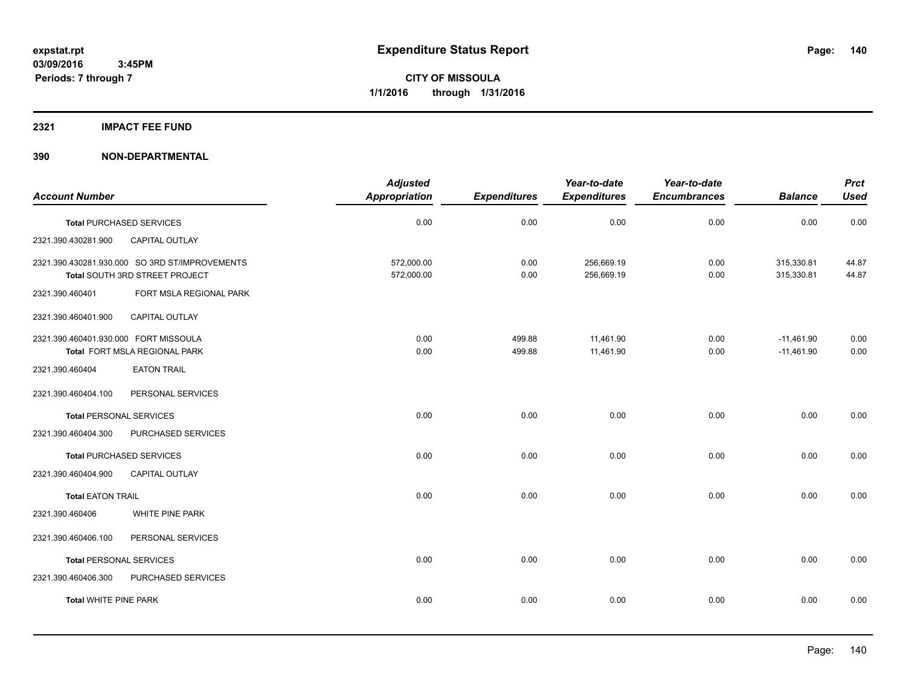#### **2321 IMPACT FEE FUND**

|                                                                                  |                         | <b>Adjusted</b>          |                     | Year-to-date             | Year-to-date        |                              | <b>Prct</b>    |
|----------------------------------------------------------------------------------|-------------------------|--------------------------|---------------------|--------------------------|---------------------|------------------------------|----------------|
| <b>Account Number</b>                                                            |                         | Appropriation            | <b>Expenditures</b> | <b>Expenditures</b>      | <b>Encumbrances</b> | <b>Balance</b>               | <b>Used</b>    |
| <b>Total PURCHASED SERVICES</b>                                                  |                         | 0.00                     | 0.00                | 0.00                     | 0.00                | 0.00                         | 0.00           |
| 2321.390.430281.900                                                              | CAPITAL OUTLAY          |                          |                     |                          |                     |                              |                |
| 2321.390.430281.930.000 SO 3RD ST/IMPROVEMENTS<br>Total SOUTH 3RD STREET PROJECT |                         | 572,000.00<br>572,000.00 | 0.00<br>0.00        | 256,669.19<br>256,669.19 | 0.00<br>0.00        | 315,330.81<br>315,330.81     | 44.87<br>44.87 |
| 2321.390.460401                                                                  | FORT MSLA REGIONAL PARK |                          |                     |                          |                     |                              |                |
| 2321.390.460401.900                                                              | CAPITAL OUTLAY          |                          |                     |                          |                     |                              |                |
| 2321.390.460401.930.000 FORT MISSOULA<br>Total FORT MSLA REGIONAL PARK           |                         | 0.00<br>0.00             | 499.88<br>499.88    | 11,461.90<br>11,461.90   | 0.00<br>0.00        | $-11,461.90$<br>$-11,461.90$ | 0.00<br>0.00   |
| 2321.390.460404                                                                  | <b>EATON TRAIL</b>      |                          |                     |                          |                     |                              |                |
| 2321.390.460404.100                                                              | PERSONAL SERVICES       |                          |                     |                          |                     |                              |                |
| <b>Total PERSONAL SERVICES</b>                                                   |                         | 0.00                     | 0.00                | 0.00                     | 0.00                | 0.00                         | 0.00           |
| 2321.390.460404.300                                                              | PURCHASED SERVICES      |                          |                     |                          |                     |                              |                |
| <b>Total PURCHASED SERVICES</b>                                                  |                         | 0.00                     | 0.00                | 0.00                     | 0.00                | 0.00                         | 0.00           |
| 2321.390.460404.900                                                              | <b>CAPITAL OUTLAY</b>   |                          |                     |                          |                     |                              |                |
| <b>Total EATON TRAIL</b>                                                         |                         | 0.00                     | 0.00                | 0.00                     | 0.00                | 0.00                         | 0.00           |
| 2321.390.460406                                                                  | WHITE PINE PARK         |                          |                     |                          |                     |                              |                |
| 2321.390.460406.100                                                              | PERSONAL SERVICES       |                          |                     |                          |                     |                              |                |
| <b>Total PERSONAL SERVICES</b>                                                   |                         | 0.00                     | 0.00                | 0.00                     | 0.00                | 0.00                         | 0.00           |
| 2321.390.460406.300                                                              | PURCHASED SERVICES      |                          |                     |                          |                     |                              |                |
| <b>Total WHITE PINE PARK</b>                                                     |                         | 0.00                     | 0.00                | 0.00                     | 0.00                | 0.00                         | 0.00           |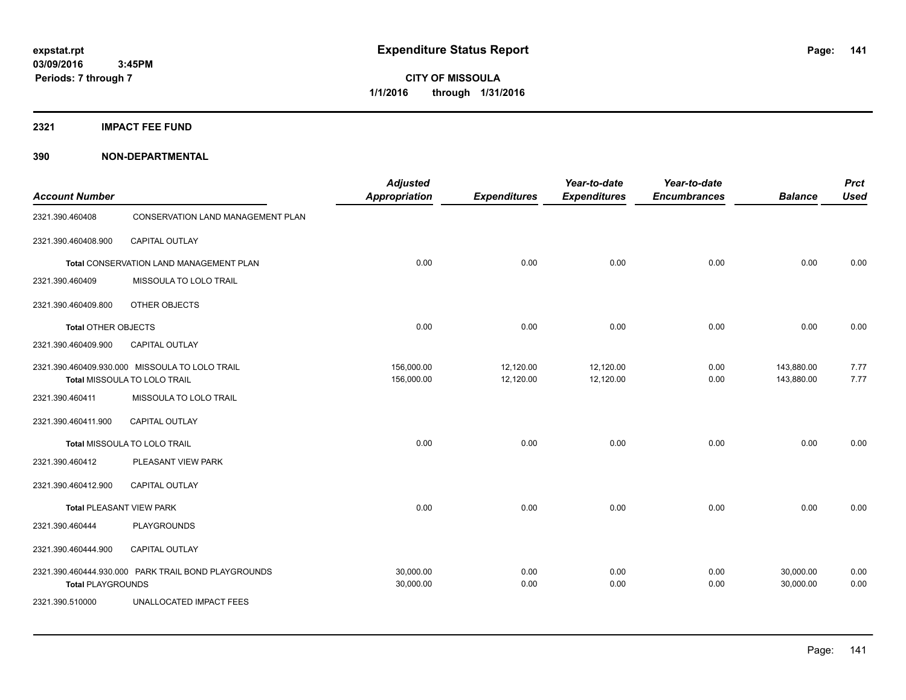**2321 IMPACT FEE FUND**

| <b>Account Number</b>           |                                                                                | <b>Adjusted</b><br><b>Appropriation</b> | <b>Expenditures</b>    | Year-to-date<br><b>Expenditures</b> | Year-to-date<br><b>Encumbrances</b> | <b>Balance</b>           | <b>Prct</b><br><b>Used</b> |
|---------------------------------|--------------------------------------------------------------------------------|-----------------------------------------|------------------------|-------------------------------------|-------------------------------------|--------------------------|----------------------------|
| 2321.390.460408                 | CONSERVATION LAND MANAGEMENT PLAN                                              |                                         |                        |                                     |                                     |                          |                            |
| 2321.390.460408.900             | <b>CAPITAL OUTLAY</b>                                                          |                                         |                        |                                     |                                     |                          |                            |
|                                 | Total CONSERVATION LAND MANAGEMENT PLAN                                        | 0.00                                    | 0.00                   | 0.00                                | 0.00                                | 0.00                     | 0.00                       |
| 2321.390.460409                 | MISSOULA TO LOLO TRAIL                                                         |                                         |                        |                                     |                                     |                          |                            |
| 2321.390.460409.800             | OTHER OBJECTS                                                                  |                                         |                        |                                     |                                     |                          |                            |
| <b>Total OTHER OBJECTS</b>      |                                                                                | 0.00                                    | 0.00                   | 0.00                                | 0.00                                | 0.00                     | 0.00                       |
| 2321.390.460409.900             | <b>CAPITAL OUTLAY</b>                                                          |                                         |                        |                                     |                                     |                          |                            |
|                                 | 2321.390.460409.930.000 MISSOULA TO LOLO TRAIL<br>Total MISSOULA TO LOLO TRAIL | 156,000.00<br>156,000.00                | 12,120.00<br>12,120.00 | 12,120.00<br>12,120.00              | 0.00<br>0.00                        | 143,880.00<br>143,880.00 | 7.77<br>7.77               |
| 2321.390.460411                 | MISSOULA TO LOLO TRAIL                                                         |                                         |                        |                                     |                                     |                          |                            |
| 2321.390.460411.900             | CAPITAL OUTLAY                                                                 |                                         |                        |                                     |                                     |                          |                            |
|                                 | Total MISSOULA TO LOLO TRAIL                                                   | 0.00                                    | 0.00                   | 0.00                                | 0.00                                | 0.00                     | 0.00                       |
| 2321.390.460412                 | PLEASANT VIEW PARK                                                             |                                         |                        |                                     |                                     |                          |                            |
| 2321.390.460412.900             | CAPITAL OUTLAY                                                                 |                                         |                        |                                     |                                     |                          |                            |
| <b>Total PLEASANT VIEW PARK</b> |                                                                                | 0.00                                    | 0.00                   | 0.00                                | 0.00                                | 0.00                     | 0.00                       |
| 2321.390.460444                 | PLAYGROUNDS                                                                    |                                         |                        |                                     |                                     |                          |                            |
| 2321.390.460444.900             | CAPITAL OUTLAY                                                                 |                                         |                        |                                     |                                     |                          |                            |
| <b>Total PLAYGROUNDS</b>        | 2321.390.460444.930.000 PARK TRAIL BOND PLAYGROUNDS                            | 30,000.00<br>30,000.00                  | 0.00<br>0.00           | 0.00<br>0.00                        | 0.00<br>0.00                        | 30,000.00<br>30,000.00   | 0.00<br>0.00               |
| 2321.390.510000                 | UNALLOCATED IMPACT FEES                                                        |                                         |                        |                                     |                                     |                          |                            |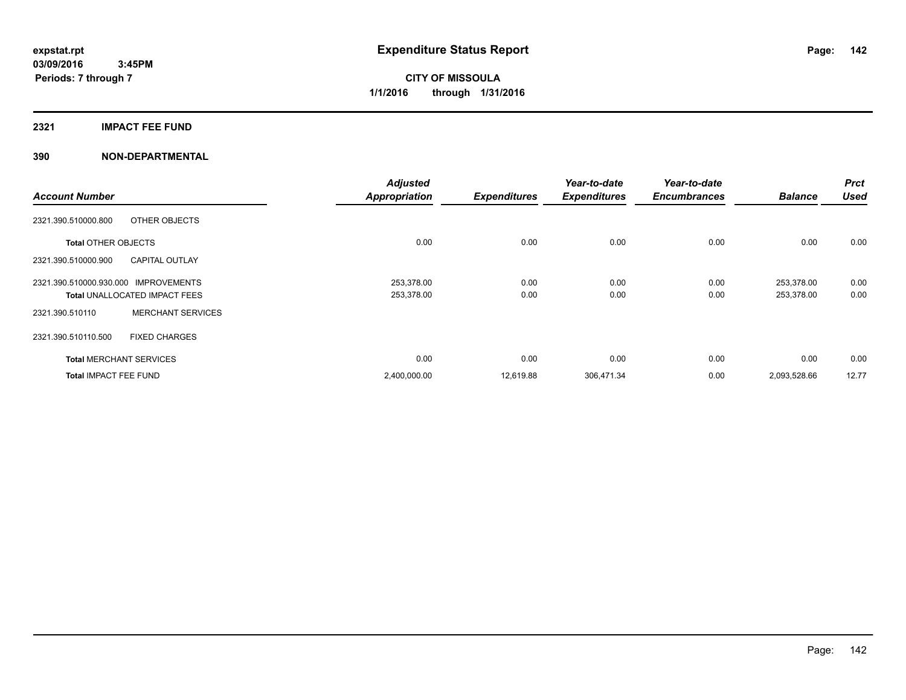#### **2321 IMPACT FEE FUND**

|                                                | <b>Adjusted</b>      |                     | Year-to-date        | Year-to-date        |                | <b>Prct</b> |
|------------------------------------------------|----------------------|---------------------|---------------------|---------------------|----------------|-------------|
| <b>Account Number</b>                          | <b>Appropriation</b> | <b>Expenditures</b> | <b>Expenditures</b> | <b>Encumbrances</b> | <b>Balance</b> | <b>Used</b> |
| 2321.390.510000.800<br>OTHER OBJECTS           |                      |                     |                     |                     |                |             |
| <b>Total OTHER OBJECTS</b>                     | 0.00                 | 0.00                | 0.00                | 0.00                | 0.00           | 0.00        |
| <b>CAPITAL OUTLAY</b><br>2321.390.510000.900   |                      |                     |                     |                     |                |             |
| 2321.390.510000.930.000<br><b>IMPROVEMENTS</b> | 253,378.00           | 0.00                | 0.00                | 0.00                | 253,378.00     | 0.00        |
| <b>Total UNALLOCATED IMPACT FEES</b>           | 253,378.00           | 0.00                | 0.00                | 0.00                | 253,378.00     | 0.00        |
| <b>MERCHANT SERVICES</b><br>2321.390.510110    |                      |                     |                     |                     |                |             |
| 2321.390.510110.500<br><b>FIXED CHARGES</b>    |                      |                     |                     |                     |                |             |
| <b>Total MERCHANT SERVICES</b>                 | 0.00                 | 0.00                | 0.00                | 0.00                | 0.00           | 0.00        |
| <b>Total IMPACT FEE FUND</b>                   | 2,400,000.00         | 12,619.88           | 306,471.34          | 0.00                | 2,093,528.66   | 12.77       |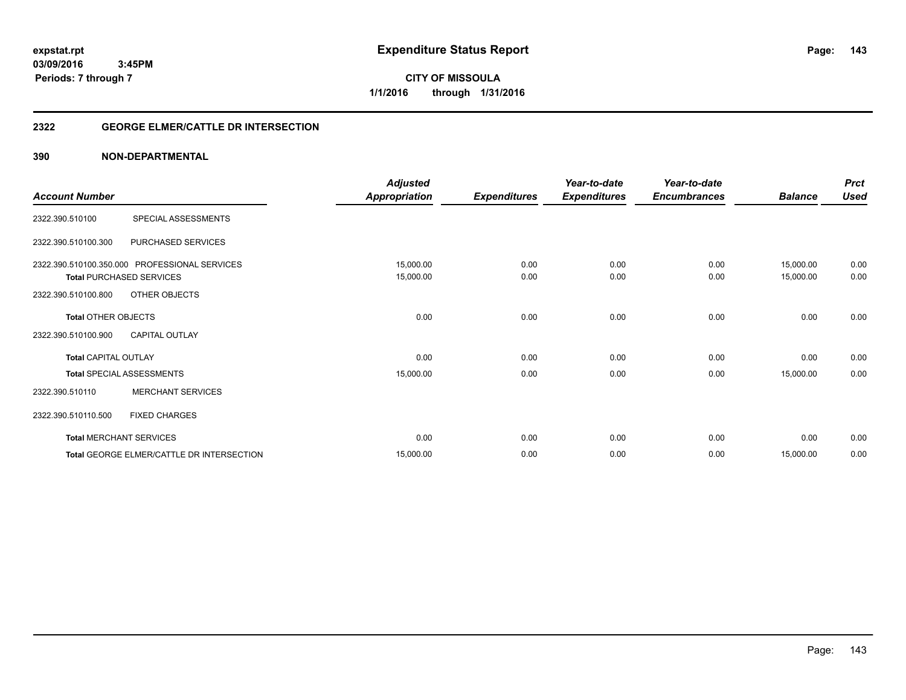**143**

**03/09/2016 3:45PM Periods: 7 through 7**

**CITY OF MISSOULA 1/1/2016 through 1/31/2016**

#### **2322 GEORGE ELMER/CATTLE DR INTERSECTION**

| <b>Account Number</b>       |                                                  | <b>Adjusted</b><br><b>Appropriation</b> | <b>Expenditures</b> | Year-to-date<br><b>Expenditures</b> | Year-to-date<br><b>Encumbrances</b> | <b>Balance</b>         | <b>Prct</b><br><b>Used</b> |
|-----------------------------|--------------------------------------------------|-----------------------------------------|---------------------|-------------------------------------|-------------------------------------|------------------------|----------------------------|
| 2322.390.510100             | SPECIAL ASSESSMENTS                              |                                         |                     |                                     |                                     |                        |                            |
| 2322.390.510100.300         | PURCHASED SERVICES                               |                                         |                     |                                     |                                     |                        |                            |
|                             | 2322.390.510100.350.000 PROFESSIONAL SERVICES    | 15,000.00                               | 0.00<br>0.00        | 0.00<br>0.00                        | 0.00<br>0.00                        | 15,000.00<br>15,000.00 | 0.00<br>0.00               |
| 2322.390.510100.800         | <b>Total PURCHASED SERVICES</b><br>OTHER OBJECTS | 15,000.00                               |                     |                                     |                                     |                        |                            |
| <b>Total OTHER OBJECTS</b>  |                                                  | 0.00                                    | 0.00                | 0.00                                | 0.00                                | 0.00                   | 0.00                       |
| 2322.390.510100.900         | <b>CAPITAL OUTLAY</b>                            |                                         |                     |                                     |                                     |                        |                            |
| <b>Total CAPITAL OUTLAY</b> |                                                  | 0.00                                    | 0.00                | 0.00                                | 0.00                                | 0.00                   | 0.00                       |
|                             | <b>Total SPECIAL ASSESSMENTS</b>                 | 15,000.00                               | 0.00                | 0.00                                | 0.00                                | 15,000.00              | 0.00                       |
| 2322.390.510110             | <b>MERCHANT SERVICES</b>                         |                                         |                     |                                     |                                     |                        |                            |
| 2322.390.510110.500         | <b>FIXED CHARGES</b>                             |                                         |                     |                                     |                                     |                        |                            |
|                             | <b>Total MERCHANT SERVICES</b>                   | 0.00                                    | 0.00                | 0.00                                | 0.00                                | 0.00                   | 0.00                       |
|                             | Total GEORGE ELMER/CATTLE DR INTERSECTION        | 15,000.00                               | 0.00                | 0.00                                | 0.00                                | 15,000.00              | 0.00                       |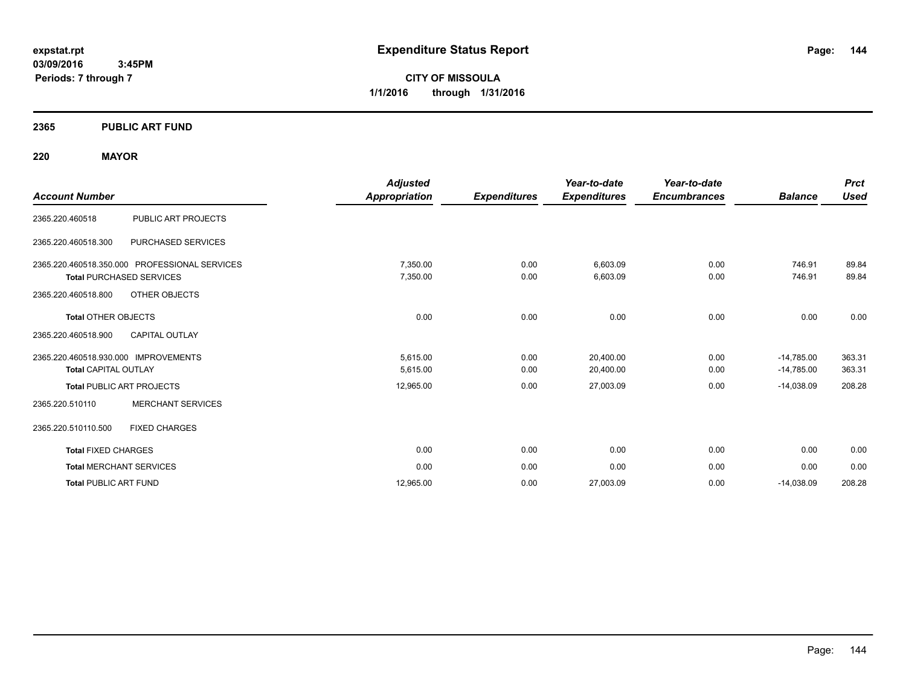**03/09/2016 3:45PM Periods: 7 through 7**

**CITY OF MISSOULA 1/1/2016 through 1/31/2016**

#### **2365 PUBLIC ART FUND**

#### **220 MAYOR**

| <b>Account Number</b>                                                                                                    | <b>Adjusted</b><br><b>Appropriation</b> | <b>Expenditures</b> | Year-to-date<br><b>Expenditures</b> | Year-to-date<br><b>Encumbrances</b> | <b>Balance</b>               | <b>Prct</b><br><b>Used</b> |
|--------------------------------------------------------------------------------------------------------------------------|-----------------------------------------|---------------------|-------------------------------------|-------------------------------------|------------------------------|----------------------------|
| PUBLIC ART PROJECTS<br>2365.220.460518                                                                                   |                                         |                     |                                     |                                     |                              |                            |
| 2365.220.460518.300<br>PURCHASED SERVICES                                                                                |                                         |                     |                                     |                                     |                              |                            |
| 2365.220.460518.350.000 PROFESSIONAL SERVICES<br><b>Total PURCHASED SERVICES</b><br>OTHER OBJECTS<br>2365.220.460518.800 | 7,350.00<br>7,350.00                    | 0.00<br>0.00        | 6,603.09<br>6,603.09                | 0.00<br>0.00                        | 746.91<br>746.91             | 89.84<br>89.84             |
| <b>Total OTHER OBJECTS</b><br>2365.220.460518.900<br><b>CAPITAL OUTLAY</b>                                               | 0.00                                    | 0.00                | 0.00                                | 0.00                                | 0.00                         | 0.00                       |
| 2365.220.460518.930.000 IMPROVEMENTS<br><b>Total CAPITAL OUTLAY</b>                                                      | 5,615.00<br>5,615.00                    | 0.00<br>0.00        | 20,400.00<br>20,400.00              | 0.00<br>0.00                        | $-14,785.00$<br>$-14,785.00$ | 363.31<br>363.31           |
| <b>Total PUBLIC ART PROJECTS</b>                                                                                         | 12,965.00                               | 0.00                | 27,003.09                           | 0.00                                | $-14.038.09$                 | 208.28                     |
| <b>MERCHANT SERVICES</b><br>2365.220.510110                                                                              |                                         |                     |                                     |                                     |                              |                            |
| <b>FIXED CHARGES</b><br>2365.220.510110.500                                                                              |                                         |                     |                                     |                                     |                              |                            |
| <b>Total FIXED CHARGES</b>                                                                                               | 0.00                                    | 0.00                | 0.00                                | 0.00                                | 0.00                         | 0.00                       |
| <b>Total MERCHANT SERVICES</b>                                                                                           | 0.00                                    | 0.00                | 0.00                                | 0.00                                | 0.00                         | 0.00                       |
| <b>Total PUBLIC ART FUND</b>                                                                                             | 12,965.00                               | 0.00                | 27,003.09                           | 0.00                                | $-14,038.09$                 | 208.28                     |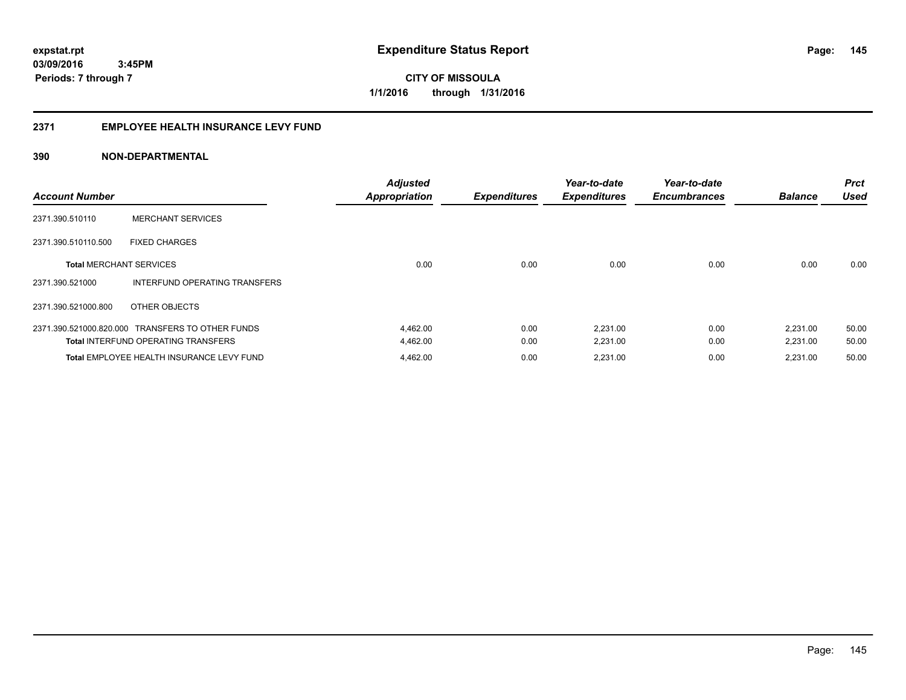#### **2371 EMPLOYEE HEALTH INSURANCE LEVY FUND**

| <b>Account Number</b>          |                                                  | <b>Adjusted</b><br><b>Appropriation</b> | <b>Expenditures</b> | Year-to-date<br><b>Expenditures</b> | Year-to-date<br><b>Encumbrances</b> | <b>Balance</b> | <b>Prct</b><br><b>Used</b> |
|--------------------------------|--------------------------------------------------|-----------------------------------------|---------------------|-------------------------------------|-------------------------------------|----------------|----------------------------|
| 2371.390.510110                | <b>MERCHANT SERVICES</b>                         |                                         |                     |                                     |                                     |                |                            |
| 2371.390.510110.500            | <b>FIXED CHARGES</b>                             |                                         |                     |                                     |                                     |                |                            |
| <b>Total MERCHANT SERVICES</b> |                                                  | 0.00                                    | 0.00                | 0.00                                | 0.00                                | 0.00           | 0.00                       |
| 2371.390.521000                | INTERFUND OPERATING TRANSFERS                    |                                         |                     |                                     |                                     |                |                            |
| 2371.390.521000.800            | OTHER OBJECTS                                    |                                         |                     |                                     |                                     |                |                            |
|                                | 2371.390.521000.820.000 TRANSFERS TO OTHER FUNDS | 4,462.00                                | 0.00                | 2,231.00                            | 0.00                                | 2,231.00       | 50.00                      |
|                                | <b>Total INTERFUND OPERATING TRANSFERS</b>       | 4,462.00                                | 0.00                | 2,231.00                            | 0.00                                | 2,231.00       | 50.00                      |
|                                | Total EMPLOYEE HEALTH INSURANCE LEVY FUND        | 4,462.00                                | 0.00                | 2,231.00                            | 0.00                                | 2,231.00       | 50.00                      |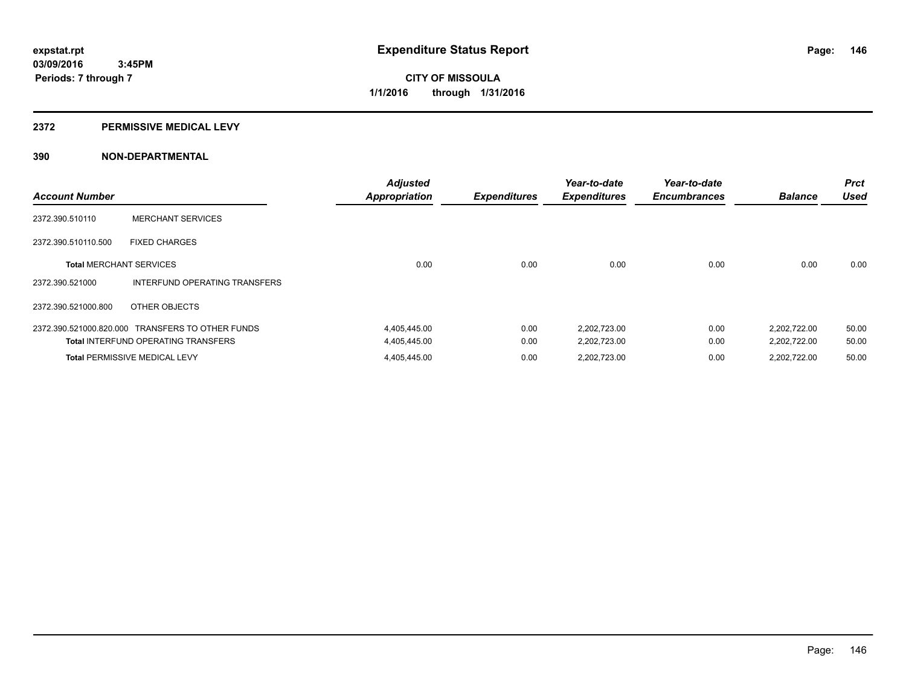#### **2372 PERMISSIVE MEDICAL LEVY**

| <b>Account Number</b>          |                                                  | <b>Adjusted</b><br><b>Appropriation</b> | <b>Expenditures</b> | Year-to-date<br><b>Expenditures</b> | Year-to-date<br><b>Encumbrances</b> | <b>Balance</b> | <b>Prct</b><br><b>Used</b> |
|--------------------------------|--------------------------------------------------|-----------------------------------------|---------------------|-------------------------------------|-------------------------------------|----------------|----------------------------|
| 2372.390.510110                | <b>MERCHANT SERVICES</b>                         |                                         |                     |                                     |                                     |                |                            |
| 2372.390.510110.500            | <b>FIXED CHARGES</b>                             |                                         |                     |                                     |                                     |                |                            |
| <b>Total MERCHANT SERVICES</b> |                                                  | 0.00                                    | 0.00                | 0.00                                | 0.00                                | 0.00           | 0.00                       |
| 2372.390.521000                | INTERFUND OPERATING TRANSFERS                    |                                         |                     |                                     |                                     |                |                            |
| 2372.390.521000.800            | OTHER OBJECTS                                    |                                         |                     |                                     |                                     |                |                            |
|                                | 2372.390.521000.820.000 TRANSFERS TO OTHER FUNDS | 4,405,445.00                            | 0.00                | 2,202,723.00                        | 0.00                                | 2,202,722.00   | 50.00                      |
|                                | <b>Total INTERFUND OPERATING TRANSFERS</b>       | 4,405,445.00                            | 0.00                | 2,202,723.00                        | 0.00                                | 2,202,722.00   | 50.00                      |
|                                | <b>Total PERMISSIVE MEDICAL LEVY</b>             | 4,405,445.00                            | 0.00                | 2,202,723.00                        | 0.00                                | 2.202.722.00   | 50.00                      |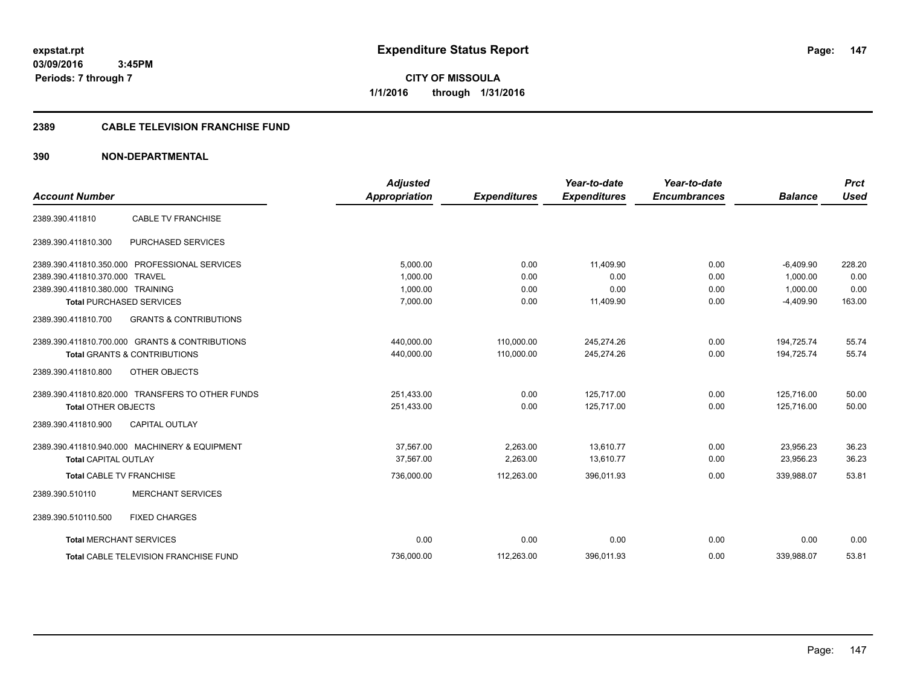**CITY OF MISSOULA 1/1/2016 through 1/31/2016**

#### **2389 CABLE TELEVISION FRANCHISE FUND**

| <b>Account Number</b>            |                                                  | <b>Adjusted</b><br>Appropriation | <b>Expenditures</b> | Year-to-date<br><b>Expenditures</b> | Year-to-date<br><b>Encumbrances</b> | <b>Balance</b> | <b>Prct</b><br><b>Used</b> |
|----------------------------------|--------------------------------------------------|----------------------------------|---------------------|-------------------------------------|-------------------------------------|----------------|----------------------------|
|                                  |                                                  |                                  |                     |                                     |                                     |                |                            |
| 2389.390.411810                  | <b>CABLE TV FRANCHISE</b>                        |                                  |                     |                                     |                                     |                |                            |
| 2389.390.411810.300              | PURCHASED SERVICES                               |                                  |                     |                                     |                                     |                |                            |
|                                  | 2389.390.411810.350.000 PROFESSIONAL SERVICES    | 5,000.00                         | 0.00                | 11.409.90                           | 0.00                                | $-6,409.90$    | 228.20                     |
| 2389.390.411810.370.000 TRAVEL   |                                                  | 1.000.00                         | 0.00                | 0.00                                | 0.00                                | 1,000.00       | 0.00                       |
| 2389.390.411810.380.000 TRAINING |                                                  | 1,000.00                         | 0.00                | 0.00                                | 0.00                                | 1,000.00       | 0.00                       |
|                                  | <b>Total PURCHASED SERVICES</b>                  | 7,000.00                         | 0.00                | 11,409.90                           | 0.00                                | $-4,409.90$    | 163.00                     |
| 2389.390.411810.700              | <b>GRANTS &amp; CONTRIBUTIONS</b>                |                                  |                     |                                     |                                     |                |                            |
|                                  | 2389.390.411810.700.000 GRANTS & CONTRIBUTIONS   | 440,000.00                       | 110,000.00          | 245,274.26                          | 0.00                                | 194,725.74     | 55.74                      |
|                                  | <b>Total GRANTS &amp; CONTRIBUTIONS</b>          | 440,000.00                       | 110,000.00          | 245,274.26                          | 0.00                                | 194,725.74     | 55.74                      |
| 2389.390.411810.800              | OTHER OBJECTS                                    |                                  |                     |                                     |                                     |                |                            |
|                                  | 2389.390.411810.820.000 TRANSFERS TO OTHER FUNDS | 251,433.00                       | 0.00                | 125,717.00                          | 0.00                                | 125,716.00     | 50.00                      |
| <b>Total OTHER OBJECTS</b>       |                                                  | 251,433.00                       | 0.00                | 125,717.00                          | 0.00                                | 125,716.00     | 50.00                      |
| 2389.390.411810.900              | <b>CAPITAL OUTLAY</b>                            |                                  |                     |                                     |                                     |                |                            |
|                                  | 2389.390.411810.940.000 MACHINERY & EQUIPMENT    | 37,567.00                        | 2,263.00            | 13,610.77                           | 0.00                                | 23,956.23      | 36.23                      |
| <b>Total CAPITAL OUTLAY</b>      |                                                  | 37.567.00                        | 2,263.00            | 13.610.77                           | 0.00                                | 23.956.23      | 36.23                      |
| <b>Total CABLE TV FRANCHISE</b>  |                                                  | 736,000.00                       | 112,263.00          | 396,011.93                          | 0.00                                | 339,988.07     | 53.81                      |
| 2389.390.510110                  | <b>MERCHANT SERVICES</b>                         |                                  |                     |                                     |                                     |                |                            |
| 2389.390.510110.500              | <b>FIXED CHARGES</b>                             |                                  |                     |                                     |                                     |                |                            |
| <b>Total MERCHANT SERVICES</b>   |                                                  | 0.00                             | 0.00                | 0.00                                | 0.00                                | 0.00           | 0.00                       |
|                                  | <b>Total CABLE TELEVISION FRANCHISE FUND</b>     | 736.000.00                       | 112,263.00          | 396,011.93                          | 0.00                                | 339.988.07     | 53.81                      |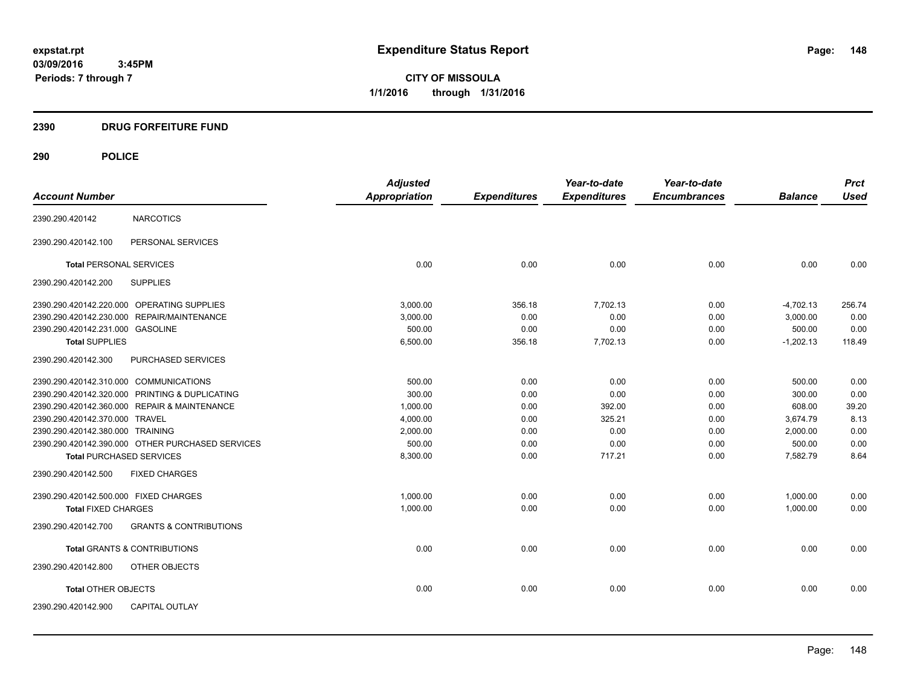**CITY OF MISSOULA 1/1/2016 through 1/31/2016**

### **2390 DRUG FORFEITURE FUND**

|                                                  |                                   | <b>Adjusted</b> |                     | Year-to-date        | Year-to-date        |                | <b>Prct</b> |
|--------------------------------------------------|-----------------------------------|-----------------|---------------------|---------------------|---------------------|----------------|-------------|
| <b>Account Number</b>                            |                                   | Appropriation   | <b>Expenditures</b> | <b>Expenditures</b> | <b>Encumbrances</b> | <b>Balance</b> | <b>Used</b> |
| <b>NARCOTICS</b><br>2390.290.420142              |                                   |                 |                     |                     |                     |                |             |
| 2390.290.420142.100                              | PERSONAL SERVICES                 |                 |                     |                     |                     |                |             |
| <b>Total PERSONAL SERVICES</b>                   |                                   | 0.00            | 0.00                | 0.00                | 0.00                | 0.00           | 0.00        |
| <b>SUPPLIES</b><br>2390.290.420142.200           |                                   |                 |                     |                     |                     |                |             |
| 2390.290.420142.220.000 OPERATING SUPPLIES       |                                   | 3,000.00        | 356.18              | 7,702.13            | 0.00                | $-4,702.13$    | 256.74      |
| 2390.290.420142.230.000 REPAIR/MAINTENANCE       |                                   | 3,000.00        | 0.00                | 0.00                | 0.00                | 3,000.00       | 0.00        |
| 2390.290.420142.231.000 GASOLINE                 |                                   | 500.00          | 0.00                | 0.00                | 0.00                | 500.00         | 0.00        |
| <b>Total SUPPLIES</b>                            |                                   | 6,500.00        | 356.18              | 7,702.13            | 0.00                | $-1,202.13$    | 118.49      |
| 2390.290.420142.300                              | PURCHASED SERVICES                |                 |                     |                     |                     |                |             |
| 2390.290.420142.310.000 COMMUNICATIONS           |                                   | 500.00          | 0.00                | 0.00                | 0.00                | 500.00         | 0.00        |
| 2390.290.420142.320.000 PRINTING & DUPLICATING   |                                   | 300.00          | 0.00                | 0.00                | 0.00                | 300.00         | 0.00        |
| 2390.290.420142.360.000 REPAIR & MAINTENANCE     |                                   | 1,000.00        | 0.00                | 392.00              | 0.00                | 608.00         | 39.20       |
| 2390.290.420142.370.000 TRAVEL                   |                                   | 4,000.00        | 0.00                | 325.21              | 0.00                | 3,674.79       | 8.13        |
| 2390.290.420142.380.000 TRAINING                 |                                   | 2,000.00        | 0.00                | 0.00                | 0.00                | 2,000.00       | 0.00        |
| 2390.290.420142.390.000 OTHER PURCHASED SERVICES |                                   | 500.00          | 0.00                | 0.00                | 0.00                | 500.00         | 0.00        |
| <b>Total PURCHASED SERVICES</b>                  |                                   | 8,300.00        | 0.00                | 717.21              | 0.00                | 7,582.79       | 8.64        |
| 2390.290.420142.500<br><b>FIXED CHARGES</b>      |                                   |                 |                     |                     |                     |                |             |
| 2390.290.420142.500.000 FIXED CHARGES            |                                   | 1,000.00        | 0.00                | 0.00                | 0.00                | 1,000.00       | 0.00        |
| <b>Total FIXED CHARGES</b>                       |                                   | 1,000.00        | 0.00                | 0.00                | 0.00                | 1,000.00       | 0.00        |
| 2390.290.420142.700                              | <b>GRANTS &amp; CONTRIBUTIONS</b> |                 |                     |                     |                     |                |             |
| <b>Total GRANTS &amp; CONTRIBUTIONS</b>          |                                   | 0.00            | 0.00                | 0.00                | 0.00                | 0.00           | 0.00        |
| 2390.290.420142.800<br>OTHER OBJECTS             |                                   |                 |                     |                     |                     |                |             |
| <b>Total OTHER OBJECTS</b>                       |                                   | 0.00            | 0.00                | 0.00                | 0.00                | 0.00           | 0.00        |
| <b>CAPITAL OUTLAY</b><br>2390.290.420142.900     |                                   |                 |                     |                     |                     |                |             |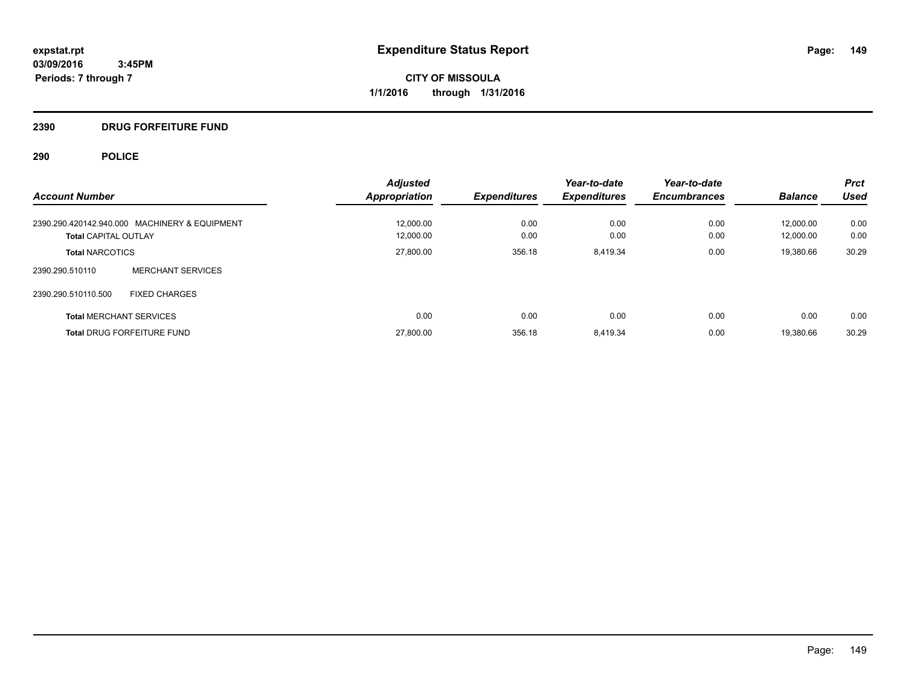**CITY OF MISSOULA 1/1/2016 through 1/31/2016**

### **2390 DRUG FORFEITURE FUND**

| <b>Account Number</b>                         | <b>Adjusted</b><br><b>Appropriation</b> | <b>Expenditures</b> | Year-to-date<br><b>Expenditures</b> | Year-to-date<br><b>Encumbrances</b> | <b>Balance</b> | <b>Prct</b><br><b>Used</b> |
|-----------------------------------------------|-----------------------------------------|---------------------|-------------------------------------|-------------------------------------|----------------|----------------------------|
| 2390.290.420142.940.000 MACHINERY & EQUIPMENT | 12.000.00                               | 0.00                | 0.00                                | 0.00                                | 12.000.00      | 0.00                       |
| <b>Total CAPITAL OUTLAY</b>                   | 12.000.00                               | 0.00                | 0.00                                | 0.00                                | 12.000.00      | 0.00                       |
| <b>Total NARCOTICS</b>                        | 27,800.00                               | 356.18              | 8,419.34                            | 0.00                                | 19,380.66      | 30.29                      |
| <b>MERCHANT SERVICES</b><br>2390.290.510110   |                                         |                     |                                     |                                     |                |                            |
| 2390.290.510110.500<br><b>FIXED CHARGES</b>   |                                         |                     |                                     |                                     |                |                            |
| <b>Total MERCHANT SERVICES</b>                | 0.00                                    | 0.00                | 0.00                                | 0.00                                | 0.00           | 0.00                       |
| <b>Total DRUG FORFEITURE FUND</b>             | 27,800.00                               | 356.18              | 8,419.34                            | 0.00                                | 19.380.66      | 30.29                      |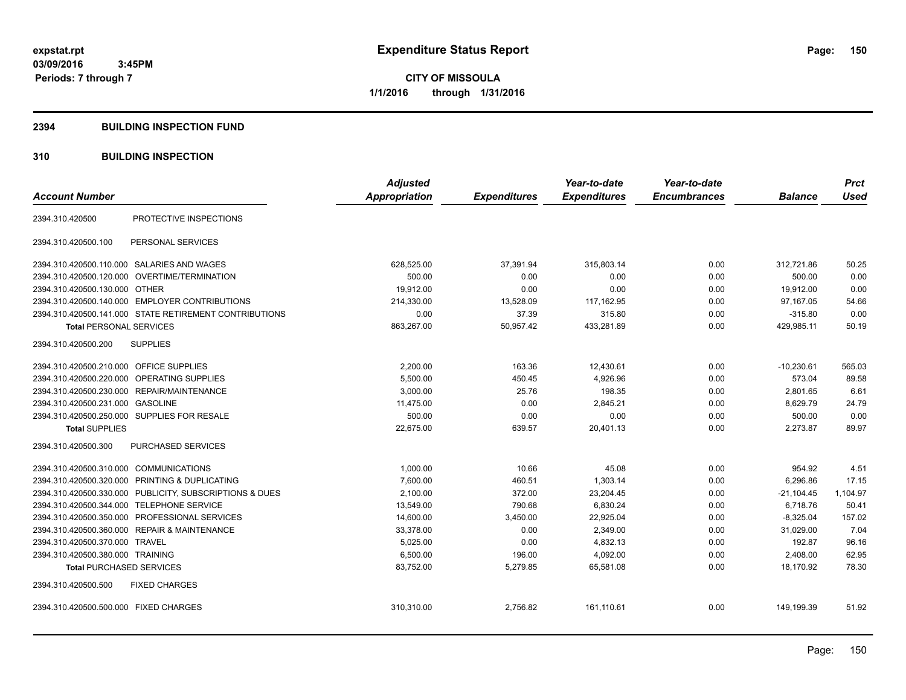**CITY OF MISSOULA 1/1/2016 through 1/31/2016**

#### **2394 BUILDING INSPECTION FUND**

### **310 BUILDING INSPECTION**

| <b>Account Number</b>                                      | <b>Adjusted</b><br><b>Appropriation</b> | <b>Expenditures</b> | Year-to-date<br><b>Expenditures</b> | Year-to-date<br><b>Encumbrances</b> | <b>Balance</b> | <b>Prct</b><br><b>Used</b> |
|------------------------------------------------------------|-----------------------------------------|---------------------|-------------------------------------|-------------------------------------|----------------|----------------------------|
|                                                            |                                         |                     |                                     |                                     |                |                            |
| PROTECTIVE INSPECTIONS<br>2394.310.420500                  |                                         |                     |                                     |                                     |                |                            |
| 2394.310.420500.100<br>PERSONAL SERVICES                   |                                         |                     |                                     |                                     |                |                            |
| 2394.310.420500.110.000 SALARIES AND WAGES                 | 628,525.00                              | 37,391.94           | 315,803.14                          | 0.00                                | 312,721.86     | 50.25                      |
| OVERTIME/TERMINATION<br>2394.310.420500.120.000            | 500.00                                  | 0.00                | 0.00                                | 0.00                                | 500.00         | 0.00                       |
| 2394.310.420500.130.000 OTHER                              | 19,912.00                               | 0.00                | 0.00                                | 0.00                                | 19,912.00      | 0.00                       |
| 2394.310.420500.140.000 EMPLOYER CONTRIBUTIONS             | 214,330.00                              | 13,528.09           | 117,162.95                          | 0.00                                | 97,167.05      | 54.66                      |
| 2394.310.420500.141.000 STATE RETIREMENT CONTRIBUTIONS     | 0.00                                    | 37.39               | 315.80                              | 0.00                                | $-315.80$      | 0.00                       |
| <b>Total PERSONAL SERVICES</b>                             | 863,267.00                              | 50.957.42           | 433.281.89                          | 0.00                                | 429,985.11     | 50.19                      |
| <b>SUPPLIES</b><br>2394.310.420500.200                     |                                         |                     |                                     |                                     |                |                            |
| <b>OFFICE SUPPLIES</b><br>2394.310.420500.210.000          | 2,200.00                                | 163.36              | 12,430.61                           | 0.00                                | $-10,230.61$   | 565.03                     |
| 2394.310.420500.220.000<br>OPERATING SUPPLIES              | 5,500.00                                | 450.45              | 4,926.96                            | 0.00                                | 573.04         | 89.58                      |
| 2394.310.420500.230.000 REPAIR/MAINTENANCE                 | 3,000.00                                | 25.76               | 198.35                              | 0.00                                | 2,801.65       | 6.61                       |
| 2394.310.420500.231.000 GASOLINE                           | 11,475.00                               | 0.00                | 2,845.21                            | 0.00                                | 8,629.79       | 24.79                      |
| 2394.310.420500.250.000 SUPPLIES FOR RESALE                | 500.00                                  | 0.00                | 0.00                                | 0.00                                | 500.00         | 0.00                       |
| <b>Total SUPPLIES</b>                                      | 22,675.00                               | 639.57              | 20,401.13                           | 0.00                                | 2,273.87       | 89.97                      |
| 2394.310.420500.300<br><b>PURCHASED SERVICES</b>           |                                         |                     |                                     |                                     |                |                            |
| 2394.310.420500.310.000 COMMUNICATIONS                     | 1,000.00                                | 10.66               | 45.08                               | 0.00                                | 954.92         | 4.51                       |
| PRINTING & DUPLICATING<br>2394.310.420500.320.000          | 7,600.00                                | 460.51              | 1,303.14                            | 0.00                                | 6,296.86       | 17.15                      |
| 2394.310.420500.330.000<br>PUBLICITY, SUBSCRIPTIONS & DUES | 2,100.00                                | 372.00              | 23,204.45                           | 0.00                                | $-21,104.45$   | 1,104.97                   |
| <b>TELEPHONE SERVICE</b><br>2394.310.420500.344.000        | 13,549.00                               | 790.68              | 6,830.24                            | 0.00                                | 6,718.76       | 50.41                      |
| PROFESSIONAL SERVICES<br>2394.310.420500.350.000           | 14,600.00                               | 3,450.00            | 22,925.04                           | 0.00                                | $-8,325.04$    | 157.02                     |
| <b>REPAIR &amp; MAINTENANCE</b><br>2394.310.420500.360.000 | 33,378.00                               | 0.00                | 2,349.00                            | 0.00                                | 31,029.00      | 7.04                       |
| 2394.310.420500.370.000<br><b>TRAVEL</b>                   | 5,025.00                                | 0.00                | 4,832.13                            | 0.00                                | 192.87         | 96.16                      |
| 2394.310.420500.380.000 TRAINING                           | 6,500.00                                | 196.00              | 4,092.00                            | 0.00                                | 2,408.00       | 62.95                      |
| <b>Total PURCHASED SERVICES</b>                            | 83,752.00                               | 5,279.85            | 65,581.08                           | 0.00                                | 18,170.92      | 78.30                      |
| 2394.310.420500.500<br><b>FIXED CHARGES</b>                |                                         |                     |                                     |                                     |                |                            |
| 2394.310.420500.500.000 FIXED CHARGES                      | 310,310.00                              | 2,756.82            | 161,110.61                          | 0.00                                | 149,199.39     | 51.92                      |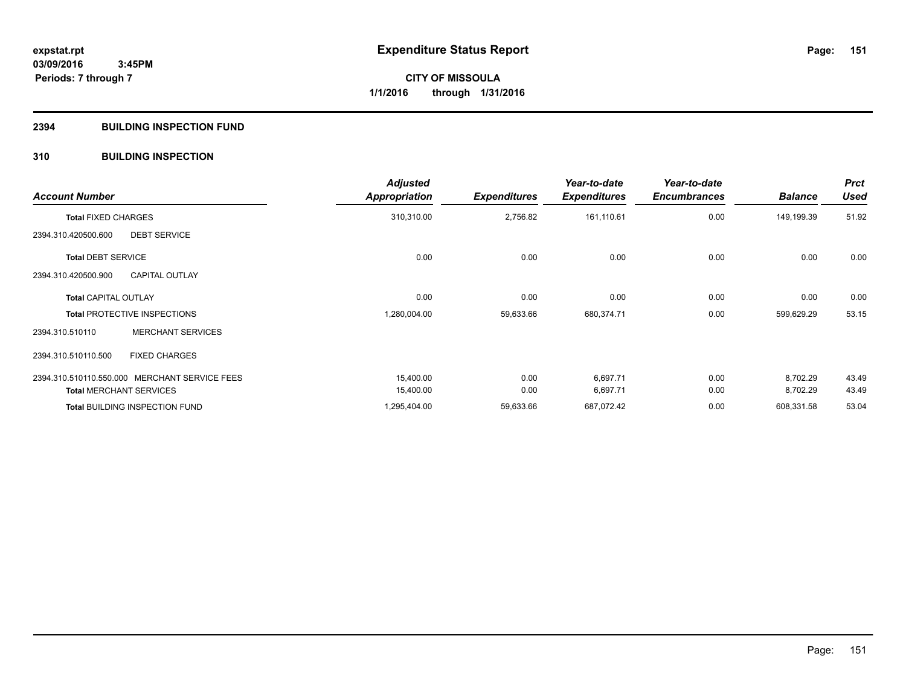#### **2394 BUILDING INSPECTION FUND**

### **310 BUILDING INSPECTION**

| <b>Account Number</b>          |                                               | <b>Adjusted</b><br><b>Appropriation</b> | <b>Expenditures</b> | Year-to-date<br><b>Expenditures</b> | Year-to-date<br><b>Encumbrances</b> | <b>Balance</b> | <b>Prct</b><br><b>Used</b> |
|--------------------------------|-----------------------------------------------|-----------------------------------------|---------------------|-------------------------------------|-------------------------------------|----------------|----------------------------|
| <b>Total FIXED CHARGES</b>     |                                               | 310,310.00                              | 2,756.82            | 161,110.61                          | 0.00                                | 149,199.39     | 51.92                      |
| 2394.310.420500.600            | <b>DEBT SERVICE</b>                           |                                         |                     |                                     |                                     |                |                            |
| <b>Total DEBT SERVICE</b>      |                                               | 0.00                                    | 0.00                | 0.00                                | 0.00                                | 0.00           | 0.00                       |
| 2394.310.420500.900            | <b>CAPITAL OUTLAY</b>                         |                                         |                     |                                     |                                     |                |                            |
| <b>Total CAPITAL OUTLAY</b>    |                                               | 0.00                                    | 0.00                | 0.00                                | 0.00                                | 0.00           | 0.00                       |
|                                | <b>Total PROTECTIVE INSPECTIONS</b>           | 1,280,004.00                            | 59,633.66           | 680,374.71                          | 0.00                                | 599,629.29     | 53.15                      |
| 2394.310.510110                | <b>MERCHANT SERVICES</b>                      |                                         |                     |                                     |                                     |                |                            |
| 2394.310.510110.500            | <b>FIXED CHARGES</b>                          |                                         |                     |                                     |                                     |                |                            |
|                                | 2394.310.510110.550.000 MERCHANT SERVICE FEES | 15,400.00                               | 0.00                | 6,697.71                            | 0.00                                | 8,702.29       | 43.49                      |
| <b>Total MERCHANT SERVICES</b> |                                               | 15,400.00                               | 0.00                | 6,697.71                            | 0.00                                | 8,702.29       | 43.49                      |
|                                | <b>Total BUILDING INSPECTION FUND</b>         | 1,295,404.00                            | 59,633.66           | 687,072.42                          | 0.00                                | 608,331.58     | 53.04                      |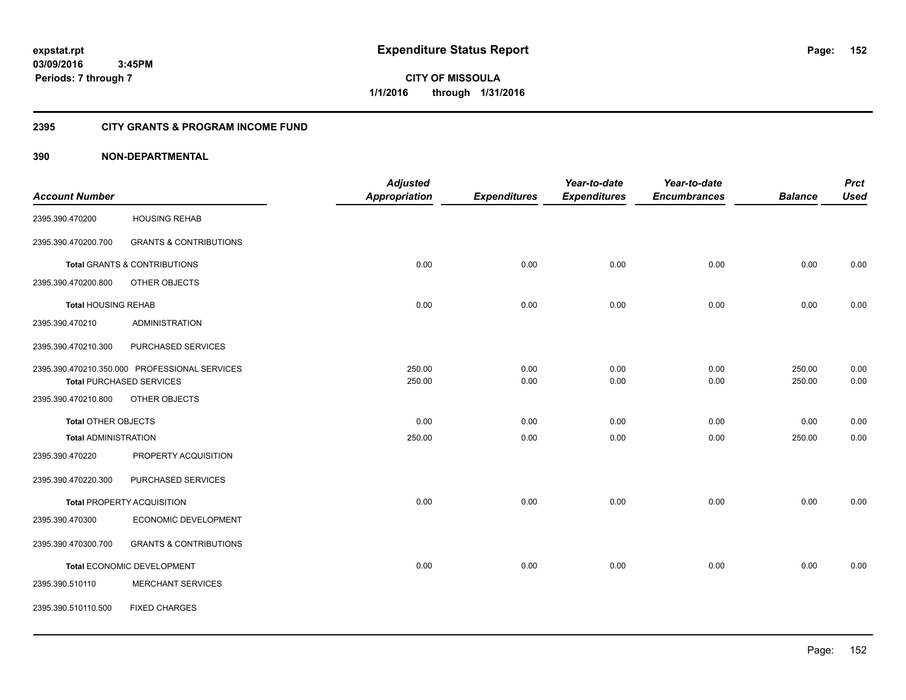**CITY OF MISSOULA 1/1/2016 through 1/31/2016**

#### **2395 CITY GRANTS & PROGRAM INCOME FUND**

|                             |                                               | <b>Adjusted</b>      |                     | Year-to-date        | Year-to-date        |                | <b>Prct</b> |
|-----------------------------|-----------------------------------------------|----------------------|---------------------|---------------------|---------------------|----------------|-------------|
| <b>Account Number</b>       |                                               | <b>Appropriation</b> | <b>Expenditures</b> | <b>Expenditures</b> | <b>Encumbrances</b> | <b>Balance</b> | <b>Used</b> |
| 2395.390.470200             | <b>HOUSING REHAB</b>                          |                      |                     |                     |                     |                |             |
| 2395.390.470200.700         | <b>GRANTS &amp; CONTRIBUTIONS</b>             |                      |                     |                     |                     |                |             |
|                             | <b>Total GRANTS &amp; CONTRIBUTIONS</b>       | 0.00                 | 0.00                | 0.00                | 0.00                | 0.00           | 0.00        |
| 2395.390.470200.800         | OTHER OBJECTS                                 |                      |                     |                     |                     |                |             |
| <b>Total HOUSING REHAB</b>  |                                               | 0.00                 | 0.00                | 0.00                | 0.00                | 0.00           | 0.00        |
| 2395.390.470210             | <b>ADMINISTRATION</b>                         |                      |                     |                     |                     |                |             |
| 2395.390.470210.300         | PURCHASED SERVICES                            |                      |                     |                     |                     |                |             |
|                             | 2395.390.470210.350.000 PROFESSIONAL SERVICES | 250.00               | 0.00                | 0.00                | 0.00                | 250.00         | 0.00        |
|                             | <b>Total PURCHASED SERVICES</b>               | 250.00               | 0.00                | 0.00                | 0.00                | 250.00         | 0.00        |
| 2395.390.470210.800         | OTHER OBJECTS                                 |                      |                     |                     |                     |                |             |
| <b>Total OTHER OBJECTS</b>  |                                               | 0.00                 | 0.00                | 0.00                | 0.00                | 0.00           | 0.00        |
| <b>Total ADMINISTRATION</b> |                                               | 250.00               | 0.00                | 0.00                | 0.00                | 250.00         | 0.00        |
| 2395.390.470220             | PROPERTY ACQUISITION                          |                      |                     |                     |                     |                |             |
| 2395.390.470220.300         | PURCHASED SERVICES                            |                      |                     |                     |                     |                |             |
|                             | <b>Total PROPERTY ACQUISITION</b>             | 0.00                 | 0.00                | 0.00                | 0.00                | 0.00           | 0.00        |
| 2395.390.470300             | ECONOMIC DEVELOPMENT                          |                      |                     |                     |                     |                |             |
| 2395.390.470300.700         | <b>GRANTS &amp; CONTRIBUTIONS</b>             |                      |                     |                     |                     |                |             |
|                             | Total ECONOMIC DEVELOPMENT                    | 0.00                 | 0.00                | 0.00                | 0.00                | 0.00           | 0.00        |
| 2395.390.510110             | <b>MERCHANT SERVICES</b>                      |                      |                     |                     |                     |                |             |
| 2395.390.510110.500         | <b>FIXED CHARGES</b>                          |                      |                     |                     |                     |                |             |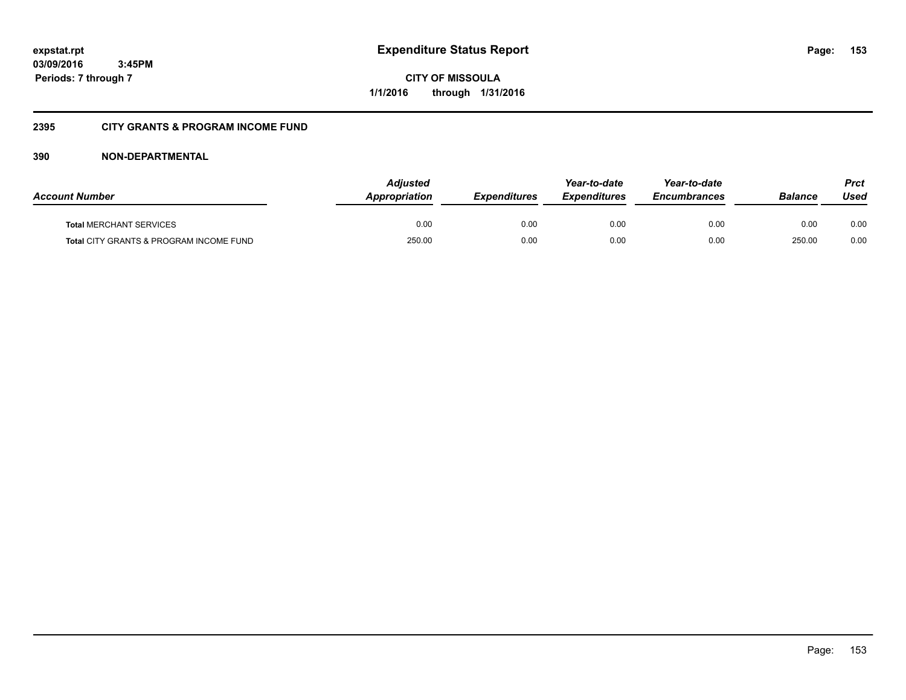**CITY OF MISSOULA 1/1/2016 through 1/31/2016**

### **2395 CITY GRANTS & PROGRAM INCOME FUND**

| <b>Account Number</b>                   | <b>Adjusted</b><br>Appropriation | <b>Expenditures</b> | Year-to-date<br><b>Expenditures</b> | Year-to-date<br><i><b>Encumbrances</b></i> | <b>Balance</b> | Prct<br>Used |
|-----------------------------------------|----------------------------------|---------------------|-------------------------------------|--------------------------------------------|----------------|--------------|
| <b>Total MERCHANT SERVICES</b>          | 0.00                             | 0.00                | 0.00                                | 0.00                                       | 0.00           | 0.00         |
| Total CITY GRANTS & PROGRAM INCOME FUND | 250.00                           | 0.00                | 0.00                                | 0.00                                       | 250.00         | 0.00         |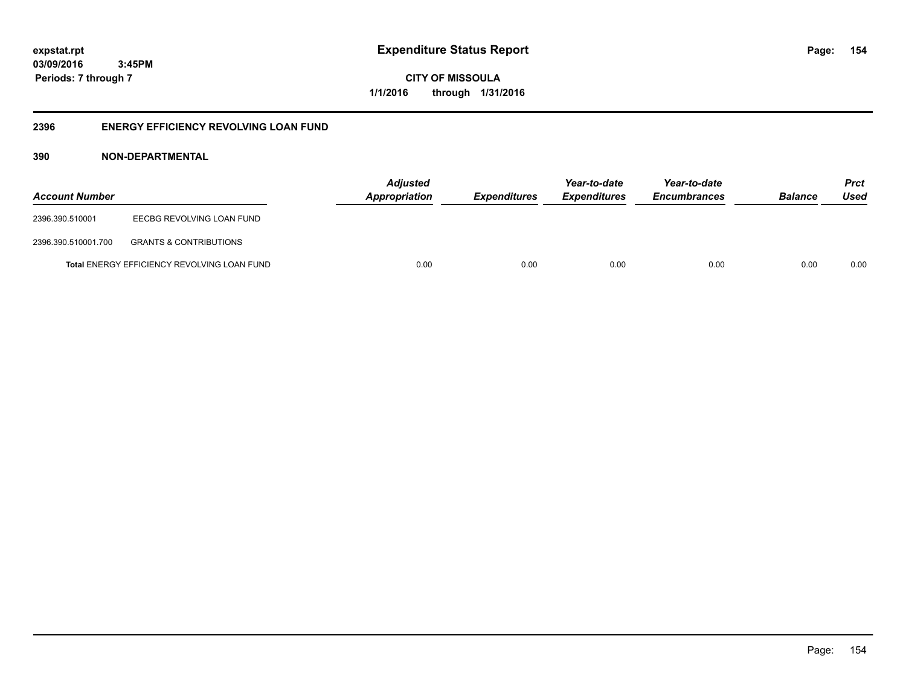**CITY OF MISSOULA 1/1/2016 through 1/31/2016**

### **2396 ENERGY EFFICIENCY REVOLVING LOAN FUND**

| <b>Account Number</b> |                                                    | <b>Adjusted</b><br>Appropriation | <i><b>Expenditures</b></i> | Year-to-date<br><i><b>Expenditures</b></i> | Year-to-date<br><b>Encumbrances</b> | <b>Balance</b> | <b>Prct</b><br>Used |
|-----------------------|----------------------------------------------------|----------------------------------|----------------------------|--------------------------------------------|-------------------------------------|----------------|---------------------|
| 2396.390.510001       | EECBG REVOLVING LOAN FUND                          |                                  |                            |                                            |                                     |                |                     |
| 2396.390.510001.700   | <b>GRANTS &amp; CONTRIBUTIONS</b>                  |                                  |                            |                                            |                                     |                |                     |
|                       | <b>Total ENERGY EFFICIENCY REVOLVING LOAN FUND</b> | 0.00                             | 0.00                       | 0.00                                       | 0.00                                | 0.00           | 0.00                |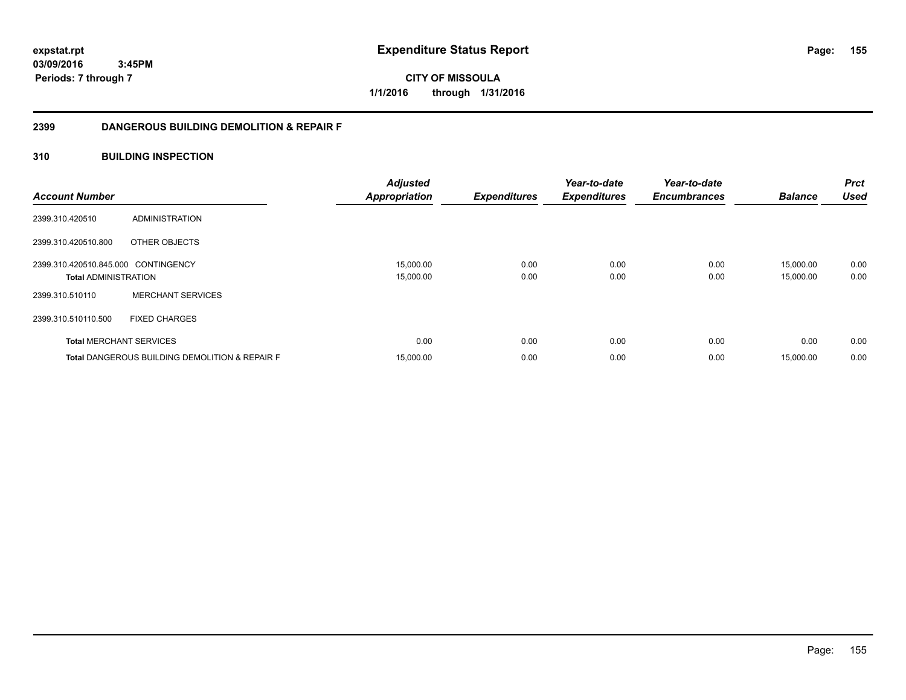**CITY OF MISSOULA 1/1/2016 through 1/31/2016**

### **2399 DANGEROUS BUILDING DEMOLITION & REPAIR F**

### **310 BUILDING INSPECTION**

| <b>Account Number</b>                                              |                                                           | <b>Adjusted</b><br><b>Appropriation</b> | <b>Expenditures</b> | Year-to-date<br><b>Expenditures</b> | Year-to-date<br><b>Encumbrances</b> | <b>Balance</b>         | <b>Prct</b><br><b>Used</b> |
|--------------------------------------------------------------------|-----------------------------------------------------------|-----------------------------------------|---------------------|-------------------------------------|-------------------------------------|------------------------|----------------------------|
| 2399.310.420510                                                    | ADMINISTRATION                                            |                                         |                     |                                     |                                     |                        |                            |
| 2399.310.420510.800                                                | OTHER OBJECTS                                             |                                         |                     |                                     |                                     |                        |                            |
| 2399.310.420510.845.000 CONTINGENCY<br><b>Total ADMINISTRATION</b> |                                                           | 15,000.00<br>15,000.00                  | 0.00<br>0.00        | 0.00<br>0.00                        | 0.00<br>0.00                        | 15,000.00<br>15,000.00 | 0.00<br>0.00               |
| 2399.310.510110                                                    | <b>MERCHANT SERVICES</b>                                  |                                         |                     |                                     |                                     |                        |                            |
| 2399.310.510110.500                                                | <b>FIXED CHARGES</b>                                      |                                         |                     |                                     |                                     |                        |                            |
| <b>Total MERCHANT SERVICES</b>                                     |                                                           | 0.00                                    | 0.00                | 0.00                                | 0.00                                | 0.00                   | 0.00                       |
|                                                                    | <b>Total DANGEROUS BUILDING DEMOLITION &amp; REPAIR F</b> | 15,000.00                               | 0.00                | 0.00                                | 0.00                                | 15,000.00              | 0.00                       |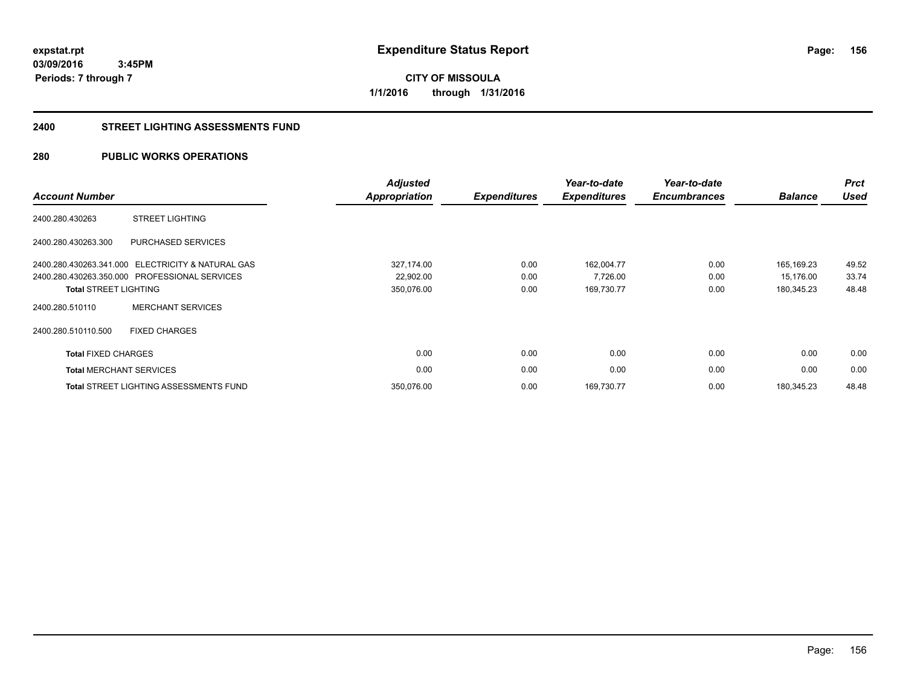**CITY OF MISSOULA 1/1/2016 through 1/31/2016**

#### **2400 STREET LIGHTING ASSESSMENTS FUND**

### **280 PUBLIC WORKS OPERATIONS**

| <b>Account Number</b>          |                                                   | <b>Adjusted</b><br>Appropriation | <b>Expenditures</b> | Year-to-date<br><b>Expenditures</b> | Year-to-date<br><b>Encumbrances</b> | <b>Balance</b> | <b>Prct</b><br><b>Used</b> |
|--------------------------------|---------------------------------------------------|----------------------------------|---------------------|-------------------------------------|-------------------------------------|----------------|----------------------------|
| 2400.280.430263                | <b>STREET LIGHTING</b>                            |                                  |                     |                                     |                                     |                |                            |
| 2400.280.430263.300            | PURCHASED SERVICES                                |                                  |                     |                                     |                                     |                |                            |
|                                | 2400.280.430263.341.000 ELECTRICITY & NATURAL GAS | 327,174.00                       | 0.00                | 162,004.77                          | 0.00                                | 165.169.23     | 49.52                      |
|                                | 2400.280.430263.350.000 PROFESSIONAL SERVICES     | 22,902.00                        | 0.00                | 7,726.00                            | 0.00                                | 15,176.00      | 33.74                      |
| <b>Total STREET LIGHTING</b>   |                                                   | 350,076.00                       | 0.00                | 169,730.77                          | 0.00                                | 180,345.23     | 48.48                      |
| 2400.280.510110                | <b>MERCHANT SERVICES</b>                          |                                  |                     |                                     |                                     |                |                            |
| 2400.280.510110.500            | <b>FIXED CHARGES</b>                              |                                  |                     |                                     |                                     |                |                            |
| <b>Total FIXED CHARGES</b>     |                                                   | 0.00                             | 0.00                | 0.00                                | 0.00                                | 0.00           | 0.00                       |
| <b>Total MERCHANT SERVICES</b> |                                                   | 0.00                             | 0.00                | 0.00                                | 0.00                                | 0.00           | 0.00                       |
|                                | <b>Total STREET LIGHTING ASSESSMENTS FUND</b>     | 350,076.00                       | 0.00                | 169,730.77                          | 0.00                                | 180.345.23     | 48.48                      |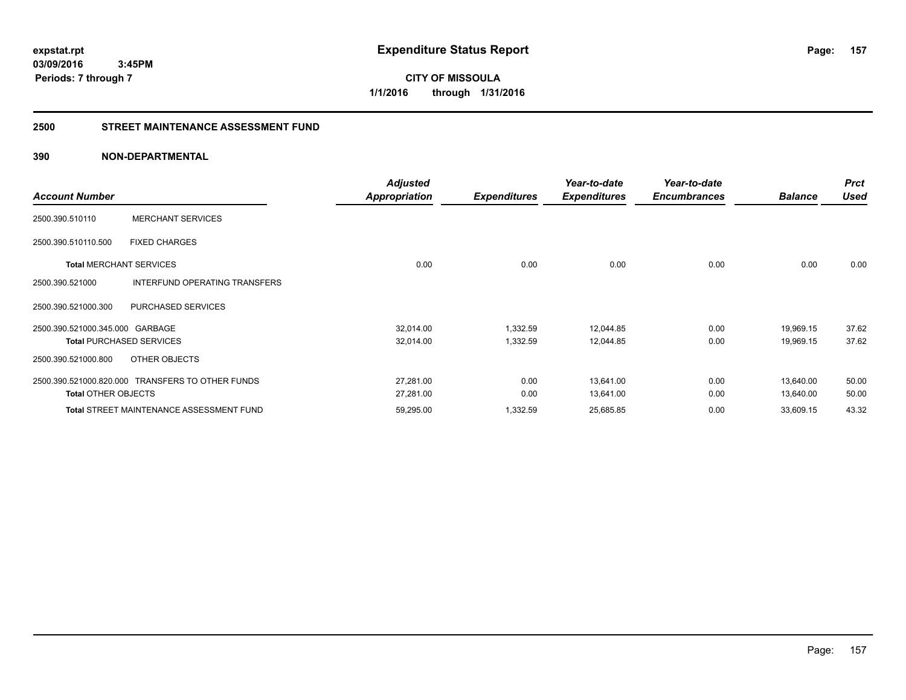**CITY OF MISSOULA 1/1/2016 through 1/31/2016**

#### **2500 STREET MAINTENANCE ASSESSMENT FUND**

| <b>Account Number</b>           |                                                  | <b>Adjusted</b><br>Appropriation | <b>Expenditures</b> | Year-to-date<br><b>Expenditures</b> | Year-to-date<br><b>Encumbrances</b> | <b>Balance</b> | <b>Prct</b><br><b>Used</b> |
|---------------------------------|--------------------------------------------------|----------------------------------|---------------------|-------------------------------------|-------------------------------------|----------------|----------------------------|
| 2500.390.510110                 | <b>MERCHANT SERVICES</b>                         |                                  |                     |                                     |                                     |                |                            |
| 2500.390.510110.500             | <b>FIXED CHARGES</b>                             |                                  |                     |                                     |                                     |                |                            |
| <b>Total MERCHANT SERVICES</b>  |                                                  | 0.00                             | 0.00                | 0.00                                | 0.00                                | 0.00           | 0.00                       |
| 2500.390.521000                 | INTERFUND OPERATING TRANSFERS                    |                                  |                     |                                     |                                     |                |                            |
| 2500.390.521000.300             | PURCHASED SERVICES                               |                                  |                     |                                     |                                     |                |                            |
| 2500.390.521000.345.000 GARBAGE |                                                  | 32,014.00                        | 1,332.59            | 12,044.85                           | 0.00                                | 19,969.15      | 37.62                      |
|                                 | <b>Total PURCHASED SERVICES</b>                  | 32,014.00                        | 1,332.59            | 12,044.85                           | 0.00                                | 19,969.15      | 37.62                      |
| 2500.390.521000.800             | OTHER OBJECTS                                    |                                  |                     |                                     |                                     |                |                            |
|                                 | 2500.390.521000.820.000 TRANSFERS TO OTHER FUNDS | 27,281.00                        | 0.00                | 13,641.00                           | 0.00                                | 13,640.00      | 50.00                      |
| <b>Total OTHER OBJECTS</b>      |                                                  | 27,281.00                        | 0.00                | 13,641.00                           | 0.00                                | 13,640.00      | 50.00                      |
|                                 | <b>Total STREET MAINTENANCE ASSESSMENT FUND</b>  | 59,295.00                        | 1,332.59            | 25,685.85                           | 0.00                                | 33,609.15      | 43.32                      |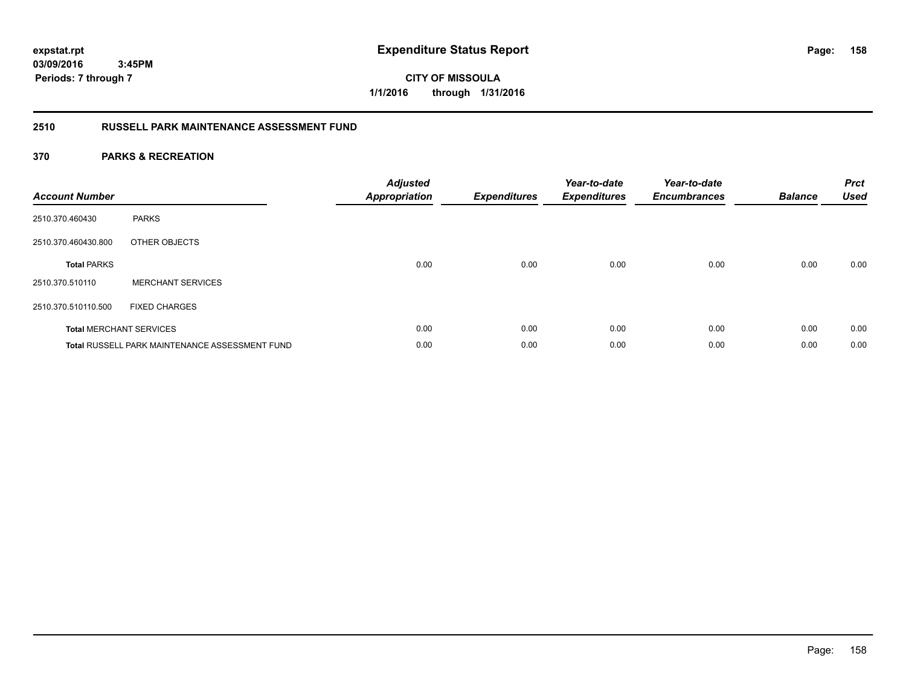**CITY OF MISSOULA 1/1/2016 through 1/31/2016**

### **2510 RUSSELL PARK MAINTENANCE ASSESSMENT FUND**

| <b>Account Number</b> |                                                       | <b>Adjusted</b><br>Appropriation | <b>Expenditures</b> | Year-to-date<br><b>Expenditures</b> | Year-to-date<br><b>Encumbrances</b> | <b>Balance</b> | <b>Prct</b><br><b>Used</b> |
|-----------------------|-------------------------------------------------------|----------------------------------|---------------------|-------------------------------------|-------------------------------------|----------------|----------------------------|
| 2510.370.460430       | <b>PARKS</b>                                          |                                  |                     |                                     |                                     |                |                            |
| 2510.370.460430.800   | OTHER OBJECTS                                         |                                  |                     |                                     |                                     |                |                            |
| <b>Total PARKS</b>    |                                                       | 0.00                             | 0.00                | 0.00                                | 0.00                                | 0.00           | 0.00                       |
| 2510.370.510110       | <b>MERCHANT SERVICES</b>                              |                                  |                     |                                     |                                     |                |                            |
| 2510.370.510110.500   | <b>FIXED CHARGES</b>                                  |                                  |                     |                                     |                                     |                |                            |
|                       | <b>Total MERCHANT SERVICES</b>                        | 0.00                             | 0.00                | 0.00                                | 0.00                                | 0.00           | 0.00                       |
|                       | <b>Total RUSSELL PARK MAINTENANCE ASSESSMENT FUND</b> | 0.00                             | 0.00                | 0.00                                | 0.00                                | 0.00           | 0.00                       |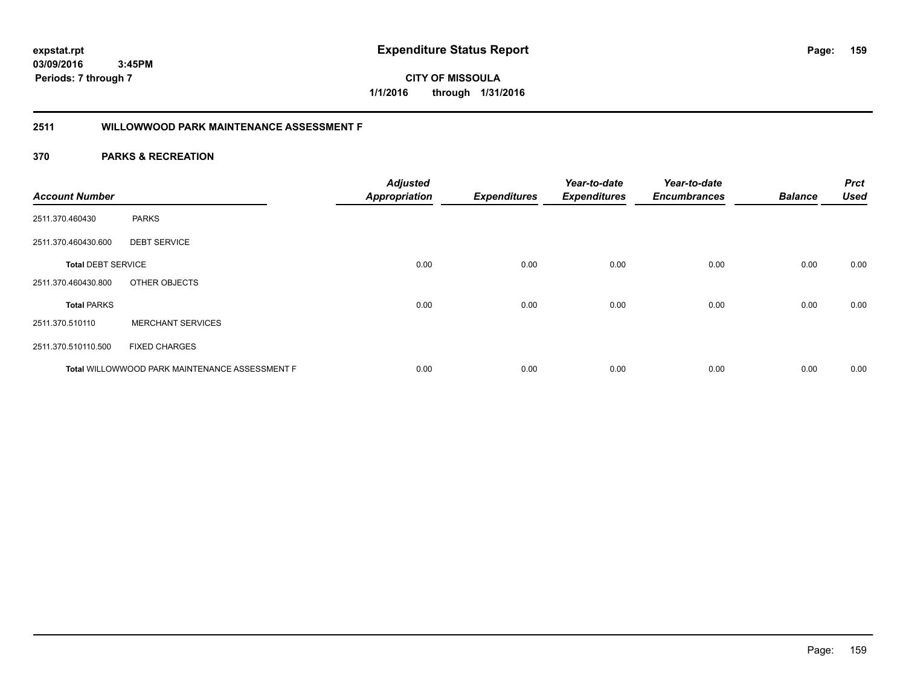**159**

**03/09/2016 3:45PM Periods: 7 through 7**

**CITY OF MISSOULA 1/1/2016 through 1/31/2016**

### **2511 WILLOWWOOD PARK MAINTENANCE ASSESSMENT F**

| <b>Account Number</b>     |                                                | <b>Adjusted</b><br><b>Appropriation</b> | <b>Expenditures</b> | Year-to-date<br><b>Expenditures</b> | Year-to-date<br><b>Encumbrances</b> | <b>Balance</b> | <b>Prct</b><br><b>Used</b> |
|---------------------------|------------------------------------------------|-----------------------------------------|---------------------|-------------------------------------|-------------------------------------|----------------|----------------------------|
| 2511.370.460430           | <b>PARKS</b>                                   |                                         |                     |                                     |                                     |                |                            |
| 2511.370.460430.600       | <b>DEBT SERVICE</b>                            |                                         |                     |                                     |                                     |                |                            |
| <b>Total DEBT SERVICE</b> |                                                | 0.00                                    | 0.00                | 0.00                                | 0.00                                | 0.00           | 0.00                       |
| 2511.370.460430.800       | OTHER OBJECTS                                  |                                         |                     |                                     |                                     |                |                            |
| <b>Total PARKS</b>        |                                                | 0.00                                    | 0.00                | 0.00                                | 0.00                                | 0.00           | 0.00                       |
| 2511.370.510110           | <b>MERCHANT SERVICES</b>                       |                                         |                     |                                     |                                     |                |                            |
| 2511.370.510110.500       | <b>FIXED CHARGES</b>                           |                                         |                     |                                     |                                     |                |                            |
|                           | Total WILLOWWOOD PARK MAINTENANCE ASSESSMENT F | 0.00                                    | 0.00                | 0.00                                | 0.00                                | 0.00           | 0.00                       |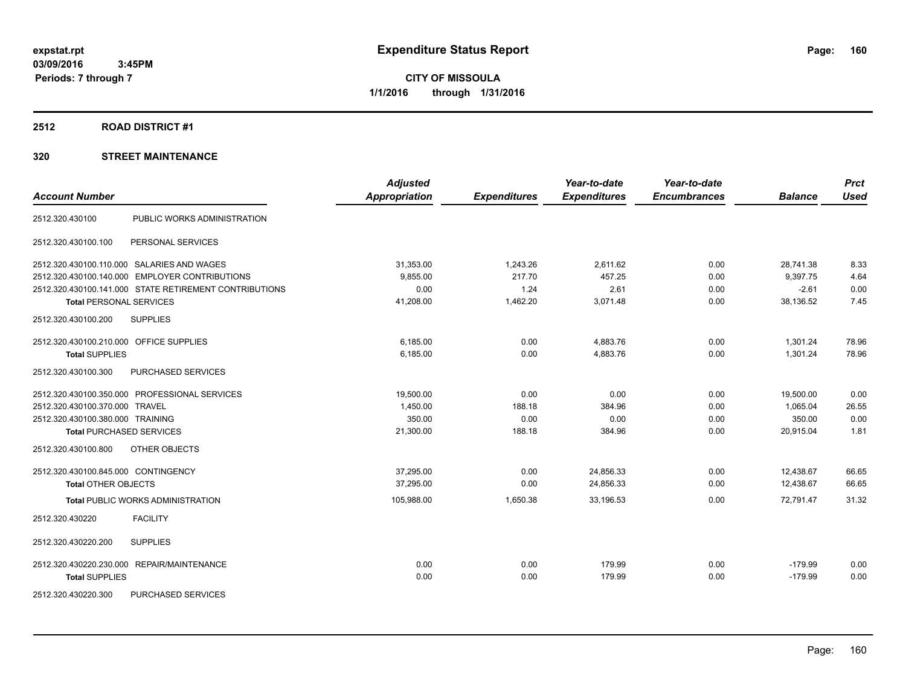#### **2512 ROAD DISTRICT #1**

| <b>Account Number</b>                   |                                                        | <b>Adjusted</b><br><b>Appropriation</b> | <b>Expenditures</b> | Year-to-date<br><b>Expenditures</b> | Year-to-date<br><b>Encumbrances</b> | <b>Balance</b> | <b>Prct</b><br><b>Used</b> |
|-----------------------------------------|--------------------------------------------------------|-----------------------------------------|---------------------|-------------------------------------|-------------------------------------|----------------|----------------------------|
|                                         |                                                        |                                         |                     |                                     |                                     |                |                            |
| 2512.320.430100                         | PUBLIC WORKS ADMINISTRATION                            |                                         |                     |                                     |                                     |                |                            |
| 2512.320.430100.100                     | PERSONAL SERVICES                                      |                                         |                     |                                     |                                     |                |                            |
|                                         | 2512.320.430100.110.000 SALARIES AND WAGES             | 31,353.00                               | 1,243.26            | 2,611.62                            | 0.00                                | 28,741.38      | 8.33                       |
|                                         | 2512.320.430100.140.000 EMPLOYER CONTRIBUTIONS         | 9,855.00                                | 217.70              | 457.25                              | 0.00                                | 9.397.75       | 4.64                       |
|                                         | 2512.320.430100.141.000 STATE RETIREMENT CONTRIBUTIONS | 0.00                                    | 1.24                | 2.61                                | 0.00                                | $-2.61$        | 0.00                       |
| <b>Total PERSONAL SERVICES</b>          |                                                        | 41,208.00                               | 1,462.20            | 3,071.48                            | 0.00                                | 38,136.52      | 7.45                       |
| 2512.320.430100.200                     | <b>SUPPLIES</b>                                        |                                         |                     |                                     |                                     |                |                            |
| 2512.320.430100.210.000 OFFICE SUPPLIES |                                                        | 6,185.00                                | 0.00                | 4,883.76                            | 0.00                                | 1,301.24       | 78.96                      |
| <b>Total SUPPLIES</b>                   |                                                        | 6,185.00                                | 0.00                | 4,883.76                            | 0.00                                | 1,301.24       | 78.96                      |
| 2512.320.430100.300                     | <b>PURCHASED SERVICES</b>                              |                                         |                     |                                     |                                     |                |                            |
|                                         | 2512.320.430100.350.000 PROFESSIONAL SERVICES          | 19,500.00                               | 0.00                | 0.00                                | 0.00                                | 19,500.00      | 0.00                       |
| 2512.320.430100.370.000 TRAVEL          |                                                        | 1,450.00                                | 188.18              | 384.96                              | 0.00                                | 1,065.04       | 26.55                      |
| 2512.320.430100.380.000 TRAINING        |                                                        | 350.00                                  | 0.00                | 0.00                                | 0.00                                | 350.00         | 0.00                       |
| <b>Total PURCHASED SERVICES</b>         |                                                        | 21,300.00                               | 188.18              | 384.96                              | 0.00                                | 20,915.04      | 1.81                       |
| 2512.320.430100.800                     | OTHER OBJECTS                                          |                                         |                     |                                     |                                     |                |                            |
| 2512.320.430100.845.000 CONTINGENCY     |                                                        | 37,295.00                               | 0.00                | 24,856.33                           | 0.00                                | 12,438.67      | 66.65                      |
| <b>Total OTHER OBJECTS</b>              |                                                        | 37.295.00                               | 0.00                | 24,856.33                           | 0.00                                | 12.438.67      | 66.65                      |
|                                         | <b>Total PUBLIC WORKS ADMINISTRATION</b>               | 105,988.00                              | 1,650.38            | 33,196.53                           | 0.00                                | 72,791.47      | 31.32                      |
| 2512.320.430220                         | <b>FACILITY</b>                                        |                                         |                     |                                     |                                     |                |                            |
| 2512.320.430220.200                     | <b>SUPPLIES</b>                                        |                                         |                     |                                     |                                     |                |                            |
|                                         | 2512.320.430220.230.000 REPAIR/MAINTENANCE             | 0.00                                    | 0.00                | 179.99                              | 0.00                                | $-179.99$      | 0.00                       |
| <b>Total SUPPLIES</b>                   |                                                        | 0.00                                    | 0.00                | 179.99                              | 0.00                                | $-179.99$      | 0.00                       |
| 2512.320.430220.300                     | <b>PURCHASED SERVICES</b>                              |                                         |                     |                                     |                                     |                |                            |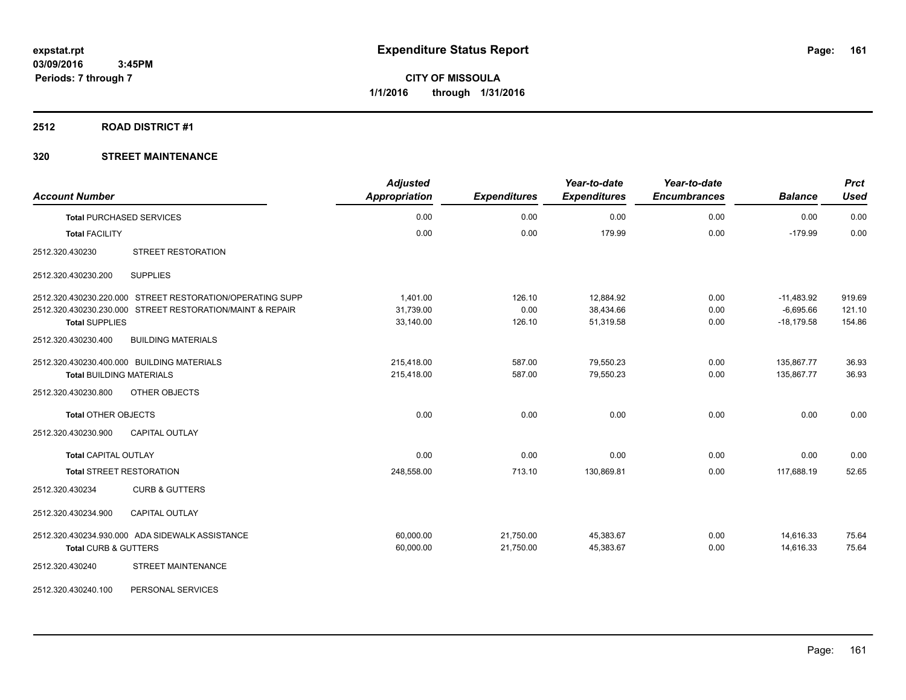### **2512 ROAD DISTRICT #1**

| <b>Account Number</b>                                     | <b>Adjusted</b><br><b>Appropriation</b> | <b>Expenditures</b> | Year-to-date<br><b>Expenditures</b> | Year-to-date<br><b>Encumbrances</b> | <b>Balance</b> | <b>Prct</b><br><b>Used</b> |
|-----------------------------------------------------------|-----------------------------------------|---------------------|-------------------------------------|-------------------------------------|----------------|----------------------------|
| <b>Total PURCHASED SERVICES</b>                           | 0.00                                    | 0.00                | 0.00                                | 0.00                                | 0.00           | 0.00                       |
| <b>Total FACILITY</b>                                     | 0.00                                    | 0.00                | 179.99                              | 0.00                                | $-179.99$      | 0.00                       |
| STREET RESTORATION<br>2512.320.430230                     |                                         |                     |                                     |                                     |                |                            |
| <b>SUPPLIES</b><br>2512.320.430230.200                    |                                         |                     |                                     |                                     |                |                            |
| 2512.320.430230.220.000 STREET RESTORATION/OPERATING SUPP | 1,401.00                                | 126.10              | 12,884.92                           | 0.00                                | $-11,483.92$   | 919.69                     |
| 2512.320.430230.230.000 STREET RESTORATION/MAINT & REPAIR | 31,739.00                               | 0.00                | 38,434.66                           | 0.00                                | $-6,695.66$    | 121.10                     |
| <b>Total SUPPLIES</b>                                     | 33,140.00                               | 126.10              | 51,319.58                           | 0.00                                | $-18,179.58$   | 154.86                     |
| 2512.320.430230.400<br><b>BUILDING MATERIALS</b>          |                                         |                     |                                     |                                     |                |                            |
| 2512.320.430230.400.000 BUILDING MATERIALS                | 215,418.00                              | 587.00              | 79,550.23                           | 0.00                                | 135,867.77     | 36.93                      |
| <b>Total BUILDING MATERIALS</b>                           | 215,418.00                              | 587.00              | 79,550.23                           | 0.00                                | 135,867.77     | 36.93                      |
| 2512.320.430230.800<br>OTHER OBJECTS                      |                                         |                     |                                     |                                     |                |                            |
| <b>Total OTHER OBJECTS</b>                                | 0.00                                    | 0.00                | 0.00                                | 0.00                                | 0.00           | 0.00                       |
| 2512.320.430230.900<br><b>CAPITAL OUTLAY</b>              |                                         |                     |                                     |                                     |                |                            |
| <b>Total CAPITAL OUTLAY</b>                               | 0.00                                    | 0.00                | 0.00                                | 0.00                                | 0.00           | 0.00                       |
| <b>Total STREET RESTORATION</b>                           | 248,558.00                              | 713.10              | 130,869.81                          | 0.00                                | 117,688.19     | 52.65                      |
| 2512.320.430234<br><b>CURB &amp; GUTTERS</b>              |                                         |                     |                                     |                                     |                |                            |
| 2512.320.430234.900<br><b>CAPITAL OUTLAY</b>              |                                         |                     |                                     |                                     |                |                            |
| 2512.320.430234.930.000 ADA SIDEWALK ASSISTANCE           | 60,000.00                               | 21,750.00           | 45,383.67                           | 0.00                                | 14,616.33      | 75.64                      |
| <b>Total CURB &amp; GUTTERS</b>                           | 60,000.00                               | 21,750.00           | 45,383.67                           | 0.00                                | 14,616.33      | 75.64                      |
| <b>STREET MAINTENANCE</b><br>2512.320.430240              |                                         |                     |                                     |                                     |                |                            |
| 2512.320.430240.100<br>PERSONAL SERVICES                  |                                         |                     |                                     |                                     |                |                            |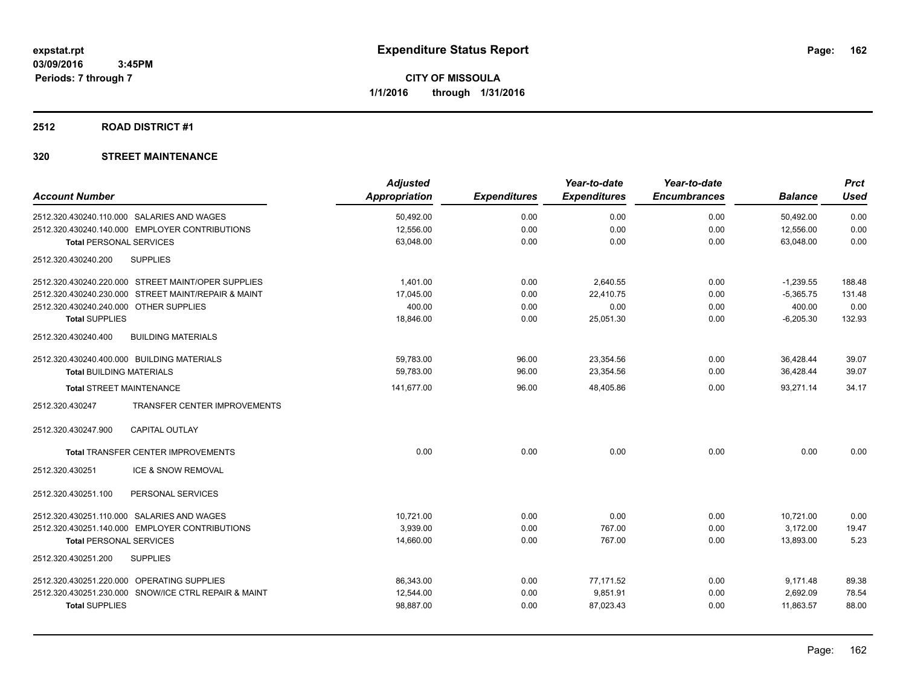### **2512 ROAD DISTRICT #1**

|                                                      | <b>Adjusted</b>      |                     | Year-to-date        | Year-to-date        |                | <b>Prct</b> |
|------------------------------------------------------|----------------------|---------------------|---------------------|---------------------|----------------|-------------|
| <b>Account Number</b>                                | <b>Appropriation</b> | <b>Expenditures</b> | <b>Expenditures</b> | <b>Encumbrances</b> | <b>Balance</b> | <b>Used</b> |
| 2512.320.430240.110.000 SALARIES AND WAGES           | 50,492.00            | 0.00                | 0.00                | 0.00                | 50,492.00      | 0.00        |
| 2512.320.430240.140.000 EMPLOYER CONTRIBUTIONS       | 12,556.00            | 0.00                | 0.00                | 0.00                | 12,556.00      | 0.00        |
| <b>Total PERSONAL SERVICES</b>                       | 63,048.00            | 0.00                | 0.00                | 0.00                | 63,048.00      | 0.00        |
| <b>SUPPLIES</b><br>2512.320.430240.200               |                      |                     |                     |                     |                |             |
| 2512.320.430240.220.000 STREET MAINT/OPER SUPPLIES   | 1.401.00             | 0.00                | 2.640.55            | 0.00                | $-1,239.55$    | 188.48      |
| 2512.320.430240.230.000 STREET MAINT/REPAIR & MAINT  | 17,045.00            | 0.00                | 22,410.75           | 0.00                | $-5,365.75$    | 131.48      |
| 2512.320.430240.240.000 OTHER SUPPLIES               | 400.00               | 0.00                | 0.00                | 0.00                | 400.00         | 0.00        |
| <b>Total SUPPLIES</b>                                | 18,846.00            | 0.00                | 25,051.30           | 0.00                | $-6,205.30$    | 132.93      |
| 2512.320.430240.400<br><b>BUILDING MATERIALS</b>     |                      |                     |                     |                     |                |             |
| 2512.320.430240.400.000 BUILDING MATERIALS           | 59,783.00            | 96.00               | 23,354.56           | 0.00                | 36,428.44      | 39.07       |
| <b>Total BUILDING MATERIALS</b>                      | 59,783.00            | 96.00               | 23,354.56           | 0.00                | 36,428.44      | 39.07       |
| <b>Total STREET MAINTENANCE</b>                      | 141,677.00           | 96.00               | 48,405.86           | 0.00                | 93,271.14      | 34.17       |
| TRANSFER CENTER IMPROVEMENTS<br>2512.320.430247      |                      |                     |                     |                     |                |             |
| 2512.320.430247.900<br><b>CAPITAL OUTLAY</b>         |                      |                     |                     |                     |                |             |
| <b>Total TRANSFER CENTER IMPROVEMENTS</b>            | 0.00                 | 0.00                | 0.00                | 0.00                | 0.00           | 0.00        |
| ICE & SNOW REMOVAL<br>2512.320.430251                |                      |                     |                     |                     |                |             |
| 2512.320.430251.100<br>PERSONAL SERVICES             |                      |                     |                     |                     |                |             |
| 2512.320.430251.110.000 SALARIES AND WAGES           | 10.721.00            | 0.00                | 0.00                | 0.00                | 10,721.00      | 0.00        |
| 2512.320.430251.140.000 EMPLOYER CONTRIBUTIONS       | 3.939.00             | 0.00                | 767.00              | 0.00                | 3.172.00       | 19.47       |
| <b>Total PERSONAL SERVICES</b>                       | 14,660.00            | 0.00                | 767.00              | 0.00                | 13,893.00      | 5.23        |
| 2512.320.430251.200<br><b>SUPPLIES</b>               |                      |                     |                     |                     |                |             |
| 2512.320.430251.220.000 OPERATING SUPPLIES           | 86,343.00            | 0.00                | 77,171.52           | 0.00                | 9,171.48       | 89.38       |
| 2512.320.430251.230.000 SNOW/ICE CTRL REPAIR & MAINT | 12,544.00            | 0.00                | 9,851.91            | 0.00                | 2,692.09       | 78.54       |
| <b>Total SUPPLIES</b>                                | 98,887.00            | 0.00                | 87,023.43           | 0.00                | 11,863.57      | 88.00       |
|                                                      |                      |                     |                     |                     |                |             |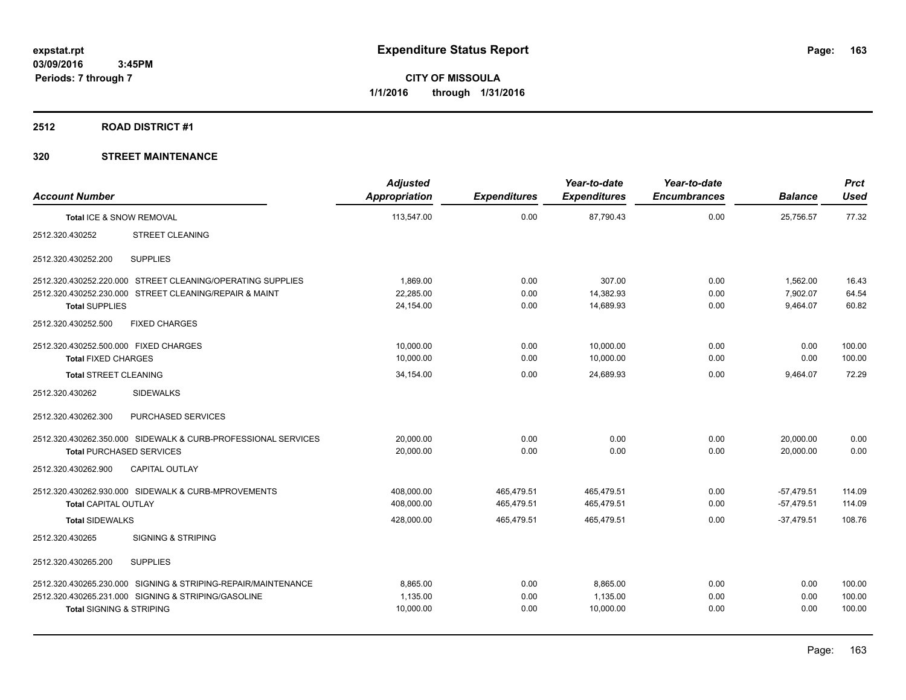### **2512 ROAD DISTRICT #1**

| <b>Account Number</b>                 |                                                               | <b>Adjusted</b><br><b>Appropriation</b> | <b>Expenditures</b> | Year-to-date<br><b>Expenditures</b> | Year-to-date<br><b>Encumbrances</b> | <b>Balance</b> | <b>Prct</b><br><b>Used</b> |
|---------------------------------------|---------------------------------------------------------------|-----------------------------------------|---------------------|-------------------------------------|-------------------------------------|----------------|----------------------------|
| Total ICE & SNOW REMOVAL              |                                                               | 113,547.00                              | 0.00                | 87,790.43                           | 0.00                                | 25,756.57      | 77.32                      |
| 2512.320.430252                       | <b>STREET CLEANING</b>                                        |                                         |                     |                                     |                                     |                |                            |
| 2512.320.430252.200                   | <b>SUPPLIES</b>                                               |                                         |                     |                                     |                                     |                |                            |
|                                       | 2512.320.430252.220.000 STREET CLEANING/OPERATING SUPPLIES    | 1,869.00                                | 0.00                | 307.00                              | 0.00                                | 1,562.00       | 16.43                      |
|                                       | 2512.320.430252.230.000 STREET CLEANING/REPAIR & MAINT        | 22.285.00                               | 0.00                | 14.382.93                           | 0.00                                | 7.902.07       | 64.54                      |
| <b>Total SUPPLIES</b>                 |                                                               | 24,154.00                               | 0.00                | 14.689.93                           | 0.00                                | 9,464.07       | 60.82                      |
| 2512.320.430252.500                   | <b>FIXED CHARGES</b>                                          |                                         |                     |                                     |                                     |                |                            |
| 2512.320.430252.500.000 FIXED CHARGES |                                                               | 10,000.00                               | 0.00                | 10,000.00                           | 0.00                                | 0.00           | 100.00                     |
| <b>Total FIXED CHARGES</b>            |                                                               | 10.000.00                               | 0.00                | 10,000.00                           | 0.00                                | 0.00           | 100.00                     |
| <b>Total STREET CLEANING</b>          |                                                               | 34,154.00                               | 0.00                | 24,689.93                           | 0.00                                | 9,464.07       | 72.29                      |
| 2512.320.430262                       | <b>SIDEWALKS</b>                                              |                                         |                     |                                     |                                     |                |                            |
| 2512.320.430262.300                   | PURCHASED SERVICES                                            |                                         |                     |                                     |                                     |                |                            |
|                                       | 2512.320.430262.350.000 SIDEWALK & CURB-PROFESSIONAL SERVICES | 20,000.00                               | 0.00                | 0.00                                | 0.00                                | 20,000.00      | 0.00                       |
| <b>Total PURCHASED SERVICES</b>       |                                                               | 20,000.00                               | 0.00                | 0.00                                | 0.00                                | 20.000.00      | 0.00                       |
| 2512.320.430262.900                   | <b>CAPITAL OUTLAY</b>                                         |                                         |                     |                                     |                                     |                |                            |
|                                       | 2512.320.430262.930.000 SIDEWALK & CURB-MPROVEMENTS           | 408,000.00                              | 465,479.51          | 465,479.51                          | 0.00                                | $-57,479.51$   | 114.09                     |
| <b>Total CAPITAL OUTLAY</b>           |                                                               | 408,000.00                              | 465,479.51          | 465,479.51                          | 0.00                                | $-57,479.51$   | 114.09                     |
| <b>Total SIDEWALKS</b>                |                                                               | 428,000.00                              | 465,479.51          | 465,479.51                          | 0.00                                | $-37.479.51$   | 108.76                     |
| 2512.320.430265                       | <b>SIGNING &amp; STRIPING</b>                                 |                                         |                     |                                     |                                     |                |                            |
| 2512.320.430265.200                   | <b>SUPPLIES</b>                                               |                                         |                     |                                     |                                     |                |                            |
|                                       | 2512.320.430265.230.000 SIGNING & STRIPING-REPAIR/MAINTENANCE | 8.865.00                                | 0.00                | 8.865.00                            | 0.00                                | 0.00           | 100.00                     |
|                                       | 2512.320.430265.231.000 SIGNING & STRIPING/GASOLINE           | 1,135.00                                | 0.00                | 1,135.00                            | 0.00                                | 0.00           | 100.00                     |
| <b>Total SIGNING &amp; STRIPING</b>   |                                                               | 10,000.00                               | 0.00                | 10,000.00                           | 0.00                                | 0.00           | 100.00                     |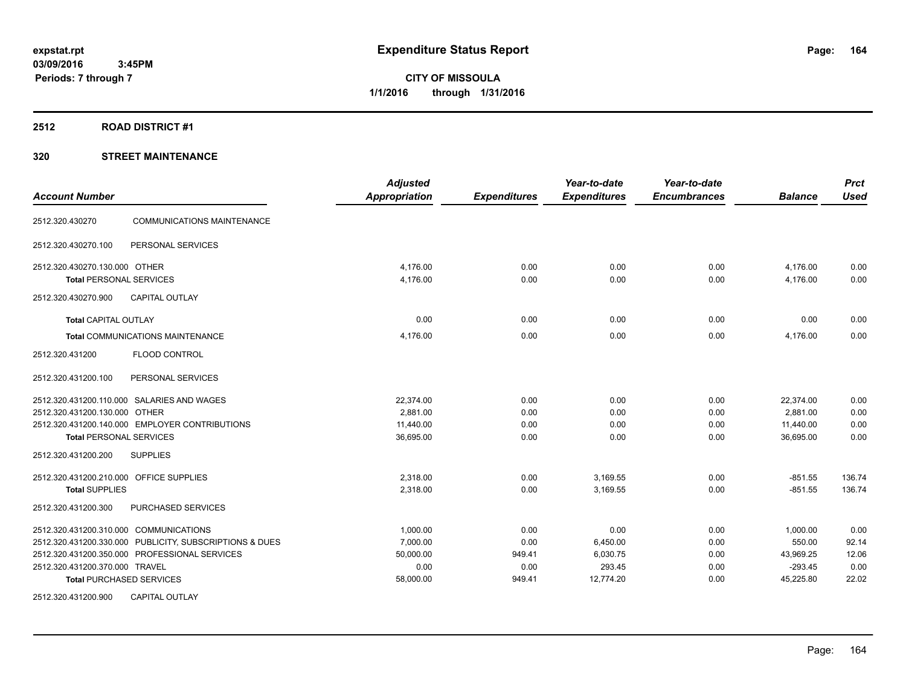#### **2512 ROAD DISTRICT #1**

### **320 STREET MAINTENANCE**

| <b>Account Number</b>                                                           | <b>Adjusted</b><br><b>Appropriation</b> | <b>Expenditures</b> | Year-to-date<br><b>Expenditures</b> | Year-to-date<br><b>Encumbrances</b> | <b>Balance</b>         | <b>Prct</b><br><b>Used</b> |
|---------------------------------------------------------------------------------|-----------------------------------------|---------------------|-------------------------------------|-------------------------------------|------------------------|----------------------------|
| <b>COMMUNICATIONS MAINTENANCE</b><br>2512.320.430270                            |                                         |                     |                                     |                                     |                        |                            |
| PERSONAL SERVICES<br>2512.320.430270.100                                        |                                         |                     |                                     |                                     |                        |                            |
| 2512.320.430270.130.000 OTHER<br><b>Total PERSONAL SERVICES</b>                 | 4,176.00<br>4,176.00                    | 0.00<br>0.00        | 0.00<br>0.00                        | 0.00<br>0.00                        | 4,176.00<br>4,176.00   | 0.00<br>0.00               |
| 2512.320.430270.900<br><b>CAPITAL OUTLAY</b>                                    |                                         |                     |                                     |                                     |                        |                            |
| <b>Total CAPITAL OUTLAY</b>                                                     | 0.00                                    | 0.00                | 0.00                                | 0.00                                | 0.00                   | 0.00                       |
| Total COMMUNICATIONS MAINTENANCE                                                | 4,176.00                                | 0.00                | 0.00                                | 0.00                                | 4,176.00               | 0.00                       |
| 2512.320.431200<br>FLOOD CONTROL                                                |                                         |                     |                                     |                                     |                        |                            |
| 2512.320.431200.100<br>PERSONAL SERVICES                                        |                                         |                     |                                     |                                     |                        |                            |
| 2512.320.431200.110.000 SALARIES AND WAGES<br>2512.320.431200.130.000 OTHER     | 22.374.00<br>2,881.00                   | 0.00<br>0.00        | 0.00<br>0.00                        | 0.00<br>0.00                        | 22,374.00<br>2,881.00  | 0.00<br>0.00               |
| 2512.320.431200.140.000 EMPLOYER CONTRIBUTIONS                                  | 11,440.00                               | 0.00                | 0.00                                | 0.00                                | 11,440.00              | 0.00                       |
| <b>Total PERSONAL SERVICES</b>                                                  | 36,695.00                               | 0.00                | 0.00                                | 0.00                                | 36,695.00              | 0.00                       |
| 2512.320.431200.200<br><b>SUPPLIES</b>                                          |                                         |                     |                                     |                                     |                        |                            |
| 2512.320.431200.210.000 OFFICE SUPPLIES                                         | 2,318.00                                | 0.00                | 3,169.55                            | 0.00                                | $-851.55$              | 136.74                     |
| <b>Total SUPPLIES</b>                                                           | 2,318.00                                | 0.00                | 3,169.55                            | 0.00                                | $-851.55$              | 136.74                     |
| 2512.320.431200.300<br>PURCHASED SERVICES                                       |                                         |                     |                                     |                                     |                        |                            |
| 2512.320.431200.310.000 COMMUNICATIONS                                          | 1,000.00                                | 0.00                | 0.00                                | 0.00                                | 1,000.00               | 0.00                       |
| 2512.320.431200.330.000 PUBLICITY, SUBSCRIPTIONS & DUES                         | 7,000.00                                | 0.00                | 6,450.00                            | 0.00                                | 550.00                 | 92.14                      |
| 2512.320.431200.350.000 PROFESSIONAL SERVICES<br>2512.320.431200.370.000 TRAVEL | 50,000.00<br>0.00                       | 949.41<br>0.00      | 6,030.75<br>293.45                  | 0.00<br>0.00                        | 43,969.25<br>$-293.45$ | 12.06<br>0.00              |
| <b>Total PURCHASED SERVICES</b>                                                 | 58,000.00                               | 949.41              | 12,774.20                           | 0.00                                | 45,225.80              | 22.02                      |
| 2512.320.431200.900<br><b>CAPITAL OUTLAY</b>                                    |                                         |                     |                                     |                                     |                        |                            |

Page: 164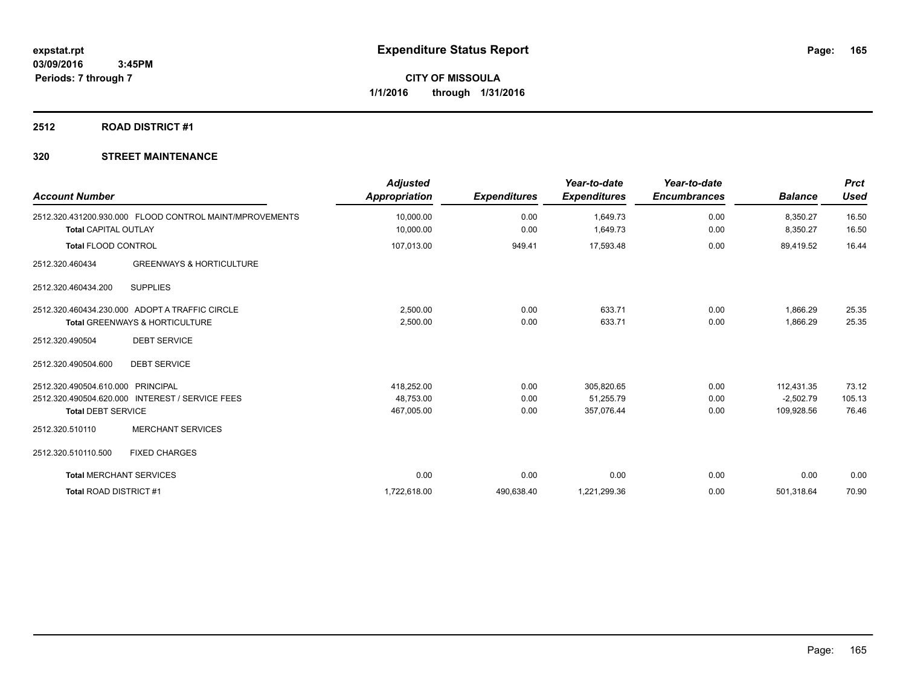### **2512 ROAD DISTRICT #1**

| <b>Account Number</b>             |                                                                                  | <b>Adjusted</b><br><b>Appropriation</b> | <b>Expenditures</b> | Year-to-date<br><b>Expenditures</b> | Year-to-date<br><b>Encumbrances</b> | <b>Balance</b>       | <b>Prct</b><br><b>Used</b> |
|-----------------------------------|----------------------------------------------------------------------------------|-----------------------------------------|---------------------|-------------------------------------|-------------------------------------|----------------------|----------------------------|
| <b>Total CAPITAL OUTLAY</b>       | 2512.320.431200.930.000 FLOOD CONTROL MAINT/MPROVEMENTS                          | 10,000.00<br>10,000.00                  | 0.00<br>0.00        | 1,649.73<br>1,649.73                | 0.00<br>0.00                        | 8,350.27<br>8,350.27 | 16.50<br>16.50             |
| Total FLOOD CONTROL               |                                                                                  | 107,013.00                              | 949.41              | 17,593.48                           | 0.00                                | 89,419.52            | 16.44                      |
| 2512.320.460434                   | <b>GREENWAYS &amp; HORTICULTURE</b>                                              |                                         |                     |                                     |                                     |                      |                            |
| 2512.320.460434.200               | <b>SUPPLIES</b>                                                                  |                                         |                     |                                     |                                     |                      |                            |
|                                   | 2512.320.460434.230.000 ADOPT A TRAFFIC CIRCLE<br>Total GREENWAYS & HORTICULTURE | 2,500.00<br>2,500.00                    | 0.00<br>0.00        | 633.71<br>633.71                    | 0.00<br>0.00                        | 1,866.29<br>1,866.29 | 25.35<br>25.35             |
| 2512.320.490504                   | <b>DEBT SERVICE</b>                                                              |                                         |                     |                                     |                                     |                      |                            |
| 2512.320.490504.600               | <b>DEBT SERVICE</b>                                                              |                                         |                     |                                     |                                     |                      |                            |
| 2512.320.490504.610.000 PRINCIPAL |                                                                                  | 418,252.00                              | 0.00                | 305,820.65                          | 0.00                                | 112,431.35           | 73.12                      |
|                                   | 2512.320.490504.620.000 INTEREST / SERVICE FEES                                  | 48,753.00                               | 0.00                | 51,255.79                           | 0.00                                | $-2,502.79$          | 105.13                     |
| <b>Total DEBT SERVICE</b>         |                                                                                  | 467,005.00                              | 0.00                | 357,076.44                          | 0.00                                | 109,928.56           | 76.46                      |
| 2512.320.510110                   | <b>MERCHANT SERVICES</b>                                                         |                                         |                     |                                     |                                     |                      |                            |
| 2512.320.510110.500               | <b>FIXED CHARGES</b>                                                             |                                         |                     |                                     |                                     |                      |                            |
| <b>Total MERCHANT SERVICES</b>    |                                                                                  | 0.00                                    | 0.00                | 0.00                                | 0.00                                | 0.00                 | 0.00                       |
| <b>Total ROAD DISTRICT#1</b>      |                                                                                  | 1,722,618.00                            | 490,638.40          | 1,221,299.36                        | 0.00                                | 501.318.64           | 70.90                      |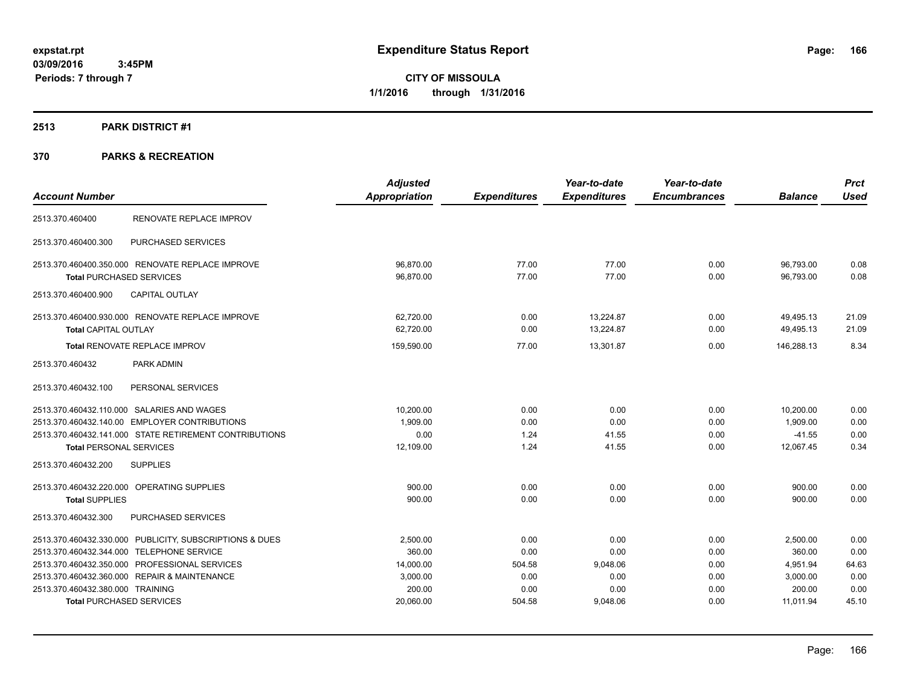### **2513 PARK DISTRICT #1**

|                                                         | <b>Adjusted</b>      |                     | Year-to-date        | Year-to-date        |                | <b>Prct</b> |
|---------------------------------------------------------|----------------------|---------------------|---------------------|---------------------|----------------|-------------|
| <b>Account Number</b>                                   | <b>Appropriation</b> | <b>Expenditures</b> | <b>Expenditures</b> | <b>Encumbrances</b> | <b>Balance</b> | <b>Used</b> |
| RENOVATE REPLACE IMPROV<br>2513.370.460400              |                      |                     |                     |                     |                |             |
| PURCHASED SERVICES<br>2513.370.460400.300               |                      |                     |                     |                     |                |             |
| 2513.370.460400.350.000 RENOVATE REPLACE IMPROVE        | 96,870.00            | 77.00               | 77.00               | 0.00                | 96,793.00      | 0.08        |
| <b>Total PURCHASED SERVICES</b>                         | 96,870.00            | 77.00               | 77.00               | 0.00                | 96,793.00      | 0.08        |
| <b>CAPITAL OUTLAY</b><br>2513.370.460400.900            |                      |                     |                     |                     |                |             |
| 2513.370.460400.930.000 RENOVATE REPLACE IMPROVE        | 62,720.00            | 0.00                | 13,224.87           | 0.00                | 49,495.13      | 21.09       |
| Total CAPITAL OUTLAY                                    | 62,720.00            | 0.00                | 13,224.87           | 0.00                | 49,495.13      | 21.09       |
| Total RENOVATE REPLACE IMPROV                           | 159,590.00           | 77.00               | 13,301.87           | 0.00                | 146,288.13     | 8.34        |
| 2513.370.460432<br>PARK ADMIN                           |                      |                     |                     |                     |                |             |
| PERSONAL SERVICES<br>2513.370.460432.100                |                      |                     |                     |                     |                |             |
| 2513.370.460432.110.000 SALARIES AND WAGES              | 10,200.00            | 0.00                | 0.00                | 0.00                | 10,200.00      | 0.00        |
| 2513.370.460432.140.00 EMPLOYER CONTRIBUTIONS           | 1,909.00             | 0.00                | 0.00                | 0.00                | 1,909.00       | 0.00        |
| 2513.370.460432.141.000 STATE RETIREMENT CONTRIBUTIONS  | 0.00                 | 1.24                | 41.55               | 0.00                | $-41.55$       | 0.00        |
| <b>Total PERSONAL SERVICES</b>                          | 12,109.00            | 1.24                | 41.55               | 0.00                | 12,067.45      | 0.34        |
| 2513.370.460432.200<br><b>SUPPLIES</b>                  |                      |                     |                     |                     |                |             |
| 2513.370.460432.220.000 OPERATING SUPPLIES              | 900.00               | 0.00                | 0.00                | 0.00                | 900.00         | 0.00        |
| <b>Total SUPPLIES</b>                                   | 900.00               | 0.00                | 0.00                | 0.00                | 900.00         | 0.00        |
| 2513.370.460432.300<br>PURCHASED SERVICES               |                      |                     |                     |                     |                |             |
| 2513.370.460432.330.000 PUBLICITY, SUBSCRIPTIONS & DUES | 2,500.00             | 0.00                | 0.00                | 0.00                | 2,500.00       | 0.00        |
| 2513.370.460432.344.000 TELEPHONE SERVICE               | 360.00               | 0.00                | 0.00                | 0.00                | 360.00         | 0.00        |
| 2513.370.460432.350.000 PROFESSIONAL SERVICES           | 14,000.00            | 504.58              | 9,048.06            | 0.00                | 4,951.94       | 64.63       |
| 2513.370.460432.360.000 REPAIR & MAINTENANCE            | 3,000.00             | 0.00                | 0.00                | 0.00                | 3,000.00       | 0.00        |
| 2513.370.460432.380.000 TRAINING                        | 200.00               | 0.00                | 0.00                | 0.00                | 200.00         | 0.00        |
| <b>Total PURCHASED SERVICES</b>                         | 20,060.00            | 504.58              | 9,048.06            | 0.00                | 11,011.94      | 45.10       |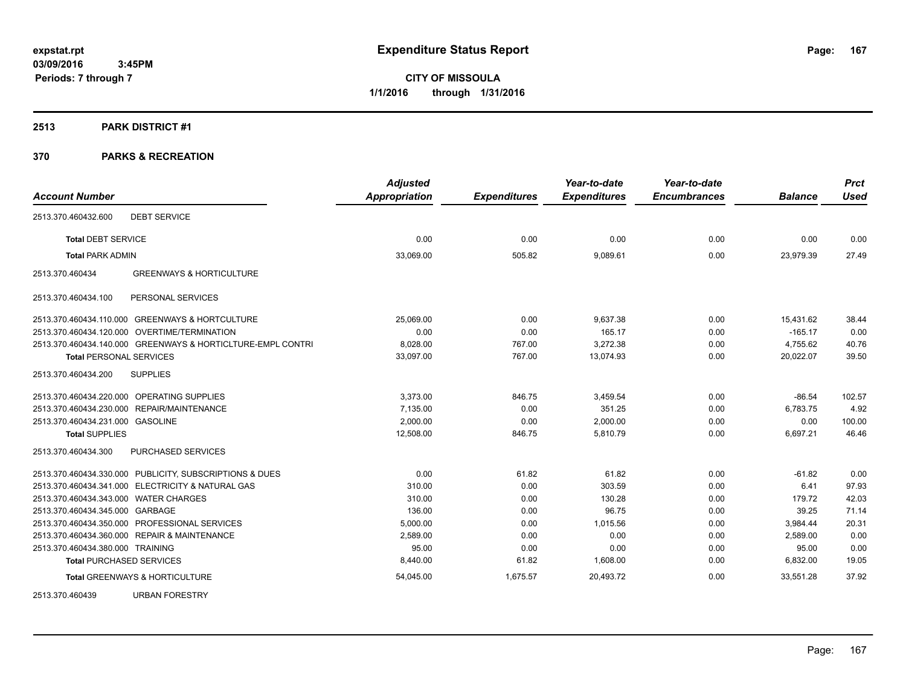#### **2513 PARK DISTRICT #1**

| <b>Account Number</b>                 |                                                             | <b>Adjusted</b><br>Appropriation | <b>Expenditures</b> | Year-to-date<br><b>Expenditures</b> | Year-to-date<br><b>Encumbrances</b> | <b>Balance</b> | <b>Prct</b><br><b>Used</b> |
|---------------------------------------|-------------------------------------------------------------|----------------------------------|---------------------|-------------------------------------|-------------------------------------|----------------|----------------------------|
|                                       |                                                             |                                  |                     |                                     |                                     |                |                            |
| 2513.370.460432.600                   | <b>DEBT SERVICE</b>                                         |                                  |                     |                                     |                                     |                |                            |
| <b>Total DEBT SERVICE</b>             |                                                             | 0.00                             | 0.00                | 0.00                                | 0.00                                | 0.00           | 0.00                       |
| <b>Total PARK ADMIN</b>               |                                                             | 33,069.00                        | 505.82              | 9,089.61                            | 0.00                                | 23,979.39      | 27.49                      |
| 2513.370.460434                       | <b>GREENWAYS &amp; HORTICULTURE</b>                         |                                  |                     |                                     |                                     |                |                            |
| 2513.370.460434.100                   | PERSONAL SERVICES                                           |                                  |                     |                                     |                                     |                |                            |
|                                       | 2513.370.460434.110.000 GREENWAYS & HORTCULTURE             | 25.069.00                        | 0.00                | 9.637.38                            | 0.00                                | 15,431.62      | 38.44                      |
|                                       | 2513.370.460434.120.000 OVERTIME/TERMINATION                | 0.00                             | 0.00                | 165.17                              | 0.00                                | $-165.17$      | 0.00                       |
|                                       | 2513.370.460434.140.000 GREENWAYS & HORTICLTURE-EMPL CONTRI | 8,028.00                         | 767.00              | 3,272.38                            | 0.00                                | 4,755.62       | 40.76                      |
| <b>Total PERSONAL SERVICES</b>        |                                                             | 33,097.00                        | 767.00              | 13,074.93                           | 0.00                                | 20,022.07      | 39.50                      |
| 2513.370.460434.200                   | <b>SUPPLIES</b>                                             |                                  |                     |                                     |                                     |                |                            |
|                                       | 2513.370.460434.220.000 OPERATING SUPPLIES                  | 3.373.00                         | 846.75              | 3,459.54                            | 0.00                                | $-86.54$       | 102.57                     |
|                                       | 2513.370.460434.230.000 REPAIR/MAINTENANCE                  | 7,135.00                         | 0.00                | 351.25                              | 0.00                                | 6,783.75       | 4.92                       |
| 2513.370.460434.231.000 GASOLINE      |                                                             | 2,000.00                         | 0.00                | 2,000.00                            | 0.00                                | 0.00           | 100.00                     |
| <b>Total SUPPLIES</b>                 |                                                             | 12,508.00                        | 846.75              | 5,810.79                            | 0.00                                | 6,697.21       | 46.46                      |
| 2513.370.460434.300                   | <b>PURCHASED SERVICES</b>                                   |                                  |                     |                                     |                                     |                |                            |
|                                       | 2513.370.460434.330.000 PUBLICITY, SUBSCRIPTIONS & DUES     | 0.00                             | 61.82               | 61.82                               | 0.00                                | $-61.82$       | 0.00                       |
|                                       | 2513.370.460434.341.000 ELECTRICITY & NATURAL GAS           | 310.00                           | 0.00                | 303.59                              | 0.00                                | 6.41           | 97.93                      |
| 2513.370.460434.343.000 WATER CHARGES |                                                             | 310.00                           | 0.00                | 130.28                              | 0.00                                | 179.72         | 42.03                      |
| 2513.370.460434.345.000 GARBAGE       |                                                             | 136.00                           | 0.00                | 96.75                               | 0.00                                | 39.25          | 71.14                      |
|                                       | 2513.370.460434.350.000 PROFESSIONAL SERVICES               | 5,000.00                         | 0.00                | 1,015.56                            | 0.00                                | 3,984.44       | 20.31                      |
|                                       | 2513.370.460434.360.000 REPAIR & MAINTENANCE                | 2.589.00                         | 0.00                | 0.00                                | 0.00                                | 2,589.00       | 0.00                       |
| 2513.370.460434.380.000 TRAINING      |                                                             | 95.00                            | 0.00                | 0.00                                | 0.00                                | 95.00          | 0.00                       |
| <b>Total PURCHASED SERVICES</b>       |                                                             | 8,440.00                         | 61.82               | 1,608.00                            | 0.00                                | 6,832.00       | 19.05                      |
|                                       | <b>Total GREENWAYS &amp; HORTICULTURE</b>                   | 54,045.00                        | 1,675.57            | 20,493.72                           | 0.00                                | 33,551.28      | 37.92                      |
| 2513.370.460439                       | <b>URBAN FORESTRY</b>                                       |                                  |                     |                                     |                                     |                |                            |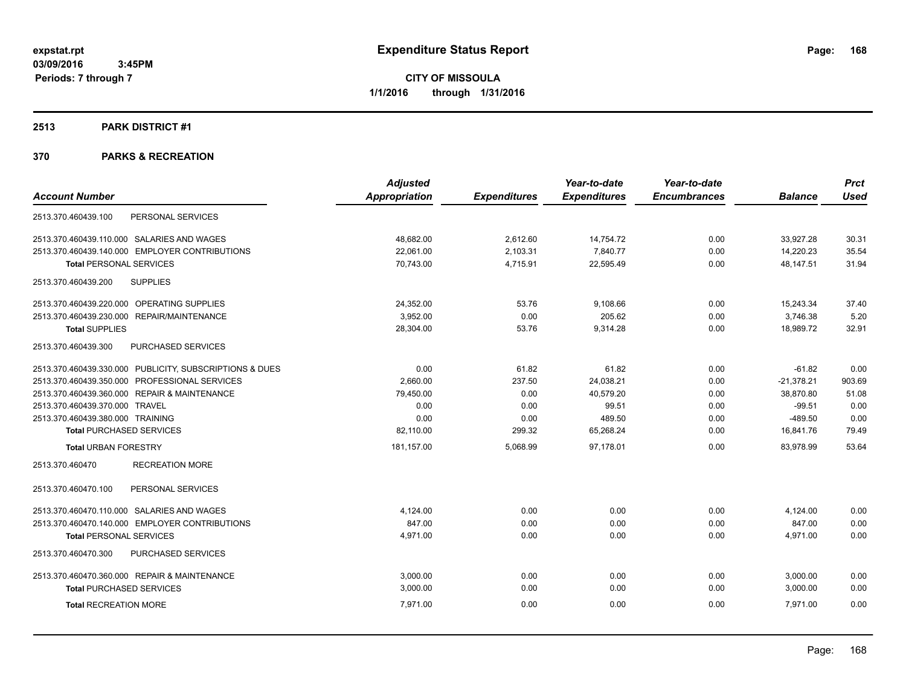### **2513 PARK DISTRICT #1**

|                                                         | <b>Adjusted</b>      |                     | Year-to-date        | Year-to-date        |                | <b>Prct</b> |
|---------------------------------------------------------|----------------------|---------------------|---------------------|---------------------|----------------|-------------|
| <b>Account Number</b>                                   | <b>Appropriation</b> | <b>Expenditures</b> | <b>Expenditures</b> | <b>Encumbrances</b> | <b>Balance</b> | <b>Used</b> |
| 2513.370.460439.100<br>PERSONAL SERVICES                |                      |                     |                     |                     |                |             |
| 2513.370.460439.110.000 SALARIES AND WAGES              | 48,682.00            | 2,612.60            | 14,754.72           | 0.00                | 33,927.28      | 30.31       |
| 2513.370.460439.140.000 EMPLOYER CONTRIBUTIONS          | 22,061.00            | 2,103.31            | 7,840.77            | 0.00                | 14,220.23      | 35.54       |
| <b>Total PERSONAL SERVICES</b>                          | 70,743.00            | 4,715.91            | 22,595.49           | 0.00                | 48,147.51      | 31.94       |
| 2513.370.460439.200<br><b>SUPPLIES</b>                  |                      |                     |                     |                     |                |             |
| 2513.370.460439.220.000 OPERATING SUPPLIES              | 24,352.00            | 53.76               | 9,108.66            | 0.00                | 15,243.34      | 37.40       |
| <b>REPAIR/MAINTENANCE</b><br>2513.370.460439.230.000    | 3,952.00             | 0.00                | 205.62              | 0.00                | 3,746.38       | 5.20        |
| <b>Total SUPPLIES</b>                                   | 28,304.00            | 53.76               | 9,314.28            | 0.00                | 18.989.72      | 32.91       |
| 2513.370.460439.300<br>PURCHASED SERVICES               |                      |                     |                     |                     |                |             |
| 2513.370.460439.330.000 PUBLICITY, SUBSCRIPTIONS & DUES | 0.00                 | 61.82               | 61.82               | 0.00                | $-61.82$       | 0.00        |
| 2513.370.460439.350.000 PROFESSIONAL SERVICES           | 2,660.00             | 237.50              | 24,038.21           | 0.00                | $-21,378.21$   | 903.69      |
| 2513.370.460439.360.000 REPAIR & MAINTENANCE            | 79,450.00            | 0.00                | 40,579.20           | 0.00                | 38,870.80      | 51.08       |
| 2513.370.460439.370.000 TRAVEL                          | 0.00                 | 0.00                | 99.51               | 0.00                | $-99.51$       | 0.00        |
| 2513.370.460439.380.000 TRAINING                        | 0.00                 | 0.00                | 489.50              | 0.00                | $-489.50$      | 0.00        |
| <b>Total PURCHASED SERVICES</b>                         | 82,110.00            | 299.32              | 65,268.24           | 0.00                | 16,841.76      | 79.49       |
| <b>Total URBAN FORESTRY</b>                             | 181,157.00           | 5,068.99            | 97,178.01           | 0.00                | 83.978.99      | 53.64       |
| <b>RECREATION MORE</b><br>2513.370.460470               |                      |                     |                     |                     |                |             |
| 2513.370.460470.100<br>PERSONAL SERVICES                |                      |                     |                     |                     |                |             |
| 2513.370.460470.110.000 SALARIES AND WAGES              | 4,124.00             | 0.00                | 0.00                | 0.00                | 4,124.00       | 0.00        |
| 2513.370.460470.140.000 EMPLOYER CONTRIBUTIONS          | 847.00               | 0.00                | 0.00                | 0.00                | 847.00         | 0.00        |
| <b>Total PERSONAL SERVICES</b>                          | 4,971.00             | 0.00                | 0.00                | 0.00                | 4,971.00       | 0.00        |
| 2513.370.460470.300<br>PURCHASED SERVICES               |                      |                     |                     |                     |                |             |
| 2513.370.460470.360.000 REPAIR & MAINTENANCE            | 3.000.00             | 0.00                | 0.00                | 0.00                | 3,000.00       | 0.00        |
| <b>Total PURCHASED SERVICES</b>                         | 3,000.00             | 0.00                | 0.00                | 0.00                | 3,000.00       | 0.00        |
| <b>Total RECREATION MORE</b>                            | 7.971.00             | 0.00                | 0.00                | 0.00                | 7.971.00       | 0.00        |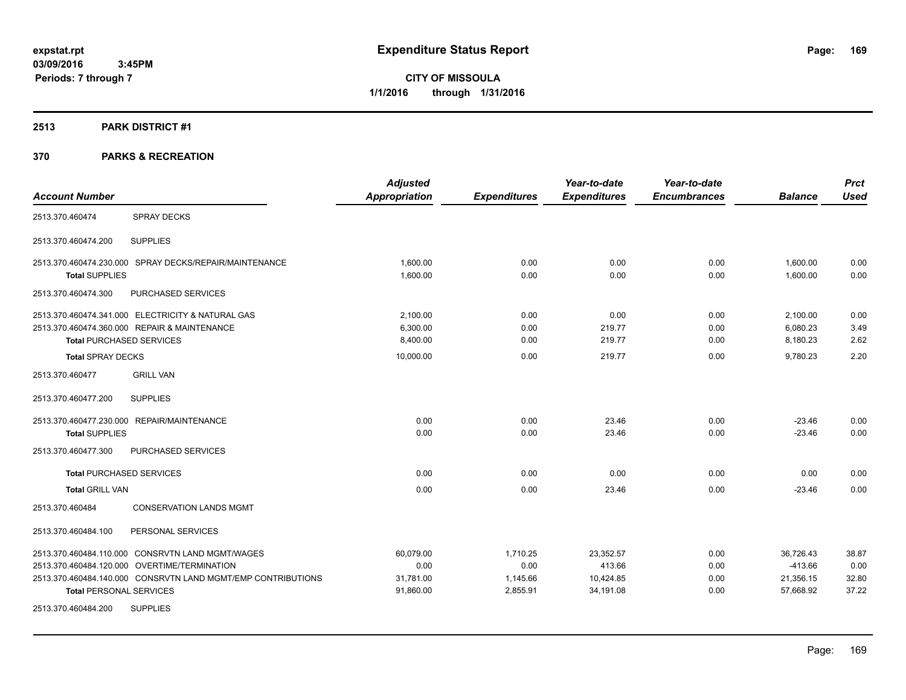**CITY OF MISSOULA 1/1/2016 through 1/31/2016**

### **2513 PARK DISTRICT #1**

|                                                              | <b>Adjusted</b>      |                     | Year-to-date        | Year-to-date        |                | <b>Prct</b> |
|--------------------------------------------------------------|----------------------|---------------------|---------------------|---------------------|----------------|-------------|
| <b>Account Number</b>                                        | <b>Appropriation</b> | <b>Expenditures</b> | <b>Expenditures</b> | <b>Encumbrances</b> | <b>Balance</b> | <b>Used</b> |
| <b>SPRAY DECKS</b><br>2513.370.460474                        |                      |                     |                     |                     |                |             |
| <b>SUPPLIES</b><br>2513.370.460474.200                       |                      |                     |                     |                     |                |             |
| 2513.370.460474.230.000 SPRAY DECKS/REPAIR/MAINTENANCE       | 1.600.00             | 0.00                | 0.00                | 0.00                | 1,600.00       | 0.00        |
| <b>Total SUPPLIES</b>                                        | 1,600.00             | 0.00                | 0.00                | 0.00                | 1,600.00       | 0.00        |
| PURCHASED SERVICES<br>2513.370.460474.300                    |                      |                     |                     |                     |                |             |
| 2513.370.460474.341.000 ELECTRICITY & NATURAL GAS            | 2,100.00             | 0.00                | 0.00                | 0.00                | 2,100.00       | 0.00        |
| 2513.370.460474.360.000 REPAIR & MAINTENANCE                 | 6.300.00             | 0.00                | 219.77              | 0.00                | 6,080.23       | 3.49        |
| <b>Total PURCHASED SERVICES</b>                              | 8,400.00             | 0.00                | 219.77              | 0.00                | 8,180.23       | 2.62        |
| <b>Total SPRAY DECKS</b>                                     | 10,000.00            | 0.00                | 219.77              | 0.00                | 9,780.23       | 2.20        |
| <b>GRILL VAN</b><br>2513.370.460477                          |                      |                     |                     |                     |                |             |
| 2513.370.460477.200<br><b>SUPPLIES</b>                       |                      |                     |                     |                     |                |             |
| 2513.370.460477.230.000 REPAIR/MAINTENANCE                   | 0.00                 | 0.00                | 23.46               | 0.00                | $-23.46$       | 0.00        |
| <b>Total SUPPLIES</b>                                        | 0.00                 | 0.00                | 23.46               | 0.00                | $-23.46$       | 0.00        |
| 2513.370.460477.300<br>PURCHASED SERVICES                    |                      |                     |                     |                     |                |             |
| <b>Total PURCHASED SERVICES</b>                              | 0.00                 | 0.00                | 0.00                | 0.00                | 0.00           | 0.00        |
| <b>Total GRILL VAN</b>                                       | 0.00                 | 0.00                | 23.46               | 0.00                | $-23.46$       | 0.00        |
| <b>CONSERVATION LANDS MGMT</b><br>2513.370.460484            |                      |                     |                     |                     |                |             |
| 2513.370.460484.100<br>PERSONAL SERVICES                     |                      |                     |                     |                     |                |             |
| 2513.370.460484.110.000 CONSRVTN LAND MGMT/WAGES             | 60,079.00            | 1,710.25            | 23,352.57           | 0.00                | 36,726.43      | 38.87       |
| 2513.370.460484.120.000 OVERTIME/TERMINATION                 | 0.00                 | 0.00                | 413.66              | 0.00                | $-413.66$      | 0.00        |
| 2513.370.460484.140.000 CONSRVTN LAND MGMT/EMP CONTRIBUTIONS | 31,781.00            | 1,145.66            | 10,424.85           | 0.00                | 21,356.15      | 32.80       |
| <b>Total PERSONAL SERVICES</b>                               | 91,860.00            | 2,855.91            | 34,191.08           | 0.00                | 57,668.92      | 37.22       |
| 2513.370.460484.200<br><b>SUPPLIES</b>                       |                      |                     |                     |                     |                |             |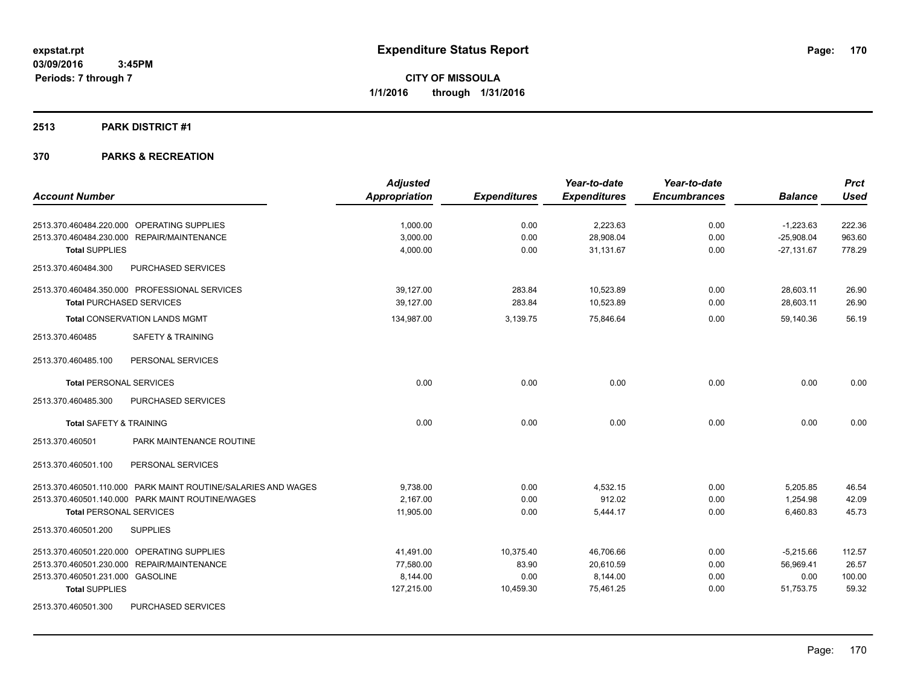### **2513 PARK DISTRICT #1**

|                                                               | <b>Adjusted</b>      |                     | Year-to-date        | Year-to-date        |                | <b>Prct</b> |
|---------------------------------------------------------------|----------------------|---------------------|---------------------|---------------------|----------------|-------------|
| <b>Account Number</b>                                         | <b>Appropriation</b> | <b>Expenditures</b> | <b>Expenditures</b> | <b>Encumbrances</b> | <b>Balance</b> | <b>Used</b> |
| 2513.370.460484.220.000 OPERATING SUPPLIES                    | 1,000.00             | 0.00                | 2,223.63            | 0.00                | $-1,223.63$    | 222.36      |
| 2513.370.460484.230.000 REPAIR/MAINTENANCE                    | 3,000.00             | 0.00                | 28,908.04           | 0.00                | $-25,908.04$   | 963.60      |
| <b>Total SUPPLIES</b>                                         | 4,000.00             | 0.00                | 31.131.67           | 0.00                | $-27,131.67$   | 778.29      |
| PURCHASED SERVICES<br>2513.370.460484.300                     |                      |                     |                     |                     |                |             |
| 2513.370.460484.350.000 PROFESSIONAL SERVICES                 | 39,127.00            | 283.84              | 10,523.89           | 0.00                | 28,603.11      | 26.90       |
| <b>Total PURCHASED SERVICES</b>                               | 39.127.00            | 283.84              | 10,523.89           | 0.00                | 28.603.11      | 26.90       |
| <b>Total CONSERVATION LANDS MGMT</b>                          | 134,987.00           | 3,139.75            | 75,846.64           | 0.00                | 59,140.36      | 56.19       |
| <b>SAFETY &amp; TRAINING</b><br>2513.370.460485               |                      |                     |                     |                     |                |             |
| 2513.370.460485.100<br>PERSONAL SERVICES                      |                      |                     |                     |                     |                |             |
| <b>Total PERSONAL SERVICES</b>                                | 0.00                 | 0.00                | 0.00                | 0.00                | 0.00           | 0.00        |
| 2513.370.460485.300<br>PURCHASED SERVICES                     |                      |                     |                     |                     |                |             |
| <b>Total SAFETY &amp; TRAINING</b>                            | 0.00                 | 0.00                | 0.00                | 0.00                | 0.00           | 0.00        |
| 2513.370.460501<br>PARK MAINTENANCE ROUTINE                   |                      |                     |                     |                     |                |             |
| PERSONAL SERVICES<br>2513.370.460501.100                      |                      |                     |                     |                     |                |             |
| 2513.370.460501.110.000 PARK MAINT ROUTINE/SALARIES AND WAGES | 9,738.00             | 0.00                | 4,532.15            | 0.00                | 5,205.85       | 46.54       |
| 2513.370.460501.140.000 PARK MAINT ROUTINE/WAGES              | 2,167.00             | 0.00                | 912.02              | 0.00                | 1,254.98       | 42.09       |
| <b>Total PERSONAL SERVICES</b>                                | 11,905.00            | 0.00                | 5,444.17            | 0.00                | 6,460.83       | 45.73       |
| 2513.370.460501.200<br><b>SUPPLIES</b>                        |                      |                     |                     |                     |                |             |
| 2513.370.460501.220.000 OPERATING SUPPLIES                    | 41,491.00            | 10,375.40           | 46,706.66           | 0.00                | $-5,215.66$    | 112.57      |
| 2513.370.460501.230.000 REPAIR/MAINTENANCE                    | 77,580.00            | 83.90               | 20,610.59           | 0.00                | 56,969.41      | 26.57       |
| 2513.370.460501.231.000 GASOLINE                              | 8,144.00             | 0.00                | 8,144.00            | 0.00                | 0.00           | 100.00      |
| <b>Total SUPPLIES</b>                                         | 127,215.00           | 10,459.30           | 75,461.25           | 0.00                | 51,753.75      | 59.32       |
| PURCHASED SERVICES<br>2513.370.460501.300                     |                      |                     |                     |                     |                |             |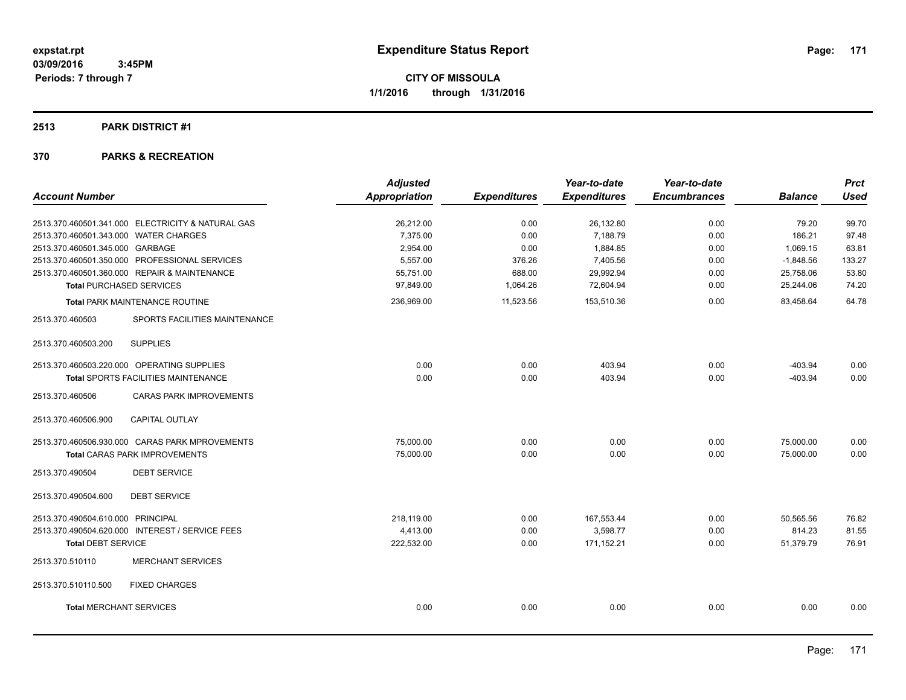### **2513 PARK DISTRICT #1**

|                                                   | <b>Adjusted</b>      |                     | Year-to-date        | Year-to-date        |                | <b>Prct</b> |
|---------------------------------------------------|----------------------|---------------------|---------------------|---------------------|----------------|-------------|
| <b>Account Number</b>                             | <b>Appropriation</b> | <b>Expenditures</b> | <b>Expenditures</b> | <b>Encumbrances</b> | <b>Balance</b> | <b>Used</b> |
| 2513.370.460501.341.000 ELECTRICITY & NATURAL GAS | 26,212.00            | 0.00                | 26,132.80           | 0.00                | 79.20          | 99.70       |
| 2513.370.460501.343.000 WATER CHARGES             | 7,375.00             | 0.00                | 7,188.79            | 0.00                | 186.21         | 97.48       |
| 2513.370.460501.345.000 GARBAGE                   | 2,954.00             | 0.00                | 1,884.85            | 0.00                | 1,069.15       | 63.81       |
| 2513.370.460501.350.000 PROFESSIONAL SERVICES     | 5,557.00             | 376.26              | 7,405.56            | 0.00                | $-1,848.56$    | 133.27      |
| 2513.370.460501.360.000 REPAIR & MAINTENANCE      | 55,751.00            | 688.00              | 29,992.94           | 0.00                | 25,758.06      | 53.80       |
| <b>Total PURCHASED SERVICES</b>                   | 97,849.00            | 1,064.26            | 72,604.94           | 0.00                | 25,244.06      | 74.20       |
| <b>Total PARK MAINTENANCE ROUTINE</b>             | 236,969.00           | 11,523.56           | 153,510.36          | 0.00                | 83,458.64      | 64.78       |
| 2513.370.460503<br>SPORTS FACILITIES MAINTENANCE  |                      |                     |                     |                     |                |             |
| <b>SUPPLIES</b><br>2513.370.460503.200            |                      |                     |                     |                     |                |             |
| 2513.370.460503.220.000 OPERATING SUPPLIES        | 0.00                 | 0.00                | 403.94              | 0.00                | $-403.94$      | 0.00        |
| Total SPORTS FACILITIES MAINTENANCE               | 0.00                 | 0.00                | 403.94              | 0.00                | $-403.94$      | 0.00        |
| 2513.370.460506<br><b>CARAS PARK IMPROVEMENTS</b> |                      |                     |                     |                     |                |             |
| CAPITAL OUTLAY<br>2513.370.460506.900             |                      |                     |                     |                     |                |             |
| 2513.370.460506.930.000 CARAS PARK MPROVEMENTS    | 75,000.00            | 0.00                | 0.00                | 0.00                | 75,000.00      | 0.00        |
| <b>Total CARAS PARK IMPROVEMENTS</b>              | 75,000.00            | 0.00                | 0.00                | 0.00                | 75,000.00      | 0.00        |
| <b>DEBT SERVICE</b><br>2513.370.490504            |                      |                     |                     |                     |                |             |
| 2513.370.490504.600<br><b>DEBT SERVICE</b>        |                      |                     |                     |                     |                |             |
| 2513.370.490504.610.000 PRINCIPAL                 | 218,119.00           | 0.00                | 167,553.44          | 0.00                | 50,565.56      | 76.82       |
| 2513.370.490504.620.000 INTEREST / SERVICE FEES   | 4,413.00             | 0.00                | 3,598.77            | 0.00                | 814.23         | 81.55       |
| <b>Total DEBT SERVICE</b>                         | 222,532.00           | 0.00                | 171,152.21          | 0.00                | 51,379.79      | 76.91       |
| 2513.370.510110<br><b>MERCHANT SERVICES</b>       |                      |                     |                     |                     |                |             |
| <b>FIXED CHARGES</b><br>2513.370.510110.500       |                      |                     |                     |                     |                |             |
| <b>Total MERCHANT SERVICES</b>                    | 0.00                 | 0.00                | 0.00                | 0.00                | 0.00           | 0.00        |
|                                                   |                      |                     |                     |                     |                |             |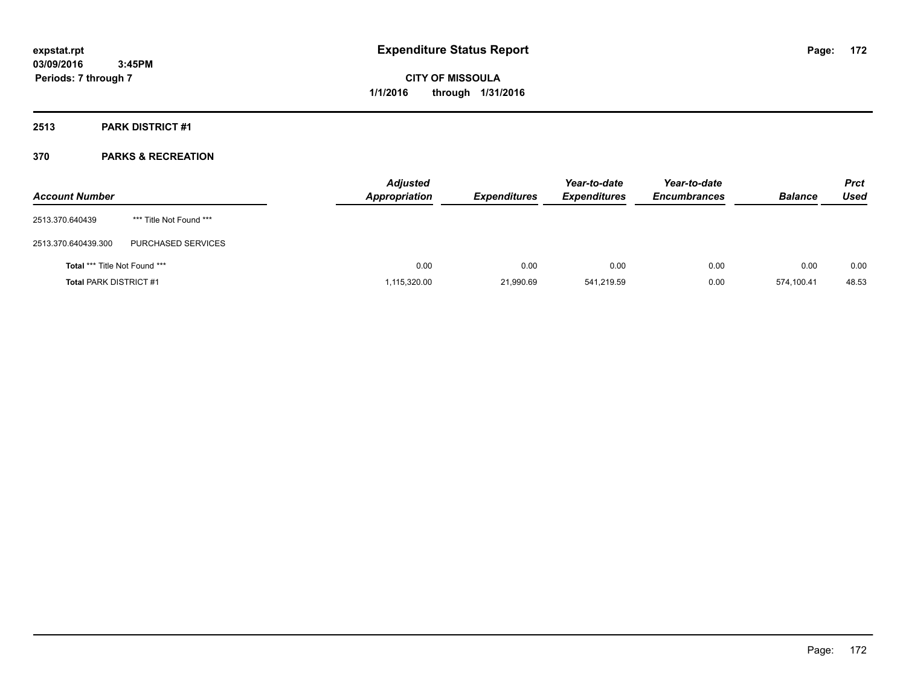### **2513 PARK DISTRICT #1**

| <b>Account Number</b>                |                         | <b>Adjusted</b><br><b>Appropriation</b> | <b>Expenditures</b> | Year-to-date<br><b>Expenditures</b> | Year-to-date<br><b>Encumbrances</b> | <b>Balance</b> | <b>Prct</b><br><b>Used</b> |
|--------------------------------------|-------------------------|-----------------------------------------|---------------------|-------------------------------------|-------------------------------------|----------------|----------------------------|
| 2513.370.640439                      | *** Title Not Found *** |                                         |                     |                                     |                                     |                |                            |
| 2513.370.640439.300                  | PURCHASED SERVICES      |                                         |                     |                                     |                                     |                |                            |
| <b>Total *** Title Not Found ***</b> |                         | 0.00                                    | 0.00                | 0.00                                | 0.00                                | 0.00           | 0.00                       |
| <b>Total PARK DISTRICT #1</b>        |                         | 1,115,320.00                            | 21,990.69           | 541,219.59                          | 0.00                                | 574.100.41     | 48.53                      |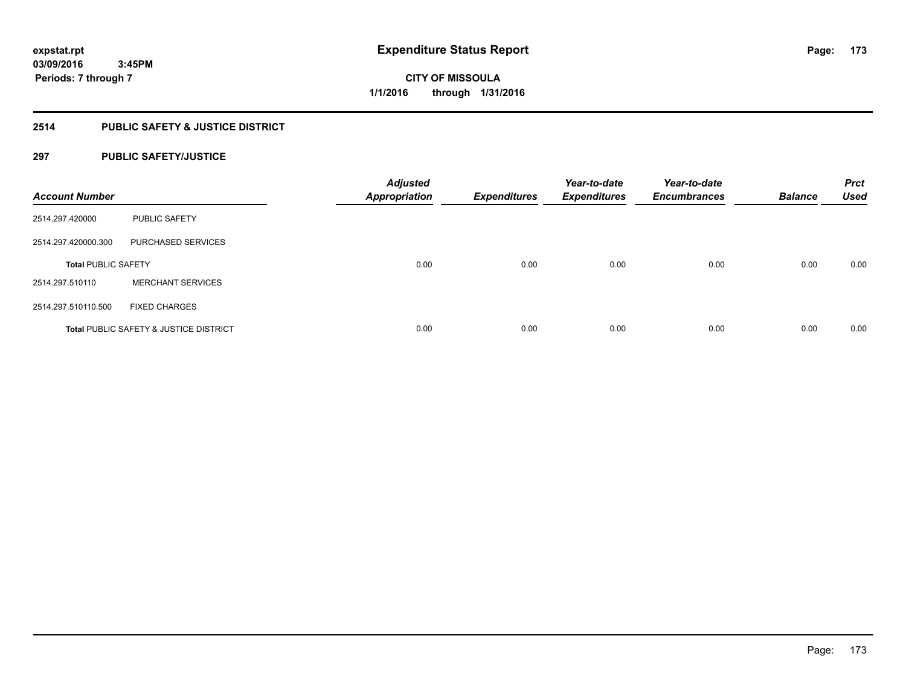### **2514 PUBLIC SAFETY & JUSTICE DISTRICT**

### **297 PUBLIC SAFETY/JUSTICE**

| <b>Account Number</b>      |                                        | <b>Adjusted</b><br><b>Appropriation</b> | <b>Expenditures</b> | Year-to-date<br><b>Expenditures</b> | Year-to-date<br><b>Encumbrances</b> | <b>Balance</b> | <b>Prct</b><br><b>Used</b> |
|----------------------------|----------------------------------------|-----------------------------------------|---------------------|-------------------------------------|-------------------------------------|----------------|----------------------------|
| 2514.297.420000            | <b>PUBLIC SAFETY</b>                   |                                         |                     |                                     |                                     |                |                            |
| 2514.297.420000.300        | PURCHASED SERVICES                     |                                         |                     |                                     |                                     |                |                            |
| <b>Total PUBLIC SAFETY</b> |                                        | 0.00                                    | 0.00                | 0.00                                | 0.00                                | 0.00           | 0.00                       |
| 2514.297.510110            | <b>MERCHANT SERVICES</b>               |                                         |                     |                                     |                                     |                |                            |
| 2514.297.510110.500        | <b>FIXED CHARGES</b>                   |                                         |                     |                                     |                                     |                |                            |
|                            | Total PUBLIC SAFETY & JUSTICE DISTRICT | 0.00                                    | 0.00                | 0.00                                | 0.00                                | 0.00           | 0.00                       |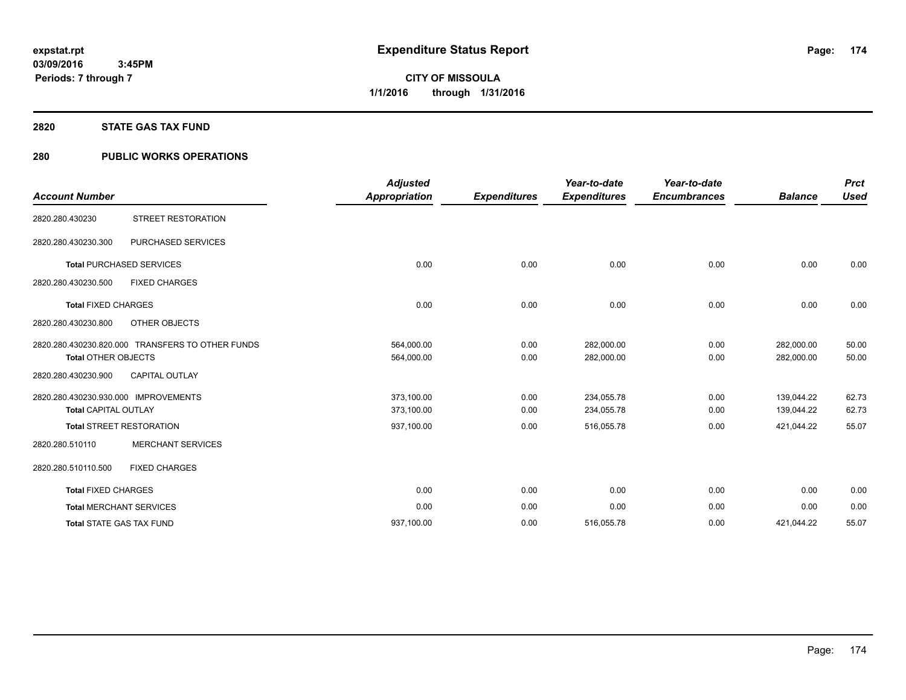#### **2820 STATE GAS TAX FUND**

### **280 PUBLIC WORKS OPERATIONS**

| <b>Account Number</b>                                               |                                                  | <b>Adjusted</b><br><b>Appropriation</b> | <b>Expenditures</b> | Year-to-date<br><b>Expenditures</b> | Year-to-date<br><b>Encumbrances</b> | <b>Balance</b>           | <b>Prct</b><br><b>Used</b> |
|---------------------------------------------------------------------|--------------------------------------------------|-----------------------------------------|---------------------|-------------------------------------|-------------------------------------|--------------------------|----------------------------|
| 2820.280.430230                                                     | STREET RESTORATION                               |                                         |                     |                                     |                                     |                          |                            |
| 2820.280.430230.300                                                 | PURCHASED SERVICES                               |                                         |                     |                                     |                                     |                          |                            |
|                                                                     | <b>Total PURCHASED SERVICES</b>                  | 0.00                                    | 0.00                | 0.00                                | 0.00                                | 0.00                     | 0.00                       |
| 2820.280.430230.500                                                 | <b>FIXED CHARGES</b>                             |                                         |                     |                                     |                                     |                          |                            |
| <b>Total FIXED CHARGES</b>                                          |                                                  | 0.00                                    | 0.00                | 0.00                                | 0.00                                | 0.00                     | 0.00                       |
| 2820.280.430230.800                                                 | OTHER OBJECTS                                    |                                         |                     |                                     |                                     |                          |                            |
| <b>Total OTHER OBJECTS</b>                                          | 2820.280.430230.820.000 TRANSFERS TO OTHER FUNDS | 564,000.00<br>564,000.00                | 0.00<br>0.00        | 282,000.00<br>282,000.00            | 0.00<br>0.00                        | 282,000.00<br>282,000.00 | 50.00<br>50.00             |
| 2820.280.430230.900                                                 | <b>CAPITAL OUTLAY</b>                            |                                         |                     |                                     |                                     |                          |                            |
| 2820.280.430230.930.000 IMPROVEMENTS<br><b>Total CAPITAL OUTLAY</b> |                                                  | 373,100.00<br>373,100.00                | 0.00<br>0.00        | 234,055.78<br>234,055.78            | 0.00<br>0.00                        | 139,044.22<br>139,044.22 | 62.73<br>62.73             |
|                                                                     | <b>Total STREET RESTORATION</b>                  | 937,100.00                              | 0.00                | 516,055.78                          | 0.00                                | 421,044.22               | 55.07                      |
| 2820.280.510110                                                     | <b>MERCHANT SERVICES</b>                         |                                         |                     |                                     |                                     |                          |                            |
| 2820.280.510110.500                                                 | <b>FIXED CHARGES</b>                             |                                         |                     |                                     |                                     |                          |                            |
| <b>Total FIXED CHARGES</b>                                          |                                                  | 0.00                                    | 0.00                | 0.00                                | 0.00                                | 0.00                     | 0.00                       |
|                                                                     | <b>Total MERCHANT SERVICES</b>                   | 0.00                                    | 0.00                | 0.00                                | 0.00                                | 0.00                     | 0.00                       |
| <b>Total STATE GAS TAX FUND</b>                                     |                                                  | 937.100.00                              | 0.00                | 516.055.78                          | 0.00                                | 421.044.22               | 55.07                      |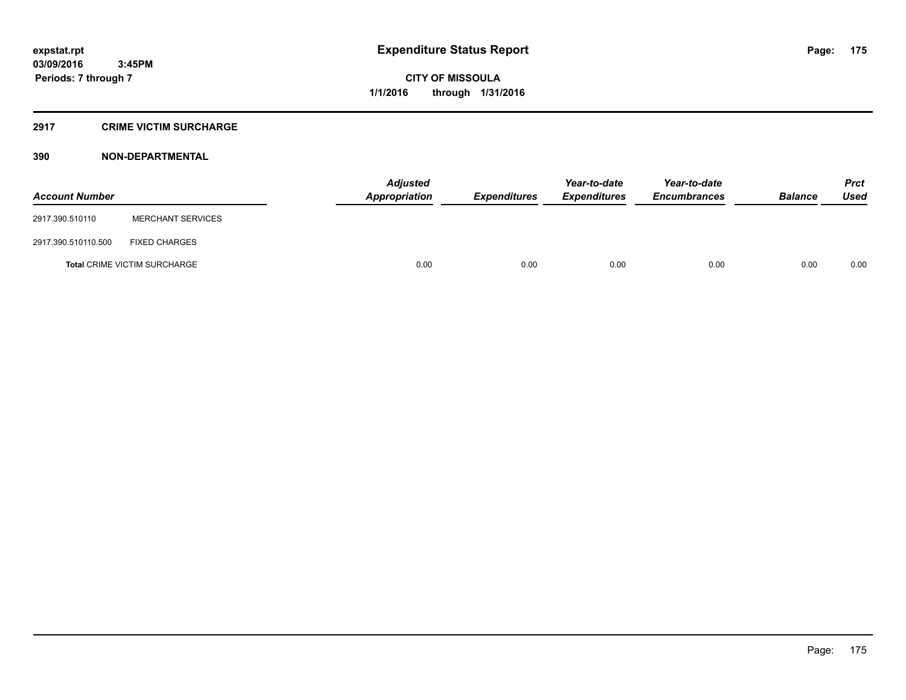#### **2917 CRIME VICTIM SURCHARGE**

| <b>Account Number</b> |                                     | Adjusted<br><b>Appropriation</b> | <b>Expenditures</b> | Year-to-date<br><b>Expenditures</b> | Year-to-date<br><b>Encumbrances</b> | <b>Balance</b> | <b>Prct</b><br><b>Used</b> |
|-----------------------|-------------------------------------|----------------------------------|---------------------|-------------------------------------|-------------------------------------|----------------|----------------------------|
| 2917.390.510110       | <b>MERCHANT SERVICES</b>            |                                  |                     |                                     |                                     |                |                            |
| 2917.390.510110.500   | <b>FIXED CHARGES</b>                |                                  |                     |                                     |                                     |                |                            |
|                       | <b>Total CRIME VICTIM SURCHARGE</b> | 0.00                             | 0.00                | 0.00                                | 0.00                                | 0.00           | 0.00                       |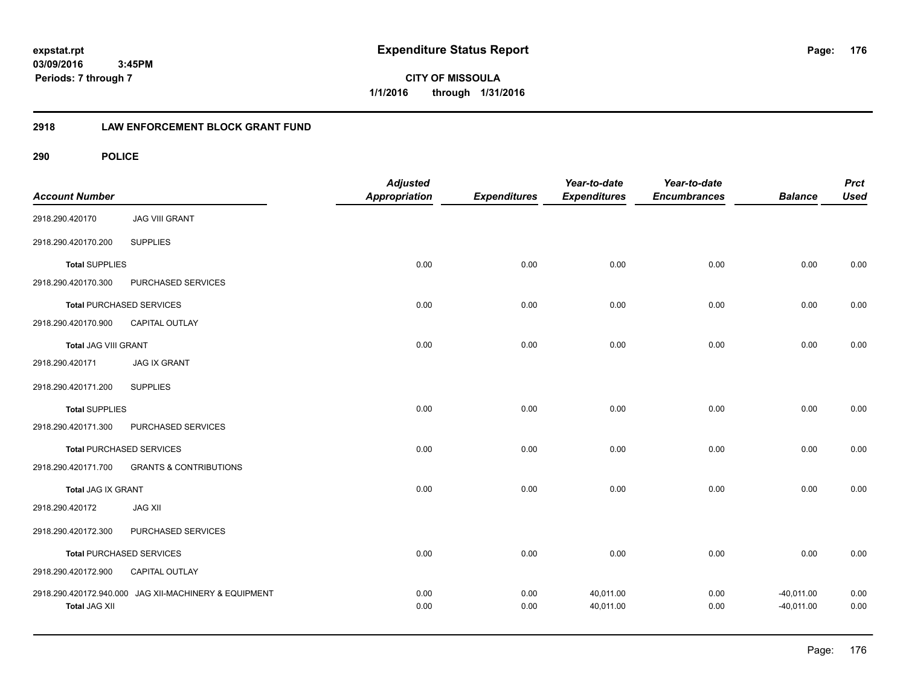**CITY OF MISSOULA 1/1/2016 through 1/31/2016**

### **2918 LAW ENFORCEMENT BLOCK GRANT FUND**

| <b>Account Number</b>     |                                                       | <b>Adjusted</b><br>Appropriation | <b>Expenditures</b> | Year-to-date<br><b>Expenditures</b> | Year-to-date<br><b>Encumbrances</b> | <b>Balance</b>               | <b>Prct</b><br><b>Used</b> |
|---------------------------|-------------------------------------------------------|----------------------------------|---------------------|-------------------------------------|-------------------------------------|------------------------------|----------------------------|
| 2918.290.420170           | <b>JAG VIII GRANT</b>                                 |                                  |                     |                                     |                                     |                              |                            |
| 2918.290.420170.200       | <b>SUPPLIES</b>                                       |                                  |                     |                                     |                                     |                              |                            |
| <b>Total SUPPLIES</b>     |                                                       | 0.00                             | 0.00                | 0.00                                | 0.00                                | 0.00                         | 0.00                       |
| 2918.290.420170.300       | PURCHASED SERVICES                                    |                                  |                     |                                     |                                     |                              |                            |
|                           | <b>Total PURCHASED SERVICES</b>                       | 0.00                             | 0.00                | 0.00                                | 0.00                                | 0.00                         | 0.00                       |
| 2918.290.420170.900       | CAPITAL OUTLAY                                        |                                  |                     |                                     |                                     |                              |                            |
| Total JAG VIII GRANT      |                                                       | 0.00                             | 0.00                | 0.00                                | 0.00                                | 0.00                         | 0.00                       |
| 2918.290.420171           | <b>JAG IX GRANT</b>                                   |                                  |                     |                                     |                                     |                              |                            |
| 2918.290.420171.200       | <b>SUPPLIES</b>                                       |                                  |                     |                                     |                                     |                              |                            |
| <b>Total SUPPLIES</b>     |                                                       | 0.00                             | 0.00                | 0.00                                | 0.00                                | 0.00                         | 0.00                       |
| 2918.290.420171.300       | PURCHASED SERVICES                                    |                                  |                     |                                     |                                     |                              |                            |
|                           | <b>Total PURCHASED SERVICES</b>                       | 0.00                             | 0.00                | 0.00                                | 0.00                                | 0.00                         | 0.00                       |
| 2918.290.420171.700       | <b>GRANTS &amp; CONTRIBUTIONS</b>                     |                                  |                     |                                     |                                     |                              |                            |
| <b>Total JAG IX GRANT</b> |                                                       | 0.00                             | 0.00                | 0.00                                | 0.00                                | 0.00                         | 0.00                       |
| 2918.290.420172           | <b>JAG XII</b>                                        |                                  |                     |                                     |                                     |                              |                            |
| 2918.290.420172.300       | PURCHASED SERVICES                                    |                                  |                     |                                     |                                     |                              |                            |
|                           | <b>Total PURCHASED SERVICES</b>                       | 0.00                             | 0.00                | 0.00                                | 0.00                                | 0.00                         | 0.00                       |
| 2918.290.420172.900       | CAPITAL OUTLAY                                        |                                  |                     |                                     |                                     |                              |                            |
| <b>Total JAG XII</b>      | 2918.290.420172.940.000 JAG XII-MACHINERY & EQUIPMENT | 0.00<br>0.00                     | 0.00<br>0.00        | 40,011.00<br>40,011.00              | 0.00<br>0.00                        | $-40,011.00$<br>$-40,011.00$ | 0.00<br>0.00               |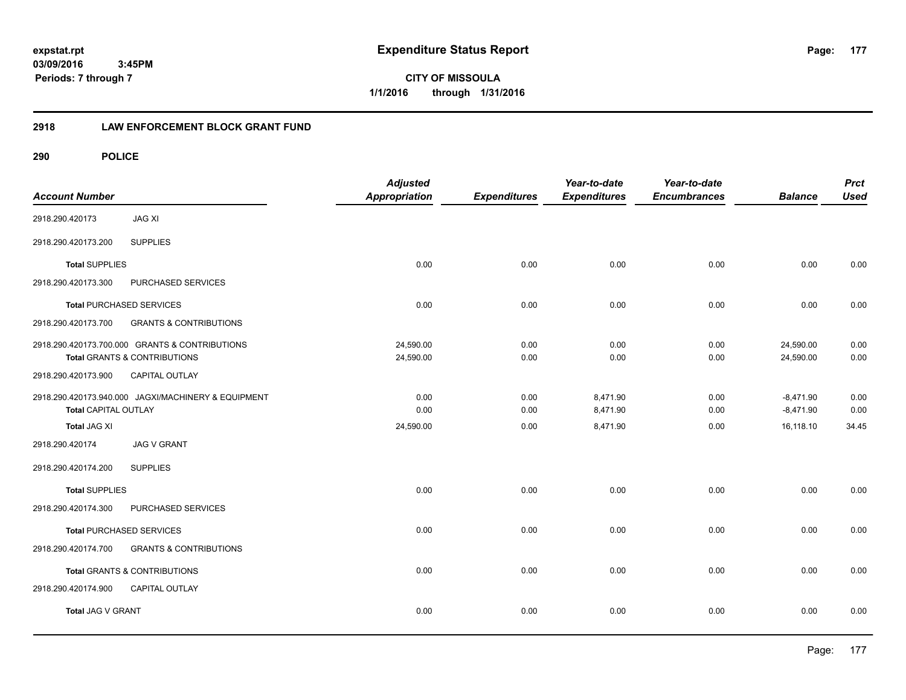**CITY OF MISSOULA 1/1/2016 through 1/31/2016**

### **2918 LAW ENFORCEMENT BLOCK GRANT FUND**

| <b>Account Number</b>       |                                                                                | <b>Adjusted</b><br><b>Appropriation</b> | <b>Expenditures</b> | Year-to-date<br><b>Expenditures</b> | Year-to-date<br><b>Encumbrances</b> | <b>Balance</b>             | <b>Prct</b><br><b>Used</b> |
|-----------------------------|--------------------------------------------------------------------------------|-----------------------------------------|---------------------|-------------------------------------|-------------------------------------|----------------------------|----------------------------|
| 2918.290.420173             | <b>JAG XI</b>                                                                  |                                         |                     |                                     |                                     |                            |                            |
| 2918.290.420173.200         | <b>SUPPLIES</b>                                                                |                                         |                     |                                     |                                     |                            |                            |
| <b>Total SUPPLIES</b>       |                                                                                | 0.00                                    | 0.00                | 0.00                                | 0.00                                | 0.00                       | 0.00                       |
| 2918.290.420173.300         | PURCHASED SERVICES                                                             |                                         |                     |                                     |                                     |                            |                            |
|                             | <b>Total PURCHASED SERVICES</b>                                                | 0.00                                    | 0.00                | 0.00                                | 0.00                                | 0.00                       | 0.00                       |
| 2918.290.420173.700         | <b>GRANTS &amp; CONTRIBUTIONS</b>                                              |                                         |                     |                                     |                                     |                            |                            |
|                             | 2918.290.420173.700.000 GRANTS & CONTRIBUTIONS<br>Total GRANTS & CONTRIBUTIONS | 24,590.00<br>24,590.00                  | 0.00<br>0.00        | 0.00<br>0.00                        | 0.00<br>0.00                        | 24,590.00<br>24,590.00     | 0.00<br>0.00               |
| 2918.290.420173.900         | <b>CAPITAL OUTLAY</b>                                                          |                                         |                     |                                     |                                     |                            |                            |
| <b>Total CAPITAL OUTLAY</b> | 2918.290.420173.940.000 JAGXI/MACHINERY & EQUIPMENT                            | 0.00<br>0.00                            | 0.00<br>0.00        | 8,471.90<br>8,471.90                | 0.00<br>0.00                        | $-8,471.90$<br>$-8,471.90$ | 0.00<br>0.00               |
| Total JAG XI                |                                                                                | 24,590.00                               | 0.00                | 8,471.90                            | 0.00                                | 16,118.10                  | 34.45                      |
| 2918.290.420174             | <b>JAG V GRANT</b>                                                             |                                         |                     |                                     |                                     |                            |                            |
| 2918.290.420174.200         | <b>SUPPLIES</b>                                                                |                                         |                     |                                     |                                     |                            |                            |
| <b>Total SUPPLIES</b>       |                                                                                | 0.00                                    | 0.00                | 0.00                                | 0.00                                | 0.00                       | 0.00                       |
| 2918.290.420174.300         | PURCHASED SERVICES                                                             |                                         |                     |                                     |                                     |                            |                            |
|                             | <b>Total PURCHASED SERVICES</b>                                                | 0.00                                    | 0.00                | 0.00                                | 0.00                                | 0.00                       | 0.00                       |
| 2918.290.420174.700         | <b>GRANTS &amp; CONTRIBUTIONS</b>                                              |                                         |                     |                                     |                                     |                            |                            |
|                             | Total GRANTS & CONTRIBUTIONS                                                   | 0.00                                    | 0.00                | 0.00                                | 0.00                                | 0.00                       | 0.00                       |
| 2918.290.420174.900         | <b>CAPITAL OUTLAY</b>                                                          |                                         |                     |                                     |                                     |                            |                            |
| Total JAG V GRANT           |                                                                                | 0.00                                    | 0.00                | 0.00                                | 0.00                                | 0.00                       | 0.00                       |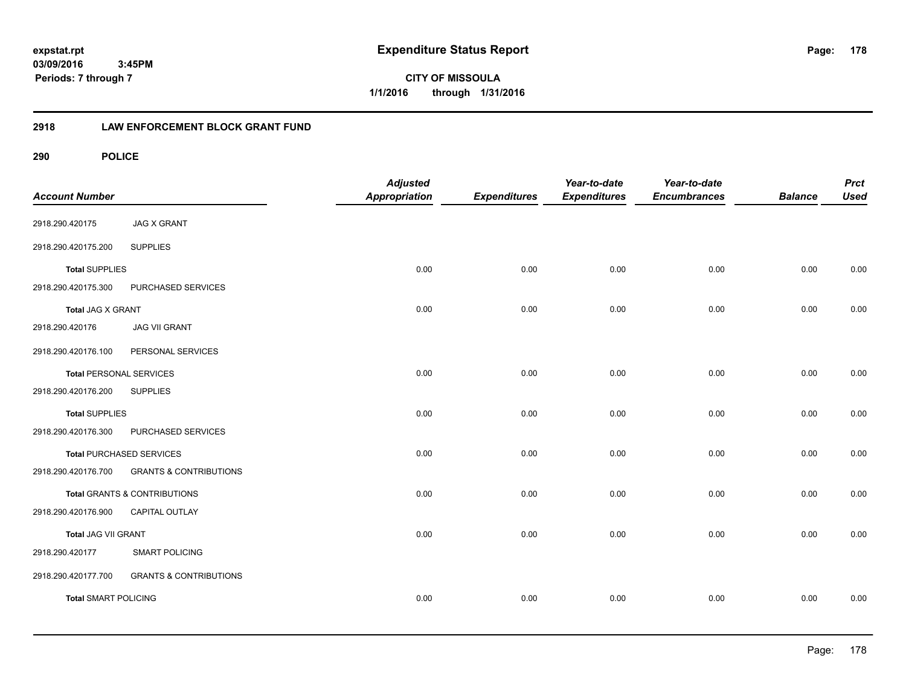**CITY OF MISSOULA 1/1/2016 through 1/31/2016**

### **2918 LAW ENFORCEMENT BLOCK GRANT FUND**

| <b>Account Number</b>          |                                         | <b>Adjusted</b><br><b>Appropriation</b> | <b>Expenditures</b> | Year-to-date<br><b>Expenditures</b> | Year-to-date<br><b>Encumbrances</b> | <b>Balance</b> | <b>Prct</b><br><b>Used</b> |
|--------------------------------|-----------------------------------------|-----------------------------------------|---------------------|-------------------------------------|-------------------------------------|----------------|----------------------------|
| 2918.290.420175                | <b>JAG X GRANT</b>                      |                                         |                     |                                     |                                     |                |                            |
| 2918.290.420175.200            | <b>SUPPLIES</b>                         |                                         |                     |                                     |                                     |                |                            |
| <b>Total SUPPLIES</b>          |                                         | 0.00                                    | 0.00                | 0.00                                | 0.00                                | 0.00           | 0.00                       |
| 2918.290.420175.300            | PURCHASED SERVICES                      |                                         |                     |                                     |                                     |                |                            |
| Total JAG X GRANT              |                                         | 0.00                                    | 0.00                | 0.00                                | 0.00                                | 0.00           | 0.00                       |
| 2918.290.420176                | <b>JAG VII GRANT</b>                    |                                         |                     |                                     |                                     |                |                            |
| 2918.290.420176.100            | PERSONAL SERVICES                       |                                         |                     |                                     |                                     |                |                            |
| <b>Total PERSONAL SERVICES</b> |                                         | 0.00                                    | 0.00                | 0.00                                | 0.00                                | 0.00           | 0.00                       |
| 2918.290.420176.200            | <b>SUPPLIES</b>                         |                                         |                     |                                     |                                     |                |                            |
| <b>Total SUPPLIES</b>          |                                         | 0.00                                    | 0.00                | 0.00                                | 0.00                                | 0.00           | 0.00                       |
| 2918.290.420176.300            | PURCHASED SERVICES                      |                                         |                     |                                     |                                     |                |                            |
|                                | <b>Total PURCHASED SERVICES</b>         | 0.00                                    | 0.00                | 0.00                                | 0.00                                | 0.00           | 0.00                       |
| 2918.290.420176.700            | <b>GRANTS &amp; CONTRIBUTIONS</b>       |                                         |                     |                                     |                                     |                |                            |
|                                | <b>Total GRANTS &amp; CONTRIBUTIONS</b> | 0.00                                    | 0.00                | 0.00                                | 0.00                                | 0.00           | 0.00                       |
| 2918.290.420176.900            | CAPITAL OUTLAY                          |                                         |                     |                                     |                                     |                |                            |
| Total JAG VII GRANT            |                                         | 0.00                                    | 0.00                | 0.00                                | 0.00                                | 0.00           | 0.00                       |
| 2918.290.420177                | <b>SMART POLICING</b>                   |                                         |                     |                                     |                                     |                |                            |
| 2918.290.420177.700            | <b>GRANTS &amp; CONTRIBUTIONS</b>       |                                         |                     |                                     |                                     |                |                            |
| <b>Total SMART POLICING</b>    |                                         | 0.00                                    | 0.00                | 0.00                                | 0.00                                | 0.00           | 0.00                       |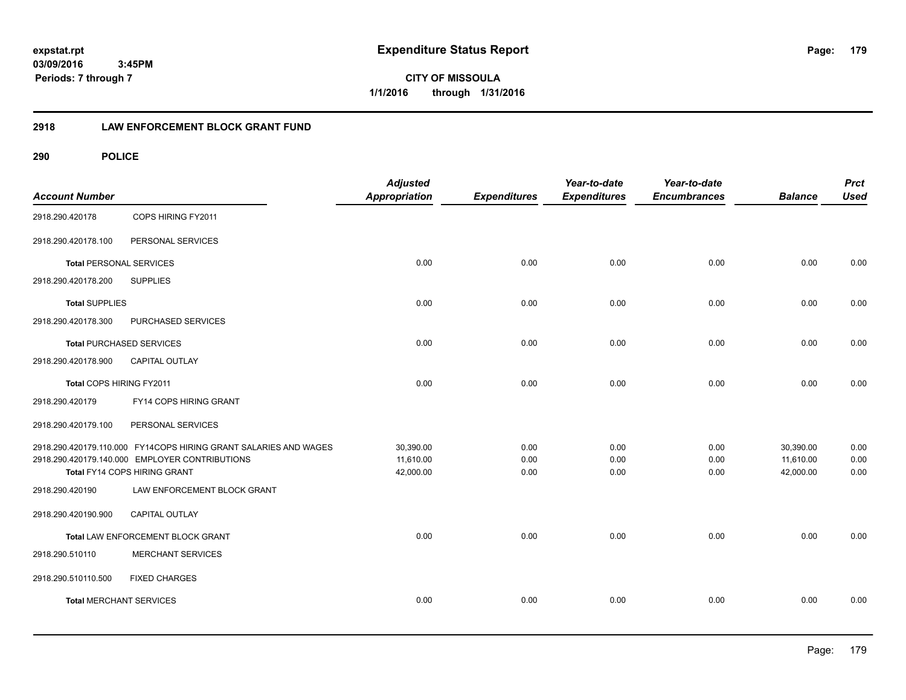**CITY OF MISSOULA 1/1/2016 through 1/31/2016**

### **2918 LAW ENFORCEMENT BLOCK GRANT FUND**

| <b>Account Number</b>           |                                                                  | <b>Adjusted</b><br><b>Appropriation</b> | <b>Expenditures</b> | Year-to-date<br><b>Expenditures</b> | Year-to-date<br><b>Encumbrances</b> | <b>Balance</b> | <b>Prct</b><br><b>Used</b> |
|---------------------------------|------------------------------------------------------------------|-----------------------------------------|---------------------|-------------------------------------|-------------------------------------|----------------|----------------------------|
| 2918.290.420178                 | COPS HIRING FY2011                                               |                                         |                     |                                     |                                     |                |                            |
| 2918.290.420178.100             | PERSONAL SERVICES                                                |                                         |                     |                                     |                                     |                |                            |
| <b>Total PERSONAL SERVICES</b>  |                                                                  | 0.00                                    | 0.00                | 0.00                                | 0.00                                | 0.00           | 0.00                       |
| 2918.290.420178.200             | <b>SUPPLIES</b>                                                  |                                         |                     |                                     |                                     |                |                            |
| <b>Total SUPPLIES</b>           |                                                                  | 0.00                                    | 0.00                | 0.00                                | 0.00                                | 0.00           | 0.00                       |
| 2918.290.420178.300             | PURCHASED SERVICES                                               |                                         |                     |                                     |                                     |                |                            |
| <b>Total PURCHASED SERVICES</b> |                                                                  | 0.00                                    | 0.00                | 0.00                                | 0.00                                | 0.00           | 0.00                       |
| 2918.290.420178.900             | <b>CAPITAL OUTLAY</b>                                            |                                         |                     |                                     |                                     |                |                            |
| Total COPS HIRING FY2011        |                                                                  | 0.00                                    | 0.00                | 0.00                                | 0.00                                | 0.00           | 0.00                       |
| 2918.290.420179                 | FY14 COPS HIRING GRANT                                           |                                         |                     |                                     |                                     |                |                            |
| 2918.290.420179.100             | PERSONAL SERVICES                                                |                                         |                     |                                     |                                     |                |                            |
|                                 | 2918.290.420179.110.000 FY14COPS HIRING GRANT SALARIES AND WAGES | 30,390.00                               | 0.00                | 0.00                                | 0.00                                | 30,390.00      | 0.00                       |
|                                 | 2918.290.420179.140.000 EMPLOYER CONTRIBUTIONS                   | 11,610.00                               | 0.00                | 0.00                                | 0.00                                | 11,610.00      | 0.00                       |
|                                 | Total FY14 COPS HIRING GRANT                                     | 42,000.00                               | 0.00                | 0.00                                | 0.00                                | 42,000.00      | 0.00                       |
| 2918.290.420190                 | LAW ENFORCEMENT BLOCK GRANT                                      |                                         |                     |                                     |                                     |                |                            |
| 2918.290.420190.900             | CAPITAL OUTLAY                                                   |                                         |                     |                                     |                                     |                |                            |
|                                 | Total LAW ENFORCEMENT BLOCK GRANT                                | 0.00                                    | 0.00                | 0.00                                | 0.00                                | 0.00           | 0.00                       |
| 2918.290.510110                 | <b>MERCHANT SERVICES</b>                                         |                                         |                     |                                     |                                     |                |                            |
| 2918.290.510110.500             | <b>FIXED CHARGES</b>                                             |                                         |                     |                                     |                                     |                |                            |
| <b>Total MERCHANT SERVICES</b>  |                                                                  | 0.00                                    | 0.00                | 0.00                                | 0.00                                | 0.00           | 0.00                       |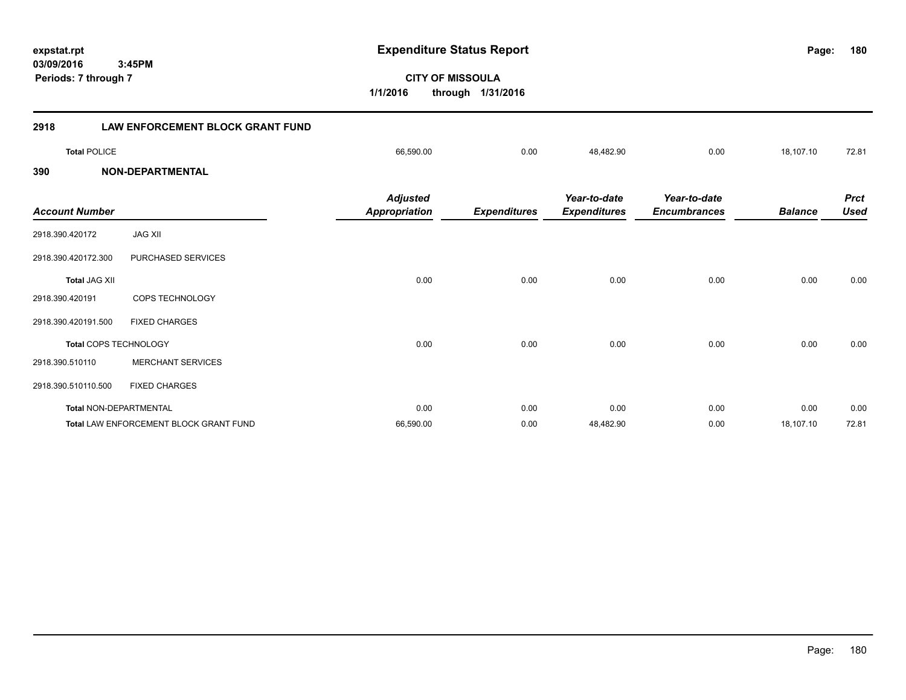**CITY OF MISSOULA 1/1/2016 through 1/31/2016 Periods: 7 through 7 2918 LAW ENFORCEMENT BLOCK GRANT FUND Total** POLICE 66,590.00 0.00 48,482.90 0.00 18,107.10 72.81 **390 NON-DEPARTMENTAL** *Prct Balance Used Year-to-date Encumbrances Year-to-date Expenditures Expenditures Adjusted Account Number Appropriation* 2918.390.420172 JAG XII 2918.390.420172.300 PURCHASED SERVICES **Total** JAG XII 0.00 0.00 0.00 0.00 0.00 0.00 2918.390.420191 COPS TECHNOLOGY 2918.390.420191.500 FIXED CHARGES **Total** COPS TECHNOLOGY 0.00 0.00 0.00 0.00 0.00 0.00 2918.390.510110 MERCHANT SERVICES 2918.390.510110.500 FIXED CHARGES **Total** NON-DEPARTMENTAL 0.00 0.00 0.00 0.00 0.00 0.00 Total LAW ENFORCEMENT BLOCK GRANT FUND **66,590.00** 66,590.00 66,590.00 66,590.00 48,482.90 0.00 18,107.10 72.81

### **expstat.rpt Expenditure Status Report Page:**

#### **180**

# **03/09/2016 3:45PM**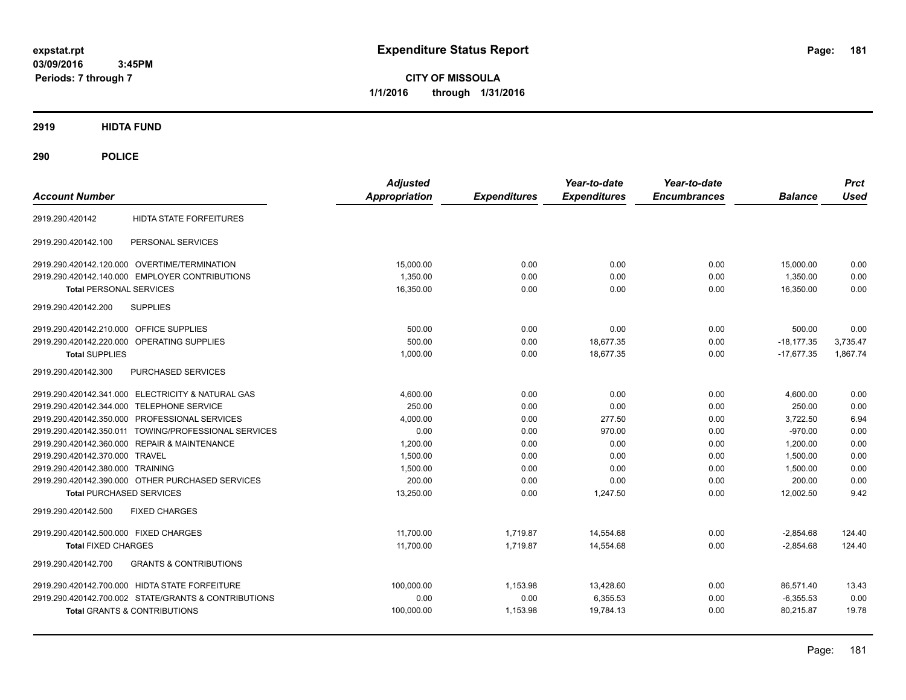**CITY OF MISSOULA 1/1/2016 through 1/31/2016**

# **2919 HIDTA FUND**

# **290 POLICE**

| <b>Account Number</b>                                    | <b>Adjusted</b><br>Appropriation | <b>Expenditures</b> | Year-to-date<br><b>Expenditures</b> | Year-to-date<br><b>Encumbrances</b> | <b>Balance</b> | <b>Prct</b><br><b>Used</b> |
|----------------------------------------------------------|----------------------------------|---------------------|-------------------------------------|-------------------------------------|----------------|----------------------------|
|                                                          |                                  |                     |                                     |                                     |                |                            |
| <b>HIDTA STATE FORFEITURES</b><br>2919.290.420142        |                                  |                     |                                     |                                     |                |                            |
| PERSONAL SERVICES<br>2919.290.420142.100                 |                                  |                     |                                     |                                     |                |                            |
| 2919.290.420142.120.000 OVERTIME/TERMINATION             | 15.000.00                        | 0.00                | 0.00                                | 0.00                                | 15,000.00      | 0.00                       |
| 2919.290.420142.140.000 EMPLOYER CONTRIBUTIONS           | 1,350.00                         | 0.00                | 0.00                                | 0.00                                | 1,350.00       | 0.00                       |
| <b>Total PERSONAL SERVICES</b>                           | 16,350.00                        | 0.00                | 0.00                                | 0.00                                | 16,350.00      | 0.00                       |
| 2919.290.420142.200<br><b>SUPPLIES</b>                   |                                  |                     |                                     |                                     |                |                            |
| 2919.290.420142.210.000 OFFICE SUPPLIES                  | 500.00                           | 0.00                | 0.00                                | 0.00                                | 500.00         | 0.00                       |
| <b>OPERATING SUPPLIES</b><br>2919.290.420142.220.000     | 500.00                           | 0.00                | 18.677.35                           | 0.00                                | $-18.177.35$   | 3,735.47                   |
| <b>Total SUPPLIES</b>                                    | 1,000.00                         | 0.00                | 18.677.35                           | 0.00                                | $-17.677.35$   | 1,867.74                   |
| 2919.290.420142.300<br>PURCHASED SERVICES                |                                  |                     |                                     |                                     |                |                            |
| 2919.290.420142.341.000 ELECTRICITY & NATURAL GAS        | 4,600.00                         | 0.00                | 0.00                                | 0.00                                | 4,600.00       | 0.00                       |
| 2919.290.420142.344.000 TELEPHONE SERVICE                | 250.00                           | 0.00                | 0.00                                | 0.00                                | 250.00         | 0.00                       |
| 2919.290.420142.350.000 PROFESSIONAL SERVICES            | 4.000.00                         | 0.00                | 277.50                              | 0.00                                | 3.722.50       | 6.94                       |
| 2919.290.420142.350.011 TOWING/PROFESSIONAL SERVICES     | 0.00                             | 0.00                | 970.00                              | 0.00                                | $-970.00$      | 0.00                       |
| 2919.290.420142.360.000 REPAIR & MAINTENANCE             | 1,200.00                         | 0.00                | 0.00                                | 0.00                                | 1.200.00       | 0.00                       |
| 2919.290.420142.370.000 TRAVEL                           | 1,500.00                         | 0.00                | 0.00                                | 0.00                                | 1,500.00       | 0.00                       |
| 2919.290.420142.380.000 TRAINING                         | 1,500.00                         | 0.00                | 0.00                                | 0.00                                | 1,500.00       | 0.00                       |
| 2919.290.420142.390.000 OTHER PURCHASED SERVICES         | 200.00                           | 0.00                | 0.00                                | 0.00                                | 200.00         | 0.00                       |
| <b>Total PURCHASED SERVICES</b>                          | 13,250.00                        | 0.00                | 1,247.50                            | 0.00                                | 12,002.50      | 9.42                       |
| <b>FIXED CHARGES</b><br>2919.290.420142.500              |                                  |                     |                                     |                                     |                |                            |
| 2919.290.420142.500.000 FIXED CHARGES                    | 11,700.00                        | 1,719.87            | 14,554.68                           | 0.00                                | $-2,854.68$    | 124.40                     |
| <b>Total FIXED CHARGES</b>                               | 11,700.00                        | 1,719.87            | 14,554.68                           | 0.00                                | $-2,854.68$    | 124.40                     |
| <b>GRANTS &amp; CONTRIBUTIONS</b><br>2919.290.420142.700 |                                  |                     |                                     |                                     |                |                            |
| 2919.290.420142.700.000 HIDTA STATE FORFEITURE           | 100,000.00                       | 1,153.98            | 13,428.60                           | 0.00                                | 86,571.40      | 13.43                      |
| 2919.290.420142.700.002 STATE/GRANTS & CONTRIBUTIONS     | 0.00                             | 0.00                | 6,355.53                            | 0.00                                | $-6,355.53$    | 0.00                       |
| <b>Total GRANTS &amp; CONTRIBUTIONS</b>                  | 100,000.00                       | 1,153.98            | 19,784.13                           | 0.00                                | 80,215.87      | 19.78                      |
|                                                          |                                  |                     |                                     |                                     |                |                            |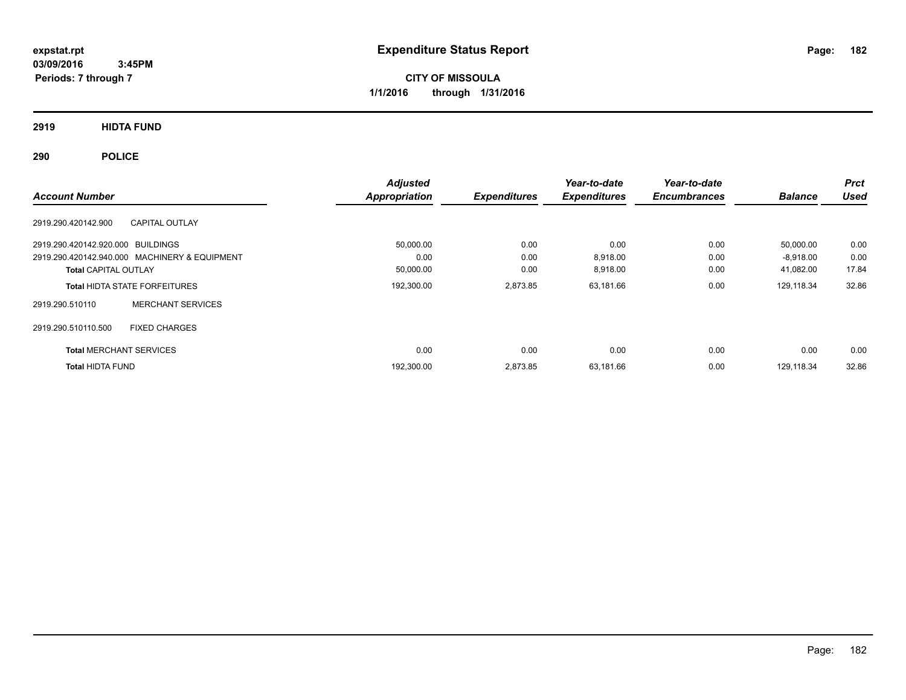**CITY OF MISSOULA 1/1/2016 through 1/31/2016**

**2919 HIDTA FUND**

**290 POLICE**

| <b>Account Number</b>             |                                               | <b>Adjusted</b><br>Appropriation | <b>Expenditures</b> | Year-to-date<br><b>Expenditures</b> | Year-to-date<br><b>Encumbrances</b> | <b>Balance</b> | <b>Prct</b><br><b>Used</b> |
|-----------------------------------|-----------------------------------------------|----------------------------------|---------------------|-------------------------------------|-------------------------------------|----------------|----------------------------|
| 2919.290.420142.900               | <b>CAPITAL OUTLAY</b>                         |                                  |                     |                                     |                                     |                |                            |
| 2919.290.420142.920.000 BUILDINGS |                                               | 50,000.00                        | 0.00                | 0.00                                | 0.00                                | 50,000.00      | 0.00                       |
|                                   | 2919.290.420142.940.000 MACHINERY & EQUIPMENT | 0.00                             | 0.00                | 8,918.00                            | 0.00                                | $-8,918.00$    | 0.00                       |
| <b>Total CAPITAL OUTLAY</b>       |                                               | 50,000.00                        | 0.00                | 8,918.00                            | 0.00                                | 41,082.00      | 17.84                      |
|                                   | <b>Total HIDTA STATE FORFEITURES</b>          | 192,300.00                       | 2,873.85            | 63,181.66                           | 0.00                                | 129,118.34     | 32.86                      |
| 2919.290.510110                   | <b>MERCHANT SERVICES</b>                      |                                  |                     |                                     |                                     |                |                            |
| 2919.290.510110.500               | <b>FIXED CHARGES</b>                          |                                  |                     |                                     |                                     |                |                            |
| <b>Total MERCHANT SERVICES</b>    |                                               | 0.00                             | 0.00                | 0.00                                | 0.00                                | 0.00           | 0.00                       |
| <b>Total HIDTA FUND</b>           |                                               | 192,300.00                       | 2.873.85            | 63.181.66                           | 0.00                                | 129.118.34     | 32.86                      |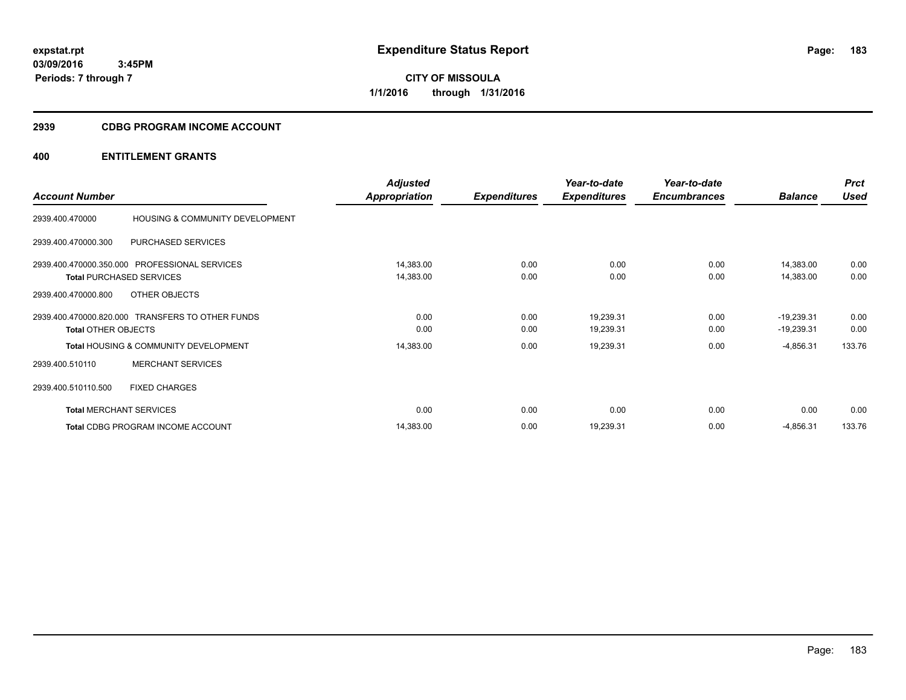**CITY OF MISSOULA 1/1/2016 through 1/31/2016**

# **2939 CDBG PROGRAM INCOME ACCOUNT**

|                            |                                                  | <b>Adjusted</b> |                     | Year-to-date        | Year-to-date        |                | <b>Prct</b> |
|----------------------------|--------------------------------------------------|-----------------|---------------------|---------------------|---------------------|----------------|-------------|
| <b>Account Number</b>      |                                                  | Appropriation   | <b>Expenditures</b> | <b>Expenditures</b> | <b>Encumbrances</b> | <b>Balance</b> | <b>Used</b> |
| 2939.400.470000            | HOUSING & COMMUNITY DEVELOPMENT                  |                 |                     |                     |                     |                |             |
| 2939.400.470000.300        | PURCHASED SERVICES                               |                 |                     |                     |                     |                |             |
|                            | 2939.400.470000.350.000 PROFESSIONAL SERVICES    | 14,383.00       | 0.00                | 0.00                | 0.00                | 14,383.00      | 0.00        |
|                            | <b>Total PURCHASED SERVICES</b>                  | 14,383.00       | 0.00                | 0.00                | 0.00                | 14,383.00      | 0.00        |
| 2939.400.470000.800        | OTHER OBJECTS                                    |                 |                     |                     |                     |                |             |
|                            | 2939.400.470000.820.000 TRANSFERS TO OTHER FUNDS | 0.00            | 0.00                | 19,239.31           | 0.00                | $-19,239.31$   | 0.00        |
| <b>Total OTHER OBJECTS</b> |                                                  | 0.00            | 0.00                | 19,239.31           | 0.00                | $-19,239.31$   | 0.00        |
|                            | <b>Total HOUSING &amp; COMMUNITY DEVELOPMENT</b> | 14,383.00       | 0.00                | 19,239.31           | 0.00                | $-4,856.31$    | 133.76      |
| 2939.400.510110            | <b>MERCHANT SERVICES</b>                         |                 |                     |                     |                     |                |             |
| 2939.400.510110.500        | <b>FIXED CHARGES</b>                             |                 |                     |                     |                     |                |             |
|                            | <b>Total MERCHANT SERVICES</b>                   | 0.00            | 0.00                | 0.00                | 0.00                | 0.00           | 0.00        |
|                            | Total CDBG PROGRAM INCOME ACCOUNT                | 14,383.00       | 0.00                | 19,239.31           | 0.00                | $-4,856.31$    | 133.76      |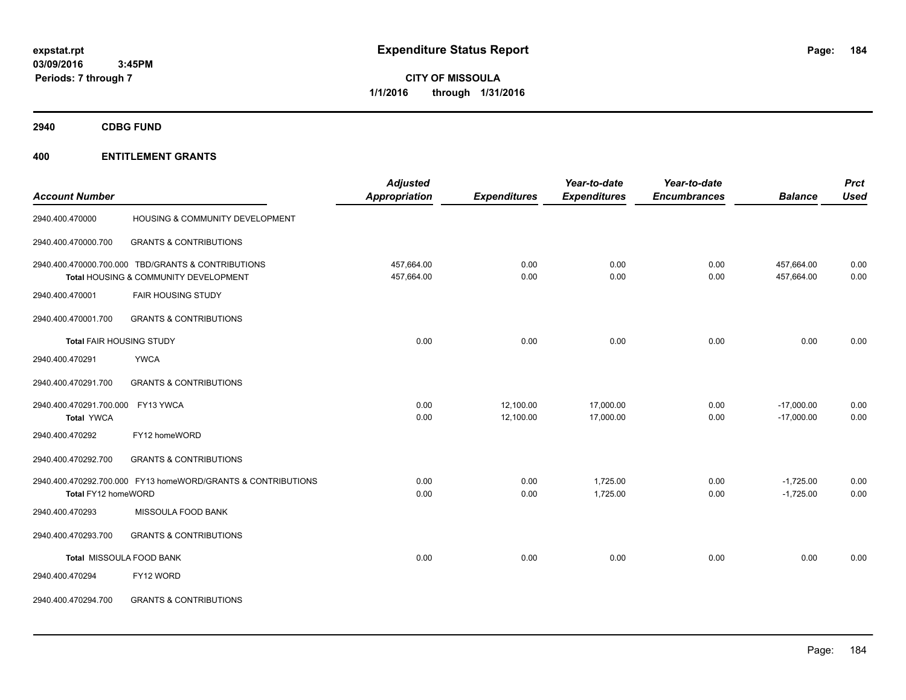**CITY OF MISSOULA 1/1/2016 through 1/31/2016**

**2940 CDBG FUND**

|                                 |                                                              | <b>Adjusted</b> |                     | Year-to-date        | Year-to-date        |                | <b>Prct</b> |
|---------------------------------|--------------------------------------------------------------|-----------------|---------------------|---------------------|---------------------|----------------|-------------|
| <b>Account Number</b>           |                                                              | Appropriation   | <b>Expenditures</b> | <b>Expenditures</b> | <b>Encumbrances</b> | <b>Balance</b> | <b>Used</b> |
| 2940.400.470000                 | HOUSING & COMMUNITY DEVELOPMENT                              |                 |                     |                     |                     |                |             |
| 2940.400.470000.700             | <b>GRANTS &amp; CONTRIBUTIONS</b>                            |                 |                     |                     |                     |                |             |
|                                 | 2940.400.470000.700.000 TBD/GRANTS & CONTRIBUTIONS           | 457,664.00      | 0.00                | 0.00                | 0.00                | 457,664.00     | 0.00        |
|                                 | Total HOUSING & COMMUNITY DEVELOPMENT                        | 457,664.00      | 0.00                | 0.00                | 0.00                | 457,664.00     | 0.00        |
| 2940.400.470001                 | <b>FAIR HOUSING STUDY</b>                                    |                 |                     |                     |                     |                |             |
| 2940.400.470001.700             | <b>GRANTS &amp; CONTRIBUTIONS</b>                            |                 |                     |                     |                     |                |             |
| <b>Total FAIR HOUSING STUDY</b> |                                                              | 0.00            | 0.00                | 0.00                | 0.00                | 0.00           | 0.00        |
| 2940.400.470291                 | <b>YWCA</b>                                                  |                 |                     |                     |                     |                |             |
| 2940.400.470291.700             | <b>GRANTS &amp; CONTRIBUTIONS</b>                            |                 |                     |                     |                     |                |             |
| 2940.400.470291.700.000         | FY13 YWCA                                                    | 0.00            | 12,100.00           | 17,000.00           | 0.00                | $-17,000.00$   | 0.00        |
| <b>Total YWCA</b>               |                                                              | 0.00            | 12,100.00           | 17,000.00           | 0.00                | $-17,000.00$   | 0.00        |
| 2940.400.470292                 | FY12 homeWORD                                                |                 |                     |                     |                     |                |             |
| 2940.400.470292.700             | <b>GRANTS &amp; CONTRIBUTIONS</b>                            |                 |                     |                     |                     |                |             |
|                                 | 2940.400.470292.700.000 FY13 homeWORD/GRANTS & CONTRIBUTIONS | 0.00            | 0.00                | 1,725.00            | 0.00                | $-1,725.00$    | 0.00        |
| Total FY12 homeWORD             |                                                              | 0.00            | 0.00                | 1,725.00            | 0.00                | $-1,725.00$    | 0.00        |
| 2940.400.470293                 | MISSOULA FOOD BANK                                           |                 |                     |                     |                     |                |             |
| 2940.400.470293.700             | <b>GRANTS &amp; CONTRIBUTIONS</b>                            |                 |                     |                     |                     |                |             |
|                                 | Total MISSOULA FOOD BANK                                     | 0.00            | 0.00                | 0.00                | 0.00                | 0.00           | 0.00        |
| 2940.400.470294                 | FY12 WORD                                                    |                 |                     |                     |                     |                |             |
| 2940.400.470294.700             | <b>GRANTS &amp; CONTRIBUTIONS</b>                            |                 |                     |                     |                     |                |             |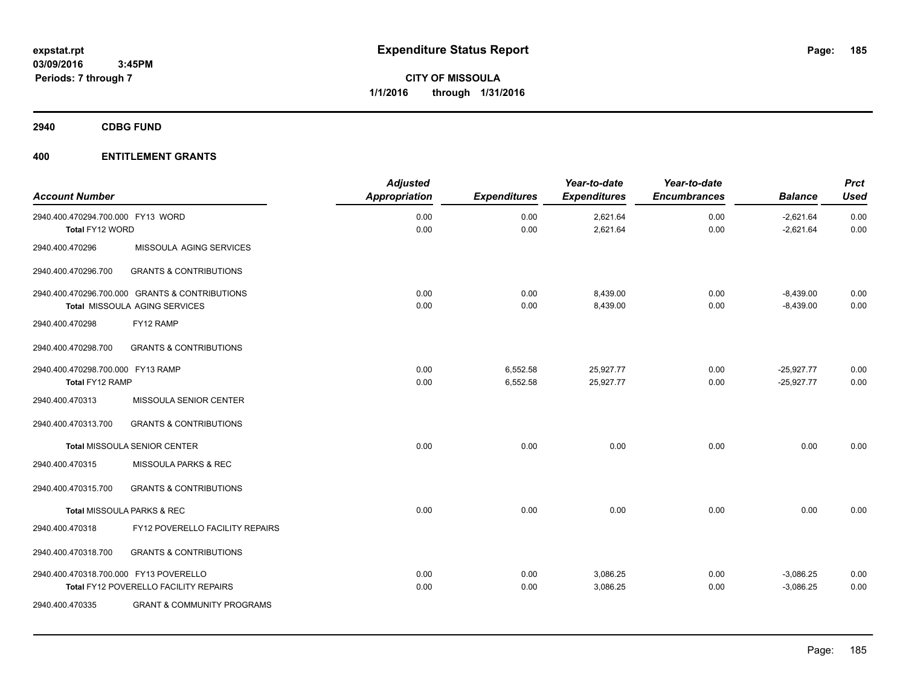**2940 CDBG FUND**

| <b>Account Number</b>                                |                                                                                 | <b>Adjusted</b><br>Appropriation | <b>Expenditures</b>  | Year-to-date<br><b>Expenditures</b> | Year-to-date<br><b>Encumbrances</b> | <b>Balance</b>               | <b>Prct</b><br><b>Used</b> |
|------------------------------------------------------|---------------------------------------------------------------------------------|----------------------------------|----------------------|-------------------------------------|-------------------------------------|------------------------------|----------------------------|
| 2940.400.470294.700.000 FY13 WORD<br>Total FY12 WORD |                                                                                 | 0.00<br>0.00                     | 0.00<br>0.00         | 2,621.64<br>2,621.64                | 0.00<br>0.00                        | $-2,621.64$<br>$-2,621.64$   | 0.00<br>0.00               |
| 2940.400.470296                                      | MISSOULA AGING SERVICES                                                         |                                  |                      |                                     |                                     |                              |                            |
| 2940.400.470296.700                                  | <b>GRANTS &amp; CONTRIBUTIONS</b>                                               |                                  |                      |                                     |                                     |                              |                            |
|                                                      | 2940.400.470296.700.000 GRANTS & CONTRIBUTIONS<br>Total MISSOULA AGING SERVICES | 0.00<br>0.00                     | 0.00<br>0.00         | 8,439.00<br>8,439.00                | 0.00<br>0.00                        | $-8,439.00$<br>$-8,439.00$   | 0.00<br>0.00               |
| 2940.400.470298                                      | FY12 RAMP                                                                       |                                  |                      |                                     |                                     |                              |                            |
| 2940.400.470298.700                                  | <b>GRANTS &amp; CONTRIBUTIONS</b>                                               |                                  |                      |                                     |                                     |                              |                            |
| 2940.400.470298.700.000 FY13 RAMP<br>Total FY12 RAMP |                                                                                 | 0.00<br>0.00                     | 6,552.58<br>6,552.58 | 25,927.77<br>25,927.77              | 0.00<br>0.00                        | $-25,927.77$<br>$-25,927.77$ | 0.00<br>0.00               |
| 2940.400.470313                                      | MISSOULA SENIOR CENTER                                                          |                                  |                      |                                     |                                     |                              |                            |
| 2940.400.470313.700                                  | <b>GRANTS &amp; CONTRIBUTIONS</b>                                               |                                  |                      |                                     |                                     |                              |                            |
|                                                      | <b>Total MISSOULA SENIOR CENTER</b>                                             | 0.00                             | 0.00                 | 0.00                                | 0.00                                | 0.00                         | 0.00                       |
| 2940.400.470315                                      | MISSOULA PARKS & REC                                                            |                                  |                      |                                     |                                     |                              |                            |
| 2940.400.470315.700                                  | <b>GRANTS &amp; CONTRIBUTIONS</b>                                               |                                  |                      |                                     |                                     |                              |                            |
|                                                      | Total MISSOULA PARKS & REC                                                      | 0.00                             | 0.00                 | 0.00                                | 0.00                                | 0.00                         | 0.00                       |
| 2940.400.470318                                      | FY12 POVERELLO FACILITY REPAIRS                                                 |                                  |                      |                                     |                                     |                              |                            |
| 2940.400.470318.700                                  | <b>GRANTS &amp; CONTRIBUTIONS</b>                                               |                                  |                      |                                     |                                     |                              |                            |
| 2940.400.470318.700.000 FY13 POVERELLO               | Total FY12 POVERELLO FACILITY REPAIRS                                           | 0.00<br>0.00                     | 0.00<br>0.00         | 3,086.25<br>3,086.25                | 0.00<br>0.00                        | $-3,086.25$<br>$-3,086.25$   | 0.00<br>0.00               |
| 2940.400.470335                                      | <b>GRANT &amp; COMMUNITY PROGRAMS</b>                                           |                                  |                      |                                     |                                     |                              |                            |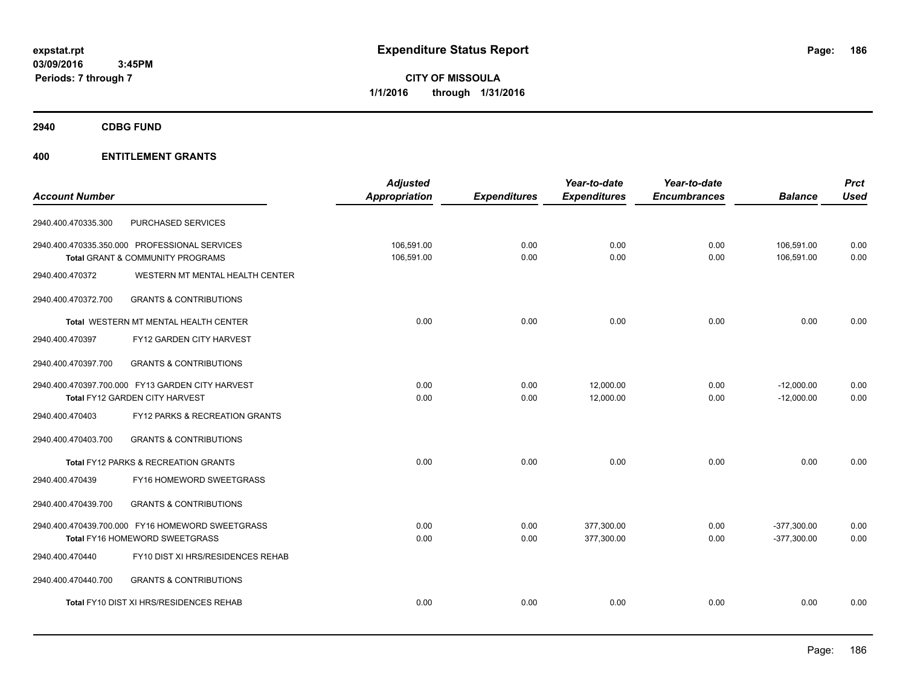**CITY OF MISSOULA 1/1/2016 through 1/31/2016**

**2940 CDBG FUND**

|                                                          | <b>Adjusted</b>      |                     | Year-to-date        | Year-to-date        |                | <b>Prct</b> |
|----------------------------------------------------------|----------------------|---------------------|---------------------|---------------------|----------------|-------------|
| <b>Account Number</b>                                    | <b>Appropriation</b> | <b>Expenditures</b> | <b>Expenditures</b> | <b>Encumbrances</b> | <b>Balance</b> | <b>Used</b> |
| PURCHASED SERVICES<br>2940.400.470335.300                |                      |                     |                     |                     |                |             |
| 2940.400.470335.350.000 PROFESSIONAL SERVICES            | 106,591.00           | 0.00                | 0.00                | 0.00                | 106,591.00     | 0.00        |
| Total GRANT & COMMUNITY PROGRAMS                         | 106,591.00           | 0.00                | 0.00                | 0.00                | 106,591.00     | 0.00        |
| WESTERN MT MENTAL HEALTH CENTER<br>2940.400.470372       |                      |                     |                     |                     |                |             |
| <b>GRANTS &amp; CONTRIBUTIONS</b><br>2940.400.470372.700 |                      |                     |                     |                     |                |             |
| Total WESTERN MT MENTAL HEALTH CENTER                    | 0.00                 | 0.00                | 0.00                | 0.00                | 0.00           | 0.00        |
| FY12 GARDEN CITY HARVEST<br>2940.400.470397              |                      |                     |                     |                     |                |             |
| <b>GRANTS &amp; CONTRIBUTIONS</b><br>2940.400.470397.700 |                      |                     |                     |                     |                |             |
| 2940.400.470397.700.000 FY13 GARDEN CITY HARVEST         | 0.00                 | 0.00                | 12,000.00           | 0.00                | $-12,000.00$   | 0.00        |
| Total FY12 GARDEN CITY HARVEST                           | 0.00                 | 0.00                | 12,000.00           | 0.00                | $-12,000.00$   | 0.00        |
| FY12 PARKS & RECREATION GRANTS<br>2940.400.470403        |                      |                     |                     |                     |                |             |
| <b>GRANTS &amp; CONTRIBUTIONS</b><br>2940.400.470403.700 |                      |                     |                     |                     |                |             |
| Total FY12 PARKS & RECREATION GRANTS                     | 0.00                 | 0.00                | 0.00                | 0.00                | 0.00           | 0.00        |
| 2940.400.470439<br>FY16 HOMEWORD SWEETGRASS              |                      |                     |                     |                     |                |             |
| <b>GRANTS &amp; CONTRIBUTIONS</b><br>2940.400.470439.700 |                      |                     |                     |                     |                |             |
| 2940.400.470439.700.000 FY16 HOMEWORD SWEETGRASS         | 0.00                 | 0.00                | 377,300.00          | 0.00                | $-377,300.00$  | 0.00        |
| Total FY16 HOMEWORD SWEETGRASS                           | 0.00                 | 0.00                | 377,300.00          | 0.00                | $-377,300.00$  | 0.00        |
| FY10 DIST XI HRS/RESIDENCES REHAB<br>2940.400.470440     |                      |                     |                     |                     |                |             |
| 2940.400.470440.700<br><b>GRANTS &amp; CONTRIBUTIONS</b> |                      |                     |                     |                     |                |             |
| Total FY10 DIST XI HRS/RESIDENCES REHAB                  | 0.00                 | 0.00                | 0.00                | 0.00                | 0.00           | 0.00        |
|                                                          |                      |                     |                     |                     |                |             |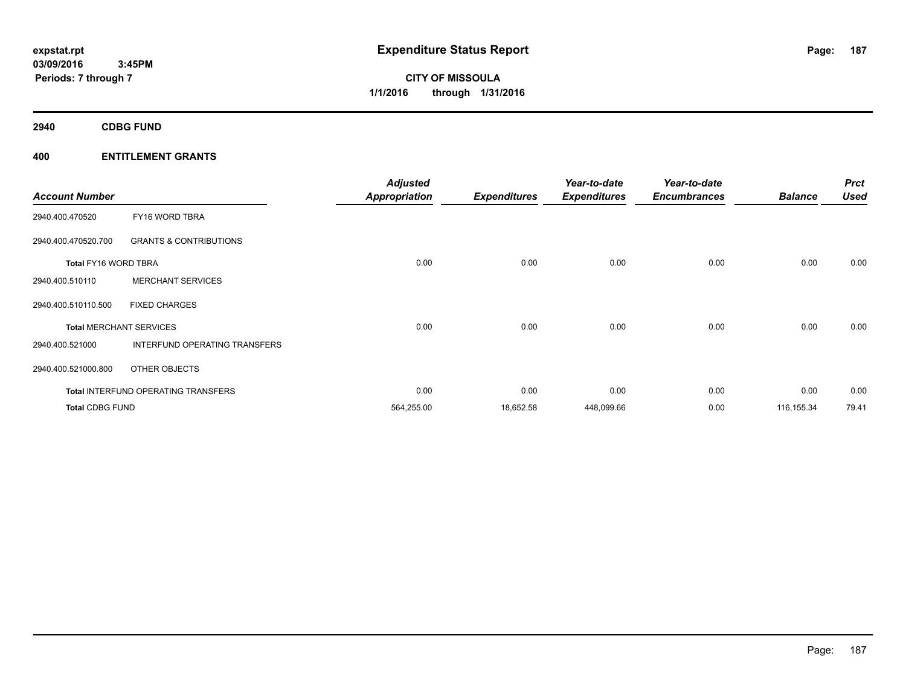**CITY OF MISSOULA 1/1/2016 through 1/31/2016**

**2940 CDBG FUND**

| <b>Account Number</b>  |                                            | <b>Adjusted</b><br><b>Appropriation</b> | <b>Expenditures</b> | Year-to-date<br><b>Expenditures</b> | Year-to-date<br><b>Encumbrances</b> | <b>Balance</b> | <b>Prct</b><br><b>Used</b> |
|------------------------|--------------------------------------------|-----------------------------------------|---------------------|-------------------------------------|-------------------------------------|----------------|----------------------------|
| 2940.400.470520        | FY16 WORD TBRA                             |                                         |                     |                                     |                                     |                |                            |
| 2940.400.470520.700    | <b>GRANTS &amp; CONTRIBUTIONS</b>          |                                         |                     |                                     |                                     |                |                            |
| Total FY16 WORD TBRA   |                                            | 0.00                                    | 0.00                | 0.00                                | 0.00                                | 0.00           | 0.00                       |
| 2940.400.510110        | <b>MERCHANT SERVICES</b>                   |                                         |                     |                                     |                                     |                |                            |
| 2940.400.510110.500    | <b>FIXED CHARGES</b>                       |                                         |                     |                                     |                                     |                |                            |
|                        | <b>Total MERCHANT SERVICES</b>             | 0.00                                    | 0.00                | 0.00                                | 0.00                                | 0.00           | 0.00                       |
| 2940.400.521000        | INTERFUND OPERATING TRANSFERS              |                                         |                     |                                     |                                     |                |                            |
| 2940.400.521000.800    | OTHER OBJECTS                              |                                         |                     |                                     |                                     |                |                            |
|                        | <b>Total INTERFUND OPERATING TRANSFERS</b> | 0.00                                    | 0.00                | 0.00                                | 0.00                                | 0.00           | 0.00                       |
| <b>Total CDBG FUND</b> |                                            | 564,255.00                              | 18,652.58           | 448,099.66                          | 0.00                                | 116, 155.34    | 79.41                      |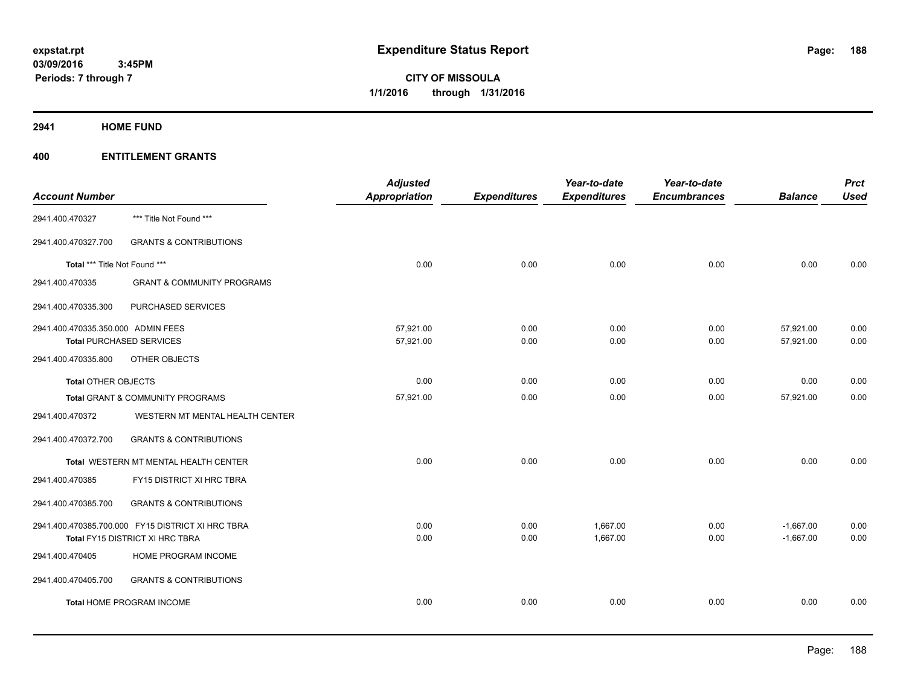**Periods: 7 through 7**

**CITY OF MISSOULA 1/1/2016 through 1/31/2016**

**2941 HOME FUND**

| <b>Account Number</b>              |                                                   | <b>Adjusted</b><br><b>Appropriation</b> | <b>Expenditures</b> | Year-to-date<br><b>Expenditures</b> | Year-to-date<br><b>Encumbrances</b> | <b>Balance</b> | <b>Prct</b><br><b>Used</b> |
|------------------------------------|---------------------------------------------------|-----------------------------------------|---------------------|-------------------------------------|-------------------------------------|----------------|----------------------------|
| 2941.400.470327                    | *** Title Not Found ***                           |                                         |                     |                                     |                                     |                |                            |
| 2941.400.470327.700                | <b>GRANTS &amp; CONTRIBUTIONS</b>                 |                                         |                     |                                     |                                     |                |                            |
| Total *** Title Not Found ***      |                                                   | 0.00                                    | 0.00                | 0.00                                | 0.00                                | 0.00           | 0.00                       |
| 2941.400.470335                    | <b>GRANT &amp; COMMUNITY PROGRAMS</b>             |                                         |                     |                                     |                                     |                |                            |
| 2941.400.470335.300                | PURCHASED SERVICES                                |                                         |                     |                                     |                                     |                |                            |
| 2941.400.470335.350.000 ADMIN FEES |                                                   | 57,921.00                               | 0.00                | 0.00                                | 0.00                                | 57,921.00      | 0.00                       |
| <b>Total PURCHASED SERVICES</b>    |                                                   | 57,921.00                               | 0.00                | 0.00                                | 0.00                                | 57,921.00      | 0.00                       |
| 2941.400.470335.800                | OTHER OBJECTS                                     |                                         |                     |                                     |                                     |                |                            |
| <b>Total OTHER OBJECTS</b>         |                                                   | 0.00                                    | 0.00                | 0.00                                | 0.00                                | 0.00           | 0.00                       |
|                                    | Total GRANT & COMMUNITY PROGRAMS                  | 57,921.00                               | 0.00                | 0.00                                | 0.00                                | 57,921.00      | 0.00                       |
| 2941.400.470372                    | WESTERN MT MENTAL HEALTH CENTER                   |                                         |                     |                                     |                                     |                |                            |
| 2941.400.470372.700                | <b>GRANTS &amp; CONTRIBUTIONS</b>                 |                                         |                     |                                     |                                     |                |                            |
|                                    | Total WESTERN MT MENTAL HEALTH CENTER             | 0.00                                    | 0.00                | 0.00                                | 0.00                                | 0.00           | 0.00                       |
| 2941.400.470385                    | FY15 DISTRICT XI HRC TBRA                         |                                         |                     |                                     |                                     |                |                            |
| 2941.400.470385.700                | <b>GRANTS &amp; CONTRIBUTIONS</b>                 |                                         |                     |                                     |                                     |                |                            |
|                                    | 2941.400.470385.700.000 FY15 DISTRICT XI HRC TBRA | 0.00                                    | 0.00                | 1,667.00                            | 0.00                                | $-1,667.00$    | 0.00                       |
|                                    | Total FY15 DISTRICT XI HRC TBRA                   | 0.00                                    | 0.00                | 1,667.00                            | 0.00                                | $-1,667.00$    | 0.00                       |
| 2941.400.470405                    | HOME PROGRAM INCOME                               |                                         |                     |                                     |                                     |                |                            |
| 2941.400.470405.700                | <b>GRANTS &amp; CONTRIBUTIONS</b>                 |                                         |                     |                                     |                                     |                |                            |
|                                    | <b>Total HOME PROGRAM INCOME</b>                  | 0.00                                    | 0.00                | 0.00                                | 0.00                                | 0.00           | 0.00                       |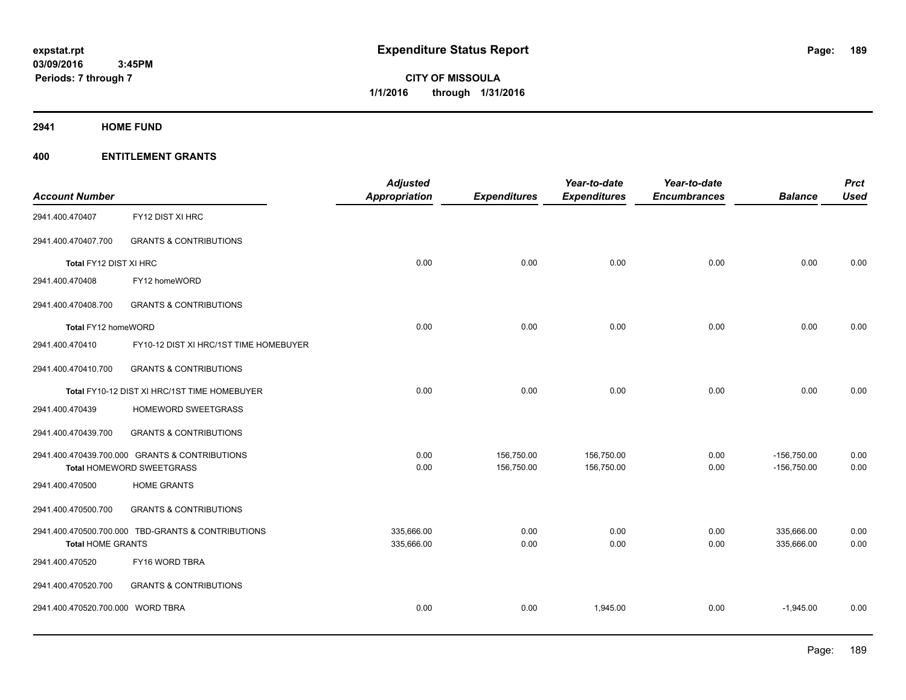**2941 HOME FUND**

| <b>Account Number</b>             |                                                    | <b>Adjusted</b><br><b>Appropriation</b> | <b>Expenditures</b> | Year-to-date<br><b>Expenditures</b> | Year-to-date<br><b>Encumbrances</b> | <b>Balance</b> | <b>Prct</b><br><b>Used</b> |
|-----------------------------------|----------------------------------------------------|-----------------------------------------|---------------------|-------------------------------------|-------------------------------------|----------------|----------------------------|
| 2941.400.470407                   | FY12 DIST XI HRC                                   |                                         |                     |                                     |                                     |                |                            |
| 2941.400.470407.700               | <b>GRANTS &amp; CONTRIBUTIONS</b>                  |                                         |                     |                                     |                                     |                |                            |
| Total FY12 DIST XI HRC            |                                                    | 0.00                                    | 0.00                | 0.00                                | 0.00                                | 0.00           | 0.00                       |
| 2941.400.470408                   | FY12 homeWORD                                      |                                         |                     |                                     |                                     |                |                            |
| 2941.400.470408.700               | <b>GRANTS &amp; CONTRIBUTIONS</b>                  |                                         |                     |                                     |                                     |                |                            |
| Total FY12 homeWORD               |                                                    | 0.00                                    | 0.00                | 0.00                                | 0.00                                | 0.00           | 0.00                       |
| 2941.400.470410                   | FY10-12 DIST XI HRC/1ST TIME HOMEBUYER             |                                         |                     |                                     |                                     |                |                            |
| 2941.400.470410.700               | <b>GRANTS &amp; CONTRIBUTIONS</b>                  |                                         |                     |                                     |                                     |                |                            |
|                                   | Total FY10-12 DIST XI HRC/1ST TIME HOMEBUYER       | 0.00                                    | 0.00                | 0.00                                | 0.00                                | 0.00           | 0.00                       |
| 2941.400.470439                   | HOMEWORD SWEETGRASS                                |                                         |                     |                                     |                                     |                |                            |
| 2941.400.470439.700               | <b>GRANTS &amp; CONTRIBUTIONS</b>                  |                                         |                     |                                     |                                     |                |                            |
|                                   | 2941.400.470439.700.000 GRANTS & CONTRIBUTIONS     | 0.00                                    | 156,750.00          | 156,750.00                          | 0.00                                | $-156,750.00$  | 0.00                       |
|                                   | <b>Total HOMEWORD SWEETGRASS</b>                   | 0.00                                    | 156,750.00          | 156,750.00                          | 0.00                                | $-156,750.00$  | 0.00                       |
| 2941.400.470500                   | <b>HOME GRANTS</b>                                 |                                         |                     |                                     |                                     |                |                            |
| 2941.400.470500.700               | <b>GRANTS &amp; CONTRIBUTIONS</b>                  |                                         |                     |                                     |                                     |                |                            |
|                                   | 2941.400.470500.700.000 TBD-GRANTS & CONTRIBUTIONS | 335,666.00                              | 0.00                | 0.00                                | 0.00                                | 335,666.00     | 0.00                       |
| <b>Total HOME GRANTS</b>          |                                                    | 335,666.00                              | 0.00                | 0.00                                | 0.00                                | 335,666.00     | 0.00                       |
| 2941.400.470520                   | FY16 WORD TBRA                                     |                                         |                     |                                     |                                     |                |                            |
| 2941.400.470520.700               | <b>GRANTS &amp; CONTRIBUTIONS</b>                  |                                         |                     |                                     |                                     |                |                            |
| 2941.400.470520.700.000 WORD TBRA |                                                    | 0.00                                    | 0.00                | 1,945.00                            | 0.00                                | $-1,945.00$    | 0.00                       |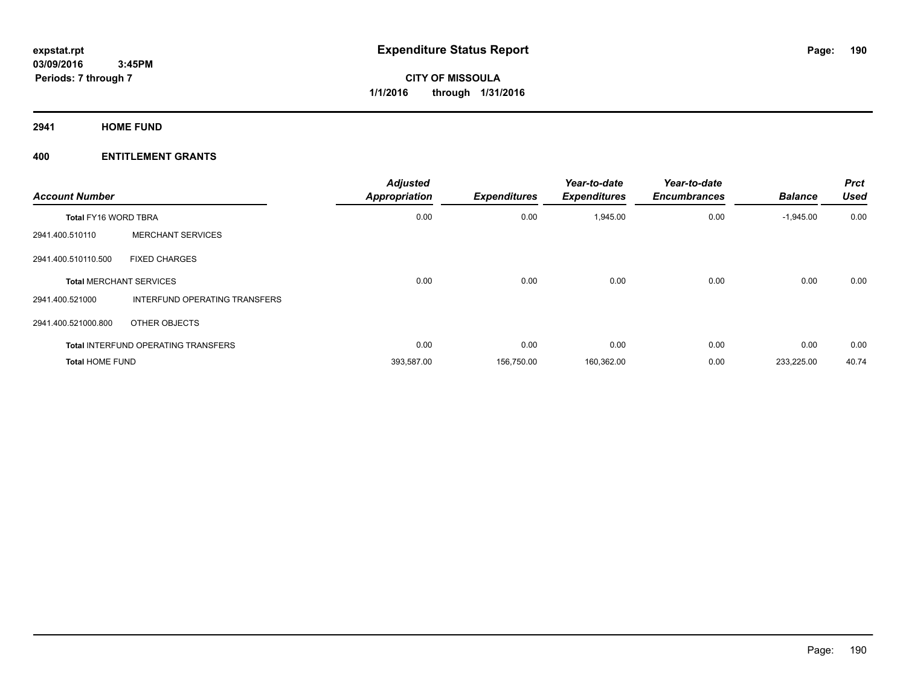**2941 HOME FUND**

| <b>Account Number</b>       |                                            | <b>Adjusted</b><br><b>Appropriation</b> | <b>Expenditures</b> | Year-to-date<br><b>Expenditures</b> | Year-to-date<br><b>Encumbrances</b> | <b>Balance</b> | <b>Prct</b><br><b>Used</b> |
|-----------------------------|--------------------------------------------|-----------------------------------------|---------------------|-------------------------------------|-------------------------------------|----------------|----------------------------|
| <b>Total FY16 WORD TBRA</b> |                                            | 0.00                                    | 0.00                | 1,945.00                            | 0.00                                | $-1,945.00$    | 0.00                       |
| 2941.400.510110             | <b>MERCHANT SERVICES</b>                   |                                         |                     |                                     |                                     |                |                            |
| 2941.400.510110.500         | <b>FIXED CHARGES</b>                       |                                         |                     |                                     |                                     |                |                            |
|                             | <b>Total MERCHANT SERVICES</b>             | 0.00                                    | 0.00                | 0.00                                | 0.00                                | 0.00           | 0.00                       |
| 2941.400.521000             | INTERFUND OPERATING TRANSFERS              |                                         |                     |                                     |                                     |                |                            |
| 2941.400.521000.800         | OTHER OBJECTS                              |                                         |                     |                                     |                                     |                |                            |
|                             | <b>Total INTERFUND OPERATING TRANSFERS</b> | 0.00                                    | 0.00                | 0.00                                | 0.00                                | 0.00           | 0.00                       |
| <b>Total HOME FUND</b>      |                                            | 393,587.00                              | 156,750.00          | 160,362.00                          | 0.00                                | 233,225.00     | 40.74                      |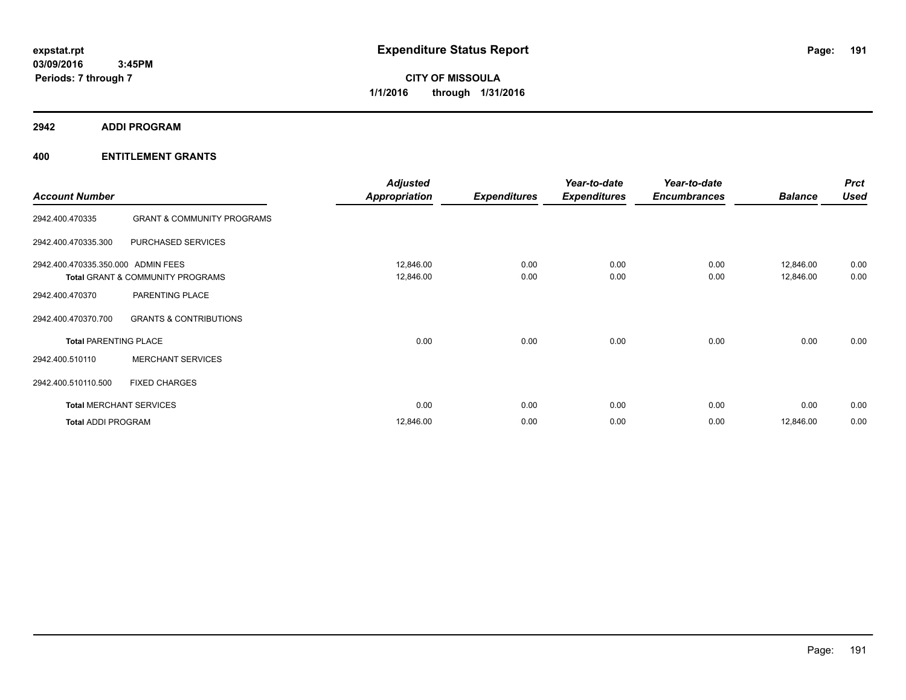**2942 ADDI PROGRAM**

| <b>Account Number</b>              |                                       | <b>Adjusted</b><br><b>Appropriation</b> | <b>Expenditures</b> | Year-to-date<br><b>Expenditures</b> | Year-to-date<br><b>Encumbrances</b> | <b>Balance</b>         | <b>Prct</b><br><b>Used</b> |
|------------------------------------|---------------------------------------|-----------------------------------------|---------------------|-------------------------------------|-------------------------------------|------------------------|----------------------------|
| 2942.400.470335                    | <b>GRANT &amp; COMMUNITY PROGRAMS</b> |                                         |                     |                                     |                                     |                        |                            |
| 2942.400.470335.300                | PURCHASED SERVICES                    |                                         |                     |                                     |                                     |                        |                            |
| 2942.400.470335.350.000 ADMIN FEES | Total GRANT & COMMUNITY PROGRAMS      | 12,846.00<br>12,846.00                  | 0.00<br>0.00        | 0.00<br>0.00                        | 0.00<br>0.00                        | 12,846.00<br>12,846.00 | 0.00<br>0.00               |
| 2942.400.470370                    | PARENTING PLACE                       |                                         |                     |                                     |                                     |                        |                            |
| 2942.400.470370.700                | <b>GRANTS &amp; CONTRIBUTIONS</b>     |                                         |                     |                                     |                                     |                        |                            |
| <b>Total PARENTING PLACE</b>       |                                       | 0.00                                    | 0.00                | 0.00                                | 0.00                                | 0.00                   | 0.00                       |
| 2942.400.510110                    | <b>MERCHANT SERVICES</b>              |                                         |                     |                                     |                                     |                        |                            |
| 2942.400.510110.500                | <b>FIXED CHARGES</b>                  |                                         |                     |                                     |                                     |                        |                            |
|                                    | <b>Total MERCHANT SERVICES</b>        | 0.00                                    | 0.00                | 0.00                                | 0.00                                | 0.00                   | 0.00                       |
| <b>Total ADDI PROGRAM</b>          |                                       | 12,846.00                               | 0.00                | 0.00                                | 0.00                                | 12,846.00              | 0.00                       |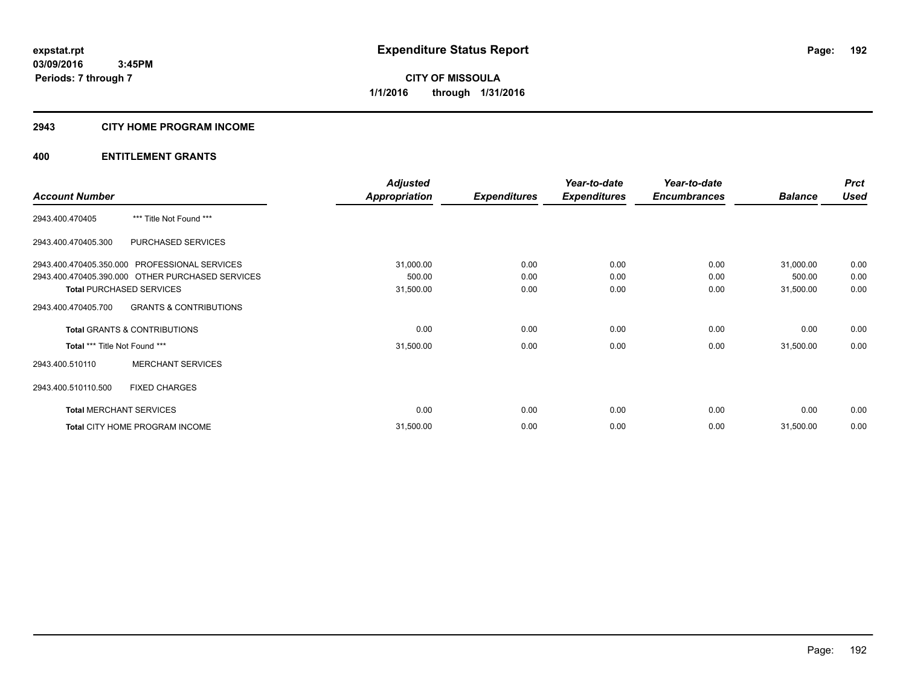#### **2943 CITY HOME PROGRAM INCOME**

|                                                  | <b>Adjusted</b>                                                                                                                                                                                                                                                                                                                                                                                                                                                                                                                                                                           | Year-to-date | Year-to-date |  | <b>Prct</b> |
|--------------------------------------------------|-------------------------------------------------------------------------------------------------------------------------------------------------------------------------------------------------------------------------------------------------------------------------------------------------------------------------------------------------------------------------------------------------------------------------------------------------------------------------------------------------------------------------------------------------------------------------------------------|--------------|--------------|--|-------------|
| <b>Account Number</b>                            | <b>Appropriation</b><br><b>Expenditures</b><br><b>Expenditures</b><br><b>Encumbrances</b><br><b>Balance</b><br>*** Title Not Found ***<br>PURCHASED SERVICES<br>31,000.00<br>0.00<br>0.00<br>0.00<br>31,000.00<br>500.00<br>500.00<br>0.00<br>0.00<br>0.00<br>31,500.00<br>0.00<br>0.00<br>0.00<br>31,500.00<br><b>GRANTS &amp; CONTRIBUTIONS</b><br>0.00<br>0.00<br>0.00<br>0.00<br>0.00<br>0.00<br>31,500.00<br>0.00<br>0.00<br>31,500.00<br><b>MERCHANT SERVICES</b><br><b>FIXED CHARGES</b><br>0.00<br>0.00<br>0.00<br>0.00<br>0.00<br>0.00<br>31,500.00<br>0.00<br>0.00<br>31,500.00 | <b>Used</b>  |              |  |             |
| 2943.400.470405                                  |                                                                                                                                                                                                                                                                                                                                                                                                                                                                                                                                                                                           |              |              |  |             |
| 2943.400.470405.300                              |                                                                                                                                                                                                                                                                                                                                                                                                                                                                                                                                                                                           |              |              |  |             |
| 2943.400.470405.350.000 PROFESSIONAL SERVICES    |                                                                                                                                                                                                                                                                                                                                                                                                                                                                                                                                                                                           |              |              |  | 0.00        |
| 2943.400.470405.390.000 OTHER PURCHASED SERVICES |                                                                                                                                                                                                                                                                                                                                                                                                                                                                                                                                                                                           |              |              |  | 0.00        |
| <b>Total PURCHASED SERVICES</b>                  |                                                                                                                                                                                                                                                                                                                                                                                                                                                                                                                                                                                           |              |              |  | 0.00        |
| 2943.400.470405.700                              |                                                                                                                                                                                                                                                                                                                                                                                                                                                                                                                                                                                           |              |              |  |             |
| <b>Total GRANTS &amp; CONTRIBUTIONS</b>          |                                                                                                                                                                                                                                                                                                                                                                                                                                                                                                                                                                                           |              |              |  | 0.00        |
| Total *** Title Not Found ***                    |                                                                                                                                                                                                                                                                                                                                                                                                                                                                                                                                                                                           |              |              |  | 0.00        |
| 2943.400.510110                                  |                                                                                                                                                                                                                                                                                                                                                                                                                                                                                                                                                                                           |              |              |  |             |
| 2943.400.510110.500                              |                                                                                                                                                                                                                                                                                                                                                                                                                                                                                                                                                                                           |              |              |  |             |
| <b>Total MERCHANT SERVICES</b>                   |                                                                                                                                                                                                                                                                                                                                                                                                                                                                                                                                                                                           |              |              |  | 0.00        |
| Total CITY HOME PROGRAM INCOME                   |                                                                                                                                                                                                                                                                                                                                                                                                                                                                                                                                                                                           |              |              |  | 0.00        |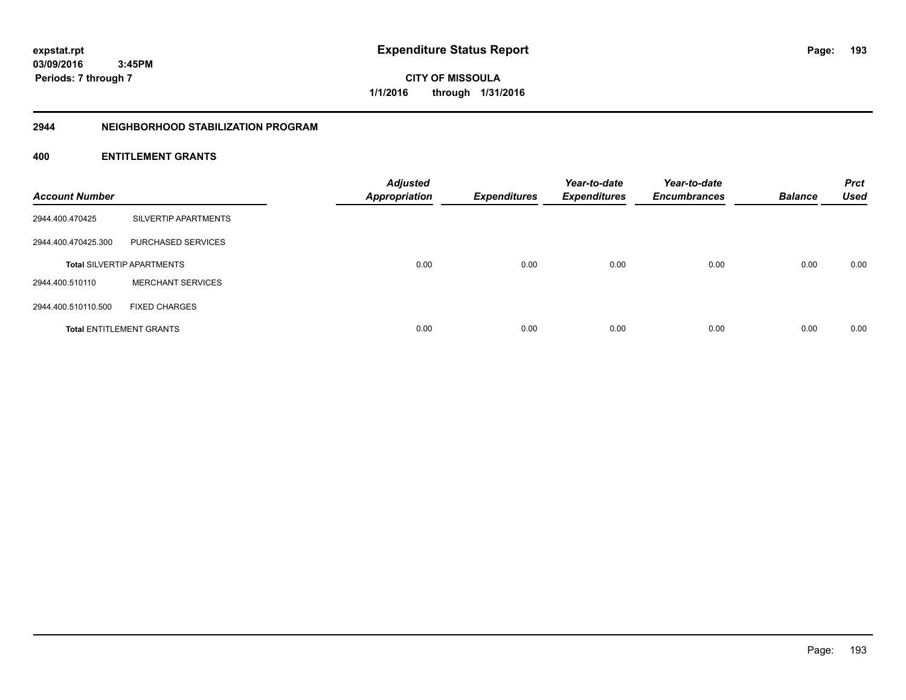**193**

**CITY OF MISSOULA 1/1/2016 through 1/31/2016**

#### **2944 NEIGHBORHOOD STABILIZATION PROGRAM**

| <b>Account Number</b> |                                   | <b>Adjusted</b><br><b>Appropriation</b> | <b>Expenditures</b> | Year-to-date<br><b>Expenditures</b> | Year-to-date<br><b>Encumbrances</b> | <b>Balance</b> | <b>Prct</b><br><b>Used</b> |
|-----------------------|-----------------------------------|-----------------------------------------|---------------------|-------------------------------------|-------------------------------------|----------------|----------------------------|
| 2944.400.470425       | SILVERTIP APARTMENTS              |                                         |                     |                                     |                                     |                |                            |
| 2944.400.470425.300   | PURCHASED SERVICES                |                                         |                     |                                     |                                     |                |                            |
|                       | <b>Total SILVERTIP APARTMENTS</b> | 0.00                                    | 0.00                | 0.00                                | 0.00                                | 0.00           | 0.00                       |
| 2944.400.510110       | <b>MERCHANT SERVICES</b>          |                                         |                     |                                     |                                     |                |                            |
| 2944.400.510110.500   | <b>FIXED CHARGES</b>              |                                         |                     |                                     |                                     |                |                            |
|                       | <b>Total ENTITLEMENT GRANTS</b>   | 0.00                                    | 0.00                | 0.00                                | 0.00                                | 0.00           | 0.00                       |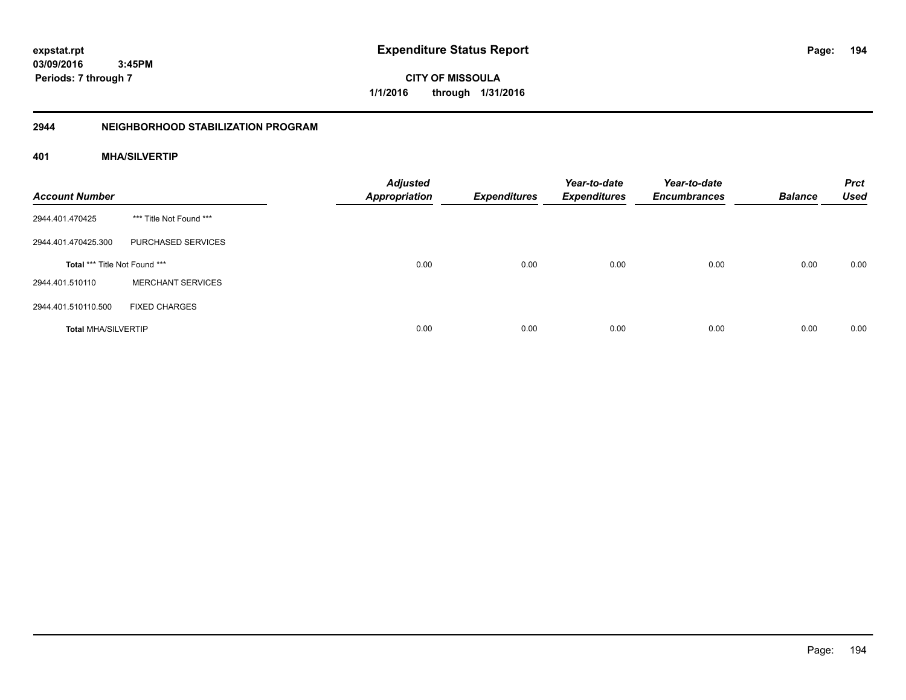**194**

**03/09/2016 3:45PM Periods: 7 through 7**

**CITY OF MISSOULA 1/1/2016 through 1/31/2016**

# **2944 NEIGHBORHOOD STABILIZATION PROGRAM**

# **401 MHA/SILVERTIP**

| <b>Account Number</b>         |                          | <b>Adjusted</b><br><b>Appropriation</b> | <b>Expenditures</b> | Year-to-date<br><b>Expenditures</b> | Year-to-date<br><b>Encumbrances</b> | <b>Balance</b> | <b>Prct</b><br><b>Used</b> |
|-------------------------------|--------------------------|-----------------------------------------|---------------------|-------------------------------------|-------------------------------------|----------------|----------------------------|
| 2944.401.470425               | *** Title Not Found ***  |                                         |                     |                                     |                                     |                |                            |
| 2944.401.470425.300           | PURCHASED SERVICES       |                                         |                     |                                     |                                     |                |                            |
| Total *** Title Not Found *** |                          | 0.00                                    | 0.00                | 0.00                                | 0.00                                | 0.00           | 0.00                       |
| 2944.401.510110               | <b>MERCHANT SERVICES</b> |                                         |                     |                                     |                                     |                |                            |
| 2944.401.510110.500           | <b>FIXED CHARGES</b>     |                                         |                     |                                     |                                     |                |                            |
| <b>Total MHA/SILVERTIP</b>    |                          | 0.00                                    | 0.00                | 0.00                                | 0.00                                | 0.00           | 0.00                       |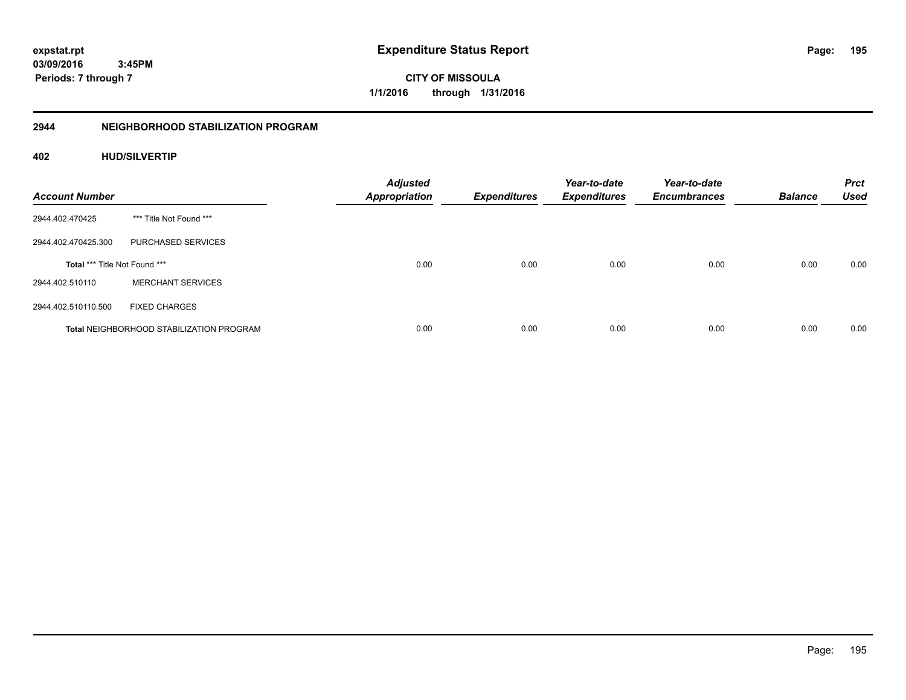**195**

**03/09/2016 3:45PM Periods: 7 through 7**

**CITY OF MISSOULA 1/1/2016 through 1/31/2016**

# **2944 NEIGHBORHOOD STABILIZATION PROGRAM**

# **402 HUD/SILVERTIP**

| <b>Account Number</b>         |                                                 | <b>Adjusted</b><br><b>Appropriation</b> | <b>Expenditures</b> | Year-to-date<br><b>Expenditures</b> | Year-to-date<br><b>Encumbrances</b> | <b>Balance</b> | <b>Prct</b><br><b>Used</b> |
|-------------------------------|-------------------------------------------------|-----------------------------------------|---------------------|-------------------------------------|-------------------------------------|----------------|----------------------------|
| 2944.402.470425               | *** Title Not Found ***                         |                                         |                     |                                     |                                     |                |                            |
| 2944.402.470425.300           | PURCHASED SERVICES                              |                                         |                     |                                     |                                     |                |                            |
| Total *** Title Not Found *** |                                                 | 0.00                                    | 0.00                | 0.00                                | 0.00                                | 0.00           | 0.00                       |
| 2944.402.510110               | <b>MERCHANT SERVICES</b>                        |                                         |                     |                                     |                                     |                |                            |
| 2944.402.510110.500           | <b>FIXED CHARGES</b>                            |                                         |                     |                                     |                                     |                |                            |
|                               | <b>Total NEIGHBORHOOD STABILIZATION PROGRAM</b> | 0.00                                    | 0.00                | 0.00                                | 0.00                                | 0.00           | 0.00                       |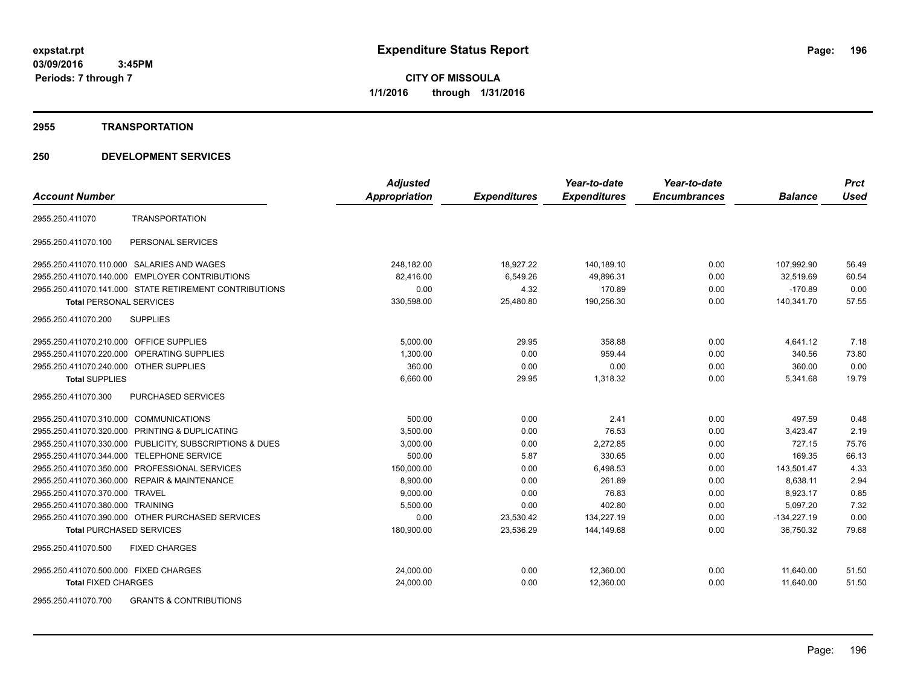#### **2955 TRANSPORTATION**

# **250 DEVELOPMENT SERVICES**

|                                                         | <b>Adjusted</b>      |                     | Year-to-date        | Year-to-date        |                | <b>Prct</b> |
|---------------------------------------------------------|----------------------|---------------------|---------------------|---------------------|----------------|-------------|
| <b>Account Number</b>                                   | <b>Appropriation</b> | <b>Expenditures</b> | <b>Expenditures</b> | <b>Encumbrances</b> | <b>Balance</b> | <b>Used</b> |
| <b>TRANSPORTATION</b><br>2955.250.411070                |                      |                     |                     |                     |                |             |
| PERSONAL SERVICES<br>2955.250.411070.100                |                      |                     |                     |                     |                |             |
| 2955.250.411070.110.000 SALARIES AND WAGES              | 248.182.00           | 18,927.22           | 140.189.10          | 0.00                | 107.992.90     | 56.49       |
| 2955.250.411070.140.000 EMPLOYER CONTRIBUTIONS          | 82,416.00            | 6,549.26            | 49,896.31           | 0.00                | 32,519.69      | 60.54       |
| 2955.250.411070.141.000 STATE RETIREMENT CONTRIBUTIONS  | 0.00                 | 4.32                | 170.89              | 0.00                | $-170.89$      | 0.00        |
| <b>Total PERSONAL SERVICES</b>                          | 330,598.00           | 25,480.80           | 190,256.30          | 0.00                | 140,341.70     | 57.55       |
| <b>SUPPLIES</b><br>2955.250.411070.200                  |                      |                     |                     |                     |                |             |
| 2955.250.411070.210.000 OFFICE SUPPLIES                 | 5,000.00             | 29.95               | 358.88              | 0.00                | 4,641.12       | 7.18        |
| 2955.250.411070.220.000 OPERATING SUPPLIES              | 1,300.00             | 0.00                | 959.44              | 0.00                | 340.56         | 73.80       |
| 2955.250.411070.240.000 OTHER SUPPLIES                  | 360.00               | 0.00                | 0.00                | 0.00                | 360.00         | 0.00        |
| <b>Total SUPPLIES</b>                                   | 6.660.00             | 29.95               | 1.318.32            | 0.00                | 5,341.68       | 19.79       |
| 2955.250.411070.300<br>PURCHASED SERVICES               |                      |                     |                     |                     |                |             |
| 2955.250.411070.310.000 COMMUNICATIONS                  | 500.00               | 0.00                | 2.41                | 0.00                | 497.59         | 0.48        |
| 2955.250.411070.320.000 PRINTING & DUPLICATING          | 3,500.00             | 0.00                | 76.53               | 0.00                | 3,423.47       | 2.19        |
| 2955.250.411070.330.000 PUBLICITY, SUBSCRIPTIONS & DUES | 3,000.00             | 0.00                | 2,272.85            | 0.00                | 727.15         | 75.76       |
| 2955.250.411070.344.000 TELEPHONE SERVICE               | 500.00               | 5.87                | 330.65              | 0.00                | 169.35         | 66.13       |
| 2955.250.411070.350.000 PROFESSIONAL SERVICES           | 150.000.00           | 0.00                | 6.498.53            | 0.00                | 143.501.47     | 4.33        |
| 2955.250.411070.360.000 REPAIR & MAINTENANCE            | 8,900.00             | 0.00                | 261.89              | 0.00                | 8,638.11       | 2.94        |
| 2955.250.411070.370.000 TRAVEL                          | 9,000.00             | 0.00                | 76.83               | 0.00                | 8,923.17       | 0.85        |
| 2955.250.411070.380.000 TRAINING                        | 5,500.00             | 0.00                | 402.80              | 0.00                | 5,097.20       | 7.32        |
| 2955.250.411070.390.000 OTHER PURCHASED SERVICES        | 0.00                 | 23,530.42           | 134,227.19          | 0.00                | $-134,227.19$  | 0.00        |
| <b>Total PURCHASED SERVICES</b>                         | 180,900.00           | 23,536.29           | 144,149.68          | 0.00                | 36,750.32      | 79.68       |
| 2955.250.411070.500<br><b>FIXED CHARGES</b>             |                      |                     |                     |                     |                |             |
| 2955.250.411070.500.000 FIXED CHARGES                   | 24,000.00            | 0.00                | 12,360.00           | 0.00                | 11,640.00      | 51.50       |
| <b>Total FIXED CHARGES</b>                              | 24,000.00            | 0.00                | 12,360.00           | 0.00                | 11,640.00      | 51.50       |
| OCE OF A 444070 700 COANTO 8 CONTOIDUTIONS              |                      |                     |                     |                     |                |             |

2955.250.411070.700 GRANTS & CONTRIBUTIONS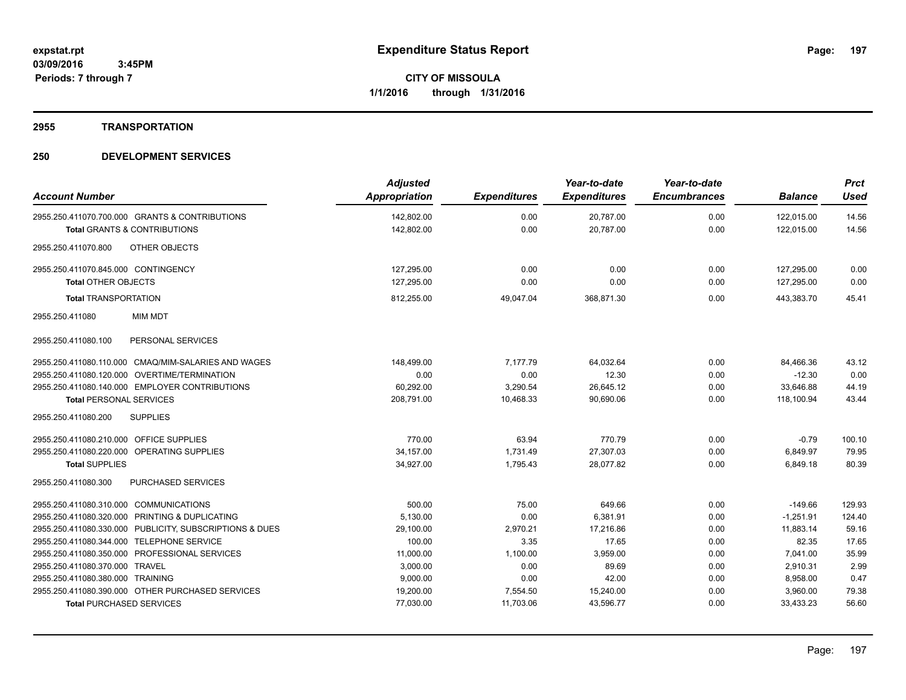# **2955 TRANSPORTATION**

| <b>Account Number</b>                                   | <b>Adjusted</b><br>Appropriation | <b>Expenditures</b> | Year-to-date<br><b>Expenditures</b> | Year-to-date<br><b>Encumbrances</b> | <b>Balance</b> | <b>Prct</b><br><b>Used</b> |
|---------------------------------------------------------|----------------------------------|---------------------|-------------------------------------|-------------------------------------|----------------|----------------------------|
| 2955.250.411070.700.000 GRANTS & CONTRIBUTIONS          | 142,802.00                       | 0.00                | 20,787.00                           | 0.00                                | 122,015.00     | 14.56                      |
| <b>Total GRANTS &amp; CONTRIBUTIONS</b>                 | 142,802.00                       | 0.00                | 20,787.00                           | 0.00                                | 122,015.00     | 14.56                      |
|                                                         |                                  |                     |                                     |                                     |                |                            |
| <b>OTHER OBJECTS</b><br>2955.250.411070.800             |                                  |                     |                                     |                                     |                |                            |
| 2955.250.411070.845.000 CONTINGENCY                     | 127,295.00                       | 0.00                | 0.00                                | 0.00                                | 127,295.00     | 0.00                       |
| Total OTHER OBJECTS                                     | 127,295.00                       | 0.00                | 0.00                                | 0.00                                | 127,295.00     | 0.00                       |
| <b>Total TRANSPORTATION</b>                             | 812,255.00                       | 49,047.04           | 368,871.30                          | 0.00                                | 443,383.70     | 45.41                      |
| <b>MIM MDT</b><br>2955.250.411080                       |                                  |                     |                                     |                                     |                |                            |
| 2955.250.411080.100<br>PERSONAL SERVICES                |                                  |                     |                                     |                                     |                |                            |
| 2955.250.411080.110.000 CMAQ/MIM-SALARIES AND WAGES     | 148,499.00                       | 7,177.79            | 64.032.64                           | 0.00                                | 84.466.36      | 43.12                      |
| 2955.250.411080.120.000 OVERTIME/TERMINATION            | 0.00                             | 0.00                | 12.30                               | 0.00                                | $-12.30$       | 0.00                       |
| 2955.250.411080.140.000 EMPLOYER CONTRIBUTIONS          | 60,292.00                        | 3,290.54            | 26,645.12                           | 0.00                                | 33,646.88      | 44.19                      |
| <b>Total PERSONAL SERVICES</b>                          | 208,791.00                       | 10,468.33           | 90,690.06                           | 0.00                                | 118,100.94     | 43.44                      |
| 2955.250.411080.200<br><b>SUPPLIES</b>                  |                                  |                     |                                     |                                     |                |                            |
| 2955.250.411080.210.000 OFFICE SUPPLIES                 | 770.00                           | 63.94               | 770.79                              | 0.00                                | $-0.79$        | 100.10                     |
| 2955.250.411080.220.000 OPERATING SUPPLIES              | 34,157.00                        | 1,731.49            | 27,307.03                           | 0.00                                | 6,849.97       | 79.95                      |
| <b>Total SUPPLIES</b>                                   | 34,927.00                        | 1,795.43            | 28,077.82                           | 0.00                                | 6,849.18       | 80.39                      |
| <b>PURCHASED SERVICES</b><br>2955.250.411080.300        |                                  |                     |                                     |                                     |                |                            |
| 2955.250.411080.310.000 COMMUNICATIONS                  | 500.00                           | 75.00               | 649.66                              | 0.00                                | $-149.66$      | 129.93                     |
| 2955.250.411080.320.000 PRINTING & DUPLICATING          | 5.130.00                         | 0.00                | 6.381.91                            | 0.00                                | $-1.251.91$    | 124.40                     |
| 2955.250.411080.330.000 PUBLICITY, SUBSCRIPTIONS & DUES | 29,100.00                        | 2,970.21            | 17,216.86                           | 0.00                                | 11,883.14      | 59.16                      |
| 2955.250.411080.344.000 TELEPHONE SERVICE               | 100.00                           | 3.35                | 17.65                               | 0.00                                | 82.35          | 17.65                      |
| 2955.250.411080.350.000 PROFESSIONAL SERVICES           | 11,000.00                        | 1,100.00            | 3,959.00                            | 0.00                                | 7,041.00       | 35.99                      |
| 2955.250.411080.370.000 TRAVEL                          | 3,000.00                         | 0.00                | 89.69                               | 0.00                                | 2,910.31       | 2.99                       |
| 2955.250.411080.380.000 TRAINING                        | 9,000.00                         | 0.00                | 42.00                               | 0.00                                | 8,958.00       | 0.47                       |
| 2955.250.411080.390.000 OTHER PURCHASED SERVICES        | 19,200.00                        | 7,554.50            | 15,240.00                           | 0.00                                | 3,960.00       | 79.38                      |
| <b>Total PURCHASED SERVICES</b>                         | 77,030.00                        | 11,703.06           | 43,596.77                           | 0.00                                | 33,433.23      | 56.60                      |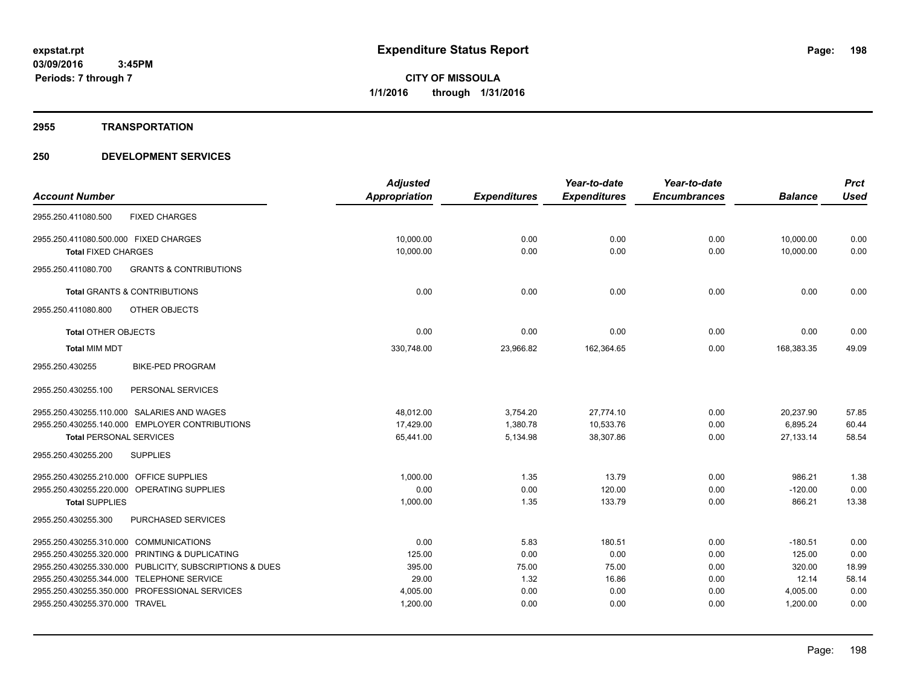# **2955 TRANSPORTATION**

|                                                          | <b>Adjusted</b> |                     | Year-to-date        | Year-to-date        |                | <b>Prct</b> |
|----------------------------------------------------------|-----------------|---------------------|---------------------|---------------------|----------------|-------------|
| <b>Account Number</b>                                    | Appropriation   | <b>Expenditures</b> | <b>Expenditures</b> | <b>Encumbrances</b> | <b>Balance</b> | <b>Used</b> |
| <b>FIXED CHARGES</b><br>2955.250.411080.500              |                 |                     |                     |                     |                |             |
| 2955.250.411080.500.000 FIXED CHARGES                    | 10,000.00       | 0.00                | 0.00                | 0.00                | 10,000.00      | 0.00        |
| <b>Total FIXED CHARGES</b>                               | 10,000.00       | 0.00                | 0.00                | 0.00                | 10,000.00      | 0.00        |
| 2955.250.411080.700<br><b>GRANTS &amp; CONTRIBUTIONS</b> |                 |                     |                     |                     |                |             |
| <b>Total GRANTS &amp; CONTRIBUTIONS</b>                  | 0.00            | 0.00                | 0.00                | 0.00                | 0.00           | 0.00        |
| OTHER OBJECTS<br>2955.250.411080.800                     |                 |                     |                     |                     |                |             |
| <b>Total OTHER OBJECTS</b>                               | 0.00            | 0.00                | 0.00                | 0.00                | 0.00           | 0.00        |
| <b>Total MIM MDT</b>                                     | 330,748.00      | 23,966.82           | 162,364.65          | 0.00                | 168,383.35     | 49.09       |
| 2955.250.430255<br><b>BIKE-PED PROGRAM</b>               |                 |                     |                     |                     |                |             |
| 2955.250.430255.100<br>PERSONAL SERVICES                 |                 |                     |                     |                     |                |             |
| 2955.250.430255.110.000 SALARIES AND WAGES               | 48,012.00       | 3,754.20            | 27,774.10           | 0.00                | 20,237.90      | 57.85       |
| 2955.250.430255.140.000 EMPLOYER CONTRIBUTIONS           | 17,429.00       | 1,380.78            | 10,533.76           | 0.00                | 6,895.24       | 60.44       |
| <b>Total PERSONAL SERVICES</b>                           | 65,441.00       | 5,134.98            | 38,307.86           | 0.00                | 27,133.14      | 58.54       |
| 2955.250.430255.200<br><b>SUPPLIES</b>                   |                 |                     |                     |                     |                |             |
| 2955.250.430255.210.000 OFFICE SUPPLIES                  | 1,000.00        | 1.35                | 13.79               | 0.00                | 986.21         | 1.38        |
| 2955.250.430255.220.000 OPERATING SUPPLIES               | 0.00            | 0.00                | 120.00              | 0.00                | $-120.00$      | 0.00        |
| <b>Total SUPPLIES</b>                                    | 1,000.00        | 1.35                | 133.79              | 0.00                | 866.21         | 13.38       |
| 2955.250.430255.300<br>PURCHASED SERVICES                |                 |                     |                     |                     |                |             |
| 2955.250.430255.310.000 COMMUNICATIONS                   | 0.00            | 5.83                | 180.51              | 0.00                | $-180.51$      | 0.00        |
| 2955.250.430255.320.000 PRINTING & DUPLICATING           | 125.00          | 0.00                | 0.00                | 0.00                | 125.00         | 0.00        |
| 2955.250.430255.330.000 PUBLICITY, SUBSCRIPTIONS & DUES  | 395.00          | 75.00               | 75.00               | 0.00                | 320.00         | 18.99       |
| 2955.250.430255.344.000 TELEPHONE SERVICE                | 29.00           | 1.32                | 16.86               | 0.00                | 12.14          | 58.14       |
| 2955.250.430255.350.000 PROFESSIONAL SERVICES            | 4,005.00        | 0.00                | 0.00                | 0.00                | 4,005.00       | 0.00        |
| 2955.250.430255.370.000 TRAVEL                           | 1,200.00        | 0.00                | 0.00                | 0.00                | 1,200.00       | 0.00        |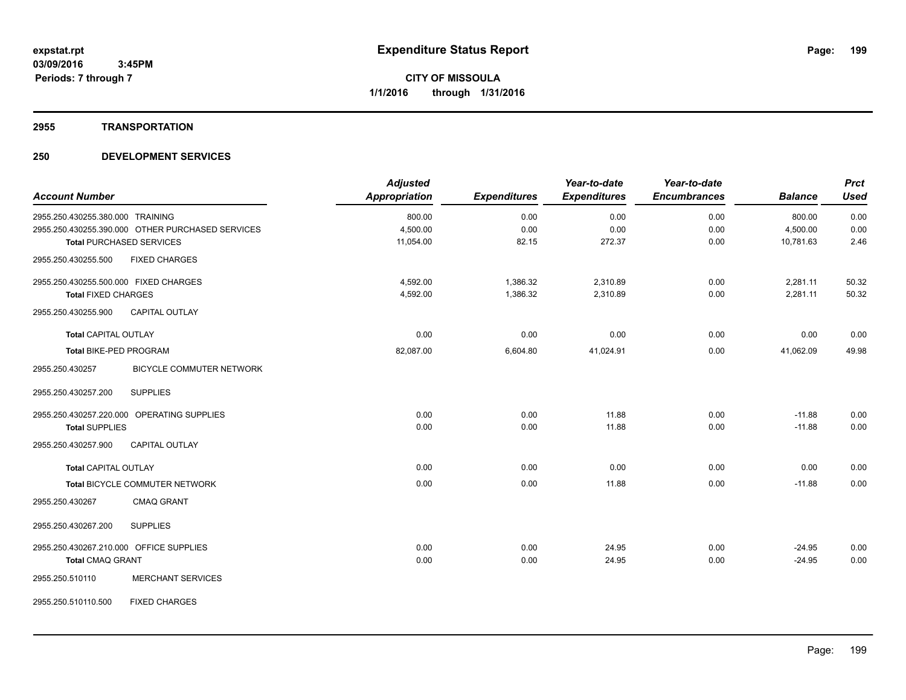# **2955 TRANSPORTATION**

| <b>Account Number</b>                      |                                                  | <b>Adjusted</b><br>Appropriation | <b>Expenditures</b> | Year-to-date<br><b>Expenditures</b> | Year-to-date<br><b>Encumbrances</b> | <b>Balance</b> | <b>Prct</b><br><b>Used</b> |
|--------------------------------------------|--------------------------------------------------|----------------------------------|---------------------|-------------------------------------|-------------------------------------|----------------|----------------------------|
| 2955.250.430255.380.000 TRAINING           |                                                  | 800.00                           | 0.00                | 0.00                                | 0.00                                | 800.00         | 0.00                       |
|                                            | 2955.250.430255.390.000 OTHER PURCHASED SERVICES | 4,500.00                         | 0.00                | 0.00                                | 0.00                                | 4,500.00       | 0.00                       |
| <b>Total PURCHASED SERVICES</b>            |                                                  | 11,054.00                        | 82.15               | 272.37                              | 0.00                                | 10,781.63      | 2.46                       |
| 2955.250.430255.500                        | <b>FIXED CHARGES</b>                             |                                  |                     |                                     |                                     |                |                            |
| 2955.250.430255.500.000 FIXED CHARGES      |                                                  | 4,592.00                         | 1,386.32            | 2,310.89                            | 0.00                                | 2,281.11       | 50.32                      |
| <b>Total FIXED CHARGES</b>                 |                                                  | 4,592.00                         | 1,386.32            | 2,310.89                            | 0.00                                | 2,281.11       | 50.32                      |
| 2955.250.430255.900                        | CAPITAL OUTLAY                                   |                                  |                     |                                     |                                     |                |                            |
| <b>Total CAPITAL OUTLAY</b>                |                                                  | 0.00                             | 0.00                | 0.00                                | 0.00                                | 0.00           | 0.00                       |
| <b>Total BIKE-PED PROGRAM</b>              |                                                  | 82,087.00                        | 6,604.80            | 41,024.91                           | 0.00                                | 41,062.09      | 49.98                      |
| 2955.250.430257                            | <b>BICYCLE COMMUTER NETWORK</b>                  |                                  |                     |                                     |                                     |                |                            |
| 2955.250.430257.200                        | <b>SUPPLIES</b>                                  |                                  |                     |                                     |                                     |                |                            |
| 2955.250.430257.220.000 OPERATING SUPPLIES |                                                  | 0.00                             | 0.00                | 11.88                               | 0.00                                | $-11.88$       | 0.00                       |
| <b>Total SUPPLIES</b>                      |                                                  | 0.00                             | 0.00                | 11.88                               | 0.00                                | $-11.88$       | 0.00                       |
| 2955.250.430257.900                        | <b>CAPITAL OUTLAY</b>                            |                                  |                     |                                     |                                     |                |                            |
| <b>Total CAPITAL OUTLAY</b>                |                                                  | 0.00                             | 0.00                | 0.00                                | 0.00                                | 0.00           | 0.00                       |
|                                            | Total BICYCLE COMMUTER NETWORK                   | 0.00                             | 0.00                | 11.88                               | 0.00                                | $-11.88$       | 0.00                       |
| 2955.250.430267                            | <b>CMAQ GRANT</b>                                |                                  |                     |                                     |                                     |                |                            |
| 2955.250.430267.200                        | <b>SUPPLIES</b>                                  |                                  |                     |                                     |                                     |                |                            |
| 2955.250.430267.210.000 OFFICE SUPPLIES    |                                                  | 0.00                             | 0.00                | 24.95                               | 0.00                                | $-24.95$       | 0.00                       |
| <b>Total CMAQ GRANT</b>                    |                                                  | 0.00                             | 0.00                | 24.95                               | 0.00                                | $-24.95$       | 0.00                       |
| 2955.250.510110                            | <b>MERCHANT SERVICES</b>                         |                                  |                     |                                     |                                     |                |                            |
| 2955.250.510110.500                        | <b>FIXED CHARGES</b>                             |                                  |                     |                                     |                                     |                |                            |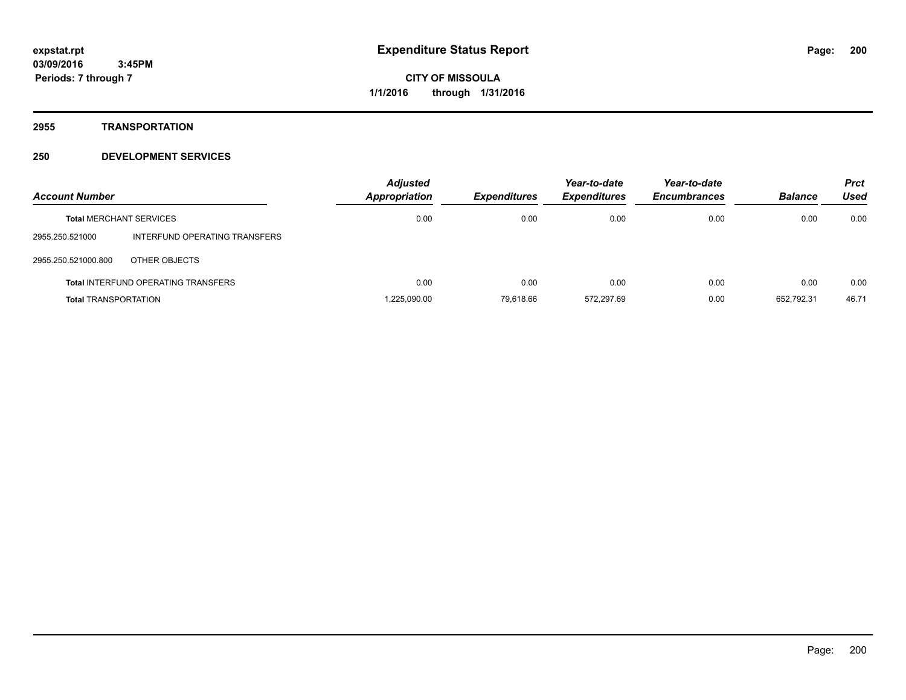**2955 TRANSPORTATION**

| <b>Account Number</b>       |                                            | <b>Adjusted</b><br><b>Appropriation</b> | <b>Expenditures</b> | Year-to-date<br><b>Expenditures</b> | Year-to-date<br><b>Encumbrances</b> | <b>Balance</b> | <b>Prct</b><br>Used |
|-----------------------------|--------------------------------------------|-----------------------------------------|---------------------|-------------------------------------|-------------------------------------|----------------|---------------------|
|                             | <b>Total MERCHANT SERVICES</b>             | 0.00                                    | 0.00                | 0.00                                | 0.00                                | 0.00           | 0.00                |
| 2955.250.521000             | INTERFUND OPERATING TRANSFERS              |                                         |                     |                                     |                                     |                |                     |
| 2955.250.521000.800         | OTHER OBJECTS                              |                                         |                     |                                     |                                     |                |                     |
|                             | <b>Total INTERFUND OPERATING TRANSFERS</b> | 0.00                                    | 0.00                | 0.00                                | 0.00                                | 0.00           | 0.00                |
| <b>Total TRANSPORTATION</b> |                                            | 1.225.090.00                            | 79.618.66           | 572.297.69                          | 0.00                                | 652.792.31     | 46.71               |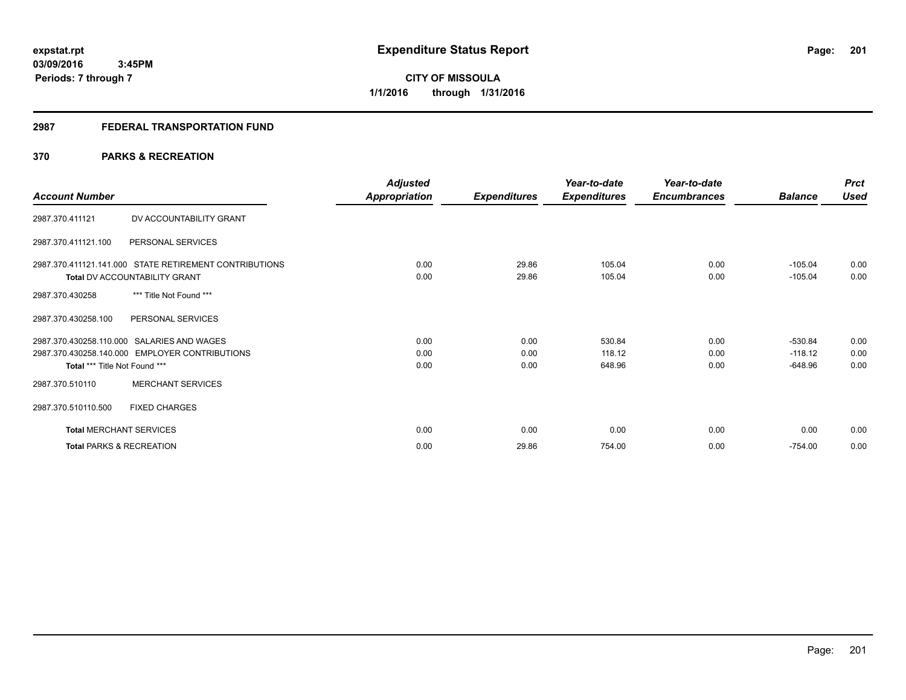# **2987 FEDERAL TRANSPORTATION FUND**

# **370 PARKS & RECREATION**

| <b>Account Number</b>                                                                                                         | <b>Adjusted</b><br>Appropriation | <b>Expenditures</b>  | Year-to-date<br><b>Expenditures</b> | Year-to-date<br><b>Encumbrances</b> | <b>Balance</b>                      | <b>Prct</b><br><b>Used</b> |
|-------------------------------------------------------------------------------------------------------------------------------|----------------------------------|----------------------|-------------------------------------|-------------------------------------|-------------------------------------|----------------------------|
| DV ACCOUNTABILITY GRANT<br>2987.370.411121                                                                                    |                                  |                      |                                     |                                     |                                     |                            |
| 2987.370.411121.100<br>PERSONAL SERVICES                                                                                      |                                  |                      |                                     |                                     |                                     |                            |
| 2987.370.411121.141.000 STATE RETIREMENT CONTRIBUTIONS<br>Total DV ACCOUNTABILITY GRANT                                       | 0.00<br>0.00                     | 29.86<br>29.86       | 105.04<br>105.04                    | 0.00<br>0.00                        | $-105.04$<br>$-105.04$              | 0.00<br>0.00               |
| *** Title Not Found ***<br>2987.370.430258                                                                                    |                                  |                      |                                     |                                     |                                     |                            |
| PERSONAL SERVICES<br>2987.370.430258.100                                                                                      |                                  |                      |                                     |                                     |                                     |                            |
| 2987.370.430258.110.000 SALARIES AND WAGES<br>2987.370.430258.140.000 EMPLOYER CONTRIBUTIONS<br>Total *** Title Not Found *** | 0.00<br>0.00<br>0.00             | 0.00<br>0.00<br>0.00 | 530.84<br>118.12<br>648.96          | 0.00<br>0.00<br>0.00                | $-530.84$<br>$-118.12$<br>$-648.96$ | 0.00<br>0.00<br>0.00       |
| <b>MERCHANT SERVICES</b><br>2987.370.510110                                                                                   |                                  |                      |                                     |                                     |                                     |                            |
| 2987.370.510110.500<br><b>FIXED CHARGES</b>                                                                                   |                                  |                      |                                     |                                     |                                     |                            |
| <b>Total MERCHANT SERVICES</b>                                                                                                | 0.00                             | 0.00                 | 0.00                                | 0.00                                | 0.00                                | 0.00                       |
| <b>Total PARKS &amp; RECREATION</b>                                                                                           | 0.00                             | 29.86                | 754.00                              | 0.00                                | $-754.00$                           | 0.00                       |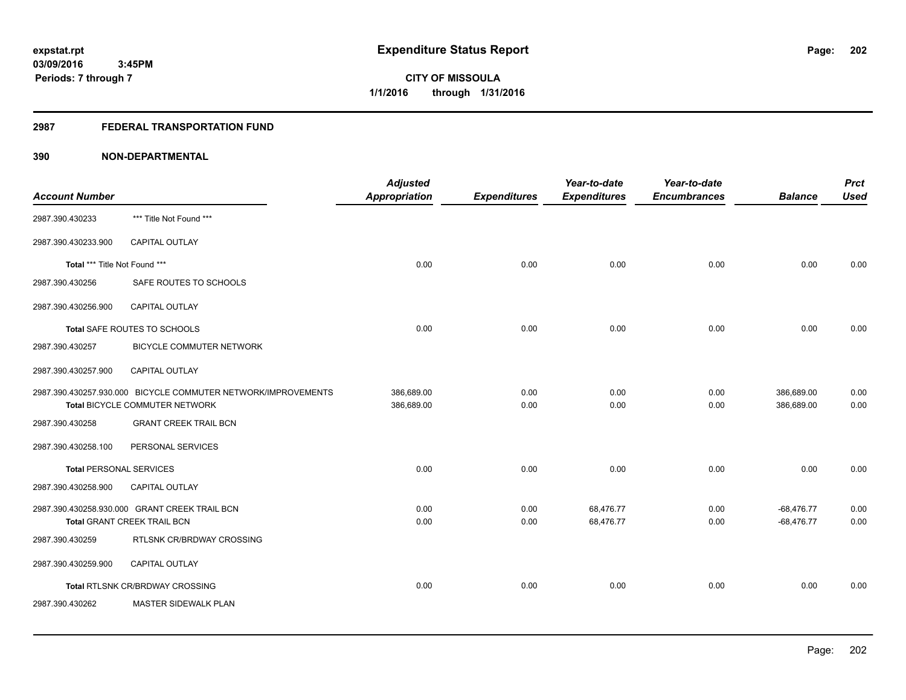# **2987 FEDERAL TRANSPORTATION FUND**

| <b>Account Number</b>          |                                                                                                 | <b>Adjusted</b><br><b>Appropriation</b> | <b>Expenditures</b> | Year-to-date<br><b>Expenditures</b> | Year-to-date<br><b>Encumbrances</b> | <b>Balance</b>               | <b>Prct</b><br><b>Used</b> |
|--------------------------------|-------------------------------------------------------------------------------------------------|-----------------------------------------|---------------------|-------------------------------------|-------------------------------------|------------------------------|----------------------------|
| 2987.390.430233                | *** Title Not Found ***                                                                         |                                         |                     |                                     |                                     |                              |                            |
| 2987.390.430233.900            | CAPITAL OUTLAY                                                                                  |                                         |                     |                                     |                                     |                              |                            |
| Total *** Title Not Found ***  |                                                                                                 | 0.00                                    | 0.00                | 0.00                                | 0.00                                | 0.00                         | 0.00                       |
| 2987.390.430256                | SAFE ROUTES TO SCHOOLS                                                                          |                                         |                     |                                     |                                     |                              |                            |
| 2987.390.430256.900            | <b>CAPITAL OUTLAY</b>                                                                           |                                         |                     |                                     |                                     |                              |                            |
|                                | Total SAFE ROUTES TO SCHOOLS                                                                    | 0.00                                    | 0.00                | 0.00                                | 0.00                                | 0.00                         | 0.00                       |
| 2987.390.430257                | <b>BICYCLE COMMUTER NETWORK</b>                                                                 |                                         |                     |                                     |                                     |                              |                            |
| 2987.390.430257.900            | CAPITAL OUTLAY                                                                                  |                                         |                     |                                     |                                     |                              |                            |
|                                | 2987.390.430257.930.000 BICYCLE COMMUTER NETWORK/IMPROVEMENTS<br>Total BICYCLE COMMUTER NETWORK | 386,689.00<br>386,689.00                | 0.00<br>0.00        | 0.00<br>0.00                        | 0.00<br>0.00                        | 386,689.00<br>386,689.00     | 0.00<br>0.00               |
| 2987.390.430258                | <b>GRANT CREEK TRAIL BCN</b>                                                                    |                                         |                     |                                     |                                     |                              |                            |
| 2987.390.430258.100            | PERSONAL SERVICES                                                                               |                                         |                     |                                     |                                     |                              |                            |
| <b>Total PERSONAL SERVICES</b> |                                                                                                 | 0.00                                    | 0.00                | 0.00                                | 0.00                                | 0.00                         | 0.00                       |
| 2987.390.430258.900            | CAPITAL OUTLAY                                                                                  |                                         |                     |                                     |                                     |                              |                            |
|                                | 2987.390.430258.930.000 GRANT CREEK TRAIL BCN<br><b>Total GRANT CREEK TRAIL BCN</b>             | 0.00<br>0.00                            | 0.00<br>0.00        | 68,476.77<br>68,476.77              | 0.00<br>0.00                        | $-68,476.77$<br>$-68,476.77$ | 0.00<br>0.00               |
| 2987.390.430259                | RTLSNK CR/BRDWAY CROSSING                                                                       |                                         |                     |                                     |                                     |                              |                            |
| 2987.390.430259.900            | <b>CAPITAL OUTLAY</b>                                                                           |                                         |                     |                                     |                                     |                              |                            |
|                                | Total RTLSNK CR/BRDWAY CROSSING                                                                 | 0.00                                    | 0.00                | 0.00                                | 0.00                                | 0.00                         | 0.00                       |
| 2987.390.430262                | MASTER SIDEWALK PLAN                                                                            |                                         |                     |                                     |                                     |                              |                            |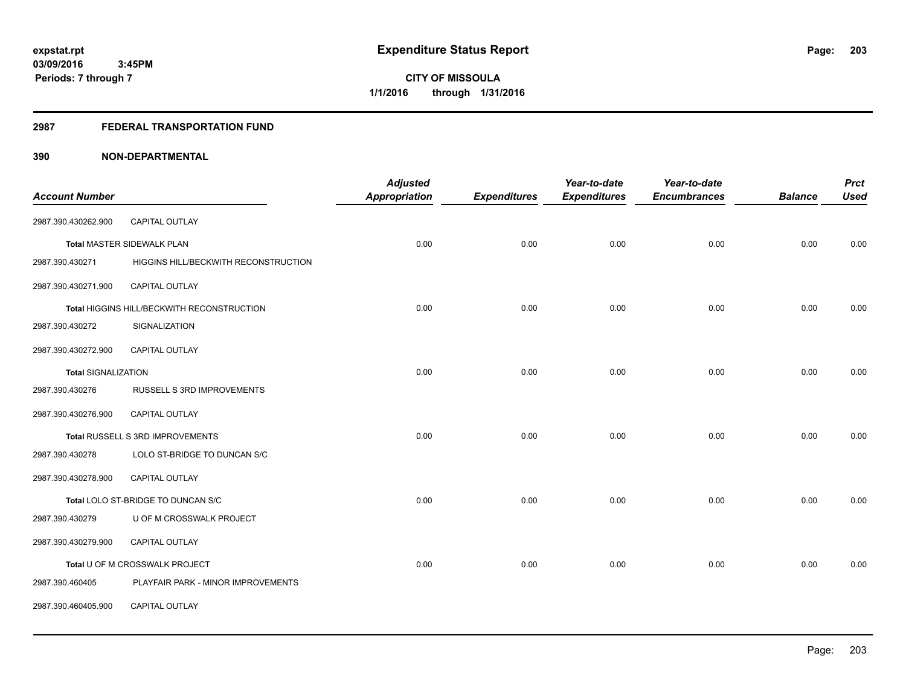# **2987 FEDERAL TRANSPORTATION FUND**

|                            |                                            | <b>Adjusted</b>      |                     | Year-to-date        | Year-to-date        |                | <b>Prct</b> |
|----------------------------|--------------------------------------------|----------------------|---------------------|---------------------|---------------------|----------------|-------------|
| <b>Account Number</b>      |                                            | <b>Appropriation</b> | <b>Expenditures</b> | <b>Expenditures</b> | <b>Encumbrances</b> | <b>Balance</b> | <b>Used</b> |
| 2987.390.430262.900        | <b>CAPITAL OUTLAY</b>                      |                      |                     |                     |                     |                |             |
|                            | Total MASTER SIDEWALK PLAN                 | 0.00                 | 0.00                | 0.00                | 0.00                | 0.00           | 0.00        |
| 2987.390.430271            | HIGGINS HILL/BECKWITH RECONSTRUCTION       |                      |                     |                     |                     |                |             |
| 2987.390.430271.900        | CAPITAL OUTLAY                             |                      |                     |                     |                     |                |             |
|                            | Total HIGGINS HILL/BECKWITH RECONSTRUCTION | 0.00                 | 0.00                | 0.00                | 0.00                | 0.00           | 0.00        |
| 2987.390.430272            | SIGNALIZATION                              |                      |                     |                     |                     |                |             |
| 2987.390.430272.900        | <b>CAPITAL OUTLAY</b>                      |                      |                     |                     |                     |                |             |
| <b>Total SIGNALIZATION</b> |                                            | 0.00                 | 0.00                | 0.00                | 0.00                | 0.00           | 0.00        |
| 2987.390.430276            | RUSSELL S 3RD IMPROVEMENTS                 |                      |                     |                     |                     |                |             |
| 2987.390.430276.900        | <b>CAPITAL OUTLAY</b>                      |                      |                     |                     |                     |                |             |
|                            | Total RUSSELL S 3RD IMPROVEMENTS           | 0.00                 | 0.00                | 0.00                | 0.00                | 0.00           | 0.00        |
| 2987.390.430278            | LOLO ST-BRIDGE TO DUNCAN S/C               |                      |                     |                     |                     |                |             |
| 2987.390.430278.900        | CAPITAL OUTLAY                             |                      |                     |                     |                     |                |             |
|                            | Total LOLO ST-BRIDGE TO DUNCAN S/C         | 0.00                 | 0.00                | 0.00                | 0.00                | 0.00           | 0.00        |
| 2987.390.430279            | U OF M CROSSWALK PROJECT                   |                      |                     |                     |                     |                |             |
| 2987.390.430279.900        | <b>CAPITAL OUTLAY</b>                      |                      |                     |                     |                     |                |             |
|                            | Total U OF M CROSSWALK PROJECT             | 0.00                 | 0.00                | 0.00                | 0.00                | 0.00           | 0.00        |
| 2987.390.460405            | PLAYFAIR PARK - MINOR IMPROVEMENTS         |                      |                     |                     |                     |                |             |
| 2987.390.460405.900        | <b>CAPITAL OUTLAY</b>                      |                      |                     |                     |                     |                |             |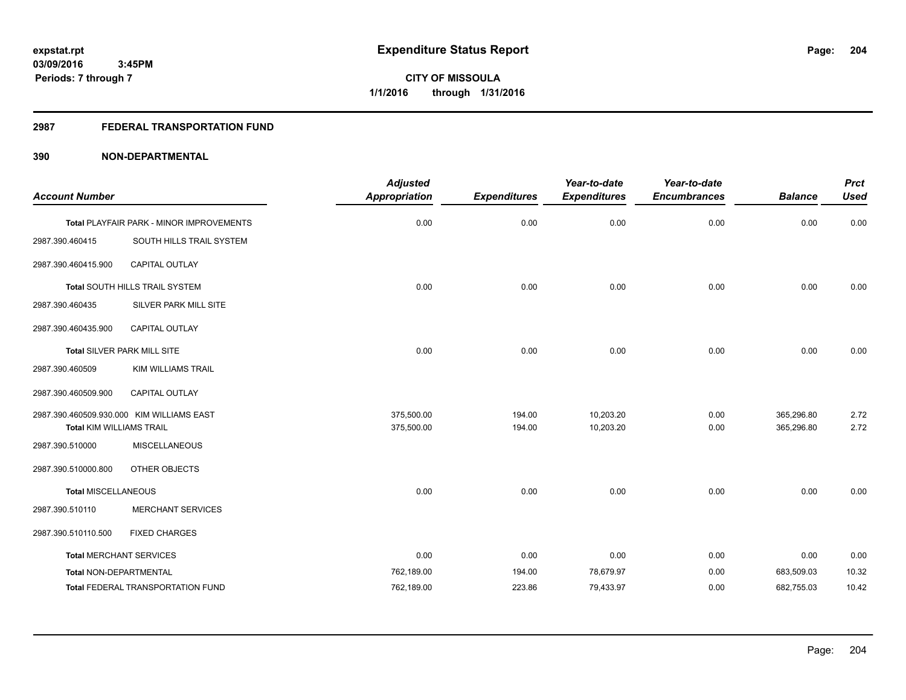# **2987 FEDERAL TRANSPORTATION FUND**

|                                 |                                           | <b>Adjusted</b>      |                     | Year-to-date        | Year-to-date        |                | <b>Prct</b> |
|---------------------------------|-------------------------------------------|----------------------|---------------------|---------------------|---------------------|----------------|-------------|
| <b>Account Number</b>           |                                           | <b>Appropriation</b> | <b>Expenditures</b> | <b>Expenditures</b> | <b>Encumbrances</b> | <b>Balance</b> | <b>Used</b> |
|                                 | Total PLAYFAIR PARK - MINOR IMPROVEMENTS  | 0.00                 | 0.00                | 0.00                | 0.00                | 0.00           | 0.00        |
| 2987.390.460415                 | SOUTH HILLS TRAIL SYSTEM                  |                      |                     |                     |                     |                |             |
| 2987.390.460415.900             | CAPITAL OUTLAY                            |                      |                     |                     |                     |                |             |
|                                 | Total SOUTH HILLS TRAIL SYSTEM            | 0.00                 | 0.00                | 0.00                | 0.00                | 0.00           | 0.00        |
| 2987.390.460435                 | <b>SILVER PARK MILL SITE</b>              |                      |                     |                     |                     |                |             |
| 2987.390.460435.900             | CAPITAL OUTLAY                            |                      |                     |                     |                     |                |             |
|                                 | Total SILVER PARK MILL SITE               | 0.00                 | 0.00                | 0.00                | 0.00                | 0.00           | 0.00        |
| 2987.390.460509                 | <b>KIM WILLIAMS TRAIL</b>                 |                      |                     |                     |                     |                |             |
| 2987.390.460509.900             | CAPITAL OUTLAY                            |                      |                     |                     |                     |                |             |
|                                 | 2987.390.460509.930.000 KIM WILLIAMS EAST | 375,500.00           | 194.00              | 10,203.20           | 0.00                | 365,296.80     | 2.72        |
| <b>Total KIM WILLIAMS TRAIL</b> |                                           | 375,500.00           | 194.00              | 10,203.20           | 0.00                | 365,296.80     | 2.72        |
| 2987.390.510000                 | <b>MISCELLANEOUS</b>                      |                      |                     |                     |                     |                |             |
| 2987.390.510000.800             | OTHER OBJECTS                             |                      |                     |                     |                     |                |             |
| <b>Total MISCELLANEOUS</b>      |                                           | 0.00                 | 0.00                | 0.00                | 0.00                | 0.00           | 0.00        |
| 2987.390.510110                 | <b>MERCHANT SERVICES</b>                  |                      |                     |                     |                     |                |             |
| 2987.390.510110.500             | <b>FIXED CHARGES</b>                      |                      |                     |                     |                     |                |             |
| <b>Total MERCHANT SERVICES</b>  |                                           | 0.00                 | 0.00                | 0.00                | 0.00                | 0.00           | 0.00        |
| Total NON-DEPARTMENTAL          |                                           | 762,189.00           | 194.00              | 78,679.97           | 0.00                | 683,509.03     | 10.32       |
|                                 | <b>Total FEDERAL TRANSPORTATION FUND</b>  | 762,189.00           | 223.86              | 79,433.97           | 0.00                | 682,755.03     | 10.42       |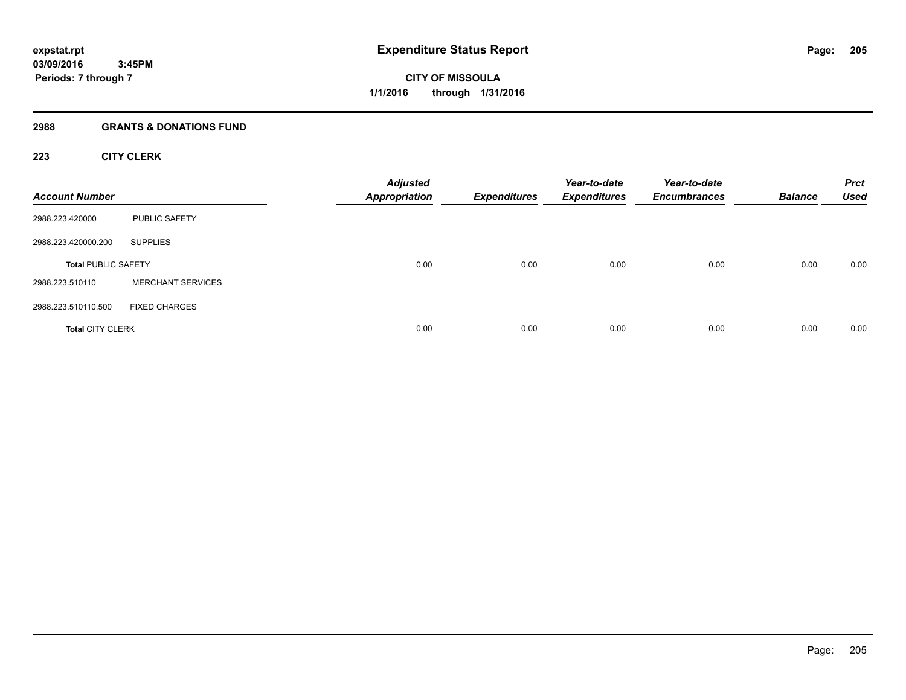# **2988 GRANTS & DONATIONS FUND**

# **223 CITY CLERK**

| <b>Account Number</b>      |                          | <b>Adjusted</b><br><b>Appropriation</b> | <b>Expenditures</b> | Year-to-date<br><b>Expenditures</b> | Year-to-date<br><b>Encumbrances</b> | <b>Balance</b> | <b>Prct</b><br><b>Used</b> |
|----------------------------|--------------------------|-----------------------------------------|---------------------|-------------------------------------|-------------------------------------|----------------|----------------------------|
| 2988.223.420000            | <b>PUBLIC SAFETY</b>     |                                         |                     |                                     |                                     |                |                            |
| 2988.223.420000.200        | <b>SUPPLIES</b>          |                                         |                     |                                     |                                     |                |                            |
| <b>Total PUBLIC SAFETY</b> |                          | 0.00                                    | 0.00                | 0.00                                | 0.00                                | 0.00           | 0.00                       |
| 2988.223.510110            | <b>MERCHANT SERVICES</b> |                                         |                     |                                     |                                     |                |                            |
| 2988.223.510110.500        | <b>FIXED CHARGES</b>     |                                         |                     |                                     |                                     |                |                            |
| <b>Total CITY CLERK</b>    |                          | 0.00                                    | 0.00                | 0.00                                | 0.00                                | 0.00           | 0.00                       |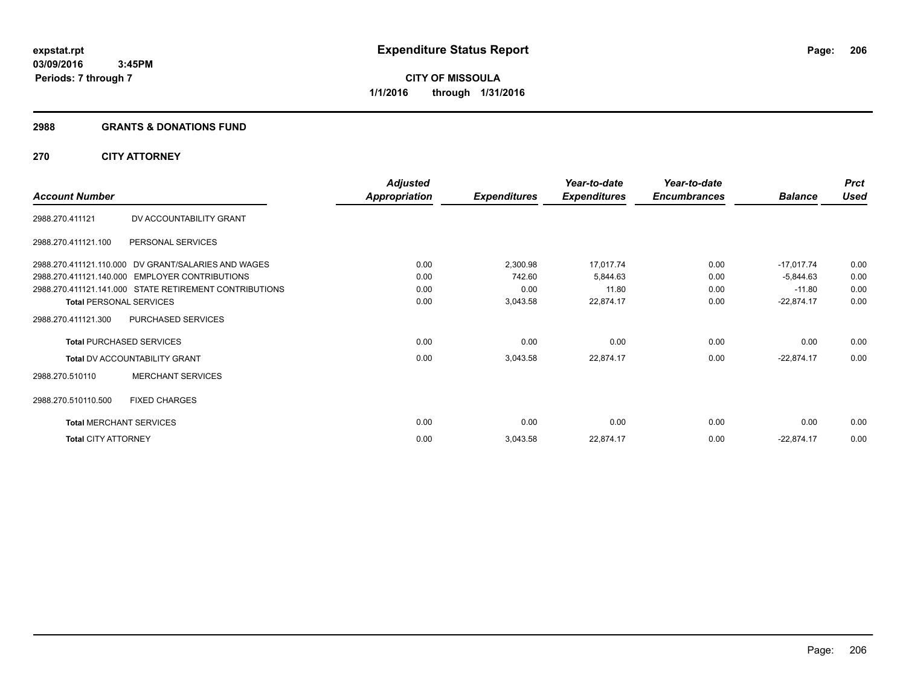#### **2988 GRANTS & DONATIONS FUND**

# **270 CITY ATTORNEY**

|                            |                                                        | <b>Adjusted</b> |                     | Year-to-date        | Year-to-date        |                | <b>Prct</b> |
|----------------------------|--------------------------------------------------------|-----------------|---------------------|---------------------|---------------------|----------------|-------------|
| <b>Account Number</b>      |                                                        | Appropriation   | <b>Expenditures</b> | <b>Expenditures</b> | <b>Encumbrances</b> | <b>Balance</b> | <b>Used</b> |
| 2988.270.411121            | DV ACCOUNTABILITY GRANT                                |                 |                     |                     |                     |                |             |
| 2988.270.411121.100        | PERSONAL SERVICES                                      |                 |                     |                     |                     |                |             |
|                            | 2988.270.411121.110.000 DV GRANT/SALARIES AND WAGES    | 0.00            | 2,300.98            | 17,017.74           | 0.00                | $-17,017.74$   | 0.00        |
|                            | 2988.270.411121.140.000 EMPLOYER CONTRIBUTIONS         | 0.00            | 742.60              | 5,844.63            | 0.00                | $-5,844.63$    | 0.00        |
|                            | 2988.270.411121.141.000 STATE RETIREMENT CONTRIBUTIONS | 0.00            | 0.00                | 11.80               | 0.00                | $-11.80$       | 0.00        |
|                            | <b>Total PERSONAL SERVICES</b>                         | 0.00            | 3,043.58            | 22,874.17           | 0.00                | $-22,874.17$   | 0.00        |
| 2988.270.411121.300        | PURCHASED SERVICES                                     |                 |                     |                     |                     |                |             |
|                            | <b>Total PURCHASED SERVICES</b>                        | 0.00            | 0.00                | 0.00                | 0.00                | 0.00           | 0.00        |
|                            | <b>Total DV ACCOUNTABILITY GRANT</b>                   | 0.00            | 3,043.58            | 22,874.17           | 0.00                | $-22,874.17$   | 0.00        |
| 2988.270.510110            | <b>MERCHANT SERVICES</b>                               |                 |                     |                     |                     |                |             |
| 2988.270.510110.500        | <b>FIXED CHARGES</b>                                   |                 |                     |                     |                     |                |             |
|                            | <b>Total MERCHANT SERVICES</b>                         | 0.00            | 0.00                | 0.00                | 0.00                | 0.00           | 0.00        |
| <b>Total CITY ATTORNEY</b> |                                                        | 0.00            | 3,043.58            | 22,874.17           | 0.00                | $-22,874.17$   | 0.00        |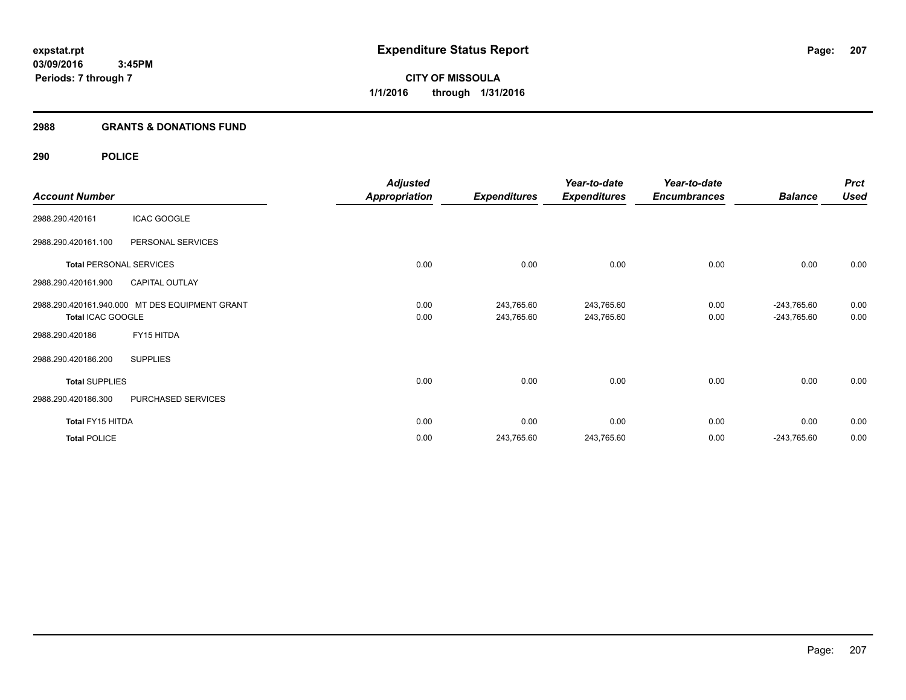**Periods: 7 through 7**

**CITY OF MISSOULA 1/1/2016 through 1/31/2016**

# **2988 GRANTS & DONATIONS FUND**

 **3:45PM**

# **290 POLICE**

|                       |                                                | <b>Adjusted</b>      |                     | Year-to-date        | Year-to-date        |                | <b>Prct</b> |
|-----------------------|------------------------------------------------|----------------------|---------------------|---------------------|---------------------|----------------|-------------|
| <b>Account Number</b> |                                                | <b>Appropriation</b> | <b>Expenditures</b> | <b>Expenditures</b> | <b>Encumbrances</b> | <b>Balance</b> | <b>Used</b> |
| 2988.290.420161       | <b>ICAC GOOGLE</b>                             |                      |                     |                     |                     |                |             |
| 2988.290.420161.100   | PERSONAL SERVICES                              |                      |                     |                     |                     |                |             |
|                       | <b>Total PERSONAL SERVICES</b>                 | 0.00                 | 0.00                | 0.00                | 0.00                | 0.00           | 0.00        |
| 2988.290.420161.900   | <b>CAPITAL OUTLAY</b>                          |                      |                     |                     |                     |                |             |
|                       | 2988.290.420161.940.000 MT DES EQUIPMENT GRANT | 0.00                 | 243,765.60          | 243,765.60          | 0.00                | $-243,765.60$  | 0.00        |
| Total ICAC GOOGLE     |                                                | 0.00                 | 243,765.60          | 243,765.60          | 0.00                | -243,765.60    | 0.00        |
| 2988.290.420186       | FY15 HITDA                                     |                      |                     |                     |                     |                |             |
| 2988.290.420186.200   | <b>SUPPLIES</b>                                |                      |                     |                     |                     |                |             |
| <b>Total SUPPLIES</b> |                                                | 0.00                 | 0.00                | 0.00                | 0.00                | 0.00           | 0.00        |
| 2988.290.420186.300   | PURCHASED SERVICES                             |                      |                     |                     |                     |                |             |
| Total FY15 HITDA      |                                                | 0.00                 | 0.00                | 0.00                | 0.00                | 0.00           | 0.00        |
| <b>Total POLICE</b>   |                                                | 0.00                 | 243,765.60          | 243,765.60          | 0.00                | $-243,765.60$  | 0.00        |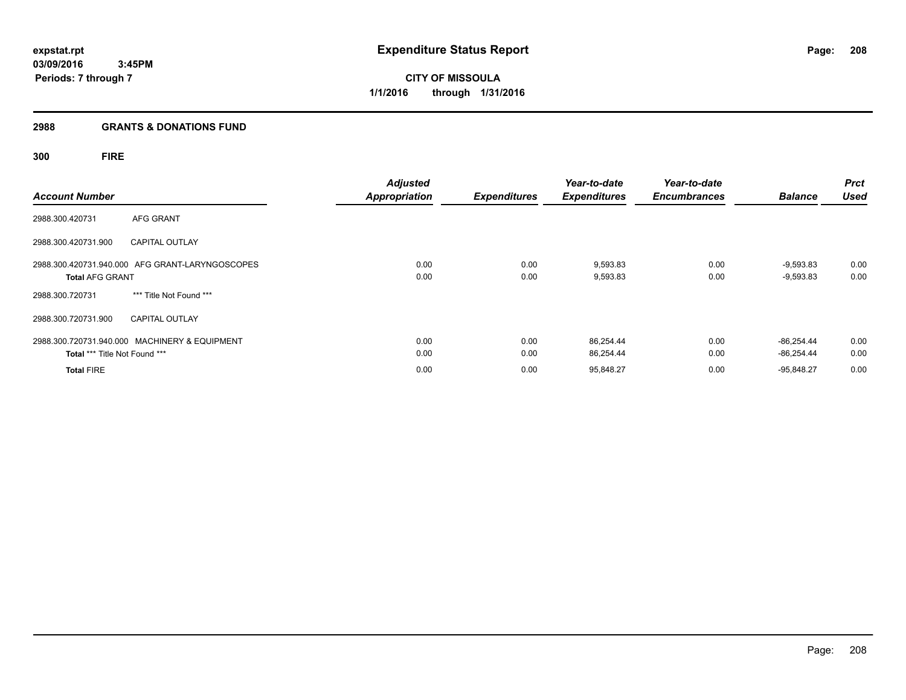**CITY OF MISSOULA 1/1/2016 through 1/31/2016**

#### **2988 GRANTS & DONATIONS FUND**

# **300 FIRE**

| <b>Account Number</b>         |                                                 | <b>Adjusted</b><br><b>Appropriation</b> | <b>Expenditures</b> | Year-to-date<br><b>Expenditures</b> | Year-to-date<br><b>Encumbrances</b> | <b>Balance</b>             | <b>Prct</b><br><b>Used</b> |
|-------------------------------|-------------------------------------------------|-----------------------------------------|---------------------|-------------------------------------|-------------------------------------|----------------------------|----------------------------|
| 2988.300.420731               | <b>AFG GRANT</b>                                |                                         |                     |                                     |                                     |                            |                            |
| 2988.300.420731.900           | <b>CAPITAL OUTLAY</b>                           |                                         |                     |                                     |                                     |                            |                            |
| <b>Total AFG GRANT</b>        | 2988.300.420731.940.000 AFG GRANT-LARYNGOSCOPES | 0.00<br>0.00                            | 0.00<br>0.00        | 9,593.83<br>9,593.83                | 0.00<br>0.00                        | $-9,593.83$<br>$-9,593.83$ | 0.00<br>0.00               |
| 2988.300.720731               | *** Title Not Found ***                         |                                         |                     |                                     |                                     |                            |                            |
| 2988.300.720731.900           | <b>CAPITAL OUTLAY</b>                           |                                         |                     |                                     |                                     |                            |                            |
| Total *** Title Not Found *** | 2988.300.720731.940.000 MACHINERY & EQUIPMENT   | 0.00<br>0.00                            | 0.00<br>0.00        | 86,254.44<br>86,254.44              | 0.00<br>0.00                        | $-86.254.44$<br>-86.254.44 | 0.00<br>0.00               |
| <b>Total FIRE</b>             |                                                 | 0.00                                    | 0.00                | 95,848.27                           | 0.00                                | $-95.848.27$               | 0.00                       |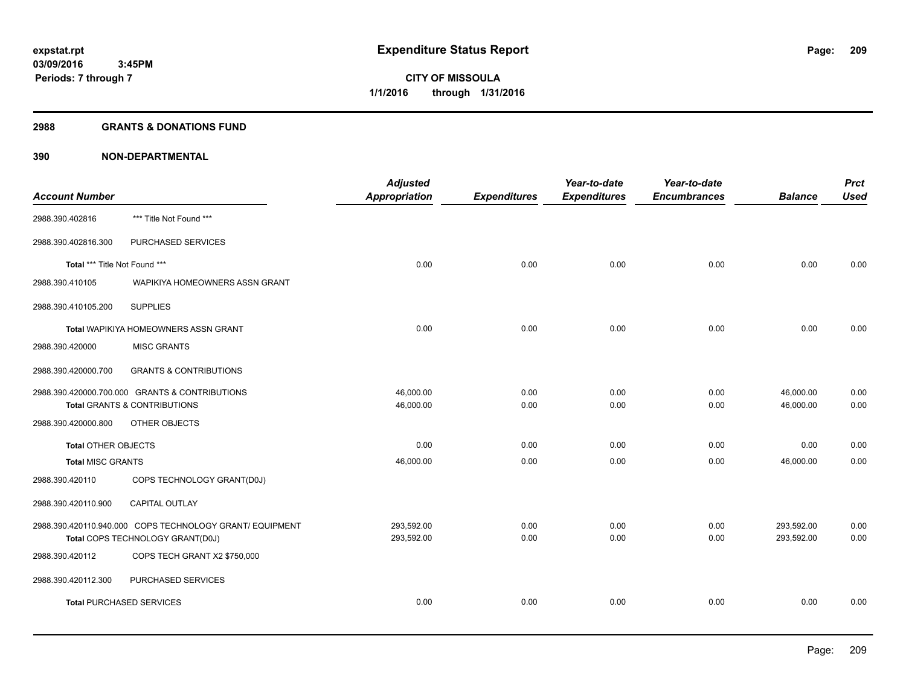#### **2988 GRANTS & DONATIONS FUND**

|                                 |                                                          | <b>Adjusted</b> |                     | Year-to-date        | Year-to-date        |                | <b>Prct</b> |
|---------------------------------|----------------------------------------------------------|-----------------|---------------------|---------------------|---------------------|----------------|-------------|
| <b>Account Number</b>           |                                                          | Appropriation   | <b>Expenditures</b> | <b>Expenditures</b> | <b>Encumbrances</b> | <b>Balance</b> | <b>Used</b> |
| 2988.390.402816                 | *** Title Not Found ***                                  |                 |                     |                     |                     |                |             |
| 2988.390.402816.300             | PURCHASED SERVICES                                       |                 |                     |                     |                     |                |             |
| Total *** Title Not Found ***   |                                                          | 0.00            | 0.00                | 0.00                | 0.00                | 0.00           | 0.00        |
| 2988.390.410105                 | WAPIKIYA HOMEOWNERS ASSN GRANT                           |                 |                     |                     |                     |                |             |
| 2988.390.410105.200             | <b>SUPPLIES</b>                                          |                 |                     |                     |                     |                |             |
|                                 | Total WAPIKIYA HOMEOWNERS ASSN GRANT                     | 0.00            | 0.00                | 0.00                | 0.00                | 0.00           | 0.00        |
| 2988.390.420000                 | <b>MISC GRANTS</b>                                       |                 |                     |                     |                     |                |             |
| 2988.390.420000.700             | <b>GRANTS &amp; CONTRIBUTIONS</b>                        |                 |                     |                     |                     |                |             |
|                                 | 2988.390.420000.700.000 GRANTS & CONTRIBUTIONS           | 46,000.00       | 0.00                | 0.00                | 0.00                | 46,000.00      | 0.00        |
|                                 | <b>Total GRANTS &amp; CONTRIBUTIONS</b>                  | 46,000.00       | 0.00                | 0.00                | 0.00                | 46,000.00      | 0.00        |
| 2988.390.420000.800             | OTHER OBJECTS                                            |                 |                     |                     |                     |                |             |
| <b>Total OTHER OBJECTS</b>      |                                                          | 0.00            | 0.00                | 0.00                | 0.00                | 0.00           | 0.00        |
| <b>Total MISC GRANTS</b>        |                                                          | 46,000.00       | 0.00                | 0.00                | 0.00                | 46,000.00      | 0.00        |
| 2988.390.420110                 | COPS TECHNOLOGY GRANT(D0J)                               |                 |                     |                     |                     |                |             |
| 2988.390.420110.900             | CAPITAL OUTLAY                                           |                 |                     |                     |                     |                |             |
|                                 | 2988.390.420110.940.000 COPS TECHNOLOGY GRANT/ EQUIPMENT | 293,592.00      | 0.00                | 0.00                | 0.00                | 293,592.00     | 0.00        |
|                                 | Total COPS TECHNOLOGY GRANT(D0J)                         | 293,592.00      | 0.00                | 0.00                | 0.00                | 293,592.00     | 0.00        |
| 2988.390.420112                 | COPS TECH GRANT X2 \$750,000                             |                 |                     |                     |                     |                |             |
| 2988.390.420112.300             | PURCHASED SERVICES                                       |                 |                     |                     |                     |                |             |
| <b>Total PURCHASED SERVICES</b> |                                                          | 0.00            | 0.00                | 0.00                | 0.00                | 0.00           | 0.00        |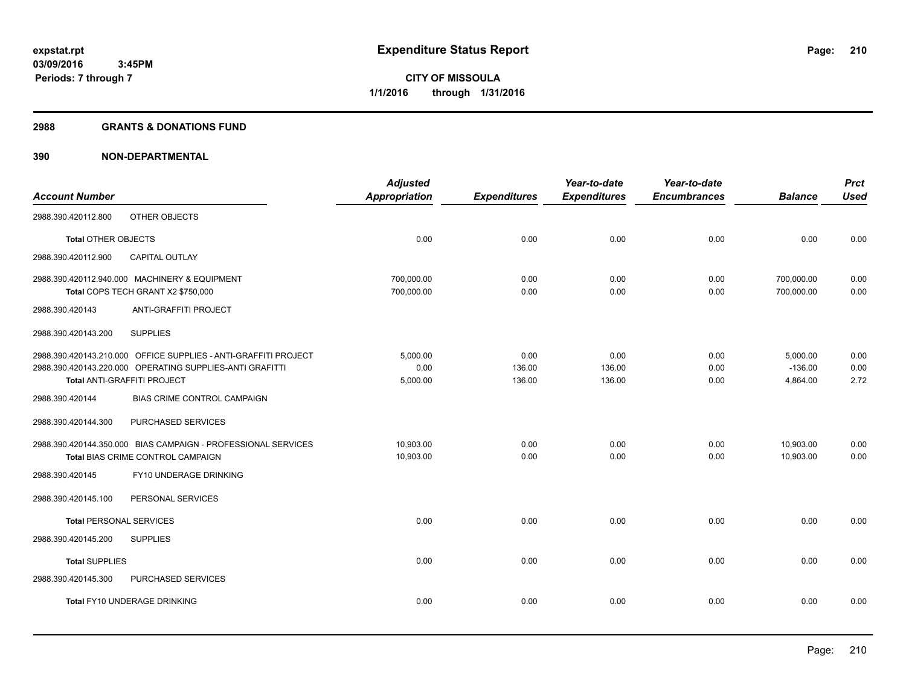#### **2988 GRANTS & DONATIONS FUND**

|                                |                                                                                                                                                            | <b>Adjusted</b>              |                          | Year-to-date             | Year-to-date         |                                   | <b>Prct</b>          |
|--------------------------------|------------------------------------------------------------------------------------------------------------------------------------------------------------|------------------------------|--------------------------|--------------------------|----------------------|-----------------------------------|----------------------|
| <b>Account Number</b>          |                                                                                                                                                            | <b>Appropriation</b>         | <b>Expenditures</b>      | <b>Expenditures</b>      | <b>Encumbrances</b>  | <b>Balance</b>                    | <b>Used</b>          |
| 2988.390.420112.800            | OTHER OBJECTS                                                                                                                                              |                              |                          |                          |                      |                                   |                      |
| <b>Total OTHER OBJECTS</b>     |                                                                                                                                                            | 0.00                         | 0.00                     | 0.00                     | 0.00                 | 0.00                              | 0.00                 |
| 2988.390.420112.900            | <b>CAPITAL OUTLAY</b>                                                                                                                                      |                              |                          |                          |                      |                                   |                      |
|                                | 2988.390.420112.940.000 MACHINERY & EQUIPMENT<br>Total COPS TECH GRANT X2 \$750,000                                                                        | 700,000.00<br>700,000.00     | 0.00<br>0.00             | 0.00<br>0.00             | 0.00<br>0.00         | 700,000.00<br>700,000.00          | 0.00<br>0.00         |
| 2988.390.420143                | ANTI-GRAFFITI PROJECT                                                                                                                                      |                              |                          |                          |                      |                                   |                      |
| 2988.390.420143.200            | <b>SUPPLIES</b>                                                                                                                                            |                              |                          |                          |                      |                                   |                      |
|                                | 2988.390.420143.210.000 OFFICE SUPPLIES - ANTI-GRAFFITI PROJECT<br>2988.390.420143.220.000 OPERATING SUPPLIES-ANTI GRAFITTI<br>Total ANTI-GRAFFITI PROJECT | 5,000.00<br>0.00<br>5,000.00 | 0.00<br>136.00<br>136.00 | 0.00<br>136.00<br>136.00 | 0.00<br>0.00<br>0.00 | 5,000.00<br>$-136.00$<br>4,864.00 | 0.00<br>0.00<br>2.72 |
| 2988.390.420144                | <b>BIAS CRIME CONTROL CAMPAIGN</b>                                                                                                                         |                              |                          |                          |                      |                                   |                      |
| 2988.390.420144.300            | PURCHASED SERVICES                                                                                                                                         |                              |                          |                          |                      |                                   |                      |
|                                | 2988.390.420144.350.000 BIAS CAMPAIGN - PROFESSIONAL SERVICES<br>Total BIAS CRIME CONTROL CAMPAIGN                                                         | 10.903.00<br>10,903.00       | 0.00<br>0.00             | 0.00<br>0.00             | 0.00<br>0.00         | 10,903.00<br>10,903.00            | 0.00<br>0.00         |
| 2988.390.420145                | FY10 UNDERAGE DRINKING                                                                                                                                     |                              |                          |                          |                      |                                   |                      |
| 2988.390.420145.100            | PERSONAL SERVICES                                                                                                                                          |                              |                          |                          |                      |                                   |                      |
| <b>Total PERSONAL SERVICES</b> |                                                                                                                                                            | 0.00                         | 0.00                     | 0.00                     | 0.00                 | 0.00                              | 0.00                 |
| 2988.390.420145.200            | <b>SUPPLIES</b>                                                                                                                                            |                              |                          |                          |                      |                                   |                      |
| <b>Total SUPPLIES</b>          |                                                                                                                                                            | 0.00                         | 0.00                     | 0.00                     | 0.00                 | 0.00                              | 0.00                 |
| 2988.390.420145.300            | PURCHASED SERVICES                                                                                                                                         |                              |                          |                          |                      |                                   |                      |
|                                | Total FY10 UNDERAGE DRINKING                                                                                                                               | 0.00                         | 0.00                     | 0.00                     | 0.00                 | 0.00                              | 0.00                 |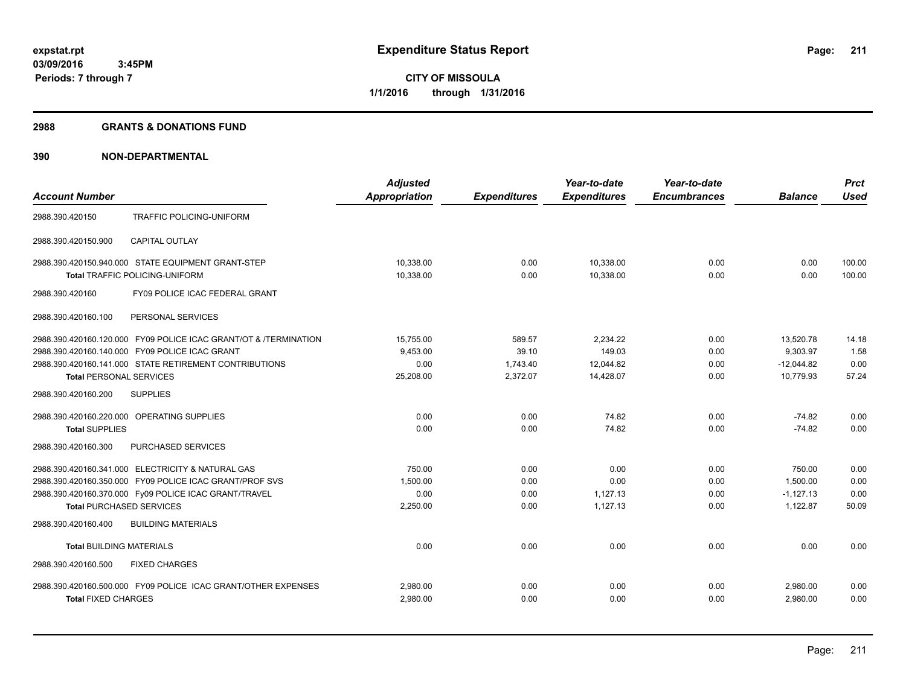#### **2988 GRANTS & DONATIONS FUND**

|                                                                  | <b>Adjusted</b>      |                     | Year-to-date        | Year-to-date        |                | <b>Prct</b> |
|------------------------------------------------------------------|----------------------|---------------------|---------------------|---------------------|----------------|-------------|
| <b>Account Number</b>                                            | <b>Appropriation</b> | <b>Expenditures</b> | <b>Expenditures</b> | <b>Encumbrances</b> | <b>Balance</b> | <b>Used</b> |
| 2988.390.420150<br>TRAFFIC POLICING-UNIFORM                      |                      |                     |                     |                     |                |             |
| <b>CAPITAL OUTLAY</b><br>2988.390.420150.900                     |                      |                     |                     |                     |                |             |
| 2988.390.420150.940.000 STATE EQUIPMENT GRANT-STEP               | 10.338.00            | 0.00                | 10,338.00           | 0.00                | 0.00           | 100.00      |
| <b>Total TRAFFIC POLICING-UNIFORM</b>                            | 10,338.00            | 0.00                | 10,338.00           | 0.00                | 0.00           | 100.00      |
| FY09 POLICE ICAC FEDERAL GRANT<br>2988.390.420160                |                      |                     |                     |                     |                |             |
| 2988.390.420160.100<br>PERSONAL SERVICES                         |                      |                     |                     |                     |                |             |
| 2988.390.420160.120.000 FY09 POLICE ICAC GRANT/OT & /TERMINATION | 15,755.00            | 589.57              | 2.234.22            | 0.00                | 13,520.78      | 14.18       |
| 2988.390.420160.140.000 FY09 POLICE ICAC GRANT                   | 9,453.00             | 39.10               | 149.03              | 0.00                | 9,303.97       | 1.58        |
| 2988.390.420160.141.000 STATE RETIREMENT CONTRIBUTIONS           | 0.00                 | 1,743.40            | 12,044.82           | 0.00                | $-12.044.82$   | 0.00        |
| <b>Total PERSONAL SERVICES</b>                                   | 25,208.00            | 2,372.07            | 14,428.07           | 0.00                | 10,779.93      | 57.24       |
| <b>SUPPLIES</b><br>2988.390.420160.200                           |                      |                     |                     |                     |                |             |
| 2988.390.420160.220.000 OPERATING SUPPLIES                       | 0.00                 | 0.00                | 74.82               | 0.00                | $-74.82$       | 0.00        |
| <b>Total SUPPLIES</b>                                            | 0.00                 | 0.00                | 74.82               | 0.00                | $-74.82$       | 0.00        |
| PURCHASED SERVICES<br>2988.390.420160.300                        |                      |                     |                     |                     |                |             |
| 2988.390.420160.341.000 ELECTRICITY & NATURAL GAS                | 750.00               | 0.00                | 0.00                | 0.00                | 750.00         | 0.00        |
| 2988.390.420160.350.000 FY09 POLICE ICAC GRANT/PROF SVS          | 1,500.00             | 0.00                | 0.00                | 0.00                | 1,500.00       | 0.00        |
| 2988.390.420160.370.000 Fy09 POLICE ICAC GRANT/TRAVEL            | 0.00                 | 0.00                | 1.127.13            | 0.00                | $-1.127.13$    | 0.00        |
| <b>Total PURCHASED SERVICES</b>                                  | 2,250.00             | 0.00                | 1,127.13            | 0.00                | 1,122.87       | 50.09       |
| <b>BUILDING MATERIALS</b><br>2988.390.420160.400                 |                      |                     |                     |                     |                |             |
| <b>Total BUILDING MATERIALS</b>                                  | 0.00                 | 0.00                | 0.00                | 0.00                | 0.00           | 0.00        |
| 2988.390.420160.500<br><b>FIXED CHARGES</b>                      |                      |                     |                     |                     |                |             |
| 2988.390.420160.500.000 FY09 POLICE ICAC GRANT/OTHER EXPENSES    | 2,980.00             | 0.00                | 0.00                | 0.00                | 2,980.00       | 0.00        |
| <b>Total FIXED CHARGES</b>                                       | 2,980.00             | 0.00                | 0.00                | 0.00                | 2,980.00       | 0.00        |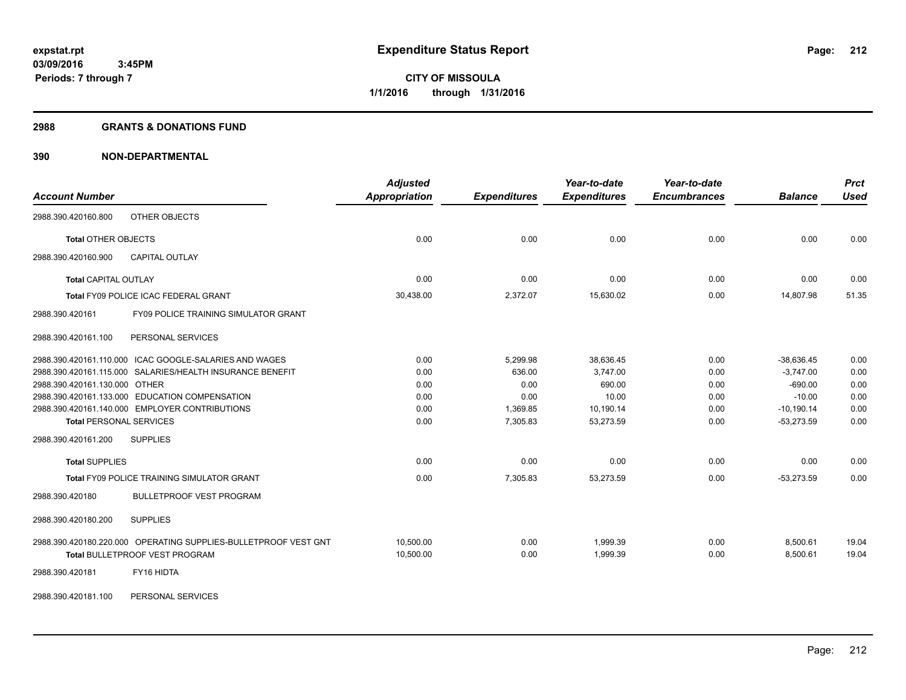#### **2988 GRANTS & DONATIONS FUND**

| <b>Account Number</b>                                           | <b>Adjusted</b><br><b>Appropriation</b> | <b>Expenditures</b> | Year-to-date<br><b>Expenditures</b> | Year-to-date<br><b>Encumbrances</b> | <b>Balance</b> | <b>Prct</b><br><b>Used</b> |
|-----------------------------------------------------------------|-----------------------------------------|---------------------|-------------------------------------|-------------------------------------|----------------|----------------------------|
| OTHER OBJECTS<br>2988.390.420160.800                            |                                         |                     |                                     |                                     |                |                            |
| <b>Total OTHER OBJECTS</b>                                      | 0.00                                    | 0.00                | 0.00                                | 0.00                                | 0.00           | 0.00                       |
| CAPITAL OUTLAY<br>2988.390.420160.900                           |                                         |                     |                                     |                                     |                |                            |
| <b>Total CAPITAL OUTLAY</b>                                     | 0.00                                    | 0.00                | 0.00                                | 0.00                                | 0.00           | 0.00                       |
| Total FY09 POLICE ICAC FEDERAL GRANT                            | 30,438.00                               | 2,372.07            | 15,630.02                           | 0.00                                | 14,807.98      | 51.35                      |
| FY09 POLICE TRAINING SIMULATOR GRANT<br>2988.390.420161         |                                         |                     |                                     |                                     |                |                            |
| 2988.390.420161.100<br>PERSONAL SERVICES                        |                                         |                     |                                     |                                     |                |                            |
| 2988.390.420161.110.000 ICAC GOOGLE-SALARIES AND WAGES          | 0.00                                    | 5,299.98            | 38,636.45                           | 0.00                                | $-38,636.45$   | 0.00                       |
| 2988.390.420161.115.000 SALARIES/HEALTH INSURANCE BENEFIT       | 0.00                                    | 636.00              | 3,747.00                            | 0.00                                | $-3,747.00$    | 0.00                       |
| 2988.390.420161.130.000 OTHER                                   | 0.00                                    | 0.00                | 690.00                              | 0.00                                | $-690.00$      | 0.00                       |
| 2988.390.420161.133.000 EDUCATION COMPENSATION                  | 0.00                                    | 0.00                | 10.00                               | 0.00                                | $-10.00$       | 0.00                       |
| 2988.390.420161.140.000 EMPLOYER CONTRIBUTIONS                  | 0.00                                    | 1,369.85            | 10,190.14                           | 0.00                                | $-10,190.14$   | 0.00                       |
| <b>Total PERSONAL SERVICES</b>                                  | 0.00                                    | 7,305.83            | 53,273.59                           | 0.00                                | $-53,273.59$   | 0.00                       |
| <b>SUPPLIES</b><br>2988.390.420161.200                          |                                         |                     |                                     |                                     |                |                            |
| <b>Total SUPPLIES</b>                                           | 0.00                                    | 0.00                | 0.00                                | 0.00                                | 0.00           | 0.00                       |
| <b>Total FY09 POLICE TRAINING SIMULATOR GRANT</b>               | 0.00                                    | 7,305.83            | 53,273.59                           | 0.00                                | $-53,273.59$   | 0.00                       |
| 2988.390.420180<br><b>BULLETPROOF VEST PROGRAM</b>              |                                         |                     |                                     |                                     |                |                            |
| <b>SUPPLIES</b><br>2988.390.420180.200                          |                                         |                     |                                     |                                     |                |                            |
| 2988.390.420180.220.000 OPERATING SUPPLIES-BULLETPROOF VEST GNT | 10.500.00                               | 0.00                | 1.999.39                            | 0.00                                | 8,500.61       | 19.04                      |
| Total BULLETPROOF VEST PROGRAM                                  | 10,500.00                               | 0.00                | 1,999.39                            | 0.00                                | 8,500.61       | 19.04                      |
| FY16 HIDTA<br>2988.390.420181                                   |                                         |                     |                                     |                                     |                |                            |
| PERSONAL SERVICES<br>2988.390.420181.100                        |                                         |                     |                                     |                                     |                |                            |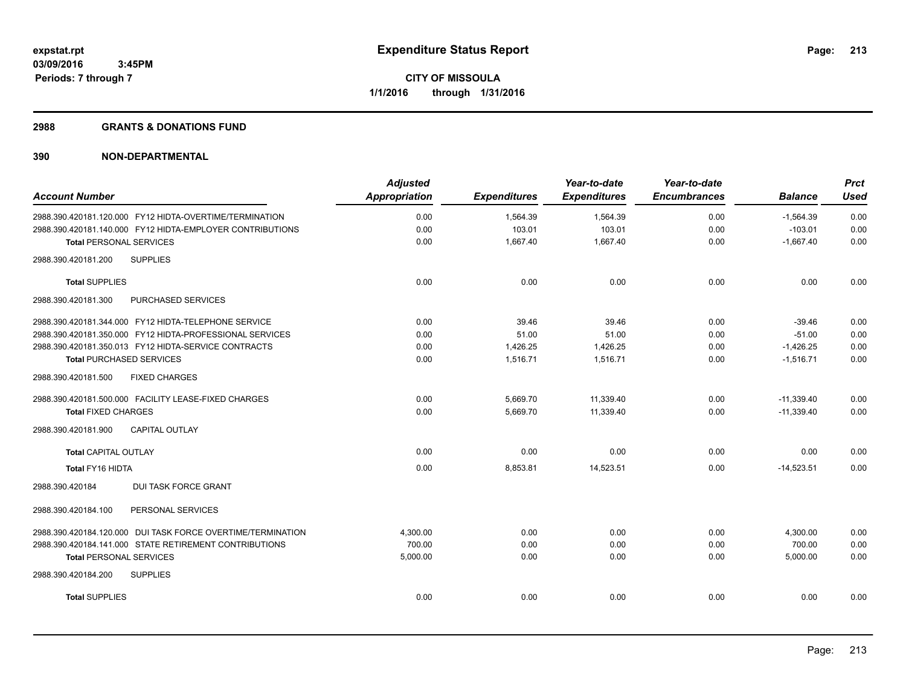#### **2988 GRANTS & DONATIONS FUND**

| <b>Account Number</b>                                       | <b>Adjusted</b><br><b>Appropriation</b> | <b>Expenditures</b> | Year-to-date<br><b>Expenditures</b> | Year-to-date<br><b>Encumbrances</b> | <b>Balance</b> | <b>Prct</b><br><b>Used</b> |
|-------------------------------------------------------------|-----------------------------------------|---------------------|-------------------------------------|-------------------------------------|----------------|----------------------------|
| 2988.390.420181.120.000 FY12 HIDTA-OVERTIME/TERMINATION     | 0.00                                    | 1,564.39            | 1,564.39                            | 0.00                                | $-1,564.39$    | 0.00                       |
| 2988.390.420181.140.000 FY12 HIDTA-EMPLOYER CONTRIBUTIONS   | 0.00                                    | 103.01              | 103.01                              | 0.00                                | $-103.01$      | 0.00                       |
| <b>Total PERSONAL SERVICES</b>                              | 0.00                                    | 1,667.40            | 1,667.40                            | 0.00                                | $-1,667.40$    | 0.00                       |
| 2988.390.420181.200<br><b>SUPPLIES</b>                      |                                         |                     |                                     |                                     |                |                            |
| <b>Total SUPPLIES</b>                                       | 0.00                                    | 0.00                | 0.00                                | 0.00                                | 0.00           | 0.00                       |
| 2988.390.420181.300<br>PURCHASED SERVICES                   |                                         |                     |                                     |                                     |                |                            |
| 2988.390.420181.344.000 FY12 HIDTA-TELEPHONE SERVICE        | 0.00                                    | 39.46               | 39.46                               | 0.00                                | $-39.46$       | 0.00                       |
| 2988.390.420181.350.000 FY12 HIDTA-PROFESSIONAL SERVICES    | 0.00                                    | 51.00               | 51.00                               | 0.00                                | $-51.00$       | 0.00                       |
| 2988.390.420181.350.013 FY12 HIDTA-SERVICE CONTRACTS        | 0.00                                    | 1,426.25            | 1,426.25                            | 0.00                                | $-1,426.25$    | 0.00                       |
| Total PURCHASED SERVICES                                    | 0.00                                    | 1,516.71            | 1,516.71                            | 0.00                                | $-1,516.71$    | 0.00                       |
| 2988.390.420181.500<br><b>FIXED CHARGES</b>                 |                                         |                     |                                     |                                     |                |                            |
| 2988.390.420181.500.000 FACILITY LEASE-FIXED CHARGES        | 0.00                                    | 5,669.70            | 11,339.40                           | 0.00                                | $-11.339.40$   | 0.00                       |
| <b>Total FIXED CHARGES</b>                                  | 0.00                                    | 5,669.70            | 11,339.40                           | 0.00                                | $-11,339.40$   | 0.00                       |
| <b>CAPITAL OUTLAY</b><br>2988.390.420181.900                |                                         |                     |                                     |                                     |                |                            |
| <b>Total CAPITAL OUTLAY</b>                                 | 0.00                                    | 0.00                | 0.00                                | 0.00                                | 0.00           | 0.00                       |
| <b>Total FY16 HIDTA</b>                                     | 0.00                                    | 8,853.81            | 14,523.51                           | 0.00                                | $-14,523.51$   | 0.00                       |
| 2988.390.420184<br><b>DUI TASK FORCE GRANT</b>              |                                         |                     |                                     |                                     |                |                            |
| PERSONAL SERVICES<br>2988.390.420184.100                    |                                         |                     |                                     |                                     |                |                            |
| 2988.390.420184.120.000 DUI TASK FORCE OVERTIME/TERMINATION | 4,300.00                                | 0.00                | 0.00                                | 0.00                                | 4,300.00       | 0.00                       |
| 2988.390.420184.141.000 STATE RETIREMENT CONTRIBUTIONS      | 700.00                                  | 0.00                | 0.00                                | 0.00                                | 700.00         | 0.00                       |
| <b>Total PERSONAL SERVICES</b>                              | 5,000.00                                | 0.00                | 0.00                                | 0.00                                | 5,000.00       | 0.00                       |
| 2988.390.420184.200<br><b>SUPPLIES</b>                      |                                         |                     |                                     |                                     |                |                            |
| <b>Total SUPPLIES</b>                                       | 0.00                                    | 0.00                | 0.00                                | 0.00                                | 0.00           | 0.00                       |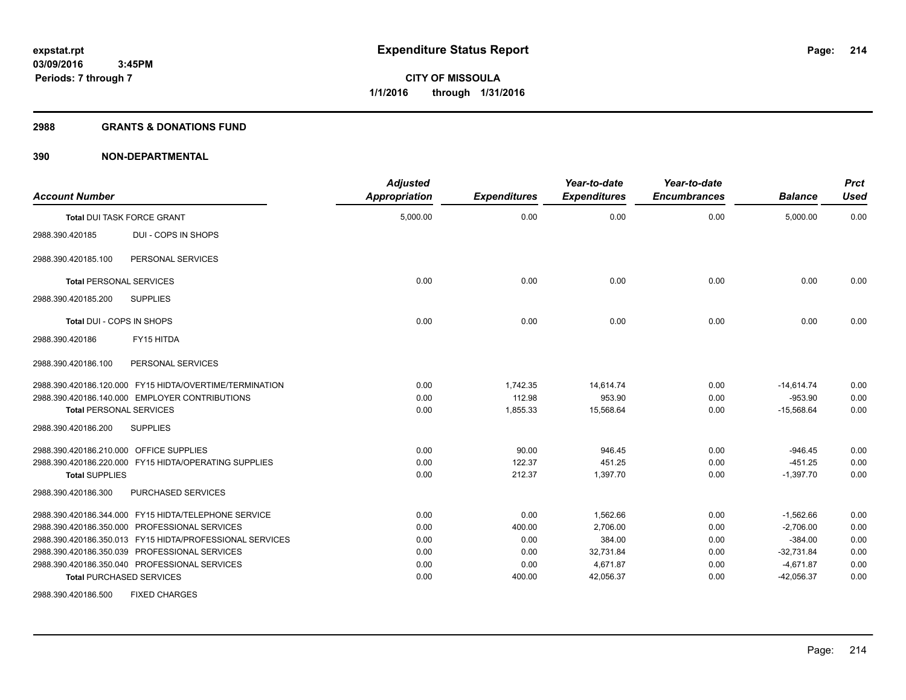#### **2988 GRANTS & DONATIONS FUND**

| <b>Account Number</b>                                    | <b>Adjusted</b><br>Appropriation | <b>Expenditures</b> | Year-to-date<br><b>Expenditures</b> | Year-to-date<br><b>Encumbrances</b> | <b>Balance</b> | <b>Prct</b><br><b>Used</b> |
|----------------------------------------------------------|----------------------------------|---------------------|-------------------------------------|-------------------------------------|----------------|----------------------------|
| <b>Total DUI TASK FORCE GRANT</b>                        | 5,000.00                         | 0.00                | 0.00                                | 0.00                                | 5,000.00       | 0.00                       |
| <b>DUI - COPS IN SHOPS</b><br>2988.390.420185            |                                  |                     |                                     |                                     |                |                            |
| PERSONAL SERVICES<br>2988.390.420185.100                 |                                  |                     |                                     |                                     |                |                            |
| <b>Total PERSONAL SERVICES</b>                           | 0.00                             | 0.00                | 0.00                                | 0.00                                | 0.00           | 0.00                       |
| <b>SUPPLIES</b><br>2988.390.420185.200                   |                                  |                     |                                     |                                     |                |                            |
| Total DUI - COPS IN SHOPS                                | 0.00                             | 0.00                | 0.00                                | 0.00                                | 0.00           | 0.00                       |
| FY15 HITDA<br>2988.390.420186                            |                                  |                     |                                     |                                     |                |                            |
| PERSONAL SERVICES<br>2988.390.420186.100                 |                                  |                     |                                     |                                     |                |                            |
| 2988.390.420186.120.000 FY15 HIDTA/OVERTIME/TERMINATION  | 0.00                             | 1,742.35            | 14,614.74                           | 0.00                                | $-14,614.74$   | 0.00                       |
| 2988.390.420186.140.000 EMPLOYER CONTRIBUTIONS           | 0.00                             | 112.98              | 953.90                              | 0.00                                | $-953.90$      | 0.00                       |
| <b>Total PERSONAL SERVICES</b>                           | 0.00                             | 1,855.33            | 15,568.64                           | 0.00                                | $-15,568.64$   | 0.00                       |
| 2988.390.420186.200<br><b>SUPPLIES</b>                   |                                  |                     |                                     |                                     |                |                            |
| 2988.390.420186.210.000 OFFICE SUPPLIES                  | 0.00                             | 90.00               | 946.45                              | 0.00                                | $-946.45$      | 0.00                       |
| 2988.390.420186.220.000 FY15 HIDTA/OPERATING SUPPLIES    | 0.00                             | 122.37              | 451.25                              | 0.00                                | $-451.25$      | 0.00                       |
| <b>Total SUPPLIES</b>                                    | 0.00                             | 212.37              | 1,397.70                            | 0.00                                | $-1,397.70$    | 0.00                       |
| PURCHASED SERVICES<br>2988.390.420186.300                |                                  |                     |                                     |                                     |                |                            |
| 2988.390.420186.344.000 FY15 HIDTA/TELEPHONE SERVICE     | 0.00                             | 0.00                | 1,562.66                            | 0.00                                | $-1,562.66$    | 0.00                       |
| 2988.390.420186.350.000 PROFESSIONAL SERVICES            | 0.00                             | 400.00              | 2,706.00                            | 0.00                                | $-2,706.00$    | 0.00                       |
| 2988.390.420186.350.013 FY15 HIDTA/PROFESSIONAL SERVICES | 0.00                             | 0.00                | 384.00                              | 0.00                                | $-384.00$      | 0.00                       |
| 2988.390.420186.350.039 PROFESSIONAL SERVICES            | 0.00                             | 0.00                | 32,731.84                           | 0.00                                | $-32,731.84$   | 0.00                       |
| 2988.390.420186.350.040 PROFESSIONAL SERVICES            | 0.00                             | 0.00                | 4,671.87                            | 0.00                                | $-4,671.87$    | 0.00                       |
| <b>Total PURCHASED SERVICES</b>                          | 0.00                             | 400.00              | 42,056.37                           | 0.00                                | $-42,056.37$   | 0.00                       |
| 2988.390.420186.500<br><b>FIXED CHARGES</b>              |                                  |                     |                                     |                                     |                |                            |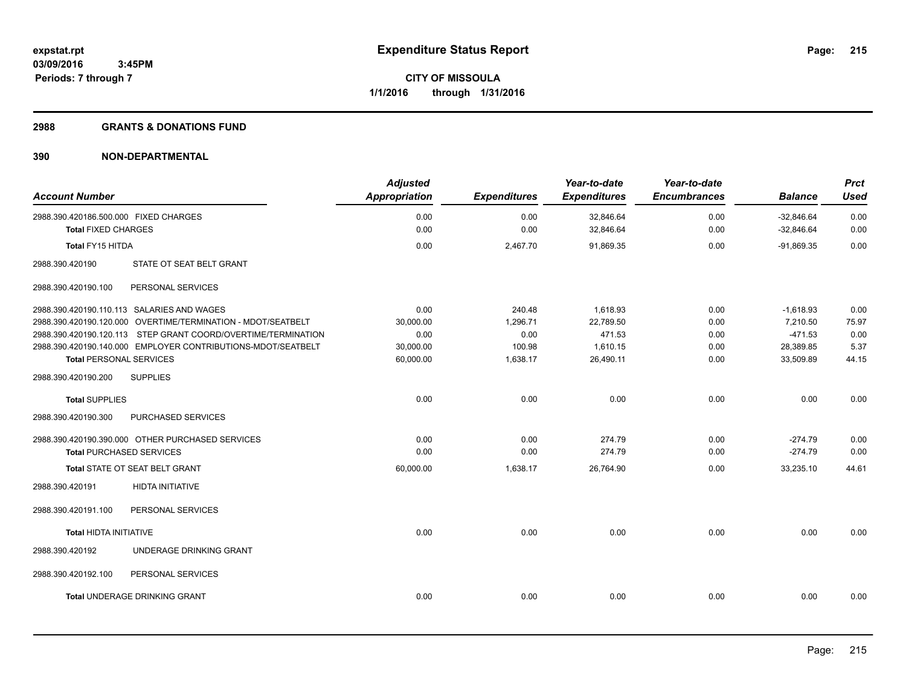#### **2988 GRANTS & DONATIONS FUND**

| <b>Account Number</b>                                               |                                                               | <b>Adjusted</b><br><b>Appropriation</b> | <b>Expenditures</b> | Year-to-date<br><b>Expenditures</b> | Year-to-date<br><b>Encumbrances</b> | <b>Balance</b>               | <b>Prct</b><br><b>Used</b> |
|---------------------------------------------------------------------|---------------------------------------------------------------|-----------------------------------------|---------------------|-------------------------------------|-------------------------------------|------------------------------|----------------------------|
| 2988.390.420186.500.000 FIXED CHARGES<br><b>Total FIXED CHARGES</b> |                                                               | 0.00<br>0.00                            | 0.00<br>0.00        | 32,846.64<br>32,846.64              | 0.00<br>0.00                        | $-32,846.64$<br>$-32,846.64$ | 0.00<br>0.00               |
| <b>Total FY15 HITDA</b>                                             |                                                               | 0.00                                    | 2,467.70            | 91,869.35                           | 0.00                                | $-91,869.35$                 | 0.00                       |
| 2988.390.420190                                                     | STATE OT SEAT BELT GRANT                                      |                                         |                     |                                     |                                     |                              |                            |
| 2988.390.420190.100                                                 | PERSONAL SERVICES                                             |                                         |                     |                                     |                                     |                              |                            |
| 2988.390.420190.110.113 SALARIES AND WAGES                          |                                                               | 0.00                                    | 240.48              | 1,618.93                            | 0.00                                | $-1,618.93$                  | 0.00                       |
|                                                                     | 2988.390.420190.120.000 OVERTIME/TERMINATION - MDOT/SEATBELT  | 30.000.00                               | 1,296.71            | 22,789.50                           | 0.00                                | 7.210.50                     | 75.97                      |
|                                                                     | 2988.390.420190.120.113 STEP GRANT COORD/OVERTIME/TERMINATION | 0.00                                    | 0.00                | 471.53                              | 0.00                                | $-471.53$                    | 0.00                       |
|                                                                     | 2988.390.420190.140.000 EMPLOYER CONTRIBUTIONS-MDOT/SEATBELT  | 30,000.00                               | 100.98              | 1,610.15                            | 0.00                                | 28,389.85                    | 5.37                       |
| <b>Total PERSONAL SERVICES</b>                                      |                                                               | 60,000.00                               | 1,638.17            | 26,490.11                           | 0.00                                | 33,509.89                    | 44.15                      |
| 2988.390.420190.200                                                 | <b>SUPPLIES</b>                                               |                                         |                     |                                     |                                     |                              |                            |
| <b>Total SUPPLIES</b>                                               |                                                               | 0.00                                    | 0.00                | 0.00                                | 0.00                                | 0.00                         | 0.00                       |
| 2988.390.420190.300                                                 | PURCHASED SERVICES                                            |                                         |                     |                                     |                                     |                              |                            |
|                                                                     | 2988.390.420190.390.000 OTHER PURCHASED SERVICES              | 0.00                                    | 0.00                | 274.79                              | 0.00                                | $-274.79$                    | 0.00                       |
| <b>Total PURCHASED SERVICES</b>                                     |                                                               | 0.00                                    | 0.00                | 274.79                              | 0.00                                | $-274.79$                    | 0.00                       |
| Total STATE OT SEAT BELT GRANT                                      |                                                               | 60,000.00                               | 1,638.17            | 26,764.90                           | 0.00                                | 33,235.10                    | 44.61                      |
| 2988.390.420191                                                     | <b>HIDTA INITIATIVE</b>                                       |                                         |                     |                                     |                                     |                              |                            |
| 2988.390.420191.100                                                 | PERSONAL SERVICES                                             |                                         |                     |                                     |                                     |                              |                            |
| <b>Total HIDTA INITIATIVE</b>                                       |                                                               | 0.00                                    | 0.00                | 0.00                                | 0.00                                | 0.00                         | 0.00                       |
| 2988.390.420192                                                     | UNDERAGE DRINKING GRANT                                       |                                         |                     |                                     |                                     |                              |                            |
| 2988.390.420192.100                                                 | PERSONAL SERVICES                                             |                                         |                     |                                     |                                     |                              |                            |
|                                                                     | Total UNDERAGE DRINKING GRANT                                 | 0.00                                    | 0.00                | 0.00                                | 0.00                                | 0.00                         | 0.00                       |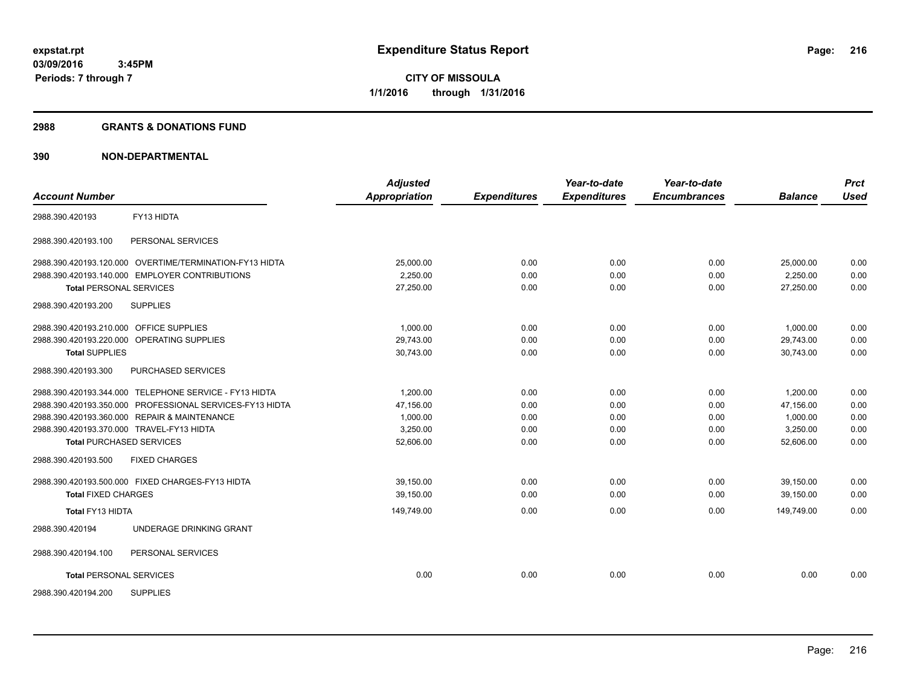#### **2988 GRANTS & DONATIONS FUND**

| <b>Account Number</b>                                    | <b>Adjusted</b><br><b>Appropriation</b> | <b>Expenditures</b> | Year-to-date<br><b>Expenditures</b> | Year-to-date<br><b>Encumbrances</b> | <b>Balance</b> | <b>Prct</b><br><b>Used</b> |
|----------------------------------------------------------|-----------------------------------------|---------------------|-------------------------------------|-------------------------------------|----------------|----------------------------|
|                                                          |                                         |                     |                                     |                                     |                |                            |
| FY13 HIDTA<br>2988.390.420193                            |                                         |                     |                                     |                                     |                |                            |
| 2988.390.420193.100<br>PERSONAL SERVICES                 |                                         |                     |                                     |                                     |                |                            |
| 2988.390.420193.120.000 OVERTIME/TERMINATION-FY13 HIDTA  | 25,000.00                               | 0.00                | 0.00                                | 0.00                                | 25,000.00      | 0.00                       |
| 2988.390.420193.140.000 EMPLOYER CONTRIBUTIONS           | 2,250.00                                | 0.00                | 0.00                                | 0.00                                | 2,250.00       | 0.00                       |
| <b>Total PERSONAL SERVICES</b>                           | 27,250.00                               | 0.00                | 0.00                                | 0.00                                | 27.250.00      | 0.00                       |
| <b>SUPPLIES</b><br>2988.390.420193.200                   |                                         |                     |                                     |                                     |                |                            |
| 2988.390.420193.210.000 OFFICE SUPPLIES                  | 1.000.00                                | 0.00                | 0.00                                | 0.00                                | 1.000.00       | 0.00                       |
| 2988.390.420193.220.000 OPERATING SUPPLIES               | 29,743.00                               | 0.00                | 0.00                                | 0.00                                | 29,743.00      | 0.00                       |
| <b>Total SUPPLIES</b>                                    | 30,743.00                               | 0.00                | 0.00                                | 0.00                                | 30,743.00      | 0.00                       |
| PURCHASED SERVICES<br>2988.390.420193.300                |                                         |                     |                                     |                                     |                |                            |
| 2988.390.420193.344.000 TELEPHONE SERVICE - FY13 HIDTA   | 1,200.00                                | 0.00                | 0.00                                | 0.00                                | 1,200.00       | 0.00                       |
| 2988.390.420193.350.000 PROFESSIONAL SERVICES-FY13 HIDTA | 47.156.00                               | 0.00                | 0.00                                | 0.00                                | 47.156.00      | 0.00                       |
| 2988.390.420193.360.000 REPAIR & MAINTENANCE             | 1,000.00                                | 0.00                | 0.00                                | 0.00                                | 1,000.00       | 0.00                       |
| 2988.390.420193.370.000 TRAVEL-FY13 HIDTA                | 3,250.00                                | 0.00                | 0.00                                | 0.00                                | 3,250.00       | 0.00                       |
| <b>Total PURCHASED SERVICES</b>                          | 52,606.00                               | 0.00                | 0.00                                | 0.00                                | 52,606.00      | 0.00                       |
| 2988.390.420193.500<br><b>FIXED CHARGES</b>              |                                         |                     |                                     |                                     |                |                            |
| 2988.390.420193.500.000 FIXED CHARGES-FY13 HIDTA         | 39.150.00                               | 0.00                | 0.00                                | 0.00                                | 39.150.00      | 0.00                       |
| <b>Total FIXED CHARGES</b>                               | 39,150.00                               | 0.00                | 0.00                                | 0.00                                | 39.150.00      | 0.00                       |
| Total FY13 HIDTA                                         | 149,749.00                              | 0.00                | 0.00                                | 0.00                                | 149,749.00     | 0.00                       |
| UNDERAGE DRINKING GRANT<br>2988.390.420194               |                                         |                     |                                     |                                     |                |                            |
| PERSONAL SERVICES<br>2988.390.420194.100                 |                                         |                     |                                     |                                     |                |                            |
| <b>Total PERSONAL SERVICES</b>                           | 0.00                                    | 0.00                | 0.00                                | 0.00                                | 0.00           | 0.00                       |
| <b>SUPPLIES</b><br>2988.390.420194.200                   |                                         |                     |                                     |                                     |                |                            |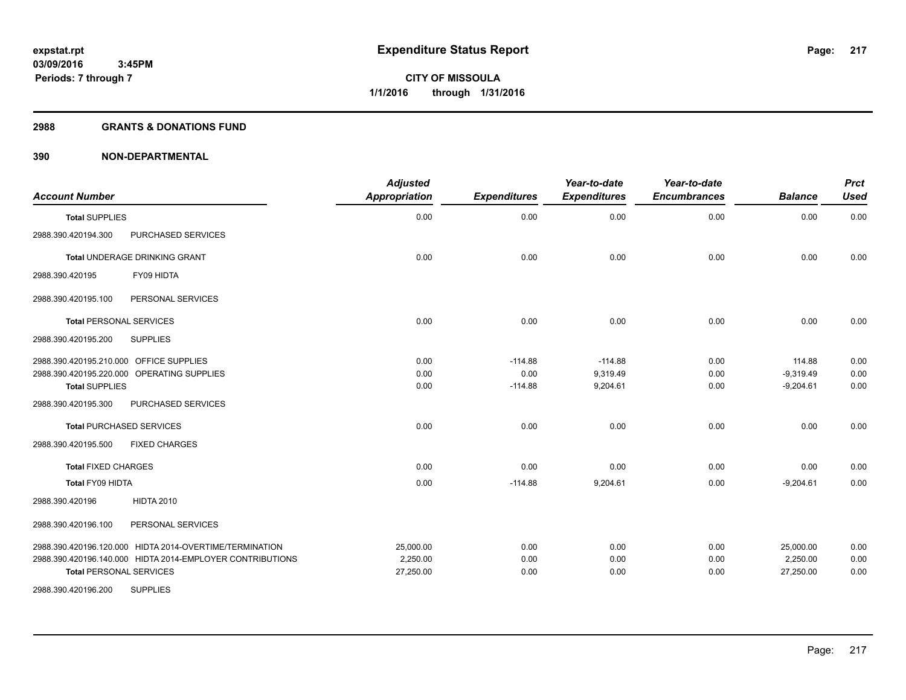#### **2988 GRANTS & DONATIONS FUND**

| <b>Account Number</b>                                                                                                                                       | <b>Adjusted</b><br><b>Appropriation</b> | <b>Expenditures</b>            | Year-to-date<br><b>Expenditures</b> | Year-to-date<br><b>Encumbrances</b> | <b>Balance</b>                       | <b>Prct</b><br><b>Used</b> |
|-------------------------------------------------------------------------------------------------------------------------------------------------------------|-----------------------------------------|--------------------------------|-------------------------------------|-------------------------------------|--------------------------------------|----------------------------|
| <b>Total SUPPLIES</b>                                                                                                                                       | 0.00                                    | 0.00                           | 0.00                                | 0.00                                | 0.00                                 | 0.00                       |
| 2988.390.420194.300<br>PURCHASED SERVICES                                                                                                                   |                                         |                                |                                     |                                     |                                      |                            |
| Total UNDERAGE DRINKING GRANT                                                                                                                               | 0.00                                    | 0.00                           | 0.00                                | 0.00                                | 0.00                                 | 0.00                       |
| FY09 HIDTA<br>2988.390.420195                                                                                                                               |                                         |                                |                                     |                                     |                                      |                            |
| 2988.390.420195.100<br>PERSONAL SERVICES                                                                                                                    |                                         |                                |                                     |                                     |                                      |                            |
| <b>Total PERSONAL SERVICES</b>                                                                                                                              | 0.00                                    | 0.00                           | 0.00                                | 0.00                                | 0.00                                 | 0.00                       |
| <b>SUPPLIES</b><br>2988.390.420195.200                                                                                                                      |                                         |                                |                                     |                                     |                                      |                            |
| 2988.390.420195.210.000 OFFICE SUPPLIES<br>2988.390.420195.220.000 OPERATING SUPPLIES<br><b>Total SUPPLIES</b><br>2988.390.420195.300<br>PURCHASED SERVICES | 0.00<br>0.00<br>0.00                    | $-114.88$<br>0.00<br>$-114.88$ | $-114.88$<br>9,319.49<br>9,204.61   | 0.00<br>0.00<br>0.00                | 114.88<br>$-9,319.49$<br>$-9,204.61$ | 0.00<br>0.00<br>0.00       |
| <b>Total PURCHASED SERVICES</b>                                                                                                                             | 0.00                                    | 0.00                           | 0.00                                | 0.00                                | 0.00                                 | 0.00                       |
| 2988.390.420195.500<br><b>FIXED CHARGES</b>                                                                                                                 |                                         |                                |                                     |                                     |                                      |                            |
| <b>Total FIXED CHARGES</b>                                                                                                                                  | 0.00                                    | 0.00                           | 0.00                                | 0.00                                | 0.00                                 | 0.00                       |
| <b>Total FY09 HIDTA</b>                                                                                                                                     | 0.00                                    | $-114.88$                      | 9,204.61                            | 0.00                                | $-9,204.61$                          | 0.00                       |
| <b>HIDTA 2010</b><br>2988.390.420196                                                                                                                        |                                         |                                |                                     |                                     |                                      |                            |
| PERSONAL SERVICES<br>2988.390.420196.100                                                                                                                    |                                         |                                |                                     |                                     |                                      |                            |
| 2988.390.420196.120.000 HIDTA 2014-OVERTIME/TERMINATION<br>2988.390.420196.140.000 HIDTA 2014-EMPLOYER CONTRIBUTIONS<br><b>Total PERSONAL SERVICES</b>      | 25,000.00<br>2,250.00<br>27,250.00      | 0.00<br>0.00<br>0.00           | 0.00<br>0.00<br>0.00                | 0.00<br>0.00<br>0.00                | 25,000.00<br>2,250.00<br>27,250.00   | 0.00<br>0.00<br>0.00       |
| <b>SUPPLIES</b><br>2988.390.420196.200                                                                                                                      |                                         |                                |                                     |                                     |                                      |                            |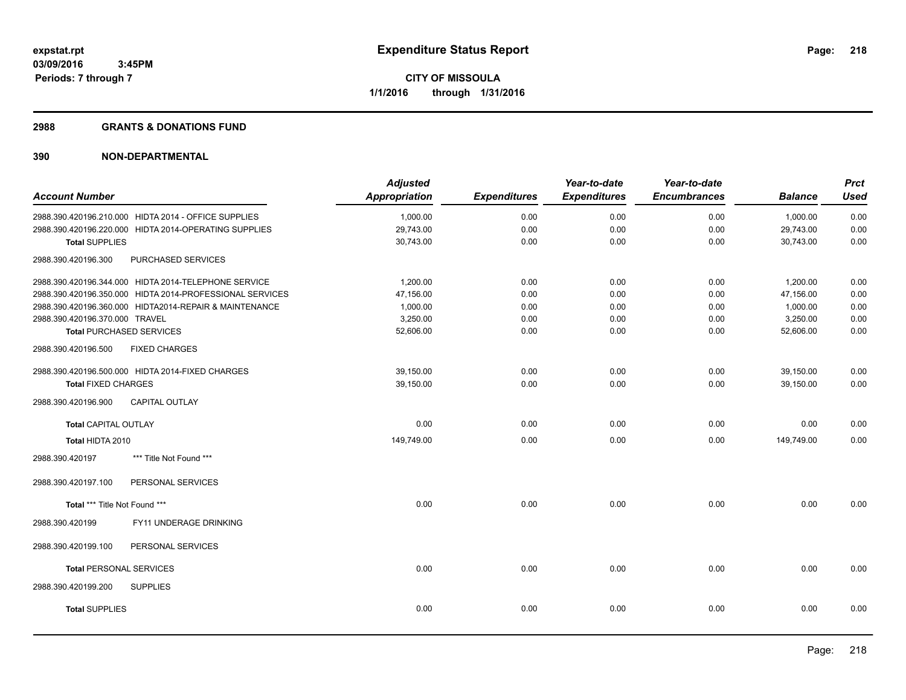#### **2988 GRANTS & DONATIONS FUND**

| <b>Account Number</b>          |                                                          | <b>Adjusted</b><br><b>Appropriation</b> | <b>Expenditures</b> | Year-to-date<br><b>Expenditures</b> | Year-to-date<br><b>Encumbrances</b> | <b>Balance</b> | <b>Prct</b><br><b>Used</b> |
|--------------------------------|----------------------------------------------------------|-----------------------------------------|---------------------|-------------------------------------|-------------------------------------|----------------|----------------------------|
|                                | 2988.390.420196.210.000 HIDTA 2014 - OFFICE SUPPLIES     | 1.000.00                                | 0.00                | 0.00                                | 0.00                                | 1.000.00       | 0.00                       |
|                                | 2988.390.420196.220.000 HIDTA 2014-OPERATING SUPPLIES    | 29,743.00                               | 0.00                | 0.00                                | 0.00                                | 29,743.00      | 0.00                       |
| <b>Total SUPPLIES</b>          |                                                          | 30,743.00                               | 0.00                | 0.00                                | 0.00                                | 30,743.00      | 0.00                       |
| 2988.390.420196.300            | PURCHASED SERVICES                                       |                                         |                     |                                     |                                     |                |                            |
|                                | 2988.390.420196.344.000 HIDTA 2014-TELEPHONE SERVICE     | 1,200.00                                | 0.00                | 0.00                                | 0.00                                | 1,200.00       | 0.00                       |
|                                | 2988.390.420196.350.000 HIDTA 2014-PROFESSIONAL SERVICES | 47,156.00                               | 0.00                | 0.00                                | 0.00                                | 47,156.00      | 0.00                       |
|                                | 2988.390.420196.360.000 HIDTA2014-REPAIR & MAINTENANCE   | 1,000.00                                | 0.00                | 0.00                                | 0.00                                | 1,000.00       | 0.00                       |
| 2988.390.420196.370.000 TRAVEL |                                                          | 3,250.00                                | 0.00                | 0.00                                | 0.00                                | 3,250.00       | 0.00                       |
|                                | <b>Total PURCHASED SERVICES</b>                          | 52,606.00                               | 0.00                | 0.00                                | 0.00                                | 52,606.00      | 0.00                       |
| 2988.390.420196.500            | <b>FIXED CHARGES</b>                                     |                                         |                     |                                     |                                     |                |                            |
|                                | 2988.390.420196.500.000 HIDTA 2014-FIXED CHARGES         | 39,150.00                               | 0.00                | 0.00                                | 0.00                                | 39,150.00      | 0.00                       |
| <b>Total FIXED CHARGES</b>     |                                                          | 39,150.00                               | 0.00                | 0.00                                | 0.00                                | 39,150.00      | 0.00                       |
| 2988.390.420196.900            | <b>CAPITAL OUTLAY</b>                                    |                                         |                     |                                     |                                     |                |                            |
| <b>Total CAPITAL OUTLAY</b>    |                                                          | 0.00                                    | 0.00                | 0.00                                | 0.00                                | 0.00           | 0.00                       |
| Total HIDTA 2010               |                                                          | 149,749.00                              | 0.00                | 0.00                                | 0.00                                | 149,749.00     | 0.00                       |
| 2988.390.420197                | *** Title Not Found ***                                  |                                         |                     |                                     |                                     |                |                            |
| 2988.390.420197.100            | PERSONAL SERVICES                                        |                                         |                     |                                     |                                     |                |                            |
| Total *** Title Not Found ***  |                                                          | 0.00                                    | 0.00                | 0.00                                | 0.00                                | 0.00           | 0.00                       |
| 2988.390.420199                | FY11 UNDERAGE DRINKING                                   |                                         |                     |                                     |                                     |                |                            |
| 2988.390.420199.100            | PERSONAL SERVICES                                        |                                         |                     |                                     |                                     |                |                            |
| <b>Total PERSONAL SERVICES</b> |                                                          | 0.00                                    | 0.00                | 0.00                                | 0.00                                | 0.00           | 0.00                       |
| 2988.390.420199.200            | <b>SUPPLIES</b>                                          |                                         |                     |                                     |                                     |                |                            |
| <b>Total SUPPLIES</b>          |                                                          | 0.00                                    | 0.00                | 0.00                                | 0.00                                | 0.00           | 0.00                       |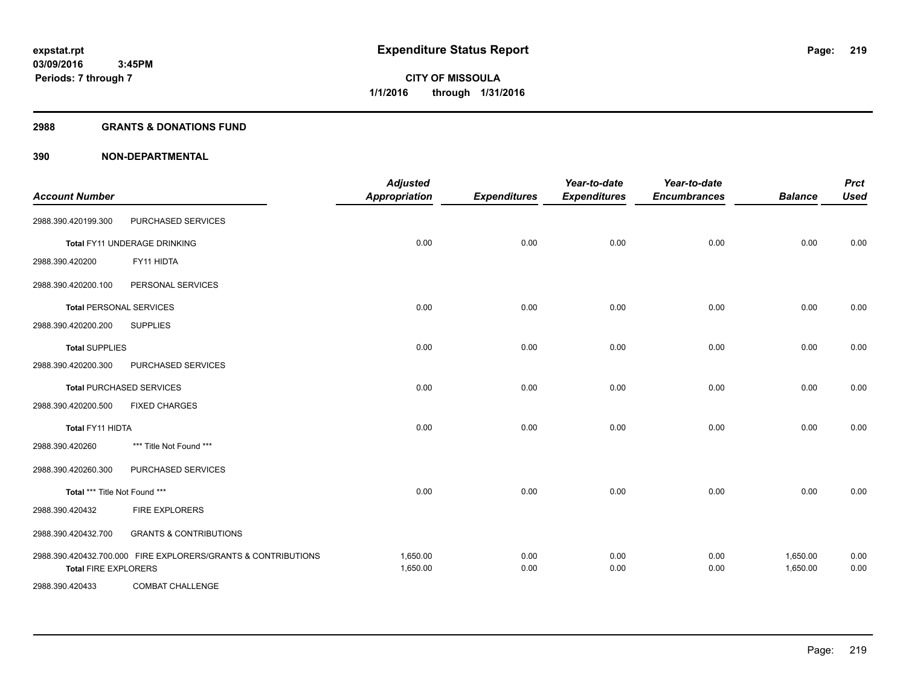#### **2988 GRANTS & DONATIONS FUND**

| <b>Account Number</b>          |                                                               | <b>Adjusted</b><br><b>Appropriation</b> | <b>Expenditures</b> | Year-to-date<br><b>Expenditures</b> | Year-to-date<br><b>Encumbrances</b> | <b>Balance</b>       | <b>Prct</b><br><b>Used</b> |
|--------------------------------|---------------------------------------------------------------|-----------------------------------------|---------------------|-------------------------------------|-------------------------------------|----------------------|----------------------------|
| 2988.390.420199.300            | PURCHASED SERVICES                                            |                                         |                     |                                     |                                     |                      |                            |
|                                | Total FY11 UNDERAGE DRINKING                                  | 0.00                                    | 0.00                | 0.00                                | 0.00                                | 0.00                 | 0.00                       |
| 2988.390.420200                | FY11 HIDTA                                                    |                                         |                     |                                     |                                     |                      |                            |
| 2988.390.420200.100            | PERSONAL SERVICES                                             |                                         |                     |                                     |                                     |                      |                            |
| <b>Total PERSONAL SERVICES</b> |                                                               | 0.00                                    | 0.00                | 0.00                                | 0.00                                | 0.00                 | 0.00                       |
| 2988.390.420200.200            | <b>SUPPLIES</b>                                               |                                         |                     |                                     |                                     |                      |                            |
| <b>Total SUPPLIES</b>          |                                                               | 0.00                                    | 0.00                | 0.00                                | 0.00                                | 0.00                 | 0.00                       |
| 2988.390.420200.300            | PURCHASED SERVICES                                            |                                         |                     |                                     |                                     |                      |                            |
|                                | <b>Total PURCHASED SERVICES</b>                               | 0.00                                    | 0.00                | 0.00                                | 0.00                                | 0.00                 | 0.00                       |
| 2988.390.420200.500            | <b>FIXED CHARGES</b>                                          |                                         |                     |                                     |                                     |                      |                            |
| <b>Total FY11 HIDTA</b>        |                                                               | 0.00                                    | 0.00                | 0.00                                | 0.00                                | 0.00                 | 0.00                       |
| 2988.390.420260                | *** Title Not Found ***                                       |                                         |                     |                                     |                                     |                      |                            |
| 2988.390.420260.300            | PURCHASED SERVICES                                            |                                         |                     |                                     |                                     |                      |                            |
| Total *** Title Not Found ***  |                                                               | 0.00                                    | 0.00                | 0.00                                | 0.00                                | 0.00                 | 0.00                       |
| 2988.390.420432                | <b>FIRE EXPLORERS</b>                                         |                                         |                     |                                     |                                     |                      |                            |
| 2988.390.420432.700            | <b>GRANTS &amp; CONTRIBUTIONS</b>                             |                                         |                     |                                     |                                     |                      |                            |
| <b>Total FIRE EXPLORERS</b>    | 2988.390.420432.700.000 FIRE EXPLORERS/GRANTS & CONTRIBUTIONS | 1,650.00<br>1,650.00                    | 0.00<br>0.00        | 0.00<br>0.00                        | 0.00<br>0.00                        | 1,650.00<br>1,650.00 | 0.00<br>0.00               |
| 2988.390.420433                | <b>COMBAT CHALLENGE</b>                                       |                                         |                     |                                     |                                     |                      |                            |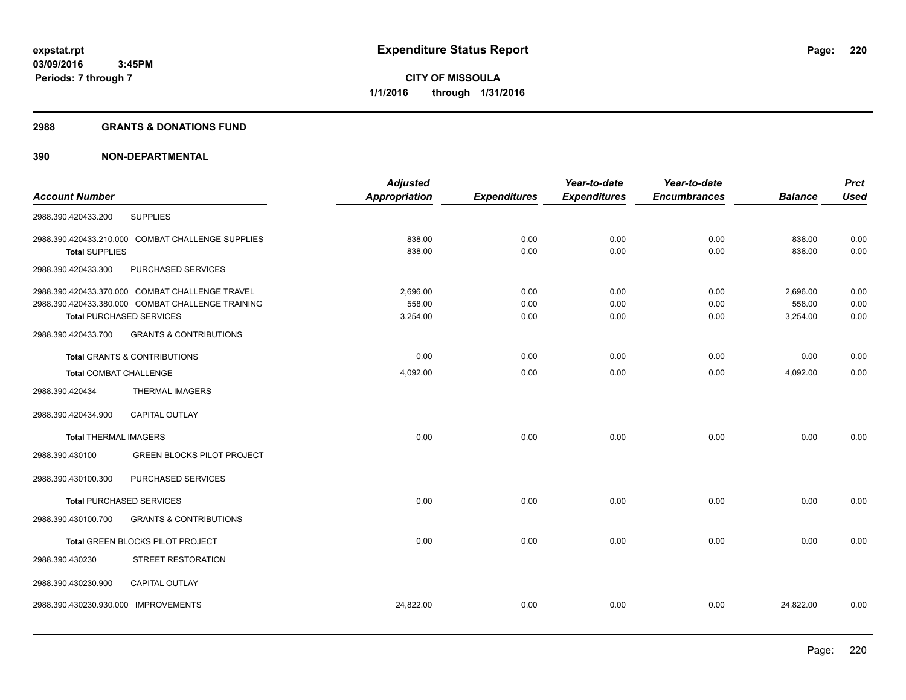#### **2988 GRANTS & DONATIONS FUND**

|                                 |                                                   | <b>Adjusted</b>      |                     | Year-to-date        | Year-to-date        |                | <b>Prct</b> |
|---------------------------------|---------------------------------------------------|----------------------|---------------------|---------------------|---------------------|----------------|-------------|
| <b>Account Number</b>           |                                                   | <b>Appropriation</b> | <b>Expenditures</b> | <b>Expenditures</b> | <b>Encumbrances</b> | <b>Balance</b> | <b>Used</b> |
| 2988.390.420433.200             | <b>SUPPLIES</b>                                   |                      |                     |                     |                     |                |             |
|                                 | 2988.390.420433.210.000 COMBAT CHALLENGE SUPPLIES | 838.00               | 0.00                | 0.00                | 0.00                | 838.00         | 0.00        |
| <b>Total SUPPLIES</b>           |                                                   | 838.00               | 0.00                | 0.00                | 0.00                | 838.00         | 0.00        |
| 2988.390.420433.300             | PURCHASED SERVICES                                |                      |                     |                     |                     |                |             |
|                                 | 2988.390.420433.370.000 COMBAT CHALLENGE TRAVEL   | 2,696.00             | 0.00                | 0.00                | 0.00                | 2,696.00       | 0.00        |
|                                 | 2988.390.420433.380.000 COMBAT CHALLENGE TRAINING | 558.00               | 0.00                | 0.00                | 0.00                | 558.00         | 0.00        |
| <b>Total PURCHASED SERVICES</b> |                                                   | 3,254.00             | 0.00                | 0.00                | 0.00                | 3,254.00       | 0.00        |
| 2988.390.420433.700             | <b>GRANTS &amp; CONTRIBUTIONS</b>                 |                      |                     |                     |                     |                |             |
|                                 | <b>Total GRANTS &amp; CONTRIBUTIONS</b>           | 0.00                 | 0.00                | 0.00                | 0.00                | 0.00           | 0.00        |
| <b>Total COMBAT CHALLENGE</b>   |                                                   | 4,092.00             | 0.00                | 0.00                | 0.00                | 4,092.00       | 0.00        |
| 2988.390.420434                 | <b>THERMAL IMAGERS</b>                            |                      |                     |                     |                     |                |             |
| 2988.390.420434.900             | <b>CAPITAL OUTLAY</b>                             |                      |                     |                     |                     |                |             |
| <b>Total THERMAL IMAGERS</b>    |                                                   | 0.00                 | 0.00                | 0.00                | 0.00                | 0.00           | 0.00        |
| 2988.390.430100                 | <b>GREEN BLOCKS PILOT PROJECT</b>                 |                      |                     |                     |                     |                |             |
| 2988.390.430100.300             | PURCHASED SERVICES                                |                      |                     |                     |                     |                |             |
| <b>Total PURCHASED SERVICES</b> |                                                   | 0.00                 | 0.00                | 0.00                | 0.00                | 0.00           | 0.00        |
| 2988.390.430100.700             | <b>GRANTS &amp; CONTRIBUTIONS</b>                 |                      |                     |                     |                     |                |             |
|                                 | Total GREEN BLOCKS PILOT PROJECT                  | 0.00                 | 0.00                | 0.00                | 0.00                | 0.00           | 0.00        |
| 2988.390.430230                 | STREET RESTORATION                                |                      |                     |                     |                     |                |             |
| 2988.390.430230.900             | <b>CAPITAL OUTLAY</b>                             |                      |                     |                     |                     |                |             |
| 2988.390.430230.930.000         | <b>IMPROVEMENTS</b>                               | 24,822.00            | 0.00                | 0.00                | 0.00                | 24,822.00      | 0.00        |
|                                 |                                                   |                      |                     |                     |                     |                |             |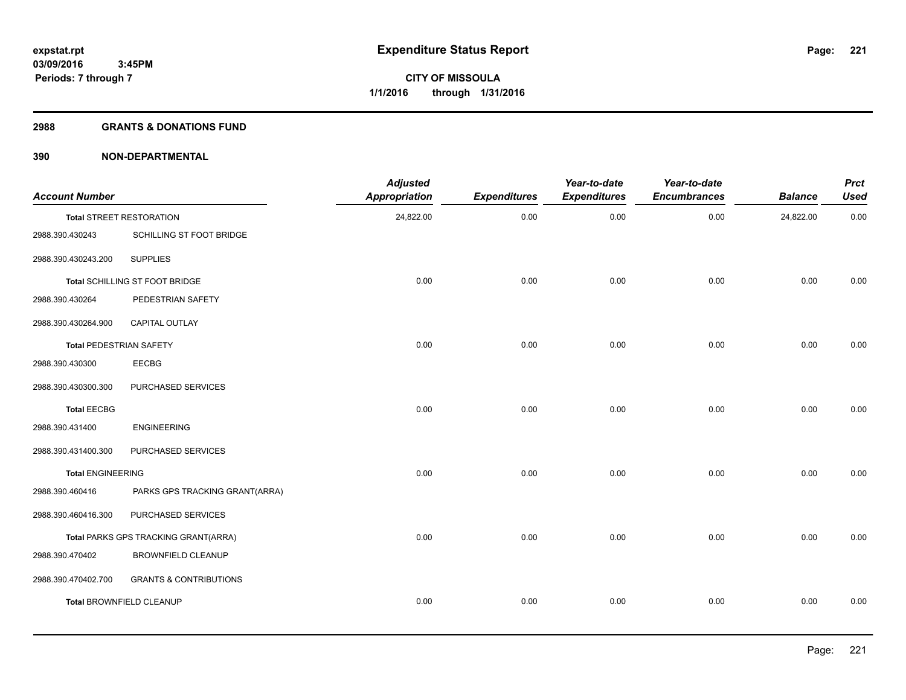#### **2988 GRANTS & DONATIONS FUND**

| <b>Account Number</b>          |                                      | <b>Adjusted</b><br><b>Appropriation</b> | <b>Expenditures</b> | Year-to-date<br><b>Expenditures</b> | Year-to-date<br><b>Encumbrances</b> | <b>Balance</b> | <b>Prct</b><br><b>Used</b> |
|--------------------------------|--------------------------------------|-----------------------------------------|---------------------|-------------------------------------|-------------------------------------|----------------|----------------------------|
|                                | <b>Total STREET RESTORATION</b>      | 24,822.00                               | 0.00                | 0.00                                | 0.00                                | 24,822.00      | 0.00                       |
| 2988.390.430243                | SCHILLING ST FOOT BRIDGE             |                                         |                     |                                     |                                     |                |                            |
| 2988.390.430243.200            | <b>SUPPLIES</b>                      |                                         |                     |                                     |                                     |                |                            |
|                                | Total SCHILLING ST FOOT BRIDGE       | 0.00                                    | 0.00                | 0.00                                | 0.00                                | 0.00           | 0.00                       |
| 2988.390.430264                | PEDESTRIAN SAFETY                    |                                         |                     |                                     |                                     |                |                            |
| 2988.390.430264.900            | CAPITAL OUTLAY                       |                                         |                     |                                     |                                     |                |                            |
| <b>Total PEDESTRIAN SAFETY</b> |                                      | 0.00                                    | 0.00                | 0.00                                | 0.00                                | 0.00           | 0.00                       |
| 2988.390.430300                | <b>EECBG</b>                         |                                         |                     |                                     |                                     |                |                            |
| 2988.390.430300.300            | PURCHASED SERVICES                   |                                         |                     |                                     |                                     |                |                            |
| <b>Total EECBG</b>             |                                      | 0.00                                    | 0.00                | 0.00                                | 0.00                                | 0.00           | 0.00                       |
| 2988.390.431400                | <b>ENGINEERING</b>                   |                                         |                     |                                     |                                     |                |                            |
| 2988.390.431400.300            | PURCHASED SERVICES                   |                                         |                     |                                     |                                     |                |                            |
| <b>Total ENGINEERING</b>       |                                      | 0.00                                    | 0.00                | 0.00                                | 0.00                                | 0.00           | 0.00                       |
| 2988.390.460416                | PARKS GPS TRACKING GRANT(ARRA)       |                                         |                     |                                     |                                     |                |                            |
| 2988.390.460416.300            | PURCHASED SERVICES                   |                                         |                     |                                     |                                     |                |                            |
|                                | Total PARKS GPS TRACKING GRANT(ARRA) | 0.00                                    | 0.00                | 0.00                                | 0.00                                | 0.00           | 0.00                       |
| 2988.390.470402                | <b>BROWNFIELD CLEANUP</b>            |                                         |                     |                                     |                                     |                |                            |
| 2988.390.470402.700            | <b>GRANTS &amp; CONTRIBUTIONS</b>    |                                         |                     |                                     |                                     |                |                            |
|                                | <b>Total BROWNFIELD CLEANUP</b>      | 0.00                                    | 0.00                | 0.00                                | 0.00                                | 0.00           | 0.00                       |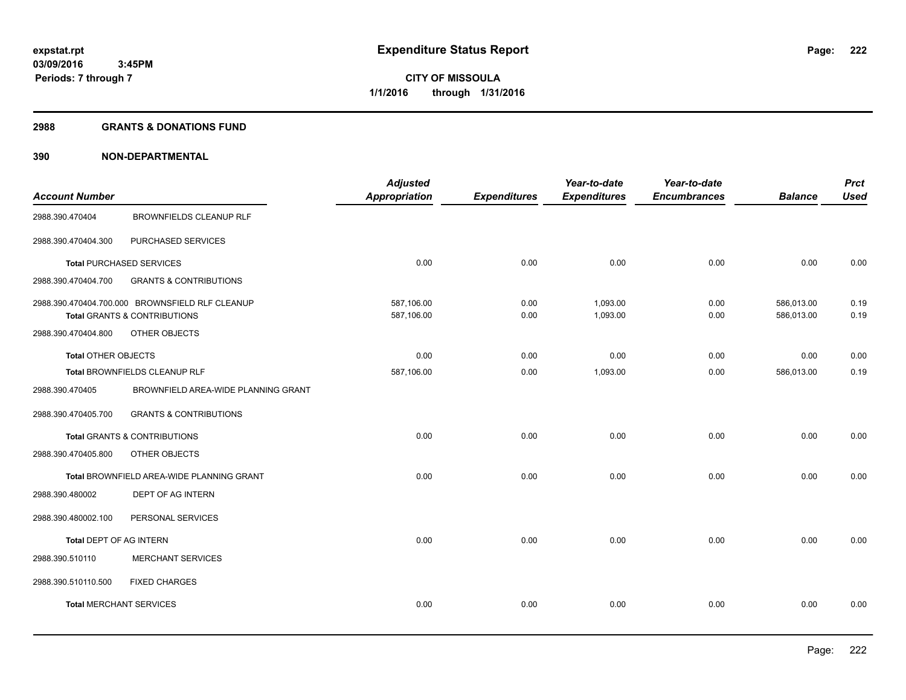#### **2988 GRANTS & DONATIONS FUND**

|                                |                                                 | <b>Adjusted</b>      |                     | Year-to-date        | Year-to-date        |                | <b>Prct</b> |
|--------------------------------|-------------------------------------------------|----------------------|---------------------|---------------------|---------------------|----------------|-------------|
| <b>Account Number</b>          |                                                 | <b>Appropriation</b> | <b>Expenditures</b> | <b>Expenditures</b> | <b>Encumbrances</b> | <b>Balance</b> | <b>Used</b> |
| 2988.390.470404                | <b>BROWNFIELDS CLEANUP RLF</b>                  |                      |                     |                     |                     |                |             |
| 2988.390.470404.300            | PURCHASED SERVICES                              |                      |                     |                     |                     |                |             |
|                                | <b>Total PURCHASED SERVICES</b>                 | 0.00                 | 0.00                | 0.00                | 0.00                | 0.00           | 0.00        |
| 2988.390.470404.700            | <b>GRANTS &amp; CONTRIBUTIONS</b>               |                      |                     |                     |                     |                |             |
|                                | 2988.390.470404.700.000 BROWNSFIELD RLF CLEANUP | 587.106.00           | 0.00                | 1,093.00            | 0.00                | 586.013.00     | 0.19        |
|                                | Total GRANTS & CONTRIBUTIONS                    | 587,106.00           | 0.00                | 1,093.00            | 0.00                | 586,013.00     | 0.19        |
| 2988.390.470404.800            | OTHER OBJECTS                                   |                      |                     |                     |                     |                |             |
| <b>Total OTHER OBJECTS</b>     |                                                 | 0.00                 | 0.00                | 0.00                | 0.00                | 0.00           | 0.00        |
|                                | Total BROWNFIELDS CLEANUP RLF                   | 587,106.00           | 0.00                | 1,093.00            | 0.00                | 586,013.00     | 0.19        |
| 2988.390.470405                | BROWNFIELD AREA-WIDE PLANNING GRANT             |                      |                     |                     |                     |                |             |
| 2988.390.470405.700            | <b>GRANTS &amp; CONTRIBUTIONS</b>               |                      |                     |                     |                     |                |             |
|                                | <b>Total GRANTS &amp; CONTRIBUTIONS</b>         | 0.00                 | 0.00                | 0.00                | 0.00                | 0.00           | 0.00        |
| 2988.390.470405.800            | OTHER OBJECTS                                   |                      |                     |                     |                     |                |             |
|                                | Total BROWNFIELD AREA-WIDE PLANNING GRANT       | 0.00                 | 0.00                | 0.00                | 0.00                | 0.00           | 0.00        |
| 2988.390.480002                | DEPT OF AG INTERN                               |                      |                     |                     |                     |                |             |
| 2988.390.480002.100            | PERSONAL SERVICES                               |                      |                     |                     |                     |                |             |
| Total DEPT OF AG INTERN        |                                                 | 0.00                 | 0.00                | 0.00                | 0.00                | 0.00           | 0.00        |
| 2988.390.510110                | <b>MERCHANT SERVICES</b>                        |                      |                     |                     |                     |                |             |
| 2988.390.510110.500            | <b>FIXED CHARGES</b>                            |                      |                     |                     |                     |                |             |
| <b>Total MERCHANT SERVICES</b> |                                                 | 0.00                 | 0.00                | 0.00                | 0.00                | 0.00           | 0.00        |
|                                |                                                 |                      |                     |                     |                     |                |             |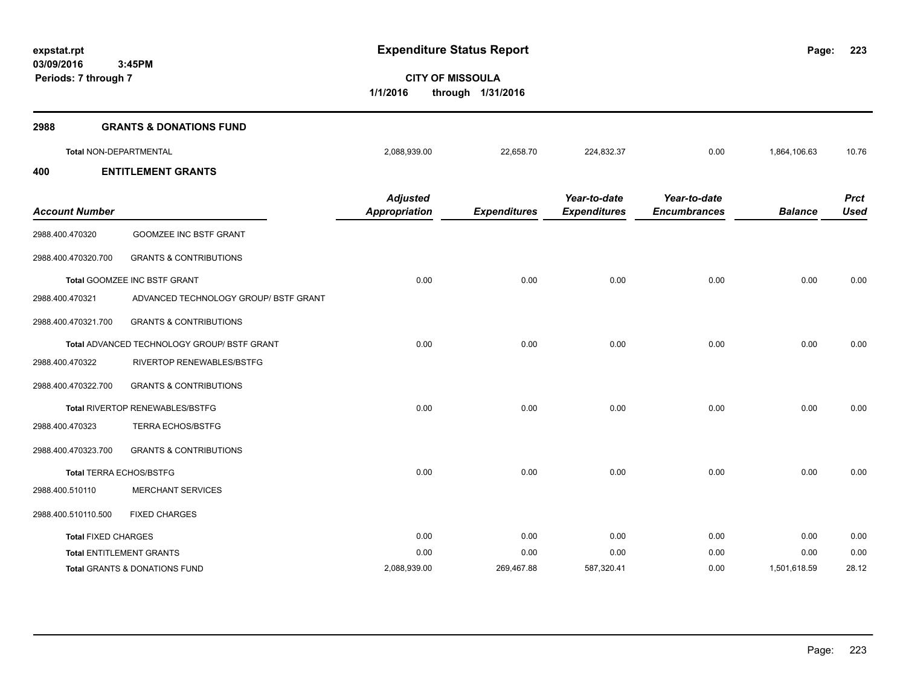**223**

**CITY OF MISSOULA 1/1/2016 through 1/31/2016**

| 2988                       | <b>GRANTS &amp; DONATIONS FUND</b>          |                                         |                     |                                     |                                     |                |                            |
|----------------------------|---------------------------------------------|-----------------------------------------|---------------------|-------------------------------------|-------------------------------------|----------------|----------------------------|
|                            | <b>Total NON-DEPARTMENTAL</b>               | 2,088,939.00                            | 22,658.70           | 224,832.37                          | 0.00                                | 1,864,106.63   | 10.76                      |
| 400                        | <b>ENTITLEMENT GRANTS</b>                   |                                         |                     |                                     |                                     |                |                            |
| <b>Account Number</b>      |                                             | <b>Adjusted</b><br><b>Appropriation</b> | <b>Expenditures</b> | Year-to-date<br><b>Expenditures</b> | Year-to-date<br><b>Encumbrances</b> | <b>Balance</b> | <b>Prct</b><br><b>Used</b> |
| 2988.400.470320            | <b>GOOMZEE INC BSTF GRANT</b>               |                                         |                     |                                     |                                     |                |                            |
| 2988.400.470320.700        | <b>GRANTS &amp; CONTRIBUTIONS</b>           |                                         |                     |                                     |                                     |                |                            |
|                            | Total GOOMZEE INC BSTF GRANT                | 0.00                                    | 0.00                | 0.00                                | 0.00                                | 0.00           | 0.00                       |
| 2988.400.470321            | ADVANCED TECHNOLOGY GROUP/ BSTF GRANT       |                                         |                     |                                     |                                     |                |                            |
| 2988.400.470321.700        | <b>GRANTS &amp; CONTRIBUTIONS</b>           |                                         |                     |                                     |                                     |                |                            |
|                            | Total ADVANCED TECHNOLOGY GROUP/ BSTF GRANT | 0.00                                    | 0.00                | 0.00                                | 0.00                                | 0.00           | 0.00                       |
| 2988.400.470322            | RIVERTOP RENEWABLES/BSTFG                   |                                         |                     |                                     |                                     |                |                            |
| 2988.400.470322.700        | <b>GRANTS &amp; CONTRIBUTIONS</b>           |                                         |                     |                                     |                                     |                |                            |
|                            | Total RIVERTOP RENEWABLES/BSTFG             | 0.00                                    | 0.00                | 0.00                                | 0.00                                | 0.00           | 0.00                       |
| 2988.400.470323            | <b>TERRA ECHOS/BSTFG</b>                    |                                         |                     |                                     |                                     |                |                            |
| 2988.400.470323.700        | <b>GRANTS &amp; CONTRIBUTIONS</b>           |                                         |                     |                                     |                                     |                |                            |
|                            | <b>Total TERRA ECHOS/BSTFG</b>              | 0.00                                    | 0.00                | 0.00                                | 0.00                                | 0.00           | 0.00                       |
| 2988.400.510110            | <b>MERCHANT SERVICES</b>                    |                                         |                     |                                     |                                     |                |                            |
| 2988.400.510110.500        | <b>FIXED CHARGES</b>                        |                                         |                     |                                     |                                     |                |                            |
| <b>Total FIXED CHARGES</b> |                                             | 0.00                                    | 0.00                | 0.00                                | 0.00                                | 0.00           | 0.00                       |
|                            | <b>Total ENTITLEMENT GRANTS</b>             | 0.00                                    | 0.00                | 0.00                                | 0.00                                | 0.00           | 0.00                       |
|                            | Total GRANTS & DONATIONS FUND               | 2,088,939.00                            | 269,467.88          | 587,320.41                          | 0.00                                | 1,501,618.59   | 28.12                      |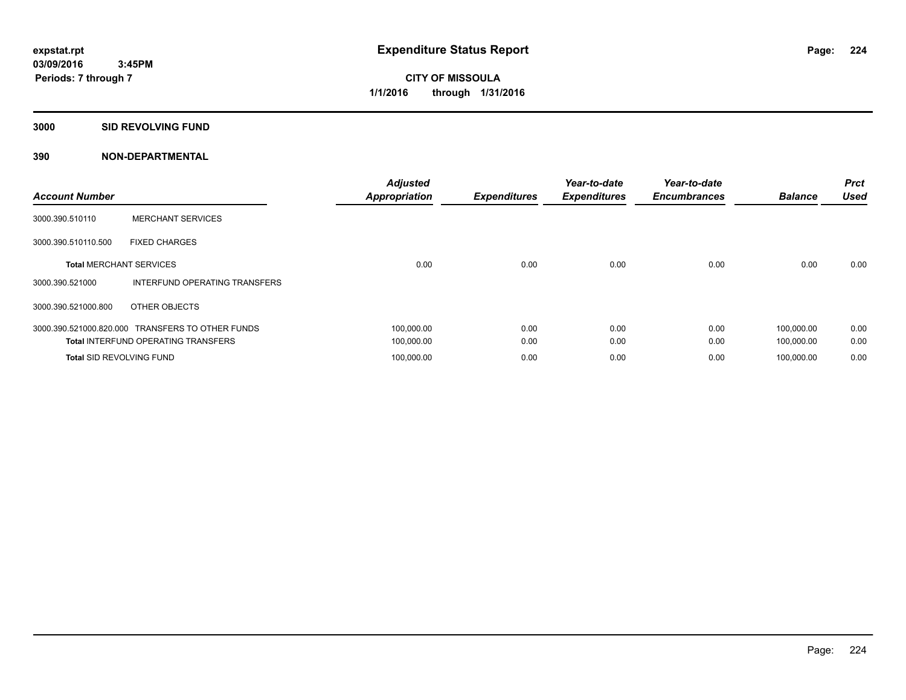**Periods: 7 through 7**

**CITY OF MISSOULA 1/1/2016 through 1/31/2016**

**3000 SID REVOLVING FUND**

 **3:45PM**

| <b>Account Number</b>           |                                                  | <b>Adjusted</b><br><b>Appropriation</b> | <b>Expenditures</b> | Year-to-date<br><b>Expenditures</b> | Year-to-date<br><b>Encumbrances</b> | <b>Balance</b> | <b>Prct</b><br><b>Used</b> |
|---------------------------------|--------------------------------------------------|-----------------------------------------|---------------------|-------------------------------------|-------------------------------------|----------------|----------------------------|
| 3000.390.510110                 | <b>MERCHANT SERVICES</b>                         |                                         |                     |                                     |                                     |                |                            |
| 3000.390.510110.500             | <b>FIXED CHARGES</b>                             |                                         |                     |                                     |                                     |                |                            |
| <b>Total MERCHANT SERVICES</b>  |                                                  | 0.00                                    | 0.00                | 0.00                                | 0.00                                | 0.00           | 0.00                       |
| 3000.390.521000                 | INTERFUND OPERATING TRANSFERS                    |                                         |                     |                                     |                                     |                |                            |
| 3000.390.521000.800             | OTHER OBJECTS                                    |                                         |                     |                                     |                                     |                |                            |
|                                 | 3000.390.521000.820.000 TRANSFERS TO OTHER FUNDS | 100.000.00                              | 0.00                | 0.00                                | 0.00                                | 100.000.00     | 0.00                       |
|                                 | <b>Total INTERFUND OPERATING TRANSFERS</b>       | 100,000.00                              | 0.00                | 0.00                                | 0.00                                | 100,000.00     | 0.00                       |
| <b>Total SID REVOLVING FUND</b> |                                                  | 100.000.00                              | 0.00                | 0.00                                | 0.00                                | 100.000.00     | 0.00                       |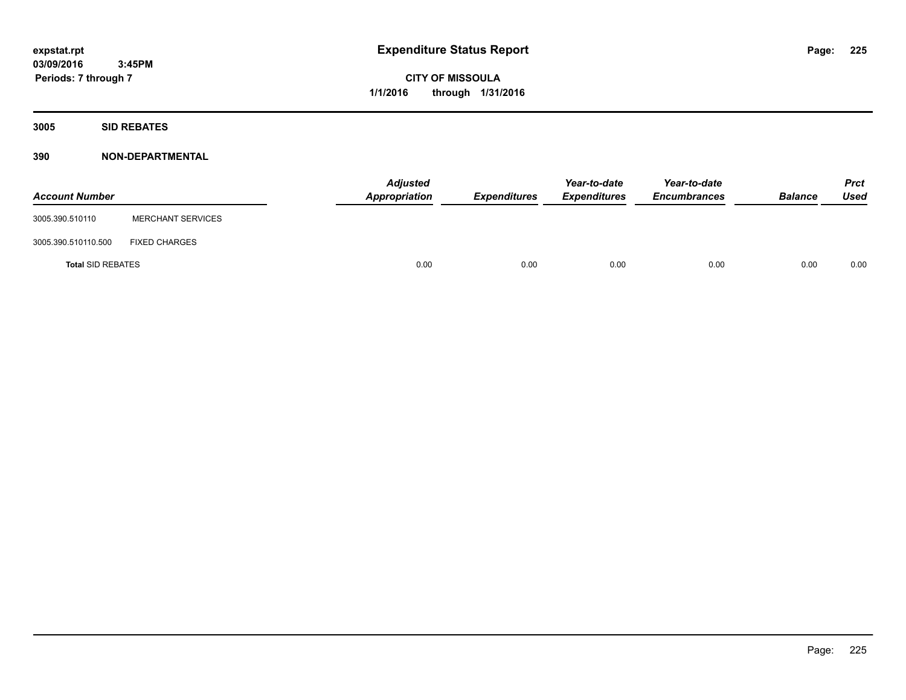**CITY OF MISSOULA 1/1/2016 through 1/31/2016**

**3005 SID REBATES**

| <b>Account Number</b>    |                          | <b>Adjusted</b><br>Appropriation | <b>Expenditures</b> | Year-to-date<br><b>Expenditures</b> | Year-to-date<br><b>Encumbrances</b> | <b>Balance</b> | <b>Prct</b><br>Used |
|--------------------------|--------------------------|----------------------------------|---------------------|-------------------------------------|-------------------------------------|----------------|---------------------|
| 3005.390.510110          | <b>MERCHANT SERVICES</b> |                                  |                     |                                     |                                     |                |                     |
| 3005.390.510110.500      | <b>FIXED CHARGES</b>     |                                  |                     |                                     |                                     |                |                     |
| <b>Total SID REBATES</b> |                          | 0.00                             | 0.00                | 0.00                                | 0.00                                | 0.00           | 0.00                |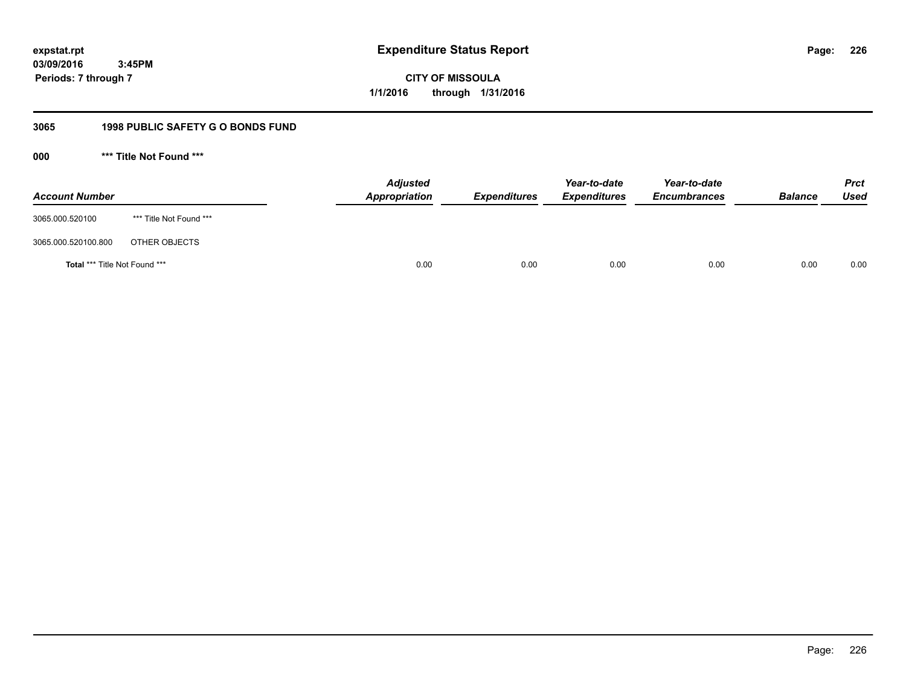**CITY OF MISSOULA 1/1/2016 through 1/31/2016**

# **3065 1998 PUBLIC SAFETY G O BONDS FUND**

**000 \*\*\* Title Not Found \*\*\***

| <b>Account Number</b>         |                         | <b>Adjusted</b><br>Appropriation | <b>Expenditures</b> | Year-to-date<br><b>Expenditures</b> | Year-to-date<br><b>Encumbrances</b> | <b>Balance</b> | <b>Prct</b><br>Used |
|-------------------------------|-------------------------|----------------------------------|---------------------|-------------------------------------|-------------------------------------|----------------|---------------------|
| 3065.000.520100               | *** Title Not Found *** |                                  |                     |                                     |                                     |                |                     |
| 3065.000.520100.800           | OTHER OBJECTS           |                                  |                     |                                     |                                     |                |                     |
| Total *** Title Not Found *** |                         | 0.00                             | 0.00                | 0.00                                | 0.00                                | 0.00           | 0.00                |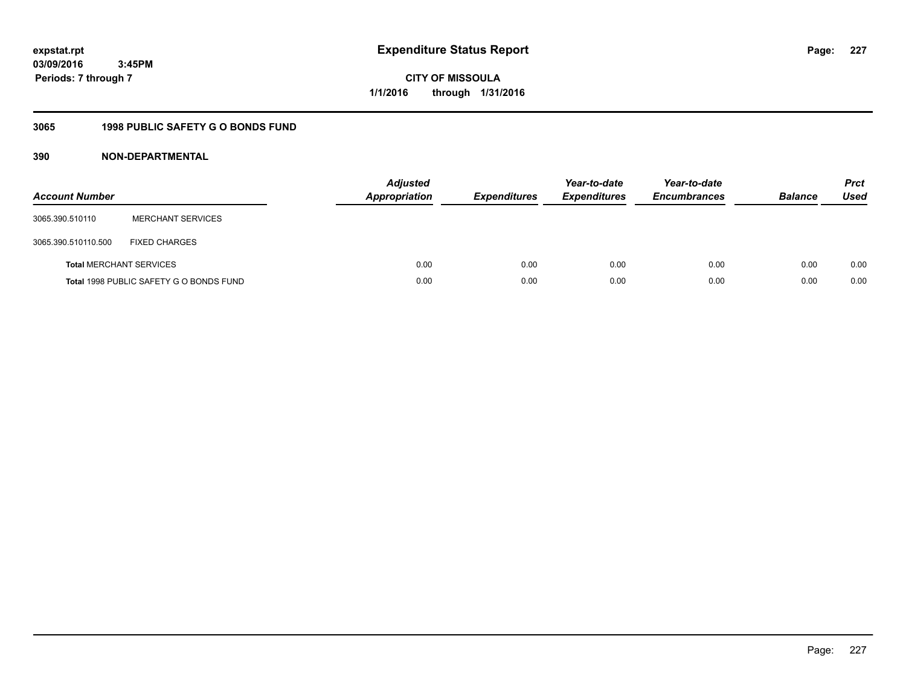**CITY OF MISSOULA 1/1/2016 through 1/31/2016**

# **3065 1998 PUBLIC SAFETY G O BONDS FUND**

| <b>Account Number</b>          |                                         | <b>Adjusted</b><br>Appropriation | <b>Expenditures</b> | Year-to-date<br><b>Expenditures</b> | Year-to-date<br><b>Encumbrances</b> | <b>Balance</b> | <b>Prct</b><br>Used |
|--------------------------------|-----------------------------------------|----------------------------------|---------------------|-------------------------------------|-------------------------------------|----------------|---------------------|
| 3065.390.510110                | <b>MERCHANT SERVICES</b>                |                                  |                     |                                     |                                     |                |                     |
| 3065.390.510110.500            | <b>FIXED CHARGES</b>                    |                                  |                     |                                     |                                     |                |                     |
| <b>Total MERCHANT SERVICES</b> |                                         | 0.00                             | 0.00                | 0.00                                | 0.00                                | 0.00           | 0.00                |
|                                | Total 1998 PUBLIC SAFETY G O BONDS FUND | 0.00                             | 0.00                | 0.00                                | 0.00                                | 0.00           | 0.00                |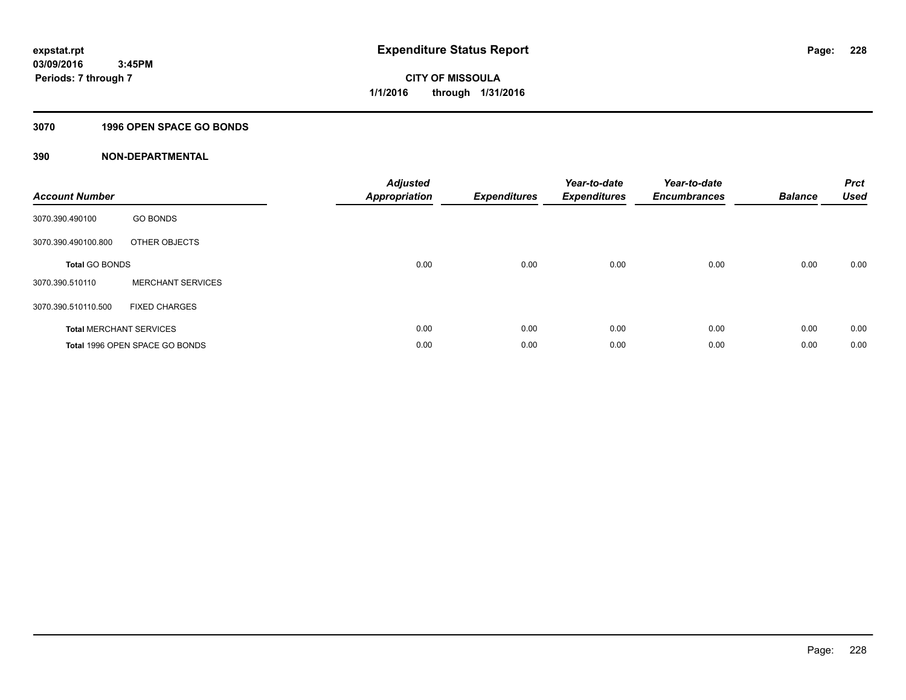### **3070 1996 OPEN SPACE GO BONDS**

| <b>Account Number</b>          |                                | <b>Adjusted</b><br><b>Appropriation</b> | <b>Expenditures</b> | Year-to-date<br><b>Expenditures</b> | Year-to-date<br><b>Encumbrances</b> | <b>Balance</b> | <b>Prct</b><br><b>Used</b> |
|--------------------------------|--------------------------------|-----------------------------------------|---------------------|-------------------------------------|-------------------------------------|----------------|----------------------------|
| 3070.390.490100                | <b>GO BONDS</b>                |                                         |                     |                                     |                                     |                |                            |
| 3070.390.490100.800            | OTHER OBJECTS                  |                                         |                     |                                     |                                     |                |                            |
| <b>Total GO BONDS</b>          |                                | 0.00                                    | 0.00                | 0.00                                | 0.00                                | 0.00           | 0.00                       |
| 3070.390.510110                | <b>MERCHANT SERVICES</b>       |                                         |                     |                                     |                                     |                |                            |
| 3070.390.510110.500            | <b>FIXED CHARGES</b>           |                                         |                     |                                     |                                     |                |                            |
| <b>Total MERCHANT SERVICES</b> |                                | 0.00                                    | 0.00                | 0.00                                | 0.00                                | 0.00           | 0.00                       |
|                                | Total 1996 OPEN SPACE GO BONDS | 0.00                                    | 0.00                | 0.00                                | 0.00                                | 0.00           | 0.00                       |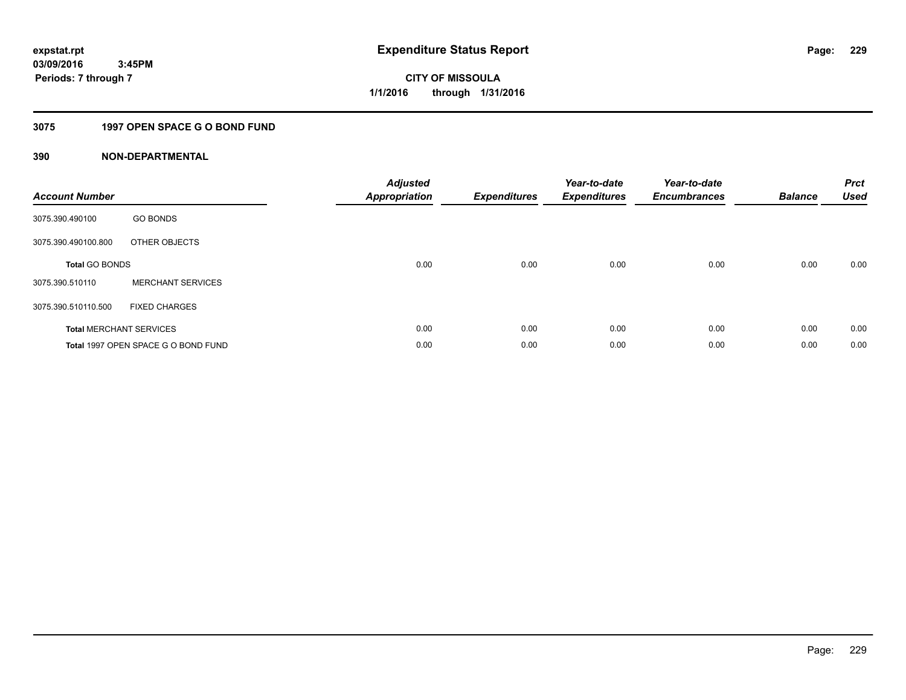# **3075 1997 OPEN SPACE G O BOND FUND**

| <b>Account Number</b> |                                     | <b>Adjusted</b><br><b>Appropriation</b> | <b>Expenditures</b> | Year-to-date<br><b>Expenditures</b> | Year-to-date<br><b>Encumbrances</b> | <b>Balance</b> | <b>Prct</b><br>Used |
|-----------------------|-------------------------------------|-----------------------------------------|---------------------|-------------------------------------|-------------------------------------|----------------|---------------------|
| 3075.390.490100       | <b>GO BONDS</b>                     |                                         |                     |                                     |                                     |                |                     |
| 3075.390.490100.800   | OTHER OBJECTS                       |                                         |                     |                                     |                                     |                |                     |
| <b>Total GO BONDS</b> |                                     | 0.00                                    | 0.00                | 0.00                                | 0.00                                | 0.00           | 0.00                |
| 3075.390.510110       | <b>MERCHANT SERVICES</b>            |                                         |                     |                                     |                                     |                |                     |
| 3075.390.510110.500   | <b>FIXED CHARGES</b>                |                                         |                     |                                     |                                     |                |                     |
|                       | <b>Total MERCHANT SERVICES</b>      | 0.00                                    | 0.00                | 0.00                                | 0.00                                | 0.00           | 0.00                |
|                       | Total 1997 OPEN SPACE G O BOND FUND | 0.00                                    | 0.00                | 0.00                                | 0.00                                | 0.00           | 0.00                |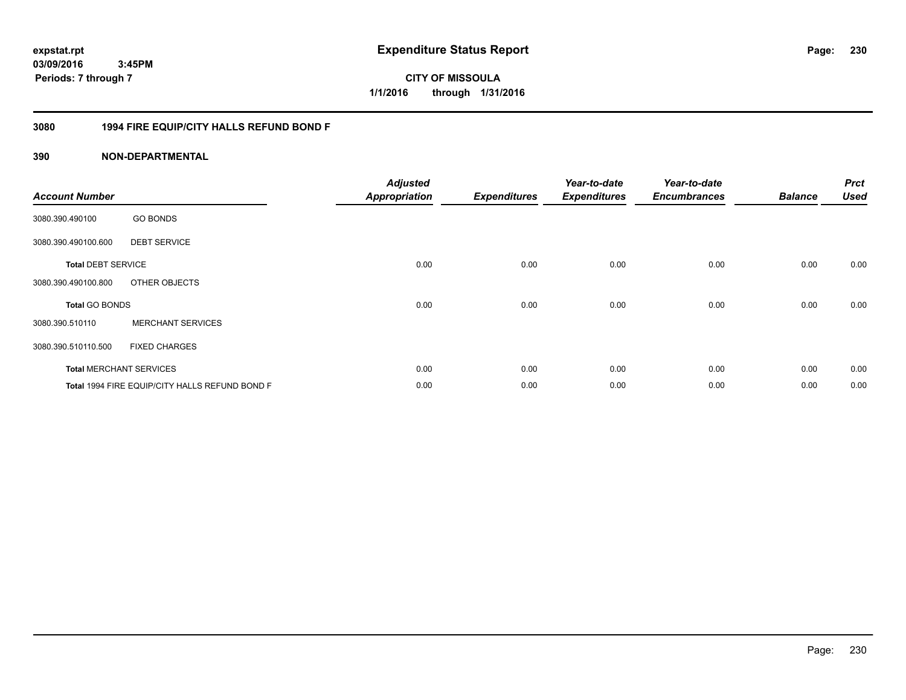**230**

**03/09/2016 3:45PM Periods: 7 through 7**

**CITY OF MISSOULA 1/1/2016 through 1/31/2016**

## **3080 1994 FIRE EQUIP/CITY HALLS REFUND BOND F**

| <b>Account Number</b>     |                                                | <b>Adjusted</b><br><b>Appropriation</b> | <b>Expenditures</b> | Year-to-date<br><b>Expenditures</b> | Year-to-date<br><b>Encumbrances</b> | <b>Balance</b> | <b>Prct</b><br><b>Used</b> |
|---------------------------|------------------------------------------------|-----------------------------------------|---------------------|-------------------------------------|-------------------------------------|----------------|----------------------------|
| 3080.390.490100           | <b>GO BONDS</b>                                |                                         |                     |                                     |                                     |                |                            |
| 3080.390.490100.600       | <b>DEBT SERVICE</b>                            |                                         |                     |                                     |                                     |                |                            |
| <b>Total DEBT SERVICE</b> |                                                | 0.00                                    | 0.00                | 0.00                                | 0.00                                | 0.00           | 0.00                       |
| 3080.390.490100.800       | OTHER OBJECTS                                  |                                         |                     |                                     |                                     |                |                            |
| <b>Total GO BONDS</b>     |                                                | 0.00                                    | 0.00                | 0.00                                | 0.00                                | 0.00           | 0.00                       |
| 3080.390.510110           | <b>MERCHANT SERVICES</b>                       |                                         |                     |                                     |                                     |                |                            |
| 3080.390.510110.500       | <b>FIXED CHARGES</b>                           |                                         |                     |                                     |                                     |                |                            |
|                           | <b>Total MERCHANT SERVICES</b>                 | 0.00                                    | 0.00                | 0.00                                | 0.00                                | 0.00           | 0.00                       |
|                           | Total 1994 FIRE EQUIP/CITY HALLS REFUND BOND F | 0.00                                    | 0.00                | 0.00                                | 0.00                                | 0.00           | 0.00                       |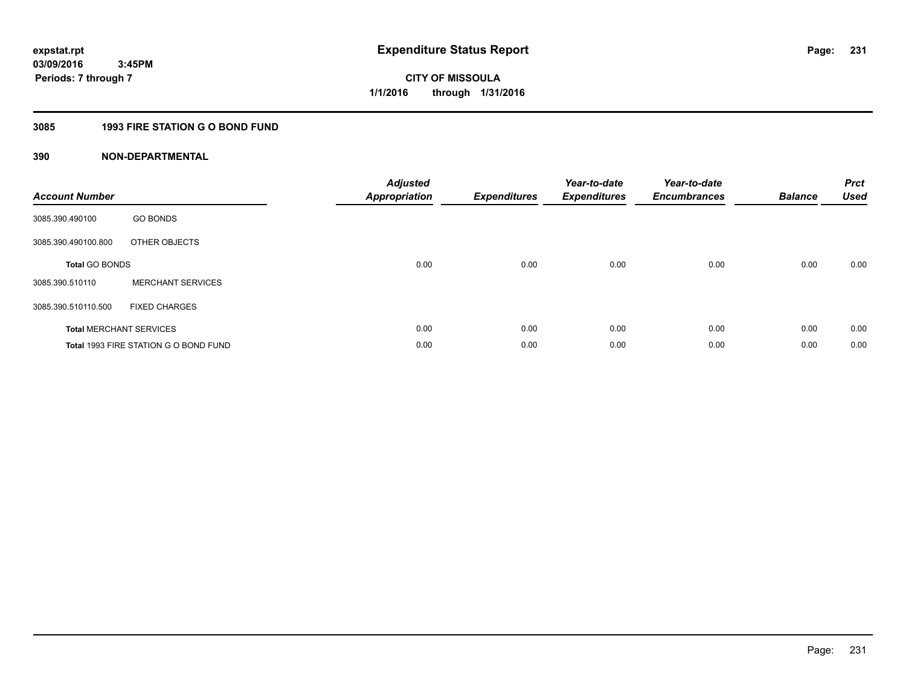# **3085 1993 FIRE STATION G O BOND FUND**

| <b>Account Number</b> |                                       | <b>Adjusted</b><br>Appropriation | <b>Expenditures</b> | Year-to-date<br><b>Expenditures</b> | Year-to-date<br><b>Encumbrances</b> | <b>Balance</b> | <b>Prct</b><br><b>Used</b> |
|-----------------------|---------------------------------------|----------------------------------|---------------------|-------------------------------------|-------------------------------------|----------------|----------------------------|
| 3085.390.490100       | <b>GO BONDS</b>                       |                                  |                     |                                     |                                     |                |                            |
| 3085.390.490100.800   | OTHER OBJECTS                         |                                  |                     |                                     |                                     |                |                            |
| <b>Total GO BONDS</b> |                                       | 0.00                             | 0.00                | 0.00                                | 0.00                                | 0.00           | 0.00                       |
| 3085.390.510110       | <b>MERCHANT SERVICES</b>              |                                  |                     |                                     |                                     |                |                            |
| 3085.390.510110.500   | <b>FIXED CHARGES</b>                  |                                  |                     |                                     |                                     |                |                            |
|                       | <b>Total MERCHANT SERVICES</b>        | 0.00                             | 0.00                | 0.00                                | 0.00                                | 0.00           | 0.00                       |
|                       | Total 1993 FIRE STATION G O BOND FUND | 0.00                             | 0.00                | 0.00                                | 0.00                                | 0.00           | 0.00                       |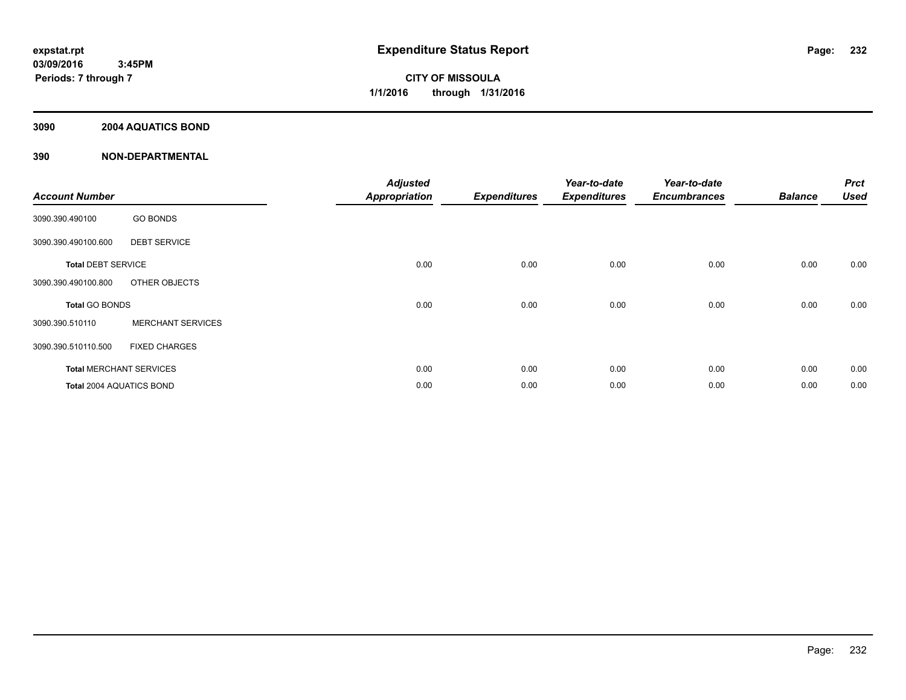## **3090 2004 AQUATICS BOND**

| <b>Account Number</b>           |                                | <b>Adjusted</b><br><b>Appropriation</b> | <b>Expenditures</b> | Year-to-date<br><b>Expenditures</b> | Year-to-date<br><b>Encumbrances</b> | <b>Balance</b> | <b>Prct</b><br><b>Used</b> |
|---------------------------------|--------------------------------|-----------------------------------------|---------------------|-------------------------------------|-------------------------------------|----------------|----------------------------|
| 3090.390.490100                 | <b>GO BONDS</b>                |                                         |                     |                                     |                                     |                |                            |
| 3090.390.490100.600             | <b>DEBT SERVICE</b>            |                                         |                     |                                     |                                     |                |                            |
| <b>Total DEBT SERVICE</b>       |                                | 0.00                                    | 0.00                | 0.00                                | 0.00                                | 0.00           | 0.00                       |
| 3090.390.490100.800             | OTHER OBJECTS                  |                                         |                     |                                     |                                     |                |                            |
| <b>Total GO BONDS</b>           |                                | 0.00                                    | 0.00                | 0.00                                | 0.00                                | 0.00           | 0.00                       |
| 3090.390.510110                 | <b>MERCHANT SERVICES</b>       |                                         |                     |                                     |                                     |                |                            |
| 3090.390.510110.500             | <b>FIXED CHARGES</b>           |                                         |                     |                                     |                                     |                |                            |
|                                 | <b>Total MERCHANT SERVICES</b> | 0.00                                    | 0.00                | 0.00                                | 0.00                                | 0.00           | 0.00                       |
| <b>Total 2004 AQUATICS BOND</b> |                                | 0.00                                    | 0.00                | 0.00                                | 0.00                                | 0.00           | 0.00                       |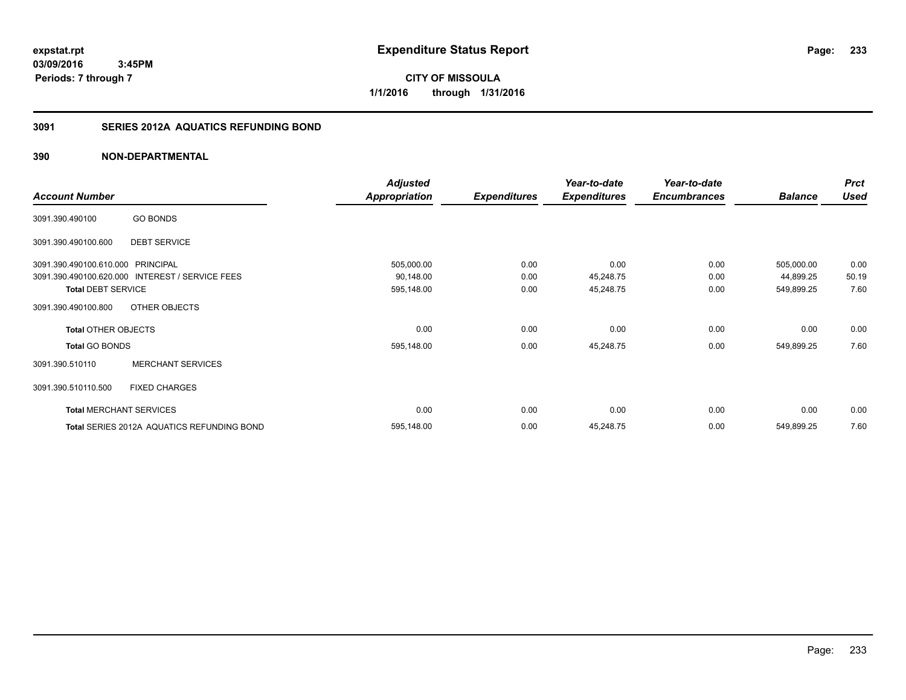**expstat.rpt Expenditure Status Report** 

**03/09/2016 3:45PM Periods: 7 through 7**

**CITY OF MISSOULA 1/1/2016 through 1/31/2016**

## **3091 SERIES 2012A AQUATICS REFUNDING BOND**

|                                   |                                                 | <b>Adjusted</b>      |                     | Year-to-date        | Year-to-date        |                | <b>Prct</b> |
|-----------------------------------|-------------------------------------------------|----------------------|---------------------|---------------------|---------------------|----------------|-------------|
| <b>Account Number</b>             |                                                 | <b>Appropriation</b> | <b>Expenditures</b> | <b>Expenditures</b> | <b>Encumbrances</b> | <b>Balance</b> | <b>Used</b> |
| 3091.390.490100                   | <b>GO BONDS</b>                                 |                      |                     |                     |                     |                |             |
| 3091.390.490100.600               | <b>DEBT SERVICE</b>                             |                      |                     |                     |                     |                |             |
| 3091.390.490100.610.000 PRINCIPAL |                                                 | 505,000.00           | 0.00                | 0.00                | 0.00                | 505,000.00     | 0.00        |
|                                   | 3091.390.490100.620.000 INTEREST / SERVICE FEES | 90,148.00            | 0.00                | 45,248.75           | 0.00                | 44,899.25      | 50.19       |
| <b>Total DEBT SERVICE</b>         |                                                 | 595,148.00           | 0.00                | 45,248.75           | 0.00                | 549,899.25     | 7.60        |
| 3091.390.490100.800               | OTHER OBJECTS                                   |                      |                     |                     |                     |                |             |
| <b>Total OTHER OBJECTS</b>        |                                                 | 0.00                 | 0.00                | 0.00                | 0.00                | 0.00           | 0.00        |
| <b>Total GO BONDS</b>             |                                                 | 595,148.00           | 0.00                | 45,248.75           | 0.00                | 549,899.25     | 7.60        |
| 3091.390.510110                   | <b>MERCHANT SERVICES</b>                        |                      |                     |                     |                     |                |             |
| 3091.390.510110.500               | <b>FIXED CHARGES</b>                            |                      |                     |                     |                     |                |             |
|                                   | <b>Total MERCHANT SERVICES</b>                  | 0.00                 | 0.00                | 0.00                | 0.00                | 0.00           | 0.00        |
|                                   | Total SERIES 2012A AQUATICS REFUNDING BOND      | 595,148.00           | 0.00                | 45,248.75           | 0.00                | 549,899.25     | 7.60        |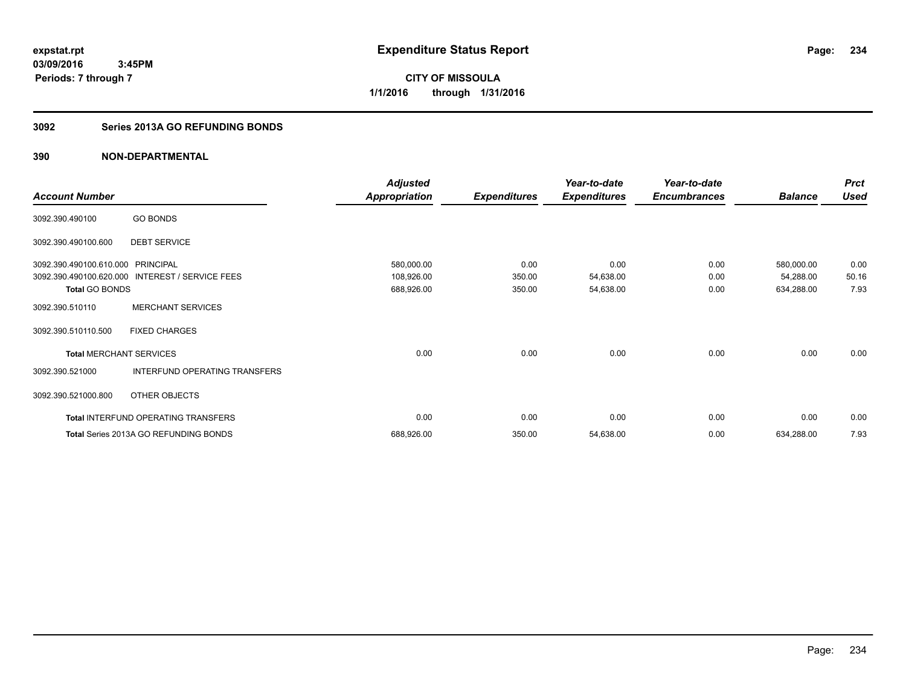**CITY OF MISSOULA 1/1/2016 through 1/31/2016**

## **3092 Series 2013A GO REFUNDING BONDS**

|                                |                                              | <b>Adjusted</b> |                     | Year-to-date        | Year-to-date        |                | <b>Prct</b> |
|--------------------------------|----------------------------------------------|-----------------|---------------------|---------------------|---------------------|----------------|-------------|
| <b>Account Number</b>          |                                              | Appropriation   | <b>Expenditures</b> | <b>Expenditures</b> | <b>Encumbrances</b> | <b>Balance</b> | <b>Used</b> |
| 3092.390.490100                | <b>GO BONDS</b>                              |                 |                     |                     |                     |                |             |
| 3092.390.490100.600            | <b>DEBT SERVICE</b>                          |                 |                     |                     |                     |                |             |
| 3092.390.490100.610.000        | <b>PRINCIPAL</b>                             | 580,000.00      | 0.00                | 0.00                | 0.00                | 580,000.00     | 0.00        |
| 3092.390.490100.620.000        | <b>INTEREST / SERVICE FEES</b>               | 108,926.00      | 350.00              | 54,638.00           | 0.00                | 54,288.00      | 50.16       |
| <b>Total GO BONDS</b>          |                                              | 688,926.00      | 350.00              | 54,638.00           | 0.00                | 634,288.00     | 7.93        |
| 3092.390.510110                | <b>MERCHANT SERVICES</b>                     |                 |                     |                     |                     |                |             |
| 3092.390.510110.500            | <b>FIXED CHARGES</b>                         |                 |                     |                     |                     |                |             |
| <b>Total MERCHANT SERVICES</b> |                                              | 0.00            | 0.00                | 0.00                | 0.00                | 0.00           | 0.00        |
| 3092.390.521000                | INTERFUND OPERATING TRANSFERS                |                 |                     |                     |                     |                |             |
| 3092.390.521000.800            | OTHER OBJECTS                                |                 |                     |                     |                     |                |             |
|                                | <b>Total INTERFUND OPERATING TRANSFERS</b>   | 0.00            | 0.00                | 0.00                | 0.00                | 0.00           | 0.00        |
|                                | <b>Total Series 2013A GO REFUNDING BONDS</b> | 688,926.00      | 350.00              | 54,638.00           | 0.00                | 634,288.00     | 7.93        |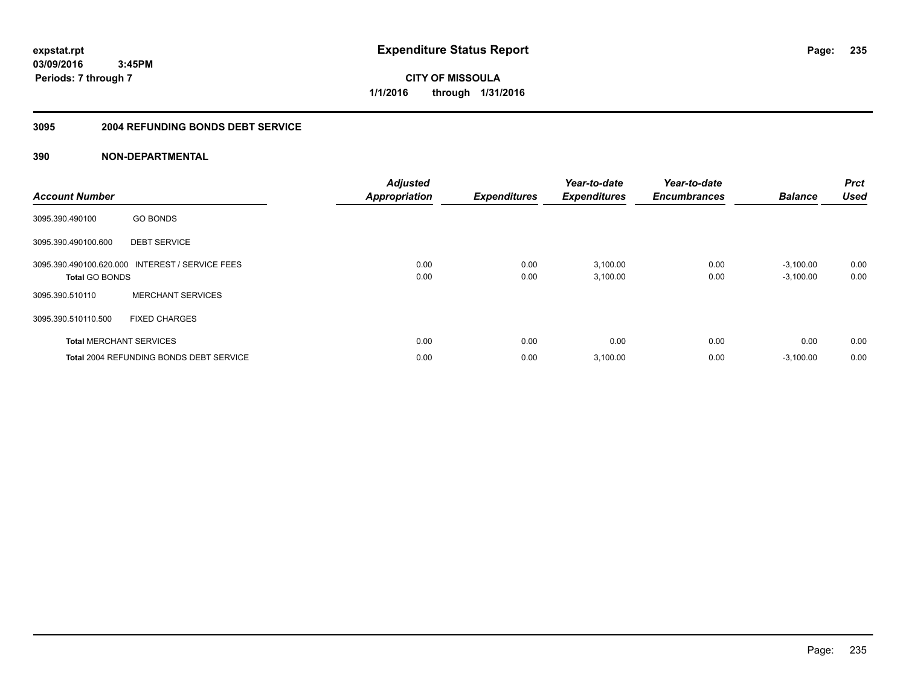**CITY OF MISSOULA 1/1/2016 through 1/31/2016**

#### **3095 2004 REFUNDING BONDS DEBT SERVICE**

| <b>Account Number</b>          |                                                 | <b>Adjusted</b><br><b>Appropriation</b> | <b>Expenditures</b> | Year-to-date<br><b>Expenditures</b> | Year-to-date<br><b>Encumbrances</b> | <b>Balance</b>             | <b>Prct</b><br><b>Used</b> |
|--------------------------------|-------------------------------------------------|-----------------------------------------|---------------------|-------------------------------------|-------------------------------------|----------------------------|----------------------------|
| 3095.390.490100                | <b>GO BONDS</b>                                 |                                         |                     |                                     |                                     |                            |                            |
| 3095.390.490100.600            | <b>DEBT SERVICE</b>                             |                                         |                     |                                     |                                     |                            |                            |
| <b>Total GO BONDS</b>          | 3095.390.490100.620.000 INTEREST / SERVICE FEES | 0.00<br>0.00                            | 0.00<br>0.00        | 3,100.00<br>3,100.00                | 0.00<br>0.00                        | $-3,100.00$<br>$-3,100.00$ | 0.00<br>0.00               |
| 3095.390.510110                | <b>MERCHANT SERVICES</b>                        |                                         |                     |                                     |                                     |                            |                            |
| 3095.390.510110.500            | <b>FIXED CHARGES</b>                            |                                         |                     |                                     |                                     |                            |                            |
| <b>Total MERCHANT SERVICES</b> |                                                 | 0.00                                    | 0.00                | 0.00                                | 0.00                                | 0.00                       | 0.00                       |
|                                | <b>Total 2004 REFUNDING BONDS DEBT SERVICE</b>  | 0.00                                    | 0.00                | 3,100.00                            | 0.00                                | $-3,100.00$                | 0.00                       |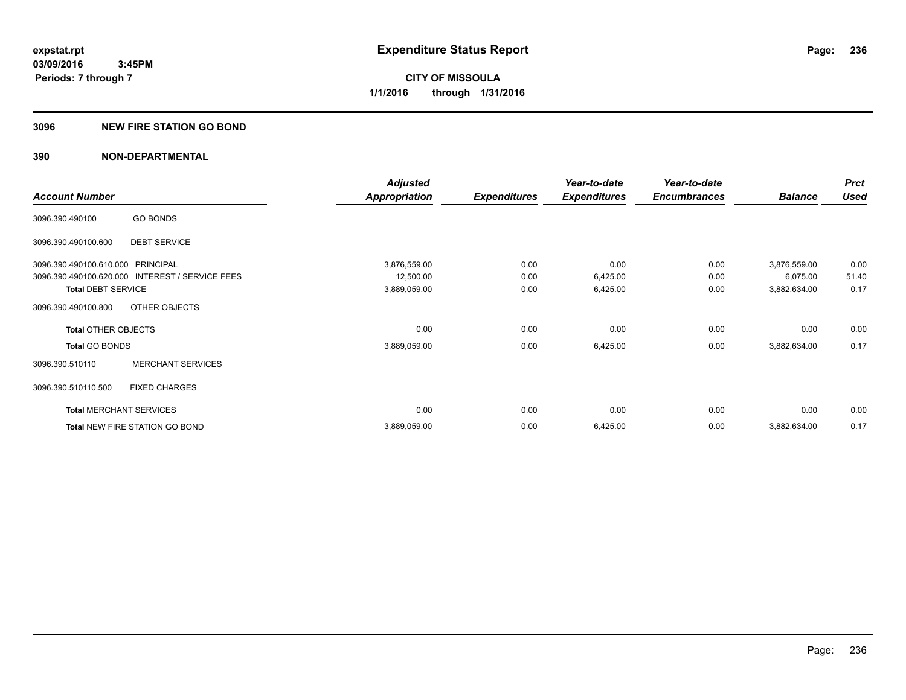#### **3096 NEW FIRE STATION GO BOND**

|                                   |                                                 | <b>Adjusted</b>      |                     | Year-to-date        | Year-to-date        |                | <b>Prct</b> |
|-----------------------------------|-------------------------------------------------|----------------------|---------------------|---------------------|---------------------|----------------|-------------|
| <b>Account Number</b>             |                                                 | <b>Appropriation</b> | <b>Expenditures</b> | <b>Expenditures</b> | <b>Encumbrances</b> | <b>Balance</b> | <b>Used</b> |
| 3096.390.490100                   | <b>GO BONDS</b>                                 |                      |                     |                     |                     |                |             |
| 3096.390.490100.600               | <b>DEBT SERVICE</b>                             |                      |                     |                     |                     |                |             |
| 3096.390.490100.610.000 PRINCIPAL |                                                 | 3,876,559.00         | 0.00                | 0.00                | 0.00                | 3,876,559.00   | 0.00        |
|                                   | 3096.390.490100.620.000 INTEREST / SERVICE FEES | 12,500.00            | 0.00                | 6,425.00            | 0.00                | 6,075.00       | 51.40       |
| <b>Total DEBT SERVICE</b>         |                                                 | 3,889,059.00         | 0.00                | 6,425.00            | 0.00                | 3,882,634.00   | 0.17        |
| 3096.390.490100.800               | OTHER OBJECTS                                   |                      |                     |                     |                     |                |             |
| <b>Total OTHER OBJECTS</b>        |                                                 | 0.00                 | 0.00                | 0.00                | 0.00                | 0.00           | 0.00        |
| <b>Total GO BONDS</b>             |                                                 | 3,889,059.00         | 0.00                | 6,425.00            | 0.00                | 3,882,634.00   | 0.17        |
| 3096.390.510110                   | <b>MERCHANT SERVICES</b>                        |                      |                     |                     |                     |                |             |
| 3096.390.510110.500               | <b>FIXED CHARGES</b>                            |                      |                     |                     |                     |                |             |
|                                   | <b>Total MERCHANT SERVICES</b>                  | 0.00                 | 0.00                | 0.00                | 0.00                | 0.00           | 0.00        |
|                                   | Total NEW FIRE STATION GO BOND                  | 3,889,059.00         | 0.00                | 6,425.00            | 0.00                | 3,882,634.00   | 0.17        |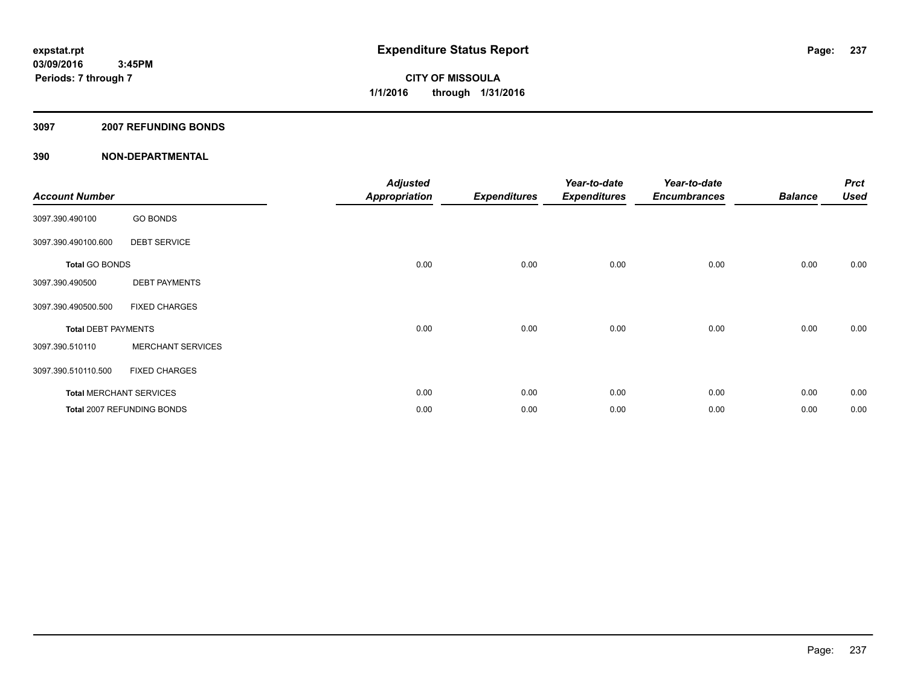### **3097 2007 REFUNDING BONDS**

| <b>Account Number</b>      |                                | <b>Adjusted</b><br><b>Appropriation</b> | <b>Expenditures</b> | Year-to-date<br><b>Expenditures</b> | Year-to-date<br><b>Encumbrances</b> | <b>Balance</b> | <b>Prct</b><br><b>Used</b> |
|----------------------------|--------------------------------|-----------------------------------------|---------------------|-------------------------------------|-------------------------------------|----------------|----------------------------|
| 3097.390.490100            | <b>GO BONDS</b>                |                                         |                     |                                     |                                     |                |                            |
| 3097.390.490100.600        | <b>DEBT SERVICE</b>            |                                         |                     |                                     |                                     |                |                            |
| <b>Total GO BONDS</b>      |                                | 0.00                                    | 0.00                | 0.00                                | 0.00                                | 0.00           | 0.00                       |
| 3097.390.490500            | <b>DEBT PAYMENTS</b>           |                                         |                     |                                     |                                     |                |                            |
| 3097.390.490500.500        | <b>FIXED CHARGES</b>           |                                         |                     |                                     |                                     |                |                            |
| <b>Total DEBT PAYMENTS</b> |                                | 0.00                                    | 0.00                | 0.00                                | 0.00                                | 0.00           | 0.00                       |
| 3097.390.510110            | <b>MERCHANT SERVICES</b>       |                                         |                     |                                     |                                     |                |                            |
| 3097.390.510110.500        | <b>FIXED CHARGES</b>           |                                         |                     |                                     |                                     |                |                            |
|                            | <b>Total MERCHANT SERVICES</b> | 0.00                                    | 0.00                | 0.00                                | 0.00                                | 0.00           | 0.00                       |
|                            | Total 2007 REFUNDING BONDS     | 0.00                                    | 0.00                | 0.00                                | 0.00                                | 0.00           | 0.00                       |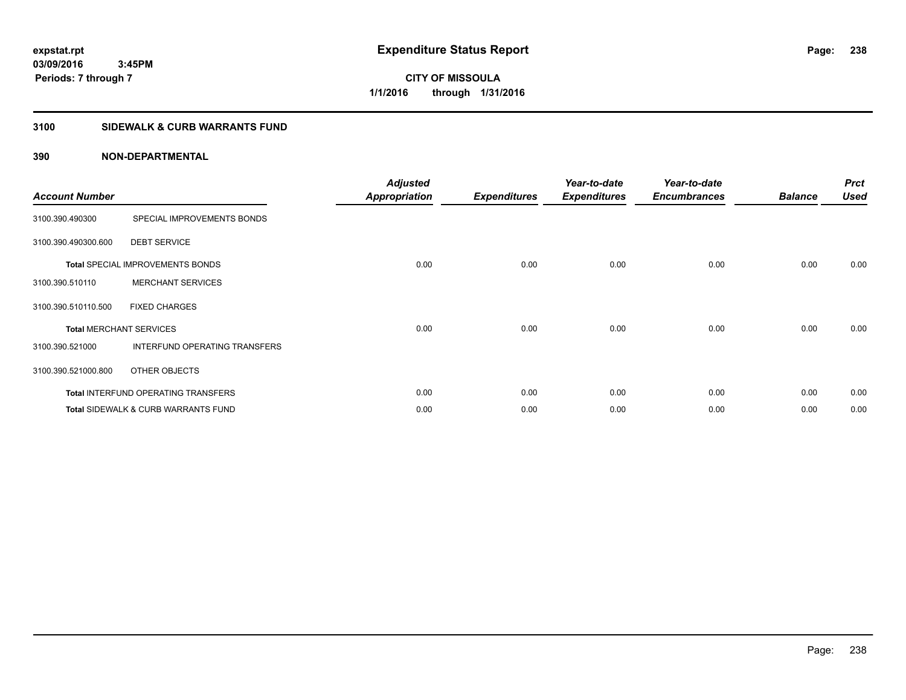**Periods: 7 through 7**

**CITY OF MISSOULA 1/1/2016 through 1/31/2016**

## **3100 SIDEWALK & CURB WARRANTS FUND**

## **390 NON-DEPARTMENTAL**

 **3:45PM**

| <b>Account Number</b>          |                                                | <b>Adjusted</b><br>Appropriation | <b>Expenditures</b> | Year-to-date<br><b>Expenditures</b> | Year-to-date<br><b>Encumbrances</b> | <b>Balance</b> | <b>Prct</b><br><b>Used</b> |
|--------------------------------|------------------------------------------------|----------------------------------|---------------------|-------------------------------------|-------------------------------------|----------------|----------------------------|
| 3100.390.490300                | SPECIAL IMPROVEMENTS BONDS                     |                                  |                     |                                     |                                     |                |                            |
| 3100.390.490300.600            | <b>DEBT SERVICE</b>                            |                                  |                     |                                     |                                     |                |                            |
|                                | <b>Total SPECIAL IMPROVEMENTS BONDS</b>        | 0.00                             | 0.00                | 0.00                                | 0.00                                | 0.00           | 0.00                       |
| 3100.390.510110                | <b>MERCHANT SERVICES</b>                       |                                  |                     |                                     |                                     |                |                            |
| 3100.390.510110.500            | <b>FIXED CHARGES</b>                           |                                  |                     |                                     |                                     |                |                            |
| <b>Total MERCHANT SERVICES</b> |                                                | 0.00                             | 0.00                | 0.00                                | 0.00                                | 0.00           | 0.00                       |
| 3100.390.521000                | INTERFUND OPERATING TRANSFERS                  |                                  |                     |                                     |                                     |                |                            |
| 3100.390.521000.800            | OTHER OBJECTS                                  |                                  |                     |                                     |                                     |                |                            |
|                                | <b>Total INTERFUND OPERATING TRANSFERS</b>     | 0.00                             | 0.00                | 0.00                                | 0.00                                | 0.00           | 0.00                       |
|                                | <b>Total SIDEWALK &amp; CURB WARRANTS FUND</b> | 0.00                             | 0.00                | 0.00                                | 0.00                                | 0.00           | 0.00                       |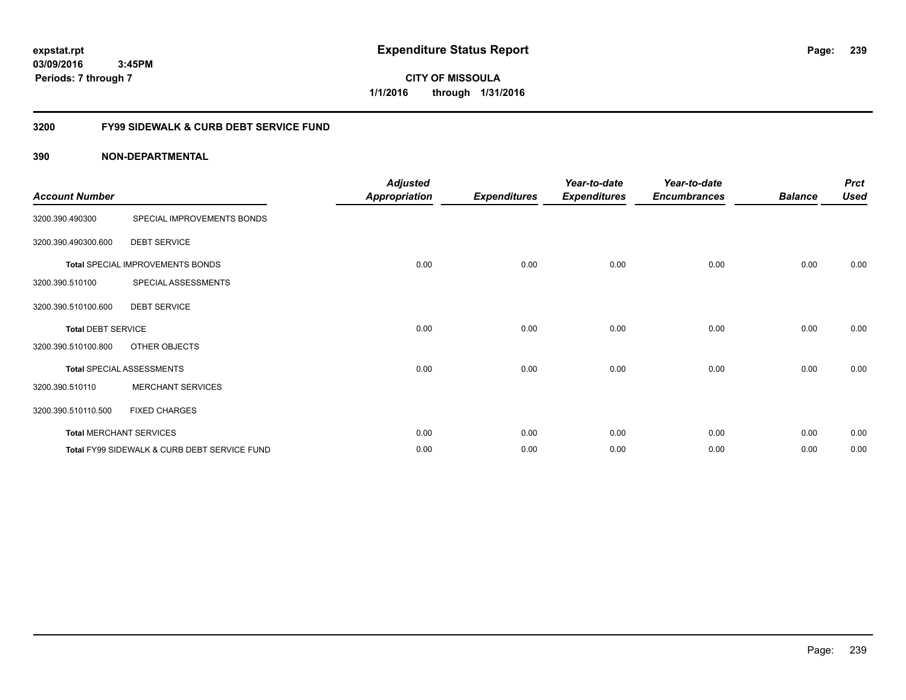**CITY OF MISSOULA 1/1/2016 through 1/31/2016**

## **3200 FY99 SIDEWALK & CURB DEBT SERVICE FUND**

| <b>Account Number</b>     |                                              | <b>Adjusted</b><br><b>Appropriation</b> | <b>Expenditures</b> | Year-to-date<br><b>Expenditures</b> | Year-to-date<br><b>Encumbrances</b> | <b>Balance</b> | <b>Prct</b><br><b>Used</b> |
|---------------------------|----------------------------------------------|-----------------------------------------|---------------------|-------------------------------------|-------------------------------------|----------------|----------------------------|
| 3200.390.490300           | SPECIAL IMPROVEMENTS BONDS                   |                                         |                     |                                     |                                     |                |                            |
| 3200.390.490300.600       | <b>DEBT SERVICE</b>                          |                                         |                     |                                     |                                     |                |                            |
|                           | Total SPECIAL IMPROVEMENTS BONDS             | 0.00                                    | 0.00                | 0.00                                | 0.00                                | 0.00           | 0.00                       |
| 3200.390.510100           | SPECIAL ASSESSMENTS                          |                                         |                     |                                     |                                     |                |                            |
| 3200.390.510100.600       | <b>DEBT SERVICE</b>                          |                                         |                     |                                     |                                     |                |                            |
| <b>Total DEBT SERVICE</b> |                                              | 0.00                                    | 0.00                | 0.00                                | 0.00                                | 0.00           | 0.00                       |
| 3200.390.510100.800       | OTHER OBJECTS                                |                                         |                     |                                     |                                     |                |                            |
|                           | <b>Total SPECIAL ASSESSMENTS</b>             | 0.00                                    | 0.00                | 0.00                                | 0.00                                | 0.00           | 0.00                       |
| 3200.390.510110           | <b>MERCHANT SERVICES</b>                     |                                         |                     |                                     |                                     |                |                            |
| 3200.390.510110.500       | <b>FIXED CHARGES</b>                         |                                         |                     |                                     |                                     |                |                            |
|                           | <b>Total MERCHANT SERVICES</b>               | 0.00                                    | 0.00                | 0.00                                | 0.00                                | 0.00           | 0.00                       |
|                           | Total FY99 SIDEWALK & CURB DEBT SERVICE FUND | 0.00                                    | 0.00                | 0.00                                | 0.00                                | 0.00           | 0.00                       |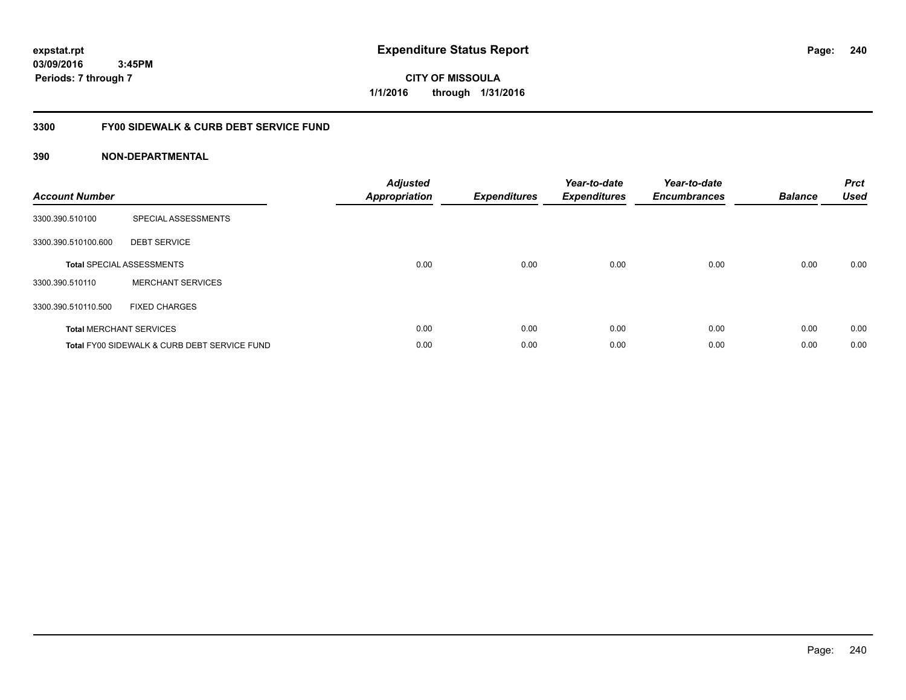**CITY OF MISSOULA 1/1/2016 through 1/31/2016**

## **3300 FY00 SIDEWALK & CURB DEBT SERVICE FUND**

| <b>Account Number</b> |                                              | <b>Adjusted</b><br><b>Appropriation</b> | <b>Expenditures</b> | Year-to-date<br><b>Expenditures</b> | Year-to-date<br><b>Encumbrances</b> | <b>Balance</b> | <b>Prct</b><br><b>Used</b> |
|-----------------------|----------------------------------------------|-----------------------------------------|---------------------|-------------------------------------|-------------------------------------|----------------|----------------------------|
| 3300.390.510100       | SPECIAL ASSESSMENTS                          |                                         |                     |                                     |                                     |                |                            |
| 3300.390.510100.600   | <b>DEBT SERVICE</b>                          |                                         |                     |                                     |                                     |                |                            |
|                       | <b>Total SPECIAL ASSESSMENTS</b>             | 0.00                                    | 0.00                | 0.00                                | 0.00                                | 0.00           | 0.00                       |
| 3300.390.510110       | <b>MERCHANT SERVICES</b>                     |                                         |                     |                                     |                                     |                |                            |
| 3300.390.510110.500   | <b>FIXED CHARGES</b>                         |                                         |                     |                                     |                                     |                |                            |
|                       | <b>Total MERCHANT SERVICES</b>               | 0.00                                    | 0.00                | 0.00                                | 0.00                                | 0.00           | 0.00                       |
|                       | Total FY00 SIDEWALK & CURB DEBT SERVICE FUND | 0.00                                    | 0.00                | 0.00                                | 0.00                                | 0.00           | 0.00                       |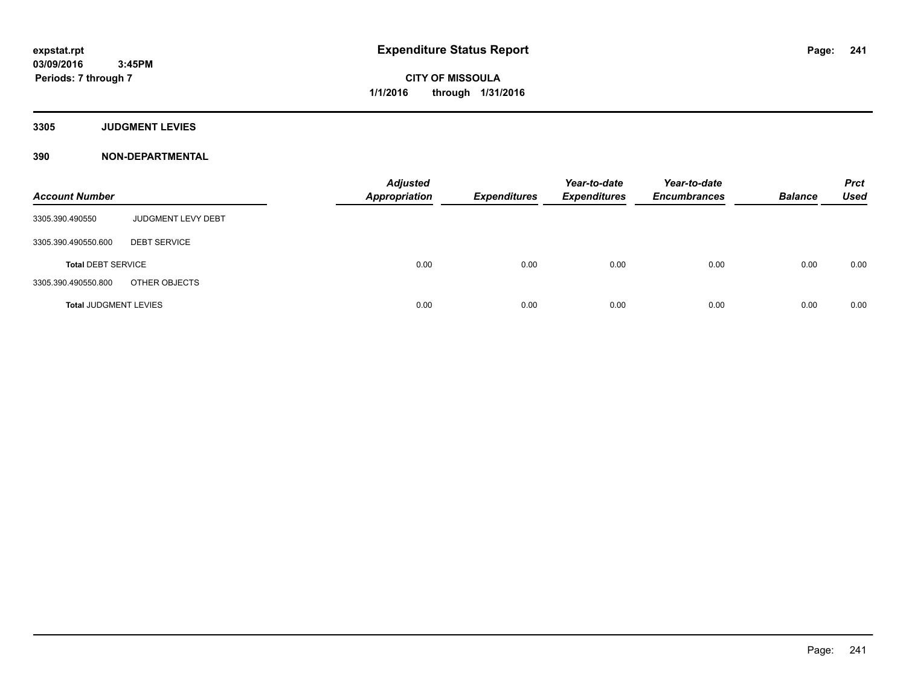**3305 JUDGMENT LEVIES**

| <b>Account Number</b>        |                     | <b>Adjusted</b><br><b>Appropriation</b> | <b>Expenditures</b> | Year-to-date<br><b>Expenditures</b> | Year-to-date<br><b>Encumbrances</b> | <b>Balance</b> | <b>Prct</b><br><b>Used</b> |
|------------------------------|---------------------|-----------------------------------------|---------------------|-------------------------------------|-------------------------------------|----------------|----------------------------|
| 3305.390.490550              | JUDGMENT LEVY DEBT  |                                         |                     |                                     |                                     |                |                            |
| 3305.390.490550.600          | <b>DEBT SERVICE</b> |                                         |                     |                                     |                                     |                |                            |
| <b>Total DEBT SERVICE</b>    |                     | 0.00                                    | 0.00                | 0.00                                | 0.00                                | 0.00           | 0.00                       |
| 3305.390.490550.800          | OTHER OBJECTS       |                                         |                     |                                     |                                     |                |                            |
| <b>Total JUDGMENT LEVIES</b> |                     | 0.00                                    | 0.00                | 0.00                                | 0.00                                | 0.00           | 0.00                       |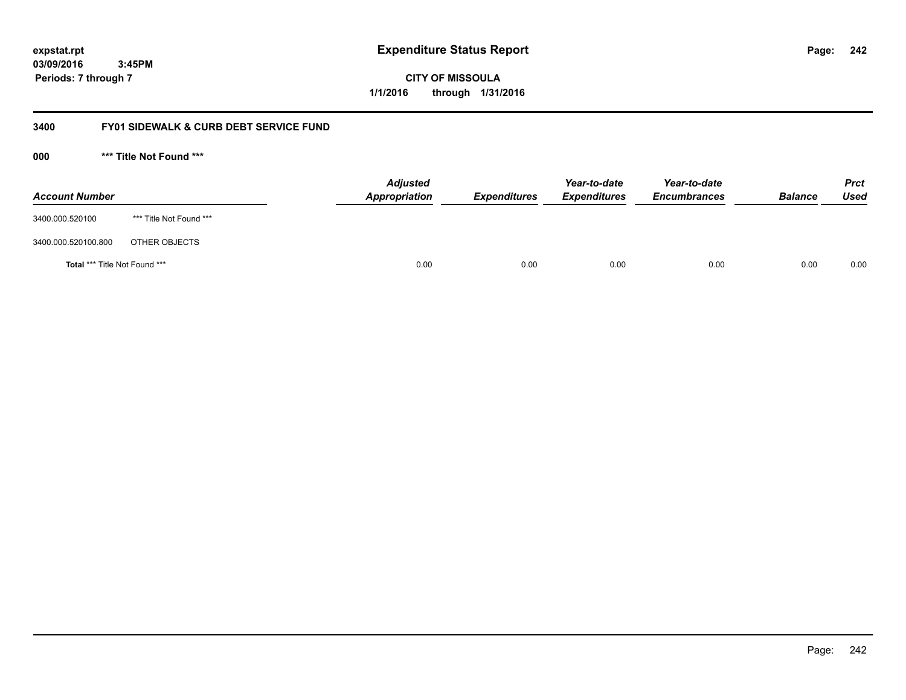**242**

**03/09/2016 3:45PM Periods: 7 through 7**

**CITY OF MISSOULA 1/1/2016 through 1/31/2016**

## **3400 FY01 SIDEWALK & CURB DEBT SERVICE FUND**

**000 \*\*\* Title Not Found \*\*\***

| <b>Account Number</b>         |                         | <b>Adjusted</b><br>Appropriation | <b>Expenditures</b> | Year-to-date<br><b>Expenditures</b> | Year-to-date<br><b>Encumbrances</b> | <b>Balance</b> | <b>Prct</b><br>Used |
|-------------------------------|-------------------------|----------------------------------|---------------------|-------------------------------------|-------------------------------------|----------------|---------------------|
| 3400.000.520100               | *** Title Not Found *** |                                  |                     |                                     |                                     |                |                     |
| 3400.000.520100.800           | OTHER OBJECTS           |                                  |                     |                                     |                                     |                |                     |
| Total *** Title Not Found *** |                         | 0.00                             | 0.00                | 0.00                                | 0.00                                | 0.00           | 0.00                |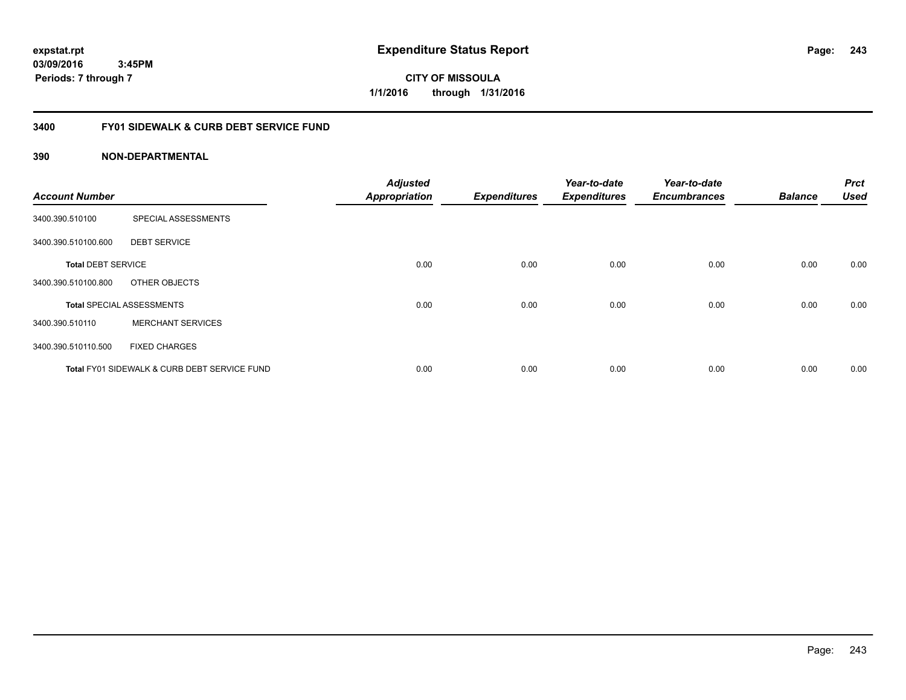**expstat.rpt Expenditure Status Report** 

**03/09/2016 3:45PM Periods: 7 through 7**

**CITY OF MISSOULA 1/1/2016 through 1/31/2016**

## **3400 FY01 SIDEWALK & CURB DEBT SERVICE FUND**

| <b>Account Number</b>     |                                              | <b>Adjusted</b><br><b>Appropriation</b> | <b>Expenditures</b> | Year-to-date<br><b>Expenditures</b> | Year-to-date<br><b>Encumbrances</b> | <b>Balance</b> | <b>Prct</b><br><b>Used</b> |
|---------------------------|----------------------------------------------|-----------------------------------------|---------------------|-------------------------------------|-------------------------------------|----------------|----------------------------|
| 3400.390.510100           | SPECIAL ASSESSMENTS                          |                                         |                     |                                     |                                     |                |                            |
| 3400.390.510100.600       | <b>DEBT SERVICE</b>                          |                                         |                     |                                     |                                     |                |                            |
| <b>Total DEBT SERVICE</b> |                                              | 0.00                                    | 0.00                | 0.00                                | 0.00                                | 0.00           | 0.00                       |
| 3400.390.510100.800       | OTHER OBJECTS                                |                                         |                     |                                     |                                     |                |                            |
|                           | <b>Total SPECIAL ASSESSMENTS</b>             | 0.00                                    | 0.00                | 0.00                                | 0.00                                | 0.00           | 0.00                       |
| 3400.390.510110           | <b>MERCHANT SERVICES</b>                     |                                         |                     |                                     |                                     |                |                            |
| 3400.390.510110.500       | <b>FIXED CHARGES</b>                         |                                         |                     |                                     |                                     |                |                            |
|                           | Total FY01 SIDEWALK & CURB DEBT SERVICE FUND | 0.00                                    | 0.00                | 0.00                                | 0.00                                | 0.00           | 0.00                       |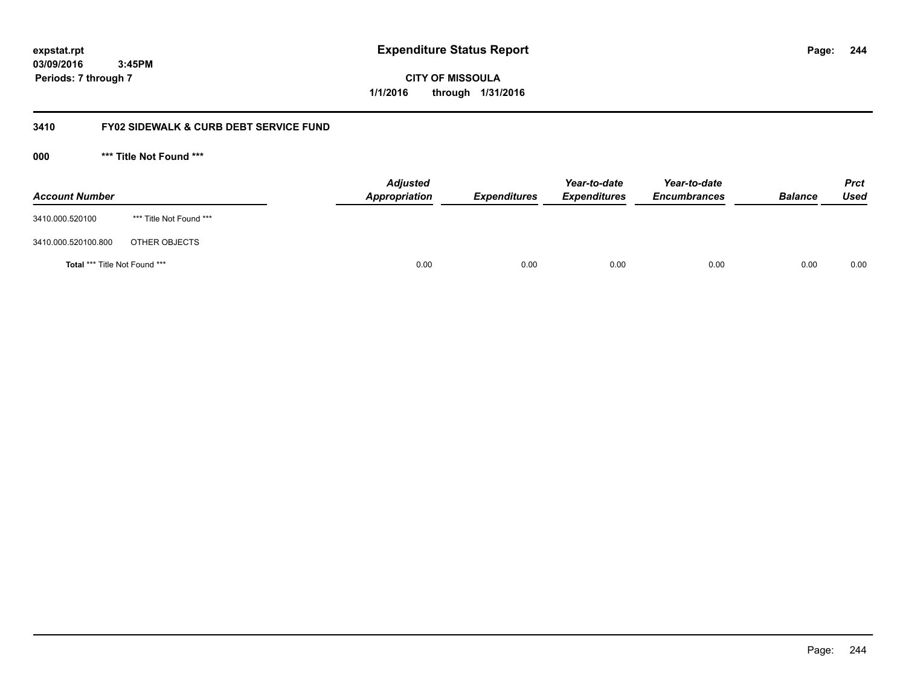**244**

**03/09/2016 3:45PM Periods: 7 through 7**

**CITY OF MISSOULA 1/1/2016 through 1/31/2016**

## **3410 FY02 SIDEWALK & CURB DEBT SERVICE FUND**

**000 \*\*\* Title Not Found \*\*\***

| <b>Account Number</b>         |                         | <b>Adjusted</b><br>Appropriation | <b>Expenditures</b> | Year-to-date<br><b>Expenditures</b> | Year-to-date<br><b>Encumbrances</b> | <b>Balance</b> | <b>Prct</b><br>Used |
|-------------------------------|-------------------------|----------------------------------|---------------------|-------------------------------------|-------------------------------------|----------------|---------------------|
| 3410.000.520100               | *** Title Not Found *** |                                  |                     |                                     |                                     |                |                     |
| 3410.000.520100.800           | OTHER OBJECTS           |                                  |                     |                                     |                                     |                |                     |
| Total *** Title Not Found *** |                         | 0.00                             | 0.00                | 0.00                                | 0.00                                | 0.00           | 0.00                |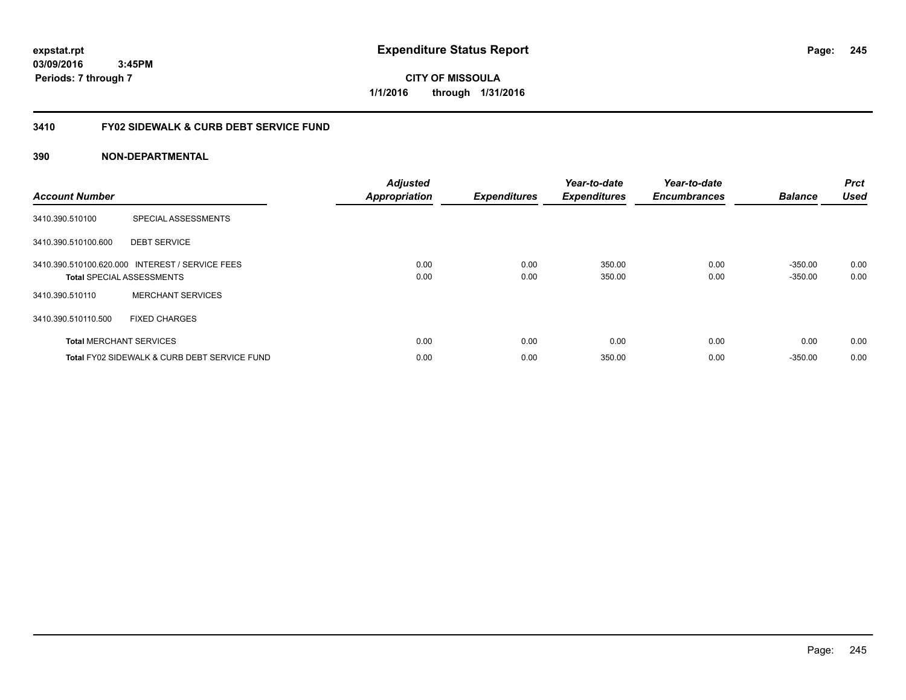**CITY OF MISSOULA 1/1/2016 through 1/31/2016**

## **3410 FY02 SIDEWALK & CURB DEBT SERVICE FUND**

| <b>Account Number</b> |                                                                                     | <b>Adjusted</b><br><b>Appropriation</b> | <b>Expenditures</b> | Year-to-date<br><b>Expenditures</b> | Year-to-date<br><b>Encumbrances</b> | <b>Balance</b>         | <b>Prct</b><br><b>Used</b> |
|-----------------------|-------------------------------------------------------------------------------------|-----------------------------------------|---------------------|-------------------------------------|-------------------------------------|------------------------|----------------------------|
| 3410.390.510100       | SPECIAL ASSESSMENTS                                                                 |                                         |                     |                                     |                                     |                        |                            |
| 3410.390.510100.600   | <b>DEBT SERVICE</b>                                                                 |                                         |                     |                                     |                                     |                        |                            |
|                       | 3410.390.510100.620.000 INTEREST / SERVICE FEES<br><b>Total SPECIAL ASSESSMENTS</b> | 0.00<br>0.00                            | 0.00<br>0.00        | 350.00<br>350.00                    | 0.00<br>0.00                        | $-350.00$<br>$-350.00$ | 0.00<br>0.00               |
| 3410.390.510110       | <b>MERCHANT SERVICES</b>                                                            |                                         |                     |                                     |                                     |                        |                            |
| 3410.390.510110.500   | <b>FIXED CHARGES</b>                                                                |                                         |                     |                                     |                                     |                        |                            |
|                       | <b>Total MERCHANT SERVICES</b>                                                      | 0.00                                    | 0.00                | 0.00                                | 0.00                                | 0.00                   | 0.00                       |
|                       | Total FY02 SIDEWALK & CURB DEBT SERVICE FUND                                        | 0.00                                    | 0.00                | 350.00                              | 0.00                                | $-350.00$              | 0.00                       |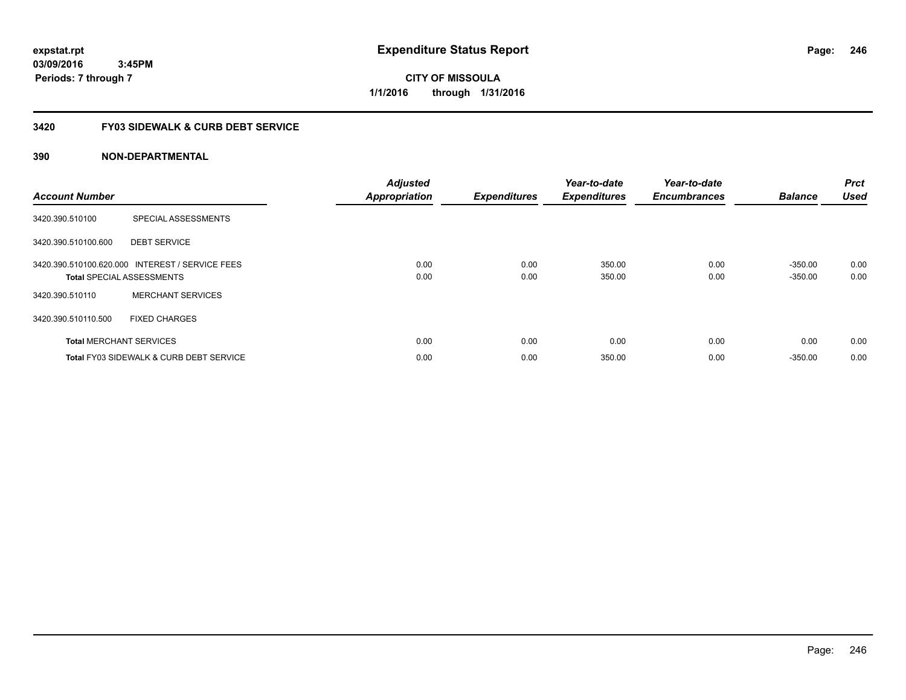**expstat.rpt Expenditure Status Report** 

**03/09/2016 3:45PM Periods: 7 through 7**

**CITY OF MISSOULA 1/1/2016 through 1/31/2016**

## **3420 FY03 SIDEWALK & CURB DEBT SERVICE**

| <b>Account Number</b> |                                                                                     | <b>Adjusted</b><br><b>Appropriation</b> | <b>Expenditures</b> | Year-to-date<br><b>Expenditures</b> | Year-to-date<br><b>Encumbrances</b> | <b>Balance</b>         | <b>Prct</b><br><b>Used</b> |
|-----------------------|-------------------------------------------------------------------------------------|-----------------------------------------|---------------------|-------------------------------------|-------------------------------------|------------------------|----------------------------|
| 3420.390.510100       | SPECIAL ASSESSMENTS                                                                 |                                         |                     |                                     |                                     |                        |                            |
| 3420.390.510100.600   | <b>DEBT SERVICE</b>                                                                 |                                         |                     |                                     |                                     |                        |                            |
|                       | 3420.390.510100.620.000 INTEREST / SERVICE FEES<br><b>Total SPECIAL ASSESSMENTS</b> | 0.00<br>0.00                            | 0.00<br>0.00        | 350.00<br>350.00                    | 0.00<br>0.00                        | $-350.00$<br>$-350.00$ | 0.00<br>0.00               |
| 3420.390.510110       | <b>MERCHANT SERVICES</b>                                                            |                                         |                     |                                     |                                     |                        |                            |
| 3420.390.510110.500   | <b>FIXED CHARGES</b>                                                                |                                         |                     |                                     |                                     |                        |                            |
|                       | <b>Total MERCHANT SERVICES</b>                                                      | 0.00                                    | 0.00                | 0.00                                | 0.00                                | 0.00                   | 0.00                       |
|                       | <b>Total FY03 SIDEWALK &amp; CURB DEBT SERVICE</b>                                  | 0.00                                    | 0.00                | 350.00                              | 0.00                                | $-350.00$              | 0.00                       |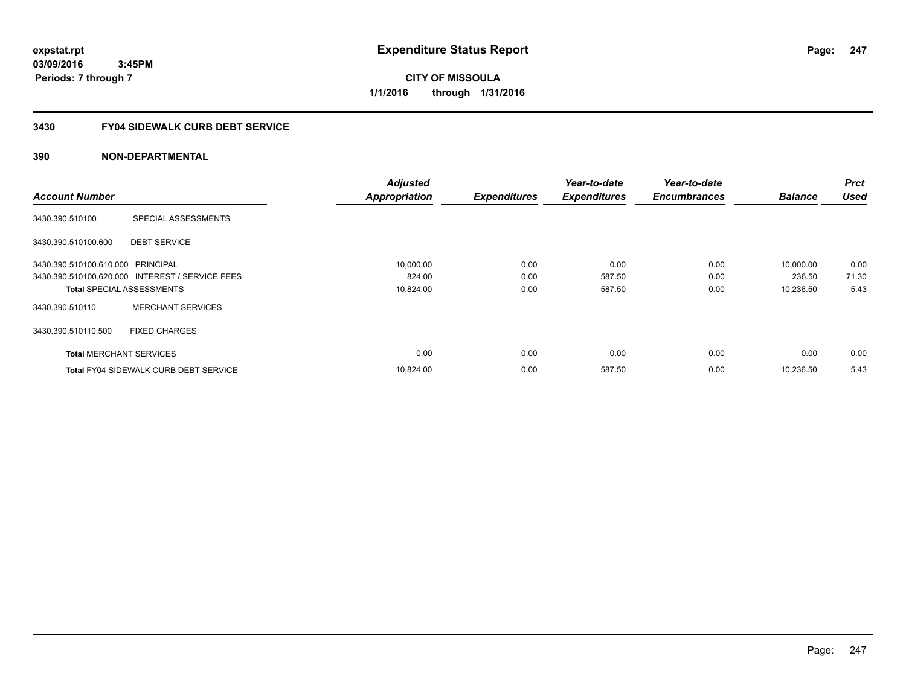**CITY OF MISSOULA 1/1/2016 through 1/31/2016**

# **3430 FY04 SIDEWALK CURB DEBT SERVICE**

|                                   |                                                 | <b>Adjusted</b>      |                     | Year-to-date        | Year-to-date        |                | <b>Prct</b> |
|-----------------------------------|-------------------------------------------------|----------------------|---------------------|---------------------|---------------------|----------------|-------------|
| <b>Account Number</b>             |                                                 | <b>Appropriation</b> | <b>Expenditures</b> | <b>Expenditures</b> | <b>Encumbrances</b> | <b>Balance</b> | <b>Used</b> |
| 3430.390.510100                   | SPECIAL ASSESSMENTS                             |                      |                     |                     |                     |                |             |
| 3430.390.510100.600               | <b>DEBT SERVICE</b>                             |                      |                     |                     |                     |                |             |
| 3430.390.510100.610.000 PRINCIPAL |                                                 | 10,000.00            | 0.00                | 0.00                | 0.00                | 10,000.00      | 0.00        |
|                                   | 3430.390.510100.620.000 INTEREST / SERVICE FEES | 824.00               | 0.00                | 587.50              | 0.00                | 236.50         | 71.30       |
| <b>Total SPECIAL ASSESSMENTS</b>  |                                                 | 10,824.00            | 0.00                | 587.50              | 0.00                | 10,236.50      | 5.43        |
| 3430.390.510110                   | <b>MERCHANT SERVICES</b>                        |                      |                     |                     |                     |                |             |
| 3430.390.510110.500               | <b>FIXED CHARGES</b>                            |                      |                     |                     |                     |                |             |
| <b>Total MERCHANT SERVICES</b>    |                                                 | 0.00                 | 0.00                | 0.00                | 0.00                | 0.00           | 0.00        |
|                                   | <b>Total FY04 SIDEWALK CURB DEBT SERVICE</b>    | 10,824.00            | 0.00                | 587.50              | 0.00                | 10,236.50      | 5.43        |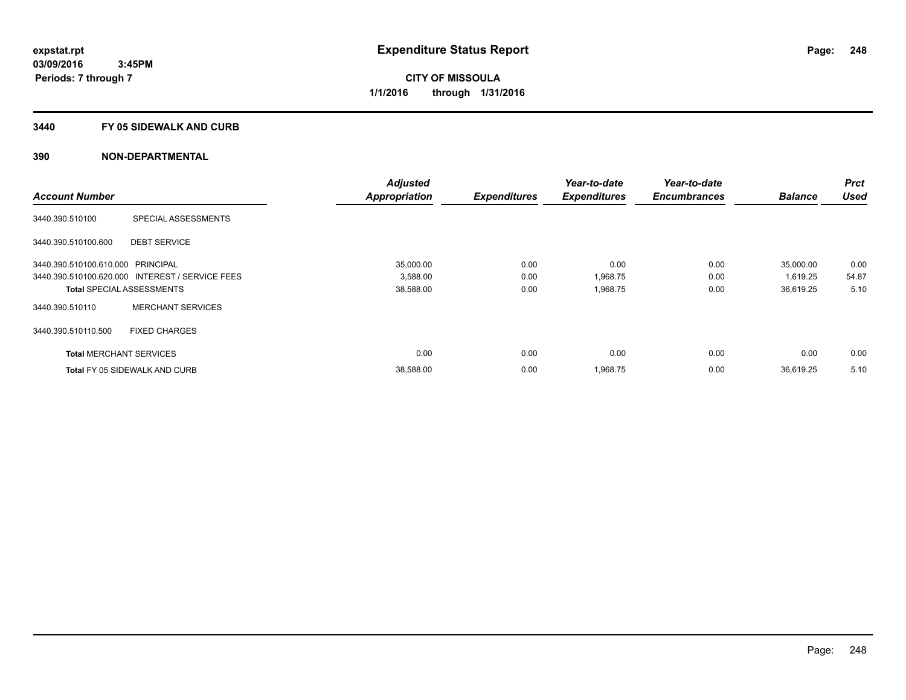#### **3440 FY 05 SIDEWALK AND CURB**

|                                   |                                                 | <b>Adjusted</b>      |                     | Year-to-date        | Year-to-date        |                | <b>Prct</b> |
|-----------------------------------|-------------------------------------------------|----------------------|---------------------|---------------------|---------------------|----------------|-------------|
| <b>Account Number</b>             |                                                 | <b>Appropriation</b> | <b>Expenditures</b> | <b>Expenditures</b> | <b>Encumbrances</b> | <b>Balance</b> | <b>Used</b> |
| 3440.390.510100                   | SPECIAL ASSESSMENTS                             |                      |                     |                     |                     |                |             |
| 3440.390.510100.600               | <b>DEBT SERVICE</b>                             |                      |                     |                     |                     |                |             |
| 3440.390.510100.610.000 PRINCIPAL |                                                 | 35,000.00            | 0.00                | 0.00                | 0.00                | 35,000.00      | 0.00        |
|                                   | 3440.390.510100.620.000 INTEREST / SERVICE FEES | 3,588.00             | 0.00                | 1,968.75            | 0.00                | 1,619.25       | 54.87       |
|                                   | <b>Total SPECIAL ASSESSMENTS</b>                | 38,588.00            | 0.00                | 1,968.75            | 0.00                | 36,619.25      | 5.10        |
| 3440.390.510110                   | <b>MERCHANT SERVICES</b>                        |                      |                     |                     |                     |                |             |
| 3440.390.510110.500               | <b>FIXED CHARGES</b>                            |                      |                     |                     |                     |                |             |
| <b>Total MERCHANT SERVICES</b>    |                                                 | 0.00                 | 0.00                | 0.00                | 0.00                | 0.00           | 0.00        |
|                                   | <b>Total FY 05 SIDEWALK AND CURB</b>            | 38,588.00            | 0.00                | 1,968.75            | 0.00                | 36.619.25      | 5.10        |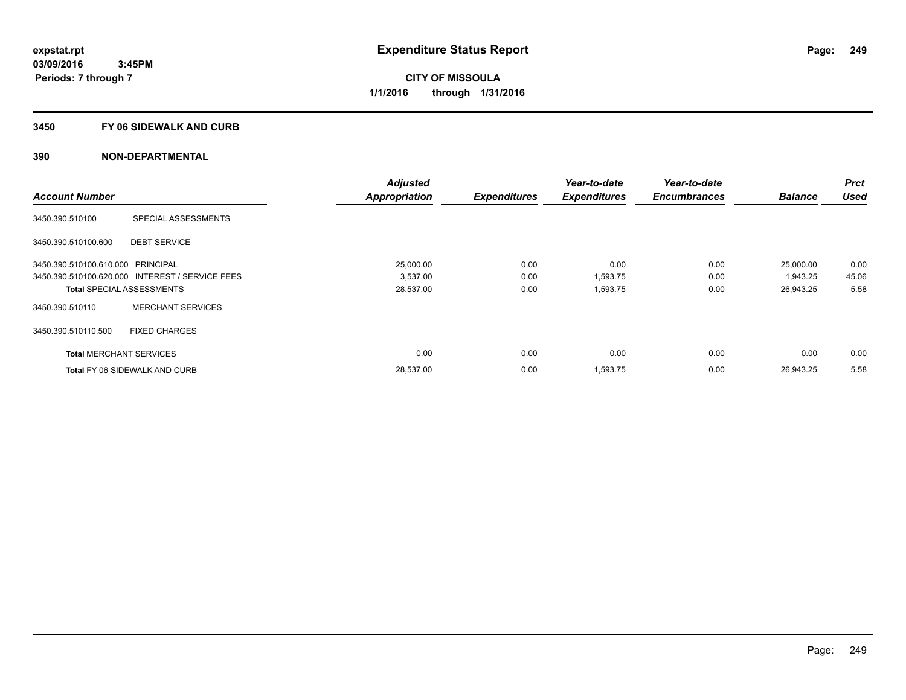### **3450 FY 06 SIDEWALK AND CURB**

|                                   |                                                 | <b>Adjusted</b>      |                     | Year-to-date        | Year-to-date        |                | Prct        |
|-----------------------------------|-------------------------------------------------|----------------------|---------------------|---------------------|---------------------|----------------|-------------|
| <b>Account Number</b>             |                                                 | <b>Appropriation</b> | <b>Expenditures</b> | <b>Expenditures</b> | <b>Encumbrances</b> | <b>Balance</b> | <b>Used</b> |
| 3450.390.510100                   | SPECIAL ASSESSMENTS                             |                      |                     |                     |                     |                |             |
| 3450.390.510100.600               | <b>DEBT SERVICE</b>                             |                      |                     |                     |                     |                |             |
| 3450.390.510100.610.000 PRINCIPAL |                                                 | 25.000.00            | 0.00                | 0.00                | 0.00                | 25,000.00      | 0.00        |
|                                   | 3450.390.510100.620.000 INTEREST / SERVICE FEES | 3,537.00             | 0.00                | 1,593.75            | 0.00                | 1,943.25       | 45.06       |
|                                   | <b>Total SPECIAL ASSESSMENTS</b>                | 28,537.00            | 0.00                | 1,593.75            | 0.00                | 26,943.25      | 5.58        |
| 3450.390.510110                   | <b>MERCHANT SERVICES</b>                        |                      |                     |                     |                     |                |             |
| 3450.390.510110.500               | <b>FIXED CHARGES</b>                            |                      |                     |                     |                     |                |             |
| <b>Total MERCHANT SERVICES</b>    |                                                 | 0.00                 | 0.00                | 0.00                | 0.00                | 0.00           | 0.00        |
|                                   | <b>Total FY 06 SIDEWALK AND CURB</b>            | 28,537.00            | 0.00                | 1,593.75            | 0.00                | 26.943.25      | 5.58        |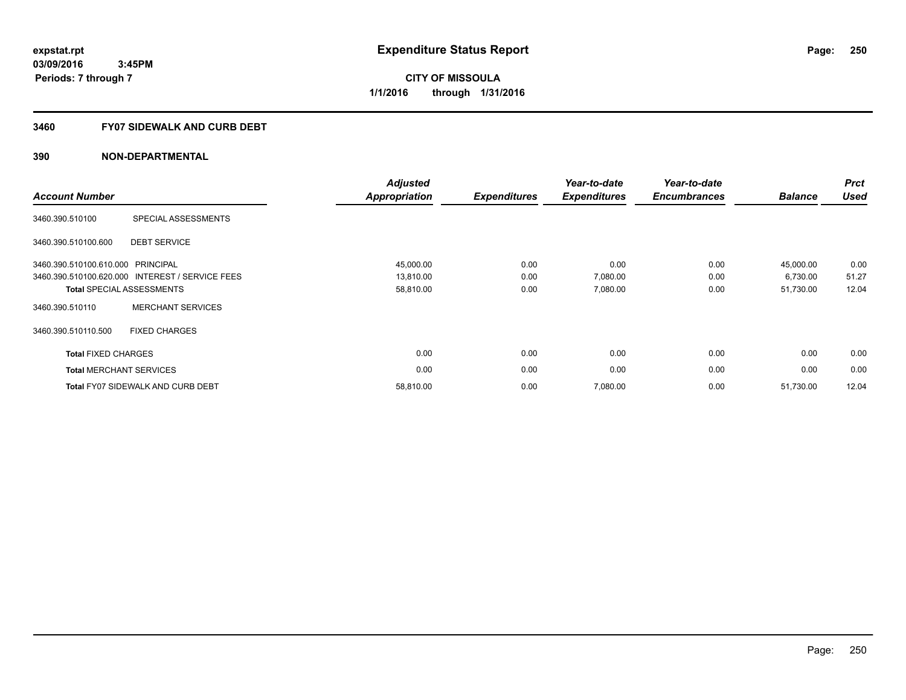### **3460 FY07 SIDEWALK AND CURB DEBT**

| <b>Account Number</b>             |                                                 | <b>Adjusted</b><br>Appropriation | <b>Expenditures</b> | Year-to-date<br><b>Expenditures</b> | Year-to-date<br><b>Encumbrances</b> | <b>Balance</b> | <b>Prct</b><br><b>Used</b> |
|-----------------------------------|-------------------------------------------------|----------------------------------|---------------------|-------------------------------------|-------------------------------------|----------------|----------------------------|
| 3460.390.510100                   | SPECIAL ASSESSMENTS                             |                                  |                     |                                     |                                     |                |                            |
| 3460.390.510100.600               | <b>DEBT SERVICE</b>                             |                                  |                     |                                     |                                     |                |                            |
| 3460.390.510100.610.000 PRINCIPAL |                                                 | 45,000.00                        | 0.00                | 0.00                                | 0.00                                | 45,000.00      | 0.00                       |
|                                   | 3460.390.510100.620.000 INTEREST / SERVICE FEES | 13,810.00                        | 0.00                | 7,080.00                            | 0.00                                | 6,730.00       | 51.27                      |
|                                   | <b>Total SPECIAL ASSESSMENTS</b>                | 58,810.00                        | 0.00                | 7,080.00                            | 0.00                                | 51,730.00      | 12.04                      |
| 3460.390.510110                   | <b>MERCHANT SERVICES</b>                        |                                  |                     |                                     |                                     |                |                            |
| 3460.390.510110.500               | <b>FIXED CHARGES</b>                            |                                  |                     |                                     |                                     |                |                            |
| <b>Total FIXED CHARGES</b>        |                                                 | 0.00                             | 0.00                | 0.00                                | 0.00                                | 0.00           | 0.00                       |
| <b>Total MERCHANT SERVICES</b>    |                                                 | 0.00                             | 0.00                | 0.00                                | 0.00                                | 0.00           | 0.00                       |
|                                   | <b>Total FY07 SIDEWALK AND CURB DEBT</b>        | 58,810.00                        | 0.00                | 7,080.00                            | 0.00                                | 51,730.00      | 12.04                      |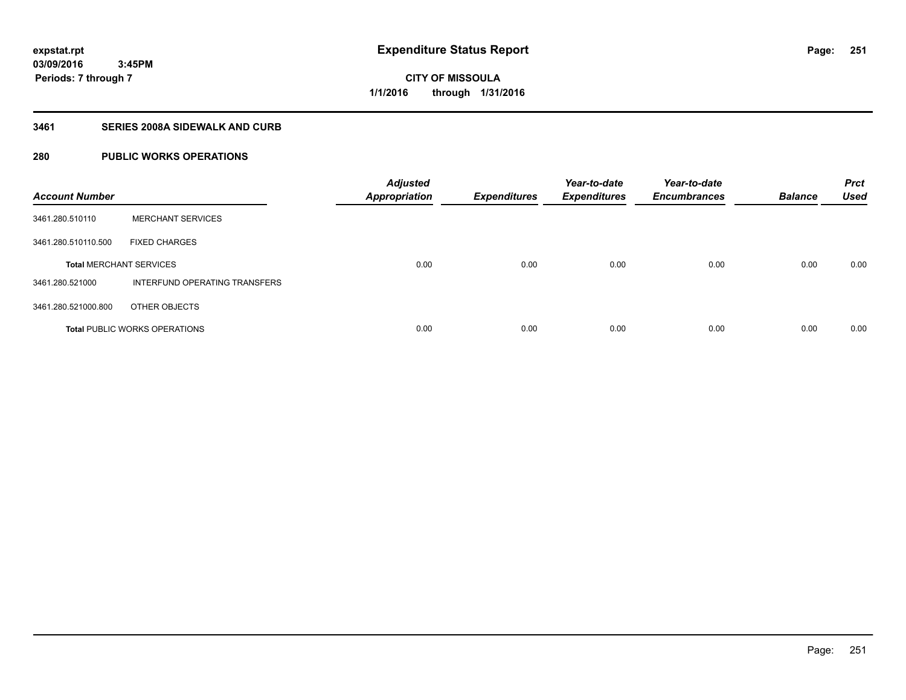**Periods: 7 through 7**

**CITY OF MISSOULA 1/1/2016 through 1/31/2016**

### **3461 SERIES 2008A SIDEWALK AND CURB**

# **280 PUBLIC WORKS OPERATIONS**

| <b>Account Number</b>          |                                      | <b>Adjusted</b><br><b>Appropriation</b> | <b>Expenditures</b> | Year-to-date<br><b>Expenditures</b> | Year-to-date<br><b>Encumbrances</b> | <b>Balance</b> | <b>Prct</b><br><b>Used</b> |
|--------------------------------|--------------------------------------|-----------------------------------------|---------------------|-------------------------------------|-------------------------------------|----------------|----------------------------|
| 3461.280.510110                | <b>MERCHANT SERVICES</b>             |                                         |                     |                                     |                                     |                |                            |
| 3461.280.510110.500            | <b>FIXED CHARGES</b>                 |                                         |                     |                                     |                                     |                |                            |
| <b>Total MERCHANT SERVICES</b> |                                      | 0.00                                    | 0.00                | 0.00                                | 0.00                                | 0.00           | 0.00                       |
| 3461.280.521000                | INTERFUND OPERATING TRANSFERS        |                                         |                     |                                     |                                     |                |                            |
| 3461.280.521000.800            | OTHER OBJECTS                        |                                         |                     |                                     |                                     |                |                            |
|                                | <b>Total PUBLIC WORKS OPERATIONS</b> | 0.00                                    | 0.00                | 0.00                                | 0.00                                | 0.00           | 0.00                       |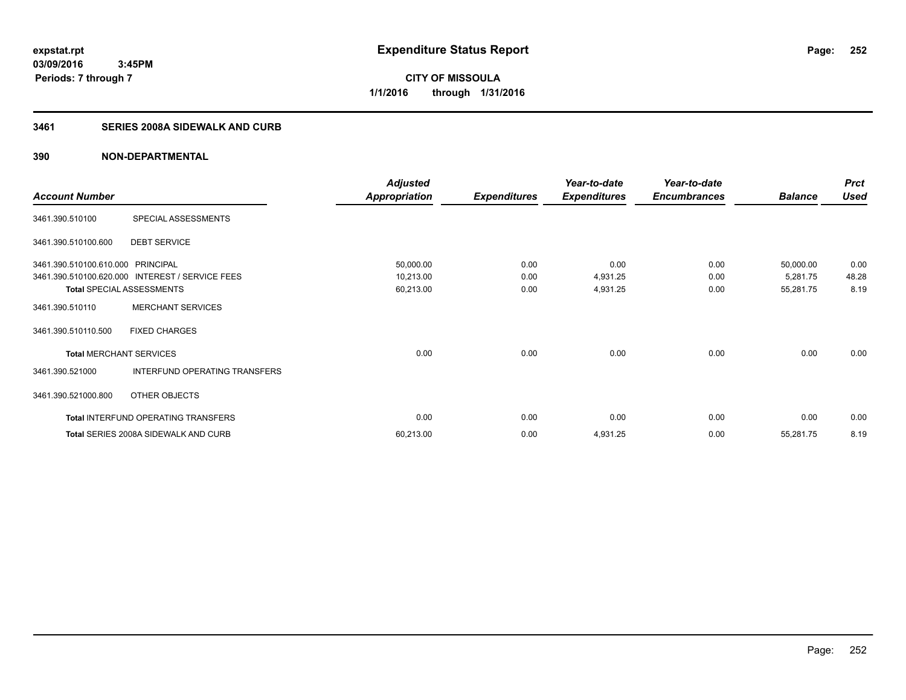**252**

**03/09/2016 3:45PM Periods: 7 through 7**

**CITY OF MISSOULA 1/1/2016 through 1/31/2016**

## **3461 SERIES 2008A SIDEWALK AND CURB**

|                                   |                                      | <b>Adjusted</b>      |                     | Year-to-date        | Year-to-date        |                | <b>Prct</b> |
|-----------------------------------|--------------------------------------|----------------------|---------------------|---------------------|---------------------|----------------|-------------|
| <b>Account Number</b>             |                                      | <b>Appropriation</b> | <b>Expenditures</b> | <b>Expenditures</b> | <b>Encumbrances</b> | <b>Balance</b> | <b>Used</b> |
| 3461.390.510100                   | SPECIAL ASSESSMENTS                  |                      |                     |                     |                     |                |             |
| 3461.390.510100.600               | <b>DEBT SERVICE</b>                  |                      |                     |                     |                     |                |             |
| 3461.390.510100.610.000 PRINCIPAL |                                      | 50,000.00            | 0.00                | 0.00                | 0.00                | 50,000.00      | 0.00        |
| 3461.390.510100.620.000           | <b>INTEREST / SERVICE FEES</b>       | 10,213.00            | 0.00                | 4,931.25            | 0.00                | 5,281.75       | 48.28       |
|                                   | <b>Total SPECIAL ASSESSMENTS</b>     | 60,213.00            | 0.00                | 4,931.25            | 0.00                | 55,281.75      | 8.19        |
| 3461.390.510110                   | <b>MERCHANT SERVICES</b>             |                      |                     |                     |                     |                |             |
| 3461.390.510110.500               | <b>FIXED CHARGES</b>                 |                      |                     |                     |                     |                |             |
| <b>Total MERCHANT SERVICES</b>    |                                      | 0.00                 | 0.00                | 0.00                | 0.00                | 0.00           | 0.00        |
| 3461.390.521000                   | INTERFUND OPERATING TRANSFERS        |                      |                     |                     |                     |                |             |
| 3461.390.521000.800               | OTHER OBJECTS                        |                      |                     |                     |                     |                |             |
|                                   | Total INTERFUND OPERATING TRANSFERS  | 0.00                 | 0.00                | 0.00                | 0.00                | 0.00           | 0.00        |
|                                   | Total SERIES 2008A SIDEWALK AND CURB | 60,213.00            | 0.00                | 4,931.25            | 0.00                | 55,281.75      | 8.19        |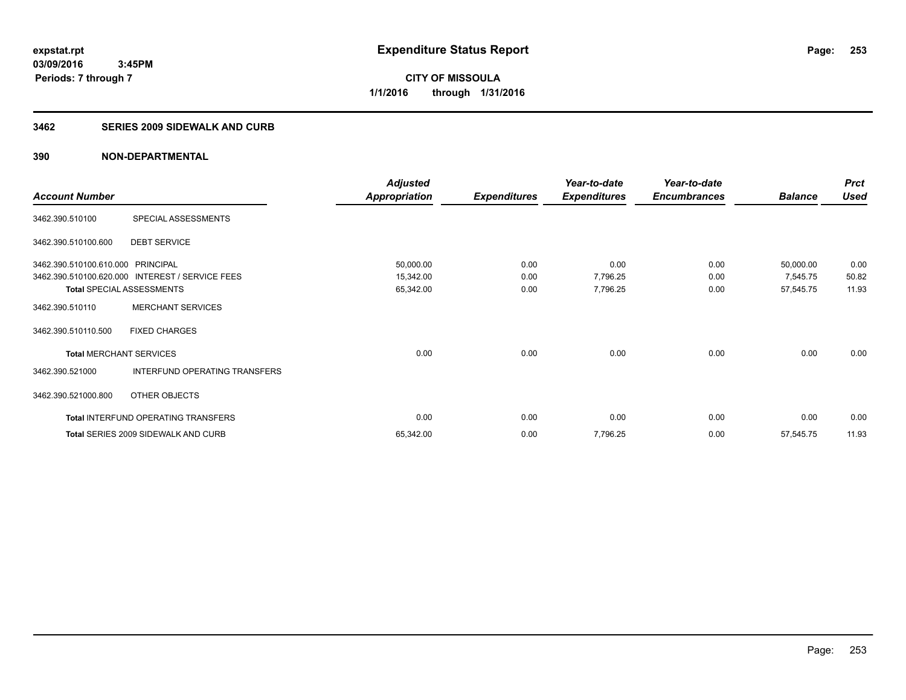**Periods: 7 through 7**

**CITY OF MISSOULA 1/1/2016 through 1/31/2016**

#### **3462 SERIES 2009 SIDEWALK AND CURB**

 **3:45PM**

|                                   |                                                 | <b>Adjusted</b>      |                     | Year-to-date        | Year-to-date        |                | <b>Prct</b> |
|-----------------------------------|-------------------------------------------------|----------------------|---------------------|---------------------|---------------------|----------------|-------------|
| <b>Account Number</b>             |                                                 | <b>Appropriation</b> | <b>Expenditures</b> | <b>Expenditures</b> | <b>Encumbrances</b> | <b>Balance</b> | <b>Used</b> |
| 3462.390.510100                   | SPECIAL ASSESSMENTS                             |                      |                     |                     |                     |                |             |
| 3462.390.510100.600               | <b>DEBT SERVICE</b>                             |                      |                     |                     |                     |                |             |
| 3462.390.510100.610.000 PRINCIPAL |                                                 | 50,000.00            | 0.00                | 0.00                | 0.00                | 50,000.00      | 0.00        |
|                                   | 3462.390.510100.620.000 INTEREST / SERVICE FEES | 15,342.00            | 0.00                | 7,796.25            | 0.00                | 7,545.75       | 50.82       |
|                                   | <b>Total SPECIAL ASSESSMENTS</b>                | 65,342.00            | 0.00                | 7,796.25            | 0.00                | 57,545.75      | 11.93       |
| 3462.390.510110                   | <b>MERCHANT SERVICES</b>                        |                      |                     |                     |                     |                |             |
| 3462.390.510110.500               | <b>FIXED CHARGES</b>                            |                      |                     |                     |                     |                |             |
| <b>Total MERCHANT SERVICES</b>    |                                                 | 0.00                 | 0.00                | 0.00                | 0.00                | 0.00           | 0.00        |
| 3462.390.521000                   | INTERFUND OPERATING TRANSFERS                   |                      |                     |                     |                     |                |             |
| 3462.390.521000.800               | OTHER OBJECTS                                   |                      |                     |                     |                     |                |             |
|                                   | Total INTERFUND OPERATING TRANSFERS             | 0.00                 | 0.00                | 0.00                | 0.00                | 0.00           | 0.00        |
|                                   | Total SERIES 2009 SIDEWALK AND CURB             | 65,342.00            | 0.00                | 7,796.25            | 0.00                | 57,545.75      | 11.93       |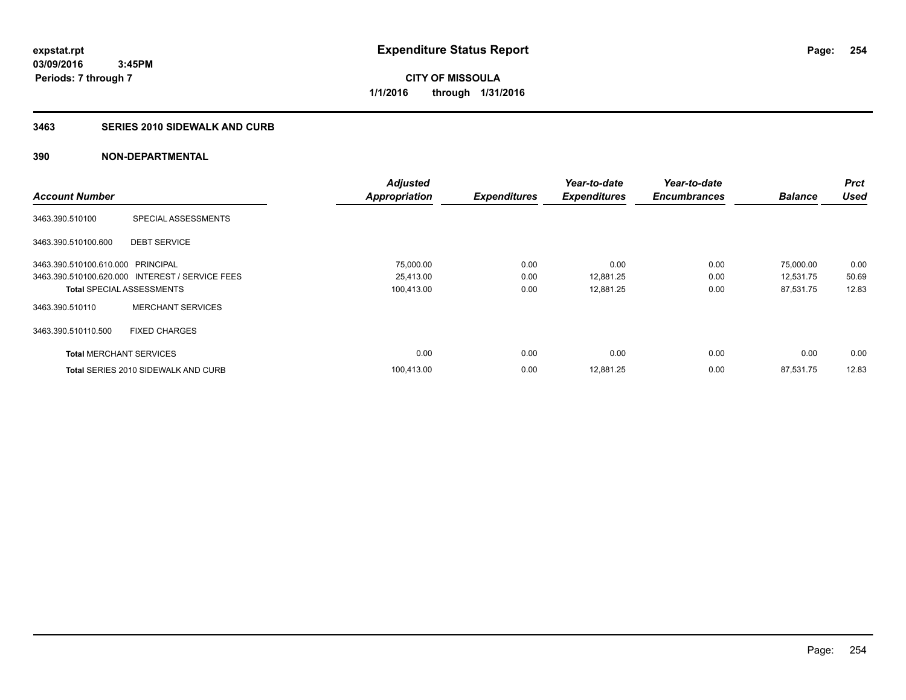**Periods: 7 through 7**

**CITY OF MISSOULA 1/1/2016 through 1/31/2016**

#### **3463 SERIES 2010 SIDEWALK AND CURB**

|                                   |                                                 | <b>Adjusted</b>      |                     | Year-to-date        | Year-to-date        |                | <b>Prct</b> |
|-----------------------------------|-------------------------------------------------|----------------------|---------------------|---------------------|---------------------|----------------|-------------|
| <b>Account Number</b>             |                                                 | <b>Appropriation</b> | <b>Expenditures</b> | <b>Expenditures</b> | <b>Encumbrances</b> | <b>Balance</b> | <b>Used</b> |
| 3463.390.510100                   | SPECIAL ASSESSMENTS                             |                      |                     |                     |                     |                |             |
| 3463.390.510100.600               | <b>DEBT SERVICE</b>                             |                      |                     |                     |                     |                |             |
| 3463.390.510100.610.000 PRINCIPAL |                                                 | 75,000.00            | 0.00                | 0.00                | 0.00                | 75,000.00      | 0.00        |
|                                   | 3463.390.510100.620.000 INTEREST / SERVICE FEES | 25,413.00            | 0.00                | 12,881.25           | 0.00                | 12,531.75      | 50.69       |
| <b>Total SPECIAL ASSESSMENTS</b>  |                                                 | 100,413.00           | 0.00                | 12,881.25           | 0.00                | 87,531.75      | 12.83       |
| 3463.390.510110                   | <b>MERCHANT SERVICES</b>                        |                      |                     |                     |                     |                |             |
| 3463.390.510110.500               | <b>FIXED CHARGES</b>                            |                      |                     |                     |                     |                |             |
| <b>Total MERCHANT SERVICES</b>    |                                                 | 0.00                 | 0.00                | 0.00                | 0.00                | 0.00           | 0.00        |
|                                   | <b>Total SERIES 2010 SIDEWALK AND CURB</b>      | 100,413.00           | 0.00                | 12,881.25           | 0.00                | 87,531.75      | 12.83       |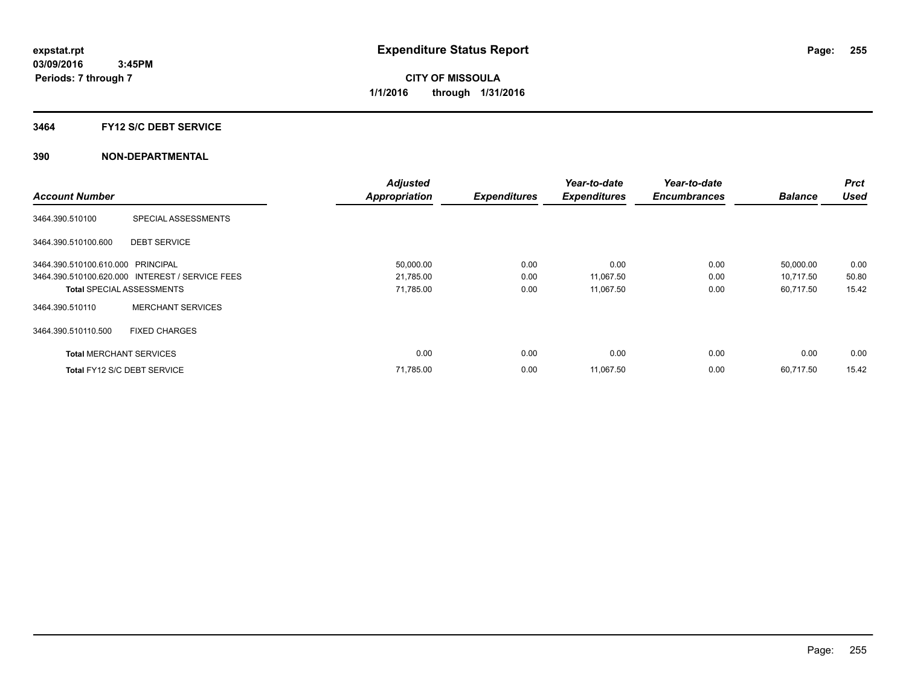# **3464 FY12 S/C DEBT SERVICE**

|                                   |                                                 | <b>Adjusted</b>      |                     | Year-to-date        | Year-to-date        |                | Prct        |
|-----------------------------------|-------------------------------------------------|----------------------|---------------------|---------------------|---------------------|----------------|-------------|
| <b>Account Number</b>             |                                                 | <b>Appropriation</b> | <b>Expenditures</b> | <b>Expenditures</b> | <b>Encumbrances</b> | <b>Balance</b> | <b>Used</b> |
| 3464.390.510100                   | SPECIAL ASSESSMENTS                             |                      |                     |                     |                     |                |             |
| 3464.390.510100.600               | <b>DEBT SERVICE</b>                             |                      |                     |                     |                     |                |             |
| 3464.390.510100.610.000 PRINCIPAL |                                                 | 50,000.00            | 0.00                | 0.00                | 0.00                | 50,000.00      | 0.00        |
|                                   | 3464.390.510100.620.000 INTEREST / SERVICE FEES | 21,785.00            | 0.00                | 11,067.50           | 0.00                | 10,717.50      | 50.80       |
| <b>Total SPECIAL ASSESSMENTS</b>  |                                                 | 71,785.00            | 0.00                | 11,067.50           | 0.00                | 60,717.50      | 15.42       |
| 3464.390.510110                   | <b>MERCHANT SERVICES</b>                        |                      |                     |                     |                     |                |             |
| 3464.390.510110.500               | <b>FIXED CHARGES</b>                            |                      |                     |                     |                     |                |             |
| <b>Total MERCHANT SERVICES</b>    |                                                 | 0.00                 | 0.00                | 0.00                | 0.00                | 0.00           | 0.00        |
| Total FY12 S/C DEBT SERVICE       |                                                 | 71,785.00            | 0.00                | 11,067.50           | 0.00                | 60.717.50      | 15.42       |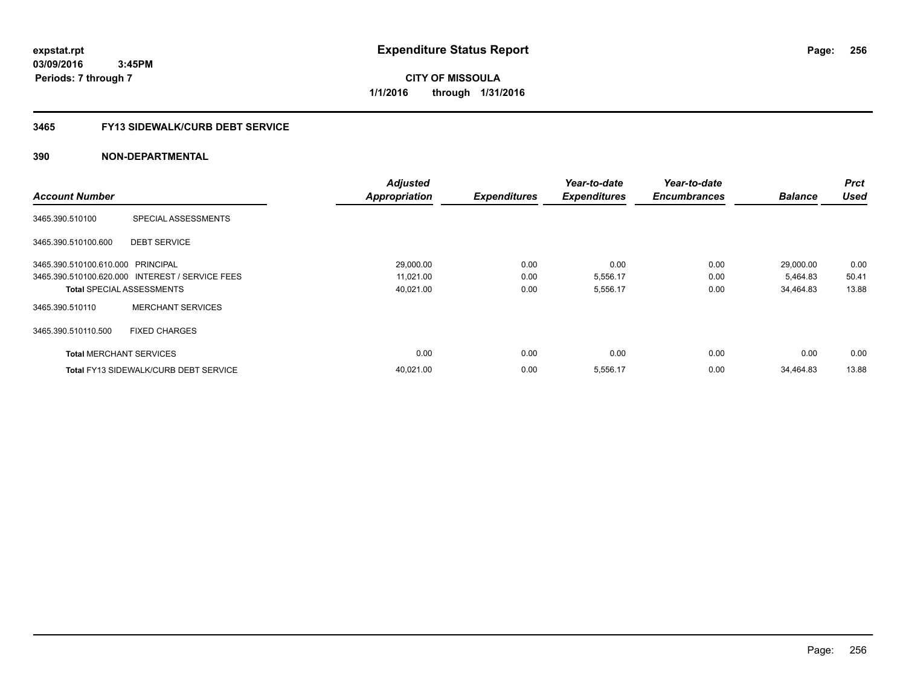**03/09/2016 3:45PM Periods: 7 through 7**

**CITY OF MISSOULA 1/1/2016 through 1/31/2016**

# **3465 FY13 SIDEWALK/CURB DEBT SERVICE**

|                                   |                                                 | <b>Adjusted</b>      |                     | Year-to-date        | Year-to-date        |                | <b>Prct</b> |
|-----------------------------------|-------------------------------------------------|----------------------|---------------------|---------------------|---------------------|----------------|-------------|
| <b>Account Number</b>             |                                                 | <b>Appropriation</b> | <b>Expenditures</b> | <b>Expenditures</b> | <b>Encumbrances</b> | <b>Balance</b> | <b>Used</b> |
| 3465.390.510100                   | SPECIAL ASSESSMENTS                             |                      |                     |                     |                     |                |             |
| 3465.390.510100.600               | <b>DEBT SERVICE</b>                             |                      |                     |                     |                     |                |             |
| 3465.390.510100.610.000 PRINCIPAL |                                                 | 29,000.00            | 0.00                | 0.00                | 0.00                | 29,000.00      | 0.00        |
|                                   | 3465.390.510100.620.000 INTEREST / SERVICE FEES | 11,021.00            | 0.00                | 5,556.17            | 0.00                | 5,464.83       | 50.41       |
| <b>Total SPECIAL ASSESSMENTS</b>  |                                                 | 40,021.00            | 0.00                | 5,556.17            | 0.00                | 34,464.83      | 13.88       |
| 3465.390.510110                   | <b>MERCHANT SERVICES</b>                        |                      |                     |                     |                     |                |             |
| 3465.390.510110.500               | <b>FIXED CHARGES</b>                            |                      |                     |                     |                     |                |             |
| <b>Total MERCHANT SERVICES</b>    |                                                 | 0.00                 | 0.00                | 0.00                | 0.00                | 0.00           | 0.00        |
|                                   | <b>Total FY13 SIDEWALK/CURB DEBT SERVICE</b>    | 40,021.00            | 0.00                | 5,556.17            | 0.00                | 34.464.83      | 13.88       |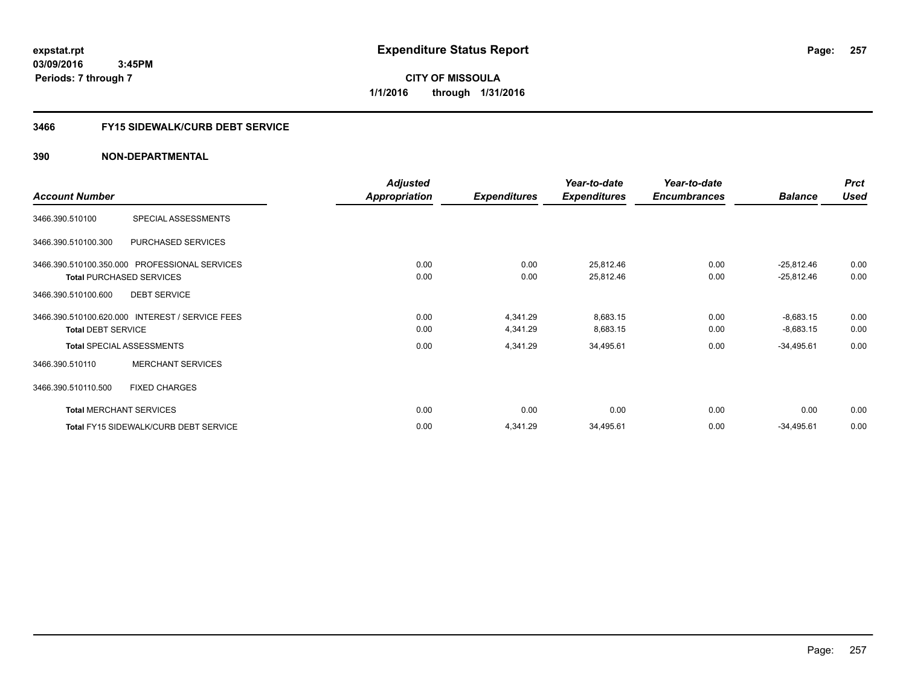**03/09/2016 3:45PM Periods: 7 through 7**

**CITY OF MISSOULA 1/1/2016 through 1/31/2016**

# **3466 FY15 SIDEWALK/CURB DEBT SERVICE**

|                           |                                                 | <b>Adjusted</b>      |                     | Year-to-date        | Year-to-date        |                | <b>Prct</b> |
|---------------------------|-------------------------------------------------|----------------------|---------------------|---------------------|---------------------|----------------|-------------|
| <b>Account Number</b>     |                                                 | <b>Appropriation</b> | <b>Expenditures</b> | <b>Expenditures</b> | <b>Encumbrances</b> | <b>Balance</b> | <b>Used</b> |
| 3466.390.510100           | SPECIAL ASSESSMENTS                             |                      |                     |                     |                     |                |             |
| 3466.390.510100.300       | PURCHASED SERVICES                              |                      |                     |                     |                     |                |             |
|                           | 3466.390.510100.350.000 PROFESSIONAL SERVICES   | 0.00                 | 0.00                | 25,812.46           | 0.00                | $-25,812.46$   | 0.00        |
|                           | <b>Total PURCHASED SERVICES</b>                 | 0.00                 | 0.00                | 25,812.46           | 0.00                | $-25,812.46$   | 0.00        |
| 3466.390.510100.600       | <b>DEBT SERVICE</b>                             |                      |                     |                     |                     |                |             |
|                           | 3466.390.510100.620.000 INTEREST / SERVICE FEES | 0.00                 | 4,341.29            | 8,683.15            | 0.00                | $-8,683.15$    | 0.00        |
| <b>Total DEBT SERVICE</b> |                                                 | 0.00                 | 4,341.29            | 8,683.15            | 0.00                | $-8,683.15$    | 0.00        |
|                           | <b>Total SPECIAL ASSESSMENTS</b>                | 0.00                 | 4,341.29            | 34,495.61           | 0.00                | $-34,495.61$   | 0.00        |
| 3466.390.510110           | <b>MERCHANT SERVICES</b>                        |                      |                     |                     |                     |                |             |
| 3466.390.510110.500       | <b>FIXED CHARGES</b>                            |                      |                     |                     |                     |                |             |
|                           | <b>Total MERCHANT SERVICES</b>                  | 0.00                 | 0.00                | 0.00                | 0.00                | 0.00           | 0.00        |
|                           | <b>Total FY15 SIDEWALK/CURB DEBT SERVICE</b>    | 0.00                 | 4,341.29            | 34,495.61           | 0.00                | $-34,495.61$   | 0.00        |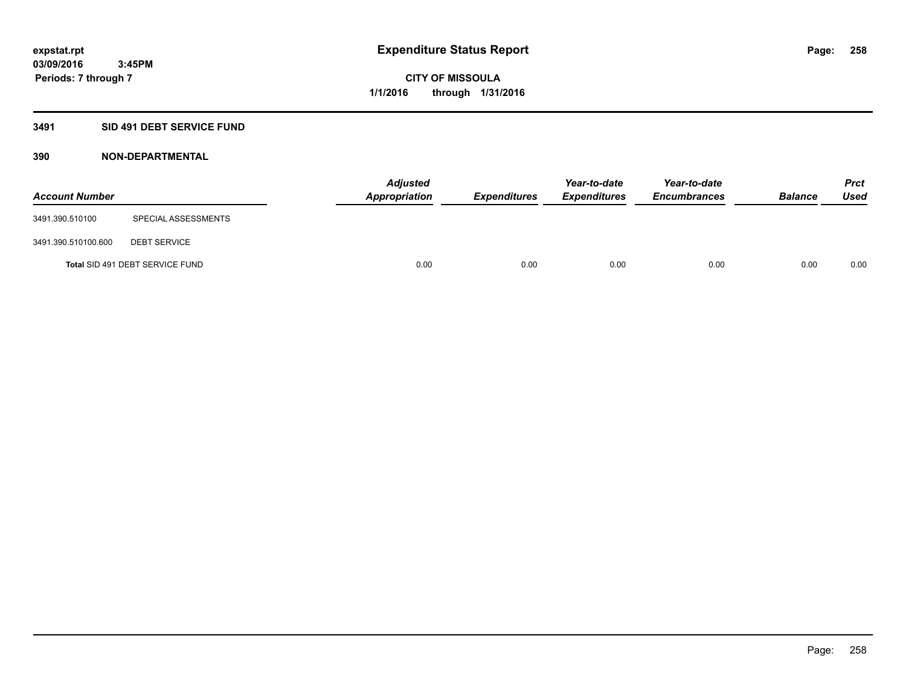# **3491 SID 491 DEBT SERVICE FUND**

| <b>Account Number</b> |                                 | <b>Adjusted</b><br><b>Appropriation</b> | <b>Expenditures</b> | Year-to-date<br><b>Expenditures</b> | Year-to-date<br><b>Encumbrances</b> | <b>Balance</b> | <b>Prct</b><br><b>Used</b> |
|-----------------------|---------------------------------|-----------------------------------------|---------------------|-------------------------------------|-------------------------------------|----------------|----------------------------|
| 3491.390.510100       | SPECIAL ASSESSMENTS             |                                         |                     |                                     |                                     |                |                            |
| 3491.390.510100.600   | <b>DEBT SERVICE</b>             |                                         |                     |                                     |                                     |                |                            |
|                       | Total SID 491 DEBT SERVICE FUND | 0.00                                    | 0.00                | 0.00                                | 0.00                                | 0.00           | 0.00                       |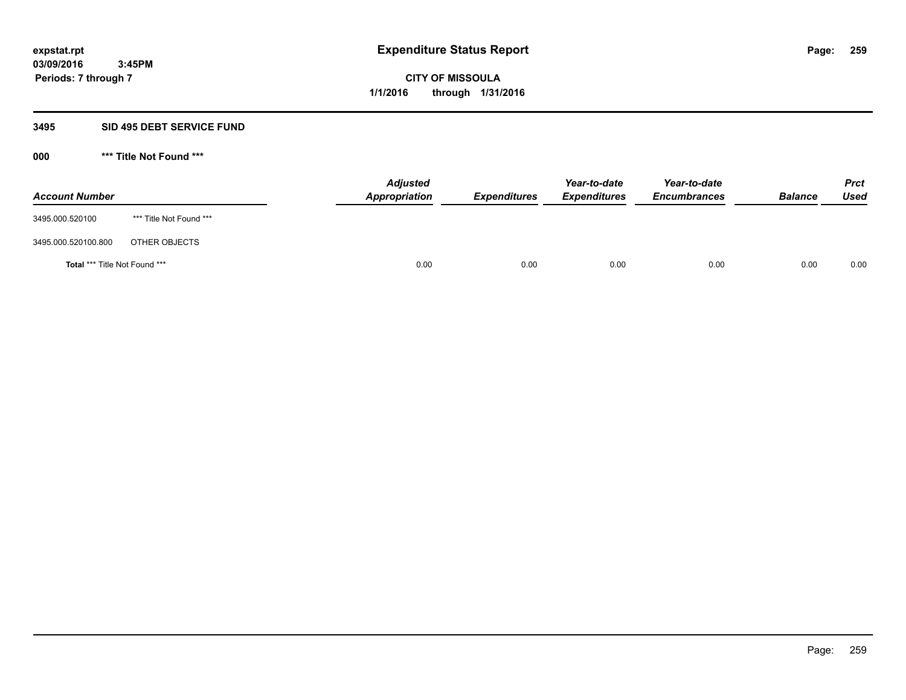#### **3495 SID 495 DEBT SERVICE FUND**

| <b>Account Number</b>                |                         | <b>Adjusted</b><br><b>Appropriation</b> | <b>Expenditures</b> | Year-to-date<br><b>Expenditures</b> | Year-to-date<br><b>Encumbrances</b> | <b>Balance</b> | <b>Prct</b><br>Used |
|--------------------------------------|-------------------------|-----------------------------------------|---------------------|-------------------------------------|-------------------------------------|----------------|---------------------|
| 3495.000.520100                      | *** Title Not Found *** |                                         |                     |                                     |                                     |                |                     |
| 3495.000.520100.800                  | OTHER OBJECTS           |                                         |                     |                                     |                                     |                |                     |
| <b>Total *** Title Not Found ***</b> |                         | 0.00                                    | 0.00                | 0.00                                | 0.00                                | 0.00           | 0.00                |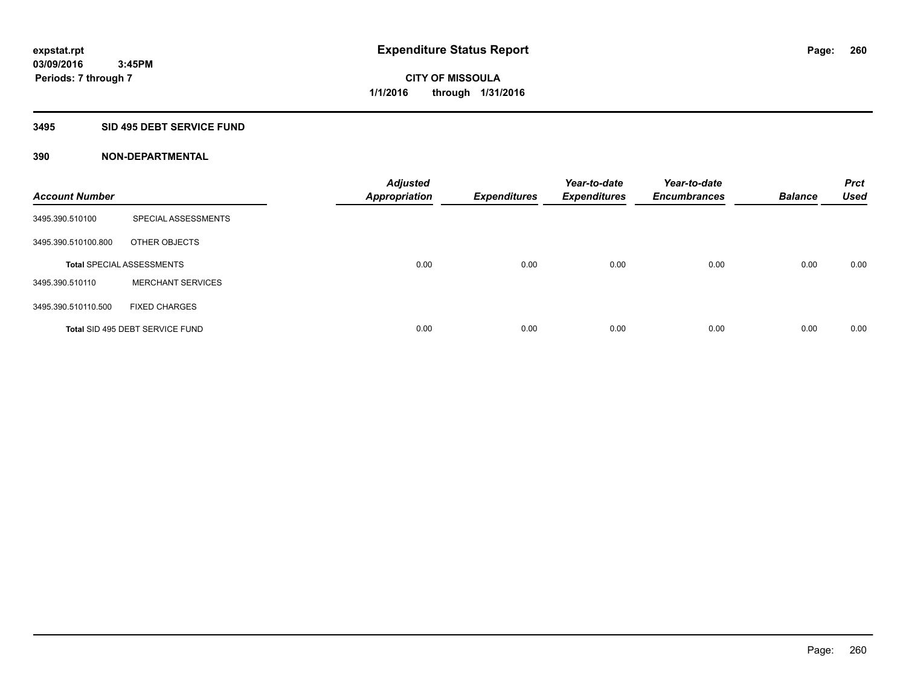#### **3495 SID 495 DEBT SERVICE FUND**

| <b>Account Number</b> |                                  | <b>Adjusted</b><br><b>Appropriation</b> | <b>Expenditures</b> | Year-to-date<br><b>Expenditures</b> | Year-to-date<br><b>Encumbrances</b> | <b>Balance</b> | <b>Prct</b><br><b>Used</b> |
|-----------------------|----------------------------------|-----------------------------------------|---------------------|-------------------------------------|-------------------------------------|----------------|----------------------------|
| 3495.390.510100       | SPECIAL ASSESSMENTS              |                                         |                     |                                     |                                     |                |                            |
| 3495.390.510100.800   | OTHER OBJECTS                    |                                         |                     |                                     |                                     |                |                            |
|                       | <b>Total SPECIAL ASSESSMENTS</b> | 0.00                                    | 0.00                | 0.00                                | 0.00                                | 0.00           | 0.00                       |
| 3495.390.510110       | <b>MERCHANT SERVICES</b>         |                                         |                     |                                     |                                     |                |                            |
| 3495.390.510110.500   | <b>FIXED CHARGES</b>             |                                         |                     |                                     |                                     |                |                            |
|                       | Total SID 495 DEBT SERVICE FUND  | 0.00                                    | 0.00                | 0.00                                | 0.00                                | 0.00           | 0.00                       |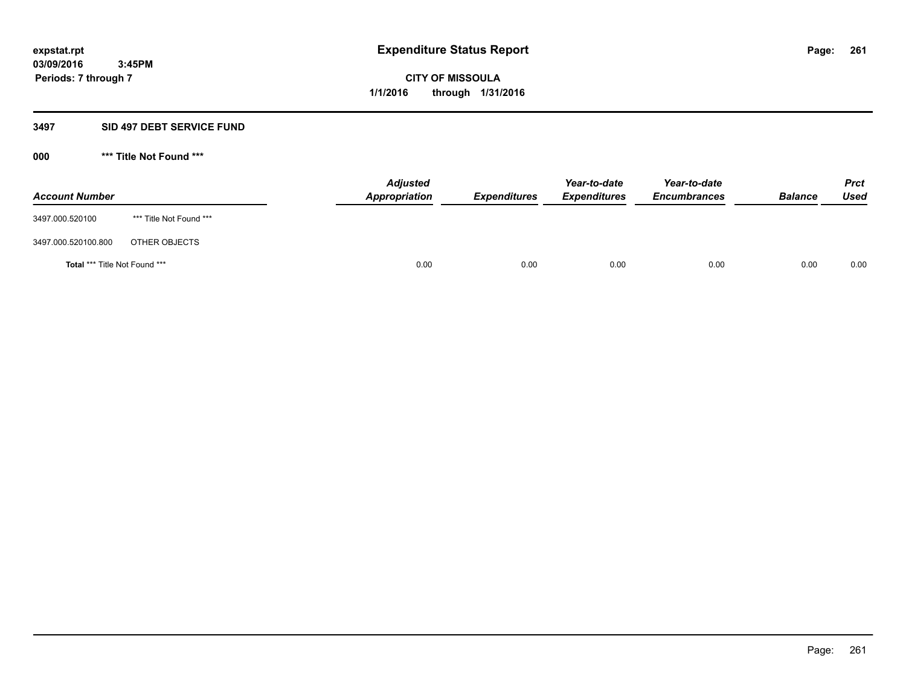#### **3497 SID 497 DEBT SERVICE FUND**

| <b>Account Number</b>         |                         | <b>Adjusted</b><br>Appropriation | <b>Expenditures</b> | Year-to-date<br><b>Expenditures</b> | Year-to-date<br><b>Encumbrances</b> | <b>Balance</b> | <b>Prct</b><br>Used |
|-------------------------------|-------------------------|----------------------------------|---------------------|-------------------------------------|-------------------------------------|----------------|---------------------|
| 3497.000.520100               | *** Title Not Found *** |                                  |                     |                                     |                                     |                |                     |
| 3497.000.520100.800           | OTHER OBJECTS           |                                  |                     |                                     |                                     |                |                     |
| Total *** Title Not Found *** |                         | 0.00                             | 0.00                | 0.00                                | 0.00                                | 0.00           | 0.00                |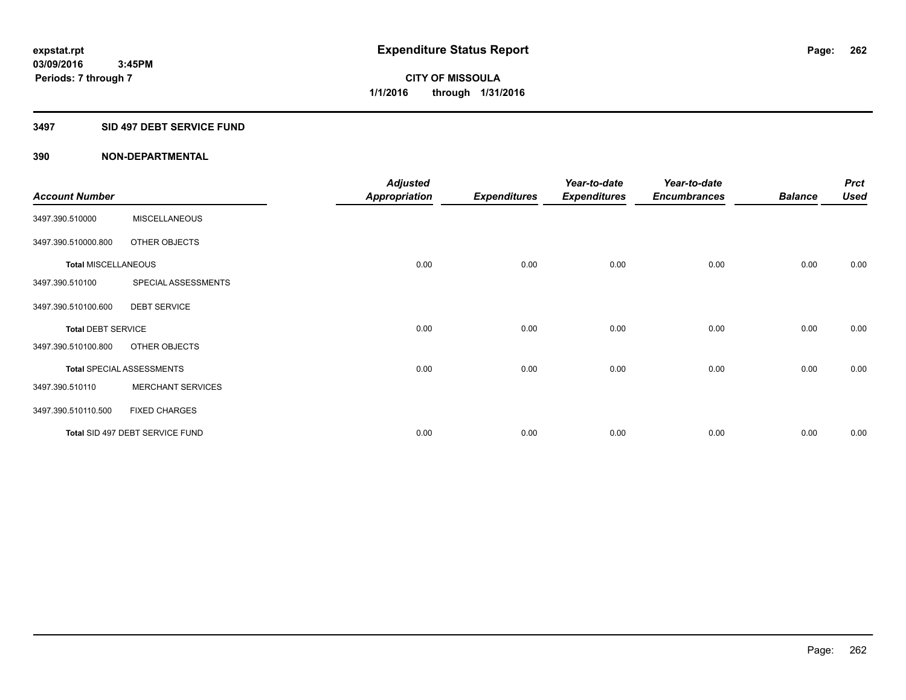#### **3497 SID 497 DEBT SERVICE FUND**

|                            |                                  | <b>Adjusted</b>      |                     | Year-to-date        | Year-to-date        |                | <b>Prct</b> |
|----------------------------|----------------------------------|----------------------|---------------------|---------------------|---------------------|----------------|-------------|
| <b>Account Number</b>      |                                  | <b>Appropriation</b> | <b>Expenditures</b> | <b>Expenditures</b> | <b>Encumbrances</b> | <b>Balance</b> | <b>Used</b> |
| 3497.390.510000            | <b>MISCELLANEOUS</b>             |                      |                     |                     |                     |                |             |
| 3497.390.510000.800        | OTHER OBJECTS                    |                      |                     |                     |                     |                |             |
| <b>Total MISCELLANEOUS</b> |                                  | 0.00                 | 0.00                | 0.00                | 0.00                | 0.00           | 0.00        |
| 3497.390.510100            | SPECIAL ASSESSMENTS              |                      |                     |                     |                     |                |             |
| 3497.390.510100.600        | <b>DEBT SERVICE</b>              |                      |                     |                     |                     |                |             |
| <b>Total DEBT SERVICE</b>  |                                  | 0.00                 | 0.00                | 0.00                | 0.00                | 0.00           | 0.00        |
| 3497.390.510100.800        | OTHER OBJECTS                    |                      |                     |                     |                     |                |             |
|                            | <b>Total SPECIAL ASSESSMENTS</b> | 0.00                 | 0.00                | 0.00                | 0.00                | 0.00           | 0.00        |
| 3497.390.510110            | <b>MERCHANT SERVICES</b>         |                      |                     |                     |                     |                |             |
| 3497.390.510110.500        | <b>FIXED CHARGES</b>             |                      |                     |                     |                     |                |             |
|                            | Total SID 497 DEBT SERVICE FUND  | 0.00                 | 0.00                | 0.00                | 0.00                | 0.00           | 0.00        |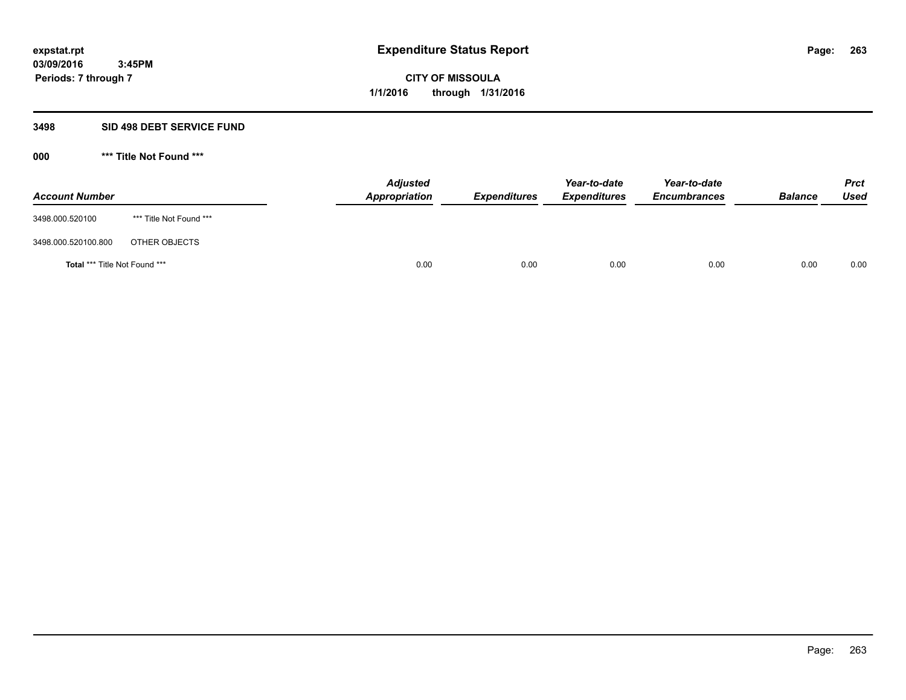#### **3498 SID 498 DEBT SERVICE FUND**

| <b>Account Number</b>                |                         | <b>Adjusted</b><br><b>Appropriation</b> | <b>Expenditures</b> | Year-to-date<br><b>Expenditures</b> | Year-to-date<br><b>Encumbrances</b> | <b>Balance</b> | <b>Prct</b><br><b>Used</b> |
|--------------------------------------|-------------------------|-----------------------------------------|---------------------|-------------------------------------|-------------------------------------|----------------|----------------------------|
| 3498.000.520100                      | *** Title Not Found *** |                                         |                     |                                     |                                     |                |                            |
| 3498.000.520100.800                  | OTHER OBJECTS           |                                         |                     |                                     |                                     |                |                            |
| <b>Total *** Title Not Found ***</b> |                         | 0.00                                    | 0.00                | 0.00                                | 0.00                                | 0.00           | 0.00                       |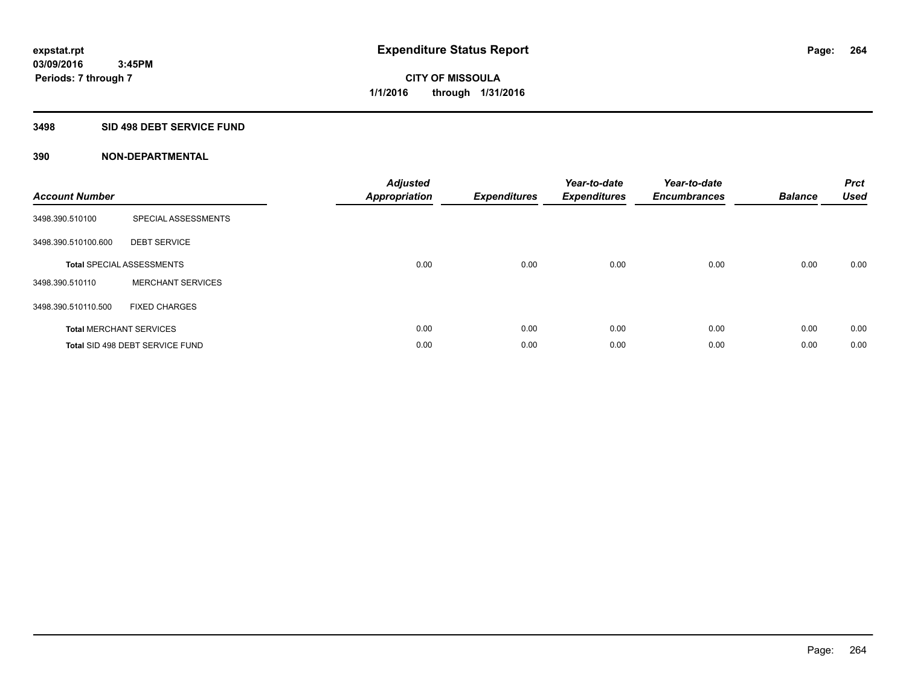#### **3498 SID 498 DEBT SERVICE FUND**

| <b>Account Number</b> |                                  | <b>Adjusted</b><br><b>Appropriation</b> | <b>Expenditures</b> | Year-to-date<br><b>Expenditures</b> | Year-to-date<br><b>Encumbrances</b> | <b>Balance</b> | <b>Prct</b><br><b>Used</b> |
|-----------------------|----------------------------------|-----------------------------------------|---------------------|-------------------------------------|-------------------------------------|----------------|----------------------------|
| 3498.390.510100       | SPECIAL ASSESSMENTS              |                                         |                     |                                     |                                     |                |                            |
| 3498.390.510100.600   | <b>DEBT SERVICE</b>              |                                         |                     |                                     |                                     |                |                            |
|                       | <b>Total SPECIAL ASSESSMENTS</b> | 0.00                                    | 0.00                | 0.00                                | 0.00                                | 0.00           | 0.00                       |
| 3498.390.510110       | <b>MERCHANT SERVICES</b>         |                                         |                     |                                     |                                     |                |                            |
| 3498.390.510110.500   | <b>FIXED CHARGES</b>             |                                         |                     |                                     |                                     |                |                            |
|                       | <b>Total MERCHANT SERVICES</b>   | 0.00                                    | 0.00                | 0.00                                | 0.00                                | 0.00           | 0.00                       |
|                       | Total SID 498 DEBT SERVICE FUND  | 0.00                                    | 0.00                | 0.00                                | 0.00                                | 0.00           | 0.00                       |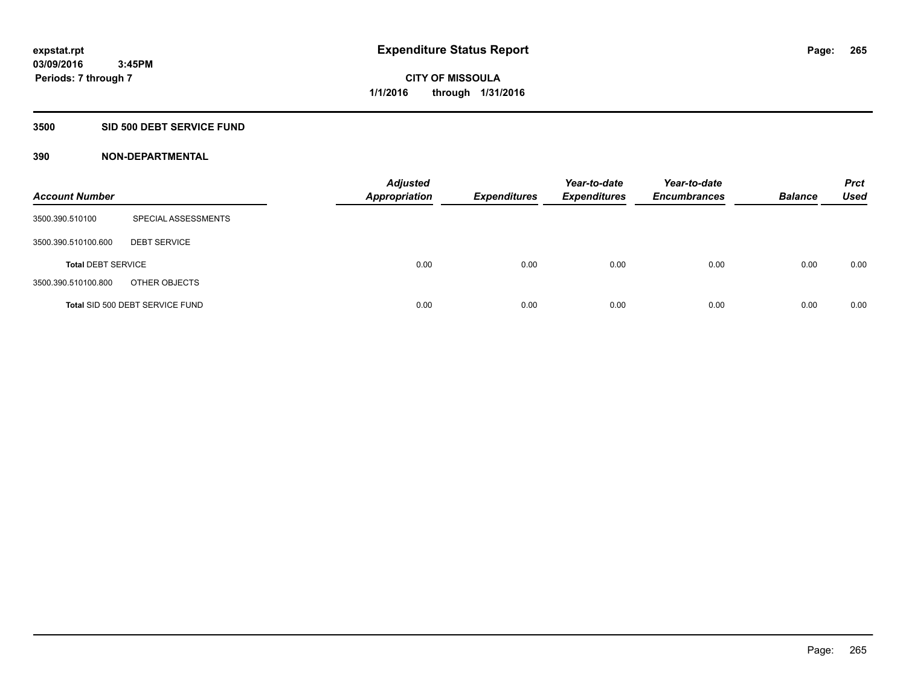# **3500 SID 500 DEBT SERVICE FUND**

| <b>Account Number</b>     |                                 | <b>Adjusted</b><br>Appropriation | <b>Expenditures</b> | Year-to-date<br><b>Expenditures</b> | Year-to-date<br><b>Encumbrances</b> | <b>Balance</b> | <b>Prct</b><br>Used |
|---------------------------|---------------------------------|----------------------------------|---------------------|-------------------------------------|-------------------------------------|----------------|---------------------|
| 3500.390.510100           | SPECIAL ASSESSMENTS             |                                  |                     |                                     |                                     |                |                     |
| 3500.390.510100.600       | <b>DEBT SERVICE</b>             |                                  |                     |                                     |                                     |                |                     |
| <b>Total DEBT SERVICE</b> |                                 | 0.00                             | 0.00                | 0.00                                | 0.00                                | 0.00           | 0.00                |
| 3500.390.510100.800       | OTHER OBJECTS                   |                                  |                     |                                     |                                     |                |                     |
|                           | Total SID 500 DEBT SERVICE FUND | 0.00                             | 0.00                | 0.00                                | 0.00                                | 0.00           | 0.00                |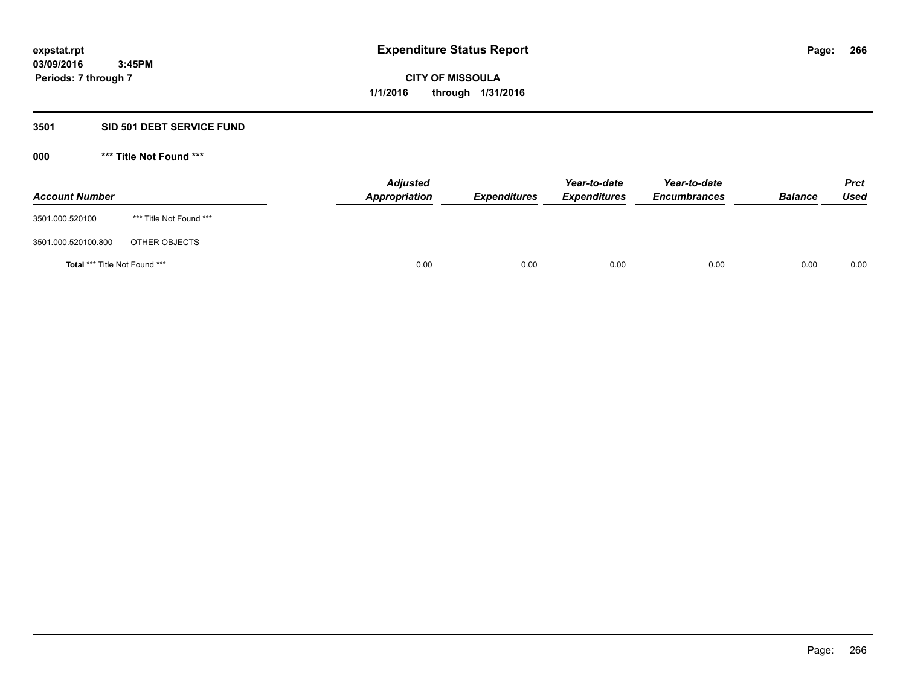#### **3501 SID 501 DEBT SERVICE FUND**

| <b>Account Number</b>         |                         | <b>Adjusted</b><br>Appropriation | <b>Expenditures</b> | Year-to-date<br><b>Expenditures</b> | Year-to-date<br><b>Encumbrances</b> | <b>Balance</b> | <b>Prct</b><br><b>Used</b> |
|-------------------------------|-------------------------|----------------------------------|---------------------|-------------------------------------|-------------------------------------|----------------|----------------------------|
| 3501.000.520100               | *** Title Not Found *** |                                  |                     |                                     |                                     |                |                            |
| 3501.000.520100.800           | OTHER OBJECTS           |                                  |                     |                                     |                                     |                |                            |
| Total *** Title Not Found *** |                         | 0.00                             | 0.00                | 0.00                                | 0.00                                | 0.00           | 0.00                       |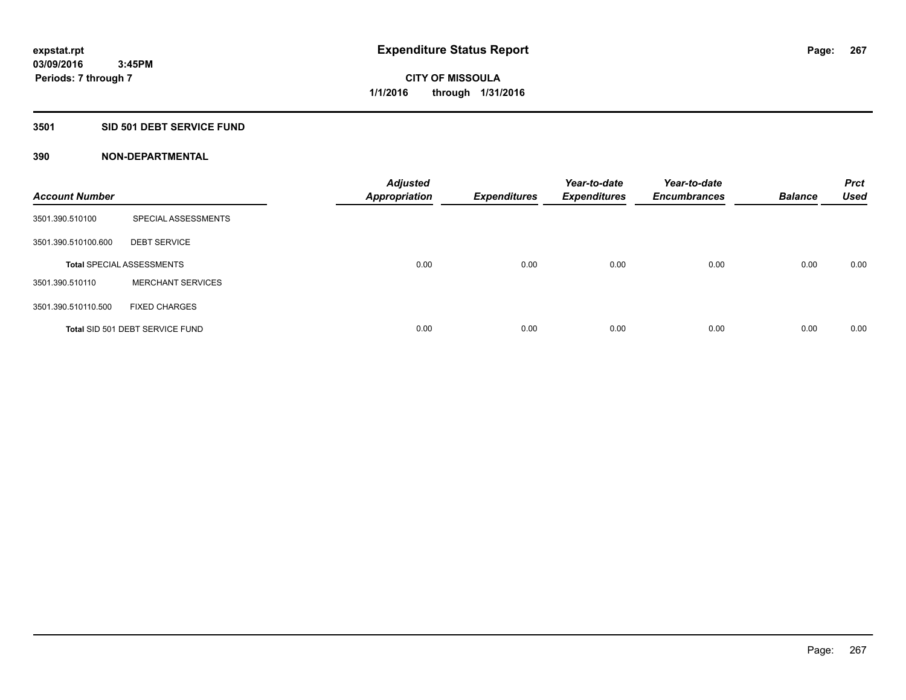# **3501 SID 501 DEBT SERVICE FUND**

| <b>Account Number</b> |                                  | <b>Adjusted</b><br><b>Appropriation</b> | <b>Expenditures</b> | Year-to-date<br><b>Expenditures</b> | Year-to-date<br><b>Encumbrances</b> | <b>Balance</b> | <b>Prct</b><br><b>Used</b> |
|-----------------------|----------------------------------|-----------------------------------------|---------------------|-------------------------------------|-------------------------------------|----------------|----------------------------|
| 3501.390.510100       | SPECIAL ASSESSMENTS              |                                         |                     |                                     |                                     |                |                            |
| 3501.390.510100.600   | <b>DEBT SERVICE</b>              |                                         |                     |                                     |                                     |                |                            |
|                       | <b>Total SPECIAL ASSESSMENTS</b> | 0.00                                    | 0.00                | 0.00                                | 0.00                                | 0.00           | 0.00                       |
| 3501.390.510110       | <b>MERCHANT SERVICES</b>         |                                         |                     |                                     |                                     |                |                            |
| 3501.390.510110.500   | <b>FIXED CHARGES</b>             |                                         |                     |                                     |                                     |                |                            |
|                       | Total SID 501 DEBT SERVICE FUND  | 0.00                                    | 0.00                | 0.00                                | 0.00                                | 0.00           | 0.00                       |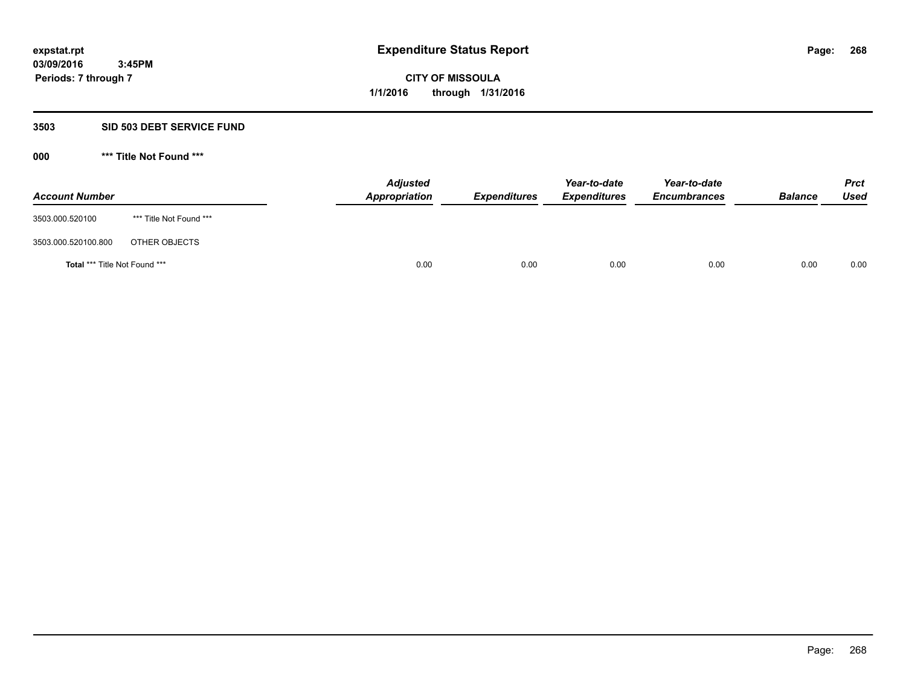#### **3503 SID 503 DEBT SERVICE FUND**

| <b>Account Number</b>         |                         | <b>Adjusted</b><br>Appropriation | <b>Expenditures</b> | Year-to-date<br><b>Expenditures</b> | Year-to-date<br><b>Encumbrances</b> | <b>Balance</b> | <b>Prct</b><br><b>Used</b> |
|-------------------------------|-------------------------|----------------------------------|---------------------|-------------------------------------|-------------------------------------|----------------|----------------------------|
| 3503.000.520100               | *** Title Not Found *** |                                  |                     |                                     |                                     |                |                            |
| 3503.000.520100.800           | OTHER OBJECTS           |                                  |                     |                                     |                                     |                |                            |
| Total *** Title Not Found *** |                         | 0.00                             | 0.00                | 0.00                                | 0.00                                | 0.00           | 0.00                       |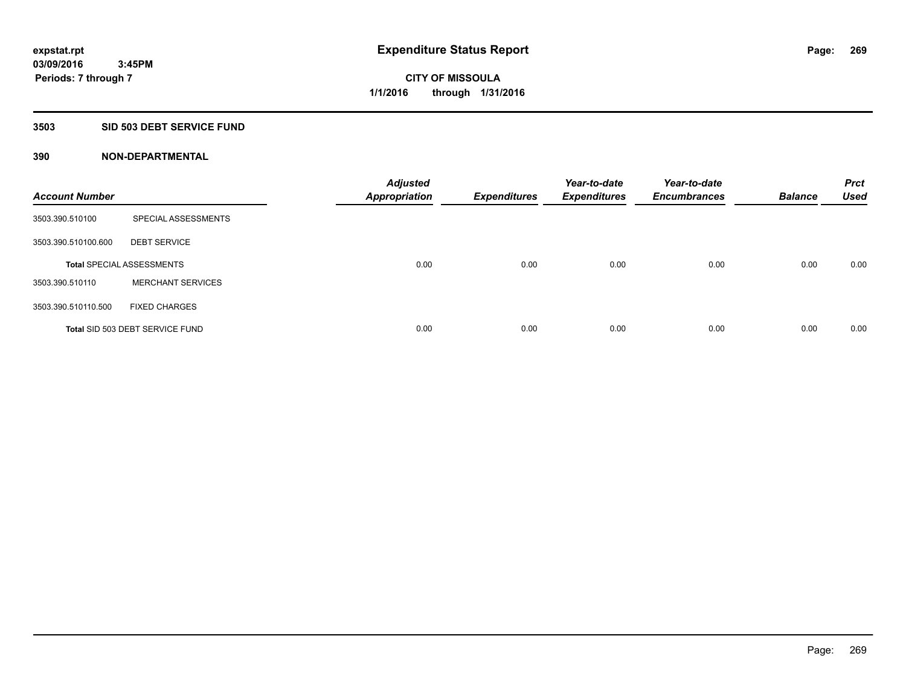#### **3503 SID 503 DEBT SERVICE FUND**

| <b>Account Number</b> |                                  | <b>Adjusted</b><br><b>Appropriation</b> | <b>Expenditures</b> | Year-to-date<br><b>Expenditures</b> | Year-to-date<br><b>Encumbrances</b> | <b>Balance</b> | <b>Prct</b><br><b>Used</b> |
|-----------------------|----------------------------------|-----------------------------------------|---------------------|-------------------------------------|-------------------------------------|----------------|----------------------------|
| 3503.390.510100       | SPECIAL ASSESSMENTS              |                                         |                     |                                     |                                     |                |                            |
| 3503.390.510100.600   | <b>DEBT SERVICE</b>              |                                         |                     |                                     |                                     |                |                            |
|                       | <b>Total SPECIAL ASSESSMENTS</b> | 0.00                                    | 0.00                | 0.00                                | 0.00                                | 0.00           | 0.00                       |
| 3503.390.510110       | <b>MERCHANT SERVICES</b>         |                                         |                     |                                     |                                     |                |                            |
| 3503.390.510110.500   | <b>FIXED CHARGES</b>             |                                         |                     |                                     |                                     |                |                            |
|                       | Total SID 503 DEBT SERVICE FUND  | 0.00                                    | 0.00                | 0.00                                | 0.00                                | 0.00           | 0.00                       |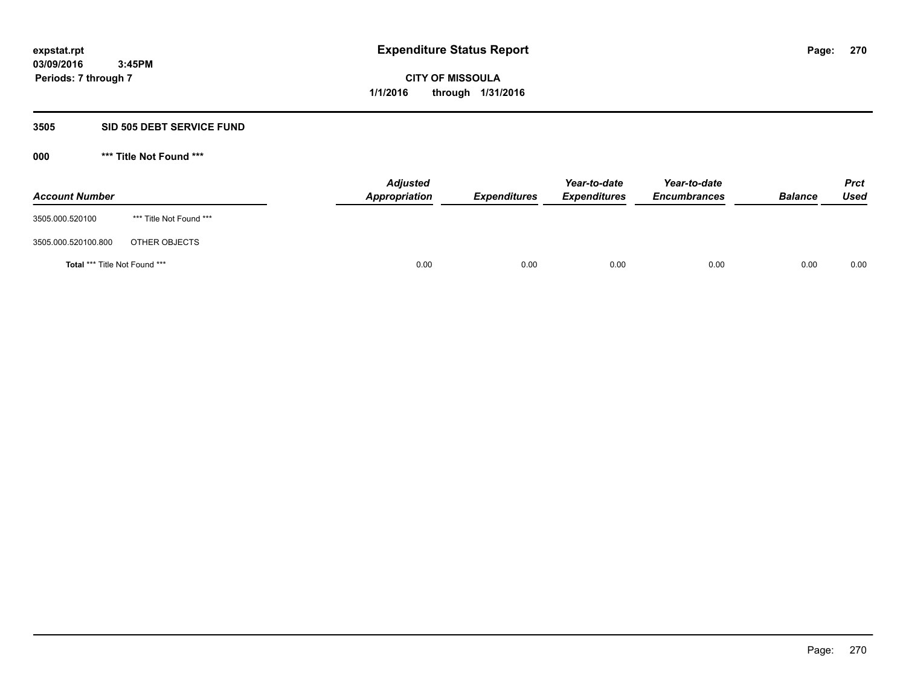#### **3505 SID 505 DEBT SERVICE FUND**

| <b>Account Number</b>         |                         | <b>Adjusted</b><br>Appropriation | <b>Expenditures</b> | Year-to-date<br><b>Expenditures</b> | Year-to-date<br><b>Encumbrances</b> | <b>Balance</b> | <b>Prct</b><br><b>Used</b> |
|-------------------------------|-------------------------|----------------------------------|---------------------|-------------------------------------|-------------------------------------|----------------|----------------------------|
| 3505.000.520100               | *** Title Not Found *** |                                  |                     |                                     |                                     |                |                            |
| 3505.000.520100.800           | OTHER OBJECTS           |                                  |                     |                                     |                                     |                |                            |
| Total *** Title Not Found *** |                         | 0.00                             | 0.00                | 0.00                                | 0.00                                | 0.00           | 0.00                       |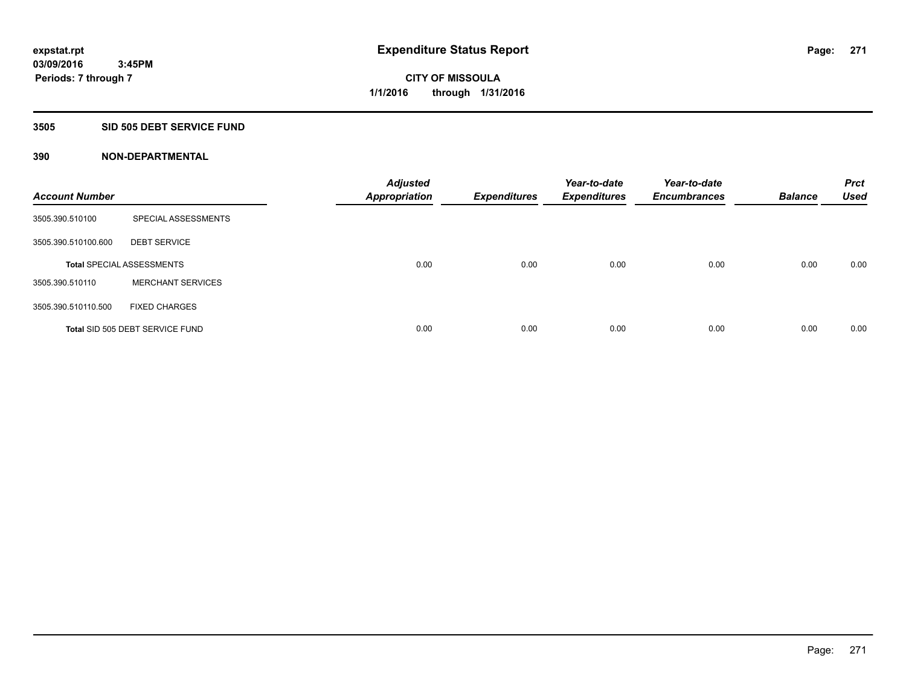#### **3505 SID 505 DEBT SERVICE FUND**

| <b>Account Number</b> |                                  | <b>Adjusted</b><br><b>Appropriation</b> | <b>Expenditures</b> | Year-to-date<br><b>Expenditures</b> | Year-to-date<br><b>Encumbrances</b> | <b>Balance</b> | <b>Prct</b><br><b>Used</b> |
|-----------------------|----------------------------------|-----------------------------------------|---------------------|-------------------------------------|-------------------------------------|----------------|----------------------------|
| 3505.390.510100       | SPECIAL ASSESSMENTS              |                                         |                     |                                     |                                     |                |                            |
| 3505.390.510100.600   | <b>DEBT SERVICE</b>              |                                         |                     |                                     |                                     |                |                            |
|                       | <b>Total SPECIAL ASSESSMENTS</b> | 0.00                                    | 0.00                | 0.00                                | 0.00                                | 0.00           | 0.00                       |
| 3505.390.510110       | <b>MERCHANT SERVICES</b>         |                                         |                     |                                     |                                     |                |                            |
| 3505.390.510110.500   | <b>FIXED CHARGES</b>             |                                         |                     |                                     |                                     |                |                            |
|                       | Total SID 505 DEBT SERVICE FUND  | 0.00                                    | 0.00                | 0.00                                | 0.00                                | 0.00           | 0.00                       |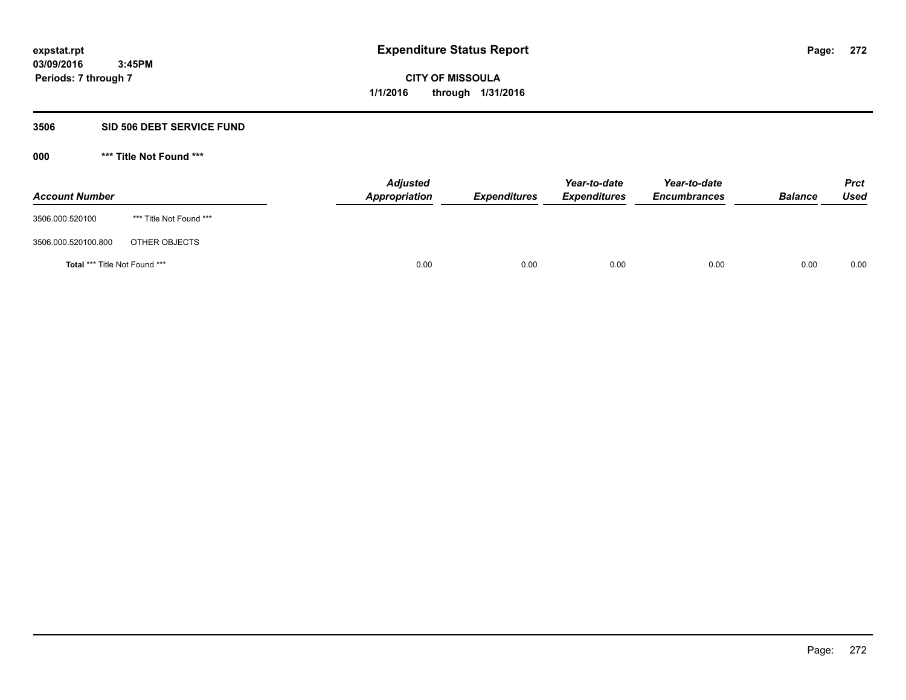#### **3506 SID 506 DEBT SERVICE FUND**

| <b>Account Number</b>                |                         | <b>Adjusted</b><br>Appropriation | <b>Expenditures</b> | Year-to-date<br><b>Expenditures</b> | Year-to-date<br><b>Encumbrances</b> | <b>Balance</b> | <b>Prct</b><br><b>Used</b> |
|--------------------------------------|-------------------------|----------------------------------|---------------------|-------------------------------------|-------------------------------------|----------------|----------------------------|
| 3506.000.520100                      | *** Title Not Found *** |                                  |                     |                                     |                                     |                |                            |
| 3506.000.520100.800                  | OTHER OBJECTS           |                                  |                     |                                     |                                     |                |                            |
| <b>Total *** Title Not Found ***</b> |                         | 0.00                             | 0.00                | 0.00                                | 0.00                                | 0.00           | 0.00                       |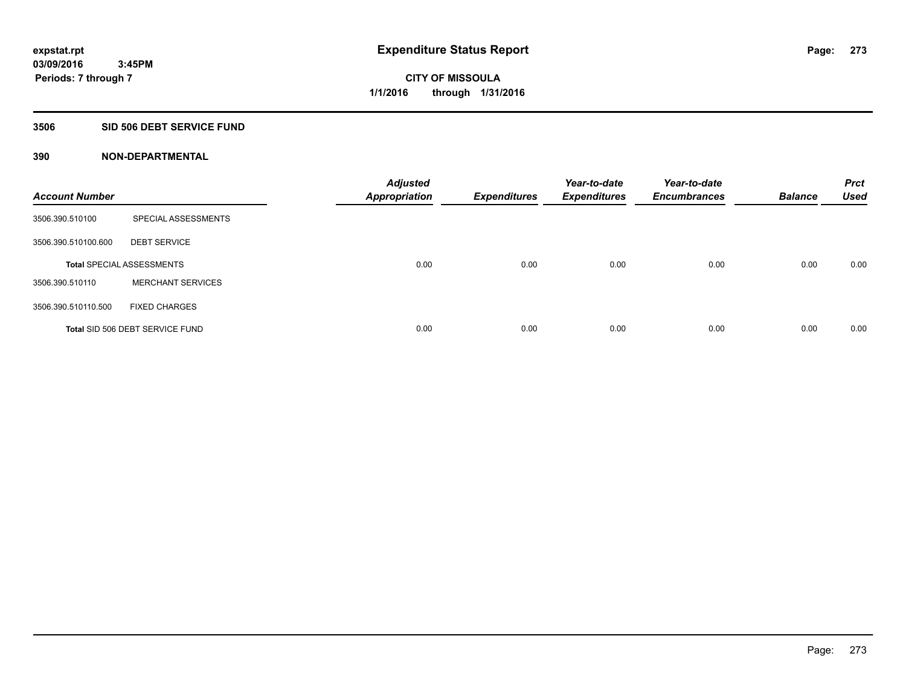#### **3506 SID 506 DEBT SERVICE FUND**

| <b>Account Number</b> |                                  | <b>Adjusted</b><br><b>Appropriation</b> | <b>Expenditures</b> | Year-to-date<br><b>Expenditures</b> | Year-to-date<br><b>Encumbrances</b> | <b>Balance</b> | <b>Prct</b><br><b>Used</b> |
|-----------------------|----------------------------------|-----------------------------------------|---------------------|-------------------------------------|-------------------------------------|----------------|----------------------------|
| 3506.390.510100       | SPECIAL ASSESSMENTS              |                                         |                     |                                     |                                     |                |                            |
| 3506.390.510100.600   | <b>DEBT SERVICE</b>              |                                         |                     |                                     |                                     |                |                            |
|                       | <b>Total SPECIAL ASSESSMENTS</b> | 0.00                                    | 0.00                | 0.00                                | 0.00                                | 0.00           | 0.00                       |
| 3506.390.510110       | <b>MERCHANT SERVICES</b>         |                                         |                     |                                     |                                     |                |                            |
| 3506.390.510110.500   | <b>FIXED CHARGES</b>             |                                         |                     |                                     |                                     |                |                            |
|                       | Total SID 506 DEBT SERVICE FUND  | 0.00                                    | 0.00                | 0.00                                | 0.00                                | 0.00           | 0.00                       |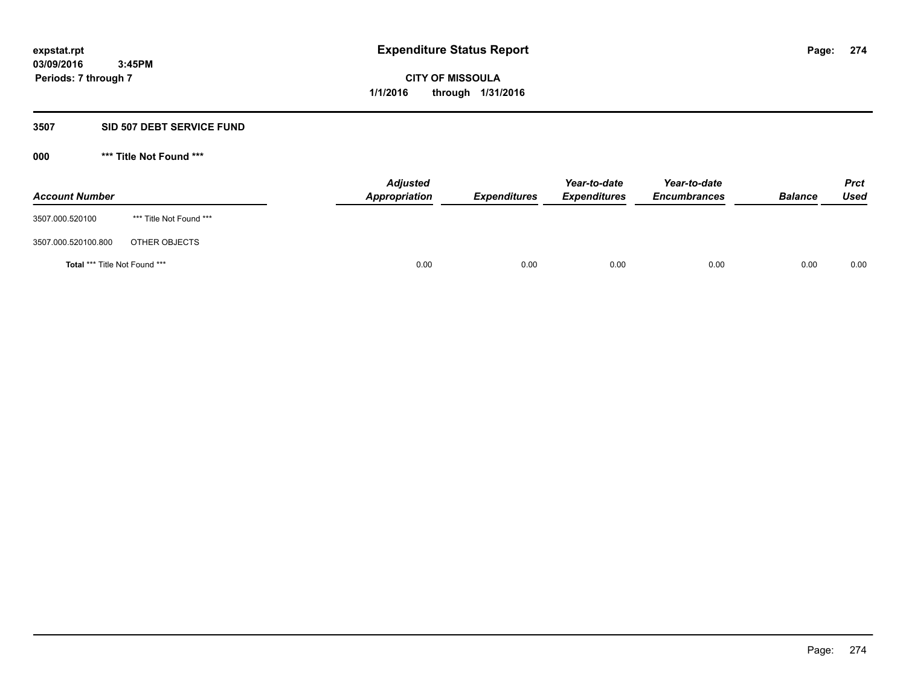# **3507 SID 507 DEBT SERVICE FUND**

| <b>Account Number</b>                |                         | <b>Adjusted</b><br><b>Appropriation</b> | <b>Expenditures</b> | Year-to-date<br><b>Expenditures</b> | Year-to-date<br><b>Encumbrances</b> | <b>Balance</b> | <b>Prct</b><br><b>Used</b> |
|--------------------------------------|-------------------------|-----------------------------------------|---------------------|-------------------------------------|-------------------------------------|----------------|----------------------------|
| 3507.000.520100                      | *** Title Not Found *** |                                         |                     |                                     |                                     |                |                            |
| 3507.000.520100.800                  | OTHER OBJECTS           |                                         |                     |                                     |                                     |                |                            |
| <b>Total *** Title Not Found ***</b> |                         | 0.00                                    | 0.00                | 0.00                                | 0.00                                | 0.00           | 0.00                       |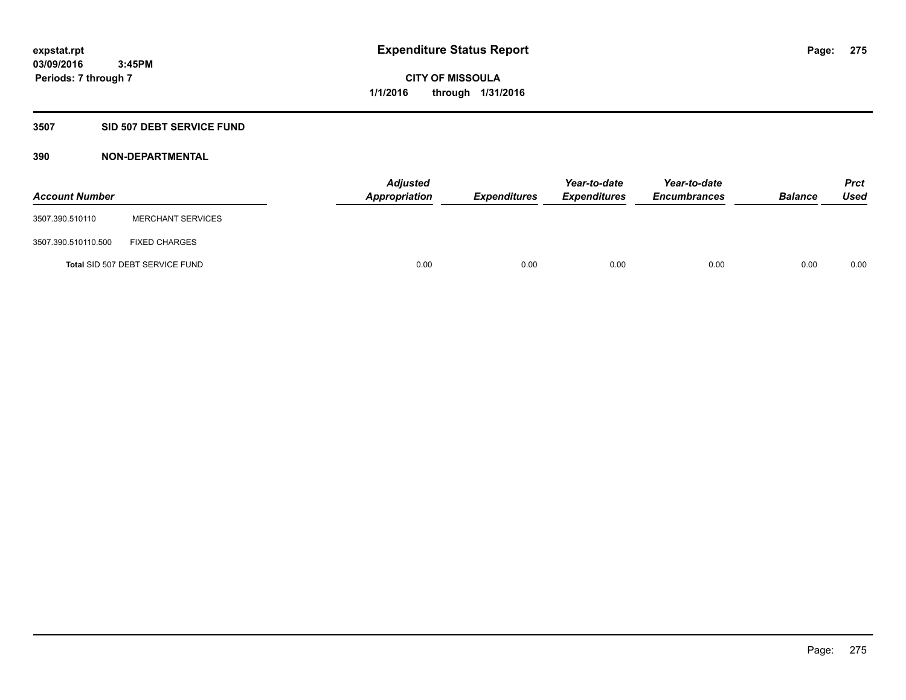# **3507 SID 507 DEBT SERVICE FUND**

| <b>Account Number</b> |                                 | <b>Adjusted</b><br>Appropriation | <b>Expenditures</b> | Year-to-date<br><b>Expenditures</b> | Year-to-date<br><b>Encumbrances</b> | <b>Balance</b> | <b>Prct</b><br><b>Used</b> |
|-----------------------|---------------------------------|----------------------------------|---------------------|-------------------------------------|-------------------------------------|----------------|----------------------------|
| 3507.390.510110       | <b>MERCHANT SERVICES</b>        |                                  |                     |                                     |                                     |                |                            |
| 3507.390.510110.500   | <b>FIXED CHARGES</b>            |                                  |                     |                                     |                                     |                |                            |
|                       | Total SID 507 DEBT SERVICE FUND | 0.00                             | 0.00                | 0.00                                | 0.00                                | 0.00           | 0.00                       |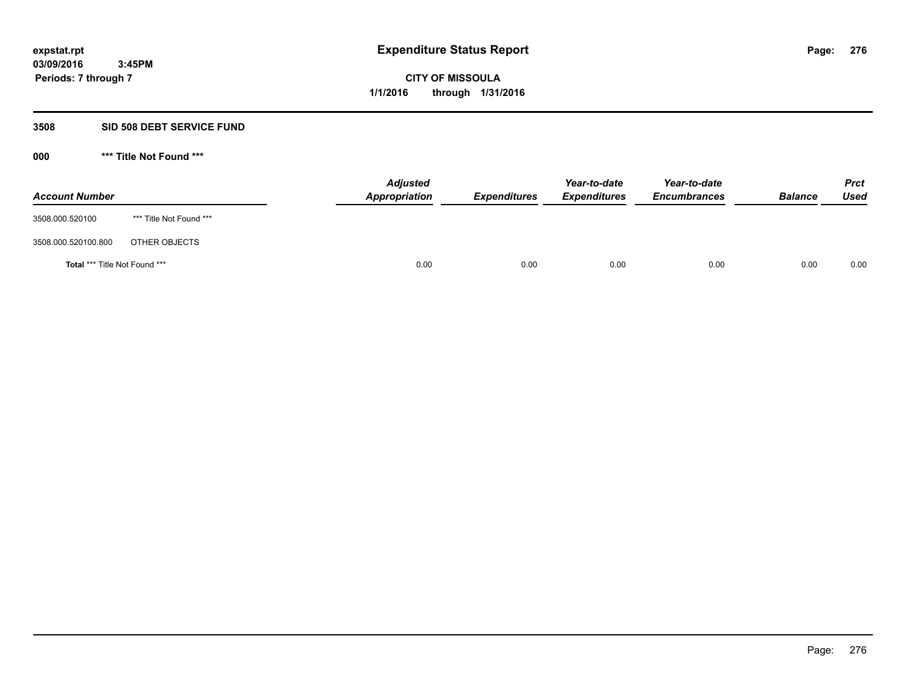#### **3508 SID 508 DEBT SERVICE FUND**

| <b>Account Number</b>                |                         | <b>Adjusted</b><br>Appropriation | <b>Expenditures</b> | Year-to-date<br><b>Expenditures</b> | Year-to-date<br><b>Encumbrances</b> | <b>Balance</b> | <b>Prct</b><br><b>Used</b> |
|--------------------------------------|-------------------------|----------------------------------|---------------------|-------------------------------------|-------------------------------------|----------------|----------------------------|
| 3508.000.520100                      | *** Title Not Found *** |                                  |                     |                                     |                                     |                |                            |
| 3508.000.520100.800                  | OTHER OBJECTS           |                                  |                     |                                     |                                     |                |                            |
| <b>Total *** Title Not Found ***</b> |                         | 0.00                             | 0.00                | 0.00                                | 0.00                                | 0.00           | 0.00                       |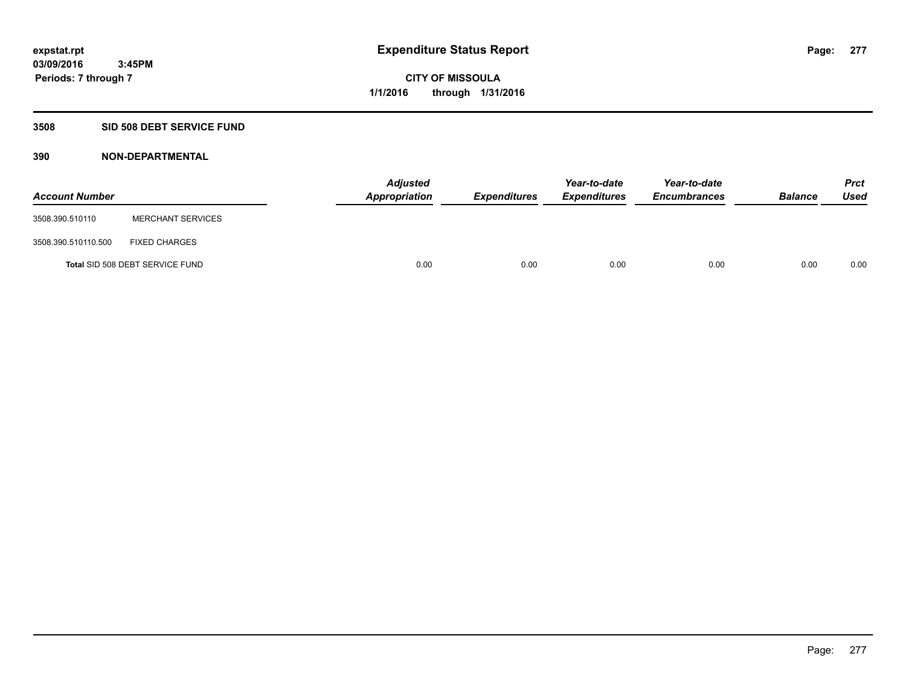# **3508 SID 508 DEBT SERVICE FUND**

| <b>Account Number</b> |                                 | <b>Adjusted</b><br>Appropriation | <b>Expenditures</b> | Year-to-date<br><b>Expenditures</b> | Year-to-date<br><b>Encumbrances</b> | <b>Balance</b> | <b>Prct</b><br><b>Used</b> |
|-----------------------|---------------------------------|----------------------------------|---------------------|-------------------------------------|-------------------------------------|----------------|----------------------------|
| 3508.390.510110       | <b>MERCHANT SERVICES</b>        |                                  |                     |                                     |                                     |                |                            |
| 3508.390.510110.500   | <b>FIXED CHARGES</b>            |                                  |                     |                                     |                                     |                |                            |
|                       | Total SID 508 DEBT SERVICE FUND | 0.00                             | 0.00                | 0.00                                | 0.00                                | 0.00           | 0.00                       |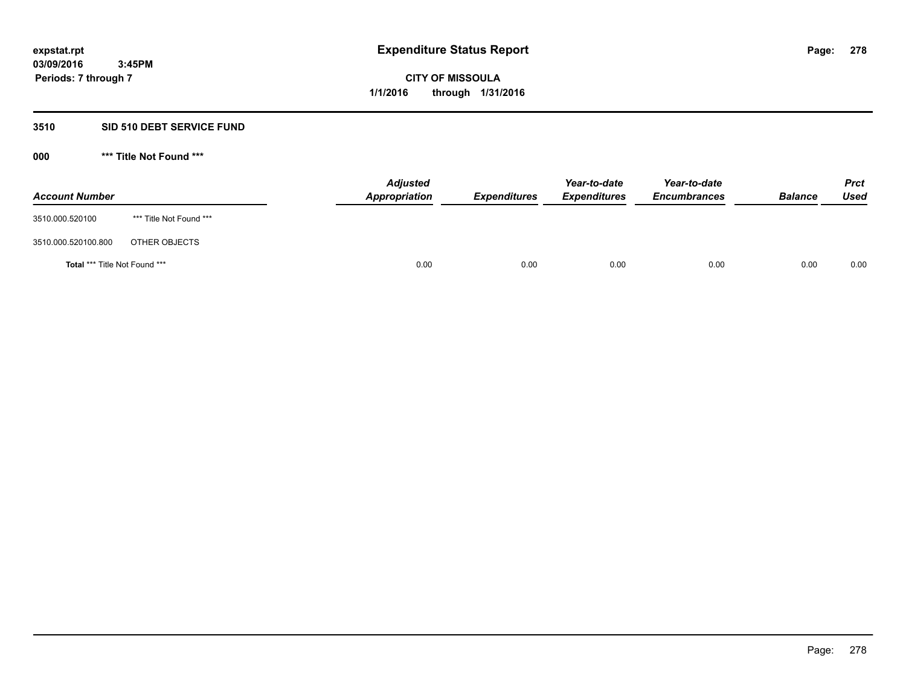# **3510 SID 510 DEBT SERVICE FUND**

| <b>Account Number</b>         |                         | <b>Adjusted</b><br>Appropriation | <b>Expenditures</b> | Year-to-date<br><b>Expenditures</b> | Year-to-date<br><b>Encumbrances</b> | <b>Balance</b> | <b>Prct</b><br><b>Used</b> |
|-------------------------------|-------------------------|----------------------------------|---------------------|-------------------------------------|-------------------------------------|----------------|----------------------------|
| 3510.000.520100               | *** Title Not Found *** |                                  |                     |                                     |                                     |                |                            |
| 3510.000.520100.800           | OTHER OBJECTS           |                                  |                     |                                     |                                     |                |                            |
| Total *** Title Not Found *** |                         | 0.00                             | 0.00                | 0.00                                | 0.00                                | 0.00           | 0.00                       |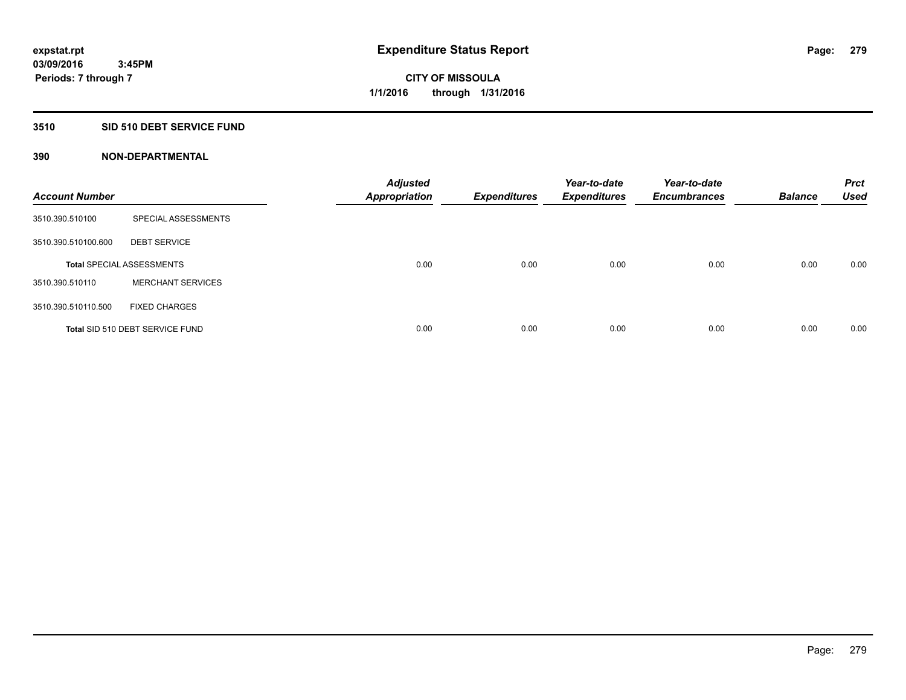# **3510 SID 510 DEBT SERVICE FUND**

| <b>Account Number</b> |                                  | <b>Adjusted</b><br><b>Appropriation</b> | <b>Expenditures</b> | Year-to-date<br><b>Expenditures</b> | Year-to-date<br><b>Encumbrances</b> | <b>Balance</b> | <b>Prct</b><br><b>Used</b> |
|-----------------------|----------------------------------|-----------------------------------------|---------------------|-------------------------------------|-------------------------------------|----------------|----------------------------|
| 3510.390.510100       | SPECIAL ASSESSMENTS              |                                         |                     |                                     |                                     |                |                            |
| 3510.390.510100.600   | <b>DEBT SERVICE</b>              |                                         |                     |                                     |                                     |                |                            |
|                       | <b>Total SPECIAL ASSESSMENTS</b> | 0.00                                    | 0.00                | 0.00                                | 0.00                                | 0.00           | 0.00                       |
| 3510.390.510110       | <b>MERCHANT SERVICES</b>         |                                         |                     |                                     |                                     |                |                            |
| 3510.390.510110.500   | <b>FIXED CHARGES</b>             |                                         |                     |                                     |                                     |                |                            |
|                       | Total SID 510 DEBT SERVICE FUND  | 0.00                                    | 0.00                | 0.00                                | 0.00                                | 0.00           | 0.00                       |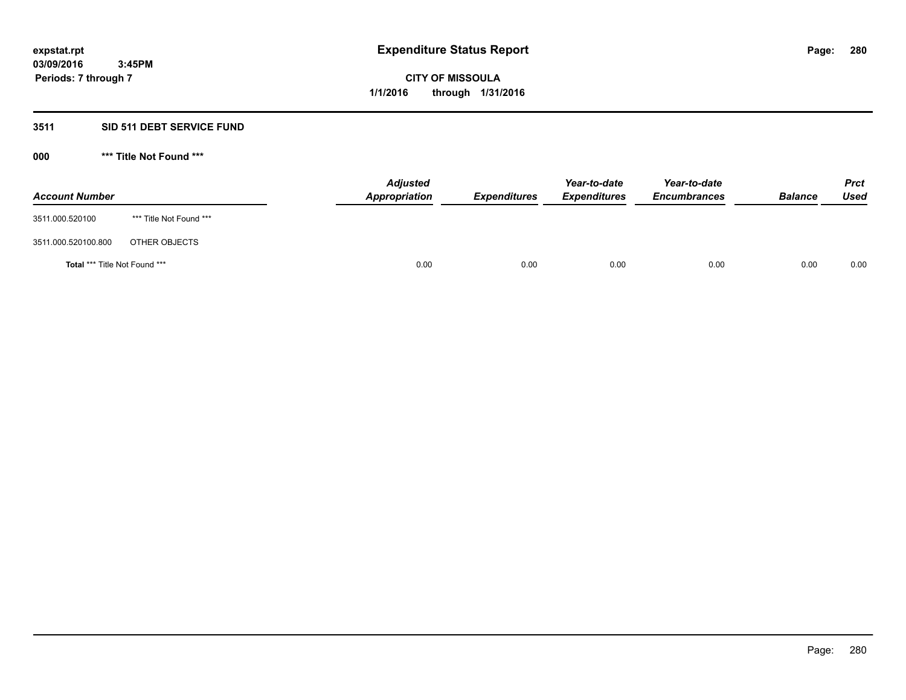# **3511 SID 511 DEBT SERVICE FUND**

| <b>Account Number</b>                |                         | <b>Adjusted</b><br><b>Appropriation</b> | <b>Expenditures</b> | Year-to-date<br><b>Expenditures</b> | Year-to-date<br><b>Encumbrances</b> | <b>Balance</b> | <b>Prct</b><br><b>Used</b> |
|--------------------------------------|-------------------------|-----------------------------------------|---------------------|-------------------------------------|-------------------------------------|----------------|----------------------------|
| 3511.000.520100                      | *** Title Not Found *** |                                         |                     |                                     |                                     |                |                            |
| 3511.000.520100.800                  | OTHER OBJECTS           |                                         |                     |                                     |                                     |                |                            |
| <b>Total *** Title Not Found ***</b> |                         | 0.00                                    | 0.00                | 0.00                                | 0.00                                | 0.00           | 0.00                       |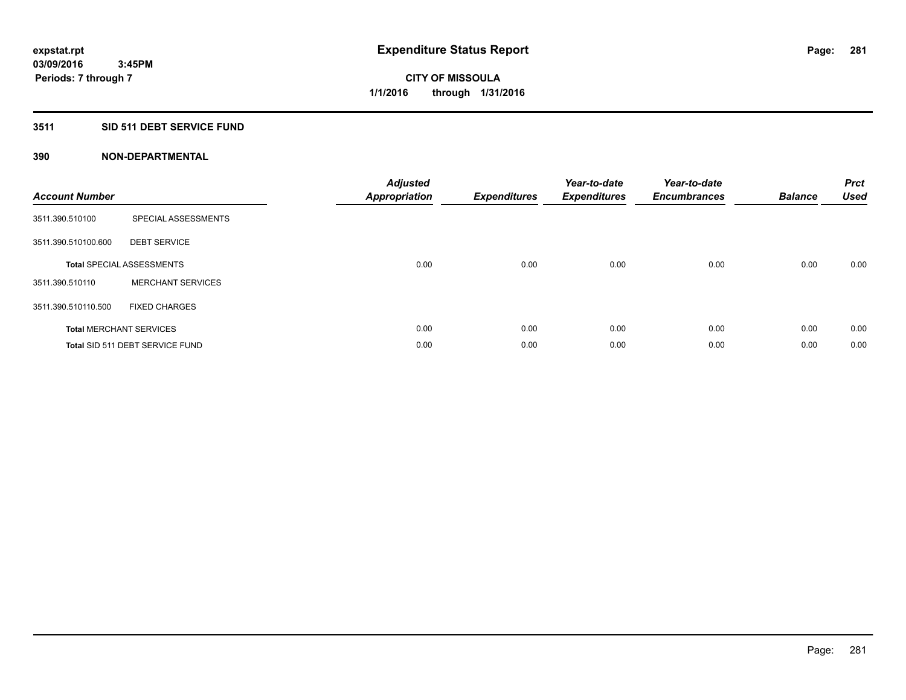# **3511 SID 511 DEBT SERVICE FUND**

| <b>Account Number</b> |                                  | <b>Adjusted</b><br><b>Appropriation</b> | <b>Expenditures</b> | Year-to-date<br><b>Expenditures</b> | Year-to-date<br><b>Encumbrances</b> | <b>Balance</b> | <b>Prct</b><br><b>Used</b> |
|-----------------------|----------------------------------|-----------------------------------------|---------------------|-------------------------------------|-------------------------------------|----------------|----------------------------|
| 3511.390.510100       | SPECIAL ASSESSMENTS              |                                         |                     |                                     |                                     |                |                            |
| 3511.390.510100.600   | <b>DEBT SERVICE</b>              |                                         |                     |                                     |                                     |                |                            |
|                       | <b>Total SPECIAL ASSESSMENTS</b> | 0.00                                    | 0.00                | 0.00                                | 0.00                                | 0.00           | 0.00                       |
| 3511.390.510110       | <b>MERCHANT SERVICES</b>         |                                         |                     |                                     |                                     |                |                            |
| 3511.390.510110.500   | <b>FIXED CHARGES</b>             |                                         |                     |                                     |                                     |                |                            |
|                       | <b>Total MERCHANT SERVICES</b>   | 0.00                                    | 0.00                | 0.00                                | 0.00                                | 0.00           | 0.00                       |
|                       | Total SID 511 DEBT SERVICE FUND  | 0.00                                    | 0.00                | 0.00                                | 0.00                                | 0.00           | 0.00                       |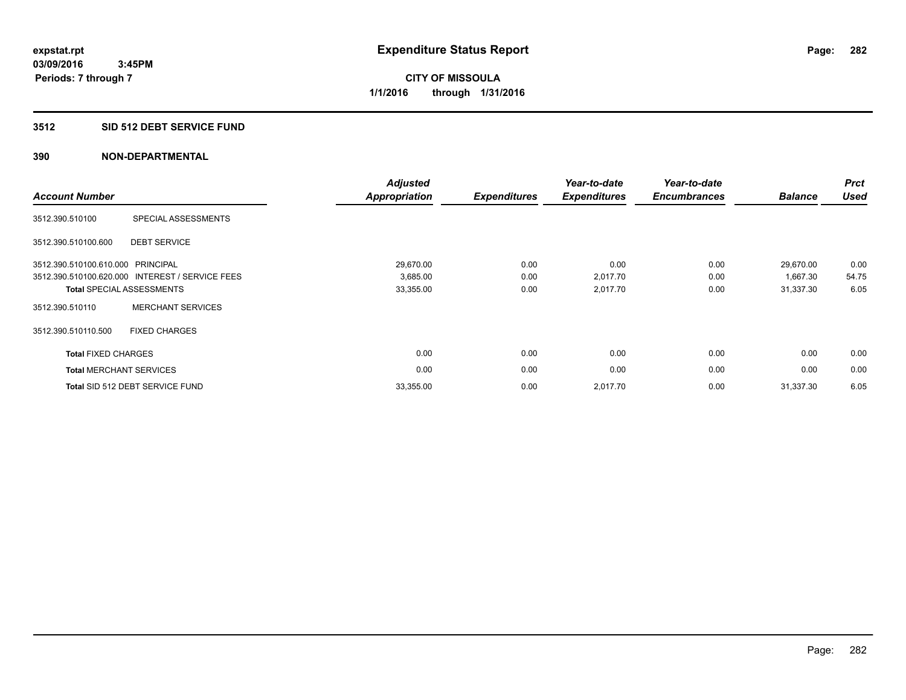# **3512 SID 512 DEBT SERVICE FUND**

| <b>Account Number</b>             |                                                 | <b>Adjusted</b><br><b>Appropriation</b> | <b>Expenditures</b> | Year-to-date<br><b>Expenditures</b> | Year-to-date<br><b>Encumbrances</b> | <b>Balance</b> | <b>Prct</b><br><b>Used</b> |
|-----------------------------------|-------------------------------------------------|-----------------------------------------|---------------------|-------------------------------------|-------------------------------------|----------------|----------------------------|
| 3512.390.510100                   | SPECIAL ASSESSMENTS                             |                                         |                     |                                     |                                     |                |                            |
| 3512.390.510100.600               | <b>DEBT SERVICE</b>                             |                                         |                     |                                     |                                     |                |                            |
| 3512.390.510100.610.000 PRINCIPAL |                                                 | 29,670.00                               | 0.00                | 0.00                                | 0.00                                | 29,670.00      | 0.00                       |
|                                   | 3512.390.510100.620.000 INTEREST / SERVICE FEES | 3,685.00                                | 0.00                | 2,017.70                            | 0.00                                | 1,667.30       | 54.75                      |
|                                   | <b>Total SPECIAL ASSESSMENTS</b>                | 33,355.00                               | 0.00                | 2,017.70                            | 0.00                                | 31,337.30      | 6.05                       |
| 3512.390.510110                   | <b>MERCHANT SERVICES</b>                        |                                         |                     |                                     |                                     |                |                            |
| 3512.390.510110.500               | <b>FIXED CHARGES</b>                            |                                         |                     |                                     |                                     |                |                            |
| <b>Total FIXED CHARGES</b>        |                                                 | 0.00                                    | 0.00                | 0.00                                | 0.00                                | 0.00           | 0.00                       |
| <b>Total MERCHANT SERVICES</b>    |                                                 | 0.00                                    | 0.00                | 0.00                                | 0.00                                | 0.00           | 0.00                       |
|                                   | Total SID 512 DEBT SERVICE FUND                 | 33,355.00                               | 0.00                | 2,017.70                            | 0.00                                | 31,337.30      | 6.05                       |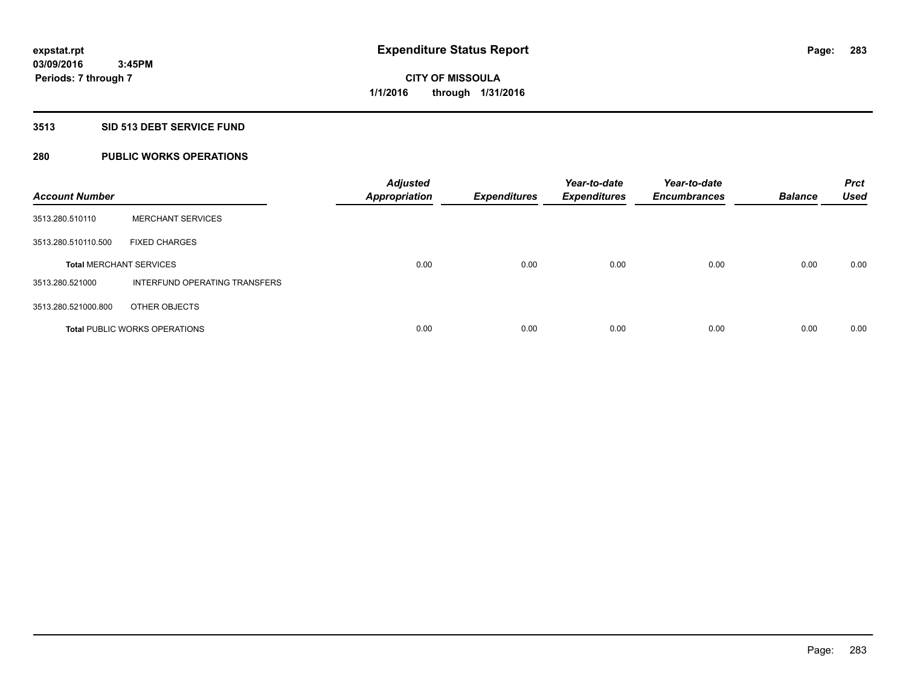# **3513 SID 513 DEBT SERVICE FUND**

# **280 PUBLIC WORKS OPERATIONS**

| <b>Account Number</b>          |                                      | <b>Adjusted</b><br><b>Appropriation</b> | <b>Expenditures</b> | Year-to-date<br><b>Expenditures</b> | Year-to-date<br><b>Encumbrances</b> | <b>Balance</b> | <b>Prct</b><br><b>Used</b> |
|--------------------------------|--------------------------------------|-----------------------------------------|---------------------|-------------------------------------|-------------------------------------|----------------|----------------------------|
| 3513.280.510110                | <b>MERCHANT SERVICES</b>             |                                         |                     |                                     |                                     |                |                            |
| 3513.280.510110.500            | <b>FIXED CHARGES</b>                 |                                         |                     |                                     |                                     |                |                            |
| <b>Total MERCHANT SERVICES</b> |                                      | 0.00                                    | 0.00                | 0.00                                | 0.00                                | 0.00           | 0.00                       |
| 3513.280.521000                | INTERFUND OPERATING TRANSFERS        |                                         |                     |                                     |                                     |                |                            |
| 3513.280.521000.800            | OTHER OBJECTS                        |                                         |                     |                                     |                                     |                |                            |
|                                | <b>Total PUBLIC WORKS OPERATIONS</b> | 0.00                                    | 0.00                | 0.00                                | 0.00                                | 0.00           | 0.00                       |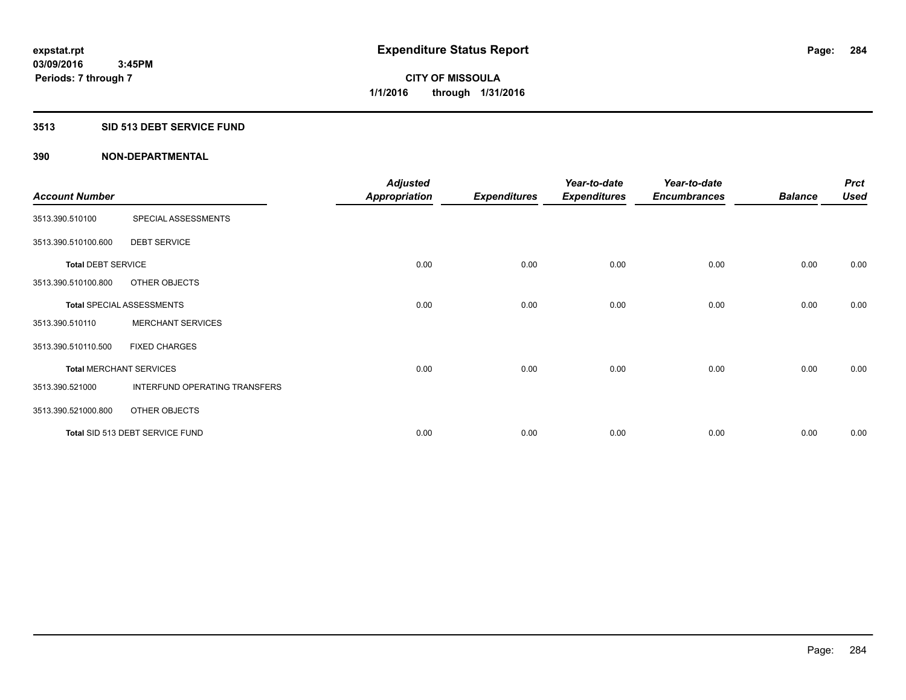#### **3513 SID 513 DEBT SERVICE FUND**

|                                |                                  | <b>Adjusted</b>      |                     | Year-to-date        | Year-to-date        |                | <b>Prct</b> |
|--------------------------------|----------------------------------|----------------------|---------------------|---------------------|---------------------|----------------|-------------|
| <b>Account Number</b>          |                                  | <b>Appropriation</b> | <b>Expenditures</b> | <b>Expenditures</b> | <b>Encumbrances</b> | <b>Balance</b> | <b>Used</b> |
| 3513.390.510100                | SPECIAL ASSESSMENTS              |                      |                     |                     |                     |                |             |
| 3513.390.510100.600            | <b>DEBT SERVICE</b>              |                      |                     |                     |                     |                |             |
| <b>Total DEBT SERVICE</b>      |                                  | 0.00                 | 0.00                | 0.00                | 0.00                | 0.00           | 0.00        |
| 3513.390.510100.800            | OTHER OBJECTS                    |                      |                     |                     |                     |                |             |
|                                | <b>Total SPECIAL ASSESSMENTS</b> | 0.00                 | 0.00                | 0.00                | 0.00                | 0.00           | 0.00        |
| 3513.390.510110                | <b>MERCHANT SERVICES</b>         |                      |                     |                     |                     |                |             |
| 3513.390.510110.500            | <b>FIXED CHARGES</b>             |                      |                     |                     |                     |                |             |
| <b>Total MERCHANT SERVICES</b> |                                  | 0.00                 | 0.00                | 0.00                | 0.00                | 0.00           | 0.00        |
| 3513.390.521000                | INTERFUND OPERATING TRANSFERS    |                      |                     |                     |                     |                |             |
| 3513.390.521000.800            | OTHER OBJECTS                    |                      |                     |                     |                     |                |             |
|                                | Total SID 513 DEBT SERVICE FUND  | 0.00                 | 0.00                | 0.00                | 0.00                | 0.00           | 0.00        |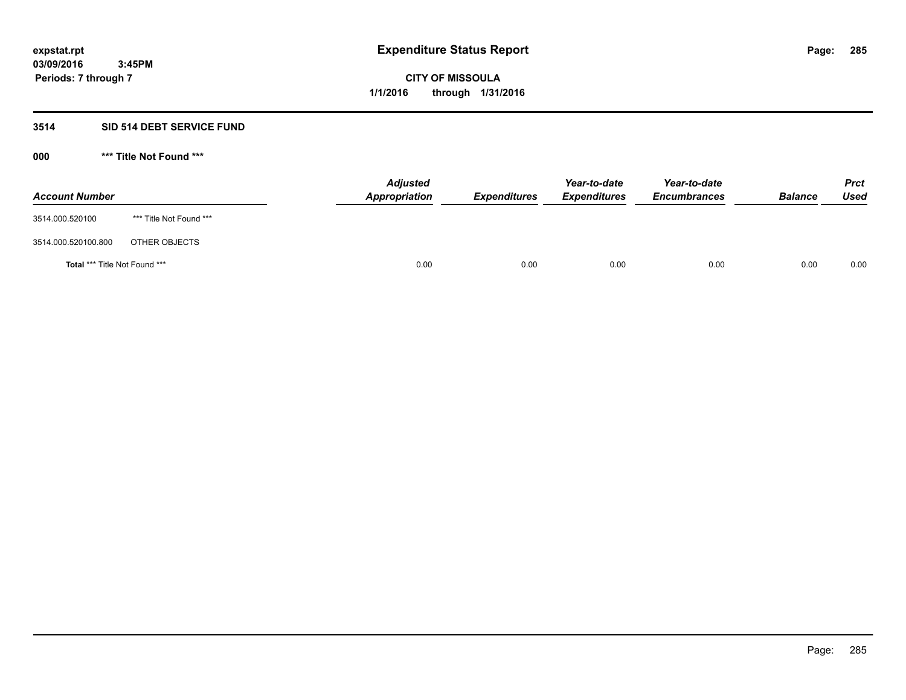# **3514 SID 514 DEBT SERVICE FUND**

| <b>Account Number</b>                |                         | <b>Adjusted</b><br><b>Appropriation</b> | <b>Expenditures</b> | Year-to-date<br><b>Expenditures</b> | Year-to-date<br><b>Encumbrances</b> | <b>Balance</b> | <b>Prct</b><br><b>Used</b> |
|--------------------------------------|-------------------------|-----------------------------------------|---------------------|-------------------------------------|-------------------------------------|----------------|----------------------------|
| 3514.000.520100                      | *** Title Not Found *** |                                         |                     |                                     |                                     |                |                            |
| 3514.000.520100.800                  | OTHER OBJECTS           |                                         |                     |                                     |                                     |                |                            |
| <b>Total *** Title Not Found ***</b> |                         | 0.00                                    | 0.00                | 0.00                                | 0.00                                | 0.00           | 0.00                       |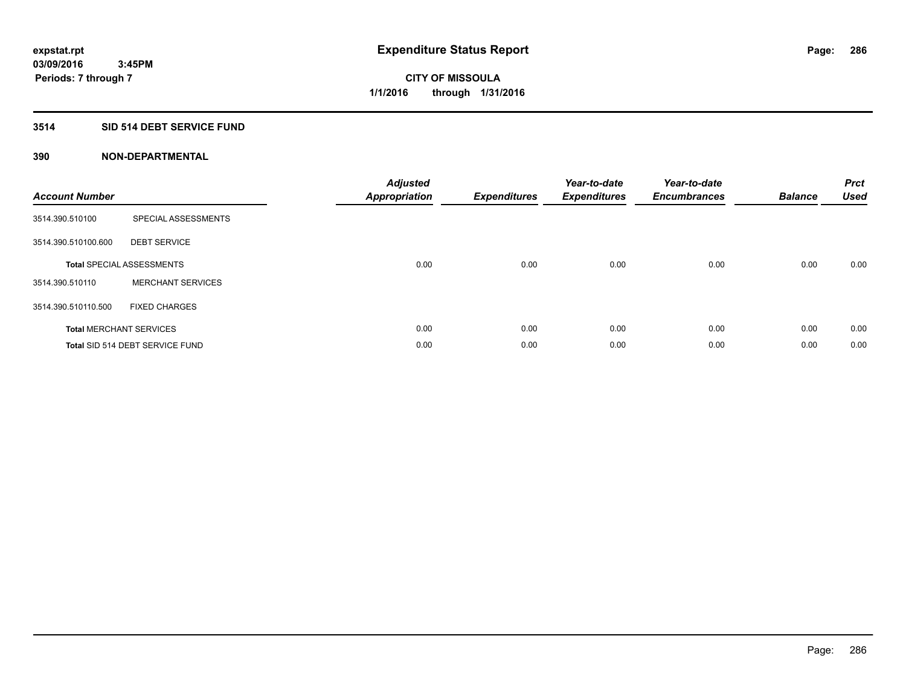# **3514 SID 514 DEBT SERVICE FUND**

| <b>Account Number</b> |                                  | <b>Adjusted</b><br>Appropriation | <b>Expenditures</b> | Year-to-date<br><b>Expenditures</b> | Year-to-date<br><b>Encumbrances</b> | <b>Balance</b> | <b>Prct</b><br><b>Used</b> |
|-----------------------|----------------------------------|----------------------------------|---------------------|-------------------------------------|-------------------------------------|----------------|----------------------------|
| 3514.390.510100       | SPECIAL ASSESSMENTS              |                                  |                     |                                     |                                     |                |                            |
| 3514.390.510100.600   | <b>DEBT SERVICE</b>              |                                  |                     |                                     |                                     |                |                            |
|                       | <b>Total SPECIAL ASSESSMENTS</b> | 0.00                             | 0.00                | 0.00                                | 0.00                                | 0.00           | 0.00                       |
| 3514.390.510110       | <b>MERCHANT SERVICES</b>         |                                  |                     |                                     |                                     |                |                            |
| 3514.390.510110.500   | <b>FIXED CHARGES</b>             |                                  |                     |                                     |                                     |                |                            |
|                       | <b>Total MERCHANT SERVICES</b>   | 0.00                             | 0.00                | 0.00                                | 0.00                                | 0.00           | 0.00                       |
|                       | Total SID 514 DEBT SERVICE FUND  | 0.00                             | 0.00                | 0.00                                | 0.00                                | 0.00           | 0.00                       |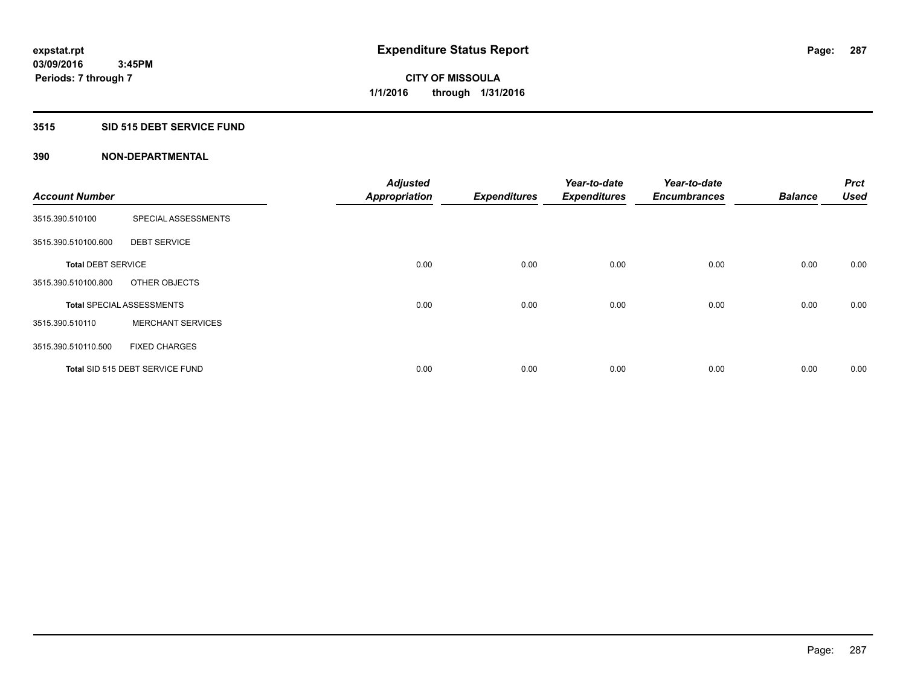# **3515 SID 515 DEBT SERVICE FUND**

|                           |                                  | <b>Adjusted</b>      |                     | Year-to-date        | Year-to-date        |                | Prct        |
|---------------------------|----------------------------------|----------------------|---------------------|---------------------|---------------------|----------------|-------------|
| <b>Account Number</b>     |                                  | <b>Appropriation</b> | <b>Expenditures</b> | <b>Expenditures</b> | <b>Encumbrances</b> | <b>Balance</b> | <b>Used</b> |
| 3515.390.510100           | SPECIAL ASSESSMENTS              |                      |                     |                     |                     |                |             |
| 3515.390.510100.600       | <b>DEBT SERVICE</b>              |                      |                     |                     |                     |                |             |
| <b>Total DEBT SERVICE</b> |                                  | 0.00                 | 0.00                | 0.00                | 0.00                | 0.00           | 0.00        |
| 3515.390.510100.800       | OTHER OBJECTS                    |                      |                     |                     |                     |                |             |
|                           | <b>Total SPECIAL ASSESSMENTS</b> | 0.00                 | 0.00                | 0.00                | 0.00                | 0.00           | 0.00        |
| 3515.390.510110           | <b>MERCHANT SERVICES</b>         |                      |                     |                     |                     |                |             |
| 3515.390.510110.500       | <b>FIXED CHARGES</b>             |                      |                     |                     |                     |                |             |
|                           | Total SID 515 DEBT SERVICE FUND  | 0.00                 | 0.00                | 0.00                | 0.00                | 0.00           | 0.00        |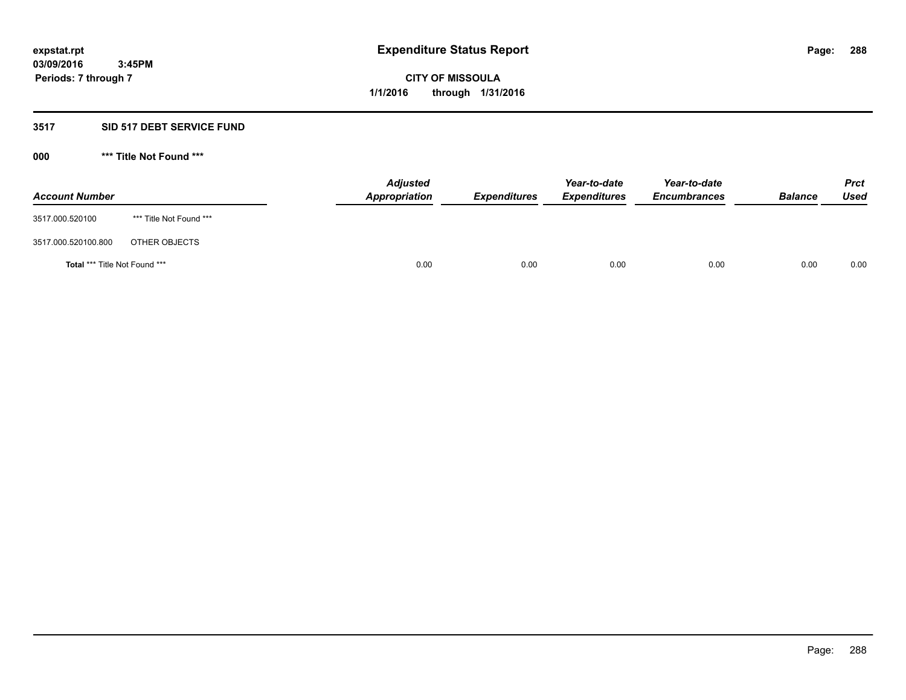# **3517 SID 517 DEBT SERVICE FUND**

| <b>Account Number</b>                |                         | <b>Adjusted</b><br><b>Appropriation</b> | <b>Expenditures</b> | Year-to-date<br><b>Expenditures</b> | Year-to-date<br><b>Encumbrances</b> | <b>Balance</b> | <b>Prct</b><br><b>Used</b> |
|--------------------------------------|-------------------------|-----------------------------------------|---------------------|-------------------------------------|-------------------------------------|----------------|----------------------------|
| 3517.000.520100                      | *** Title Not Found *** |                                         |                     |                                     |                                     |                |                            |
| 3517.000.520100.800                  | OTHER OBJECTS           |                                         |                     |                                     |                                     |                |                            |
| <b>Total *** Title Not Found ***</b> |                         | 0.00                                    | 0.00                | 0.00                                | 0.00                                | 0.00           | 0.00                       |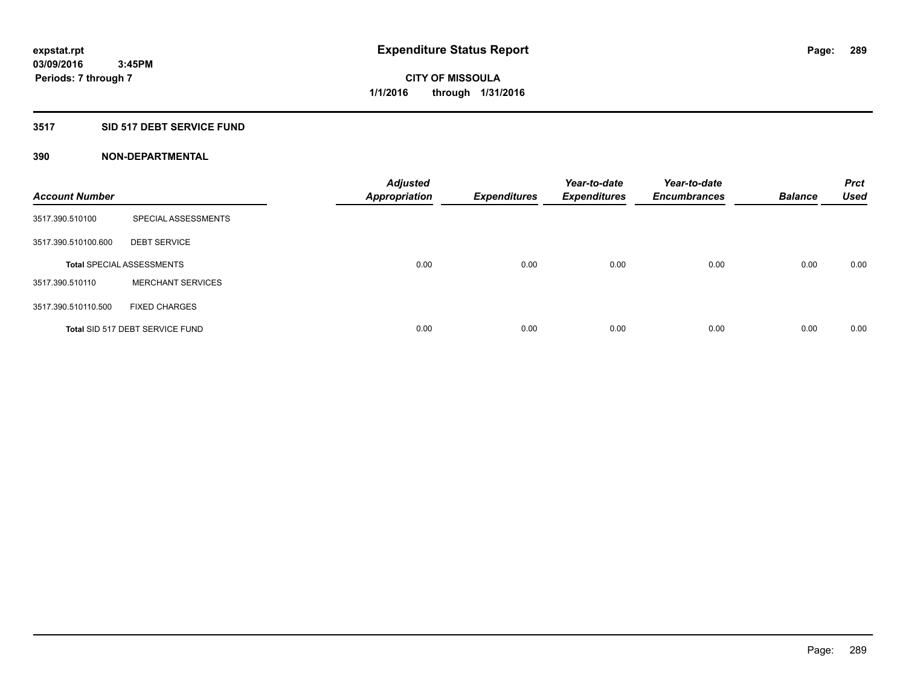## **3517 SID 517 DEBT SERVICE FUND**

| <b>Account Number</b> |                                  | <b>Adjusted</b><br><b>Appropriation</b> | <b>Expenditures</b> | Year-to-date<br><b>Expenditures</b> | Year-to-date<br><b>Encumbrances</b> | <b>Balance</b> | <b>Prct</b><br><b>Used</b> |
|-----------------------|----------------------------------|-----------------------------------------|---------------------|-------------------------------------|-------------------------------------|----------------|----------------------------|
| 3517.390.510100       | SPECIAL ASSESSMENTS              |                                         |                     |                                     |                                     |                |                            |
| 3517.390.510100.600   | <b>DEBT SERVICE</b>              |                                         |                     |                                     |                                     |                |                            |
|                       | <b>Total SPECIAL ASSESSMENTS</b> | 0.00                                    | 0.00                | 0.00                                | 0.00                                | 0.00           | 0.00                       |
| 3517.390.510110       | <b>MERCHANT SERVICES</b>         |                                         |                     |                                     |                                     |                |                            |
| 3517.390.510110.500   | <b>FIXED CHARGES</b>             |                                         |                     |                                     |                                     |                |                            |
|                       | Total SID 517 DEBT SERVICE FUND  | 0.00                                    | 0.00                | 0.00                                | 0.00                                | 0.00           | 0.00                       |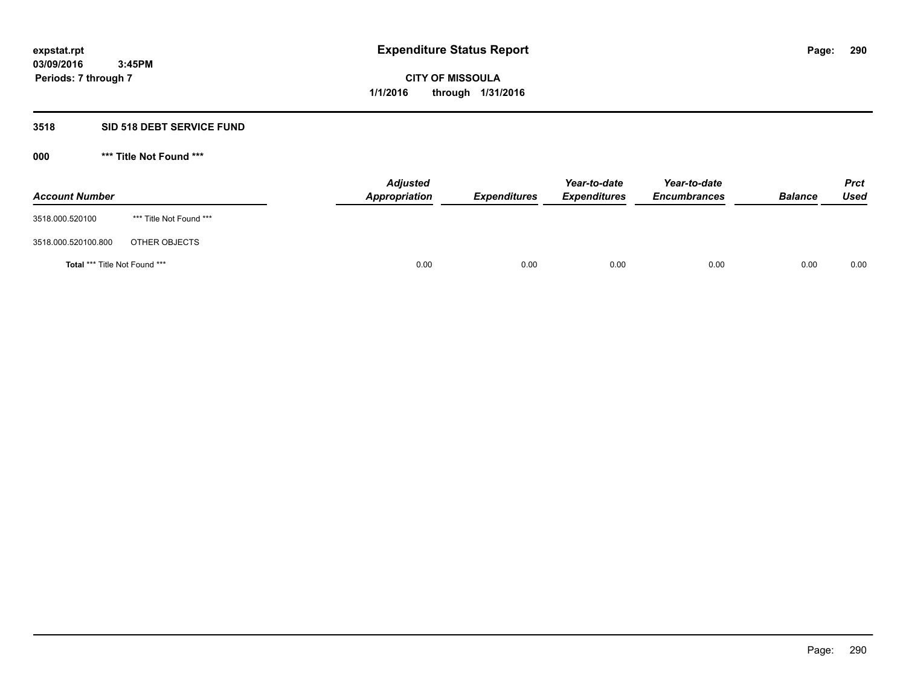## **3518 SID 518 DEBT SERVICE FUND**

**000 \*\*\* Title Not Found \*\*\***

| <b>Account Number</b>         |                         | <b>Adjusted</b><br>Appropriation | <b>Expenditures</b> | Year-to-date<br><b>Expenditures</b> | Year-to-date<br><b>Encumbrances</b> | <b>Balance</b> | <b>Prct</b><br>Used |
|-------------------------------|-------------------------|----------------------------------|---------------------|-------------------------------------|-------------------------------------|----------------|---------------------|
| 3518.000.520100               | *** Title Not Found *** |                                  |                     |                                     |                                     |                |                     |
| 3518.000.520100.800           | OTHER OBJECTS           |                                  |                     |                                     |                                     |                |                     |
| Total *** Title Not Found *** |                         | 0.00                             | 0.00                | 0.00                                | 0.00                                | 0.00           | 0.00                |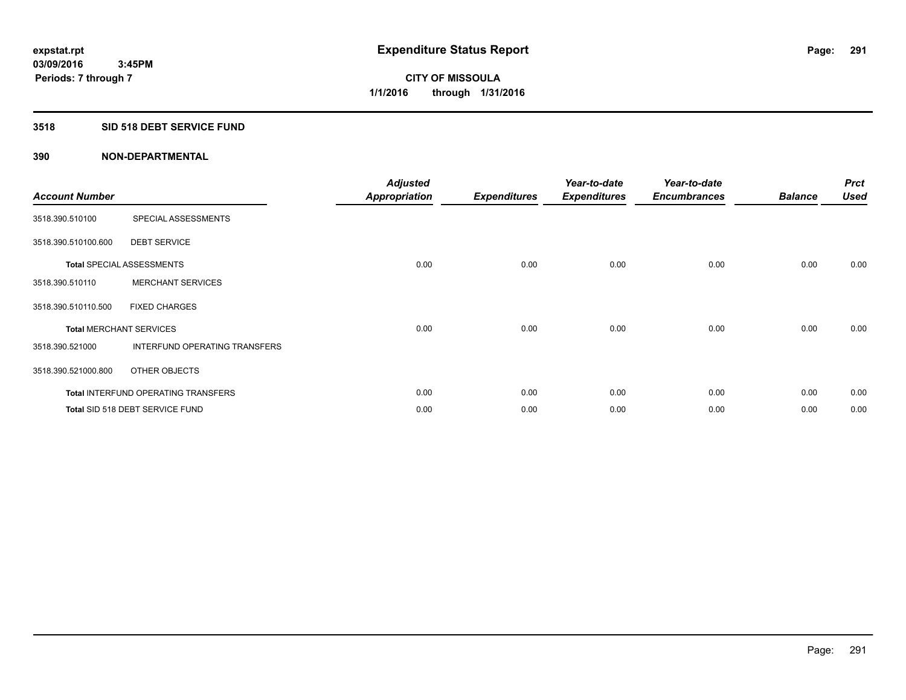## **3518 SID 518 DEBT SERVICE FUND**

| <b>Account Number</b>          |                                     | <b>Adjusted</b><br><b>Appropriation</b> | <b>Expenditures</b> | Year-to-date<br><b>Expenditures</b> | Year-to-date<br><b>Encumbrances</b> | <b>Balance</b> | <b>Prct</b><br><b>Used</b> |
|--------------------------------|-------------------------------------|-----------------------------------------|---------------------|-------------------------------------|-------------------------------------|----------------|----------------------------|
| 3518.390.510100                | SPECIAL ASSESSMENTS                 |                                         |                     |                                     |                                     |                |                            |
| 3518.390.510100.600            | <b>DEBT SERVICE</b>                 |                                         |                     |                                     |                                     |                |                            |
|                                | <b>Total SPECIAL ASSESSMENTS</b>    | 0.00                                    | 0.00                | 0.00                                | 0.00                                | 0.00           | 0.00                       |
| 3518.390.510110                | <b>MERCHANT SERVICES</b>            |                                         |                     |                                     |                                     |                |                            |
| 3518.390.510110.500            | <b>FIXED CHARGES</b>                |                                         |                     |                                     |                                     |                |                            |
| <b>Total MERCHANT SERVICES</b> |                                     | 0.00                                    | 0.00                | 0.00                                | 0.00                                | 0.00           | 0.00                       |
| 3518.390.521000                | INTERFUND OPERATING TRANSFERS       |                                         |                     |                                     |                                     |                |                            |
| 3518.390.521000.800            | OTHER OBJECTS                       |                                         |                     |                                     |                                     |                |                            |
|                                | Total INTERFUND OPERATING TRANSFERS | 0.00                                    | 0.00                | 0.00                                | 0.00                                | 0.00           | 0.00                       |
|                                | Total SID 518 DEBT SERVICE FUND     | 0.00                                    | 0.00                | 0.00                                | 0.00                                | 0.00           | 0.00                       |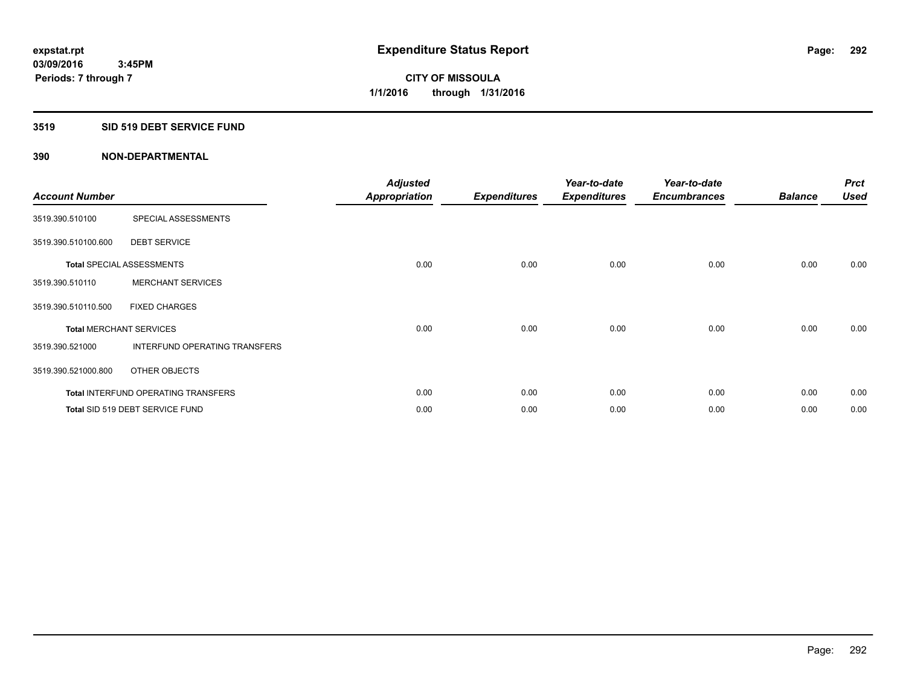## **3519 SID 519 DEBT SERVICE FUND**

| <b>Account Number</b> |                                            | <b>Adjusted</b><br><b>Appropriation</b> | <b>Expenditures</b> | Year-to-date<br><b>Expenditures</b> | Year-to-date<br><b>Encumbrances</b> | <b>Balance</b> | <b>Prct</b><br><b>Used</b> |
|-----------------------|--------------------------------------------|-----------------------------------------|---------------------|-------------------------------------|-------------------------------------|----------------|----------------------------|
| 3519.390.510100       | SPECIAL ASSESSMENTS                        |                                         |                     |                                     |                                     |                |                            |
| 3519.390.510100.600   | <b>DEBT SERVICE</b>                        |                                         |                     |                                     |                                     |                |                            |
|                       | <b>Total SPECIAL ASSESSMENTS</b>           | 0.00                                    | 0.00                | 0.00                                | 0.00                                | 0.00           | 0.00                       |
| 3519.390.510110       | <b>MERCHANT SERVICES</b>                   |                                         |                     |                                     |                                     |                |                            |
| 3519.390.510110.500   | <b>FIXED CHARGES</b>                       |                                         |                     |                                     |                                     |                |                            |
|                       | <b>Total MERCHANT SERVICES</b>             | 0.00                                    | 0.00                | 0.00                                | 0.00                                | 0.00           | 0.00                       |
| 3519.390.521000       | <b>INTERFUND OPERATING TRANSFERS</b>       |                                         |                     |                                     |                                     |                |                            |
| 3519.390.521000.800   | OTHER OBJECTS                              |                                         |                     |                                     |                                     |                |                            |
|                       | <b>Total INTERFUND OPERATING TRANSFERS</b> | 0.00                                    | 0.00                | 0.00                                | 0.00                                | 0.00           | 0.00                       |
|                       | Total SID 519 DEBT SERVICE FUND            | 0.00                                    | 0.00                | 0.00                                | 0.00                                | 0.00           | 0.00                       |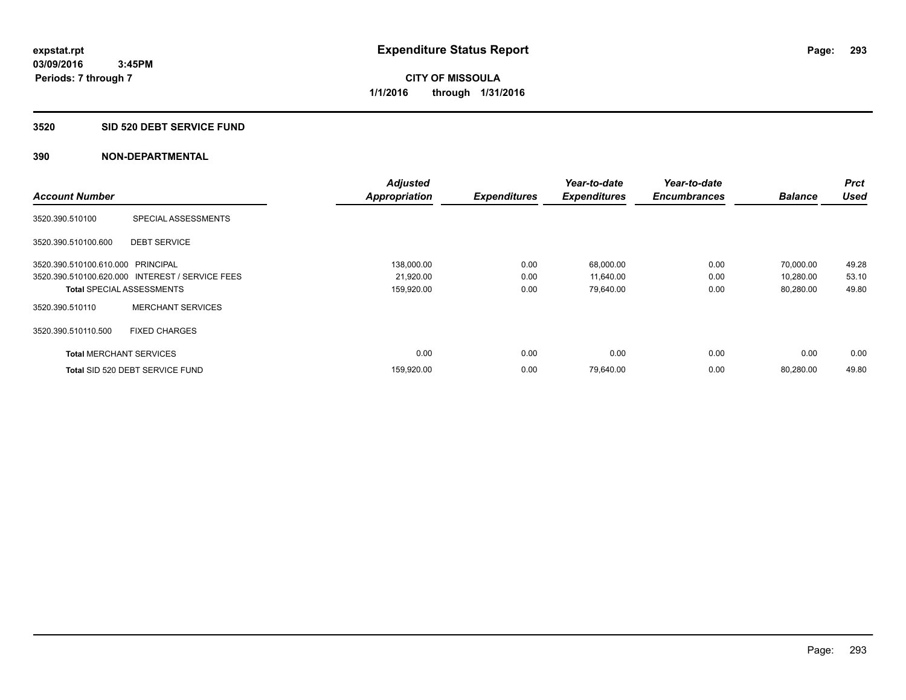#### **3520 SID 520 DEBT SERVICE FUND**

|                                   |                                                 | <b>Adjusted</b>      |                     | Year-to-date        | Year-to-date        |                | <b>Prct</b> |
|-----------------------------------|-------------------------------------------------|----------------------|---------------------|---------------------|---------------------|----------------|-------------|
| <b>Account Number</b>             |                                                 | <b>Appropriation</b> | <b>Expenditures</b> | <b>Expenditures</b> | <b>Encumbrances</b> | <b>Balance</b> | <b>Used</b> |
| 3520.390.510100                   | SPECIAL ASSESSMENTS                             |                      |                     |                     |                     |                |             |
| 3520.390.510100.600               | <b>DEBT SERVICE</b>                             |                      |                     |                     |                     |                |             |
| 3520.390.510100.610.000 PRINCIPAL |                                                 | 138,000.00           | 0.00                | 68,000.00           | 0.00                | 70.000.00      | 49.28       |
|                                   | 3520.390.510100.620.000 INTEREST / SERVICE FEES | 21,920.00            | 0.00                | 11,640.00           | 0.00                | 10,280.00      | 53.10       |
| <b>Total SPECIAL ASSESSMENTS</b>  |                                                 | 159,920.00           | 0.00                | 79,640.00           | 0.00                | 80,280.00      | 49.80       |
| 3520.390.510110                   | <b>MERCHANT SERVICES</b>                        |                      |                     |                     |                     |                |             |
| 3520.390.510110.500               | <b>FIXED CHARGES</b>                            |                      |                     |                     |                     |                |             |
| <b>Total MERCHANT SERVICES</b>    |                                                 | 0.00                 | 0.00                | 0.00                | 0.00                | 0.00           | 0.00        |
|                                   | Total SID 520 DEBT SERVICE FUND                 | 159,920.00           | 0.00                | 79,640.00           | 0.00                | 80,280.00      | 49.80       |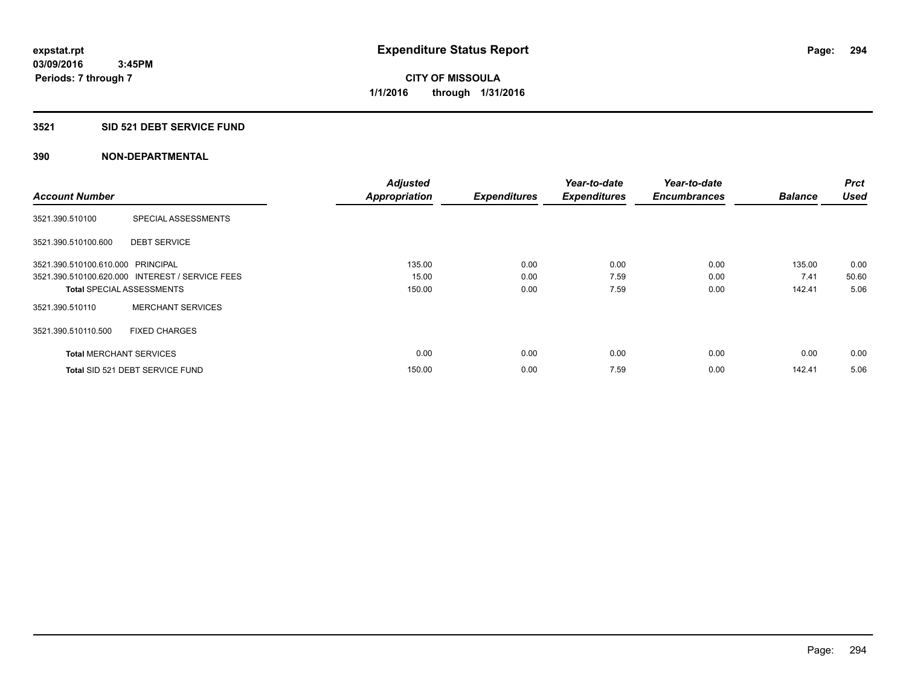## **3521 SID 521 DEBT SERVICE FUND**

|                                   |                                                 | <b>Adjusted</b>      |                     | Year-to-date        | Year-to-date        |                | <b>Prct</b> |
|-----------------------------------|-------------------------------------------------|----------------------|---------------------|---------------------|---------------------|----------------|-------------|
| <b>Account Number</b>             |                                                 | <b>Appropriation</b> | <b>Expenditures</b> | <b>Expenditures</b> | <b>Encumbrances</b> | <b>Balance</b> | <b>Used</b> |
| 3521.390.510100                   | SPECIAL ASSESSMENTS                             |                      |                     |                     |                     |                |             |
| 3521.390.510100.600               | <b>DEBT SERVICE</b>                             |                      |                     |                     |                     |                |             |
| 3521.390.510100.610.000 PRINCIPAL |                                                 | 135.00               | 0.00                | 0.00                | 0.00                | 135.00         | 0.00        |
|                                   | 3521.390.510100.620.000 INTEREST / SERVICE FEES | 15.00                | 0.00                | 7.59                | 0.00                | 7.41           | 50.60       |
| <b>Total SPECIAL ASSESSMENTS</b>  |                                                 | 150.00               | 0.00                | 7.59                | 0.00                | 142.41         | 5.06        |
| 3521.390.510110                   | <b>MERCHANT SERVICES</b>                        |                      |                     |                     |                     |                |             |
| 3521.390.510110.500               | <b>FIXED CHARGES</b>                            |                      |                     |                     |                     |                |             |
| <b>Total MERCHANT SERVICES</b>    |                                                 | 0.00                 | 0.00                | 0.00                | 0.00                | 0.00           | 0.00        |
|                                   | Total SID 521 DEBT SERVICE FUND                 | 150.00               | 0.00                | 7.59                | 0.00                | 142.41         | 5.06        |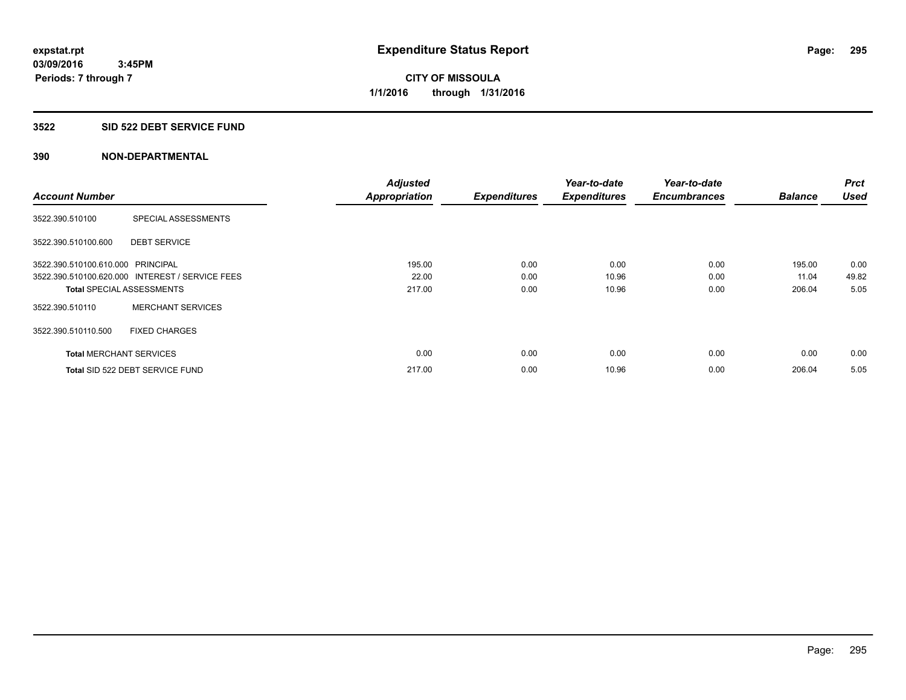## **3522 SID 522 DEBT SERVICE FUND**

|                                   |                                                 | <b>Adjusted</b>      |                     | Year-to-date        | Year-to-date        |                | <b>Prct</b> |
|-----------------------------------|-------------------------------------------------|----------------------|---------------------|---------------------|---------------------|----------------|-------------|
| <b>Account Number</b>             |                                                 | <b>Appropriation</b> | <b>Expenditures</b> | <b>Expenditures</b> | <b>Encumbrances</b> | <b>Balance</b> | <b>Used</b> |
| 3522.390.510100                   | SPECIAL ASSESSMENTS                             |                      |                     |                     |                     |                |             |
| 3522.390.510100.600               | <b>DEBT SERVICE</b>                             |                      |                     |                     |                     |                |             |
| 3522.390.510100.610.000 PRINCIPAL |                                                 | 195.00               | 0.00                | 0.00                | 0.00                | 195.00         | 0.00        |
|                                   | 3522.390.510100.620.000 INTEREST / SERVICE FEES | 22.00                | 0.00                | 10.96               | 0.00                | 11.04          | 49.82       |
|                                   | <b>Total SPECIAL ASSESSMENTS</b>                | 217.00               | 0.00                | 10.96               | 0.00                | 206.04         | 5.05        |
| 3522.390.510110                   | <b>MERCHANT SERVICES</b>                        |                      |                     |                     |                     |                |             |
| 3522.390.510110.500               | <b>FIXED CHARGES</b>                            |                      |                     |                     |                     |                |             |
| <b>Total MERCHANT SERVICES</b>    |                                                 | 0.00                 | 0.00                | 0.00                | 0.00                | 0.00           | 0.00        |
|                                   | Total SID 522 DEBT SERVICE FUND                 | 217.00               | 0.00                | 10.96               | 0.00                | 206.04         | 5.05        |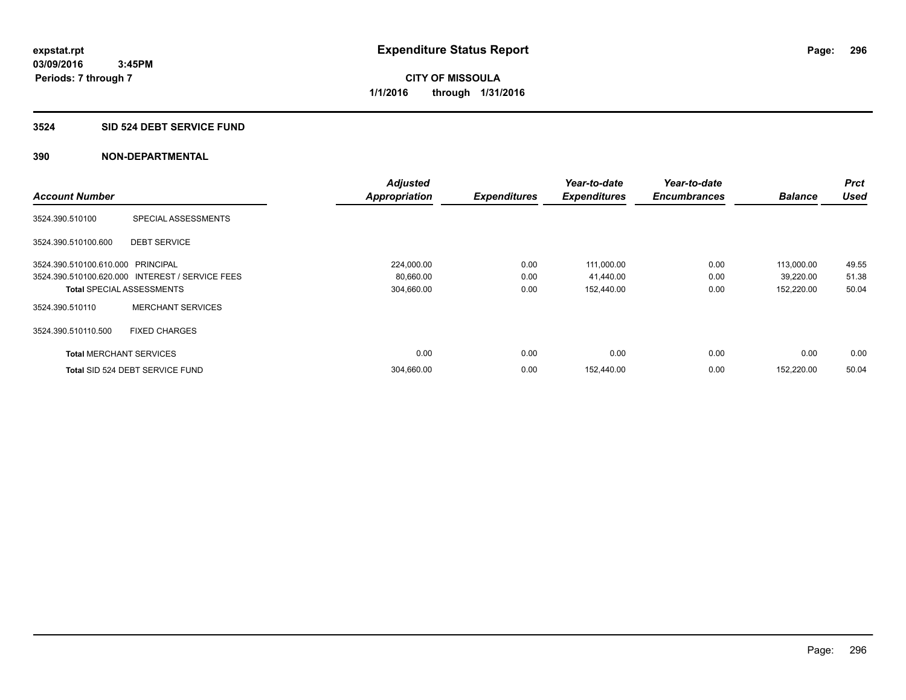#### **3524 SID 524 DEBT SERVICE FUND**

|                                   |                                                 | <b>Adjusted</b>      |                     | Year-to-date        | Year-to-date        |                | <b>Prct</b> |
|-----------------------------------|-------------------------------------------------|----------------------|---------------------|---------------------|---------------------|----------------|-------------|
| <b>Account Number</b>             |                                                 | <b>Appropriation</b> | <b>Expenditures</b> | <b>Expenditures</b> | <b>Encumbrances</b> | <b>Balance</b> | <b>Used</b> |
| 3524.390.510100                   | SPECIAL ASSESSMENTS                             |                      |                     |                     |                     |                |             |
| 3524.390.510100.600               | <b>DEBT SERVICE</b>                             |                      |                     |                     |                     |                |             |
| 3524.390.510100.610.000 PRINCIPAL |                                                 | 224,000.00           | 0.00                | 111,000.00          | 0.00                | 113,000.00     | 49.55       |
|                                   | 3524.390.510100.620.000 INTEREST / SERVICE FEES | 80,660.00            | 0.00                | 41,440.00           | 0.00                | 39,220.00      | 51.38       |
|                                   | <b>Total SPECIAL ASSESSMENTS</b>                | 304,660.00           | 0.00                | 152,440.00          | 0.00                | 152,220.00     | 50.04       |
| 3524.390.510110                   | <b>MERCHANT SERVICES</b>                        |                      |                     |                     |                     |                |             |
| 3524.390.510110.500               | <b>FIXED CHARGES</b>                            |                      |                     |                     |                     |                |             |
| <b>Total MERCHANT SERVICES</b>    |                                                 | 0.00                 | 0.00                | 0.00                | 0.00                | 0.00           | 0.00        |
|                                   | Total SID 524 DEBT SERVICE FUND                 | 304,660.00           | 0.00                | 152,440.00          | 0.00                | 152.220.00     | 50.04       |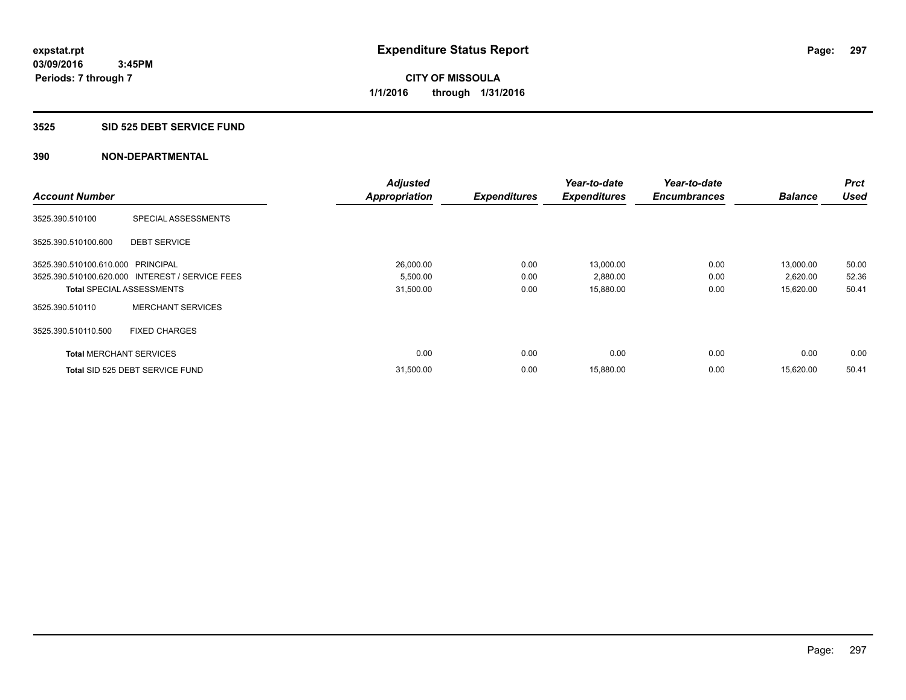#### **3525 SID 525 DEBT SERVICE FUND**

|                                   |                                                 | <b>Adjusted</b>      |                     | Year-to-date        | Year-to-date        |                | <b>Prct</b> |
|-----------------------------------|-------------------------------------------------|----------------------|---------------------|---------------------|---------------------|----------------|-------------|
| <b>Account Number</b>             |                                                 | <b>Appropriation</b> | <b>Expenditures</b> | <b>Expenditures</b> | <b>Encumbrances</b> | <b>Balance</b> | <b>Used</b> |
| 3525.390.510100                   | SPECIAL ASSESSMENTS                             |                      |                     |                     |                     |                |             |
| 3525.390.510100.600               | <b>DEBT SERVICE</b>                             |                      |                     |                     |                     |                |             |
| 3525.390.510100.610.000 PRINCIPAL |                                                 | 26,000.00            | 0.00                | 13.000.00           | 0.00                | 13,000.00      | 50.00       |
|                                   | 3525.390.510100.620.000 INTEREST / SERVICE FEES | 5,500.00             | 0.00                | 2,880.00            | 0.00                | 2,620.00       | 52.36       |
| <b>Total SPECIAL ASSESSMENTS</b>  |                                                 | 31,500.00            | 0.00                | 15,880.00           | 0.00                | 15,620.00      | 50.41       |
| 3525.390.510110                   | <b>MERCHANT SERVICES</b>                        |                      |                     |                     |                     |                |             |
| 3525.390.510110.500               | <b>FIXED CHARGES</b>                            |                      |                     |                     |                     |                |             |
| <b>Total MERCHANT SERVICES</b>    |                                                 | 0.00                 | 0.00                | 0.00                | 0.00                | 0.00           | 0.00        |
|                                   | Total SID 525 DEBT SERVICE FUND                 | 31,500.00            | 0.00                | 15,880.00           | 0.00                | 15.620.00      | 50.41       |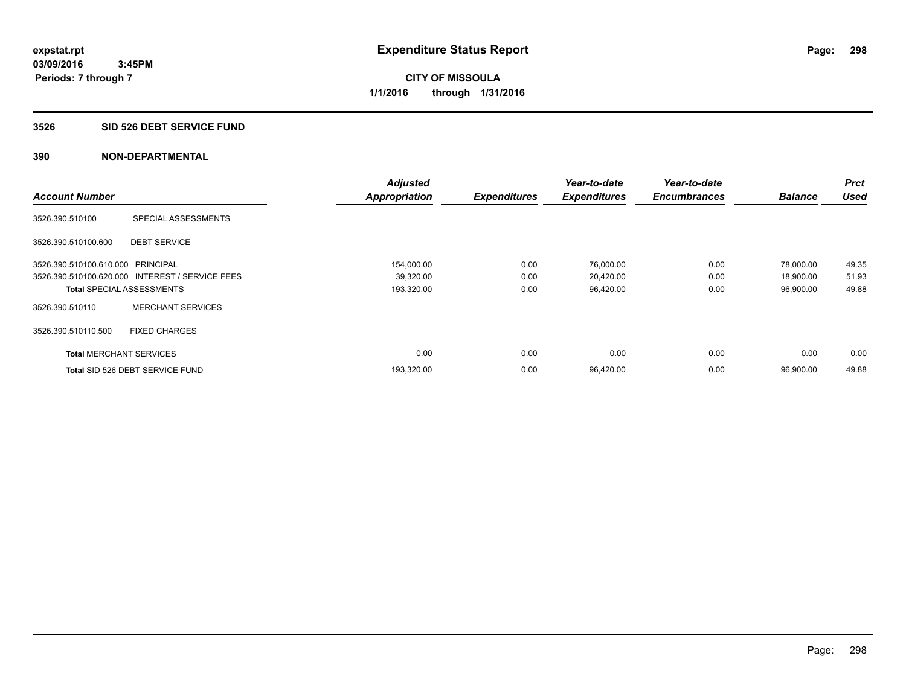#### **3526 SID 526 DEBT SERVICE FUND**

|                                   |                                                 | <b>Adjusted</b>      |                     | Year-to-date        | Year-to-date        |                | Prct        |
|-----------------------------------|-------------------------------------------------|----------------------|---------------------|---------------------|---------------------|----------------|-------------|
| <b>Account Number</b>             |                                                 | <b>Appropriation</b> | <b>Expenditures</b> | <b>Expenditures</b> | <b>Encumbrances</b> | <b>Balance</b> | <b>Used</b> |
| 3526.390.510100                   | SPECIAL ASSESSMENTS                             |                      |                     |                     |                     |                |             |
| 3526.390.510100.600               | <b>DEBT SERVICE</b>                             |                      |                     |                     |                     |                |             |
| 3526.390.510100.610.000 PRINCIPAL |                                                 | 154,000.00           | 0.00                | 76,000.00           | 0.00                | 78.000.00      | 49.35       |
|                                   | 3526.390.510100.620.000 INTEREST / SERVICE FEES | 39,320.00            | 0.00                | 20,420.00           | 0.00                | 18,900.00      | 51.93       |
| <b>Total SPECIAL ASSESSMENTS</b>  |                                                 | 193,320.00           | 0.00                | 96,420.00           | 0.00                | 96,900.00      | 49.88       |
| 3526.390.510110                   | <b>MERCHANT SERVICES</b>                        |                      |                     |                     |                     |                |             |
| 3526.390.510110.500               | <b>FIXED CHARGES</b>                            |                      |                     |                     |                     |                |             |
| <b>Total MERCHANT SERVICES</b>    |                                                 | 0.00                 | 0.00                | 0.00                | 0.00                | 0.00           | 0.00        |
|                                   | Total SID 526 DEBT SERVICE FUND                 | 193,320.00           | 0.00                | 96,420.00           | 0.00                | 96,900.00      | 49.88       |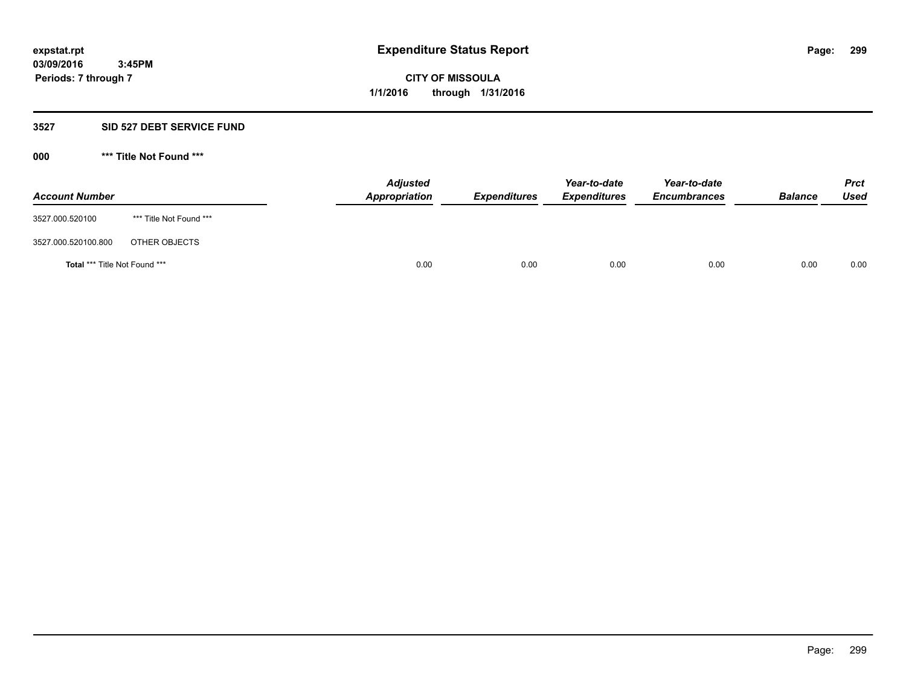#### **3527 SID 527 DEBT SERVICE FUND**

**000 \*\*\* Title Not Found \*\*\***

| <b>Account Number</b>         |                         | <b>Adjusted</b><br>Appropriation | <b>Expenditures</b> | Year-to-date<br><b>Expenditures</b> | Year-to-date<br><b>Encumbrances</b> | <b>Balance</b> | <b>Prct</b><br>Used |
|-------------------------------|-------------------------|----------------------------------|---------------------|-------------------------------------|-------------------------------------|----------------|---------------------|
| 3527.000.520100               | *** Title Not Found *** |                                  |                     |                                     |                                     |                |                     |
| 3527.000.520100.800           | OTHER OBJECTS           |                                  |                     |                                     |                                     |                |                     |
| Total *** Title Not Found *** |                         | 0.00                             | 0.00                | 0.00                                | 0.00                                | 0.00           | 0.00                |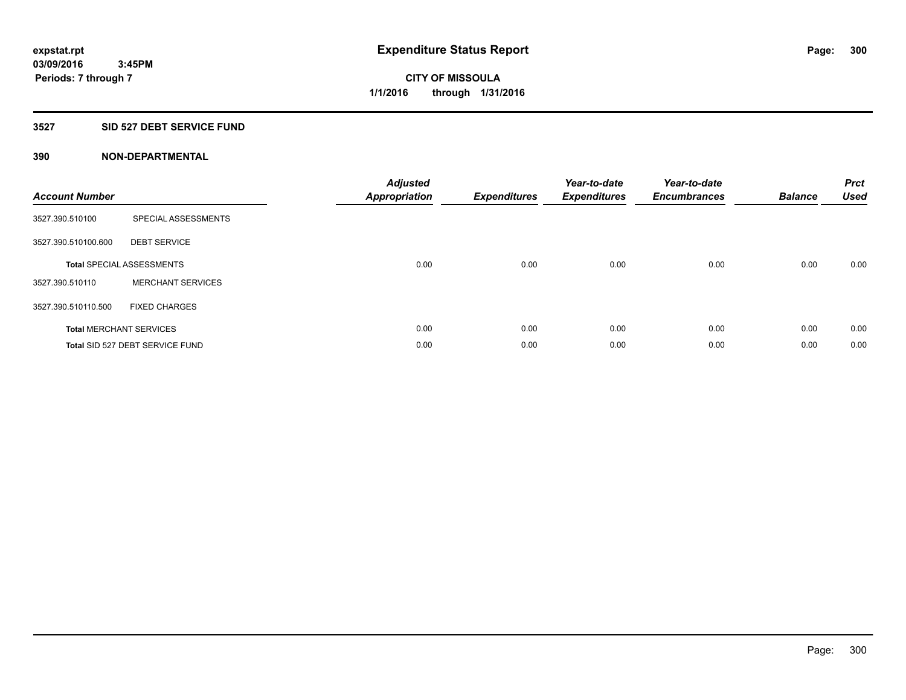#### **3527 SID 527 DEBT SERVICE FUND**

| <b>Account Number</b> |                                  | <b>Adjusted</b><br><b>Appropriation</b> | <b>Expenditures</b> | Year-to-date<br><b>Expenditures</b> | Year-to-date<br><b>Encumbrances</b> | <b>Balance</b> | <b>Prct</b><br><b>Used</b> |
|-----------------------|----------------------------------|-----------------------------------------|---------------------|-------------------------------------|-------------------------------------|----------------|----------------------------|
| 3527.390.510100       | SPECIAL ASSESSMENTS              |                                         |                     |                                     |                                     |                |                            |
| 3527.390.510100.600   | <b>DEBT SERVICE</b>              |                                         |                     |                                     |                                     |                |                            |
|                       | <b>Total SPECIAL ASSESSMENTS</b> | 0.00                                    | 0.00                | 0.00                                | 0.00                                | 0.00           | 0.00                       |
| 3527.390.510110       | <b>MERCHANT SERVICES</b>         |                                         |                     |                                     |                                     |                |                            |
| 3527.390.510110.500   | <b>FIXED CHARGES</b>             |                                         |                     |                                     |                                     |                |                            |
|                       | <b>Total MERCHANT SERVICES</b>   | 0.00                                    | 0.00                | 0.00                                | 0.00                                | 0.00           | 0.00                       |
|                       | Total SID 527 DEBT SERVICE FUND  | 0.00                                    | 0.00                | 0.00                                | 0.00                                | 0.00           | 0.00                       |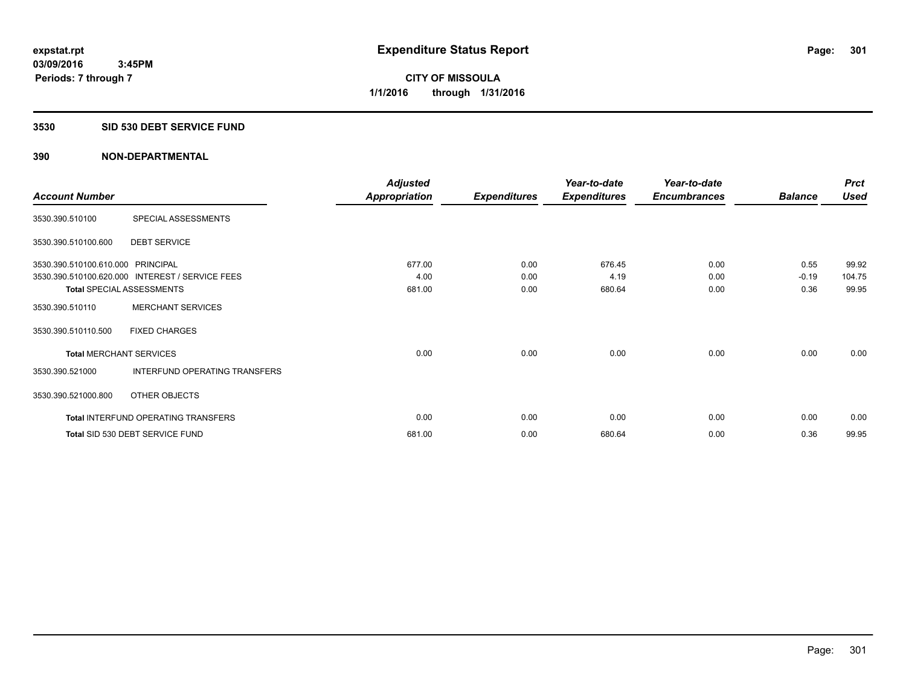#### **3530 SID 530 DEBT SERVICE FUND**

|                                   |                                                 | <b>Adjusted</b>      |                     | Year-to-date        | Year-to-date        |                | <b>Prct</b> |
|-----------------------------------|-------------------------------------------------|----------------------|---------------------|---------------------|---------------------|----------------|-------------|
| <b>Account Number</b>             |                                                 | <b>Appropriation</b> | <b>Expenditures</b> | <b>Expenditures</b> | <b>Encumbrances</b> | <b>Balance</b> | <b>Used</b> |
| 3530.390.510100                   | SPECIAL ASSESSMENTS                             |                      |                     |                     |                     |                |             |
| 3530.390.510100.600               | <b>DEBT SERVICE</b>                             |                      |                     |                     |                     |                |             |
| 3530.390.510100.610.000 PRINCIPAL |                                                 | 677.00               | 0.00                | 676.45              | 0.00                | 0.55           | 99.92       |
|                                   | 3530.390.510100.620.000 INTEREST / SERVICE FEES | 4.00                 | 0.00                | 4.19                | 0.00                | $-0.19$        | 104.75      |
| <b>Total SPECIAL ASSESSMENTS</b>  |                                                 | 681.00               | 0.00                | 680.64              | 0.00                | 0.36           | 99.95       |
| 3530.390.510110                   | <b>MERCHANT SERVICES</b>                        |                      |                     |                     |                     |                |             |
| 3530.390.510110.500               | <b>FIXED CHARGES</b>                            |                      |                     |                     |                     |                |             |
| <b>Total MERCHANT SERVICES</b>    |                                                 | 0.00                 | 0.00                | 0.00                | 0.00                | 0.00           | 0.00        |
| 3530.390.521000                   | <b>INTERFUND OPERATING TRANSFERS</b>            |                      |                     |                     |                     |                |             |
| 3530.390.521000.800               | OTHER OBJECTS                                   |                      |                     |                     |                     |                |             |
|                                   | <b>Total INTERFUND OPERATING TRANSFERS</b>      | 0.00                 | 0.00                | 0.00                | 0.00                | 0.00           | 0.00        |
|                                   | Total SID 530 DEBT SERVICE FUND                 | 681.00               | 0.00                | 680.64              | 0.00                | 0.36           | 99.95       |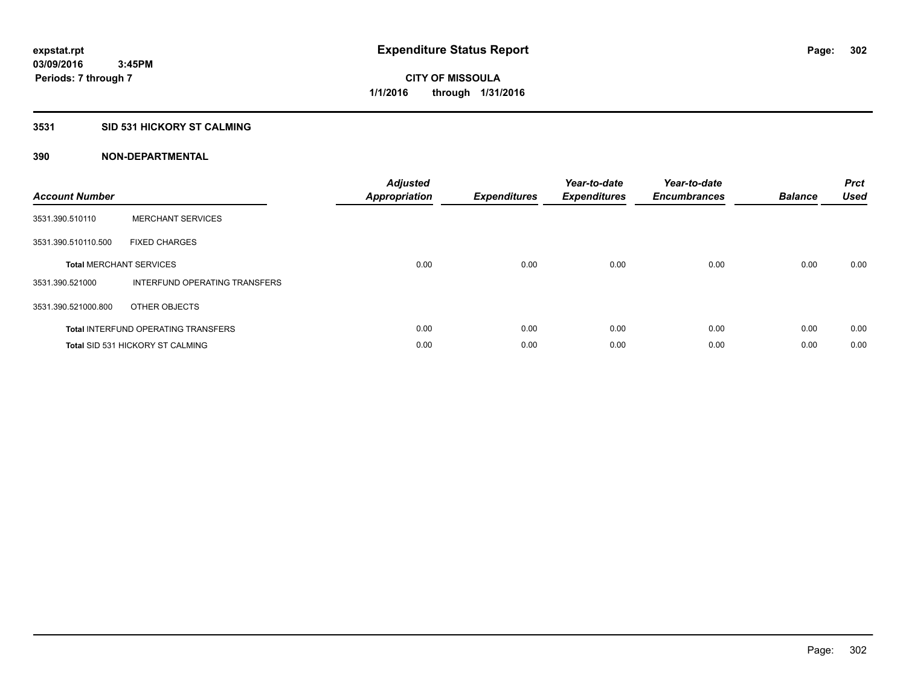## **3531 SID 531 HICKORY ST CALMING**

| <b>Account Number</b> |                                            | <b>Adjusted</b><br>Appropriation | <b>Expenditures</b> | Year-to-date<br><b>Expenditures</b> | Year-to-date<br><b>Encumbrances</b> | <b>Balance</b> | <b>Prct</b><br><b>Used</b> |
|-----------------------|--------------------------------------------|----------------------------------|---------------------|-------------------------------------|-------------------------------------|----------------|----------------------------|
| 3531.390.510110       | <b>MERCHANT SERVICES</b>                   |                                  |                     |                                     |                                     |                |                            |
| 3531.390.510110.500   | <b>FIXED CHARGES</b>                       |                                  |                     |                                     |                                     |                |                            |
|                       | <b>Total MERCHANT SERVICES</b>             | 0.00                             | 0.00                | 0.00                                | 0.00                                | 0.00           | 0.00                       |
| 3531.390.521000       | INTERFUND OPERATING TRANSFERS              |                                  |                     |                                     |                                     |                |                            |
| 3531.390.521000.800   | OTHER OBJECTS                              |                                  |                     |                                     |                                     |                |                            |
|                       | <b>Total INTERFUND OPERATING TRANSFERS</b> | 0.00                             | 0.00                | 0.00                                | 0.00                                | 0.00           | 0.00                       |
|                       | Total SID 531 HICKORY ST CALMING           | 0.00                             | 0.00                | 0.00                                | 0.00                                | 0.00           | 0.00                       |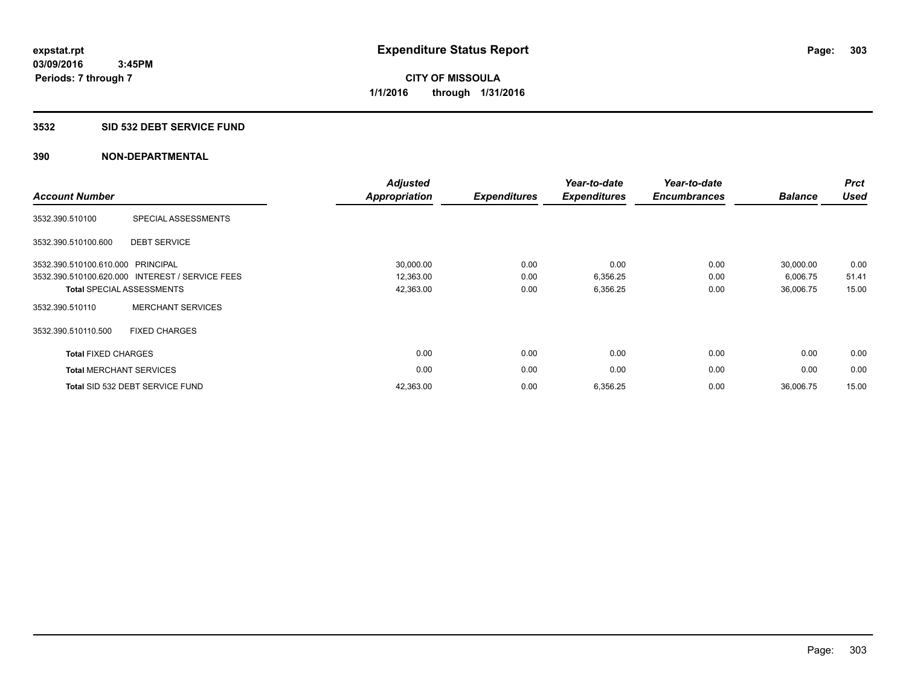## **3532 SID 532 DEBT SERVICE FUND**

| <b>Account Number</b>          |                                                 | <b>Adjusted</b><br><b>Appropriation</b> | <b>Expenditures</b> | Year-to-date<br><b>Expenditures</b> | Year-to-date<br><b>Encumbrances</b> | <b>Balance</b> | <b>Prct</b><br><b>Used</b> |
|--------------------------------|-------------------------------------------------|-----------------------------------------|---------------------|-------------------------------------|-------------------------------------|----------------|----------------------------|
| 3532.390.510100                | SPECIAL ASSESSMENTS                             |                                         |                     |                                     |                                     |                |                            |
| 3532.390.510100.600            | <b>DEBT SERVICE</b>                             |                                         |                     |                                     |                                     |                |                            |
| 3532.390.510100.610.000        | PRINCIPAL                                       | 30,000.00                               | 0.00                | 0.00                                | 0.00                                | 30,000.00      | 0.00                       |
|                                | 3532.390.510100.620.000 INTEREST / SERVICE FEES | 12,363.00                               | 0.00                | 6,356.25                            | 0.00                                | 6,006.75       | 51.41                      |
|                                | <b>Total SPECIAL ASSESSMENTS</b>                | 42,363.00                               | 0.00                | 6,356.25                            | 0.00                                | 36,006.75      | 15.00                      |
| 3532.390.510110                | <b>MERCHANT SERVICES</b>                        |                                         |                     |                                     |                                     |                |                            |
| 3532.390.510110.500            | <b>FIXED CHARGES</b>                            |                                         |                     |                                     |                                     |                |                            |
| <b>Total FIXED CHARGES</b>     |                                                 | 0.00                                    | 0.00                | 0.00                                | 0.00                                | 0.00           | 0.00                       |
| <b>Total MERCHANT SERVICES</b> |                                                 | 0.00                                    | 0.00                | 0.00                                | 0.00                                | 0.00           | 0.00                       |
|                                | Total SID 532 DEBT SERVICE FUND                 | 42,363.00                               | 0.00                | 6,356.25                            | 0.00                                | 36,006.75      | 15.00                      |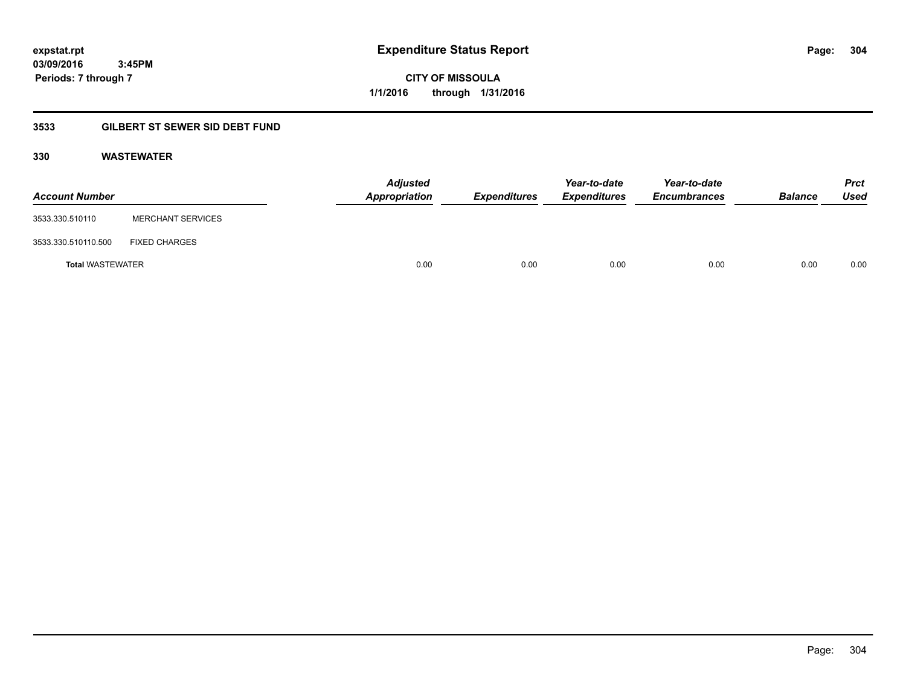**expstat.rpt Expenditure Status Report Page:**

**03/09/2016 3:45PM Periods: 7 through 7**

**CITY OF MISSOULA 1/1/2016 through 1/31/2016**

## **3533 GILBERT ST SEWER SID DEBT FUND**

## **330 WASTEWATER**

| <b>Account Number</b>   |                          | <b>Adjusted</b><br>Appropriation | <b>Expenditures</b> | Year-to-date<br><b>Expenditures</b> | Year-to-date<br><b>Encumbrances</b> | <b>Balance</b> | <b>Prct</b><br>Used |
|-------------------------|--------------------------|----------------------------------|---------------------|-------------------------------------|-------------------------------------|----------------|---------------------|
| 3533.330.510110         | <b>MERCHANT SERVICES</b> |                                  |                     |                                     |                                     |                |                     |
| 3533.330.510110.500     | <b>FIXED CHARGES</b>     |                                  |                     |                                     |                                     |                |                     |
| <b>Total WASTEWATER</b> |                          | 0.00                             | 0.00                | 0.00                                | 0.00                                | 0.00           | 0.00                |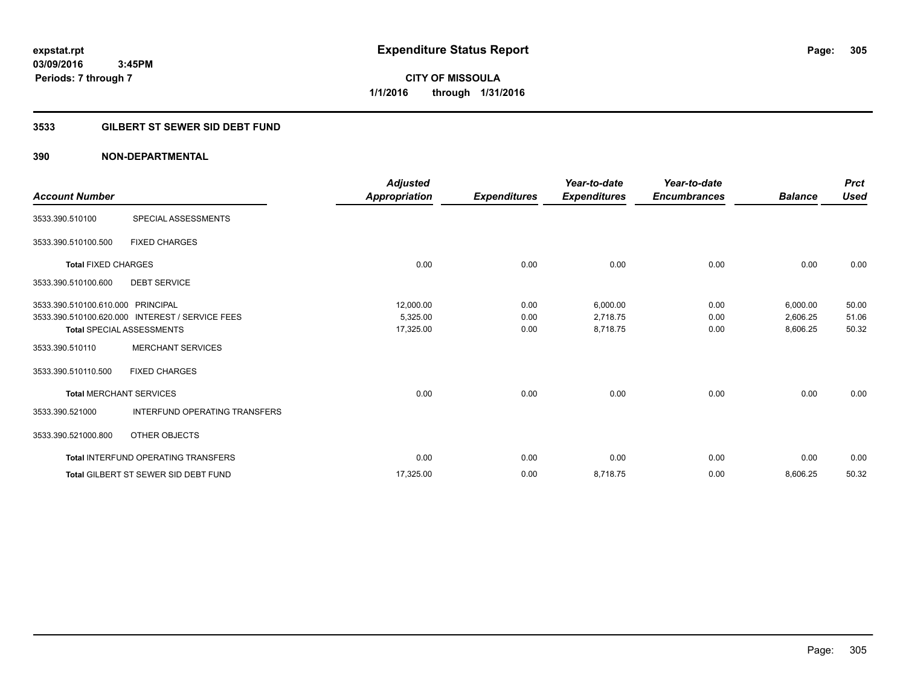**Periods: 7 through 7**

**CITY OF MISSOULA 1/1/2016 through 1/31/2016**

## **3533 GILBERT ST SEWER SID DEBT FUND**

## **390 NON-DEPARTMENTAL**

 **3:45PM**

|                                   |                                                 | <b>Adjusted</b>      |                     | Year-to-date        | Year-to-date        |                | <b>Prct</b> |
|-----------------------------------|-------------------------------------------------|----------------------|---------------------|---------------------|---------------------|----------------|-------------|
| <b>Account Number</b>             |                                                 | <b>Appropriation</b> | <b>Expenditures</b> | <b>Expenditures</b> | <b>Encumbrances</b> | <b>Balance</b> | <b>Used</b> |
| 3533.390.510100                   | <b>SPECIAL ASSESSMENTS</b>                      |                      |                     |                     |                     |                |             |
| 3533.390.510100.500               | <b>FIXED CHARGES</b>                            |                      |                     |                     |                     |                |             |
| <b>Total FIXED CHARGES</b>        |                                                 | 0.00                 | 0.00                | 0.00                | 0.00                | 0.00           | 0.00        |
| 3533.390.510100.600               | <b>DEBT SERVICE</b>                             |                      |                     |                     |                     |                |             |
| 3533.390.510100.610.000 PRINCIPAL |                                                 | 12,000.00            | 0.00                | 6,000.00            | 0.00                | 6,000.00       | 50.00       |
|                                   | 3533.390.510100.620.000 INTEREST / SERVICE FEES | 5,325.00             | 0.00                | 2,718.75            | 0.00                | 2,606.25       | 51.06       |
|                                   | <b>Total SPECIAL ASSESSMENTS</b>                | 17,325.00            | 0.00                | 8,718.75            | 0.00                | 8,606.25       | 50.32       |
| 3533.390.510110                   | <b>MERCHANT SERVICES</b>                        |                      |                     |                     |                     |                |             |
| 3533.390.510110.500               | <b>FIXED CHARGES</b>                            |                      |                     |                     |                     |                |             |
| <b>Total MERCHANT SERVICES</b>    |                                                 | 0.00                 | 0.00                | 0.00                | 0.00                | 0.00           | 0.00        |
| 3533.390.521000                   | <b>INTERFUND OPERATING TRANSFERS</b>            |                      |                     |                     |                     |                |             |
| 3533.390.521000.800               | OTHER OBJECTS                                   |                      |                     |                     |                     |                |             |
|                                   | <b>Total INTERFUND OPERATING TRANSFERS</b>      | 0.00                 | 0.00                | 0.00                | 0.00                | 0.00           | 0.00        |
|                                   | <b>Total GILBERT ST SEWER SID DEBT FUND</b>     | 17,325.00            | 0.00                | 8,718.75            | 0.00                | 8,606.25       | 50.32       |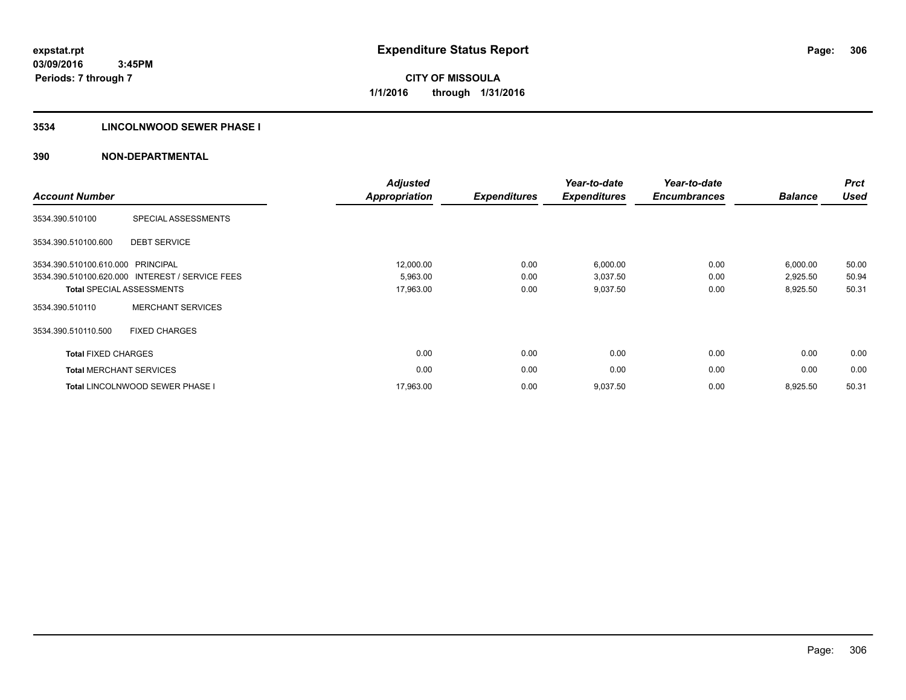## **3534 LINCOLNWOOD SEWER PHASE I**

| <b>Account Number</b>             |                                                 | <b>Adjusted</b><br><b>Appropriation</b> | <b>Expenditures</b> | Year-to-date<br><b>Expenditures</b> | Year-to-date<br><b>Encumbrances</b> | <b>Balance</b> | <b>Prct</b><br><b>Used</b> |
|-----------------------------------|-------------------------------------------------|-----------------------------------------|---------------------|-------------------------------------|-------------------------------------|----------------|----------------------------|
| 3534.390.510100                   | SPECIAL ASSESSMENTS                             |                                         |                     |                                     |                                     |                |                            |
| 3534.390.510100.600               | <b>DEBT SERVICE</b>                             |                                         |                     |                                     |                                     |                |                            |
| 3534.390.510100.610.000 PRINCIPAL |                                                 | 12,000.00                               | 0.00                | 6,000.00                            | 0.00                                | 6,000.00       | 50.00                      |
|                                   | 3534.390.510100.620.000 INTEREST / SERVICE FEES | 5,963.00                                | 0.00                | 3,037.50                            | 0.00                                | 2,925.50       | 50.94                      |
|                                   | <b>Total SPECIAL ASSESSMENTS</b>                | 17,963.00                               | 0.00                | 9,037.50                            | 0.00                                | 8,925.50       | 50.31                      |
| 3534.390.510110                   | <b>MERCHANT SERVICES</b>                        |                                         |                     |                                     |                                     |                |                            |
| 3534.390.510110.500               | <b>FIXED CHARGES</b>                            |                                         |                     |                                     |                                     |                |                            |
| <b>Total FIXED CHARGES</b>        |                                                 | 0.00                                    | 0.00                | 0.00                                | 0.00                                | 0.00           | 0.00                       |
|                                   | <b>Total MERCHANT SERVICES</b>                  | 0.00                                    | 0.00                | 0.00                                | 0.00                                | 0.00           | 0.00                       |
|                                   | <b>Total LINCOLNWOOD SEWER PHASE I</b>          | 17,963.00                               | 0.00                | 9,037.50                            | 0.00                                | 8,925.50       | 50.31                      |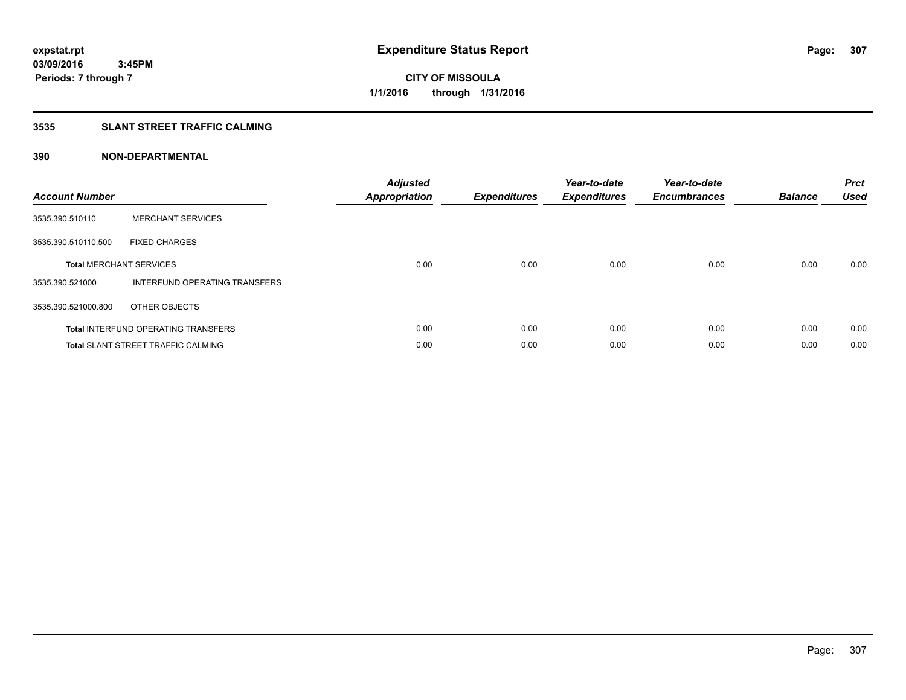## **3535 SLANT STREET TRAFFIC CALMING**

| <b>Account Number</b> |                                            | <b>Adjusted</b><br>Appropriation | <b>Expenditures</b> | Year-to-date<br><b>Expenditures</b> | Year-to-date<br><b>Encumbrances</b> | <b>Balance</b> | <b>Prct</b><br><b>Used</b> |
|-----------------------|--------------------------------------------|----------------------------------|---------------------|-------------------------------------|-------------------------------------|----------------|----------------------------|
| 3535.390.510110       | <b>MERCHANT SERVICES</b>                   |                                  |                     |                                     |                                     |                |                            |
| 3535.390.510110.500   | <b>FIXED CHARGES</b>                       |                                  |                     |                                     |                                     |                |                            |
|                       | <b>Total MERCHANT SERVICES</b>             | 0.00                             | 0.00                | 0.00                                | 0.00                                | 0.00           | 0.00                       |
| 3535.390.521000       | INTERFUND OPERATING TRANSFERS              |                                  |                     |                                     |                                     |                |                            |
| 3535.390.521000.800   | OTHER OBJECTS                              |                                  |                     |                                     |                                     |                |                            |
|                       | <b>Total INTERFUND OPERATING TRANSFERS</b> | 0.00                             | 0.00                | 0.00                                | 0.00                                | 0.00           | 0.00                       |
|                       | <b>Total SLANT STREET TRAFFIC CALMING</b>  | 0.00                             | 0.00                | 0.00                                | 0.00                                | 0.00           | 0.00                       |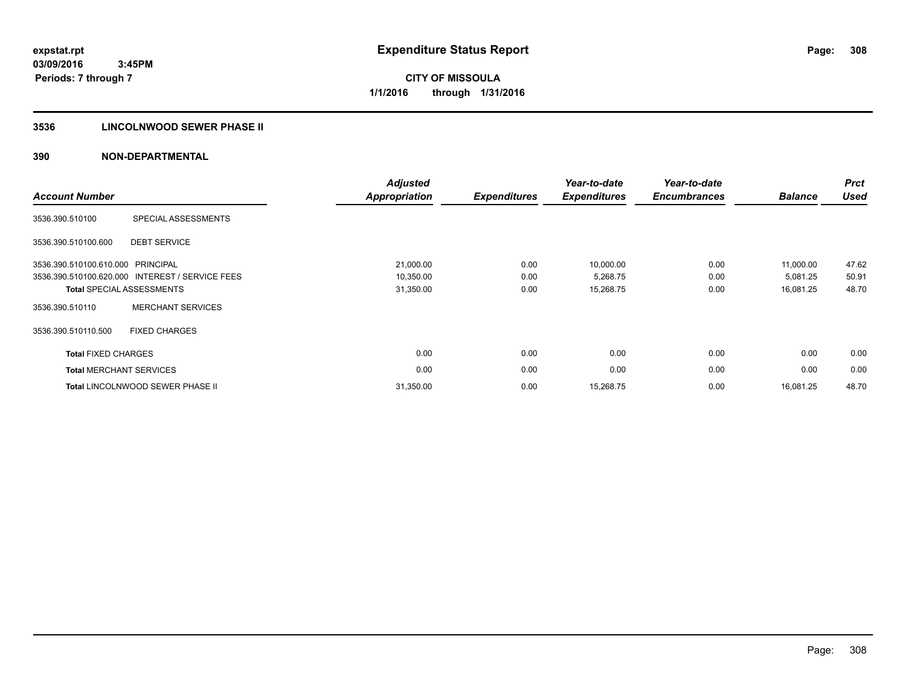## **3536 LINCOLNWOOD SEWER PHASE II**

| <b>Account Number</b>          |                                                 | <b>Adjusted</b><br><b>Appropriation</b> | <b>Expenditures</b> | Year-to-date<br><b>Expenditures</b> | Year-to-date<br><b>Encumbrances</b> | <b>Balance</b> | <b>Prct</b><br><b>Used</b> |
|--------------------------------|-------------------------------------------------|-----------------------------------------|---------------------|-------------------------------------|-------------------------------------|----------------|----------------------------|
| 3536.390.510100                | <b>SPECIAL ASSESSMENTS</b>                      |                                         |                     |                                     |                                     |                |                            |
| 3536.390.510100.600            | <b>DEBT SERVICE</b>                             |                                         |                     |                                     |                                     |                |                            |
| 3536.390.510100.610.000        | PRINCIPAL                                       | 21,000.00                               | 0.00                | 10,000.00                           | 0.00                                | 11,000.00      | 47.62                      |
|                                | 3536.390.510100.620.000 INTEREST / SERVICE FEES | 10,350.00                               | 0.00                | 5,268.75                            | 0.00                                | 5,081.25       | 50.91                      |
|                                | <b>Total SPECIAL ASSESSMENTS</b>                | 31,350.00                               | 0.00                | 15,268.75                           | 0.00                                | 16,081.25      | 48.70                      |
| 3536.390.510110                | <b>MERCHANT SERVICES</b>                        |                                         |                     |                                     |                                     |                |                            |
| 3536.390.510110.500            | <b>FIXED CHARGES</b>                            |                                         |                     |                                     |                                     |                |                            |
| <b>Total FIXED CHARGES</b>     |                                                 | 0.00                                    | 0.00                | 0.00                                | 0.00                                | 0.00           | 0.00                       |
| <b>Total MERCHANT SERVICES</b> |                                                 | 0.00                                    | 0.00                | 0.00                                | 0.00                                | 0.00           | 0.00                       |
|                                | Total LINCOLNWOOD SEWER PHASE II                | 31,350.00                               | 0.00                | 15,268.75                           | 0.00                                | 16,081.25      | 48.70                      |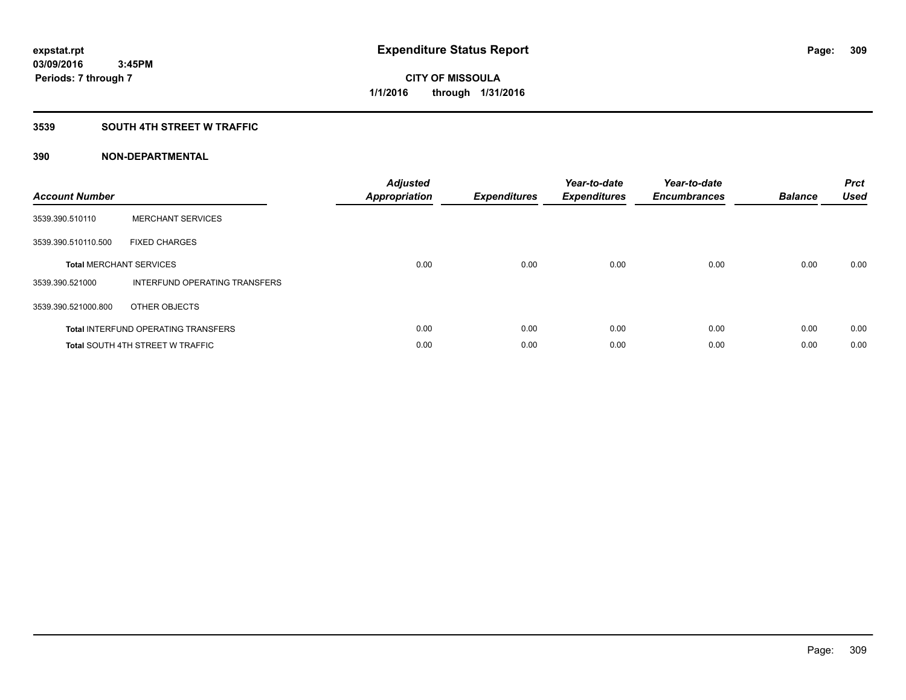## **3539 SOUTH 4TH STREET W TRAFFIC**

| <b>Account Number</b> |                                            | <b>Adjusted</b><br>Appropriation | <b>Expenditures</b> | Year-to-date<br><b>Expenditures</b> | Year-to-date<br><b>Encumbrances</b> | <b>Balance</b> | <b>Prct</b><br><b>Used</b> |
|-----------------------|--------------------------------------------|----------------------------------|---------------------|-------------------------------------|-------------------------------------|----------------|----------------------------|
| 3539.390.510110       | <b>MERCHANT SERVICES</b>                   |                                  |                     |                                     |                                     |                |                            |
| 3539.390.510110.500   | <b>FIXED CHARGES</b>                       |                                  |                     |                                     |                                     |                |                            |
|                       | <b>Total MERCHANT SERVICES</b>             | 0.00                             | 0.00                | 0.00                                | 0.00                                | 0.00           | 0.00                       |
| 3539.390.521000       | INTERFUND OPERATING TRANSFERS              |                                  |                     |                                     |                                     |                |                            |
| 3539.390.521000.800   | OTHER OBJECTS                              |                                  |                     |                                     |                                     |                |                            |
|                       | <b>Total INTERFUND OPERATING TRANSFERS</b> | 0.00                             | 0.00                | 0.00                                | 0.00                                | 0.00           | 0.00                       |
|                       | <b>Total SOUTH 4TH STREET W TRAFFIC</b>    | 0.00                             | 0.00                | 0.00                                | 0.00                                | 0.00           | 0.00                       |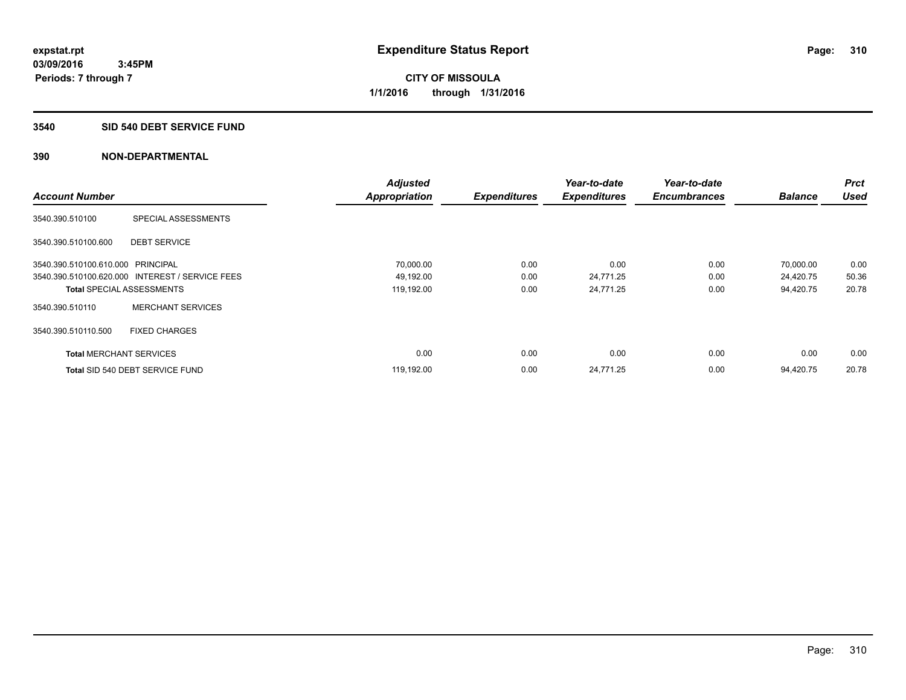#### **3540 SID 540 DEBT SERVICE FUND**

|                                   |                                                 | <b>Adjusted</b>      |                     | Year-to-date        | Year-to-date        |                | <b>Prct</b> |
|-----------------------------------|-------------------------------------------------|----------------------|---------------------|---------------------|---------------------|----------------|-------------|
| <b>Account Number</b>             |                                                 | <b>Appropriation</b> | <b>Expenditures</b> | <b>Expenditures</b> | <b>Encumbrances</b> | <b>Balance</b> | <b>Used</b> |
| 3540.390.510100                   | SPECIAL ASSESSMENTS                             |                      |                     |                     |                     |                |             |
| 3540.390.510100.600               | <b>DEBT SERVICE</b>                             |                      |                     |                     |                     |                |             |
| 3540.390.510100.610.000 PRINCIPAL |                                                 | 70,000.00            | 0.00                | 0.00                | 0.00                | 70,000.00      | 0.00        |
|                                   | 3540.390.510100.620.000 INTEREST / SERVICE FEES | 49,192.00            | 0.00                | 24,771.25           | 0.00                | 24,420.75      | 50.36       |
| <b>Total SPECIAL ASSESSMENTS</b>  |                                                 | 119,192.00           | 0.00                | 24,771.25           | 0.00                | 94,420.75      | 20.78       |
| 3540.390.510110                   | <b>MERCHANT SERVICES</b>                        |                      |                     |                     |                     |                |             |
| 3540.390.510110.500               | <b>FIXED CHARGES</b>                            |                      |                     |                     |                     |                |             |
| <b>Total MERCHANT SERVICES</b>    |                                                 | 0.00                 | 0.00                | 0.00                | 0.00                | 0.00           | 0.00        |
|                                   | Total SID 540 DEBT SERVICE FUND                 | 119,192.00           | 0.00                | 24,771.25           | 0.00                | 94.420.75      | 20.78       |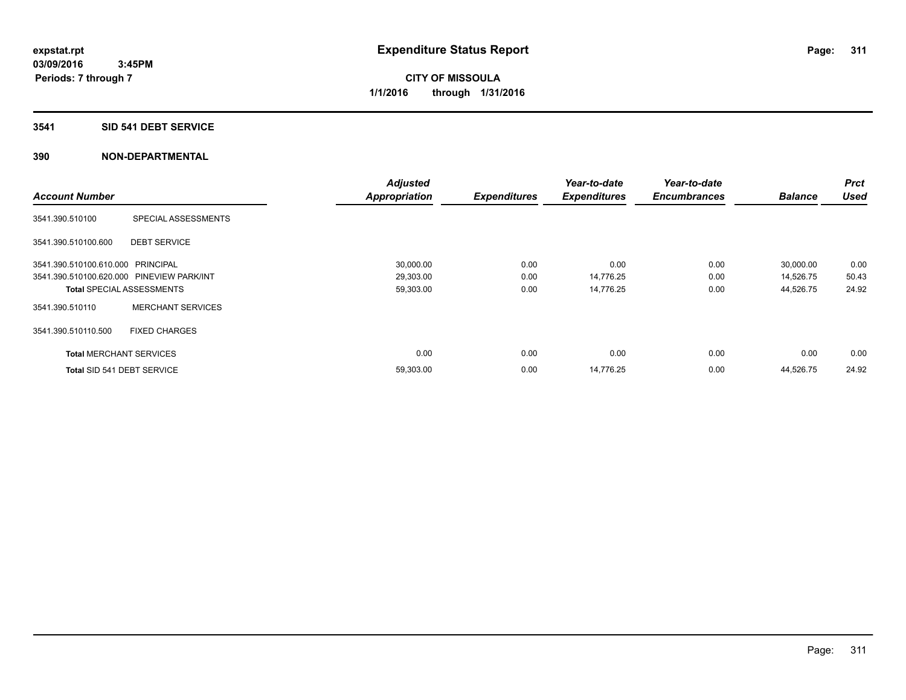#### **3541 SID 541 DEBT SERVICE**

|                                           |                          | <b>Adjusted</b>      |                     | Year-to-date        | Year-to-date        |                | <b>Prct</b> |
|-------------------------------------------|--------------------------|----------------------|---------------------|---------------------|---------------------|----------------|-------------|
| <b>Account Number</b>                     |                          | <b>Appropriation</b> | <b>Expenditures</b> | <b>Expenditures</b> | <b>Encumbrances</b> | <b>Balance</b> | <b>Used</b> |
| 3541.390.510100                           | SPECIAL ASSESSMENTS      |                      |                     |                     |                     |                |             |
| 3541.390.510100.600                       | <b>DEBT SERVICE</b>      |                      |                     |                     |                     |                |             |
| 3541.390.510100.610.000 PRINCIPAL         |                          | 30,000.00            | 0.00                | 0.00                | 0.00                | 30,000.00      | 0.00        |
| 3541.390.510100.620.000 PINEVIEW PARK/INT |                          | 29,303.00            | 0.00                | 14,776.25           | 0.00                | 14,526.75      | 50.43       |
| <b>Total SPECIAL ASSESSMENTS</b>          |                          | 59,303.00            | 0.00                | 14,776.25           | 0.00                | 44,526.75      | 24.92       |
| 3541.390.510110                           | <b>MERCHANT SERVICES</b> |                      |                     |                     |                     |                |             |
| 3541.390.510110.500                       | <b>FIXED CHARGES</b>     |                      |                     |                     |                     |                |             |
| <b>Total MERCHANT SERVICES</b>            |                          | 0.00                 | 0.00                | 0.00                | 0.00                | 0.00           | 0.00        |
| Total SID 541 DEBT SERVICE                |                          | 59,303.00            | 0.00                | 14,776.25           | 0.00                | 44,526.75      | 24.92       |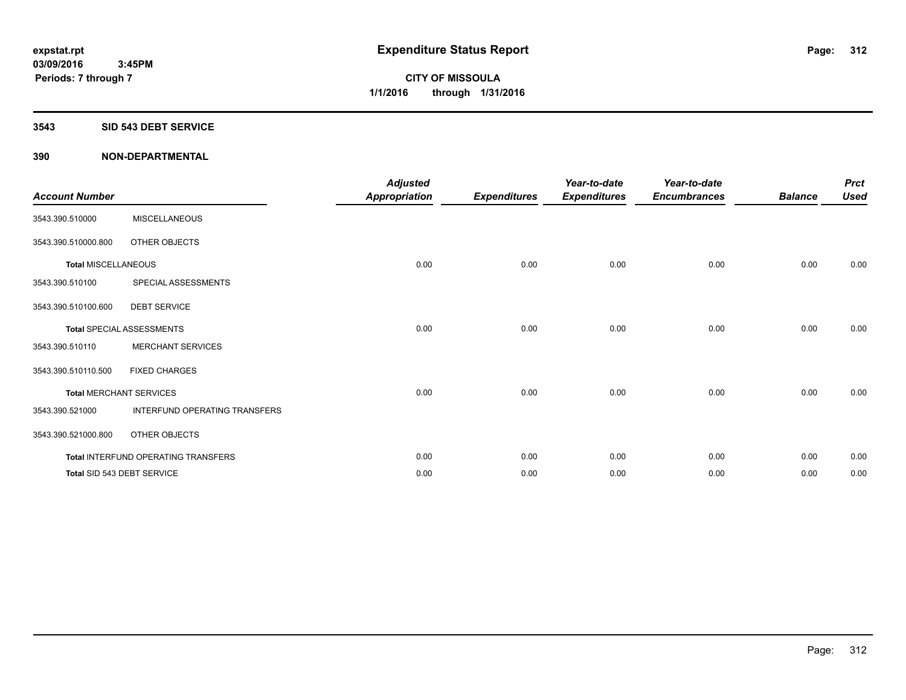#### **3543 SID 543 DEBT SERVICE**

| <b>Account Number</b>      |                                     | <b>Adjusted</b><br><b>Appropriation</b> | <b>Expenditures</b> | Year-to-date<br><b>Expenditures</b> | Year-to-date<br><b>Encumbrances</b> | <b>Balance</b> | <b>Prct</b><br><b>Used</b> |
|----------------------------|-------------------------------------|-----------------------------------------|---------------------|-------------------------------------|-------------------------------------|----------------|----------------------------|
| 3543.390.510000            | <b>MISCELLANEOUS</b>                |                                         |                     |                                     |                                     |                |                            |
| 3543.390.510000.800        | OTHER OBJECTS                       |                                         |                     |                                     |                                     |                |                            |
| <b>Total MISCELLANEOUS</b> |                                     | 0.00                                    | 0.00                | 0.00                                | 0.00                                | 0.00           | 0.00                       |
| 3543.390.510100            | SPECIAL ASSESSMENTS                 |                                         |                     |                                     |                                     |                |                            |
| 3543.390.510100.600        | <b>DEBT SERVICE</b>                 |                                         |                     |                                     |                                     |                |                            |
|                            | <b>Total SPECIAL ASSESSMENTS</b>    | 0.00                                    | 0.00                | 0.00                                | 0.00                                | 0.00           | 0.00                       |
| 3543.390.510110            | <b>MERCHANT SERVICES</b>            |                                         |                     |                                     |                                     |                |                            |
| 3543.390.510110.500        | <b>FIXED CHARGES</b>                |                                         |                     |                                     |                                     |                |                            |
|                            | <b>Total MERCHANT SERVICES</b>      | 0.00                                    | 0.00                | 0.00                                | 0.00                                | 0.00           | 0.00                       |
| 3543.390.521000            | INTERFUND OPERATING TRANSFERS       |                                         |                     |                                     |                                     |                |                            |
| 3543.390.521000.800        | OTHER OBJECTS                       |                                         |                     |                                     |                                     |                |                            |
|                            | Total INTERFUND OPERATING TRANSFERS | 0.00                                    | 0.00                | 0.00                                | 0.00                                | 0.00           | 0.00                       |
|                            | Total SID 543 DEBT SERVICE          | 0.00                                    | 0.00                | 0.00                                | 0.00                                | 0.00           | 0.00                       |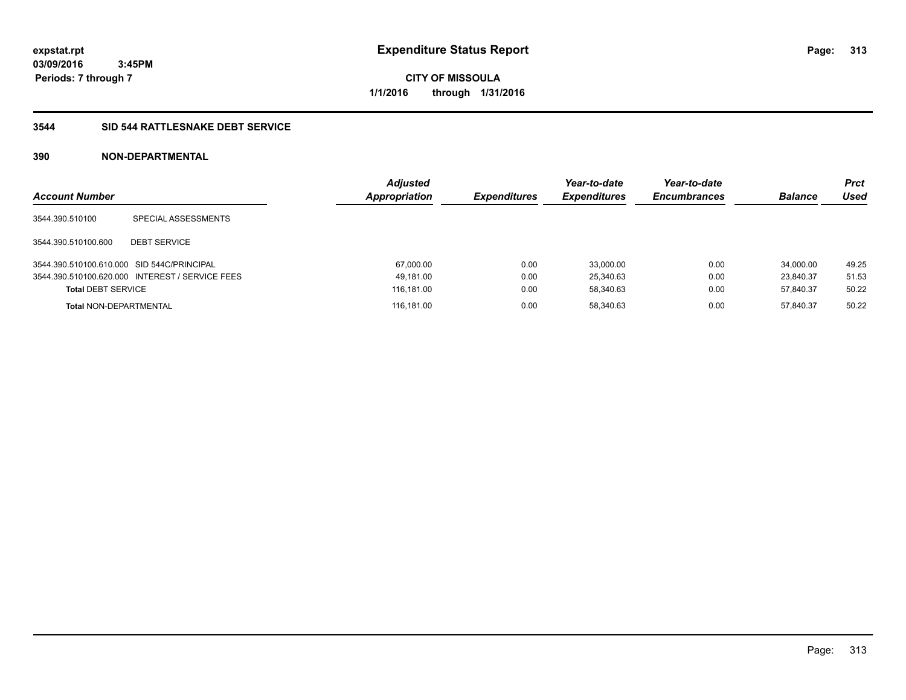**CITY OF MISSOULA 1/1/2016 through 1/31/2016**

## **3544 SID 544 RATTLESNAKE DEBT SERVICE**

| <b>Account Number</b>                      |                                                 | <b>Adjusted</b><br>Appropriation | <b>Expenditures</b> | Year-to-date<br><b>Expenditures</b> | Year-to-date<br><b>Encumbrances</b> | <b>Balance</b> | <b>Prct</b><br>Used |
|--------------------------------------------|-------------------------------------------------|----------------------------------|---------------------|-------------------------------------|-------------------------------------|----------------|---------------------|
| 3544.390.510100                            | SPECIAL ASSESSMENTS                             |                                  |                     |                                     |                                     |                |                     |
| 3544.390.510100.600                        | <b>DEBT SERVICE</b>                             |                                  |                     |                                     |                                     |                |                     |
| 3544.390.510100.610.000 SID 544C/PRINCIPAL |                                                 | 67,000.00                        | 0.00                | 33.000.00                           | 0.00                                | 34.000.00      | 49.25               |
|                                            | 3544.390.510100.620.000 INTEREST / SERVICE FEES | 49,181.00                        | 0.00                | 25.340.63                           | 0.00                                | 23.840.37      | 51.53               |
| <b>Total DEBT SERVICE</b>                  |                                                 | 116,181.00                       | 0.00                | 58,340.63                           | 0.00                                | 57,840.37      | 50.22               |
| <b>Total NON-DEPARTMENTAL</b>              |                                                 | 116.181.00                       | 0.00                | 58.340.63                           | 0.00                                | 57.840.37      | 50.22               |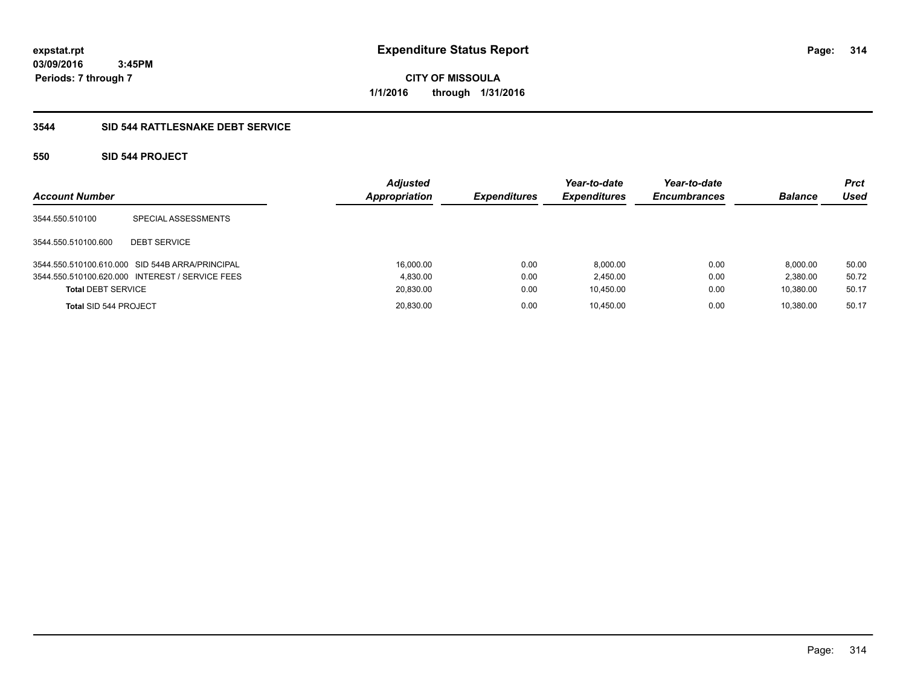**CITY OF MISSOULA 1/1/2016 through 1/31/2016**

## **3544 SID 544 RATTLESNAKE DEBT SERVICE**

## **550 SID 544 PROJECT**

| <b>Account Number</b>     |                                                 | <b>Adjusted</b><br><b>Appropriation</b> | <b>Expenditures</b> | Year-to-date<br><b>Expenditures</b> | Year-to-date<br><b>Encumbrances</b> | <b>Balance</b> | <b>Prct</b><br>Used |
|---------------------------|-------------------------------------------------|-----------------------------------------|---------------------|-------------------------------------|-------------------------------------|----------------|---------------------|
| 3544.550.510100           | SPECIAL ASSESSMENTS                             |                                         |                     |                                     |                                     |                |                     |
| 3544.550.510100.600       | <b>DEBT SERVICE</b>                             |                                         |                     |                                     |                                     |                |                     |
|                           | 3544.550.510100.610.000 SID 544B ARRA/PRINCIPAL | 16,000.00                               | 0.00                | 8,000.00                            | 0.00                                | 8.000.00       | 50.00               |
|                           | 3544.550.510100.620.000 INTEREST / SERVICE FEES | 4.830.00                                | 0.00                | 2.450.00                            | 0.00                                | 2.380.00       | 50.72               |
| <b>Total DEBT SERVICE</b> |                                                 | 20,830.00                               | 0.00                | 10,450.00                           | 0.00                                | 10.380.00      | 50.17               |
| Total SID 544 PROJECT     |                                                 | 20,830.00                               | 0.00                | 10.450.00                           | 0.00                                | 10.380.00      | 50.17               |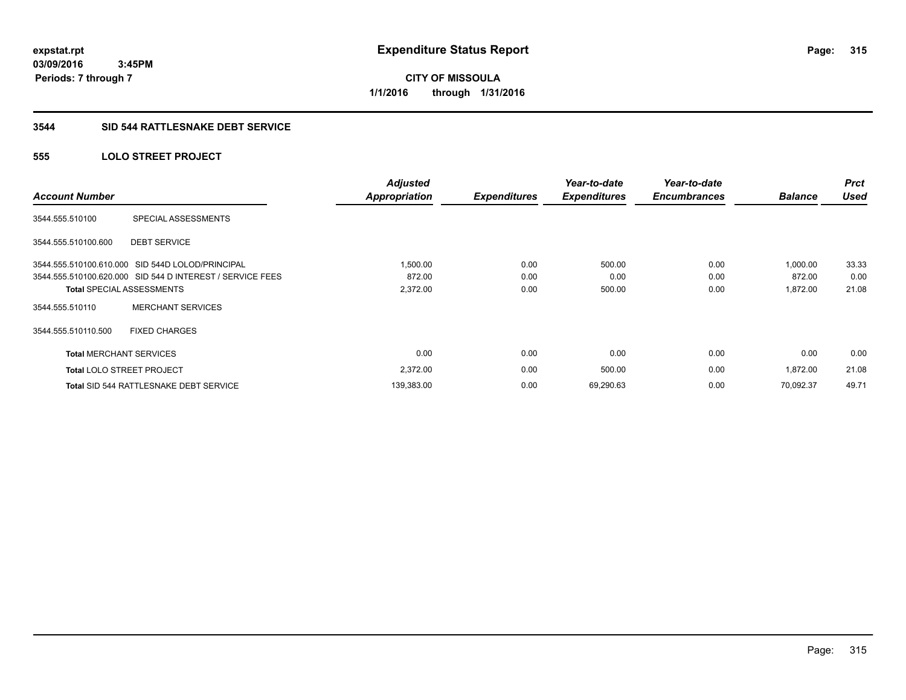# **CITY OF MISSOULA 1/1/2016 through 1/31/2016**

## **3544 SID 544 RATTLESNAKE DEBT SERVICE**

## **555 LOLO STREET PROJECT**

| <b>Account Number</b>          |                                                           | <b>Adjusted</b>      |                     | Year-to-date        | Year-to-date        | <b>Balance</b> | <b>Prct</b><br><b>Used</b> |
|--------------------------------|-----------------------------------------------------------|----------------------|---------------------|---------------------|---------------------|----------------|----------------------------|
|                                |                                                           | <b>Appropriation</b> | <b>Expenditures</b> | <b>Expenditures</b> | <b>Encumbrances</b> |                |                            |
| 3544.555.510100                | SPECIAL ASSESSMENTS                                       |                      |                     |                     |                     |                |                            |
| 3544.555.510100.600            | <b>DEBT SERVICE</b>                                       |                      |                     |                     |                     |                |                            |
|                                | 3544.555.510100.610.000 SID 544D LOLOD/PRINCIPAL          | 1,500.00             | 0.00                | 500.00              | 0.00                | 1.000.00       | 33.33                      |
|                                | 3544.555.510100.620.000 SID 544 D INTEREST / SERVICE FEES | 872.00               | 0.00                | 0.00                | 0.00                | 872.00         | 0.00                       |
|                                | Total SPECIAL ASSESSMENTS                                 | 2,372.00             | 0.00                | 500.00              | 0.00                | 1,872.00       | 21.08                      |
| 3544.555.510110                | <b>MERCHANT SERVICES</b>                                  |                      |                     |                     |                     |                |                            |
| 3544.555.510110.500            | <b>FIXED CHARGES</b>                                      |                      |                     |                     |                     |                |                            |
| <b>Total MERCHANT SERVICES</b> |                                                           | 0.00                 | 0.00                | 0.00                | 0.00                | 0.00           | 0.00                       |
|                                | <b>Total LOLO STREET PROJECT</b>                          | 2,372.00             | 0.00                | 500.00              | 0.00                | 1,872.00       | 21.08                      |
|                                | <b>Total SID 544 RATTLESNAKE DEBT SERVICE</b>             | 139,383.00           | 0.00                | 69,290.63           | 0.00                | 70,092.37      | 49.71                      |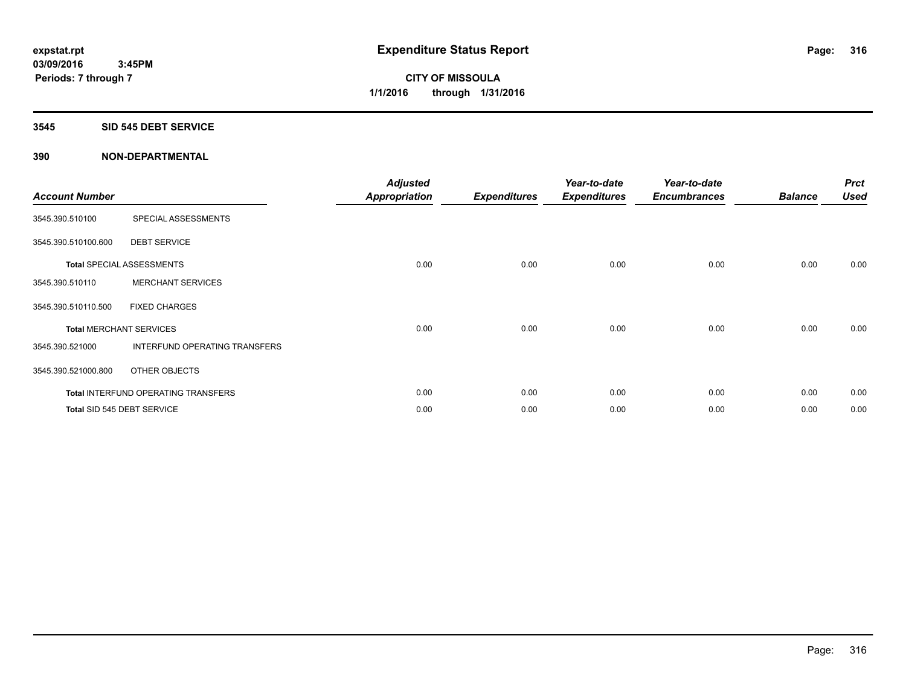#### **3545 SID 545 DEBT SERVICE**

| <b>Account Number</b> |                                            | <b>Adjusted</b><br><b>Appropriation</b> | <b>Expenditures</b> | Year-to-date<br><b>Expenditures</b> | Year-to-date<br><b>Encumbrances</b> | <b>Balance</b> | <b>Prct</b><br><b>Used</b> |
|-----------------------|--------------------------------------------|-----------------------------------------|---------------------|-------------------------------------|-------------------------------------|----------------|----------------------------|
| 3545.390.510100       | SPECIAL ASSESSMENTS                        |                                         |                     |                                     |                                     |                |                            |
| 3545.390.510100.600   | <b>DEBT SERVICE</b>                        |                                         |                     |                                     |                                     |                |                            |
|                       | <b>Total SPECIAL ASSESSMENTS</b>           | 0.00                                    | 0.00                | 0.00                                | 0.00                                | 0.00           | 0.00                       |
| 3545.390.510110       | <b>MERCHANT SERVICES</b>                   |                                         |                     |                                     |                                     |                |                            |
| 3545.390.510110.500   | <b>FIXED CHARGES</b>                       |                                         |                     |                                     |                                     |                |                            |
|                       | <b>Total MERCHANT SERVICES</b>             | 0.00                                    | 0.00                | 0.00                                | 0.00                                | 0.00           | 0.00                       |
| 3545.390.521000       | INTERFUND OPERATING TRANSFERS              |                                         |                     |                                     |                                     |                |                            |
| 3545.390.521000.800   | OTHER OBJECTS                              |                                         |                     |                                     |                                     |                |                            |
|                       | <b>Total INTERFUND OPERATING TRANSFERS</b> | 0.00                                    | 0.00                | 0.00                                | 0.00                                | 0.00           | 0.00                       |
|                       | Total SID 545 DEBT SERVICE                 | 0.00                                    | 0.00                | 0.00                                | 0.00                                | 0.00           | 0.00                       |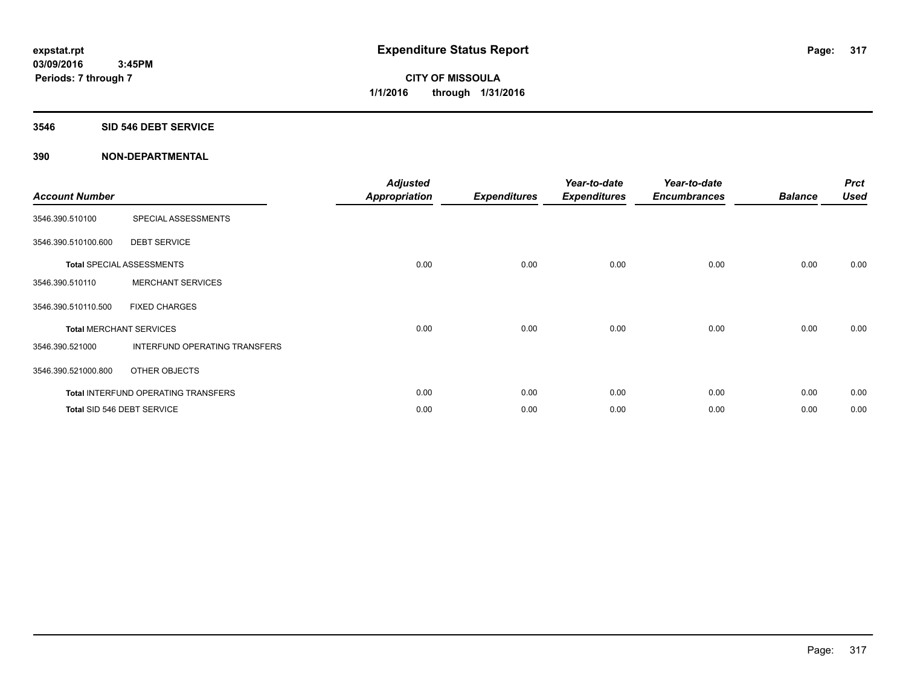#### **3546 SID 546 DEBT SERVICE**

| <b>Account Number</b> |                                            | <b>Adjusted</b><br><b>Appropriation</b> | <b>Expenditures</b> | Year-to-date<br><b>Expenditures</b> | Year-to-date<br><b>Encumbrances</b> | <b>Balance</b> | <b>Prct</b><br><b>Used</b> |
|-----------------------|--------------------------------------------|-----------------------------------------|---------------------|-------------------------------------|-------------------------------------|----------------|----------------------------|
| 3546.390.510100       | SPECIAL ASSESSMENTS                        |                                         |                     |                                     |                                     |                |                            |
| 3546.390.510100.600   | <b>DEBT SERVICE</b>                        |                                         |                     |                                     |                                     |                |                            |
|                       | <b>Total SPECIAL ASSESSMENTS</b>           | 0.00                                    | 0.00                | 0.00                                | 0.00                                | 0.00           | 0.00                       |
| 3546.390.510110       | <b>MERCHANT SERVICES</b>                   |                                         |                     |                                     |                                     |                |                            |
| 3546.390.510110.500   | <b>FIXED CHARGES</b>                       |                                         |                     |                                     |                                     |                |                            |
|                       | <b>Total MERCHANT SERVICES</b>             | 0.00                                    | 0.00                | 0.00                                | 0.00                                | 0.00           | 0.00                       |
| 3546.390.521000       | INTERFUND OPERATING TRANSFERS              |                                         |                     |                                     |                                     |                |                            |
| 3546.390.521000.800   | OTHER OBJECTS                              |                                         |                     |                                     |                                     |                |                            |
|                       | <b>Total INTERFUND OPERATING TRANSFERS</b> | 0.00                                    | 0.00                | 0.00                                | 0.00                                | 0.00           | 0.00                       |
|                       | Total SID 546 DEBT SERVICE                 | 0.00                                    | 0.00                | 0.00                                | 0.00                                | 0.00           | 0.00                       |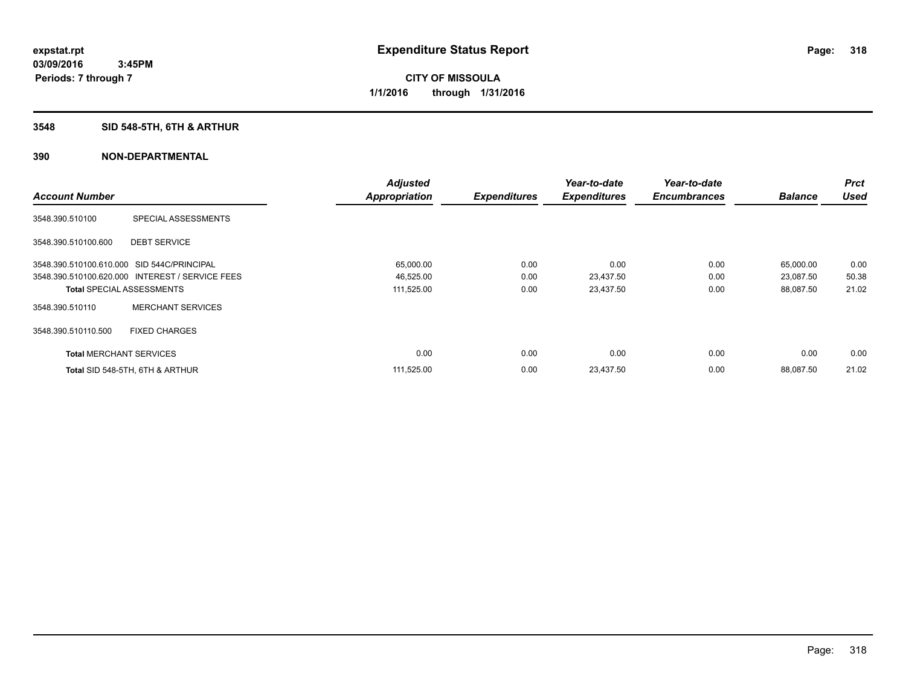## **3548 SID 548-5TH, 6TH & ARTHUR**

|                                            |                                                 | <b>Adjusted</b>      |                     | Year-to-date        | Year-to-date        |                | <b>Prct</b> |
|--------------------------------------------|-------------------------------------------------|----------------------|---------------------|---------------------|---------------------|----------------|-------------|
| <b>Account Number</b>                      |                                                 | <b>Appropriation</b> | <b>Expenditures</b> | <b>Expenditures</b> | <b>Encumbrances</b> | <b>Balance</b> | <b>Used</b> |
| 3548.390.510100                            | SPECIAL ASSESSMENTS                             |                      |                     |                     |                     |                |             |
| 3548.390.510100.600                        | <b>DEBT SERVICE</b>                             |                      |                     |                     |                     |                |             |
| 3548.390.510100.610.000 SID 544C/PRINCIPAL |                                                 | 65,000.00            | 0.00                | 0.00                | 0.00                | 65,000.00      | 0.00        |
|                                            | 3548.390.510100.620.000 INTEREST / SERVICE FEES | 46,525.00            | 0.00                | 23,437.50           | 0.00                | 23,087.50      | 50.38       |
| <b>Total SPECIAL ASSESSMENTS</b>           |                                                 | 111,525.00           | 0.00                | 23,437.50           | 0.00                | 88,087.50      | 21.02       |
| 3548.390.510110                            | <b>MERCHANT SERVICES</b>                        |                      |                     |                     |                     |                |             |
| 3548.390.510110.500                        | <b>FIXED CHARGES</b>                            |                      |                     |                     |                     |                |             |
| <b>Total MERCHANT SERVICES</b>             |                                                 | 0.00                 | 0.00                | 0.00                | 0.00                | 0.00           | 0.00        |
|                                            | Total SID 548-5TH, 6TH & ARTHUR                 | 111,525.00           | 0.00                | 23,437.50           | 0.00                | 88.087.50      | 21.02       |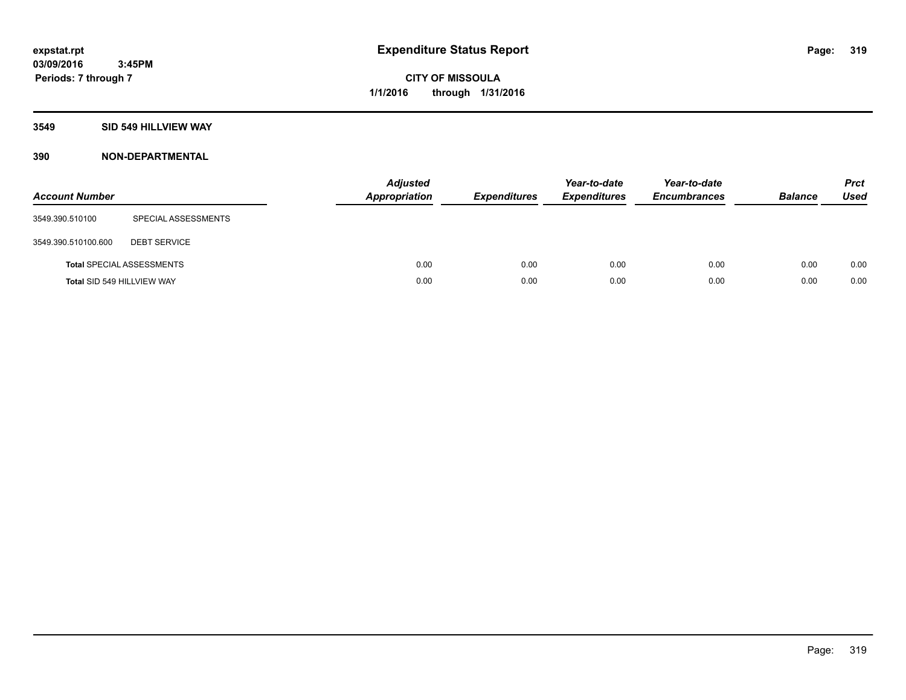## **3549 SID 549 HILLVIEW WAY**

| <b>Account Number</b> |                                  | <b>Adjusted</b><br>Appropriation | <b>Expenditures</b> | Year-to-date<br><b>Expenditures</b> | Year-to-date<br><b>Encumbrances</b> | <b>Balance</b> | <b>Prct</b><br><b>Used</b> |
|-----------------------|----------------------------------|----------------------------------|---------------------|-------------------------------------|-------------------------------------|----------------|----------------------------|
| 3549.390.510100       | SPECIAL ASSESSMENTS              |                                  |                     |                                     |                                     |                |                            |
| 3549.390.510100.600   | <b>DEBT SERVICE</b>              |                                  |                     |                                     |                                     |                |                            |
|                       | <b>Total SPECIAL ASSESSMENTS</b> | 0.00                             | 0.00                | 0.00                                | 0.00                                | 0.00           | 0.00                       |
|                       | Total SID 549 HILLVIEW WAY       | 0.00                             | 0.00                | 0.00                                | 0.00                                | 0.00           | 0.00                       |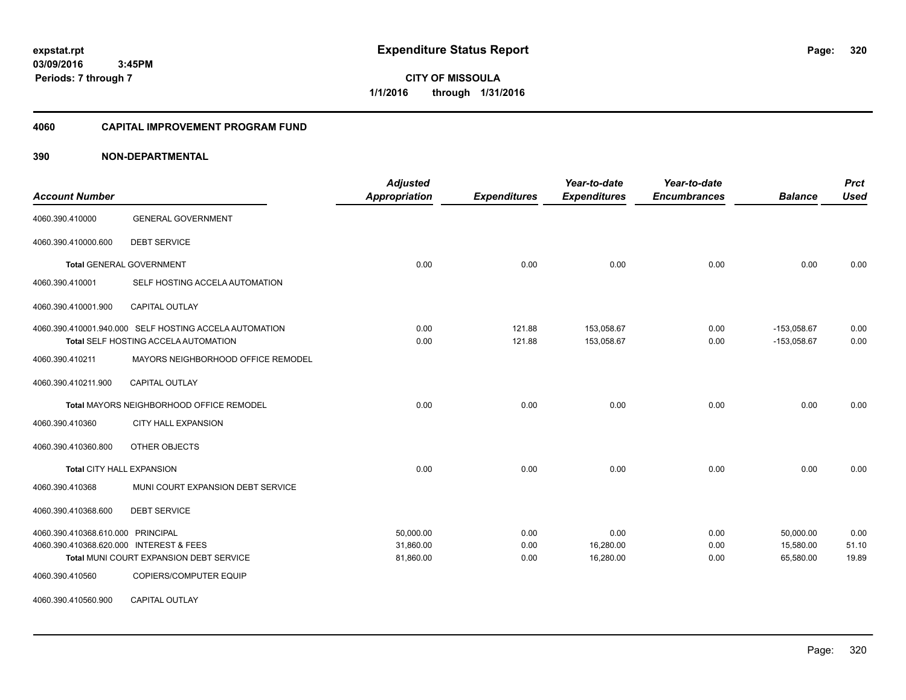**320**

**03/09/2016 3:45PM Periods: 7 through 7**

**CITY OF MISSOULA 1/1/2016 through 1/31/2016**

#### **4060 CAPITAL IMPROVEMENT PROGRAM FUND**

| <b>Account Number</b>                   |                                                        | <b>Adjusted</b><br><b>Appropriation</b> | <b>Expenditures</b> | Year-to-date<br><b>Expenditures</b> | Year-to-date<br><b>Encumbrances</b> | <b>Balance</b> | <b>Prct</b><br><b>Used</b> |
|-----------------------------------------|--------------------------------------------------------|-----------------------------------------|---------------------|-------------------------------------|-------------------------------------|----------------|----------------------------|
| 4060.390.410000                         | <b>GENERAL GOVERNMENT</b>                              |                                         |                     |                                     |                                     |                |                            |
| 4060.390.410000.600                     | <b>DEBT SERVICE</b>                                    |                                         |                     |                                     |                                     |                |                            |
|                                         | <b>Total GENERAL GOVERNMENT</b>                        | 0.00                                    | 0.00                | 0.00                                | 0.00                                | 0.00           | 0.00                       |
| 4060.390.410001                         | SELF HOSTING ACCELA AUTOMATION                         |                                         |                     |                                     |                                     |                |                            |
| 4060.390.410001.900                     | <b>CAPITAL OUTLAY</b>                                  |                                         |                     |                                     |                                     |                |                            |
|                                         | 4060.390.410001.940.000 SELF HOSTING ACCELA AUTOMATION | 0.00                                    | 121.88              | 153,058.67                          | 0.00                                | $-153,058.67$  | 0.00                       |
|                                         | Total SELF HOSTING ACCELA AUTOMATION                   | 0.00                                    | 121.88              | 153,058.67                          | 0.00                                | $-153,058.67$  | 0.00                       |
| 4060.390.410211                         | MAYORS NEIGHBORHOOD OFFICE REMODEL                     |                                         |                     |                                     |                                     |                |                            |
| 4060.390.410211.900                     | <b>CAPITAL OUTLAY</b>                                  |                                         |                     |                                     |                                     |                |                            |
|                                         | Total MAYORS NEIGHBORHOOD OFFICE REMODEL               | 0.00                                    | 0.00                | 0.00                                | 0.00                                | 0.00           | 0.00                       |
| 4060.390.410360                         | CITY HALL EXPANSION                                    |                                         |                     |                                     |                                     |                |                            |
| 4060.390.410360.800                     | OTHER OBJECTS                                          |                                         |                     |                                     |                                     |                |                            |
| Total CITY HALL EXPANSION               |                                                        | 0.00                                    | 0.00                | 0.00                                | 0.00                                | 0.00           | 0.00                       |
| 4060.390.410368                         | MUNI COURT EXPANSION DEBT SERVICE                      |                                         |                     |                                     |                                     |                |                            |
| 4060.390.410368.600                     | <b>DEBT SERVICE</b>                                    |                                         |                     |                                     |                                     |                |                            |
| 4060.390.410368.610.000 PRINCIPAL       |                                                        | 50,000.00                               | 0.00                | 0.00                                | 0.00                                | 50,000.00      | 0.00                       |
| 4060.390.410368.620.000 INTEREST & FEES |                                                        | 31,860.00                               | 0.00                | 16,280.00                           | 0.00                                | 15,580.00      | 51.10                      |
|                                         | Total MUNI COURT EXPANSION DEBT SERVICE                | 81,860.00                               | 0.00                | 16,280.00                           | 0.00                                | 65,580.00      | 19.89                      |
| 4060.390.410560                         | COPIERS/COMPUTER EQUIP                                 |                                         |                     |                                     |                                     |                |                            |
| 4060.390.410560.900                     | <b>CAPITAL OUTLAY</b>                                  |                                         |                     |                                     |                                     |                |                            |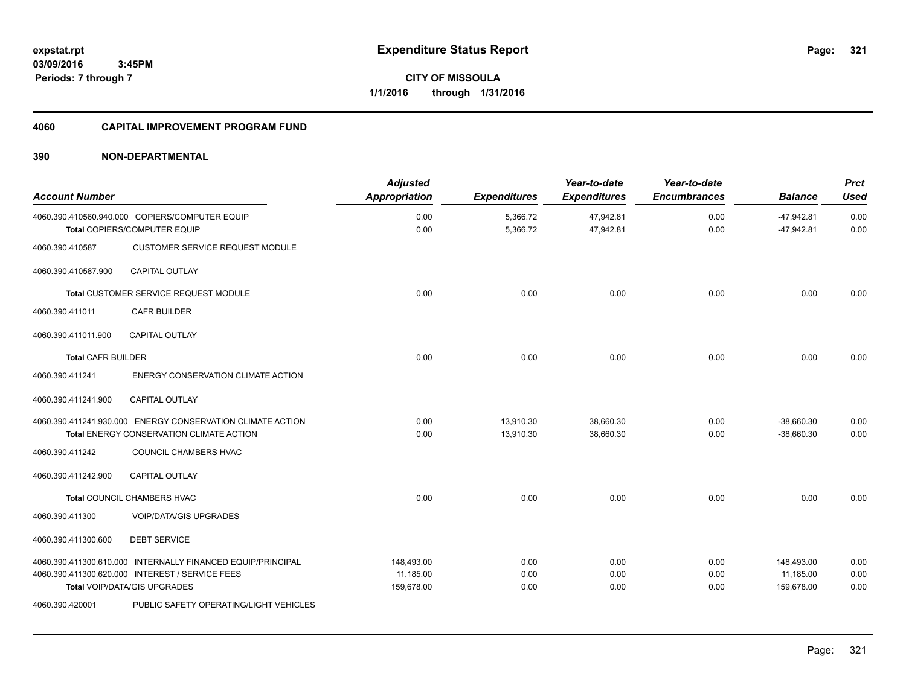**Periods: 7 through 7**

**321**

**CITY OF MISSOULA 1/1/2016 through 1/31/2016**

## **4060 CAPITAL IMPROVEMENT PROGRAM FUND**

## **390 NON-DEPARTMENTAL**

 **3:45PM**

| <b>Account Number</b>     |                                                                                                                                                | <b>Adjusted</b><br><b>Appropriation</b> | <b>Expenditures</b>    | Year-to-date<br><b>Expenditures</b> | Year-to-date<br><b>Encumbrances</b> | <b>Balance</b>                        | <b>Prct</b><br><b>Used</b> |
|---------------------------|------------------------------------------------------------------------------------------------------------------------------------------------|-----------------------------------------|------------------------|-------------------------------------|-------------------------------------|---------------------------------------|----------------------------|
|                           | 4060.390.410560.940.000 COPIERS/COMPUTER EQUIP<br>Total COPIERS/COMPUTER EQUIP                                                                 | 0.00<br>0.00                            | 5,366.72<br>5,366.72   | 47,942.81<br>47,942.81              | 0.00<br>0.00                        | $-47,942.81$<br>$-47,942.81$          | 0.00<br>0.00               |
| 4060.390.410587           | <b>CUSTOMER SERVICE REQUEST MODULE</b>                                                                                                         |                                         |                        |                                     |                                     |                                       |                            |
| 4060.390.410587.900       | <b>CAPITAL OUTLAY</b>                                                                                                                          |                                         |                        |                                     |                                     |                                       |                            |
|                           | Total CUSTOMER SERVICE REQUEST MODULE                                                                                                          | 0.00                                    | 0.00                   | 0.00                                | 0.00                                | 0.00                                  | 0.00                       |
| 4060.390.411011           | <b>CAFR BUILDER</b>                                                                                                                            |                                         |                        |                                     |                                     |                                       |                            |
| 4060.390.411011.900       | <b>CAPITAL OUTLAY</b>                                                                                                                          |                                         |                        |                                     |                                     |                                       |                            |
| <b>Total CAFR BUILDER</b> |                                                                                                                                                | 0.00                                    | 0.00                   | 0.00                                | 0.00                                | 0.00                                  | 0.00                       |
| 4060.390.411241           | ENERGY CONSERVATION CLIMATE ACTION                                                                                                             |                                         |                        |                                     |                                     |                                       |                            |
| 4060.390.411241.900       | <b>CAPITAL OUTLAY</b>                                                                                                                          |                                         |                        |                                     |                                     |                                       |                            |
|                           | 4060.390.411241.930.000 ENERGY CONSERVATION CLIMATE ACTION<br><b>Total ENERGY CONSERVATION CLIMATE ACTION</b>                                  | 0.00<br>0.00                            | 13.910.30<br>13,910.30 | 38.660.30<br>38,660.30              | 0.00<br>0.00                        | $-38.660.30$<br>$-38,660.30$          | 0.00<br>0.00               |
| 4060.390.411242           | COUNCIL CHAMBERS HVAC                                                                                                                          |                                         |                        |                                     |                                     |                                       |                            |
| 4060.390.411242.900       | <b>CAPITAL OUTLAY</b>                                                                                                                          |                                         |                        |                                     |                                     |                                       |                            |
|                           | <b>Total COUNCIL CHAMBERS HVAC</b>                                                                                                             | 0.00                                    | 0.00                   | 0.00                                | 0.00                                | 0.00                                  | 0.00                       |
| 4060.390.411300           | <b>VOIP/DATA/GIS UPGRADES</b>                                                                                                                  |                                         |                        |                                     |                                     |                                       |                            |
| 4060.390.411300.600       | <b>DEBT SERVICE</b>                                                                                                                            |                                         |                        |                                     |                                     |                                       |                            |
|                           | 4060.390.411300.610.000 INTERNALLY FINANCED EQUIP/PRINCIPAL<br>4060.390.411300.620.000 INTEREST / SERVICE FEES<br>Total VOIP/DATA/GIS UPGRADES | 148,493.00<br>11,185.00<br>159,678.00   | 0.00<br>0.00<br>0.00   | 0.00<br>0.00<br>0.00                | 0.00<br>0.00<br>0.00                | 148,493.00<br>11,185.00<br>159,678.00 | 0.00<br>0.00<br>0.00       |
| 4060.390.420001           | PUBLIC SAFETY OPERATING/LIGHT VEHICLES                                                                                                         |                                         |                        |                                     |                                     |                                       |                            |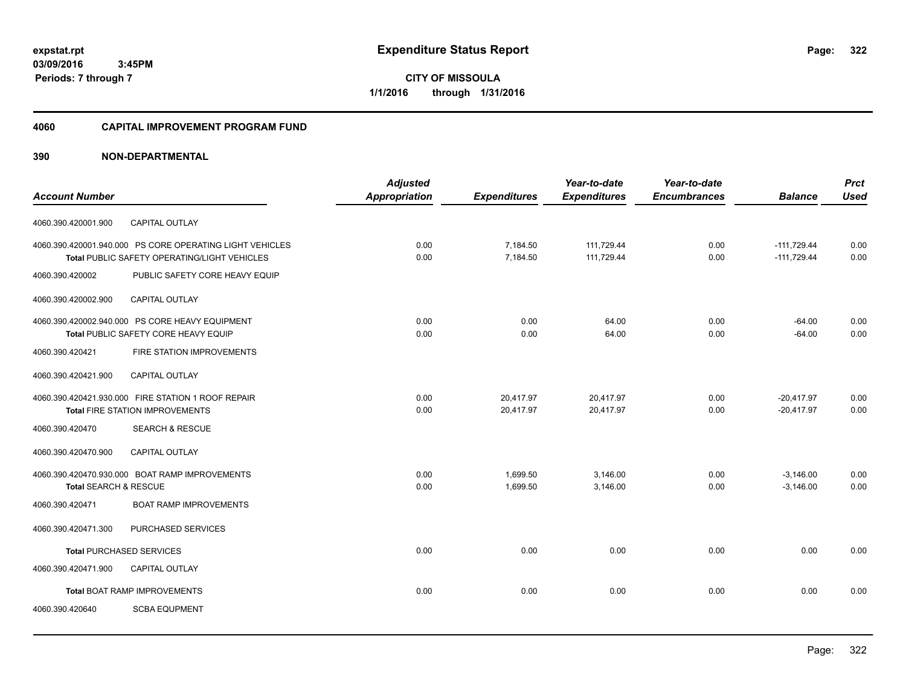**322**

**03/09/2016 3:45PM Periods: 7 through 7**

**CITY OF MISSOULA 1/1/2016 through 1/31/2016**

## **4060 CAPITAL IMPROVEMENT PROGRAM FUND**

| <b>Adjusted</b>                                                  |                                      | Year-to-date                            | Year-to-date                               |                                     | <b>Prct</b>                                 |
|------------------------------------------------------------------|--------------------------------------|-----------------------------------------|--------------------------------------------|-------------------------------------|---------------------------------------------|
|                                                                  |                                      |                                         |                                            |                                     | <b>Used</b>                                 |
|                                                                  |                                      |                                         |                                            |                                     |                                             |
| 4060.390.420001.940.000 PS CORE OPERATING LIGHT VEHICLES<br>0.00 | 7,184.50                             | 111,729.44                              | 0.00                                       | $-111,729.44$                       | 0.00                                        |
|                                                                  |                                      |                                         |                                            |                                     | 0.00                                        |
| PUBLIC SAFETY CORE HEAVY EQUIP                                   |                                      |                                         |                                            |                                     |                                             |
|                                                                  |                                      |                                         |                                            |                                     |                                             |
| 0.00                                                             | 0.00                                 | 64.00                                   | 0.00                                       | $-64.00$                            | 0.00                                        |
|                                                                  |                                      |                                         |                                            |                                     | 0.00                                        |
|                                                                  |                                      |                                         |                                            |                                     |                                             |
|                                                                  |                                      |                                         |                                            |                                     |                                             |
| 0.00                                                             | 20,417.97                            | 20,417.97                               | 0.00                                       | $-20,417.97$                        | 0.00                                        |
| 0.00                                                             | 20,417.97                            | 20,417.97                               | 0.00                                       | $-20.417.97$                        | 0.00                                        |
|                                                                  |                                      |                                         |                                            |                                     |                                             |
|                                                                  |                                      |                                         |                                            |                                     |                                             |
| 0.00                                                             | 1,699.50                             | 3,146.00                                | 0.00                                       | $-3,146.00$                         | 0.00                                        |
| 0.00                                                             | 1,699.50                             | 3,146.00                                | 0.00                                       | $-3,146.00$                         | 0.00                                        |
|                                                                  |                                      |                                         |                                            |                                     |                                             |
|                                                                  |                                      |                                         |                                            |                                     |                                             |
| 0.00                                                             | 0.00                                 | 0.00                                    | 0.00                                       | 0.00                                | 0.00                                        |
|                                                                  |                                      |                                         |                                            |                                     |                                             |
| 0.00                                                             | 0.00                                 | 0.00                                    | 0.00                                       | 0.00                                | 0.00                                        |
|                                                                  |                                      |                                         |                                            |                                     |                                             |
|                                                                  | <b>Appropriation</b><br>0.00<br>0.00 | <b>Expenditures</b><br>7,184.50<br>0.00 | <b>Expenditures</b><br>111,729.44<br>64.00 | <b>Encumbrances</b><br>0.00<br>0.00 | <b>Balance</b><br>$-111.729.44$<br>$-64.00$ |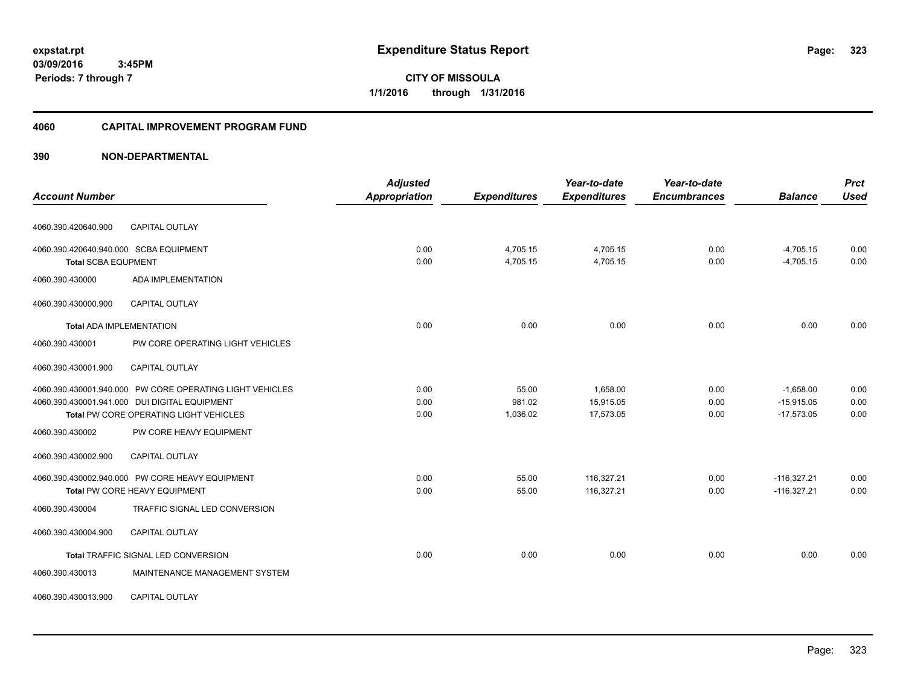**CITY OF MISSOULA 1/1/2016 through 1/31/2016**

## **4060 CAPITAL IMPROVEMENT PROGRAM FUND**

|                                                                                         |                                  | <b>Adjusted</b> |                      | Year-to-date           | Year-to-date        |                              | <b>Prct</b>  |
|-----------------------------------------------------------------------------------------|----------------------------------|-----------------|----------------------|------------------------|---------------------|------------------------------|--------------|
| <b>Account Number</b>                                                                   |                                  | Appropriation   | <b>Expenditures</b>  | <b>Expenditures</b>    | <b>Encumbrances</b> | <b>Balance</b>               | <b>Used</b>  |
| 4060.390.420640.900                                                                     | CAPITAL OUTLAY                   |                 |                      |                        |                     |                              |              |
| 4060.390.420640.940.000 SCBA EQUIPMENT                                                  |                                  | 0.00<br>0.00    | 4,705.15<br>4,705.15 | 4,705.15<br>4,705.15   | 0.00<br>0.00        | $-4,705.15$<br>$-4,705.15$   | 0.00<br>0.00 |
| <b>Total SCBA EQUPMENT</b><br>4060.390.430000                                           | <b>ADA IMPLEMENTATION</b>        |                 |                      |                        |                     |                              |              |
| 4060.390.430000.900                                                                     | <b>CAPITAL OUTLAY</b>            |                 |                      |                        |                     |                              |              |
| <b>Total ADA IMPLEMENTATION</b>                                                         |                                  | 0.00            | 0.00                 | 0.00                   | 0.00                | 0.00                         | 0.00         |
| 4060.390.430001                                                                         | PW CORE OPERATING LIGHT VEHICLES |                 |                      |                        |                     |                              |              |
| 4060.390.430001.900                                                                     | CAPITAL OUTLAY                   |                 |                      |                        |                     |                              |              |
| 4060.390.430001.940.000 PW CORE OPERATING LIGHT VEHICLES                                |                                  | 0.00            | 55.00                | 1,658.00               | 0.00                | $-1,658.00$                  | 0.00         |
| 4060.390.430001.941.000 DUI DIGITAL EQUIPMENT<br>Total PW CORE OPERATING LIGHT VEHICLES |                                  | 0.00<br>0.00    | 981.02<br>1,036.02   | 15,915.05<br>17,573.05 | 0.00<br>0.00        | $-15,915.05$<br>$-17,573.05$ | 0.00<br>0.00 |
| 4060.390.430002                                                                         | PW CORE HEAVY EQUIPMENT          |                 |                      |                        |                     |                              |              |
| 4060.390.430002.900                                                                     | <b>CAPITAL OUTLAY</b>            |                 |                      |                        |                     |                              |              |
| 4060.390.430002.940.000 PW CORE HEAVY EQUIPMENT                                         |                                  | 0.00            | 55.00                | 116.327.21             | 0.00                | $-116,327.21$                | 0.00         |
| Total PW CORE HEAVY EQUIPMENT                                                           |                                  | 0.00            | 55.00                | 116,327.21             | 0.00                | $-116,327.21$                | 0.00         |
| 4060.390.430004                                                                         | TRAFFIC SIGNAL LED CONVERSION    |                 |                      |                        |                     |                              |              |
| 4060.390.430004.900                                                                     | CAPITAL OUTLAY                   |                 |                      |                        |                     |                              |              |
| Total TRAFFIC SIGNAL LED CONVERSION                                                     |                                  | 0.00            | 0.00                 | 0.00                   | 0.00                | 0.00                         | 0.00         |
| 4060.390.430013                                                                         | MAINTENANCE MANAGEMENT SYSTEM    |                 |                      |                        |                     |                              |              |
| 4060.390.430013.900                                                                     | <b>CAPITAL OUTLAY</b>            |                 |                      |                        |                     |                              |              |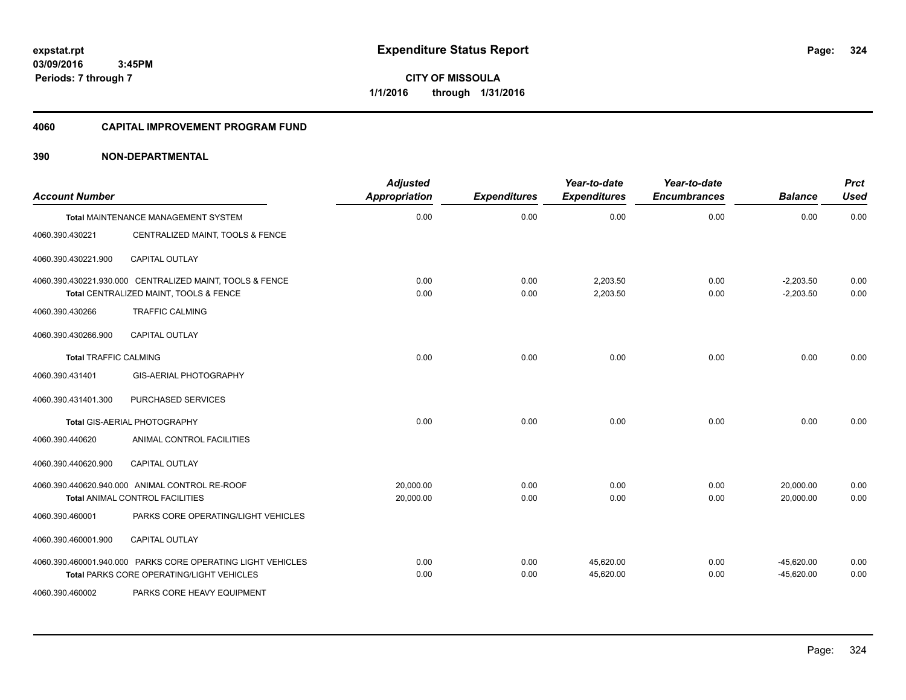**324**

**03/09/2016 3:45PM Periods: 7 through 7**

**CITY OF MISSOULA 1/1/2016 through 1/31/2016**

#### **4060 CAPITAL IMPROVEMENT PROGRAM FUND**

| <b>Account Number</b>        |                                                                                                          | <b>Adjusted</b><br>Appropriation | <b>Expenditures</b> | Year-to-date<br><b>Expenditures</b> | Year-to-date<br><b>Encumbrances</b> | <b>Balance</b>               | <b>Prct</b><br><b>Used</b> |
|------------------------------|----------------------------------------------------------------------------------------------------------|----------------------------------|---------------------|-------------------------------------|-------------------------------------|------------------------------|----------------------------|
|                              | Total MAINTENANCE MANAGEMENT SYSTEM                                                                      | 0.00                             | 0.00                | 0.00                                | 0.00                                | 0.00                         | 0.00                       |
| 4060.390.430221              | CENTRALIZED MAINT, TOOLS & FENCE                                                                         |                                  |                     |                                     |                                     |                              |                            |
| 4060.390.430221.900          | <b>CAPITAL OUTLAY</b>                                                                                    |                                  |                     |                                     |                                     |                              |                            |
|                              | 4060.390.430221.930.000 CENTRALIZED MAINT, TOOLS & FENCE<br>Total CENTRALIZED MAINT, TOOLS & FENCE       | 0.00<br>0.00                     | 0.00<br>0.00        | 2,203.50<br>2,203.50                | 0.00<br>0.00                        | $-2,203.50$<br>$-2,203.50$   | 0.00<br>0.00               |
| 4060.390.430266              | <b>TRAFFIC CALMING</b>                                                                                   |                                  |                     |                                     |                                     |                              |                            |
| 4060.390.430266.900          | <b>CAPITAL OUTLAY</b>                                                                                    |                                  |                     |                                     |                                     |                              |                            |
| <b>Total TRAFFIC CALMING</b> |                                                                                                          | 0.00                             | 0.00                | 0.00                                | 0.00                                | 0.00                         | 0.00                       |
| 4060.390.431401              | GIS-AERIAL PHOTOGRAPHY                                                                                   |                                  |                     |                                     |                                     |                              |                            |
| 4060.390.431401.300          | PURCHASED SERVICES                                                                                       |                                  |                     |                                     |                                     |                              |                            |
|                              | Total GIS-AERIAL PHOTOGRAPHY                                                                             | 0.00                             | 0.00                | 0.00                                | 0.00                                | 0.00                         | 0.00                       |
| 4060.390.440620              | ANIMAL CONTROL FACILITIES                                                                                |                                  |                     |                                     |                                     |                              |                            |
| 4060.390.440620.900          | <b>CAPITAL OUTLAY</b>                                                                                    |                                  |                     |                                     |                                     |                              |                            |
|                              | 4060.390.440620.940.000 ANIMAL CONTROL RE-ROOF<br>Total ANIMAL CONTROL FACILITIES                        | 20.000.00<br>20,000.00           | 0.00<br>0.00        | 0.00<br>0.00                        | 0.00<br>0.00                        | 20,000.00<br>20,000.00       | 0.00<br>0.00               |
| 4060.390.460001              | PARKS CORE OPERATING/LIGHT VEHICLES                                                                      |                                  |                     |                                     |                                     |                              |                            |
| 4060.390.460001.900          | <b>CAPITAL OUTLAY</b>                                                                                    |                                  |                     |                                     |                                     |                              |                            |
|                              | 4060.390.460001.940.000 PARKS CORE OPERATING LIGHT VEHICLES<br>Total PARKS CORE OPERATING/LIGHT VEHICLES | 0.00<br>0.00                     | 0.00<br>0.00        | 45,620.00<br>45.620.00              | 0.00<br>0.00                        | $-45,620.00$<br>$-45,620.00$ | 0.00<br>0.00               |
| 4060.390.460002              | PARKS CORE HEAVY EQUIPMENT                                                                               |                                  |                     |                                     |                                     |                              |                            |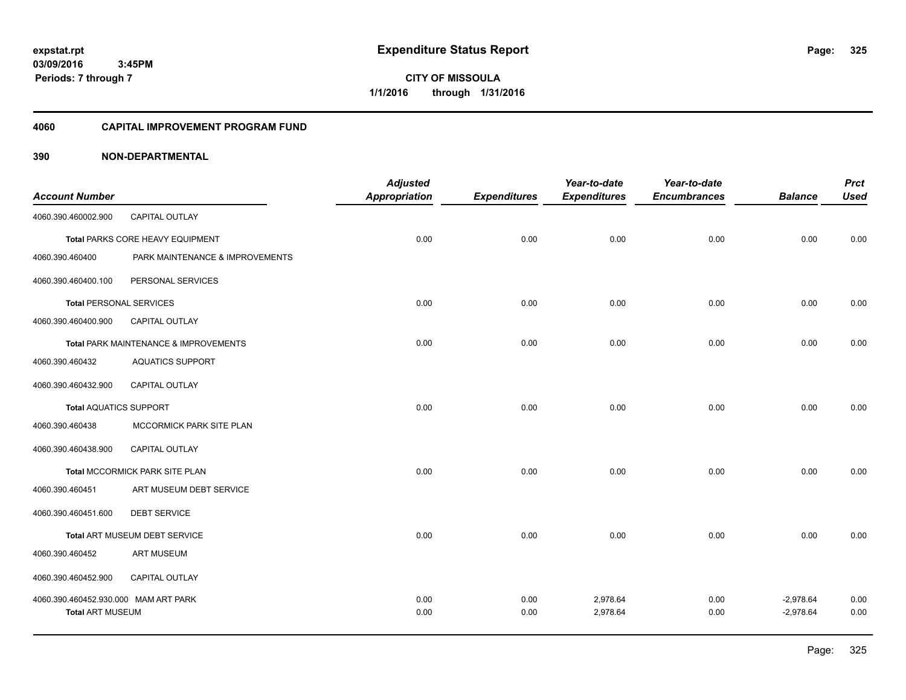**Periods: 7 through 7**

**325**

**CITY OF MISSOULA 1/1/2016 through 1/31/2016**

# **4060 CAPITAL IMPROVEMENT PROGRAM FUND**

# **390 NON-DEPARTMENTAL**

 **3:45PM**

| <b>Account Number</b>                |                                       | <b>Adjusted</b><br>Appropriation | <b>Expenditures</b> | Year-to-date<br><b>Expenditures</b> | Year-to-date<br><b>Encumbrances</b> | <b>Balance</b> | <b>Prct</b><br><b>Used</b> |
|--------------------------------------|---------------------------------------|----------------------------------|---------------------|-------------------------------------|-------------------------------------|----------------|----------------------------|
| 4060.390.460002.900                  | <b>CAPITAL OUTLAY</b>                 |                                  |                     |                                     |                                     |                |                            |
|                                      | Total PARKS CORE HEAVY EQUIPMENT      | 0.00                             | 0.00                | 0.00                                | 0.00                                | 0.00           | 0.00                       |
| 4060.390.460400                      | PARK MAINTENANCE & IMPROVEMENTS       |                                  |                     |                                     |                                     |                |                            |
| 4060.390.460400.100                  | PERSONAL SERVICES                     |                                  |                     |                                     |                                     |                |                            |
| <b>Total PERSONAL SERVICES</b>       |                                       | 0.00                             | 0.00                | 0.00                                | 0.00                                | 0.00           | 0.00                       |
| 4060.390.460400.900                  | <b>CAPITAL OUTLAY</b>                 |                                  |                     |                                     |                                     |                |                            |
|                                      | Total PARK MAINTENANCE & IMPROVEMENTS | 0.00                             | 0.00                | 0.00                                | 0.00                                | 0.00           | 0.00                       |
| 4060.390.460432                      | <b>AQUATICS SUPPORT</b>               |                                  |                     |                                     |                                     |                |                            |
| 4060.390.460432.900                  | <b>CAPITAL OUTLAY</b>                 |                                  |                     |                                     |                                     |                |                            |
| <b>Total AQUATICS SUPPORT</b>        |                                       | 0.00                             | 0.00                | 0.00                                | 0.00                                | 0.00           | 0.00                       |
| 4060.390.460438                      | MCCORMICK PARK SITE PLAN              |                                  |                     |                                     |                                     |                |                            |
| 4060.390.460438.900                  | <b>CAPITAL OUTLAY</b>                 |                                  |                     |                                     |                                     |                |                            |
|                                      | Total MCCORMICK PARK SITE PLAN        | 0.00                             | 0.00                | 0.00                                | 0.00                                | 0.00           | 0.00                       |
| 4060.390.460451                      | ART MUSEUM DEBT SERVICE               |                                  |                     |                                     |                                     |                |                            |
| 4060.390.460451.600                  | <b>DEBT SERVICE</b>                   |                                  |                     |                                     |                                     |                |                            |
|                                      | Total ART MUSEUM DEBT SERVICE         | 0.00                             | 0.00                | 0.00                                | 0.00                                | 0.00           | 0.00                       |
| 4060.390.460452                      | <b>ART MUSEUM</b>                     |                                  |                     |                                     |                                     |                |                            |
| 4060.390.460452.900                  | CAPITAL OUTLAY                        |                                  |                     |                                     |                                     |                |                            |
| 4060.390.460452.930.000 MAM ART PARK |                                       | 0.00                             | 0.00                | 2,978.64                            | 0.00                                | $-2,978.64$    | 0.00                       |
| <b>Total ART MUSEUM</b>              |                                       | 0.00                             | 0.00                | 2,978.64                            | 0.00                                | $-2,978.64$    | 0.00                       |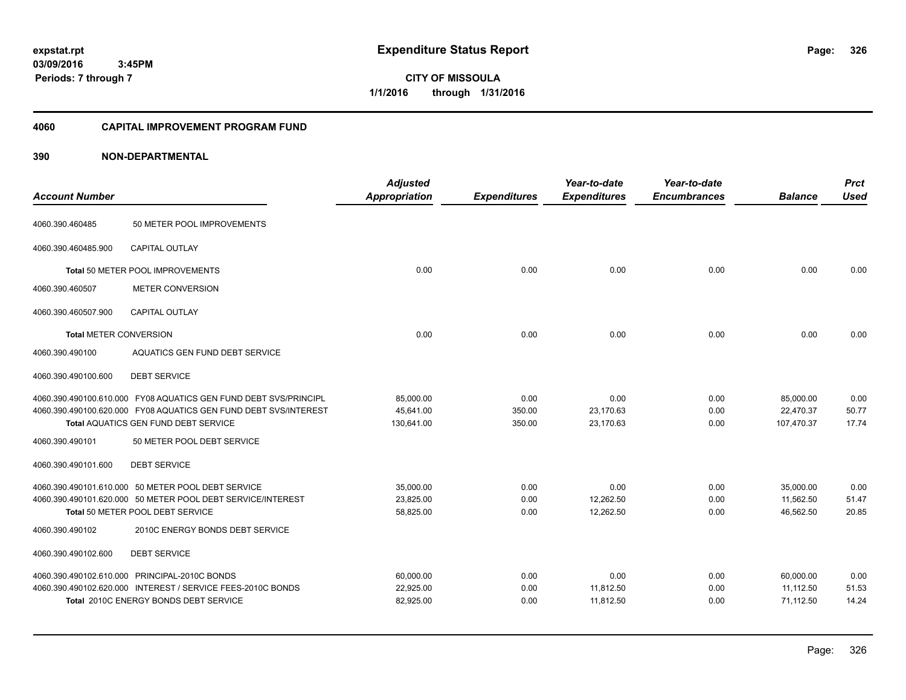**CITY OF MISSOULA 1/1/2016 through 1/31/2016**

# **4060 CAPITAL IMPROVEMENT PROGRAM FUND**

| <b>Account Number</b>            |                                                                    | <b>Adjusted</b><br><b>Appropriation</b> | <b>Expenditures</b> | Year-to-date<br><b>Expenditures</b> | Year-to-date<br><b>Encumbrances</b> | <b>Balance</b> | <b>Prct</b><br><b>Used</b> |
|----------------------------------|--------------------------------------------------------------------|-----------------------------------------|---------------------|-------------------------------------|-------------------------------------|----------------|----------------------------|
| 4060.390.460485                  | 50 METER POOL IMPROVEMENTS                                         |                                         |                     |                                     |                                     |                |                            |
| 4060.390.460485.900              | CAPITAL OUTLAY                                                     |                                         |                     |                                     |                                     |                |                            |
| Total 50 METER POOL IMPROVEMENTS |                                                                    | 0.00                                    | 0.00                | 0.00                                | 0.00                                | 0.00           | 0.00                       |
| 4060.390.460507                  | <b>METER CONVERSION</b>                                            |                                         |                     |                                     |                                     |                |                            |
| 4060.390.460507.900              | <b>CAPITAL OUTLAY</b>                                              |                                         |                     |                                     |                                     |                |                            |
| <b>Total METER CONVERSION</b>    |                                                                    | 0.00                                    | 0.00                | 0.00                                | 0.00                                | 0.00           | 0.00                       |
| 4060.390.490100                  | AQUATICS GEN FUND DEBT SERVICE                                     |                                         |                     |                                     |                                     |                |                            |
| 4060.390.490100.600              | <b>DEBT SERVICE</b>                                                |                                         |                     |                                     |                                     |                |                            |
|                                  | 4060.390.490100.610.000 FY08 AQUATICS GEN FUND DEBT SVS/PRINCIPL   | 85,000.00                               | 0.00                | 0.00                                | 0.00                                | 85,000.00      | 0.00                       |
|                                  | 4060.390.490100.620.000 FY08 AQUATICS GEN FUND DEBT SVS/INTEREST   | 45,641.00                               | 350.00              | 23,170.63                           | 0.00                                | 22,470.37      | 50.77<br>17.74             |
| 4060.390.490101                  | Total AQUATICS GEN FUND DEBT SERVICE<br>50 METER POOL DEBT SERVICE | 130,641.00                              | 350.00              | 23,170.63                           | 0.00                                | 107,470.37     |                            |
| 4060.390.490101.600              | <b>DEBT SERVICE</b>                                                |                                         |                     |                                     |                                     |                |                            |
|                                  | 4060.390.490101.610.000 50 METER POOL DEBT SERVICE                 | 35,000.00                               | 0.00                | 0.00                                | 0.00                                | 35,000.00      | 0.00                       |
|                                  | 4060.390.490101.620.000 50 METER POOL DEBT SERVICE/INTEREST        | 23,825.00                               | 0.00                | 12,262.50                           | 0.00                                | 11,562.50      | 51.47                      |
|                                  | Total 50 METER POOL DEBT SERVICE                                   | 58,825.00                               | 0.00                | 12.262.50                           | 0.00                                | 46.562.50      | 20.85                      |
| 4060.390.490102                  | 2010C ENERGY BONDS DEBT SERVICE                                    |                                         |                     |                                     |                                     |                |                            |
| 4060.390.490102.600              | <b>DEBT SERVICE</b>                                                |                                         |                     |                                     |                                     |                |                            |
|                                  | 4060.390.490102.610.000 PRINCIPAL-2010C BONDS                      | 60.000.00                               | 0.00                | 0.00                                | 0.00                                | 60.000.00      | 0.00                       |
|                                  | 4060.390.490102.620.000 INTEREST / SERVICE FEES-2010C BONDS        | 22,925.00                               | 0.00                | 11,812.50                           | 0.00                                | 11,112.50      | 51.53                      |
|                                  | Total 2010C ENERGY BONDS DEBT SERVICE                              | 82,925.00                               | 0.00                | 11,812.50                           | 0.00                                | 71,112.50      | 14.24                      |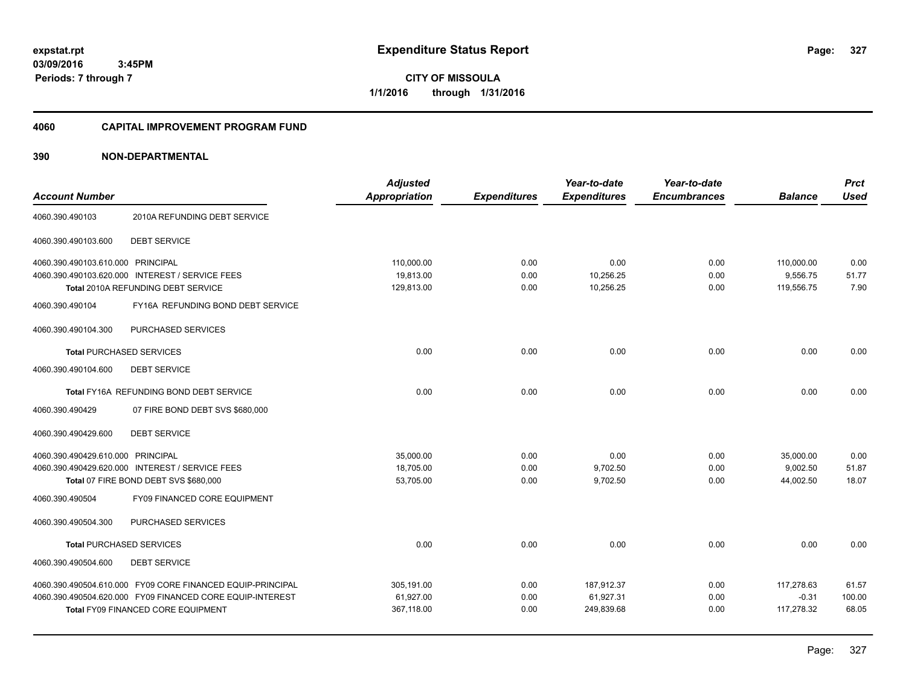**CITY OF MISSOULA 1/1/2016 through 1/31/2016**

# **4060 CAPITAL IMPROVEMENT PROGRAM FUND**

|                                   |                                                            | <b>Adjusted</b> |                     | Year-to-date        | Year-to-date        |                | <b>Prct</b> |
|-----------------------------------|------------------------------------------------------------|-----------------|---------------------|---------------------|---------------------|----------------|-------------|
| <b>Account Number</b>             |                                                            | Appropriation   | <b>Expenditures</b> | <b>Expenditures</b> | <b>Encumbrances</b> | <b>Balance</b> | <b>Used</b> |
| 4060.390.490103                   | 2010A REFUNDING DEBT SERVICE                               |                 |                     |                     |                     |                |             |
| 4060.390.490103.600               | <b>DEBT SERVICE</b>                                        |                 |                     |                     |                     |                |             |
| 4060.390.490103.610.000 PRINCIPAL |                                                            | 110,000.00      | 0.00                | 0.00                | 0.00                | 110,000.00     | 0.00        |
|                                   | 4060.390.490103.620.000 INTEREST / SERVICE FEES            | 19,813.00       | 0.00                | 10,256.25           | 0.00                | 9,556.75       | 51.77       |
|                                   | Total 2010A REFUNDING DEBT SERVICE                         | 129,813.00      | 0.00                | 10,256.25           | 0.00                | 119,556.75     | 7.90        |
| 4060.390.490104                   | FY16A REFUNDING BOND DEBT SERVICE                          |                 |                     |                     |                     |                |             |
| 4060.390.490104.300               | PURCHASED SERVICES                                         |                 |                     |                     |                     |                |             |
| <b>Total PURCHASED SERVICES</b>   |                                                            | 0.00            | 0.00                | 0.00                | 0.00                | 0.00           | 0.00        |
| 4060.390.490104.600               | <b>DEBT SERVICE</b>                                        |                 |                     |                     |                     |                |             |
|                                   | Total FY16A REFUNDING BOND DEBT SERVICE                    | 0.00            | 0.00                | 0.00                | 0.00                | 0.00           | 0.00        |
| 4060.390.490429                   | 07 FIRE BOND DEBT SVS \$680,000                            |                 |                     |                     |                     |                |             |
| 4060.390.490429.600               | <b>DEBT SERVICE</b>                                        |                 |                     |                     |                     |                |             |
| 4060.390.490429.610.000 PRINCIPAL |                                                            | 35,000.00       | 0.00                | 0.00                | 0.00                | 35,000.00      | 0.00        |
|                                   | 4060.390.490429.620.000 INTEREST / SERVICE FEES            | 18,705.00       | 0.00                | 9,702.50            | 0.00                | 9,002.50       | 51.87       |
|                                   | Total 07 FIRE BOND DEBT SVS \$680,000                      | 53,705.00       | 0.00                | 9,702.50            | 0.00                | 44,002.50      | 18.07       |
| 4060.390.490504                   | FY09 FINANCED CORE EQUIPMENT                               |                 |                     |                     |                     |                |             |
| 4060.390.490504.300               | PURCHASED SERVICES                                         |                 |                     |                     |                     |                |             |
| <b>Total PURCHASED SERVICES</b>   |                                                            | 0.00            | 0.00                | 0.00                | 0.00                | 0.00           | 0.00        |
| 4060.390.490504.600               | <b>DEBT SERVICE</b>                                        |                 |                     |                     |                     |                |             |
|                                   | 4060.390.490504.610.000 FY09 CORE FINANCED EQUIP-PRINCIPAL | 305.191.00      | 0.00                | 187,912.37          | 0.00                | 117,278.63     | 61.57       |
|                                   | 4060.390.490504.620.000 FY09 FINANCED CORE EQUIP-INTEREST  | 61,927.00       | 0.00                | 61,927.31           | 0.00                | $-0.31$        | 100.00      |
|                                   | <b>Total FY09 FINANCED CORE EQUIPMENT</b>                  | 367,118.00      | 0.00                | 249,839.68          | 0.00                | 117,278.32     | 68.05       |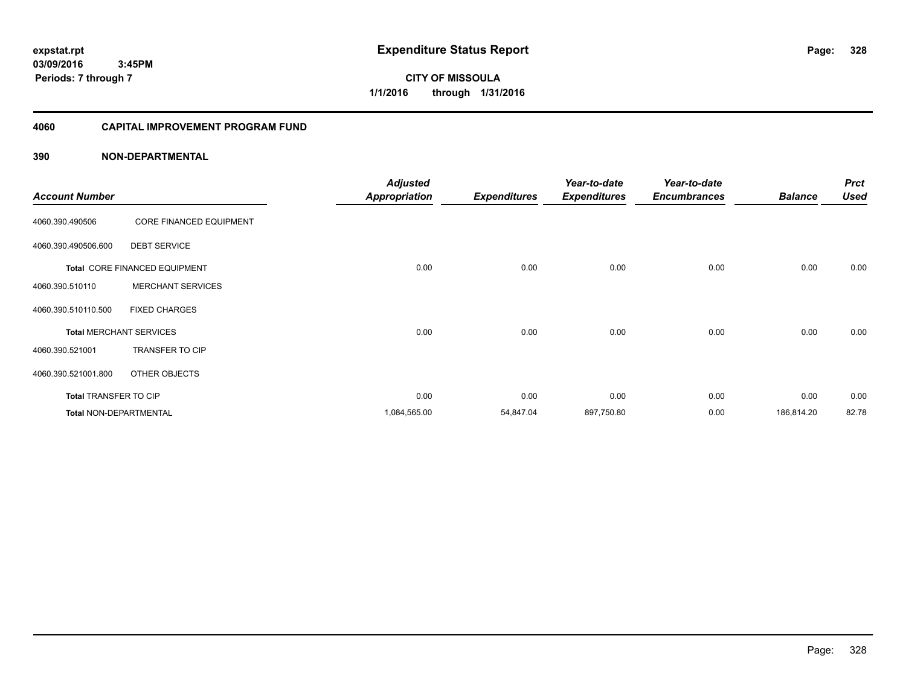**CITY OF MISSOULA 1/1/2016 through 1/31/2016**

# **4060 CAPITAL IMPROVEMENT PROGRAM FUND**

| <b>Account Number</b>         |                                | <b>Adjusted</b><br><b>Appropriation</b> | <b>Expenditures</b> | Year-to-date<br><b>Expenditures</b> | Year-to-date<br><b>Encumbrances</b> | <b>Balance</b> | <b>Prct</b><br><b>Used</b> |
|-------------------------------|--------------------------------|-----------------------------------------|---------------------|-------------------------------------|-------------------------------------|----------------|----------------------------|
| 4060.390.490506               | <b>CORE FINANCED EQUIPMENT</b> |                                         |                     |                                     |                                     |                |                            |
| 4060.390.490506.600           | <b>DEBT SERVICE</b>            |                                         |                     |                                     |                                     |                |                            |
|                               | Total CORE FINANCED EQUIPMENT  | 0.00                                    | 0.00                | 0.00                                | 0.00                                | 0.00           | 0.00                       |
| 4060.390.510110               | <b>MERCHANT SERVICES</b>       |                                         |                     |                                     |                                     |                |                            |
| 4060.390.510110.500           | <b>FIXED CHARGES</b>           |                                         |                     |                                     |                                     |                |                            |
|                               | <b>Total MERCHANT SERVICES</b> | 0.00                                    | 0.00                | 0.00                                | 0.00                                | 0.00           | 0.00                       |
| 4060.390.521001               | <b>TRANSFER TO CIP</b>         |                                         |                     |                                     |                                     |                |                            |
| 4060.390.521001.800           | OTHER OBJECTS                  |                                         |                     |                                     |                                     |                |                            |
| <b>Total TRANSFER TO CIP</b>  |                                | 0.00                                    | 0.00                | 0.00                                | 0.00                                | 0.00           | 0.00                       |
| <b>Total NON-DEPARTMENTAL</b> |                                | 1,084,565.00                            | 54,847.04           | 897,750.80                          | 0.00                                | 186,814.20     | 82.78                      |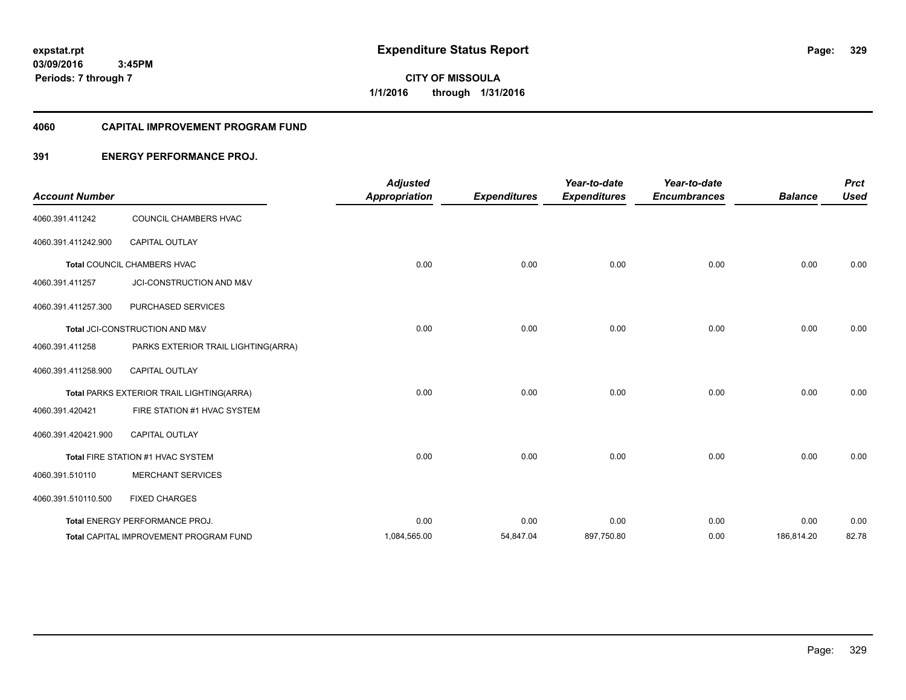**03/09/2016 3:45PM Periods: 7 through 7**

# **CITY OF MISSOULA 1/1/2016 through 1/31/2016**

#### **4060 CAPITAL IMPROVEMENT PROGRAM FUND**

# **391 ENERGY PERFORMANCE PROJ.**

| <b>Account Number</b> |                                               | <b>Adjusted</b><br><b>Appropriation</b> | <b>Expenditures</b> | Year-to-date<br><b>Expenditures</b> | Year-to-date<br><b>Encumbrances</b> | <b>Balance</b> | <b>Prct</b><br><b>Used</b> |
|-----------------------|-----------------------------------------------|-----------------------------------------|---------------------|-------------------------------------|-------------------------------------|----------------|----------------------------|
| 4060.391.411242       | COUNCIL CHAMBERS HVAC                         |                                         |                     |                                     |                                     |                |                            |
| 4060.391.411242.900   | <b>CAPITAL OUTLAY</b>                         |                                         |                     |                                     |                                     |                |                            |
|                       | Total COUNCIL CHAMBERS HVAC                   | 0.00                                    | 0.00                | 0.00                                | 0.00                                | 0.00           | 0.00                       |
| 4060.391.411257       | JCI-CONSTRUCTION AND M&V                      |                                         |                     |                                     |                                     |                |                            |
| 4060.391.411257.300   | PURCHASED SERVICES                            |                                         |                     |                                     |                                     |                |                            |
|                       | Total JCI-CONSTRUCTION AND M&V                | 0.00                                    | 0.00                | 0.00                                | 0.00                                | 0.00           | 0.00                       |
| 4060.391.411258       | PARKS EXTERIOR TRAIL LIGHTING(ARRA)           |                                         |                     |                                     |                                     |                |                            |
| 4060.391.411258.900   | CAPITAL OUTLAY                                |                                         |                     |                                     |                                     |                |                            |
|                       | Total PARKS EXTERIOR TRAIL LIGHTING(ARRA)     | 0.00                                    | 0.00                | 0.00                                | 0.00                                | 0.00           | 0.00                       |
| 4060.391.420421       | FIRE STATION #1 HVAC SYSTEM                   |                                         |                     |                                     |                                     |                |                            |
| 4060.391.420421.900   | <b>CAPITAL OUTLAY</b>                         |                                         |                     |                                     |                                     |                |                            |
|                       | Total FIRE STATION #1 HVAC SYSTEM             | 0.00                                    | 0.00                | 0.00                                | 0.00                                | 0.00           | 0.00                       |
| 4060.391.510110       | <b>MERCHANT SERVICES</b>                      |                                         |                     |                                     |                                     |                |                            |
| 4060.391.510110.500   | <b>FIXED CHARGES</b>                          |                                         |                     |                                     |                                     |                |                            |
|                       | Total ENERGY PERFORMANCE PROJ.                | 0.00                                    | 0.00                | 0.00                                | 0.00                                | 0.00           | 0.00                       |
|                       | <b>Total CAPITAL IMPROVEMENT PROGRAM FUND</b> | 1,084,565.00                            | 54,847.04           | 897,750.80                          | 0.00                                | 186,814.20     | 82.78                      |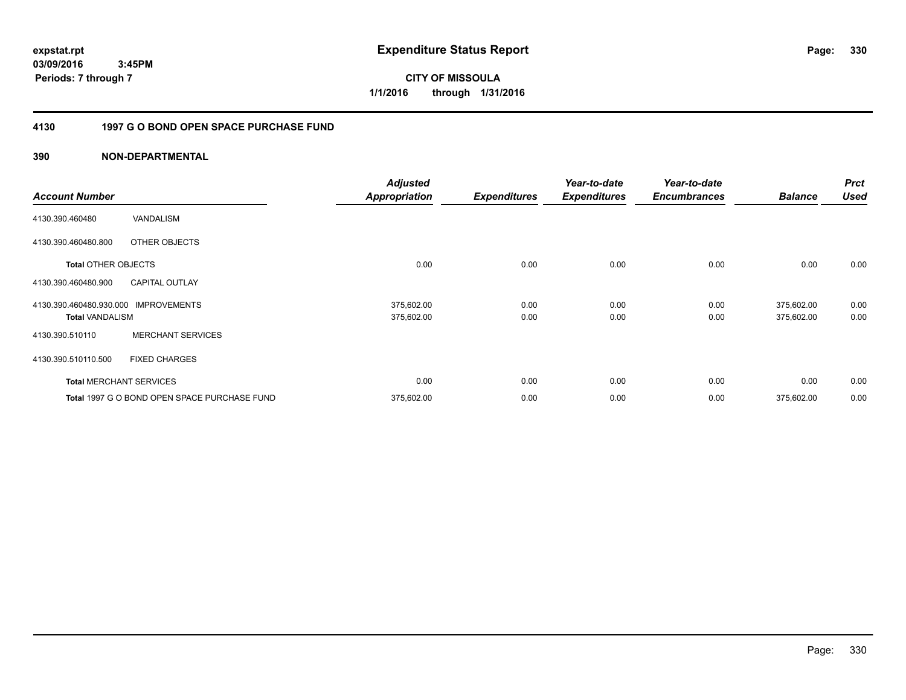**expstat.rpt Expenditure Status Report Page:**

**03/09/2016 3:45PM Periods: 7 through 7**

**CITY OF MISSOULA 1/1/2016 through 1/31/2016**

# **4130 1997 G O BOND OPEN SPACE PURCHASE FUND**

| <b>Account Number</b>                             |                                              | <b>Adjusted</b><br><b>Appropriation</b> | <b>Expenditures</b> | Year-to-date<br><b>Expenditures</b> | Year-to-date<br><b>Encumbrances</b> | <b>Balance</b>           | <b>Prct</b><br><b>Used</b> |
|---------------------------------------------------|----------------------------------------------|-----------------------------------------|---------------------|-------------------------------------|-------------------------------------|--------------------------|----------------------------|
| 4130.390.460480                                   | VANDALISM                                    |                                         |                     |                                     |                                     |                          |                            |
| 4130.390.460480.800                               | OTHER OBJECTS                                |                                         |                     |                                     |                                     |                          |                            |
| <b>Total OTHER OBJECTS</b>                        |                                              | 0.00                                    | 0.00                | 0.00                                | 0.00                                | 0.00                     | 0.00                       |
| 4130.390.460480.900                               | <b>CAPITAL OUTLAY</b>                        |                                         |                     |                                     |                                     |                          |                            |
| 4130.390.460480.930.000<br><b>Total VANDALISM</b> | <b>IMPROVEMENTS</b>                          | 375,602.00<br>375,602.00                | 0.00<br>0.00        | 0.00<br>0.00                        | 0.00<br>0.00                        | 375,602.00<br>375,602.00 | 0.00<br>0.00               |
| 4130.390.510110                                   | <b>MERCHANT SERVICES</b>                     |                                         |                     |                                     |                                     |                          |                            |
| 4130.390.510110.500                               | <b>FIXED CHARGES</b>                         |                                         |                     |                                     |                                     |                          |                            |
|                                                   | <b>Total MERCHANT SERVICES</b>               | 0.00                                    | 0.00                | 0.00                                | 0.00                                | 0.00                     | 0.00                       |
|                                                   | Total 1997 G O BOND OPEN SPACE PURCHASE FUND | 375,602.00                              | 0.00                | 0.00                                | 0.00                                | 375,602.00               | 0.00                       |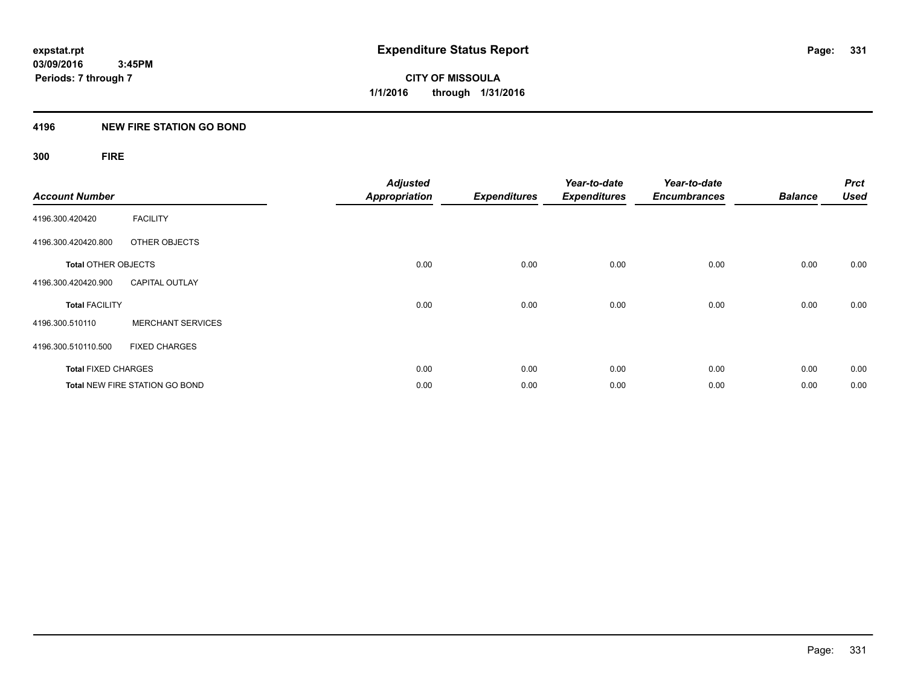# **4196 NEW FIRE STATION GO BOND**

# **300 FIRE**

| <b>Account Number</b>      |                                       | <b>Adjusted</b><br><b>Appropriation</b> | <b>Expenditures</b> | Year-to-date<br><b>Expenditures</b> | Year-to-date<br><b>Encumbrances</b> | <b>Balance</b> | <b>Prct</b><br><b>Used</b> |
|----------------------------|---------------------------------------|-----------------------------------------|---------------------|-------------------------------------|-------------------------------------|----------------|----------------------------|
| 4196.300.420420            | <b>FACILITY</b>                       |                                         |                     |                                     |                                     |                |                            |
| 4196.300.420420.800        | OTHER OBJECTS                         |                                         |                     |                                     |                                     |                |                            |
| <b>Total OTHER OBJECTS</b> |                                       | 0.00                                    | 0.00                | 0.00                                | 0.00                                | 0.00           | 0.00                       |
| 4196.300.420420.900        | <b>CAPITAL OUTLAY</b>                 |                                         |                     |                                     |                                     |                |                            |
| <b>Total FACILITY</b>      |                                       | 0.00                                    | 0.00                | 0.00                                | 0.00                                | 0.00           | 0.00                       |
| 4196.300.510110            | <b>MERCHANT SERVICES</b>              |                                         |                     |                                     |                                     |                |                            |
| 4196.300.510110.500        | <b>FIXED CHARGES</b>                  |                                         |                     |                                     |                                     |                |                            |
| <b>Total FIXED CHARGES</b> |                                       | 0.00                                    | 0.00                | 0.00                                | 0.00                                | 0.00           | 0.00                       |
|                            | <b>Total NEW FIRE STATION GO BOND</b> | 0.00                                    | 0.00                | 0.00                                | 0.00                                | 0.00           | 0.00                       |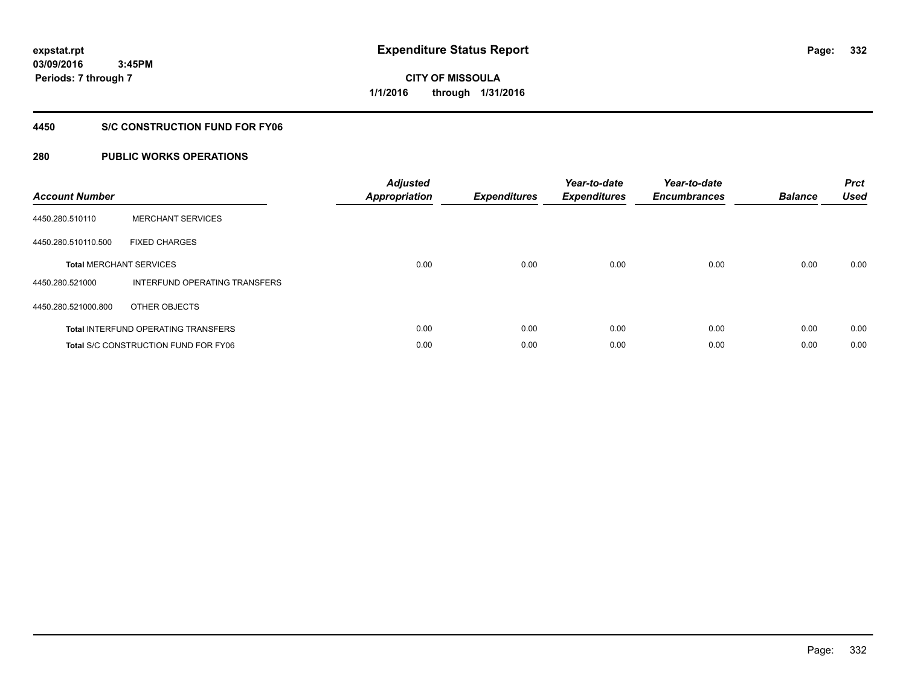**CITY OF MISSOULA 1/1/2016 through 1/31/2016**

# **4450 S/C CONSTRUCTION FUND FOR FY06**

| <b>Account Number</b> |                                             | <b>Adjusted</b><br><b>Appropriation</b> | <b>Expenditures</b> | Year-to-date<br><b>Expenditures</b> | Year-to-date<br><b>Encumbrances</b> | <b>Balance</b> | <b>Prct</b><br><b>Used</b> |
|-----------------------|---------------------------------------------|-----------------------------------------|---------------------|-------------------------------------|-------------------------------------|----------------|----------------------------|
| 4450.280.510110       | <b>MERCHANT SERVICES</b>                    |                                         |                     |                                     |                                     |                |                            |
| 4450.280.510110.500   | <b>FIXED CHARGES</b>                        |                                         |                     |                                     |                                     |                |                            |
|                       | <b>Total MERCHANT SERVICES</b>              | 0.00                                    | 0.00                | 0.00                                | 0.00                                | 0.00           | 0.00                       |
| 4450.280.521000       | INTERFUND OPERATING TRANSFERS               |                                         |                     |                                     |                                     |                |                            |
| 4450.280.521000.800   | OTHER OBJECTS                               |                                         |                     |                                     |                                     |                |                            |
|                       | <b>Total INTERFUND OPERATING TRANSFERS</b>  | 0.00                                    | 0.00                | 0.00                                | 0.00                                | 0.00           | 0.00                       |
|                       | <b>Total S/C CONSTRUCTION FUND FOR FY06</b> | 0.00                                    | 0.00                | 0.00                                | 0.00                                | 0.00           | 0.00                       |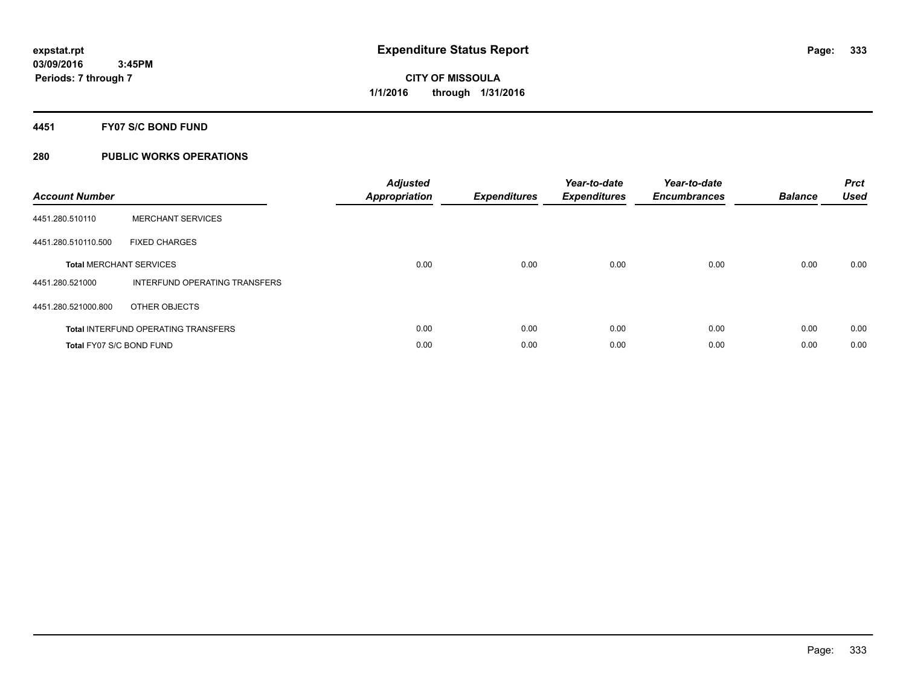# **4451 FY07 S/C BOND FUND**

| <b>Account Number</b>           |                                            | <b>Adjusted</b><br>Appropriation | <b>Expenditures</b> | Year-to-date<br><b>Expenditures</b> | Year-to-date<br><b>Encumbrances</b> | <b>Balance</b> | <b>Prct</b><br><b>Used</b> |
|---------------------------------|--------------------------------------------|----------------------------------|---------------------|-------------------------------------|-------------------------------------|----------------|----------------------------|
| 4451.280.510110                 | <b>MERCHANT SERVICES</b>                   |                                  |                     |                                     |                                     |                |                            |
| 4451.280.510110.500             | <b>FIXED CHARGES</b>                       |                                  |                     |                                     |                                     |                |                            |
|                                 | <b>Total MERCHANT SERVICES</b>             | 0.00                             | 0.00                | 0.00                                | 0.00                                | 0.00           | 0.00                       |
| 4451.280.521000                 | INTERFUND OPERATING TRANSFERS              |                                  |                     |                                     |                                     |                |                            |
| 4451.280.521000.800             | OTHER OBJECTS                              |                                  |                     |                                     |                                     |                |                            |
|                                 | <b>Total INTERFUND OPERATING TRANSFERS</b> | 0.00                             | 0.00                | 0.00                                | 0.00                                | 0.00           | 0.00                       |
| <b>Total FY07 S/C BOND FUND</b> |                                            | 0.00                             | 0.00                | 0.00                                | 0.00                                | 0.00           | 0.00                       |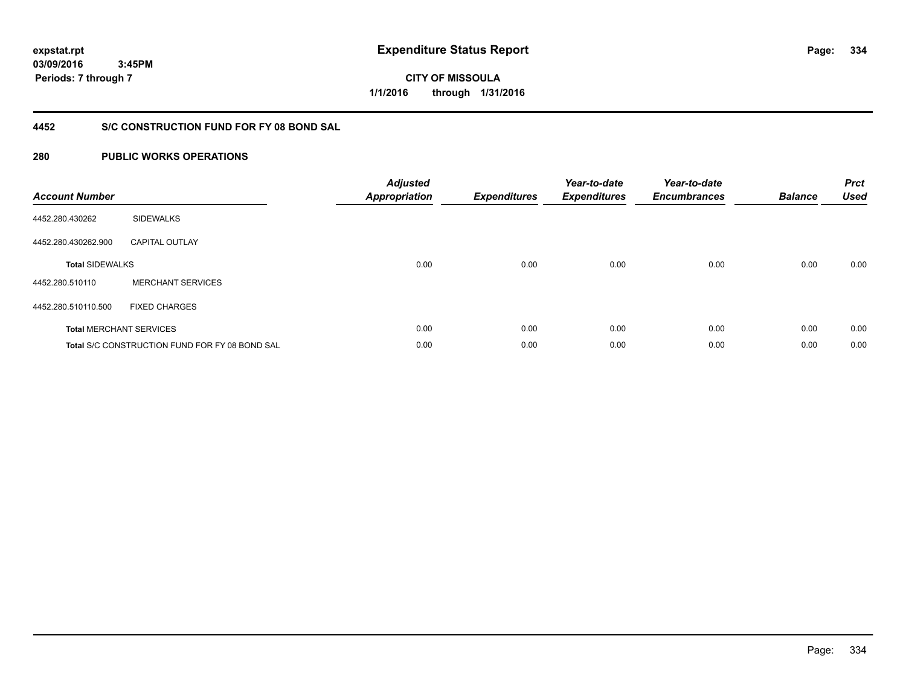**CITY OF MISSOULA 1/1/2016 through 1/31/2016**

# **4452 S/C CONSTRUCTION FUND FOR FY 08 BOND SAL**

| <b>Account Number</b>  |                                                       | <b>Adjusted</b><br><b>Appropriation</b> | <b>Expenditures</b> | Year-to-date<br><b>Expenditures</b> | Year-to-date<br><b>Encumbrances</b> | <b>Balance</b> | <b>Prct</b><br><b>Used</b> |
|------------------------|-------------------------------------------------------|-----------------------------------------|---------------------|-------------------------------------|-------------------------------------|----------------|----------------------------|
| 4452.280.430262        | <b>SIDEWALKS</b>                                      |                                         |                     |                                     |                                     |                |                            |
| 4452.280.430262.900    | <b>CAPITAL OUTLAY</b>                                 |                                         |                     |                                     |                                     |                |                            |
| <b>Total SIDEWALKS</b> |                                                       | 0.00                                    | 0.00                | 0.00                                | 0.00                                | 0.00           | 0.00                       |
| 4452.280.510110        | <b>MERCHANT SERVICES</b>                              |                                         |                     |                                     |                                     |                |                            |
| 4452.280.510110.500    | <b>FIXED CHARGES</b>                                  |                                         |                     |                                     |                                     |                |                            |
|                        | <b>Total MERCHANT SERVICES</b>                        | 0.00                                    | 0.00                | 0.00                                | 0.00                                | 0.00           | 0.00                       |
|                        | <b>Total S/C CONSTRUCTION FUND FOR FY 08 BOND SAL</b> | 0.00                                    | 0.00                | 0.00                                | 0.00                                | 0.00           | 0.00                       |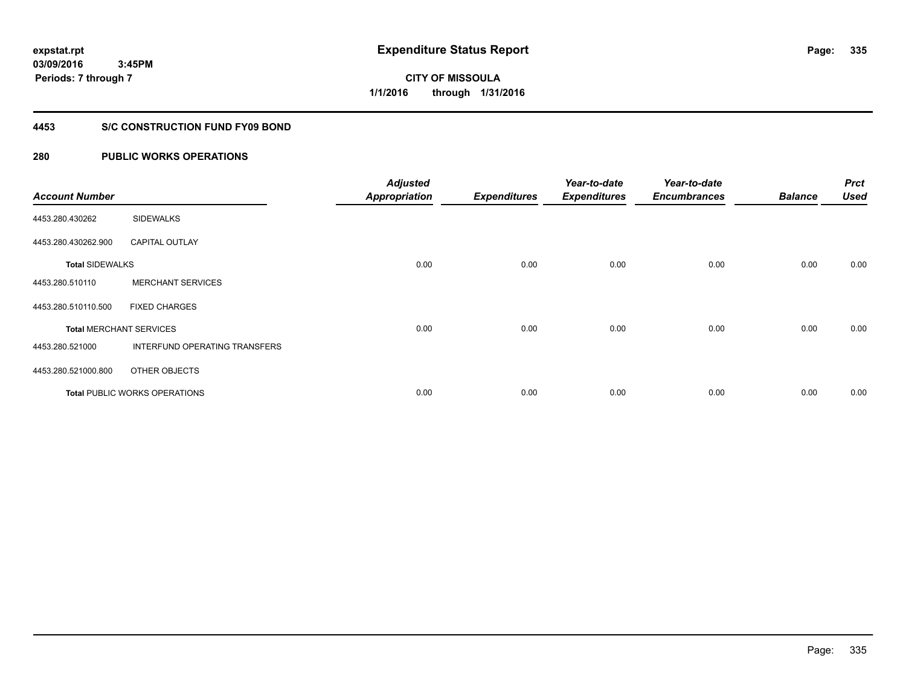# **CITY OF MISSOULA 1/1/2016 through 1/31/2016**

# **4453 S/C CONSTRUCTION FUND FY09 BOND**

| <b>Account Number</b>  |                                      | <b>Adjusted</b><br><b>Appropriation</b> | <b>Expenditures</b> | Year-to-date<br><b>Expenditures</b> | Year-to-date<br><b>Encumbrances</b> | <b>Balance</b> | <b>Prct</b><br><b>Used</b> |
|------------------------|--------------------------------------|-----------------------------------------|---------------------|-------------------------------------|-------------------------------------|----------------|----------------------------|
| 4453.280.430262        | <b>SIDEWALKS</b>                     |                                         |                     |                                     |                                     |                |                            |
| 4453.280.430262.900    | <b>CAPITAL OUTLAY</b>                |                                         |                     |                                     |                                     |                |                            |
| <b>Total SIDEWALKS</b> |                                      | 0.00                                    | 0.00                | 0.00                                | 0.00                                | 0.00           | 0.00                       |
| 4453.280.510110        | <b>MERCHANT SERVICES</b>             |                                         |                     |                                     |                                     |                |                            |
| 4453.280.510110.500    | <b>FIXED CHARGES</b>                 |                                         |                     |                                     |                                     |                |                            |
|                        | <b>Total MERCHANT SERVICES</b>       | 0.00                                    | 0.00                | 0.00                                | 0.00                                | 0.00           | 0.00                       |
| 4453.280.521000        | INTERFUND OPERATING TRANSFERS        |                                         |                     |                                     |                                     |                |                            |
| 4453.280.521000.800    | OTHER OBJECTS                        |                                         |                     |                                     |                                     |                |                            |
|                        | <b>Total PUBLIC WORKS OPERATIONS</b> | 0.00                                    | 0.00                | 0.00                                | 0.00                                | 0.00           | 0.00                       |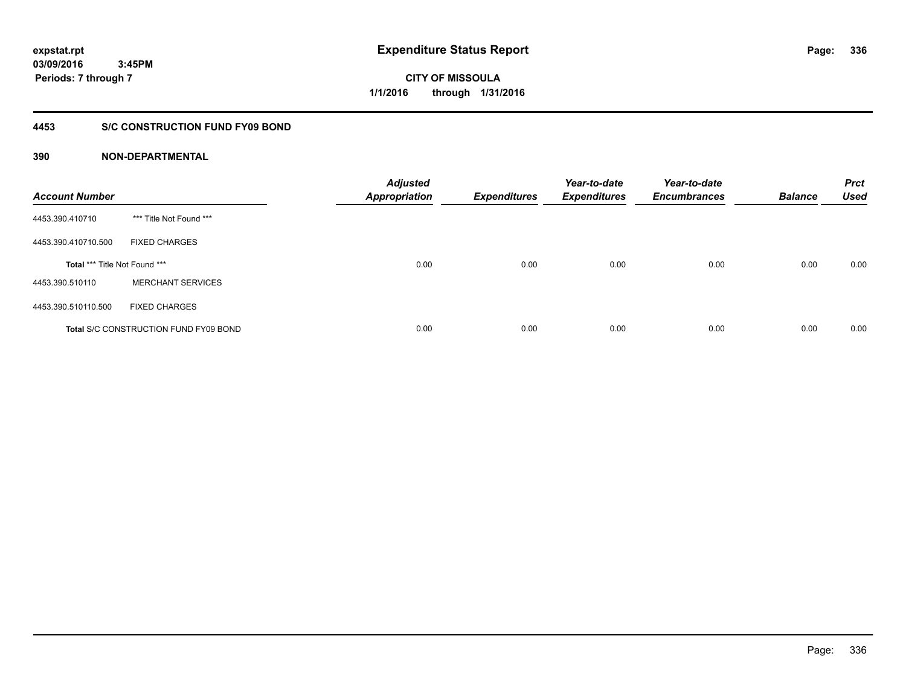**Periods: 7 through 7**

**CITY OF MISSOULA 1/1/2016 through 1/31/2016**

# **4453 S/C CONSTRUCTION FUND FY09 BOND**

| <b>Account Number</b>         |                                              | <b>Adjusted</b><br><b>Appropriation</b> | <b>Expenditures</b> | Year-to-date<br><b>Expenditures</b> | Year-to-date<br><b>Encumbrances</b> | <b>Balance</b> | <b>Prct</b><br><b>Used</b> |
|-------------------------------|----------------------------------------------|-----------------------------------------|---------------------|-------------------------------------|-------------------------------------|----------------|----------------------------|
| 4453.390.410710               | *** Title Not Found ***                      |                                         |                     |                                     |                                     |                |                            |
| 4453.390.410710.500           | <b>FIXED CHARGES</b>                         |                                         |                     |                                     |                                     |                |                            |
| Total *** Title Not Found *** |                                              | 0.00                                    | 0.00                | 0.00                                | 0.00                                | 0.00           | 0.00                       |
| 4453.390.510110               | <b>MERCHANT SERVICES</b>                     |                                         |                     |                                     |                                     |                |                            |
| 4453.390.510110.500           | <b>FIXED CHARGES</b>                         |                                         |                     |                                     |                                     |                |                            |
|                               | <b>Total S/C CONSTRUCTION FUND FY09 BOND</b> | 0.00                                    | 0.00                | 0.00                                | 0.00                                | 0.00           | 0.00                       |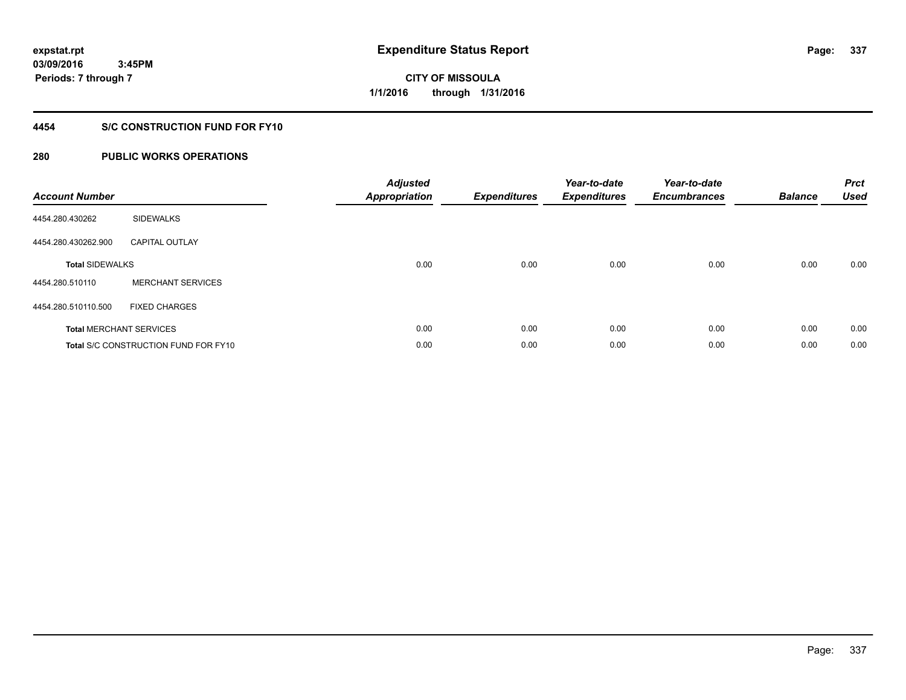**03/09/2016 3:45PM Periods: 7 through 7**

**CITY OF MISSOULA 1/1/2016 through 1/31/2016**

# **4454 S/C CONSTRUCTION FUND FOR FY10**

| <b>Account Number</b>  |                                             | <b>Adjusted</b><br><b>Appropriation</b> | <b>Expenditures</b> | Year-to-date<br><b>Expenditures</b> | Year-to-date<br><b>Encumbrances</b> | <b>Balance</b> | <b>Prct</b><br><b>Used</b> |
|------------------------|---------------------------------------------|-----------------------------------------|---------------------|-------------------------------------|-------------------------------------|----------------|----------------------------|
| 4454.280.430262        | <b>SIDEWALKS</b>                            |                                         |                     |                                     |                                     |                |                            |
| 4454.280.430262.900    | <b>CAPITAL OUTLAY</b>                       |                                         |                     |                                     |                                     |                |                            |
| <b>Total SIDEWALKS</b> |                                             | 0.00                                    | 0.00                | 0.00                                | 0.00                                | 0.00           | 0.00                       |
| 4454.280.510110        | <b>MERCHANT SERVICES</b>                    |                                         |                     |                                     |                                     |                |                            |
| 4454.280.510110.500    | <b>FIXED CHARGES</b>                        |                                         |                     |                                     |                                     |                |                            |
|                        | <b>Total MERCHANT SERVICES</b>              | 0.00                                    | 0.00                | 0.00                                | 0.00                                | 0.00           | 0.00                       |
|                        | <b>Total S/C CONSTRUCTION FUND FOR FY10</b> | 0.00                                    | 0.00                | 0.00                                | 0.00                                | 0.00           | 0.00                       |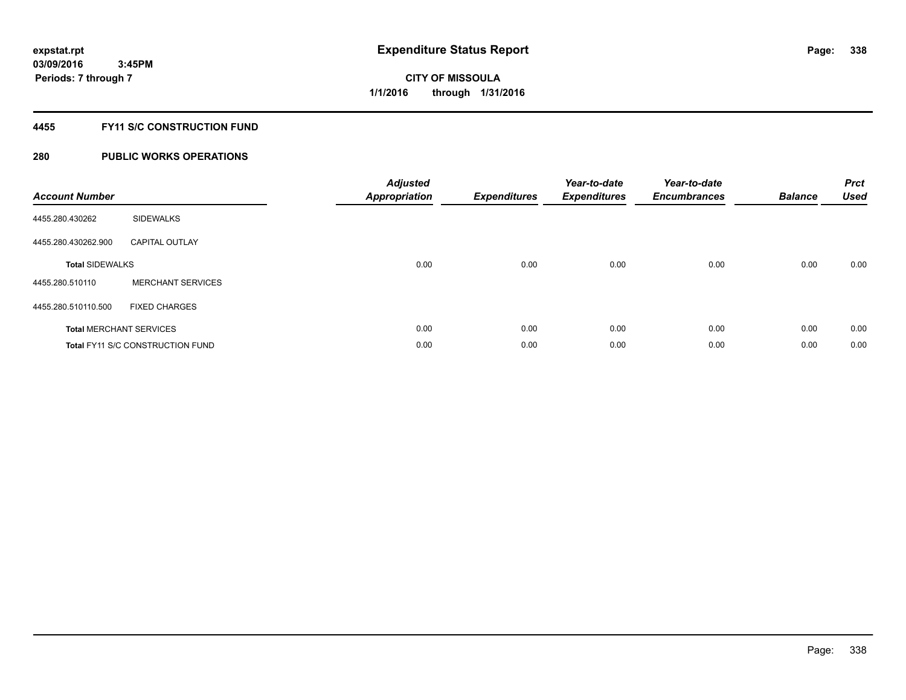# **4455 FY11 S/C CONSTRUCTION FUND**

| <b>Account Number</b>          |                                         | <b>Adjusted</b><br><b>Appropriation</b> | <b>Expenditures</b> | Year-to-date<br><b>Expenditures</b> | Year-to-date<br><b>Encumbrances</b> | <b>Balance</b> | <b>Prct</b><br><b>Used</b> |
|--------------------------------|-----------------------------------------|-----------------------------------------|---------------------|-------------------------------------|-------------------------------------|----------------|----------------------------|
| 4455.280.430262                | <b>SIDEWALKS</b>                        |                                         |                     |                                     |                                     |                |                            |
| 4455.280.430262.900            | <b>CAPITAL OUTLAY</b>                   |                                         |                     |                                     |                                     |                |                            |
| <b>Total SIDEWALKS</b>         |                                         | 0.00                                    | 0.00                | 0.00                                | 0.00                                | 0.00           | 0.00                       |
| 4455.280.510110                | <b>MERCHANT SERVICES</b>                |                                         |                     |                                     |                                     |                |                            |
| 4455.280.510110.500            | <b>FIXED CHARGES</b>                    |                                         |                     |                                     |                                     |                |                            |
| <b>Total MERCHANT SERVICES</b> |                                         | 0.00                                    | 0.00                | 0.00                                | 0.00                                | 0.00           | 0.00                       |
|                                | <b>Total FY11 S/C CONSTRUCTION FUND</b> | 0.00                                    | 0.00                | 0.00                                | 0.00                                | 0.00           | 0.00                       |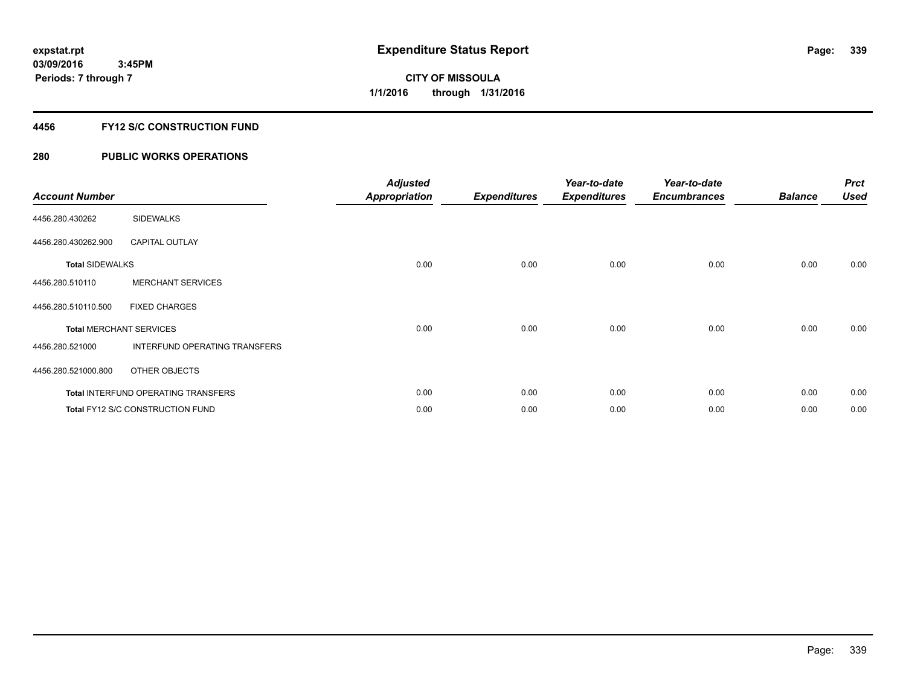# **4456 FY12 S/C CONSTRUCTION FUND**

| <b>Account Number</b>          |                                            | <b>Adjusted</b><br><b>Appropriation</b> | <b>Expenditures</b> | Year-to-date<br><b>Expenditures</b> | Year-to-date<br><b>Encumbrances</b> | <b>Balance</b> | <b>Prct</b><br><b>Used</b> |
|--------------------------------|--------------------------------------------|-----------------------------------------|---------------------|-------------------------------------|-------------------------------------|----------------|----------------------------|
| 4456.280.430262                | <b>SIDEWALKS</b>                           |                                         |                     |                                     |                                     |                |                            |
| 4456.280.430262.900            | <b>CAPITAL OUTLAY</b>                      |                                         |                     |                                     |                                     |                |                            |
| <b>Total SIDEWALKS</b>         |                                            | 0.00                                    | 0.00                | 0.00                                | 0.00                                | 0.00           | 0.00                       |
| 4456.280.510110                | <b>MERCHANT SERVICES</b>                   |                                         |                     |                                     |                                     |                |                            |
| 4456.280.510110.500            | <b>FIXED CHARGES</b>                       |                                         |                     |                                     |                                     |                |                            |
| <b>Total MERCHANT SERVICES</b> |                                            | 0.00                                    | 0.00                | 0.00                                | 0.00                                | 0.00           | 0.00                       |
| 4456.280.521000                | INTERFUND OPERATING TRANSFERS              |                                         |                     |                                     |                                     |                |                            |
| 4456.280.521000.800            | OTHER OBJECTS                              |                                         |                     |                                     |                                     |                |                            |
|                                | <b>Total INTERFUND OPERATING TRANSFERS</b> | 0.00                                    | 0.00                | 0.00                                | 0.00                                | 0.00           | 0.00                       |
|                                | Total FY12 S/C CONSTRUCTION FUND           | 0.00                                    | 0.00                | 0.00                                | 0.00                                | 0.00           | 0.00                       |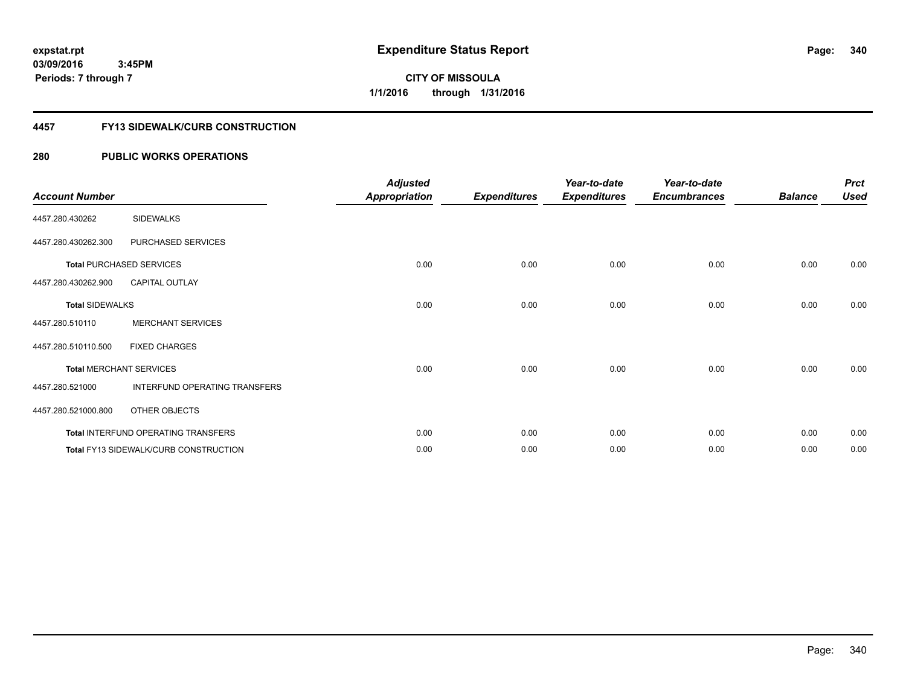**Periods: 7 through 7**

**340**

**CITY OF MISSOULA 1/1/2016 through 1/31/2016**

### **4457 FY13 SIDEWALK/CURB CONSTRUCTION**

# **280 PUBLIC WORKS OPERATIONS**

 **3:45PM**

| <b>Account Number</b>  |                                              | <b>Adjusted</b><br><b>Appropriation</b> | <b>Expenditures</b> | Year-to-date<br><b>Expenditures</b> | Year-to-date<br><b>Encumbrances</b> | <b>Balance</b> | <b>Prct</b><br><b>Used</b> |
|------------------------|----------------------------------------------|-----------------------------------------|---------------------|-------------------------------------|-------------------------------------|----------------|----------------------------|
| 4457.280.430262        | <b>SIDEWALKS</b>                             |                                         |                     |                                     |                                     |                |                            |
| 4457.280.430262.300    | PURCHASED SERVICES                           |                                         |                     |                                     |                                     |                |                            |
|                        | <b>Total PURCHASED SERVICES</b>              | 0.00                                    | 0.00                | 0.00                                | 0.00                                | 0.00           | 0.00                       |
| 4457.280.430262.900    | <b>CAPITAL OUTLAY</b>                        |                                         |                     |                                     |                                     |                |                            |
| <b>Total SIDEWALKS</b> |                                              | 0.00                                    | 0.00                | 0.00                                | 0.00                                | 0.00           | 0.00                       |
| 4457.280.510110        | <b>MERCHANT SERVICES</b>                     |                                         |                     |                                     |                                     |                |                            |
| 4457.280.510110.500    | <b>FIXED CHARGES</b>                         |                                         |                     |                                     |                                     |                |                            |
|                        | <b>Total MERCHANT SERVICES</b>               | 0.00                                    | 0.00                | 0.00                                | 0.00                                | 0.00           | 0.00                       |
| 4457.280.521000        | INTERFUND OPERATING TRANSFERS                |                                         |                     |                                     |                                     |                |                            |
| 4457.280.521000.800    | OTHER OBJECTS                                |                                         |                     |                                     |                                     |                |                            |
|                        | Total INTERFUND OPERATING TRANSFERS          | 0.00                                    | 0.00                | 0.00                                | 0.00                                | 0.00           | 0.00                       |
|                        | <b>Total FY13 SIDEWALK/CURB CONSTRUCTION</b> | 0.00                                    | 0.00                | 0.00                                | 0.00                                | 0.00           | 0.00                       |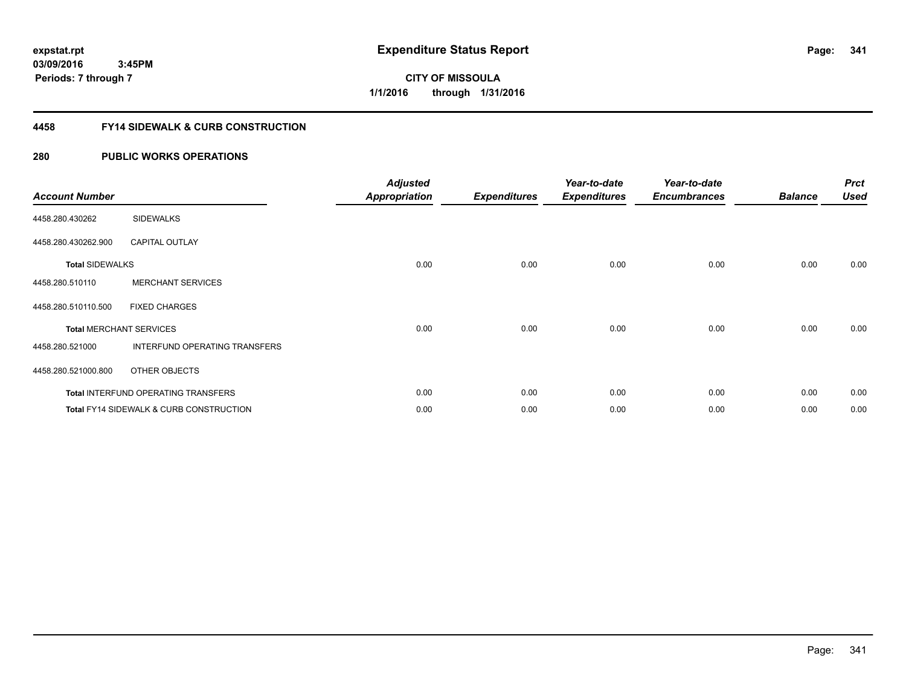**03/09/2016 3:45PM Periods: 7 through 7**

**CITY OF MISSOULA 1/1/2016 through 1/31/2016**

# **4458 FY14 SIDEWALK & CURB CONSTRUCTION**

| <b>Account Number</b>  |                                                    | <b>Adjusted</b><br><b>Appropriation</b> | <b>Expenditures</b> | Year-to-date<br><b>Expenditures</b> | Year-to-date<br><b>Encumbrances</b> | <b>Balance</b> | <b>Prct</b><br><b>Used</b> |
|------------------------|----------------------------------------------------|-----------------------------------------|---------------------|-------------------------------------|-------------------------------------|----------------|----------------------------|
| 4458.280.430262        | <b>SIDEWALKS</b>                                   |                                         |                     |                                     |                                     |                |                            |
| 4458.280.430262.900    | <b>CAPITAL OUTLAY</b>                              |                                         |                     |                                     |                                     |                |                            |
| <b>Total SIDEWALKS</b> |                                                    | 0.00                                    | 0.00                | 0.00                                | 0.00                                | 0.00           | 0.00                       |
| 4458.280.510110        | <b>MERCHANT SERVICES</b>                           |                                         |                     |                                     |                                     |                |                            |
| 4458.280.510110.500    | <b>FIXED CHARGES</b>                               |                                         |                     |                                     |                                     |                |                            |
|                        | <b>Total MERCHANT SERVICES</b>                     | 0.00                                    | 0.00                | 0.00                                | 0.00                                | 0.00           | 0.00                       |
| 4458.280.521000        | INTERFUND OPERATING TRANSFERS                      |                                         |                     |                                     |                                     |                |                            |
| 4458.280.521000.800    | OTHER OBJECTS                                      |                                         |                     |                                     |                                     |                |                            |
|                        | <b>Total INTERFUND OPERATING TRANSFERS</b>         | 0.00                                    | 0.00                | 0.00                                | 0.00                                | 0.00           | 0.00                       |
|                        | <b>Total FY14 SIDEWALK &amp; CURB CONSTRUCTION</b> | 0.00                                    | 0.00                | 0.00                                | 0.00                                | 0.00           | 0.00                       |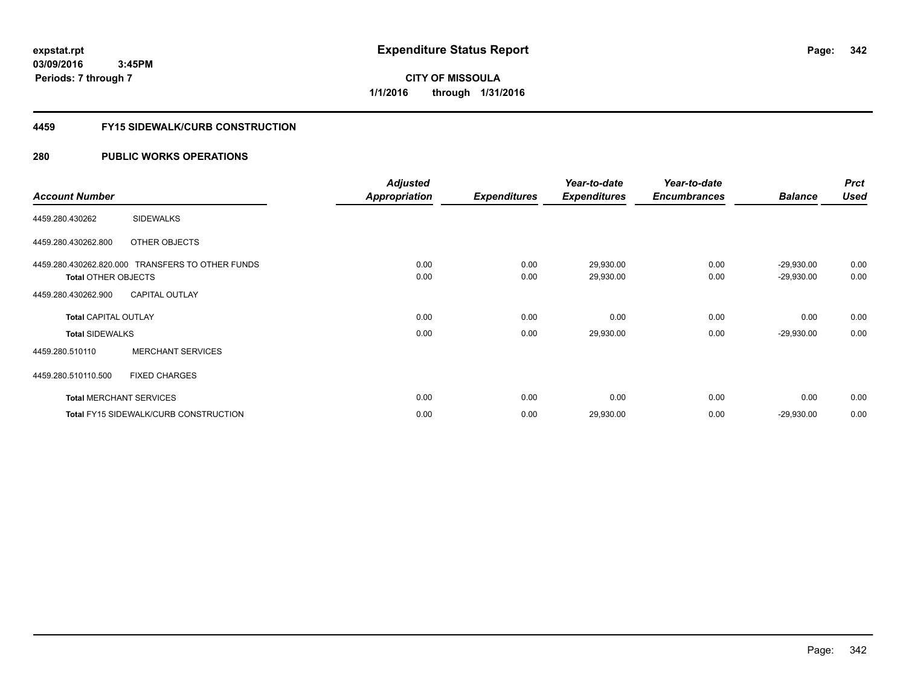**03/09/2016 3:45PM Periods: 7 through 7**

**CITY OF MISSOULA 1/1/2016 through 1/31/2016**

### **4459 FY15 SIDEWALK/CURB CONSTRUCTION**

|                             |                                                  | <b>Adjusted</b>      |                     | Year-to-date        | Year-to-date        |                | <b>Prct</b> |
|-----------------------------|--------------------------------------------------|----------------------|---------------------|---------------------|---------------------|----------------|-------------|
| <b>Account Number</b>       |                                                  | <b>Appropriation</b> | <b>Expenditures</b> | <b>Expenditures</b> | <b>Encumbrances</b> | <b>Balance</b> | <b>Used</b> |
| 4459.280.430262             | <b>SIDEWALKS</b>                                 |                      |                     |                     |                     |                |             |
| 4459.280.430262.800         | OTHER OBJECTS                                    |                      |                     |                     |                     |                |             |
|                             | 4459.280.430262.820.000 TRANSFERS TO OTHER FUNDS | 0.00                 | 0.00                | 29,930.00           | 0.00                | $-29,930.00$   | 0.00        |
| <b>Total OTHER OBJECTS</b>  |                                                  | 0.00                 | 0.00                | 29,930.00           | 0.00                | $-29,930.00$   | 0.00        |
| 4459.280.430262.900         | <b>CAPITAL OUTLAY</b>                            |                      |                     |                     |                     |                |             |
| <b>Total CAPITAL OUTLAY</b> |                                                  | 0.00                 | 0.00                | 0.00                | 0.00                | 0.00           | 0.00        |
| <b>Total SIDEWALKS</b>      |                                                  | 0.00                 | 0.00                | 29,930.00           | 0.00                | $-29,930.00$   | 0.00        |
| 4459.280.510110             | <b>MERCHANT SERVICES</b>                         |                      |                     |                     |                     |                |             |
| 4459.280.510110.500         | <b>FIXED CHARGES</b>                             |                      |                     |                     |                     |                |             |
|                             | <b>Total MERCHANT SERVICES</b>                   | 0.00                 | 0.00                | 0.00                | 0.00                | 0.00           | 0.00        |
|                             | <b>Total FY15 SIDEWALK/CURB CONSTRUCTION</b>     | 0.00                 | 0.00                | 29,930.00           | 0.00                | $-29,930.00$   | 0.00        |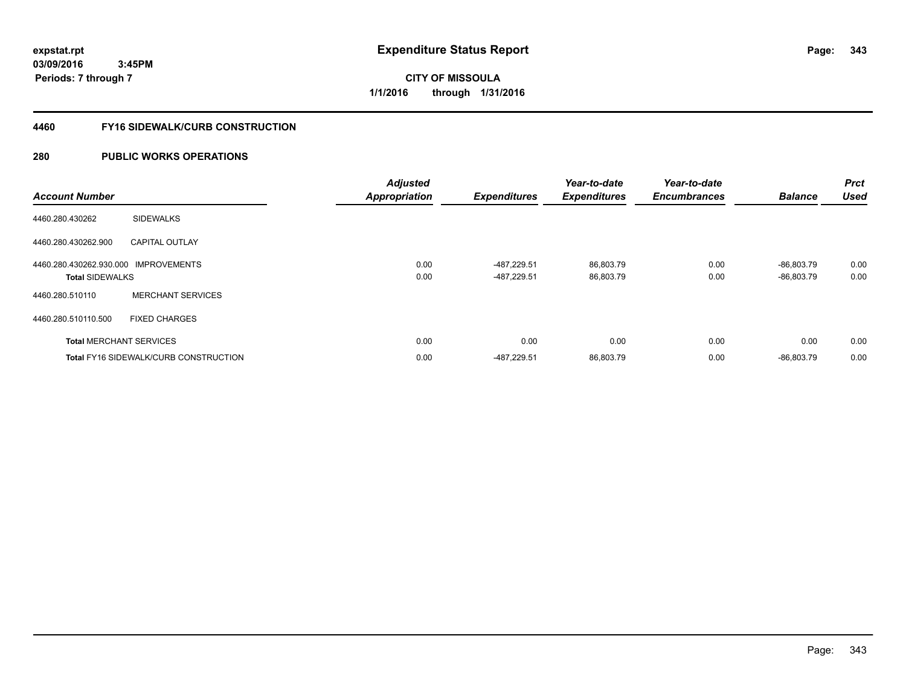**03/09/2016 3:45PM Periods: 7 through 7**

**CITY OF MISSOULA 1/1/2016 through 1/31/2016**

# **4460 FY16 SIDEWALK/CURB CONSTRUCTION**

| <b>Account Number</b>                                          |                                       | <b>Adjusted</b><br><b>Appropriation</b> | <b>Expenditures</b>        | Year-to-date<br><b>Expenditures</b> | Year-to-date<br><b>Encumbrances</b> | <b>Balance</b>               | <b>Prct</b><br><b>Used</b> |
|----------------------------------------------------------------|---------------------------------------|-----------------------------------------|----------------------------|-------------------------------------|-------------------------------------|------------------------------|----------------------------|
| 4460.280.430262                                                | <b>SIDEWALKS</b>                      |                                         |                            |                                     |                                     |                              |                            |
| 4460.280.430262.900                                            | <b>CAPITAL OUTLAY</b>                 |                                         |                            |                                     |                                     |                              |                            |
| 4460.280.430262.930.000 IMPROVEMENTS<br><b>Total SIDEWALKS</b> |                                       | 0.00<br>0.00                            | -487,229.51<br>-487.229.51 | 86,803.79<br>86,803.79              | 0.00<br>0.00                        | $-86.803.79$<br>$-86.803.79$ | 0.00<br>0.00               |
| 4460.280.510110                                                | <b>MERCHANT SERVICES</b>              |                                         |                            |                                     |                                     |                              |                            |
| 4460.280.510110.500                                            | <b>FIXED CHARGES</b>                  |                                         |                            |                                     |                                     |                              |                            |
|                                                                | <b>Total MERCHANT SERVICES</b>        | 0.00                                    | 0.00                       | 0.00                                | 0.00                                | 0.00                         | 0.00                       |
|                                                                | Total FY16 SIDEWALK/CURB CONSTRUCTION | 0.00                                    | -487,229.51                | 86,803.79                           | 0.00                                | $-86,803.79$                 | 0.00                       |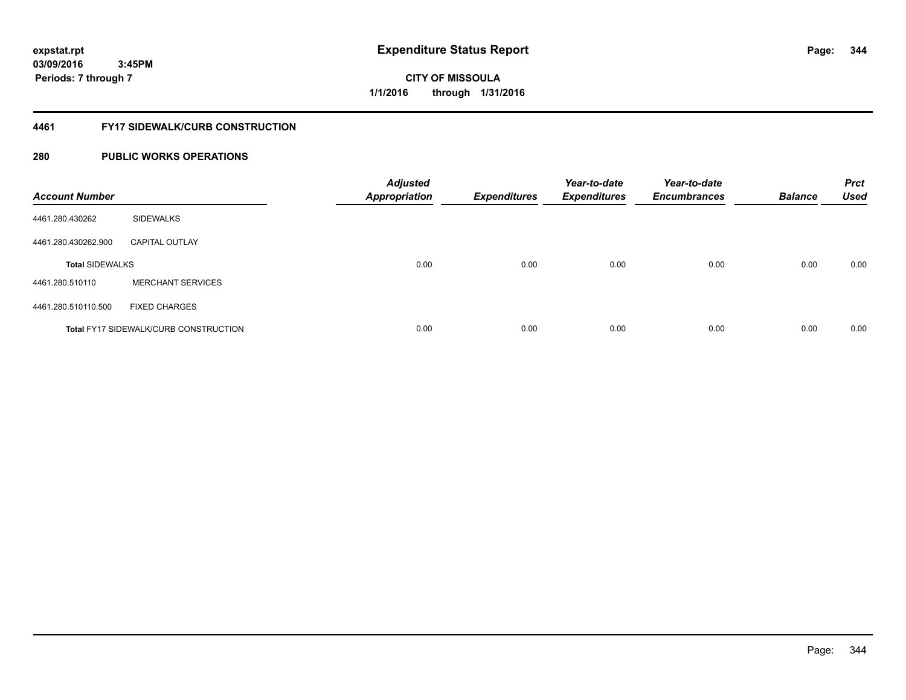**03/09/2016**

**344**

 **3:45PM Periods: 7 through 7**

**CITY OF MISSOULA 1/1/2016 through 1/31/2016**

### **4461 FY17 SIDEWALK/CURB CONSTRUCTION**

| <b>Account Number</b>  |                                              | <b>Adjusted</b><br><b>Appropriation</b> | <b>Expenditures</b> | Year-to-date<br><b>Expenditures</b> | Year-to-date<br><b>Encumbrances</b> | <b>Balance</b> | <b>Prct</b><br><b>Used</b> |
|------------------------|----------------------------------------------|-----------------------------------------|---------------------|-------------------------------------|-------------------------------------|----------------|----------------------------|
| 4461.280.430262        | <b>SIDEWALKS</b>                             |                                         |                     |                                     |                                     |                |                            |
| 4461.280.430262.900    | <b>CAPITAL OUTLAY</b>                        |                                         |                     |                                     |                                     |                |                            |
| <b>Total SIDEWALKS</b> |                                              | 0.00                                    | 0.00                | 0.00                                | 0.00                                | 0.00           | 0.00                       |
| 4461.280.510110        | <b>MERCHANT SERVICES</b>                     |                                         |                     |                                     |                                     |                |                            |
| 4461.280.510110.500    | <b>FIXED CHARGES</b>                         |                                         |                     |                                     |                                     |                |                            |
|                        | <b>Total FY17 SIDEWALK/CURB CONSTRUCTION</b> | 0.00                                    | 0.00                | 0.00                                | 0.00                                | 0.00           | 0.00                       |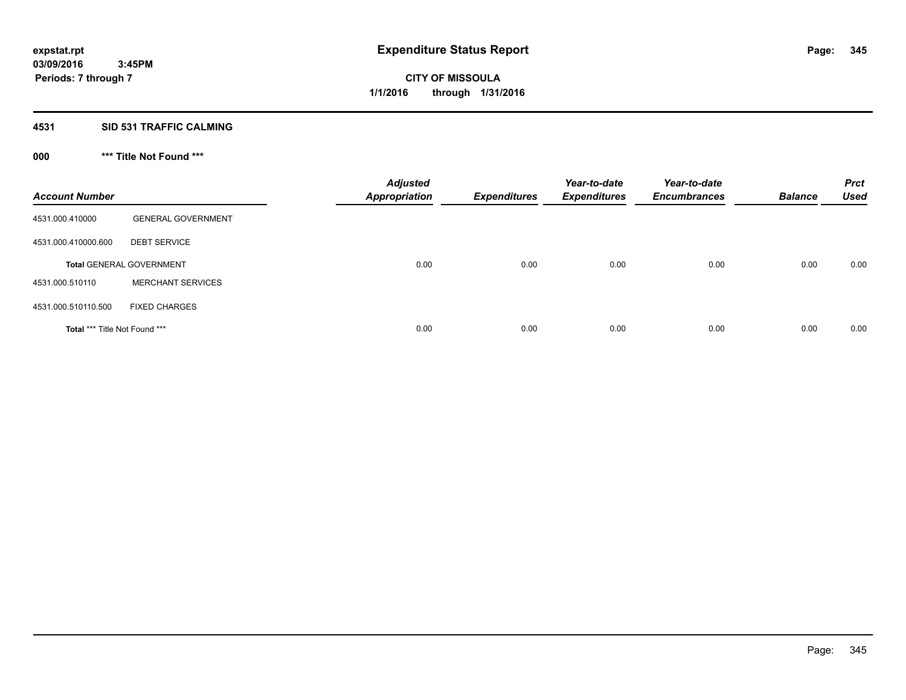# **4531 SID 531 TRAFFIC CALMING**

# **000 \*\*\* Title Not Found \*\*\***

| <b>Account Number</b>         |                                 | <b>Adjusted</b><br><b>Appropriation</b> | <b>Expenditures</b> | Year-to-date<br><b>Expenditures</b> | Year-to-date<br><b>Encumbrances</b> | <b>Balance</b> | <b>Prct</b><br><b>Used</b> |
|-------------------------------|---------------------------------|-----------------------------------------|---------------------|-------------------------------------|-------------------------------------|----------------|----------------------------|
| 4531.000.410000               | <b>GENERAL GOVERNMENT</b>       |                                         |                     |                                     |                                     |                |                            |
| 4531.000.410000.600           | <b>DEBT SERVICE</b>             |                                         |                     |                                     |                                     |                |                            |
|                               | <b>Total GENERAL GOVERNMENT</b> | 0.00                                    | 0.00                | 0.00                                | 0.00                                | 0.00           | 0.00                       |
| 4531.000.510110               | <b>MERCHANT SERVICES</b>        |                                         |                     |                                     |                                     |                |                            |
| 4531.000.510110.500           | <b>FIXED CHARGES</b>            |                                         |                     |                                     |                                     |                |                            |
| Total *** Title Not Found *** |                                 | 0.00                                    | 0.00                | 0.00                                | 0.00                                | 0.00           | 0.00                       |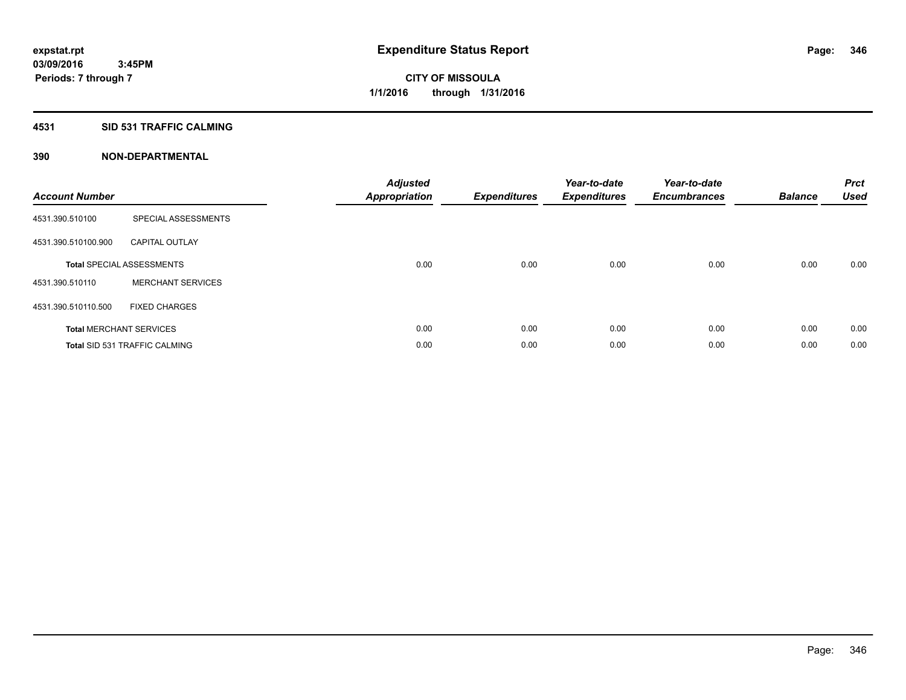### **4531 SID 531 TRAFFIC CALMING**

| <b>Account Number</b> |                                      | <b>Adjusted</b><br><b>Appropriation</b> | <b>Expenditures</b> | Year-to-date<br><b>Expenditures</b> | Year-to-date<br><b>Encumbrances</b> | <b>Balance</b> | <b>Prct</b><br><b>Used</b> |
|-----------------------|--------------------------------------|-----------------------------------------|---------------------|-------------------------------------|-------------------------------------|----------------|----------------------------|
| 4531.390.510100       | SPECIAL ASSESSMENTS                  |                                         |                     |                                     |                                     |                |                            |
| 4531.390.510100.900   | <b>CAPITAL OUTLAY</b>                |                                         |                     |                                     |                                     |                |                            |
|                       | <b>Total SPECIAL ASSESSMENTS</b>     | 0.00                                    | 0.00                | 0.00                                | 0.00                                | 0.00           | 0.00                       |
| 4531.390.510110       | <b>MERCHANT SERVICES</b>             |                                         |                     |                                     |                                     |                |                            |
| 4531.390.510110.500   | <b>FIXED CHARGES</b>                 |                                         |                     |                                     |                                     |                |                            |
|                       | <b>Total MERCHANT SERVICES</b>       | 0.00                                    | 0.00                | 0.00                                | 0.00                                | 0.00           | 0.00                       |
|                       | <b>Total SID 531 TRAFFIC CALMING</b> | 0.00                                    | 0.00                | 0.00                                | 0.00                                | 0.00           | 0.00                       |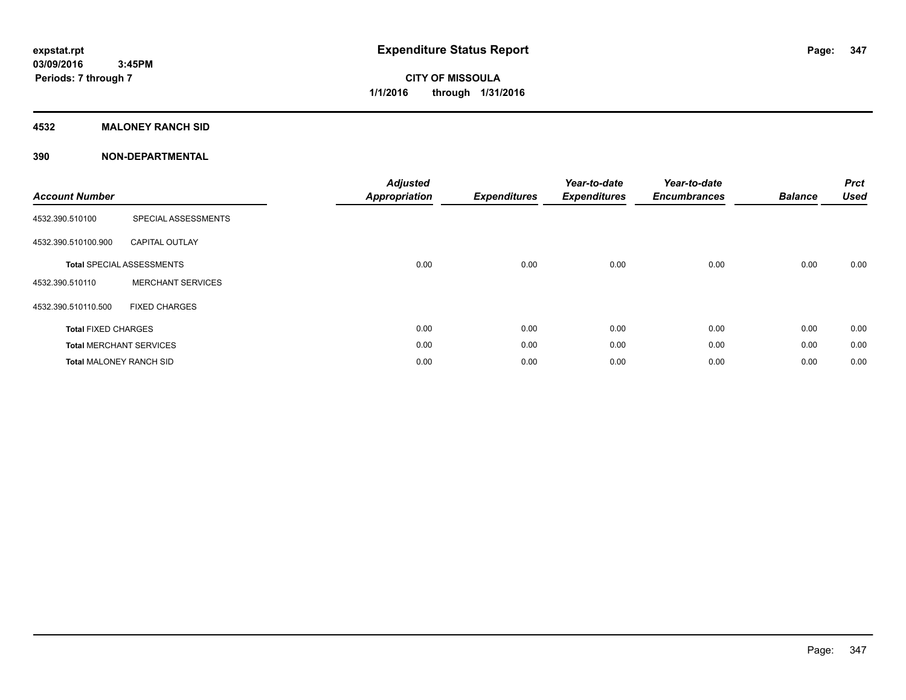# **4532 MALONEY RANCH SID**

| <b>Account Number</b>          |                                  | <b>Adjusted</b><br><b>Appropriation</b> | <b>Expenditures</b> | Year-to-date<br><b>Expenditures</b> | Year-to-date<br><b>Encumbrances</b> | <b>Balance</b> | <b>Prct</b><br><b>Used</b> |
|--------------------------------|----------------------------------|-----------------------------------------|---------------------|-------------------------------------|-------------------------------------|----------------|----------------------------|
| 4532.390.510100                | SPECIAL ASSESSMENTS              |                                         |                     |                                     |                                     |                |                            |
| 4532.390.510100.900            | <b>CAPITAL OUTLAY</b>            |                                         |                     |                                     |                                     |                |                            |
|                                | <b>Total SPECIAL ASSESSMENTS</b> | 0.00                                    | 0.00                | 0.00                                | 0.00                                | 0.00           | 0.00                       |
| 4532.390.510110                | <b>MERCHANT SERVICES</b>         |                                         |                     |                                     |                                     |                |                            |
| 4532.390.510110.500            | <b>FIXED CHARGES</b>             |                                         |                     |                                     |                                     |                |                            |
| <b>Total FIXED CHARGES</b>     |                                  | 0.00                                    | 0.00                | 0.00                                | 0.00                                | 0.00           | 0.00                       |
|                                | <b>Total MERCHANT SERVICES</b>   | 0.00                                    | 0.00                | 0.00                                | 0.00                                | 0.00           | 0.00                       |
| <b>Total MALONEY RANCH SID</b> |                                  | 0.00                                    | 0.00                | 0.00                                | 0.00                                | 0.00           | 0.00                       |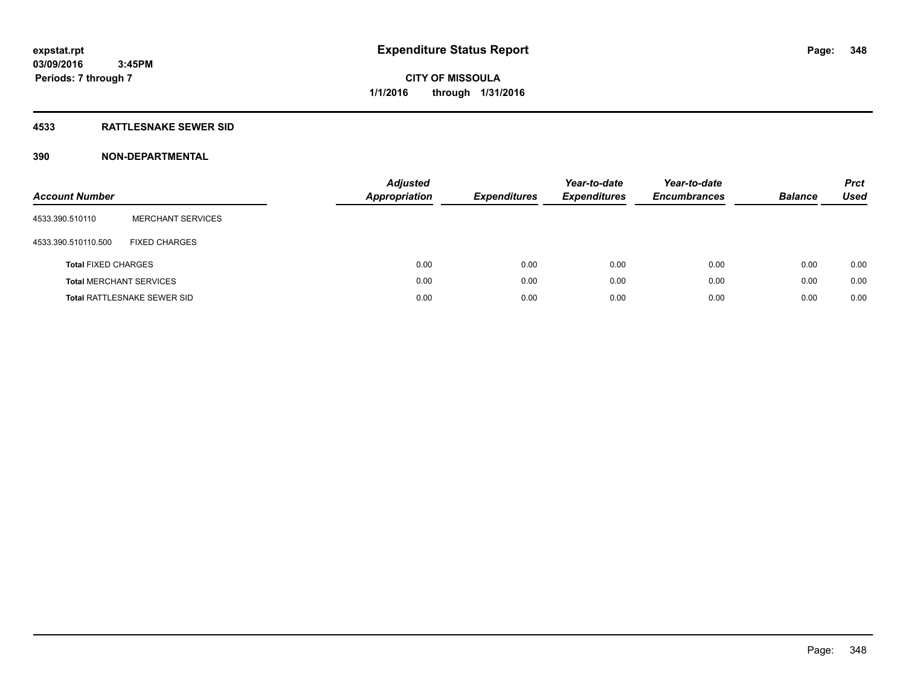# **4533 RATTLESNAKE SEWER SID**

| <b>Account Number</b>          |                             | <b>Adjusted</b><br><b>Appropriation</b> | <b>Expenditures</b> | Year-to-date<br><b>Expenditures</b> | Year-to-date<br><b>Encumbrances</b> | <b>Balance</b> | <b>Prct</b><br>Used |
|--------------------------------|-----------------------------|-----------------------------------------|---------------------|-------------------------------------|-------------------------------------|----------------|---------------------|
| 4533.390.510110                | <b>MERCHANT SERVICES</b>    |                                         |                     |                                     |                                     |                |                     |
| 4533.390.510110.500            | <b>FIXED CHARGES</b>        |                                         |                     |                                     |                                     |                |                     |
| <b>Total FIXED CHARGES</b>     |                             | 0.00                                    | 0.00                | 0.00                                | 0.00                                | 0.00           | 0.00                |
| <b>Total MERCHANT SERVICES</b> |                             | 0.00                                    | 0.00                | 0.00                                | 0.00                                | 0.00           | 0.00                |
|                                | Total RATTLESNAKE SEWER SID | 0.00                                    | 0.00                | 0.00                                | 0.00                                | 0.00           | 0.00                |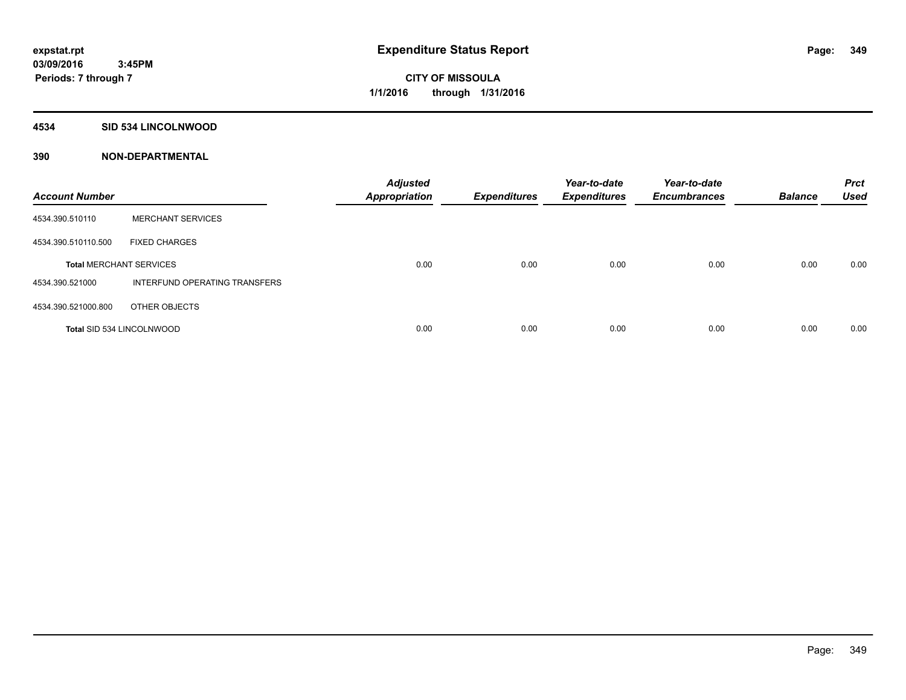# **4534 SID 534 LINCOLNWOOD**

| <b>Account Number</b>            |                               | <b>Adjusted</b><br><b>Appropriation</b> | <b>Expenditures</b> | Year-to-date<br><b>Expenditures</b> | Year-to-date<br><b>Encumbrances</b> | <b>Balance</b> | <b>Prct</b><br><b>Used</b> |
|----------------------------------|-------------------------------|-----------------------------------------|---------------------|-------------------------------------|-------------------------------------|----------------|----------------------------|
| 4534.390.510110                  | <b>MERCHANT SERVICES</b>      |                                         |                     |                                     |                                     |                |                            |
| 4534.390.510110.500              | <b>FIXED CHARGES</b>          |                                         |                     |                                     |                                     |                |                            |
| <b>Total MERCHANT SERVICES</b>   |                               | 0.00                                    | 0.00                | 0.00                                | 0.00                                | 0.00           | 0.00                       |
| 4534.390.521000                  | INTERFUND OPERATING TRANSFERS |                                         |                     |                                     |                                     |                |                            |
| 4534.390.521000.800              | OTHER OBJECTS                 |                                         |                     |                                     |                                     |                |                            |
| <b>Total SID 534 LINCOLNWOOD</b> |                               | 0.00                                    | 0.00                | 0.00                                | 0.00                                | 0.00           | 0.00                       |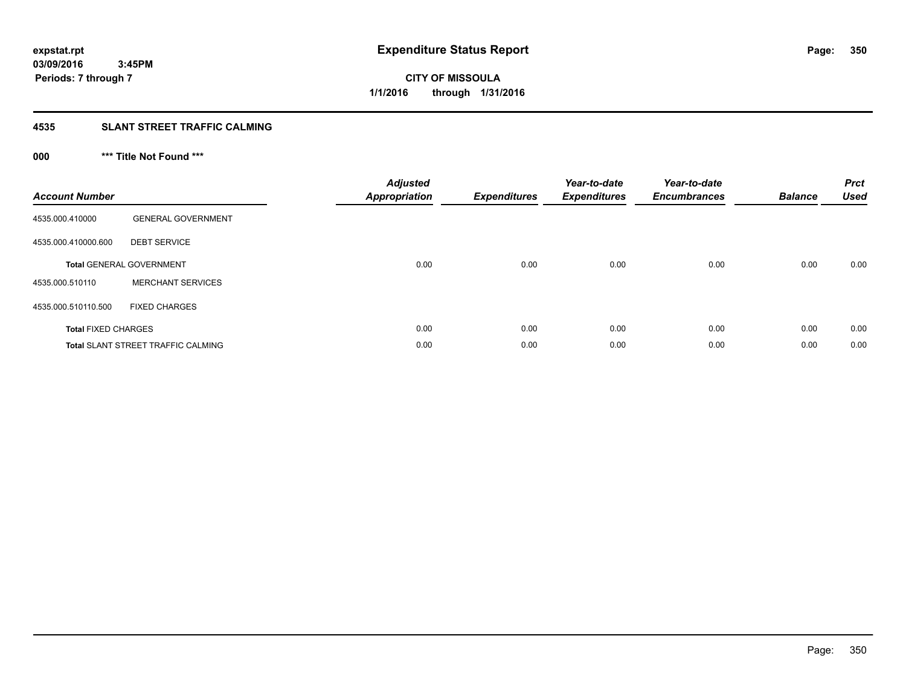# **4535 SLANT STREET TRAFFIC CALMING**

# **000 \*\*\* Title Not Found \*\*\***

| <b>Account Number</b>      |                                           | <b>Adjusted</b><br>Appropriation | <b>Expenditures</b> | Year-to-date<br><b>Expenditures</b> | Year-to-date<br><b>Encumbrances</b> | <b>Balance</b> | <b>Prct</b><br><b>Used</b> |
|----------------------------|-------------------------------------------|----------------------------------|---------------------|-------------------------------------|-------------------------------------|----------------|----------------------------|
| 4535.000.410000            | <b>GENERAL GOVERNMENT</b>                 |                                  |                     |                                     |                                     |                |                            |
| 4535.000.410000.600        | <b>DEBT SERVICE</b>                       |                                  |                     |                                     |                                     |                |                            |
|                            | <b>Total GENERAL GOVERNMENT</b>           | 0.00                             | 0.00                | 0.00                                | 0.00                                | 0.00           | 0.00                       |
| 4535.000.510110            | <b>MERCHANT SERVICES</b>                  |                                  |                     |                                     |                                     |                |                            |
| 4535.000.510110.500        | <b>FIXED CHARGES</b>                      |                                  |                     |                                     |                                     |                |                            |
| <b>Total FIXED CHARGES</b> |                                           | 0.00                             | 0.00                | 0.00                                | 0.00                                | 0.00           | 0.00                       |
|                            | <b>Total SLANT STREET TRAFFIC CALMING</b> | 0.00                             | 0.00                | 0.00                                | 0.00                                | 0.00           | 0.00                       |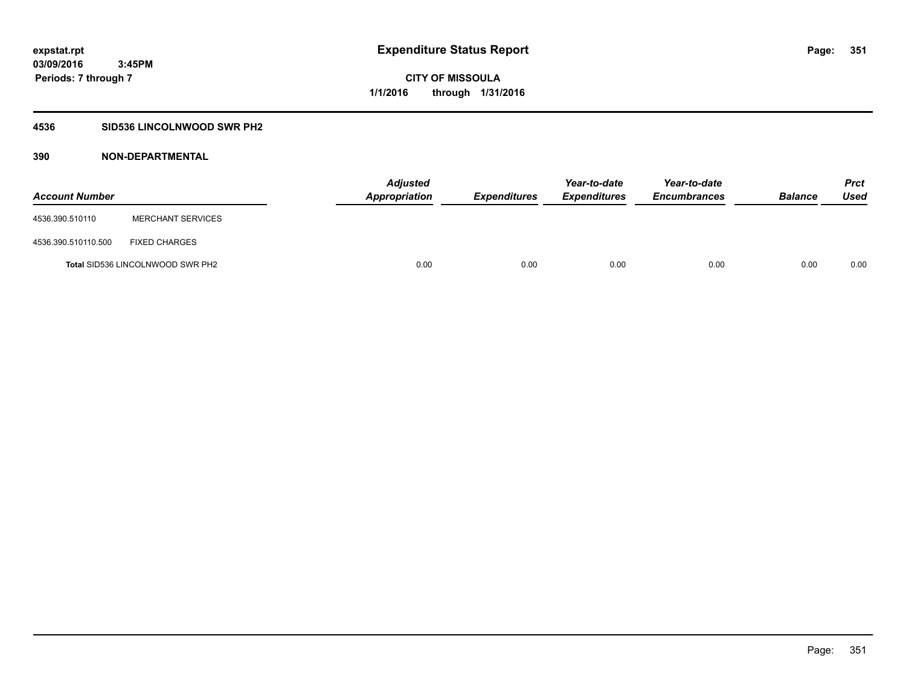# **4536 SID536 LINCOLNWOOD SWR PH2**

| <b>Account Number</b> |                                         | <b>Adjusted</b><br>Appropriation | <b>Expenditures</b> | Year-to-date<br><b>Expenditures</b> | Year-to-date<br><b>Encumbrances</b> | <b>Balance</b> | Prct<br><b>Used</b> |
|-----------------------|-----------------------------------------|----------------------------------|---------------------|-------------------------------------|-------------------------------------|----------------|---------------------|
| 4536.390.510110       | <b>MERCHANT SERVICES</b>                |                                  |                     |                                     |                                     |                |                     |
| 4536.390.510110.500   | <b>FIXED CHARGES</b>                    |                                  |                     |                                     |                                     |                |                     |
|                       | <b>Total SID536 LINCOLNWOOD SWR PH2</b> | 0.00                             | 0.00                | 0.00                                | 0.00                                | 0.00           | 0.00                |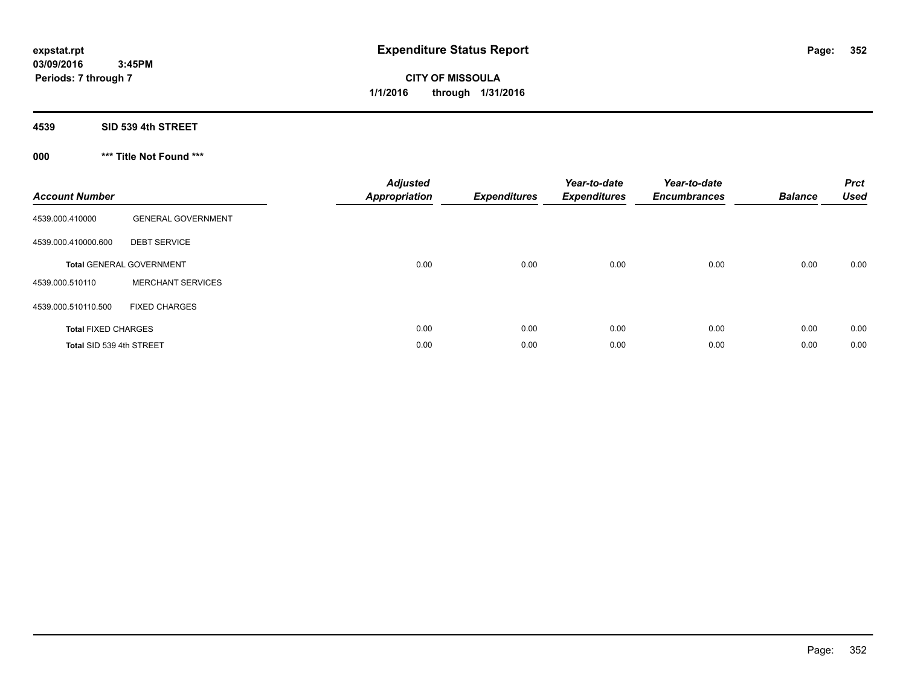**CITY OF MISSOULA 1/1/2016 through 1/31/2016**

**4539 SID 539 4th STREET**

**000 \*\*\* Title Not Found \*\*\***

| <b>Account Number</b>      |                                 | <b>Adjusted</b><br><b>Appropriation</b> | <b>Expenditures</b> | Year-to-date<br><b>Expenditures</b> | Year-to-date<br><b>Encumbrances</b> | <b>Balance</b> | <b>Prct</b><br><b>Used</b> |
|----------------------------|---------------------------------|-----------------------------------------|---------------------|-------------------------------------|-------------------------------------|----------------|----------------------------|
| 4539.000.410000            | <b>GENERAL GOVERNMENT</b>       |                                         |                     |                                     |                                     |                |                            |
| 4539.000.410000.600        | <b>DEBT SERVICE</b>             |                                         |                     |                                     |                                     |                |                            |
|                            | <b>Total GENERAL GOVERNMENT</b> | 0.00                                    | 0.00                | 0.00                                | 0.00                                | 0.00           | 0.00                       |
| 4539.000.510110            | <b>MERCHANT SERVICES</b>        |                                         |                     |                                     |                                     |                |                            |
| 4539.000.510110.500        | <b>FIXED CHARGES</b>            |                                         |                     |                                     |                                     |                |                            |
| <b>Total FIXED CHARGES</b> |                                 | 0.00                                    | 0.00                | 0.00                                | 0.00                                | 0.00           | 0.00                       |
| Total SID 539 4th STREET   |                                 | 0.00                                    | 0.00                | 0.00                                | 0.00                                | 0.00           | 0.00                       |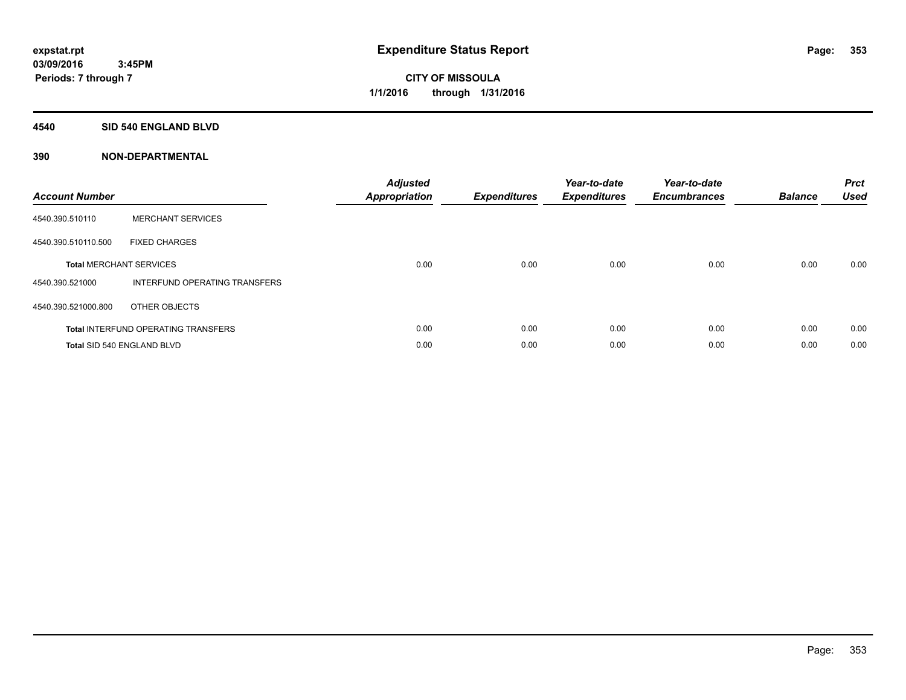### **4540 SID 540 ENGLAND BLVD**

| <b>Account Number</b> |                                            | <b>Adjusted</b><br>Appropriation | <b>Expenditures</b> | Year-to-date<br><b>Expenditures</b> | Year-to-date<br><b>Encumbrances</b> | <b>Balance</b> | <b>Prct</b><br><b>Used</b> |
|-----------------------|--------------------------------------------|----------------------------------|---------------------|-------------------------------------|-------------------------------------|----------------|----------------------------|
| 4540.390.510110       | <b>MERCHANT SERVICES</b>                   |                                  |                     |                                     |                                     |                |                            |
| 4540.390.510110.500   | <b>FIXED CHARGES</b>                       |                                  |                     |                                     |                                     |                |                            |
|                       | <b>Total MERCHANT SERVICES</b>             | 0.00                             | 0.00                | 0.00                                | 0.00                                | 0.00           | 0.00                       |
| 4540.390.521000       | INTERFUND OPERATING TRANSFERS              |                                  |                     |                                     |                                     |                |                            |
| 4540.390.521000.800   | OTHER OBJECTS                              |                                  |                     |                                     |                                     |                |                            |
|                       | <b>Total INTERFUND OPERATING TRANSFERS</b> | 0.00                             | 0.00                | 0.00                                | 0.00                                | 0.00           | 0.00                       |
|                       | Total SID 540 ENGLAND BLVD                 | 0.00                             | 0.00                | 0.00                                | 0.00                                | 0.00           | 0.00                       |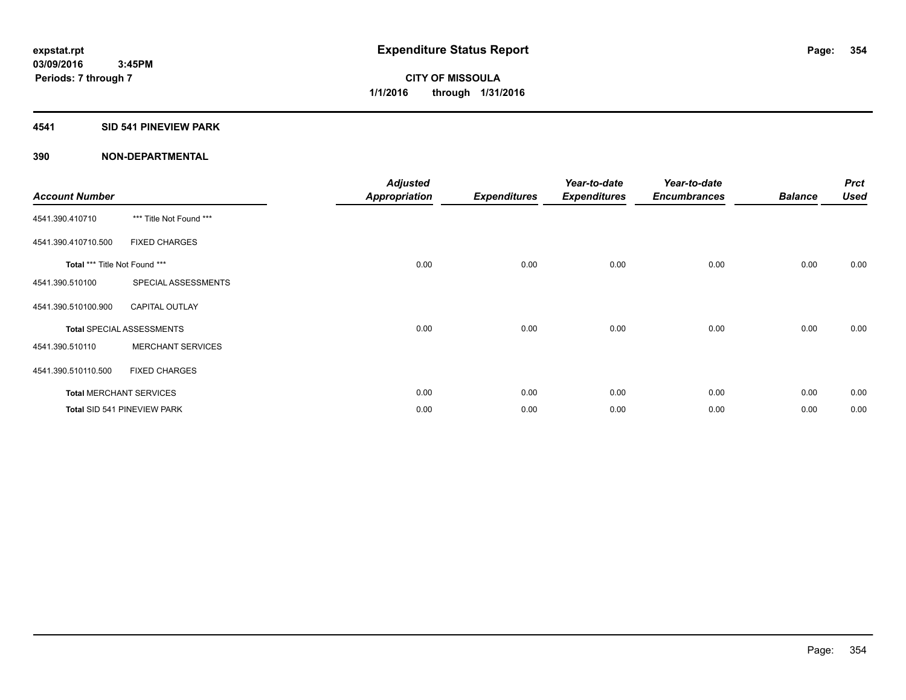# **4541 SID 541 PINEVIEW PARK**

| <b>Account Number</b>         |                                  | <b>Adjusted</b><br><b>Appropriation</b> | <b>Expenditures</b> | Year-to-date<br><b>Expenditures</b> | Year-to-date<br><b>Encumbrances</b> | <b>Balance</b> | <b>Prct</b><br><b>Used</b> |
|-------------------------------|----------------------------------|-----------------------------------------|---------------------|-------------------------------------|-------------------------------------|----------------|----------------------------|
| 4541.390.410710               | *** Title Not Found ***          |                                         |                     |                                     |                                     |                |                            |
| 4541.390.410710.500           | <b>FIXED CHARGES</b>             |                                         |                     |                                     |                                     |                |                            |
| Total *** Title Not Found *** |                                  | 0.00                                    | 0.00                | 0.00                                | 0.00                                | 0.00           | 0.00                       |
| 4541.390.510100               | SPECIAL ASSESSMENTS              |                                         |                     |                                     |                                     |                |                            |
| 4541.390.510100.900           | <b>CAPITAL OUTLAY</b>            |                                         |                     |                                     |                                     |                |                            |
|                               | <b>Total SPECIAL ASSESSMENTS</b> | 0.00                                    | 0.00                | 0.00                                | 0.00                                | 0.00           | 0.00                       |
| 4541.390.510110               | <b>MERCHANT SERVICES</b>         |                                         |                     |                                     |                                     |                |                            |
| 4541.390.510110.500           | <b>FIXED CHARGES</b>             |                                         |                     |                                     |                                     |                |                            |
|                               | <b>Total MERCHANT SERVICES</b>   | 0.00                                    | 0.00                | 0.00                                | 0.00                                | 0.00           | 0.00                       |
|                               | Total SID 541 PINEVIEW PARK      | 0.00                                    | 0.00                | 0.00                                | 0.00                                | 0.00           | 0.00                       |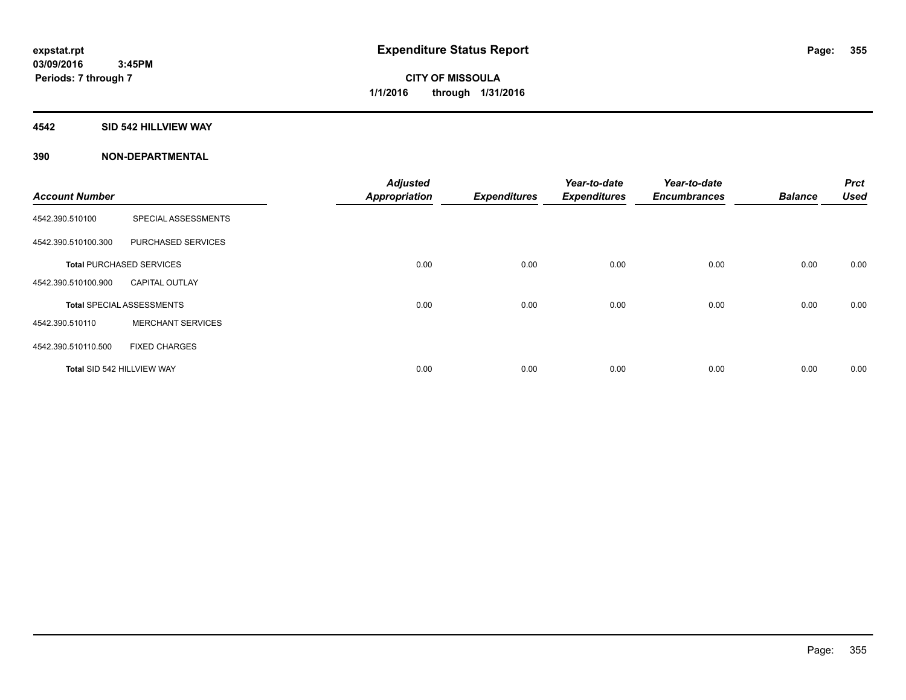#### **4542 SID 542 HILLVIEW WAY**

|                            |                                  | <b>Adjusted</b>      |                     | Year-to-date        | Year-to-date        |                | <b>Prct</b> |
|----------------------------|----------------------------------|----------------------|---------------------|---------------------|---------------------|----------------|-------------|
| <b>Account Number</b>      |                                  | <b>Appropriation</b> | <b>Expenditures</b> | <b>Expenditures</b> | <b>Encumbrances</b> | <b>Balance</b> | <b>Used</b> |
| 4542.390.510100            | SPECIAL ASSESSMENTS              |                      |                     |                     |                     |                |             |
| 4542.390.510100.300        | PURCHASED SERVICES               |                      |                     |                     |                     |                |             |
|                            | <b>Total PURCHASED SERVICES</b>  | 0.00                 | 0.00                | 0.00                | 0.00                | 0.00           | 0.00        |
| 4542.390.510100.900        | <b>CAPITAL OUTLAY</b>            |                      |                     |                     |                     |                |             |
|                            | <b>Total SPECIAL ASSESSMENTS</b> | 0.00                 | 0.00                | 0.00                | 0.00                | 0.00           | 0.00        |
| 4542.390.510110            | <b>MERCHANT SERVICES</b>         |                      |                     |                     |                     |                |             |
| 4542.390.510110.500        | <b>FIXED CHARGES</b>             |                      |                     |                     |                     |                |             |
| Total SID 542 HILLVIEW WAY |                                  | 0.00                 | 0.00                | 0.00                | 0.00                | 0.00           | 0.00        |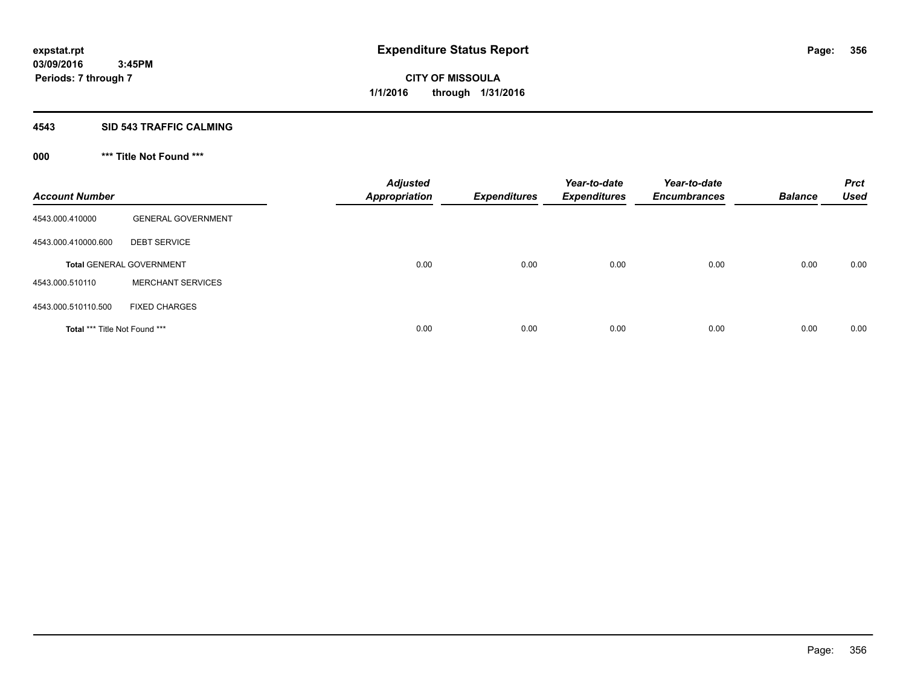# **4543 SID 543 TRAFFIC CALMING**

# **000 \*\*\* Title Not Found \*\*\***

| <b>Account Number</b>         |                                 | <b>Adjusted</b><br><b>Appropriation</b> | <b>Expenditures</b> | Year-to-date<br><b>Expenditures</b> | Year-to-date<br><b>Encumbrances</b> | <b>Balance</b> | <b>Prct</b><br><b>Used</b> |
|-------------------------------|---------------------------------|-----------------------------------------|---------------------|-------------------------------------|-------------------------------------|----------------|----------------------------|
| 4543.000.410000               | <b>GENERAL GOVERNMENT</b>       |                                         |                     |                                     |                                     |                |                            |
| 4543.000.410000.600           | <b>DEBT SERVICE</b>             |                                         |                     |                                     |                                     |                |                            |
|                               | <b>Total GENERAL GOVERNMENT</b> | 0.00                                    | 0.00                | 0.00                                | 0.00                                | 0.00           | 0.00                       |
| 4543.000.510110               | <b>MERCHANT SERVICES</b>        |                                         |                     |                                     |                                     |                |                            |
| 4543.000.510110.500           | <b>FIXED CHARGES</b>            |                                         |                     |                                     |                                     |                |                            |
| Total *** Title Not Found *** |                                 | 0.00                                    | 0.00                | 0.00                                | 0.00                                | 0.00           | 0.00                       |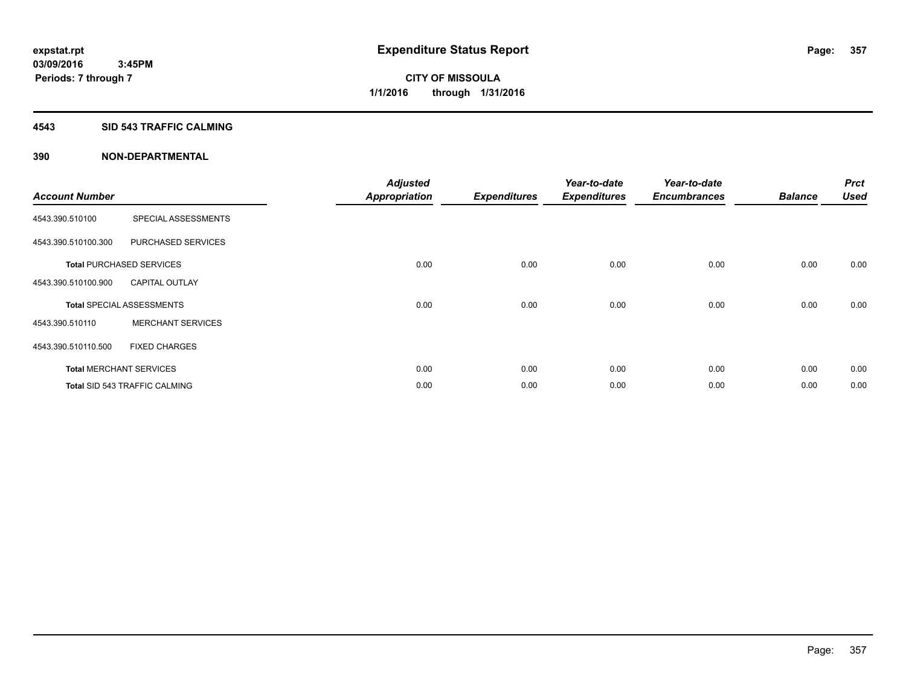### **4543 SID 543 TRAFFIC CALMING**

| <b>Account Number</b> |                                      | <b>Adjusted</b><br><b>Appropriation</b> | <b>Expenditures</b> | Year-to-date<br><b>Expenditures</b> | Year-to-date<br><b>Encumbrances</b> | <b>Balance</b> | <b>Prct</b><br><b>Used</b> |
|-----------------------|--------------------------------------|-----------------------------------------|---------------------|-------------------------------------|-------------------------------------|----------------|----------------------------|
| 4543.390.510100       | SPECIAL ASSESSMENTS                  |                                         |                     |                                     |                                     |                |                            |
| 4543.390.510100.300   | PURCHASED SERVICES                   |                                         |                     |                                     |                                     |                |                            |
|                       | <b>Total PURCHASED SERVICES</b>      | 0.00                                    | 0.00                | 0.00                                | 0.00                                | 0.00           | 0.00                       |
| 4543.390.510100.900   | <b>CAPITAL OUTLAY</b>                |                                         |                     |                                     |                                     |                |                            |
|                       | <b>Total SPECIAL ASSESSMENTS</b>     | 0.00                                    | 0.00                | 0.00                                | 0.00                                | 0.00           | 0.00                       |
| 4543.390.510110       | <b>MERCHANT SERVICES</b>             |                                         |                     |                                     |                                     |                |                            |
| 4543.390.510110.500   | <b>FIXED CHARGES</b>                 |                                         |                     |                                     |                                     |                |                            |
|                       | <b>Total MERCHANT SERVICES</b>       | 0.00                                    | 0.00                | 0.00                                | 0.00                                | 0.00           | 0.00                       |
|                       | <b>Total SID 543 TRAFFIC CALMING</b> | 0.00                                    | 0.00                | 0.00                                | 0.00                                | 0.00           | 0.00                       |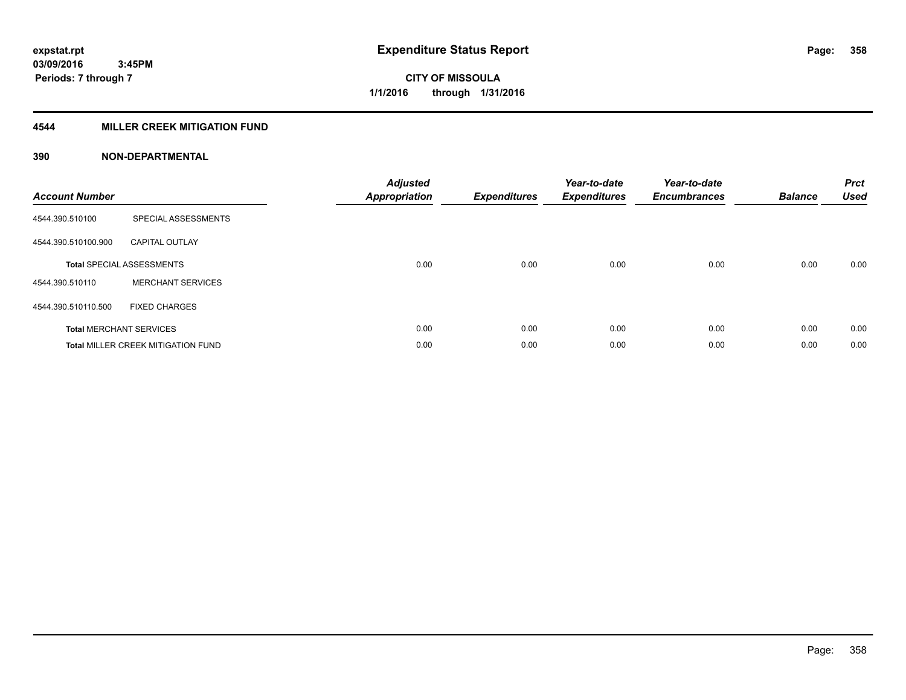# **4544 MILLER CREEK MITIGATION FUND**

| <b>Account Number</b> |                                           | <b>Adjusted</b><br><b>Appropriation</b> | <b>Expenditures</b> | Year-to-date<br><b>Expenditures</b> | Year-to-date<br><b>Encumbrances</b> | <b>Balance</b> | <b>Prct</b><br><b>Used</b> |
|-----------------------|-------------------------------------------|-----------------------------------------|---------------------|-------------------------------------|-------------------------------------|----------------|----------------------------|
| 4544.390.510100       | SPECIAL ASSESSMENTS                       |                                         |                     |                                     |                                     |                |                            |
| 4544.390.510100.900   | <b>CAPITAL OUTLAY</b>                     |                                         |                     |                                     |                                     |                |                            |
|                       | <b>Total SPECIAL ASSESSMENTS</b>          | 0.00                                    | 0.00                | 0.00                                | 0.00                                | 0.00           | 0.00                       |
| 4544.390.510110       | <b>MERCHANT SERVICES</b>                  |                                         |                     |                                     |                                     |                |                            |
| 4544.390.510110.500   | <b>FIXED CHARGES</b>                      |                                         |                     |                                     |                                     |                |                            |
|                       | <b>Total MERCHANT SERVICES</b>            | 0.00                                    | 0.00                | 0.00                                | 0.00                                | 0.00           | 0.00                       |
|                       | <b>Total MILLER CREEK MITIGATION FUND</b> | 0.00                                    | 0.00                | 0.00                                | 0.00                                | 0.00           | 0.00                       |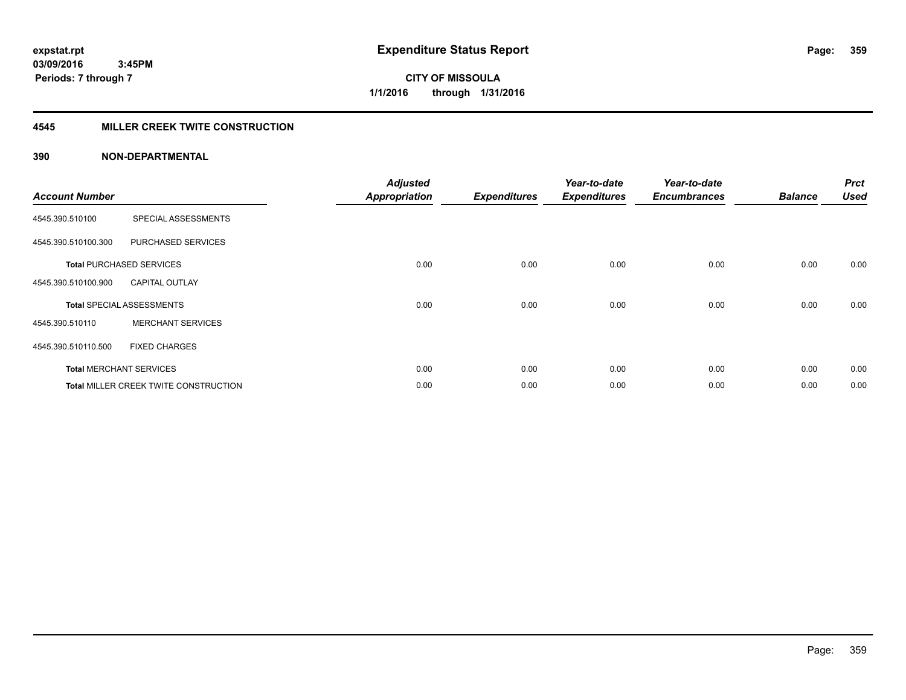**Periods: 7 through 7**

**CITY OF MISSOULA 1/1/2016 through 1/31/2016**

# **4545 MILLER CREEK TWITE CONSTRUCTION**

# **390 NON-DEPARTMENTAL**

 **3:45PM**

| <b>Account Number</b> |                                       | <b>Adjusted</b><br><b>Appropriation</b> | <b>Expenditures</b> | Year-to-date<br><b>Expenditures</b> | Year-to-date<br><b>Encumbrances</b> | <b>Balance</b> | <b>Prct</b><br><b>Used</b> |
|-----------------------|---------------------------------------|-----------------------------------------|---------------------|-------------------------------------|-------------------------------------|----------------|----------------------------|
|                       |                                       |                                         |                     |                                     |                                     |                |                            |
| 4545.390.510100       | SPECIAL ASSESSMENTS                   |                                         |                     |                                     |                                     |                |                            |
| 4545.390.510100.300   | PURCHASED SERVICES                    |                                         |                     |                                     |                                     |                |                            |
|                       | <b>Total PURCHASED SERVICES</b>       | 0.00                                    | 0.00                | 0.00                                | 0.00                                | 0.00           | 0.00                       |
| 4545.390.510100.900   | <b>CAPITAL OUTLAY</b>                 |                                         |                     |                                     |                                     |                |                            |
|                       | <b>Total SPECIAL ASSESSMENTS</b>      | 0.00                                    | 0.00                | 0.00                                | 0.00                                | 0.00           | 0.00                       |
| 4545.390.510110       | <b>MERCHANT SERVICES</b>              |                                         |                     |                                     |                                     |                |                            |
| 4545.390.510110.500   | <b>FIXED CHARGES</b>                  |                                         |                     |                                     |                                     |                |                            |
|                       | <b>Total MERCHANT SERVICES</b>        | 0.00                                    | 0.00                | 0.00                                | 0.00                                | 0.00           | 0.00                       |
|                       | Total MILLER CREEK TWITE CONSTRUCTION | 0.00                                    | 0.00                | 0.00                                | 0.00                                | 0.00           | 0.00                       |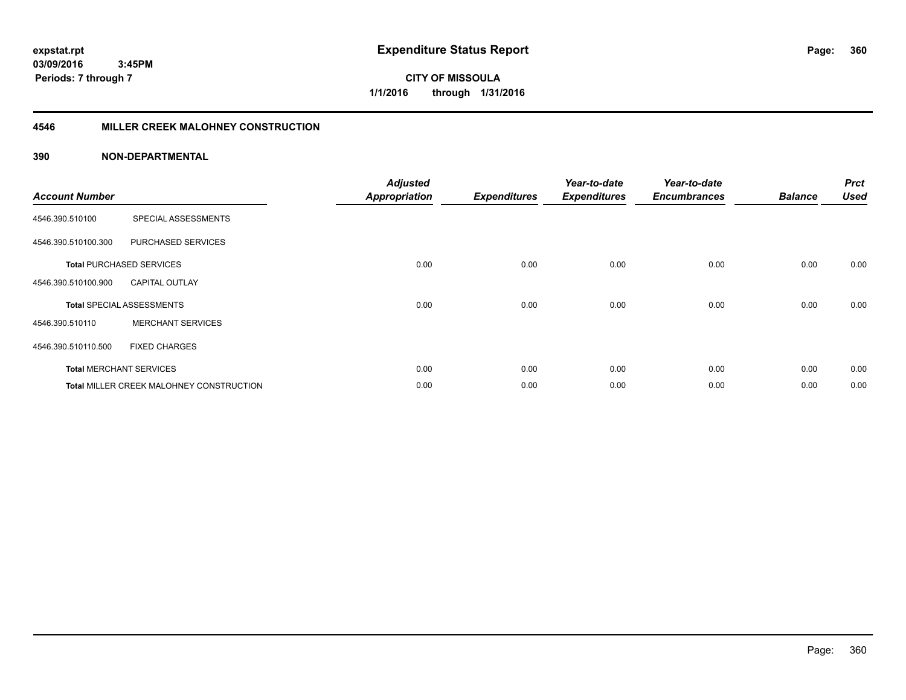**CITY OF MISSOULA 1/1/2016 through 1/31/2016**

# **4546 MILLER CREEK MALOHNEY CONSTRUCTION**

| <b>Account Number</b> |                                          | <b>Adjusted</b><br><b>Appropriation</b> | <b>Expenditures</b> | Year-to-date<br><b>Expenditures</b> | Year-to-date<br><b>Encumbrances</b> | <b>Balance</b> | <b>Prct</b><br><b>Used</b> |
|-----------------------|------------------------------------------|-----------------------------------------|---------------------|-------------------------------------|-------------------------------------|----------------|----------------------------|
| 4546.390.510100       | SPECIAL ASSESSMENTS                      |                                         |                     |                                     |                                     |                |                            |
| 4546.390.510100.300   | PURCHASED SERVICES                       |                                         |                     |                                     |                                     |                |                            |
|                       | <b>Total PURCHASED SERVICES</b>          | 0.00                                    | 0.00                | 0.00                                | 0.00                                | 0.00           | 0.00                       |
| 4546.390.510100.900   | <b>CAPITAL OUTLAY</b>                    |                                         |                     |                                     |                                     |                |                            |
|                       | <b>Total SPECIAL ASSESSMENTS</b>         | 0.00                                    | 0.00                | 0.00                                | 0.00                                | 0.00           | 0.00                       |
| 4546.390.510110       | <b>MERCHANT SERVICES</b>                 |                                         |                     |                                     |                                     |                |                            |
| 4546.390.510110.500   | <b>FIXED CHARGES</b>                     |                                         |                     |                                     |                                     |                |                            |
|                       | <b>Total MERCHANT SERVICES</b>           | 0.00                                    | 0.00                | 0.00                                | 0.00                                | 0.00           | 0.00                       |
|                       | Total MILLER CREEK MALOHNEY CONSTRUCTION | 0.00                                    | 0.00                | 0.00                                | 0.00                                | 0.00           | 0.00                       |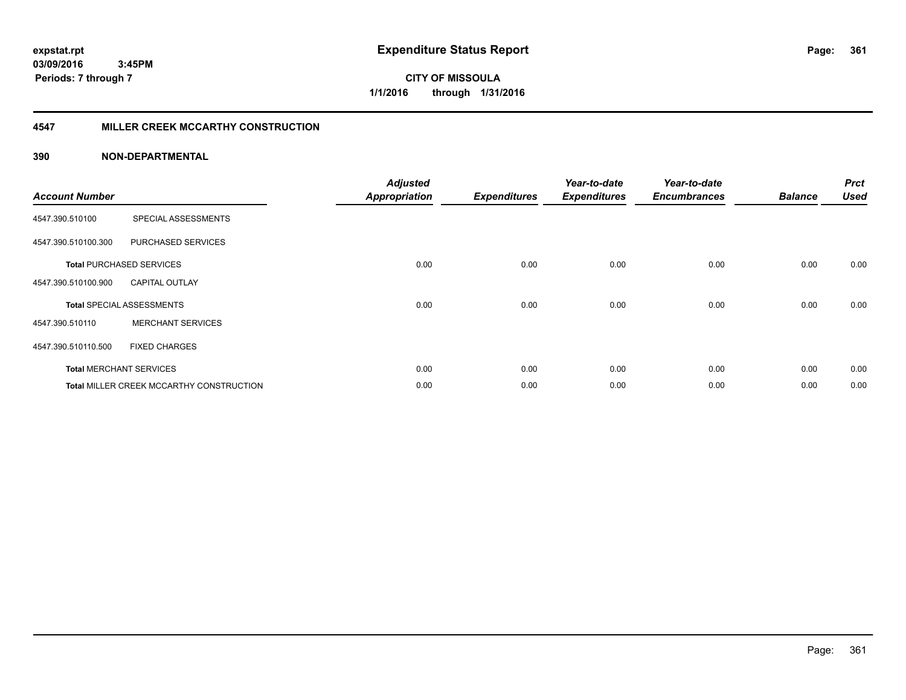**Periods: 7 through 7**

**CITY OF MISSOULA 1/1/2016 through 1/31/2016**

#### **4547 MILLER CREEK MCCARTHY CONSTRUCTION**

#### **390 NON-DEPARTMENTAL**

| <b>Account Number</b> |                                          | <b>Adjusted</b><br><b>Appropriation</b> | <b>Expenditures</b> | Year-to-date<br><b>Expenditures</b> | Year-to-date<br><b>Encumbrances</b> | <b>Balance</b> | <b>Prct</b><br><b>Used</b> |
|-----------------------|------------------------------------------|-----------------------------------------|---------------------|-------------------------------------|-------------------------------------|----------------|----------------------------|
| 4547.390.510100       | SPECIAL ASSESSMENTS                      |                                         |                     |                                     |                                     |                |                            |
| 4547.390.510100.300   | PURCHASED SERVICES                       |                                         |                     |                                     |                                     |                |                            |
|                       | <b>Total PURCHASED SERVICES</b>          | 0.00                                    | 0.00                | 0.00                                | 0.00                                | 0.00           | 0.00                       |
| 4547.390.510100.900   | <b>CAPITAL OUTLAY</b>                    |                                         |                     |                                     |                                     |                |                            |
|                       | <b>Total SPECIAL ASSESSMENTS</b>         | 0.00                                    | 0.00                | 0.00                                | 0.00                                | 0.00           | 0.00                       |
| 4547.390.510110       | <b>MERCHANT SERVICES</b>                 |                                         |                     |                                     |                                     |                |                            |
| 4547.390.510110.500   | <b>FIXED CHARGES</b>                     |                                         |                     |                                     |                                     |                |                            |
|                       | <b>Total MERCHANT SERVICES</b>           | 0.00                                    | 0.00                | 0.00                                | 0.00                                | 0.00           | 0.00                       |
|                       | Total MILLER CREEK MCCARTHY CONSTRUCTION | 0.00                                    | 0.00                | 0.00                                | 0.00                                | 0.00           | 0.00                       |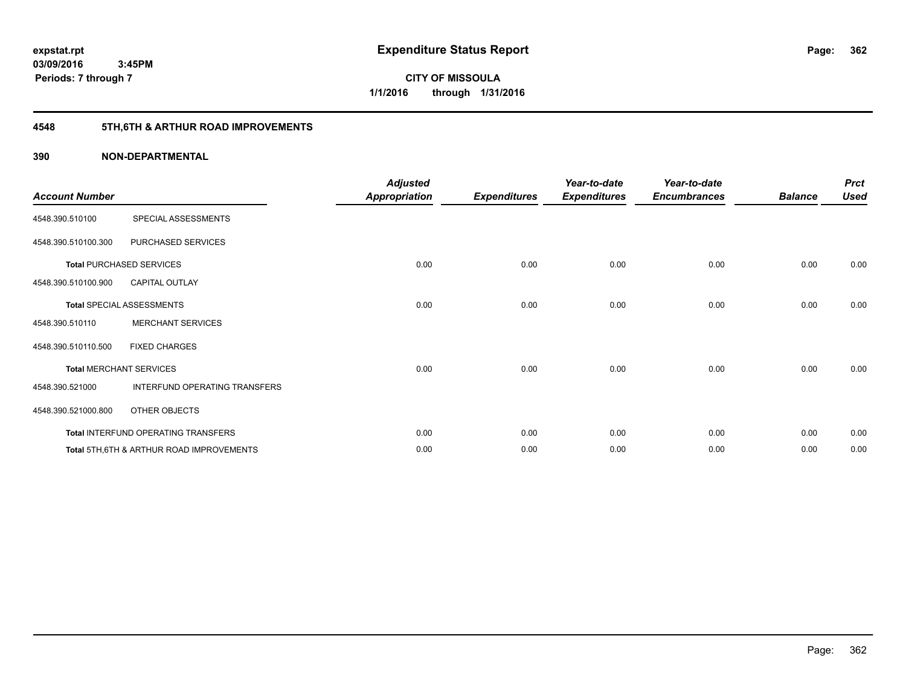**Periods: 7 through 7**

**CITY OF MISSOULA 1/1/2016 through 1/31/2016**

# **4548 5TH,6TH & ARTHUR ROAD IMPROVEMENTS**

#### **390 NON-DEPARTMENTAL**

 **3:45PM**

| <b>Account Number</b> |                                                     | <b>Adjusted</b><br><b>Appropriation</b> | <b>Expenditures</b> | Year-to-date<br><b>Expenditures</b> | Year-to-date<br><b>Encumbrances</b> | <b>Balance</b> | <b>Prct</b><br><b>Used</b> |
|-----------------------|-----------------------------------------------------|-----------------------------------------|---------------------|-------------------------------------|-------------------------------------|----------------|----------------------------|
| 4548.390.510100       | SPECIAL ASSESSMENTS                                 |                                         |                     |                                     |                                     |                |                            |
| 4548.390.510100.300   | PURCHASED SERVICES                                  |                                         |                     |                                     |                                     |                |                            |
|                       | <b>Total PURCHASED SERVICES</b>                     | 0.00                                    | 0.00                | 0.00                                | 0.00                                | 0.00           | 0.00                       |
| 4548.390.510100.900   | <b>CAPITAL OUTLAY</b>                               |                                         |                     |                                     |                                     |                |                            |
|                       | <b>Total SPECIAL ASSESSMENTS</b>                    | 0.00                                    | 0.00                | 0.00                                | 0.00                                | 0.00           | 0.00                       |
| 4548.390.510110       | <b>MERCHANT SERVICES</b>                            |                                         |                     |                                     |                                     |                |                            |
| 4548.390.510110.500   | <b>FIXED CHARGES</b>                                |                                         |                     |                                     |                                     |                |                            |
|                       | <b>Total MERCHANT SERVICES</b>                      | 0.00                                    | 0.00                | 0.00                                | 0.00                                | 0.00           | 0.00                       |
| 4548.390.521000       | INTERFUND OPERATING TRANSFERS                       |                                         |                     |                                     |                                     |                |                            |
| 4548.390.521000.800   | OTHER OBJECTS                                       |                                         |                     |                                     |                                     |                |                            |
|                       | Total INTERFUND OPERATING TRANSFERS                 | 0.00                                    | 0.00                | 0.00                                | 0.00                                | 0.00           | 0.00                       |
|                       | <b>Total 5TH.6TH &amp; ARTHUR ROAD IMPROVEMENTS</b> | 0.00                                    | 0.00                | 0.00                                | 0.00                                | 0.00           | 0.00                       |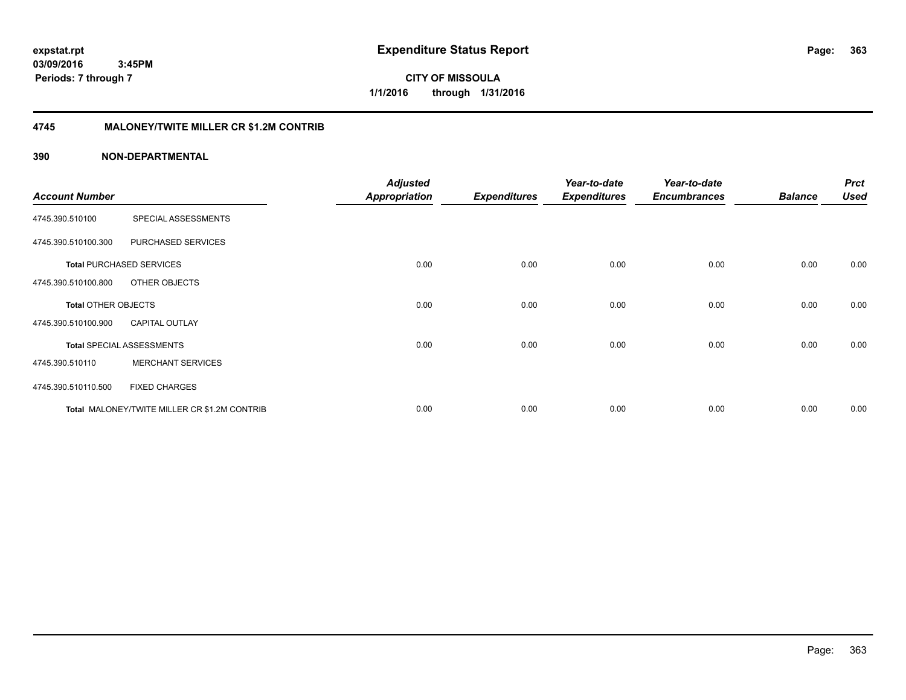**CITY OF MISSOULA 1/1/2016 through 1/31/2016**

#### **4745 MALONEY/TWITE MILLER CR \$1.2M CONTRIB**

#### **390 NON-DEPARTMENTAL**

|                            |                                              | <b>Adjusted</b>      |                     | Year-to-date        | Year-to-date        |                | <b>Prct</b> |
|----------------------------|----------------------------------------------|----------------------|---------------------|---------------------|---------------------|----------------|-------------|
| <b>Account Number</b>      |                                              | <b>Appropriation</b> | <b>Expenditures</b> | <b>Expenditures</b> | <b>Encumbrances</b> | <b>Balance</b> | <b>Used</b> |
| 4745.390.510100            | SPECIAL ASSESSMENTS                          |                      |                     |                     |                     |                |             |
| 4745.390.510100.300        | PURCHASED SERVICES                           |                      |                     |                     |                     |                |             |
|                            | <b>Total PURCHASED SERVICES</b>              | 0.00                 | 0.00                | 0.00                | 0.00                | 0.00           | 0.00        |
| 4745.390.510100.800        | OTHER OBJECTS                                |                      |                     |                     |                     |                |             |
| <b>Total OTHER OBJECTS</b> |                                              | 0.00                 | 0.00                | 0.00                | 0.00                | 0.00           | 0.00        |
| 4745.390.510100.900        | <b>CAPITAL OUTLAY</b>                        |                      |                     |                     |                     |                |             |
|                            | <b>Total SPECIAL ASSESSMENTS</b>             | 0.00                 | 0.00                | 0.00                | 0.00                | 0.00           | 0.00        |
| 4745.390.510110            | <b>MERCHANT SERVICES</b>                     |                      |                     |                     |                     |                |             |
| 4745.390.510110.500        | <b>FIXED CHARGES</b>                         |                      |                     |                     |                     |                |             |
|                            | Total MALONEY/TWITE MILLER CR \$1.2M CONTRIB | 0.00                 | 0.00                | 0.00                | 0.00                | 0.00           | 0.00        |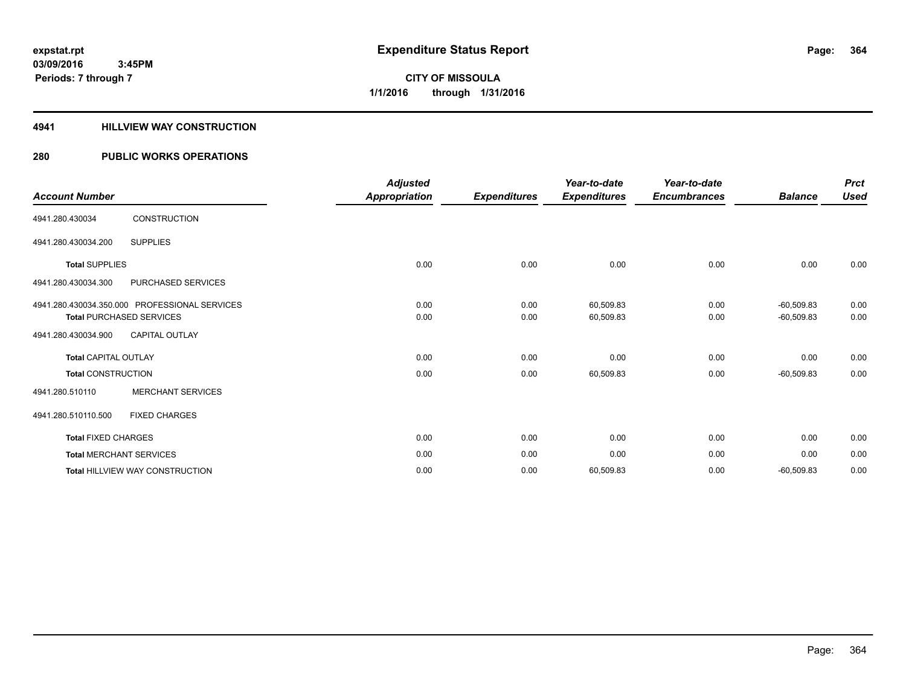#### **4941 HILLVIEW WAY CONSTRUCTION**

### **280 PUBLIC WORKS OPERATIONS**

| <b>Account Number</b>           |                                               | <b>Adjusted</b><br><b>Appropriation</b> | <b>Expenditures</b> | Year-to-date<br><b>Expenditures</b> | Year-to-date<br><b>Encumbrances</b> | <b>Balance</b> | <b>Prct</b><br><b>Used</b> |
|---------------------------------|-----------------------------------------------|-----------------------------------------|---------------------|-------------------------------------|-------------------------------------|----------------|----------------------------|
| 4941.280.430034                 | <b>CONSTRUCTION</b>                           |                                         |                     |                                     |                                     |                |                            |
| 4941.280.430034.200             | <b>SUPPLIES</b>                               |                                         |                     |                                     |                                     |                |                            |
| <b>Total SUPPLIES</b>           |                                               | 0.00                                    | 0.00                | 0.00                                | 0.00                                | 0.00           | 0.00                       |
| 4941.280.430034.300             | <b>PURCHASED SERVICES</b>                     |                                         |                     |                                     |                                     |                |                            |
|                                 | 4941.280.430034.350.000 PROFESSIONAL SERVICES | 0.00                                    | 0.00                | 60,509.83                           | 0.00                                | $-60,509.83$   | 0.00                       |
| <b>Total PURCHASED SERVICES</b> |                                               | 0.00                                    | 0.00                | 60,509.83                           | 0.00                                | $-60,509.83$   | 0.00                       |
| 4941.280.430034.900             | <b>CAPITAL OUTLAY</b>                         |                                         |                     |                                     |                                     |                |                            |
| <b>Total CAPITAL OUTLAY</b>     |                                               | 0.00                                    | 0.00                | 0.00                                | 0.00                                | 0.00           | 0.00                       |
| <b>Total CONSTRUCTION</b>       |                                               | 0.00                                    | 0.00                | 60,509.83                           | 0.00                                | $-60,509.83$   | 0.00                       |
| 4941.280.510110                 | <b>MERCHANT SERVICES</b>                      |                                         |                     |                                     |                                     |                |                            |
| 4941.280.510110.500             | <b>FIXED CHARGES</b>                          |                                         |                     |                                     |                                     |                |                            |
| <b>Total FIXED CHARGES</b>      |                                               | 0.00                                    | 0.00                | 0.00                                | 0.00                                | 0.00           | 0.00                       |
| <b>Total MERCHANT SERVICES</b>  |                                               | 0.00                                    | 0.00                | 0.00                                | 0.00                                | 0.00           | 0.00                       |
|                                 | <b>Total HILLVIEW WAY CONSTRUCTION</b>        | 0.00                                    | 0.00                | 60,509.83                           | 0.00                                | $-60,509.83$   | 0.00                       |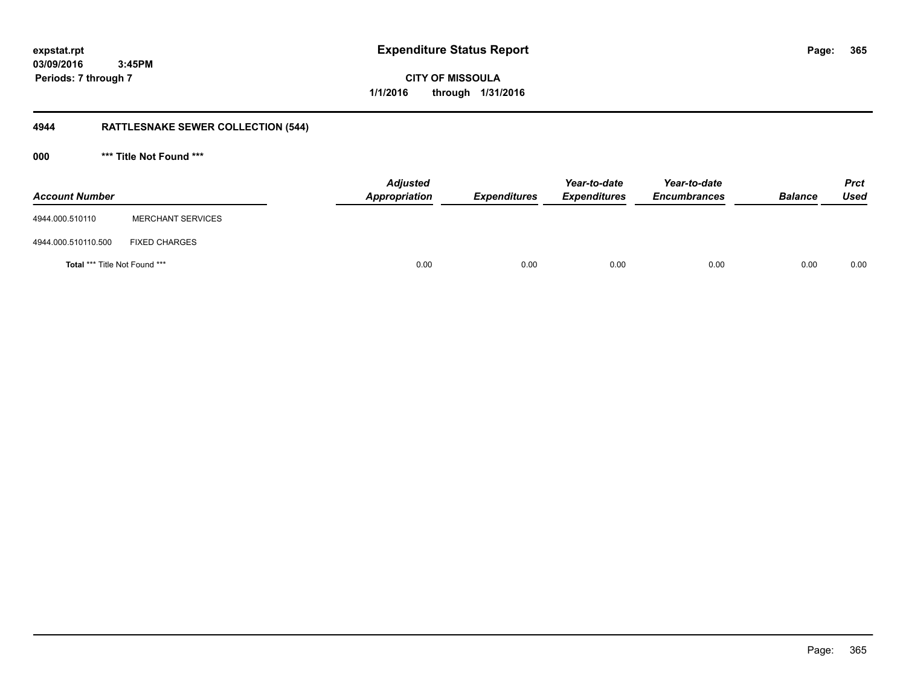**365**

**03/09/2016 3:45PM Periods: 7 through 7**

**CITY OF MISSOULA 1/1/2016 through 1/31/2016**

# **4944 RATTLESNAKE SEWER COLLECTION (544)**

**000 \*\*\* Title Not Found \*\*\***

| <b>Account Number</b>                |                          | <b>Adjusted</b><br>Appropriation | <b>Expenditures</b> | Year-to-date<br><b>Expenditures</b> | Year-to-date<br><b>Encumbrances</b> | <b>Balance</b> | <b>Prct</b><br><b>Used</b> |
|--------------------------------------|--------------------------|----------------------------------|---------------------|-------------------------------------|-------------------------------------|----------------|----------------------------|
| 4944.000.510110                      | <b>MERCHANT SERVICES</b> |                                  |                     |                                     |                                     |                |                            |
| 4944.000.510110.500                  | <b>FIXED CHARGES</b>     |                                  |                     |                                     |                                     |                |                            |
| <b>Total *** Title Not Found ***</b> |                          | 0.00                             | 0.00                | 0.00                                | 0.00                                | 0.00           | 0.00                       |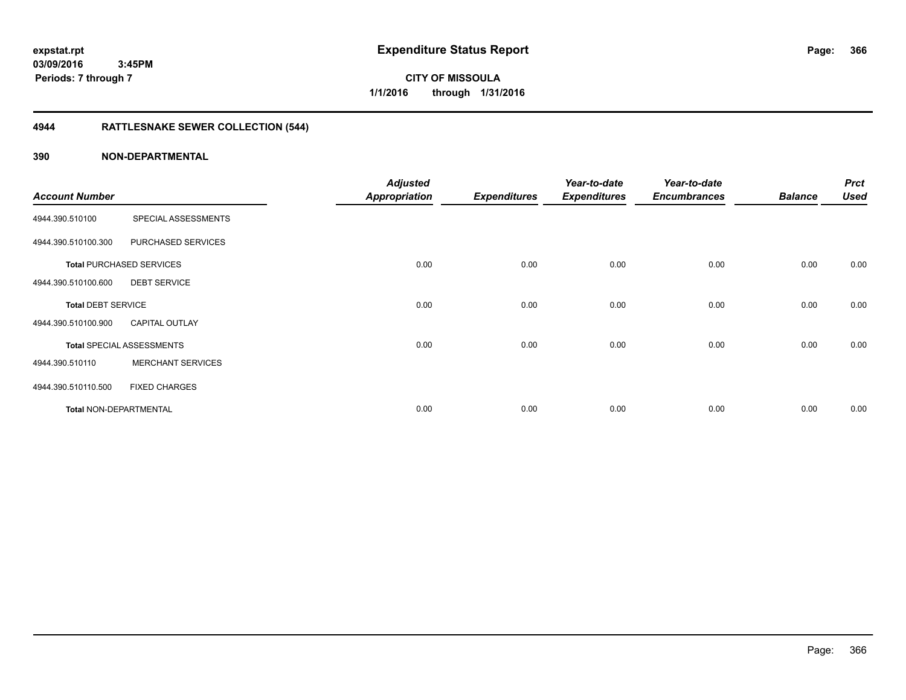**Periods: 7 through 7**

**CITY OF MISSOULA 1/1/2016 through 1/31/2016**

# **4944 RATTLESNAKE SEWER COLLECTION (544)**

#### **390 NON-DEPARTMENTAL**

 **3:45PM**

|                           |                                  | <b>Adjusted</b>      |                     | Year-to-date        | Year-to-date        |                | <b>Prct</b> |
|---------------------------|----------------------------------|----------------------|---------------------|---------------------|---------------------|----------------|-------------|
| <b>Account Number</b>     |                                  | <b>Appropriation</b> | <b>Expenditures</b> | <b>Expenditures</b> | <b>Encumbrances</b> | <b>Balance</b> | <b>Used</b> |
| 4944.390.510100           | SPECIAL ASSESSMENTS              |                      |                     |                     |                     |                |             |
| 4944.390.510100.300       | PURCHASED SERVICES               |                      |                     |                     |                     |                |             |
|                           | <b>Total PURCHASED SERVICES</b>  | 0.00                 | 0.00                | 0.00                | 0.00                | 0.00           | 0.00        |
| 4944.390.510100.600       | <b>DEBT SERVICE</b>              |                      |                     |                     |                     |                |             |
| <b>Total DEBT SERVICE</b> |                                  | 0.00                 | 0.00                | 0.00                | 0.00                | 0.00           | 0.00        |
| 4944.390.510100.900       | <b>CAPITAL OUTLAY</b>            |                      |                     |                     |                     |                |             |
|                           | <b>Total SPECIAL ASSESSMENTS</b> | 0.00                 | 0.00                | 0.00                | 0.00                | 0.00           | 0.00        |
| 4944.390.510110           | <b>MERCHANT SERVICES</b>         |                      |                     |                     |                     |                |             |
| 4944.390.510110.500       | <b>FIXED CHARGES</b>             |                      |                     |                     |                     |                |             |
| Total NON-DEPARTMENTAL    |                                  | 0.00                 | 0.00                | 0.00                | 0.00                | 0.00           | 0.00        |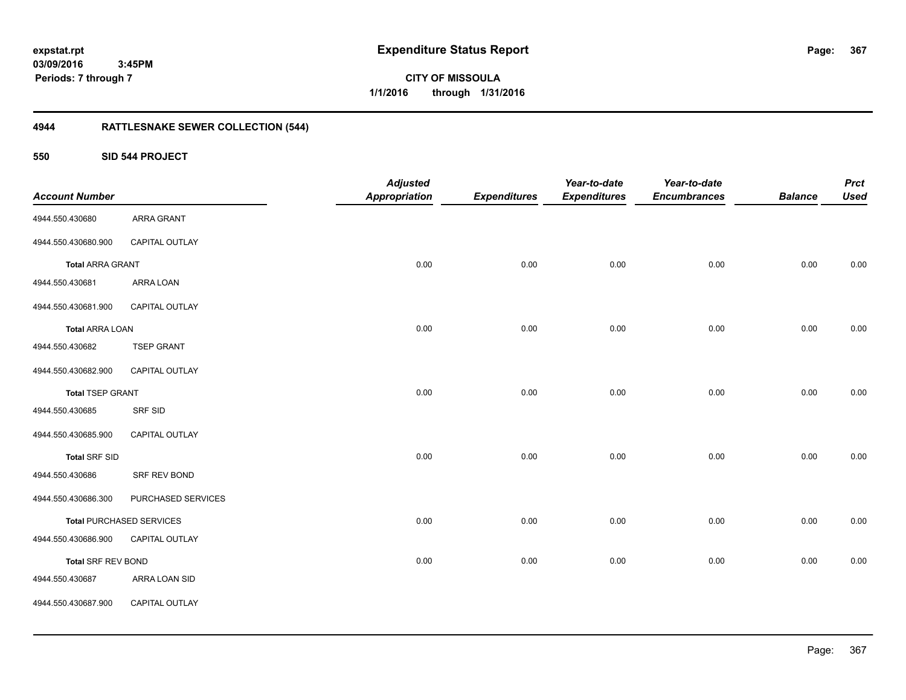**CITY OF MISSOULA 1/1/2016 through 1/31/2016**

# **4944 RATTLESNAKE SEWER COLLECTION (544)**

#### **550 SID 544 PROJECT**

| <b>Account Number</b>   |                                 | <b>Adjusted</b><br><b>Appropriation</b> | <b>Expenditures</b> | Year-to-date<br><b>Expenditures</b> | Year-to-date<br><b>Encumbrances</b> | <b>Balance</b> | <b>Prct</b><br><b>Used</b> |
|-------------------------|---------------------------------|-----------------------------------------|---------------------|-------------------------------------|-------------------------------------|----------------|----------------------------|
| 4944.550.430680         | ARRA GRANT                      |                                         |                     |                                     |                                     |                |                            |
| 4944.550.430680.900     | CAPITAL OUTLAY                  |                                         |                     |                                     |                                     |                |                            |
| <b>Total ARRA GRANT</b> |                                 | 0.00                                    | 0.00                | 0.00                                | 0.00                                | 0.00           | 0.00                       |
| 4944.550.430681         | ARRA LOAN                       |                                         |                     |                                     |                                     |                |                            |
| 4944.550.430681.900     | CAPITAL OUTLAY                  |                                         |                     |                                     |                                     |                |                            |
| <b>Total ARRA LOAN</b>  |                                 | 0.00                                    | 0.00                | 0.00                                | 0.00                                | 0.00           | 0.00                       |
| 4944.550.430682         | <b>TSEP GRANT</b>               |                                         |                     |                                     |                                     |                |                            |
| 4944.550.430682.900     | CAPITAL OUTLAY                  |                                         |                     |                                     |                                     |                |                            |
| <b>Total TSEP GRANT</b> |                                 | 0.00                                    | 0.00                | 0.00                                | 0.00                                | 0.00           | 0.00                       |
| 4944.550.430685         | SRF SID                         |                                         |                     |                                     |                                     |                |                            |
| 4944.550.430685.900     | CAPITAL OUTLAY                  |                                         |                     |                                     |                                     |                |                            |
| <b>Total SRF SID</b>    |                                 | 0.00                                    | 0.00                | 0.00                                | 0.00                                | 0.00           | 0.00                       |
| 4944.550.430686         | SRF REV BOND                    |                                         |                     |                                     |                                     |                |                            |
| 4944.550.430686.300     | PURCHASED SERVICES              |                                         |                     |                                     |                                     |                |                            |
|                         | <b>Total PURCHASED SERVICES</b> | 0.00                                    | 0.00                | 0.00                                | 0.00                                | 0.00           | 0.00                       |
| 4944.550.430686.900     | CAPITAL OUTLAY                  |                                         |                     |                                     |                                     |                |                            |
| Total SRF REV BOND      |                                 | 0.00                                    | 0.00                | 0.00                                | 0.00                                | 0.00           | 0.00                       |
| 4944.550.430687         | ARRA LOAN SID                   |                                         |                     |                                     |                                     |                |                            |
| 4944.550.430687.900     | CAPITAL OUTLAY                  |                                         |                     |                                     |                                     |                |                            |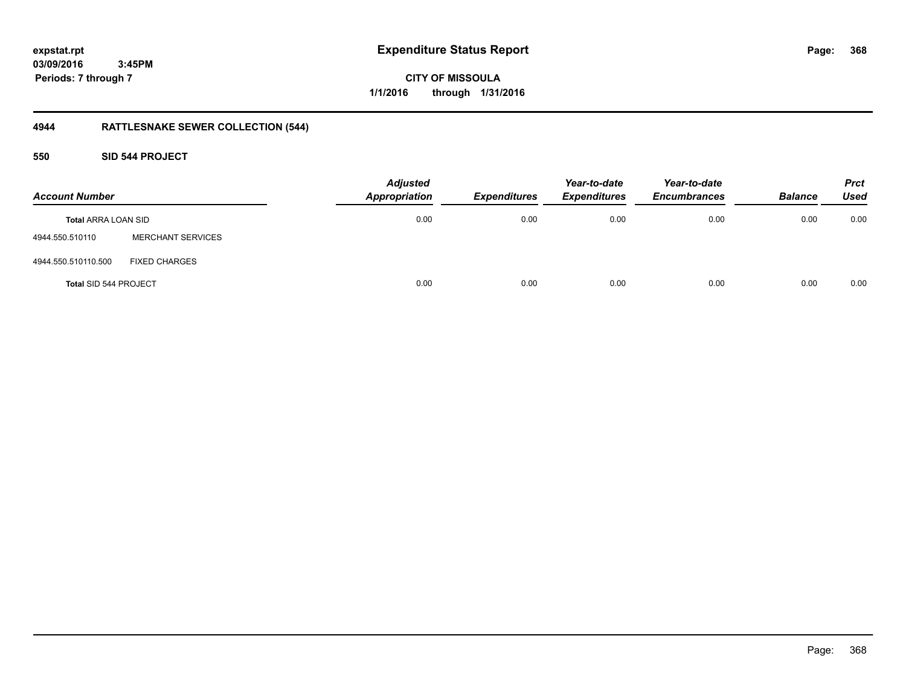**CITY OF MISSOULA 1/1/2016 through 1/31/2016**

# **4944 RATTLESNAKE SEWER COLLECTION (544)**

### **550 SID 544 PROJECT**

| <b>Account Number</b>        |                          | <b>Adjusted</b><br><b>Appropriation</b> | <b>Expenditures</b> | Year-to-date<br><b>Expenditures</b> | Year-to-date<br><b>Encumbrances</b> | <b>Balance</b> | <b>Prct</b><br><b>Used</b> |
|------------------------------|--------------------------|-----------------------------------------|---------------------|-------------------------------------|-------------------------------------|----------------|----------------------------|
| <b>Total ARRA LOAN SID</b>   |                          | 0.00                                    | 0.00                | 0.00                                | 0.00                                | 0.00           | 0.00                       |
| 4944.550.510110              | <b>MERCHANT SERVICES</b> |                                         |                     |                                     |                                     |                |                            |
| 4944.550.510110.500          | <b>FIXED CHARGES</b>     |                                         |                     |                                     |                                     |                |                            |
| <b>Total SID 544 PROJECT</b> |                          | 0.00                                    | 0.00                | 0.00                                | 0.00                                | 0.00           | 0.00                       |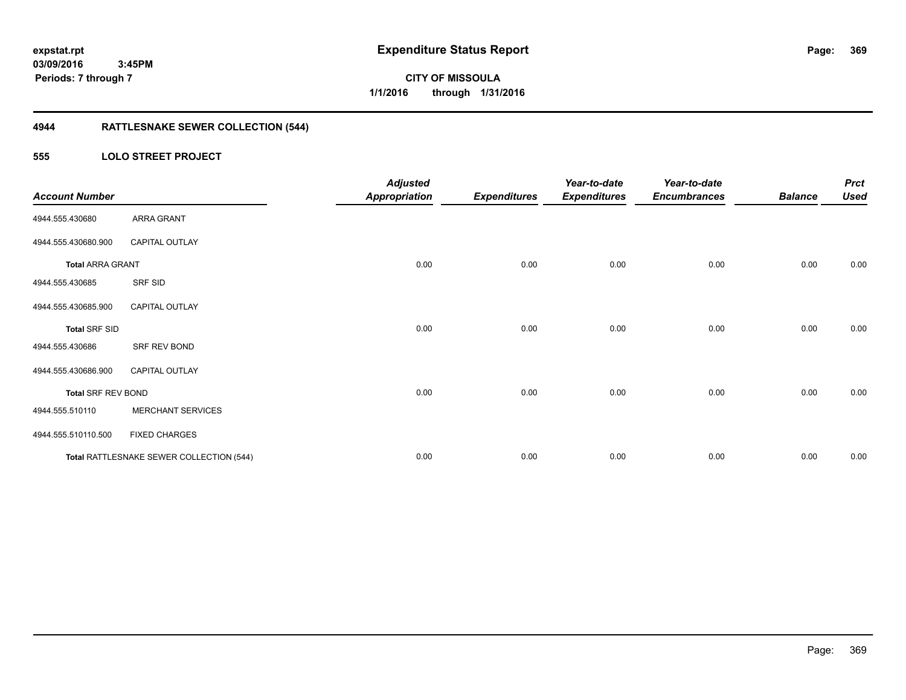**369**

**03/09/2016 3:45PM Periods: 7 through 7**

# **CITY OF MISSOULA 1/1/2016 through 1/31/2016**

# **4944 RATTLESNAKE SEWER COLLECTION (544)**

### **555 LOLO STREET PROJECT**

| <b>Account Number</b>     |                                          | <b>Adjusted</b><br><b>Appropriation</b> | <b>Expenditures</b> | Year-to-date<br><b>Expenditures</b> | Year-to-date<br><b>Encumbrances</b> | <b>Balance</b> | <b>Prct</b><br><b>Used</b> |
|---------------------------|------------------------------------------|-----------------------------------------|---------------------|-------------------------------------|-------------------------------------|----------------|----------------------------|
| 4944.555.430680           | ARRA GRANT                               |                                         |                     |                                     |                                     |                |                            |
| 4944.555.430680.900       | <b>CAPITAL OUTLAY</b>                    |                                         |                     |                                     |                                     |                |                            |
| <b>Total ARRA GRANT</b>   |                                          | 0.00                                    | 0.00                | 0.00                                | 0.00                                | 0.00           | 0.00                       |
| 4944.555.430685           | SRF SID                                  |                                         |                     |                                     |                                     |                |                            |
| 4944.555.430685.900       | <b>CAPITAL OUTLAY</b>                    |                                         |                     |                                     |                                     |                |                            |
| <b>Total SRF SID</b>      |                                          | 0.00                                    | 0.00                | 0.00                                | 0.00                                | 0.00           | 0.00                       |
| 4944.555.430686           | SRF REV BOND                             |                                         |                     |                                     |                                     |                |                            |
| 4944.555.430686.900       | <b>CAPITAL OUTLAY</b>                    |                                         |                     |                                     |                                     |                |                            |
| <b>Total SRF REV BOND</b> |                                          | 0.00                                    | 0.00                | 0.00                                | 0.00                                | 0.00           | 0.00                       |
| 4944.555.510110           | <b>MERCHANT SERVICES</b>                 |                                         |                     |                                     |                                     |                |                            |
| 4944.555.510110.500       | <b>FIXED CHARGES</b>                     |                                         |                     |                                     |                                     |                |                            |
|                           | Total RATTLESNAKE SEWER COLLECTION (544) | 0.00                                    | 0.00                | 0.00                                | 0.00                                | 0.00           | 0.00                       |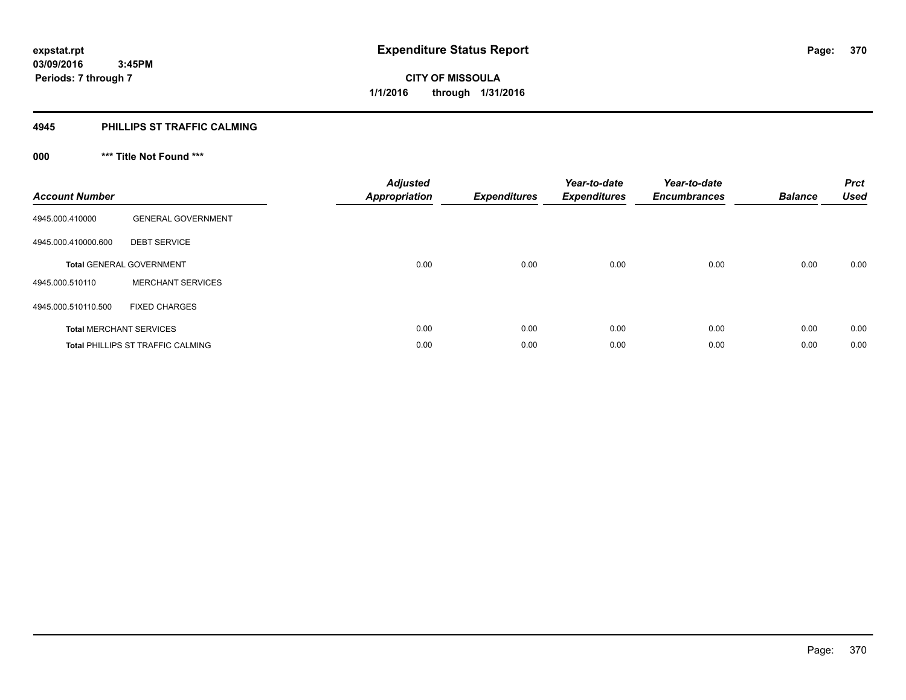#### **4945 PHILLIPS ST TRAFFIC CALMING**

# **000 \*\*\* Title Not Found \*\*\***

| <b>Account Number</b> |                                          | <b>Adjusted</b><br><b>Appropriation</b> | <b>Expenditures</b> | Year-to-date<br><b>Expenditures</b> | Year-to-date<br><b>Encumbrances</b> | <b>Balance</b> | <b>Prct</b><br><b>Used</b> |
|-----------------------|------------------------------------------|-----------------------------------------|---------------------|-------------------------------------|-------------------------------------|----------------|----------------------------|
| 4945.000.410000       | <b>GENERAL GOVERNMENT</b>                |                                         |                     |                                     |                                     |                |                            |
| 4945.000.410000.600   | <b>DEBT SERVICE</b>                      |                                         |                     |                                     |                                     |                |                            |
|                       | <b>Total GENERAL GOVERNMENT</b>          | 0.00                                    | 0.00                | 0.00                                | 0.00                                | 0.00           | 0.00                       |
| 4945.000.510110       | <b>MERCHANT SERVICES</b>                 |                                         |                     |                                     |                                     |                |                            |
| 4945.000.510110.500   | <b>FIXED CHARGES</b>                     |                                         |                     |                                     |                                     |                |                            |
|                       | <b>Total MERCHANT SERVICES</b>           | 0.00                                    | 0.00                | 0.00                                | 0.00                                | 0.00           | 0.00                       |
|                       | <b>Total PHILLIPS ST TRAFFIC CALMING</b> | 0.00                                    | 0.00                | 0.00                                | 0.00                                | 0.00           | 0.00                       |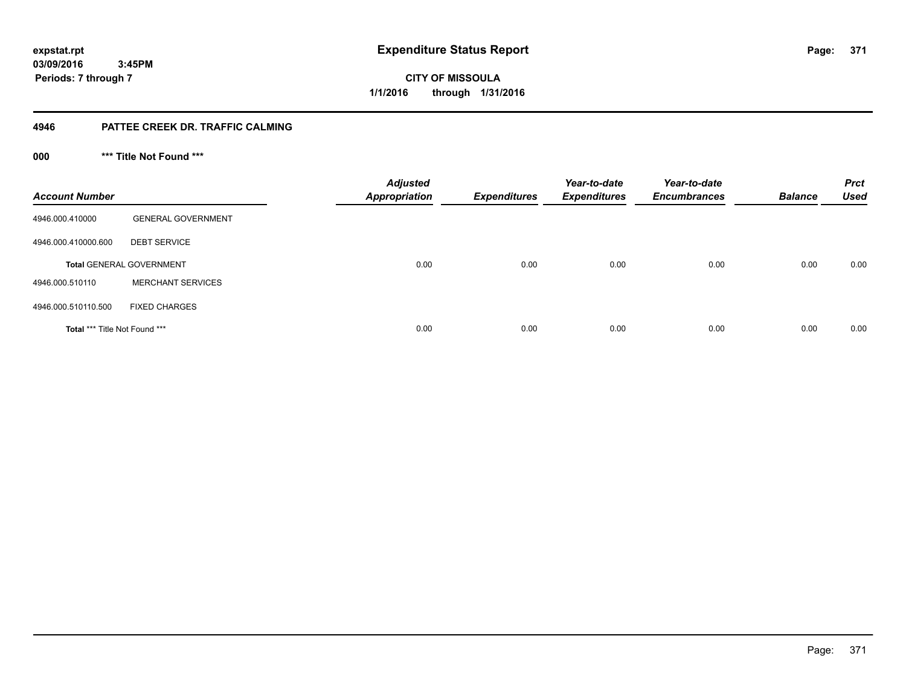**371**

**03/09/2016 3:45PM Periods: 7 through 7**

**CITY OF MISSOULA 1/1/2016 through 1/31/2016**

#### **4946 PATTEE CREEK DR. TRAFFIC CALMING**

**000 \*\*\* Title Not Found \*\*\***

| <b>Account Number</b>         |                                 | <b>Adjusted</b><br><b>Appropriation</b> | <b>Expenditures</b> | Year-to-date<br><b>Expenditures</b> | Year-to-date<br><b>Encumbrances</b> | <b>Balance</b> | <b>Prct</b><br><b>Used</b> |
|-------------------------------|---------------------------------|-----------------------------------------|---------------------|-------------------------------------|-------------------------------------|----------------|----------------------------|
| 4946.000.410000               | <b>GENERAL GOVERNMENT</b>       |                                         |                     |                                     |                                     |                |                            |
| 4946.000.410000.600           | <b>DEBT SERVICE</b>             |                                         |                     |                                     |                                     |                |                            |
|                               | <b>Total GENERAL GOVERNMENT</b> | 0.00                                    | 0.00                | 0.00                                | 0.00                                | 0.00           | 0.00                       |
| 4946.000.510110               | <b>MERCHANT SERVICES</b>        |                                         |                     |                                     |                                     |                |                            |
| 4946.000.510110.500           | <b>FIXED CHARGES</b>            |                                         |                     |                                     |                                     |                |                            |
| Total *** Title Not Found *** |                                 | 0.00                                    | 0.00                | 0.00                                | 0.00                                | 0.00           | 0.00                       |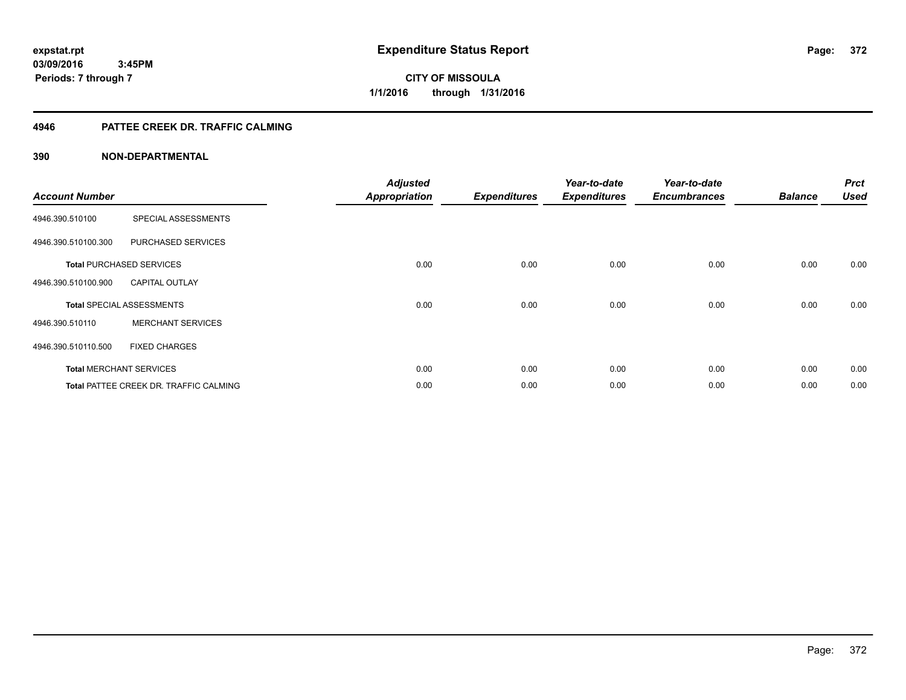**Periods: 7 through 7**

**CITY OF MISSOULA 1/1/2016 through 1/31/2016**

#### **4946 PATTEE CREEK DR. TRAFFIC CALMING**

#### **390 NON-DEPARTMENTAL**

 **3:45PM**

| <b>Account Number</b> |                                        | <b>Adjusted</b><br><b>Appropriation</b> | <b>Expenditures</b> | Year-to-date<br><b>Expenditures</b> | Year-to-date<br><b>Encumbrances</b> | <b>Balance</b> | <b>Prct</b><br><b>Used</b> |
|-----------------------|----------------------------------------|-----------------------------------------|---------------------|-------------------------------------|-------------------------------------|----------------|----------------------------|
| 4946.390.510100       | SPECIAL ASSESSMENTS                    |                                         |                     |                                     |                                     |                |                            |
| 4946.390.510100.300   | PURCHASED SERVICES                     |                                         |                     |                                     |                                     |                |                            |
|                       | <b>Total PURCHASED SERVICES</b>        | 0.00                                    | 0.00                | 0.00                                | 0.00                                | 0.00           | 0.00                       |
| 4946.390.510100.900   | <b>CAPITAL OUTLAY</b>                  |                                         |                     |                                     |                                     |                |                            |
|                       | <b>Total SPECIAL ASSESSMENTS</b>       | 0.00                                    | 0.00                | 0.00                                | 0.00                                | 0.00           | 0.00                       |
| 4946.390.510110       | <b>MERCHANT SERVICES</b>               |                                         |                     |                                     |                                     |                |                            |
| 4946.390.510110.500   | <b>FIXED CHARGES</b>                   |                                         |                     |                                     |                                     |                |                            |
|                       | <b>Total MERCHANT SERVICES</b>         | 0.00                                    | 0.00                | 0.00                                | 0.00                                | 0.00           | 0.00                       |
|                       | Total PATTEE CREEK DR. TRAFFIC CALMING | 0.00                                    | 0.00                | 0.00                                | 0.00                                | 0.00           | 0.00                       |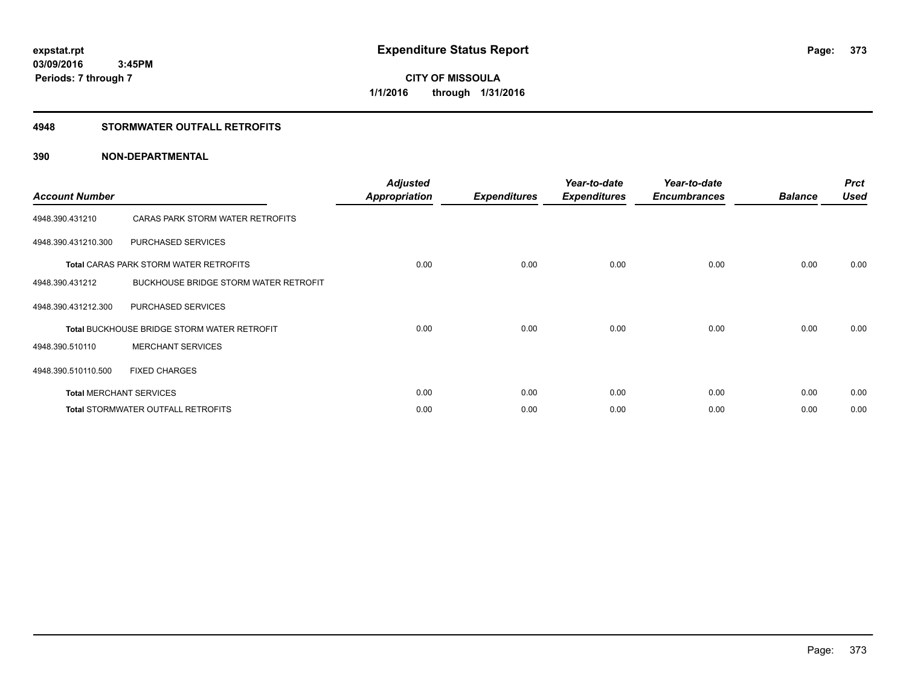#### **4948 STORMWATER OUTFALL RETROFITS**

#### **390 NON-DEPARTMENTAL**

| <b>Account Number</b> |                                                    | <b>Adjusted</b><br><b>Appropriation</b> | <b>Expenditures</b> | Year-to-date<br><b>Expenditures</b> | Year-to-date<br><b>Encumbrances</b> | <b>Balance</b> | <b>Prct</b><br><b>Used</b> |
|-----------------------|----------------------------------------------------|-----------------------------------------|---------------------|-------------------------------------|-------------------------------------|----------------|----------------------------|
| 4948.390.431210       | CARAS PARK STORM WATER RETROFITS                   |                                         |                     |                                     |                                     |                |                            |
| 4948.390.431210.300   | PURCHASED SERVICES                                 |                                         |                     |                                     |                                     |                |                            |
|                       | <b>Total CARAS PARK STORM WATER RETROFITS</b>      | 0.00                                    | 0.00                | 0.00                                | 0.00                                | 0.00           | 0.00                       |
| 4948.390.431212       | BUCKHOUSE BRIDGE STORM WATER RETROFIT              |                                         |                     |                                     |                                     |                |                            |
| 4948.390.431212.300   | PURCHASED SERVICES                                 |                                         |                     |                                     |                                     |                |                            |
|                       | <b>Total BUCKHOUSE BRIDGE STORM WATER RETROFIT</b> | 0.00                                    | 0.00                | 0.00                                | 0.00                                | 0.00           | 0.00                       |
| 4948.390.510110       | <b>MERCHANT SERVICES</b>                           |                                         |                     |                                     |                                     |                |                            |
| 4948.390.510110.500   | <b>FIXED CHARGES</b>                               |                                         |                     |                                     |                                     |                |                            |
|                       | <b>Total MERCHANT SERVICES</b>                     | 0.00                                    | 0.00                | 0.00                                | 0.00                                | 0.00           | 0.00                       |
|                       | <b>Total STORMWATER OUTFALL RETROFITS</b>          | 0.00                                    | 0.00                | 0.00                                | 0.00                                | 0.00           | 0.00                       |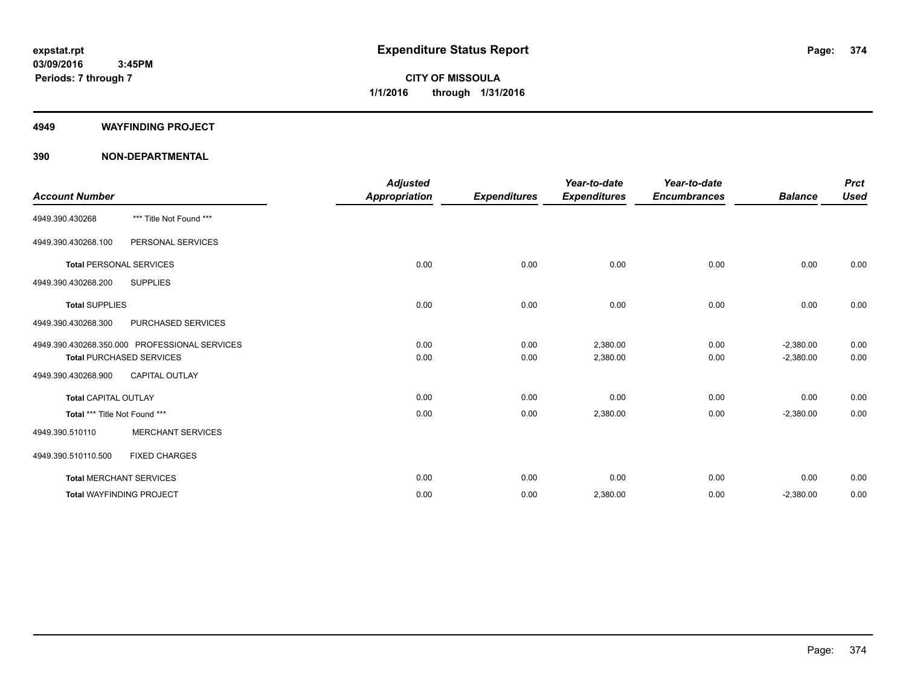#### **4949 WAYFINDING PROJECT**

#### **390 NON-DEPARTMENTAL**

|                                 |                                               | <b>Adjusted</b>      |                     | Year-to-date        | Year-to-date        |                | <b>Prct</b> |
|---------------------------------|-----------------------------------------------|----------------------|---------------------|---------------------|---------------------|----------------|-------------|
| <b>Account Number</b>           |                                               | <b>Appropriation</b> | <b>Expenditures</b> | <b>Expenditures</b> | <b>Encumbrances</b> | <b>Balance</b> | <b>Used</b> |
| 4949.390.430268                 | *** Title Not Found ***                       |                      |                     |                     |                     |                |             |
| 4949.390.430268.100             | PERSONAL SERVICES                             |                      |                     |                     |                     |                |             |
| <b>Total PERSONAL SERVICES</b>  |                                               | 0.00                 | 0.00                | 0.00                | 0.00                | 0.00           | 0.00        |
| 4949.390.430268.200             | <b>SUPPLIES</b>                               |                      |                     |                     |                     |                |             |
| <b>Total SUPPLIES</b>           |                                               | 0.00                 | 0.00                | 0.00                | 0.00                | 0.00           | 0.00        |
| 4949.390.430268.300             | PURCHASED SERVICES                            |                      |                     |                     |                     |                |             |
|                                 | 4949.390.430268.350.000 PROFESSIONAL SERVICES | 0.00                 | 0.00                | 2,380.00            | 0.00                | $-2,380.00$    | 0.00        |
|                                 | <b>Total PURCHASED SERVICES</b>               | 0.00                 | 0.00                | 2,380.00            | 0.00                | $-2,380.00$    | 0.00        |
| 4949.390.430268.900             | <b>CAPITAL OUTLAY</b>                         |                      |                     |                     |                     |                |             |
| <b>Total CAPITAL OUTLAY</b>     |                                               | 0.00                 | 0.00                | 0.00                | 0.00                | 0.00           | 0.00        |
| Total *** Title Not Found ***   |                                               | 0.00                 | 0.00                | 2,380.00            | 0.00                | $-2,380.00$    | 0.00        |
| 4949.390.510110                 | <b>MERCHANT SERVICES</b>                      |                      |                     |                     |                     |                |             |
| 4949.390.510110.500             | <b>FIXED CHARGES</b>                          |                      |                     |                     |                     |                |             |
| <b>Total MERCHANT SERVICES</b>  |                                               | 0.00                 | 0.00                | 0.00                | 0.00                | 0.00           | 0.00        |
| <b>Total WAYFINDING PROJECT</b> |                                               | 0.00                 | 0.00                | 2,380.00            | 0.00                | $-2,380.00$    | 0.00        |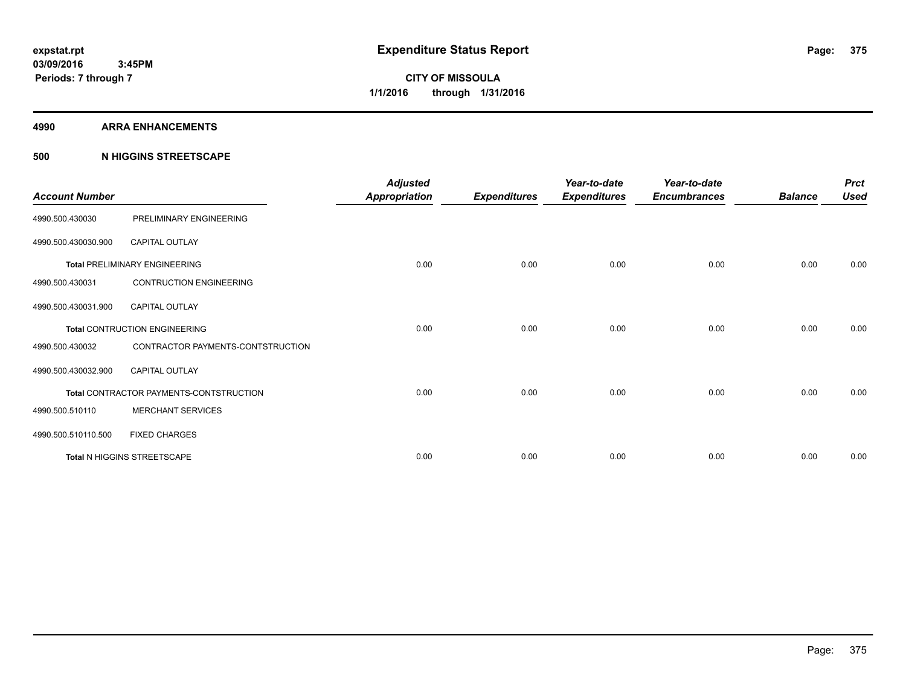#### **4990 ARRA ENHANCEMENTS**

#### **500 N HIGGINS STREETSCAPE**

| <b>Account Number</b> |                                         | <b>Adjusted</b><br><b>Appropriation</b> | <b>Expenditures</b> | Year-to-date<br><b>Expenditures</b> | Year-to-date<br><b>Encumbrances</b> | <b>Balance</b> | <b>Prct</b><br><b>Used</b> |
|-----------------------|-----------------------------------------|-----------------------------------------|---------------------|-------------------------------------|-------------------------------------|----------------|----------------------------|
| 4990.500.430030       | PRELIMINARY ENGINEERING                 |                                         |                     |                                     |                                     |                |                            |
| 4990.500.430030.900   | <b>CAPITAL OUTLAY</b>                   |                                         |                     |                                     |                                     |                |                            |
|                       | <b>Total PRELIMINARY ENGINEERING</b>    | 0.00                                    | 0.00                | 0.00                                | 0.00                                | 0.00           | 0.00                       |
| 4990.500.430031       | <b>CONTRUCTION ENGINEERING</b>          |                                         |                     |                                     |                                     |                |                            |
| 4990.500.430031.900   | <b>CAPITAL OUTLAY</b>                   |                                         |                     |                                     |                                     |                |                            |
|                       | <b>Total CONTRUCTION ENGINEERING</b>    | 0.00                                    | 0.00                | 0.00                                | 0.00                                | 0.00           | 0.00                       |
| 4990.500.430032       | CONTRACTOR PAYMENTS-CONTSTRUCTION       |                                         |                     |                                     |                                     |                |                            |
| 4990.500.430032.900   | <b>CAPITAL OUTLAY</b>                   |                                         |                     |                                     |                                     |                |                            |
|                       | Total CONTRACTOR PAYMENTS-CONTSTRUCTION | 0.00                                    | 0.00                | 0.00                                | 0.00                                | 0.00           | 0.00                       |
| 4990.500.510110       | <b>MERCHANT SERVICES</b>                |                                         |                     |                                     |                                     |                |                            |
| 4990.500.510110.500   | <b>FIXED CHARGES</b>                    |                                         |                     |                                     |                                     |                |                            |
|                       | Total N HIGGINS STREETSCAPE             | 0.00                                    | 0.00                | 0.00                                | 0.00                                | 0.00           | 0.00                       |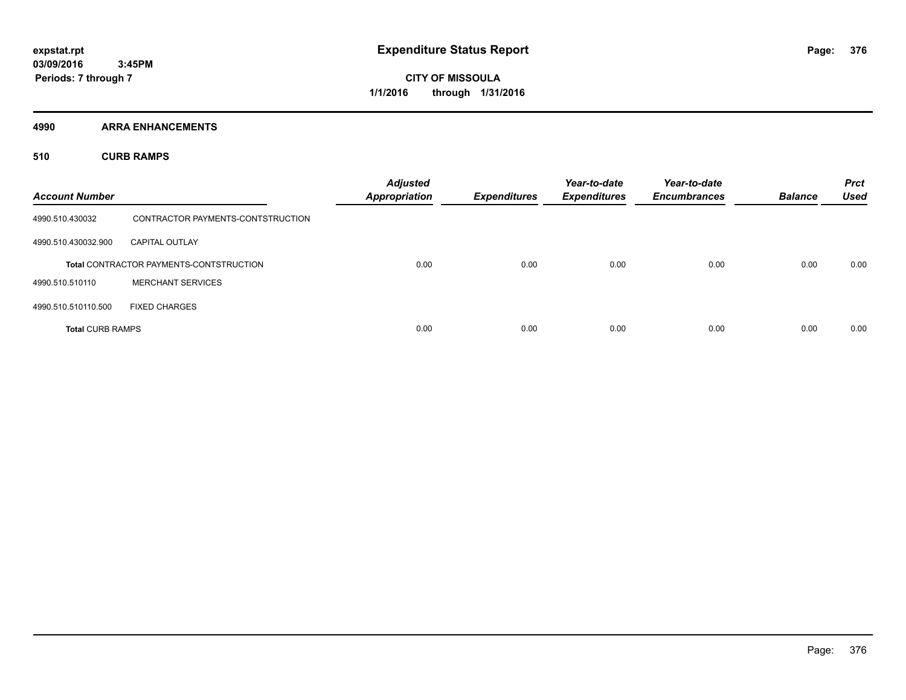**4990 ARRA ENHANCEMENTS**

**510 CURB RAMPS**

| <b>Account Number</b>   |                                                | <b>Adjusted</b><br><b>Appropriation</b> | <b>Expenditures</b> | Year-to-date<br><b>Expenditures</b> | Year-to-date<br><b>Encumbrances</b> | <b>Balance</b> | <b>Prct</b><br><b>Used</b> |
|-------------------------|------------------------------------------------|-----------------------------------------|---------------------|-------------------------------------|-------------------------------------|----------------|----------------------------|
| 4990.510.430032         | CONTRACTOR PAYMENTS-CONTSTRUCTION              |                                         |                     |                                     |                                     |                |                            |
| 4990.510.430032.900     | <b>CAPITAL OUTLAY</b>                          |                                         |                     |                                     |                                     |                |                            |
|                         | <b>Total CONTRACTOR PAYMENTS-CONTSTRUCTION</b> | 0.00                                    | 0.00                | 0.00                                | 0.00                                | 0.00           | 0.00                       |
| 4990.510.510110         | <b>MERCHANT SERVICES</b>                       |                                         |                     |                                     |                                     |                |                            |
| 4990.510.510110.500     | <b>FIXED CHARGES</b>                           |                                         |                     |                                     |                                     |                |                            |
| <b>Total CURB RAMPS</b> |                                                | 0.00                                    | 0.00                | 0.00                                | 0.00                                | 0.00           | 0.00                       |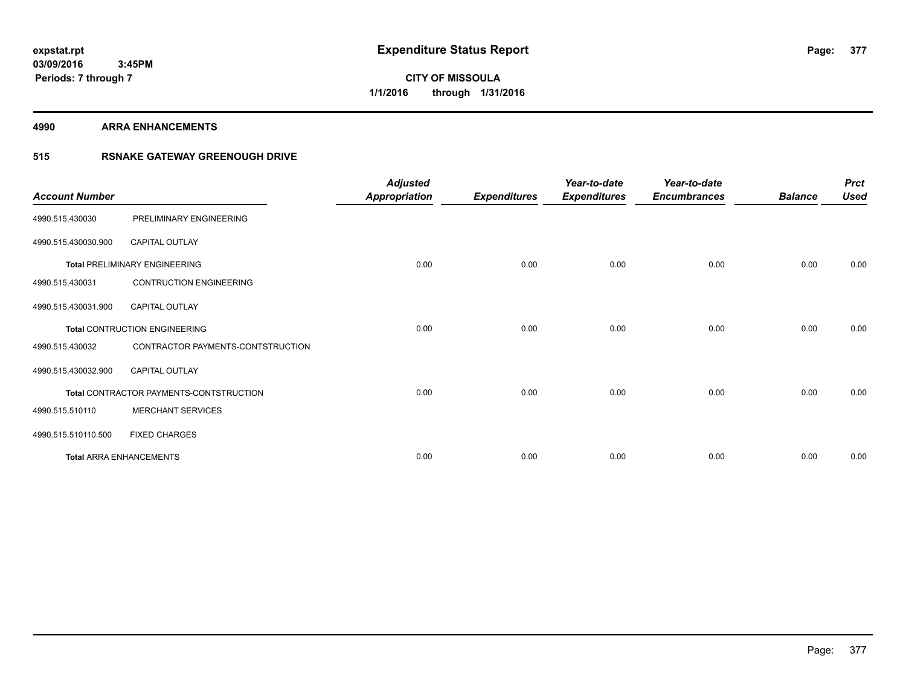#### **4990 ARRA ENHANCEMENTS**

### **515 RSNAKE GATEWAY GREENOUGH DRIVE**

| <b>Account Number</b> |                                         | <b>Adjusted</b><br><b>Appropriation</b> | <b>Expenditures</b> | Year-to-date<br><b>Expenditures</b> | Year-to-date<br><b>Encumbrances</b> | <b>Balance</b> | <b>Prct</b><br><b>Used</b> |
|-----------------------|-----------------------------------------|-----------------------------------------|---------------------|-------------------------------------|-------------------------------------|----------------|----------------------------|
| 4990.515.430030       | PRELIMINARY ENGINEERING                 |                                         |                     |                                     |                                     |                |                            |
| 4990.515.430030.900   | <b>CAPITAL OUTLAY</b>                   |                                         |                     |                                     |                                     |                |                            |
|                       | <b>Total PRELIMINARY ENGINEERING</b>    | 0.00                                    | 0.00                | 0.00                                | 0.00                                | 0.00           | 0.00                       |
| 4990.515.430031       | <b>CONTRUCTION ENGINEERING</b>          |                                         |                     |                                     |                                     |                |                            |
| 4990.515.430031.900   | <b>CAPITAL OUTLAY</b>                   |                                         |                     |                                     |                                     |                |                            |
|                       | <b>Total CONTRUCTION ENGINEERING</b>    | 0.00                                    | 0.00                | 0.00                                | 0.00                                | 0.00           | 0.00                       |
| 4990.515.430032       | CONTRACTOR PAYMENTS-CONTSTRUCTION       |                                         |                     |                                     |                                     |                |                            |
| 4990.515.430032.900   | <b>CAPITAL OUTLAY</b>                   |                                         |                     |                                     |                                     |                |                            |
|                       | Total CONTRACTOR PAYMENTS-CONTSTRUCTION | 0.00                                    | 0.00                | 0.00                                | 0.00                                | 0.00           | 0.00                       |
| 4990.515.510110       | <b>MERCHANT SERVICES</b>                |                                         |                     |                                     |                                     |                |                            |
| 4990.515.510110.500   | <b>FIXED CHARGES</b>                    |                                         |                     |                                     |                                     |                |                            |
|                       | <b>Total ARRA ENHANCEMENTS</b>          | 0.00                                    | 0.00                | 0.00                                | 0.00                                | 0.00           | 0.00                       |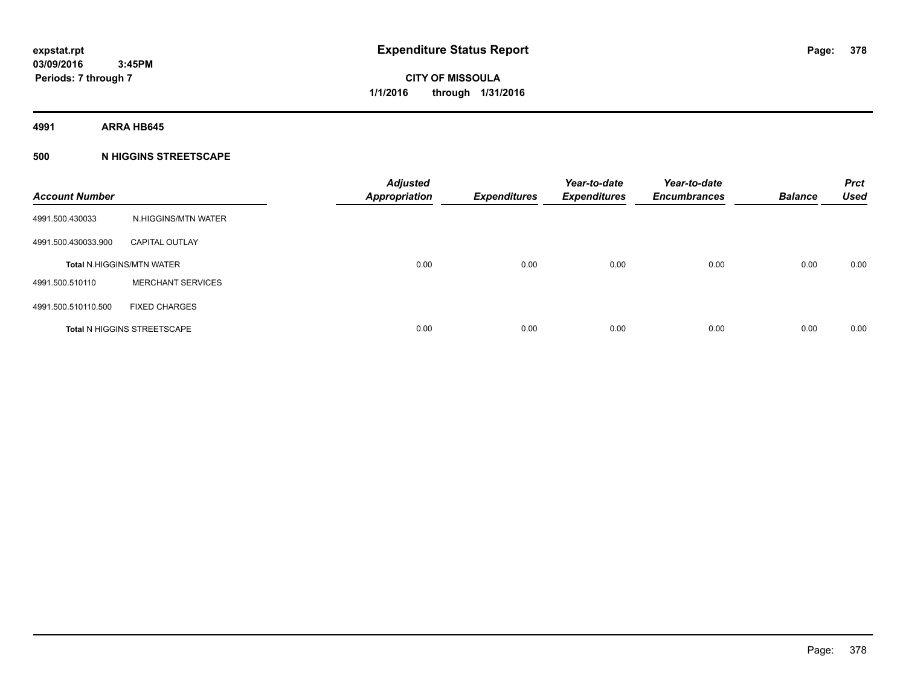**4991 ARRA HB645**

#### **500 N HIGGINS STREETSCAPE**

| <b>Account Number</b> |                                    | <b>Adjusted</b><br><b>Appropriation</b> | <b>Expenditures</b> | Year-to-date<br><b>Expenditures</b> | Year-to-date<br><b>Encumbrances</b> | <b>Balance</b> | <b>Prct</b><br><b>Used</b> |
|-----------------------|------------------------------------|-----------------------------------------|---------------------|-------------------------------------|-------------------------------------|----------------|----------------------------|
| 4991.500.430033       | N.HIGGINS/MTN WATER                |                                         |                     |                                     |                                     |                |                            |
| 4991.500.430033.900   | <b>CAPITAL OUTLAY</b>              |                                         |                     |                                     |                                     |                |                            |
|                       | <b>Total N.HIGGINS/MTN WATER</b>   | 0.00                                    | 0.00                | 0.00                                | 0.00                                | 0.00           | 0.00                       |
| 4991.500.510110       | <b>MERCHANT SERVICES</b>           |                                         |                     |                                     |                                     |                |                            |
| 4991.500.510110.500   | <b>FIXED CHARGES</b>               |                                         |                     |                                     |                                     |                |                            |
|                       | <b>Total N HIGGINS STREETSCAPE</b> | 0.00                                    | 0.00                | 0.00                                | 0.00                                | 0.00           | 0.00                       |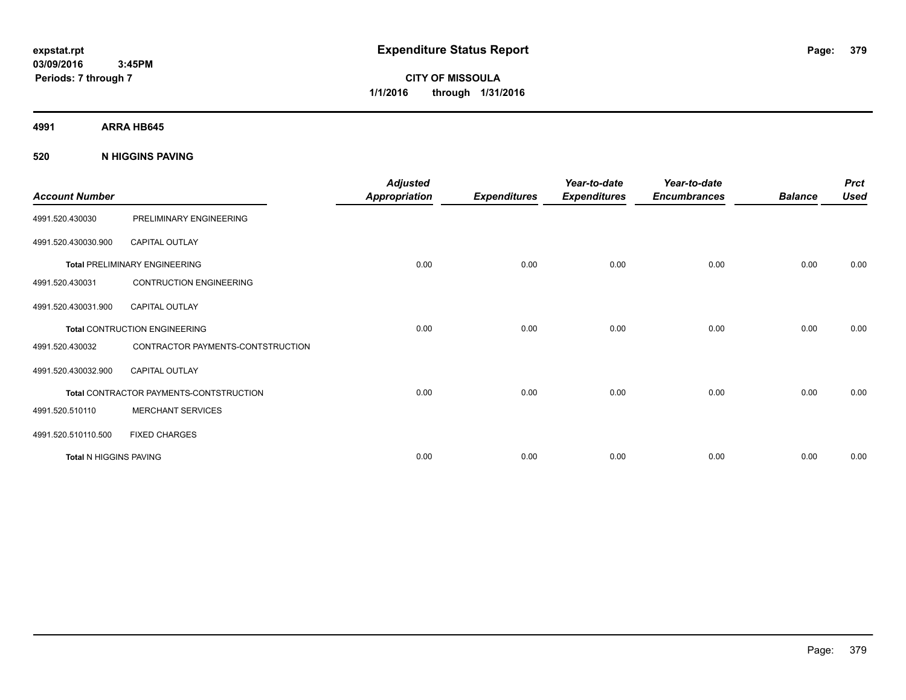**CITY OF MISSOULA 1/1/2016 through 1/31/2016**

**4991 ARRA HB645**

**520 N HIGGINS PAVING**

| <b>Account Number</b>         |                                         | <b>Adjusted</b><br><b>Appropriation</b> | <b>Expenditures</b> | Year-to-date<br><b>Expenditures</b> | Year-to-date<br><b>Encumbrances</b> | <b>Balance</b> | <b>Prct</b><br><b>Used</b> |
|-------------------------------|-----------------------------------------|-----------------------------------------|---------------------|-------------------------------------|-------------------------------------|----------------|----------------------------|
| 4991.520.430030               | PRELIMINARY ENGINEERING                 |                                         |                     |                                     |                                     |                |                            |
| 4991.520.430030.900           | <b>CAPITAL OUTLAY</b>                   |                                         |                     |                                     |                                     |                |                            |
|                               | <b>Total PRELIMINARY ENGINEERING</b>    | 0.00                                    | 0.00                | 0.00                                | 0.00                                | 0.00           | 0.00                       |
| 4991.520.430031               | <b>CONTRUCTION ENGINEERING</b>          |                                         |                     |                                     |                                     |                |                            |
| 4991.520.430031.900           | <b>CAPITAL OUTLAY</b>                   |                                         |                     |                                     |                                     |                |                            |
|                               | Total CONTRUCTION ENGINEERING           | 0.00                                    | 0.00                | 0.00                                | 0.00                                | 0.00           | 0.00                       |
| 4991.520.430032               | CONTRACTOR PAYMENTS-CONTSTRUCTION       |                                         |                     |                                     |                                     |                |                            |
| 4991.520.430032.900           | <b>CAPITAL OUTLAY</b>                   |                                         |                     |                                     |                                     |                |                            |
|                               | Total CONTRACTOR PAYMENTS-CONTSTRUCTION | 0.00                                    | 0.00                | 0.00                                | 0.00                                | 0.00           | 0.00                       |
| 4991.520.510110               | <b>MERCHANT SERVICES</b>                |                                         |                     |                                     |                                     |                |                            |
| 4991.520.510110.500           | <b>FIXED CHARGES</b>                    |                                         |                     |                                     |                                     |                |                            |
| <b>Total N HIGGINS PAVING</b> |                                         | 0.00                                    | 0.00                | 0.00                                | 0.00                                | 0.00           | 0.00                       |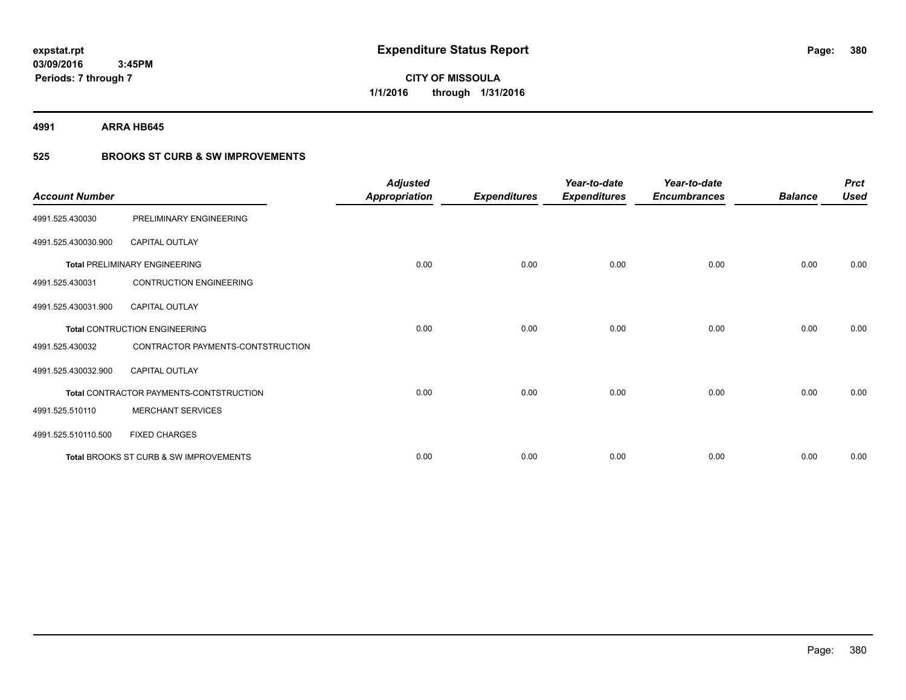# **CITY OF MISSOULA 1/1/2016 through 1/31/2016**

**4991 ARRA HB645**

### **525 BROOKS ST CURB & SW IMPROVEMENTS**

| <b>Account Number</b> |                                         | <b>Adjusted</b><br><b>Appropriation</b> | <b>Expenditures</b> | Year-to-date<br><b>Expenditures</b> | Year-to-date<br><b>Encumbrances</b> | <b>Balance</b> | <b>Prct</b><br><b>Used</b> |
|-----------------------|-----------------------------------------|-----------------------------------------|---------------------|-------------------------------------|-------------------------------------|----------------|----------------------------|
| 4991.525.430030       | PRELIMINARY ENGINEERING                 |                                         |                     |                                     |                                     |                |                            |
| 4991.525.430030.900   | <b>CAPITAL OUTLAY</b>                   |                                         |                     |                                     |                                     |                |                            |
|                       | <b>Total PRELIMINARY ENGINEERING</b>    | 0.00                                    | 0.00                | 0.00                                | 0.00                                | 0.00           | 0.00                       |
| 4991.525.430031       | <b>CONTRUCTION ENGINEERING</b>          |                                         |                     |                                     |                                     |                |                            |
| 4991.525.430031.900   | <b>CAPITAL OUTLAY</b>                   |                                         |                     |                                     |                                     |                |                            |
|                       | <b>Total CONTRUCTION ENGINEERING</b>    | 0.00                                    | 0.00                | 0.00                                | 0.00                                | 0.00           | 0.00                       |
| 4991.525.430032       | CONTRACTOR PAYMENTS-CONTSTRUCTION       |                                         |                     |                                     |                                     |                |                            |
| 4991.525.430032.900   | CAPITAL OUTLAY                          |                                         |                     |                                     |                                     |                |                            |
|                       | Total CONTRACTOR PAYMENTS-CONTSTRUCTION | 0.00                                    | 0.00                | 0.00                                | 0.00                                | 0.00           | 0.00                       |
| 4991.525.510110       | <b>MERCHANT SERVICES</b>                |                                         |                     |                                     |                                     |                |                            |
| 4991.525.510110.500   | <b>FIXED CHARGES</b>                    |                                         |                     |                                     |                                     |                |                            |
|                       | Total BROOKS ST CURB & SW IMPROVEMENTS  | 0.00                                    | 0.00                | 0.00                                | 0.00                                | 0.00           | 0.00                       |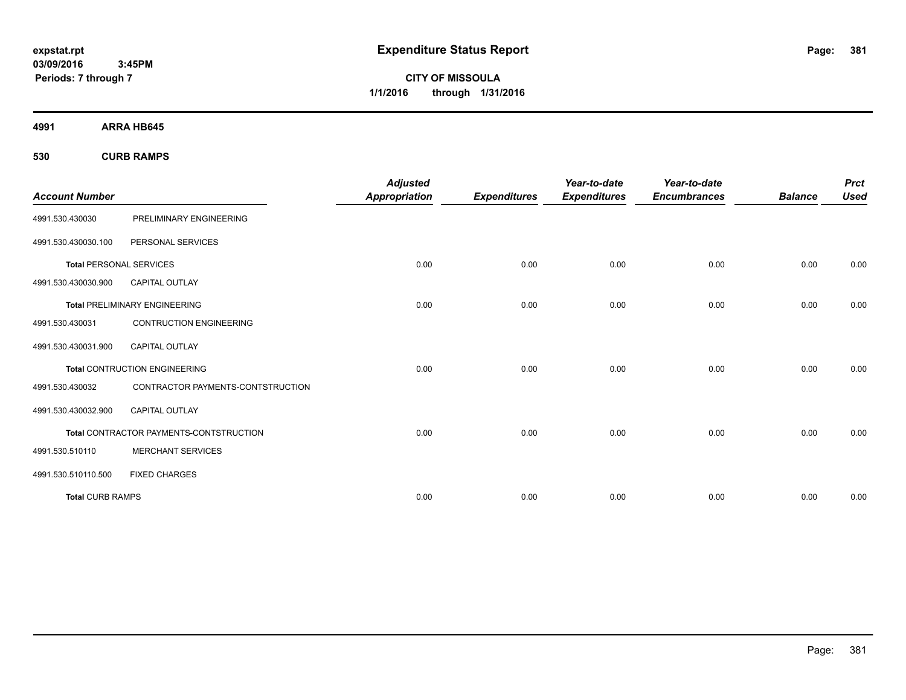**CITY OF MISSOULA 1/1/2016 through 1/31/2016**

**4991 ARRA HB645**

**530 CURB RAMPS**

| <b>Account Number</b>          |                                         | <b>Adjusted</b><br><b>Appropriation</b> | <b>Expenditures</b> | Year-to-date<br><b>Expenditures</b> | Year-to-date<br><b>Encumbrances</b> | <b>Balance</b> | <b>Prct</b><br><b>Used</b> |
|--------------------------------|-----------------------------------------|-----------------------------------------|---------------------|-------------------------------------|-------------------------------------|----------------|----------------------------|
| 4991.530.430030                | PRELIMINARY ENGINEERING                 |                                         |                     |                                     |                                     |                |                            |
| 4991.530.430030.100            | PERSONAL SERVICES                       |                                         |                     |                                     |                                     |                |                            |
| <b>Total PERSONAL SERVICES</b> |                                         | 0.00                                    | 0.00                | 0.00                                | 0.00                                | 0.00           | 0.00                       |
| 4991.530.430030.900            | <b>CAPITAL OUTLAY</b>                   |                                         |                     |                                     |                                     |                |                            |
|                                | <b>Total PRELIMINARY ENGINEERING</b>    | 0.00                                    | 0.00                | 0.00                                | 0.00                                | 0.00           | 0.00                       |
| 4991.530.430031                | <b>CONTRUCTION ENGINEERING</b>          |                                         |                     |                                     |                                     |                |                            |
| 4991.530.430031.900            | <b>CAPITAL OUTLAY</b>                   |                                         |                     |                                     |                                     |                |                            |
|                                | <b>Total CONTRUCTION ENGINEERING</b>    | 0.00                                    | 0.00                | 0.00                                | 0.00                                | 0.00           | 0.00                       |
| 4991.530.430032                | CONTRACTOR PAYMENTS-CONTSTRUCTION       |                                         |                     |                                     |                                     |                |                            |
| 4991.530.430032.900            | <b>CAPITAL OUTLAY</b>                   |                                         |                     |                                     |                                     |                |                            |
|                                | Total CONTRACTOR PAYMENTS-CONTSTRUCTION | 0.00                                    | 0.00                | 0.00                                | 0.00                                | 0.00           | 0.00                       |
| 4991.530.510110                | <b>MERCHANT SERVICES</b>                |                                         |                     |                                     |                                     |                |                            |
| 4991.530.510110.500            | <b>FIXED CHARGES</b>                    |                                         |                     |                                     |                                     |                |                            |
| <b>Total CURB RAMPS</b>        |                                         | 0.00                                    | 0.00                | 0.00                                | 0.00                                | 0.00           | 0.00                       |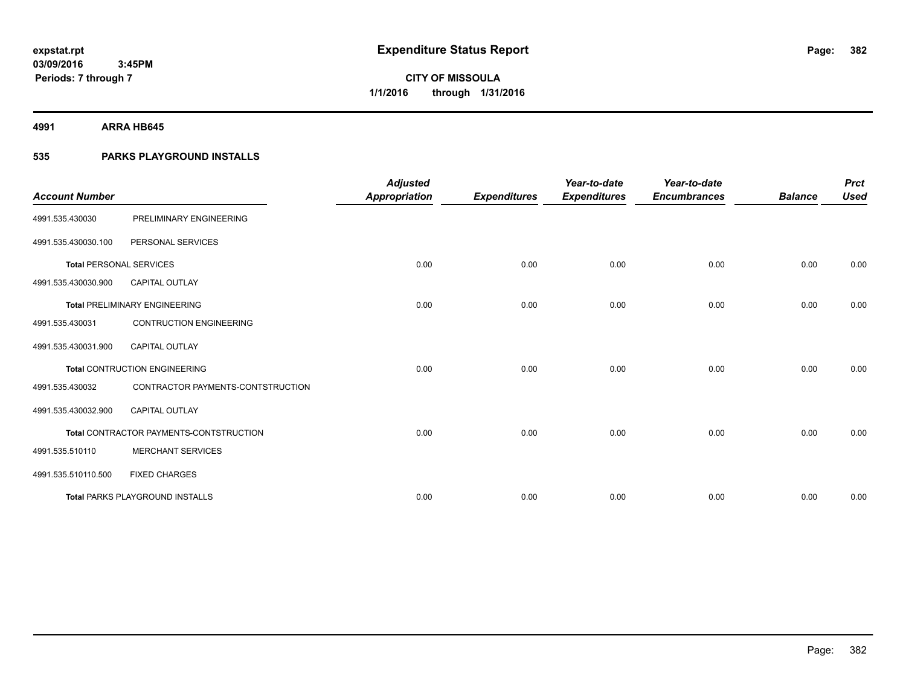**4991 ARRA HB645**

### **535 PARKS PLAYGROUND INSTALLS**

| <b>Account Number</b>          |                                         | <b>Adjusted</b>      |                     | Year-to-date        | Year-to-date        |                | <b>Prct</b> |
|--------------------------------|-----------------------------------------|----------------------|---------------------|---------------------|---------------------|----------------|-------------|
|                                |                                         | <b>Appropriation</b> | <b>Expenditures</b> | <b>Expenditures</b> | <b>Encumbrances</b> | <b>Balance</b> | <b>Used</b> |
| 4991.535.430030                | PRELIMINARY ENGINEERING                 |                      |                     |                     |                     |                |             |
| 4991.535.430030.100            | PERSONAL SERVICES                       |                      |                     |                     |                     |                |             |
| <b>Total PERSONAL SERVICES</b> |                                         | 0.00                 | 0.00                | 0.00                | 0.00                | 0.00           | 0.00        |
| 4991.535.430030.900            | <b>CAPITAL OUTLAY</b>                   |                      |                     |                     |                     |                |             |
|                                | <b>Total PRELIMINARY ENGINEERING</b>    | 0.00                 | 0.00                | 0.00                | 0.00                | 0.00           | 0.00        |
| 4991.535.430031                | <b>CONTRUCTION ENGINEERING</b>          |                      |                     |                     |                     |                |             |
| 4991.535.430031.900            | <b>CAPITAL OUTLAY</b>                   |                      |                     |                     |                     |                |             |
|                                | <b>Total CONTRUCTION ENGINEERING</b>    | 0.00                 | 0.00                | 0.00                | 0.00                | 0.00           | 0.00        |
| 4991.535.430032                | CONTRACTOR PAYMENTS-CONTSTRUCTION       |                      |                     |                     |                     |                |             |
| 4991.535.430032.900            | <b>CAPITAL OUTLAY</b>                   |                      |                     |                     |                     |                |             |
|                                | Total CONTRACTOR PAYMENTS-CONTSTRUCTION | 0.00                 | 0.00                | 0.00                | 0.00                | 0.00           | 0.00        |
| 4991.535.510110                | <b>MERCHANT SERVICES</b>                |                      |                     |                     |                     |                |             |
| 4991.535.510110.500            | <b>FIXED CHARGES</b>                    |                      |                     |                     |                     |                |             |
|                                | <b>Total PARKS PLAYGROUND INSTALLS</b>  | 0.00                 | 0.00                | 0.00                | 0.00                | 0.00           | 0.00        |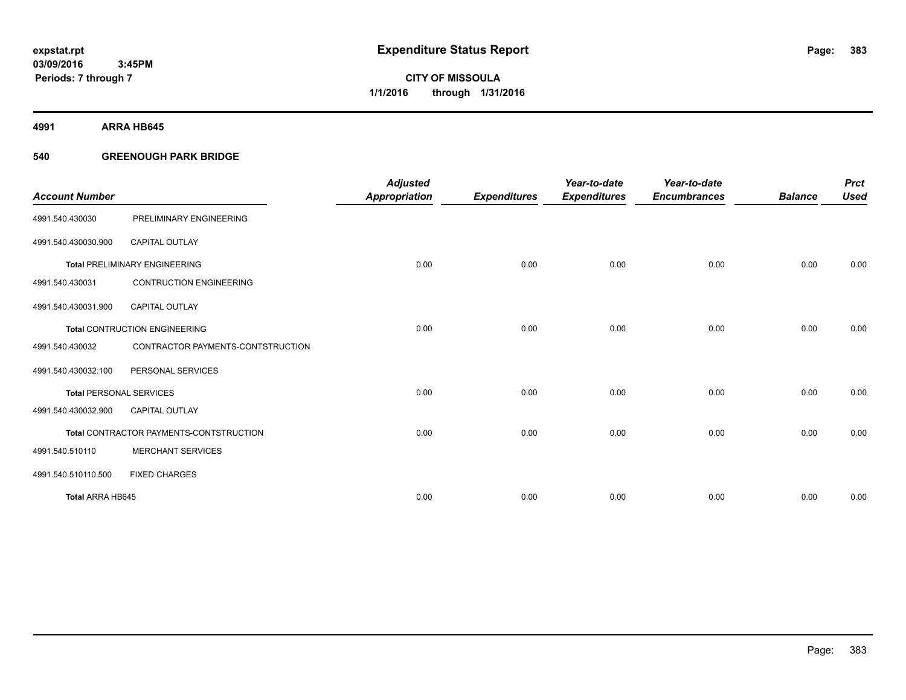**Periods: 7 through 7**

**CITY OF MISSOULA 1/1/2016 through 1/31/2016**

**4991 ARRA HB645**

#### **540 GREENOUGH PARK BRIDGE**

 **3:45PM**

| <b>Account Number</b>          |                                         | <b>Adjusted</b>      |                     | Year-to-date        | Year-to-date        | <b>Balance</b> | <b>Prct</b><br><b>Used</b> |
|--------------------------------|-----------------------------------------|----------------------|---------------------|---------------------|---------------------|----------------|----------------------------|
|                                |                                         | <b>Appropriation</b> | <b>Expenditures</b> | <b>Expenditures</b> | <b>Encumbrances</b> |                |                            |
| 4991.540.430030                | PRELIMINARY ENGINEERING                 |                      |                     |                     |                     |                |                            |
| 4991.540.430030.900            | CAPITAL OUTLAY                          |                      |                     |                     |                     |                |                            |
|                                | <b>Total PRELIMINARY ENGINEERING</b>    | 0.00                 | 0.00                | 0.00                | 0.00                | 0.00           | 0.00                       |
| 4991.540.430031                | <b>CONTRUCTION ENGINEERING</b>          |                      |                     |                     |                     |                |                            |
| 4991.540.430031.900            | <b>CAPITAL OUTLAY</b>                   |                      |                     |                     |                     |                |                            |
|                                | <b>Total CONTRUCTION ENGINEERING</b>    | 0.00                 | 0.00                | 0.00                | 0.00                | 0.00           | 0.00                       |
| 4991.540.430032                | CONTRACTOR PAYMENTS-CONTSTRUCTION       |                      |                     |                     |                     |                |                            |
| 4991.540.430032.100            | PERSONAL SERVICES                       |                      |                     |                     |                     |                |                            |
| <b>Total PERSONAL SERVICES</b> |                                         | 0.00                 | 0.00                | 0.00                | 0.00                | 0.00           | 0.00                       |
| 4991.540.430032.900            | <b>CAPITAL OUTLAY</b>                   |                      |                     |                     |                     |                |                            |
|                                | Total CONTRACTOR PAYMENTS-CONTSTRUCTION | 0.00                 | 0.00                | 0.00                | 0.00                | 0.00           | 0.00                       |
| 4991.540.510110                | <b>MERCHANT SERVICES</b>                |                      |                     |                     |                     |                |                            |
| 4991.540.510110.500            | <b>FIXED CHARGES</b>                    |                      |                     |                     |                     |                |                            |
| Total ARRA HB645               |                                         | 0.00                 | 0.00                | 0.00                | 0.00                | 0.00           | 0.00                       |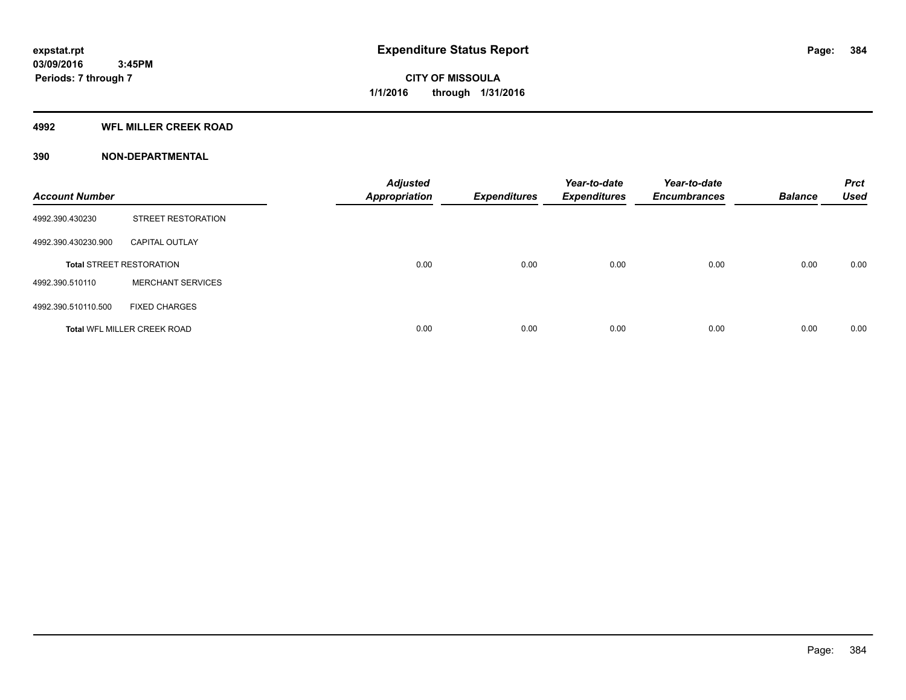#### **4992 WFL MILLER CREEK ROAD**

#### **390 NON-DEPARTMENTAL**

| <b>Account Number</b> |                                    | <b>Adjusted</b><br><b>Appropriation</b> | <b>Expenditures</b> | Year-to-date<br><b>Expenditures</b> | Year-to-date<br><b>Encumbrances</b> | <b>Balance</b> | <b>Prct</b><br><b>Used</b> |
|-----------------------|------------------------------------|-----------------------------------------|---------------------|-------------------------------------|-------------------------------------|----------------|----------------------------|
| 4992.390.430230       | STREET RESTORATION                 |                                         |                     |                                     |                                     |                |                            |
| 4992.390.430230.900   | <b>CAPITAL OUTLAY</b>              |                                         |                     |                                     |                                     |                |                            |
|                       | <b>Total STREET RESTORATION</b>    | 0.00                                    | 0.00                | 0.00                                | 0.00                                | 0.00           | 0.00                       |
| 4992.390.510110       | <b>MERCHANT SERVICES</b>           |                                         |                     |                                     |                                     |                |                            |
| 4992.390.510110.500   | <b>FIXED CHARGES</b>               |                                         |                     |                                     |                                     |                |                            |
|                       | <b>Total WFL MILLER CREEK ROAD</b> | 0.00                                    | 0.00                | 0.00                                | 0.00                                | 0.00           | 0.00                       |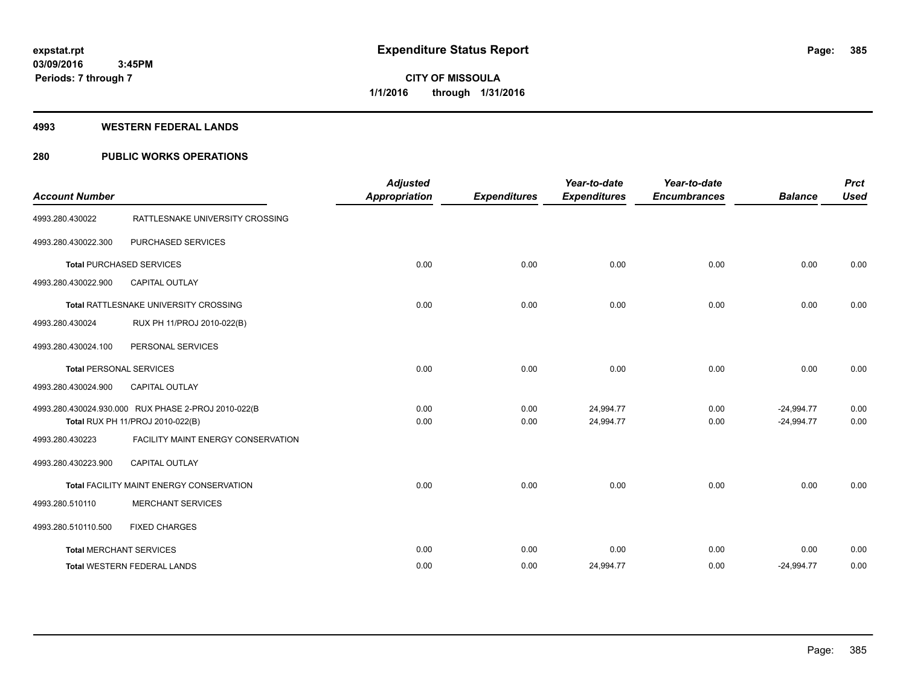#### **4993 WESTERN FEDERAL LANDS**

### **280 PUBLIC WORKS OPERATIONS**

| <b>Account Number</b>          |                                                                                         | <b>Adjusted</b><br><b>Appropriation</b> | <b>Expenditures</b> | Year-to-date<br><b>Expenditures</b> | Year-to-date<br><b>Encumbrances</b> | <b>Balance</b>               | <b>Prct</b><br><b>Used</b> |
|--------------------------------|-----------------------------------------------------------------------------------------|-----------------------------------------|---------------------|-------------------------------------|-------------------------------------|------------------------------|----------------------------|
| 4993.280.430022                | RATTLESNAKE UNIVERSITY CROSSING                                                         |                                         |                     |                                     |                                     |                              |                            |
| 4993.280.430022.300            | PURCHASED SERVICES                                                                      |                                         |                     |                                     |                                     |                              |                            |
|                                | <b>Total PURCHASED SERVICES</b>                                                         | 0.00                                    | 0.00                | 0.00                                | 0.00                                | 0.00                         | 0.00                       |
| 4993.280.430022.900            | <b>CAPITAL OUTLAY</b>                                                                   |                                         |                     |                                     |                                     |                              |                            |
|                                | Total RATTLESNAKE UNIVERSITY CROSSING                                                   | 0.00                                    | 0.00                | 0.00                                | 0.00                                | 0.00                         | 0.00                       |
| 4993.280.430024                | RUX PH 11/PROJ 2010-022(B)                                                              |                                         |                     |                                     |                                     |                              |                            |
| 4993.280.430024.100            | PERSONAL SERVICES                                                                       |                                         |                     |                                     |                                     |                              |                            |
| <b>Total PERSONAL SERVICES</b> |                                                                                         | 0.00                                    | 0.00                | 0.00                                | 0.00                                | 0.00                         | 0.00                       |
| 4993.280.430024.900            | <b>CAPITAL OUTLAY</b>                                                                   |                                         |                     |                                     |                                     |                              |                            |
|                                | 4993.280.430024.930.000 RUX PHASE 2-PROJ 2010-022(B<br>Total RUX PH 11/PROJ 2010-022(B) | 0.00<br>0.00                            | 0.00<br>0.00        | 24,994.77<br>24,994.77              | 0.00<br>0.00                        | $-24,994.77$<br>$-24,994.77$ | 0.00<br>0.00               |
| 4993.280.430223                | FACILITY MAINT ENERGY CONSERVATION                                                      |                                         |                     |                                     |                                     |                              |                            |
| 4993.280.430223.900            | CAPITAL OUTLAY                                                                          |                                         |                     |                                     |                                     |                              |                            |
|                                | Total FACILITY MAINT ENERGY CONSERVATION                                                | 0.00                                    | 0.00                | 0.00                                | 0.00                                | 0.00                         | 0.00                       |
| 4993.280.510110                | <b>MERCHANT SERVICES</b>                                                                |                                         |                     |                                     |                                     |                              |                            |
| 4993.280.510110.500            | <b>FIXED CHARGES</b>                                                                    |                                         |                     |                                     |                                     |                              |                            |
|                                | <b>Total MERCHANT SERVICES</b>                                                          | 0.00                                    | 0.00                | 0.00                                | 0.00                                | 0.00                         | 0.00                       |
|                                | <b>Total WESTERN FEDERAL LANDS</b>                                                      | 0.00                                    | 0.00                | 24,994.77                           | 0.00                                | $-24,994.77$                 | 0.00                       |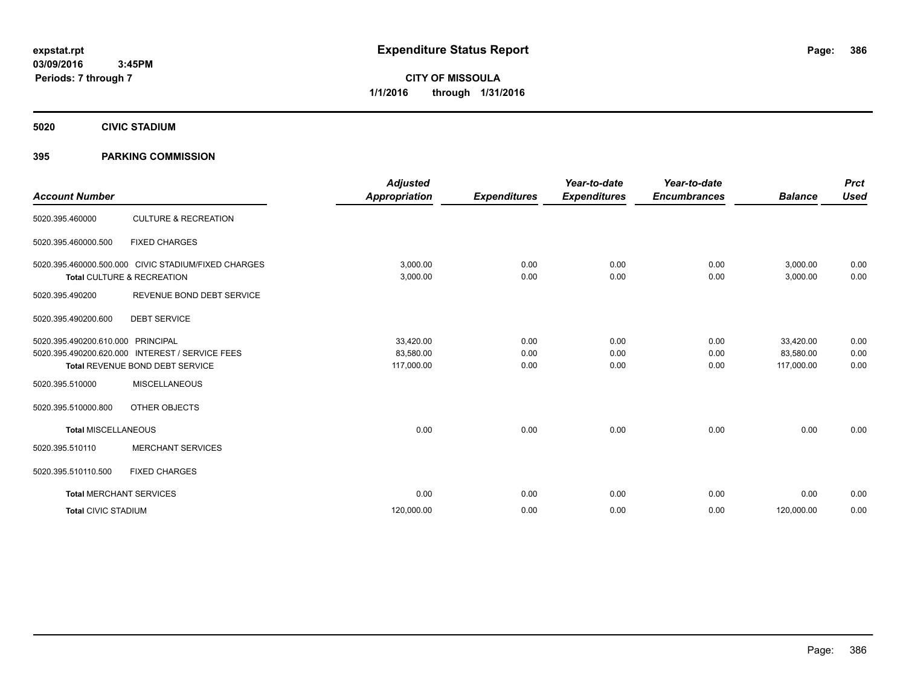**CITY OF MISSOULA 1/1/2016 through 1/31/2016**

**5020 CIVIC STADIUM**

#### **395 PARKING COMMISSION**

| <b>Account Number</b>          |                                                                                                        | <b>Adjusted</b><br><b>Appropriation</b> | <b>Expenditures</b>  | Year-to-date<br><b>Expenditures</b> | Year-to-date<br><b>Encumbrances</b> | <b>Balance</b>                       | <b>Prct</b><br><b>Used</b> |
|--------------------------------|--------------------------------------------------------------------------------------------------------|-----------------------------------------|----------------------|-------------------------------------|-------------------------------------|--------------------------------------|----------------------------|
| 5020.395.460000                | <b>CULTURE &amp; RECREATION</b>                                                                        |                                         |                      |                                     |                                     |                                      |                            |
| 5020.395.460000.500            | <b>FIXED CHARGES</b>                                                                                   |                                         |                      |                                     |                                     |                                      |                            |
|                                | 5020.395.460000.500.000 CIVIC STADIUM/FIXED CHARGES<br>Total CULTURE & RECREATION                      | 3,000.00<br>3,000.00                    | 0.00<br>0.00         | 0.00<br>0.00                        | 0.00<br>0.00                        | 3,000.00<br>3,000.00                 | 0.00<br>0.00               |
| 5020.395.490200                | REVENUE BOND DEBT SERVICE                                                                              |                                         |                      |                                     |                                     |                                      |                            |
| 5020.395.490200.600            | <b>DEBT SERVICE</b>                                                                                    |                                         |                      |                                     |                                     |                                      |                            |
| 5020.395.490200.610.000        | PRINCIPAL<br>5020.395.490200.620.000 INTEREST / SERVICE FEES<br><b>Total REVENUE BOND DEBT SERVICE</b> | 33,420.00<br>83,580.00<br>117,000.00    | 0.00<br>0.00<br>0.00 | 0.00<br>0.00<br>0.00                | 0.00<br>0.00<br>0.00                | 33,420.00<br>83,580.00<br>117,000.00 | 0.00<br>0.00<br>0.00       |
| 5020.395.510000                | <b>MISCELLANEOUS</b>                                                                                   |                                         |                      |                                     |                                     |                                      |                            |
| 5020.395.510000.800            | OTHER OBJECTS                                                                                          |                                         |                      |                                     |                                     |                                      |                            |
| <b>Total MISCELLANEOUS</b>     |                                                                                                        | 0.00                                    | 0.00                 | 0.00                                | 0.00                                | 0.00                                 | 0.00                       |
| 5020.395.510110                | <b>MERCHANT SERVICES</b>                                                                               |                                         |                      |                                     |                                     |                                      |                            |
| 5020.395.510110.500            | <b>FIXED CHARGES</b>                                                                                   |                                         |                      |                                     |                                     |                                      |                            |
| <b>Total MERCHANT SERVICES</b> |                                                                                                        | 0.00                                    | 0.00                 | 0.00                                | 0.00                                | 0.00                                 | 0.00                       |
| <b>Total CIVIC STADIUM</b>     |                                                                                                        | 120,000.00                              | 0.00                 | 0.00                                | 0.00                                | 120,000.00                           | 0.00                       |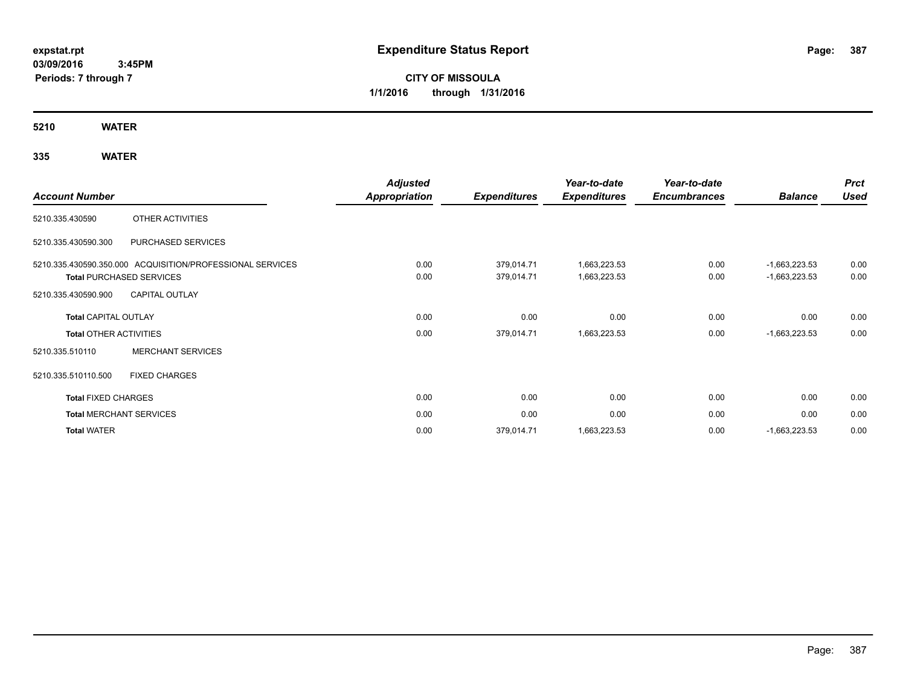# **CITY OF MISSOULA 1/1/2016 through 1/31/2016**

**5210 WATER**

|                               |                                                           | <b>Adjusted</b>      |                     | Year-to-date        | Year-to-date        |                 | <b>Prct</b> |
|-------------------------------|-----------------------------------------------------------|----------------------|---------------------|---------------------|---------------------|-----------------|-------------|
| <b>Account Number</b>         |                                                           | <b>Appropriation</b> | <b>Expenditures</b> | <b>Expenditures</b> | <b>Encumbrances</b> | <b>Balance</b>  | <b>Used</b> |
| 5210.335.430590               | OTHER ACTIVITIES                                          |                      |                     |                     |                     |                 |             |
| 5210.335.430590.300           | PURCHASED SERVICES                                        |                      |                     |                     |                     |                 |             |
|                               | 5210.335.430590.350.000 ACQUISITION/PROFESSIONAL SERVICES | 0.00                 | 379,014.71          | 1,663,223.53        | 0.00                | $-1,663,223.53$ | 0.00        |
|                               | <b>Total PURCHASED SERVICES</b>                           | 0.00                 | 379,014.71          | 1,663,223.53        | 0.00                | $-1,663,223.53$ | 0.00        |
| 5210.335.430590.900           | <b>CAPITAL OUTLAY</b>                                     |                      |                     |                     |                     |                 |             |
| <b>Total CAPITAL OUTLAY</b>   |                                                           | 0.00                 | 0.00                | 0.00                | 0.00                | 0.00            | 0.00        |
| <b>Total OTHER ACTIVITIES</b> |                                                           | 0.00                 | 379,014.71          | 1,663,223.53        | 0.00                | $-1,663,223.53$ | 0.00        |
| 5210.335.510110               | <b>MERCHANT SERVICES</b>                                  |                      |                     |                     |                     |                 |             |
| 5210.335.510110.500           | <b>FIXED CHARGES</b>                                      |                      |                     |                     |                     |                 |             |
| <b>Total FIXED CHARGES</b>    |                                                           | 0.00                 | 0.00                | 0.00                | 0.00                | 0.00            | 0.00        |
|                               | <b>Total MERCHANT SERVICES</b>                            | 0.00                 | 0.00                | 0.00                | 0.00                | 0.00            | 0.00        |
| <b>Total WATER</b>            |                                                           | 0.00                 | 379,014.71          | 1,663,223.53        | 0.00                | $-1,663,223.53$ | 0.00        |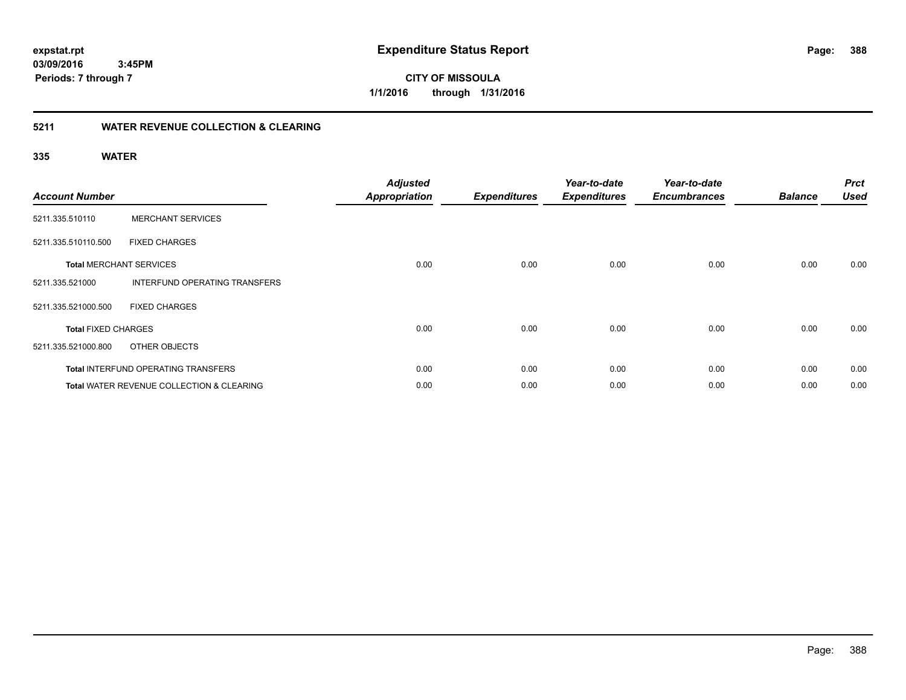**388**

**03/09/2016 3:45PM Periods: 7 through 7**

**CITY OF MISSOULA 1/1/2016 through 1/31/2016**

#### **5211 WATER REVENUE COLLECTION & CLEARING**

| <b>Account Number</b>      |                                                      | <b>Adjusted</b><br><b>Appropriation</b> | <b>Expenditures</b> | Year-to-date<br><b>Expenditures</b> | Year-to-date<br><b>Encumbrances</b> | <b>Balance</b> | <b>Prct</b><br><b>Used</b> |
|----------------------------|------------------------------------------------------|-----------------------------------------|---------------------|-------------------------------------|-------------------------------------|----------------|----------------------------|
| 5211.335.510110            | <b>MERCHANT SERVICES</b>                             |                                         |                     |                                     |                                     |                |                            |
| 5211.335.510110.500        | <b>FIXED CHARGES</b>                                 |                                         |                     |                                     |                                     |                |                            |
|                            | <b>Total MERCHANT SERVICES</b>                       | 0.00                                    | 0.00                | 0.00                                | 0.00                                | 0.00           | 0.00                       |
| 5211.335.521000            | INTERFUND OPERATING TRANSFERS                        |                                         |                     |                                     |                                     |                |                            |
| 5211.335.521000.500        | <b>FIXED CHARGES</b>                                 |                                         |                     |                                     |                                     |                |                            |
| <b>Total FIXED CHARGES</b> |                                                      | 0.00                                    | 0.00                | 0.00                                | 0.00                                | 0.00           | 0.00                       |
| 5211.335.521000.800        | OTHER OBJECTS                                        |                                         |                     |                                     |                                     |                |                            |
|                            | <b>Total INTERFUND OPERATING TRANSFERS</b>           | 0.00                                    | 0.00                | 0.00                                | 0.00                                | 0.00           | 0.00                       |
|                            | <b>Total WATER REVENUE COLLECTION &amp; CLEARING</b> | 0.00                                    | 0.00                | 0.00                                | 0.00                                | 0.00           | 0.00                       |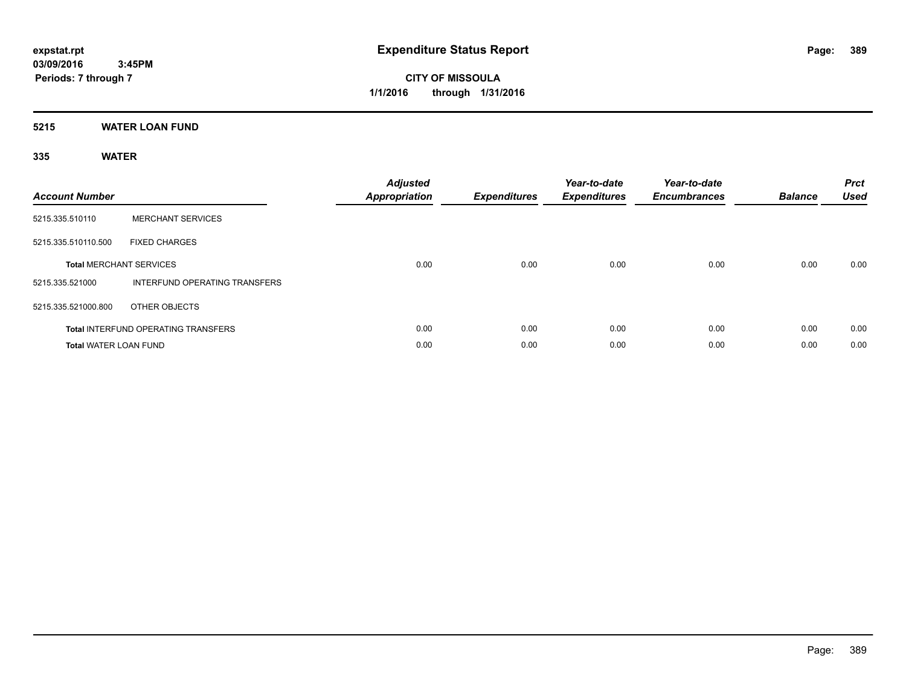**CITY OF MISSOULA 1/1/2016 through 1/31/2016**

**5215 WATER LOAN FUND**

| <b>Account Number</b>        |                                            | <b>Adjusted</b><br><b>Appropriation</b> | <b>Expenditures</b> | Year-to-date<br><b>Expenditures</b> | Year-to-date<br><b>Encumbrances</b> | <b>Balance</b> | <b>Prct</b><br><b>Used</b> |
|------------------------------|--------------------------------------------|-----------------------------------------|---------------------|-------------------------------------|-------------------------------------|----------------|----------------------------|
| 5215.335.510110              | <b>MERCHANT SERVICES</b>                   |                                         |                     |                                     |                                     |                |                            |
| 5215.335.510110.500          | <b>FIXED CHARGES</b>                       |                                         |                     |                                     |                                     |                |                            |
|                              | <b>Total MERCHANT SERVICES</b>             | 0.00                                    | 0.00                | 0.00                                | 0.00                                | 0.00           | 0.00                       |
| 5215.335.521000              | INTERFUND OPERATING TRANSFERS              |                                         |                     |                                     |                                     |                |                            |
| 5215.335.521000.800          | OTHER OBJECTS                              |                                         |                     |                                     |                                     |                |                            |
|                              | <b>Total INTERFUND OPERATING TRANSFERS</b> | 0.00                                    | 0.00                | 0.00                                | 0.00                                | 0.00           | 0.00                       |
| <b>Total WATER LOAN FUND</b> |                                            | 0.00                                    | 0.00                | 0.00                                | 0.00                                | 0.00           | 0.00                       |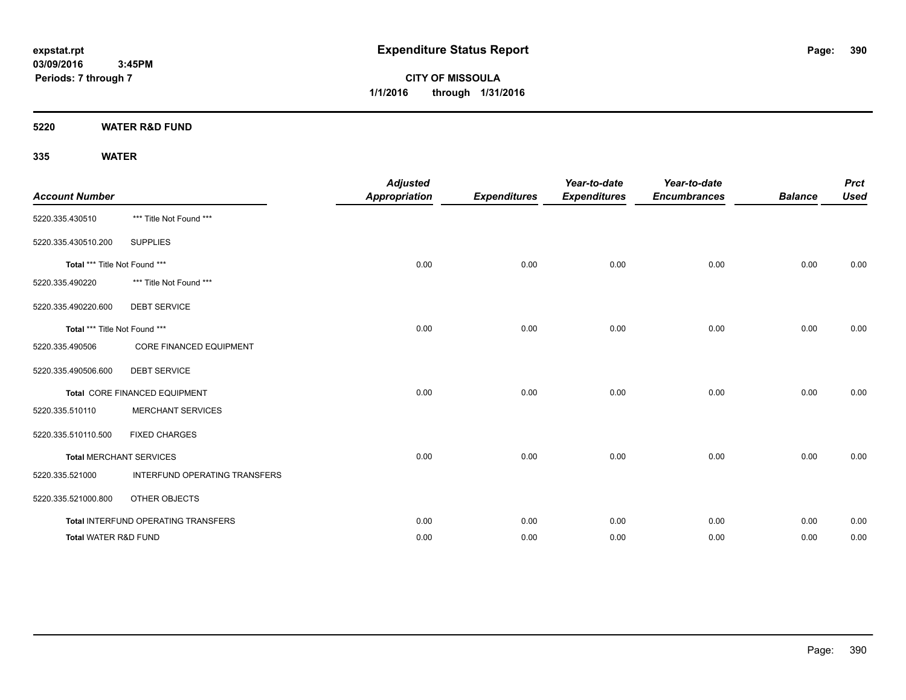**CITY OF MISSOULA 1/1/2016 through 1/31/2016**

**5220 WATER R&D FUND**

| <b>Account Number</b>           |                                     | <b>Adjusted</b><br><b>Appropriation</b> | <b>Expenditures</b> | Year-to-date<br><b>Expenditures</b> | Year-to-date<br><b>Encumbrances</b> | <b>Balance</b> | <b>Prct</b><br><b>Used</b> |
|---------------------------------|-------------------------------------|-----------------------------------------|---------------------|-------------------------------------|-------------------------------------|----------------|----------------------------|
| 5220.335.430510                 | *** Title Not Found ***             |                                         |                     |                                     |                                     |                |                            |
| 5220.335.430510.200             | <b>SUPPLIES</b>                     |                                         |                     |                                     |                                     |                |                            |
| Total *** Title Not Found ***   |                                     | 0.00                                    | 0.00                | 0.00                                | 0.00                                | 0.00           | 0.00                       |
| 5220.335.490220                 | *** Title Not Found ***             |                                         |                     |                                     |                                     |                |                            |
| 5220.335.490220.600             | <b>DEBT SERVICE</b>                 |                                         |                     |                                     |                                     |                |                            |
| Total *** Title Not Found ***   |                                     | 0.00                                    | 0.00                | 0.00                                | 0.00                                | 0.00           | 0.00                       |
| 5220.335.490506                 | <b>CORE FINANCED EQUIPMENT</b>      |                                         |                     |                                     |                                     |                |                            |
| 5220.335.490506.600             | <b>DEBT SERVICE</b>                 |                                         |                     |                                     |                                     |                |                            |
|                                 | Total CORE FINANCED EQUIPMENT       | 0.00                                    | 0.00                | 0.00                                | 0.00                                | 0.00           | 0.00                       |
| 5220.335.510110                 | <b>MERCHANT SERVICES</b>            |                                         |                     |                                     |                                     |                |                            |
| 5220.335.510110.500             | <b>FIXED CHARGES</b>                |                                         |                     |                                     |                                     |                |                            |
|                                 | <b>Total MERCHANT SERVICES</b>      | 0.00                                    | 0.00                | 0.00                                | 0.00                                | 0.00           | 0.00                       |
| 5220.335.521000                 | INTERFUND OPERATING TRANSFERS       |                                         |                     |                                     |                                     |                |                            |
| 5220.335.521000.800             | OTHER OBJECTS                       |                                         |                     |                                     |                                     |                |                            |
|                                 | Total INTERFUND OPERATING TRANSFERS | 0.00                                    | 0.00                | 0.00                                | 0.00                                | 0.00           | 0.00                       |
| <b>Total WATER R&amp;D FUND</b> |                                     | 0.00                                    | 0.00                | 0.00                                | 0.00                                | 0.00           | 0.00                       |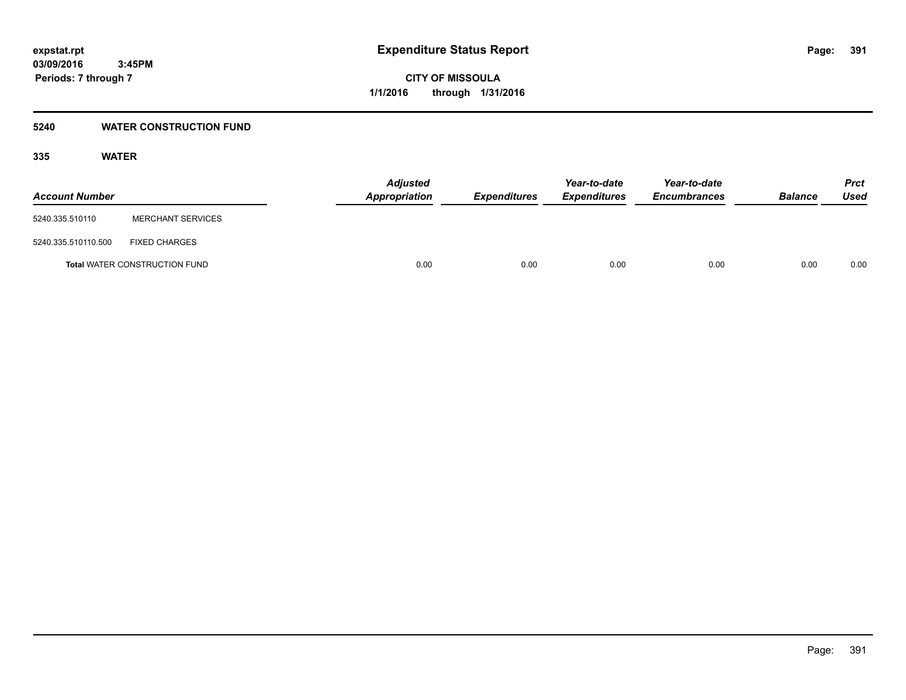#### **5240 WATER CONSTRUCTION FUND**

| <b>Account Number</b> |                                      | <b>Adjusted</b><br><b>Appropriation</b> | <b>Expenditures</b> | Year-to-date<br><b>Expenditures</b> | Year-to-date<br><b>Encumbrances</b> | <b>Balance</b> | Prct<br><b>Used</b> |
|-----------------------|--------------------------------------|-----------------------------------------|---------------------|-------------------------------------|-------------------------------------|----------------|---------------------|
| 5240.335.510110       | <b>MERCHANT SERVICES</b>             |                                         |                     |                                     |                                     |                |                     |
| 5240.335.510110.500   | <b>FIXED CHARGES</b>                 |                                         |                     |                                     |                                     |                |                     |
|                       | <b>Total WATER CONSTRUCTION FUND</b> | 0.00                                    | 0.00                | 0.00                                | 0.00                                | 0.00           | 0.00                |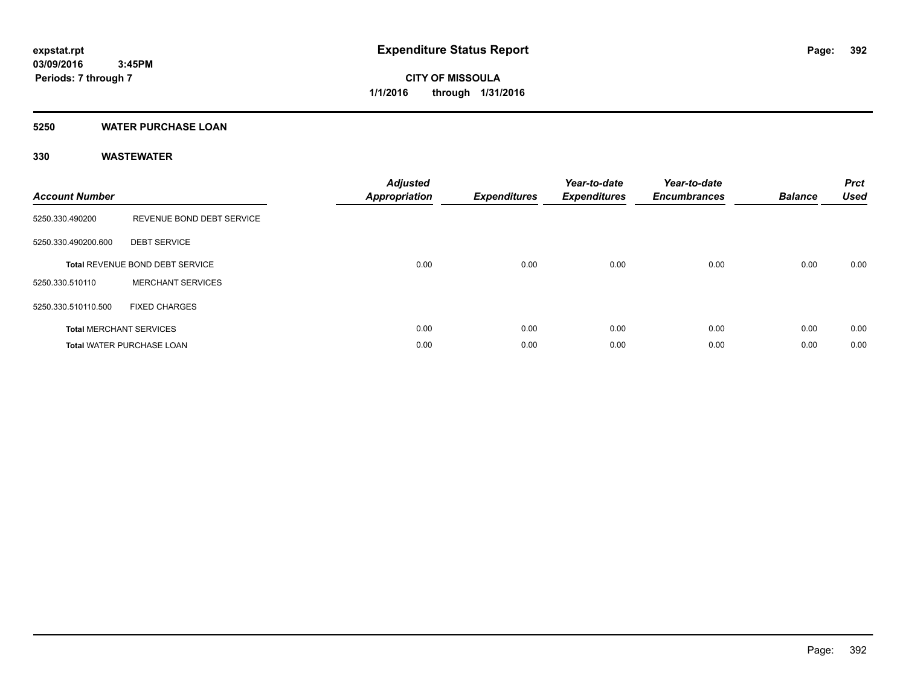#### **5250 WATER PURCHASE LOAN**

| <b>Account Number</b> |                                        | <b>Adjusted</b><br><b>Appropriation</b> | <b>Expenditures</b> | Year-to-date<br><b>Expenditures</b> | Year-to-date<br><b>Encumbrances</b> | <b>Balance</b> | <b>Prct</b><br><b>Used</b> |
|-----------------------|----------------------------------------|-----------------------------------------|---------------------|-------------------------------------|-------------------------------------|----------------|----------------------------|
| 5250.330.490200       | REVENUE BOND DEBT SERVICE              |                                         |                     |                                     |                                     |                |                            |
| 5250.330.490200.600   | <b>DEBT SERVICE</b>                    |                                         |                     |                                     |                                     |                |                            |
|                       | <b>Total REVENUE BOND DEBT SERVICE</b> | 0.00                                    | 0.00                | 0.00                                | 0.00                                | 0.00           | 0.00                       |
| 5250.330.510110       | <b>MERCHANT SERVICES</b>               |                                         |                     |                                     |                                     |                |                            |
| 5250.330.510110.500   | <b>FIXED CHARGES</b>                   |                                         |                     |                                     |                                     |                |                            |
|                       | <b>Total MERCHANT SERVICES</b>         | 0.00                                    | 0.00                | 0.00                                | 0.00                                | 0.00           | 0.00                       |
|                       | <b>Total WATER PURCHASE LOAN</b>       | 0.00                                    | 0.00                | 0.00                                | 0.00                                | 0.00           | 0.00                       |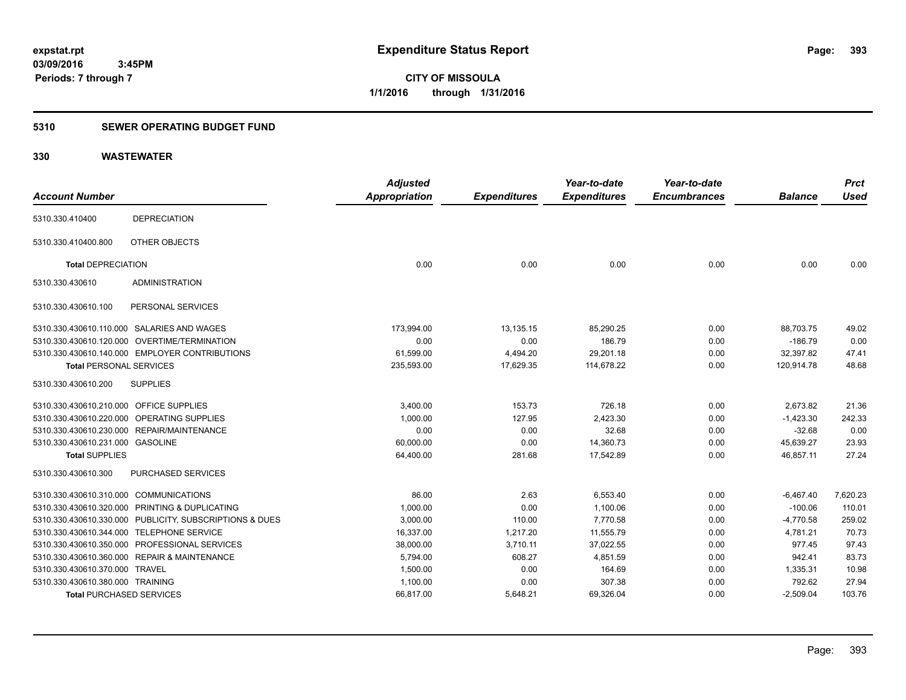### **5310 SEWER OPERATING BUDGET FUND**

| <b>Account Number</b>                   |                                                         | <b>Adjusted</b><br>Appropriation | <b>Expenditures</b> | Year-to-date<br><b>Expenditures</b> | Year-to-date<br><b>Encumbrances</b> | <b>Balance</b> | <b>Prct</b><br>Used |
|-----------------------------------------|---------------------------------------------------------|----------------------------------|---------------------|-------------------------------------|-------------------------------------|----------------|---------------------|
|                                         |                                                         |                                  |                     |                                     |                                     |                |                     |
| 5310.330.410400                         | <b>DEPRECIATION</b>                                     |                                  |                     |                                     |                                     |                |                     |
| 5310.330.410400.800                     | OTHER OBJECTS                                           |                                  |                     |                                     |                                     |                |                     |
| <b>Total DEPRECIATION</b>               |                                                         | 0.00                             | 0.00                | 0.00                                | 0.00                                | 0.00           | 0.00                |
| 5310.330.430610                         | <b>ADMINISTRATION</b>                                   |                                  |                     |                                     |                                     |                |                     |
| 5310.330.430610.100                     | PERSONAL SERVICES                                       |                                  |                     |                                     |                                     |                |                     |
|                                         | 5310.330.430610.110.000 SALARIES AND WAGES              | 173.994.00                       | 13,135.15           | 85,290.25                           | 0.00                                | 88,703.75      | 49.02               |
|                                         | 5310.330.430610.120.000 OVERTIME/TERMINATION            | 0.00                             | 0.00                | 186.79                              | 0.00                                | $-186.79$      | 0.00                |
|                                         | 5310.330.430610.140.000 EMPLOYER CONTRIBUTIONS          | 61,599.00                        | 4,494.20            | 29,201.18                           | 0.00                                | 32,397.82      | 47.41               |
| <b>Total PERSONAL SERVICES</b>          |                                                         | 235,593.00                       | 17,629.35           | 114,678.22                          | 0.00                                | 120,914.78     | 48.68               |
| 5310.330.430610.200                     | <b>SUPPLIES</b>                                         |                                  |                     |                                     |                                     |                |                     |
| 5310.330.430610.210.000 OFFICE SUPPLIES |                                                         | 3,400.00                         | 153.73              | 726.18                              | 0.00                                | 2,673.82       | 21.36               |
|                                         | 5310.330.430610.220.000 OPERATING SUPPLIES              | 1,000.00                         | 127.95              | 2,423.30                            | 0.00                                | $-1,423.30$    | 242.33              |
|                                         | 5310.330.430610.230.000 REPAIR/MAINTENANCE              | 0.00                             | 0.00                | 32.68                               | 0.00                                | $-32.68$       | 0.00                |
| 5310.330.430610.231.000 GASOLINE        |                                                         | 60,000.00                        | 0.00                | 14,360.73                           | 0.00                                | 45,639.27      | 23.93               |
| <b>Total SUPPLIES</b>                   |                                                         | 64,400.00                        | 281.68              | 17,542.89                           | 0.00                                | 46,857.11      | 27.24               |
| 5310.330.430610.300                     | PURCHASED SERVICES                                      |                                  |                     |                                     |                                     |                |                     |
| 5310.330.430610.310.000 COMMUNICATIONS  |                                                         | 86.00                            | 2.63                | 6,553.40                            | 0.00                                | $-6,467.40$    | 7,620.23            |
|                                         | 5310.330.430610.320.000 PRINTING & DUPLICATING          | 1,000.00                         | 0.00                | 1,100.06                            | 0.00                                | $-100.06$      | 110.01              |
|                                         | 5310.330.430610.330.000 PUBLICITY, SUBSCRIPTIONS & DUES | 3,000.00                         | 110.00              | 7,770.58                            | 0.00                                | $-4,770.58$    | 259.02              |
|                                         | 5310.330.430610.344.000 TELEPHONE SERVICE               | 16.337.00                        | 1,217.20            | 11,555.79                           | 0.00                                | 4,781.21       | 70.73               |
|                                         | 5310.330.430610.350.000 PROFESSIONAL SERVICES           | 38,000.00                        | 3,710.11            | 37,022.55                           | 0.00                                | 977.45         | 97.43               |
|                                         | 5310.330.430610.360.000 REPAIR & MAINTENANCE            | 5,794.00                         | 608.27              | 4,851.59                            | 0.00                                | 942.41         | 83.73               |
| 5310.330.430610.370.000 TRAVEL          |                                                         | 1,500.00                         | 0.00                | 164.69                              | 0.00                                | 1,335.31       | 10.98               |
| 5310.330.430610.380.000 TRAINING        |                                                         | 1,100.00                         | 0.00                | 307.38                              | 0.00                                | 792.62         | 27.94               |
| <b>Total PURCHASED SERVICES</b>         |                                                         | 66,817.00                        | 5,648.21            | 69,326.04                           | 0.00                                | $-2,509.04$    | 103.76              |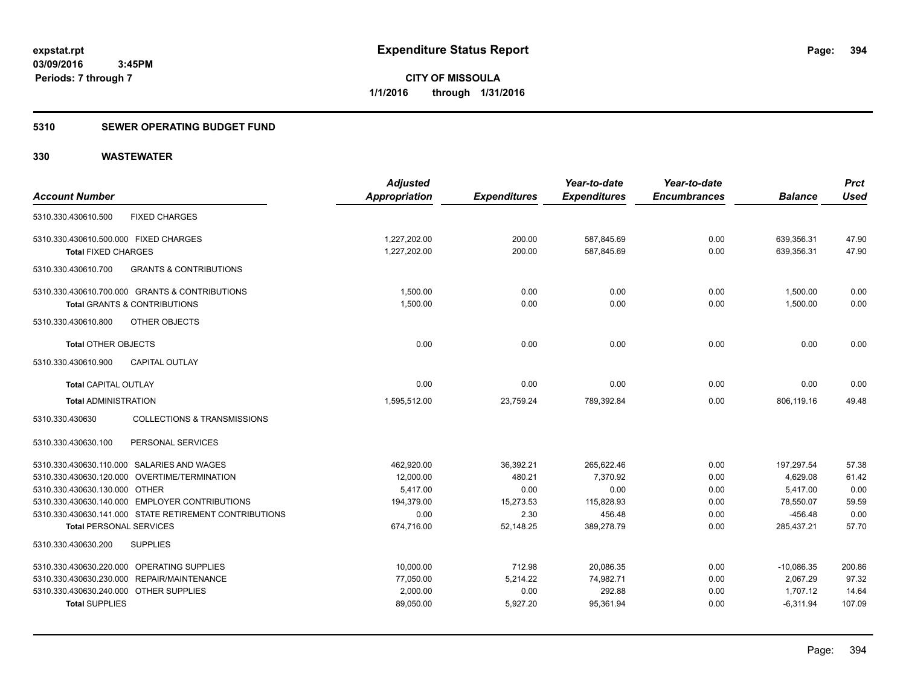#### **5310 SEWER OPERATING BUDGET FUND**

| <b>Account Number</b>                 |                                                        | <b>Adjusted</b><br><b>Appropriation</b> | <b>Expenditures</b> | Year-to-date<br><b>Expenditures</b> | Year-to-date<br><b>Encumbrances</b> | <b>Balance</b> | <b>Prct</b><br><b>Used</b> |
|---------------------------------------|--------------------------------------------------------|-----------------------------------------|---------------------|-------------------------------------|-------------------------------------|----------------|----------------------------|
| 5310.330.430610.500                   | <b>FIXED CHARGES</b>                                   |                                         |                     |                                     |                                     |                |                            |
| 5310.330.430610.500.000 FIXED CHARGES |                                                        | 1,227,202.00                            | 200.00              | 587,845.69                          | 0.00                                | 639,356.31     | 47.90                      |
| <b>Total FIXED CHARGES</b>            |                                                        | 1,227,202.00                            | 200.00              | 587,845.69                          | 0.00                                | 639,356.31     | 47.90                      |
| 5310.330.430610.700                   | <b>GRANTS &amp; CONTRIBUTIONS</b>                      |                                         |                     |                                     |                                     |                |                            |
|                                       | 5310.330.430610.700.000 GRANTS & CONTRIBUTIONS         | 1,500.00                                | 0.00                | 0.00                                | 0.00                                | 1,500.00       | 0.00                       |
|                                       | <b>Total GRANTS &amp; CONTRIBUTIONS</b>                | 1,500.00                                | 0.00                | 0.00                                | 0.00                                | 1,500.00       | 0.00                       |
| 5310.330.430610.800                   | OTHER OBJECTS                                          |                                         |                     |                                     |                                     |                |                            |
| <b>Total OTHER OBJECTS</b>            |                                                        | 0.00                                    | 0.00                | 0.00                                | 0.00                                | 0.00           | 0.00                       |
| 5310.330.430610.900                   | CAPITAL OUTLAY                                         |                                         |                     |                                     |                                     |                |                            |
| <b>Total CAPITAL OUTLAY</b>           |                                                        | 0.00                                    | 0.00                | 0.00                                | 0.00                                | 0.00           | 0.00                       |
| <b>Total ADMINISTRATION</b>           |                                                        | 1,595,512.00                            | 23,759.24           | 789,392.84                          | 0.00                                | 806,119.16     | 49.48                      |
| 5310.330.430630                       | <b>COLLECTIONS &amp; TRANSMISSIONS</b>                 |                                         |                     |                                     |                                     |                |                            |
| 5310.330.430630.100                   | PERSONAL SERVICES                                      |                                         |                     |                                     |                                     |                |                            |
|                                       | 5310.330.430630.110.000 SALARIES AND WAGES             | 462,920.00                              | 36,392.21           | 265,622.46                          | 0.00                                | 197,297.54     | 57.38                      |
|                                       | 5310.330.430630.120.000 OVERTIME/TERMINATION           | 12,000.00                               | 480.21              | 7,370.92                            | 0.00                                | 4,629.08       | 61.42                      |
| 5310.330.430630.130.000 OTHER         |                                                        | 5,417.00                                | 0.00                | 0.00                                | 0.00                                | 5,417.00       | 0.00                       |
|                                       | 5310.330.430630.140.000 EMPLOYER CONTRIBUTIONS         | 194.379.00                              | 15,273.53           | 115.828.93                          | 0.00                                | 78,550.07      | 59.59                      |
|                                       | 5310.330.430630.141.000 STATE RETIREMENT CONTRIBUTIONS | 0.00                                    | 2.30                | 456.48                              | 0.00                                | $-456.48$      | 0.00                       |
| <b>Total PERSONAL SERVICES</b>        |                                                        | 674,716.00                              | 52,148.25           | 389,278.79                          | 0.00                                | 285,437.21     | 57.70                      |
| 5310.330.430630.200                   | <b>SUPPLIES</b>                                        |                                         |                     |                                     |                                     |                |                            |
|                                       | 5310.330.430630.220.000 OPERATING SUPPLIES             | 10,000.00                               | 712.98              | 20,086.35                           | 0.00                                | $-10,086.35$   | 200.86                     |
|                                       | 5310.330.430630.230.000 REPAIR/MAINTENANCE             | 77,050.00                               | 5,214.22            | 74,982.71                           | 0.00                                | 2,067.29       | 97.32                      |
| 5310.330.430630.240.000               | <b>OTHER SUPPLIES</b>                                  | 2,000.00                                | 0.00                | 292.88                              | 0.00                                | 1,707.12       | 14.64                      |
| <b>Total SUPPLIES</b>                 |                                                        | 89,050.00                               | 5,927.20            | 95,361.94                           | 0.00                                | $-6,311.94$    | 107.09                     |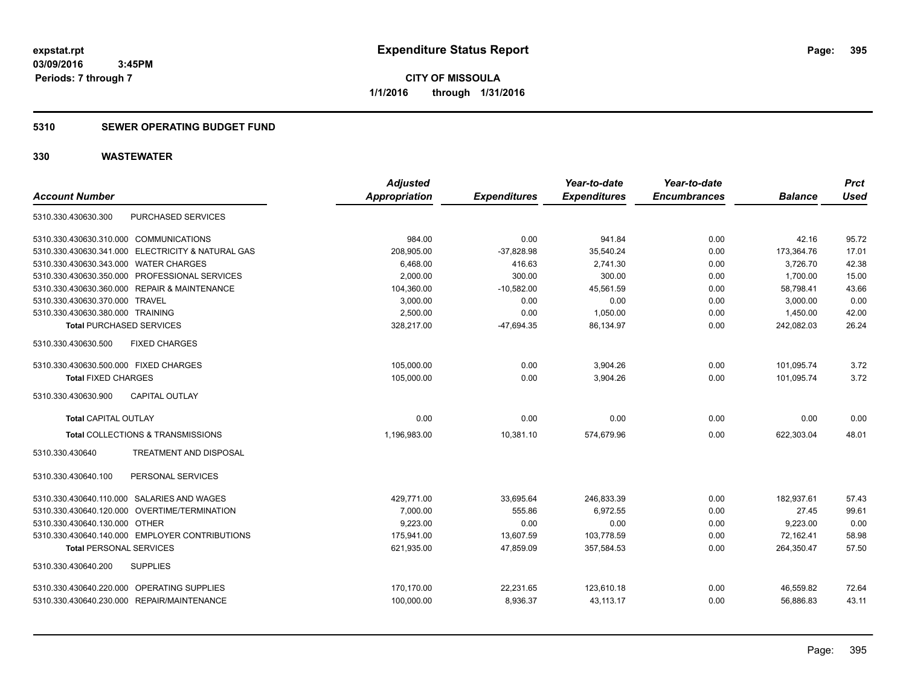**CITY OF MISSOULA 1/1/2016 through 1/31/2016**

#### **5310 SEWER OPERATING BUDGET FUND**

| <b>Account Number</b>                             | <b>Adjusted</b><br><b>Appropriation</b> | <b>Expenditures</b> | Year-to-date<br><b>Expenditures</b> | Year-to-date<br><b>Encumbrances</b> | <b>Balance</b> | <b>Prct</b><br><b>Used</b> |
|---------------------------------------------------|-----------------------------------------|---------------------|-------------------------------------|-------------------------------------|----------------|----------------------------|
| PURCHASED SERVICES<br>5310.330.430630.300         |                                         |                     |                                     |                                     |                |                            |
| 5310.330.430630.310.000 COMMUNICATIONS            | 984.00                                  | 0.00                | 941.84                              | 0.00                                | 42.16          | 95.72                      |
| 5310.330.430630.341.000 ELECTRICITY & NATURAL GAS | 208,905.00                              | $-37,828.98$        | 35,540.24                           | 0.00                                | 173,364.76     | 17.01                      |
| 5310.330.430630.343.000 WATER CHARGES             | 6,468.00                                | 416.63              | 2,741.30                            | 0.00                                | 3,726.70       | 42.38                      |
| 5310.330.430630.350.000 PROFESSIONAL SERVICES     | 2,000.00                                | 300.00              | 300.00                              | 0.00                                | 1,700.00       | 15.00                      |
| 5310.330.430630.360.000 REPAIR & MAINTENANCE      | 104,360.00                              | $-10,582.00$        | 45.561.59                           | 0.00                                | 58,798.41      | 43.66                      |
| 5310.330.430630.370.000 TRAVEL                    | 3,000.00                                | 0.00                | 0.00                                | 0.00                                | 3.000.00       | 0.00                       |
| 5310.330.430630.380.000 TRAINING                  | 2,500.00                                | 0.00                | 1,050.00                            | 0.00                                | 1,450.00       | 42.00                      |
| <b>Total PURCHASED SERVICES</b>                   | 328,217.00                              | $-47,694.35$        | 86,134.97                           | 0.00                                | 242,082.03     | 26.24                      |
| 5310.330.430630.500<br><b>FIXED CHARGES</b>       |                                         |                     |                                     |                                     |                |                            |
| 5310.330.430630.500.000 FIXED CHARGES             | 105,000.00                              | 0.00                | 3,904.26                            | 0.00                                | 101,095.74     | 3.72                       |
| <b>Total FIXED CHARGES</b>                        | 105,000.00                              | 0.00                | 3,904.26                            | 0.00                                | 101,095.74     | 3.72                       |
| <b>CAPITAL OUTLAY</b><br>5310.330.430630.900      |                                         |                     |                                     |                                     |                |                            |
| <b>Total CAPITAL OUTLAY</b>                       | 0.00                                    | 0.00                | 0.00                                | 0.00                                | 0.00           | 0.00                       |
| Total COLLECTIONS & TRANSMISSIONS                 | 1,196,983.00                            | 10,381.10           | 574,679.96                          | 0.00                                | 622,303.04     | 48.01                      |
| 5310.330.430640<br><b>TREATMENT AND DISPOSAL</b>  |                                         |                     |                                     |                                     |                |                            |
| PERSONAL SERVICES<br>5310.330.430640.100          |                                         |                     |                                     |                                     |                |                            |
| 5310.330.430640.110.000 SALARIES AND WAGES        | 429,771.00                              | 33,695.64           | 246,833.39                          | 0.00                                | 182,937.61     | 57.43                      |
| 5310.330.430640.120.000 OVERTIME/TERMINATION      | 7,000.00                                | 555.86              | 6,972.55                            | 0.00                                | 27.45          | 99.61                      |
| 5310.330.430640.130.000 OTHER                     | 9.223.00                                | 0.00                | 0.00                                | 0.00                                | 9,223.00       | 0.00                       |
| 5310.330.430640.140.000 EMPLOYER CONTRIBUTIONS    | 175,941.00                              | 13,607.59           | 103,778.59                          | 0.00                                | 72,162.41      | 58.98                      |
| <b>Total PERSONAL SERVICES</b>                    | 621,935.00                              | 47,859.09           | 357,584.53                          | 0.00                                | 264,350.47     | 57.50                      |
| 5310.330.430640.200<br><b>SUPPLIES</b>            |                                         |                     |                                     |                                     |                |                            |
| 5310.330.430640.220.000 OPERATING SUPPLIES        | 170,170.00                              | 22,231.65           | 123,610.18                          | 0.00                                | 46,559.82      | 72.64                      |
| 5310.330.430640.230.000 REPAIR/MAINTENANCE        | 100,000.00                              | 8,936.37            | 43,113.17                           | 0.00                                | 56,886.83      | 43.11                      |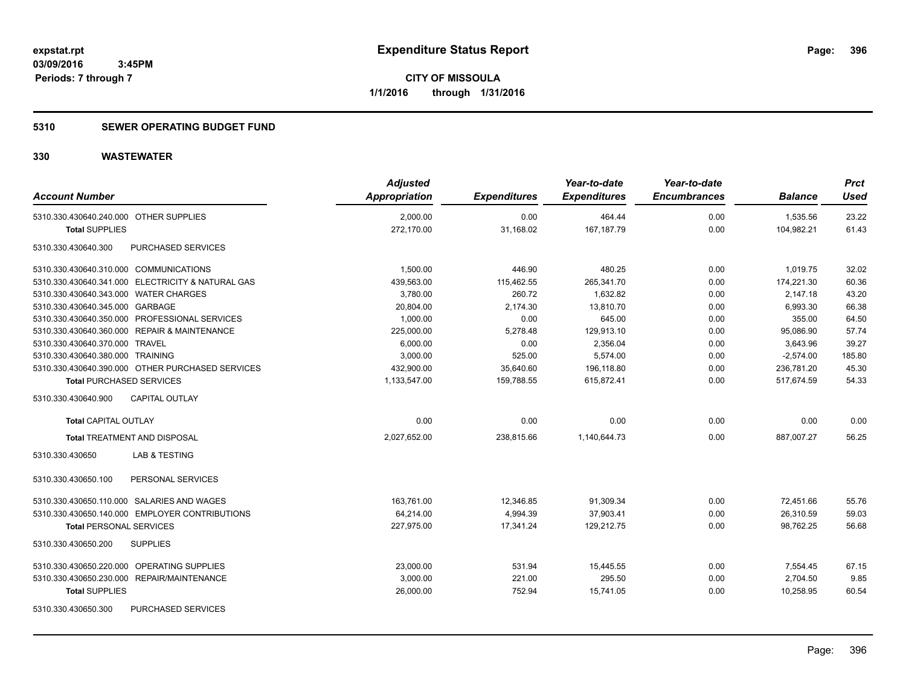#### **5310 SEWER OPERATING BUDGET FUND**

| <b>Account Number</b>                             | <b>Adjusted</b><br>Appropriation | <b>Expenditures</b> | Year-to-date<br><b>Expenditures</b> | Year-to-date<br><b>Encumbrances</b> | <b>Balance</b> | <b>Prct</b><br>Used |
|---------------------------------------------------|----------------------------------|---------------------|-------------------------------------|-------------------------------------|----------------|---------------------|
| 5310.330.430640.240.000 OTHER SUPPLIES            | 2,000.00                         | 0.00                | 464.44                              | 0.00                                | 1,535.56       | 23.22               |
| <b>Total SUPPLIES</b>                             | 272,170.00                       | 31,168.02           | 167, 187. 79                        | 0.00                                | 104,982.21     | 61.43               |
| 5310.330.430640.300<br>PURCHASED SERVICES         |                                  |                     |                                     |                                     |                |                     |
| 5310.330.430640.310.000 COMMUNICATIONS            | 1,500.00                         | 446.90              | 480.25                              | 0.00                                | 1,019.75       | 32.02               |
| 5310.330.430640.341.000 ELECTRICITY & NATURAL GAS | 439,563.00                       | 115,462.55          | 265,341.70                          | 0.00                                | 174,221.30     | 60.36               |
| 5310.330.430640.343.000 WATER CHARGES             | 3,780.00                         | 260.72              | 1,632.82                            | 0.00                                | 2,147.18       | 43.20               |
| 5310.330.430640.345.000 GARBAGE                   | 20,804.00                        | 2,174.30            | 13,810.70                           | 0.00                                | 6,993.30       | 66.38               |
| 5310.330.430640.350.000 PROFESSIONAL SERVICES     | 1,000.00                         | 0.00                | 645.00                              | 0.00                                | 355.00         | 64.50               |
| 5310.330.430640.360.000 REPAIR & MAINTENANCE      | 225,000.00                       | 5,278.48            | 129,913.10                          | 0.00                                | 95,086.90      | 57.74               |
| 5310.330.430640.370.000 TRAVEL                    | 6,000.00                         | 0.00                | 2,356.04                            | 0.00                                | 3,643.96       | 39.27               |
| 5310.330.430640.380.000 TRAINING                  | 3,000.00                         | 525.00              | 5,574.00                            | 0.00                                | $-2,574.00$    | 185.80              |
| 5310.330.430640.390.000 OTHER PURCHASED SERVICES  | 432,900.00                       | 35,640.60           | 196,118.80                          | 0.00                                | 236,781.20     | 45.30               |
| <b>Total PURCHASED SERVICES</b>                   | 1,133,547.00                     | 159,788.55          | 615,872.41                          | 0.00                                | 517,674.59     | 54.33               |
| 5310.330.430640.900<br><b>CAPITAL OUTLAY</b>      |                                  |                     |                                     |                                     |                |                     |
| <b>Total CAPITAL OUTLAY</b>                       | 0.00                             | 0.00                | 0.00                                | 0.00                                | 0.00           | 0.00                |
| <b>Total TREATMENT AND DISPOSAL</b>               | 2,027,652.00                     | 238,815.66          | 1,140,644.73                        | 0.00                                | 887,007.27     | 56.25               |
| <b>LAB &amp; TESTING</b><br>5310.330.430650       |                                  |                     |                                     |                                     |                |                     |
| PERSONAL SERVICES<br>5310.330.430650.100          |                                  |                     |                                     |                                     |                |                     |
| 5310.330.430650.110.000 SALARIES AND WAGES        | 163,761.00                       | 12,346.85           | 91,309.34                           | 0.00                                | 72,451.66      | 55.76               |
| 5310.330.430650.140.000 EMPLOYER CONTRIBUTIONS    | 64,214.00                        | 4,994.39            | 37,903.41                           | 0.00                                | 26,310.59      | 59.03               |
| <b>Total PERSONAL SERVICES</b>                    | 227,975.00                       | 17,341.24           | 129,212.75                          | 0.00                                | 98,762.25      | 56.68               |
| 5310.330.430650.200<br><b>SUPPLIES</b>            |                                  |                     |                                     |                                     |                |                     |
| 5310.330.430650.220.000 OPERATING SUPPLIES        | 23,000.00                        | 531.94              | 15,445.55                           | 0.00                                | 7,554.45       | 67.15               |
| 5310.330.430650.230.000 REPAIR/MAINTENANCE        | 3,000.00                         | 221.00              | 295.50                              | 0.00                                | 2,704.50       | 9.85                |
| <b>Total SUPPLIES</b>                             | 26,000.00                        | 752.94              | 15,741.05                           | 0.00                                | 10,258.95      | 60.54               |
| 5310.330.430650.300<br>PURCHASED SERVICES         |                                  |                     |                                     |                                     |                |                     |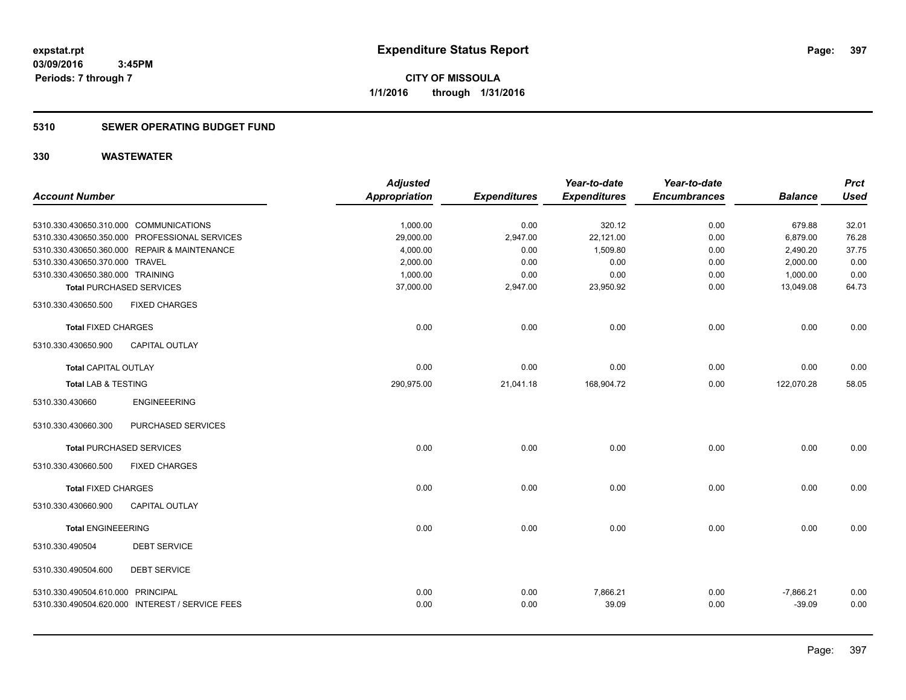### **5310 SEWER OPERATING BUDGET FUND**

|                                   |                                                 | <b>Adjusted</b>      |                     | Year-to-date        | Year-to-date        |                | <b>Prct</b> |
|-----------------------------------|-------------------------------------------------|----------------------|---------------------|---------------------|---------------------|----------------|-------------|
| <b>Account Number</b>             |                                                 | <b>Appropriation</b> | <b>Expenditures</b> | <b>Expenditures</b> | <b>Encumbrances</b> | <b>Balance</b> | <b>Used</b> |
|                                   |                                                 |                      |                     |                     |                     |                |             |
|                                   | 5310.330.430650.310.000 COMMUNICATIONS          | 1,000.00             | 0.00                | 320.12              | 0.00                | 679.88         | 32.01       |
|                                   | 5310.330.430650.350.000 PROFESSIONAL SERVICES   | 29,000.00            | 2,947.00            | 22,121.00           | 0.00                | 6,879.00       | 76.28       |
|                                   | 5310.330.430650.360.000 REPAIR & MAINTENANCE    | 4,000.00             | 0.00                | 1,509.80            | 0.00                | 2,490.20       | 37.75       |
| 5310.330.430650.370.000 TRAVEL    |                                                 | 2,000.00             | 0.00                | 0.00                | 0.00                | 2,000.00       | 0.00        |
| 5310.330.430650.380.000 TRAINING  |                                                 | 1,000.00             | 0.00                | 0.00                | 0.00                | 1,000.00       | 0.00        |
|                                   | <b>Total PURCHASED SERVICES</b>                 | 37,000.00            | 2,947.00            | 23,950.92           | 0.00                | 13,049.08      | 64.73       |
| 5310.330.430650.500               | <b>FIXED CHARGES</b>                            |                      |                     |                     |                     |                |             |
| <b>Total FIXED CHARGES</b>        |                                                 | 0.00                 | 0.00                | 0.00                | 0.00                | 0.00           | 0.00        |
| 5310.330.430650.900               | <b>CAPITAL OUTLAY</b>                           |                      |                     |                     |                     |                |             |
| <b>Total CAPITAL OUTLAY</b>       |                                                 | 0.00                 | 0.00                | 0.00                | 0.00                | 0.00           | 0.00        |
| <b>Total LAB &amp; TESTING</b>    |                                                 | 290,975.00           | 21,041.18           | 168,904.72          | 0.00                | 122,070.28     | 58.05       |
| 5310.330.430660                   | <b>ENGINEEERING</b>                             |                      |                     |                     |                     |                |             |
| 5310.330.430660.300               | PURCHASED SERVICES                              |                      |                     |                     |                     |                |             |
|                                   | <b>Total PURCHASED SERVICES</b>                 | 0.00                 | 0.00                | 0.00                | 0.00                | 0.00           | 0.00        |
| 5310.330.430660.500               | <b>FIXED CHARGES</b>                            |                      |                     |                     |                     |                |             |
| <b>Total FIXED CHARGES</b>        |                                                 | 0.00                 | 0.00                | 0.00                | 0.00                | 0.00           | 0.00        |
| 5310.330.430660.900               | <b>CAPITAL OUTLAY</b>                           |                      |                     |                     |                     |                |             |
| <b>Total ENGINEEERING</b>         |                                                 | 0.00                 | 0.00                | 0.00                | 0.00                | 0.00           | 0.00        |
| 5310.330.490504                   | <b>DEBT SERVICE</b>                             |                      |                     |                     |                     |                |             |
| 5310.330.490504.600               | <b>DEBT SERVICE</b>                             |                      |                     |                     |                     |                |             |
| 5310.330.490504.610.000 PRINCIPAL |                                                 | 0.00                 | 0.00                | 7,866.21            | 0.00                | $-7,866.21$    | 0.00        |
|                                   | 5310.330.490504.620.000 INTEREST / SERVICE FEES | 0.00                 | 0.00                | 39.09               | 0.00                | $-39.09$       | 0.00        |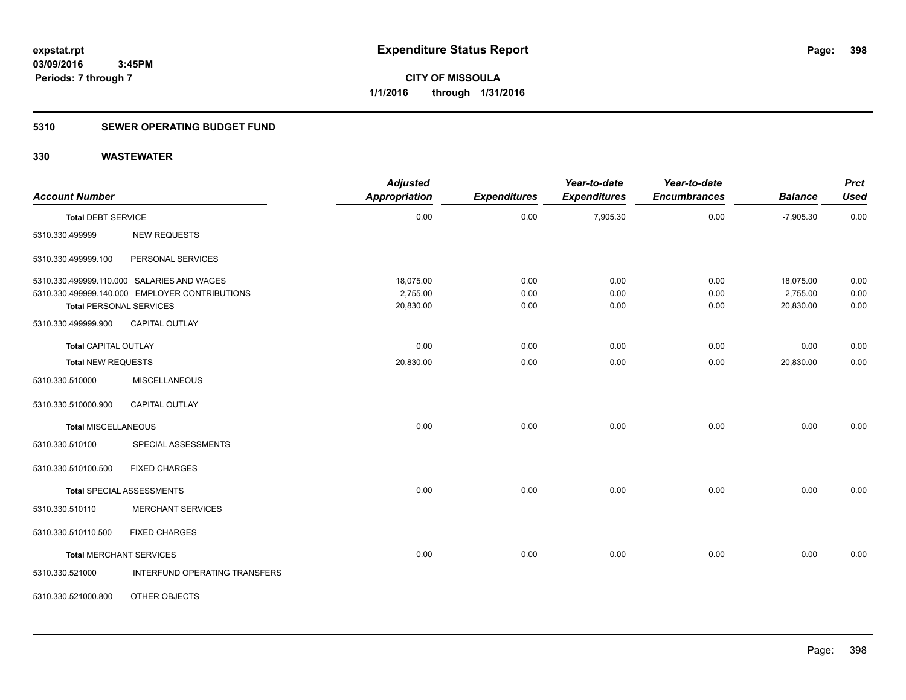### **5310 SEWER OPERATING BUDGET FUND**

| <b>Account Number</b>          |                                                | <b>Adjusted</b><br>Appropriation | <b>Expenditures</b> | Year-to-date<br><b>Expenditures</b> | Year-to-date<br><b>Encumbrances</b> | <b>Balance</b> | <b>Prct</b><br><b>Used</b> |
|--------------------------------|------------------------------------------------|----------------------------------|---------------------|-------------------------------------|-------------------------------------|----------------|----------------------------|
|                                |                                                |                                  |                     |                                     |                                     |                |                            |
| <b>Total DEBT SERVICE</b>      |                                                | 0.00                             | 0.00                | 7,905.30                            | 0.00                                | $-7,905.30$    | 0.00                       |
| 5310.330.499999                | <b>NEW REQUESTS</b>                            |                                  |                     |                                     |                                     |                |                            |
| 5310.330.499999.100            | PERSONAL SERVICES                              |                                  |                     |                                     |                                     |                |                            |
|                                | 5310.330.499999.110.000 SALARIES AND WAGES     | 18,075.00                        | 0.00                | 0.00                                | 0.00                                | 18,075.00      | 0.00                       |
|                                | 5310.330.499999.140.000 EMPLOYER CONTRIBUTIONS | 2,755.00                         | 0.00                | 0.00                                | 0.00                                | 2,755.00       | 0.00                       |
| <b>Total PERSONAL SERVICES</b> |                                                | 20,830.00                        | 0.00                | 0.00                                | 0.00                                | 20,830.00      | 0.00                       |
| 5310.330.499999.900            | <b>CAPITAL OUTLAY</b>                          |                                  |                     |                                     |                                     |                |                            |
| <b>Total CAPITAL OUTLAY</b>    |                                                | 0.00                             | 0.00                | 0.00                                | 0.00                                | 0.00           | 0.00                       |
| Total NEW REQUESTS             |                                                | 20,830.00                        | 0.00                | 0.00                                | 0.00                                | 20,830.00      | 0.00                       |
| 5310.330.510000                | <b>MISCELLANEOUS</b>                           |                                  |                     |                                     |                                     |                |                            |
| 5310.330.510000.900            | <b>CAPITAL OUTLAY</b>                          |                                  |                     |                                     |                                     |                |                            |
| <b>Total MISCELLANEOUS</b>     |                                                | 0.00                             | 0.00                | 0.00                                | 0.00                                | 0.00           | 0.00                       |
| 5310.330.510100                | SPECIAL ASSESSMENTS                            |                                  |                     |                                     |                                     |                |                            |
| 5310.330.510100.500            | <b>FIXED CHARGES</b>                           |                                  |                     |                                     |                                     |                |                            |
|                                | <b>Total SPECIAL ASSESSMENTS</b>               | 0.00                             | 0.00                | 0.00                                | 0.00                                | 0.00           | 0.00                       |
| 5310.330.510110                | <b>MERCHANT SERVICES</b>                       |                                  |                     |                                     |                                     |                |                            |
| 5310.330.510110.500            | <b>FIXED CHARGES</b>                           |                                  |                     |                                     |                                     |                |                            |
| <b>Total MERCHANT SERVICES</b> |                                                | 0.00                             | 0.00                | 0.00                                | 0.00                                | 0.00           | 0.00                       |
| 5310.330.521000                | INTERFUND OPERATING TRANSFERS                  |                                  |                     |                                     |                                     |                |                            |
| 5310.330.521000.800            | OTHER OBJECTS                                  |                                  |                     |                                     |                                     |                |                            |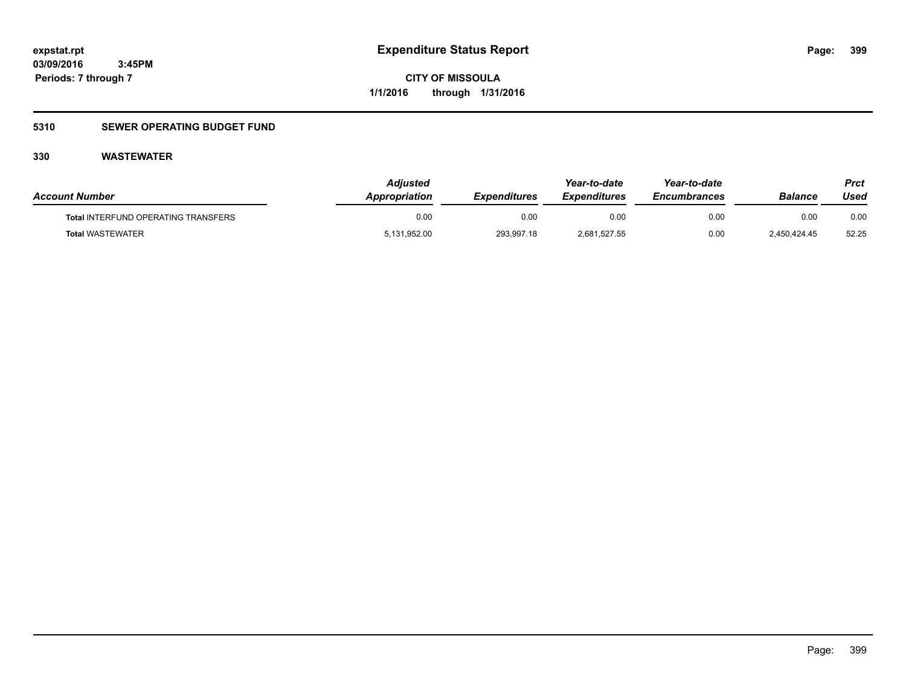**399**

**03/09/2016 3:45PM Periods: 7 through 7**

**CITY OF MISSOULA 1/1/2016 through 1/31/2016**

### **5310 SEWER OPERATING BUDGET FUND**

| <b>Account Number</b>                      | Adjusted<br><b>Appropriation</b> | <i><b>Expenditures</b></i> | Year-to-date<br><b>Expenditures</b> | Year-to-date<br><b>Encumbrances</b> | <b>Balance</b> | Prct<br>Used |
|--------------------------------------------|----------------------------------|----------------------------|-------------------------------------|-------------------------------------|----------------|--------------|
| <b>Total INTERFUND OPERATING TRANSFERS</b> | 0.00                             | 0.00                       | 0.00                                | 0.00                                | 0.00           | 0.00         |
| <b>Total WASTEWATER</b>                    | 5,131,952.00                     | 293,997.18                 | 2,681,527.55                        | 0.00                                | 2.450.424.45   | 52.25        |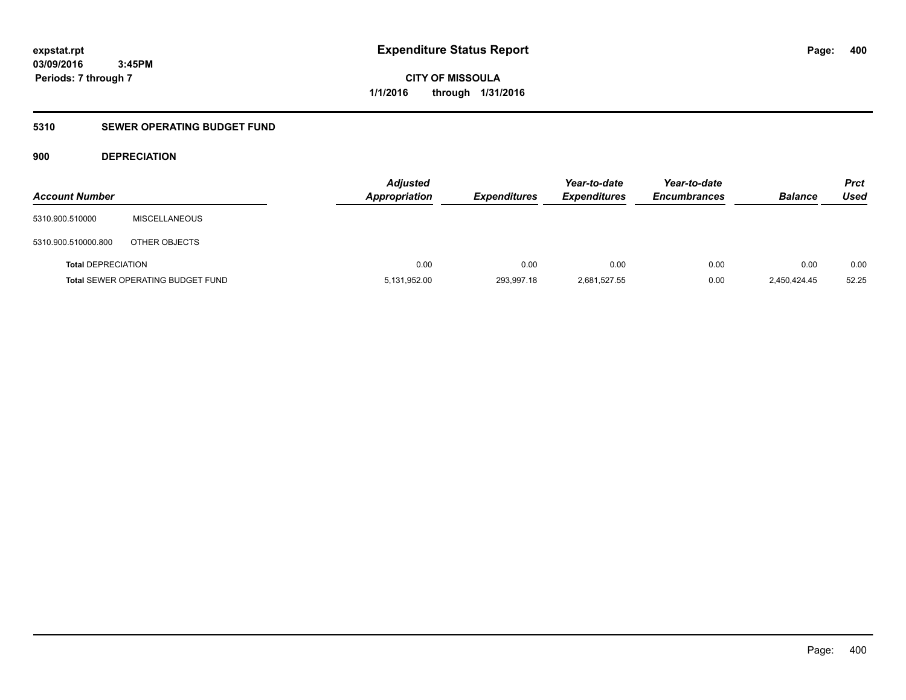**CITY OF MISSOULA 1/1/2016 through 1/31/2016**

### **5310 SEWER OPERATING BUDGET FUND**

### **900 DEPRECIATION**

| <b>Account Number</b>     |                                          | <b>Adjusted</b><br><b>Appropriation</b> | <b>Expenditures</b> | Year-to-date<br><b>Expenditures</b> | Year-to-date<br><b>Encumbrances</b> | <b>Balance</b> | <b>Prct</b><br>Used |
|---------------------------|------------------------------------------|-----------------------------------------|---------------------|-------------------------------------|-------------------------------------|----------------|---------------------|
| 5310.900.510000           | <b>MISCELLANEOUS</b>                     |                                         |                     |                                     |                                     |                |                     |
| 5310.900.510000.800       | OTHER OBJECTS                            |                                         |                     |                                     |                                     |                |                     |
| <b>Total DEPRECIATION</b> |                                          | 0.00                                    | 0.00                | 0.00                                | 0.00                                | 0.00           | 0.00                |
|                           | <b>Total SEWER OPERATING BUDGET FUND</b> | 5,131,952.00                            | 293,997.18          | 2,681,527.55                        | 0.00                                | 2.450.424.45   | 52.25               |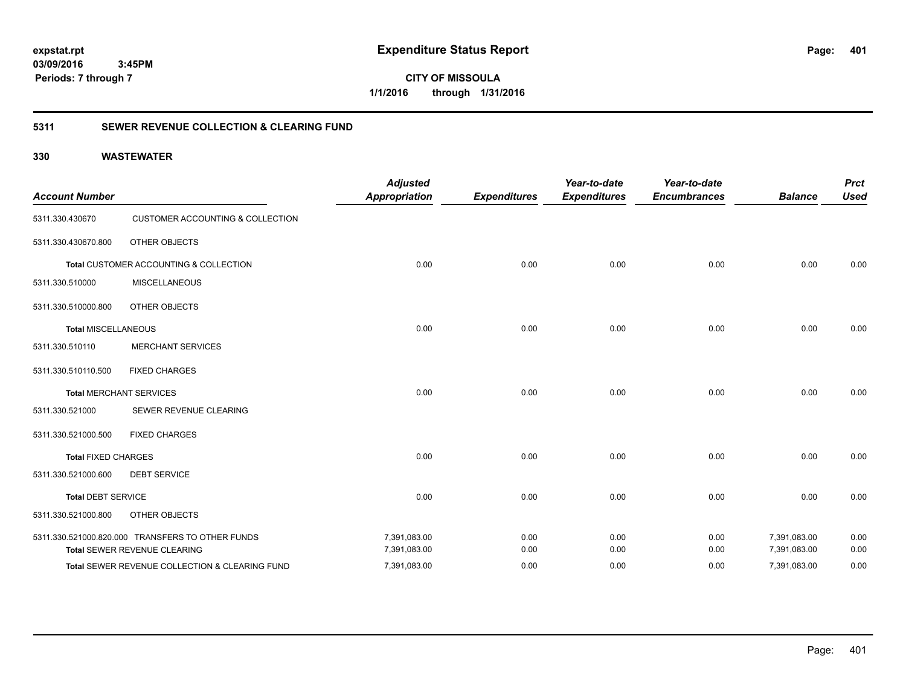**401**

**CITY OF MISSOULA 1/1/2016 through 1/31/2016**

### **5311 SEWER REVENUE COLLECTION & CLEARING FUND**

| <b>Account Number</b>      |                                                  | <b>Adjusted</b><br><b>Appropriation</b> | <b>Expenditures</b> | Year-to-date<br><b>Expenditures</b> | Year-to-date<br><b>Encumbrances</b> | <b>Balance</b> | <b>Prct</b><br><b>Used</b> |
|----------------------------|--------------------------------------------------|-----------------------------------------|---------------------|-------------------------------------|-------------------------------------|----------------|----------------------------|
| 5311.330.430670            | <b>CUSTOMER ACCOUNTING &amp; COLLECTION</b>      |                                         |                     |                                     |                                     |                |                            |
| 5311.330.430670.800        | OTHER OBJECTS                                    |                                         |                     |                                     |                                     |                |                            |
|                            | Total CUSTOMER ACCOUNTING & COLLECTION           | 0.00                                    | 0.00                | 0.00                                | 0.00                                | 0.00           | 0.00                       |
| 5311.330.510000            | <b>MISCELLANEOUS</b>                             |                                         |                     |                                     |                                     |                |                            |
| 5311.330.510000.800        | OTHER OBJECTS                                    |                                         |                     |                                     |                                     |                |                            |
| <b>Total MISCELLANEOUS</b> |                                                  | 0.00                                    | 0.00                | 0.00                                | 0.00                                | 0.00           | 0.00                       |
| 5311.330.510110            | <b>MERCHANT SERVICES</b>                         |                                         |                     |                                     |                                     |                |                            |
| 5311.330.510110.500        | <b>FIXED CHARGES</b>                             |                                         |                     |                                     |                                     |                |                            |
|                            | <b>Total MERCHANT SERVICES</b>                   | 0.00                                    | 0.00                | 0.00                                | 0.00                                | 0.00           | 0.00                       |
| 5311.330.521000            | SEWER REVENUE CLEARING                           |                                         |                     |                                     |                                     |                |                            |
| 5311.330.521000.500        | <b>FIXED CHARGES</b>                             |                                         |                     |                                     |                                     |                |                            |
| <b>Total FIXED CHARGES</b> |                                                  | 0.00                                    | 0.00                | 0.00                                | 0.00                                | 0.00           | 0.00                       |
| 5311.330.521000.600        | <b>DEBT SERVICE</b>                              |                                         |                     |                                     |                                     |                |                            |
| <b>Total DEBT SERVICE</b>  |                                                  | 0.00                                    | 0.00                | 0.00                                | 0.00                                | 0.00           | 0.00                       |
| 5311.330.521000.800        | OTHER OBJECTS                                    |                                         |                     |                                     |                                     |                |                            |
|                            | 5311.330.521000.820.000 TRANSFERS TO OTHER FUNDS | 7,391,083.00                            | 0.00                | 0.00                                | 0.00                                | 7,391,083.00   | 0.00                       |
|                            | Total SEWER REVENUE CLEARING                     | 7,391,083.00                            | 0.00                | 0.00                                | 0.00                                | 7,391,083.00   | 0.00                       |
|                            | Total SEWER REVENUE COLLECTION & CLEARING FUND   | 7,391,083.00                            | 0.00                | 0.00                                | 0.00                                | 7,391,083.00   | 0.00                       |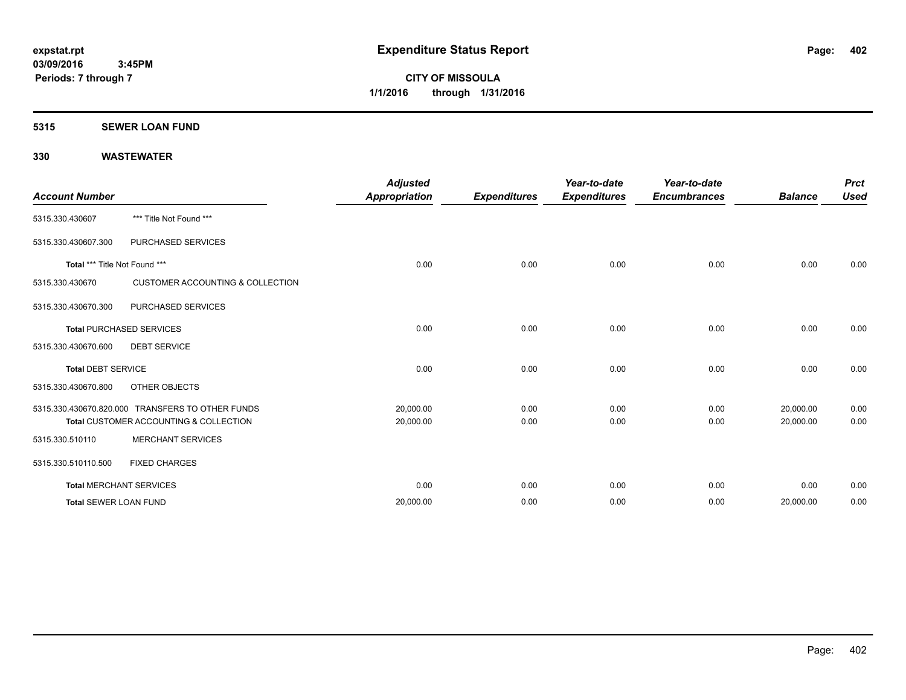### **5315 SEWER LOAN FUND**

|                               |                                                  | <b>Adjusted</b> |                     | Year-to-date        | Year-to-date        |                | <b>Prct</b> |
|-------------------------------|--------------------------------------------------|-----------------|---------------------|---------------------|---------------------|----------------|-------------|
| <b>Account Number</b>         |                                                  | Appropriation   | <b>Expenditures</b> | <b>Expenditures</b> | <b>Encumbrances</b> | <b>Balance</b> | <b>Used</b> |
| 5315.330.430607               | *** Title Not Found ***                          |                 |                     |                     |                     |                |             |
| 5315.330.430607.300           | PURCHASED SERVICES                               |                 |                     |                     |                     |                |             |
| Total *** Title Not Found *** |                                                  | 0.00            | 0.00                | 0.00                | 0.00                | 0.00           | 0.00        |
| 5315.330.430670               | <b>CUSTOMER ACCOUNTING &amp; COLLECTION</b>      |                 |                     |                     |                     |                |             |
| 5315.330.430670.300           | PURCHASED SERVICES                               |                 |                     |                     |                     |                |             |
|                               | <b>Total PURCHASED SERVICES</b>                  | 0.00            | 0.00                | 0.00                | 0.00                | 0.00           | 0.00        |
| 5315.330.430670.600           | <b>DEBT SERVICE</b>                              |                 |                     |                     |                     |                |             |
| <b>Total DEBT SERVICE</b>     |                                                  | 0.00            | 0.00                | 0.00                | 0.00                | 0.00           | 0.00        |
| 5315.330.430670.800           | OTHER OBJECTS                                    |                 |                     |                     |                     |                |             |
|                               | 5315.330.430670.820.000 TRANSFERS TO OTHER FUNDS | 20,000.00       | 0.00                | 0.00                | 0.00                | 20,000.00      | 0.00        |
|                               | Total CUSTOMER ACCOUNTING & COLLECTION           | 20,000.00       | 0.00                | 0.00                | 0.00                | 20,000.00      | 0.00        |
| 5315.330.510110               | <b>MERCHANT SERVICES</b>                         |                 |                     |                     |                     |                |             |
| 5315.330.510110.500           | <b>FIXED CHARGES</b>                             |                 |                     |                     |                     |                |             |
|                               | <b>Total MERCHANT SERVICES</b>                   | 0.00            | 0.00                | 0.00                | 0.00                | 0.00           | 0.00        |
| <b>Total SEWER LOAN FUND</b>  |                                                  | 20,000.00       | 0.00                | 0.00                | 0.00                | 20,000.00      | 0.00        |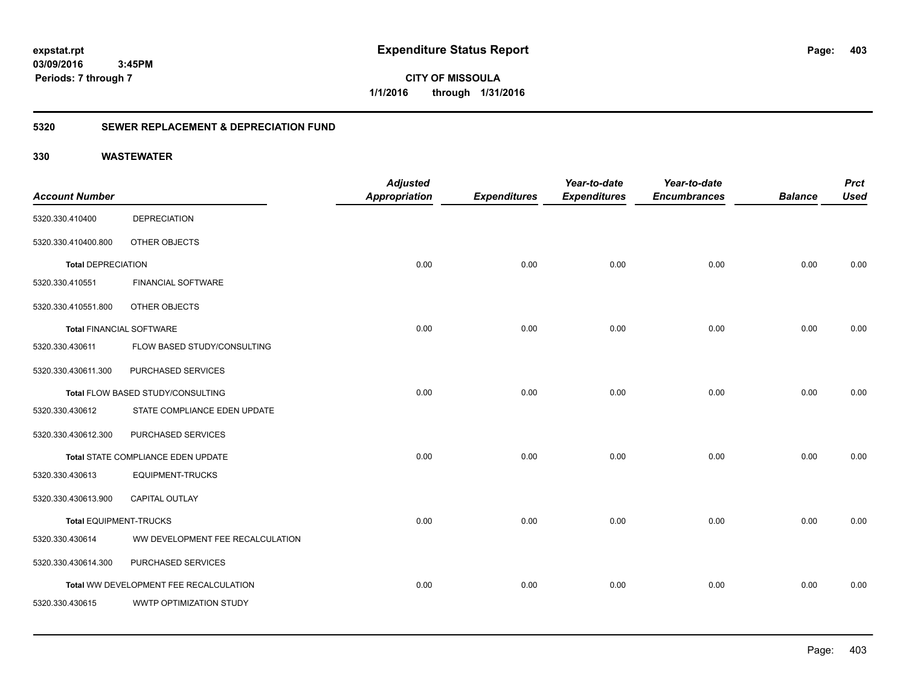**CITY OF MISSOULA 1/1/2016 through 1/31/2016**

### **5320 SEWER REPLACEMENT & DEPRECIATION FUND**

|                                 |                                        | <b>Adjusted</b>      |                     | Year-to-date        | Year-to-date        |                | <b>Prct</b> |
|---------------------------------|----------------------------------------|----------------------|---------------------|---------------------|---------------------|----------------|-------------|
| <b>Account Number</b>           |                                        | <b>Appropriation</b> | <b>Expenditures</b> | <b>Expenditures</b> | <b>Encumbrances</b> | <b>Balance</b> | <b>Used</b> |
| 5320.330.410400                 | <b>DEPRECIATION</b>                    |                      |                     |                     |                     |                |             |
| 5320.330.410400.800             | OTHER OBJECTS                          |                      |                     |                     |                     |                |             |
| <b>Total DEPRECIATION</b>       |                                        | 0.00                 | 0.00                | 0.00                | 0.00                | 0.00           | 0.00        |
| 5320.330.410551                 | <b>FINANCIAL SOFTWARE</b>              |                      |                     |                     |                     |                |             |
| 5320.330.410551.800             | OTHER OBJECTS                          |                      |                     |                     |                     |                |             |
| <b>Total FINANCIAL SOFTWARE</b> |                                        | 0.00                 | 0.00                | 0.00                | 0.00                | 0.00           | 0.00        |
| 5320.330.430611                 | FLOW BASED STUDY/CONSULTING            |                      |                     |                     |                     |                |             |
| 5320.330.430611.300             | PURCHASED SERVICES                     |                      |                     |                     |                     |                |             |
|                                 | Total FLOW BASED STUDY/CONSULTING      | 0.00                 | 0.00                | 0.00                | 0.00                | 0.00           | 0.00        |
| 5320.330.430612                 | STATE COMPLIANCE EDEN UPDATE           |                      |                     |                     |                     |                |             |
| 5320.330.430612.300             | PURCHASED SERVICES                     |                      |                     |                     |                     |                |             |
|                                 | Total STATE COMPLIANCE EDEN UPDATE     | 0.00                 | 0.00                | 0.00                | 0.00                | 0.00           | 0.00        |
| 5320.330.430613                 | <b>EQUIPMENT-TRUCKS</b>                |                      |                     |                     |                     |                |             |
| 5320.330.430613.900             | <b>CAPITAL OUTLAY</b>                  |                      |                     |                     |                     |                |             |
| Total EQUIPMENT-TRUCKS          |                                        | 0.00                 | 0.00                | 0.00                | 0.00                | 0.00           | 0.00        |
| 5320.330.430614                 | WW DEVELOPMENT FEE RECALCULATION       |                      |                     |                     |                     |                |             |
| 5320.330.430614.300             | PURCHASED SERVICES                     |                      |                     |                     |                     |                |             |
|                                 | Total WW DEVELOPMENT FEE RECALCULATION | 0.00                 | 0.00                | 0.00                | 0.00                | 0.00           | 0.00        |
| 5320.330.430615                 | WWTP OPTIMIZATION STUDY                |                      |                     |                     |                     |                |             |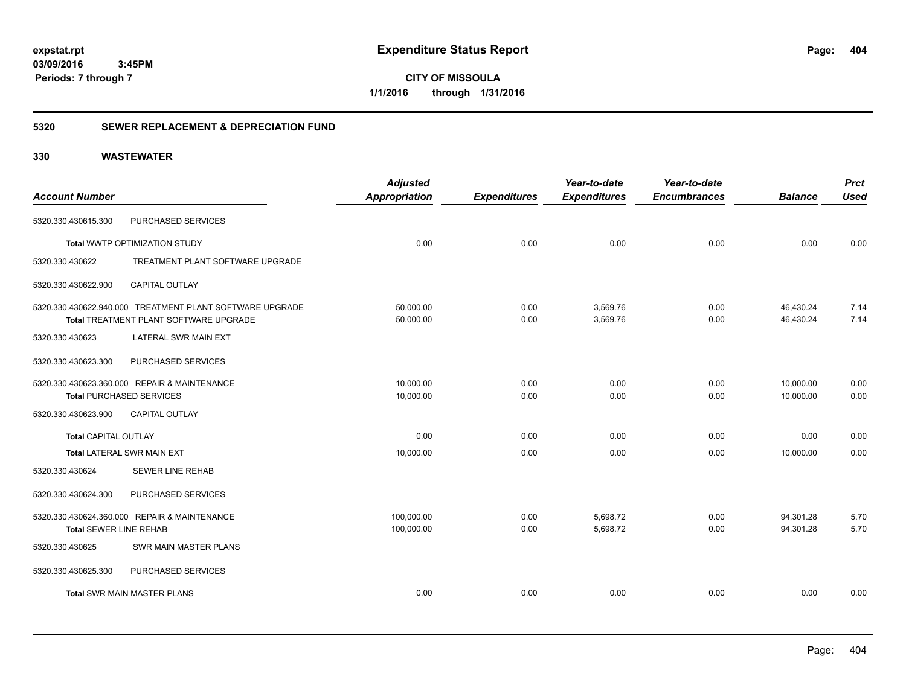**CITY OF MISSOULA 1/1/2016 through 1/31/2016**

### **5320 SEWER REPLACEMENT & DEPRECIATION FUND**

| <b>Account Number</b>           |                                                          | <b>Adjusted</b><br><b>Appropriation</b> | <b>Expenditures</b> | Year-to-date<br><b>Expenditures</b> | Year-to-date<br><b>Encumbrances</b> | <b>Balance</b> | <b>Prct</b><br><b>Used</b> |
|---------------------------------|----------------------------------------------------------|-----------------------------------------|---------------------|-------------------------------------|-------------------------------------|----------------|----------------------------|
|                                 |                                                          |                                         |                     |                                     |                                     |                |                            |
| 5320.330.430615.300             | PURCHASED SERVICES                                       |                                         |                     |                                     |                                     |                |                            |
|                                 | Total WWTP OPTIMIZATION STUDY                            | 0.00                                    | 0.00                | 0.00                                | 0.00                                | 0.00           | 0.00                       |
| 5320.330.430622                 | TREATMENT PLANT SOFTWARE UPGRADE                         |                                         |                     |                                     |                                     |                |                            |
| 5320.330.430622.900             | <b>CAPITAL OUTLAY</b>                                    |                                         |                     |                                     |                                     |                |                            |
|                                 | 5320.330.430622.940.000 TREATMENT PLANT SOFTWARE UPGRADE | 50,000.00                               | 0.00                | 3,569.76                            | 0.00                                | 46,430.24      | 7.14                       |
|                                 | Total TREATMENT PLANT SOFTWARE UPGRADE                   | 50,000.00                               | 0.00                | 3,569.76                            | 0.00                                | 46,430.24      | 7.14                       |
| 5320.330.430623                 | LATERAL SWR MAIN EXT                                     |                                         |                     |                                     |                                     |                |                            |
| 5320.330.430623.300             | PURCHASED SERVICES                                       |                                         |                     |                                     |                                     |                |                            |
|                                 | 5320.330.430623.360.000 REPAIR & MAINTENANCE             | 10,000.00                               | 0.00                | 0.00                                | 0.00                                | 10,000.00      | 0.00                       |
| <b>Total PURCHASED SERVICES</b> |                                                          | 10,000.00                               | 0.00                | 0.00                                | 0.00                                | 10,000.00      | 0.00                       |
| 5320.330.430623.900             | <b>CAPITAL OUTLAY</b>                                    |                                         |                     |                                     |                                     |                |                            |
| <b>Total CAPITAL OUTLAY</b>     |                                                          | 0.00                                    | 0.00                | 0.00                                | 0.00                                | 0.00           | 0.00                       |
|                                 | Total LATERAL SWR MAIN EXT                               | 10,000.00                               | 0.00                | 0.00                                | 0.00                                | 10,000.00      | 0.00                       |
| 5320.330.430624                 | <b>SEWER LINE REHAB</b>                                  |                                         |                     |                                     |                                     |                |                            |
| 5320.330.430624.300             | PURCHASED SERVICES                                       |                                         |                     |                                     |                                     |                |                            |
|                                 | 5320.330.430624.360.000 REPAIR & MAINTENANCE             | 100,000.00                              | 0.00                | 5,698.72                            | 0.00                                | 94,301.28      | 5.70                       |
| <b>Total SEWER LINE REHAB</b>   |                                                          | 100,000.00                              | 0.00                | 5,698.72                            | 0.00                                | 94,301.28      | 5.70                       |
| 5320.330.430625                 | SWR MAIN MASTER PLANS                                    |                                         |                     |                                     |                                     |                |                            |
| 5320.330.430625.300             | PURCHASED SERVICES                                       |                                         |                     |                                     |                                     |                |                            |
|                                 | <b>Total SWR MAIN MASTER PLANS</b>                       | 0.00                                    | 0.00                | 0.00                                | 0.00                                | 0.00           | 0.00                       |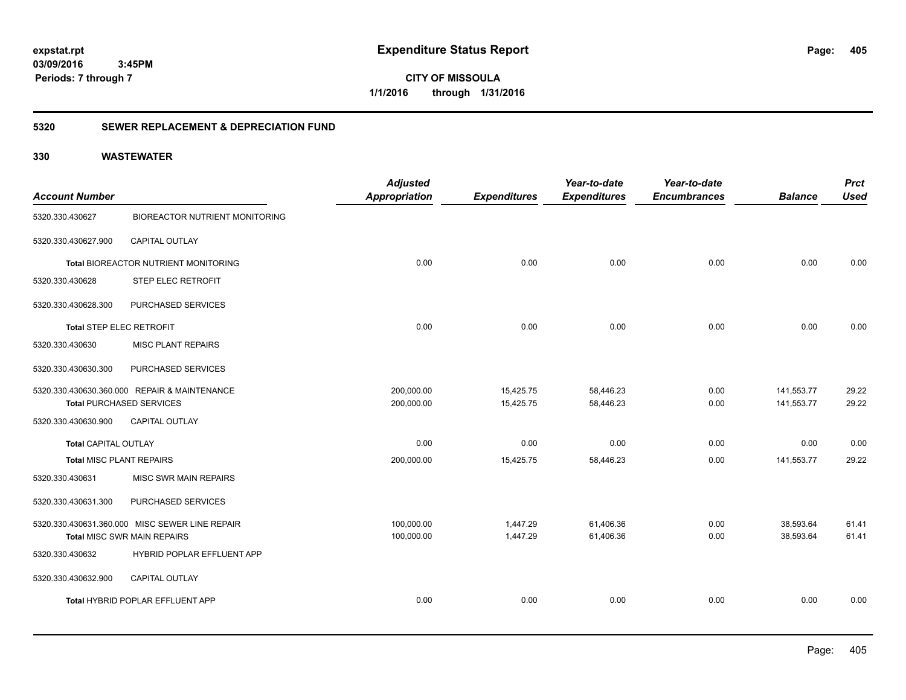**CITY OF MISSOULA 1/1/2016 through 1/31/2016**

### **5320 SEWER REPLACEMENT & DEPRECIATION FUND**

|                             |                                                | <b>Adjusted</b>      |                     | Year-to-date        | Year-to-date        |                | <b>Prct</b> |
|-----------------------------|------------------------------------------------|----------------------|---------------------|---------------------|---------------------|----------------|-------------|
| <b>Account Number</b>       |                                                | <b>Appropriation</b> | <b>Expenditures</b> | <b>Expenditures</b> | <b>Encumbrances</b> | <b>Balance</b> | <b>Used</b> |
| 5320.330.430627             | <b>BIOREACTOR NUTRIENT MONITORING</b>          |                      |                     |                     |                     |                |             |
| 5320.330.430627.900         | CAPITAL OUTLAY                                 |                      |                     |                     |                     |                |             |
|                             | Total BIOREACTOR NUTRIENT MONITORING           | 0.00                 | 0.00                | 0.00                | 0.00                | 0.00           | 0.00        |
| 5320.330.430628             | STEP ELEC RETROFIT                             |                      |                     |                     |                     |                |             |
| 5320.330.430628.300         | PURCHASED SERVICES                             |                      |                     |                     |                     |                |             |
| Total STEP ELEC RETROFIT    |                                                | 0.00                 | 0.00                | 0.00                | 0.00                | 0.00           | 0.00        |
| 5320.330.430630             | <b>MISC PLANT REPAIRS</b>                      |                      |                     |                     |                     |                |             |
| 5320.330.430630.300         | PURCHASED SERVICES                             |                      |                     |                     |                     |                |             |
|                             | 5320.330.430630.360.000 REPAIR & MAINTENANCE   | 200,000.00           | 15,425.75           | 58,446.23           | 0.00                | 141,553.77     | 29.22       |
|                             | <b>Total PURCHASED SERVICES</b>                | 200,000.00           | 15,425.75           | 58,446.23           | 0.00                | 141,553.77     | 29.22       |
| 5320.330.430630.900         | <b>CAPITAL OUTLAY</b>                          |                      |                     |                     |                     |                |             |
| <b>Total CAPITAL OUTLAY</b> |                                                | 0.00                 | 0.00                | 0.00                | 0.00                | 0.00           | 0.00        |
| Total MISC PLANT REPAIRS    |                                                | 200,000.00           | 15,425.75           | 58,446.23           | 0.00                | 141,553.77     | 29.22       |
| 5320.330.430631             | <b>MISC SWR MAIN REPAIRS</b>                   |                      |                     |                     |                     |                |             |
| 5320.330.430631.300         | PURCHASED SERVICES                             |                      |                     |                     |                     |                |             |
|                             | 5320.330.430631.360.000 MISC SEWER LINE REPAIR | 100,000.00           | 1,447.29            | 61,406.36           | 0.00                | 38,593.64      | 61.41       |
|                             | <b>Total MISC SWR MAIN REPAIRS</b>             | 100,000.00           | 1,447.29            | 61,406.36           | 0.00                | 38.593.64      | 61.41       |
| 5320.330.430632             | HYBRID POPLAR EFFLUENT APP                     |                      |                     |                     |                     |                |             |
| 5320.330.430632.900         | CAPITAL OUTLAY                                 |                      |                     |                     |                     |                |             |
|                             | Total HYBRID POPLAR EFFLUENT APP               | 0.00                 | 0.00                | 0.00                | 0.00                | 0.00           | 0.00        |
|                             |                                                |                      |                     |                     |                     |                |             |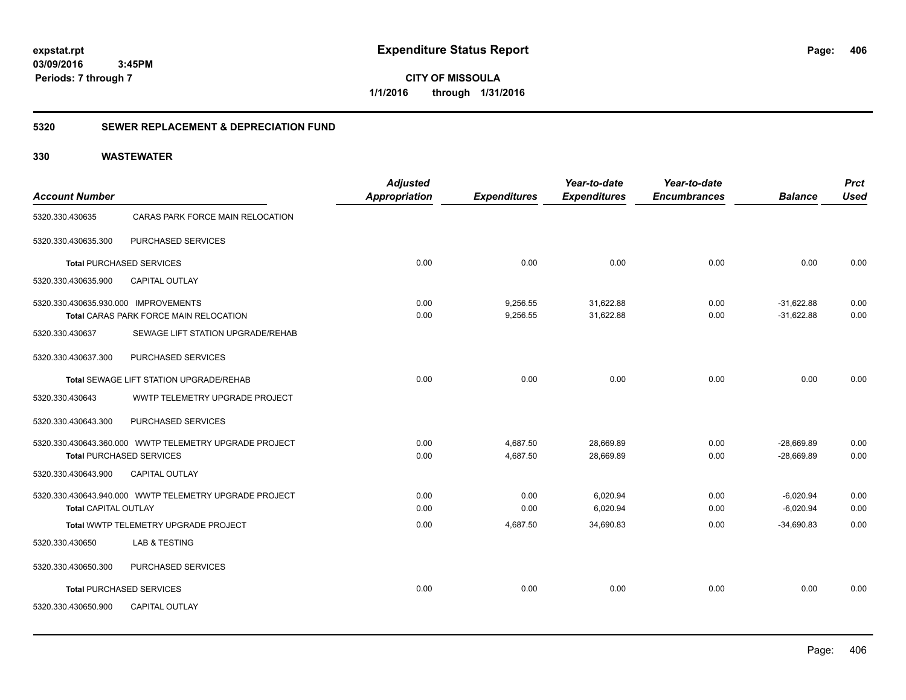**CITY OF MISSOULA 1/1/2016 through 1/31/2016**

### **5320 SEWER REPLACEMENT & DEPRECIATION FUND**

|                                      |                                                        | <b>Adjusted</b>      |                     | Year-to-date        | Year-to-date        |                | <b>Prct</b> |
|--------------------------------------|--------------------------------------------------------|----------------------|---------------------|---------------------|---------------------|----------------|-------------|
| <b>Account Number</b>                |                                                        | <b>Appropriation</b> | <b>Expenditures</b> | <b>Expenditures</b> | <b>Encumbrances</b> | <b>Balance</b> | <b>Used</b> |
| 5320.330.430635                      | CARAS PARK FORCE MAIN RELOCATION                       |                      |                     |                     |                     |                |             |
| 5320.330.430635.300                  | PURCHASED SERVICES                                     |                      |                     |                     |                     |                |             |
| <b>Total PURCHASED SERVICES</b>      |                                                        | 0.00                 | 0.00                | 0.00                | 0.00                | 0.00           | 0.00        |
| 5320.330.430635.900                  | <b>CAPITAL OUTLAY</b>                                  |                      |                     |                     |                     |                |             |
| 5320.330.430635.930.000 IMPROVEMENTS |                                                        | 0.00                 | 9,256.55            | 31,622.88           | 0.00                | $-31,622.88$   | 0.00        |
|                                      | Total CARAS PARK FORCE MAIN RELOCATION                 | 0.00                 | 9,256.55            | 31,622.88           | 0.00                | $-31,622.88$   | 0.00        |
| 5320.330.430637                      | SEWAGE LIFT STATION UPGRADE/REHAB                      |                      |                     |                     |                     |                |             |
| 5320.330.430637.300                  | PURCHASED SERVICES                                     |                      |                     |                     |                     |                |             |
|                                      | Total SEWAGE LIFT STATION UPGRADE/REHAB                | 0.00                 | 0.00                | 0.00                | 0.00                | 0.00           | 0.00        |
| 5320.330.430643                      | WWTP TELEMETRY UPGRADE PROJECT                         |                      |                     |                     |                     |                |             |
| 5320.330.430643.300                  | PURCHASED SERVICES                                     |                      |                     |                     |                     |                |             |
|                                      | 5320.330.430643.360.000 WWTP TELEMETRY UPGRADE PROJECT | 0.00                 | 4,687.50            | 28,669.89           | 0.00                | $-28,669.89$   | 0.00        |
| <b>Total PURCHASED SERVICES</b>      |                                                        | 0.00                 | 4,687.50            | 28,669.89           | 0.00                | $-28,669.89$   | 0.00        |
| 5320.330.430643.900                  | <b>CAPITAL OUTLAY</b>                                  |                      |                     |                     |                     |                |             |
|                                      |                                                        | 0.00                 | 0.00                | 6,020.94            | 0.00                | $-6,020.94$    | 0.00        |
| Total CAPITAL OUTLAY                 |                                                        | 0.00                 | 0.00                | 6,020.94            | 0.00                | $-6,020.94$    | 0.00        |
|                                      | Total WWTP TELEMETRY UPGRADE PROJECT                   | 0.00                 | 4,687.50            | 34,690.83           | 0.00                | $-34,690.83$   | 0.00        |
| 5320.330.430650                      | <b>LAB &amp; TESTING</b>                               |                      |                     |                     |                     |                |             |
| 5320.330.430650.300                  | PURCHASED SERVICES                                     |                      |                     |                     |                     |                |             |
| <b>Total PURCHASED SERVICES</b>      |                                                        | 0.00                 | 0.00                | 0.00                | 0.00                | 0.00           | 0.00        |
| 5320.330.430650.900                  | <b>CAPITAL OUTLAY</b>                                  |                      |                     |                     |                     |                |             |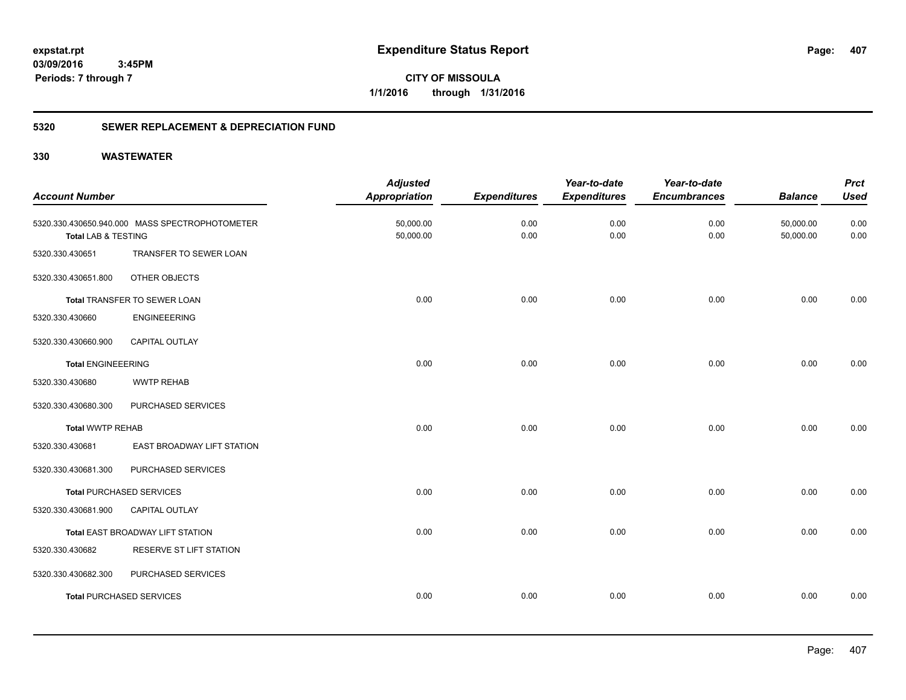**CITY OF MISSOULA 1/1/2016 through 1/31/2016**

### **5320 SEWER REPLACEMENT & DEPRECIATION FUND**

| <b>Account Number</b>          |                                                | <b>Adjusted</b><br><b>Appropriation</b> | <b>Expenditures</b> | Year-to-date<br><b>Expenditures</b> | Year-to-date<br><b>Encumbrances</b> | <b>Balance</b>         | <b>Prct</b><br><b>Used</b> |
|--------------------------------|------------------------------------------------|-----------------------------------------|---------------------|-------------------------------------|-------------------------------------|------------------------|----------------------------|
| <b>Total LAB &amp; TESTING</b> | 5320.330.430650.940.000 MASS SPECTROPHOTOMETER | 50,000.00<br>50,000.00                  | 0.00<br>0.00        | 0.00<br>0.00                        | 0.00<br>0.00                        | 50,000.00<br>50,000.00 | 0.00<br>0.00               |
| 5320.330.430651                | TRANSFER TO SEWER LOAN                         |                                         |                     |                                     |                                     |                        |                            |
| 5320.330.430651.800            | OTHER OBJECTS                                  |                                         |                     |                                     |                                     |                        |                            |
|                                | Total TRANSFER TO SEWER LOAN                   | 0.00                                    | 0.00                | 0.00                                | 0.00                                | 0.00                   | 0.00                       |
| 5320.330.430660                | <b>ENGINEEERING</b>                            |                                         |                     |                                     |                                     |                        |                            |
| 5320.330.430660.900            | <b>CAPITAL OUTLAY</b>                          |                                         |                     |                                     |                                     |                        |                            |
| <b>Total ENGINEEERING</b>      |                                                | 0.00                                    | 0.00                | 0.00                                | 0.00                                | 0.00                   | 0.00                       |
| 5320.330.430680                | <b>WWTP REHAB</b>                              |                                         |                     |                                     |                                     |                        |                            |
| 5320.330.430680.300            | PURCHASED SERVICES                             |                                         |                     |                                     |                                     |                        |                            |
| <b>Total WWTP REHAB</b>        |                                                | 0.00                                    | 0.00                | 0.00                                | 0.00                                | 0.00                   | 0.00                       |
| 5320.330.430681                | EAST BROADWAY LIFT STATION                     |                                         |                     |                                     |                                     |                        |                            |
| 5320.330.430681.300            | PURCHASED SERVICES                             |                                         |                     |                                     |                                     |                        |                            |
|                                | <b>Total PURCHASED SERVICES</b>                | 0.00                                    | 0.00                | 0.00                                | 0.00                                | 0.00                   | 0.00                       |
| 5320.330.430681.900            | CAPITAL OUTLAY                                 |                                         |                     |                                     |                                     |                        |                            |
|                                | Total EAST BROADWAY LIFT STATION               | 0.00                                    | 0.00                | 0.00                                | 0.00                                | 0.00                   | 0.00                       |
| 5320.330.430682                | RESERVE ST LIFT STATION                        |                                         |                     |                                     |                                     |                        |                            |
| 5320.330.430682.300            | PURCHASED SERVICES                             |                                         |                     |                                     |                                     |                        |                            |
|                                | <b>Total PURCHASED SERVICES</b>                | 0.00                                    | 0.00                | 0.00                                | 0.00                                | 0.00                   | 0.00                       |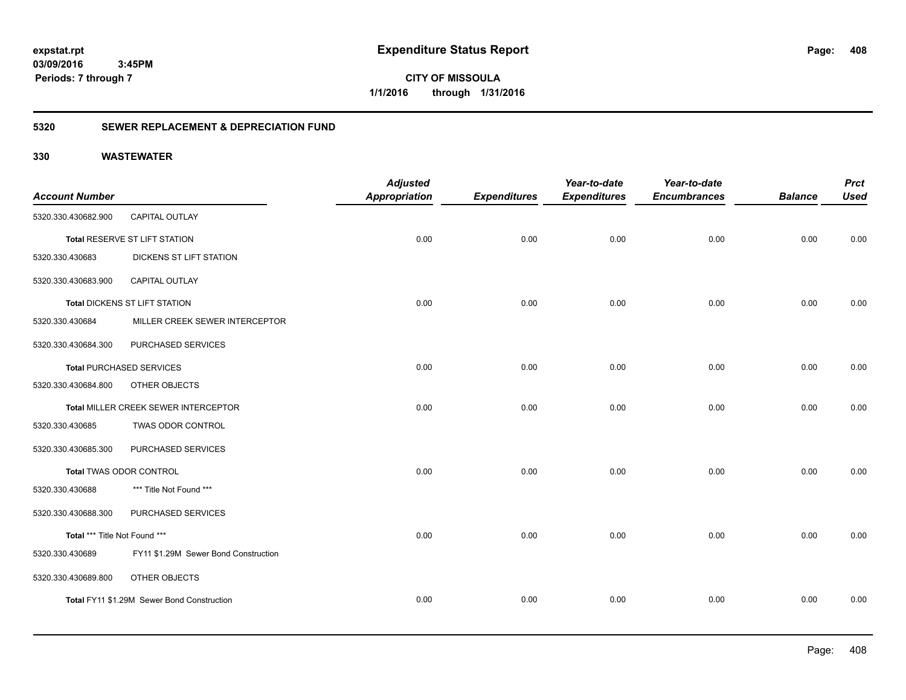**CITY OF MISSOULA 1/1/2016 through 1/31/2016**

### **5320 SEWER REPLACEMENT & DEPRECIATION FUND**

| <b>Account Number</b>         |                                            | <b>Adjusted</b><br><b>Appropriation</b> | <b>Expenditures</b> | Year-to-date<br><b>Expenditures</b> | Year-to-date<br><b>Encumbrances</b> | <b>Balance</b> | <b>Prct</b><br><b>Used</b> |
|-------------------------------|--------------------------------------------|-----------------------------------------|---------------------|-------------------------------------|-------------------------------------|----------------|----------------------------|
| 5320.330.430682.900           | <b>CAPITAL OUTLAY</b>                      |                                         |                     |                                     |                                     |                |                            |
|                               | Total RESERVE ST LIFT STATION              | 0.00                                    | 0.00                | 0.00                                | 0.00                                | 0.00           | 0.00                       |
| 5320.330.430683               | DICKENS ST LIFT STATION                    |                                         |                     |                                     |                                     |                |                            |
| 5320.330.430683.900           | <b>CAPITAL OUTLAY</b>                      |                                         |                     |                                     |                                     |                |                            |
|                               | <b>Total DICKENS ST LIFT STATION</b>       | 0.00                                    | 0.00                | 0.00                                | 0.00                                | 0.00           | 0.00                       |
| 5320.330.430684               | MILLER CREEK SEWER INTERCEPTOR             |                                         |                     |                                     |                                     |                |                            |
| 5320.330.430684.300           | PURCHASED SERVICES                         |                                         |                     |                                     |                                     |                |                            |
|                               | <b>Total PURCHASED SERVICES</b>            | 0.00                                    | 0.00                | 0.00                                | 0.00                                | 0.00           | 0.00                       |
| 5320.330.430684.800           | OTHER OBJECTS                              |                                         |                     |                                     |                                     |                |                            |
|                               | Total MILLER CREEK SEWER INTERCEPTOR       | 0.00                                    | 0.00                | 0.00                                | 0.00                                | 0.00           | 0.00                       |
| 5320.330.430685               | TWAS ODOR CONTROL                          |                                         |                     |                                     |                                     |                |                            |
| 5320.330.430685.300           | PURCHASED SERVICES                         |                                         |                     |                                     |                                     |                |                            |
|                               | Total TWAS ODOR CONTROL                    | 0.00                                    | 0.00                | 0.00                                | 0.00                                | 0.00           | 0.00                       |
| 5320.330.430688               | *** Title Not Found ***                    |                                         |                     |                                     |                                     |                |                            |
| 5320.330.430688.300           | PURCHASED SERVICES                         |                                         |                     |                                     |                                     |                |                            |
| Total *** Title Not Found *** |                                            | 0.00                                    | 0.00                | 0.00                                | 0.00                                | 0.00           | 0.00                       |
| 5320.330.430689               | FY11 \$1.29M Sewer Bond Construction       |                                         |                     |                                     |                                     |                |                            |
| 5320.330.430689.800           | OTHER OBJECTS                              |                                         |                     |                                     |                                     |                |                            |
|                               | Total FY11 \$1.29M Sewer Bond Construction | 0.00                                    | 0.00                | 0.00                                | 0.00                                | 0.00           | 0.00                       |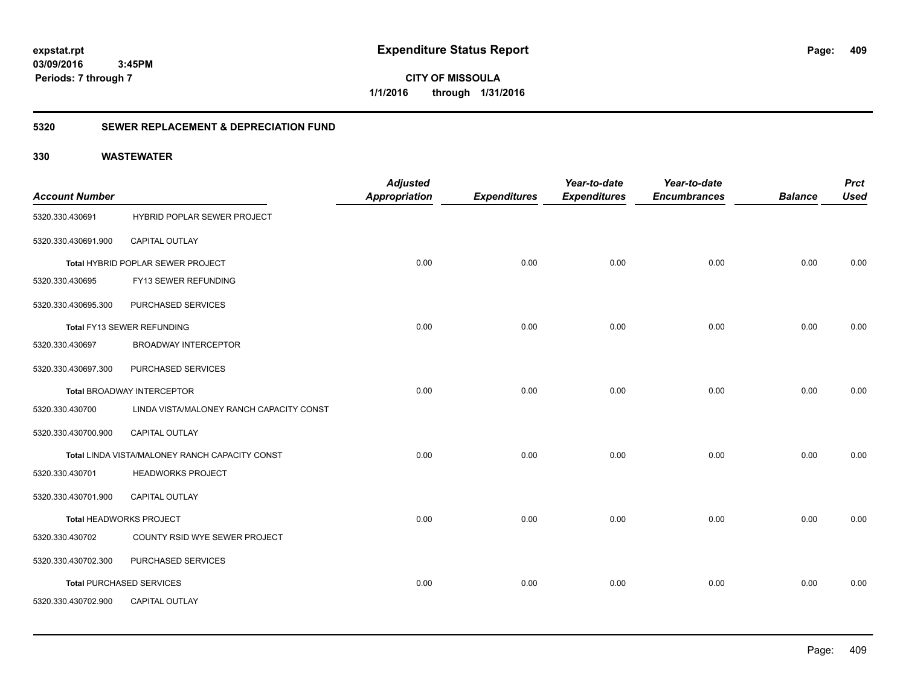**CITY OF MISSOULA 1/1/2016 through 1/31/2016**

### **5320 SEWER REPLACEMENT & DEPRECIATION FUND**

| <b>Account Number</b> |                                                | <b>Adjusted</b><br>Appropriation | <b>Expenditures</b> | Year-to-date<br><b>Expenditures</b> | Year-to-date<br><b>Encumbrances</b> | <b>Balance</b> | <b>Prct</b><br><b>Used</b> |
|-----------------------|------------------------------------------------|----------------------------------|---------------------|-------------------------------------|-------------------------------------|----------------|----------------------------|
| 5320.330.430691       | <b>HYBRID POPLAR SEWER PROJECT</b>             |                                  |                     |                                     |                                     |                |                            |
| 5320.330.430691.900   | CAPITAL OUTLAY                                 |                                  |                     |                                     |                                     |                |                            |
|                       | Total HYBRID POPLAR SEWER PROJECT              | 0.00                             | 0.00                | 0.00                                | 0.00                                | 0.00           | 0.00                       |
| 5320.330.430695       | FY13 SEWER REFUNDING                           |                                  |                     |                                     |                                     |                |                            |
| 5320.330.430695.300   | PURCHASED SERVICES                             |                                  |                     |                                     |                                     |                |                            |
|                       | Total FY13 SEWER REFUNDING                     | 0.00                             | 0.00                | 0.00                                | 0.00                                | 0.00           | 0.00                       |
| 5320.330.430697       | <b>BROADWAY INTERCEPTOR</b>                    |                                  |                     |                                     |                                     |                |                            |
| 5320.330.430697.300   | PURCHASED SERVICES                             |                                  |                     |                                     |                                     |                |                            |
|                       | <b>Total BROADWAY INTERCEPTOR</b>              | 0.00                             | 0.00                | 0.00                                | 0.00                                | 0.00           | 0.00                       |
| 5320.330.430700       | LINDA VISTA/MALONEY RANCH CAPACITY CONST       |                                  |                     |                                     |                                     |                |                            |
| 5320.330.430700.900   | CAPITAL OUTLAY                                 |                                  |                     |                                     |                                     |                |                            |
|                       | Total LINDA VISTA/MALONEY RANCH CAPACITY CONST | 0.00                             | 0.00                | 0.00                                | 0.00                                | 0.00           | 0.00                       |
| 5320.330.430701       | <b>HEADWORKS PROJECT</b>                       |                                  |                     |                                     |                                     |                |                            |
| 5320.330.430701.900   | CAPITAL OUTLAY                                 |                                  |                     |                                     |                                     |                |                            |
|                       | Total HEADWORKS PROJECT                        | 0.00                             | 0.00                | 0.00                                | 0.00                                | 0.00           | 0.00                       |
| 5320.330.430702       | COUNTY RSID WYE SEWER PROJECT                  |                                  |                     |                                     |                                     |                |                            |
| 5320.330.430702.300   | PURCHASED SERVICES                             |                                  |                     |                                     |                                     |                |                            |
|                       | <b>Total PURCHASED SERVICES</b>                | 0.00                             | 0.00                | 0.00                                | 0.00                                | 0.00           | 0.00                       |
| 5320.330.430702.900   | <b>CAPITAL OUTLAY</b>                          |                                  |                     |                                     |                                     |                |                            |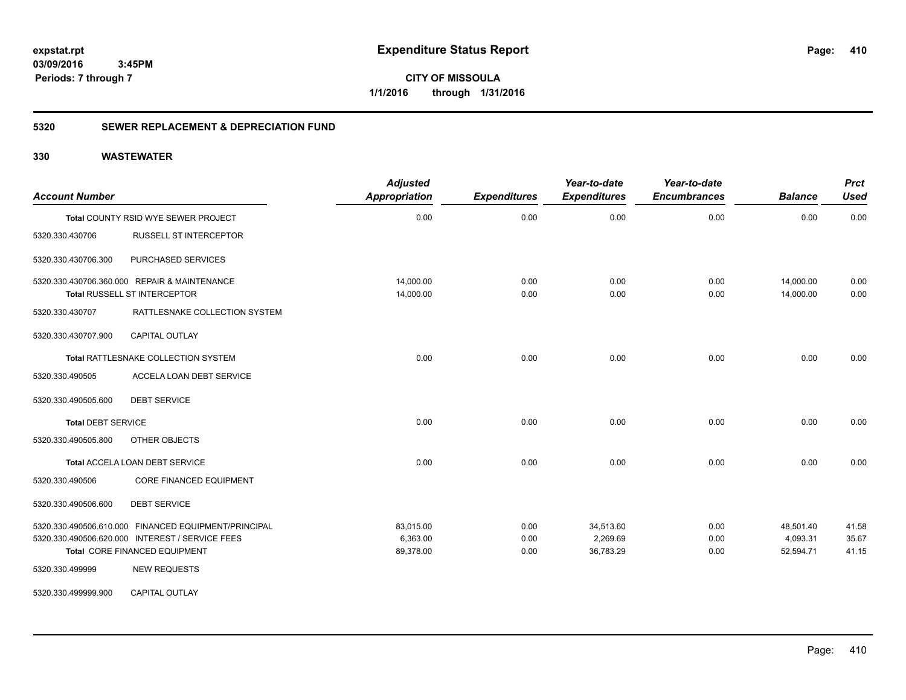**CITY OF MISSOULA 1/1/2016 through 1/31/2016**

### **5320 SEWER REPLACEMENT & DEPRECIATION FUND**

| <b>Account Number</b>     |                                                                                                                                                                 | <b>Adjusted</b><br>Appropriation   | <b>Expenditures</b>  | Year-to-date<br><b>Expenditures</b> | Year-to-date<br><b>Encumbrances</b> | <b>Balance</b>                     | <b>Prct</b><br><b>Used</b> |
|---------------------------|-----------------------------------------------------------------------------------------------------------------------------------------------------------------|------------------------------------|----------------------|-------------------------------------|-------------------------------------|------------------------------------|----------------------------|
|                           | Total COUNTY RSID WYE SEWER PROJECT                                                                                                                             | 0.00                               | 0.00                 | 0.00                                | 0.00                                | 0.00                               | 0.00                       |
| 5320.330.430706           | <b>RUSSELL ST INTERCEPTOR</b>                                                                                                                                   |                                    |                      |                                     |                                     |                                    |                            |
| 5320.330.430706.300       | PURCHASED SERVICES                                                                                                                                              |                                    |                      |                                     |                                     |                                    |                            |
|                           | 5320.330.430706.360.000 REPAIR & MAINTENANCE<br><b>Total RUSSELL ST INTERCEPTOR</b>                                                                             | 14,000.00<br>14,000.00             | 0.00<br>0.00         | 0.00<br>0.00                        | 0.00<br>0.00                        | 14,000.00<br>14,000.00             | 0.00<br>0.00               |
| 5320.330.430707           | RATTLESNAKE COLLECTION SYSTEM                                                                                                                                   |                                    |                      |                                     |                                     |                                    |                            |
| 5320.330.430707.900       | <b>CAPITAL OUTLAY</b>                                                                                                                                           |                                    |                      |                                     |                                     |                                    |                            |
|                           | Total RATTLESNAKE COLLECTION SYSTEM                                                                                                                             | 0.00                               | 0.00                 | 0.00                                | 0.00                                | 0.00                               | 0.00                       |
| 5320.330.490505           | ACCELA LOAN DEBT SERVICE                                                                                                                                        |                                    |                      |                                     |                                     |                                    |                            |
| 5320.330.490505.600       | <b>DEBT SERVICE</b>                                                                                                                                             |                                    |                      |                                     |                                     |                                    |                            |
| <b>Total DEBT SERVICE</b> |                                                                                                                                                                 | 0.00                               | 0.00                 | 0.00                                | 0.00                                | 0.00                               | 0.00                       |
| 5320.330.490505.800       | OTHER OBJECTS                                                                                                                                                   |                                    |                      |                                     |                                     |                                    |                            |
|                           | Total ACCELA LOAN DEBT SERVICE                                                                                                                                  | 0.00                               | 0.00                 | 0.00                                | 0.00                                | 0.00                               | 0.00                       |
| 5320.330.490506           | <b>CORE FINANCED EQUIPMENT</b>                                                                                                                                  |                                    |                      |                                     |                                     |                                    |                            |
| 5320.330.490506.600       | <b>DEBT SERVICE</b>                                                                                                                                             |                                    |                      |                                     |                                     |                                    |                            |
| 5320.330.499999           | 5320.330.490506.610.000 FINANCED EQUIPMENT/PRINCIPAL<br>5320.330.490506.620.000 INTEREST / SERVICE FEES<br>Total CORE FINANCED EQUIPMENT<br><b>NEW REQUESTS</b> | 83,015.00<br>6,363.00<br>89,378.00 | 0.00<br>0.00<br>0.00 | 34,513.60<br>2,269.69<br>36,783.29  | 0.00<br>0.00<br>0.00                | 48,501.40<br>4,093.31<br>52,594.71 | 41.58<br>35.67<br>41.15    |
| 5320.330.499999.900       | <b>CAPITAL OUTLAY</b>                                                                                                                                           |                                    |                      |                                     |                                     |                                    |                            |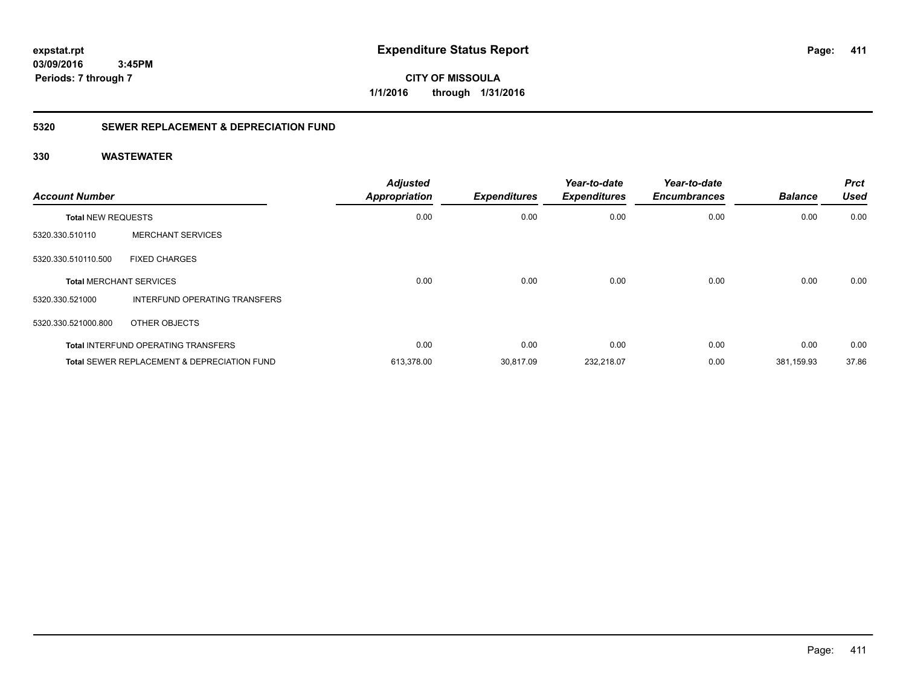**CITY OF MISSOULA 1/1/2016 through 1/31/2016**

### **5320 SEWER REPLACEMENT & DEPRECIATION FUND**

| <b>Account Number</b>     |                                                        | <b>Adjusted</b><br><b>Appropriation</b> | <b>Expenditures</b> | Year-to-date<br><b>Expenditures</b> | Year-to-date<br><b>Encumbrances</b> | <b>Balance</b> | <b>Prct</b><br><b>Used</b> |
|---------------------------|--------------------------------------------------------|-----------------------------------------|---------------------|-------------------------------------|-------------------------------------|----------------|----------------------------|
| <b>Total NEW REQUESTS</b> |                                                        | 0.00                                    | 0.00                | 0.00                                | 0.00                                | 0.00           | 0.00                       |
| 5320.330.510110           | <b>MERCHANT SERVICES</b>                               |                                         |                     |                                     |                                     |                |                            |
| 5320.330.510110.500       | <b>FIXED CHARGES</b>                                   |                                         |                     |                                     |                                     |                |                            |
|                           | <b>Total MERCHANT SERVICES</b>                         | 0.00                                    | 0.00                | 0.00                                | 0.00                                | 0.00           | 0.00                       |
| 5320.330.521000           | INTERFUND OPERATING TRANSFERS                          |                                         |                     |                                     |                                     |                |                            |
| 5320.330.521000.800       | OTHER OBJECTS                                          |                                         |                     |                                     |                                     |                |                            |
|                           | <b>Total INTERFUND OPERATING TRANSFERS</b>             | 0.00                                    | 0.00                | 0.00                                | 0.00                                | 0.00           | 0.00                       |
|                           | <b>Total SEWER REPLACEMENT &amp; DEPRECIATION FUND</b> | 613,378.00                              | 30,817.09           | 232,218.07                          | 0.00                                | 381,159.93     | 37.86                      |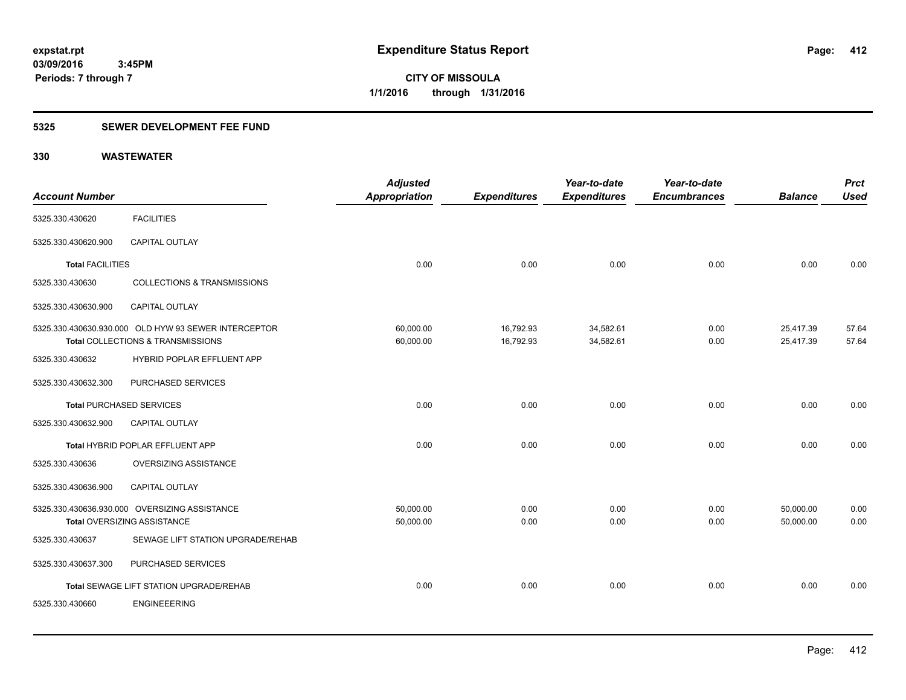**Periods: 7 through 7**

**CITY OF MISSOULA 1/1/2016 through 1/31/2016**

### **5325 SEWER DEVELOPMENT FEE FUND**

|                                 |                                                      | <b>Adjusted</b> |                     | Year-to-date        | Year-to-date        |                | <b>Prct</b> |
|---------------------------------|------------------------------------------------------|-----------------|---------------------|---------------------|---------------------|----------------|-------------|
| <b>Account Number</b>           |                                                      | Appropriation   | <b>Expenditures</b> | <b>Expenditures</b> | <b>Encumbrances</b> | <b>Balance</b> | <b>Used</b> |
| 5325.330.430620                 | <b>FACILITIES</b>                                    |                 |                     |                     |                     |                |             |
| 5325.330.430620.900             | CAPITAL OUTLAY                                       |                 |                     |                     |                     |                |             |
| <b>Total FACILITIES</b>         |                                                      | 0.00            | 0.00                | 0.00                | 0.00                | 0.00           | 0.00        |
| 5325.330.430630                 | <b>COLLECTIONS &amp; TRANSMISSIONS</b>               |                 |                     |                     |                     |                |             |
| 5325.330.430630.900             | <b>CAPITAL OUTLAY</b>                                |                 |                     |                     |                     |                |             |
|                                 | 5325.330.430630.930.000 OLD HYW 93 SEWER INTERCEPTOR | 60,000.00       | 16,792.93           | 34,582.61           | 0.00                | 25,417.39      | 57.64       |
|                                 | Total COLLECTIONS & TRANSMISSIONS                    | 60,000.00       | 16,792.93           | 34,582.61           | 0.00                | 25,417.39      | 57.64       |
| 5325.330.430632                 | HYBRID POPLAR EFFLUENT APP                           |                 |                     |                     |                     |                |             |
| 5325.330.430632.300             | PURCHASED SERVICES                                   |                 |                     |                     |                     |                |             |
| <b>Total PURCHASED SERVICES</b> |                                                      | 0.00            | 0.00                | 0.00                | 0.00                | 0.00           | 0.00        |
| 5325.330.430632.900             | CAPITAL OUTLAY                                       |                 |                     |                     |                     |                |             |
|                                 | Total HYBRID POPLAR EFFLUENT APP                     | 0.00            | 0.00                | 0.00                | 0.00                | 0.00           | 0.00        |
| 5325.330.430636                 | OVERSIZING ASSISTANCE                                |                 |                     |                     |                     |                |             |
| 5325.330.430636.900             | CAPITAL OUTLAY                                       |                 |                     |                     |                     |                |             |
|                                 | 5325.330.430636.930.000 OVERSIZING ASSISTANCE        | 50,000.00       | 0.00                | 0.00                | 0.00                | 50,000.00      | 0.00        |
|                                 | Total OVERSIZING ASSISTANCE                          | 50,000.00       | 0.00                | 0.00                | 0.00                | 50,000.00      | 0.00        |
| 5325.330.430637                 | SEWAGE LIFT STATION UPGRADE/REHAB                    |                 |                     |                     |                     |                |             |
| 5325.330.430637.300             | PURCHASED SERVICES                                   |                 |                     |                     |                     |                |             |
|                                 | Total SEWAGE LIFT STATION UPGRADE/REHAB              | 0.00            | 0.00                | 0.00                | 0.00                | 0.00           | 0.00        |
| 5325.330.430660                 | <b>ENGINEEERING</b>                                  |                 |                     |                     |                     |                |             |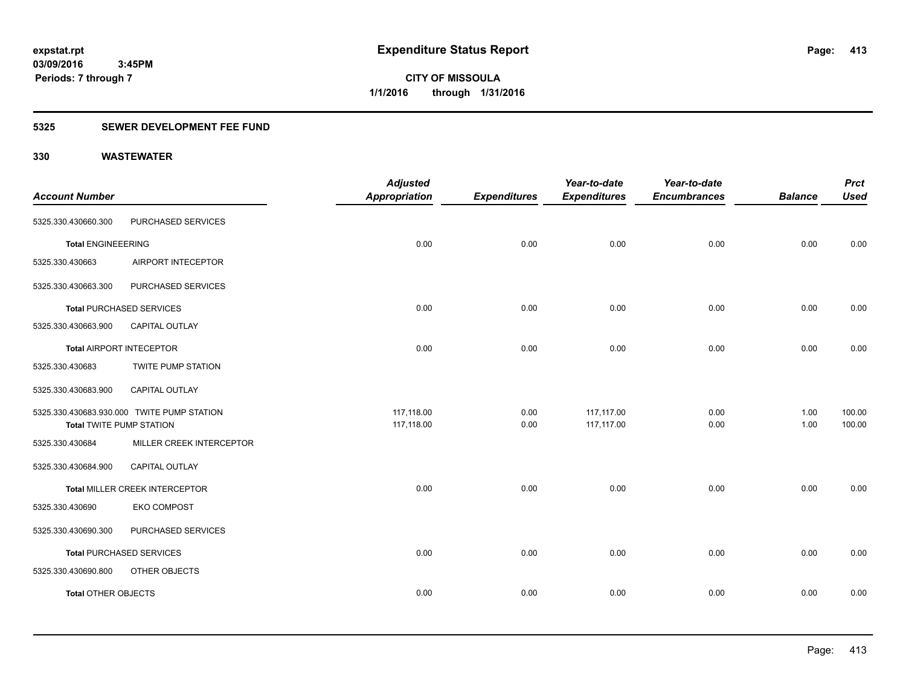**Periods: 7 through 7**

**CITY OF MISSOULA 1/1/2016 through 1/31/2016**

### **5325 SEWER DEVELOPMENT FEE FUND**

 **3:45PM**

|                                 |                                            | <b>Adjusted</b>      |                     | Year-to-date        | Year-to-date        |                | <b>Prct</b> |
|---------------------------------|--------------------------------------------|----------------------|---------------------|---------------------|---------------------|----------------|-------------|
| <b>Account Number</b>           |                                            | <b>Appropriation</b> | <b>Expenditures</b> | <b>Expenditures</b> | <b>Encumbrances</b> | <b>Balance</b> | <b>Used</b> |
| 5325.330.430660.300             | PURCHASED SERVICES                         |                      |                     |                     |                     |                |             |
| <b>Total ENGINEEERING</b>       |                                            | 0.00                 | 0.00                | 0.00                | 0.00                | 0.00           | 0.00        |
| 5325.330.430663                 | AIRPORT INTECEPTOR                         |                      |                     |                     |                     |                |             |
| 5325.330.430663.300             | PURCHASED SERVICES                         |                      |                     |                     |                     |                |             |
|                                 | <b>Total PURCHASED SERVICES</b>            | 0.00                 | 0.00                | 0.00                | 0.00                | 0.00           | 0.00        |
| 5325.330.430663.900             | <b>CAPITAL OUTLAY</b>                      |                      |                     |                     |                     |                |             |
|                                 | <b>Total AIRPORT INTECEPTOR</b>            | 0.00                 | 0.00                | 0.00                | 0.00                | 0.00           | 0.00        |
| 5325.330.430683                 | <b>TWITE PUMP STATION</b>                  |                      |                     |                     |                     |                |             |
| 5325.330.430683.900             | CAPITAL OUTLAY                             |                      |                     |                     |                     |                |             |
|                                 | 5325.330.430683.930.000 TWITE PUMP STATION | 117,118.00           | 0.00                | 117,117.00          | 0.00                | 1.00           | 100.00      |
| <b>Total TWITE PUMP STATION</b> |                                            | 117,118.00           | 0.00                | 117,117.00          | 0.00                | 1.00           | 100.00      |
| 5325.330.430684                 | MILLER CREEK INTERCEPTOR                   |                      |                     |                     |                     |                |             |
| 5325.330.430684.900             | CAPITAL OUTLAY                             |                      |                     |                     |                     |                |             |
|                                 | Total MILLER CREEK INTERCEPTOR             | 0.00                 | 0.00                | 0.00                | 0.00                | 0.00           | 0.00        |
| 5325.330.430690                 | <b>EKO COMPOST</b>                         |                      |                     |                     |                     |                |             |
| 5325.330.430690.300             | PURCHASED SERVICES                         |                      |                     |                     |                     |                |             |
|                                 | <b>Total PURCHASED SERVICES</b>            | 0.00                 | 0.00                | 0.00                | 0.00                | 0.00           | 0.00        |
| 5325.330.430690.800             | OTHER OBJECTS                              |                      |                     |                     |                     |                |             |
| <b>Total OTHER OBJECTS</b>      |                                            | 0.00                 | 0.00                | 0.00                | 0.00                | 0.00           | 0.00        |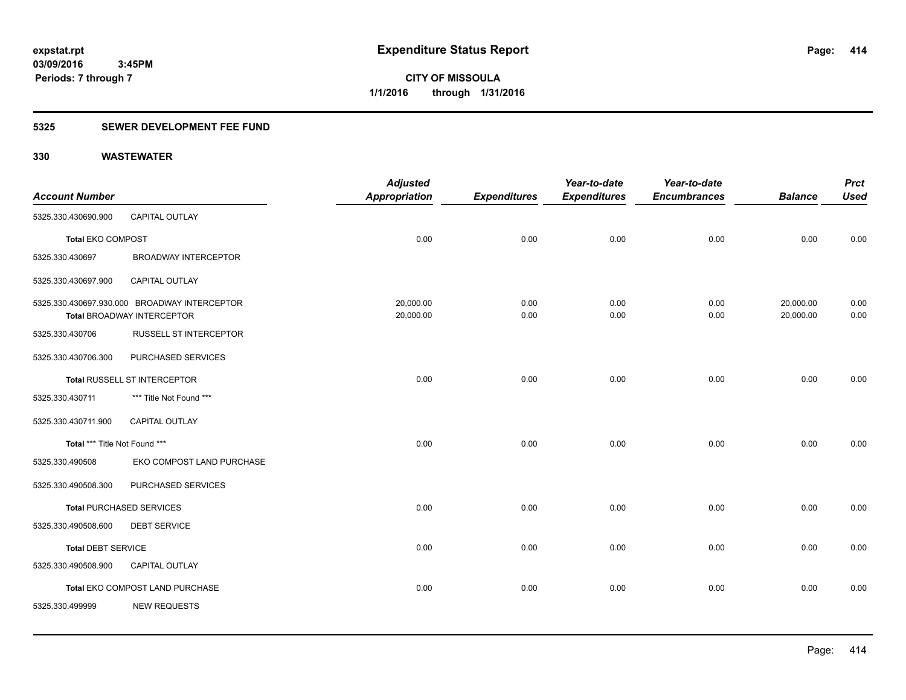### **5325 SEWER DEVELOPMENT FEE FUND**

|                               |                                              | <b>Adjusted</b>      |                     | Year-to-date        | Year-to-date        |                | <b>Prct</b> |
|-------------------------------|----------------------------------------------|----------------------|---------------------|---------------------|---------------------|----------------|-------------|
| <b>Account Number</b>         |                                              | <b>Appropriation</b> | <b>Expenditures</b> | <b>Expenditures</b> | <b>Encumbrances</b> | <b>Balance</b> | <b>Used</b> |
| 5325.330.430690.900           | CAPITAL OUTLAY                               |                      |                     |                     |                     |                |             |
| <b>Total EKO COMPOST</b>      |                                              | 0.00                 | 0.00                | 0.00                | 0.00                | 0.00           | 0.00        |
| 5325.330.430697               | <b>BROADWAY INTERCEPTOR</b>                  |                      |                     |                     |                     |                |             |
| 5325.330.430697.900           | <b>CAPITAL OUTLAY</b>                        |                      |                     |                     |                     |                |             |
|                               | 5325.330.430697.930.000 BROADWAY INTERCEPTOR | 20,000.00            | 0.00                | 0.00                | 0.00                | 20,000.00      | 0.00        |
|                               | <b>Total BROADWAY INTERCEPTOR</b>            | 20,000.00            | 0.00                | 0.00                | 0.00                | 20,000.00      | 0.00        |
| 5325.330.430706               | <b>RUSSELL ST INTERCEPTOR</b>                |                      |                     |                     |                     |                |             |
| 5325.330.430706.300           | PURCHASED SERVICES                           |                      |                     |                     |                     |                |             |
|                               | <b>Total RUSSELL ST INTERCEPTOR</b>          | 0.00                 | 0.00                | 0.00                | 0.00                | 0.00           | 0.00        |
| 5325.330.430711               | *** Title Not Found ***                      |                      |                     |                     |                     |                |             |
| 5325.330.430711.900           | <b>CAPITAL OUTLAY</b>                        |                      |                     |                     |                     |                |             |
| Total *** Title Not Found *** |                                              | 0.00                 | 0.00                | 0.00                | 0.00                | 0.00           | 0.00        |
| 5325.330.490508               | EKO COMPOST LAND PURCHASE                    |                      |                     |                     |                     |                |             |
| 5325.330.490508.300           | PURCHASED SERVICES                           |                      |                     |                     |                     |                |             |
|                               | <b>Total PURCHASED SERVICES</b>              | 0.00                 | 0.00                | 0.00                | 0.00                | 0.00           | 0.00        |
| 5325.330.490508.600           | <b>DEBT SERVICE</b>                          |                      |                     |                     |                     |                |             |
| <b>Total DEBT SERVICE</b>     |                                              | 0.00                 | 0.00                | 0.00                | 0.00                | 0.00           | 0.00        |
| 5325.330.490508.900           | CAPITAL OUTLAY                               |                      |                     |                     |                     |                |             |
|                               | Total EKO COMPOST LAND PURCHASE              | 0.00                 | 0.00                | 0.00                | 0.00                | 0.00           | 0.00        |
| 5325.330.499999               | <b>NEW REQUESTS</b>                          |                      |                     |                     |                     |                |             |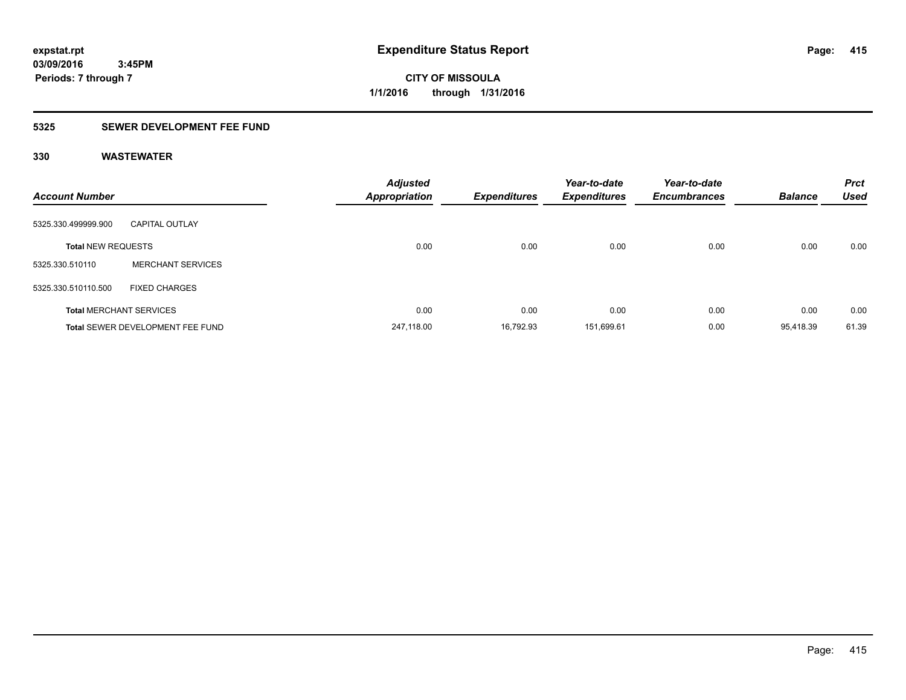**Periods: 7 through 7**

**CITY OF MISSOULA 1/1/2016 through 1/31/2016**

### **5325 SEWER DEVELOPMENT FEE FUND**

| <b>Account Number</b>     |                                         | <b>Adjusted</b><br><b>Appropriation</b> | <b>Expenditures</b> | Year-to-date<br><b>Expenditures</b> | Year-to-date<br><b>Encumbrances</b> | <b>Balance</b> | <b>Prct</b><br><b>Used</b> |
|---------------------------|-----------------------------------------|-----------------------------------------|---------------------|-------------------------------------|-------------------------------------|----------------|----------------------------|
| 5325.330.499999.900       | <b>CAPITAL OUTLAY</b>                   |                                         |                     |                                     |                                     |                |                            |
| <b>Total NEW REQUESTS</b> |                                         | 0.00                                    | 0.00                | 0.00                                | 0.00                                | 0.00           | 0.00                       |
| 5325.330.510110           | <b>MERCHANT SERVICES</b>                |                                         |                     |                                     |                                     |                |                            |
| 5325.330.510110.500       | <b>FIXED CHARGES</b>                    |                                         |                     |                                     |                                     |                |                            |
|                           | <b>Total MERCHANT SERVICES</b>          | 0.00                                    | 0.00                | 0.00                                | 0.00                                | 0.00           | 0.00                       |
|                           | <b>Total SEWER DEVELOPMENT FEE FUND</b> | 247.118.00                              | 16.792.93           | 151.699.61                          | 0.00                                | 95.418.39      | 61.39                      |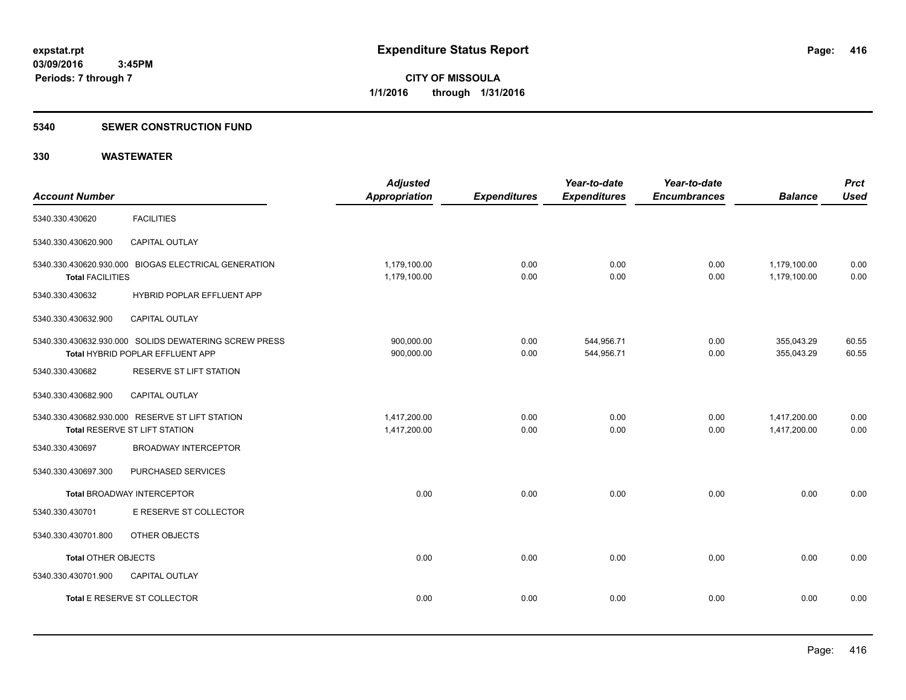### **5340 SEWER CONSTRUCTION FUND**

| <b>Account Number</b>   |                                                                                           | <b>Adjusted</b><br><b>Appropriation</b> | <b>Expenditures</b> | Year-to-date<br><b>Expenditures</b> | Year-to-date<br><b>Encumbrances</b> | <b>Balance</b>               | <b>Prct</b><br><b>Used</b> |
|-------------------------|-------------------------------------------------------------------------------------------|-----------------------------------------|---------------------|-------------------------------------|-------------------------------------|------------------------------|----------------------------|
| 5340.330.430620         | <b>FACILITIES</b>                                                                         |                                         |                     |                                     |                                     |                              |                            |
| 5340.330.430620.900     | <b>CAPITAL OUTLAY</b>                                                                     |                                         |                     |                                     |                                     |                              |                            |
| <b>Total FACILITIES</b> | 5340.330.430620.930.000 BIOGAS ELECTRICAL GENERATION                                      | 1,179,100.00<br>1,179,100.00            | 0.00<br>0.00        | 0.00<br>0.00                        | 0.00<br>0.00                        | 1,179,100.00<br>1,179,100.00 | 0.00<br>0.00               |
| 5340.330.430632         | HYBRID POPLAR EFFLUENT APP                                                                |                                         |                     |                                     |                                     |                              |                            |
| 5340.330.430632.900     | CAPITAL OUTLAY                                                                            |                                         |                     |                                     |                                     |                              |                            |
|                         | 5340.330.430632.930.000 SOLIDS DEWATERING SCREW PRESS<br>Total HYBRID POPLAR EFFLUENT APP | 900,000.00<br>900,000.00                | 0.00<br>0.00        | 544,956.71<br>544,956.71            | 0.00<br>0.00                        | 355,043.29<br>355,043.29     | 60.55<br>60.55             |
| 5340.330.430682         | RESERVE ST LIFT STATION                                                                   |                                         |                     |                                     |                                     |                              |                            |
| 5340.330.430682.900     | <b>CAPITAL OUTLAY</b>                                                                     |                                         |                     |                                     |                                     |                              |                            |
|                         | 5340.330.430682.930.000 RESERVE ST LIFT STATION<br>Total RESERVE ST LIFT STATION          | 1,417,200.00<br>1,417,200.00            | 0.00<br>0.00        | 0.00<br>0.00                        | 0.00<br>0.00                        | 1,417,200.00<br>1,417,200.00 | 0.00<br>0.00               |
| 5340.330.430697         | <b>BROADWAY INTERCEPTOR</b>                                                               |                                         |                     |                                     |                                     |                              |                            |
| 5340.330.430697.300     | PURCHASED SERVICES                                                                        |                                         |                     |                                     |                                     |                              |                            |
|                         | <b>Total BROADWAY INTERCEPTOR</b>                                                         | 0.00                                    | 0.00                | 0.00                                | 0.00                                | 0.00                         | 0.00                       |
| 5340.330.430701         | E RESERVE ST COLLECTOR                                                                    |                                         |                     |                                     |                                     |                              |                            |
| 5340.330.430701.800     | OTHER OBJECTS                                                                             |                                         |                     |                                     |                                     |                              |                            |
| Total OTHER OBJECTS     |                                                                                           | 0.00                                    | 0.00                | 0.00                                | 0.00                                | 0.00                         | 0.00                       |
| 5340.330.430701.900     | <b>CAPITAL OUTLAY</b>                                                                     |                                         |                     |                                     |                                     |                              |                            |
|                         | Total E RESERVE ST COLLECTOR                                                              | 0.00                                    | 0.00                | 0.00                                | 0.00                                | 0.00                         | 0.00                       |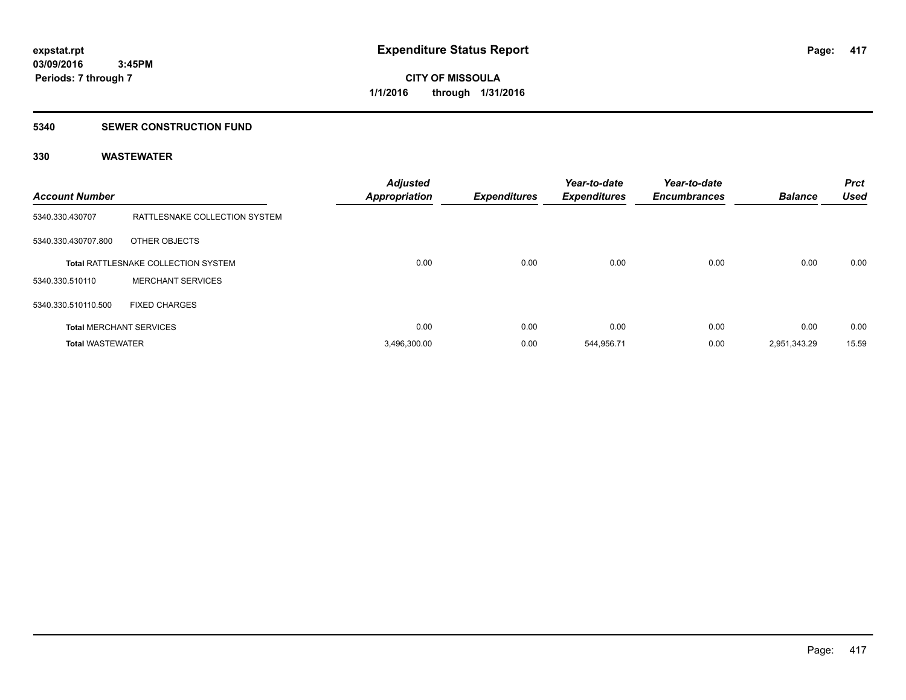### **5340 SEWER CONSTRUCTION FUND**

| <b>Account Number</b>   |                                     | <b>Adjusted</b><br><b>Appropriation</b> | <b>Expenditures</b> | Year-to-date<br><b>Expenditures</b> | Year-to-date<br><b>Encumbrances</b> | <b>Balance</b> | <b>Prct</b><br><b>Used</b> |
|-------------------------|-------------------------------------|-----------------------------------------|---------------------|-------------------------------------|-------------------------------------|----------------|----------------------------|
| 5340.330.430707         | RATTLESNAKE COLLECTION SYSTEM       |                                         |                     |                                     |                                     |                |                            |
| 5340.330.430707.800     | OTHER OBJECTS                       |                                         |                     |                                     |                                     |                |                            |
|                         | Total RATTLESNAKE COLLECTION SYSTEM | 0.00                                    | 0.00                | 0.00                                | 0.00                                | 0.00           | 0.00                       |
| 5340.330.510110         | <b>MERCHANT SERVICES</b>            |                                         |                     |                                     |                                     |                |                            |
| 5340.330.510110.500     | <b>FIXED CHARGES</b>                |                                         |                     |                                     |                                     |                |                            |
|                         | <b>Total MERCHANT SERVICES</b>      | 0.00                                    | 0.00                | 0.00                                | 0.00                                | 0.00           | 0.00                       |
| <b>Total WASTEWATER</b> |                                     | 3.496.300.00                            | 0.00                | 544.956.71                          | 0.00                                | 2,951,343.29   | 15.59                      |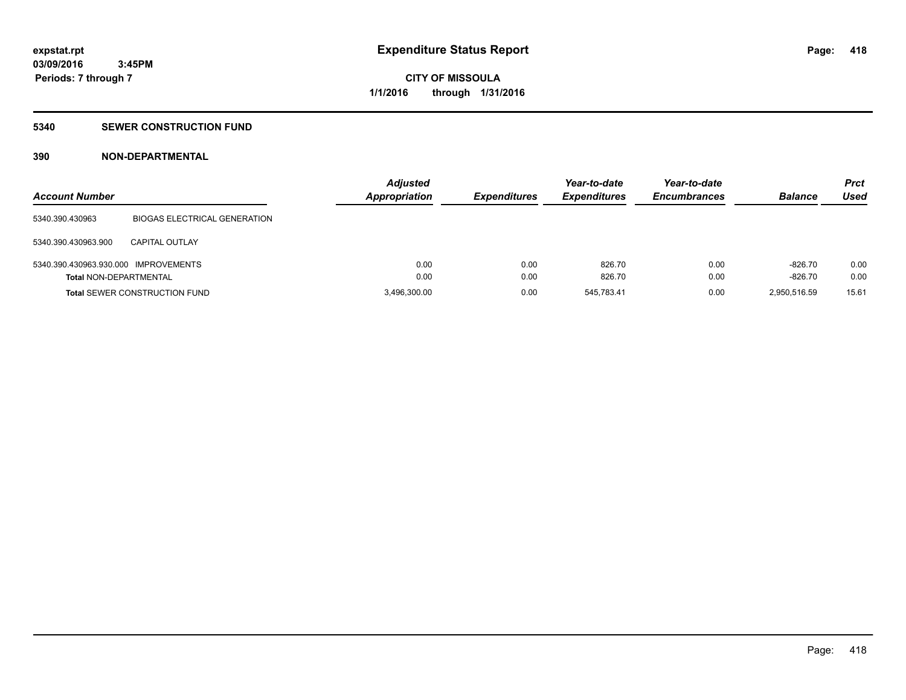### **5340 SEWER CONSTRUCTION FUND**

### **390 NON-DEPARTMENTAL**

| <b>Account Number</b>                |                                      | <b>Adjusted</b><br><b>Appropriation</b> | <b>Expenditures</b> | Year-to-date<br><b>Expenditures</b> | Year-to-date<br><b>Encumbrances</b> | <b>Balance</b> | <b>Prct</b><br>Used |
|--------------------------------------|--------------------------------------|-----------------------------------------|---------------------|-------------------------------------|-------------------------------------|----------------|---------------------|
| 5340.390.430963                      | <b>BIOGAS ELECTRICAL GENERATION</b>  |                                         |                     |                                     |                                     |                |                     |
| 5340.390.430963.900                  | <b>CAPITAL OUTLAY</b>                |                                         |                     |                                     |                                     |                |                     |
| 5340.390.430963.930.000 IMPROVEMENTS |                                      | 0.00                                    | 0.00                | 826.70                              | 0.00                                | $-826.70$      | 0.00                |
| <b>Total NON-DEPARTMENTAL</b>        |                                      | 0.00                                    | 0.00                | 826.70                              | 0.00                                | $-826.70$      | 0.00                |
|                                      | <b>Total SEWER CONSTRUCTION FUND</b> | 3,496,300.00                            | 0.00                | 545,783.41                          | 0.00                                | 2,950,516.59   | 15.61               |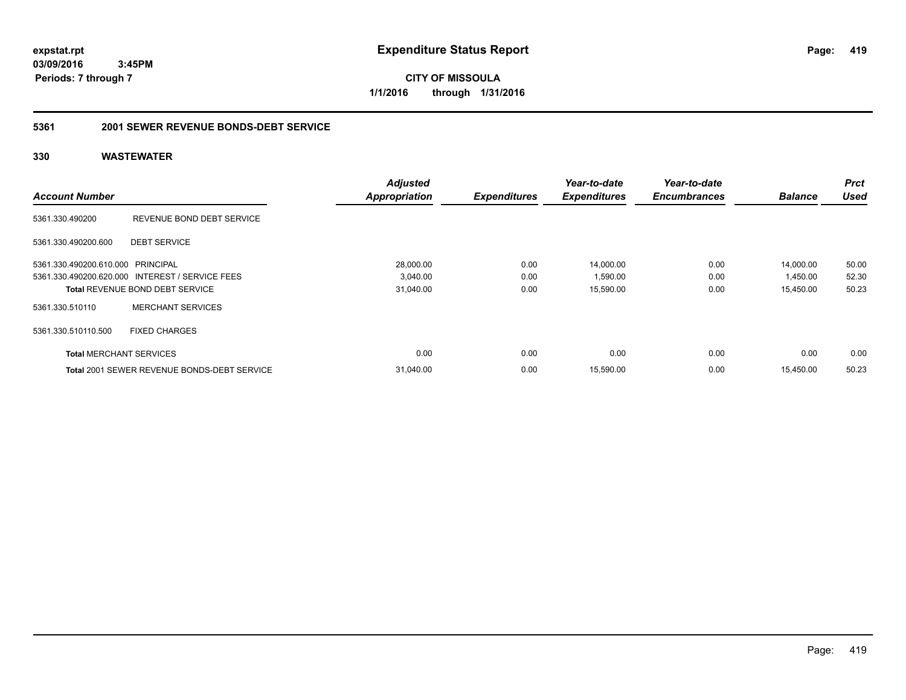**CITY OF MISSOULA 1/1/2016 through 1/31/2016**

### **5361 2001 SEWER REVENUE BONDS-DEBT SERVICE**

|                                   |                                                    | <b>Adjusted</b>      |                     | Year-to-date        | Year-to-date        |                | <b>Prct</b> |
|-----------------------------------|----------------------------------------------------|----------------------|---------------------|---------------------|---------------------|----------------|-------------|
| <b>Account Number</b>             |                                                    | <b>Appropriation</b> | <b>Expenditures</b> | <b>Expenditures</b> | <b>Encumbrances</b> | <b>Balance</b> | Used        |
| 5361.330.490200                   | REVENUE BOND DEBT SERVICE                          |                      |                     |                     |                     |                |             |
| 5361.330.490200.600               | <b>DEBT SERVICE</b>                                |                      |                     |                     |                     |                |             |
| 5361.330.490200.610.000 PRINCIPAL |                                                    | 28.000.00            | 0.00                | 14,000.00           | 0.00                | 14,000.00      | 50.00       |
|                                   | 5361.330.490200.620.000 INTEREST / SERVICE FEES    | 3,040.00             | 0.00                | 1,590.00            | 0.00                | 1,450.00       | 52.30       |
|                                   | <b>Total REVENUE BOND DEBT SERVICE</b>             | 31,040.00            | 0.00                | 15,590.00           | 0.00                | 15,450.00      | 50.23       |
| 5361.330.510110                   | <b>MERCHANT SERVICES</b>                           |                      |                     |                     |                     |                |             |
| 5361.330.510110.500               | <b>FIXED CHARGES</b>                               |                      |                     |                     |                     |                |             |
| <b>Total MERCHANT SERVICES</b>    |                                                    | 0.00                 | 0.00                | 0.00                | 0.00                | 0.00           | 0.00        |
|                                   | <b>Total 2001 SEWER REVENUE BONDS-DEBT SERVICE</b> | 31,040.00            | 0.00                | 15,590.00           | 0.00                | 15,450.00      | 50.23       |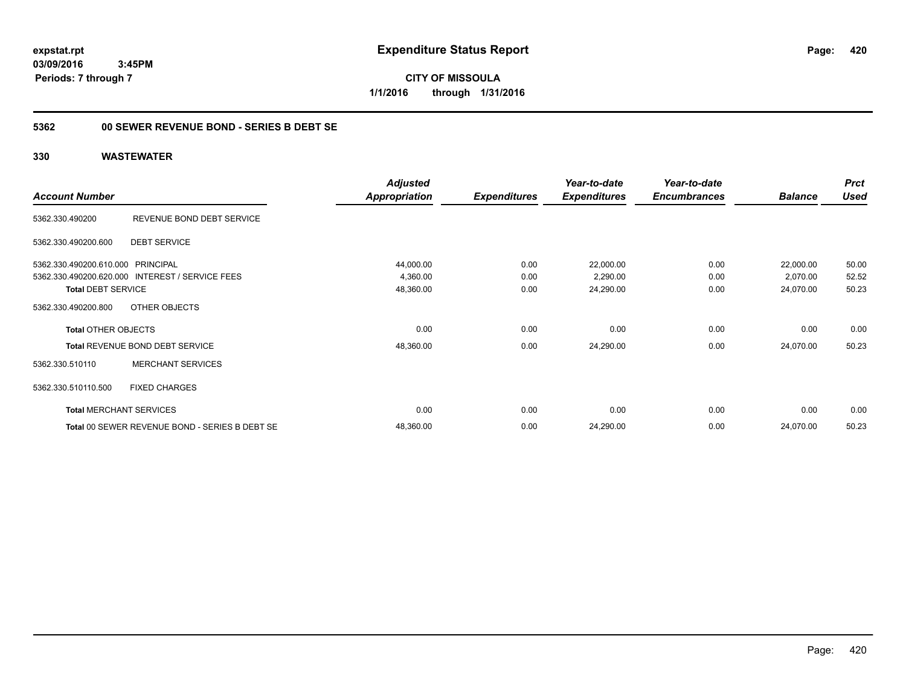**CITY OF MISSOULA 1/1/2016 through 1/31/2016**

### **5362 00 SEWER REVENUE BOND - SERIES B DEBT SE**

|                                   |                                                 | <b>Adjusted</b>      |                     | Year-to-date        | Year-to-date        |                | <b>Prct</b> |
|-----------------------------------|-------------------------------------------------|----------------------|---------------------|---------------------|---------------------|----------------|-------------|
| <b>Account Number</b>             |                                                 | <b>Appropriation</b> | <b>Expenditures</b> | <b>Expenditures</b> | <b>Encumbrances</b> | <b>Balance</b> | <b>Used</b> |
| 5362.330.490200                   | REVENUE BOND DEBT SERVICE                       |                      |                     |                     |                     |                |             |
| 5362.330.490200.600               | <b>DEBT SERVICE</b>                             |                      |                     |                     |                     |                |             |
| 5362.330.490200.610.000 PRINCIPAL |                                                 | 44,000.00            | 0.00                | 22,000.00           | 0.00                | 22,000.00      | 50.00       |
|                                   | 5362.330.490200.620.000 INTEREST / SERVICE FEES | 4,360.00             | 0.00                | 2,290.00            | 0.00                | 2,070.00       | 52.52       |
| <b>Total DEBT SERVICE</b>         |                                                 | 48,360.00            | 0.00                | 24,290.00           | 0.00                | 24,070.00      | 50.23       |
| 5362.330.490200.800               | OTHER OBJECTS                                   |                      |                     |                     |                     |                |             |
| <b>Total OTHER OBJECTS</b>        |                                                 | 0.00                 | 0.00                | 0.00                | 0.00                | 0.00           | 0.00        |
|                                   | Total REVENUE BOND DEBT SERVICE                 | 48,360.00            | 0.00                | 24,290.00           | 0.00                | 24,070.00      | 50.23       |
| 5362.330.510110                   | <b>MERCHANT SERVICES</b>                        |                      |                     |                     |                     |                |             |
| 5362.330.510110.500               | <b>FIXED CHARGES</b>                            |                      |                     |                     |                     |                |             |
|                                   | <b>Total MERCHANT SERVICES</b>                  | 0.00                 | 0.00                | 0.00                | 0.00                | 0.00           | 0.00        |
|                                   | Total 00 SEWER REVENUE BOND - SERIES B DEBT SE  | 48,360.00            | 0.00                | 24,290.00           | 0.00                | 24,070.00      | 50.23       |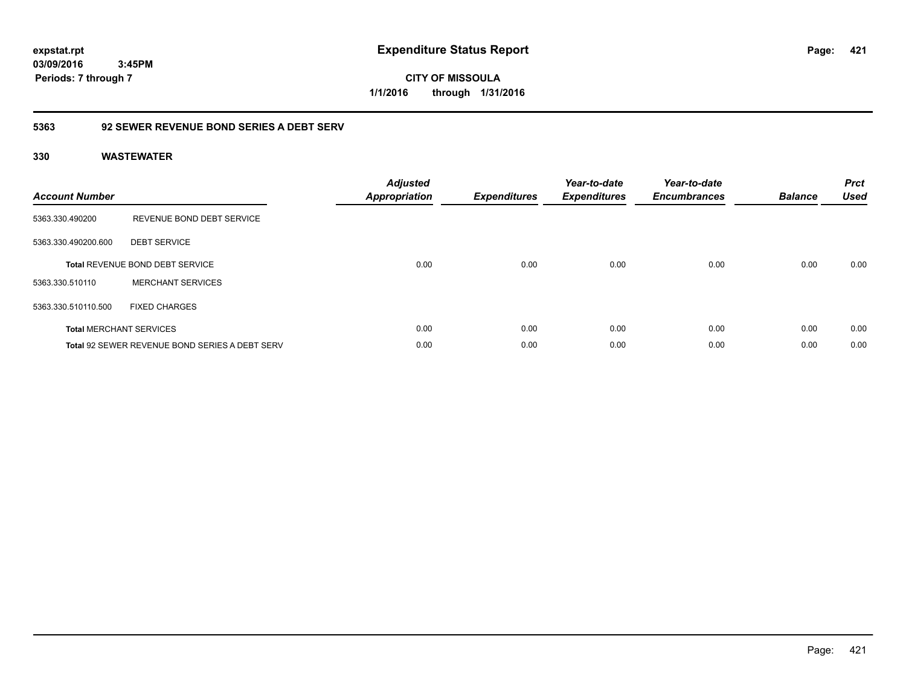**CITY OF MISSOULA 1/1/2016 through 1/31/2016**

### **5363 92 SEWER REVENUE BOND SERIES A DEBT SERV**

| <b>Account Number</b> |                                                       | <b>Adjusted</b><br><b>Appropriation</b> | <b>Expenditures</b> | Year-to-date<br><b>Expenditures</b> | Year-to-date<br><b>Encumbrances</b> | <b>Balance</b> | <b>Prct</b><br><b>Used</b> |
|-----------------------|-------------------------------------------------------|-----------------------------------------|---------------------|-------------------------------------|-------------------------------------|----------------|----------------------------|
| 5363.330.490200       | REVENUE BOND DEBT SERVICE                             |                                         |                     |                                     |                                     |                |                            |
| 5363.330.490200.600   | <b>DEBT SERVICE</b>                                   |                                         |                     |                                     |                                     |                |                            |
|                       | Total REVENUE BOND DEBT SERVICE                       | 0.00                                    | 0.00                | 0.00                                | 0.00                                | 0.00           | 0.00                       |
| 5363.330.510110       | <b>MERCHANT SERVICES</b>                              |                                         |                     |                                     |                                     |                |                            |
| 5363.330.510110.500   | <b>FIXED CHARGES</b>                                  |                                         |                     |                                     |                                     |                |                            |
|                       | <b>Total MERCHANT SERVICES</b>                        | 0.00                                    | 0.00                | 0.00                                | 0.00                                | 0.00           | 0.00                       |
|                       | <b>Total 92 SEWER REVENUE BOND SERIES A DEBT SERV</b> | 0.00                                    | 0.00                | 0.00                                | 0.00                                | 0.00           | 0.00                       |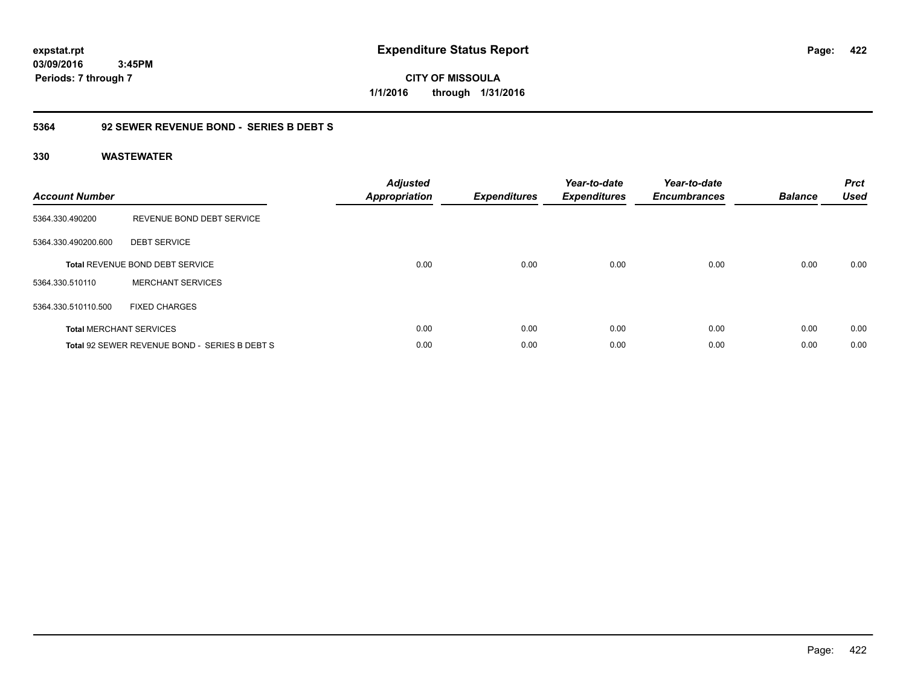**CITY OF MISSOULA 1/1/2016 through 1/31/2016**

### **5364 92 SEWER REVENUE BOND - SERIES B DEBT S**

| <b>Account Number</b> |                                               | <b>Adjusted</b><br><b>Appropriation</b> | <b>Expenditures</b> | Year-to-date<br><b>Expenditures</b> | Year-to-date<br><b>Encumbrances</b> | <b>Balance</b> | <b>Prct</b><br><b>Used</b> |
|-----------------------|-----------------------------------------------|-----------------------------------------|---------------------|-------------------------------------|-------------------------------------|----------------|----------------------------|
| 5364.330.490200       | REVENUE BOND DEBT SERVICE                     |                                         |                     |                                     |                                     |                |                            |
| 5364.330.490200.600   | <b>DEBT SERVICE</b>                           |                                         |                     |                                     |                                     |                |                            |
|                       | <b>Total REVENUE BOND DEBT SERVICE</b>        | 0.00                                    | 0.00                | 0.00                                | 0.00                                | 0.00           | 0.00                       |
| 5364.330.510110       | <b>MERCHANT SERVICES</b>                      |                                         |                     |                                     |                                     |                |                            |
| 5364.330.510110.500   | <b>FIXED CHARGES</b>                          |                                         |                     |                                     |                                     |                |                            |
|                       | <b>Total MERCHANT SERVICES</b>                | 0.00                                    | 0.00                | 0.00                                | 0.00                                | 0.00           | 0.00                       |
|                       | Total 92 SEWER REVENUE BOND - SERIES B DEBT S | 0.00                                    | 0.00                | 0.00                                | 0.00                                | 0.00           | 0.00                       |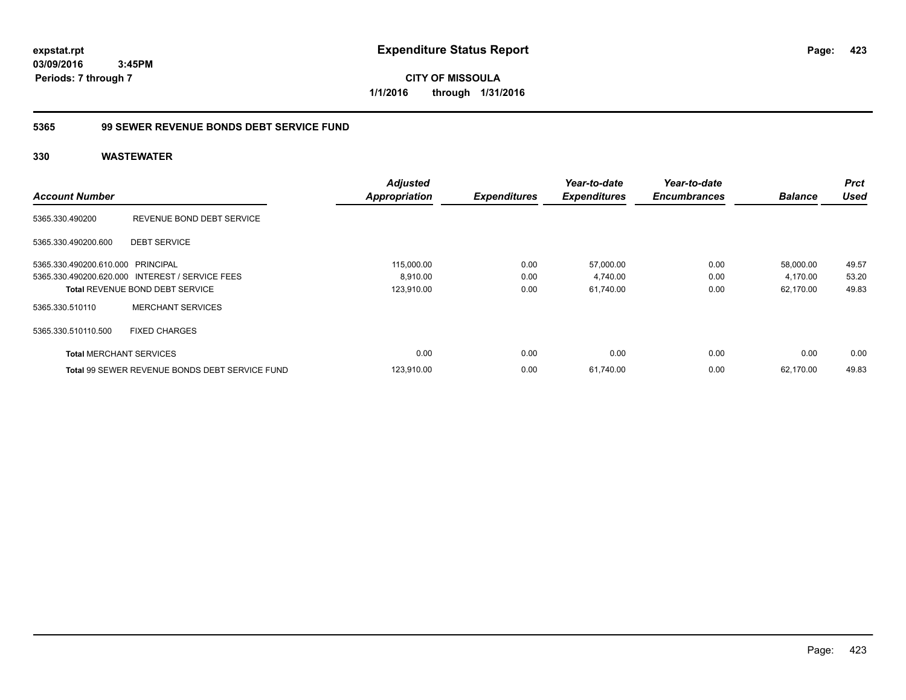**CITY OF MISSOULA 1/1/2016 through 1/31/2016**

### **5365 99 SEWER REVENUE BONDS DEBT SERVICE FUND**

|                                   |                                                       | <b>Adjusted</b>      |                     | Year-to-date        | Year-to-date        |                | <b>Prct</b> |
|-----------------------------------|-------------------------------------------------------|----------------------|---------------------|---------------------|---------------------|----------------|-------------|
| <b>Account Number</b>             |                                                       | <b>Appropriation</b> | <b>Expenditures</b> | <b>Expenditures</b> | <b>Encumbrances</b> | <b>Balance</b> | Used        |
| 5365.330.490200                   | REVENUE BOND DEBT SERVICE                             |                      |                     |                     |                     |                |             |
| 5365.330.490200.600               | <b>DEBT SERVICE</b>                                   |                      |                     |                     |                     |                |             |
| 5365.330.490200.610.000 PRINCIPAL |                                                       | 115,000.00           | 0.00                | 57,000.00           | 0.00                | 58,000.00      | 49.57       |
|                                   | 5365.330.490200.620.000 INTEREST / SERVICE FEES       | 8,910.00             | 0.00                | 4,740.00            | 0.00                | 4,170.00       | 53.20       |
|                                   | <b>Total REVENUE BOND DEBT SERVICE</b>                | 123,910.00           | 0.00                | 61,740.00           | 0.00                | 62,170.00      | 49.83       |
| 5365.330.510110                   | <b>MERCHANT SERVICES</b>                              |                      |                     |                     |                     |                |             |
| 5365.330.510110.500               | <b>FIXED CHARGES</b>                                  |                      |                     |                     |                     |                |             |
| <b>Total MERCHANT SERVICES</b>    |                                                       | 0.00                 | 0.00                | 0.00                | 0.00                | 0.00           | 0.00        |
|                                   | <b>Total 99 SEWER REVENUE BONDS DEBT SERVICE FUND</b> | 123,910.00           | 0.00                | 61,740.00           | 0.00                | 62.170.00      | 49.83       |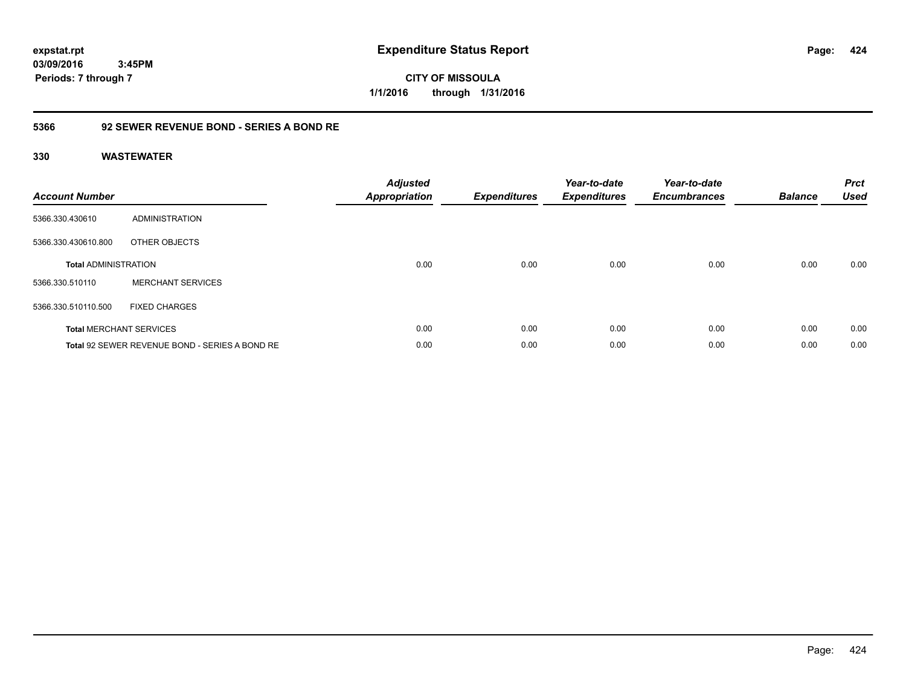**CITY OF MISSOULA 1/1/2016 through 1/31/2016**

### **5366 92 SEWER REVENUE BOND - SERIES A BOND RE**

| <b>Account Number</b>       |                                                | <b>Adjusted</b><br>Appropriation | <b>Expenditures</b> | Year-to-date<br><b>Expenditures</b> | Year-to-date<br><b>Encumbrances</b> | <b>Balance</b> | <b>Prct</b><br><b>Used</b> |
|-----------------------------|------------------------------------------------|----------------------------------|---------------------|-------------------------------------|-------------------------------------|----------------|----------------------------|
| 5366.330.430610             | ADMINISTRATION                                 |                                  |                     |                                     |                                     |                |                            |
| 5366.330.430610.800         | OTHER OBJECTS                                  |                                  |                     |                                     |                                     |                |                            |
| <b>Total ADMINISTRATION</b> |                                                | 0.00                             | 0.00                | 0.00                                | 0.00                                | 0.00           | 0.00                       |
| 5366.330.510110             | <b>MERCHANT SERVICES</b>                       |                                  |                     |                                     |                                     |                |                            |
| 5366.330.510110.500         | <b>FIXED CHARGES</b>                           |                                  |                     |                                     |                                     |                |                            |
|                             | <b>Total MERCHANT SERVICES</b>                 | 0.00                             | 0.00                | 0.00                                | 0.00                                | 0.00           | 0.00                       |
|                             | Total 92 SEWER REVENUE BOND - SERIES A BOND RE | 0.00                             | 0.00                | 0.00                                | 0.00                                | 0.00           | 0.00                       |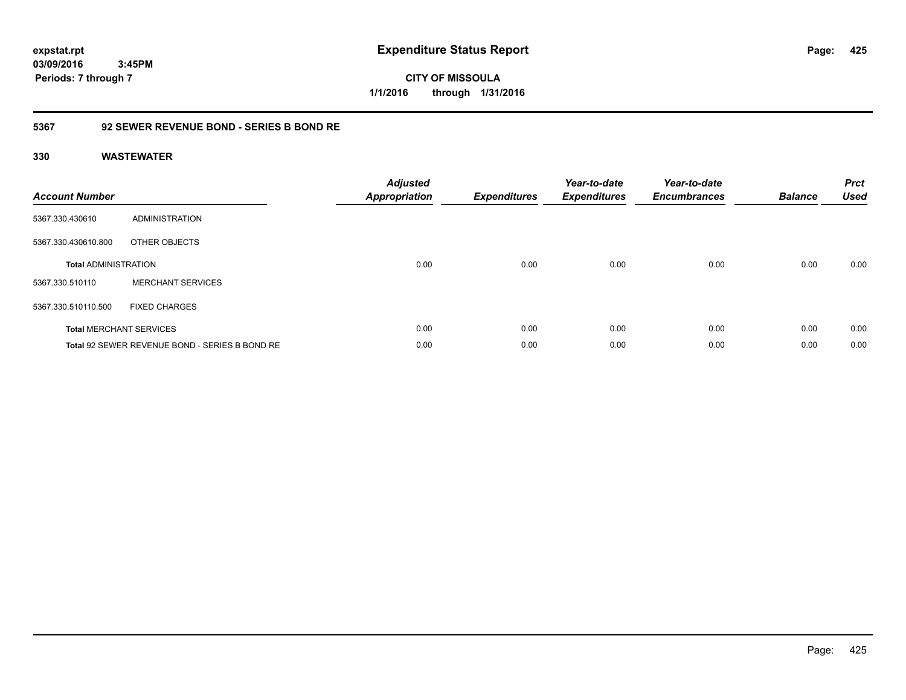**CITY OF MISSOULA 1/1/2016 through 1/31/2016**

### **5367 92 SEWER REVENUE BOND - SERIES B BOND RE**

| <b>Account Number</b>       |                                                | <b>Adjusted</b><br><b>Appropriation</b> | <b>Expenditures</b> | Year-to-date<br><b>Expenditures</b> | Year-to-date<br><b>Encumbrances</b> | <b>Balance</b> | <b>Prct</b><br><b>Used</b> |
|-----------------------------|------------------------------------------------|-----------------------------------------|---------------------|-------------------------------------|-------------------------------------|----------------|----------------------------|
| 5367.330.430610             | ADMINISTRATION                                 |                                         |                     |                                     |                                     |                |                            |
| 5367.330.430610.800         | OTHER OBJECTS                                  |                                         |                     |                                     |                                     |                |                            |
| <b>Total ADMINISTRATION</b> |                                                | 0.00                                    | 0.00                | 0.00                                | 0.00                                | 0.00           | 0.00                       |
| 5367.330.510110             | <b>MERCHANT SERVICES</b>                       |                                         |                     |                                     |                                     |                |                            |
| 5367.330.510110.500         | <b>FIXED CHARGES</b>                           |                                         |                     |                                     |                                     |                |                            |
|                             | <b>Total MERCHANT SERVICES</b>                 | 0.00                                    | 0.00                | 0.00                                | 0.00                                | 0.00           | 0.00                       |
|                             | Total 92 SEWER REVENUE BOND - SERIES B BOND RE | 0.00                                    | 0.00                | 0.00                                | 0.00                                | 0.00           | 0.00                       |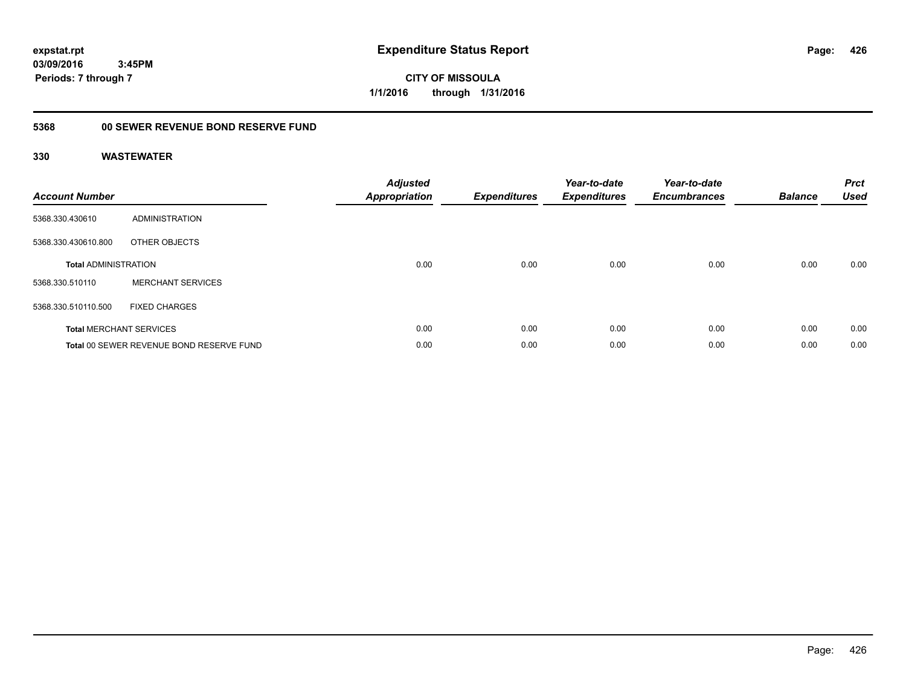**CITY OF MISSOULA 1/1/2016 through 1/31/2016**

#### **5368 00 SEWER REVENUE BOND RESERVE FUND**

| <b>Account Number</b>       |                                          | <b>Adjusted</b><br><b>Appropriation</b> | <b>Expenditures</b> | Year-to-date<br><b>Expenditures</b> | Year-to-date<br><b>Encumbrances</b> | <b>Balance</b> | <b>Prct</b><br><b>Used</b> |
|-----------------------------|------------------------------------------|-----------------------------------------|---------------------|-------------------------------------|-------------------------------------|----------------|----------------------------|
| 5368.330.430610             | ADMINISTRATION                           |                                         |                     |                                     |                                     |                |                            |
| 5368.330.430610.800         | OTHER OBJECTS                            |                                         |                     |                                     |                                     |                |                            |
| <b>Total ADMINISTRATION</b> |                                          | 0.00                                    | 0.00                | 0.00                                | 0.00                                | 0.00           | 0.00                       |
| 5368.330.510110             | <b>MERCHANT SERVICES</b>                 |                                         |                     |                                     |                                     |                |                            |
| 5368.330.510110.500         | <b>FIXED CHARGES</b>                     |                                         |                     |                                     |                                     |                |                            |
|                             | <b>Total MERCHANT SERVICES</b>           | 0.00                                    | 0.00                | 0.00                                | 0.00                                | 0.00           | 0.00                       |
|                             | Total 00 SEWER REVENUE BOND RESERVE FUND | 0.00                                    | 0.00                | 0.00                                | 0.00                                | 0.00           | 0.00                       |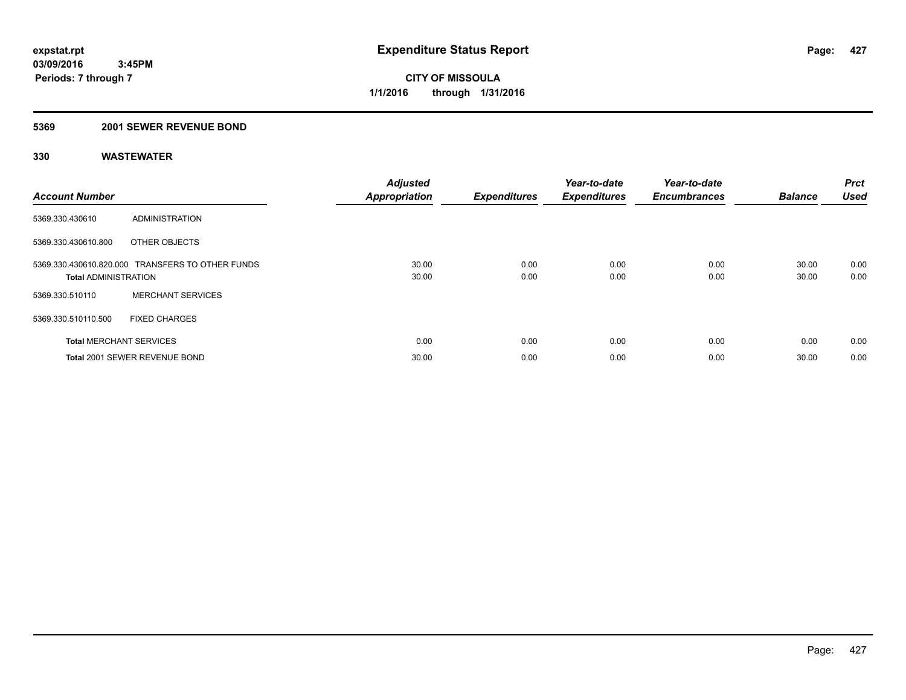### **5369 2001 SEWER REVENUE BOND**

| <b>Account Number</b>          |                                                  | <b>Adjusted</b><br><b>Appropriation</b> | <b>Expenditures</b> | Year-to-date<br><b>Expenditures</b> | Year-to-date<br><b>Encumbrances</b> | <b>Balance</b> | <b>Prct</b><br><b>Used</b> |
|--------------------------------|--------------------------------------------------|-----------------------------------------|---------------------|-------------------------------------|-------------------------------------|----------------|----------------------------|
| 5369.330.430610                | ADMINISTRATION                                   |                                         |                     |                                     |                                     |                |                            |
| 5369.330.430610.800            | OTHER OBJECTS                                    |                                         |                     |                                     |                                     |                |                            |
| <b>Total ADMINISTRATION</b>    | 5369.330.430610.820.000 TRANSFERS TO OTHER FUNDS | 30.00<br>30.00                          | 0.00<br>0.00        | 0.00<br>0.00                        | 0.00<br>0.00                        | 30.00<br>30.00 | 0.00<br>0.00               |
| 5369.330.510110                | <b>MERCHANT SERVICES</b>                         |                                         |                     |                                     |                                     |                |                            |
| 5369.330.510110.500            | <b>FIXED CHARGES</b>                             |                                         |                     |                                     |                                     |                |                            |
| <b>Total MERCHANT SERVICES</b> |                                                  | 0.00                                    | 0.00                | 0.00                                | 0.00                                | 0.00           | 0.00                       |
|                                | Total 2001 SEWER REVENUE BOND                    | 30.00                                   | 0.00                | 0.00                                | 0.00                                | 30.00          | 0.00                       |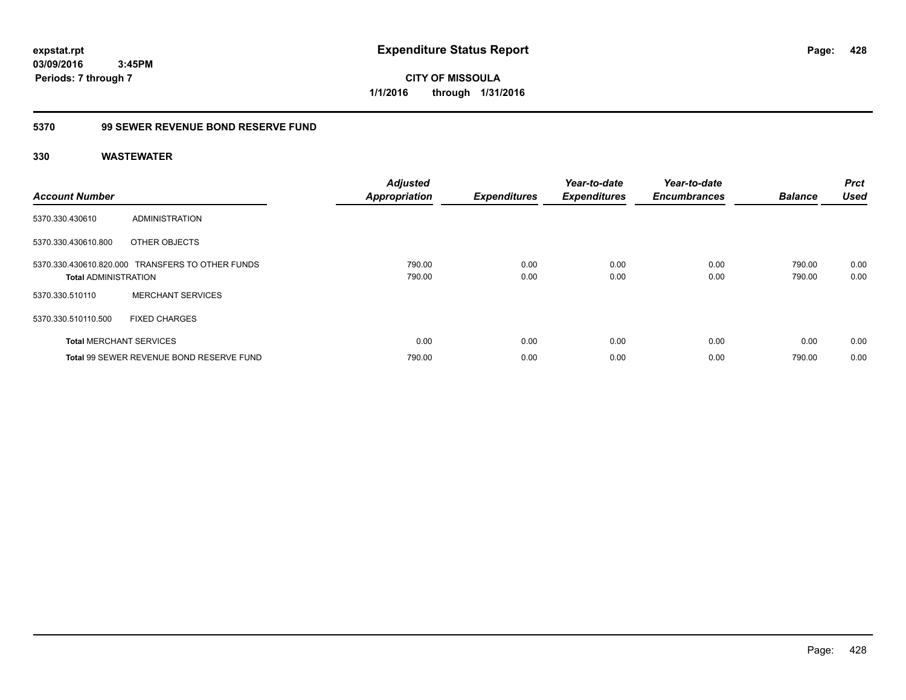**CITY OF MISSOULA 1/1/2016 through 1/31/2016**

# **5370 99 SEWER REVENUE BOND RESERVE FUND**

| <b>Account Number</b>          |                                                  | <b>Adjusted</b><br><b>Appropriation</b> | <b>Expenditures</b> | Year-to-date<br><b>Expenditures</b> | Year-to-date<br><b>Encumbrances</b> | <b>Balance</b>   | <b>Prct</b><br><b>Used</b> |
|--------------------------------|--------------------------------------------------|-----------------------------------------|---------------------|-------------------------------------|-------------------------------------|------------------|----------------------------|
| 5370.330.430610                | ADMINISTRATION                                   |                                         |                     |                                     |                                     |                  |                            |
| 5370.330.430610.800            | OTHER OBJECTS                                    |                                         |                     |                                     |                                     |                  |                            |
| <b>Total ADMINISTRATION</b>    | 5370.330.430610.820.000 TRANSFERS TO OTHER FUNDS | 790.00<br>790.00                        | 0.00<br>0.00        | 0.00<br>0.00                        | 0.00<br>0.00                        | 790.00<br>790.00 | 0.00<br>0.00               |
| 5370.330.510110                | <b>MERCHANT SERVICES</b>                         |                                         |                     |                                     |                                     |                  |                            |
| 5370.330.510110.500            | <b>FIXED CHARGES</b>                             |                                         |                     |                                     |                                     |                  |                            |
| <b>Total MERCHANT SERVICES</b> |                                                  | 0.00                                    | 0.00                | 0.00                                | 0.00                                | 0.00             | 0.00                       |
|                                | Total 99 SEWER REVENUE BOND RESERVE FUND         | 790.00                                  | 0.00                | 0.00                                | 0.00                                | 790.00           | 0.00                       |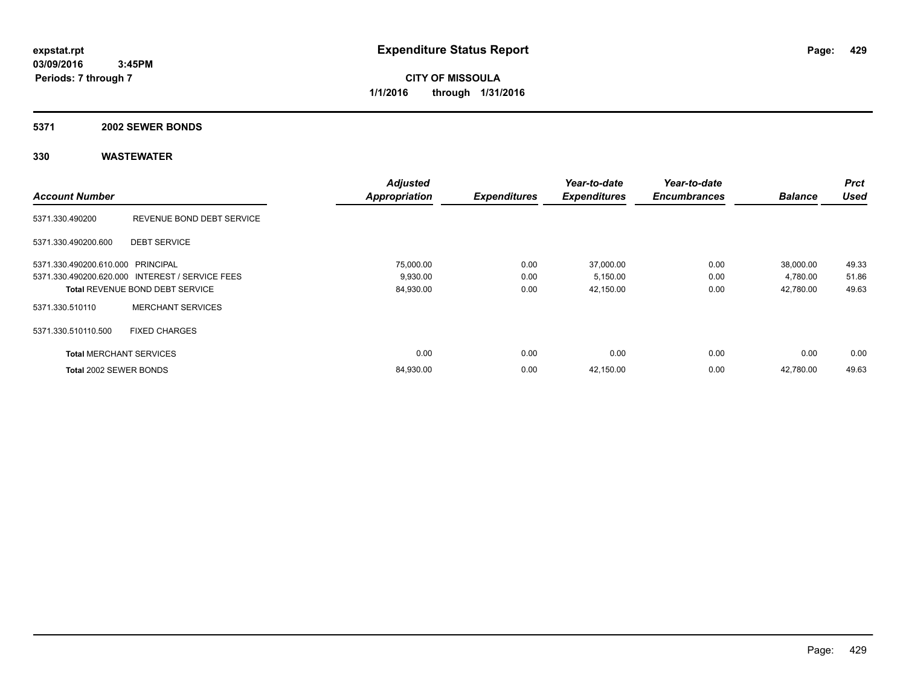**CITY OF MISSOULA 1/1/2016 through 1/31/2016**

# **5371 2002 SEWER BONDS**

|                                   |                                                 | <b>Adjusted</b>      |                     | Year-to-date        | Year-to-date        |                | <b>Prct</b> |
|-----------------------------------|-------------------------------------------------|----------------------|---------------------|---------------------|---------------------|----------------|-------------|
| <b>Account Number</b>             |                                                 | <b>Appropriation</b> | <b>Expenditures</b> | <b>Expenditures</b> | <b>Encumbrances</b> | <b>Balance</b> | <b>Used</b> |
| 5371.330.490200                   | REVENUE BOND DEBT SERVICE                       |                      |                     |                     |                     |                |             |
| 5371.330.490200.600               | <b>DEBT SERVICE</b>                             |                      |                     |                     |                     |                |             |
| 5371.330.490200.610.000 PRINCIPAL |                                                 | 75,000.00            | 0.00                | 37,000.00           | 0.00                | 38,000.00      | 49.33       |
|                                   | 5371.330.490200.620.000 INTEREST / SERVICE FEES | 9,930.00             | 0.00                | 5,150.00            | 0.00                | 4,780.00       | 51.86       |
|                                   | <b>Total REVENUE BOND DEBT SERVICE</b>          | 84,930.00            | 0.00                | 42,150.00           | 0.00                | 42,780.00      | 49.63       |
| 5371.330.510110                   | <b>MERCHANT SERVICES</b>                        |                      |                     |                     |                     |                |             |
| 5371.330.510110.500               | <b>FIXED CHARGES</b>                            |                      |                     |                     |                     |                |             |
| <b>Total MERCHANT SERVICES</b>    |                                                 | 0.00                 | 0.00                | 0.00                | 0.00                | 0.00           | 0.00        |
| Total 2002 SEWER BONDS            |                                                 | 84,930.00            | 0.00                | 42,150.00           | 0.00                | 42.780.00      | 49.63       |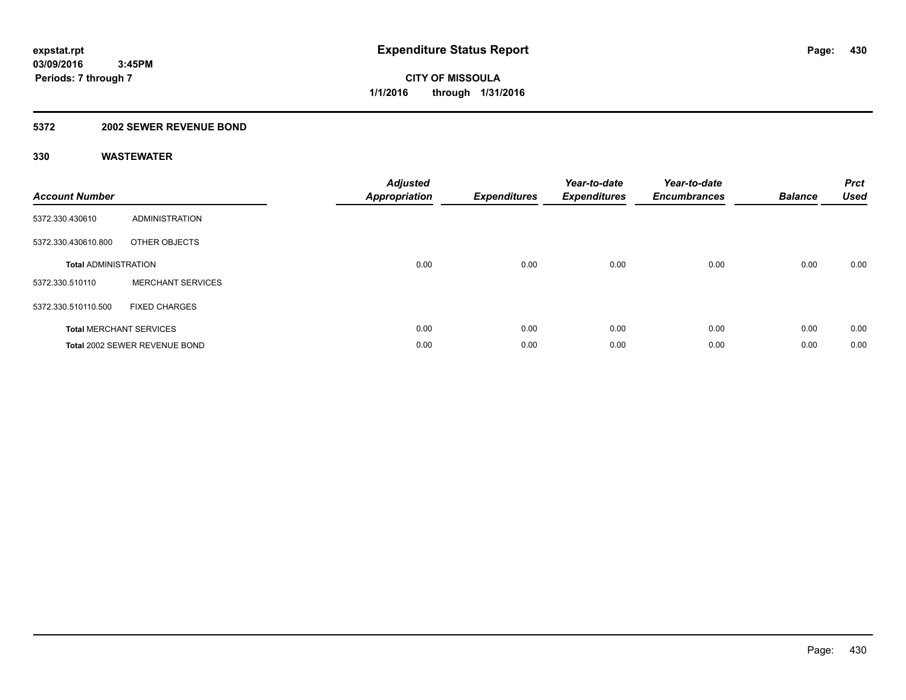### **5372 2002 SEWER REVENUE BOND**

| <b>Account Number</b>       |                                | <b>Adjusted</b><br><b>Appropriation</b> | <b>Expenditures</b> | Year-to-date<br><b>Expenditures</b> | Year-to-date<br><b>Encumbrances</b> | <b>Balance</b> | <b>Prct</b><br>Used |
|-----------------------------|--------------------------------|-----------------------------------------|---------------------|-------------------------------------|-------------------------------------|----------------|---------------------|
| 5372.330.430610             | ADMINISTRATION                 |                                         |                     |                                     |                                     |                |                     |
| 5372.330.430610.800         | OTHER OBJECTS                  |                                         |                     |                                     |                                     |                |                     |
| <b>Total ADMINISTRATION</b> |                                | 0.00                                    | 0.00                | 0.00                                | 0.00                                | 0.00           | 0.00                |
| 5372.330.510110             | <b>MERCHANT SERVICES</b>       |                                         |                     |                                     |                                     |                |                     |
| 5372.330.510110.500         | <b>FIXED CHARGES</b>           |                                         |                     |                                     |                                     |                |                     |
|                             | <b>Total MERCHANT SERVICES</b> | 0.00                                    | 0.00                | 0.00                                | 0.00                                | 0.00           | 0.00                |
|                             | Total 2002 SEWER REVENUE BOND  | 0.00                                    | 0.00                | 0.00                                | 0.00                                | 0.00           | 0.00                |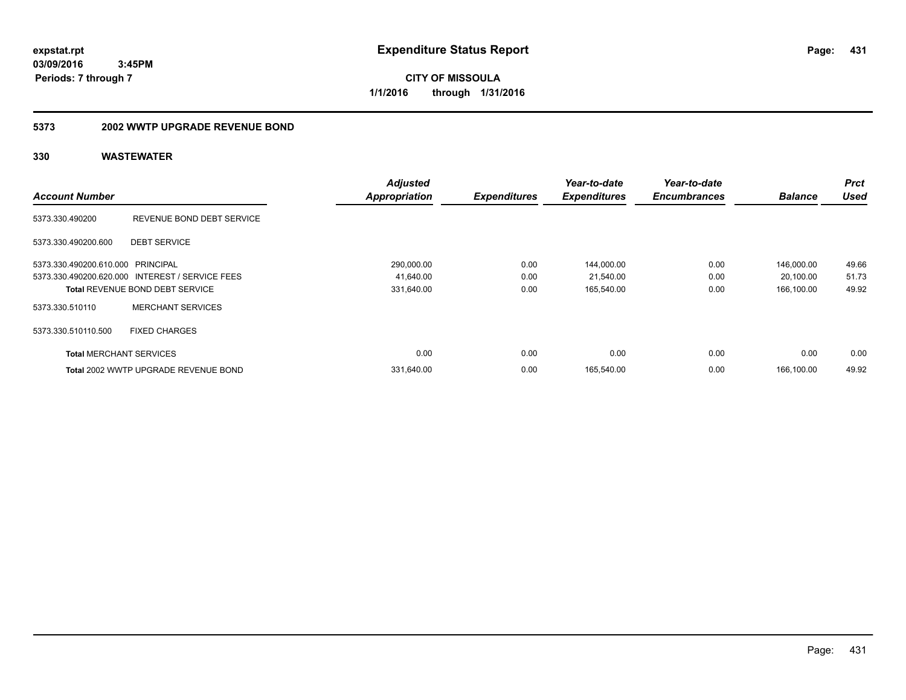**CITY OF MISSOULA 1/1/2016 through 1/31/2016**

### **5373 2002 WWTP UPGRADE REVENUE BOND**

|                                   |                                                 | <b>Adjusted</b>      |                     | Year-to-date        | Year-to-date        |                | <b>Prct</b> |
|-----------------------------------|-------------------------------------------------|----------------------|---------------------|---------------------|---------------------|----------------|-------------|
| <b>Account Number</b>             |                                                 | <b>Appropriation</b> | <b>Expenditures</b> | <b>Expenditures</b> | <b>Encumbrances</b> | <b>Balance</b> | <b>Used</b> |
| 5373.330.490200                   | REVENUE BOND DEBT SERVICE                       |                      |                     |                     |                     |                |             |
| 5373.330.490200.600               | <b>DEBT SERVICE</b>                             |                      |                     |                     |                     |                |             |
| 5373.330.490200.610.000 PRINCIPAL |                                                 | 290,000.00           | 0.00                | 144,000.00          | 0.00                | 146,000.00     | 49.66       |
|                                   | 5373.330.490200.620.000 INTEREST / SERVICE FEES | 41,640.00            | 0.00                | 21,540.00           | 0.00                | 20,100.00      | 51.73       |
|                                   | <b>Total REVENUE BOND DEBT SERVICE</b>          | 331,640.00           | 0.00                | 165,540.00          | 0.00                | 166.100.00     | 49.92       |
| 5373.330.510110                   | <b>MERCHANT SERVICES</b>                        |                      |                     |                     |                     |                |             |
| 5373.330.510110.500               | <b>FIXED CHARGES</b>                            |                      |                     |                     |                     |                |             |
| <b>Total MERCHANT SERVICES</b>    |                                                 | 0.00                 | 0.00                | 0.00                | 0.00                | 0.00           | 0.00        |
|                                   | Total 2002 WWTP UPGRADE REVENUE BOND            | 331.640.00           | 0.00                | 165.540.00          | 0.00                | 166.100.00     | 49.92       |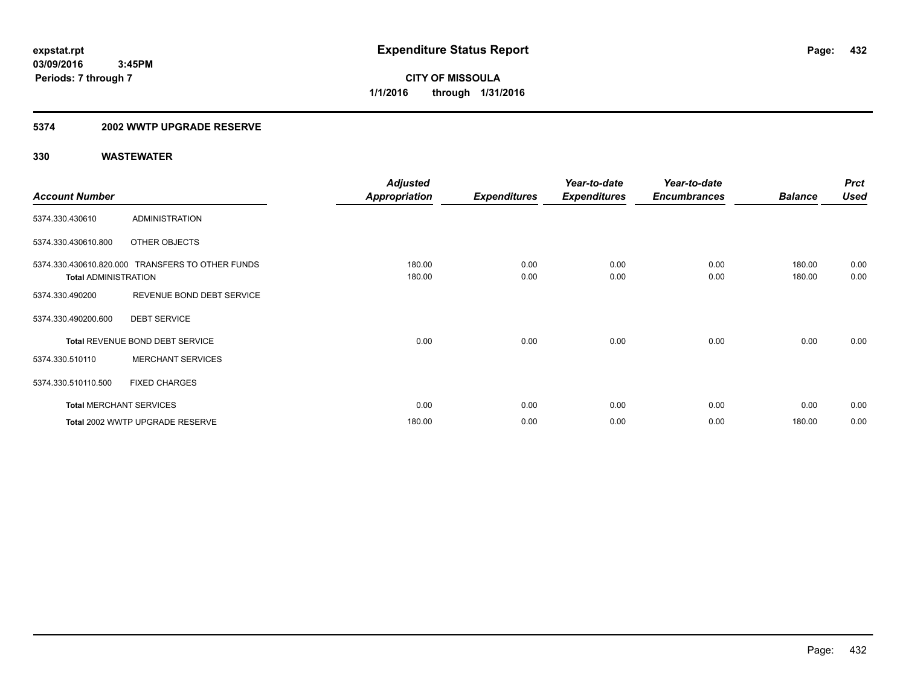### **5374 2002 WWTP UPGRADE RESERVE**

|                             |                                                  | <b>Adjusted</b>      |                     | Year-to-date        | Year-to-date        |                | <b>Prct</b> |
|-----------------------------|--------------------------------------------------|----------------------|---------------------|---------------------|---------------------|----------------|-------------|
| <b>Account Number</b>       |                                                  | <b>Appropriation</b> | <b>Expenditures</b> | <b>Expenditures</b> | <b>Encumbrances</b> | <b>Balance</b> | <b>Used</b> |
| 5374.330.430610             | <b>ADMINISTRATION</b>                            |                      |                     |                     |                     |                |             |
| 5374.330.430610.800         | OTHER OBJECTS                                    |                      |                     |                     |                     |                |             |
|                             | 5374.330.430610.820.000 TRANSFERS TO OTHER FUNDS | 180.00               | 0.00                | 0.00                | 0.00                | 180.00         | 0.00        |
| <b>Total ADMINISTRATION</b> |                                                  | 180.00               | 0.00                | 0.00                | 0.00                | 180.00         | 0.00        |
| 5374.330.490200             | REVENUE BOND DEBT SERVICE                        |                      |                     |                     |                     |                |             |
| 5374.330.490200.600         | <b>DEBT SERVICE</b>                              |                      |                     |                     |                     |                |             |
|                             | Total REVENUE BOND DEBT SERVICE                  | 0.00                 | 0.00                | 0.00                | 0.00                | 0.00           | 0.00        |
| 5374.330.510110             | <b>MERCHANT SERVICES</b>                         |                      |                     |                     |                     |                |             |
| 5374.330.510110.500         | <b>FIXED CHARGES</b>                             |                      |                     |                     |                     |                |             |
|                             | <b>Total MERCHANT SERVICES</b>                   | 0.00                 | 0.00                | 0.00                | 0.00                | 0.00           | 0.00        |
|                             | Total 2002 WWTP UPGRADE RESERVE                  | 180.00               | 0.00                | 0.00                | 0.00                | 180.00         | 0.00        |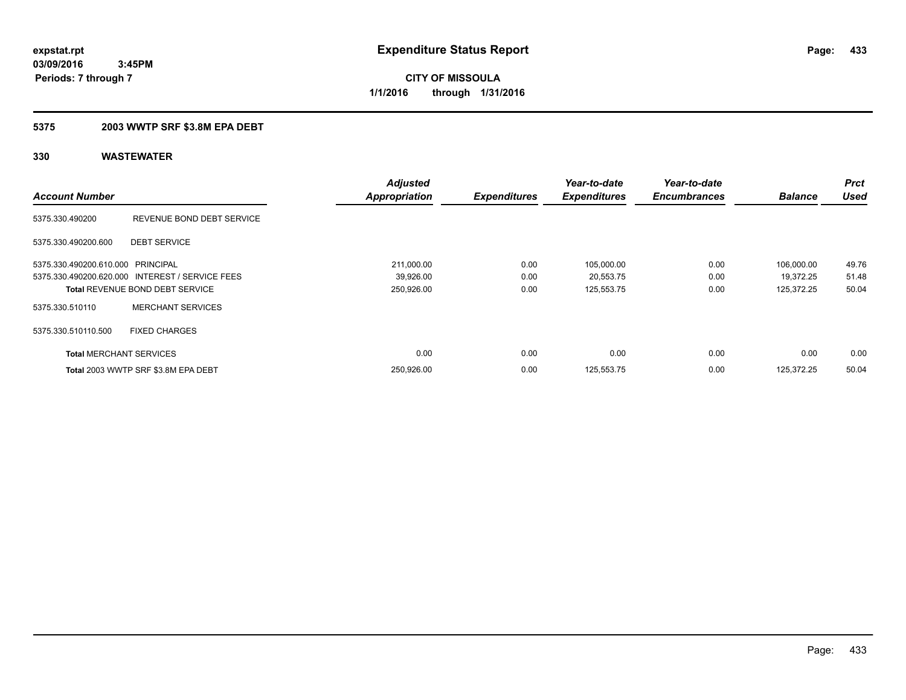**Periods: 7 through 7**

**CITY OF MISSOULA 1/1/2016 through 1/31/2016**

## **5375 2003 WWTP SRF \$3.8M EPA DEBT**

|                                   |                                                 | <b>Adjusted</b>      |                     | Year-to-date        | Year-to-date        |                | <b>Prct</b> |
|-----------------------------------|-------------------------------------------------|----------------------|---------------------|---------------------|---------------------|----------------|-------------|
| <b>Account Number</b>             |                                                 | <b>Appropriation</b> | <b>Expenditures</b> | <b>Expenditures</b> | <b>Encumbrances</b> | <b>Balance</b> | <b>Used</b> |
| 5375.330.490200                   | REVENUE BOND DEBT SERVICE                       |                      |                     |                     |                     |                |             |
| 5375.330.490200.600               | <b>DEBT SERVICE</b>                             |                      |                     |                     |                     |                |             |
| 5375.330.490200.610.000 PRINCIPAL |                                                 | 211,000.00           | 0.00                | 105,000.00          | 0.00                | 106,000.00     | 49.76       |
|                                   | 5375.330.490200.620.000 INTEREST / SERVICE FEES | 39,926.00            | 0.00                | 20,553.75           | 0.00                | 19,372.25      | 51.48       |
|                                   | <b>Total REVENUE BOND DEBT SERVICE</b>          | 250,926.00           | 0.00                | 125,553.75          | 0.00                | 125,372.25     | 50.04       |
| 5375.330.510110                   | <b>MERCHANT SERVICES</b>                        |                      |                     |                     |                     |                |             |
| 5375.330.510110.500               | <b>FIXED CHARGES</b>                            |                      |                     |                     |                     |                |             |
| <b>Total MERCHANT SERVICES</b>    |                                                 | 0.00                 | 0.00                | 0.00                | 0.00                | 0.00           | 0.00        |
|                                   | Total 2003 WWTP SRF \$3.8M EPA DEBT             | 250,926.00           | 0.00                | 125,553.75          | 0.00                | 125.372.25     | 50.04       |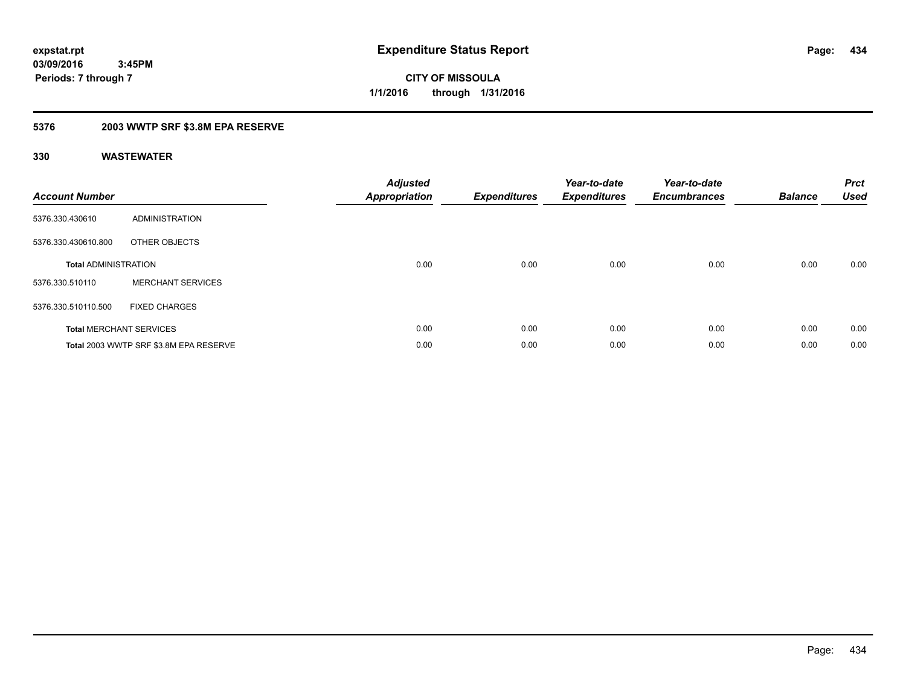**434**

**03/09/2016 3:45PM Periods: 7 through 7**

**CITY OF MISSOULA 1/1/2016 through 1/31/2016**

# **5376 2003 WWTP SRF \$3.8M EPA RESERVE**

| <b>Account Number</b>       |                                        | <b>Adjusted</b><br><b>Appropriation</b> | <b>Expenditures</b> | Year-to-date<br><b>Expenditures</b> | Year-to-date<br><b>Encumbrances</b> | <b>Balance</b> | <b>Prct</b><br><b>Used</b> |
|-----------------------------|----------------------------------------|-----------------------------------------|---------------------|-------------------------------------|-------------------------------------|----------------|----------------------------|
| 5376.330.430610             | ADMINISTRATION                         |                                         |                     |                                     |                                     |                |                            |
| 5376.330.430610.800         | OTHER OBJECTS                          |                                         |                     |                                     |                                     |                |                            |
| <b>Total ADMINISTRATION</b> |                                        | 0.00                                    | 0.00                | 0.00                                | 0.00                                | 0.00           | 0.00                       |
| 5376.330.510110             | <b>MERCHANT SERVICES</b>               |                                         |                     |                                     |                                     |                |                            |
| 5376.330.510110.500         | <b>FIXED CHARGES</b>                   |                                         |                     |                                     |                                     |                |                            |
|                             | <b>Total MERCHANT SERVICES</b>         | 0.00                                    | 0.00                | 0.00                                | 0.00                                | 0.00           | 0.00                       |
|                             | Total 2003 WWTP SRF \$3.8M EPA RESERVE | 0.00                                    | 0.00                | 0.00                                | 0.00                                | 0.00           | 0.00                       |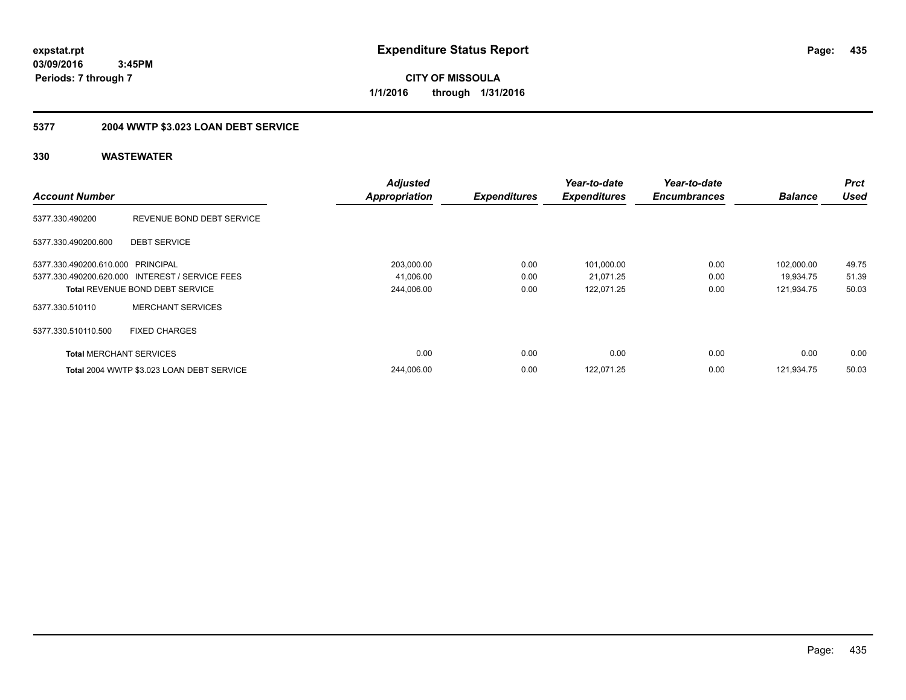**CITY OF MISSOULA 1/1/2016 through 1/31/2016**

# **5377 2004 WWTP \$3.023 LOAN DEBT SERVICE**

|                                   |                                                 | <b>Adjusted</b>      |                     | Year-to-date        | Year-to-date        |                | <b>Prct</b> |
|-----------------------------------|-------------------------------------------------|----------------------|---------------------|---------------------|---------------------|----------------|-------------|
| <b>Account Number</b>             |                                                 | <b>Appropriation</b> | <b>Expenditures</b> | <b>Expenditures</b> | <b>Encumbrances</b> | <b>Balance</b> | <b>Used</b> |
| 5377.330.490200                   | REVENUE BOND DEBT SERVICE                       |                      |                     |                     |                     |                |             |
| 5377.330.490200.600               | <b>DEBT SERVICE</b>                             |                      |                     |                     |                     |                |             |
| 5377.330.490200.610.000 PRINCIPAL |                                                 | 203,000.00           | 0.00                | 101,000.00          | 0.00                | 102.000.00     | 49.75       |
|                                   | 5377.330.490200.620.000 INTEREST / SERVICE FEES | 41,006.00            | 0.00                | 21,071.25           | 0.00                | 19.934.75      | 51.39       |
|                                   | <b>Total REVENUE BOND DEBT SERVICE</b>          | 244,006.00           | 0.00                | 122,071.25          | 0.00                | 121,934.75     | 50.03       |
| 5377.330.510110                   | <b>MERCHANT SERVICES</b>                        |                      |                     |                     |                     |                |             |
| 5377.330.510110.500               | <b>FIXED CHARGES</b>                            |                      |                     |                     |                     |                |             |
| <b>Total MERCHANT SERVICES</b>    |                                                 | 0.00                 | 0.00                | 0.00                | 0.00                | 0.00           | 0.00        |
|                                   | Total 2004 WWTP \$3.023 LOAN DEBT SERVICE       | 244,006.00           | 0.00                | 122,071.25          | 0.00                | 121.934.75     | 50.03       |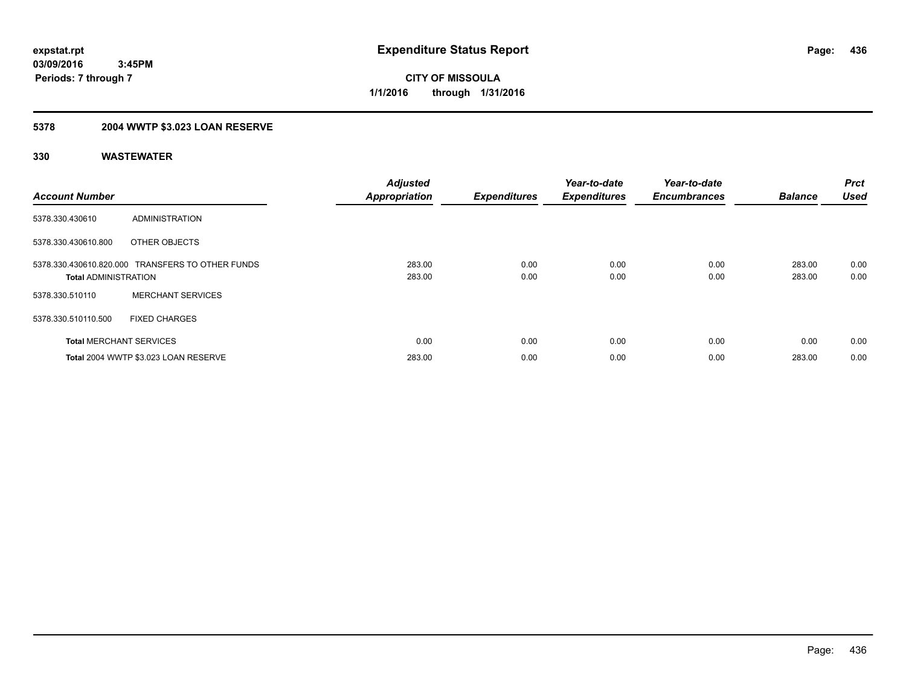## **5378 2004 WWTP \$3.023 LOAN RESERVE**

| <b>Account Number</b>          |                                                  | <b>Adjusted</b><br><b>Appropriation</b> | <b>Expenditures</b> | Year-to-date<br><b>Expenditures</b> | Year-to-date<br><b>Encumbrances</b> | <b>Balance</b>   | <b>Prct</b><br><b>Used</b> |
|--------------------------------|--------------------------------------------------|-----------------------------------------|---------------------|-------------------------------------|-------------------------------------|------------------|----------------------------|
| 5378.330.430610                | ADMINISTRATION                                   |                                         |                     |                                     |                                     |                  |                            |
| 5378.330.430610.800            | OTHER OBJECTS                                    |                                         |                     |                                     |                                     |                  |                            |
| <b>Total ADMINISTRATION</b>    | 5378.330.430610.820.000 TRANSFERS TO OTHER FUNDS | 283.00<br>283.00                        | 0.00<br>0.00        | 0.00<br>0.00                        | 0.00<br>0.00                        | 283.00<br>283.00 | 0.00<br>0.00               |
| 5378.330.510110                | <b>MERCHANT SERVICES</b>                         |                                         |                     |                                     |                                     |                  |                            |
| 5378.330.510110.500            | <b>FIXED CHARGES</b>                             |                                         |                     |                                     |                                     |                  |                            |
| <b>Total MERCHANT SERVICES</b> |                                                  | 0.00                                    | 0.00                | 0.00                                | 0.00                                | 0.00             | 0.00                       |
|                                | Total 2004 WWTP \$3.023 LOAN RESERVE             | 283.00                                  | 0.00                | 0.00                                | 0.00                                | 283.00           | 0.00                       |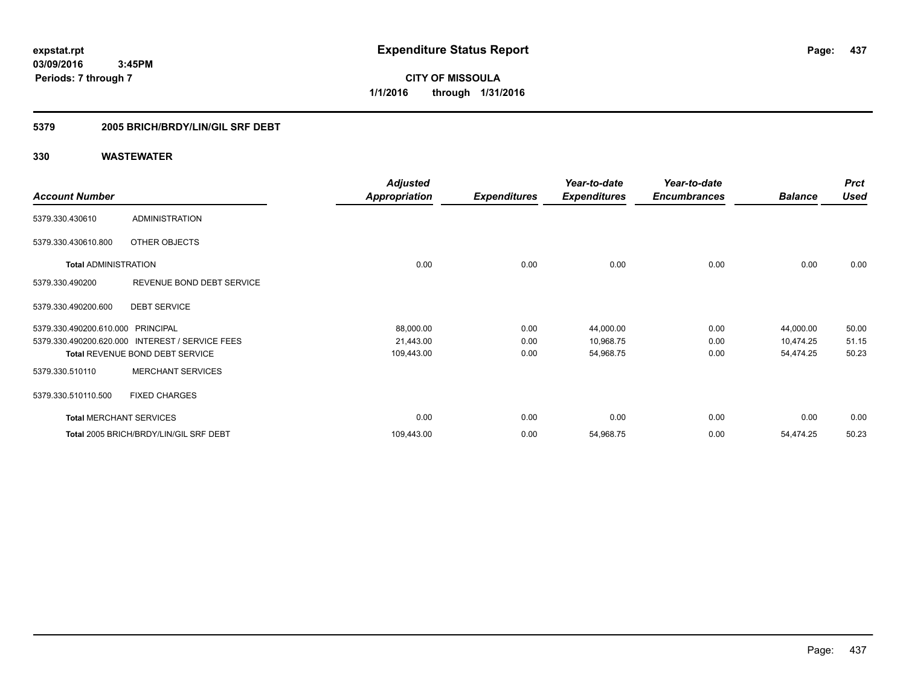# **5379 2005 BRICH/BRDY/LIN/GIL SRF DEBT**

|                                   |                                                 | <b>Adjusted</b>      |                     | Year-to-date        | Year-to-date        |                | <b>Prct</b> |
|-----------------------------------|-------------------------------------------------|----------------------|---------------------|---------------------|---------------------|----------------|-------------|
| <b>Account Number</b>             |                                                 | <b>Appropriation</b> | <b>Expenditures</b> | <b>Expenditures</b> | <b>Encumbrances</b> | <b>Balance</b> | <b>Used</b> |
| 5379.330.430610                   | <b>ADMINISTRATION</b>                           |                      |                     |                     |                     |                |             |
| 5379.330.430610.800               | OTHER OBJECTS                                   |                      |                     |                     |                     |                |             |
| <b>Total ADMINISTRATION</b>       |                                                 | 0.00                 | 0.00                | 0.00                | 0.00                | 0.00           | 0.00        |
| 5379.330.490200                   | REVENUE BOND DEBT SERVICE                       |                      |                     |                     |                     |                |             |
| 5379.330.490200.600               | <b>DEBT SERVICE</b>                             |                      |                     |                     |                     |                |             |
| 5379.330.490200.610.000 PRINCIPAL |                                                 | 88,000.00            | 0.00                | 44,000.00           | 0.00                | 44,000.00      | 50.00       |
|                                   | 5379.330.490200.620.000 INTEREST / SERVICE FEES | 21,443.00            | 0.00                | 10,968.75           | 0.00                | 10,474.25      | 51.15       |
|                                   | <b>Total REVENUE BOND DEBT SERVICE</b>          | 109,443.00           | 0.00                | 54,968.75           | 0.00                | 54,474.25      | 50.23       |
| 5379.330.510110                   | <b>MERCHANT SERVICES</b>                        |                      |                     |                     |                     |                |             |
| 5379.330.510110.500               | <b>FIXED CHARGES</b>                            |                      |                     |                     |                     |                |             |
|                                   | <b>Total MERCHANT SERVICES</b>                  | 0.00                 | 0.00                | 0.00                | 0.00                | 0.00           | 0.00        |
|                                   | Total 2005 BRICH/BRDY/LIN/GIL SRF DEBT          | 109,443.00           | 0.00                | 54,968.75           | 0.00                | 54,474.25      | 50.23       |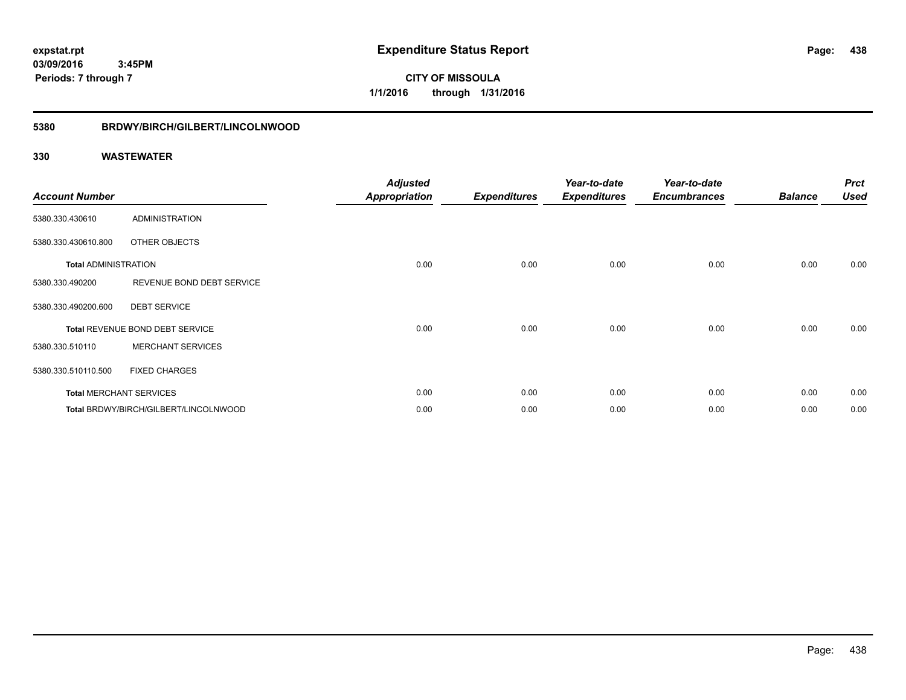**CITY OF MISSOULA 1/1/2016 through 1/31/2016**

## **5380 BRDWY/BIRCH/GILBERT/LINCOLNWOOD**

| <b>Account Number</b>       |                                       | <b>Adjusted</b><br><b>Appropriation</b> | <b>Expenditures</b> | Year-to-date<br><b>Expenditures</b> | Year-to-date<br><b>Encumbrances</b> | <b>Balance</b> | <b>Prct</b><br><b>Used</b> |
|-----------------------------|---------------------------------------|-----------------------------------------|---------------------|-------------------------------------|-------------------------------------|----------------|----------------------------|
| 5380.330.430610             | <b>ADMINISTRATION</b>                 |                                         |                     |                                     |                                     |                |                            |
| 5380.330.430610.800         | OTHER OBJECTS                         |                                         |                     |                                     |                                     |                |                            |
| <b>Total ADMINISTRATION</b> |                                       | 0.00                                    | 0.00                | 0.00                                | 0.00                                | 0.00           | 0.00                       |
| 5380.330.490200             | REVENUE BOND DEBT SERVICE             |                                         |                     |                                     |                                     |                |                            |
| 5380.330.490200.600         | <b>DEBT SERVICE</b>                   |                                         |                     |                                     |                                     |                |                            |
|                             | Total REVENUE BOND DEBT SERVICE       | 0.00                                    | 0.00                | 0.00                                | 0.00                                | 0.00           | 0.00                       |
| 5380.330.510110             | <b>MERCHANT SERVICES</b>              |                                         |                     |                                     |                                     |                |                            |
| 5380.330.510110.500         | <b>FIXED CHARGES</b>                  |                                         |                     |                                     |                                     |                |                            |
|                             | <b>Total MERCHANT SERVICES</b>        | 0.00                                    | 0.00                | 0.00                                | 0.00                                | 0.00           | 0.00                       |
|                             | Total BRDWY/BIRCH/GILBERT/LINCOLNWOOD | 0.00                                    | 0.00                | 0.00                                | 0.00                                | 0.00           | 0.00                       |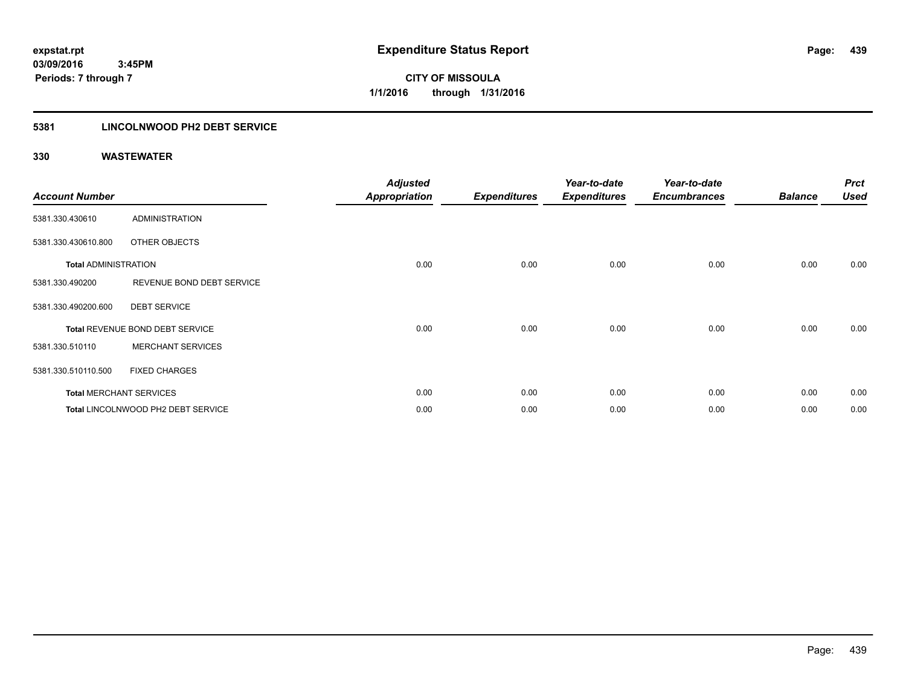# **5381 LINCOLNWOOD PH2 DEBT SERVICE**

| <b>Account Number</b>       |                                    | <b>Adjusted</b><br><b>Appropriation</b> | <b>Expenditures</b> | Year-to-date<br><b>Expenditures</b> | Year-to-date<br><b>Encumbrances</b> | <b>Balance</b> | <b>Prct</b><br><b>Used</b> |
|-----------------------------|------------------------------------|-----------------------------------------|---------------------|-------------------------------------|-------------------------------------|----------------|----------------------------|
| 5381.330.430610             | <b>ADMINISTRATION</b>              |                                         |                     |                                     |                                     |                |                            |
| 5381.330.430610.800         | OTHER OBJECTS                      |                                         |                     |                                     |                                     |                |                            |
| <b>Total ADMINISTRATION</b> |                                    | 0.00                                    | 0.00                | 0.00                                | 0.00                                | 0.00           | 0.00                       |
| 5381.330.490200             | REVENUE BOND DEBT SERVICE          |                                         |                     |                                     |                                     |                |                            |
| 5381.330.490200.600         | <b>DEBT SERVICE</b>                |                                         |                     |                                     |                                     |                |                            |
|                             | Total REVENUE BOND DEBT SERVICE    | 0.00                                    | 0.00                | 0.00                                | 0.00                                | 0.00           | 0.00                       |
| 5381.330.510110             | <b>MERCHANT SERVICES</b>           |                                         |                     |                                     |                                     |                |                            |
| 5381.330.510110.500         | <b>FIXED CHARGES</b>               |                                         |                     |                                     |                                     |                |                            |
|                             | <b>Total MERCHANT SERVICES</b>     | 0.00                                    | 0.00                | 0.00                                | 0.00                                | 0.00           | 0.00                       |
|                             | Total LINCOLNWOOD PH2 DEBT SERVICE | 0.00                                    | 0.00                | 0.00                                | 0.00                                | 0.00           | 0.00                       |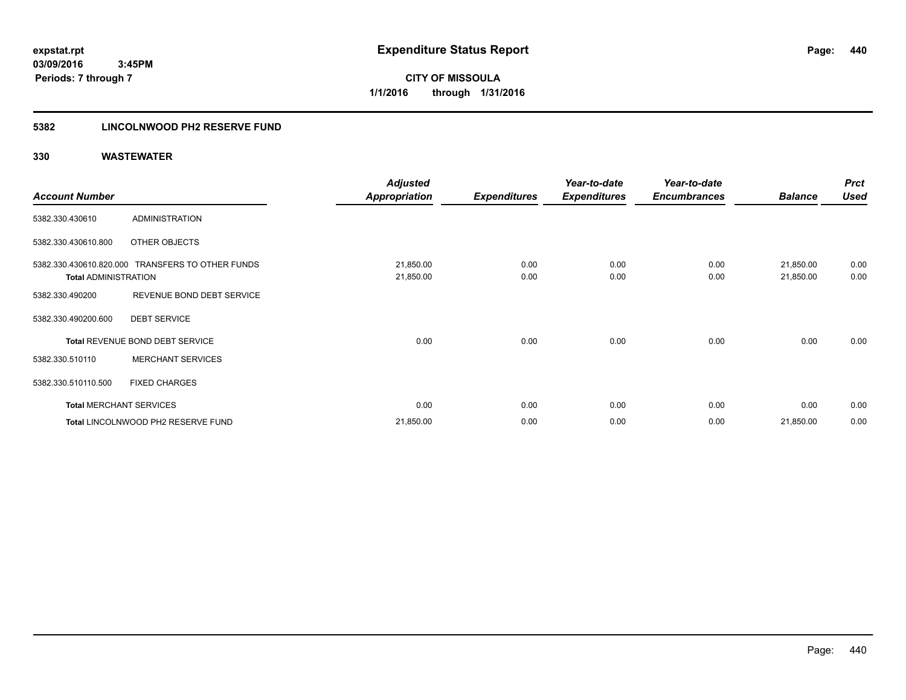**440**

**03/09/2016 3:45PM Periods: 7 through 7**

**CITY OF MISSOULA 1/1/2016 through 1/31/2016**

## **5382 LINCOLNWOOD PH2 RESERVE FUND**

|                                |                                                  | <b>Adjusted</b>      |                     | Year-to-date        | Year-to-date        |                | <b>Prct</b> |
|--------------------------------|--------------------------------------------------|----------------------|---------------------|---------------------|---------------------|----------------|-------------|
| <b>Account Number</b>          |                                                  | <b>Appropriation</b> | <b>Expenditures</b> | <b>Expenditures</b> | <b>Encumbrances</b> | <b>Balance</b> | <b>Used</b> |
| 5382.330.430610                | <b>ADMINISTRATION</b>                            |                      |                     |                     |                     |                |             |
| 5382.330.430610.800            | OTHER OBJECTS                                    |                      |                     |                     |                     |                |             |
|                                | 5382.330.430610.820.000 TRANSFERS TO OTHER FUNDS | 21,850.00            | 0.00                | 0.00                | 0.00                | 21,850.00      | 0.00        |
| <b>Total ADMINISTRATION</b>    |                                                  | 21,850.00            | 0.00                | 0.00                | 0.00                | 21,850.00      | 0.00        |
| 5382.330.490200                | REVENUE BOND DEBT SERVICE                        |                      |                     |                     |                     |                |             |
| 5382.330.490200.600            | <b>DEBT SERVICE</b>                              |                      |                     |                     |                     |                |             |
|                                | Total REVENUE BOND DEBT SERVICE                  | 0.00                 | 0.00                | 0.00                | 0.00                | 0.00           | 0.00        |
| 5382.330.510110                | <b>MERCHANT SERVICES</b>                         |                      |                     |                     |                     |                |             |
| 5382.330.510110.500            | <b>FIXED CHARGES</b>                             |                      |                     |                     |                     |                |             |
| <b>Total MERCHANT SERVICES</b> |                                                  | 0.00                 | 0.00                | 0.00                | 0.00                | 0.00           | 0.00        |
|                                | Total LINCOLNWOOD PH2 RESERVE FUND               | 21,850.00            | 0.00                | 0.00                | 0.00                | 21,850.00      | 0.00        |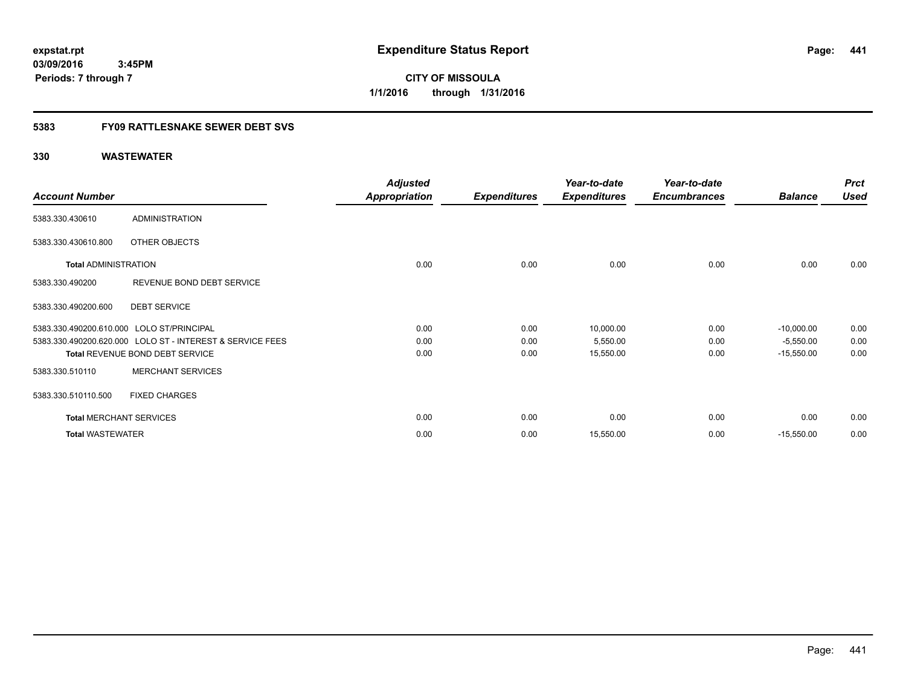**CITY OF MISSOULA 1/1/2016 through 1/31/2016**

## **5383 FY09 RATTLESNAKE SEWER DEBT SVS**

|                                           |                                                           | <b>Adjusted</b>      |                     | Year-to-date        | Year-to-date        |                | <b>Prct</b> |
|-------------------------------------------|-----------------------------------------------------------|----------------------|---------------------|---------------------|---------------------|----------------|-------------|
| <b>Account Number</b>                     |                                                           | <b>Appropriation</b> | <b>Expenditures</b> | <b>Expenditures</b> | <b>Encumbrances</b> | <b>Balance</b> | <b>Used</b> |
| 5383.330.430610                           | <b>ADMINISTRATION</b>                                     |                      |                     |                     |                     |                |             |
| 5383.330.430610.800                       | OTHER OBJECTS                                             |                      |                     |                     |                     |                |             |
| <b>Total ADMINISTRATION</b>               |                                                           | 0.00                 | 0.00                | 0.00                | 0.00                | 0.00           | 0.00        |
| 5383.330.490200                           | REVENUE BOND DEBT SERVICE                                 |                      |                     |                     |                     |                |             |
| 5383.330.490200.600                       | <b>DEBT SERVICE</b>                                       |                      |                     |                     |                     |                |             |
| 5383.330.490200.610.000 LOLO ST/PRINCIPAL |                                                           | 0.00                 | 0.00                | 10,000.00           | 0.00                | $-10,000.00$   | 0.00        |
|                                           | 5383.330.490200.620.000 LOLO ST - INTEREST & SERVICE FEES | 0.00                 | 0.00                | 5,550.00            | 0.00                | $-5,550.00$    | 0.00        |
|                                           | Total REVENUE BOND DEBT SERVICE                           | 0.00                 | 0.00                | 15,550.00           | 0.00                | $-15,550.00$   | 0.00        |
| 5383.330.510110                           | <b>MERCHANT SERVICES</b>                                  |                      |                     |                     |                     |                |             |
| 5383.330.510110.500                       | <b>FIXED CHARGES</b>                                      |                      |                     |                     |                     |                |             |
| <b>Total MERCHANT SERVICES</b>            |                                                           | 0.00                 | 0.00                | 0.00                | 0.00                | 0.00           | 0.00        |
| <b>Total WASTEWATER</b>                   |                                                           | 0.00                 | 0.00                | 15,550.00           | 0.00                | $-15,550.00$   | 0.00        |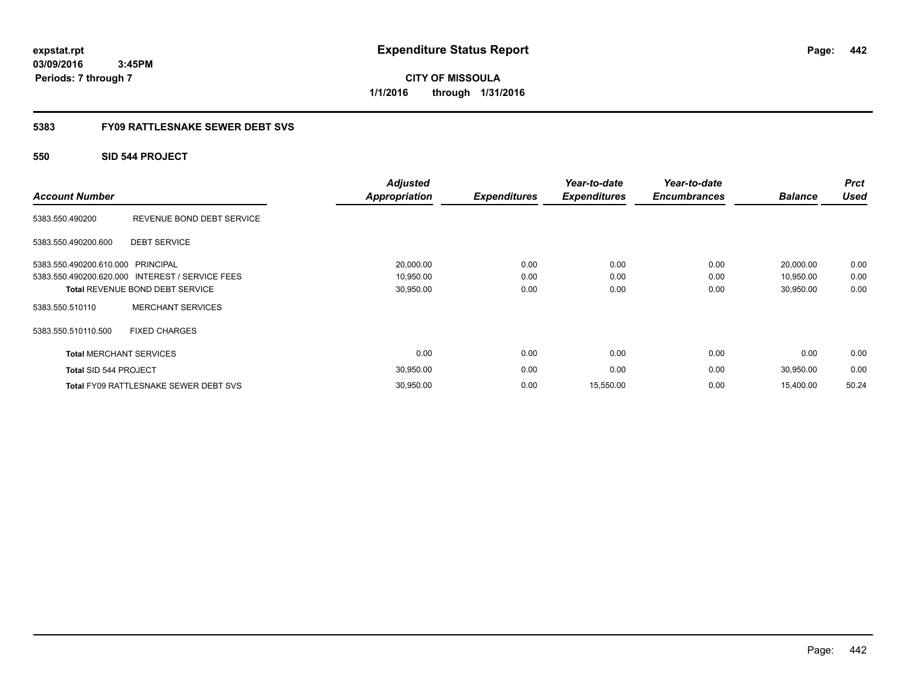**CITY OF MISSOULA 1/1/2016 through 1/31/2016**

## **5383 FY09 RATTLESNAKE SEWER DEBT SVS**

## **550 SID 544 PROJECT**

| <b>Account Number</b>             |                                                 | <b>Adjusted</b><br><b>Appropriation</b> | <b>Expenditures</b> | Year-to-date<br><b>Expenditures</b> | Year-to-date<br><b>Encumbrances</b> | <b>Balance</b> | <b>Prct</b><br><b>Used</b> |
|-----------------------------------|-------------------------------------------------|-----------------------------------------|---------------------|-------------------------------------|-------------------------------------|----------------|----------------------------|
| 5383.550.490200                   | REVENUE BOND DEBT SERVICE                       |                                         |                     |                                     |                                     |                |                            |
| 5383.550.490200.600               | <b>DEBT SERVICE</b>                             |                                         |                     |                                     |                                     |                |                            |
| 5383.550.490200.610.000 PRINCIPAL |                                                 | 20,000.00                               | 0.00                | 0.00                                | 0.00                                | 20,000.00      | 0.00                       |
|                                   | 5383.550.490200.620.000 INTEREST / SERVICE FEES | 10,950.00                               | 0.00                | 0.00                                | 0.00                                | 10,950.00      | 0.00                       |
|                                   | <b>Total REVENUE BOND DEBT SERVICE</b>          | 30,950.00                               | 0.00                | 0.00                                | 0.00                                | 30,950.00      | 0.00                       |
| 5383.550.510110                   | <b>MERCHANT SERVICES</b>                        |                                         |                     |                                     |                                     |                |                            |
| 5383.550.510110.500               | <b>FIXED CHARGES</b>                            |                                         |                     |                                     |                                     |                |                            |
| <b>Total MERCHANT SERVICES</b>    |                                                 | 0.00                                    | 0.00                | 0.00                                | 0.00                                | 0.00           | 0.00                       |
| <b>Total SID 544 PROJECT</b>      |                                                 | 30,950.00                               | 0.00                | 0.00                                | 0.00                                | 30,950.00      | 0.00                       |
|                                   | <b>Total FY09 RATTLESNAKE SEWER DEBT SVS</b>    | 30,950.00                               | 0.00                | 15,550.00                           | 0.00                                | 15,400.00      | 50.24                      |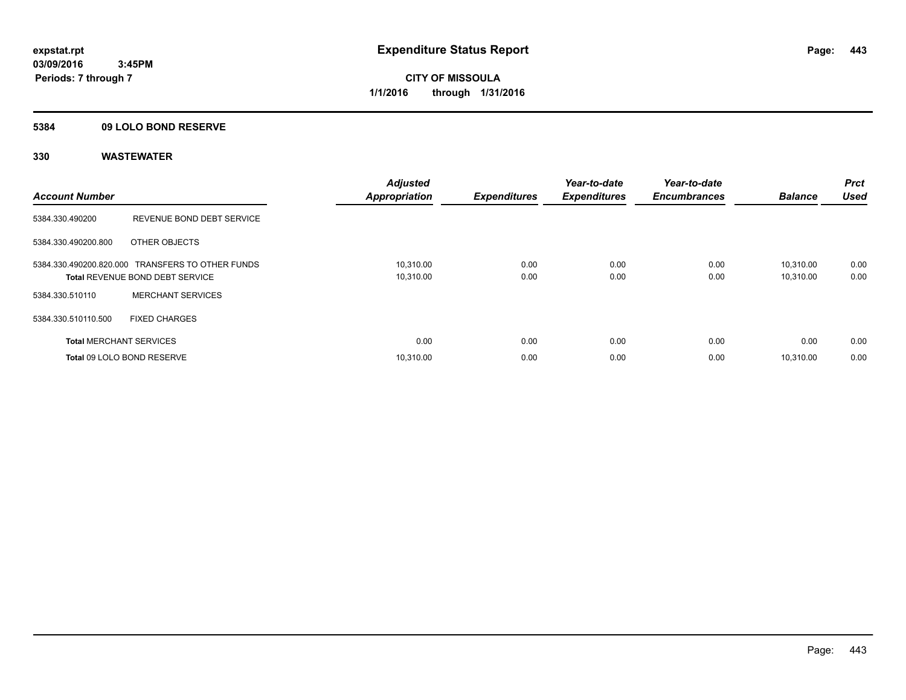## **5384 09 LOLO BOND RESERVE**

| <b>Account Number</b>          |                                                                                            | <b>Adjusted</b><br><b>Appropriation</b> | <b>Expenditures</b> | Year-to-date<br><b>Expenditures</b> | Year-to-date<br><b>Encumbrances</b> | <b>Balance</b>         | <b>Prct</b><br>Used |
|--------------------------------|--------------------------------------------------------------------------------------------|-----------------------------------------|---------------------|-------------------------------------|-------------------------------------|------------------------|---------------------|
| 5384.330.490200                | REVENUE BOND DEBT SERVICE                                                                  |                                         |                     |                                     |                                     |                        |                     |
| 5384.330.490200.800            | OTHER OBJECTS                                                                              |                                         |                     |                                     |                                     |                        |                     |
|                                | 5384.330.490200.820.000 TRANSFERS TO OTHER FUNDS<br><b>Total REVENUE BOND DEBT SERVICE</b> | 10,310.00<br>10,310.00                  | 0.00<br>0.00        | 0.00<br>0.00                        | 0.00<br>0.00                        | 10.310.00<br>10,310.00 | 0.00<br>0.00        |
| 5384.330.510110                | <b>MERCHANT SERVICES</b>                                                                   |                                         |                     |                                     |                                     |                        |                     |
| 5384.330.510110.500            | <b>FIXED CHARGES</b>                                                                       |                                         |                     |                                     |                                     |                        |                     |
| <b>Total MERCHANT SERVICES</b> |                                                                                            | 0.00                                    | 0.00                | 0.00                                | 0.00                                | 0.00                   | 0.00                |
|                                | Total 09 LOLO BOND RESERVE                                                                 | 10.310.00                               | 0.00                | 0.00                                | 0.00                                | 10.310.00              | 0.00                |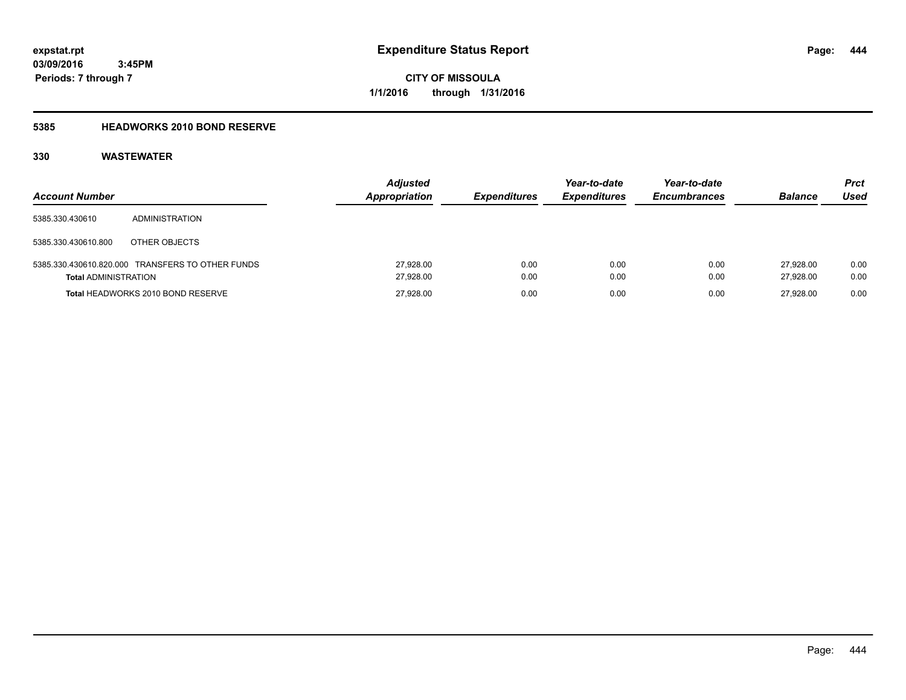**444**

**03/09/2016 3:45PM Periods: 7 through 7**

**CITY OF MISSOULA 1/1/2016 through 1/31/2016**

# **5385 HEADWORKS 2010 BOND RESERVE**

| <b>Account Number</b>       |                                                  | <b>Adjusted</b><br><b>Appropriation</b> | <b>Expenditures</b> | Year-to-date<br><b>Expenditures</b> | Year-to-date<br><b>Encumbrances</b> | <b>Balance</b>         | <b>Prct</b><br>Used |
|-----------------------------|--------------------------------------------------|-----------------------------------------|---------------------|-------------------------------------|-------------------------------------|------------------------|---------------------|
| 5385.330.430610             | <b>ADMINISTRATION</b>                            |                                         |                     |                                     |                                     |                        |                     |
| 5385.330.430610.800         | OTHER OBJECTS                                    |                                         |                     |                                     |                                     |                        |                     |
| <b>Total ADMINISTRATION</b> | 5385.330.430610.820.000 TRANSFERS TO OTHER FUNDS | 27,928.00<br>27,928.00                  | 0.00<br>0.00        | 0.00<br>0.00                        | 0.00<br>0.00                        | 27.928.00<br>27.928.00 | 0.00<br>0.00        |
|                             | Total HEADWORKS 2010 BOND RESERVE                | 27,928.00                               | 0.00                | 0.00                                | 0.00                                | 27.928.00              | 0.00                |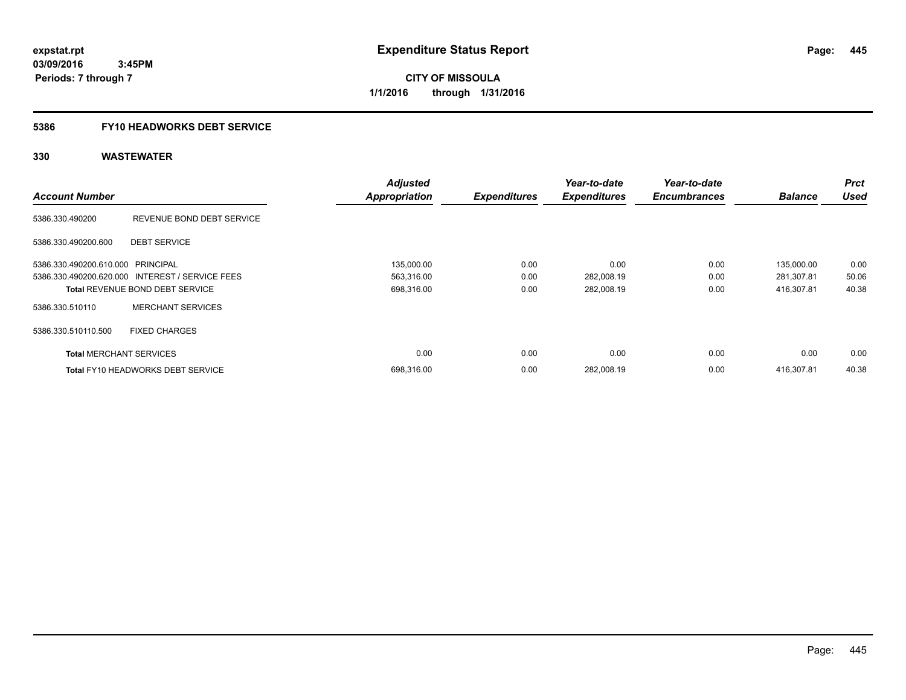## **5386 FY10 HEADWORKS DEBT SERVICE**

|                                   |                                                 | <b>Adjusted</b>      |                     | Year-to-date        | Year-to-date        |                | <b>Prct</b> |
|-----------------------------------|-------------------------------------------------|----------------------|---------------------|---------------------|---------------------|----------------|-------------|
| <b>Account Number</b>             |                                                 | <b>Appropriation</b> | <b>Expenditures</b> | <b>Expenditures</b> | <b>Encumbrances</b> | <b>Balance</b> | <b>Used</b> |
| 5386.330.490200                   | REVENUE BOND DEBT SERVICE                       |                      |                     |                     |                     |                |             |
| 5386.330.490200.600               | <b>DEBT SERVICE</b>                             |                      |                     |                     |                     |                |             |
| 5386.330.490200.610.000 PRINCIPAL |                                                 | 135,000.00           | 0.00                | 0.00                | 0.00                | 135,000.00     | 0.00        |
|                                   | 5386.330.490200.620.000 INTEREST / SERVICE FEES | 563,316.00           | 0.00                | 282,008.19          | 0.00                | 281,307.81     | 50.06       |
|                                   | <b>Total REVENUE BOND DEBT SERVICE</b>          | 698,316.00           | 0.00                | 282,008.19          | 0.00                | 416.307.81     | 40.38       |
| 5386.330.510110                   | <b>MERCHANT SERVICES</b>                        |                      |                     |                     |                     |                |             |
| 5386.330.510110.500               | <b>FIXED CHARGES</b>                            |                      |                     |                     |                     |                |             |
| <b>Total MERCHANT SERVICES</b>    |                                                 | 0.00                 | 0.00                | 0.00                | 0.00                | 0.00           | 0.00        |
|                                   | <b>Total FY10 HEADWORKS DEBT SERVICE</b>        | 698.316.00           | 0.00                | 282.008.19          | 0.00                | 416.307.81     | 40.38       |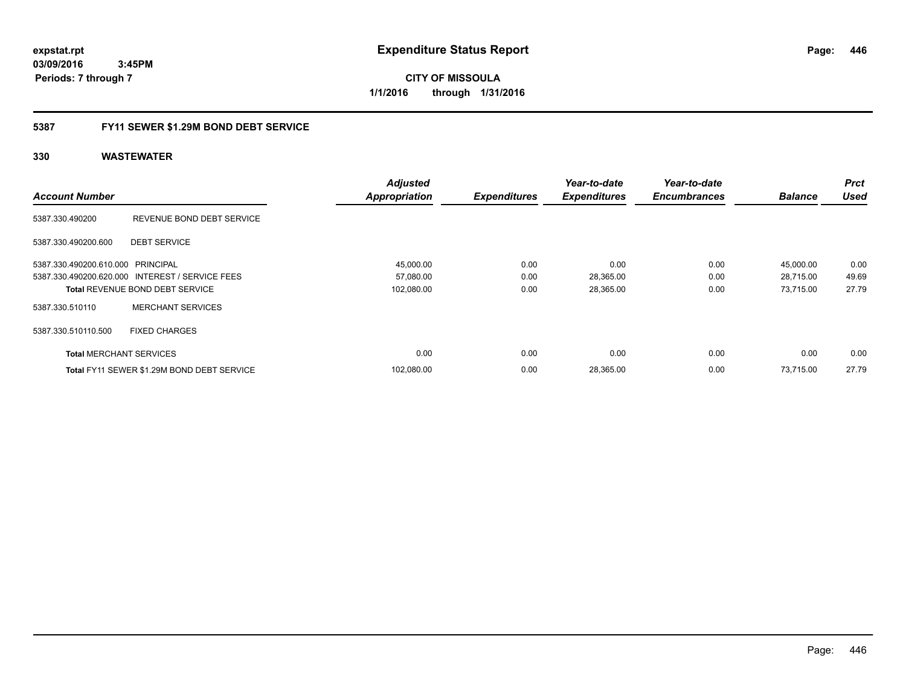**CITY OF MISSOULA 1/1/2016 through 1/31/2016**

## **5387 FY11 SEWER \$1.29M BOND DEBT SERVICE**

|                                   |                                                 | <b>Adjusted</b>      |                     | Year-to-date        | Year-to-date        |                | <b>Prct</b> |
|-----------------------------------|-------------------------------------------------|----------------------|---------------------|---------------------|---------------------|----------------|-------------|
| <b>Account Number</b>             |                                                 | <b>Appropriation</b> | <b>Expenditures</b> | <b>Expenditures</b> | <b>Encumbrances</b> | <b>Balance</b> | <b>Used</b> |
| 5387.330.490200                   | REVENUE BOND DEBT SERVICE                       |                      |                     |                     |                     |                |             |
| 5387.330.490200.600               | <b>DEBT SERVICE</b>                             |                      |                     |                     |                     |                |             |
| 5387.330.490200.610.000 PRINCIPAL |                                                 | 45,000.00            | 0.00                | 0.00                | 0.00                | 45,000.00      | 0.00        |
|                                   | 5387.330.490200.620.000 INTEREST / SERVICE FEES | 57,080.00            | 0.00                | 28,365.00           | 0.00                | 28,715.00      | 49.69       |
|                                   | <b>Total REVENUE BOND DEBT SERVICE</b>          | 102,080.00           | 0.00                | 28,365.00           | 0.00                | 73.715.00      | 27.79       |
| 5387.330.510110                   | <b>MERCHANT SERVICES</b>                        |                      |                     |                     |                     |                |             |
| 5387.330.510110.500               | <b>FIXED CHARGES</b>                            |                      |                     |                     |                     |                |             |
| <b>Total MERCHANT SERVICES</b>    |                                                 | 0.00                 | 0.00                | 0.00                | 0.00                | 0.00           | 0.00        |
|                                   | Total FY11 SEWER \$1.29M BOND DEBT SERVICE      | 102.080.00           | 0.00                | 28,365.00           | 0.00                | 73.715.00      | 27.79       |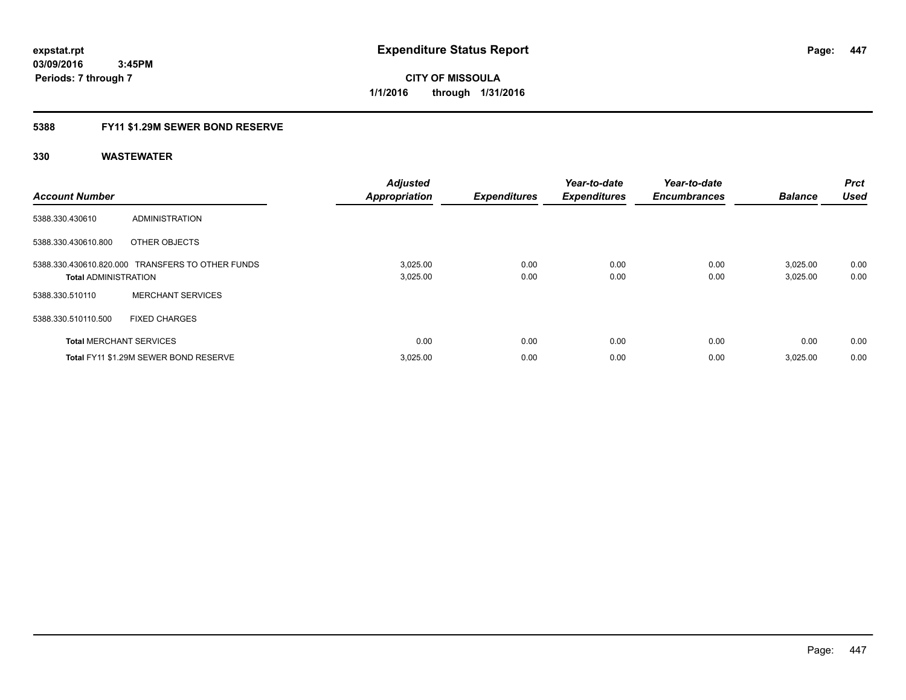**Periods: 7 through 7**

**CITY OF MISSOULA 1/1/2016 through 1/31/2016**

## **5388 FY11 \$1.29M SEWER BOND RESERVE**

 **3:45PM**

| <b>Account Number</b>       |                                                  | <b>Adjusted</b><br><b>Appropriation</b> | <b>Expenditures</b> | Year-to-date<br><b>Expenditures</b> | Year-to-date<br><b>Encumbrances</b> | <b>Balance</b>       | Prct<br><b>Used</b> |
|-----------------------------|--------------------------------------------------|-----------------------------------------|---------------------|-------------------------------------|-------------------------------------|----------------------|---------------------|
| 5388.330.430610             | <b>ADMINISTRATION</b>                            |                                         |                     |                                     |                                     |                      |                     |
| 5388.330.430610.800         | OTHER OBJECTS                                    |                                         |                     |                                     |                                     |                      |                     |
| <b>Total ADMINISTRATION</b> | 5388.330.430610.820.000 TRANSFERS TO OTHER FUNDS | 3,025.00<br>3,025.00                    | 0.00<br>0.00        | 0.00<br>0.00                        | 0.00<br>0.00                        | 3,025.00<br>3,025.00 | 0.00<br>0.00        |
| 5388.330.510110             | <b>MERCHANT SERVICES</b>                         |                                         |                     |                                     |                                     |                      |                     |
| 5388.330.510110.500         | <b>FIXED CHARGES</b>                             |                                         |                     |                                     |                                     |                      |                     |
|                             | <b>Total MERCHANT SERVICES</b>                   | 0.00                                    | 0.00                | 0.00                                | 0.00                                | 0.00                 | 0.00                |
|                             | Total FY11 \$1.29M SEWER BOND RESERVE            | 3,025.00                                | 0.00                | 0.00                                | 0.00                                | 3,025.00             | 0.00                |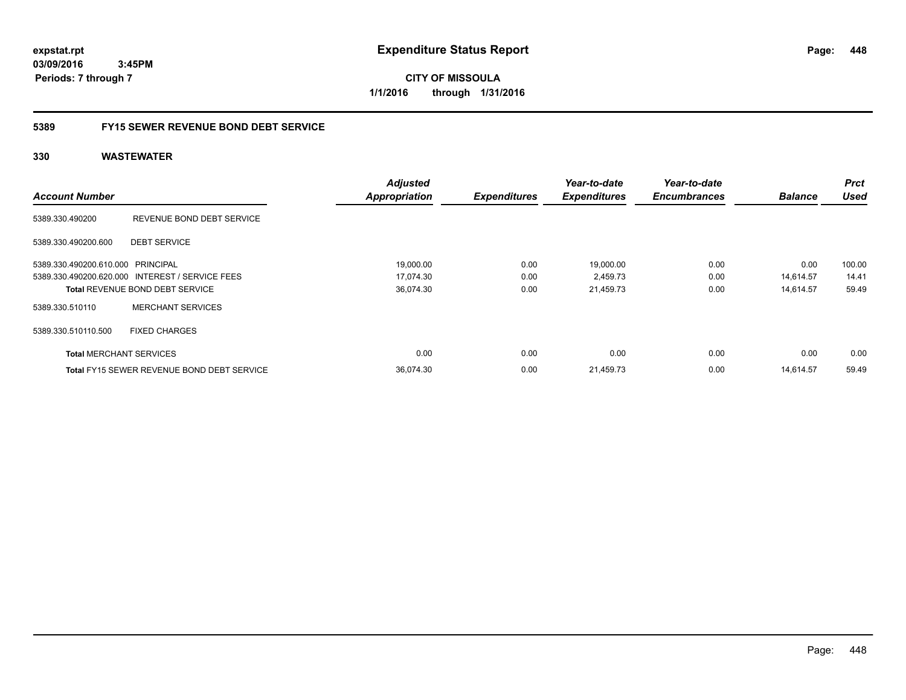**CITY OF MISSOULA 1/1/2016 through 1/31/2016**

## **5389 FY15 SEWER REVENUE BOND DEBT SERVICE**

|                                   |                                                   | <b>Adjusted</b>      |                     | Year-to-date        | Year-to-date        |                | <b>Prct</b> |
|-----------------------------------|---------------------------------------------------|----------------------|---------------------|---------------------|---------------------|----------------|-------------|
| <b>Account Number</b>             |                                                   | <b>Appropriation</b> | <b>Expenditures</b> | <b>Expenditures</b> | <b>Encumbrances</b> | <b>Balance</b> | <b>Used</b> |
| 5389.330.490200                   | REVENUE BOND DEBT SERVICE                         |                      |                     |                     |                     |                |             |
| 5389.330.490200.600               | <b>DEBT SERVICE</b>                               |                      |                     |                     |                     |                |             |
| 5389.330.490200.610.000 PRINCIPAL |                                                   | 19,000.00            | 0.00                | 19,000.00           | 0.00                | 0.00           | 100.00      |
|                                   | 5389.330.490200.620.000 INTEREST / SERVICE FEES   | 17,074.30            | 0.00                | 2,459.73            | 0.00                | 14,614.57      | 14.41       |
|                                   | <b>Total REVENUE BOND DEBT SERVICE</b>            | 36,074.30            | 0.00                | 21,459.73           | 0.00                | 14.614.57      | 59.49       |
| 5389.330.510110                   | <b>MERCHANT SERVICES</b>                          |                      |                     |                     |                     |                |             |
| 5389.330.510110.500               | <b>FIXED CHARGES</b>                              |                      |                     |                     |                     |                |             |
| <b>Total MERCHANT SERVICES</b>    |                                                   | 0.00                 | 0.00                | 0.00                | 0.00                | 0.00           | 0.00        |
|                                   | <b>Total FY15 SEWER REVENUE BOND DEBT SERVICE</b> | 36.074.30            | 0.00                | 21.459.73           | 0.00                | 14.614.57      | 59.49       |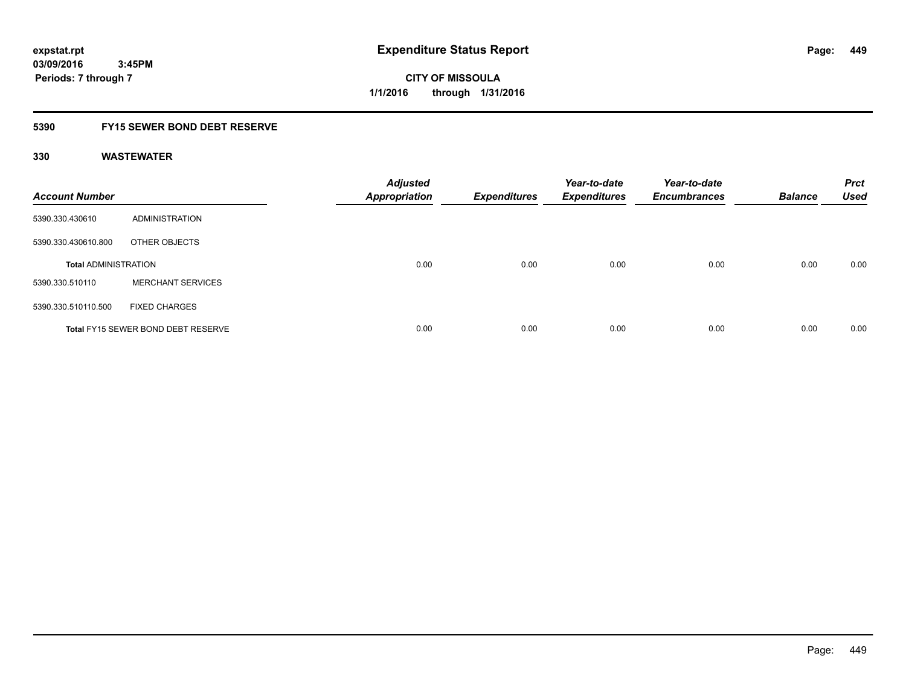## **5390 FY15 SEWER BOND DEBT RESERVE**

| <b>Account Number</b>       |                                           | <b>Adjusted</b><br><b>Appropriation</b> | <b>Expenditures</b> | Year-to-date<br><b>Expenditures</b> | Year-to-date<br><b>Encumbrances</b> | <b>Balance</b> | <b>Prct</b><br><b>Used</b> |
|-----------------------------|-------------------------------------------|-----------------------------------------|---------------------|-------------------------------------|-------------------------------------|----------------|----------------------------|
| 5390.330.430610             | ADMINISTRATION                            |                                         |                     |                                     |                                     |                |                            |
| 5390.330.430610.800         | OTHER OBJECTS                             |                                         |                     |                                     |                                     |                |                            |
| <b>Total ADMINISTRATION</b> |                                           | 0.00                                    | 0.00                | 0.00                                | 0.00                                | 0.00           | 0.00                       |
| 5390.330.510110             | <b>MERCHANT SERVICES</b>                  |                                         |                     |                                     |                                     |                |                            |
| 5390.330.510110.500         | <b>FIXED CHARGES</b>                      |                                         |                     |                                     |                                     |                |                            |
|                             | <b>Total FY15 SEWER BOND DEBT RESERVE</b> | 0.00                                    | 0.00                | 0.00                                | 0.00                                | 0.00           | 0.00                       |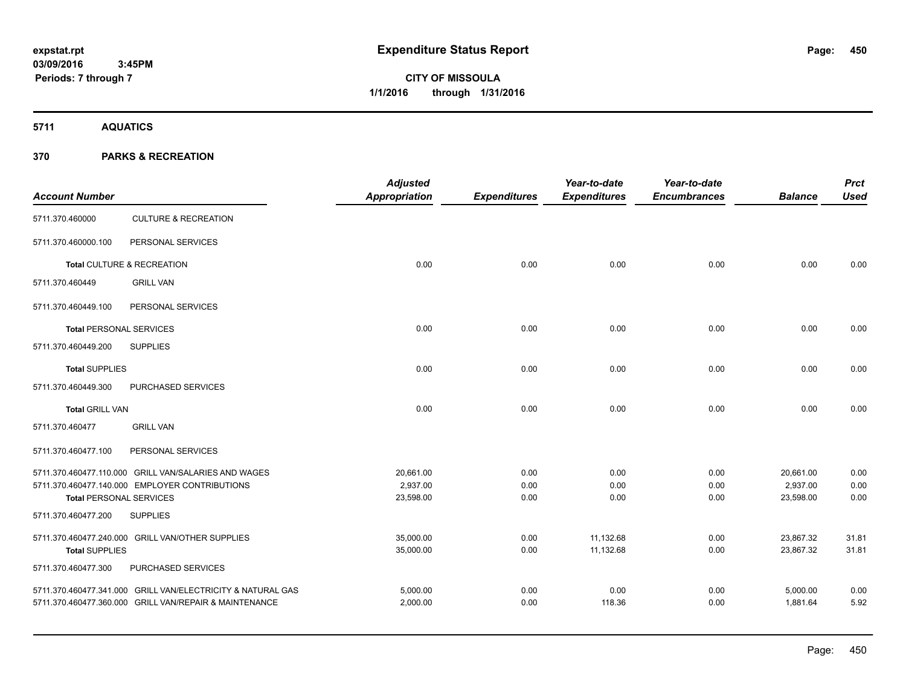# **CITY OF MISSOULA 1/1/2016 through 1/31/2016**

**5711 AQUATICS**

| <b>Account Number</b>                                 |                                                             | <b>Adjusted</b><br>Appropriation | <b>Expenditures</b> | Year-to-date<br><b>Expenditures</b> | Year-to-date<br><b>Encumbrances</b> | <b>Balance</b> | <b>Prct</b><br><b>Used</b> |
|-------------------------------------------------------|-------------------------------------------------------------|----------------------------------|---------------------|-------------------------------------|-------------------------------------|----------------|----------------------------|
| 5711.370.460000                                       | <b>CULTURE &amp; RECREATION</b>                             |                                  |                     |                                     |                                     |                |                            |
| 5711.370.460000.100                                   | PERSONAL SERVICES                                           |                                  |                     |                                     |                                     |                |                            |
|                                                       | Total CULTURE & RECREATION                                  | 0.00                             | 0.00                | 0.00                                | 0.00                                | 0.00           | 0.00                       |
| 5711.370.460449                                       | <b>GRILL VAN</b>                                            |                                  |                     |                                     |                                     |                |                            |
| 5711.370.460449.100                                   | PERSONAL SERVICES                                           |                                  |                     |                                     |                                     |                |                            |
| <b>Total PERSONAL SERVICES</b>                        |                                                             | 0.00                             | 0.00                | 0.00                                | 0.00                                | 0.00           | 0.00                       |
| 5711.370.460449.200                                   | <b>SUPPLIES</b>                                             |                                  |                     |                                     |                                     |                |                            |
| <b>Total SUPPLIES</b>                                 |                                                             | 0.00                             | 0.00                | 0.00                                | 0.00                                | 0.00           | 0.00                       |
| 5711.370.460449.300                                   | PURCHASED SERVICES                                          |                                  |                     |                                     |                                     |                |                            |
| <b>Total GRILL VAN</b>                                |                                                             | 0.00                             | 0.00                | 0.00                                | 0.00                                | 0.00           | 0.00                       |
| 5711.370.460477                                       | <b>GRILL VAN</b>                                            |                                  |                     |                                     |                                     |                |                            |
| 5711.370.460477.100                                   | PERSONAL SERVICES                                           |                                  |                     |                                     |                                     |                |                            |
|                                                       | 5711.370.460477.110.000 GRILL VAN/SALARIES AND WAGES        | 20,661.00                        | 0.00                | 0.00                                | 0.00                                | 20,661.00      | 0.00                       |
|                                                       | 5711.370.460477.140.000 EMPLOYER CONTRIBUTIONS              | 2,937.00<br>23,598.00            | 0.00                | 0.00                                | 0.00<br>0.00                        | 2,937.00       | 0.00<br>0.00               |
| <b>Total PERSONAL SERVICES</b><br>5711.370.460477.200 | <b>SUPPLIES</b>                                             |                                  | 0.00                | 0.00                                |                                     | 23,598.00      |                            |
|                                                       |                                                             |                                  |                     |                                     |                                     |                |                            |
|                                                       | 5711.370.460477.240.000 GRILL VAN/OTHER SUPPLIES            | 35,000.00                        | 0.00                | 11,132.68                           | 0.00                                | 23,867.32      | 31.81                      |
| <b>Total SUPPLIES</b>                                 |                                                             | 35,000.00                        | 0.00                | 11,132.68                           | 0.00                                | 23,867.32      | 31.81                      |
| 5711.370.460477.300                                   | PURCHASED SERVICES                                          |                                  |                     |                                     |                                     |                |                            |
|                                                       | 5711.370.460477.341.000 GRILL VAN/ELECTRICITY & NATURAL GAS | 5,000.00                         | 0.00                | 0.00                                | 0.00                                | 5,000.00       | 0.00                       |
|                                                       | 5711.370.460477.360.000 GRILL VAN/REPAIR & MAINTENANCE      | 2,000.00                         | 0.00                | 118.36                              | 0.00                                | 1,881.64       | 5.92                       |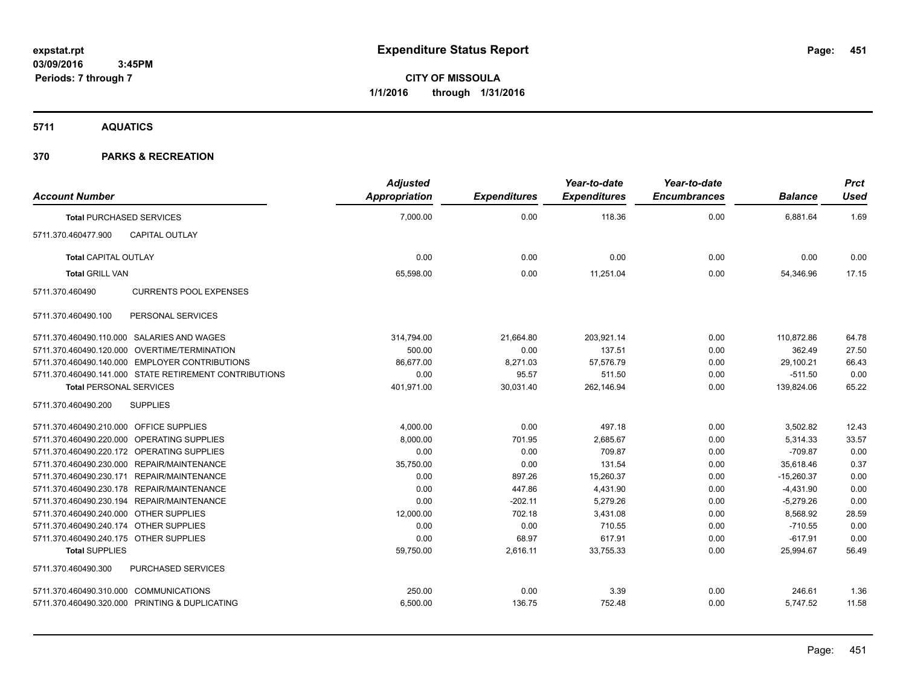**5711 AQUATICS**

| <b>Account Number</b>                                  | <b>Adjusted</b><br>Appropriation | <b>Expenditures</b> | Year-to-date<br><b>Expenditures</b> | Year-to-date<br><b>Encumbrances</b> | <b>Balance</b> | <b>Prct</b><br><b>Used</b> |
|--------------------------------------------------------|----------------------------------|---------------------|-------------------------------------|-------------------------------------|----------------|----------------------------|
|                                                        | 7,000.00                         | 0.00                | 118.36                              | 0.00                                |                | 1.69                       |
| <b>Total PURCHASED SERVICES</b>                        |                                  |                     |                                     |                                     | 6,881.64       |                            |
| 5711.370.460477.900<br><b>CAPITAL OUTLAY</b>           |                                  |                     |                                     |                                     |                |                            |
| <b>Total CAPITAL OUTLAY</b>                            | 0.00                             | 0.00                | 0.00                                | 0.00                                | 0.00           | 0.00                       |
| <b>Total GRILL VAN</b>                                 | 65,598.00                        | 0.00                | 11,251.04                           | 0.00                                | 54,346.96      | 17.15                      |
| 5711.370.460490<br><b>CURRENTS POOL EXPENSES</b>       |                                  |                     |                                     |                                     |                |                            |
| PERSONAL SERVICES<br>5711.370.460490.100               |                                  |                     |                                     |                                     |                |                            |
| 5711.370.460490.110.000 SALARIES AND WAGES             | 314,794.00                       | 21,664.80           | 203,921.14                          | 0.00                                | 110,872.86     | 64.78                      |
| 5711.370.460490.120.000 OVERTIME/TERMINATION           | 500.00                           | 0.00                | 137.51                              | 0.00                                | 362.49         | 27.50                      |
| 5711.370.460490.140.000 EMPLOYER CONTRIBUTIONS         | 86.677.00                        | 8,271.03            | 57,576.79                           | 0.00                                | 29,100.21      | 66.43                      |
| 5711.370.460490.141.000 STATE RETIREMENT CONTRIBUTIONS | 0.00                             | 95.57               | 511.50                              | 0.00                                | $-511.50$      | 0.00                       |
| <b>Total PERSONAL SERVICES</b>                         | 401,971.00                       | 30,031.40           | 262,146.94                          | 0.00                                | 139,824.06     | 65.22                      |
| <b>SUPPLIES</b><br>5711.370.460490.200                 |                                  |                     |                                     |                                     |                |                            |
| 5711.370.460490.210.000 OFFICE SUPPLIES                | 4,000.00                         | 0.00                | 497.18                              | 0.00                                | 3,502.82       | 12.43                      |
| 5711.370.460490.220.000 OPERATING SUPPLIES             | 8,000.00                         | 701.95              | 2,685.67                            | 0.00                                | 5,314.33       | 33.57                      |
| 5711.370.460490.220.172 OPERATING SUPPLIES             | 0.00                             | 0.00                | 709.87                              | 0.00                                | $-709.87$      | 0.00                       |
| 5711.370.460490.230.000 REPAIR/MAINTENANCE             | 35,750.00                        | 0.00                | 131.54                              | 0.00                                | 35,618.46      | 0.37                       |
| 5711.370.460490.230.171 REPAIR/MAINTENANCE             | 0.00                             | 897.26              | 15,260.37                           | 0.00                                | $-15,260.37$   | 0.00                       |
| 5711.370.460490.230.178 REPAIR/MAINTENANCE             | 0.00                             | 447.86              | 4,431.90                            | 0.00                                | $-4,431.90$    | 0.00                       |
| 5711.370.460490.230.194 REPAIR/MAINTENANCE             | 0.00                             | $-202.11$           | 5,279.26                            | 0.00                                | $-5,279.26$    | 0.00                       |
| 5711.370.460490.240.000 OTHER SUPPLIES                 | 12,000.00                        | 702.18              | 3,431.08                            | 0.00                                | 8,568.92       | 28.59                      |
| 5711.370.460490.240.174 OTHER SUPPLIES                 | 0.00                             | 0.00                | 710.55                              | 0.00                                | $-710.55$      | 0.00                       |
| 5711.370.460490.240.175 OTHER SUPPLIES                 | 0.00                             | 68.97               | 617.91                              | 0.00                                | $-617.91$      | 0.00                       |
| <b>Total SUPPLIES</b>                                  | 59,750.00                        | 2,616.11            | 33,755.33                           | 0.00                                | 25,994.67      | 56.49                      |
| 5711.370.460490.300<br>PURCHASED SERVICES              |                                  |                     |                                     |                                     |                |                            |
| 5711.370.460490.310.000 COMMUNICATIONS                 | 250.00                           | 0.00                | 3.39                                | 0.00                                | 246.61         | 1.36                       |
| 5711.370.460490.320.000 PRINTING & DUPLICATING         | 6,500.00                         | 136.75              | 752.48                              | 0.00                                | 5,747.52       | 11.58                      |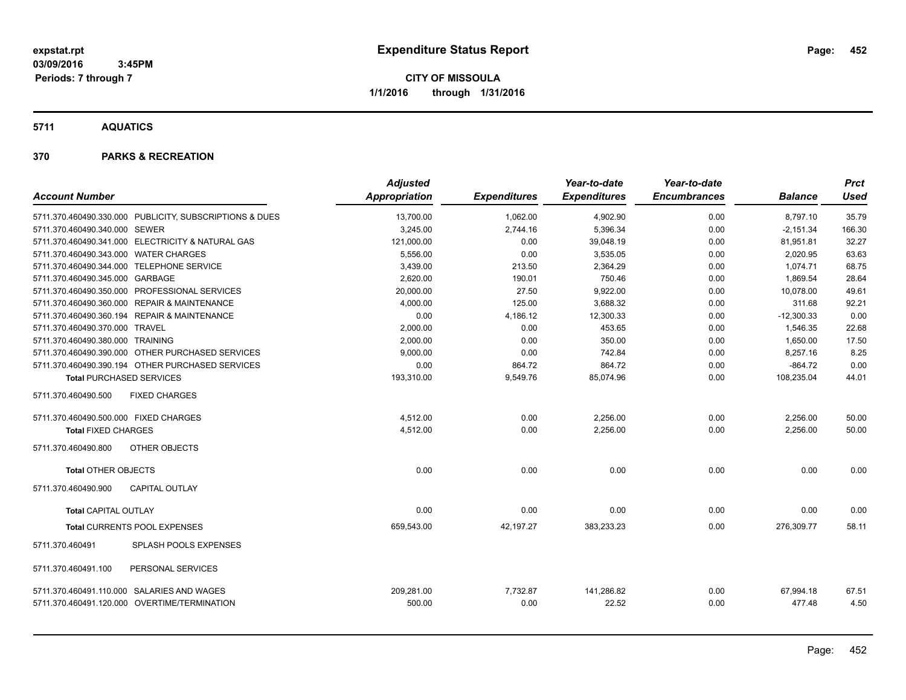**5711 AQUATICS**

| <b>Account Number</b>                 |                                                                                            | <b>Adjusted</b><br><b>Appropriation</b> | <b>Expenditures</b> | Year-to-date<br><b>Expenditures</b> | Year-to-date<br><b>Encumbrances</b> | <b>Balance</b>      | <b>Prct</b><br><b>Used</b> |
|---------------------------------------|--------------------------------------------------------------------------------------------|-----------------------------------------|---------------------|-------------------------------------|-------------------------------------|---------------------|----------------------------|
|                                       | 5711.370.460490.330.000 PUBLICITY, SUBSCRIPTIONS & DUES                                    | 13,700.00                               | 1,062.00            | 4,902.90                            | 0.00                                | 8,797.10            | 35.79                      |
| 5711.370.460490.340.000 SEWER         |                                                                                            | 3,245.00                                | 2,744.16            | 5,396.34                            | 0.00                                | $-2,151.34$         | 166.30                     |
|                                       | 5711.370.460490.341.000 ELECTRICITY & NATURAL GAS                                          | 121,000.00                              | 0.00                | 39,048.19                           | 0.00                                | 81,951.81           | 32.27                      |
| 5711.370.460490.343.000 WATER CHARGES |                                                                                            | 5,556.00                                | 0.00                | 3,535.05                            | 0.00                                | 2,020.95            | 63.63                      |
|                                       | 5711.370.460490.344.000 TELEPHONE SERVICE                                                  | 3,439.00                                | 213.50              | 2.364.29                            | 0.00                                | 1.074.71            | 68.75                      |
| 5711.370.460490.345.000 GARBAGE       |                                                                                            | 2.620.00                                | 190.01              | 750.46                              | 0.00                                | 1.869.54            | 28.64                      |
|                                       | 5711.370.460490.350.000 PROFESSIONAL SERVICES                                              | 20,000.00                               | 27.50               | 9,922.00                            | 0.00                                | 10,078.00           | 49.61                      |
|                                       | 5711.370.460490.360.000 REPAIR & MAINTENANCE                                               | 4,000.00                                | 125.00              | 3,688.32                            | 0.00                                | 311.68              | 92.21                      |
|                                       | 5711.370.460490.360.194 REPAIR & MAINTENANCE                                               | 0.00                                    | 4,186.12            | 12,300.33                           | 0.00                                | $-12,300.33$        | 0.00                       |
| 5711.370.460490.370.000 TRAVEL        |                                                                                            | 2,000.00                                | 0.00                | 453.65                              | 0.00                                | 1,546.35            | 22.68                      |
| 5711.370.460490.380.000 TRAINING      |                                                                                            | 2,000.00                                | 0.00                | 350.00                              | 0.00                                | 1,650.00            | 17.50                      |
|                                       | 5711.370.460490.390.000 OTHER PURCHASED SERVICES                                           | 9,000.00                                | 0.00                | 742.84                              | 0.00                                | 8,257.16            | 8.25                       |
|                                       | 5711.370.460490.390.194 OTHER PURCHASED SERVICES                                           | 0.00                                    | 864.72              | 864.72                              | 0.00                                | $-864.72$           | 0.00                       |
| <b>Total PURCHASED SERVICES</b>       |                                                                                            | 193,310.00                              | 9,549.76            | 85,074.96                           | 0.00                                | 108,235.04          | 44.01                      |
| 5711.370.460490.500                   | <b>FIXED CHARGES</b>                                                                       |                                         |                     |                                     |                                     |                     |                            |
| 5711.370.460490.500.000 FIXED CHARGES |                                                                                            | 4,512.00                                | 0.00                | 2,256.00                            | 0.00                                | 2,256.00            | 50.00                      |
| <b>Total FIXED CHARGES</b>            |                                                                                            | 4,512.00                                | 0.00                | 2,256.00                            | 0.00                                | 2,256.00            | 50.00                      |
| 5711.370.460490.800                   | <b>OTHER OBJECTS</b>                                                                       |                                         |                     |                                     |                                     |                     |                            |
| <b>Total OTHER OBJECTS</b>            |                                                                                            | 0.00                                    | 0.00                | 0.00                                | 0.00                                | 0.00                | 0.00                       |
| 5711.370.460490.900                   | <b>CAPITAL OUTLAY</b>                                                                      |                                         |                     |                                     |                                     |                     |                            |
| <b>Total CAPITAL OUTLAY</b>           |                                                                                            | 0.00                                    | 0.00                | 0.00                                | 0.00                                | 0.00                | 0.00                       |
|                                       | <b>Total CURRENTS POOL EXPENSES</b>                                                        | 659,543.00                              | 42,197.27           | 383,233.23                          | 0.00                                | 276,309.77          | 58.11                      |
| 5711.370.460491                       | SPLASH POOLS EXPENSES                                                                      |                                         |                     |                                     |                                     |                     |                            |
| 5711.370.460491.100                   | PERSONAL SERVICES                                                                          |                                         |                     |                                     |                                     |                     |                            |
|                                       | 5711.370.460491.110.000 SALARIES AND WAGES<br>5711.370.460491.120.000 OVERTIME/TERMINATION | 209,281.00<br>500.00                    | 7,732.87<br>0.00    | 141,286.82<br>22.52                 | 0.00<br>0.00                        | 67,994.18<br>477.48 | 67.51<br>4.50              |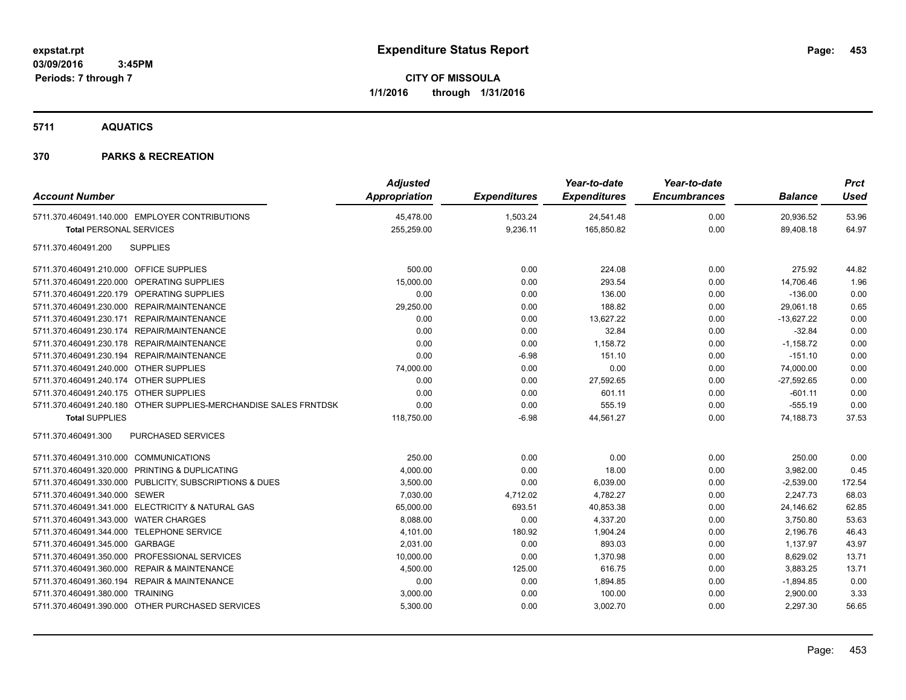**Periods: 7 through 7**

**CITY OF MISSOULA 1/1/2016 through 1/31/2016**

**5711 AQUATICS**

| <b>Account Number</b>                                            | <b>Adjusted</b><br><b>Appropriation</b> | <b>Expenditures</b> | Year-to-date<br><b>Expenditures</b> | Year-to-date<br><b>Encumbrances</b> | <b>Balance</b> | <b>Prct</b><br><b>Used</b> |
|------------------------------------------------------------------|-----------------------------------------|---------------------|-------------------------------------|-------------------------------------|----------------|----------------------------|
| 5711.370.460491.140.000 EMPLOYER CONTRIBUTIONS                   | 45,478.00                               | 1,503.24            | 24,541.48                           | 0.00                                | 20,936.52      | 53.96                      |
| <b>Total PERSONAL SERVICES</b>                                   | 255,259.00                              | 9,236.11            | 165,850.82                          | 0.00                                | 89,408.18      | 64.97                      |
| <b>SUPPLIES</b><br>5711.370.460491.200                           |                                         |                     |                                     |                                     |                |                            |
| 5711.370.460491.210.000 OFFICE SUPPLIES                          | 500.00                                  | 0.00                | 224.08                              | 0.00                                | 275.92         | 44.82                      |
| 5711.370.460491.220.000 OPERATING SUPPLIES                       | 15,000.00                               | 0.00                | 293.54                              | 0.00                                | 14,706.46      | 1.96                       |
| 5711.370.460491.220.179 OPERATING SUPPLIES                       | 0.00                                    | 0.00                | 136.00                              | 0.00                                | $-136.00$      | 0.00                       |
| 5711.370.460491.230.000 REPAIR/MAINTENANCE                       | 29,250.00                               | 0.00                | 188.82                              | 0.00                                | 29,061.18      | 0.65                       |
| 5711.370.460491.230.171 REPAIR/MAINTENANCE                       | 0.00                                    | 0.00                | 13,627.22                           | 0.00                                | $-13,627.22$   | 0.00                       |
| 5711.370.460491.230.174 REPAIR/MAINTENANCE                       | 0.00                                    | 0.00                | 32.84                               | 0.00                                | $-32.84$       | 0.00                       |
| 5711.370.460491.230.178 REPAIR/MAINTENANCE                       | 0.00                                    | 0.00                | 1,158.72                            | 0.00                                | $-1,158.72$    | 0.00                       |
| 5711.370.460491.230.194 REPAIR/MAINTENANCE                       | 0.00                                    | $-6.98$             | 151.10                              | 0.00                                | $-151.10$      | 0.00                       |
| 5711.370.460491.240.000 OTHER SUPPLIES                           | 74,000.00                               | 0.00                | 0.00                                | 0.00                                | 74,000.00      | 0.00                       |
| 5711.370.460491.240.174 OTHER SUPPLIES                           | 0.00                                    | 0.00                | 27,592.65                           | 0.00                                | $-27,592.65$   | 0.00                       |
| 5711.370.460491.240.175 OTHER SUPPLIES                           | 0.00                                    | 0.00                | 601.11                              | 0.00                                | $-601.11$      | 0.00                       |
| 5711.370.460491.240.180 OTHER SUPPLIES-MERCHANDISE SALES FRNTDSK | 0.00                                    | 0.00                | 555.19                              | 0.00                                | $-555.19$      | 0.00                       |
| <b>Total SUPPLIES</b>                                            | 118,750.00                              | $-6.98$             | 44,561.27                           | 0.00                                | 74,188.73      | 37.53                      |
| 5711.370.460491.300<br><b>PURCHASED SERVICES</b>                 |                                         |                     |                                     |                                     |                |                            |
| 5711.370.460491.310.000 COMMUNICATIONS                           | 250.00                                  | 0.00                | 0.00                                | 0.00                                | 250.00         | 0.00                       |
| 5711.370.460491.320.000 PRINTING & DUPLICATING                   | 4,000.00                                | 0.00                | 18.00                               | 0.00                                | 3,982.00       | 0.45                       |
| 5711.370.460491.330.000 PUBLICITY, SUBSCRIPTIONS & DUES          | 3,500.00                                | 0.00                | 6,039.00                            | 0.00                                | $-2,539.00$    | 172.54                     |
| 5711.370.460491.340.000 SEWER                                    | 7,030.00                                | 4,712.02            | 4,782.27                            | 0.00                                | 2,247.73       | 68.03                      |
| 5711.370.460491.341.000 ELECTRICITY & NATURAL GAS                | 65,000.00                               | 693.51              | 40,853.38                           | 0.00                                | 24,146.62      | 62.85                      |
| 5711.370.460491.343.000 WATER CHARGES                            | 8,088.00                                | 0.00                | 4,337.20                            | 0.00                                | 3,750.80       | 53.63                      |
| 5711.370.460491.344.000 TELEPHONE SERVICE                        | 4,101.00                                | 180.92              | 1,904.24                            | 0.00                                | 2,196.76       | 46.43                      |
| 5711.370.460491.345.000 GARBAGE                                  | 2,031.00                                | 0.00                | 893.03                              | 0.00                                | 1,137.97       | 43.97                      |
| 5711.370.460491.350.000 PROFESSIONAL SERVICES                    | 10,000.00                               | 0.00                | 1,370.98                            | 0.00                                | 8,629.02       | 13.71                      |
| 5711.370.460491.360.000 REPAIR & MAINTENANCE                     | 4,500.00                                | 125.00              | 616.75                              | 0.00                                | 3,883.25       | 13.71                      |
| 5711.370.460491.360.194 REPAIR & MAINTENANCE                     | 0.00                                    | 0.00                | 1,894.85                            | 0.00                                | $-1,894.85$    | 0.00                       |
| 5711.370.460491.380.000 TRAINING                                 | 3,000.00                                | 0.00                | 100.00                              | 0.00                                | 2,900.00       | 3.33                       |
| 5711.370.460491.390.000 OTHER PURCHASED SERVICES                 | 5,300.00                                | 0.00                | 3,002.70                            | 0.00                                | 2,297.30       | 56.65                      |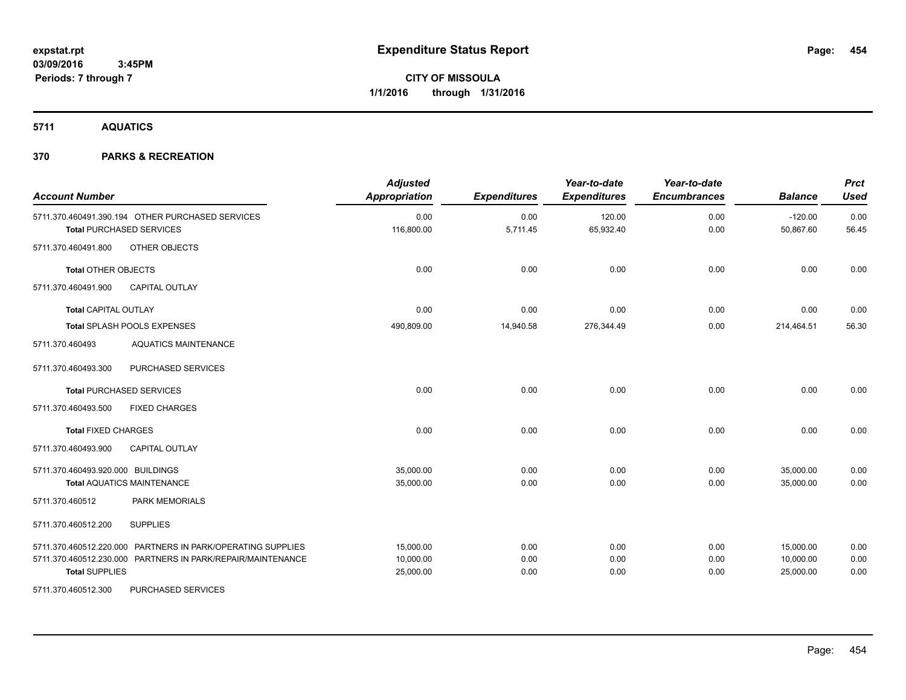**5711 AQUATICS**

| <b>Account Number</b>             |                                                                                     | <b>Adjusted</b><br><b>Appropriation</b> | <b>Expenditures</b> | Year-to-date<br><b>Expenditures</b> | Year-to-date<br><b>Encumbrances</b> | <b>Balance</b>         | <b>Prct</b><br><b>Used</b> |
|-----------------------------------|-------------------------------------------------------------------------------------|-----------------------------------------|---------------------|-------------------------------------|-------------------------------------|------------------------|----------------------------|
|                                   | 5711.370.460491.390.194 OTHER PURCHASED SERVICES<br><b>Total PURCHASED SERVICES</b> | 0.00<br>116,800.00                      | 0.00<br>5,711.45    | 120.00<br>65,932.40                 | 0.00<br>0.00                        | $-120.00$<br>50,867.60 | 0.00<br>56.45              |
| 5711.370.460491.800               | OTHER OBJECTS                                                                       |                                         |                     |                                     |                                     |                        |                            |
| <b>Total OTHER OBJECTS</b>        |                                                                                     | 0.00                                    | 0.00                | 0.00                                | 0.00                                | 0.00                   | 0.00                       |
| 5711.370.460491.900               | <b>CAPITAL OUTLAY</b>                                                               |                                         |                     |                                     |                                     |                        |                            |
| <b>Total CAPITAL OUTLAY</b>       |                                                                                     | 0.00                                    | 0.00                | 0.00                                | 0.00                                | 0.00                   | 0.00                       |
|                                   | Total SPLASH POOLS EXPENSES                                                         | 490,809.00                              | 14,940.58           | 276,344.49                          | 0.00                                | 214,464.51             | 56.30                      |
| 5711.370.460493                   | <b>AQUATICS MAINTENANCE</b>                                                         |                                         |                     |                                     |                                     |                        |                            |
| 5711.370.460493.300               | <b>PURCHASED SERVICES</b>                                                           |                                         |                     |                                     |                                     |                        |                            |
|                                   | <b>Total PURCHASED SERVICES</b>                                                     | 0.00                                    | 0.00                | 0.00                                | 0.00                                | 0.00                   | 0.00                       |
| 5711.370.460493.500               | <b>FIXED CHARGES</b>                                                                |                                         |                     |                                     |                                     |                        |                            |
| <b>Total FIXED CHARGES</b>        |                                                                                     | 0.00                                    | 0.00                | 0.00                                | 0.00                                | 0.00                   | 0.00                       |
| 5711.370.460493.900               | <b>CAPITAL OUTLAY</b>                                                               |                                         |                     |                                     |                                     |                        |                            |
| 5711.370.460493.920.000 BUILDINGS |                                                                                     | 35,000.00                               | 0.00                | 0.00                                | 0.00                                | 35,000.00              | 0.00                       |
|                                   | <b>Total AQUATICS MAINTENANCE</b>                                                   | 35,000.00                               | 0.00                | 0.00                                | 0.00                                | 35,000.00              | 0.00                       |
| 5711.370.460512                   | <b>PARK MEMORIALS</b>                                                               |                                         |                     |                                     |                                     |                        |                            |
| 5711.370.460512.200               | <b>SUPPLIES</b>                                                                     |                                         |                     |                                     |                                     |                        |                            |
|                                   | 5711.370.460512.220.000 PARTNERS IN PARK/OPERATING SUPPLIES                         | 15,000.00                               | 0.00                | 0.00                                | 0.00                                | 15,000.00              | 0.00                       |
|                                   | 5711.370.460512.230.000 PARTNERS IN PARK/REPAIR/MAINTENANCE                         | 10,000.00                               | 0.00                | 0.00                                | 0.00                                | 10,000.00              | 0.00                       |
| <b>Total SUPPLIES</b>             |                                                                                     | 25,000.00                               | 0.00                | 0.00                                | 0.00                                | 25,000.00              | 0.00                       |
| 5711.370.460512.300               | PURCHASED SERVICES                                                                  |                                         |                     |                                     |                                     |                        |                            |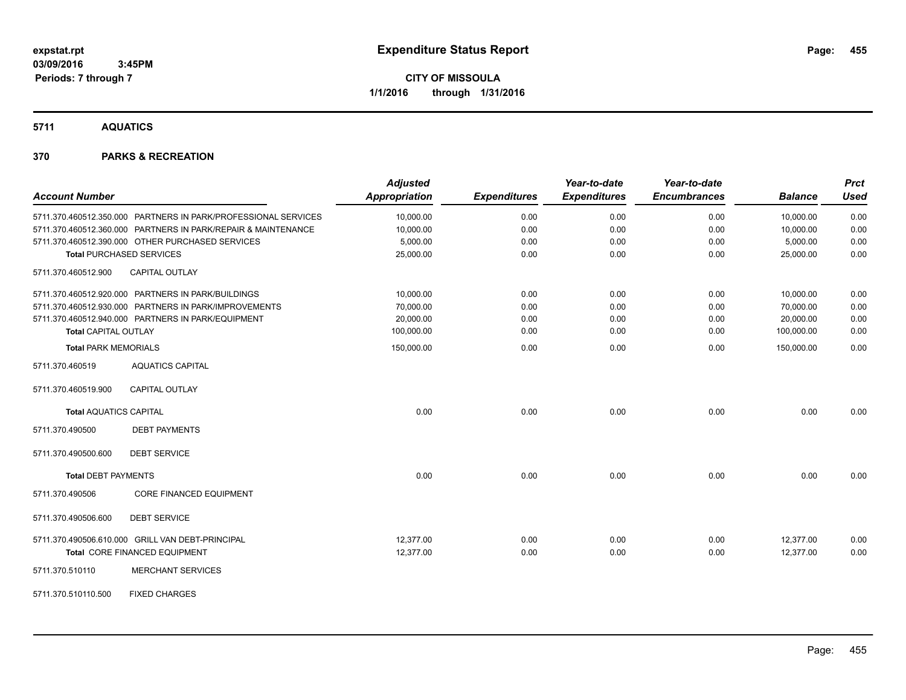**5711 AQUATICS**

| <b>Account Number</b>                                          | <b>Adjusted</b><br><b>Appropriation</b> | <b>Expenditures</b> | Year-to-date<br><b>Expenditures</b> | Year-to-date<br><b>Encumbrances</b> | <b>Balance</b> | <b>Prct</b><br><b>Used</b> |
|----------------------------------------------------------------|-----------------------------------------|---------------------|-------------------------------------|-------------------------------------|----------------|----------------------------|
| 5711.370.460512.350.000 PARTNERS IN PARK/PROFESSIONAL SERVICES | 10,000.00                               | 0.00                | 0.00                                | 0.00                                | 10,000.00      | 0.00                       |
| 5711.370.460512.360.000 PARTNERS IN PARK/REPAIR & MAINTENANCE  | 10,000.00                               | 0.00                | 0.00                                | 0.00                                | 10,000.00      | 0.00                       |
| 5711.370.460512.390.000 OTHER PURCHASED SERVICES               | 5,000.00                                | 0.00                | 0.00                                | 0.00                                | 5,000.00       | 0.00                       |
| <b>Total PURCHASED SERVICES</b>                                | 25,000.00                               | 0.00                | 0.00                                | 0.00                                | 25.000.00      | 0.00                       |
| 5711.370.460512.900<br><b>CAPITAL OUTLAY</b>                   |                                         |                     |                                     |                                     |                |                            |
| 5711.370.460512.920.000 PARTNERS IN PARK/BUILDINGS             | 10,000.00                               | 0.00                | 0.00                                | 0.00                                | 10,000.00      | 0.00                       |
| 5711.370.460512.930.000 PARTNERS IN PARK/IMPROVEMENTS          | 70,000.00                               | 0.00                | 0.00                                | 0.00                                | 70,000.00      | 0.00                       |
| 5711.370.460512.940.000 PARTNERS IN PARK/EQUIPMENT             | 20,000.00                               | 0.00                | 0.00                                | 0.00                                | 20,000.00      | 0.00                       |
| <b>Total CAPITAL OUTLAY</b>                                    | 100,000.00                              | 0.00                | 0.00                                | 0.00                                | 100,000.00     | 0.00                       |
| <b>Total PARK MEMORIALS</b>                                    | 150,000.00                              | 0.00                | 0.00                                | 0.00                                | 150,000.00     | 0.00                       |
| <b>AQUATICS CAPITAL</b><br>5711.370.460519                     |                                         |                     |                                     |                                     |                |                            |
| <b>CAPITAL OUTLAY</b><br>5711.370.460519.900                   |                                         |                     |                                     |                                     |                |                            |
| <b>Total AQUATICS CAPITAL</b>                                  | 0.00                                    | 0.00                | 0.00                                | 0.00                                | 0.00           | 0.00                       |
| 5711.370.490500<br><b>DEBT PAYMENTS</b>                        |                                         |                     |                                     |                                     |                |                            |
| <b>DEBT SERVICE</b><br>5711.370.490500.600                     |                                         |                     |                                     |                                     |                |                            |
| <b>Total DEBT PAYMENTS</b>                                     | 0.00                                    | 0.00                | 0.00                                | 0.00                                | 0.00           | 0.00                       |
| <b>CORE FINANCED EQUIPMENT</b><br>5711.370.490506              |                                         |                     |                                     |                                     |                |                            |
| <b>DEBT SERVICE</b><br>5711.370.490506.600                     |                                         |                     |                                     |                                     |                |                            |
| 5711.370.490506.610.000 GRILL VAN DEBT-PRINCIPAL               | 12.377.00                               | 0.00                | 0.00                                | 0.00                                | 12,377.00      | 0.00                       |
| Total CORE FINANCED EQUIPMENT                                  | 12,377.00                               | 0.00                | 0.00                                | 0.00                                | 12,377.00      | 0.00                       |
| <b>MERCHANT SERVICES</b><br>5711.370.510110                    |                                         |                     |                                     |                                     |                |                            |
| <b>FIXED CHARGES</b><br>5711.370.510110.500                    |                                         |                     |                                     |                                     |                |                            |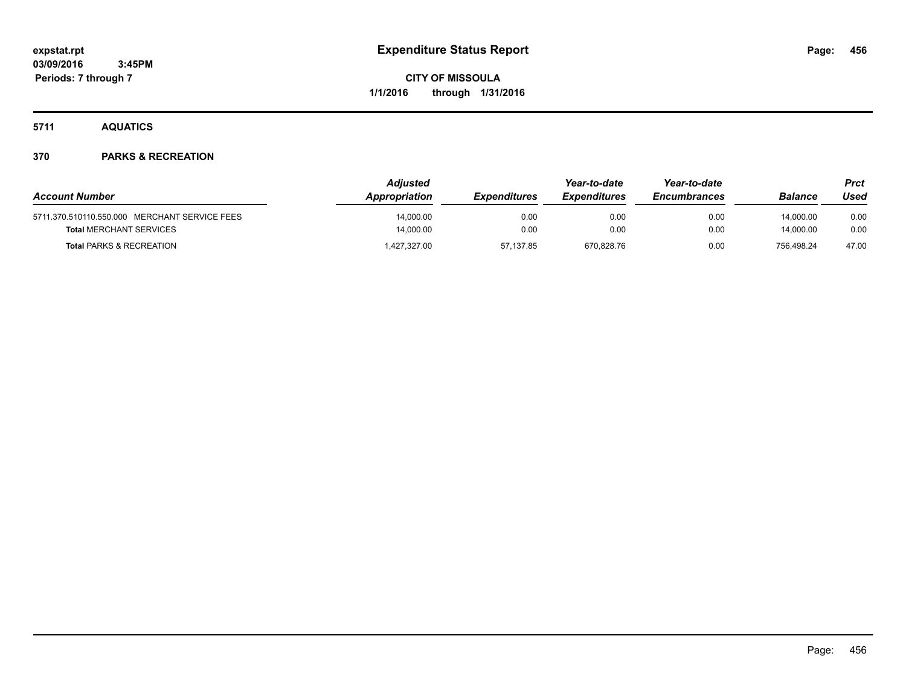**5711 AQUATICS**

|                                               | <b>Adjusted</b> |                     | Year-to-date               | Year-to-date        |            | <b>Prct</b> |
|-----------------------------------------------|-----------------|---------------------|----------------------------|---------------------|------------|-------------|
| <b>Account Number</b>                         | Appropriation   | <b>Expenditures</b> | <i><b>Expenditures</b></i> | <b>Encumbrances</b> | Balance    | Used        |
| 5711.370.510110.550.000 MERCHANT SERVICE FEES | 14,000.00       | 0.00                | 0.00                       | 0.00                | 14,000.00  | 0.00        |
| <b>Total MERCHANT SERVICES</b>                | 14.000.00       | 0.00                | 0.00                       | 0.00                | 14.000.00  | 0.00        |
| <b>Total PARKS &amp; RECREATION</b>           | 1,427,327.00    | 57.137.85           | 670.828.76                 | 0.00                | 756.498.24 | 47.00       |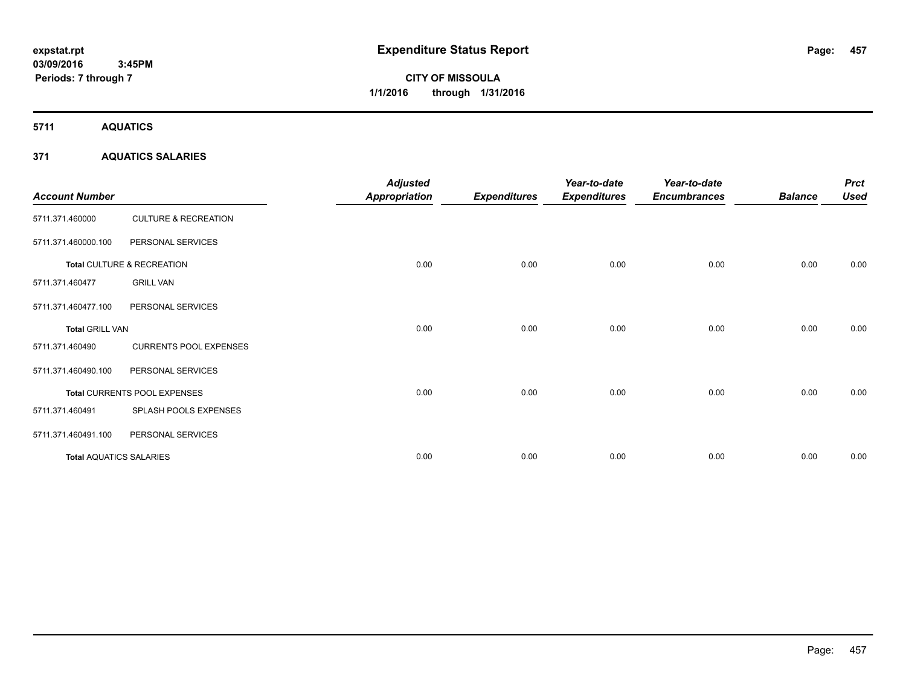# **CITY OF MISSOULA 1/1/2016 through 1/31/2016**

**5711 AQUATICS**

## **371 AQUATICS SALARIES**

| <b>Account Number</b>          |                                 | <b>Adjusted</b><br>Appropriation | <b>Expenditures</b> | Year-to-date<br><b>Expenditures</b> | Year-to-date<br><b>Encumbrances</b> | <b>Balance</b> | <b>Prct</b><br><b>Used</b> |
|--------------------------------|---------------------------------|----------------------------------|---------------------|-------------------------------------|-------------------------------------|----------------|----------------------------|
| 5711.371.460000                | <b>CULTURE &amp; RECREATION</b> |                                  |                     |                                     |                                     |                |                            |
| 5711.371.460000.100            | PERSONAL SERVICES               |                                  |                     |                                     |                                     |                |                            |
|                                | Total CULTURE & RECREATION      | 0.00                             | 0.00                | 0.00                                | 0.00                                | 0.00           | 0.00                       |
| 5711.371.460477                | <b>GRILL VAN</b>                |                                  |                     |                                     |                                     |                |                            |
| 5711.371.460477.100            | PERSONAL SERVICES               |                                  |                     |                                     |                                     |                |                            |
| <b>Total GRILL VAN</b>         |                                 | 0.00                             | 0.00                | 0.00                                | 0.00                                | 0.00           | 0.00                       |
| 5711.371.460490                | <b>CURRENTS POOL EXPENSES</b>   |                                  |                     |                                     |                                     |                |                            |
| 5711.371.460490.100            | PERSONAL SERVICES               |                                  |                     |                                     |                                     |                |                            |
|                                | Total CURRENTS POOL EXPENSES    | 0.00                             | 0.00                | 0.00                                | 0.00                                | 0.00           | 0.00                       |
| 5711.371.460491                | SPLASH POOLS EXPENSES           |                                  |                     |                                     |                                     |                |                            |
| 5711.371.460491.100            | PERSONAL SERVICES               |                                  |                     |                                     |                                     |                |                            |
| <b>Total AQUATICS SALARIES</b> |                                 | 0.00                             | 0.00                | 0.00                                | 0.00                                | 0.00           | 0.00                       |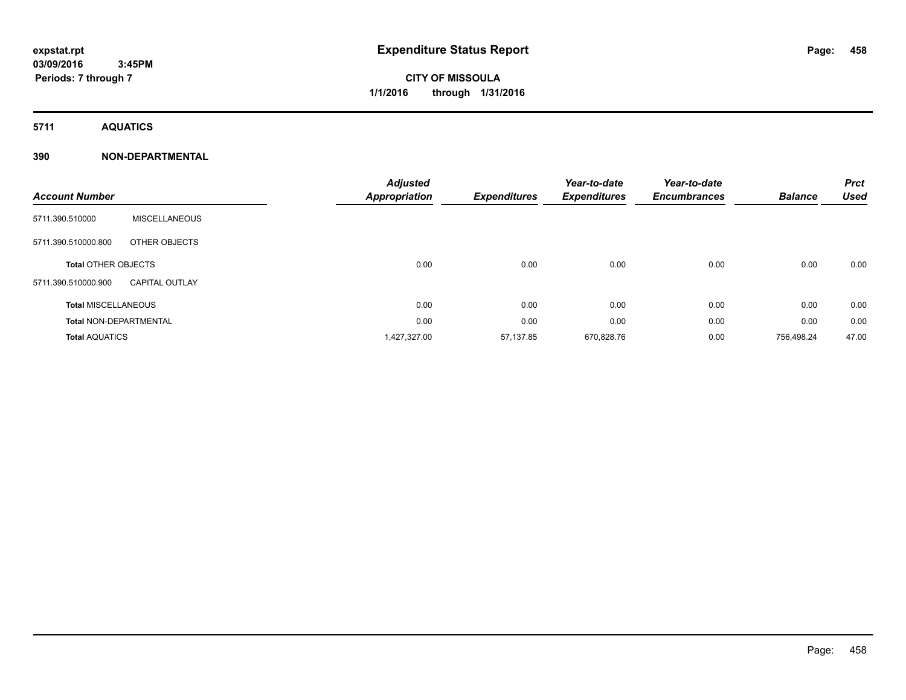# **CITY OF MISSOULA 1/1/2016 through 1/31/2016**

**5711 AQUATICS**

# **390 NON-DEPARTMENTAL**

| <b>Account Number</b>         |                       | <b>Adjusted</b><br><b>Appropriation</b> | <b>Expenditures</b> | Year-to-date<br><b>Expenditures</b> | Year-to-date<br><b>Encumbrances</b> | <b>Balance</b> | <b>Prct</b><br><b>Used</b> |
|-------------------------------|-----------------------|-----------------------------------------|---------------------|-------------------------------------|-------------------------------------|----------------|----------------------------|
| 5711.390.510000               | <b>MISCELLANEOUS</b>  |                                         |                     |                                     |                                     |                |                            |
| 5711.390.510000.800           | OTHER OBJECTS         |                                         |                     |                                     |                                     |                |                            |
| <b>Total OTHER OBJECTS</b>    |                       | 0.00                                    | 0.00                | 0.00                                | 0.00                                | 0.00           | 0.00                       |
| 5711.390.510000.900           | <b>CAPITAL OUTLAY</b> |                                         |                     |                                     |                                     |                |                            |
| <b>Total MISCELLANEOUS</b>    |                       | 0.00                                    | 0.00                | 0.00                                | 0.00                                | 0.00           | 0.00                       |
| <b>Total NON-DEPARTMENTAL</b> |                       | 0.00                                    | 0.00                | 0.00                                | 0.00                                | 0.00           | 0.00                       |
| <b>Total AQUATICS</b>         |                       | 1,427,327.00                            | 57,137.85           | 670,828.76                          | 0.00                                | 756.498.24     | 47.00                      |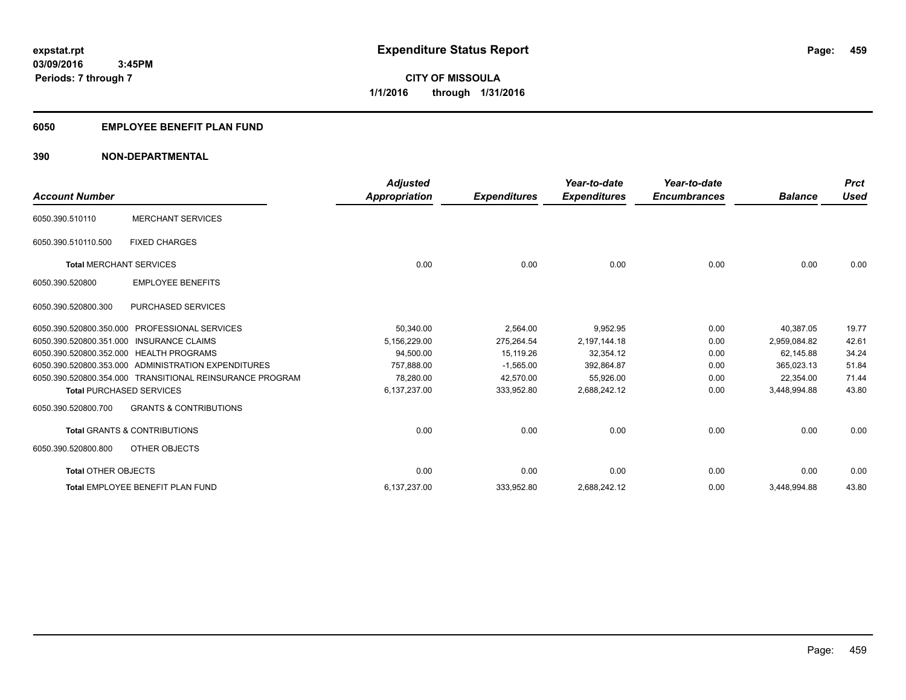# **6050 EMPLOYEE BENEFIT PLAN FUND**

## **390 NON-DEPARTMENTAL**

| <b>Account Number</b>           |                                                          | <b>Adjusted</b><br><b>Appropriation</b> | <b>Expenditures</b> | Year-to-date<br><b>Expenditures</b> | Year-to-date<br><b>Encumbrances</b> | <b>Balance</b> | <b>Prct</b><br><b>Used</b> |
|---------------------------------|----------------------------------------------------------|-----------------------------------------|---------------------|-------------------------------------|-------------------------------------|----------------|----------------------------|
| 6050.390.510110                 | <b>MERCHANT SERVICES</b>                                 |                                         |                     |                                     |                                     |                |                            |
| 6050.390.510110.500             | <b>FIXED CHARGES</b>                                     |                                         |                     |                                     |                                     |                |                            |
| <b>Total MERCHANT SERVICES</b>  |                                                          | 0.00                                    | 0.00                | 0.00                                | 0.00                                | 0.00           | 0.00                       |
| 6050.390.520800                 | <b>EMPLOYEE BENEFITS</b>                                 |                                         |                     |                                     |                                     |                |                            |
| 6050.390.520800.300             | <b>PURCHASED SERVICES</b>                                |                                         |                     |                                     |                                     |                |                            |
| 6050.390.520800.350.000         | <b>PROFESSIONAL SERVICES</b>                             | 50,340.00                               | 2,564.00            | 9,952.95                            | 0.00                                | 40.387.05      | 19.77                      |
|                                 | 6050.390.520800.351.000 INSURANCE CLAIMS                 | 5,156,229.00                            | 275,264.54          | 2,197,144.18                        | 0.00                                | 2.959.084.82   | 42.61                      |
|                                 | 6050.390.520800.352.000 HEALTH PROGRAMS                  | 94,500.00                               | 15,119.26           | 32,354.12                           | 0.00                                | 62.145.88      | 34.24                      |
|                                 | 6050.390.520800.353.000 ADMINISTRATION EXPENDITURES      | 757.888.00                              | $-1.565.00$         | 392,864.87                          | 0.00                                | 365.023.13     | 51.84                      |
|                                 | 6050.390.520800.354.000 TRANSITIONAL REINSURANCE PROGRAM | 78.280.00                               | 42,570.00           | 55,926.00                           | 0.00                                | 22,354.00      | 71.44                      |
| <b>Total PURCHASED SERVICES</b> |                                                          | 6,137,237.00                            | 333,952.80          | 2,688,242.12                        | 0.00                                | 3,448,994.88   | 43.80                      |
| 6050.390.520800.700             | <b>GRANTS &amp; CONTRIBUTIONS</b>                        |                                         |                     |                                     |                                     |                |                            |
|                                 | <b>Total GRANTS &amp; CONTRIBUTIONS</b>                  | 0.00                                    | 0.00                | 0.00                                | 0.00                                | 0.00           | 0.00                       |
| 6050.390.520800.800             | OTHER OBJECTS                                            |                                         |                     |                                     |                                     |                |                            |
| <b>Total OTHER OBJECTS</b>      |                                                          | 0.00                                    | 0.00                | 0.00                                | 0.00                                | 0.00           | 0.00                       |
|                                 | Total EMPLOYEE BENEFIT PLAN FUND                         | 6,137,237.00                            | 333,952.80          | 2,688,242.12                        | 0.00                                | 3,448,994.88   | 43.80                      |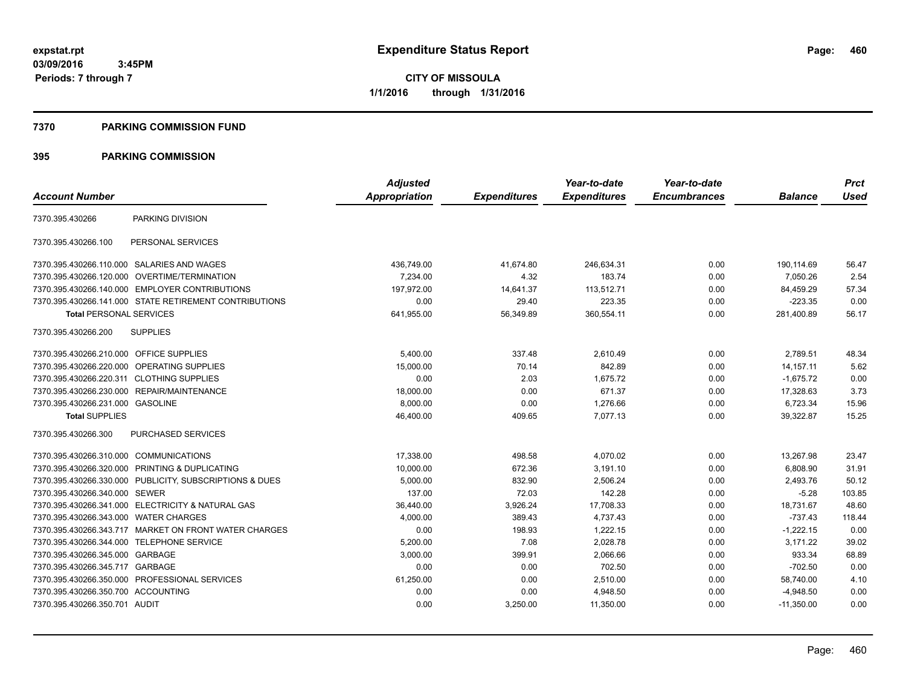**CITY OF MISSOULA 1/1/2016 through 1/31/2016**

#### **7370 PARKING COMMISSION FUND**

|                                           |                                                         | <b>Adjusted</b> |                     | Year-to-date        | Year-to-date        |                | <b>Prct</b> |
|-------------------------------------------|---------------------------------------------------------|-----------------|---------------------|---------------------|---------------------|----------------|-------------|
| <b>Account Number</b>                     |                                                         | Appropriation   | <b>Expenditures</b> | <b>Expenditures</b> | <b>Encumbrances</b> | <b>Balance</b> | <b>Used</b> |
| 7370.395.430266                           | PARKING DIVISION                                        |                 |                     |                     |                     |                |             |
| 7370.395.430266.100                       | PERSONAL SERVICES                                       |                 |                     |                     |                     |                |             |
|                                           | 7370.395.430266.110.000 SALARIES AND WAGES              | 436,749.00      | 41,674.80           | 246,634.31          | 0.00                | 190,114.69     | 56.47       |
|                                           | 7370.395.430266.120.000 OVERTIME/TERMINATION            | 7,234.00        | 4.32                | 183.74              | 0.00                | 7,050.26       | 2.54        |
|                                           | 7370.395.430266.140.000 EMPLOYER CONTRIBUTIONS          | 197.972.00      | 14,641.37           | 113,512.71          | 0.00                | 84,459.29      | 57.34       |
|                                           | 7370.395.430266.141.000 STATE RETIREMENT CONTRIBUTIONS  | 0.00            | 29.40               | 223.35              | 0.00                | $-223.35$      | 0.00        |
| <b>Total PERSONAL SERVICES</b>            |                                                         | 641,955.00      | 56,349.89           | 360,554.11          | 0.00                | 281,400.89     | 56.17       |
| 7370.395.430266.200                       | <b>SUPPLIES</b>                                         |                 |                     |                     |                     |                |             |
| 7370.395.430266.210.000 OFFICE SUPPLIES   |                                                         | 5,400.00        | 337.48              | 2,610.49            | 0.00                | 2,789.51       | 48.34       |
|                                           | 7370.395.430266.220.000 OPERATING SUPPLIES              | 15,000.00       | 70.14               | 842.89              | 0.00                | 14.157.11      | 5.62        |
| 7370.395.430266.220.311 CLOTHING SUPPLIES |                                                         | 0.00            | 2.03                | 1.675.72            | 0.00                | $-1,675.72$    | 0.00        |
| 7370.395.430266.230.000                   | REPAIR/MAINTENANCE                                      | 18,000.00       | 0.00                | 671.37              | 0.00                | 17,328.63      | 3.73        |
| 7370.395.430266.231.000 GASOLINE          |                                                         | 8,000.00        | 0.00                | 1,276.66            | 0.00                | 6,723.34       | 15.96       |
| <b>Total SUPPLIES</b>                     |                                                         | 46,400.00       | 409.65              | 7,077.13            | 0.00                | 39,322.87      | 15.25       |
| 7370.395.430266.300                       | PURCHASED SERVICES                                      |                 |                     |                     |                     |                |             |
| 7370.395.430266.310.000 COMMUNICATIONS    |                                                         | 17,338.00       | 498.58              | 4,070.02            | 0.00                | 13,267.98      | 23.47       |
|                                           | 7370.395.430266.320.000 PRINTING & DUPLICATING          | 10,000.00       | 672.36              | 3,191.10            | 0.00                | 6,808.90       | 31.91       |
|                                           | 7370.395.430266.330.000 PUBLICITY, SUBSCRIPTIONS & DUES | 5,000.00        | 832.90              | 2,506.24            | 0.00                | 2,493.76       | 50.12       |
| 7370.395.430266.340.000 SEWER             |                                                         | 137.00          | 72.03               | 142.28              | 0.00                | $-5.28$        | 103.85      |
|                                           | 7370.395.430266.341.000 ELECTRICITY & NATURAL GAS       | 36,440.00       | 3,926.24            | 17,708.33           | 0.00                | 18,731.67      | 48.60       |
| 7370.395.430266.343.000                   | <b>WATER CHARGES</b>                                    | 4,000.00        | 389.43              | 4,737.43            | 0.00                | $-737.43$      | 118.44      |
|                                           | 7370.395.430266.343.717 MARKET ON FRONT WATER CHARGES   | 0.00            | 198.93              | 1,222.15            | 0.00                | $-1,222.15$    | 0.00        |
| 7370.395.430266.344.000                   | <b>TELEPHONE SERVICE</b>                                | 5,200.00        | 7.08                | 2,028.78            | 0.00                | 3,171.22       | 39.02       |
| 7370.395.430266.345.000 GARBAGE           |                                                         | 3,000.00        | 399.91              | 2,066.66            | 0.00                | 933.34         | 68.89       |
| 7370.395.430266.345.717                   | GARBAGE                                                 | 0.00            | 0.00                | 702.50              | 0.00                | $-702.50$      | 0.00        |
|                                           | 7370.395.430266.350.000 PROFESSIONAL SERVICES           | 61,250.00       | 0.00                | 2,510.00            | 0.00                | 58,740.00      | 4.10        |
| 7370.395.430266.350.700 ACCOUNTING        |                                                         | 0.00            | 0.00                | 4,948.50            | 0.00                | $-4,948.50$    | 0.00        |
| 7370.395.430266.350.701 AUDIT             |                                                         | 0.00            | 3,250.00            | 11,350.00           | 0.00                | $-11.350.00$   | 0.00        |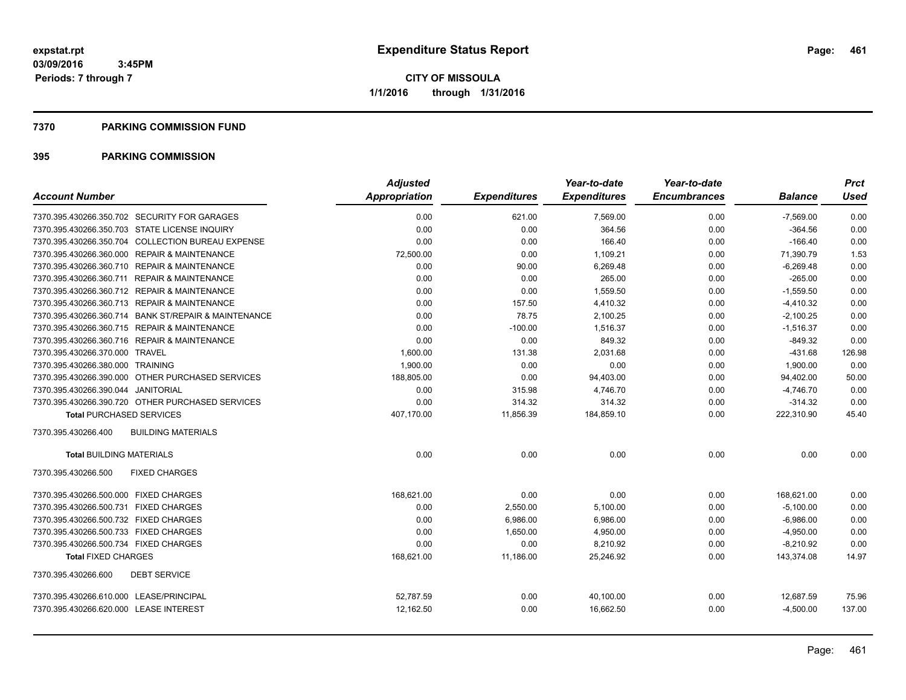#### **7370 PARKING COMMISSION FUND**

|                                                      | <b>Adjusted</b>      |                     | Year-to-date        | Year-to-date        |                | <b>Prct</b> |
|------------------------------------------------------|----------------------|---------------------|---------------------|---------------------|----------------|-------------|
| <b>Account Number</b>                                | <b>Appropriation</b> | <b>Expenditures</b> | <b>Expenditures</b> | <b>Encumbrances</b> | <b>Balance</b> | Used        |
| 7370.395.430266.350.702 SECURITY FOR GARAGES         | 0.00                 | 621.00              | 7,569.00            | 0.00                | $-7,569.00$    | 0.00        |
| 7370.395.430266.350.703 STATE LICENSE INQUIRY        | 0.00                 | 0.00                | 364.56              | 0.00                | $-364.56$      | 0.00        |
| 7370.395.430266.350.704 COLLECTION BUREAU EXPENSE    | 0.00                 | 0.00                | 166.40              | 0.00                | $-166.40$      | 0.00        |
| 7370.395.430266.360.000 REPAIR & MAINTENANCE         | 72,500.00            | 0.00                | 1,109.21            | 0.00                | 71,390.79      | 1.53        |
| 7370.395.430266.360.710 REPAIR & MAINTENANCE         | 0.00                 | 90.00               | 6,269.48            | 0.00                | $-6,269.48$    | 0.00        |
| 7370.395.430266.360.711 REPAIR & MAINTENANCE         | 0.00                 | 0.00                | 265.00              | 0.00                | $-265.00$      | 0.00        |
| 7370.395.430266.360.712 REPAIR & MAINTENANCE         | 0.00                 | 0.00                | 1,559.50            | 0.00                | $-1,559.50$    | 0.00        |
| 7370.395.430266.360.713 REPAIR & MAINTENANCE         | 0.00                 | 157.50              | 4,410.32            | 0.00                | $-4,410.32$    | 0.00        |
| 7370.395.430266.360.714 BANK ST/REPAIR & MAINTENANCE | 0.00                 | 78.75               | 2,100.25            | 0.00                | $-2,100.25$    | 0.00        |
| 7370.395.430266.360.715 REPAIR & MAINTENANCE         | 0.00                 | $-100.00$           | 1.516.37            | 0.00                | $-1,516.37$    | 0.00        |
| 7370.395.430266.360.716 REPAIR & MAINTENANCE         | 0.00                 | 0.00                | 849.32              | 0.00                | $-849.32$      | 0.00        |
| 7370.395.430266.370.000 TRAVEL                       | 1,600.00             | 131.38              | 2,031.68            | 0.00                | $-431.68$      | 126.98      |
| 7370.395.430266.380.000 TRAINING                     | 1.900.00             | 0.00                | 0.00                | 0.00                | 1,900.00       | 0.00        |
| 7370.395.430266.390.000 OTHER PURCHASED SERVICES     | 188,805.00           | 0.00                | 94,403.00           | 0.00                | 94,402.00      | 50.00       |
| 7370.395.430266.390.044 JANITORIAL                   | 0.00                 | 315.98              | 4,746.70            | 0.00                | $-4,746.70$    | 0.00        |
| 7370.395.430266.390.720 OTHER PURCHASED SERVICES     | 0.00                 | 314.32              | 314.32              | 0.00                | $-314.32$      | 0.00        |
| <b>Total PURCHASED SERVICES</b>                      | 407,170.00           | 11,856.39           | 184,859.10          | 0.00                | 222,310.90     | 45.40       |
| 7370.395.430266.400<br><b>BUILDING MATERIALS</b>     |                      |                     |                     |                     |                |             |
| <b>Total BUILDING MATERIALS</b>                      | 0.00                 | 0.00                | 0.00                | 0.00                | 0.00           | 0.00        |
| 7370.395.430266.500<br><b>FIXED CHARGES</b>          |                      |                     |                     |                     |                |             |
| 7370.395.430266.500.000 FIXED CHARGES                | 168.621.00           | 0.00                | 0.00                | 0.00                | 168,621.00     | 0.00        |
| 7370.395.430266.500.731 FIXED CHARGES                | 0.00                 | 2,550.00            | 5,100.00            | 0.00                | $-5,100.00$    | 0.00        |
| 7370.395.430266.500.732 FIXED CHARGES                | 0.00                 | 6,986.00            | 6,986.00            | 0.00                | $-6,986.00$    | 0.00        |
| 7370.395.430266.500.733 FIXED CHARGES                | 0.00                 | 1,650.00            | 4,950.00            | 0.00                | $-4,950.00$    | 0.00        |
| 7370.395.430266.500.734 FIXED CHARGES                | 0.00                 | 0.00                | 8,210.92            | 0.00                | $-8,210.92$    | 0.00        |
| <b>Total FIXED CHARGES</b>                           | 168,621.00           | 11,186.00           | 25,246.92           | 0.00                | 143,374.08     | 14.97       |
| <b>DEBT SERVICE</b><br>7370.395.430266.600           |                      |                     |                     |                     |                |             |
| 7370.395.430266.610.000 LEASE/PRINCIPAL              | 52,787.59            | 0.00                | 40,100.00           | 0.00                | 12,687.59      | 75.96       |
| 7370.395.430266.620.000 LEASE INTEREST               | 12,162.50            | 0.00                | 16,662.50           | 0.00                | $-4,500.00$    | 137.00      |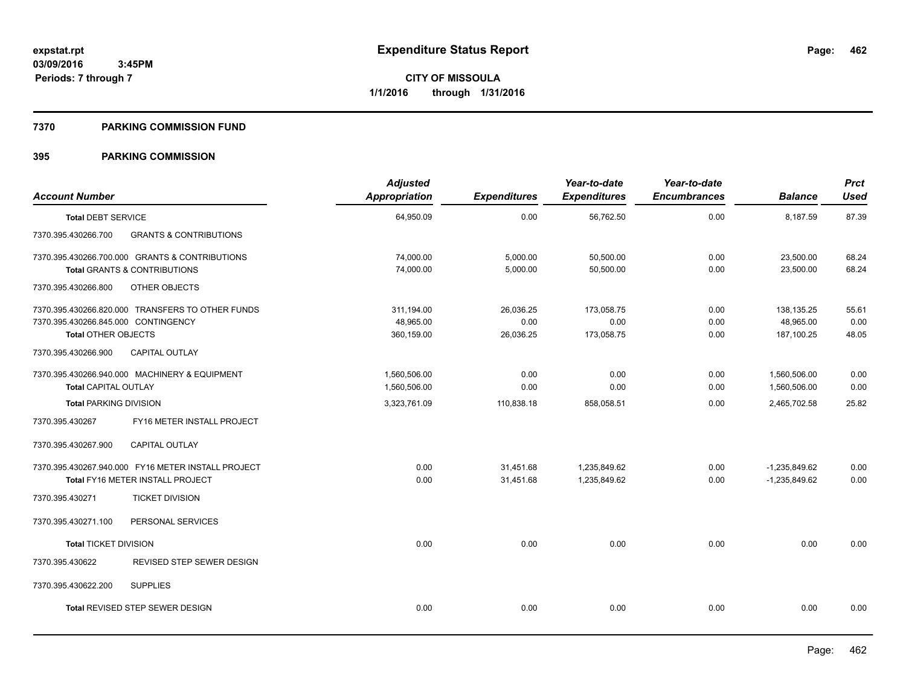#### **7370 PARKING COMMISSION FUND**

| <b>Account Number</b>                                                                    |                                                                                           | <b>Adjusted</b><br>Appropriation      | <b>Expenditures</b>            | Year-to-date<br><b>Expenditures</b> | Year-to-date<br><b>Encumbrances</b> | <b>Balance</b>                        | <b>Prct</b><br><b>Used</b> |
|------------------------------------------------------------------------------------------|-------------------------------------------------------------------------------------------|---------------------------------------|--------------------------------|-------------------------------------|-------------------------------------|---------------------------------------|----------------------------|
| <b>Total DEBT SERVICE</b>                                                                |                                                                                           | 64,950.09                             | 0.00                           | 56,762.50                           | 0.00                                | 8,187.59                              | 87.39                      |
| 7370.395.430266.700                                                                      | <b>GRANTS &amp; CONTRIBUTIONS</b>                                                         |                                       |                                |                                     |                                     |                                       |                            |
|                                                                                          | 7370.395.430266.700.000 GRANTS & CONTRIBUTIONS<br><b>Total GRANTS &amp; CONTRIBUTIONS</b> | 74,000.00<br>74,000.00                | 5,000.00<br>5,000.00           | 50,500.00<br>50,500.00              | 0.00<br>0.00                        | 23,500.00<br>23,500.00                | 68.24<br>68.24             |
| 7370.395.430266.800                                                                      | OTHER OBJECTS                                                                             |                                       |                                |                                     |                                     |                                       |                            |
| 7370.395.430266.845.000 CONTINGENCY<br><b>Total OTHER OBJECTS</b><br>7370.395.430266.900 | 7370.395.430266.820.000 TRANSFERS TO OTHER FUNDS<br><b>CAPITAL OUTLAY</b>                 | 311,194.00<br>48,965.00<br>360,159.00 | 26,036.25<br>0.00<br>26,036.25 | 173,058.75<br>0.00<br>173,058.75    | 0.00<br>0.00<br>0.00                | 138,135.25<br>48,965.00<br>187,100.25 | 55.61<br>0.00<br>48.05     |
| <b>Total CAPITAL OUTLAY</b>                                                              | 7370.395.430266.940.000 MACHINERY & EQUIPMENT                                             | 1,560,506.00<br>1,560,506.00          | 0.00<br>0.00                   | 0.00<br>0.00                        | 0.00<br>0.00                        | 1,560,506.00<br>1,560,506.00          | 0.00<br>0.00               |
| <b>Total PARKING DIVISION</b>                                                            |                                                                                           | 3,323,761.09                          | 110,838.18                     | 858,058.51                          | 0.00                                | 2,465,702.58                          | 25.82                      |
| 7370.395.430267                                                                          | FY16 METER INSTALL PROJECT                                                                |                                       |                                |                                     |                                     |                                       |                            |
| 7370.395.430267.900                                                                      | <b>CAPITAL OUTLAY</b>                                                                     |                                       |                                |                                     |                                     |                                       |                            |
|                                                                                          | 7370.395.430267.940.000 FY16 METER INSTALL PROJECT<br>Total FY16 METER INSTALL PROJECT    | 0.00<br>0.00                          | 31,451.68<br>31,451.68         | 1,235,849.62<br>1,235,849.62        | 0.00<br>0.00                        | $-1,235,849.62$<br>$-1,235,849.62$    | 0.00<br>0.00               |
| 7370.395.430271                                                                          | <b>TICKET DIVISION</b>                                                                    |                                       |                                |                                     |                                     |                                       |                            |
| 7370.395.430271.100                                                                      | PERSONAL SERVICES                                                                         |                                       |                                |                                     |                                     |                                       |                            |
| <b>Total TICKET DIVISION</b>                                                             |                                                                                           | 0.00                                  | 0.00                           | 0.00                                | 0.00                                | 0.00                                  | 0.00                       |
| 7370.395.430622                                                                          | REVISED STEP SEWER DESIGN                                                                 |                                       |                                |                                     |                                     |                                       |                            |
| 7370.395.430622.200                                                                      | <b>SUPPLIES</b>                                                                           |                                       |                                |                                     |                                     |                                       |                            |
|                                                                                          | <b>Total REVISED STEP SEWER DESIGN</b>                                                    | 0.00                                  | 0.00                           | 0.00                                | 0.00                                | 0.00                                  | 0.00                       |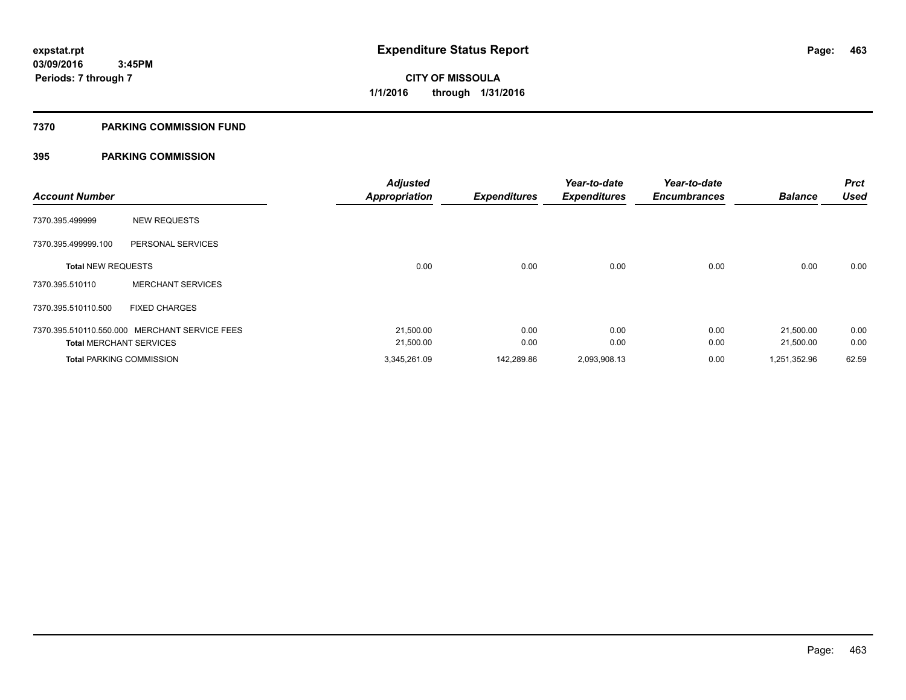#### **7370 PARKING COMMISSION FUND**

| <b>Account Number</b>          |                                               | <b>Adjusted</b><br><b>Appropriation</b> | <b>Expenditures</b> | Year-to-date<br><b>Expenditures</b> | Year-to-date<br><b>Encumbrances</b> | <b>Balance</b> | <b>Prct</b><br><b>Used</b> |
|--------------------------------|-----------------------------------------------|-----------------------------------------|---------------------|-------------------------------------|-------------------------------------|----------------|----------------------------|
| 7370.395.499999                | <b>NEW REQUESTS</b>                           |                                         |                     |                                     |                                     |                |                            |
| 7370.395.499999.100            | PERSONAL SERVICES                             |                                         |                     |                                     |                                     |                |                            |
| <b>Total NEW REQUESTS</b>      |                                               | 0.00                                    | 0.00                | 0.00                                | 0.00                                | 0.00           | 0.00                       |
| 7370.395.510110                | <b>MERCHANT SERVICES</b>                      |                                         |                     |                                     |                                     |                |                            |
| 7370.395.510110.500            | <b>FIXED CHARGES</b>                          |                                         |                     |                                     |                                     |                |                            |
|                                | 7370.395.510110.550.000 MERCHANT SERVICE FEES | 21,500.00                               | 0.00                | 0.00                                | 0.00                                | 21,500.00      | 0.00                       |
| <b>Total MERCHANT SERVICES</b> |                                               | 21,500.00                               | 0.00                | 0.00                                | 0.00                                | 21,500.00      | 0.00                       |
|                                | <b>Total PARKING COMMISSION</b>               | 3,345,261.09                            | 142,289.86          | 2,093,908.13                        | 0.00                                | 1,251,352.96   | 62.59                      |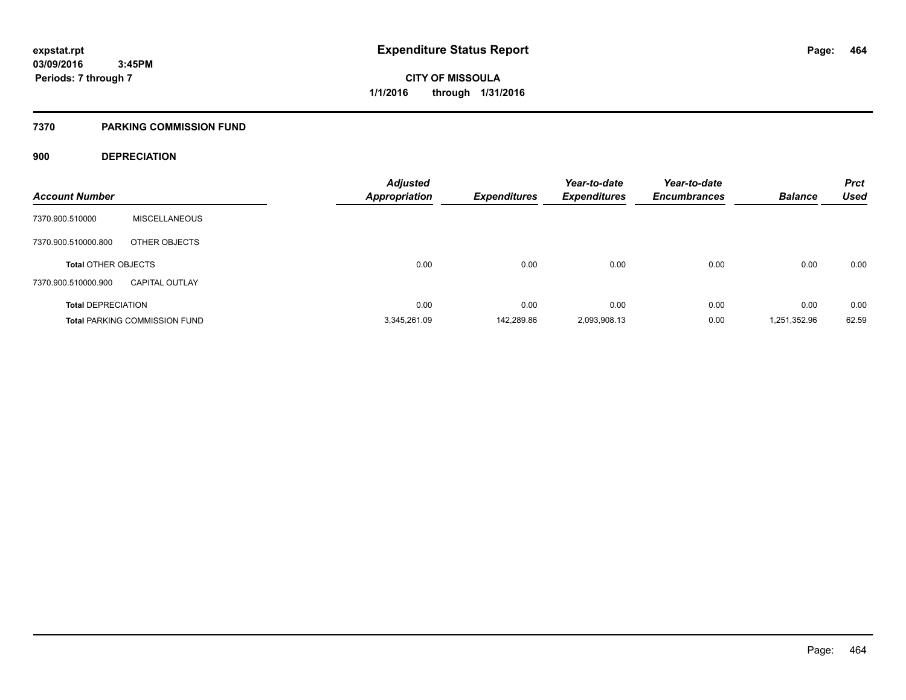#### **7370 PARKING COMMISSION FUND**

## **900 DEPRECIATION**

| <b>Account Number</b>      |                                      | <b>Adjusted</b><br><b>Appropriation</b> | <b>Expenditures</b> | Year-to-date<br><b>Expenditures</b> | Year-to-date<br><b>Encumbrances</b> | <b>Balance</b> | <b>Prct</b><br><b>Used</b> |
|----------------------------|--------------------------------------|-----------------------------------------|---------------------|-------------------------------------|-------------------------------------|----------------|----------------------------|
| 7370.900.510000            | <b>MISCELLANEOUS</b>                 |                                         |                     |                                     |                                     |                |                            |
| 7370.900.510000.800        | OTHER OBJECTS                        |                                         |                     |                                     |                                     |                |                            |
| <b>Total OTHER OBJECTS</b> |                                      | 0.00                                    | 0.00                | 0.00                                | 0.00                                | 0.00           | 0.00                       |
| 7370.900.510000.900        | <b>CAPITAL OUTLAY</b>                |                                         |                     |                                     |                                     |                |                            |
| <b>Total DEPRECIATION</b>  |                                      | 0.00                                    | 0.00                | 0.00                                | 0.00                                | 0.00           | 0.00                       |
|                            | <b>Total PARKING COMMISSION FUND</b> | 3.345.261.09                            | 142.289.86          | 2,093,908.13                        | 0.00                                | 1,251,352.96   | 62.59                      |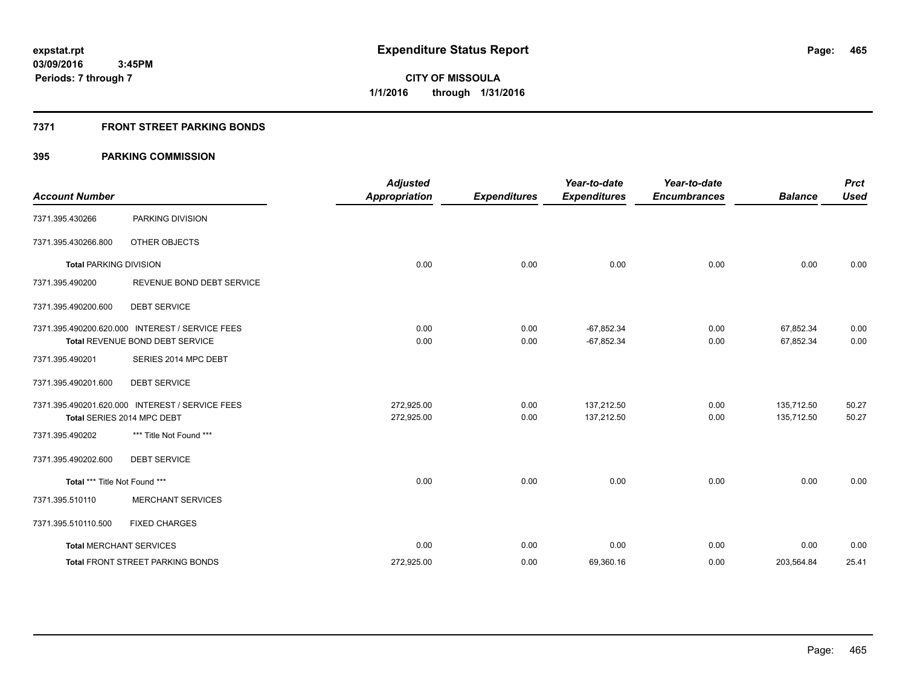## **7371 FRONT STREET PARKING BONDS**

| <b>Account Number</b>         |                                                 | <b>Adjusted</b><br><b>Appropriation</b> | <b>Expenditures</b> | Year-to-date<br><b>Expenditures</b> | Year-to-date<br><b>Encumbrances</b> | <b>Balance</b> | <b>Prct</b><br><b>Used</b> |
|-------------------------------|-------------------------------------------------|-----------------------------------------|---------------------|-------------------------------------|-------------------------------------|----------------|----------------------------|
| 7371.395.430266               | PARKING DIVISION                                |                                         |                     |                                     |                                     |                |                            |
| 7371.395.430266.800           | OTHER OBJECTS                                   |                                         |                     |                                     |                                     |                |                            |
| <b>Total PARKING DIVISION</b> |                                                 | 0.00                                    | 0.00                | 0.00                                | 0.00                                | 0.00           | 0.00                       |
| 7371.395.490200               | REVENUE BOND DEBT SERVICE                       |                                         |                     |                                     |                                     |                |                            |
| 7371.395.490200.600           | <b>DEBT SERVICE</b>                             |                                         |                     |                                     |                                     |                |                            |
|                               | 7371.395.490200.620.000 INTEREST / SERVICE FEES | 0.00                                    | 0.00                | $-67,852.34$                        | 0.00                                | 67,852.34      | 0.00                       |
|                               | <b>Total REVENUE BOND DEBT SERVICE</b>          | 0.00                                    | 0.00                | $-67,852.34$                        | 0.00                                | 67,852.34      | 0.00                       |
| 7371.395.490201               | SERIES 2014 MPC DEBT                            |                                         |                     |                                     |                                     |                |                            |
| 7371.395.490201.600           | <b>DEBT SERVICE</b>                             |                                         |                     |                                     |                                     |                |                            |
|                               | 7371.395.490201.620.000 INTEREST / SERVICE FEES | 272.925.00                              | 0.00                | 137.212.50                          | 0.00                                | 135,712.50     | 50.27                      |
|                               | Total SERIES 2014 MPC DEBT                      | 272,925.00                              | 0.00                | 137,212.50                          | 0.00                                | 135,712.50     | 50.27                      |
| 7371.395.490202               | *** Title Not Found ***                         |                                         |                     |                                     |                                     |                |                            |
| 7371.395.490202.600           | <b>DEBT SERVICE</b>                             |                                         |                     |                                     |                                     |                |                            |
| Total *** Title Not Found *** |                                                 | 0.00                                    | 0.00                | 0.00                                | 0.00                                | 0.00           | 0.00                       |
| 7371.395.510110               | <b>MERCHANT SERVICES</b>                        |                                         |                     |                                     |                                     |                |                            |
| 7371.395.510110.500           | <b>FIXED CHARGES</b>                            |                                         |                     |                                     |                                     |                |                            |
|                               | <b>Total MERCHANT SERVICES</b>                  | 0.00                                    | 0.00                | 0.00                                | 0.00                                | 0.00           | 0.00                       |
|                               | <b>Total FRONT STREET PARKING BONDS</b>         | 272,925.00                              | 0.00                | 69,360.16                           | 0.00                                | 203,564.84     | 25.41                      |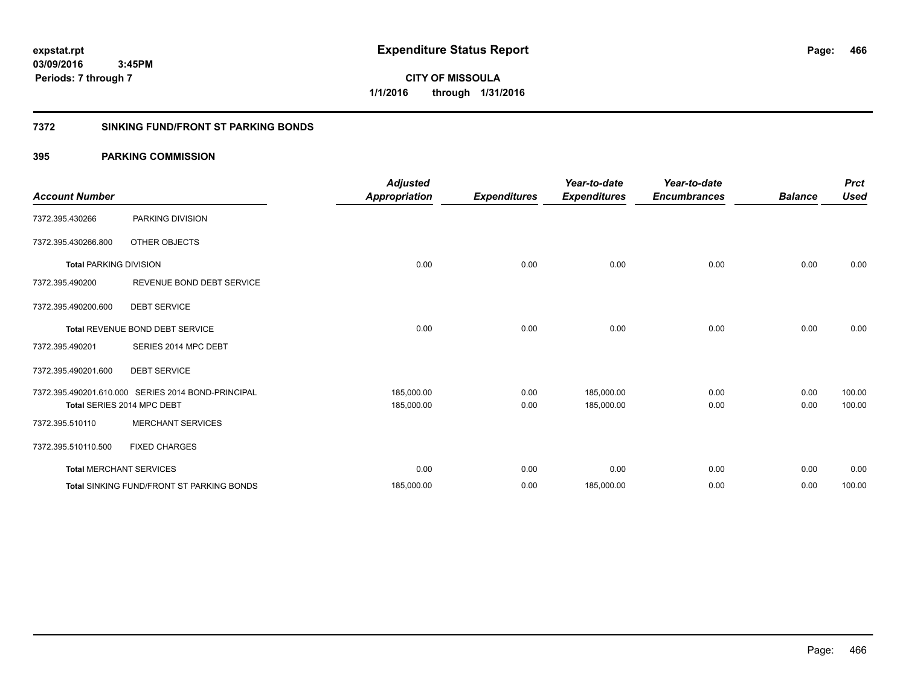**CITY OF MISSOULA 1/1/2016 through 1/31/2016**

### **7372 SINKING FUND/FRONT ST PARKING BONDS**

| <b>Account Number</b>         |                                                    | <b>Adjusted</b><br><b>Appropriation</b> | <b>Expenditures</b> | Year-to-date<br><b>Expenditures</b> | Year-to-date<br><b>Encumbrances</b> | <b>Balance</b> | <b>Prct</b><br><b>Used</b> |
|-------------------------------|----------------------------------------------------|-----------------------------------------|---------------------|-------------------------------------|-------------------------------------|----------------|----------------------------|
| 7372.395.430266               | PARKING DIVISION                                   |                                         |                     |                                     |                                     |                |                            |
| 7372.395.430266.800           | <b>OTHER OBJECTS</b>                               |                                         |                     |                                     |                                     |                |                            |
| <b>Total PARKING DIVISION</b> |                                                    | 0.00                                    | 0.00                | 0.00                                | 0.00                                | 0.00           | 0.00                       |
| 7372.395.490200               | REVENUE BOND DEBT SERVICE                          |                                         |                     |                                     |                                     |                |                            |
| 7372.395.490200.600           | <b>DEBT SERVICE</b>                                |                                         |                     |                                     |                                     |                |                            |
|                               | Total REVENUE BOND DEBT SERVICE                    | 0.00                                    | 0.00                | 0.00                                | 0.00                                | 0.00           | 0.00                       |
| 7372.395.490201               | SERIES 2014 MPC DEBT                               |                                         |                     |                                     |                                     |                |                            |
| 7372.395.490201.600           | <b>DEBT SERVICE</b>                                |                                         |                     |                                     |                                     |                |                            |
|                               | 7372.395.490201.610.000 SERIES 2014 BOND-PRINCIPAL | 185,000.00                              | 0.00                | 185,000.00                          | 0.00                                | 0.00           | 100.00                     |
|                               | Total SERIES 2014 MPC DEBT                         | 185,000.00                              | 0.00                | 185,000.00                          | 0.00                                | 0.00           | 100.00                     |
| 7372.395.510110               | <b>MERCHANT SERVICES</b>                           |                                         |                     |                                     |                                     |                |                            |
| 7372.395.510110.500           | <b>FIXED CHARGES</b>                               |                                         |                     |                                     |                                     |                |                            |
|                               | <b>Total MERCHANT SERVICES</b>                     | 0.00                                    | 0.00                | 0.00                                | 0.00                                | 0.00           | 0.00                       |
|                               | <b>Total SINKING FUND/FRONT ST PARKING BONDS</b>   | 185,000.00                              | 0.00                | 185,000.00                          | 0.00                                | 0.00           | 100.00                     |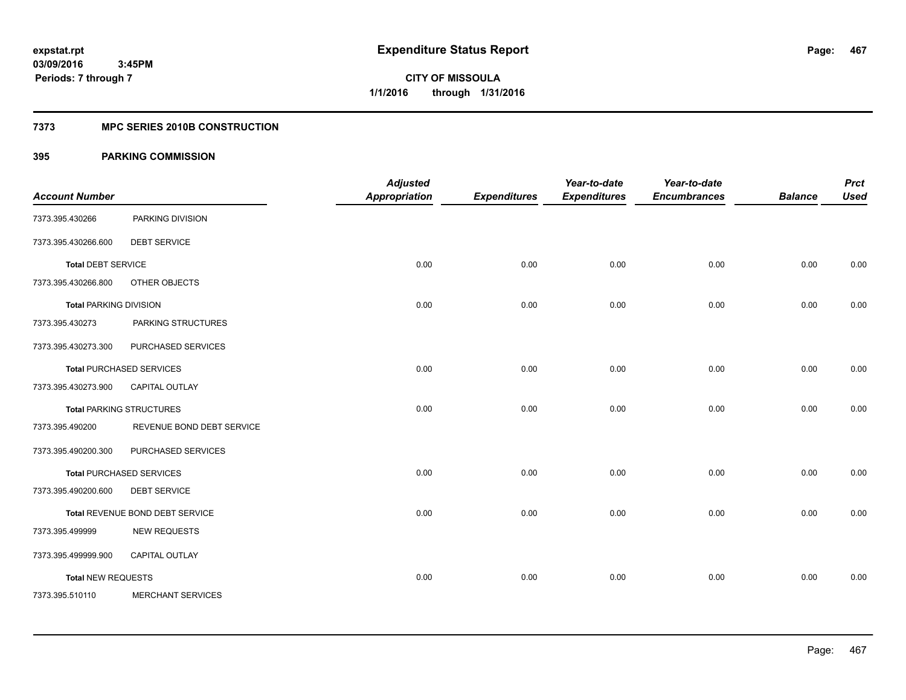#### **7373 MPC SERIES 2010B CONSTRUCTION**

| <b>Account Number</b>         |                                 | <b>Adjusted</b><br><b>Appropriation</b> | <b>Expenditures</b> | Year-to-date<br><b>Expenditures</b> | Year-to-date<br><b>Encumbrances</b> | <b>Balance</b> | <b>Prct</b><br><b>Used</b> |
|-------------------------------|---------------------------------|-----------------------------------------|---------------------|-------------------------------------|-------------------------------------|----------------|----------------------------|
| 7373.395.430266               | PARKING DIVISION                |                                         |                     |                                     |                                     |                |                            |
| 7373.395.430266.600           | <b>DEBT SERVICE</b>             |                                         |                     |                                     |                                     |                |                            |
| <b>Total DEBT SERVICE</b>     |                                 | 0.00                                    | 0.00                | 0.00                                | 0.00                                | 0.00           | 0.00                       |
| 7373.395.430266.800           | OTHER OBJECTS                   |                                         |                     |                                     |                                     |                |                            |
| <b>Total PARKING DIVISION</b> |                                 | 0.00                                    | 0.00                | 0.00                                | 0.00                                | 0.00           | 0.00                       |
| 7373.395.430273               | PARKING STRUCTURES              |                                         |                     |                                     |                                     |                |                            |
| 7373.395.430273.300           | PURCHASED SERVICES              |                                         |                     |                                     |                                     |                |                            |
|                               | <b>Total PURCHASED SERVICES</b> | 0.00                                    | 0.00                | 0.00                                | 0.00                                | 0.00           | 0.00                       |
| 7373.395.430273.900           | CAPITAL OUTLAY                  |                                         |                     |                                     |                                     |                |                            |
|                               | <b>Total PARKING STRUCTURES</b> | 0.00                                    | 0.00                | 0.00                                | 0.00                                | 0.00           | 0.00                       |
| 7373.395.490200               | REVENUE BOND DEBT SERVICE       |                                         |                     |                                     |                                     |                |                            |
| 7373.395.490200.300           | PURCHASED SERVICES              |                                         |                     |                                     |                                     |                |                            |
|                               | <b>Total PURCHASED SERVICES</b> | 0.00                                    | 0.00                | 0.00                                | 0.00                                | 0.00           | 0.00                       |
| 7373.395.490200.600           | <b>DEBT SERVICE</b>             |                                         |                     |                                     |                                     |                |                            |
|                               | Total REVENUE BOND DEBT SERVICE | 0.00                                    | 0.00                | 0.00                                | 0.00                                | 0.00           | 0.00                       |
| 7373.395.499999               | <b>NEW REQUESTS</b>             |                                         |                     |                                     |                                     |                |                            |
| 7373.395.499999.900           | <b>CAPITAL OUTLAY</b>           |                                         |                     |                                     |                                     |                |                            |
| <b>Total NEW REQUESTS</b>     |                                 | 0.00                                    | 0.00                | 0.00                                | 0.00                                | 0.00           | 0.00                       |
| 7373.395.510110               | <b>MERCHANT SERVICES</b>        |                                         |                     |                                     |                                     |                |                            |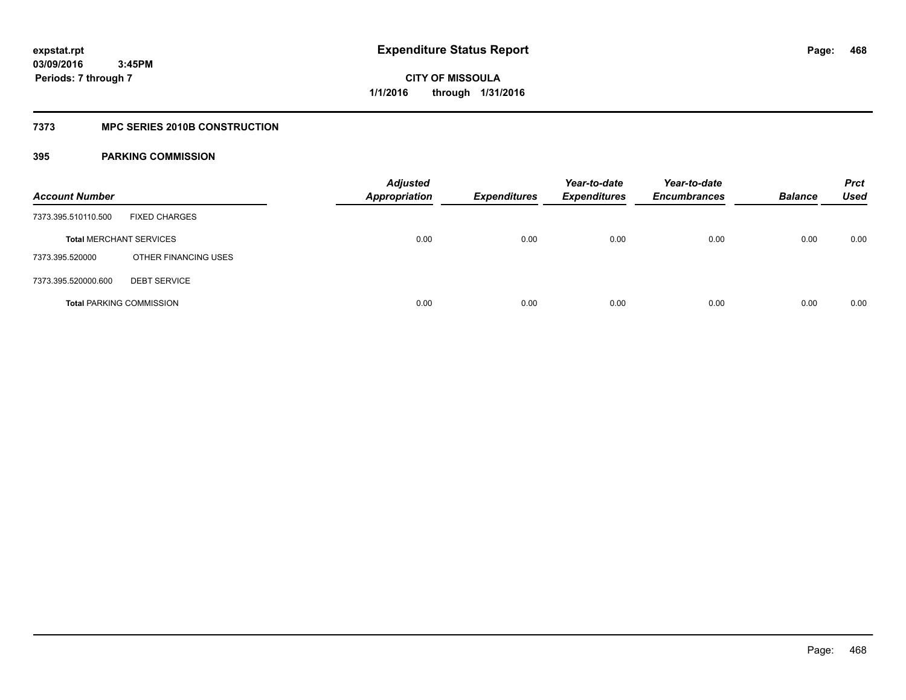# **7373 MPC SERIES 2010B CONSTRUCTION**

| <b>Account Number</b>           |                      | <b>Adjusted</b><br><b>Appropriation</b> | <b>Expenditures</b> | Year-to-date<br><b>Expenditures</b> | Year-to-date<br><b>Encumbrances</b> | <b>Balance</b> | <b>Prct</b><br><b>Used</b> |
|---------------------------------|----------------------|-----------------------------------------|---------------------|-------------------------------------|-------------------------------------|----------------|----------------------------|
| 7373.395.510110.500             | <b>FIXED CHARGES</b> |                                         |                     |                                     |                                     |                |                            |
| <b>Total MERCHANT SERVICES</b>  |                      | 0.00                                    | 0.00                | 0.00                                | 0.00                                | 0.00           | 0.00                       |
| 7373.395.520000                 | OTHER FINANCING USES |                                         |                     |                                     |                                     |                |                            |
| 7373.395.520000.600             | <b>DEBT SERVICE</b>  |                                         |                     |                                     |                                     |                |                            |
| <b>Total PARKING COMMISSION</b> |                      | 0.00                                    | 0.00                | 0.00                                | 0.00                                | 0.00           | 0.00                       |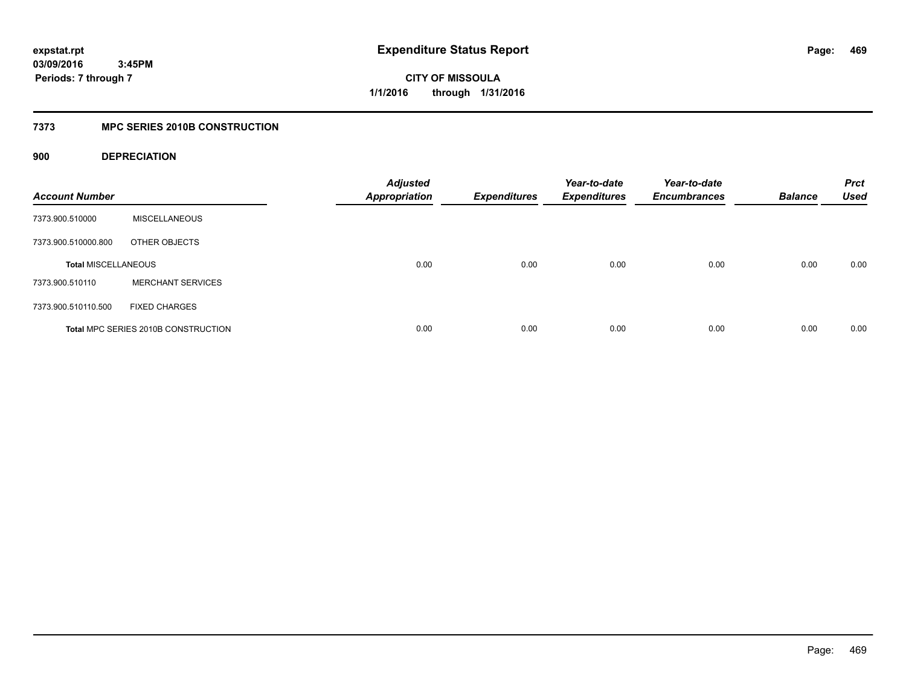**CITY OF MISSOULA 1/1/2016 through 1/31/2016**

### **7373 MPC SERIES 2010B CONSTRUCTION**

### **900 DEPRECIATION**

| <b>Account Number</b>      |                                     | <b>Adjusted</b><br><b>Appropriation</b> | <b>Expenditures</b> | Year-to-date<br><b>Expenditures</b> | Year-to-date<br><b>Encumbrances</b> | <b>Balance</b> | <b>Prct</b><br><b>Used</b> |
|----------------------------|-------------------------------------|-----------------------------------------|---------------------|-------------------------------------|-------------------------------------|----------------|----------------------------|
| 7373.900.510000            | <b>MISCELLANEOUS</b>                |                                         |                     |                                     |                                     |                |                            |
| 7373.900.510000.800        | OTHER OBJECTS                       |                                         |                     |                                     |                                     |                |                            |
| <b>Total MISCELLANEOUS</b> |                                     | 0.00                                    | 0.00                | 0.00                                | 0.00                                | 0.00           | 0.00                       |
| 7373.900.510110            | <b>MERCHANT SERVICES</b>            |                                         |                     |                                     |                                     |                |                            |
| 7373.900.510110.500        | <b>FIXED CHARGES</b>                |                                         |                     |                                     |                                     |                |                            |
|                            | Total MPC SERIES 2010B CONSTRUCTION | 0.00                                    | 0.00                | 0.00                                | 0.00                                | 0.00           | 0.00                       |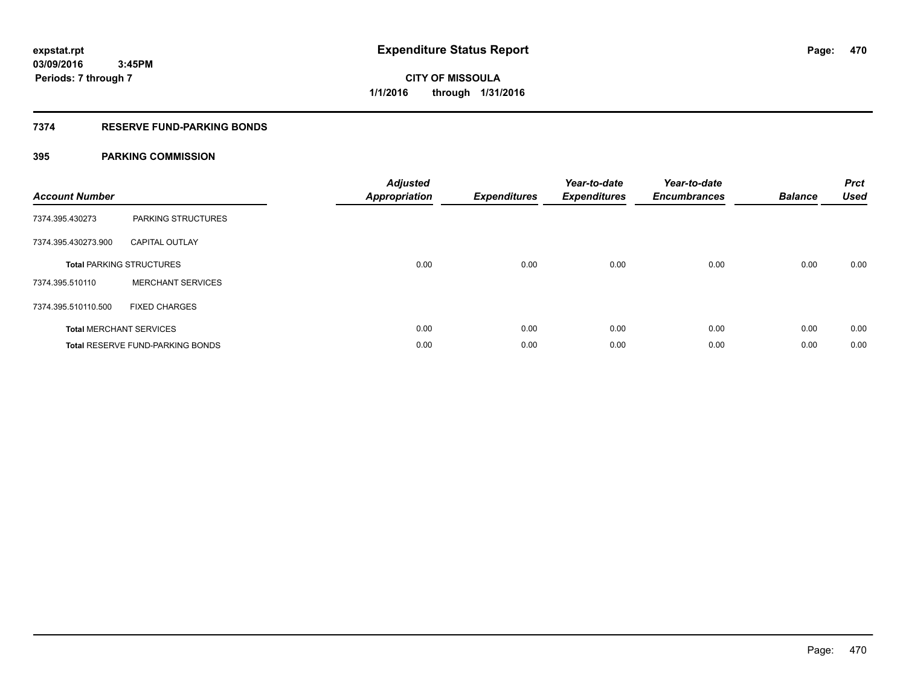### **7374 RESERVE FUND-PARKING BONDS**

| <b>Account Number</b> |                                         | <b>Adjusted</b><br><b>Appropriation</b> | <b>Expenditures</b> | Year-to-date<br><b>Expenditures</b> | Year-to-date<br><b>Encumbrances</b> | <b>Balance</b> | <b>Prct</b><br><b>Used</b> |
|-----------------------|-----------------------------------------|-----------------------------------------|---------------------|-------------------------------------|-------------------------------------|----------------|----------------------------|
| 7374.395.430273       | PARKING STRUCTURES                      |                                         |                     |                                     |                                     |                |                            |
| 7374.395.430273.900   | <b>CAPITAL OUTLAY</b>                   |                                         |                     |                                     |                                     |                |                            |
|                       | <b>Total PARKING STRUCTURES</b>         | 0.00                                    | 0.00                | 0.00                                | 0.00                                | 0.00           | 0.00                       |
| 7374.395.510110       | <b>MERCHANT SERVICES</b>                |                                         |                     |                                     |                                     |                |                            |
| 7374.395.510110.500   | <b>FIXED CHARGES</b>                    |                                         |                     |                                     |                                     |                |                            |
|                       | <b>Total MERCHANT SERVICES</b>          | 0.00                                    | 0.00                | 0.00                                | 0.00                                | 0.00           | 0.00                       |
|                       | <b>Total RESERVE FUND-PARKING BONDS</b> | 0.00                                    | 0.00                | 0.00                                | 0.00                                | 0.00           | 0.00                       |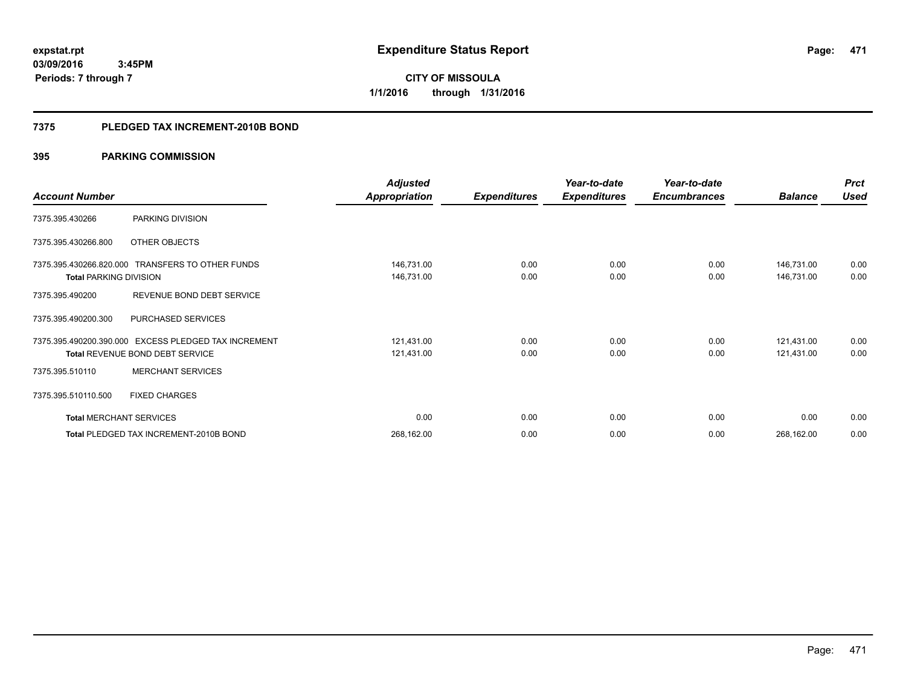**471**

**03/09/2016 3:45PM Periods: 7 through 7**

**CITY OF MISSOULA 1/1/2016 through 1/31/2016**

### **7375 PLEDGED TAX INCREMENT-2010B BOND**

|                                |                                                      | <b>Adjusted</b>      |                     | Year-to-date        | Year-to-date        |                | <b>Prct</b> |
|--------------------------------|------------------------------------------------------|----------------------|---------------------|---------------------|---------------------|----------------|-------------|
| <b>Account Number</b>          |                                                      | <b>Appropriation</b> | <b>Expenditures</b> | <b>Expenditures</b> | <b>Encumbrances</b> | <b>Balance</b> | <b>Used</b> |
| 7375.395.430266                | PARKING DIVISION                                     |                      |                     |                     |                     |                |             |
| 7375.395.430266.800            | OTHER OBJECTS                                        |                      |                     |                     |                     |                |             |
|                                | 7375.395.430266.820.000 TRANSFERS TO OTHER FUNDS     | 146,731.00           | 0.00                | 0.00                | 0.00                | 146,731.00     | 0.00        |
| <b>Total PARKING DIVISION</b>  |                                                      | 146,731.00           | 0.00                | 0.00                | 0.00                | 146,731.00     | 0.00        |
| 7375.395.490200                | REVENUE BOND DEBT SERVICE                            |                      |                     |                     |                     |                |             |
| 7375.395.490200.300            | <b>PURCHASED SERVICES</b>                            |                      |                     |                     |                     |                |             |
|                                | 7375.395.490200.390.000 EXCESS PLEDGED TAX INCREMENT | 121,431.00           | 0.00                | 0.00                | 0.00                | 121,431.00     | 0.00        |
|                                | <b>Total REVENUE BOND DEBT SERVICE</b>               | 121,431.00           | 0.00                | 0.00                | 0.00                | 121,431.00     | 0.00        |
| 7375.395.510110                | <b>MERCHANT SERVICES</b>                             |                      |                     |                     |                     |                |             |
| 7375.395.510110.500            | <b>FIXED CHARGES</b>                                 |                      |                     |                     |                     |                |             |
| <b>Total MERCHANT SERVICES</b> |                                                      | 0.00                 | 0.00                | 0.00                | 0.00                | 0.00           | 0.00        |
|                                | Total PLEDGED TAX INCREMENT-2010B BOND               | 268,162.00           | 0.00                | 0.00                | 0.00                | 268,162.00     | 0.00        |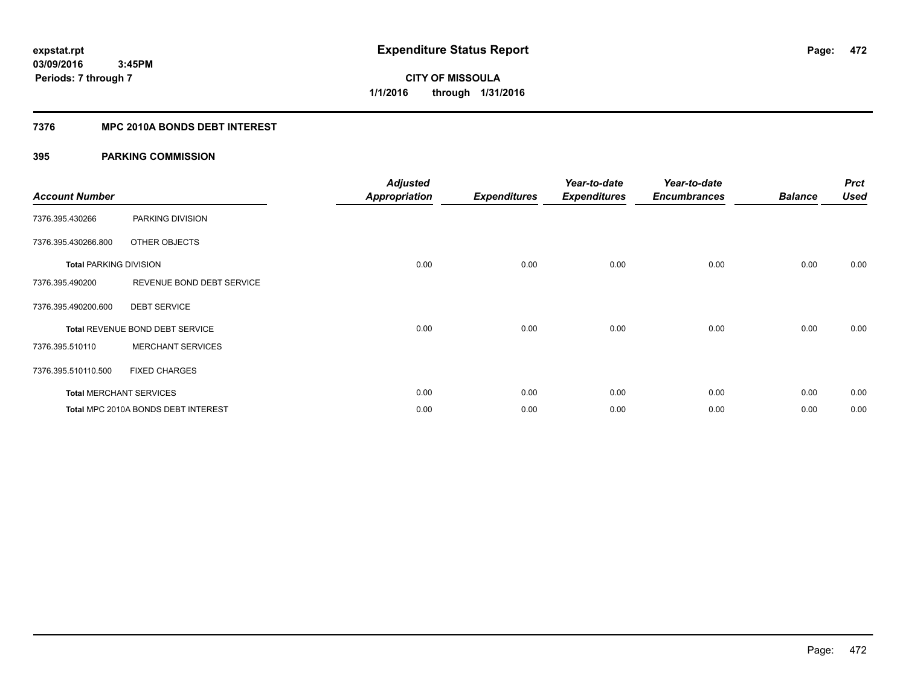### **7376 MPC 2010A BONDS DEBT INTEREST**

| <b>Account Number</b>         |                                        | <b>Adjusted</b><br><b>Appropriation</b> | <b>Expenditures</b> | Year-to-date<br><b>Expenditures</b> | Year-to-date<br><b>Encumbrances</b> | <b>Balance</b> | <b>Prct</b><br><b>Used</b> |
|-------------------------------|----------------------------------------|-----------------------------------------|---------------------|-------------------------------------|-------------------------------------|----------------|----------------------------|
|                               |                                        |                                         |                     |                                     |                                     |                |                            |
| 7376.395.430266               | PARKING DIVISION                       |                                         |                     |                                     |                                     |                |                            |
| 7376.395.430266.800           | OTHER OBJECTS                          |                                         |                     |                                     |                                     |                |                            |
| <b>Total PARKING DIVISION</b> |                                        | 0.00                                    | 0.00                | 0.00                                | 0.00                                | 0.00           | 0.00                       |
| 7376.395.490200               | REVENUE BOND DEBT SERVICE              |                                         |                     |                                     |                                     |                |                            |
| 7376.395.490200.600           | <b>DEBT SERVICE</b>                    |                                         |                     |                                     |                                     |                |                            |
|                               | <b>Total REVENUE BOND DEBT SERVICE</b> | 0.00                                    | 0.00                | 0.00                                | 0.00                                | 0.00           | 0.00                       |
| 7376.395.510110               | <b>MERCHANT SERVICES</b>               |                                         |                     |                                     |                                     |                |                            |
| 7376.395.510110.500           | <b>FIXED CHARGES</b>                   |                                         |                     |                                     |                                     |                |                            |
|                               | <b>Total MERCHANT SERVICES</b>         | 0.00                                    | 0.00                | 0.00                                | 0.00                                | 0.00           | 0.00                       |
|                               | Total MPC 2010A BONDS DEBT INTEREST    | 0.00                                    | 0.00                | 0.00                                | 0.00                                | 0.00           | 0.00                       |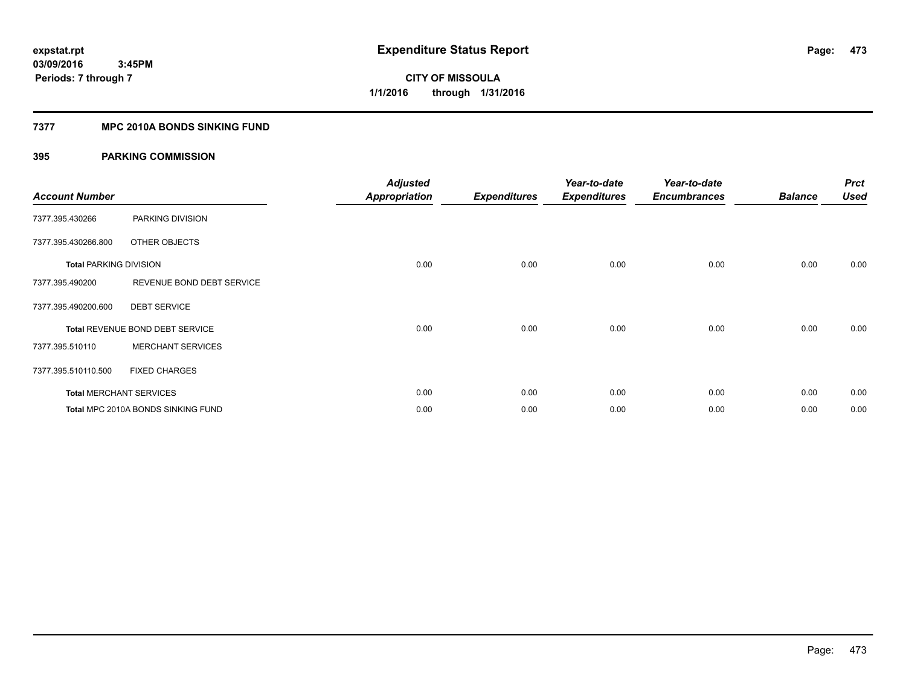### **7377 MPC 2010A BONDS SINKING FUND**

| <b>Account Number</b>         |                                    | <b>Adjusted</b><br><b>Appropriation</b> | <b>Expenditures</b> | Year-to-date<br><b>Expenditures</b> | Year-to-date<br><b>Encumbrances</b> | <b>Balance</b> | <b>Prct</b><br><b>Used</b> |
|-------------------------------|------------------------------------|-----------------------------------------|---------------------|-------------------------------------|-------------------------------------|----------------|----------------------------|
| 7377.395.430266               | PARKING DIVISION                   |                                         |                     |                                     |                                     |                |                            |
| 7377.395.430266.800           | OTHER OBJECTS                      |                                         |                     |                                     |                                     |                |                            |
| <b>Total PARKING DIVISION</b> |                                    | 0.00                                    | 0.00                | 0.00                                | 0.00                                | 0.00           | 0.00                       |
| 7377.395.490200               | REVENUE BOND DEBT SERVICE          |                                         |                     |                                     |                                     |                |                            |
| 7377.395.490200.600           | <b>DEBT SERVICE</b>                |                                         |                     |                                     |                                     |                |                            |
|                               | Total REVENUE BOND DEBT SERVICE    | 0.00                                    | 0.00                | 0.00                                | 0.00                                | 0.00           | 0.00                       |
| 7377.395.510110               | <b>MERCHANT SERVICES</b>           |                                         |                     |                                     |                                     |                |                            |
| 7377.395.510110.500           | <b>FIXED CHARGES</b>               |                                         |                     |                                     |                                     |                |                            |
|                               | <b>Total MERCHANT SERVICES</b>     | 0.00                                    | 0.00                | 0.00                                | 0.00                                | 0.00           | 0.00                       |
|                               | Total MPC 2010A BONDS SINKING FUND | 0.00                                    | 0.00                | 0.00                                | 0.00                                | 0.00           | 0.00                       |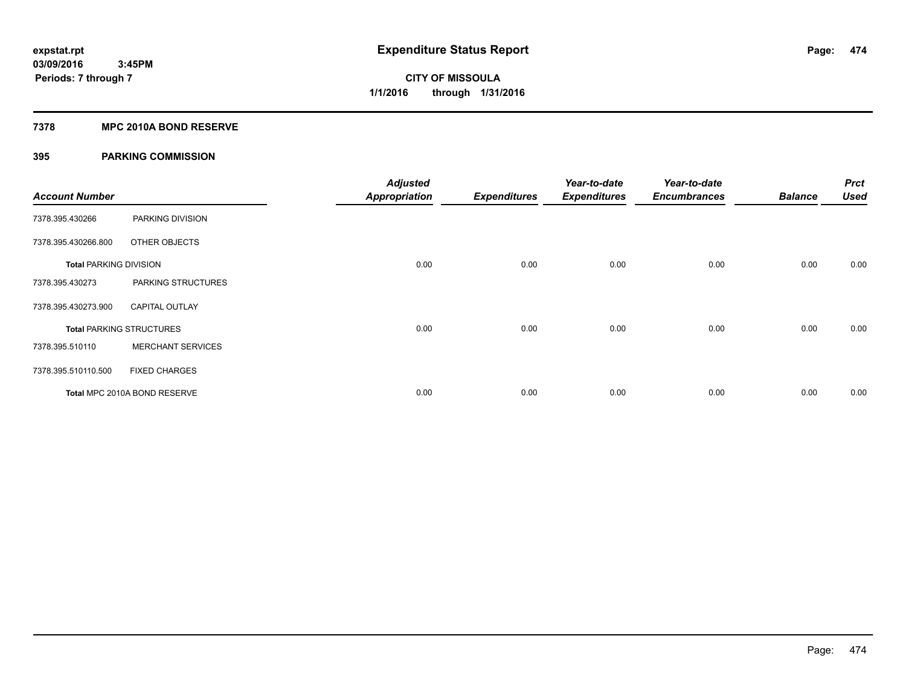### **7378 MPC 2010A BOND RESERVE**

| <b>Account Number</b>         |                                 | <b>Adjusted</b><br><b>Appropriation</b> | <b>Expenditures</b> | Year-to-date<br><b>Expenditures</b> | Year-to-date<br><b>Encumbrances</b> | <b>Balance</b> | <b>Prct</b><br><b>Used</b> |
|-------------------------------|---------------------------------|-----------------------------------------|---------------------|-------------------------------------|-------------------------------------|----------------|----------------------------|
| 7378.395.430266               | PARKING DIVISION                |                                         |                     |                                     |                                     |                |                            |
| 7378.395.430266.800           | OTHER OBJECTS                   |                                         |                     |                                     |                                     |                |                            |
| <b>Total PARKING DIVISION</b> |                                 | 0.00                                    | 0.00                | 0.00                                | 0.00                                | 0.00           | 0.00                       |
| 7378.395.430273               | PARKING STRUCTURES              |                                         |                     |                                     |                                     |                |                            |
| 7378.395.430273.900           | <b>CAPITAL OUTLAY</b>           |                                         |                     |                                     |                                     |                |                            |
|                               | <b>Total PARKING STRUCTURES</b> | 0.00                                    | 0.00                | 0.00                                | 0.00                                | 0.00           | 0.00                       |
| 7378.395.510110               | <b>MERCHANT SERVICES</b>        |                                         |                     |                                     |                                     |                |                            |
| 7378.395.510110.500           | <b>FIXED CHARGES</b>            |                                         |                     |                                     |                                     |                |                            |
|                               | Total MPC 2010A BOND RESERVE    | 0.00                                    | 0.00                | 0.00                                | 0.00                                | 0.00           | 0.00                       |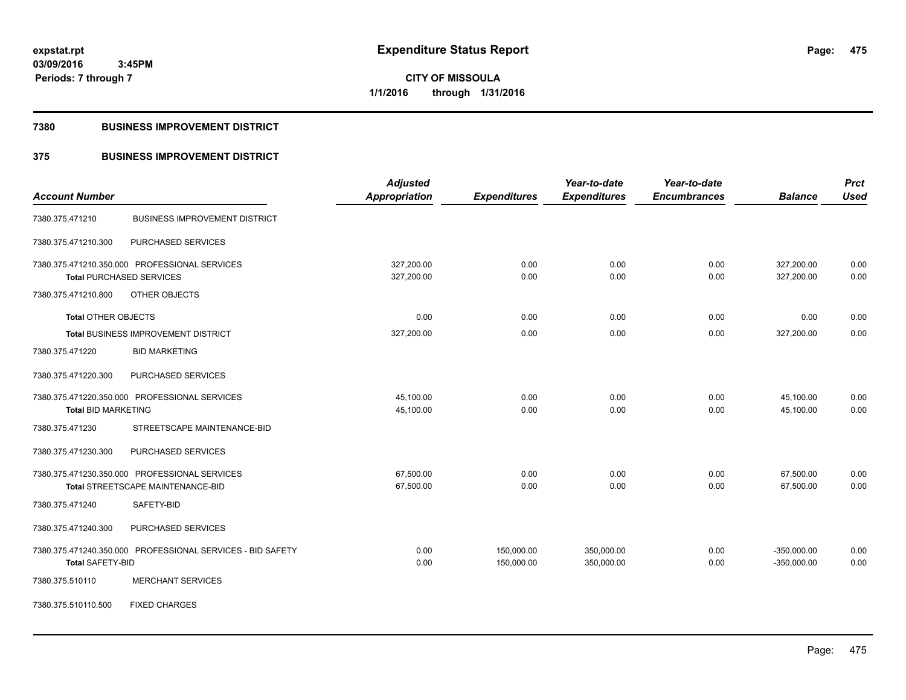**CITY OF MISSOULA 1/1/2016 through 1/31/2016**

### **7380 BUSINESS IMPROVEMENT DISTRICT**

### **375 BUSINESS IMPROVEMENT DISTRICT**

|                            |                                                            | <b>Adjusted</b> |                     | Year-to-date        | Year-to-date        |                | <b>Prct</b> |
|----------------------------|------------------------------------------------------------|-----------------|---------------------|---------------------|---------------------|----------------|-------------|
| <b>Account Number</b>      |                                                            | Appropriation   | <b>Expenditures</b> | <b>Expenditures</b> | <b>Encumbrances</b> | <b>Balance</b> | <b>Used</b> |
| 7380.375.471210            | <b>BUSINESS IMPROVEMENT DISTRICT</b>                       |                 |                     |                     |                     |                |             |
| 7380.375.471210.300        | PURCHASED SERVICES                                         |                 |                     |                     |                     |                |             |
|                            | 7380.375.471210.350.000 PROFESSIONAL SERVICES              | 327,200.00      | 0.00                | 0.00                | 0.00                | 327,200.00     | 0.00        |
|                            | <b>Total PURCHASED SERVICES</b>                            | 327,200.00      | 0.00                | 0.00                | 0.00                | 327,200.00     | 0.00        |
| 7380.375.471210.800        | OTHER OBJECTS                                              |                 |                     |                     |                     |                |             |
| <b>Total OTHER OBJECTS</b> |                                                            | 0.00            | 0.00                | 0.00                | 0.00                | 0.00           | 0.00        |
|                            | Total BUSINESS IMPROVEMENT DISTRICT                        | 327,200.00      | 0.00                | 0.00                | 0.00                | 327,200.00     | 0.00        |
| 7380.375.471220            | <b>BID MARKETING</b>                                       |                 |                     |                     |                     |                |             |
| 7380.375.471220.300        | PURCHASED SERVICES                                         |                 |                     |                     |                     |                |             |
|                            | 7380.375.471220.350.000 PROFESSIONAL SERVICES              | 45,100.00       | 0.00                | 0.00                | 0.00                | 45,100.00      | 0.00        |
| <b>Total BID MARKETING</b> |                                                            | 45,100.00       | 0.00                | 0.00                | 0.00                | 45,100.00      | 0.00        |
| 7380.375.471230            | STREETSCAPE MAINTENANCE-BID                                |                 |                     |                     |                     |                |             |
| 7380.375.471230.300        | PURCHASED SERVICES                                         |                 |                     |                     |                     |                |             |
|                            | 7380.375.471230.350.000 PROFESSIONAL SERVICES              | 67,500.00       | 0.00                | 0.00                | 0.00                | 67,500.00      | 0.00        |
|                            | Total STREETSCAPE MAINTENANCE-BID                          | 67,500.00       | 0.00                | 0.00                | 0.00                | 67,500.00      | 0.00        |
| 7380.375.471240            | SAFETY-BID                                                 |                 |                     |                     |                     |                |             |
| 7380.375.471240.300        | PURCHASED SERVICES                                         |                 |                     |                     |                     |                |             |
|                            | 7380.375.471240.350.000 PROFESSIONAL SERVICES - BID SAFETY | 0.00            | 150,000.00          | 350,000.00          | 0.00                | $-350,000.00$  | 0.00        |
| <b>Total SAFETY-BID</b>    |                                                            | 0.00            | 150,000.00          | 350,000.00          | 0.00                | $-350,000.00$  | 0.00        |
| 7380.375.510110            | <b>MERCHANT SERVICES</b>                                   |                 |                     |                     |                     |                |             |
| 7380.375.510110.500        | <b>FIXED CHARGES</b>                                       |                 |                     |                     |                     |                |             |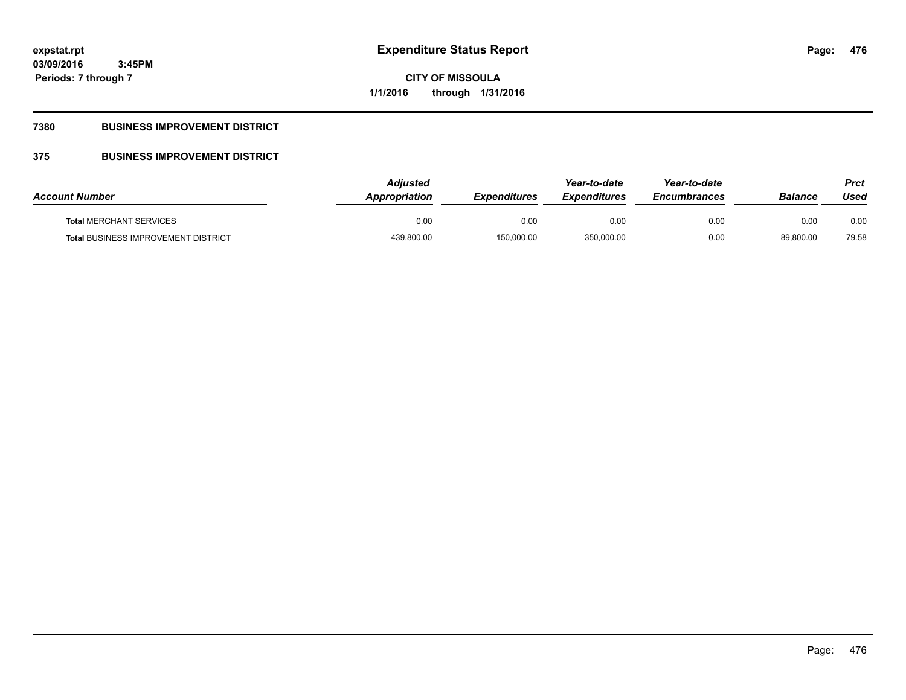**CITY OF MISSOULA 1/1/2016 through 1/31/2016**

### **7380 BUSINESS IMPROVEMENT DISTRICT**

### **375 BUSINESS IMPROVEMENT DISTRICT**

| <b>Account Number</b>                      | Adiusted<br>Appropriation | <b>Expenditures</b> | Year-to-date<br><b>Expenditures</b> | Year-to-date<br><b>Encumbrances</b> | <b>Balance</b> | Prct<br>Used |
|--------------------------------------------|---------------------------|---------------------|-------------------------------------|-------------------------------------|----------------|--------------|
| <b>Total MERCHANT SERVICES</b>             | 0.00                      | 0.00                | 0.00                                | 0.00                                | 0.00           | 0.00         |
| <b>Total BUSINESS IMPROVEMENT DISTRICT</b> | 439,800.00                | 150,000.00          | 350,000.00                          | 0.00                                | 89,800.00      | 79.58        |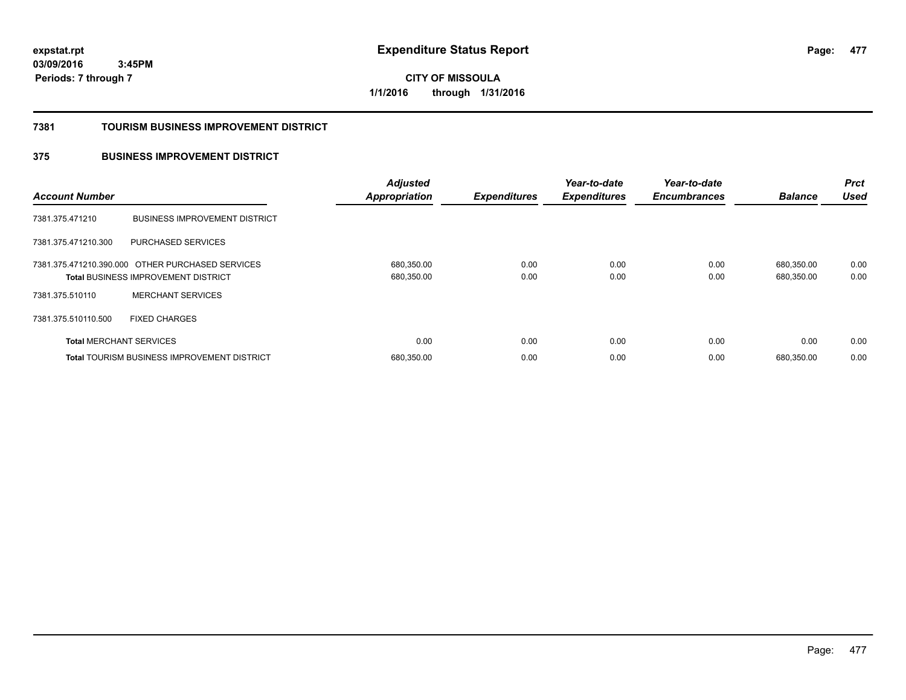**CITY OF MISSOULA 1/1/2016 through 1/31/2016**

### **7381 TOURISM BUSINESS IMPROVEMENT DISTRICT**

### **375 BUSINESS IMPROVEMENT DISTRICT**

| <b>Account Number</b>          |                                                                                                | <b>Adjusted</b><br><b>Appropriation</b> | <b>Expenditures</b> | Year-to-date<br><b>Expenditures</b> | Year-to-date<br><b>Encumbrances</b> | <b>Balance</b>           | <b>Prct</b><br><b>Used</b> |
|--------------------------------|------------------------------------------------------------------------------------------------|-----------------------------------------|---------------------|-------------------------------------|-------------------------------------|--------------------------|----------------------------|
| 7381.375.471210                | <b>BUSINESS IMPROVEMENT DISTRICT</b>                                                           |                                         |                     |                                     |                                     |                          |                            |
| 7381.375.471210.300            | PURCHASED SERVICES                                                                             |                                         |                     |                                     |                                     |                          |                            |
|                                | 7381.375.471210.390.000 OTHER PURCHASED SERVICES<br><b>Total BUSINESS IMPROVEMENT DISTRICT</b> | 680,350.00<br>680,350.00                | 0.00<br>0.00        | 0.00<br>0.00                        | 0.00<br>0.00                        | 680.350.00<br>680,350.00 | 0.00<br>0.00               |
| 7381.375.510110                | <b>MERCHANT SERVICES</b>                                                                       |                                         |                     |                                     |                                     |                          |                            |
| 7381.375.510110.500            | <b>FIXED CHARGES</b>                                                                           |                                         |                     |                                     |                                     |                          |                            |
| <b>Total MERCHANT SERVICES</b> |                                                                                                | 0.00                                    | 0.00                | 0.00                                | 0.00                                | 0.00                     | 0.00                       |
|                                | <b>Total TOURISM BUSINESS IMPROVEMENT DISTRICT</b>                                             | 680,350.00                              | 0.00                | 0.00                                | 0.00                                | 680.350.00               | 0.00                       |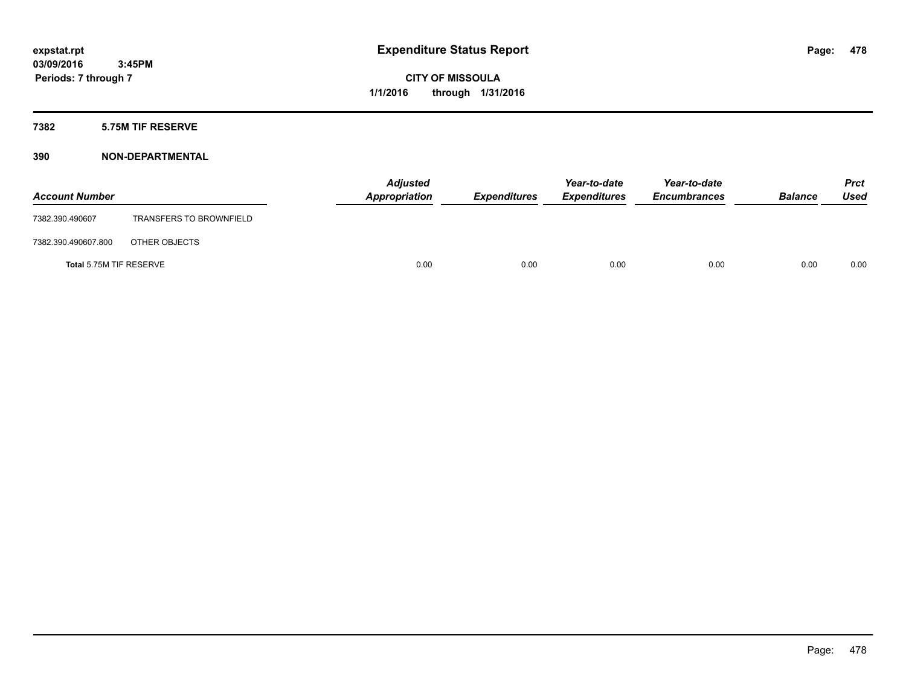### **7382 5.75M TIF RESERVE**

### **390 NON-DEPARTMENTAL**

| <b>Account Number</b>   |                                | <b>Adjusted</b><br>Appropriation | <b>Expenditures</b> | Year-to-date<br><b>Expenditures</b> | Year-to-date<br><b>Encumbrances</b> | <b>Balance</b> | Prct<br><b>Used</b> |
|-------------------------|--------------------------------|----------------------------------|---------------------|-------------------------------------|-------------------------------------|----------------|---------------------|
| 7382.390.490607         | <b>TRANSFERS TO BROWNFIELD</b> |                                  |                     |                                     |                                     |                |                     |
| 7382.390.490607.800     | OTHER OBJECTS                  |                                  |                     |                                     |                                     |                |                     |
| Total 5.75M TIF RESERVE |                                | 0.00                             | 0.00                | 0.00                                | 0.00                                | 0.00           | 0.00                |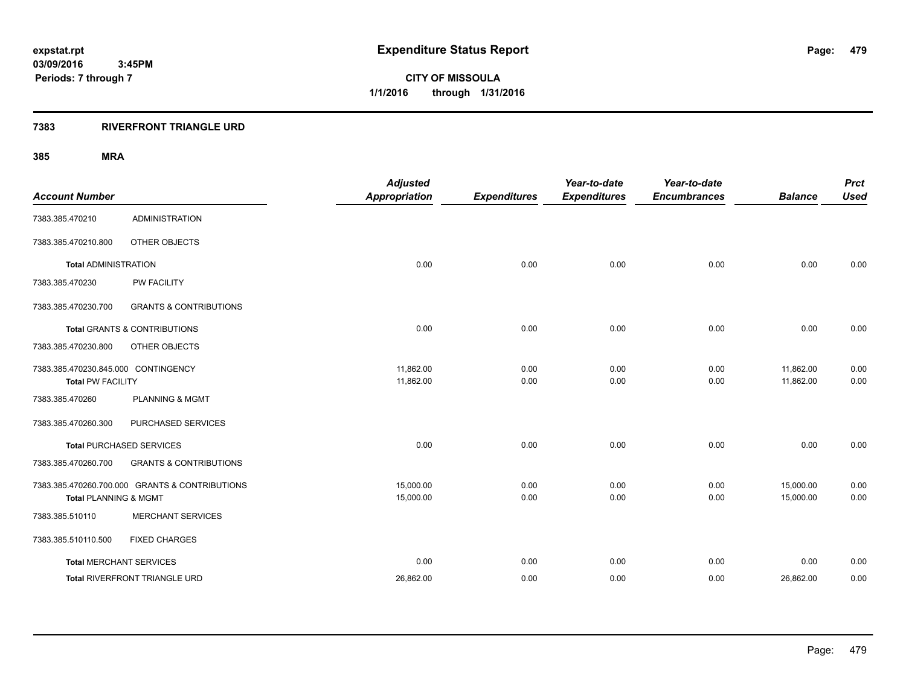**CITY OF MISSOULA 1/1/2016 through 1/31/2016**

### **7383 RIVERFRONT TRIANGLE URD**

| <b>Account Number</b>                                           |                                                | <b>Adjusted</b><br><b>Appropriation</b> | <b>Expenditures</b> | Year-to-date<br><b>Expenditures</b> | Year-to-date<br><b>Encumbrances</b> | <b>Balance</b>         | <b>Prct</b><br><b>Used</b> |
|-----------------------------------------------------------------|------------------------------------------------|-----------------------------------------|---------------------|-------------------------------------|-------------------------------------|------------------------|----------------------------|
| 7383.385.470210                                                 | <b>ADMINISTRATION</b>                          |                                         |                     |                                     |                                     |                        |                            |
| 7383.385.470210.800                                             | OTHER OBJECTS                                  |                                         |                     |                                     |                                     |                        |                            |
| <b>Total ADMINISTRATION</b>                                     |                                                | 0.00                                    | 0.00                | 0.00                                | 0.00                                | 0.00                   | 0.00                       |
| 7383.385.470230                                                 | <b>PW FACILITY</b>                             |                                         |                     |                                     |                                     |                        |                            |
| 7383.385.470230.700                                             | <b>GRANTS &amp; CONTRIBUTIONS</b>              |                                         |                     |                                     |                                     |                        |                            |
|                                                                 | Total GRANTS & CONTRIBUTIONS                   | 0.00                                    | 0.00                | 0.00                                | 0.00                                | 0.00                   | 0.00                       |
| 7383.385.470230.800                                             | OTHER OBJECTS                                  |                                         |                     |                                     |                                     |                        |                            |
| 7383.385.470230.845.000 CONTINGENCY<br><b>Total PW FACILITY</b> |                                                | 11,862.00<br>11,862.00                  | 0.00<br>0.00        | 0.00<br>0.00                        | 0.00<br>0.00                        | 11,862.00<br>11,862.00 | 0.00<br>0.00               |
| 7383.385.470260                                                 | <b>PLANNING &amp; MGMT</b>                     |                                         |                     |                                     |                                     |                        |                            |
| 7383.385.470260.300                                             | PURCHASED SERVICES                             |                                         |                     |                                     |                                     |                        |                            |
|                                                                 | <b>Total PURCHASED SERVICES</b>                | 0.00                                    | 0.00                | 0.00                                | 0.00                                | 0.00                   | 0.00                       |
| 7383.385.470260.700                                             | <b>GRANTS &amp; CONTRIBUTIONS</b>              |                                         |                     |                                     |                                     |                        |                            |
| <b>Total PLANNING &amp; MGMT</b>                                | 7383.385.470260.700.000 GRANTS & CONTRIBUTIONS | 15,000.00<br>15,000.00                  | 0.00<br>0.00        | 0.00<br>0.00                        | 0.00<br>0.00                        | 15,000.00<br>15,000.00 | 0.00<br>0.00               |
| 7383.385.510110                                                 | <b>MERCHANT SERVICES</b>                       |                                         |                     |                                     |                                     |                        |                            |
| 7383.385.510110.500                                             | <b>FIXED CHARGES</b>                           |                                         |                     |                                     |                                     |                        |                            |
|                                                                 | <b>Total MERCHANT SERVICES</b>                 | 0.00                                    | 0.00                | 0.00                                | 0.00                                | 0.00                   | 0.00                       |
|                                                                 | Total RIVERFRONT TRIANGLE URD                  | 26,862.00                               | 0.00                | 0.00                                | 0.00                                | 26,862.00              | 0.00                       |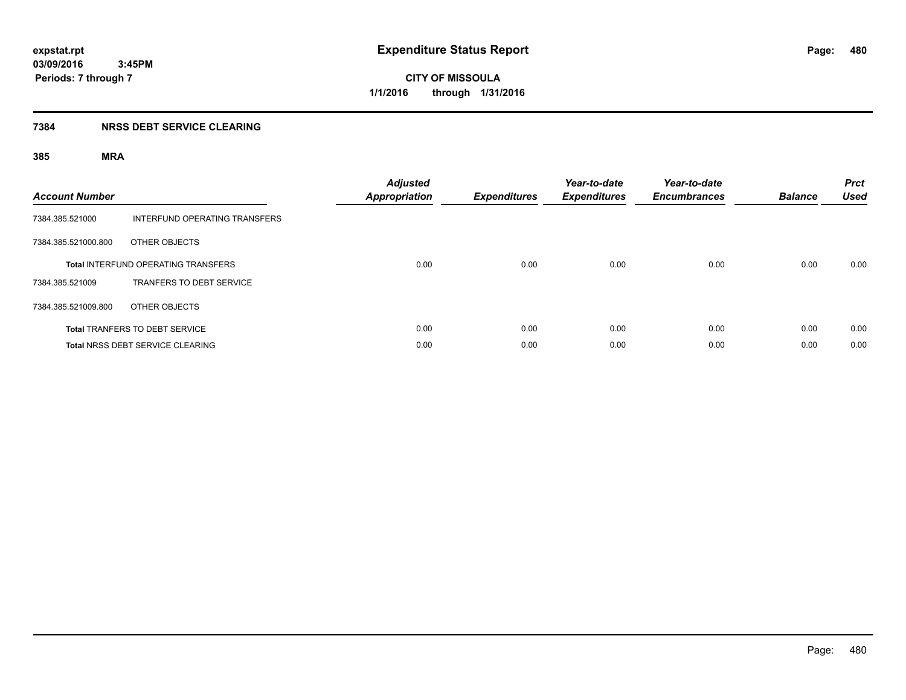**Periods: 7 through 7**

**CITY OF MISSOULA 1/1/2016 through 1/31/2016**

### **7384 NRSS DEBT SERVICE CLEARING**

| <b>Account Number</b> |                                            | <b>Adjusted</b><br><b>Appropriation</b> | <b>Expenditures</b> | Year-to-date<br><b>Expenditures</b> | Year-to-date<br><b>Encumbrances</b> | <b>Balance</b> | <b>Prct</b><br><b>Used</b> |
|-----------------------|--------------------------------------------|-----------------------------------------|---------------------|-------------------------------------|-------------------------------------|----------------|----------------------------|
| 7384.385.521000       | INTERFUND OPERATING TRANSFERS              |                                         |                     |                                     |                                     |                |                            |
| 7384.385.521000.800   | OTHER OBJECTS                              |                                         |                     |                                     |                                     |                |                            |
|                       | <b>Total INTERFUND OPERATING TRANSFERS</b> | 0.00                                    | 0.00                | 0.00                                | 0.00                                | 0.00           | 0.00                       |
| 7384.385.521009       | <b>TRANFERS TO DEBT SERVICE</b>            |                                         |                     |                                     |                                     |                |                            |
| 7384.385.521009.800   | OTHER OBJECTS                              |                                         |                     |                                     |                                     |                |                            |
|                       | <b>Total TRANFERS TO DEBT SERVICE</b>      | 0.00                                    | 0.00                | 0.00                                | 0.00                                | 0.00           | 0.00                       |
|                       | <b>Total NRSS DEBT SERVICE CLEARING</b>    | 0.00                                    | 0.00                | 0.00                                | 0.00                                | 0.00           | 0.00                       |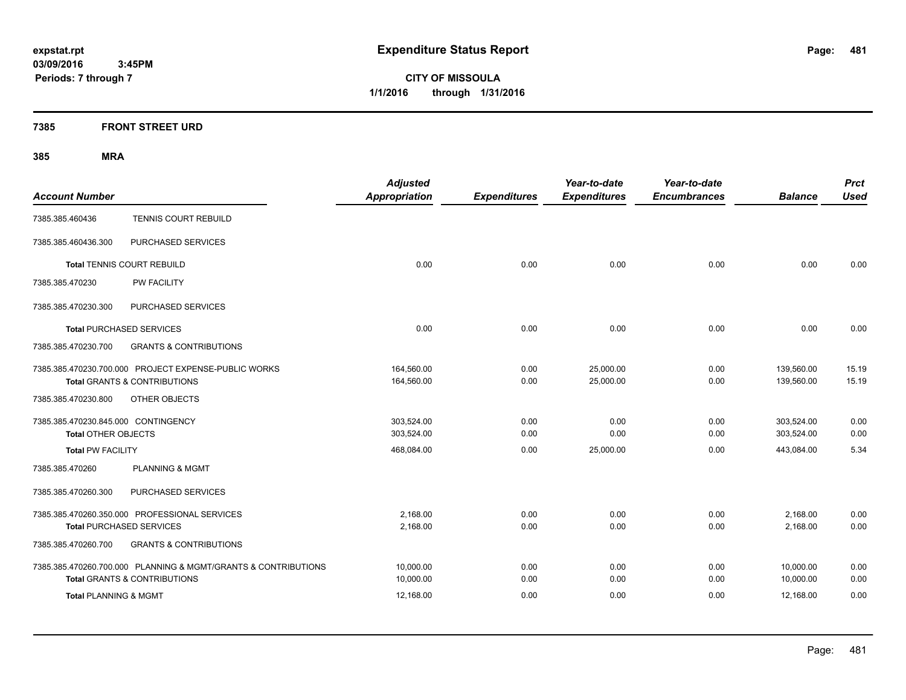**CITY OF MISSOULA 1/1/2016 through 1/31/2016**

### **7385 FRONT STREET URD**

| <b>Account Number</b>                                                                           | <b>Adjusted</b><br><b>Appropriation</b> | <b>Expenditures</b> | Year-to-date<br><b>Expenditures</b> | Year-to-date<br><b>Encumbrances</b> | <b>Balance</b>           | <b>Prct</b><br><b>Used</b> |
|-------------------------------------------------------------------------------------------------|-----------------------------------------|---------------------|-------------------------------------|-------------------------------------|--------------------------|----------------------------|
| TENNIS COURT REBUILD<br>7385.385.460436                                                         |                                         |                     |                                     |                                     |                          |                            |
| PURCHASED SERVICES<br>7385.385.460436.300                                                       |                                         |                     |                                     |                                     |                          |                            |
| Total TENNIS COURT REBUILD                                                                      | 0.00                                    | 0.00                | 0.00                                | 0.00                                | 0.00                     | 0.00                       |
| 7385.385.470230<br>PW FACILITY                                                                  |                                         |                     |                                     |                                     |                          |                            |
| PURCHASED SERVICES<br>7385.385.470230.300                                                       |                                         |                     |                                     |                                     |                          |                            |
| <b>Total PURCHASED SERVICES</b>                                                                 | 0.00                                    | 0.00                | 0.00                                | 0.00                                | 0.00                     | 0.00                       |
| 7385.385.470230.700<br><b>GRANTS &amp; CONTRIBUTIONS</b>                                        |                                         |                     |                                     |                                     |                          |                            |
| 7385.385.470230.700.000 PROJECT EXPENSE-PUBLIC WORKS<br><b>Total GRANTS &amp; CONTRIBUTIONS</b> | 164,560.00<br>164,560.00                | 0.00<br>0.00        | 25,000.00<br>25,000.00              | 0.00<br>0.00                        | 139,560.00<br>139.560.00 | 15.19<br>15.19             |
| OTHER OBJECTS<br>7385.385.470230.800                                                            |                                         |                     |                                     |                                     |                          |                            |
| 7385.385.470230.845.000 CONTINGENCY<br><b>Total OTHER OBJECTS</b>                               | 303,524.00<br>303.524.00                | 0.00<br>0.00        | 0.00<br>0.00                        | 0.00<br>0.00                        | 303,524.00<br>303,524.00 | 0.00<br>0.00               |
| <b>Total PW FACILITY</b>                                                                        | 468,084.00                              | 0.00                | 25,000.00                           | 0.00                                | 443,084.00               | 5.34                       |
| <b>PLANNING &amp; MGMT</b><br>7385.385.470260                                                   |                                         |                     |                                     |                                     |                          |                            |
| 7385.385.470260.300<br>PURCHASED SERVICES                                                       |                                         |                     |                                     |                                     |                          |                            |
| 7385.385.470260.350.000 PROFESSIONAL SERVICES<br><b>Total PURCHASED SERVICES</b>                | 2,168.00<br>2,168.00                    | 0.00<br>0.00        | 0.00<br>0.00                        | 0.00<br>0.00                        | 2,168.00<br>2,168.00     | 0.00<br>0.00               |
| 7385.385.470260.700<br><b>GRANTS &amp; CONTRIBUTIONS</b>                                        |                                         |                     |                                     |                                     |                          |                            |
| 7385.385.470260.700.000 PLANNING & MGMT/GRANTS & CONTRIBUTIONS                                  | 10,000.00                               | 0.00                | 0.00                                | 0.00                                | 10,000.00                | 0.00                       |
| <b>Total GRANTS &amp; CONTRIBUTIONS</b>                                                         | 10,000.00                               | 0.00                | 0.00                                | 0.00                                | 10,000.00                | 0.00                       |
| <b>Total PLANNING &amp; MGMT</b>                                                                | 12,168.00                               | 0.00                | 0.00                                | 0.00                                | 12,168.00                | 0.00                       |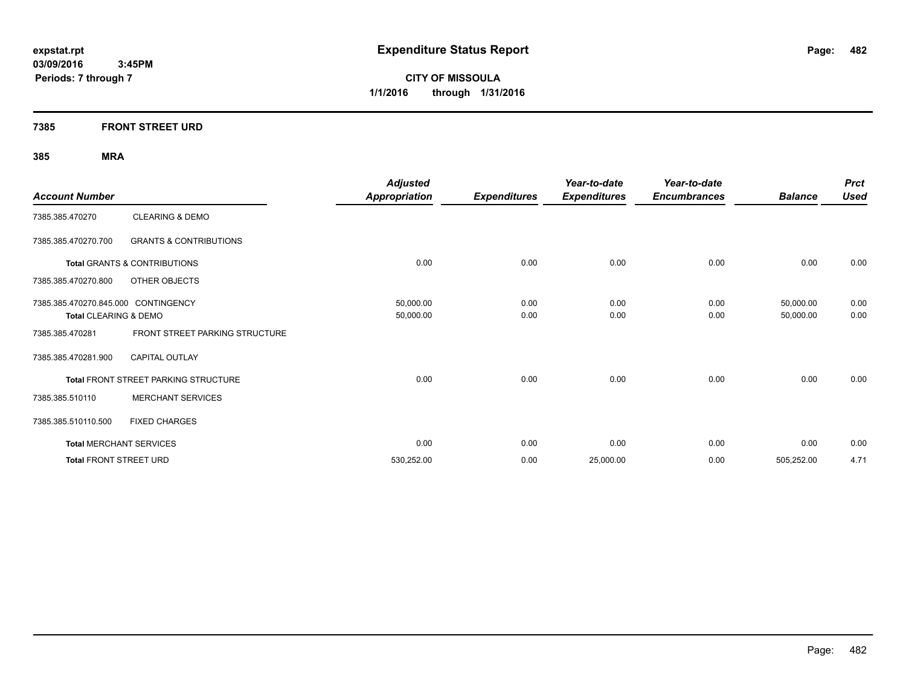**CITY OF MISSOULA 1/1/2016 through 1/31/2016**

### **7385 FRONT STREET URD**

| <b>Account Number</b>               |                                      | <b>Adjusted</b><br><b>Appropriation</b> | <b>Expenditures</b> | Year-to-date<br><b>Expenditures</b> | Year-to-date<br><b>Encumbrances</b> | <b>Balance</b> | <b>Prct</b><br><b>Used</b> |
|-------------------------------------|--------------------------------------|-----------------------------------------|---------------------|-------------------------------------|-------------------------------------|----------------|----------------------------|
| 7385.385.470270                     | <b>CLEARING &amp; DEMO</b>           |                                         |                     |                                     |                                     |                |                            |
| 7385.385.470270.700                 | <b>GRANTS &amp; CONTRIBUTIONS</b>    |                                         |                     |                                     |                                     |                |                            |
|                                     | Total GRANTS & CONTRIBUTIONS         | 0.00                                    | 0.00                | 0.00                                | 0.00                                | 0.00           | 0.00                       |
| 7385.385.470270.800                 | OTHER OBJECTS                        |                                         |                     |                                     |                                     |                |                            |
| 7385.385.470270.845.000 CONTINGENCY |                                      | 50,000.00                               | 0.00                | 0.00                                | 0.00                                | 50,000.00      | 0.00                       |
| Total CLEARING & DEMO               |                                      | 50,000.00                               | 0.00                | 0.00                                | 0.00                                | 50,000.00      | 0.00                       |
| 7385.385.470281                     | FRONT STREET PARKING STRUCTURE       |                                         |                     |                                     |                                     |                |                            |
| 7385.385.470281.900                 | <b>CAPITAL OUTLAY</b>                |                                         |                     |                                     |                                     |                |                            |
|                                     | Total FRONT STREET PARKING STRUCTURE | 0.00                                    | 0.00                | 0.00                                | 0.00                                | 0.00           | 0.00                       |
| 7385.385.510110                     | <b>MERCHANT SERVICES</b>             |                                         |                     |                                     |                                     |                |                            |
| 7385.385.510110.500                 | <b>FIXED CHARGES</b>                 |                                         |                     |                                     |                                     |                |                            |
|                                     | <b>Total MERCHANT SERVICES</b>       | 0.00                                    | 0.00                | 0.00                                | 0.00                                | 0.00           | 0.00                       |
| <b>Total FRONT STREET URD</b>       |                                      | 530,252.00                              | 0.00                | 25,000.00                           | 0.00                                | 505,252.00     | 4.71                       |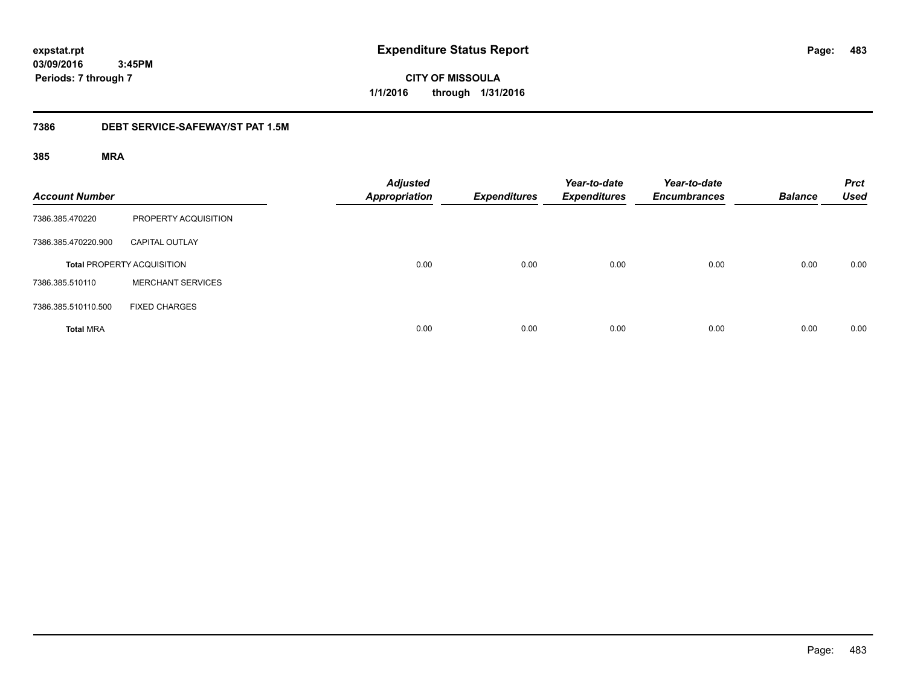**CITY OF MISSOULA 1/1/2016 through 1/31/2016**

### **7386 DEBT SERVICE-SAFEWAY/ST PAT 1.5M**

| <b>Account Number</b> |                                   | <b>Adjusted</b><br><b>Appropriation</b> | <b>Expenditures</b> | Year-to-date<br><b>Expenditures</b> | Year-to-date<br><b>Encumbrances</b> | <b>Balance</b> | <b>Prct</b><br><b>Used</b> |
|-----------------------|-----------------------------------|-----------------------------------------|---------------------|-------------------------------------|-------------------------------------|----------------|----------------------------|
| 7386.385.470220       | PROPERTY ACQUISITION              |                                         |                     |                                     |                                     |                |                            |
| 7386.385.470220.900   | <b>CAPITAL OUTLAY</b>             |                                         |                     |                                     |                                     |                |                            |
|                       | <b>Total PROPERTY ACQUISITION</b> | 0.00                                    | 0.00                | 0.00                                | 0.00                                | 0.00           | 0.00                       |
| 7386.385.510110       | <b>MERCHANT SERVICES</b>          |                                         |                     |                                     |                                     |                |                            |
| 7386.385.510110.500   | <b>FIXED CHARGES</b>              |                                         |                     |                                     |                                     |                |                            |
| <b>Total MRA</b>      |                                   | 0.00                                    | 0.00                | 0.00                                | 0.00                                | 0.00           | 0.00                       |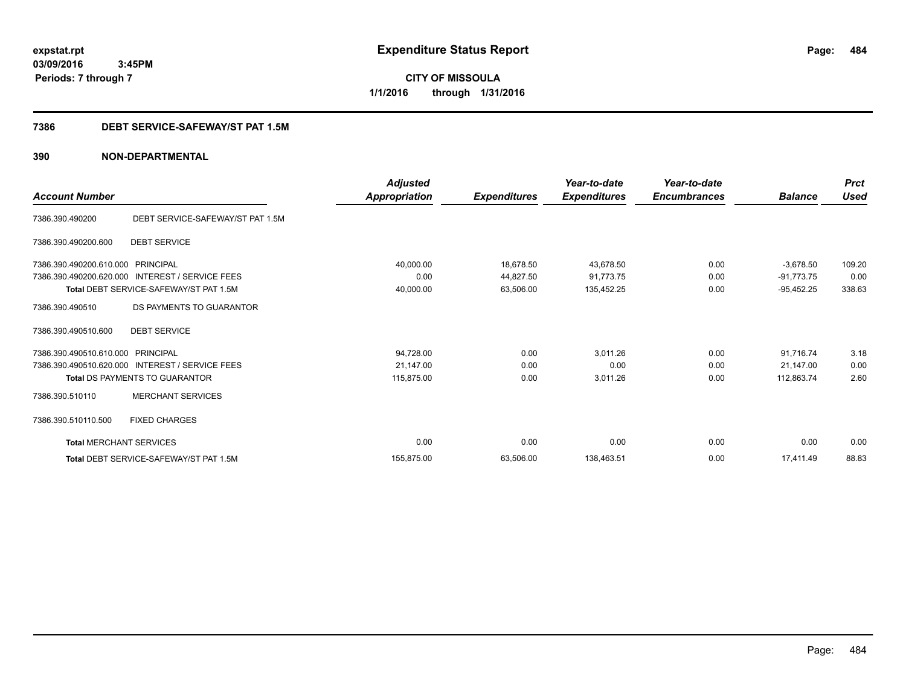**CITY OF MISSOULA 1/1/2016 through 1/31/2016**

### **7386 DEBT SERVICE-SAFEWAY/ST PAT 1.5M**

### **390 NON-DEPARTMENTAL**

| <b>Account Number</b>          |                                                 | <b>Adjusted</b><br>Appropriation | <b>Expenditures</b> | Year-to-date<br><b>Expenditures</b> | Year-to-date<br><b>Encumbrances</b> | <b>Balance</b> | <b>Prct</b><br><b>Used</b> |
|--------------------------------|-------------------------------------------------|----------------------------------|---------------------|-------------------------------------|-------------------------------------|----------------|----------------------------|
| 7386.390.490200                | DEBT SERVICE-SAFEWAY/ST PAT 1.5M                |                                  |                     |                                     |                                     |                |                            |
| 7386.390.490200.600            | <b>DEBT SERVICE</b>                             |                                  |                     |                                     |                                     |                |                            |
| 7386.390.490200.610.000        | PRINCIPAL                                       | 40,000.00                        | 18,678.50           | 43,678.50                           | 0.00                                | $-3,678.50$    | 109.20                     |
| 7386.390.490200.620.000        | <b>INTEREST / SERVICE FEES</b>                  | 0.00                             | 44,827.50           | 91.773.75                           | 0.00                                | $-91,773.75$   | 0.00                       |
|                                | Total DEBT SERVICE-SAFEWAY/ST PAT 1.5M          | 40,000.00                        | 63,506.00           | 135,452.25                          | 0.00                                | $-95,452.25$   | 338.63                     |
| 7386.390.490510                | DS PAYMENTS TO GUARANTOR                        |                                  |                     |                                     |                                     |                |                            |
| 7386.390.490510.600            | <b>DEBT SERVICE</b>                             |                                  |                     |                                     |                                     |                |                            |
| 7386.390.490510.610.000        | <b>PRINCIPAL</b>                                | 94,728.00                        | 0.00                | 3,011.26                            | 0.00                                | 91,716.74      | 3.18                       |
|                                | 7386.390.490510.620.000 INTEREST / SERVICE FEES | 21,147.00                        | 0.00                | 0.00                                | 0.00                                | 21,147.00      | 0.00                       |
|                                | Total DS PAYMENTS TO GUARANTOR                  | 115,875.00                       | 0.00                | 3,011.26                            | 0.00                                | 112,863.74     | 2.60                       |
| 7386.390.510110                | <b>MERCHANT SERVICES</b>                        |                                  |                     |                                     |                                     |                |                            |
| 7386.390.510110.500            | <b>FIXED CHARGES</b>                            |                                  |                     |                                     |                                     |                |                            |
| <b>Total MERCHANT SERVICES</b> |                                                 | 0.00                             | 0.00                | 0.00                                | 0.00                                | 0.00           | 0.00                       |
|                                | Total DEBT SERVICE-SAFEWAY/ST PAT 1.5M          | 155.875.00                       | 63,506.00           | 138,463.51                          | 0.00                                | 17.411.49      | 88.83                      |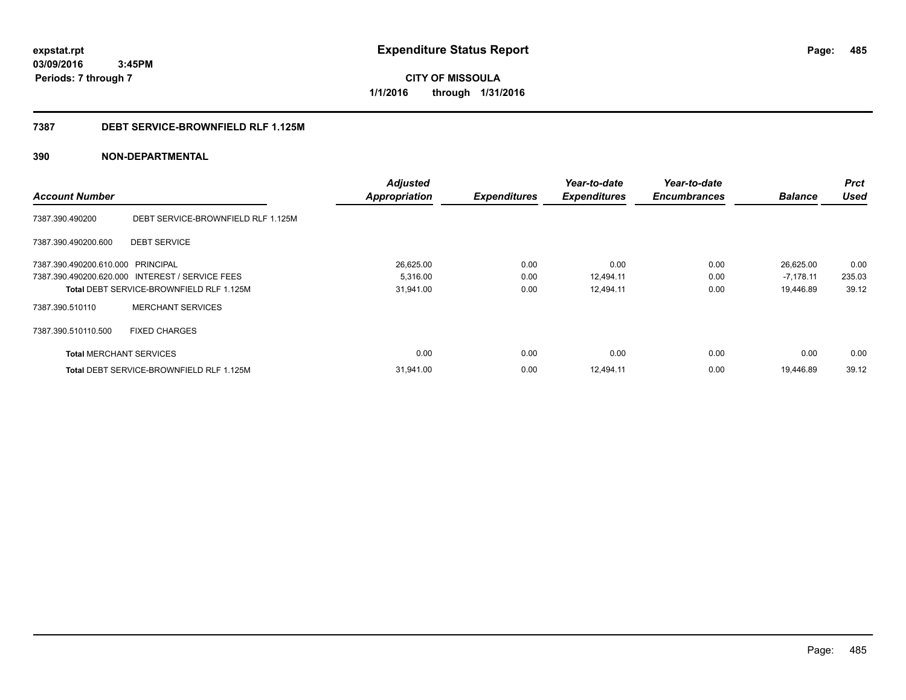**CITY OF MISSOULA 1/1/2016 through 1/31/2016**

### **7387 DEBT SERVICE-BROWNFIELD RLF 1.125M**

### **390 NON-DEPARTMENTAL**

|                                   |                                                 | <b>Adjusted</b>      |                     | Year-to-date        | Year-to-date        |                | <b>Prct</b> |
|-----------------------------------|-------------------------------------------------|----------------------|---------------------|---------------------|---------------------|----------------|-------------|
| <b>Account Number</b>             |                                                 | <b>Appropriation</b> | <b>Expenditures</b> | <b>Expenditures</b> | <b>Encumbrances</b> | <b>Balance</b> | <b>Used</b> |
| 7387.390.490200                   | DEBT SERVICE-BROWNFIELD RLF 1.125M              |                      |                     |                     |                     |                |             |
| 7387.390.490200.600               | <b>DEBT SERVICE</b>                             |                      |                     |                     |                     |                |             |
| 7387.390.490200.610.000 PRINCIPAL |                                                 | 26,625.00            | 0.00                | 0.00                | 0.00                | 26,625.00      | 0.00        |
|                                   | 7387.390.490200.620.000 INTEREST / SERVICE FEES | 5,316.00             | 0.00                | 12,494.11           | 0.00                | $-7,178.11$    | 235.03      |
|                                   | Total DEBT SERVICE-BROWNFIELD RLF 1.125M        | 31,941.00            | 0.00                | 12,494.11           | 0.00                | 19,446.89      | 39.12       |
| 7387.390.510110                   | <b>MERCHANT SERVICES</b>                        |                      |                     |                     |                     |                |             |
| 7387.390.510110.500               | <b>FIXED CHARGES</b>                            |                      |                     |                     |                     |                |             |
| <b>Total MERCHANT SERVICES</b>    |                                                 | 0.00                 | 0.00                | 0.00                | 0.00                | 0.00           | 0.00        |
|                                   | <b>Total DEBT SERVICE-BROWNFIELD RLF 1.125M</b> | 31,941.00            | 0.00                | 12.494.11           | 0.00                | 19.446.89      | 39.12       |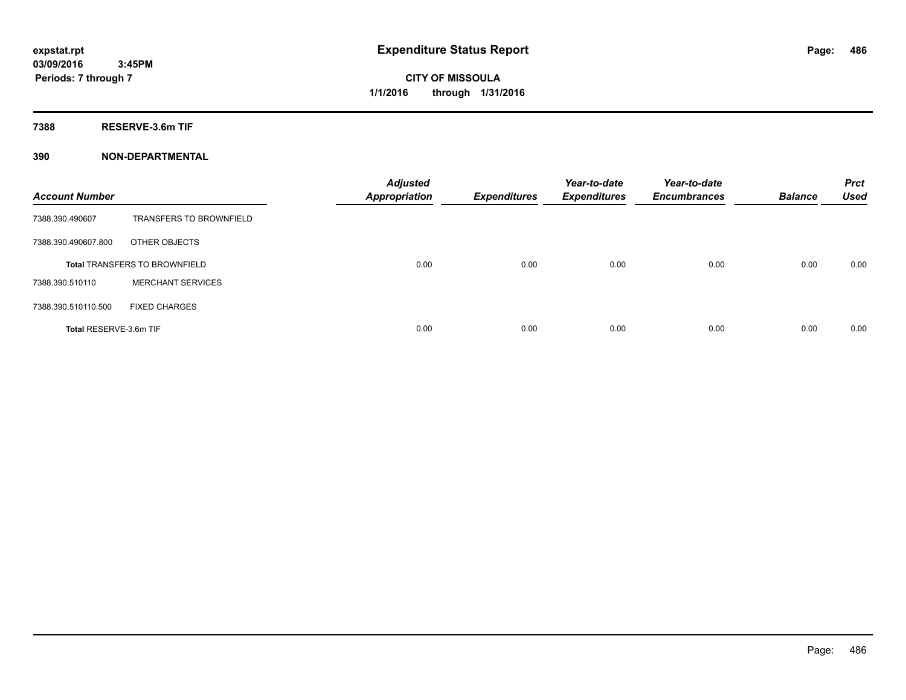**Periods: 7 through 7**

**CITY OF MISSOULA 1/1/2016 through 1/31/2016**

**7388 RESERVE-3.6m TIF**

### **390 NON-DEPARTMENTAL**

 **3:45PM**

| <b>Account Number</b>  |                                      | <b>Adjusted</b><br><b>Appropriation</b> | <b>Expenditures</b> | Year-to-date<br><b>Expenditures</b> | Year-to-date<br><b>Encumbrances</b> | <b>Balance</b> | <b>Prct</b><br><b>Used</b> |
|------------------------|--------------------------------------|-----------------------------------------|---------------------|-------------------------------------|-------------------------------------|----------------|----------------------------|
| 7388.390.490607        | <b>TRANSFERS TO BROWNFIELD</b>       |                                         |                     |                                     |                                     |                |                            |
| 7388.390.490607.800    | OTHER OBJECTS                        |                                         |                     |                                     |                                     |                |                            |
|                        | <b>Total TRANSFERS TO BROWNFIELD</b> | 0.00                                    | 0.00                | 0.00                                | 0.00                                | 0.00           | 0.00                       |
| 7388.390.510110        | <b>MERCHANT SERVICES</b>             |                                         |                     |                                     |                                     |                |                            |
| 7388.390.510110.500    | <b>FIXED CHARGES</b>                 |                                         |                     |                                     |                                     |                |                            |
| Total RESERVE-3.6m TIF |                                      | 0.00                                    | 0.00                | 0.00                                | 0.00                                | 0.00           | 0.00                       |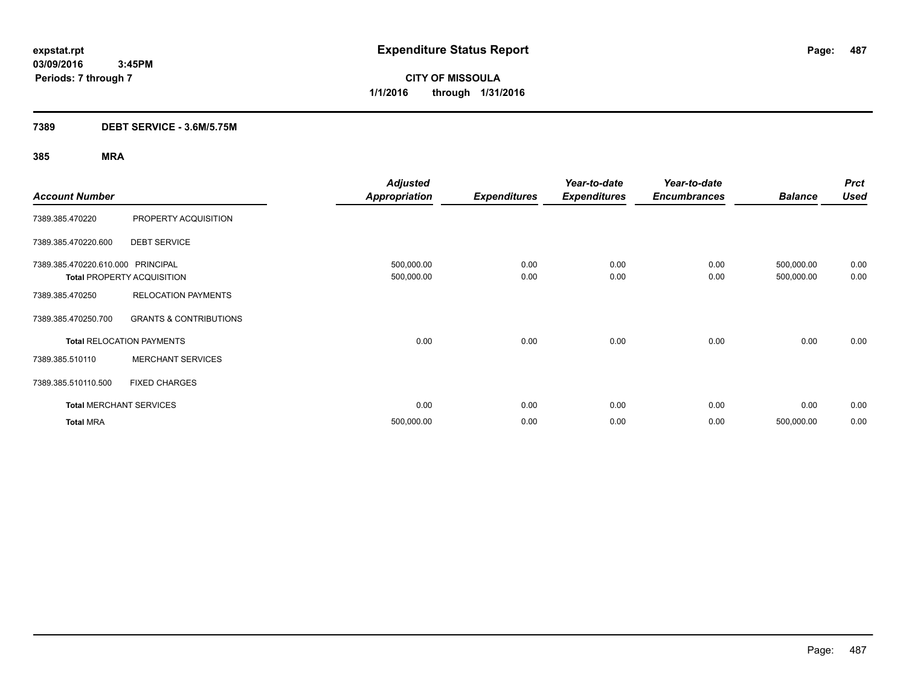**CITY OF MISSOULA 1/1/2016 through 1/31/2016**

### **7389 DEBT SERVICE - 3.6M/5.75M**

|                                   |                                   | <b>Adjusted</b>      |                     | Year-to-date        | Year-to-date        |                | <b>Prct</b> |
|-----------------------------------|-----------------------------------|----------------------|---------------------|---------------------|---------------------|----------------|-------------|
| <b>Account Number</b>             |                                   | <b>Appropriation</b> | <b>Expenditures</b> | <b>Expenditures</b> | <b>Encumbrances</b> | <b>Balance</b> | <b>Used</b> |
| 7389.385.470220                   | PROPERTY ACQUISITION              |                      |                     |                     |                     |                |             |
| 7389.385.470220.600               | <b>DEBT SERVICE</b>               |                      |                     |                     |                     |                |             |
| 7389.385.470220.610.000 PRINCIPAL |                                   | 500,000.00           | 0.00                | 0.00                | 0.00                | 500,000.00     | 0.00        |
|                                   | <b>Total PROPERTY ACQUISITION</b> | 500,000.00           | 0.00                | 0.00                | 0.00                | 500,000.00     | 0.00        |
| 7389.385.470250                   | <b>RELOCATION PAYMENTS</b>        |                      |                     |                     |                     |                |             |
| 7389.385.470250.700               | <b>GRANTS &amp; CONTRIBUTIONS</b> |                      |                     |                     |                     |                |             |
|                                   | <b>Total RELOCATION PAYMENTS</b>  | 0.00                 | 0.00                | 0.00                | 0.00                | 0.00           | 0.00        |
| 7389.385.510110                   | <b>MERCHANT SERVICES</b>          |                      |                     |                     |                     |                |             |
| 7389.385.510110.500               | <b>FIXED CHARGES</b>              |                      |                     |                     |                     |                |             |
| <b>Total MERCHANT SERVICES</b>    |                                   | 0.00                 | 0.00                | 0.00                | 0.00                | 0.00           | 0.00        |
| <b>Total MRA</b>                  |                                   | 500,000.00           | 0.00                | 0.00                | 0.00                | 500,000.00     | 0.00        |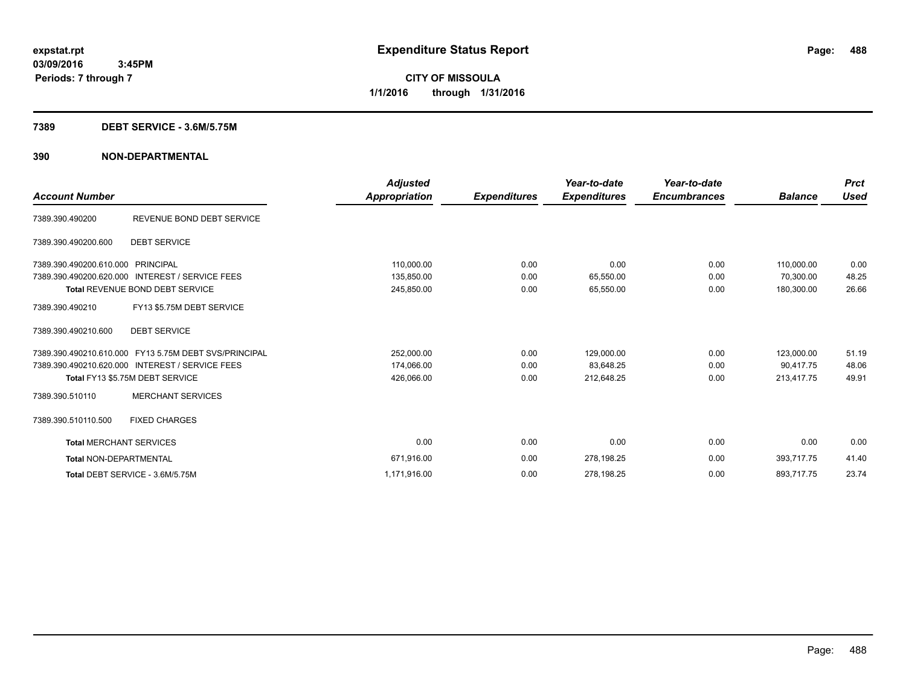### **7389 DEBT SERVICE - 3.6M/5.75M**

### **390 NON-DEPARTMENTAL**

|                                   |                                                       | <b>Adjusted</b> |                     | Year-to-date        | Year-to-date        |                | <b>Prct</b> |
|-----------------------------------|-------------------------------------------------------|-----------------|---------------------|---------------------|---------------------|----------------|-------------|
| <b>Account Number</b>             |                                                       | Appropriation   | <b>Expenditures</b> | <b>Expenditures</b> | <b>Encumbrances</b> | <b>Balance</b> | <b>Used</b> |
| 7389.390.490200                   | REVENUE BOND DEBT SERVICE                             |                 |                     |                     |                     |                |             |
| 7389.390.490200.600               | <b>DEBT SERVICE</b>                                   |                 |                     |                     |                     |                |             |
| 7389.390.490200.610.000 PRINCIPAL |                                                       | 110,000.00      | 0.00                | 0.00                | 0.00                | 110,000.00     | 0.00        |
| 7389.390.490200.620.000           | <b>INTEREST / SERVICE FEES</b>                        | 135,850.00      | 0.00                | 65,550.00           | 0.00                | 70.300.00      | 48.25       |
|                                   | <b>Total REVENUE BOND DEBT SERVICE</b>                | 245,850.00      | 0.00                | 65,550.00           | 0.00                | 180.300.00     | 26.66       |
| 7389.390.490210                   | FY13 \$5.75M DEBT SERVICE                             |                 |                     |                     |                     |                |             |
| 7389.390.490210.600               | <b>DEBT SERVICE</b>                                   |                 |                     |                     |                     |                |             |
|                                   | 7389.390.490210.610.000 FY13 5.75M DEBT SVS/PRINCIPAL | 252,000.00      | 0.00                | 129,000.00          | 0.00                | 123,000.00     | 51.19       |
|                                   | 7389.390.490210.620.000 INTEREST / SERVICE FEES       | 174,066.00      | 0.00                | 83,648.25           | 0.00                | 90.417.75      | 48.06       |
|                                   | Total FY13 \$5.75M DEBT SERVICE                       | 426,066.00      | 0.00                | 212,648.25          | 0.00                | 213,417.75     | 49.91       |
| 7389.390.510110                   | <b>MERCHANT SERVICES</b>                              |                 |                     |                     |                     |                |             |
| 7389.390.510110.500               | <b>FIXED CHARGES</b>                                  |                 |                     |                     |                     |                |             |
| <b>Total MERCHANT SERVICES</b>    |                                                       | 0.00            | 0.00                | 0.00                | 0.00                | 0.00           | 0.00        |
| <b>Total NON-DEPARTMENTAL</b>     |                                                       | 671,916.00      | 0.00                | 278,198.25          | 0.00                | 393,717.75     | 41.40       |
|                                   | Total DEBT SERVICE - 3.6M/5.75M                       | 1,171,916.00    | 0.00                | 278,198.25          | 0.00                | 893,717.75     | 23.74       |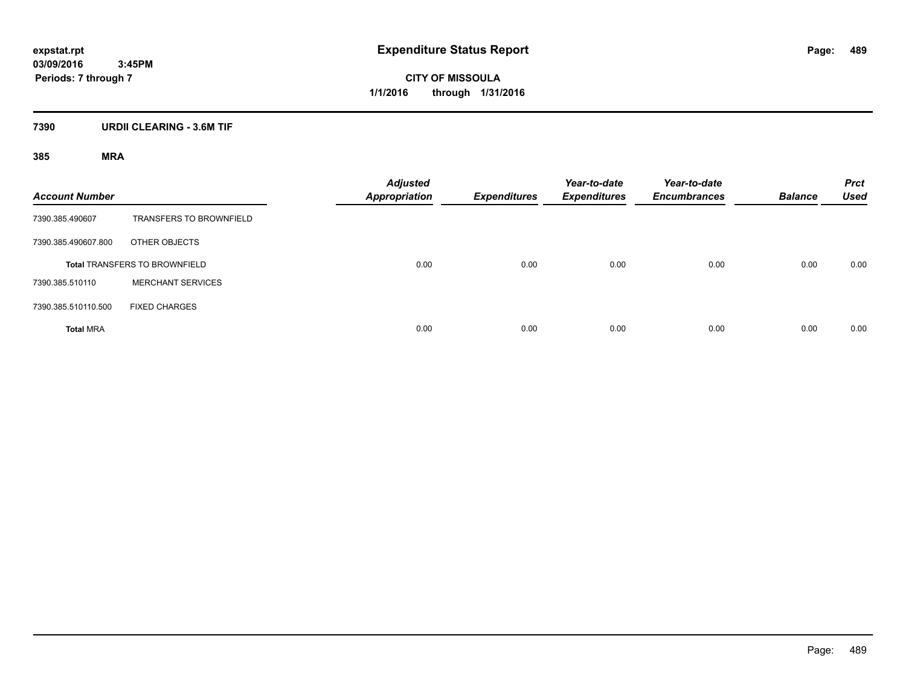**CITY OF MISSOULA 1/1/2016 through 1/31/2016**

# **7390 URDII CLEARING - 3.6M TIF**

| <b>Account Number</b> |                                      | <b>Adjusted</b><br><b>Appropriation</b> | <b>Expenditures</b> | Year-to-date<br><b>Expenditures</b> | Year-to-date<br><b>Encumbrances</b> | <b>Balance</b> | <b>Prct</b><br><b>Used</b> |
|-----------------------|--------------------------------------|-----------------------------------------|---------------------|-------------------------------------|-------------------------------------|----------------|----------------------------|
| 7390.385.490607       | <b>TRANSFERS TO BROWNFIELD</b>       |                                         |                     |                                     |                                     |                |                            |
| 7390.385.490607.800   | OTHER OBJECTS                        |                                         |                     |                                     |                                     |                |                            |
|                       | <b>Total TRANSFERS TO BROWNFIELD</b> | 0.00                                    | 0.00                | 0.00                                | 0.00                                | 0.00           | 0.00                       |
| 7390.385.510110       | <b>MERCHANT SERVICES</b>             |                                         |                     |                                     |                                     |                |                            |
| 7390.385.510110.500   | <b>FIXED CHARGES</b>                 |                                         |                     |                                     |                                     |                |                            |
| <b>Total MRA</b>      |                                      | 0.00                                    | 0.00                | 0.00                                | 0.00                                | 0.00           | 0.00                       |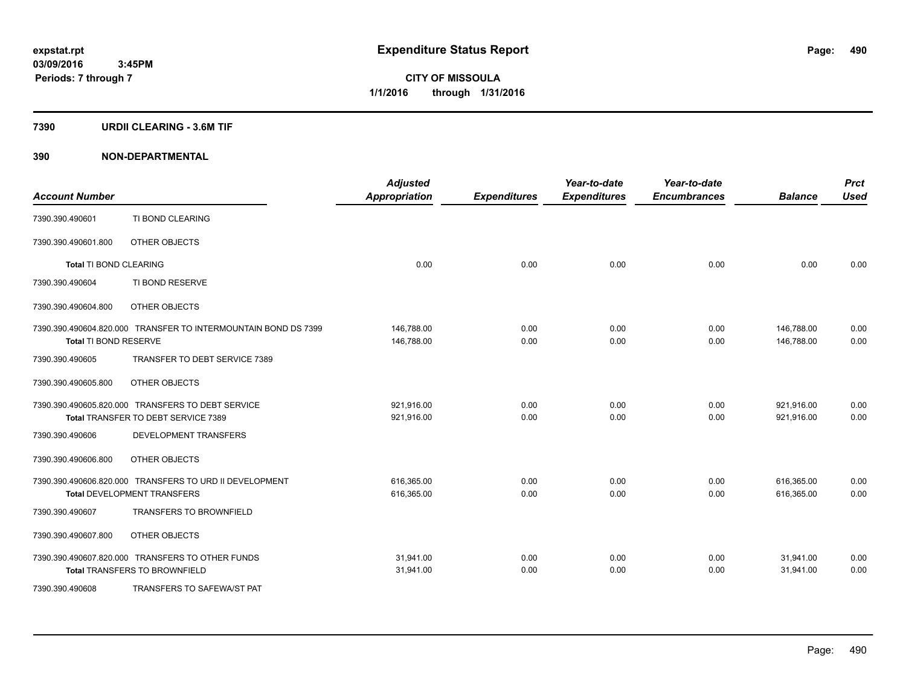### **7390 URDII CLEARING - 3.6M TIF**

### **390 NON-DEPARTMENTAL**

| <b>Account Number</b>         |                                                                | <b>Adjusted</b><br><b>Appropriation</b> | <b>Expenditures</b> | Year-to-date<br><b>Expenditures</b> | Year-to-date<br><b>Encumbrances</b> | <b>Balance</b> | <b>Prct</b><br><b>Used</b> |
|-------------------------------|----------------------------------------------------------------|-----------------------------------------|---------------------|-------------------------------------|-------------------------------------|----------------|----------------------------|
| 7390.390.490601               | TI BOND CLEARING                                               |                                         |                     |                                     |                                     |                |                            |
| 7390.390.490601.800           | OTHER OBJECTS                                                  |                                         |                     |                                     |                                     |                |                            |
| <b>Total TI BOND CLEARING</b> |                                                                | 0.00                                    | 0.00                | 0.00                                | 0.00                                | 0.00           | 0.00                       |
| 7390.390.490604               | TI BOND RESERVE                                                |                                         |                     |                                     |                                     |                |                            |
| 7390.390.490604.800           | OTHER OBJECTS                                                  |                                         |                     |                                     |                                     |                |                            |
|                               | 7390.390.490604.820.000 TRANSFER TO INTERMOUNTAIN BOND DS 7399 | 146,788.00                              | 0.00                | 0.00                                | 0.00                                | 146,788.00     | 0.00                       |
| Total TI BOND RESERVE         |                                                                | 146,788.00                              | 0.00                | 0.00                                | 0.00                                | 146,788.00     | 0.00                       |
| 7390.390.490605               | TRANSFER TO DEBT SERVICE 7389                                  |                                         |                     |                                     |                                     |                |                            |
| 7390.390.490605.800           | OTHER OBJECTS                                                  |                                         |                     |                                     |                                     |                |                            |
|                               | 7390.390.490605.820.000 TRANSFERS TO DEBT SERVICE              | 921,916.00                              | 0.00                | 0.00                                | 0.00                                | 921,916.00     | 0.00                       |
|                               | Total TRANSFER TO DEBT SERVICE 7389                            | 921,916.00                              | 0.00                | 0.00                                | 0.00                                | 921,916.00     | 0.00                       |
| 7390.390.490606               | DEVELOPMENT TRANSFERS                                          |                                         |                     |                                     |                                     |                |                            |
| 7390.390.490606.800           | OTHER OBJECTS                                                  |                                         |                     |                                     |                                     |                |                            |
|                               | 7390.390.490606.820.000 TRANSFERS TO URD II DEVELOPMENT        | 616,365.00                              | 0.00                | 0.00                                | 0.00                                | 616,365.00     | 0.00                       |
|                               | <b>Total DEVELOPMENT TRANSFERS</b>                             | 616,365.00                              | 0.00                | 0.00                                | 0.00                                | 616,365.00     | 0.00                       |
| 7390.390.490607               | <b>TRANSFERS TO BROWNFIELD</b>                                 |                                         |                     |                                     |                                     |                |                            |
| 7390.390.490607.800           | OTHER OBJECTS                                                  |                                         |                     |                                     |                                     |                |                            |
|                               | 7390.390.490607.820.000 TRANSFERS TO OTHER FUNDS               | 31,941.00                               | 0.00                | 0.00                                | 0.00                                | 31,941.00      | 0.00                       |
|                               | <b>Total TRANSFERS TO BROWNFIELD</b>                           | 31,941.00                               | 0.00                | 0.00                                | 0.00                                | 31,941.00      | 0.00                       |
| 7390.390.490608               | TRANSFERS TO SAFEWA/ST PAT                                     |                                         |                     |                                     |                                     |                |                            |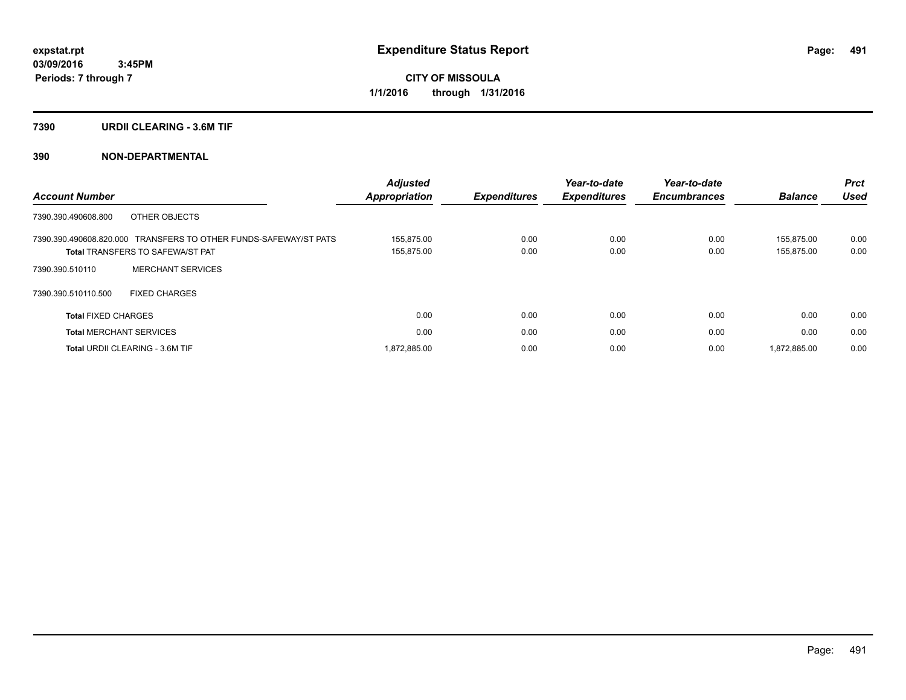### **7390 URDII CLEARING - 3.6M TIF**

### **390 NON-DEPARTMENTAL**

| <b>Account Number</b>                                                                                       | <b>Adjusted</b><br><b>Appropriation</b> | <b>Expenditures</b> | Year-to-date<br><b>Expenditures</b> | Year-to-date<br><b>Encumbrances</b> | <b>Balance</b>           | <b>Prct</b><br><b>Used</b> |
|-------------------------------------------------------------------------------------------------------------|-----------------------------------------|---------------------|-------------------------------------|-------------------------------------|--------------------------|----------------------------|
| OTHER OBJECTS<br>7390.390.490608.800                                                                        |                                         |                     |                                     |                                     |                          |                            |
| 7390.390.490608.820.000 TRANSFERS TO OTHER FUNDS-SAFEWAY/ST PATS<br><b>Total TRANSFERS TO SAFEWA/ST PAT</b> | 155.875.00<br>155,875.00                | 0.00<br>0.00        | 0.00<br>0.00                        | 0.00<br>0.00                        | 155.875.00<br>155,875.00 | 0.00<br>0.00               |
| <b>MERCHANT SERVICES</b><br>7390.390.510110                                                                 |                                         |                     |                                     |                                     |                          |                            |
| 7390.390.510110.500<br><b>FIXED CHARGES</b>                                                                 |                                         |                     |                                     |                                     |                          |                            |
| <b>Total FIXED CHARGES</b>                                                                                  | 0.00                                    | 0.00                | 0.00                                | 0.00                                | 0.00                     | 0.00                       |
| <b>Total MERCHANT SERVICES</b>                                                                              | 0.00                                    | 0.00                | 0.00                                | 0.00                                | 0.00                     | 0.00                       |
| <b>Total URDII CLEARING - 3.6M TIF</b>                                                                      | 1,872,885.00                            | 0.00                | 0.00                                | 0.00                                | 1,872,885.00             | 0.00                       |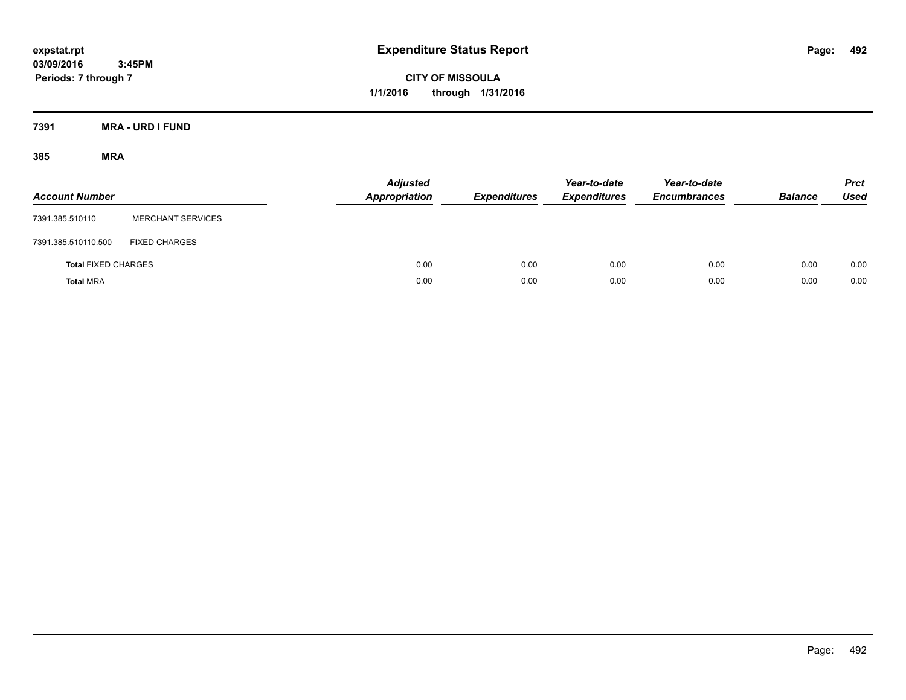**CITY OF MISSOULA 1/1/2016 through 1/31/2016**

**7391 MRA - URD I FUND**

| <b>Account Number</b>      |                          | <b>Adjusted</b><br>Appropriation | <b>Expenditures</b> | Year-to-date<br><b>Expenditures</b> | Year-to-date<br><b>Encumbrances</b> | <b>Balance</b> | <b>Prct</b><br>Used |
|----------------------------|--------------------------|----------------------------------|---------------------|-------------------------------------|-------------------------------------|----------------|---------------------|
| 7391.385.510110            | <b>MERCHANT SERVICES</b> |                                  |                     |                                     |                                     |                |                     |
| 7391.385.510110.500        | <b>FIXED CHARGES</b>     |                                  |                     |                                     |                                     |                |                     |
| <b>Total FIXED CHARGES</b> |                          | 0.00                             | 0.00                | 0.00                                | 0.00                                | 0.00           | 0.00                |
| <b>Total MRA</b>           |                          | 0.00                             | 0.00                | 0.00                                | 0.00                                | 0.00           | 0.00                |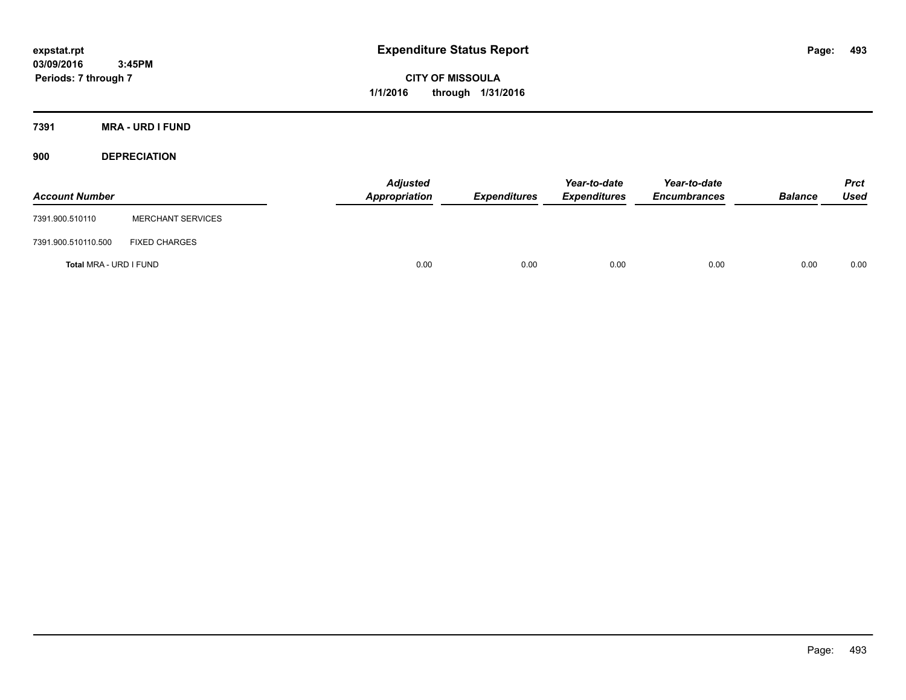**CITY OF MISSOULA 1/1/2016 through 1/31/2016**

**7391 MRA - URD I FUND**

**900 DEPRECIATION**

| <b>Account Number</b>  |                          | <b>Adjusted</b><br><b>Appropriation</b> | <b>Expenditures</b> | Year-to-date<br><b>Expenditures</b> | Year-to-date<br><b>Encumbrances</b> | <b>Balance</b> | <b>Prct</b><br>Used |
|------------------------|--------------------------|-----------------------------------------|---------------------|-------------------------------------|-------------------------------------|----------------|---------------------|
| 7391.900.510110        | <b>MERCHANT SERVICES</b> |                                         |                     |                                     |                                     |                |                     |
| 7391.900.510110.500    | <b>FIXED CHARGES</b>     |                                         |                     |                                     |                                     |                |                     |
| Total MRA - URD I FUND |                          | 0.00                                    | 0.00                | 0.00                                | 0.00                                | 0.00           | 0.00                |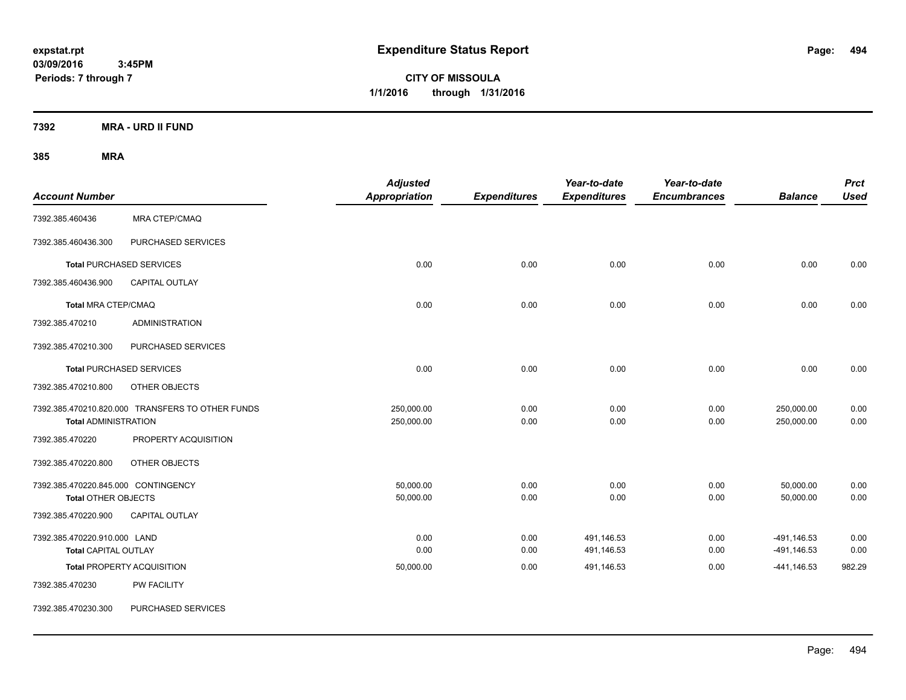**CITY OF MISSOULA 1/1/2016 through 1/31/2016**

**7392 MRA - URD II FUND**

| <b>Account Number</b>                                             |                                                  | <b>Adjusted</b><br>Appropriation | <b>Expenditures</b> | Year-to-date<br><b>Expenditures</b> | Year-to-date<br><b>Encumbrances</b> | <b>Balance</b>             | <b>Prct</b><br><b>Used</b> |
|-------------------------------------------------------------------|--------------------------------------------------|----------------------------------|---------------------|-------------------------------------|-------------------------------------|----------------------------|----------------------------|
| 7392.385.460436                                                   | <b>MRA CTEP/CMAQ</b>                             |                                  |                     |                                     |                                     |                            |                            |
| 7392.385.460436.300                                               | PURCHASED SERVICES                               |                                  |                     |                                     |                                     |                            |                            |
|                                                                   | <b>Total PURCHASED SERVICES</b>                  | 0.00                             | 0.00                | 0.00                                | 0.00                                | 0.00                       | 0.00                       |
| 7392.385.460436.900                                               | <b>CAPITAL OUTLAY</b>                            |                                  |                     |                                     |                                     |                            |                            |
| <b>Total MRA CTEP/CMAQ</b>                                        |                                                  | 0.00                             | 0.00                | 0.00                                | 0.00                                | 0.00                       | 0.00                       |
| 7392.385.470210                                                   | <b>ADMINISTRATION</b>                            |                                  |                     |                                     |                                     |                            |                            |
| 7392.385.470210.300                                               | PURCHASED SERVICES                               |                                  |                     |                                     |                                     |                            |                            |
|                                                                   | <b>Total PURCHASED SERVICES</b>                  | 0.00                             | 0.00                | 0.00                                | 0.00                                | 0.00                       | 0.00                       |
| 7392.385.470210.800                                               | OTHER OBJECTS                                    |                                  |                     |                                     |                                     |                            |                            |
| <b>Total ADMINISTRATION</b>                                       | 7392.385.470210.820.000 TRANSFERS TO OTHER FUNDS | 250,000.00<br>250,000.00         | 0.00<br>0.00        | 0.00<br>0.00                        | 0.00<br>0.00                        | 250,000.00<br>250,000.00   | 0.00<br>0.00               |
| 7392.385.470220                                                   | PROPERTY ACQUISITION                             |                                  |                     |                                     |                                     |                            |                            |
| 7392.385.470220.800                                               | OTHER OBJECTS                                    |                                  |                     |                                     |                                     |                            |                            |
| 7392.385.470220.845.000 CONTINGENCY<br><b>Total OTHER OBJECTS</b> |                                                  | 50,000.00<br>50,000.00           | 0.00<br>0.00        | 0.00<br>0.00                        | 0.00<br>0.00                        | 50,000.00<br>50,000.00     | 0.00<br>0.00               |
| 7392.385.470220.900                                               | <b>CAPITAL OUTLAY</b>                            |                                  |                     |                                     |                                     |                            |                            |
| 7392.385.470220.910.000 LAND<br><b>Total CAPITAL OUTLAY</b>       |                                                  | 0.00<br>0.00                     | 0.00<br>0.00        | 491,146.53<br>491,146.53            | 0.00<br>0.00                        | -491,146.53<br>-491,146.53 | 0.00<br>0.00               |
| 7392.385.470230                                                   | <b>Total PROPERTY ACQUISITION</b><br>PW FACILITY | 50,000.00                        | 0.00                | 491,146.53                          | 0.00                                | $-441,146.53$              | 982.29                     |
| 7392.385.470230.300                                               | PURCHASED SERVICES                               |                                  |                     |                                     |                                     |                            |                            |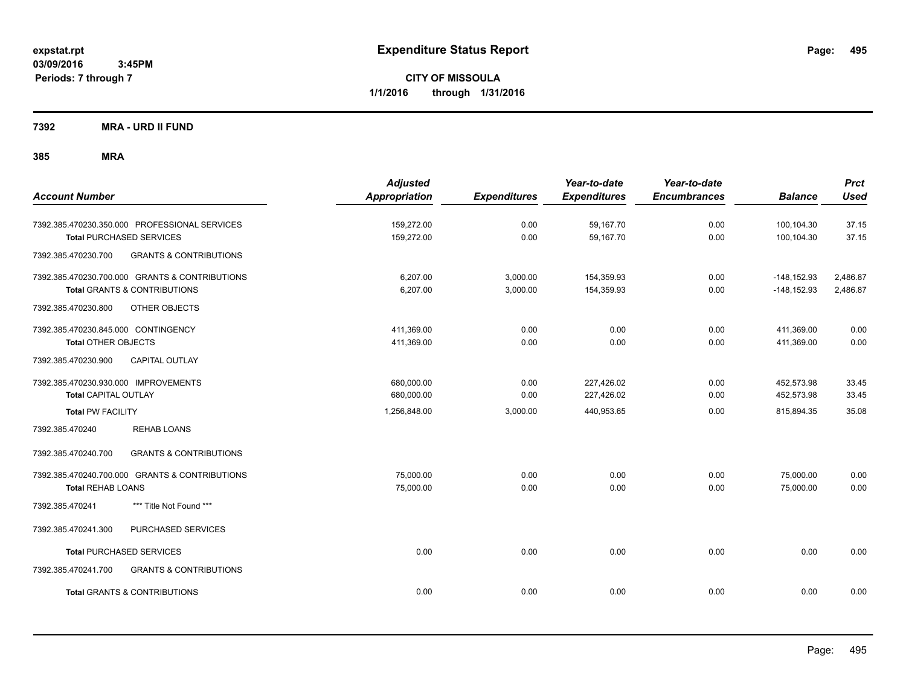**CITY OF MISSOULA 1/1/2016 through 1/31/2016**

**7392 MRA - URD II FUND**

| <b>Account Number</b>                                                                                             | <b>Adjusted</b><br><b>Appropriation</b> | <b>Expenditures</b>  | Year-to-date<br><b>Expenditures</b> | Year-to-date<br><b>Encumbrances</b> | <b>Balance</b>                   | <b>Prct</b><br><b>Used</b> |
|-------------------------------------------------------------------------------------------------------------------|-----------------------------------------|----------------------|-------------------------------------|-------------------------------------|----------------------------------|----------------------------|
| 7392.385.470230.350.000 PROFESSIONAL SERVICES<br><b>Total PURCHASED SERVICES</b>                                  | 159,272.00<br>159,272.00                | 0.00<br>0.00         | 59,167.70<br>59,167.70              | 0.00<br>0.00                        | 100,104.30<br>100,104.30         | 37.15<br>37.15             |
| <b>GRANTS &amp; CONTRIBUTIONS</b><br>7392.385.470230.700                                                          |                                         |                      |                                     |                                     |                                  |                            |
| 7392.385.470230.700.000 GRANTS & CONTRIBUTIONS<br><b>Total GRANTS &amp; CONTRIBUTIONS</b>                         | 6,207.00<br>6,207.00                    | 3,000.00<br>3,000.00 | 154,359.93<br>154,359.93            | 0.00<br>0.00                        | $-148, 152.93$<br>$-148, 152.93$ | 2,486.87<br>2,486.87       |
| 7392.385.470230.800<br>OTHER OBJECTS                                                                              |                                         |                      |                                     |                                     |                                  |                            |
| 7392.385.470230.845.000 CONTINGENCY<br><b>Total OTHER OBJECTS</b><br><b>CAPITAL OUTLAY</b><br>7392.385.470230.900 | 411,369.00<br>411,369.00                | 0.00<br>0.00         | 0.00<br>0.00                        | 0.00<br>0.00                        | 411,369.00<br>411,369.00         | 0.00<br>0.00               |
| 7392.385.470230.930.000 IMPROVEMENTS<br><b>Total CAPITAL OUTLAY</b>                                               | 680,000.00<br>680,000.00                | 0.00<br>0.00         | 227,426.02<br>227,426.02            | 0.00<br>0.00                        | 452,573.98<br>452,573.98         | 33.45<br>33.45             |
| <b>Total PW FACILITY</b>                                                                                          | 1,256,848.00                            | 3,000.00             | 440,953.65                          | 0.00                                | 815,894.35                       | 35.08                      |
| 7392.385.470240<br><b>REHAB LOANS</b>                                                                             |                                         |                      |                                     |                                     |                                  |                            |
| 7392.385.470240.700<br><b>GRANTS &amp; CONTRIBUTIONS</b>                                                          |                                         |                      |                                     |                                     |                                  |                            |
| 7392.385.470240.700.000 GRANTS & CONTRIBUTIONS<br><b>Total REHAB LOANS</b>                                        | 75,000.00<br>75,000.00                  | 0.00<br>0.00         | 0.00<br>0.00                        | 0.00<br>0.00                        | 75,000.00<br>75,000.00           | 0.00<br>0.00               |
| *** Title Not Found ***<br>7392.385.470241                                                                        |                                         |                      |                                     |                                     |                                  |                            |
| 7392.385.470241.300<br>PURCHASED SERVICES                                                                         |                                         |                      |                                     |                                     |                                  |                            |
| <b>Total PURCHASED SERVICES</b>                                                                                   | 0.00                                    | 0.00                 | 0.00                                | 0.00                                | 0.00                             | 0.00                       |
| 7392.385.470241.700<br><b>GRANTS &amp; CONTRIBUTIONS</b>                                                          |                                         |                      |                                     |                                     |                                  |                            |
| <b>Total GRANTS &amp; CONTRIBUTIONS</b>                                                                           | 0.00                                    | 0.00                 | 0.00                                | 0.00                                | 0.00                             | 0.00                       |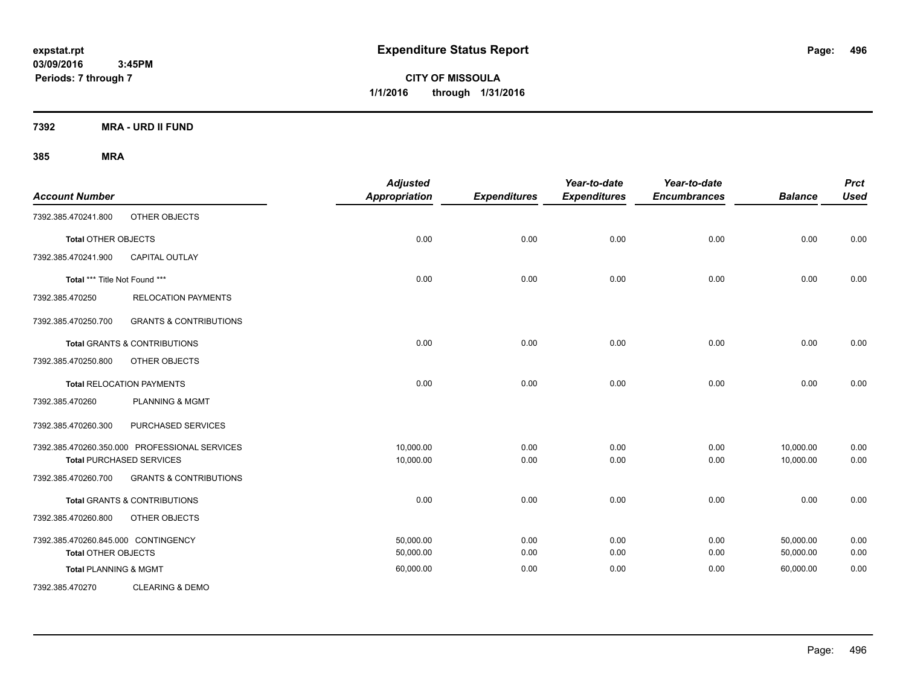**CITY OF MISSOULA 1/1/2016 through 1/31/2016**

**7392 MRA - URD II FUND**

| <b>Account Number</b>               |                                               | <b>Adjusted</b><br>Appropriation | <b>Expenditures</b> | Year-to-date<br><b>Expenditures</b> | Year-to-date<br><b>Encumbrances</b> | <b>Balance</b> | <b>Prct</b><br><b>Used</b> |
|-------------------------------------|-----------------------------------------------|----------------------------------|---------------------|-------------------------------------|-------------------------------------|----------------|----------------------------|
| 7392.385.470241.800                 | OTHER OBJECTS                                 |                                  |                     |                                     |                                     |                |                            |
| <b>Total OTHER OBJECTS</b>          |                                               | 0.00                             | 0.00                | 0.00                                | 0.00                                | 0.00           | 0.00                       |
| 7392.385.470241.900                 | <b>CAPITAL OUTLAY</b>                         |                                  |                     |                                     |                                     |                |                            |
| Total *** Title Not Found ***       |                                               | 0.00                             | 0.00                | 0.00                                | 0.00                                | 0.00           | 0.00                       |
| 7392.385.470250                     | <b>RELOCATION PAYMENTS</b>                    |                                  |                     |                                     |                                     |                |                            |
| 7392.385.470250.700                 | <b>GRANTS &amp; CONTRIBUTIONS</b>             |                                  |                     |                                     |                                     |                |                            |
|                                     | <b>Total GRANTS &amp; CONTRIBUTIONS</b>       | 0.00                             | 0.00                | 0.00                                | 0.00                                | 0.00           | 0.00                       |
| 7392.385.470250.800                 | OTHER OBJECTS                                 |                                  |                     |                                     |                                     |                |                            |
|                                     | <b>Total RELOCATION PAYMENTS</b>              | 0.00                             | 0.00                | 0.00                                | 0.00                                | 0.00           | 0.00                       |
| 7392.385.470260                     | <b>PLANNING &amp; MGMT</b>                    |                                  |                     |                                     |                                     |                |                            |
| 7392.385.470260.300                 | PURCHASED SERVICES                            |                                  |                     |                                     |                                     |                |                            |
|                                     | 7392.385.470260.350.000 PROFESSIONAL SERVICES | 10,000.00                        | 0.00                | 0.00                                | 0.00                                | 10,000.00      | 0.00                       |
|                                     | <b>Total PURCHASED SERVICES</b>               | 10,000.00                        | 0.00                | 0.00                                | 0.00                                | 10,000.00      | 0.00                       |
| 7392.385.470260.700                 | <b>GRANTS &amp; CONTRIBUTIONS</b>             |                                  |                     |                                     |                                     |                |                            |
|                                     | <b>Total GRANTS &amp; CONTRIBUTIONS</b>       | 0.00                             | 0.00                | 0.00                                | 0.00                                | 0.00           | 0.00                       |
| 7392.385.470260.800                 | OTHER OBJECTS                                 |                                  |                     |                                     |                                     |                |                            |
| 7392.385.470260.845.000 CONTINGENCY |                                               | 50,000.00                        | 0.00                | 0.00                                | 0.00                                | 50,000.00      | 0.00                       |
| <b>Total OTHER OBJECTS</b>          |                                               | 50,000.00                        | 0.00                | 0.00                                | 0.00                                | 50,000.00      | 0.00                       |
| <b>Total PLANNING &amp; MGMT</b>    |                                               | 60,000.00                        | 0.00                | 0.00                                | 0.00                                | 60,000.00      | 0.00                       |
| 7392.385.470270                     | <b>CLEARING &amp; DEMO</b>                    |                                  |                     |                                     |                                     |                |                            |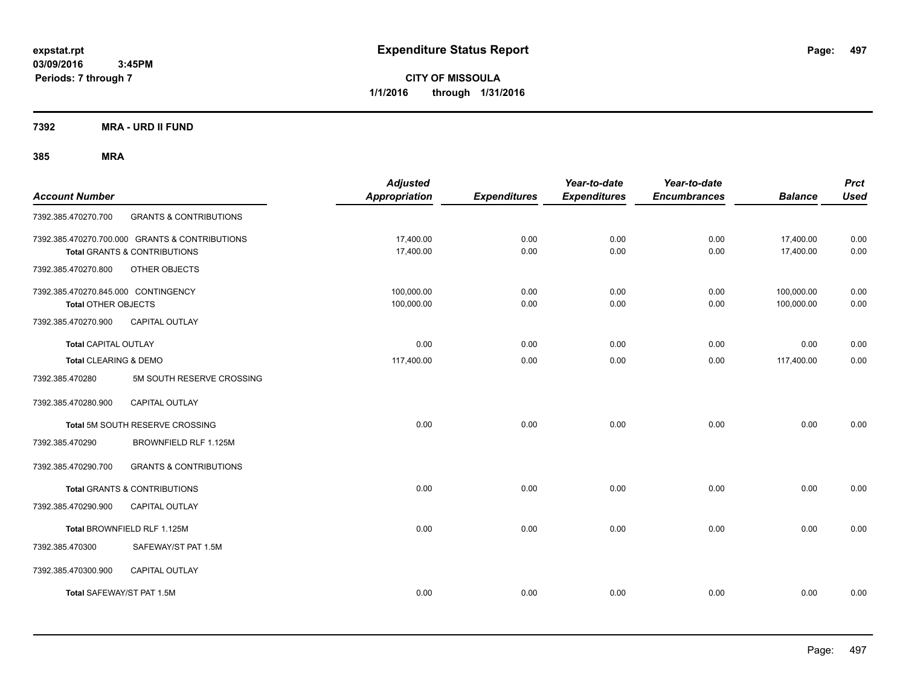**CITY OF MISSOULA 1/1/2016 through 1/31/2016**

**7392 MRA - URD II FUND**

| <b>Account Number</b>                                             |                                                                                | <b>Adjusted</b><br><b>Appropriation</b> | <b>Expenditures</b> | Year-to-date<br><b>Expenditures</b> | Year-to-date<br><b>Encumbrances</b> | <b>Balance</b>           | <b>Prct</b><br><b>Used</b> |
|-------------------------------------------------------------------|--------------------------------------------------------------------------------|-----------------------------------------|---------------------|-------------------------------------|-------------------------------------|--------------------------|----------------------------|
| 7392.385.470270.700                                               | <b>GRANTS &amp; CONTRIBUTIONS</b>                                              |                                         |                     |                                     |                                     |                          |                            |
|                                                                   | 7392.385.470270.700.000 GRANTS & CONTRIBUTIONS<br>Total GRANTS & CONTRIBUTIONS | 17,400.00<br>17,400.00                  | 0.00<br>0.00        | 0.00<br>0.00                        | 0.00<br>0.00                        | 17,400.00<br>17,400.00   | 0.00<br>0.00               |
| 7392.385.470270.800                                               | OTHER OBJECTS                                                                  |                                         |                     |                                     |                                     |                          |                            |
| 7392.385.470270.845.000 CONTINGENCY<br><b>Total OTHER OBJECTS</b> |                                                                                | 100,000.00<br>100,000.00                | 0.00<br>0.00        | 0.00<br>0.00                        | 0.00<br>0.00                        | 100,000.00<br>100,000.00 | 0.00<br>0.00               |
| 7392.385.470270.900                                               | <b>CAPITAL OUTLAY</b>                                                          |                                         |                     |                                     |                                     |                          |                            |
| <b>Total CAPITAL OUTLAY</b>                                       |                                                                                | 0.00                                    | 0.00                | 0.00                                | 0.00                                | 0.00                     | 0.00                       |
| Total CLEARING & DEMO                                             |                                                                                | 117,400.00                              | 0.00                | 0.00                                | 0.00                                | 117,400.00               | 0.00                       |
| 7392.385.470280                                                   | 5M SOUTH RESERVE CROSSING                                                      |                                         |                     |                                     |                                     |                          |                            |
| 7392.385.470280.900                                               | <b>CAPITAL OUTLAY</b>                                                          |                                         |                     |                                     |                                     |                          |                            |
|                                                                   | Total 5M SOUTH RESERVE CROSSING                                                | 0.00                                    | 0.00                | 0.00                                | 0.00                                | 0.00                     | 0.00                       |
| 7392.385.470290                                                   | BROWNFIELD RLF 1.125M                                                          |                                         |                     |                                     |                                     |                          |                            |
| 7392.385.470290.700                                               | <b>GRANTS &amp; CONTRIBUTIONS</b>                                              |                                         |                     |                                     |                                     |                          |                            |
|                                                                   | Total GRANTS & CONTRIBUTIONS                                                   | 0.00                                    | 0.00                | 0.00                                | 0.00                                | 0.00                     | 0.00                       |
| 7392.385.470290.900                                               | CAPITAL OUTLAY                                                                 |                                         |                     |                                     |                                     |                          |                            |
|                                                                   | Total BROWNFIELD RLF 1.125M                                                    | 0.00                                    | 0.00                | 0.00                                | 0.00                                | 0.00                     | 0.00                       |
| 7392.385.470300                                                   | SAFEWAY/ST PAT 1.5M                                                            |                                         |                     |                                     |                                     |                          |                            |
| 7392.385.470300.900                                               | <b>CAPITAL OUTLAY</b>                                                          |                                         |                     |                                     |                                     |                          |                            |
| Total SAFEWAY/ST PAT 1.5M                                         |                                                                                | 0.00                                    | 0.00                | 0.00                                | 0.00                                | 0.00                     | 0.00                       |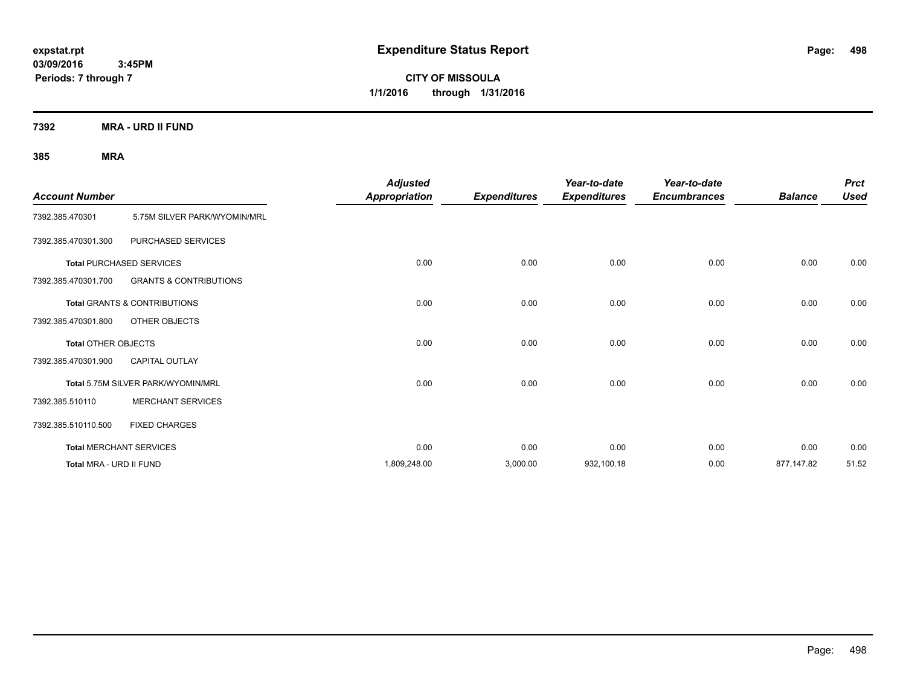**CITY OF MISSOULA 1/1/2016 through 1/31/2016**

**7392 MRA - URD II FUND**

| <b>Account Number</b>      |                                    | <b>Adjusted</b><br><b>Appropriation</b> | <b>Expenditures</b> | Year-to-date<br><b>Expenditures</b> | Year-to-date<br><b>Encumbrances</b> | <b>Balance</b> | <b>Prct</b><br><b>Used</b> |
|----------------------------|------------------------------------|-----------------------------------------|---------------------|-------------------------------------|-------------------------------------|----------------|----------------------------|
| 7392.385.470301            | 5.75M SILVER PARK/WYOMIN/MRL       |                                         |                     |                                     |                                     |                |                            |
| 7392.385.470301.300        | PURCHASED SERVICES                 |                                         |                     |                                     |                                     |                |                            |
|                            | <b>Total PURCHASED SERVICES</b>    | 0.00                                    | 0.00                | 0.00                                | 0.00                                | 0.00           | 0.00                       |
| 7392.385.470301.700        | <b>GRANTS &amp; CONTRIBUTIONS</b>  |                                         |                     |                                     |                                     |                |                            |
|                            | Total GRANTS & CONTRIBUTIONS       | 0.00                                    | 0.00                | 0.00                                | 0.00                                | 0.00           | 0.00                       |
| 7392.385.470301.800        | OTHER OBJECTS                      |                                         |                     |                                     |                                     |                |                            |
| <b>Total OTHER OBJECTS</b> |                                    | 0.00                                    | 0.00                | 0.00                                | 0.00                                | 0.00           | 0.00                       |
| 7392.385.470301.900        | <b>CAPITAL OUTLAY</b>              |                                         |                     |                                     |                                     |                |                            |
|                            | Total 5.75M SILVER PARK/WYOMIN/MRL | 0.00                                    | 0.00                | 0.00                                | 0.00                                | 0.00           | 0.00                       |
| 7392.385.510110            | <b>MERCHANT SERVICES</b>           |                                         |                     |                                     |                                     |                |                            |
| 7392.385.510110.500        | <b>FIXED CHARGES</b>               |                                         |                     |                                     |                                     |                |                            |
|                            | <b>Total MERCHANT SERVICES</b>     | 0.00                                    | 0.00                | 0.00                                | 0.00                                | 0.00           | 0.00                       |
| Total MRA - URD II FUND    |                                    | 1,809,248.00                            | 3,000.00            | 932,100.18                          | 0.00                                | 877,147.82     | 51.52                      |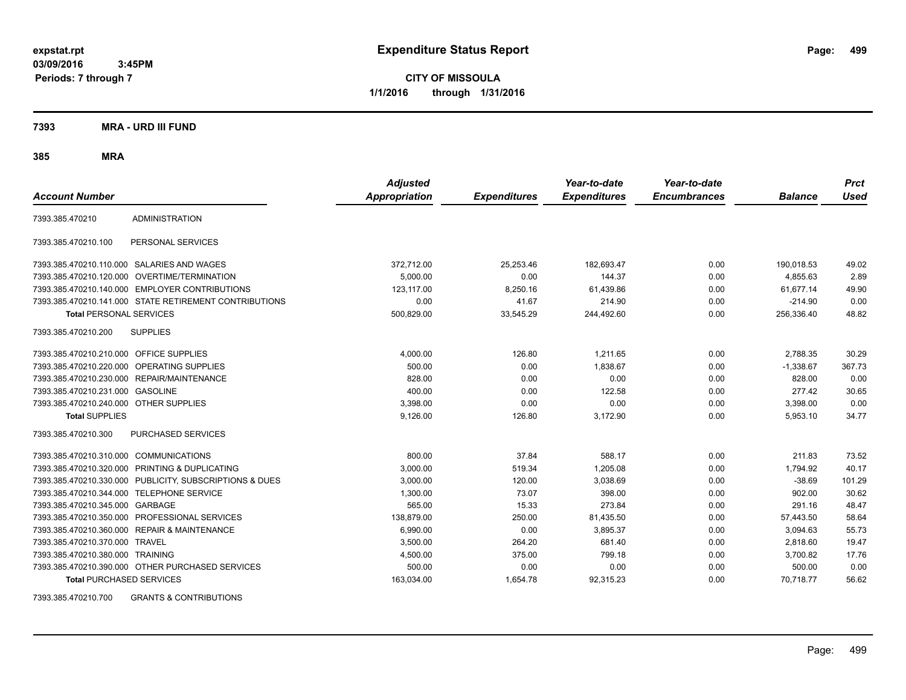**CITY OF MISSOULA 1/1/2016 through 1/31/2016**

**7393 MRA - URD III FUND**

**385 MRA**

| <b>Account Number</b>                   |                                                         | <b>Adjusted</b><br><b>Appropriation</b> | <b>Expenditures</b> | Year-to-date<br><b>Expenditures</b> | Year-to-date<br><b>Encumbrances</b> | <b>Balance</b> | <b>Prct</b><br>Used |
|-----------------------------------------|---------------------------------------------------------|-----------------------------------------|---------------------|-------------------------------------|-------------------------------------|----------------|---------------------|
| 7393.385.470210                         | <b>ADMINISTRATION</b>                                   |                                         |                     |                                     |                                     |                |                     |
| 7393.385.470210.100                     | PERSONAL SERVICES                                       |                                         |                     |                                     |                                     |                |                     |
|                                         | 7393.385.470210.110.000 SALARIES AND WAGES              | 372,712.00                              | 25,253.46           | 182,693.47                          | 0.00                                | 190,018.53     | 49.02               |
|                                         | 7393.385.470210.120.000 OVERTIME/TERMINATION            | 5,000.00                                | 0.00                | 144.37                              | 0.00                                | 4,855.63       | 2.89                |
|                                         | 7393.385.470210.140.000 EMPLOYER CONTRIBUTIONS          | 123.117.00                              | 8,250.16            | 61,439.86                           | 0.00                                | 61,677.14      | 49.90               |
|                                         | 7393.385.470210.141.000 STATE RETIREMENT CONTRIBUTIONS  | 0.00                                    | 41.67               | 214.90                              | 0.00                                | $-214.90$      | 0.00                |
| <b>Total PERSONAL SERVICES</b>          |                                                         | 500,829.00                              | 33,545.29           | 244,492.60                          | 0.00                                | 256,336.40     | 48.82               |
| 7393.385.470210.200                     | <b>SUPPLIES</b>                                         |                                         |                     |                                     |                                     |                |                     |
| 7393.385.470210.210.000 OFFICE SUPPLIES |                                                         | 4,000.00                                | 126.80              | 1,211.65                            | 0.00                                | 2,788.35       | 30.29               |
|                                         | 7393.385.470210.220.000 OPERATING SUPPLIES              | 500.00                                  | 0.00                | 1,838.67                            | 0.00                                | $-1,338.67$    | 367.73              |
| 7393.385.470210.230.000                 | REPAIR/MAINTENANCE                                      | 828.00                                  | 0.00                | 0.00                                | 0.00                                | 828.00         | 0.00                |
| 7393.385.470210.231.000                 | <b>GASOLINE</b>                                         | 400.00                                  | 0.00                | 122.58                              | 0.00                                | 277.42         | 30.65               |
| 7393.385.470210.240.000 OTHER SUPPLIES  |                                                         | 3,398.00                                | 0.00                | 0.00                                | 0.00                                | 3,398.00       | 0.00                |
| <b>Total SUPPLIES</b>                   |                                                         | 9,126.00                                | 126.80              | 3,172.90                            | 0.00                                | 5,953.10       | 34.77               |
| 7393.385.470210.300                     | PURCHASED SERVICES                                      |                                         |                     |                                     |                                     |                |                     |
| 7393.385.470210.310.000                 | <b>COMMUNICATIONS</b>                                   | 800.00                                  | 37.84               | 588.17                              | 0.00                                | 211.83         | 73.52               |
| 7393.385.470210.320.000                 | <b>PRINTING &amp; DUPLICATING</b>                       | 3,000.00                                | 519.34              | 1,205.08                            | 0.00                                | 1,794.92       | 40.17               |
|                                         | 7393.385.470210.330.000 PUBLICITY, SUBSCRIPTIONS & DUES | 3,000.00                                | 120.00              | 3,038.69                            | 0.00                                | $-38.69$       | 101.29              |
| 7393.385.470210.344.000                 | <b>TELEPHONE SERVICE</b>                                | 1,300.00                                | 73.07               | 398.00                              | 0.00                                | 902.00         | 30.62               |
| 7393.385.470210.345.000                 | GARBAGE                                                 | 565.00                                  | 15.33               | 273.84                              | 0.00                                | 291.16         | 48.47               |
| 7393.385.470210.350.000                 | PROFESSIONAL SERVICES                                   | 138,879.00                              | 250.00              | 81,435.50                           | 0.00                                | 57,443.50      | 58.64               |
| 7393.385.470210.360.000                 | <b>REPAIR &amp; MAINTENANCE</b>                         | 6,990.00                                | 0.00                | 3,895.37                            | 0.00                                | 3,094.63       | 55.73               |
| 7393.385.470210.370.000                 | <b>TRAVEL</b>                                           | 3,500.00                                | 264.20              | 681.40                              | 0.00                                | 2,818.60       | 19.47               |
| 7393.385.470210.380.000 TRAINING        |                                                         | 4,500.00                                | 375.00              | 799.18                              | 0.00                                | 3,700.82       | 17.76               |
|                                         | 7393.385.470210.390.000 OTHER PURCHASED SERVICES        | 500.00                                  | 0.00                | 0.00                                | 0.00                                | 500.00         | 0.00                |
| <b>Total PURCHASED SERVICES</b>         |                                                         | 163,034.00                              | 1,654.78            | 92,315.23                           | 0.00                                | 70.718.77      | 56.62               |

7393.385.470210.700 GRANTS & CONTRIBUTIONS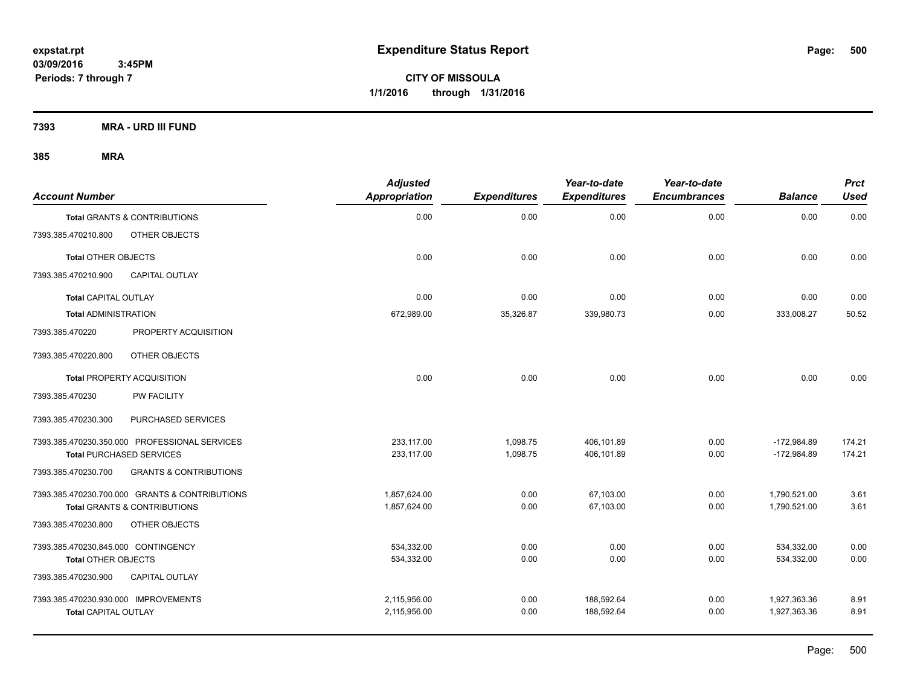**CITY OF MISSOULA 1/1/2016 through 1/31/2016**

**7393 MRA - URD III FUND**

| <b>Account Number</b>                |                                                | <b>Adjusted</b><br><b>Appropriation</b> | <b>Expenditures</b> | Year-to-date<br><b>Expenditures</b> | Year-to-date<br><b>Encumbrances</b> | <b>Balance</b> | Prct<br><b>Used</b> |
|--------------------------------------|------------------------------------------------|-----------------------------------------|---------------------|-------------------------------------|-------------------------------------|----------------|---------------------|
|                                      | <b>Total GRANTS &amp; CONTRIBUTIONS</b>        | 0.00                                    | 0.00                | 0.00                                | 0.00                                | 0.00           | 0.00                |
| 7393.385.470210.800                  | OTHER OBJECTS                                  |                                         |                     |                                     |                                     |                |                     |
| <b>Total OTHER OBJECTS</b>           |                                                | 0.00                                    | 0.00                | 0.00                                | 0.00                                | 0.00           | 0.00                |
| 7393.385.470210.900                  | <b>CAPITAL OUTLAY</b>                          |                                         |                     |                                     |                                     |                |                     |
| <b>Total CAPITAL OUTLAY</b>          |                                                | 0.00                                    | 0.00                | 0.00                                | 0.00                                | 0.00           | 0.00                |
| <b>Total ADMINISTRATION</b>          |                                                | 672,989.00                              | 35,326.87           | 339,980.73                          | 0.00                                | 333,008.27     | 50.52               |
| 7393.385.470220                      | PROPERTY ACQUISITION                           |                                         |                     |                                     |                                     |                |                     |
| 7393.385.470220.800                  | OTHER OBJECTS                                  |                                         |                     |                                     |                                     |                |                     |
|                                      | <b>Total PROPERTY ACQUISITION</b>              | 0.00                                    | 0.00                | 0.00                                | 0.00                                | 0.00           | 0.00                |
| 7393.385.470230                      | <b>PW FACILITY</b>                             |                                         |                     |                                     |                                     |                |                     |
| 7393.385.470230.300                  | PURCHASED SERVICES                             |                                         |                     |                                     |                                     |                |                     |
|                                      | 7393.385.470230.350.000 PROFESSIONAL SERVICES  | 233.117.00                              | 1,098.75            | 406.101.89                          | 0.00                                | $-172,984.89$  | 174.21              |
|                                      | <b>Total PURCHASED SERVICES</b>                | 233,117.00                              | 1,098.75            | 406,101.89                          | 0.00                                | $-172,984.89$  | 174.21              |
| 7393.385.470230.700                  | <b>GRANTS &amp; CONTRIBUTIONS</b>              |                                         |                     |                                     |                                     |                |                     |
|                                      | 7393.385.470230.700.000 GRANTS & CONTRIBUTIONS | 1,857,624.00                            | 0.00                | 67,103.00                           | 0.00                                | 1,790,521.00   | 3.61                |
|                                      | Total GRANTS & CONTRIBUTIONS                   | 1,857,624.00                            | 0.00                | 67,103.00                           | 0.00                                | 1,790,521.00   | 3.61                |
| 7393.385.470230.800                  | OTHER OBJECTS                                  |                                         |                     |                                     |                                     |                |                     |
| 7393.385.470230.845.000 CONTINGENCY  |                                                | 534,332.00                              | 0.00                | 0.00                                | 0.00                                | 534,332.00     | 0.00                |
| <b>Total OTHER OBJECTS</b>           |                                                | 534,332.00                              | 0.00                | 0.00                                | 0.00                                | 534,332.00     | 0.00                |
| 7393.385.470230.900                  | <b>CAPITAL OUTLAY</b>                          |                                         |                     |                                     |                                     |                |                     |
| 7393.385.470230.930.000 IMPROVEMENTS |                                                | 2,115,956.00                            | 0.00                | 188,592.64                          | 0.00                                | 1,927,363.36   | 8.91                |
| <b>Total CAPITAL OUTLAY</b>          |                                                | 2,115,956.00                            | 0.00                | 188,592.64                          | 0.00                                | 1,927,363.36   | 8.91                |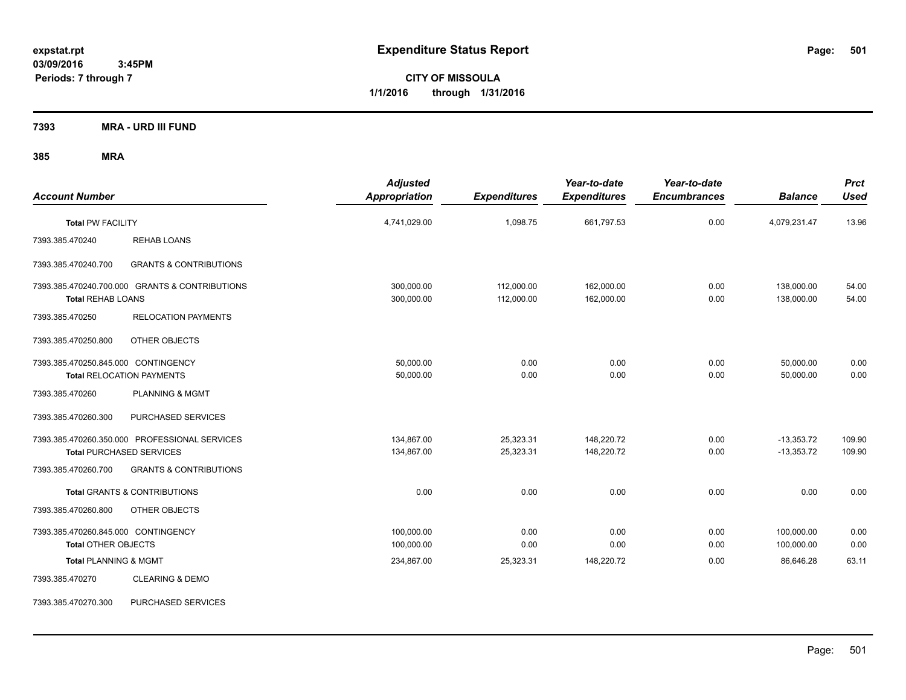**CITY OF MISSOULA 1/1/2016 through 1/31/2016**

**7393 MRA - URD III FUND**

| <b>Account Number</b>                                             |                                                                                  | <b>Adjusted</b><br>Appropriation | <b>Expenditures</b>      | Year-to-date<br><b>Expenditures</b> | Year-to-date<br><b>Encumbrances</b> | <b>Balance</b>               | <b>Prct</b><br><b>Used</b> |
|-------------------------------------------------------------------|----------------------------------------------------------------------------------|----------------------------------|--------------------------|-------------------------------------|-------------------------------------|------------------------------|----------------------------|
| <b>Total PW FACILITY</b>                                          |                                                                                  | 4,741,029.00                     | 1,098.75                 | 661,797.53                          | 0.00                                | 4,079,231.47                 | 13.96                      |
| 7393.385.470240                                                   | <b>REHAB LOANS</b>                                                               |                                  |                          |                                     |                                     |                              |                            |
| 7393.385.470240.700                                               | <b>GRANTS &amp; CONTRIBUTIONS</b>                                                |                                  |                          |                                     |                                     |                              |                            |
| <b>Total REHAB LOANS</b>                                          | 7393.385.470240.700.000 GRANTS & CONTRIBUTIONS                                   | 300,000.00<br>300,000.00         | 112,000.00<br>112,000.00 | 162,000.00<br>162,000.00            | 0.00<br>0.00                        | 138,000.00<br>138,000.00     | 54.00<br>54.00             |
| 7393.385.470250                                                   | <b>RELOCATION PAYMENTS</b>                                                       |                                  |                          |                                     |                                     |                              |                            |
| 7393.385.470250.800                                               | OTHER OBJECTS                                                                    |                                  |                          |                                     |                                     |                              |                            |
| 7393.385.470250.845.000 CONTINGENCY                               | <b>Total RELOCATION PAYMENTS</b>                                                 | 50,000.00<br>50,000.00           | 0.00<br>0.00             | 0.00<br>0.00                        | 0.00<br>0.00                        | 50,000.00<br>50,000.00       | 0.00<br>0.00               |
| 7393.385.470260                                                   | <b>PLANNING &amp; MGMT</b>                                                       |                                  |                          |                                     |                                     |                              |                            |
| 7393.385.470260.300                                               | PURCHASED SERVICES                                                               |                                  |                          |                                     |                                     |                              |                            |
|                                                                   | 7393.385.470260.350.000 PROFESSIONAL SERVICES<br><b>Total PURCHASED SERVICES</b> | 134.867.00<br>134,867.00         | 25,323.31<br>25,323.31   | 148.220.72<br>148,220.72            | 0.00<br>0.00                        | $-13,353.72$<br>$-13,353.72$ | 109.90<br>109.90           |
| 7393.385.470260.700                                               | <b>GRANTS &amp; CONTRIBUTIONS</b>                                                |                                  |                          |                                     |                                     |                              |                            |
|                                                                   | <b>Total GRANTS &amp; CONTRIBUTIONS</b>                                          | 0.00                             | 0.00                     | 0.00                                | 0.00                                | 0.00                         | 0.00                       |
| 7393.385.470260.800                                               | OTHER OBJECTS                                                                    |                                  |                          |                                     |                                     |                              |                            |
| 7393.385.470260.845.000 CONTINGENCY<br><b>Total OTHER OBJECTS</b> |                                                                                  | 100,000.00<br>100,000.00         | 0.00<br>0.00             | 0.00<br>0.00                        | 0.00<br>0.00                        | 100,000.00<br>100,000.00     | 0.00<br>0.00               |
| <b>Total PLANNING &amp; MGMT</b>                                  |                                                                                  | 234,867.00                       | 25,323.31                | 148,220.72                          | 0.00                                | 86,646.28                    | 63.11                      |
| 7393.385.470270                                                   | <b>CLEARING &amp; DEMO</b>                                                       |                                  |                          |                                     |                                     |                              |                            |
| 7393.385.470270.300                                               | PURCHASED SERVICES                                                               |                                  |                          |                                     |                                     |                              |                            |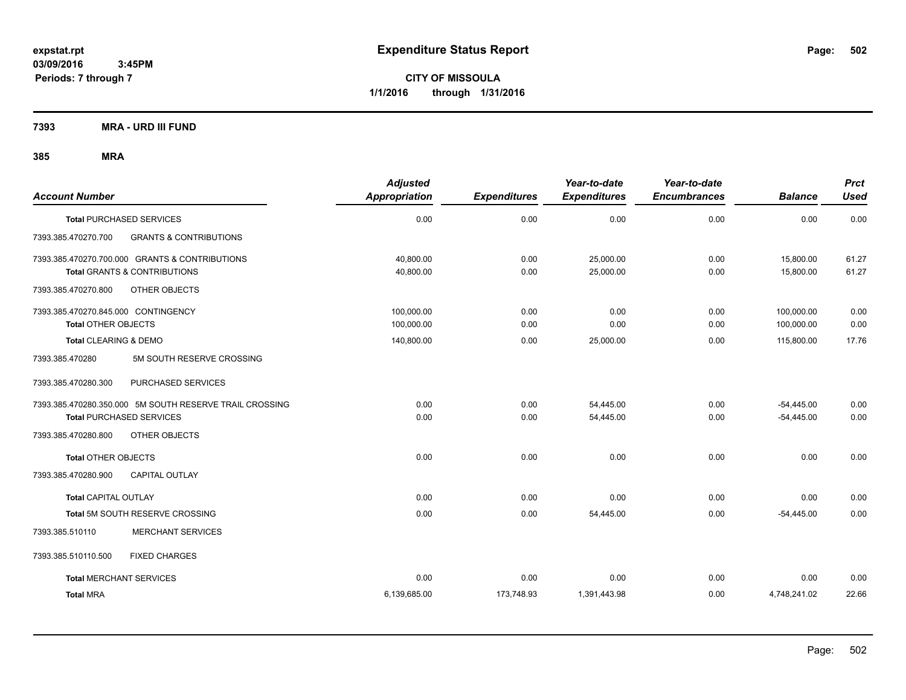**CITY OF MISSOULA 1/1/2016 through 1/31/2016**

**7393 MRA - URD III FUND**

| <b>Account Number</b>                                    | <b>Adjusted</b><br><b>Appropriation</b> | <b>Expenditures</b> | Year-to-date<br><b>Expenditures</b> | Year-to-date<br><b>Encumbrances</b> | <b>Balance</b> | <b>Prct</b><br><b>Used</b> |
|----------------------------------------------------------|-----------------------------------------|---------------------|-------------------------------------|-------------------------------------|----------------|----------------------------|
| <b>Total PURCHASED SERVICES</b>                          | 0.00                                    | 0.00                | 0.00                                | 0.00                                | 0.00           | 0.00                       |
| 7393.385.470270.700<br><b>GRANTS &amp; CONTRIBUTIONS</b> |                                         |                     |                                     |                                     |                |                            |
| 7393.385.470270.700.000 GRANTS & CONTRIBUTIONS           | 40.800.00                               | 0.00                | 25,000.00                           | 0.00                                | 15,800.00      | 61.27                      |
| <b>Total GRANTS &amp; CONTRIBUTIONS</b>                  | 40,800.00                               | 0.00                | 25,000.00                           | 0.00                                | 15,800.00      | 61.27                      |
| OTHER OBJECTS<br>7393.385.470270.800                     |                                         |                     |                                     |                                     |                |                            |
| 7393.385.470270.845.000 CONTINGENCY                      | 100,000.00                              | 0.00                | 0.00                                | 0.00                                | 100,000.00     | 0.00                       |
| <b>Total OTHER OBJECTS</b>                               | 100,000.00                              | 0.00                | 0.00                                | 0.00                                | 100,000.00     | 0.00                       |
| Total CLEARING & DEMO                                    | 140,800.00                              | 0.00                | 25,000.00                           | 0.00                                | 115,800.00     | 17.76                      |
| 5M SOUTH RESERVE CROSSING<br>7393.385.470280             |                                         |                     |                                     |                                     |                |                            |
| 7393.385.470280.300<br>PURCHASED SERVICES                |                                         |                     |                                     |                                     |                |                            |
| 7393.385.470280.350.000 5M SOUTH RESERVE TRAIL CROSSING  | 0.00                                    | 0.00                | 54.445.00                           | 0.00                                | $-54,445.00$   | 0.00                       |
| <b>Total PURCHASED SERVICES</b>                          | 0.00                                    | 0.00                | 54,445.00                           | 0.00                                | $-54,445.00$   | 0.00                       |
| OTHER OBJECTS<br>7393.385.470280.800                     |                                         |                     |                                     |                                     |                |                            |
| <b>Total OTHER OBJECTS</b>                               | 0.00                                    | 0.00                | 0.00                                | 0.00                                | 0.00           | 0.00                       |
| 7393.385.470280.900<br><b>CAPITAL OUTLAY</b>             |                                         |                     |                                     |                                     |                |                            |
| <b>Total CAPITAL OUTLAY</b>                              | 0.00                                    | 0.00                | 0.00                                | 0.00                                | 0.00           | 0.00                       |
| Total 5M SOUTH RESERVE CROSSING                          | 0.00                                    | 0.00                | 54,445.00                           | 0.00                                | $-54,445.00$   | 0.00                       |
| <b>MERCHANT SERVICES</b><br>7393.385.510110              |                                         |                     |                                     |                                     |                |                            |
| 7393.385.510110.500<br><b>FIXED CHARGES</b>              |                                         |                     |                                     |                                     |                |                            |
| <b>Total MERCHANT SERVICES</b>                           | 0.00                                    | 0.00                | 0.00                                | 0.00                                | 0.00           | 0.00                       |
| <b>Total MRA</b>                                         | 6,139,685.00                            | 173,748.93          | 1,391,443.98                        | 0.00                                | 4,748,241.02   | 22.66                      |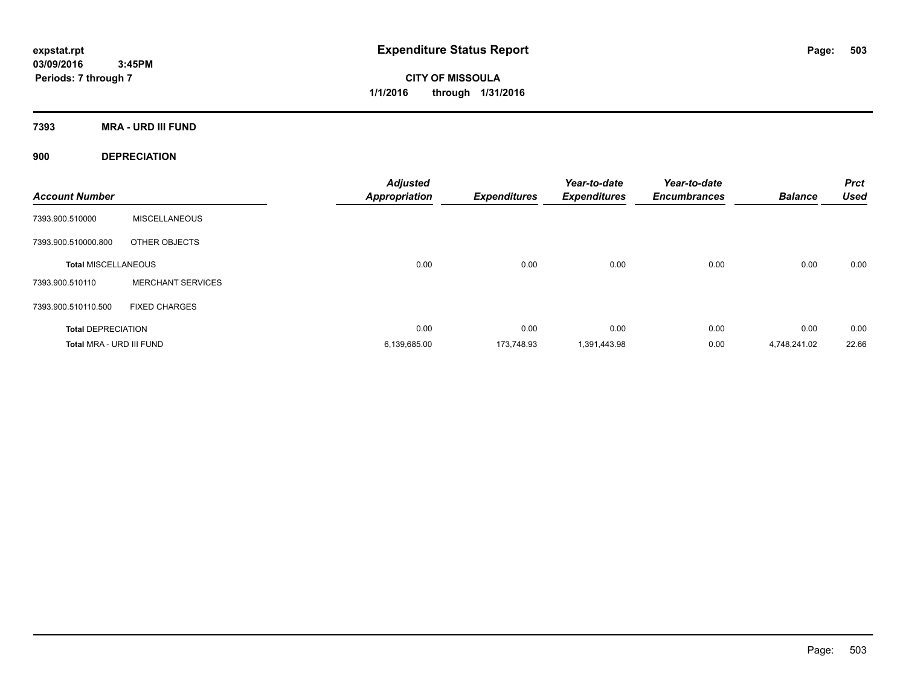**CITY OF MISSOULA 1/1/2016 through 1/31/2016**

**7393 MRA - URD III FUND**

**900 DEPRECIATION**

| <b>Account Number</b>      |                          | <b>Adjusted</b><br><b>Appropriation</b> | <b>Expenditures</b> | Year-to-date<br><b>Expenditures</b> | Year-to-date<br><b>Encumbrances</b> | <b>Balance</b> | <b>Prct</b><br><b>Used</b> |
|----------------------------|--------------------------|-----------------------------------------|---------------------|-------------------------------------|-------------------------------------|----------------|----------------------------|
| 7393.900.510000            | <b>MISCELLANEOUS</b>     |                                         |                     |                                     |                                     |                |                            |
| 7393.900.510000.800        | OTHER OBJECTS            |                                         |                     |                                     |                                     |                |                            |
| <b>Total MISCELLANEOUS</b> |                          | 0.00                                    | 0.00                | 0.00                                | 0.00                                | 0.00           | 0.00                       |
| 7393.900.510110            | <b>MERCHANT SERVICES</b> |                                         |                     |                                     |                                     |                |                            |
| 7393.900.510110.500        | <b>FIXED CHARGES</b>     |                                         |                     |                                     |                                     |                |                            |
| <b>Total DEPRECIATION</b>  |                          | 0.00                                    | 0.00                | 0.00                                | 0.00                                | 0.00           | 0.00                       |
| Total MRA - URD III FUND   |                          | 6,139,685.00                            | 173.748.93          | 1,391,443.98                        | 0.00                                | 4.748.241.02   | 22.66                      |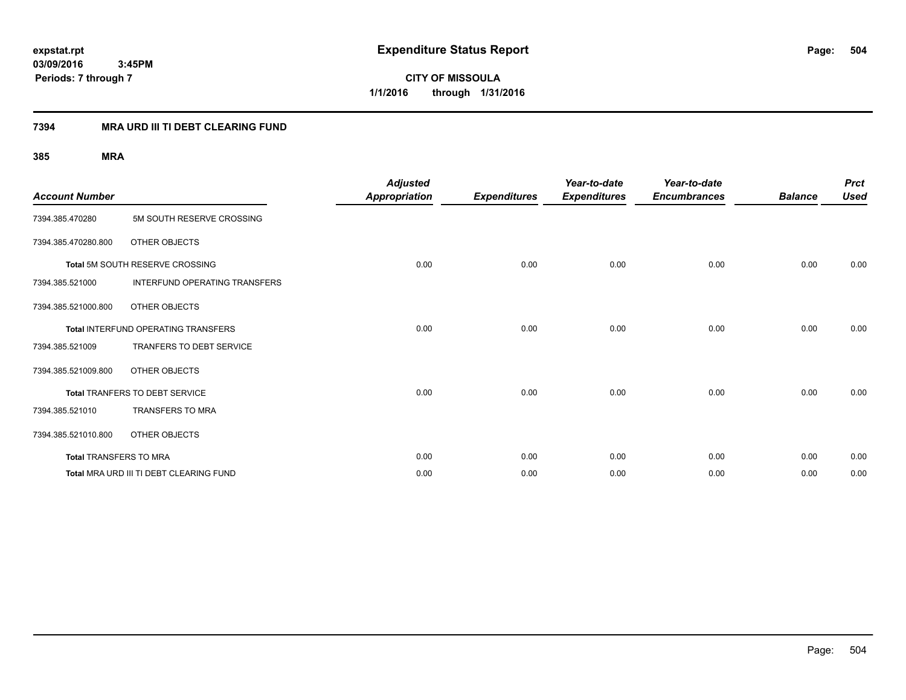**CITY OF MISSOULA 1/1/2016 through 1/31/2016**

### **7394 MRA URD III TI DEBT CLEARING FUND**

| <b>Account Number</b>  |                                            | <b>Adjusted</b><br><b>Appropriation</b> | <b>Expenditures</b> | Year-to-date<br><b>Expenditures</b> | Year-to-date<br><b>Encumbrances</b> | <b>Balance</b> | <b>Prct</b><br><b>Used</b> |
|------------------------|--------------------------------------------|-----------------------------------------|---------------------|-------------------------------------|-------------------------------------|----------------|----------------------------|
| 7394.385.470280        | 5M SOUTH RESERVE CROSSING                  |                                         |                     |                                     |                                     |                |                            |
| 7394.385.470280.800    | OTHER OBJECTS                              |                                         |                     |                                     |                                     |                |                            |
|                        | Total 5M SOUTH RESERVE CROSSING            | 0.00                                    | 0.00                | 0.00                                | 0.00                                | 0.00           | 0.00                       |
| 7394.385.521000        | INTERFUND OPERATING TRANSFERS              |                                         |                     |                                     |                                     |                |                            |
| 7394.385.521000.800    | OTHER OBJECTS                              |                                         |                     |                                     |                                     |                |                            |
|                        | <b>Total INTERFUND OPERATING TRANSFERS</b> | 0.00                                    | 0.00                | 0.00                                | 0.00                                | 0.00           | 0.00                       |
| 7394.385.521009        | <b>TRANFERS TO DEBT SERVICE</b>            |                                         |                     |                                     |                                     |                |                            |
| 7394.385.521009.800    | OTHER OBJECTS                              |                                         |                     |                                     |                                     |                |                            |
|                        | Total TRANFERS TO DEBT SERVICE             | 0.00                                    | 0.00                | 0.00                                | 0.00                                | 0.00           | 0.00                       |
| 7394.385.521010        | <b>TRANSFERS TO MRA</b>                    |                                         |                     |                                     |                                     |                |                            |
| 7394.385.521010.800    | OTHER OBJECTS                              |                                         |                     |                                     |                                     |                |                            |
| Total TRANSFERS TO MRA |                                            | 0.00                                    | 0.00                | 0.00                                | 0.00                                | 0.00           | 0.00                       |
|                        | Total MRA URD III TI DEBT CLEARING FUND    | 0.00                                    | 0.00                | 0.00                                | 0.00                                | 0.00           | 0.00                       |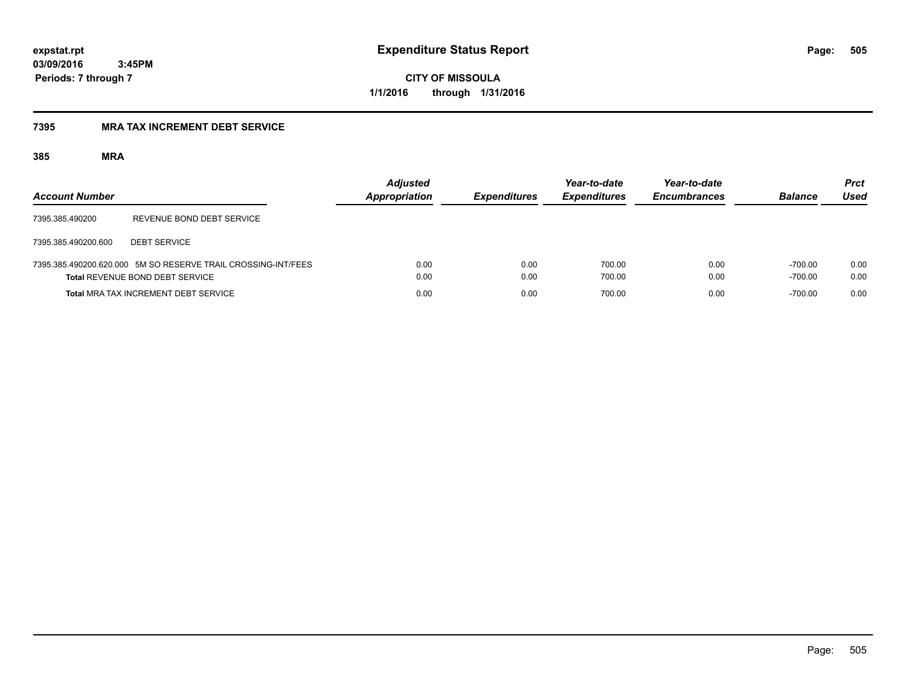**CITY OF MISSOULA 1/1/2016 through 1/31/2016**

### **7395 MRA TAX INCREMENT DEBT SERVICE**

| <b>Account Number</b> |                                                                                                         | <b>Adjusted</b><br><b>Appropriation</b> | <b>Expenditures</b> | Year-to-date<br><b>Expenditures</b> | Year-to-date<br><b>Encumbrances</b> | <b>Balance</b>         | <b>Prct</b><br>Used |
|-----------------------|---------------------------------------------------------------------------------------------------------|-----------------------------------------|---------------------|-------------------------------------|-------------------------------------|------------------------|---------------------|
| 7395.385.490200       | REVENUE BOND DEBT SERVICE                                                                               |                                         |                     |                                     |                                     |                        |                     |
| 7395.385.490200.600   | <b>DEBT SERVICE</b>                                                                                     |                                         |                     |                                     |                                     |                        |                     |
|                       | 7395.385.490200.620.000 5M SO RESERVE TRAIL CROSSING-INT/FEES<br><b>Total REVENUE BOND DEBT SERVICE</b> | 0.00<br>0.00                            | 0.00<br>0.00        | 700.00<br>700.00                    | 0.00<br>0.00                        | $-700.00$<br>$-700.00$ | 0.00<br>0.00        |
|                       | <b>Total MRA TAX INCREMENT DEBT SERVICE</b>                                                             | 0.00                                    | 0.00                | 700.00                              | 0.00                                | $-700.00$              | 0.00                |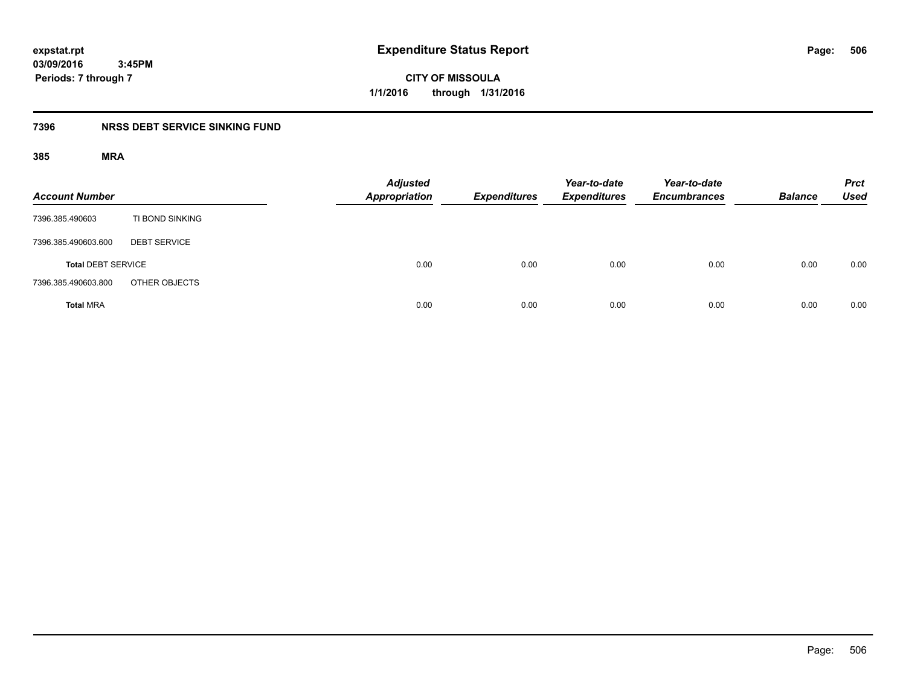**CITY OF MISSOULA 1/1/2016 through 1/31/2016**

### **7396 NRSS DEBT SERVICE SINKING FUND**

| <b>Account Number</b>     |                     | <b>Adjusted</b><br><b>Appropriation</b> | <b>Expenditures</b> | Year-to-date<br><b>Expenditures</b> | Year-to-date<br><b>Encumbrances</b> | <b>Balance</b> | <b>Prct</b><br><b>Used</b> |
|---------------------------|---------------------|-----------------------------------------|---------------------|-------------------------------------|-------------------------------------|----------------|----------------------------|
| 7396.385.490603           | TI BOND SINKING     |                                         |                     |                                     |                                     |                |                            |
| 7396.385.490603.600       | <b>DEBT SERVICE</b> |                                         |                     |                                     |                                     |                |                            |
| <b>Total DEBT SERVICE</b> |                     | 0.00                                    | 0.00                | 0.00                                | 0.00                                | 0.00           | 0.00                       |
| 7396.385.490603.800       | OTHER OBJECTS       |                                         |                     |                                     |                                     |                |                            |
| <b>Total MRA</b>          |                     | 0.00                                    | 0.00                | 0.00                                | 0.00                                | 0.00           | 0.00                       |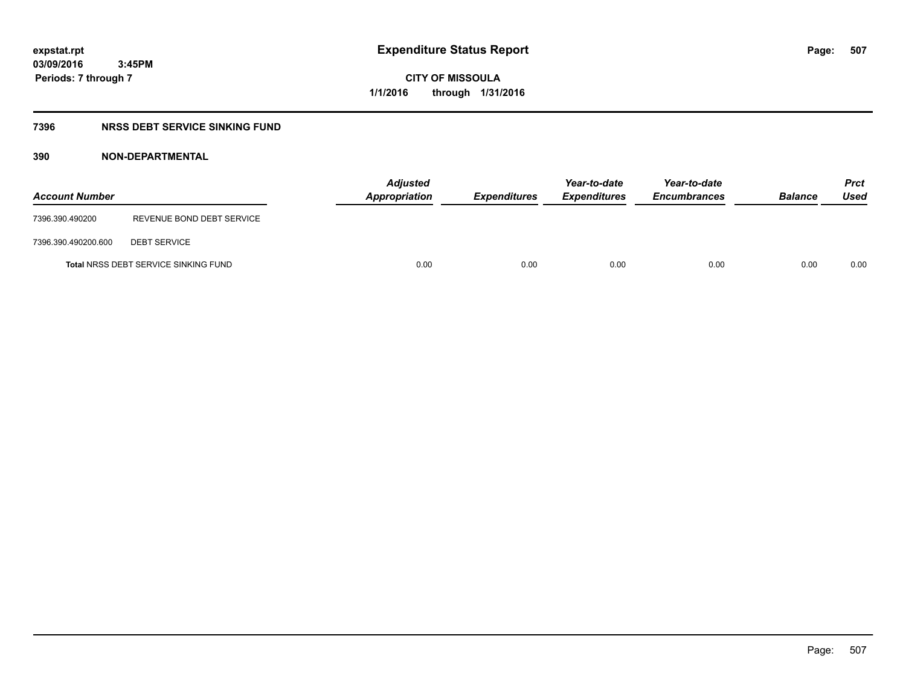**CITY OF MISSOULA 1/1/2016 through 1/31/2016**

#### **7396 NRSS DEBT SERVICE SINKING FUND**

### **390 NON-DEPARTMENTAL**

| <b>Account Number</b> |                                             | <b>Adjusted</b><br>Appropriation | <b>Expenditures</b> | Year-to-date<br><b>Expenditures</b> | Year-to-date<br><b>Encumbrances</b> | <b>Balance</b> | <b>Prct</b><br>Used |
|-----------------------|---------------------------------------------|----------------------------------|---------------------|-------------------------------------|-------------------------------------|----------------|---------------------|
| 7396.390.490200       | REVENUE BOND DEBT SERVICE                   |                                  |                     |                                     |                                     |                |                     |
| 7396.390.490200.600   | <b>DEBT SERVICE</b>                         |                                  |                     |                                     |                                     |                |                     |
|                       | <b>Total NRSS DEBT SERVICE SINKING FUND</b> | 0.00                             | 0.00                | 0.00                                | 0.00                                | 0.00           | 0.00                |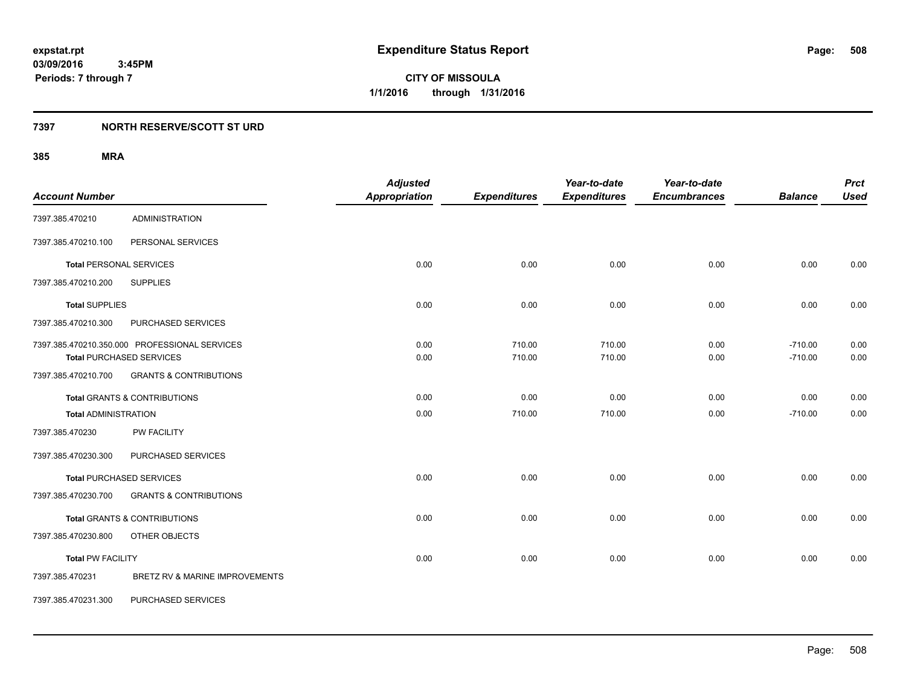### **7397 NORTH RESERVE/SCOTT ST URD**

| <b>Account Number</b>       |                                                                                  | <b>Adjusted</b><br><b>Appropriation</b> | <b>Expenditures</b> | Year-to-date<br><b>Expenditures</b> | Year-to-date<br><b>Encumbrances</b> | <b>Balance</b>         | <b>Prct</b><br><b>Used</b> |
|-----------------------------|----------------------------------------------------------------------------------|-----------------------------------------|---------------------|-------------------------------------|-------------------------------------|------------------------|----------------------------|
| 7397.385.470210             | <b>ADMINISTRATION</b>                                                            |                                         |                     |                                     |                                     |                        |                            |
| 7397.385.470210.100         | PERSONAL SERVICES                                                                |                                         |                     |                                     |                                     |                        |                            |
|                             | <b>Total PERSONAL SERVICES</b>                                                   | 0.00                                    | 0.00                | 0.00                                | 0.00                                | 0.00                   | 0.00                       |
| 7397.385.470210.200         | <b>SUPPLIES</b>                                                                  |                                         |                     |                                     |                                     |                        |                            |
| <b>Total SUPPLIES</b>       |                                                                                  | 0.00                                    | 0.00                | 0.00                                | 0.00                                | 0.00                   | 0.00                       |
| 7397.385.470210.300         | PURCHASED SERVICES                                                               |                                         |                     |                                     |                                     |                        |                            |
|                             | 7397.385.470210.350.000 PROFESSIONAL SERVICES<br><b>Total PURCHASED SERVICES</b> | 0.00<br>0.00                            | 710.00<br>710.00    | 710.00<br>710.00                    | 0.00<br>0.00                        | $-710.00$<br>$-710.00$ | 0.00<br>0.00               |
| 7397.385.470210.700         | <b>GRANTS &amp; CONTRIBUTIONS</b>                                                |                                         |                     |                                     |                                     |                        |                            |
|                             | <b>Total GRANTS &amp; CONTRIBUTIONS</b>                                          | 0.00                                    | 0.00                | 0.00                                | 0.00                                | 0.00                   | 0.00                       |
| <b>Total ADMINISTRATION</b> |                                                                                  | 0.00                                    | 710.00              | 710.00                              | 0.00                                | $-710.00$              | 0.00                       |
| 7397.385.470230             | PW FACILITY                                                                      |                                         |                     |                                     |                                     |                        |                            |
| 7397.385.470230.300         | PURCHASED SERVICES                                                               |                                         |                     |                                     |                                     |                        |                            |
|                             | <b>Total PURCHASED SERVICES</b>                                                  | 0.00                                    | 0.00                | 0.00                                | 0.00                                | 0.00                   | 0.00                       |
| 7397.385.470230.700         | <b>GRANTS &amp; CONTRIBUTIONS</b>                                                |                                         |                     |                                     |                                     |                        |                            |
|                             | <b>Total GRANTS &amp; CONTRIBUTIONS</b>                                          | 0.00                                    | 0.00                | 0.00                                | 0.00                                | 0.00                   | 0.00                       |
| 7397.385.470230.800         | OTHER OBJECTS                                                                    |                                         |                     |                                     |                                     |                        |                            |
| <b>Total PW FACILITY</b>    |                                                                                  | 0.00                                    | 0.00                | 0.00                                | 0.00                                | 0.00                   | 0.00                       |
| 7397.385.470231             | BRETZ RV & MARINE IMPROVEMENTS                                                   |                                         |                     |                                     |                                     |                        |                            |
| 7397.385.470231.300         | PURCHASED SERVICES                                                               |                                         |                     |                                     |                                     |                        |                            |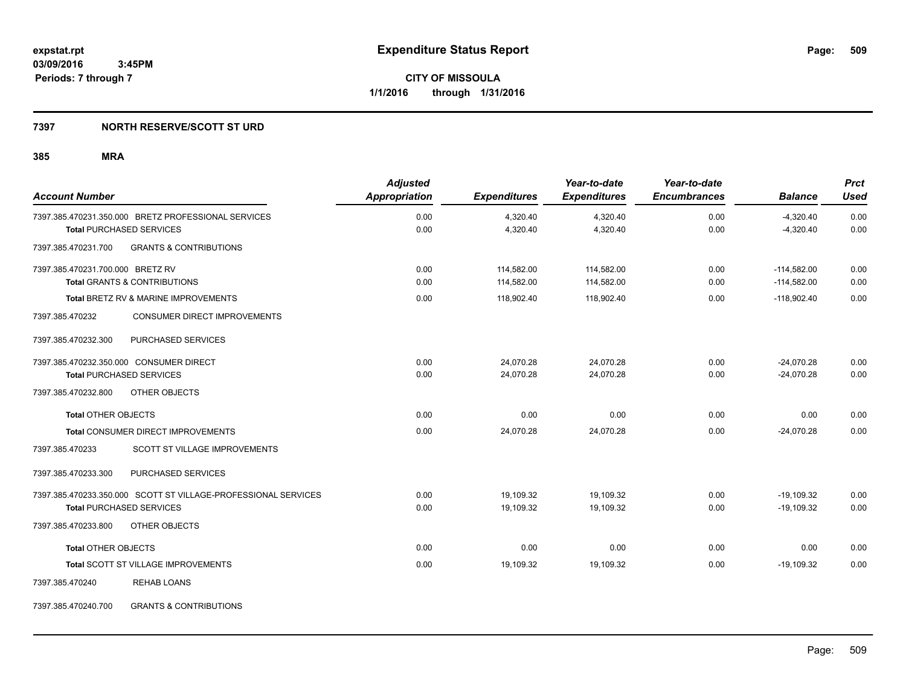### **7397 NORTH RESERVE/SCOTT ST URD**

| <b>Account Number</b>                                          | <b>Adjusted</b><br><b>Appropriation</b> | <b>Expenditures</b> | Year-to-date<br><b>Expenditures</b> | Year-to-date<br><b>Encumbrances</b> | <b>Balance</b> | <b>Prct</b><br><b>Used</b> |
|----------------------------------------------------------------|-----------------------------------------|---------------------|-------------------------------------|-------------------------------------|----------------|----------------------------|
| 7397.385.470231.350.000 BRETZ PROFESSIONAL SERVICES            | 0.00                                    | 4,320.40            | 4,320.40                            | 0.00                                | $-4,320.40$    | 0.00                       |
| <b>Total PURCHASED SERVICES</b>                                | 0.00                                    | 4,320.40            | 4,320.40                            | 0.00                                | $-4,320.40$    | 0.00                       |
| <b>GRANTS &amp; CONTRIBUTIONS</b><br>7397.385.470231.700       |                                         |                     |                                     |                                     |                |                            |
| 7397.385.470231.700.000 BRETZ RV                               | 0.00                                    | 114,582.00          | 114,582.00                          | 0.00                                | $-114,582.00$  | 0.00                       |
| Total GRANTS & CONTRIBUTIONS                                   | 0.00                                    | 114,582.00          | 114,582.00                          | 0.00                                | $-114,582.00$  | 0.00                       |
| Total BRETZ RV & MARINE IMPROVEMENTS                           | 0.00                                    | 118,902.40          | 118,902.40                          | 0.00                                | $-118,902.40$  | 0.00                       |
| CONSUMER DIRECT IMPROVEMENTS<br>7397.385.470232                |                                         |                     |                                     |                                     |                |                            |
| PURCHASED SERVICES<br>7397.385.470232.300                      |                                         |                     |                                     |                                     |                |                            |
| 7397.385.470232.350.000 CONSUMER DIRECT                        | 0.00                                    | 24,070.28           | 24,070.28                           | 0.00                                | $-24,070.28$   | 0.00                       |
| <b>Total PURCHASED SERVICES</b>                                | 0.00                                    | 24,070.28           | 24,070.28                           | 0.00                                | $-24,070.28$   | 0.00                       |
| 7397.385.470232.800<br>OTHER OBJECTS                           |                                         |                     |                                     |                                     |                |                            |
| <b>Total OTHER OBJECTS</b>                                     | 0.00                                    | 0.00                | 0.00                                | 0.00                                | 0.00           | 0.00                       |
| <b>Total CONSUMER DIRECT IMPROVEMENTS</b>                      | 0.00                                    | 24,070.28           | 24,070.28                           | 0.00                                | $-24,070.28$   | 0.00                       |
| 7397.385.470233<br>SCOTT ST VILLAGE IMPROVEMENTS               |                                         |                     |                                     |                                     |                |                            |
| PURCHASED SERVICES<br>7397.385.470233.300                      |                                         |                     |                                     |                                     |                |                            |
| 7397.385.470233.350.000 SCOTT ST VILLAGE-PROFESSIONAL SERVICES | 0.00                                    | 19,109.32           | 19,109.32                           | 0.00                                | $-19,109.32$   | 0.00                       |
| <b>Total PURCHASED SERVICES</b>                                | 0.00                                    | 19,109.32           | 19,109.32                           | 0.00                                | $-19,109.32$   | 0.00                       |
| 7397.385.470233.800<br>OTHER OBJECTS                           |                                         |                     |                                     |                                     |                |                            |
| <b>Total OTHER OBJECTS</b>                                     | 0.00                                    | 0.00                | 0.00                                | 0.00                                | 0.00           | 0.00                       |
| <b>Total SCOTT ST VILLAGE IMPROVEMENTS</b>                     | 0.00                                    | 19,109.32           | 19,109.32                           | 0.00                                | $-19,109.32$   | 0.00                       |
| 7397.385.470240<br><b>REHAB LOANS</b>                          |                                         |                     |                                     |                                     |                |                            |
| 7397.385.470240.700<br><b>GRANTS &amp; CONTRIBUTIONS</b>       |                                         |                     |                                     |                                     |                |                            |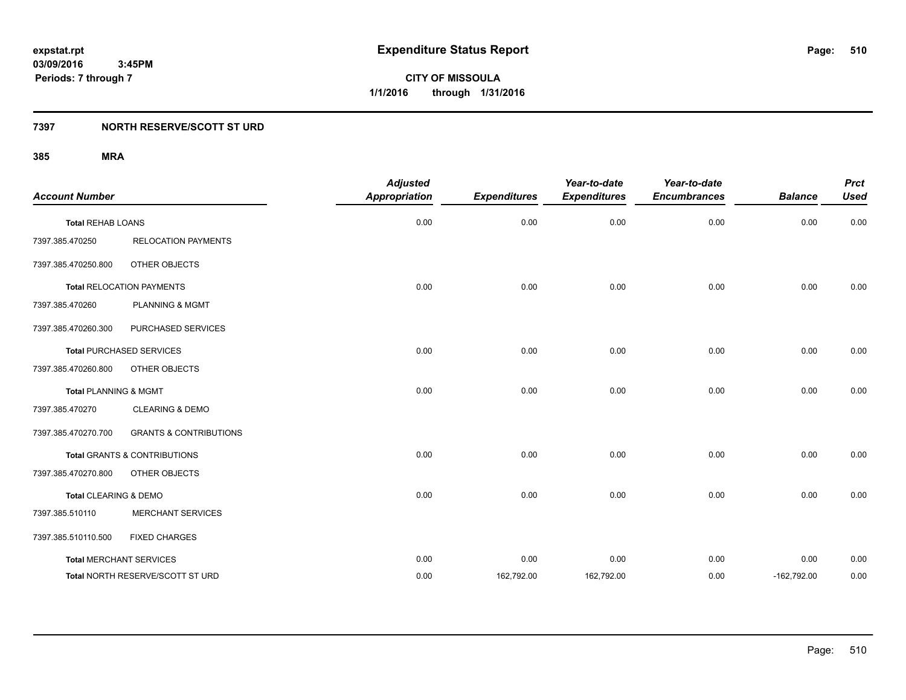**CITY OF MISSOULA 1/1/2016 through 1/31/2016**

### **7397 NORTH RESERVE/SCOTT ST URD**

| <b>Account Number</b>            |                                         | <b>Adjusted</b><br><b>Appropriation</b> | <b>Expenditures</b> | Year-to-date<br><b>Expenditures</b> | Year-to-date<br><b>Encumbrances</b> | <b>Balance</b> | <b>Prct</b><br><b>Used</b> |
|----------------------------------|-----------------------------------------|-----------------------------------------|---------------------|-------------------------------------|-------------------------------------|----------------|----------------------------|
| <b>Total REHAB LOANS</b>         |                                         | 0.00                                    | 0.00                | 0.00                                | 0.00                                | 0.00           | 0.00                       |
| 7397.385.470250                  | <b>RELOCATION PAYMENTS</b>              |                                         |                     |                                     |                                     |                |                            |
| 7397.385.470250.800              | OTHER OBJECTS                           |                                         |                     |                                     |                                     |                |                            |
|                                  | <b>Total RELOCATION PAYMENTS</b>        | 0.00                                    | 0.00                | 0.00                                | 0.00                                | 0.00           | 0.00                       |
| 7397.385.470260                  | <b>PLANNING &amp; MGMT</b>              |                                         |                     |                                     |                                     |                |                            |
| 7397.385.470260.300              | PURCHASED SERVICES                      |                                         |                     |                                     |                                     |                |                            |
|                                  | <b>Total PURCHASED SERVICES</b>         | 0.00                                    | 0.00                | 0.00                                | 0.00                                | 0.00           | 0.00                       |
| 7397.385.470260.800              | OTHER OBJECTS                           |                                         |                     |                                     |                                     |                |                            |
| <b>Total PLANNING &amp; MGMT</b> |                                         | 0.00                                    | 0.00                | 0.00                                | 0.00                                | 0.00           | 0.00                       |
| 7397.385.470270                  | <b>CLEARING &amp; DEMO</b>              |                                         |                     |                                     |                                     |                |                            |
| 7397.385.470270.700              | <b>GRANTS &amp; CONTRIBUTIONS</b>       |                                         |                     |                                     |                                     |                |                            |
|                                  | <b>Total GRANTS &amp; CONTRIBUTIONS</b> | 0.00                                    | 0.00                | 0.00                                | 0.00                                | 0.00           | 0.00                       |
| 7397.385.470270.800              | OTHER OBJECTS                           |                                         |                     |                                     |                                     |                |                            |
| Total CLEARING & DEMO            |                                         | 0.00                                    | 0.00                | 0.00                                | 0.00                                | 0.00           | 0.00                       |
| 7397.385.510110                  | <b>MERCHANT SERVICES</b>                |                                         |                     |                                     |                                     |                |                            |
| 7397.385.510110.500              | <b>FIXED CHARGES</b>                    |                                         |                     |                                     |                                     |                |                            |
|                                  | <b>Total MERCHANT SERVICES</b>          | 0.00                                    | 0.00                | 0.00                                | 0.00                                | 0.00           | 0.00                       |
|                                  | Total NORTH RESERVE/SCOTT ST URD        | 0.00                                    | 162,792.00          | 162,792.00                          | 0.00                                | $-162,792.00$  | 0.00                       |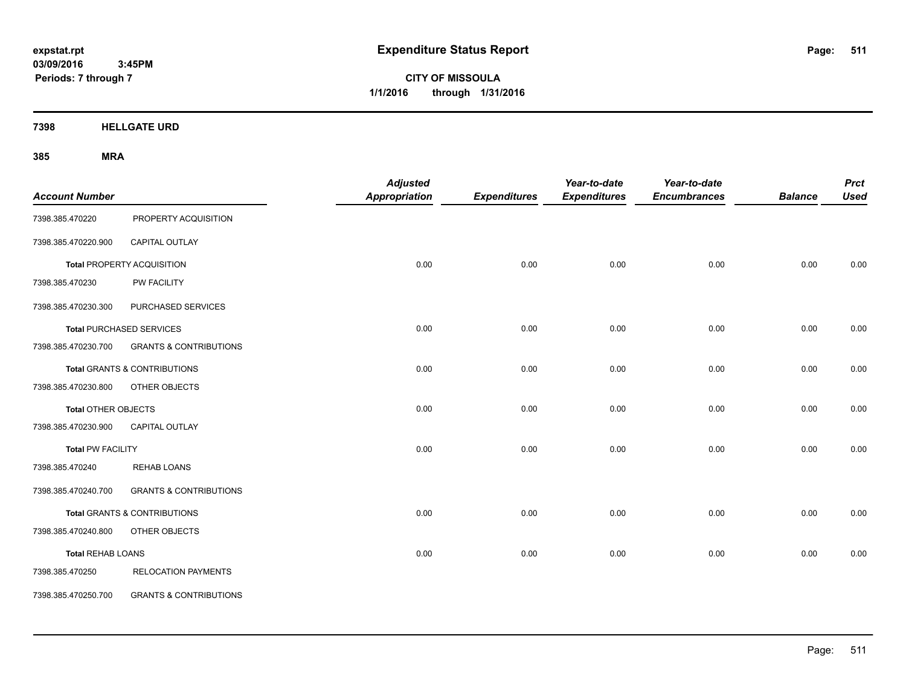**CITY OF MISSOULA 1/1/2016 through 1/31/2016**

**7398 HELLGATE URD**

| <b>Account Number</b>      |                                         | <b>Adjusted</b><br>Appropriation | <b>Expenditures</b> | Year-to-date<br><b>Expenditures</b> | Year-to-date<br><b>Encumbrances</b> | <b>Balance</b> | <b>Prct</b><br><b>Used</b> |
|----------------------------|-----------------------------------------|----------------------------------|---------------------|-------------------------------------|-------------------------------------|----------------|----------------------------|
| 7398.385.470220            | PROPERTY ACQUISITION                    |                                  |                     |                                     |                                     |                |                            |
| 7398.385.470220.900        | CAPITAL OUTLAY                          |                                  |                     |                                     |                                     |                |                            |
|                            | Total PROPERTY ACQUISITION              | 0.00                             | 0.00                | 0.00                                | 0.00                                | 0.00           | 0.00                       |
| 7398.385.470230            | PW FACILITY                             |                                  |                     |                                     |                                     |                |                            |
| 7398.385.470230.300        | PURCHASED SERVICES                      |                                  |                     |                                     |                                     |                |                            |
|                            | <b>Total PURCHASED SERVICES</b>         | 0.00                             | 0.00                | 0.00                                | 0.00                                | 0.00           | 0.00                       |
| 7398.385.470230.700        | <b>GRANTS &amp; CONTRIBUTIONS</b>       |                                  |                     |                                     |                                     |                |                            |
|                            | Total GRANTS & CONTRIBUTIONS            | 0.00                             | 0.00                | 0.00                                | 0.00                                | 0.00           | 0.00                       |
| 7398.385.470230.800        | OTHER OBJECTS                           |                                  |                     |                                     |                                     |                |                            |
| <b>Total OTHER OBJECTS</b> |                                         | 0.00                             | 0.00                | 0.00                                | 0.00                                | 0.00           | 0.00                       |
| 7398.385.470230.900        | <b>CAPITAL OUTLAY</b>                   |                                  |                     |                                     |                                     |                |                            |
| <b>Total PW FACILITY</b>   |                                         | 0.00                             | 0.00                | 0.00                                | 0.00                                | 0.00           | 0.00                       |
| 7398.385.470240            | <b>REHAB LOANS</b>                      |                                  |                     |                                     |                                     |                |                            |
| 7398.385.470240.700        | <b>GRANTS &amp; CONTRIBUTIONS</b>       |                                  |                     |                                     |                                     |                |                            |
|                            | <b>Total GRANTS &amp; CONTRIBUTIONS</b> | 0.00                             | 0.00                | 0.00                                | 0.00                                | 0.00           | 0.00                       |
| 7398.385.470240.800        | OTHER OBJECTS                           |                                  |                     |                                     |                                     |                |                            |
| <b>Total REHAB LOANS</b>   |                                         | 0.00                             | 0.00                | 0.00                                | 0.00                                | 0.00           | 0.00                       |
| 7398.385.470250            | <b>RELOCATION PAYMENTS</b>              |                                  |                     |                                     |                                     |                |                            |
| 7398.385.470250.700        | <b>GRANTS &amp; CONTRIBUTIONS</b>       |                                  |                     |                                     |                                     |                |                            |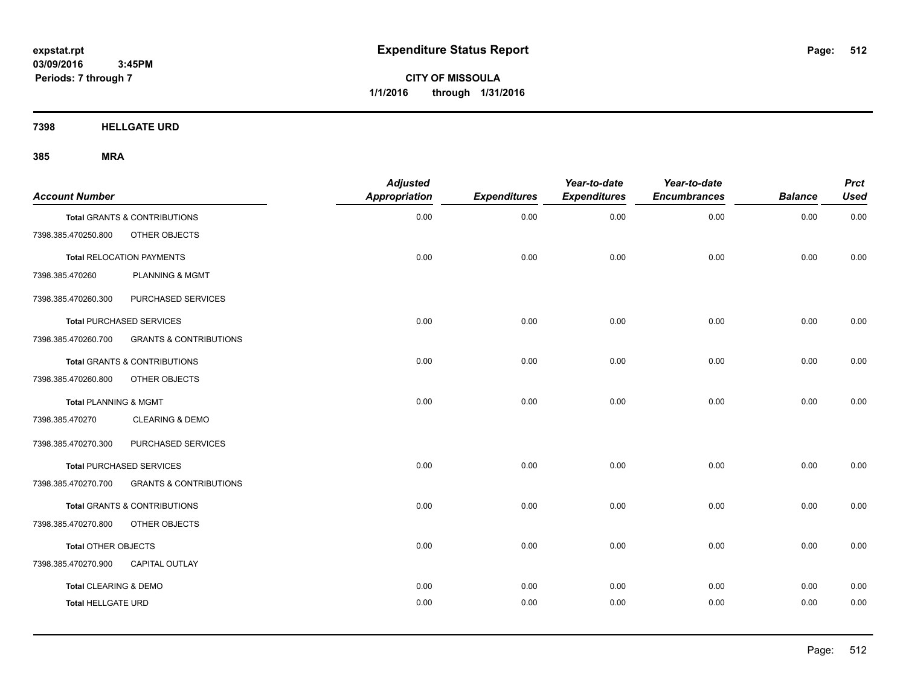**CITY OF MISSOULA 1/1/2016 through 1/31/2016**

**7398 HELLGATE URD**

| <b>Account Number</b>     |                                   | <b>Adjusted</b><br>Appropriation | <b>Expenditures</b> | Year-to-date<br><b>Expenditures</b> | Year-to-date<br><b>Encumbrances</b> | <b>Balance</b> | <b>Prct</b><br><b>Used</b> |
|---------------------------|-----------------------------------|----------------------------------|---------------------|-------------------------------------|-------------------------------------|----------------|----------------------------|
|                           | Total GRANTS & CONTRIBUTIONS      | 0.00                             | 0.00                | 0.00                                | 0.00                                | 0.00           | 0.00                       |
| 7398.385.470250.800       | OTHER OBJECTS                     |                                  |                     |                                     |                                     |                |                            |
|                           | <b>Total RELOCATION PAYMENTS</b>  | 0.00                             | 0.00                | 0.00                                | 0.00                                | 0.00           | 0.00                       |
| 7398.385.470260           | <b>PLANNING &amp; MGMT</b>        |                                  |                     |                                     |                                     |                |                            |
| 7398.385.470260.300       | PURCHASED SERVICES                |                                  |                     |                                     |                                     |                |                            |
|                           | <b>Total PURCHASED SERVICES</b>   | 0.00                             | 0.00                | 0.00                                | 0.00                                | 0.00           | 0.00                       |
| 7398.385.470260.700       | <b>GRANTS &amp; CONTRIBUTIONS</b> |                                  |                     |                                     |                                     |                |                            |
|                           | Total GRANTS & CONTRIBUTIONS      | 0.00                             | 0.00                | 0.00                                | 0.00                                | 0.00           | 0.00                       |
| 7398.385.470260.800       | OTHER OBJECTS                     |                                  |                     |                                     |                                     |                |                            |
| Total PLANNING & MGMT     |                                   | 0.00                             | 0.00                | 0.00                                | 0.00                                | 0.00           | 0.00                       |
| 7398.385.470270           | <b>CLEARING &amp; DEMO</b>        |                                  |                     |                                     |                                     |                |                            |
| 7398.385.470270.300       | PURCHASED SERVICES                |                                  |                     |                                     |                                     |                |                            |
|                           | <b>Total PURCHASED SERVICES</b>   | 0.00                             | 0.00                | 0.00                                | 0.00                                | 0.00           | 0.00                       |
| 7398.385.470270.700       | <b>GRANTS &amp; CONTRIBUTIONS</b> |                                  |                     |                                     |                                     |                |                            |
|                           | Total GRANTS & CONTRIBUTIONS      | 0.00                             | 0.00                | 0.00                                | 0.00                                | 0.00           | 0.00                       |
| 7398.385.470270.800       | OTHER OBJECTS                     |                                  |                     |                                     |                                     |                |                            |
| Total OTHER OBJECTS       |                                   | 0.00                             | 0.00                | 0.00                                | 0.00                                | 0.00           | 0.00                       |
| 7398.385.470270.900       | <b>CAPITAL OUTLAY</b>             |                                  |                     |                                     |                                     |                |                            |
| Total CLEARING & DEMO     |                                   | 0.00                             | 0.00                | 0.00                                | 0.00                                | 0.00           | 0.00                       |
| <b>Total HELLGATE URD</b> |                                   | 0.00                             | 0.00                | 0.00                                | 0.00                                | 0.00           | 0.00                       |
|                           |                                   |                                  |                     |                                     |                                     |                |                            |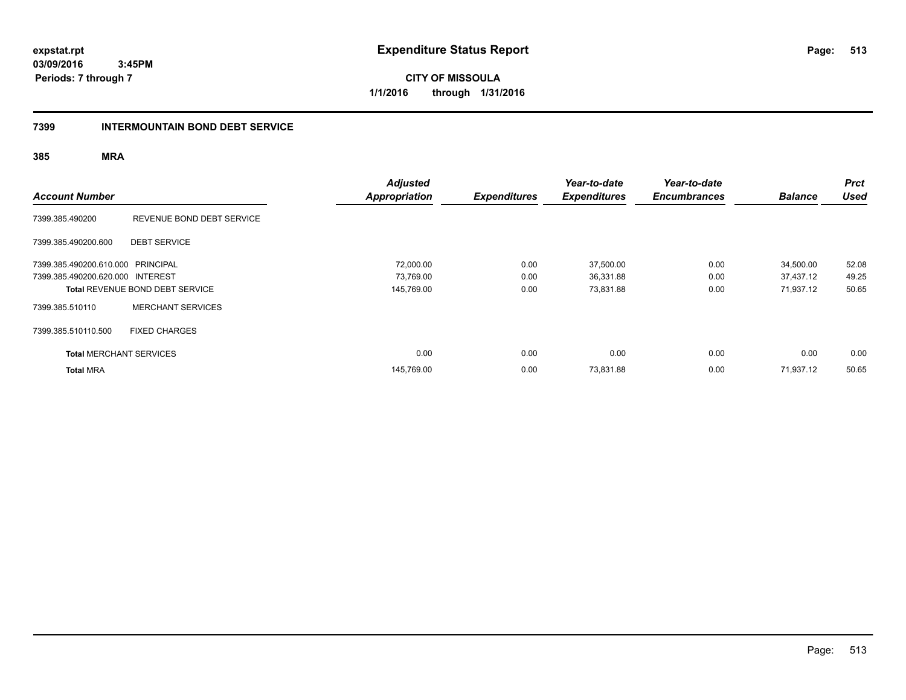**CITY OF MISSOULA 1/1/2016 through 1/31/2016**

### **7399 INTERMOUNTAIN BOND DEBT SERVICE**

| <b>Account Number</b>             |                                        | <b>Adjusted</b><br><b>Appropriation</b> | <b>Expenditures</b> | Year-to-date<br><b>Expenditures</b> | Year-to-date<br><b>Encumbrances</b> | <b>Balance</b> | <b>Prct</b><br><b>Used</b> |
|-----------------------------------|----------------------------------------|-----------------------------------------|---------------------|-------------------------------------|-------------------------------------|----------------|----------------------------|
| 7399.385.490200                   | REVENUE BOND DEBT SERVICE              |                                         |                     |                                     |                                     |                |                            |
| 7399.385.490200.600               | <b>DEBT SERVICE</b>                    |                                         |                     |                                     |                                     |                |                            |
| 7399.385.490200.610.000 PRINCIPAL |                                        | 72,000.00                               | 0.00                | 37,500.00                           | 0.00                                | 34,500.00      | 52.08                      |
| 7399.385.490200.620.000 INTEREST  |                                        | 73,769.00                               | 0.00                | 36,331.88                           | 0.00                                | 37,437.12      | 49.25                      |
|                                   | <b>Total REVENUE BOND DEBT SERVICE</b> | 145,769.00                              | 0.00                | 73,831.88                           | 0.00                                | 71,937.12      | 50.65                      |
| 7399.385.510110                   | <b>MERCHANT SERVICES</b>               |                                         |                     |                                     |                                     |                |                            |
| 7399.385.510110.500               | <b>FIXED CHARGES</b>                   |                                         |                     |                                     |                                     |                |                            |
| <b>Total MERCHANT SERVICES</b>    |                                        | 0.00                                    | 0.00                | 0.00                                | 0.00                                | 0.00           | 0.00                       |
| <b>Total MRA</b>                  |                                        | 145.769.00                              | 0.00                | 73,831.88                           | 0.00                                | 71,937.12      | 50.65                      |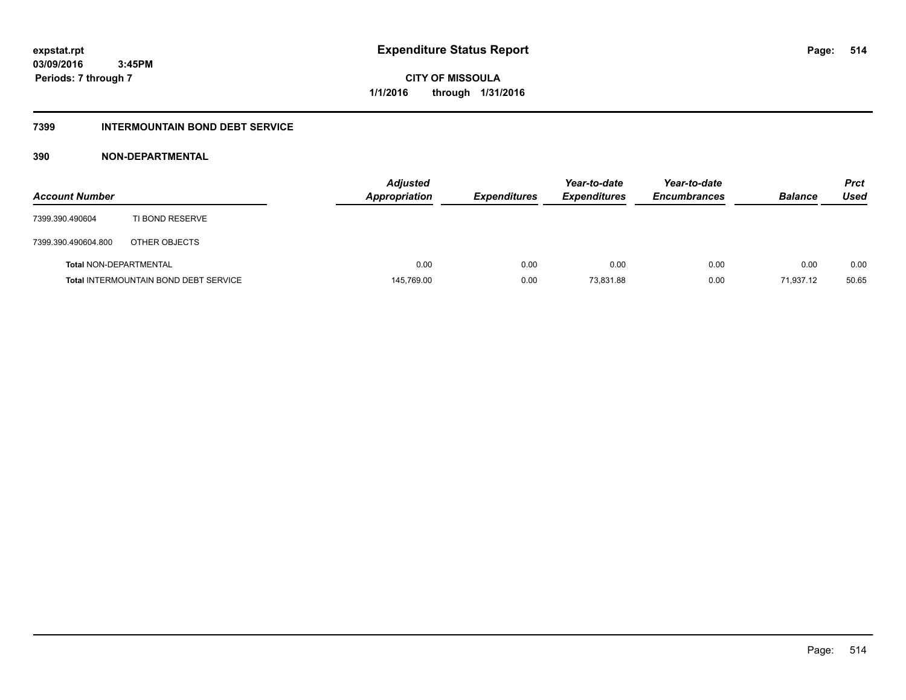**Periods: 7 through 7**

**CITY OF MISSOULA 1/1/2016 through 1/31/2016**

### **7399 INTERMOUNTAIN BOND DEBT SERVICE**

### **390 NON-DEPARTMENTAL**

 **3:45PM**

| <b>Account Number</b>         |                                              | <b>Adjusted</b><br><b>Appropriation</b> | <b>Expenditures</b> | Year-to-date<br><b>Expenditures</b> | Year-to-date<br><b>Encumbrances</b> | <b>Balance</b> | <b>Prct</b><br>Used |
|-------------------------------|----------------------------------------------|-----------------------------------------|---------------------|-------------------------------------|-------------------------------------|----------------|---------------------|
| 7399.390.490604               | TI BOND RESERVE                              |                                         |                     |                                     |                                     |                |                     |
| 7399.390.490604.800           | OTHER OBJECTS                                |                                         |                     |                                     |                                     |                |                     |
| <b>Total NON-DEPARTMENTAL</b> |                                              | 0.00                                    | 0.00                | 0.00                                | 0.00                                | 0.00           | 0.00                |
|                               | <b>Total INTERMOUNTAIN BOND DEBT SERVICE</b> | 145,769.00                              | 0.00                | 73.831.88                           | 0.00                                | 71.937.12      | 50.65               |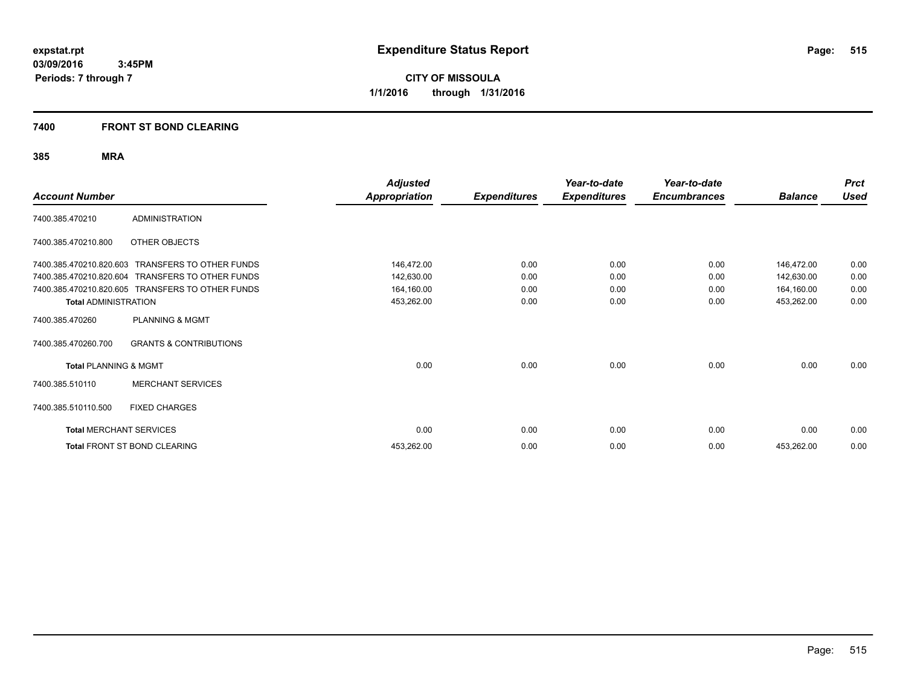**CITY OF MISSOULA 1/1/2016 through 1/31/2016**

### **7400 FRONT ST BOND CLEARING**

| <b>Account Number</b>            |                                                  | <b>Adjusted</b><br><b>Appropriation</b> | <b>Expenditures</b> | Year-to-date<br><b>Expenditures</b> | Year-to-date<br><b>Encumbrances</b> | <b>Balance</b> | <b>Prct</b><br><b>Used</b> |
|----------------------------------|--------------------------------------------------|-----------------------------------------|---------------------|-------------------------------------|-------------------------------------|----------------|----------------------------|
| 7400.385.470210                  | <b>ADMINISTRATION</b>                            |                                         |                     |                                     |                                     |                |                            |
| 7400.385.470210.800              | OTHER OBJECTS                                    |                                         |                     |                                     |                                     |                |                            |
| 7400.385.470210.820.603          | <b>TRANSFERS TO OTHER FUNDS</b>                  | 146,472.00                              | 0.00                | 0.00                                | 0.00                                | 146,472.00     | 0.00                       |
| 7400.385.470210.820.604          | TRANSFERS TO OTHER FUNDS                         | 142,630.00                              | 0.00                | 0.00                                | 0.00                                | 142,630.00     | 0.00                       |
|                                  | 7400.385.470210.820.605 TRANSFERS TO OTHER FUNDS | 164,160.00                              | 0.00                | 0.00                                | 0.00                                | 164,160.00     | 0.00                       |
| <b>Total ADMINISTRATION</b>      |                                                  | 453,262.00                              | 0.00                | 0.00                                | 0.00                                | 453,262.00     | 0.00                       |
| 7400.385.470260                  | <b>PLANNING &amp; MGMT</b>                       |                                         |                     |                                     |                                     |                |                            |
| 7400.385.470260.700              | <b>GRANTS &amp; CONTRIBUTIONS</b>                |                                         |                     |                                     |                                     |                |                            |
| <b>Total PLANNING &amp; MGMT</b> |                                                  | 0.00                                    | 0.00                | 0.00                                | 0.00                                | 0.00           | 0.00                       |
| 7400.385.510110                  | <b>MERCHANT SERVICES</b>                         |                                         |                     |                                     |                                     |                |                            |
| 7400.385.510110.500              | <b>FIXED CHARGES</b>                             |                                         |                     |                                     |                                     |                |                            |
| <b>Total MERCHANT SERVICES</b>   |                                                  | 0.00                                    | 0.00                | 0.00                                | 0.00                                | 0.00           | 0.00                       |
|                                  | Total FRONT ST BOND CLEARING                     | 453,262.00                              | 0.00                | 0.00                                | 0.00                                | 453,262.00     | 0.00                       |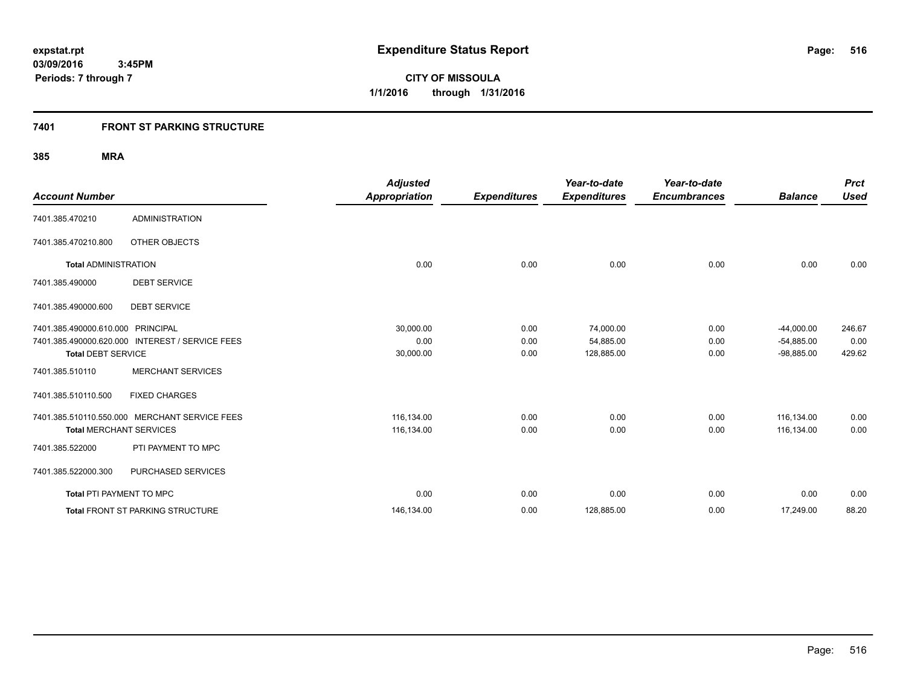**516**

**03/09/2016 3:45PM Periods: 7 through 7**

**CITY OF MISSOULA 1/1/2016 through 1/31/2016**

### **7401 FRONT ST PARKING STRUCTURE**

|                                   |                                                 | <b>Adjusted</b>      |                     | Year-to-date        | Year-to-date        |                | <b>Prct</b> |
|-----------------------------------|-------------------------------------------------|----------------------|---------------------|---------------------|---------------------|----------------|-------------|
| <b>Account Number</b>             |                                                 | <b>Appropriation</b> | <b>Expenditures</b> | <b>Expenditures</b> | <b>Encumbrances</b> | <b>Balance</b> | <b>Used</b> |
| 7401.385.470210                   | <b>ADMINISTRATION</b>                           |                      |                     |                     |                     |                |             |
| 7401.385.470210.800               | OTHER OBJECTS                                   |                      |                     |                     |                     |                |             |
| <b>Total ADMINISTRATION</b>       |                                                 | 0.00                 | 0.00                | 0.00                | 0.00                | 0.00           | 0.00        |
| 7401.385.490000                   | <b>DEBT SERVICE</b>                             |                      |                     |                     |                     |                |             |
| 7401.385.490000.600               | <b>DEBT SERVICE</b>                             |                      |                     |                     |                     |                |             |
| 7401.385.490000.610.000 PRINCIPAL |                                                 | 30,000.00            | 0.00                | 74,000.00           | 0.00                | $-44,000.00$   | 246.67      |
|                                   | 7401.385.490000.620.000 INTEREST / SERVICE FEES | 0.00                 | 0.00                | 54,885.00           | 0.00                | $-54,885.00$   | 0.00        |
| <b>Total DEBT SERVICE</b>         |                                                 | 30,000.00            | 0.00                | 128,885.00          | 0.00                | $-98,885.00$   | 429.62      |
| 7401.385.510110                   | <b>MERCHANT SERVICES</b>                        |                      |                     |                     |                     |                |             |
| 7401.385.510110.500               | <b>FIXED CHARGES</b>                            |                      |                     |                     |                     |                |             |
|                                   | 7401.385.510110.550.000 MERCHANT SERVICE FEES   | 116,134.00           | 0.00                | 0.00                | 0.00                | 116.134.00     | 0.00        |
| <b>Total MERCHANT SERVICES</b>    |                                                 | 116,134.00           | 0.00                | 0.00                | 0.00                | 116,134.00     | 0.00        |
| 7401.385.522000                   | PTI PAYMENT TO MPC                              |                      |                     |                     |                     |                |             |
| 7401.385.522000.300               | PURCHASED SERVICES                              |                      |                     |                     |                     |                |             |
| <b>Total PTI PAYMENT TO MPC</b>   |                                                 | 0.00                 | 0.00                | 0.00                | 0.00                | 0.00           | 0.00        |
|                                   | <b>Total FRONT ST PARKING STRUCTURE</b>         | 146,134.00           | 0.00                | 128,885.00          | 0.00                | 17,249.00      | 88.20       |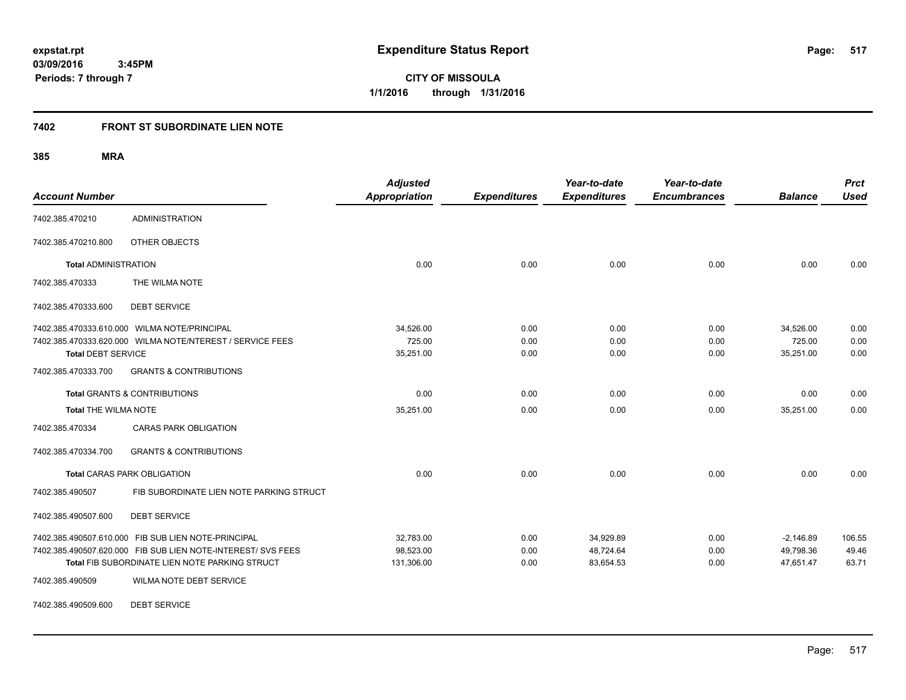**517**

**03/09/2016 3:45PM Periods: 7 through 7**

**CITY OF MISSOULA 1/1/2016 through 1/31/2016**

#### **7402 FRONT ST SUBORDINATE LIEN NOTE**

**385 MRA**

| <b>Account Number</b>       |                                                                                                                | <b>Adjusted</b><br><b>Appropriation</b> | <b>Expenditures</b> | Year-to-date<br><b>Expenditures</b> | Year-to-date<br><b>Encumbrances</b> | <b>Balance</b>         | <b>Prct</b><br><b>Used</b> |
|-----------------------------|----------------------------------------------------------------------------------------------------------------|-----------------------------------------|---------------------|-------------------------------------|-------------------------------------|------------------------|----------------------------|
| 7402.385.470210             | <b>ADMINISTRATION</b>                                                                                          |                                         |                     |                                     |                                     |                        |                            |
| 7402.385.470210.800         | OTHER OBJECTS                                                                                                  |                                         |                     |                                     |                                     |                        |                            |
| <b>Total ADMINISTRATION</b> |                                                                                                                | 0.00                                    | 0.00                | 0.00                                | 0.00                                | 0.00                   | 0.00                       |
| 7402.385.470333             | THE WILMA NOTE                                                                                                 |                                         |                     |                                     |                                     |                        |                            |
| 7402.385.470333.600         | <b>DEBT SERVICE</b>                                                                                            |                                         |                     |                                     |                                     |                        |                            |
|                             | 7402.385.470333.610.000 WILMA NOTE/PRINCIPAL                                                                   | 34,526.00                               | 0.00                | 0.00                                | 0.00                                | 34,526.00              | 0.00                       |
| <b>Total DEBT SERVICE</b>   | 7402.385.470333.620.000 WILMA NOTE/NTEREST / SERVICE FEES                                                      | 725.00<br>35,251.00                     | 0.00<br>0.00        | 0.00<br>0.00                        | 0.00<br>0.00                        | 725.00<br>35,251.00    | 0.00<br>0.00               |
| 7402.385.470333.700         | <b>GRANTS &amp; CONTRIBUTIONS</b>                                                                              |                                         |                     |                                     |                                     |                        |                            |
|                             | <b>Total GRANTS &amp; CONTRIBUTIONS</b>                                                                        | 0.00                                    | 0.00                | 0.00                                | 0.00                                | 0.00                   | 0.00                       |
|                             | 35,251.00<br><b>Total THE WILMA NOTE</b>                                                                       |                                         | 0.00                | 0.00                                | 0.00                                | 35,251.00              | 0.00                       |
| 7402.385.470334             | <b>CARAS PARK OBLIGATION</b>                                                                                   |                                         |                     |                                     |                                     |                        |                            |
| 7402.385.470334.700         | <b>GRANTS &amp; CONTRIBUTIONS</b>                                                                              |                                         |                     |                                     |                                     |                        |                            |
|                             | <b>Total CARAS PARK OBLIGATION</b>                                                                             | 0.00                                    | 0.00                | 0.00                                | 0.00                                | 0.00                   | 0.00                       |
| 7402.385.490507             | FIB SUBORDINATE LIEN NOTE PARKING STRUCT                                                                       |                                         |                     |                                     |                                     |                        |                            |
| 7402.385.490507.600         | <b>DEBT SERVICE</b>                                                                                            |                                         |                     |                                     |                                     |                        |                            |
|                             | 7402.385.490507.610.000 FIB SUB LIEN NOTE-PRINCIPAL                                                            | 32,783.00                               | 0.00                | 34,929.89                           | 0.00                                | $-2,146.89$            | 106.55                     |
|                             | 7402.385.490507.620.000 FIB SUB LIEN NOTE-INTEREST/ SVS FEES<br>Total FIB SUBORDINATE LIEN NOTE PARKING STRUCT | 98,523.00<br>131,306.00                 | 0.00<br>0.00        | 48,724.64<br>83,654.53              | 0.00<br>0.00                        | 49,798.36<br>47,651.47 | 49.46<br>63.71             |
| 7402.385.490509             | WILMA NOTE DEBT SERVICE                                                                                        |                                         |                     |                                     |                                     |                        |                            |

7402.385.490509.600 DEBT SERVICE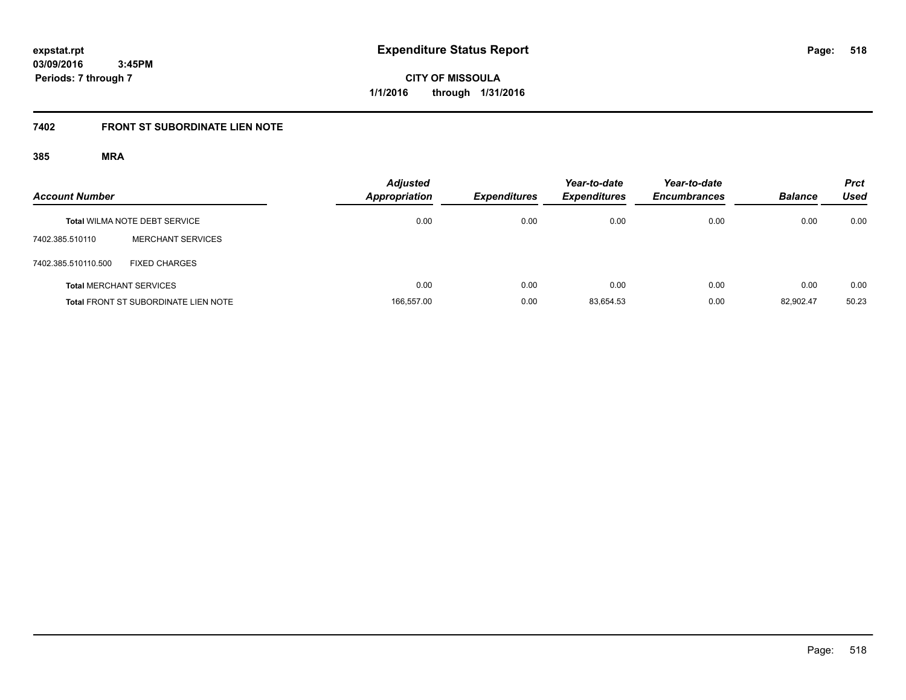**CITY OF MISSOULA 1/1/2016 through 1/31/2016**

### **7402 FRONT ST SUBORDINATE LIEN NOTE**

| <b>Account Number</b> |                                             | <b>Adjusted</b><br><b>Appropriation</b> | <b>Expenditures</b> | Year-to-date<br><b>Expenditures</b> | Year-to-date<br><b>Encumbrances</b> | <b>Balance</b> | <b>Prct</b><br>Used |
|-----------------------|---------------------------------------------|-----------------------------------------|---------------------|-------------------------------------|-------------------------------------|----------------|---------------------|
|                       | <b>Total WILMA NOTE DEBT SERVICE</b>        | 0.00                                    | 0.00                | 0.00                                | 0.00                                | 0.00           | 0.00                |
| 7402.385.510110       | <b>MERCHANT SERVICES</b>                    |                                         |                     |                                     |                                     |                |                     |
| 7402.385.510110.500   | <b>FIXED CHARGES</b>                        |                                         |                     |                                     |                                     |                |                     |
|                       | <b>Total MERCHANT SERVICES</b>              | 0.00                                    | 0.00                | 0.00                                | 0.00                                | 0.00           | 0.00                |
|                       | <b>Total FRONT ST SUBORDINATE LIEN NOTE</b> | 166,557.00                              | 0.00                | 83.654.53                           | 0.00                                | 82.902.47      | 50.23               |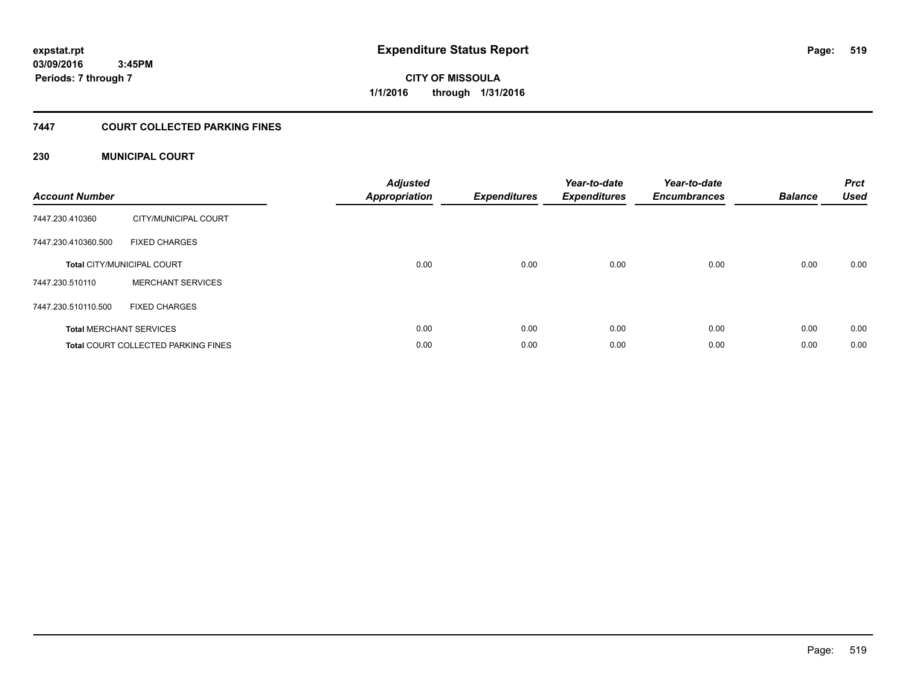# **CITY OF MISSOULA 1/1/2016 through 1/31/2016**

### **7447 COURT COLLECTED PARKING FINES**

### **230 MUNICIPAL COURT**

| <b>Account Number</b> |                                            | <b>Adjusted</b><br><b>Appropriation</b> | <b>Expenditures</b> | Year-to-date<br><b>Expenditures</b> | Year-to-date<br><b>Encumbrances</b> | <b>Balance</b> | <b>Prct</b><br><b>Used</b> |
|-----------------------|--------------------------------------------|-----------------------------------------|---------------------|-------------------------------------|-------------------------------------|----------------|----------------------------|
| 7447.230.410360       | CITY/MUNICIPAL COURT                       |                                         |                     |                                     |                                     |                |                            |
| 7447.230.410360.500   | <b>FIXED CHARGES</b>                       |                                         |                     |                                     |                                     |                |                            |
|                       | <b>Total CITY/MUNICIPAL COURT</b>          | 0.00                                    | 0.00                | 0.00                                | 0.00                                | 0.00           | 0.00                       |
| 7447.230.510110       | <b>MERCHANT SERVICES</b>                   |                                         |                     |                                     |                                     |                |                            |
| 7447.230.510110.500   | <b>FIXED CHARGES</b>                       |                                         |                     |                                     |                                     |                |                            |
|                       | <b>Total MERCHANT SERVICES</b>             | 0.00                                    | 0.00                | 0.00                                | 0.00                                | 0.00           | 0.00                       |
|                       | <b>Total COURT COLLECTED PARKING FINES</b> | 0.00                                    | 0.00                | 0.00                                | 0.00                                | 0.00           | 0.00                       |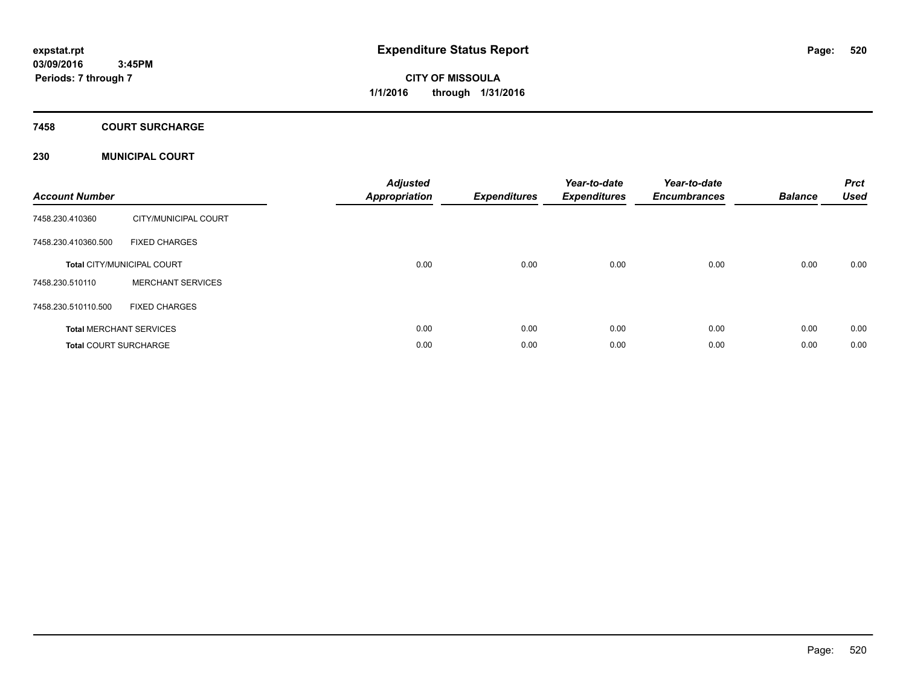# **CITY OF MISSOULA 1/1/2016 through 1/31/2016**

### **7458 COURT SURCHARGE**

### **230 MUNICIPAL COURT**

| <b>Account Number</b>        |                                   | <b>Adjusted</b><br><b>Appropriation</b> | <b>Expenditures</b> | Year-to-date<br><b>Expenditures</b> | Year-to-date<br><b>Encumbrances</b> | <b>Balance</b> | <b>Prct</b><br><b>Used</b> |
|------------------------------|-----------------------------------|-----------------------------------------|---------------------|-------------------------------------|-------------------------------------|----------------|----------------------------|
| 7458.230.410360              | CITY/MUNICIPAL COURT              |                                         |                     |                                     |                                     |                |                            |
| 7458.230.410360.500          | <b>FIXED CHARGES</b>              |                                         |                     |                                     |                                     |                |                            |
|                              | <b>Total CITY/MUNICIPAL COURT</b> | 0.00                                    | 0.00                | 0.00                                | 0.00                                | 0.00           | 0.00                       |
| 7458.230.510110              | <b>MERCHANT SERVICES</b>          |                                         |                     |                                     |                                     |                |                            |
| 7458.230.510110.500          | <b>FIXED CHARGES</b>              |                                         |                     |                                     |                                     |                |                            |
|                              | <b>Total MERCHANT SERVICES</b>    | 0.00                                    | 0.00                | 0.00                                | 0.00                                | 0.00           | 0.00                       |
| <b>Total COURT SURCHARGE</b> |                                   | 0.00                                    | 0.00                | 0.00                                | 0.00                                | 0.00           | 0.00                       |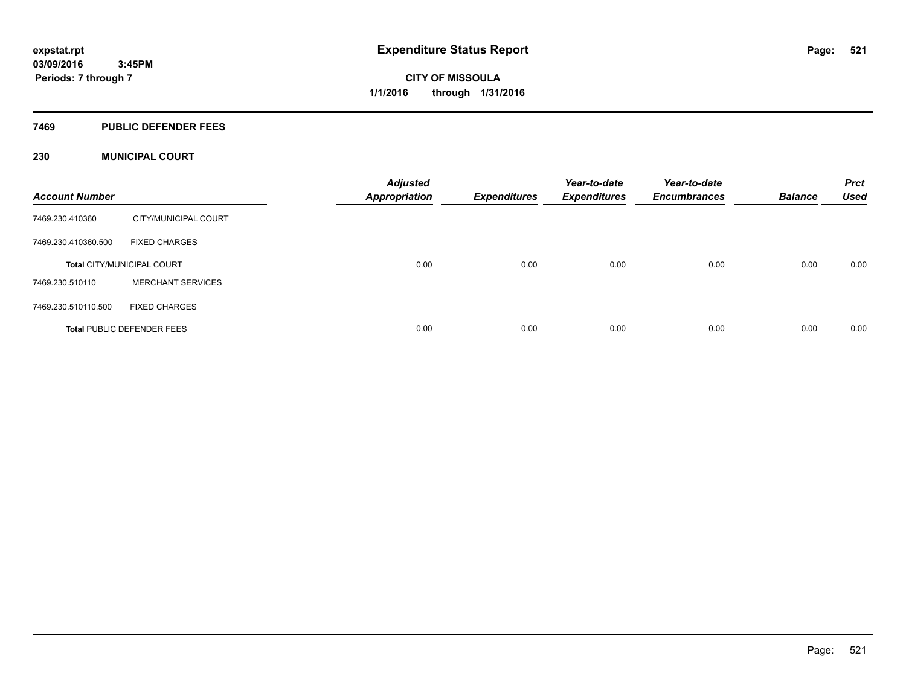#### **7469 PUBLIC DEFENDER FEES**

### **230 MUNICIPAL COURT**

| <b>Account Number</b> |                                   | <b>Adjusted</b><br><b>Appropriation</b> | <b>Expenditures</b> | Year-to-date<br><b>Expenditures</b> | Year-to-date<br><b>Encumbrances</b> | <b>Balance</b> | <b>Prct</b><br><b>Used</b> |
|-----------------------|-----------------------------------|-----------------------------------------|---------------------|-------------------------------------|-------------------------------------|----------------|----------------------------|
| 7469.230.410360       | CITY/MUNICIPAL COURT              |                                         |                     |                                     |                                     |                |                            |
| 7469.230.410360.500   | <b>FIXED CHARGES</b>              |                                         |                     |                                     |                                     |                |                            |
|                       | <b>Total CITY/MUNICIPAL COURT</b> | 0.00                                    | 0.00                | 0.00                                | 0.00                                | 0.00           | 0.00                       |
| 7469.230.510110       | <b>MERCHANT SERVICES</b>          |                                         |                     |                                     |                                     |                |                            |
| 7469.230.510110.500   | <b>FIXED CHARGES</b>              |                                         |                     |                                     |                                     |                |                            |
|                       | <b>Total PUBLIC DEFENDER FEES</b> | 0.00                                    | 0.00                | 0.00                                | 0.00                                | 0.00           | 0.00                       |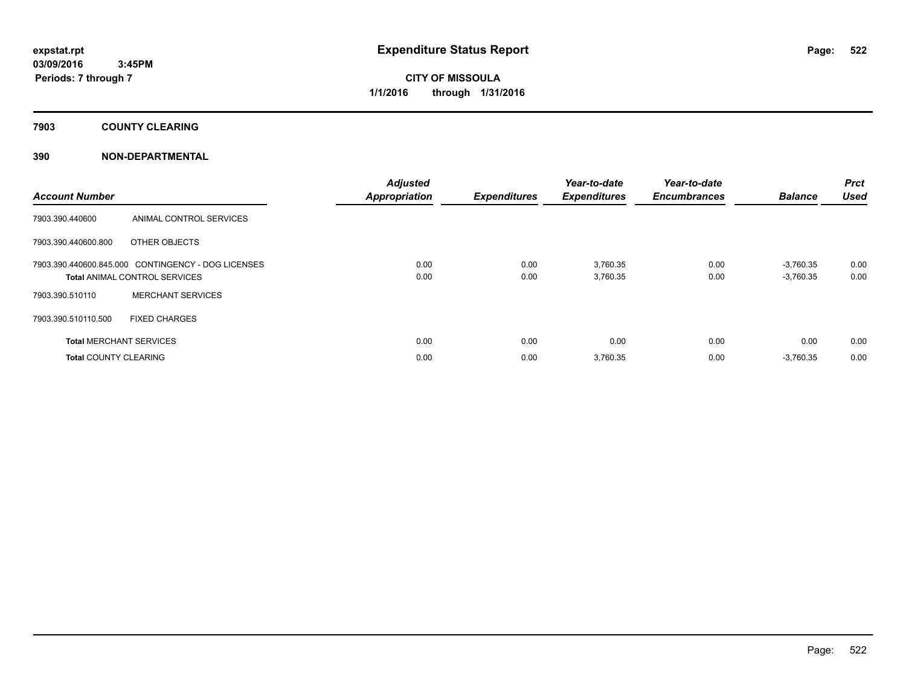**7903 COUNTY CLEARING**

### **390 NON-DEPARTMENTAL**

| <b>Account Number</b>          |                                                    | <b>Adjusted</b><br><b>Appropriation</b> | <b>Expenditures</b> | Year-to-date<br><b>Expenditures</b> | Year-to-date<br><b>Encumbrances</b> | <b>Balance</b> | Prct<br><b>Used</b> |
|--------------------------------|----------------------------------------------------|-----------------------------------------|---------------------|-------------------------------------|-------------------------------------|----------------|---------------------|
| 7903.390.440600                | ANIMAL CONTROL SERVICES                            |                                         |                     |                                     |                                     |                |                     |
| 7903.390.440600.800            | OTHER OBJECTS                                      |                                         |                     |                                     |                                     |                |                     |
|                                | 7903.390.440600.845.000 CONTINGENCY - DOG LICENSES | 0.00                                    | 0.00                | 3,760.35                            | 0.00                                | $-3,760.35$    | 0.00                |
|                                | <b>Total ANIMAL CONTROL SERVICES</b>               | 0.00                                    | 0.00                | 3,760.35                            | 0.00                                | $-3,760.35$    | 0.00                |
| 7903.390.510110                | <b>MERCHANT SERVICES</b>                           |                                         |                     |                                     |                                     |                |                     |
| 7903.390.510110.500            | <b>FIXED CHARGES</b>                               |                                         |                     |                                     |                                     |                |                     |
| <b>Total MERCHANT SERVICES</b> |                                                    | 0.00                                    | 0.00                | 0.00                                | 0.00                                | 0.00           | 0.00                |
| <b>Total COUNTY CLEARING</b>   |                                                    | 0.00                                    | 0.00                | 3,760.35                            | 0.00                                | $-3,760.35$    | 0.00                |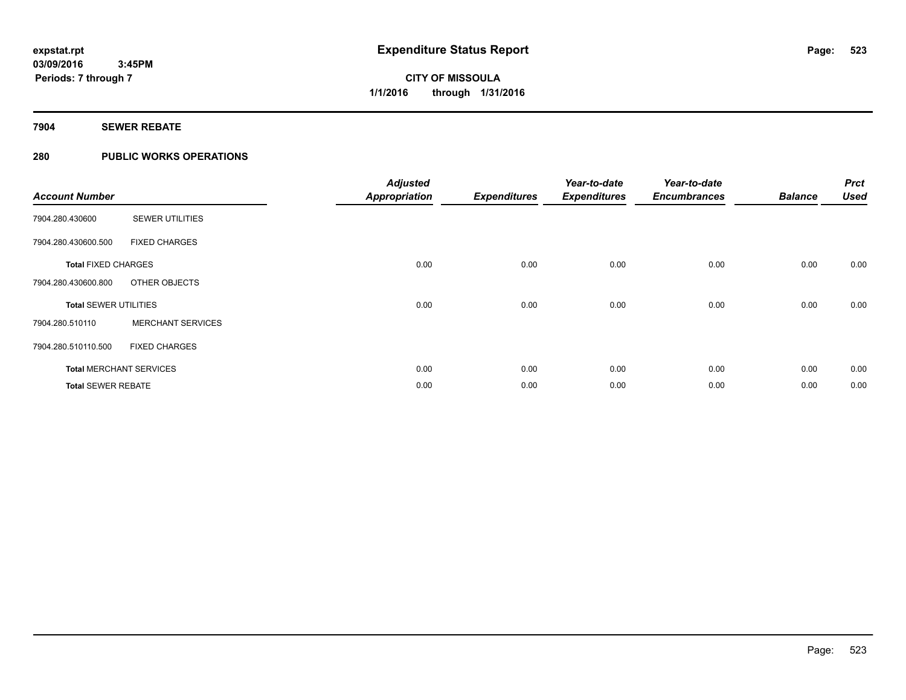### **7904 SEWER REBATE**

### **280 PUBLIC WORKS OPERATIONS**

| <b>Account Number</b>        |                                | <b>Adjusted</b><br><b>Appropriation</b> | <b>Expenditures</b> | Year-to-date<br><b>Expenditures</b> | Year-to-date<br><b>Encumbrances</b> | <b>Balance</b> | <b>Prct</b><br><b>Used</b> |
|------------------------------|--------------------------------|-----------------------------------------|---------------------|-------------------------------------|-------------------------------------|----------------|----------------------------|
| 7904.280.430600              | <b>SEWER UTILITIES</b>         |                                         |                     |                                     |                                     |                |                            |
| 7904.280.430600.500          | <b>FIXED CHARGES</b>           |                                         |                     |                                     |                                     |                |                            |
| <b>Total FIXED CHARGES</b>   |                                | 0.00                                    | 0.00                | 0.00                                | 0.00                                | 0.00           | 0.00                       |
| 7904.280.430600.800          | OTHER OBJECTS                  |                                         |                     |                                     |                                     |                |                            |
| <b>Total SEWER UTILITIES</b> |                                | 0.00                                    | 0.00                | 0.00                                | 0.00                                | 0.00           | 0.00                       |
| 7904.280.510110              | <b>MERCHANT SERVICES</b>       |                                         |                     |                                     |                                     |                |                            |
| 7904.280.510110.500          | <b>FIXED CHARGES</b>           |                                         |                     |                                     |                                     |                |                            |
|                              | <b>Total MERCHANT SERVICES</b> | 0.00                                    | 0.00                | 0.00                                | 0.00                                | 0.00           | 0.00                       |
| <b>Total SEWER REBATE</b>    |                                | 0.00                                    | 0.00                | 0.00                                | 0.00                                | 0.00           | 0.00                       |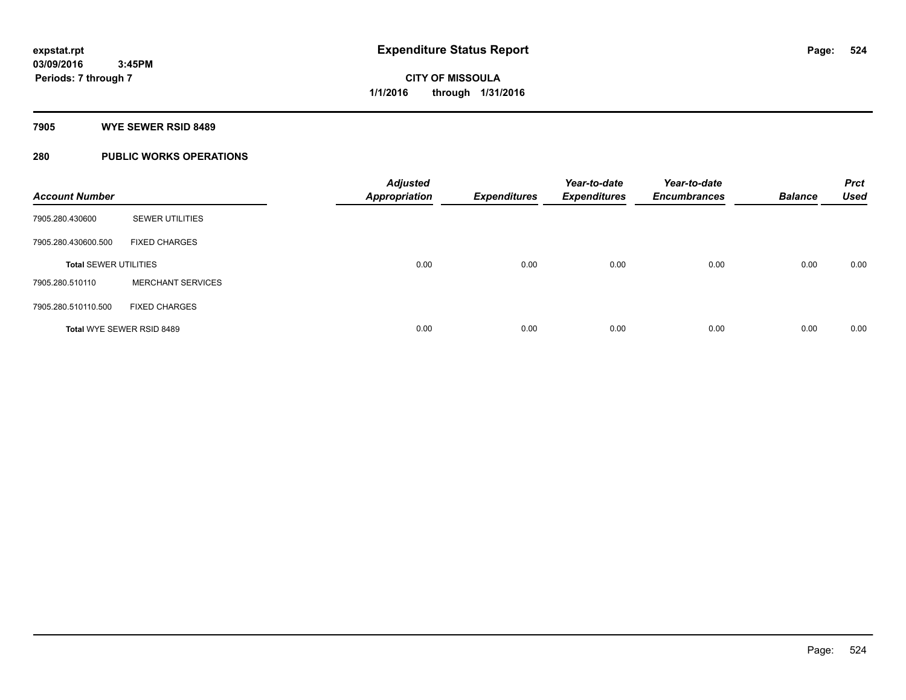#### **7905 WYE SEWER RSID 8489**

### **280 PUBLIC WORKS OPERATIONS**

| <b>Account Number</b>        |                           | <b>Adjusted</b><br><b>Appropriation</b> | <b>Expenditures</b> | Year-to-date<br><b>Expenditures</b> | Year-to-date<br><b>Encumbrances</b> | <b>Balance</b> | <b>Prct</b><br><b>Used</b> |
|------------------------------|---------------------------|-----------------------------------------|---------------------|-------------------------------------|-------------------------------------|----------------|----------------------------|
| 7905.280.430600              | <b>SEWER UTILITIES</b>    |                                         |                     |                                     |                                     |                |                            |
| 7905.280.430600.500          | <b>FIXED CHARGES</b>      |                                         |                     |                                     |                                     |                |                            |
| <b>Total SEWER UTILITIES</b> |                           | 0.00                                    | 0.00                | 0.00                                | 0.00                                | 0.00           | 0.00                       |
| 7905.280.510110              | <b>MERCHANT SERVICES</b>  |                                         |                     |                                     |                                     |                |                            |
| 7905.280.510110.500          | <b>FIXED CHARGES</b>      |                                         |                     |                                     |                                     |                |                            |
|                              | Total WYE SEWER RSID 8489 | 0.00                                    | 0.00                | 0.00                                | 0.00                                | 0.00           | 0.00                       |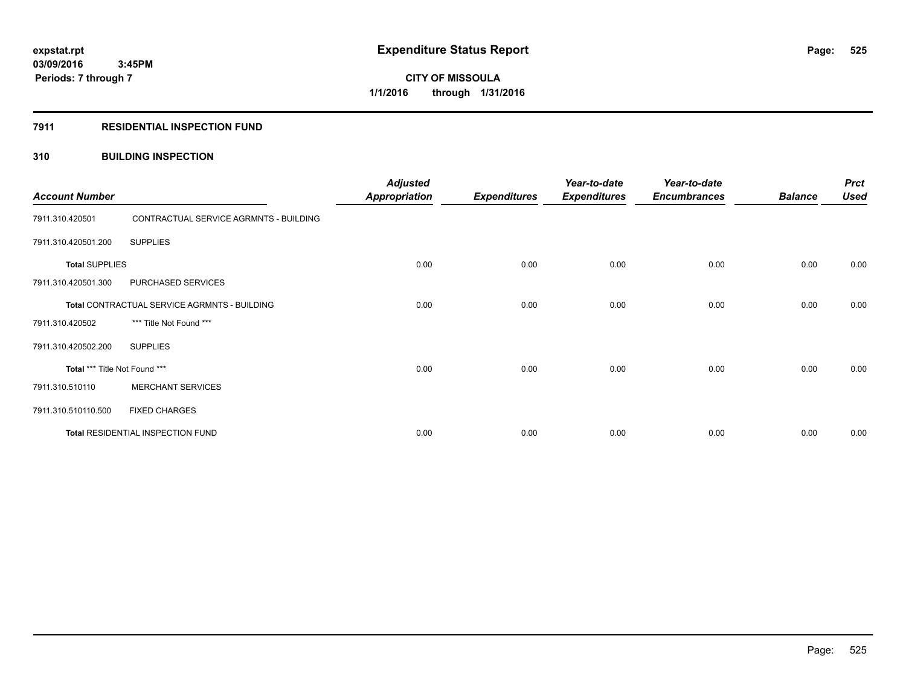#### **7911 RESIDENTIAL INSPECTION FUND**

### **310 BUILDING INSPECTION**

| <b>Account Number</b>         |                                              | <b>Adjusted</b><br><b>Appropriation</b> | <b>Expenditures</b> | Year-to-date<br><b>Expenditures</b> | Year-to-date<br><b>Encumbrances</b> | <b>Balance</b> | <b>Prct</b><br><b>Used</b> |
|-------------------------------|----------------------------------------------|-----------------------------------------|---------------------|-------------------------------------|-------------------------------------|----------------|----------------------------|
| 7911.310.420501               | CONTRACTUAL SERVICE AGRMNTS - BUILDING       |                                         |                     |                                     |                                     |                |                            |
| 7911.310.420501.200           | <b>SUPPLIES</b>                              |                                         |                     |                                     |                                     |                |                            |
| <b>Total SUPPLIES</b>         |                                              | 0.00                                    | 0.00                | 0.00                                | 0.00                                | 0.00           | 0.00                       |
| 7911.310.420501.300           | PURCHASED SERVICES                           |                                         |                     |                                     |                                     |                |                            |
|                               | Total CONTRACTUAL SERVICE AGRMNTS - BUILDING | 0.00                                    | 0.00                | 0.00                                | 0.00                                | 0.00           | 0.00                       |
| 7911.310.420502               | *** Title Not Found ***                      |                                         |                     |                                     |                                     |                |                            |
| 7911.310.420502.200           | <b>SUPPLIES</b>                              |                                         |                     |                                     |                                     |                |                            |
| Total *** Title Not Found *** |                                              | 0.00                                    | 0.00                | 0.00                                | 0.00                                | 0.00           | 0.00                       |
| 7911.310.510110               | <b>MERCHANT SERVICES</b>                     |                                         |                     |                                     |                                     |                |                            |
| 7911.310.510110.500           | <b>FIXED CHARGES</b>                         |                                         |                     |                                     |                                     |                |                            |
|                               | Total RESIDENTIAL INSPECTION FUND            | 0.00                                    | 0.00                | 0.00                                | 0.00                                | 0.00           | 0.00                       |